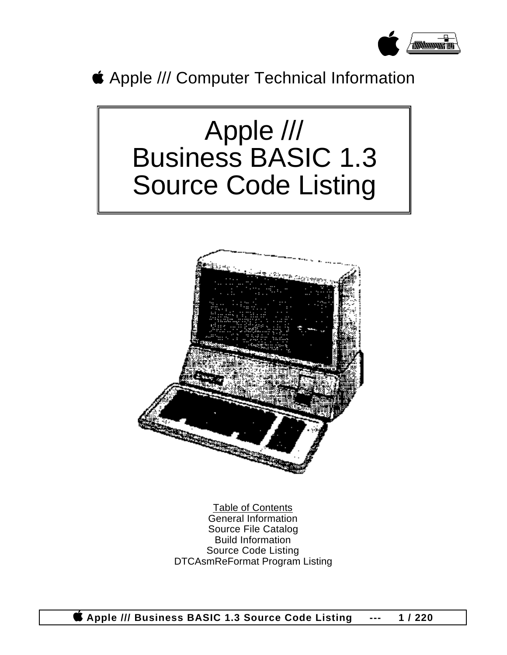

Apple /// Computer Technical Information

# Apple /// Business BASIC 1.3 Source Code Listing



Table of Contents General Information Source File Catalog Build Information Source Code Listing DTCAsmReFormat Program Listing

 **Apple /// Business BASIC 1.3 Source Code Listing --- 1 / 220**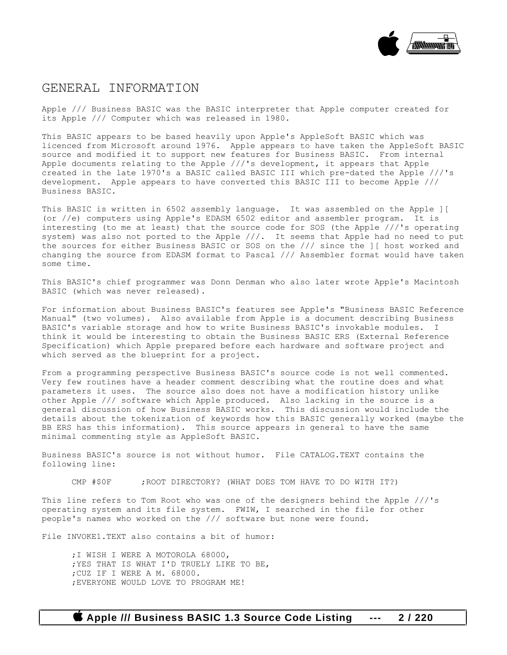

#### GENERAL INFORMATION

Apple /// Business BASIC was the BASIC interpreter that Apple computer created for its Apple /// Computer which was released in 1980.

This BASIC appears to be based heavily upon Apple's AppleSoft BASIC which was licenced from Microsoft around 1976. Apple appears to have taken the AppleSoft BASIC source and modified it to support new features for Business BASIC. From internal Apple documents relating to the Apple ///'s development, it appears that Apple created in the late 1970's a BASIC called BASIC III which pre-dated the Apple ///'s development. Apple appears to have converted this BASIC III to become Apple /// Business BASIC.

This BASIC is written in 6502 assembly language. It was assembled on the Apple ][ (or //e) computers using Apple's EDASM 6502 editor and assembler program. It is interesting (to me at least) that the source code for SOS (the Apple ///'s operating system) was also not ported to the Apple ///. It seems that Apple had no need to put the sources for either Business BASIC or SOS on the /// since the ][ host worked and changing the source from EDASM format to Pascal /// Assembler format would have taken some time.

This BASIC's chief programmer was Donn Denman who also later wrote Apple's Macintosh BASIC (which was never released).

For information about Business BASIC's features see Apple's "Business BASIC Reference Manual" (two volumes). Also available from Apple is a document describing Business BASIC's variable storage and how to write Business BASIC's invokable modules. I think it would be interesting to obtain the Business BASIC ERS (External Reference Specification) which Apple prepared before each hardware and software project and which served as the blueprint for a project.

From a programming perspective Business BASIC's source code is not well commented. Very few routines have a header comment describing what the routine does and what parameters it uses. The source also does not have a modification history unlike other Apple /// software which Apple produced. Also lacking in the source is a general discussion of how Business BASIC works. This discussion would include the details about the tokenization of keywords how this BASIC generally worked (maybe the BB ERS has this information). This source appears in general to have the same minimal commenting style as AppleSoft BASIC.

Business BASIC's source is not without humor. File CATALOG.TEXT contains the following line:

CMP #\$0F ; ROOT DIRECTORY? (WHAT DOES TOM HAVE TO DO WITH IT?)

This line refers to Tom Root who was one of the designers behind the Apple ///'s operating system and its file system. FWIW, I searched in the file for other people's names who worked on the /// software but none were found.

File INVOKE1.TEXT also contains a bit of humor:

;I WISH I WERE A MOTOROLA 68000, ;YES THAT IS WHAT I'D TRUELY LIKE TO BE, ;CUZ IF I WERE A M. 68000. ;EVERYONE WOULD LOVE TO PROGRAM ME!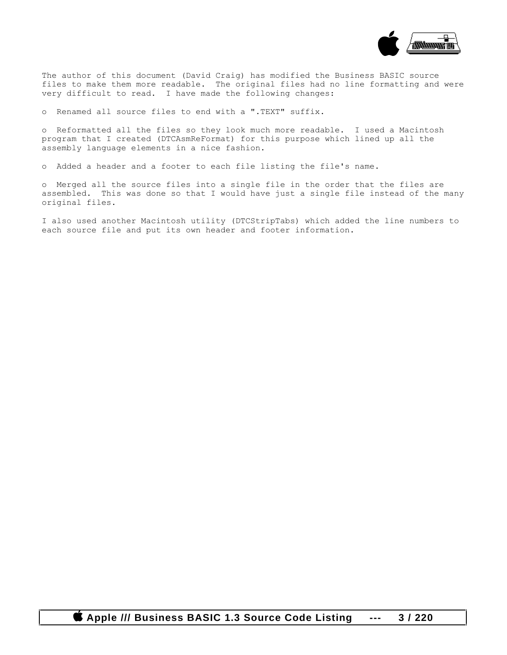

The author of this document (David Craig) has modified the Business BASIC source files to make them more readable. The original files had no line formatting and were very difficult to read. I have made the following changes:

o Renamed all source files to end with a ".TEXT" suffix.

o Reformatted all the files so they look much more readable. I used a Macintosh program that I created (DTCAsmReFormat) for this purpose which lined up all the assembly language elements in a nice fashion.

o Added a header and a footer to each file listing the file's name.

o Merged all the source files into a single file in the order that the files are assembled. This was done so that I would have just a single file instead of the many original files.

I also used another Macintosh utility (DTCStripTabs) which added the line numbers to each source file and put its own header and footer information.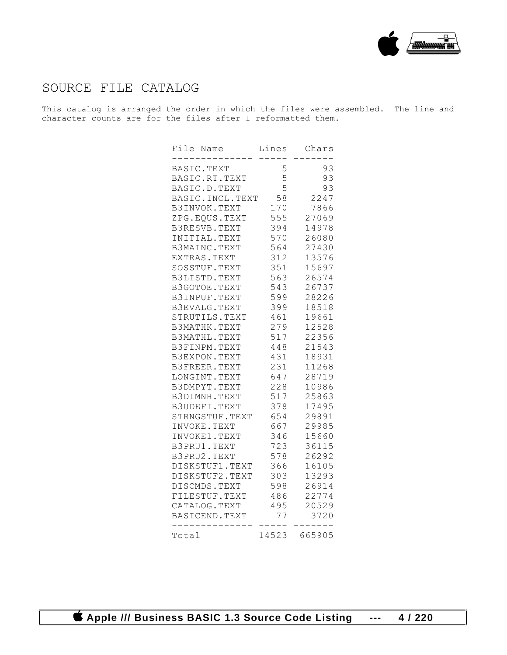

### SOURCE FILE CATALOG

This catalog is arranged the order in which the files were assembled. The line and character counts are for the files after I reformatted them.

| File Name                     | Lines      | Chars          |
|-------------------------------|------------|----------------|
| BASIC.TEXT                    | 5          | 93             |
| BASIC.RT.TEXT                 | 5          | 93             |
| BASIC.D.TEXT                  | 5          | 93             |
| BASIC.INCL.TEXT               | 58         | 2247           |
| B3INVOK.TEXT                  | 170        | 7866           |
| ZPG.EQUS.TEXT 555             |            | 27069          |
| B3RESVB.TEXT                  | 394        | 14978          |
| INITIAL.TEXT                  | 570        | 26080          |
| B3MAINC.TEXT                  | 564        | 27430          |
| EXTRAS.TEXT                   | 312        | 13576          |
| SOSSTUF.TEXT                  | 351        | 15697          |
| B3LISTD.TEXT                  | 563        | 26574          |
| B3GOTOE.TEXT                  | 543        | 26737          |
| B3INPUF.TEXT                  | 599        | 28226          |
| B3EVALG.TEXT                  | 399        | 18518          |
| STRUTILS.TEXT                 | 461        | 19661          |
| B3MATHK.TEXT                  | 279        | 12528          |
| B3MATHL.TEXT                  | 517        | 22356          |
| B3FINPM.TEXT                  | 448        | 21543          |
| B3EXPON.TEXT                  | 431        | 18931          |
| B3FREER.TEXT                  | 231        | 11268          |
| LONGINT.TEXT                  | 647        | 28719          |
| B3DMPYT.TEXT                  | 228        | 10986          |
| B3DIMNH.TEXT                  | 517        | 25863          |
| B3UDEFI.TEXT                  | 378        | 17495          |
| STRNGSTUF.TEXT                | 654        | 29891          |
| INVOKE.TEXT                   | 667        | 29985          |
| INVOKE1.TEXT                  | 346        | 15660          |
| B3PRU1.TEXT                   | 723<br>578 | 36115<br>26292 |
| B3PRU2.TEXT<br>DISKSTUF1.TEXT | 366        | 16105          |
| DISKSTUF2.TEXT                | 303        | 13293          |
| DISCMDS.TEXT                  | 598        | 26914          |
| FILESTUF.TEXT                 | 486        | 22774          |
| CATALOG.TEXT                  | 495        | 20529          |
| BASICEND.TEXT                 | 77         | 3720           |
|                               |            |                |
| Total                         | 14523      | 665905         |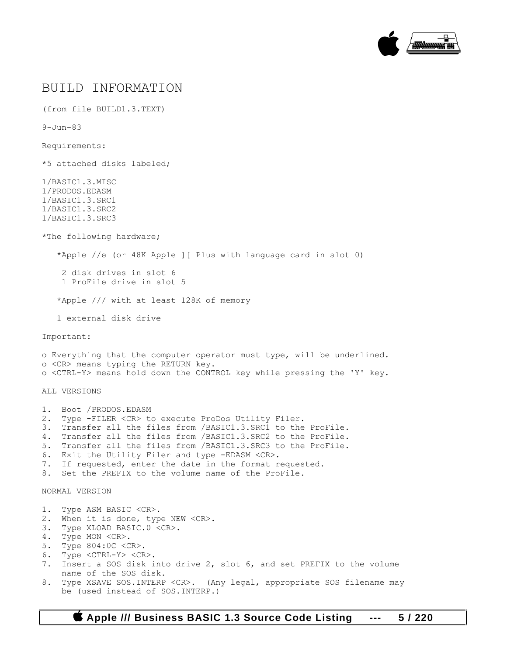

#### BUILD INFORMATION

(from file BUILD1.3.TEXT)

9-Jun-83

Requirements:

\*5 attached disks labeled;

1/BASIC1.3.MISC 1/PRODOS.EDASM 1/BASIC1.3.SRC1 1/BASIC1.3.SRC2 1/BASIC1.3.SRC3

\*The following hardware;

\*Apple //e (or 48K Apple ][ Plus with language card in slot 0)

 2 disk drives in slot 6 1 ProFile drive in slot 5

\*Apple /// with at least 128K of memory

1 external disk drive

Important:

o Everything that the computer operator must type, will be underlined. o <CR> means typing the RETURN key. o <CTRL-Y> means hold down the CONTROL key while pressing the 'Y' key.

ALL VERSIONS

1. Boot /PRODOS.EDASM 2. Type -FILER <CR> to execute ProDos Utility Filer. 3. Transfer all the files from /BASIC1.3.SRC1 to the ProFile. 4. Transfer all the files from /BASIC1.3.SRC2 to the ProFile. 5. Transfer all the files from /BASIC1.3.SRC3 to the ProFile. 6. Exit the Utility Filer and type -EDASM <CR>. 7. If requested, enter the date in the format requested. 8. Set the PREFIX to the volume name of the ProFile. NORMAL VERSION 1. Type ASM BASIC <CR>. 2. When it is done, type NEW <CR>. 3. Type XLOAD BASIC.0 <CR>. 4. Type MON <CR>. 5. Type 804:0C <CR>. 6. Type <CTRL-Y> <CR>. 7. Insert a SOS disk into drive 2, slot 6, and set PREFIX to the volume name of the SOS disk.

8. Type XSAVE SOS.INTERP <CR>. (Any legal, appropriate SOS filename may be (used instead of SOS.INTERP.)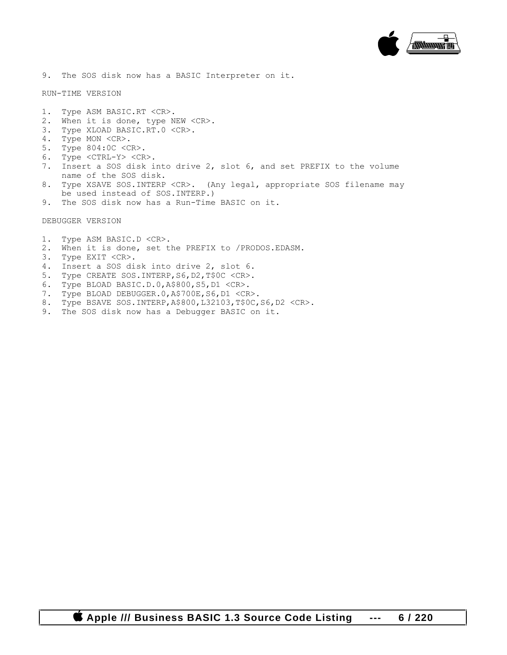

9. The SOS disk now has a BASIC Interpreter on it.

RUN-TIME VERSION

- 1. Type ASM BASIC.RT <CR>.
- 2. When it is done, type NEW <CR>.
- 3. Type XLOAD BASIC.RT.0 <CR>.
- 4. Type MON <CR>.
- 5. Type 804:0C <CR>.
- 6. Type <CTRL-Y> <CR>.
- 7. Insert a SOS disk into drive 2, slot 6, and set PREFIX to the volume name of the SOS disk.
- 8. Type XSAVE SOS.INTERP <CR>. (Any legal, appropriate SOS filename may be used instead of SOS.INTERP.)
- 9. The SOS disk now has a Run-Time BASIC on it.

DEBUGGER VERSION

- 1. Type ASM BASIC.D <CR>.
- 2. When it is done, set the PREFIX to /PRODOS.EDASM.
- 3. Type EXIT <CR>.
- 4. Insert a SOS disk into drive 2, slot 6.
- 5. Type CREATE SOS.INTERP,S6,D2,T\$0C <CR>.
- 6. Type BLOAD BASIC.D.0,A\$800,S5,D1 <CR>.
- 7. Type BLOAD DEBUGGER.0,A\$700E,S6,D1 <CR>.
- 8. Type BSAVE SOS.INTERP,A\$800,L32103,T\$0C,S6,D2 <CR>.
- 9. The SOS disk now has a Debugger BASIC on it.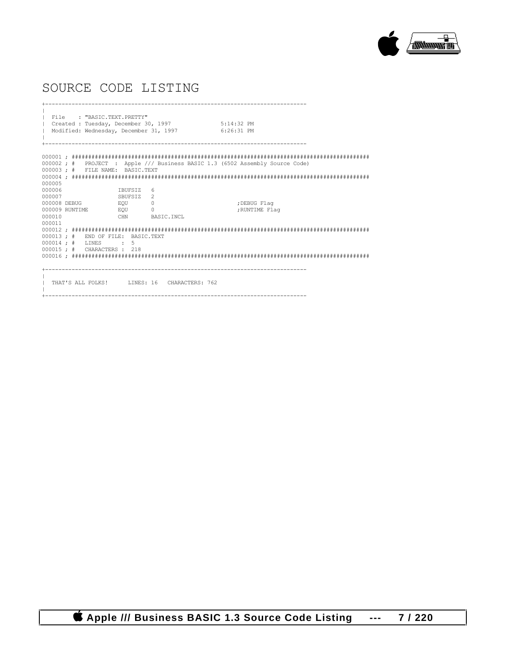

## SOURCE CODE LISTING

+-------------------------------------------------------------------------------  $\|$ | File : "BASIC.TEXT.PRETTY" Created : Tuesday, December 30, 1997 5:14:32 PM<br>Modified: Wednesday, December 31, 1997 6:26:31 PM Modified: Wednesday, December 31, 1997  $\|$ 000001 ; ########################################################################################## 000002 ; # PROJECT : Apple /// Business BASIC 1.3 (6502 Assembly Source Code) 000003 ; # FILE NAME: BASIC.TEXT 000004 ; ########################################################################################## 000005<br>000006 000006 IBUFSIZ 6 SBUFSIZ 2<br>EQU 0 000008 DEBUG EQU 0 ;DEBUG Flag 000009 RUNTIME EQU <br>000010 CHN BASIC.INCL 000011 000012 ; ########################################################################################## 000013 ; # END OF FILE: BASIC.TEXT 000014; # LINES : 5 000015 ; # CHARACTERS : 218 000016 ; ########################################################################################## +-------------------------------------------------------------------------------  $\|$ THAT'S ALL FOLKS! LINES: 16 CHARACTERS: 762  $\|$ +-------------------------------------------------------------------------------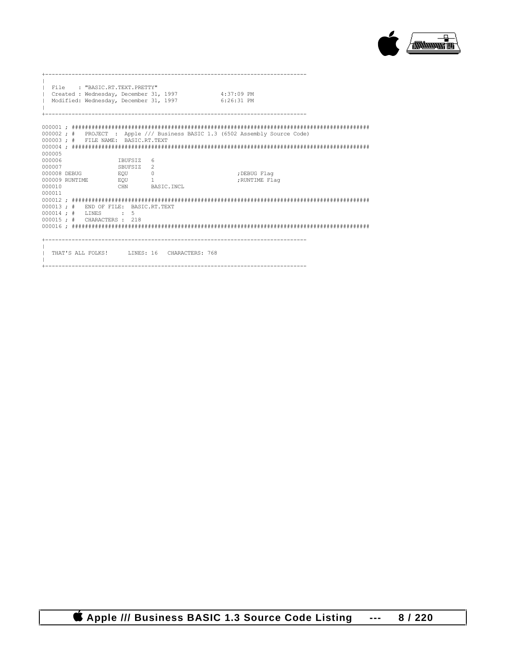

|                                                      | File : "BASIC.RT.TEXT.PRETTY"<br>Created : Wednesday, December 31, 1997<br>  Modified: Wednesday, December 31, 1997 |                                                       |                                             | $4:37:09$ PM<br>$6:26:31$ PM                                                 |
|------------------------------------------------------|---------------------------------------------------------------------------------------------------------------------|-------------------------------------------------------|---------------------------------------------|------------------------------------------------------------------------------|
| 000005                                               | 000003; # FILE NAME: BASIC.RT.TEXT                                                                                  |                                                       |                                             | 000002; # PROJECT : Apple /// Business BASIC 1.3 (6502 Assembly Source Code) |
| 000006<br>000007<br>000008 DEBUG<br>000010<br>000011 | 000009 RUNTIME BQU 1                                                                                                | TBUFSIZ<br>SBUFSIZ <sub>2</sub><br>EQU <sup>D</sup> 0 | 6<br>CHN BASIC.INCL                         | ;DEBUG Flaq<br>; RUNTIME Flag                                                |
|                                                      | 000013 ; # END OF FILE: BASIC.RT.TEXT<br>000014; # LINES : 5<br>$000015 : # \text{CHAPTER} \times : 218$            |                                                       |                                             |                                                                              |
|                                                      |                                                                                                                     |                                                       | THAT'S ALL FOLKS! LINES: 16 CHARACTERS: 768 |                                                                              |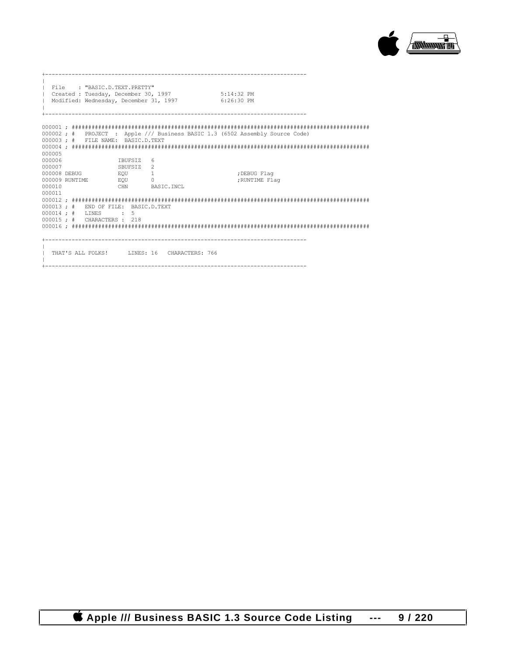

| $\mathbb{R}$<br>$\mathbb{L}$         | File : "BASIC.D.TEXT.PRETTY"<br>Created : Tuesday, December 30, 1997<br>Modified: Wednesday, December 31, 1997 |                                                                         |                                             | $5:14:32$ PM<br>6:26:30 PM                                                   |
|--------------------------------------|----------------------------------------------------------------------------------------------------------------|-------------------------------------------------------------------------|---------------------------------------------|------------------------------------------------------------------------------|
| 000005                               | 000003; # FILE NAME; BASIC.D.TEXT                                                                              |                                                                         |                                             | 000002; # PROJECT : Apple /// Business BASIC 1.3 (6502 Assembly Source Code) |
| 000006<br>000007<br>000010<br>000011 | 000008 DEBUG<br>000009 RUNTIME EQU 0                                                                           | <b>IBUFSIZ</b><br>SBUFSIZ <sub>2</sub><br>EQU <sup>1</sup> <sub>1</sub> | -6<br>CHN BASIC.INCL                        | ;DEBUG Flaq<br>; RUNTIME Flag                                                |
|                                      | 000013 ; # END OF FILE: BASIC.D.TEXT<br>000014; # LINES : 5<br>000015 ; # CHARACTERS : 218                     |                                                                         |                                             |                                                                              |
|                                      |                                                                                                                |                                                                         | THAT'S ALL FOLKS! LINES: 16 CHARACTERS: 766 |                                                                              |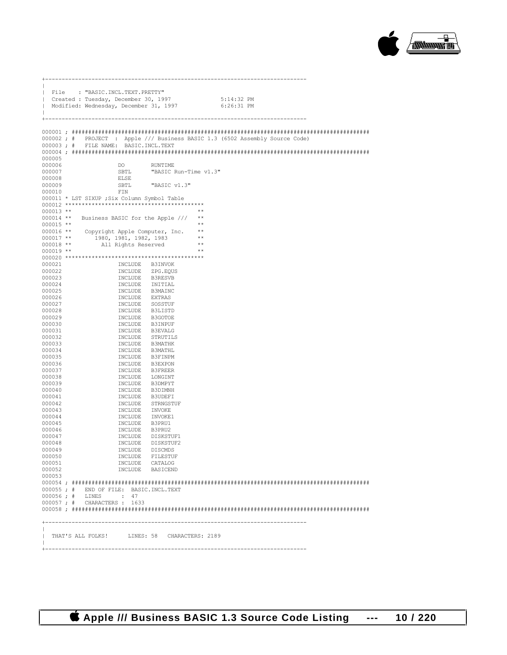

| File : "BASIC.INCL.TEXT.PRETTY"                                                                                                                                                                                                                                |       |
|----------------------------------------------------------------------------------------------------------------------------------------------------------------------------------------------------------------------------------------------------------------|-------|
| Created : Tuesday, December 30, 1997 5:14:32 PM<br>  Modified: Wednesday, December 31, 1997 6:26:31 PM                                                                                                                                                         |       |
| $\mathbb{L}$                                                                                                                                                                                                                                                   |       |
|                                                                                                                                                                                                                                                                |       |
|                                                                                                                                                                                                                                                                |       |
|                                                                                                                                                                                                                                                                |       |
| 000002; # PROJECT : Apple /// Business BASIC 1.3 (6502 Assembly Source Code)                                                                                                                                                                                   |       |
| 000003; # FILE NAME: BASIC. INCL. TEXT                                                                                                                                                                                                                         |       |
| 000005                                                                                                                                                                                                                                                         |       |
| 000006<br>DO <sub>0</sub><br>RUNTIME                                                                                                                                                                                                                           |       |
| SBTL "BASIC Run-Time v1.3"<br>000007                                                                                                                                                                                                                           |       |
| <b>ELSE</b><br>000008                                                                                                                                                                                                                                          |       |
| "BASIC v1.3"<br>000009<br>SBTL                                                                                                                                                                                                                                 |       |
| FIN<br>000010                                                                                                                                                                                                                                                  |       |
| 000011 * LST SIXUP ; Six Column Symbol Table                                                                                                                                                                                                                   |       |
|                                                                                                                                                                                                                                                                |       |
| $000013$ **<br>000014 ** Business BASIC for the Apple /// **                                                                                                                                                                                                   |       |
| $000015$ **                                                                                                                                                                                                                                                    | $* *$ |
|                                                                                                                                                                                                                                                                |       |
| 000016 ** Copyright Apple Computer, Inc. **<br>000011 ** 1980, 1981, 1982, 1983<br>000011 ** 1980, 1981, 1982, 1983                                                                                                                                            |       |
| All Rights Reserved<br>$000018$ **                                                                                                                                                                                                                             | $***$ |
| $000019$ **                                                                                                                                                                                                                                                    | $**$  |
|                                                                                                                                                                                                                                                                |       |
| INCLUDE B3INVOK<br>000021                                                                                                                                                                                                                                      |       |
| 000022<br>000023                                                                                                                                                                                                                                               |       |
| 000024                                                                                                                                                                                                                                                         |       |
| 000025                                                                                                                                                                                                                                                         |       |
| 000026                                                                                                                                                                                                                                                         |       |
| INCLUDE B3INVOK<br>INCLUDE 25G.EQUS<br>INCLUDE B3RESVB<br>INCLUDE INITIAL<br>INCLUDE B3MAINC<br>INCLUDE SSMAINC<br>INCLUDE S315TD<br>INCLUDE B3INPUF<br>INCLUDE B3EVALG<br>INCLUDE B3HATHL<br>INCLUDE STRUTILS<br>INCLUDE B3MATHL<br>INCLUDE B3MATHL<br>000027 |       |
| 000028                                                                                                                                                                                                                                                         |       |
| 000029                                                                                                                                                                                                                                                         |       |
| 000030                                                                                                                                                                                                                                                         |       |
| 000031<br>000032                                                                                                                                                                                                                                               |       |
| 000033                                                                                                                                                                                                                                                         |       |
| INCLUDE B3MATHL<br>000034                                                                                                                                                                                                                                      |       |
| INCLUDE B3FINPM<br>000035                                                                                                                                                                                                                                      |       |
| INCLUDE B3EXPON<br>000036                                                                                                                                                                                                                                      |       |
| 000037<br>INCLUDE B3FREER                                                                                                                                                                                                                                      |       |
| INCLUDE LONGINT<br>000038                                                                                                                                                                                                                                      |       |
| INCLUDE B3DMPYT<br>000039                                                                                                                                                                                                                                      |       |
| 000040<br>INCLUDE B3DIMNH<br>INCLUDE B3UDEFI<br>000041                                                                                                                                                                                                         |       |
| INCLUDE STRNGSTUF<br>000042                                                                                                                                                                                                                                    |       |
| 000043<br>INCLUDE INVOKE                                                                                                                                                                                                                                       |       |
| INCLUDE INVOKE1<br>000044                                                                                                                                                                                                                                      |       |
| INCLUDE B3PRU1<br>000045                                                                                                                                                                                                                                       |       |
| 000046<br>INCLUDE B3PRU2                                                                                                                                                                                                                                       |       |
| INCLUDE DISKSTUF1<br>000047                                                                                                                                                                                                                                    |       |
| 000048<br>INCLUDE DISKSTUF2                                                                                                                                                                                                                                    |       |
| 000049<br>INCLUDE DISCMDS<br>000050<br>INCLUDE FILESTUF                                                                                                                                                                                                        |       |
| 000051<br>INCLUDE CATALOG                                                                                                                                                                                                                                      |       |
| 000052<br>INCLUDE BASICEND                                                                                                                                                                                                                                     |       |
| 000053                                                                                                                                                                                                                                                         |       |
|                                                                                                                                                                                                                                                                |       |
| 000055; # END OF FILE: BASIC. INCL. TEXT                                                                                                                                                                                                                       |       |
| 000056; # LINES : 47                                                                                                                                                                                                                                           |       |
| 000057; # CHARACTERS: 1633                                                                                                                                                                                                                                     |       |
|                                                                                                                                                                                                                                                                |       |
|                                                                                                                                                                                                                                                                |       |
|                                                                                                                                                                                                                                                                |       |
| THAT'S ALL FOLKS! LINES: 58 CHARACTERS: 2189                                                                                                                                                                                                                   |       |
|                                                                                                                                                                                                                                                                |       |
|                                                                                                                                                                                                                                                                |       |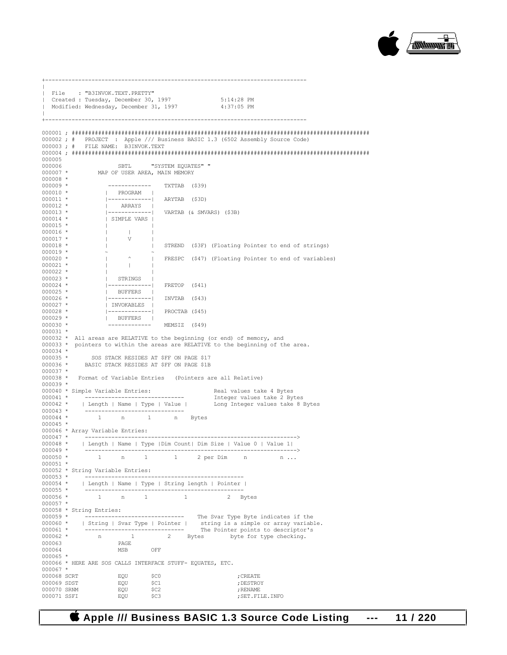

| File : "B3INVOK.TEXT.PRETTY"                                                                                                                                                                  |                                                               |                                                                                       |                                                                                                                                                              |
|-----------------------------------------------------------------------------------------------------------------------------------------------------------------------------------------------|---------------------------------------------------------------|---------------------------------------------------------------------------------------|--------------------------------------------------------------------------------------------------------------------------------------------------------------|
| Created : Tuesday, December 30, 1997 5:14:28 PM<br>  Modified: Wednesday, December 31, 1997 4:37:05 PM                                                                                        |                                                               |                                                                                       |                                                                                                                                                              |
|                                                                                                                                                                                               |                                                               |                                                                                       |                                                                                                                                                              |
| 000003; # FILE NAME: B3INVOK.TEXT                                                                                                                                                             |                                                               |                                                                                       | 000002; # PROJECT : Apple /// Business BASIC 1.3 (6502 Assembly Source Code)                                                                                 |
| 000005                                                                                                                                                                                        |                                                               |                                                                                       |                                                                                                                                                              |
| 000006<br>000007 * MAP OF USER AREA, MAIN MEMORY                                                                                                                                              |                                                               | SBTL "SYSTEM EQUATES" "                                                               |                                                                                                                                                              |
| $000008$ *<br>$000009$ *                                                                                                                                                                      |                                                               | ------------- TXTTAB (\$39)                                                           |                                                                                                                                                              |
| $000010$ *                                                                                                                                                                                    | PROGRAM                                                       |                                                                                       |                                                                                                                                                              |
| $000011$ *<br>$000012$ *                                                                                                                                                                      |                                                               | -------------  ARYTAB (\$3D)<br>  ARRAYS  <br> ------------  VARTAB (& SMVARS) (\$3B) |                                                                                                                                                              |
| $000013$ *<br>000014 *                                                                                                                                                                        | SIMPLE VARS                                                   |                                                                                       |                                                                                                                                                              |
| $000015$ *<br>$000016$ *                                                                                                                                                                      | the company of the company                                    |                                                                                       |                                                                                                                                                              |
| 000017 *                                                                                                                                                                                      | V                                                             |                                                                                       |                                                                                                                                                              |
| $000018$ *<br>$\mathbb{R}$<br>$000019$ *                                                                                                                                                      |                                                               |                                                                                       | STREND (\$3F) (Floating Pointer to end of strings)                                                                                                           |
| $\begin{matrix} 1 & 1 \\ 1 & 1 \end{matrix}$<br>$000020$ *<br>$000021$ *                                                                                                                      | and the control of the                                        |                                                                                       | ^   FRESPC (\$47) (Floating Pointer to end of variables)                                                                                                     |
| $000022$ *<br>$000023$ *                                                                                                                                                                      | STRINGS                                                       |                                                                                       |                                                                                                                                                              |
| $000024$ *                                                                                                                                                                                    |                                                               | -------------  FRETOP (\$41)                                                          |                                                                                                                                                              |
| $000025$ *<br>000026 *                                                                                                                                                                        | BUFFERS                                                       | $ ---------- $ INVTAB (\$43)                                                          |                                                                                                                                                              |
| $000027$ *<br>$000028$ *                                                                                                                                                                      | INVOKABLES                                                    | -------------  PROCTAB (\$45)                                                         |                                                                                                                                                              |
| $000029$ *<br>$000030$ *                                                                                                                                                                      | BUFFERS                                                       | ------------- MEMSIZ (\$49)                                                           |                                                                                                                                                              |
| $000031$ *                                                                                                                                                                                    |                                                               |                                                                                       |                                                                                                                                                              |
|                                                                                                                                                                                               |                                                               |                                                                                       | 000032 * All areas are RELATIVE to the beginning (or end) of memory, and<br>000033 * pointers to within the areas are RELATIVE to the beginning of the area. |
| $000034$ *<br>000035 * SOS STACK RESIDES AT \$FF ON PAGE \$17                                                                                                                                 |                                                               |                                                                                       |                                                                                                                                                              |
| $000036$ *<br>$000037$ *                                                                                                                                                                      |                                                               | BASIC STACK RESIDES AT \$FF ON PAGE \$1B                                              |                                                                                                                                                              |
| 000038 * Format of Variable Entries (Pointers are all Relative)<br>$000039$ *                                                                                                                 |                                                               |                                                                                       |                                                                                                                                                              |
|                                                                                                                                                                                               |                                                               |                                                                                       |                                                                                                                                                              |
| $000043$ *                                                                                                                                                                                    | ________________________________                              |                                                                                       |                                                                                                                                                              |
| 000044 * 1 n 1 n Bytes<br>$000045$ *                                                                                                                                                          |                                                               |                                                                                       |                                                                                                                                                              |
| 000046 * Array Variable Entries:                                                                                                                                                              |                                                               |                                                                                       |                                                                                                                                                              |
|                                                                                                                                                                                               |                                                               |                                                                                       | 000048 *   Length   Name   Type   Dim Count  Dim Size   Value 0   Value 1                                                                                    |
| 000049 *<br>-----<br>$000050$ *                                                                                                                                                               |                                                               |                                                                                       | ---------------<br>1 n 1 1 2 per Dim n n                                                                                                                     |
| $000051$ *<br>000052 * String Variable Entries:                                                                                                                                               |                                                               |                                                                                       |                                                                                                                                                              |
| 000054 *   Length   Name   Type   String length   Pointer                                                                                                                                     |                                                               |                                                                                       |                                                                                                                                                              |
| $000055$ *<br>000056 *                                                                                                                                                                        | $\begin{array}{cccccccccc} 1 & & n & & 1 & & & 1 \end{array}$ |                                                                                       | 2 Bytes                                                                                                                                                      |
| $000057$ *<br>000058 * String Entries:                                                                                                                                                        |                                                               |                                                                                       |                                                                                                                                                              |
| $000059$ *                                                                                                                                                                                    |                                                               |                                                                                       | ------------------------------ The Svar Type Byte indicates if the                                                                                           |
|                                                                                                                                                                                               |                                                               |                                                                                       |                                                                                                                                                              |
|                                                                                                                                                                                               |                                                               |                                                                                       |                                                                                                                                                              |
| 000062 *<br>000063                                                                                                                                                                            | PAGE                                                          |                                                                                       | n 1 2 Bytes byte for type checking.                                                                                                                          |
| 000064<br>$000065$ *                                                                                                                                                                          | <b>MSB</b><br>OFF                                             |                                                                                       |                                                                                                                                                              |
| 000066 * HERE ARE SOS CALLS INTERFACE STUFF- EQUATES, ETC.<br>$000067$ *                                                                                                                      |                                                               |                                                                                       |                                                                                                                                                              |
| 000060 *   String   Svar Type   Pointer   string is a simple or array variable.<br>000061 * -------------------------------- The Pointer points to descriptor's<br>000068 SCRT<br>000069 SDST | EQU<br>EQU<br>EQU                                             | \$CO<br>\$C1                                                                          | ; CREATE<br>; DESTROY                                                                                                                                        |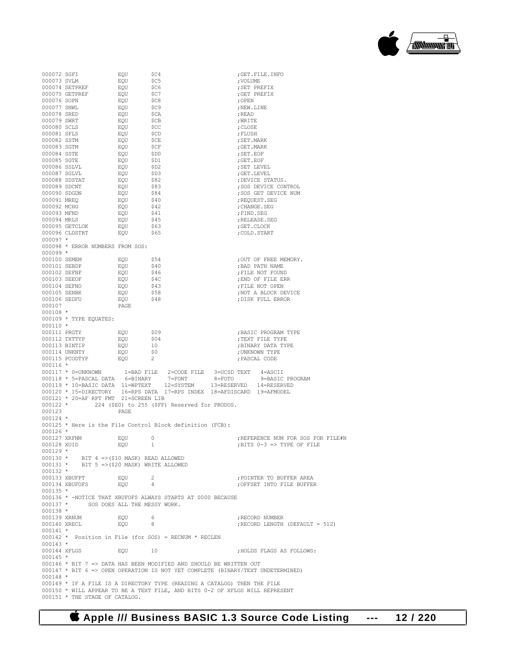000076 SOPN EQU \$C8 ;OPEN  $\begin{array}{ccccccc} 000077 & \text{SNWL} & \text{EQU} & \text{SC9} & \text{NEW I} & \text{NEW I} \\ 000078 & \text{SRED} & \text{EQU} & \text{SCA} & \text{NEM I} & \text{RBAD} \end{array}$ 000078 SRED EQU \$CA ;READ 000079 SWRT EQU \$CB ;WRITE 000080 SCLS EQU \$CC ;CLOSE 000081 SFLS EQU \$CD ;FLUSH 000082 SSTM EQU \$CE ;SET.MARK 000083 SGTM EQU \$CF ;GET.MARK 000084 SSTE EQU \$D0 ;SET.EOF 000085 SGTE EQU \$D1 ;GET.EOF 000086 SSLVL 000087 SGLVL EQU \$D3 ;GET.LEVEL 000088 SDSTAT EQU \$82 ;DEVICE STATUS. 000089 SDCNT EQU \$83 ;SOS DEVICE CONTROL 000090 SDGDN EQU \$84 ;SOS GET DEVICE NUM 000091 MREQ EQU \$40 ;REQUEST.SEG 000092 MCHG EQU \$42 ;CHANGE.SEG 000093 MFND EQU \$41 ;FIND.SEG equent to the second second that the second second the second second to the second second to the second second <br>Equipment of the second second second second second second second second second second second second second se 000095 GETCLOK EQU \$63 ;GET.CLOCK 000096 CLDSTRT 000097 \* 000098 \* ERROR NUMBERS FROM SOS: 000099 \*<br>000100 SEMEM 000100 SEMEM EQU \$54 ;OUT OF FREE MEMORY. 000101 SEBDP EQU \$40 ;BAD PATH NAME  $\begin{array}{lcccccc} 000102 & \text{SEFNF} & & \text{EQU} & & \text{S46} & & \text{FILE NOT FOUND} \\ 000103 & \text{SEEOF} & & \text{EOU} & & \text{S4C} & & \text{FIND OF FILE ER} \end{array}$ 000103 SEEOF EQU \$4C ;END OF FILE ERR  $\begin{array}{ccccccc} 000104 & \text{SEFNO} & \text{EQU} & \text{$43$} & \text{$FILE NOT OPEN} \\ 000105 & \text{SENBK} & \text{EQU} & \text{$58$} & \text{;NOT A BLOCK DF} \end{array}$ 000105 SENBK EQU \$58 ;NOT A BLOCK DEVICE  $\overline{p}$   $\overline{q}$   $\overline{q}$   $\overline{q}$   $\overline{q}$   $\overline{q}$   $\overline{q}$   $\overline{q}$   $\overline{q}$   $\overline{q}$   $\overline{q}$   $\overline{q}$   $\overline{q}$   $\overline{q}$   $\overline{q}$   $\overline{q}$   $\overline{q}$   $\overline{q}$   $\overline{q}$   $\overline{q}$   $\overline{q}$   $\overline{q}$   $\overline{q}$   $\overline{q}$   $\overline{$ 000107 000108 \* 000109 \* TYPE EQUATES: 000110 \*<br>000111 PRGTY 000111 PRGTY EQU \$09 ;BASIC PROGRAM TYPE 000112 TXTTYP EQU \$04 ;TEXT FILE TYPE  $\begin{array}{lcccc} 000113 & \text{BINTIP} & & \text{EQU} & & 10 & & \text{BINARY DATA TYPE} \\ 000114 & \text{UNKNTY} & & \text{EQU} & & \text{S0} & & \text{JUNKNOWN TYPE} \end{array}$  $\begin{array}{lll} \texttt{EQU} & \texttt{\$0}$ & \texttt{\$0$} & \texttt{\$7$} \\ \texttt{EOU} & \texttt{2} & \texttt{\$7$} & \texttt{\$PASCAL CODE} \end{array}$ 000115 PCODTYP 000116 \* 000117 \* 0=UNKNOWN 1=BAD FILE 2=CODE FILE 3=UCSD TEXT 4=ASCII 000118 \* 5=PASCAL DATA 6=BINARY 7=FONT 8=FOTO 9=BASIC PROGRAM 000119 \* 10=BASIC DATA 11=WPTEXT 12=SYSTEM 13=RESERVED 14=RESERVED 000120 \* 15=DIRECTORY 16=RPS DATA 17=RPS INDEX 18=AFDISCARD 19=AFMODEL 000121 \* 20=AF RPT FMT 21=SCREEN LIB 000122 \* 224 (\$E0) to 255 (\$FF) Reserved for PRODOS. 000123 PAGE 000124 \* 000125 \* Here is the File Control Block definition (FCB): 000126 \*<br>000127 XRFNM 000127 XRFNM EQU 0 ;REFERENCE NUM FOR SOS FOR FILE#N  $:$  BITS 0-3 => TYPE OF FILE  $000129 *  
000130 *$ 000130 \* BIT 4 =>(\$10 MASK) READ ALLOWED<br>000131 \* BIT 5 =>(\$20 MASK) WRITE ALLOWED  $BIT 5 \Rightarrow ($20 MASK) WRTTE ALLOWED$ 000132 \*<br>000133 XBUFPT 000133 XBUFPT EQU 2 ;POINTER TO BUFFER AREA ; OFFSET INTO FILE BUFFER 000135 \* 000136 \* -NOTICE THAT XBUFOFS ALWAYS STARTS AT 0000 BECAUSE 000137 \* SOS DOES ALL THE MESSY WORK. 000138 \*<br>000139 XRNUM 000139 XRNUM EQU 6 ;RECORD NUMBER  $;$ RECORD LENGTH (DEFAULT = 512)  $000141$  \* 000142 \* Position in File (for SOS) = RECNUM \* RECLEN 000143 \* EQU 10 : 10 ;HOLDS FLAGS AS FOLLOWS: 000145 \* 000146 \* BIT 7 => DATA HAS BEEN MODIFIED AND SHOULD BE WRITTEN OUT 000147 \* BIT 6 => OPEN OPERATION IS NOT YET COMPLETE (BINARY/TEXT UNDETERMINED) 000148 \* 000149 \* IF A FILE IS A DIRECTORY TYPE (READING A CATALOG) THEN THE FILE 000150 \* WILL APPEAR TO BE A TEXT FILE, AND BITS 0-2 OF XFLGS WILL REPRESENT 000151 \* THE STAGE OF CATALOG.

000072 SGFI EQU \$C4 ;GET.FILE.INFO 000073 SVLM EQU \$C5 ;VOLUME 000074 SETPREF EQU \$C6 ;SET PREFIX 000075 GETPREF EQU \$C7 ;GET PREFIX



 **Apple /// Business BASIC 1.3 Source Code Listing --- 12 / 220**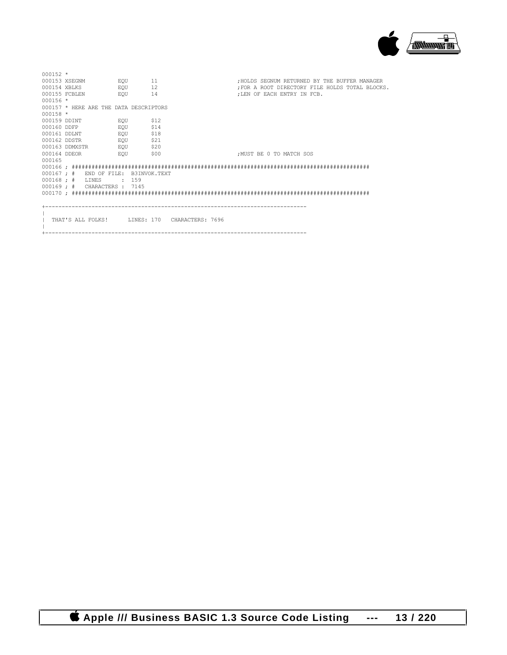

| $000152$ *   |                                        |                   |                                                 |                                               |
|--------------|----------------------------------------|-------------------|-------------------------------------------------|-----------------------------------------------|
|              | 000153 XSEGNM EQU 11                   |                   |                                                 | : HOLDS SEGNUM RETURNED BY THE BUFFER MANAGER |
| 000154 XBLKS |                                        | EQU <sub>12</sub> |                                                 | FOR A ROOT DIRECTORY FILE HOLDS TOTAL BLOCKS. |
|              | 000155 FCBLEN EQU 14                   |                   |                                                 | : LEN OF EACH ENTRY IN FCB.                   |
| $000156$ *   |                                        |                   |                                                 |                                               |
|              | 000157 * HERE ARE THE DATA DESCRIPTORS |                   |                                                 |                                               |
| $000158 *$   |                                        |                   |                                                 |                                               |
| 000159 DINT  |                                        | EQU \$12          |                                                 |                                               |
|              | 000160 DDFP EQU                        | \$14              |                                                 |                                               |
|              | 000161 DDLNT EQU                       | \$18              |                                                 |                                               |
|              | 000162 DDSTR EQU                       | \$21              |                                                 |                                               |
|              | 000163 DDMXSTR EQU                     | \$20              |                                                 |                                               |
| 000164 DDEOR | <b>EQUIPE COMPLETE</b>                 | \$00              |                                                 | : MUST BE 0 TO MATCH SOS                      |
| 000165       |                                        |                   |                                                 |                                               |
|              |                                        |                   |                                                 |                                               |
|              | 000167; # END OF FILE: B3INVOK.TEXT    |                   |                                                 |                                               |
|              | $000168$ ; # LINES                     | $\cdot$ 159       |                                                 |                                               |
|              | 000169; # CHARACTERS: 7145             |                   |                                                 |                                               |
|              |                                        |                   |                                                 |                                               |
|              |                                        |                   |                                                 |                                               |
|              |                                        |                   |                                                 |                                               |
|              |                                        |                   |                                                 |                                               |
|              |                                        |                   | 1 THAT'S ALL FOLKS! INNES: 170 CHARACTERS: 7696 |                                               |
|              |                                        |                   |                                                 |                                               |
|              |                                        |                   |                                                 |                                               |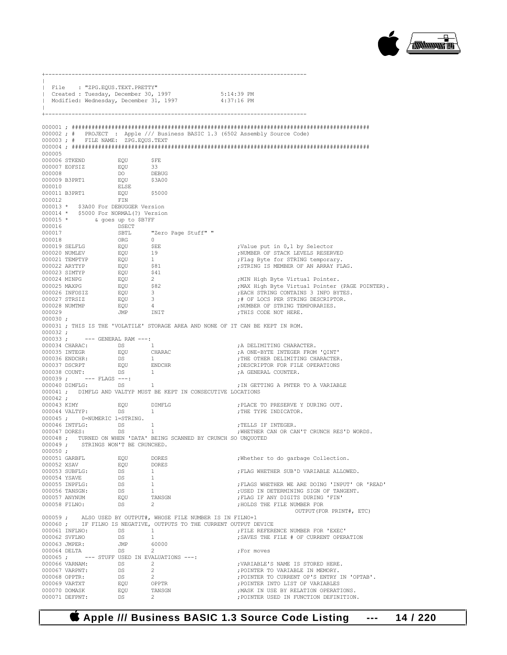

|                       | File : "ZPG.EQUS.TEXT.PRETTY"                                                                                                                                                                                                                                                                                                                     |     |                                                                                                        |                                                                                 |
|-----------------------|---------------------------------------------------------------------------------------------------------------------------------------------------------------------------------------------------------------------------------------------------------------------------------------------------------------------------------------------------|-----|--------------------------------------------------------------------------------------------------------|---------------------------------------------------------------------------------|
|                       |                                                                                                                                                                                                                                                                                                                                                   |     | Created : Tuesday, December 30, 1997 5:14:39 PM<br>  Modified: Wednesday, December 31, 1997 4:37:16 PM |                                                                                 |
|                       |                                                                                                                                                                                                                                                                                                                                                   |     |                                                                                                        |                                                                                 |
|                       |                                                                                                                                                                                                                                                                                                                                                   |     |                                                                                                        |                                                                                 |
|                       |                                                                                                                                                                                                                                                                                                                                                   |     |                                                                                                        |                                                                                 |
|                       |                                                                                                                                                                                                                                                                                                                                                   |     |                                                                                                        |                                                                                 |
|                       |                                                                                                                                                                                                                                                                                                                                                   |     |                                                                                                        | 000002; # PROJECT : Apple /// Business BASIC 1.3 (6502 Assembly Source Code)    |
|                       | 000003; # FILE NAME: ZPG.EQUS.TEXT                                                                                                                                                                                                                                                                                                                |     |                                                                                                        |                                                                                 |
|                       |                                                                                                                                                                                                                                                                                                                                                   |     |                                                                                                        |                                                                                 |
| 000005                |                                                                                                                                                                                                                                                                                                                                                   |     |                                                                                                        |                                                                                 |
|                       |                                                                                                                                                                                                                                                                                                                                                   |     |                                                                                                        |                                                                                 |
|                       |                                                                                                                                                                                                                                                                                                                                                   |     |                                                                                                        |                                                                                 |
|                       | $\begin{tabular}{lcccc} 000006 & STKEND & \multicolumn{3}{c}{EQU} & $\hat{\$FE} \\ 000007 & \multicolumn{3}{c}{EOT} & \multicolumn{3}{c}{EQU} & 33 \\ 000008 & \multicolumn{3}{c}{DO} & \multicolumn{3}{c}{DEBUG} \\ 000009 & \multicolumn{3}{c}{B3PT1} & \multicolumn{3}{c}{EQU} & 53A00 \\ 000010 & \multicolumn{3}{c}{ELSE} & . \end{tabular}$ |     |                                                                                                        |                                                                                 |
|                       |                                                                                                                                                                                                                                                                                                                                                   |     |                                                                                                        |                                                                                 |
|                       |                                                                                                                                                                                                                                                                                                                                                   |     |                                                                                                        |                                                                                 |
|                       | 000011 B3PRT1 EQU \$5000                                                                                                                                                                                                                                                                                                                          |     |                                                                                                        |                                                                                 |
|                       | 000012                                                                                                                                                                                                                                                                                                                                            | FIN |                                                                                                        |                                                                                 |
|                       | 000013 * \$3A00 For DEBUGGER Version                                                                                                                                                                                                                                                                                                              |     |                                                                                                        |                                                                                 |
|                       | 000014 * \$5000 For NORMAL(?) Version                                                                                                                                                                                                                                                                                                             |     |                                                                                                        |                                                                                 |
|                       |                                                                                                                                                                                                                                                                                                                                                   |     |                                                                                                        |                                                                                 |
|                       |                                                                                                                                                                                                                                                                                                                                                   |     |                                                                                                        |                                                                                 |
|                       |                                                                                                                                                                                                                                                                                                                                                   |     |                                                                                                        |                                                                                 |
|                       |                                                                                                                                                                                                                                                                                                                                                   |     |                                                                                                        | ;Value put in 0,1 by Selector                                                   |
|                       |                                                                                                                                                                                                                                                                                                                                                   |     |                                                                                                        | ; NUMBER OF STACK LEVELS RESERVED                                               |
|                       |                                                                                                                                                                                                                                                                                                                                                   |     |                                                                                                        | ; Flag Byte for STRING temporary.                                               |
|                       |                                                                                                                                                                                                                                                                                                                                                   |     |                                                                                                        | ; STRING IS MEMBER OF AN ARRAY FLAG.                                            |
|                       |                                                                                                                                                                                                                                                                                                                                                   |     |                                                                                                        |                                                                                 |
|                       |                                                                                                                                                                                                                                                                                                                                                   |     |                                                                                                        | MIN High Byte Virtual Pointer.<br>MAX High Byte Virtual Pointer (PAGE POINTER). |
|                       |                                                                                                                                                                                                                                                                                                                                                   |     |                                                                                                        |                                                                                 |
|                       |                                                                                                                                                                                                                                                                                                                                                   |     |                                                                                                        | ; EACH STRING CONTAINS 3 INFO BYTES.                                            |
|                       |                                                                                                                                                                                                                                                                                                                                                   |     |                                                                                                        | ;# OF LOCS PER STRING DESCRIPTOR.                                               |
|                       |                                                                                                                                                                                                                                                                                                                                                   |     |                                                                                                        | ; NUMBER OF STRING TEMPORARIES.                                                 |
|                       |                                                                                                                                                                                                                                                                                                                                                   |     |                                                                                                        | ; THIS CODE NOT HERE.                                                           |
| $000030$ ;            |                                                                                                                                                                                                                                                                                                                                                   |     |                                                                                                        |                                                                                 |
|                       |                                                                                                                                                                                                                                                                                                                                                   |     |                                                                                                        | 000031 ; THIS IS THE 'VOLATILE' STORAGE AREA AND NONE OF IT CAN BE KEPT IN ROM. |
| 000032;               | 000033; --- GENERAL RAM ---:                                                                                                                                                                                                                                                                                                                      |     |                                                                                                        |                                                                                 |
|                       |                                                                                                                                                                                                                                                                                                                                                   |     |                                                                                                        | ; A DELIMITING CHARACTER.                                                       |
|                       |                                                                                                                                                                                                                                                                                                                                                   |     |                                                                                                        | A ONE-BYTE INTEGER FROM 'QINT'                                                  |
|                       |                                                                                                                                                                                                                                                                                                                                                   |     |                                                                                                        | ; THE OTHER DELIMITING CHARACTER.                                               |
|                       |                                                                                                                                                                                                                                                                                                                                                   |     |                                                                                                        | ; DESCRIPTOR FOR FILE OPERATIONS                                                |
|                       |                                                                                                                                                                                                                                                                                                                                                   |     |                                                                                                        | ; A GENERAL COUNTER.                                                            |
|                       | $000039$ ; --- FLAGS ---:                                                                                                                                                                                                                                                                                                                         |     |                                                                                                        |                                                                                 |
|                       | 000040 DIMFLG: DS                                                                                                                                                                                                                                                                                                                                 |     | $\sim$ $1$ $-$                                                                                         | ; IN GETTING A PNTER TO A VARIABLE                                              |
|                       |                                                                                                                                                                                                                                                                                                                                                   |     | 000041 ; DIMFLG AND VALTYP MUST BE KEPT IN CONSECUTIVE LOCATIONS                                       |                                                                                 |
| $000042$ ;            |                                                                                                                                                                                                                                                                                                                                                   |     |                                                                                                        |                                                                                 |
|                       | $\begin{tabular}{llllll} 000043 KIMY & \texttt{EQU} & \texttt{DIMFLG} \\ 000044 VALTYP: & \texttt{DS} & 1 \\ \end{tabular}$                                                                                                                                                                                                                       |     |                                                                                                        | ; PLACE TO PRESERVE Y DURING OUT.                                               |
|                       |                                                                                                                                                                                                                                                                                                                                                   |     |                                                                                                        | ; THE TYPE INDICATOR.                                                           |
|                       | 000045; 0=NUMERIC 1=STRING.                                                                                                                                                                                                                                                                                                                       |     |                                                                                                        |                                                                                 |
|                       |                                                                                                                                                                                                                                                                                                                                                   |     | 000046 INTFLG: DS 1<br>000047 DORES: DS 1                                                              | ; TELLS IF INTEGER.                                                             |
|                       |                                                                                                                                                                                                                                                                                                                                                   |     |                                                                                                        | ; WHETHER CAN OR CAN'T CRUNCH RES'D WORDS.                                      |
|                       |                                                                                                                                                                                                                                                                                                                                                   |     | 000048 ; TURNED ON WHEN 'DATA' BEING SCANNED BY CRUNCH SO UNOUOTED                                     |                                                                                 |
| $000049$ ;<br>000050; | STRINGS WON'T BE CRUNCHED.                                                                                                                                                                                                                                                                                                                        |     |                                                                                                        |                                                                                 |
|                       | 000051 GARBFL                                                                                                                                                                                                                                                                                                                                     | EQU | DORES                                                                                                  | ; Whether to do garbage Collection.                                             |
|                       | 000052 XSAV                                                                                                                                                                                                                                                                                                                                       | EOU | <b>DORES</b>                                                                                           |                                                                                 |
|                       | 000053 SUBFLG:                                                                                                                                                                                                                                                                                                                                    | DS  | $\mathbf{1}$                                                                                           | ; FLAG WHETHER SUB'D VARIABLE ALLOWED.                                          |
|                       | 000054 YSAVE                                                                                                                                                                                                                                                                                                                                      | DS  | $\mathbf{1}$                                                                                           |                                                                                 |
|                       | 000055 INPFLG:                                                                                                                                                                                                                                                                                                                                    | DS  | $\mathbf{1}$                                                                                           | ; FLAGS WHETHER WE ARE DOING 'INPUT' OR 'READ'                                  |
|                       | 000056 TANSGN:                                                                                                                                                                                                                                                                                                                                    | DS  | 1                                                                                                      | ; USED IN DETERMINING SIGN OF TANGENT.                                          |
|                       | 000057 ANYNUM                                                                                                                                                                                                                                                                                                                                     | EQU | TANSGN                                                                                                 | ; FLAG IF ANY DIGITS DURING 'FIN'                                               |
|                       | 000058 FILNO:                                                                                                                                                                                                                                                                                                                                     | DS  | $\mathbf{2}$                                                                                           | ; HOLDS THE FILE NUMBER FOR                                                     |
|                       |                                                                                                                                                                                                                                                                                                                                                   |     |                                                                                                        | OUTPUT (FOR PRINT#, ETC)                                                        |
|                       |                                                                                                                                                                                                                                                                                                                                                   |     | 000059; ALSO USED BY OUTPUT#, WHOSE FILE NUMBER IS IN FILNO+1                                          |                                                                                 |
|                       |                                                                                                                                                                                                                                                                                                                                                   |     | 000060; IF FILNO IS NEGATIVE, OUTPUTS TO THE CURRENT OUTPUT DEVICE                                     |                                                                                 |
|                       | 000061 INFLNO:                                                                                                                                                                                                                                                                                                                                    | DS  | $\mathbf{1}$                                                                                           | ; FILE REFERENCE NUMBER FOR 'EXEC'                                              |
|                       | 000062 SVFLNO                                                                                                                                                                                                                                                                                                                                     | DS  | $\mathbf{1}$                                                                                           | ; SAVES THE FILE # OF CURRENT OPERATION                                         |
|                       | 000063 JMPER:                                                                                                                                                                                                                                                                                                                                     | JMP | 60000                                                                                                  |                                                                                 |
|                       | 000064 DELTA                                                                                                                                                                                                                                                                                                                                      | DS  | $\overline{2}$                                                                                         | ;For moves                                                                      |
|                       | 000065; --- STUFF USED IN EVALUATIONS ---:<br>000066 VARNAM:                                                                                                                                                                                                                                                                                      | DS  | $\overline{2}$                                                                                         |                                                                                 |
|                       | 000067 VARPNT:                                                                                                                                                                                                                                                                                                                                    | DS  | $\overline{2}$                                                                                         | ; VARIABLE'S NAME IS STORED HERE.<br>; POINTER TO VARIABLE IN MEMORY.           |
|                       | 000068 OPPTR:                                                                                                                                                                                                                                                                                                                                     | DS  | $2^{\circ}$                                                                                            | ; POINTER TO CURRENT OP'S ENTRY IN 'OPTAB'.                                     |
|                       | 000069 VARTXT                                                                                                                                                                                                                                                                                                                                     | EQU | OPPTR                                                                                                  | ; POINTER INTO LIST OF VARIABLES                                                |
|                       | 000070 DOMASK                                                                                                                                                                                                                                                                                                                                     | EOU | TANSGN                                                                                                 | ; MASK IN USE BY RELATION OPERATIONS.                                           |
|                       | 000071 DEFPNT:                                                                                                                                                                                                                                                                                                                                    | DS  | $2^{\circ}$                                                                                            | ; POINTER USED IN FUNCTION DEFINITION.                                          |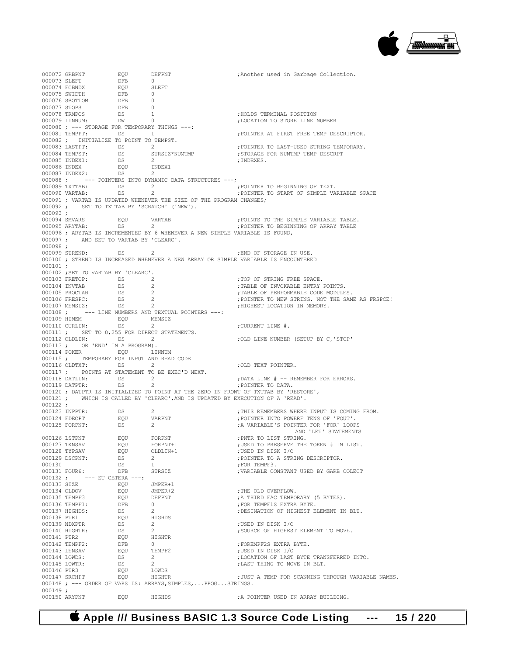

000072 GRBPNT EQU DEFPNT : Another used in Garbage Collection.<br>000073 SLEFT DFB 0 000073 SLEFT DFB 0 000074 FCBNDX EQU SI<br>000075 SWIDTH DEB 0 000075 SWIDTH DFB 0<br>000076 SBOTTOM DFB 0 000076 SBOTTOM DFB 0<br>000077 STOPS DFB 0 000077 STOPS DFB<br>000078 TRMPOS DS<br>000079 LINNUM: DW % 000078 TRMPOS 000078 DS 1 5 and 500078 TRMINAL POSITION 1000079 LINNUM:<br>1000079 LINNUM: DN 0 0 2002 DIA 600079 LINNUM: ; LOCATION TO STORE LINE NUMBER 000080 ; --- STORAGE FOR TEMPORARY THINGS ---:<br>000081 TEMPPT: DS 1 DS 1 1 2000 FOINTER AT FIRST FREE TEMP DESCRIPTOR. 000082 ; INITIALIZE TO POINT TO TEMPST.<br>000083 LASTPT: DS 2 000083 LASTPT: DS 2<br>000084 TEMPST: DS STRSIZ\*NUMTMP : :STORAGE FOR NUMTMP TEMP DESCRPT ; STORAGE FOR NUMTMP TEMP DESCRPT<br>: INDEXES 000085 INDEX1: DS 2 DS 2 ;INDEXES. 000086 INDEX EQU INDEX1 000087 INDEX2: DS 2 000088 ; --- POINTERS INTO DYNAMIC DATA STRUCTURES ---;<br>000089 TXTTAB: DS 2 ; POINTER TO BEGINNING OF TEXT.  $000089$  TXTTAB:  $DS$  2 000090 VARTAB: DS 2 2 2 7 DINTER TO START OF SIMPLE VARIABLE SPACE 000091 ; VARTAB IS UPDATED WHENEVER THE SIZE OF THE PROGRAM CHANGES; 000092 ; SET TO TXTTAB BY 'SCRATCH' ('NEW'). 000093 ;<br>000094 SMVARS 000094 SMVARS EQU VARTAB ;POINTS TO THE SIMPLE VARIABLE TABLE. ; POINTER TO BEGINNING OF ARRAY TABLE 000096 ; ARYTAB IS INCREMENTED BY 6 WHENEVER A NEW SIMPLE VARIABLE IS FOUND, 000097 ; AND SET TO VARTAB BY 'CLEARC'. 000098 ;<br>000099 STREND: 000099 STREND: DS 2 ;END OF STORAGE IN USE. 000100 ; STREND IS INCREASED WHENEVER A NEW ARRAY OR SIMPLE VARIABLE IS ENCOUNTERED 000101 ; 000102 ; SET TO VARTAB BY 'CLEARC'.<br>000103 FRETOP: 0S 2 000103 FRETOP: DS 2 ;TOP OF STRING FREE SPACE. 000104 INVTAB DS 2 ;TABLE OF INVOKABLE ENTRY POINTS. 000105 PROCTAB DS 2 ;TABLE OF PERFORMABLE CODE MODULES. 000106 FRESPC: DS 2 ;POINTER TO NEW STRING. NOT THE SAME AS FRSPCE! 000107 MEMSIZ: DS 2 ;HIGHEST LOCATION IN MEMORY.<br>000108; --- LINE NUMBERS AND TEXTUAL POINTERS ---: --- LINE NUMBERS AND TEXTUAL POINTERS ---: 000109 HIMEM EQU MEMSIZ 000110 CURLIN: DS 2 cURRENT LINE #. 000111 ; SET TO 0,255 FOR DIRECT STATEMENTS.<br>000112 OLDLIN: DS 2 000112 OLDLIN: DS 2 ;OLD LINE NUMBER (SETUP BY C,'STOP' 000113 ; OR 'END' IN A PROGRAM). EQU LINNUM 000115 ; TEMPORARY FOR INPUT AND READ CODE 000116 OLDTXT: DS 2 2 : OLD TEXT POINTER. 000117 ; POINTS AT STATEMENT TO BE EXEC'D NEXT.<br>000118 DATLIN: DS 2 000118 DATLIN: DS 2 2 3 2 DATA LINE # -- REMEMBER FOR ERRORS. 000119 DATPTR: DS 2 DS 2 ; POINTER TO DATA. 000120 ; DATPTR IS INITIALIZED TO POINT AT THE ZERO IN FRONT OF TXTTAB BY 'RESTORE', 000121 ; WHICH IS CALLED BY 'CLEARC',AND IS UPDATED BY EXECUTION OF A 'READ'. 000122 ; 000123 INPPTR: DS 2<br>000124 FDECPT EQU VARPNT : FOINTER INTO POWERF TENS OF FOUT! 000124 FDECPT EQU VARPNT ;POINTER INTO POWERF TENS OF 'FOUT'. 000125 FORPNT: DS 2 2 ;A VARIABLE'S POINTER FOR 'FOR' LOOPS AND 'LET' STATEMENTS 000126 LSTPNT EQU FORPNT ;PNTR TO LIST STRING. 000127 TKNSAV EQU FORPNT+1 ;USED TO PRESERVE THE TOKEN # IN LIST. 000128 TYPSAV EQU OLDLIN+1 ;USED IN DISK I/O 000129 DSCPNT: DS 2<br>000130 DS 1 7 FOR TEMPERENT DESCRIPTOR. 1 <br />
political property<br />
political property<br />
political property<br />
political property<br />
political property<br />
political property<br />
political property<br />
political property<br />
political pro ; VARIABLE CONSTANT USED BY GARB COLECT 000132 ; --- ET CETERA ---: 000133 SIZE EQU JMPER+1 000134 OLDOV EQU JMPER+2 ;THE OLD OVERFLOW. 000135 TEMPF3 EQU DEFPNT ;A THIRD FAC TEMPORARY (5 BYTES).<br>000136 TEMPF1: DFB 0 7 ;FOR TEMPF1S EXTRA BYTE. 000136 TEMPF1: DFB 0 ;FOR TEMPF1S EXTRA BYTE. DS 2<br>DOU HIGHDS 2 ;DESINATION OF HIGHEST ELEMENT IN BLT. 000138 PTR1 BQU HIGHDOO139 NDXPTR DS 2 000139 NDXPTR DS 2 ;USED IN DISK I/O DS 2<br>FOUT HIGHTR: DOURCE OF HIGHEST ELEMENT TO MOVE. 000141 PTR2 <br>000142 TEMPF2: DFB 0 000142 TEMPF2: DFB 0  $\overline{O}$ , FOREMPF2S EXTRA BYTE.<br>000143 LENSAV BQU TEMPF2  $\overline{O}$ , USED IN DISK I/O 000143 LENSAV EQU TEMPF2 ;USED IN DISK I/O 000144 LOWDS: <br>
DS 2<br>
DO00145 LOWTR: DS 2<br>
DO00145 LOWTR: DS 2<br>
DO00145 LOWTR: DS 2<br>
DO00145 LOWTR: DS 2 DS 2<br>  $\frac{1}{2}$   $\frac{1}{2}$   $\frac{1}{2}$   $\frac{1}{2}$   $\frac{1}{2}$   $\frac{1}{2}$   $\frac{1}{2}$   $\frac{1}{2}$   $\frac{1}{2}$   $\frac{1}{2}$   $\frac{1}{2}$   $\frac{1}{2}$   $\frac{1}{2}$   $\frac{1}{2}$   $\frac{1}{2}$   $\frac{1}{2}$   $\frac{1}{2}$   $\frac{1}{2}$   $\frac{1}{2}$   $\frac{1}{2}$   $\frac{1}{2}$   $\frac{1}{$ 000146 PTR3 EQU LOWDS ; JUST A TEMP FOR SCANNING THROUGH VARIABLE NAMES. 000148 ; --- ORDER OF VARS IS: ARRAYS,SIMPLES,...PROG...STRINGS. 000149 ;<br>000150 ARYPNT EQU FIGHDS : A POINTER USED IN ARRAY BUILDING.

 **Apple /// Business BASIC 1.3 Source Code Listing --- 15 / 220**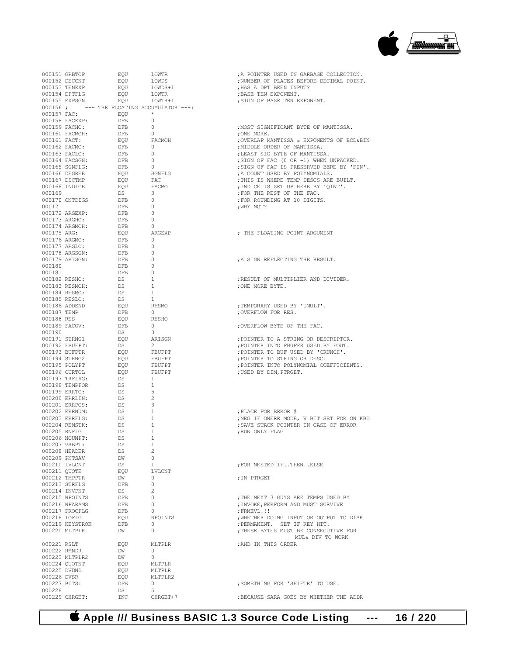

|              |                             |                                                                                                                                                                                                                                                                                                                                                                                                                                                                                                                                                               |                                                      | ; A POINTER USED IN GARBAGE COLLECTION.                  |
|--------------|-----------------------------|---------------------------------------------------------------------------------------------------------------------------------------------------------------------------------------------------------------------------------------------------------------------------------------------------------------------------------------------------------------------------------------------------------------------------------------------------------------------------------------------------------------------------------------------------------------|------------------------------------------------------|----------------------------------------------------------|
|              |                             |                                                                                                                                                                                                                                                                                                                                                                                                                                                                                                                                                               |                                                      | ; NUMBER OF PLACES BEFORE DECIMAL POINT.                 |
|              |                             |                                                                                                                                                                                                                                                                                                                                                                                                                                                                                                                                                               |                                                      |                                                          |
|              |                             |                                                                                                                                                                                                                                                                                                                                                                                                                                                                                                                                                               |                                                      | ; HAS A DPT BEEN INPUT?                                  |
|              |                             |                                                                                                                                                                                                                                                                                                                                                                                                                                                                                                                                                               |                                                      | ; BASE TEN EXPONENT.                                     |
|              |                             |                                                                                                                                                                                                                                                                                                                                                                                                                                                                                                                                                               |                                                      | ; SIGN OF BASE TEN EXPONENT.                             |
|              |                             | 000156; --- THE FLOATING ACCUMULATOR ---:                                                                                                                                                                                                                                                                                                                                                                                                                                                                                                                     |                                                      |                                                          |
|              |                             |                                                                                                                                                                                                                                                                                                                                                                                                                                                                                                                                                               |                                                      |                                                          |
|              |                             | 000157 $FAC:$ EQU $\star$                                                                                                                                                                                                                                                                                                                                                                                                                                                                                                                                     |                                                      |                                                          |
|              |                             | 000158 FACEXP: DFB 0                                                                                                                                                                                                                                                                                                                                                                                                                                                                                                                                          |                                                      |                                                          |
|              | 000159 FACHO:               | <b>DFB</b>                                                                                                                                                                                                                                                                                                                                                                                                                                                                                                                                                    | $\overline{0}$                                       | , MOST SIGNIFICANT BYTE OF MANTISSA.                     |
|              |                             | $\begin{tabular}{lllllllll} \multicolumn{2}{l}{{\small 0.00160\text{ FACMOH:}}} & $\begin{array}{l} $\begin{array}{l} $\begin{array}{l} $\begin{array}{l} $\begin{array}{l} $\begin{array}{l} $\begin{array}{l} $\begin{array}{l} $\begin{array}{l} $\begin{array}{l} $\begin{array}{l} $\begin{array}{l} $\begin{array}{l} $\begin{array}{l} $\begin{array}{l} $\begin{array}{l} $\begin{array}{l} $\begin{array}{l} $\begin{array}{l} $\begin{array}{l} $\begin{array}{l} $\begin{array}{l} $\begin{array}{l} $\begin{array}{l} $\begin{array}{l} $\begin{$ |                                                      |                                                          |
|              |                             |                                                                                                                                                                                                                                                                                                                                                                                                                                                                                                                                                               |                                                      |                                                          |
|              |                             |                                                                                                                                                                                                                                                                                                                                                                                                                                                                                                                                                               |                                                      | ; OVERLAP MANTISSA & EXPONENTS OF BCD&BIN                |
|              |                             |                                                                                                                                                                                                                                                                                                                                                                                                                                                                                                                                                               |                                                      |                                                          |
|              |                             |                                                                                                                                                                                                                                                                                                                                                                                                                                                                                                                                                               |                                                      |                                                          |
|              |                             |                                                                                                                                                                                                                                                                                                                                                                                                                                                                                                                                                               |                                                      |                                                          |
|              |                             |                                                                                                                                                                                                                                                                                                                                                                                                                                                                                                                                                               |                                                      |                                                          |
|              |                             |                                                                                                                                                                                                                                                                                                                                                                                                                                                                                                                                                               |                                                      | ; SIGN OF FAC IS PRESERVED BERE BY 'FIN'.                |
|              |                             |                                                                                                                                                                                                                                                                                                                                                                                                                                                                                                                                                               |                                                      |                                                          |
|              |                             |                                                                                                                                                                                                                                                                                                                                                                                                                                                                                                                                                               |                                                      |                                                          |
|              |                             |                                                                                                                                                                                                                                                                                                                                                                                                                                                                                                                                                               |                                                      |                                                          |
|              |                             |                                                                                                                                                                                                                                                                                                                                                                                                                                                                                                                                                               |                                                      |                                                          |
|              |                             |                                                                                                                                                                                                                                                                                                                                                                                                                                                                                                                                                               |                                                      |                                                          |
|              |                             |                                                                                                                                                                                                                                                                                                                                                                                                                                                                                                                                                               |                                                      |                                                          |
|              |                             |                                                                                                                                                                                                                                                                                                                                                                                                                                                                                                                                                               |                                                      |                                                          |
|              |                             |                                                                                                                                                                                                                                                                                                                                                                                                                                                                                                                                                               |                                                      |                                                          |
|              |                             |                                                                                                                                                                                                                                                                                                                                                                                                                                                                                                                                                               |                                                      |                                                          |
|              |                             | 000172 AKGEAR:<br>000173 ARGHO: DFB 0<br>000174 ARGMOH: DFB 0<br>000175 ARG: EQU ARGEXP                                                                                                                                                                                                                                                                                                                                                                                                                                                                       |                                                      |                                                          |
|              |                             |                                                                                                                                                                                                                                                                                                                                                                                                                                                                                                                                                               |                                                      |                                                          |
|              |                             |                                                                                                                                                                                                                                                                                                                                                                                                                                                                                                                                                               |                                                      |                                                          |
|              |                             |                                                                                                                                                                                                                                                                                                                                                                                                                                                                                                                                                               |                                                      | ; THE FLOATING POINT ARGUMENT                            |
|              |                             |                                                                                                                                                                                                                                                                                                                                                                                                                                                                                                                                                               |                                                      |                                                          |
|              |                             | $000176$ ARGMO: DFB                                                                                                                                                                                                                                                                                                                                                                                                                                                                                                                                           |                                                      |                                                          |
|              | 000177 ARGLO:               | <b>DFB</b>                                                                                                                                                                                                                                                                                                                                                                                                                                                                                                                                                    | $\begin{smallmatrix}&&0\\&&0\\0&&&\end{smallmatrix}$ |                                                          |
|              | 000178 ARGSGN:              | <b>DFB</b>                                                                                                                                                                                                                                                                                                                                                                                                                                                                                                                                                    | $\qquad \qquad \circ$                                |                                                          |
|              |                             |                                                                                                                                                                                                                                                                                                                                                                                                                                                                                                                                                               |                                                      |                                                          |
|              |                             | 000179 ARISGN: DFB 0                                                                                                                                                                                                                                                                                                                                                                                                                                                                                                                                          |                                                      | A SIGN REFLECTING THE RESULT.                            |
|              | 000180                      | $\begin{tabular}{ll} DFB & 0 \\ DEB & 0 \\ \end{tabular}$                                                                                                                                                                                                                                                                                                                                                                                                                                                                                                     |                                                      |                                                          |
| 000181       |                             |                                                                                                                                                                                                                                                                                                                                                                                                                                                                                                                                                               |                                                      |                                                          |
|              |                             |                                                                                                                                                                                                                                                                                                                                                                                                                                                                                                                                                               |                                                      |                                                          |
|              |                             | 000182 RESHO: DS 1                                                                                                                                                                                                                                                                                                                                                                                                                                                                                                                                            |                                                      | ; RESULT OF MULTIPLIER AND DIVIDER.                      |
|              |                             |                                                                                                                                                                                                                                                                                                                                                                                                                                                                                                                                                               |                                                      | ; ONE MORE BYTE.                                         |
|              |                             | 000183 RESMOH: DS<br>000184 RESMO: DS<br>DS <sub>2</sub>                                                                                                                                                                                                                                                                                                                                                                                                                                                                                                      | $\frac{1}{1}$                                        |                                                          |
|              |                             |                                                                                                                                                                                                                                                                                                                                                                                                                                                                                                                                                               |                                                      |                                                          |
|              |                             |                                                                                                                                                                                                                                                                                                                                                                                                                                                                                                                                                               |                                                      |                                                          |
|              |                             | 000184 KESEO:<br>000185 RESLO: DS<br>000186 ADDEND EQU<br>000187 TEMP DFB                                                                                                                                                                                                                                                                                                                                                                                                                                                                                     | $\frac{1}{\text{RESMO}}$                             | :TEMPORARY USED BY 'UMULT'.                              |
|              |                             |                                                                                                                                                                                                                                                                                                                                                                                                                                                                                                                                                               |                                                      | ; OVERFLOW FOR RES.                                      |
|              |                             | EQU<br>DFB 0<br>DS 3                                                                                                                                                                                                                                                                                                                                                                                                                                                                                                                                          |                                                      |                                                          |
|              | 000188 RES<br>000189 FACOV: |                                                                                                                                                                                                                                                                                                                                                                                                                                                                                                                                                               |                                                      |                                                          |
|              |                             | DFB                                                                                                                                                                                                                                                                                                                                                                                                                                                                                                                                                           |                                                      | ; OVERFLOW BYTE OF THE FAC.                              |
|              | 000190                      |                                                                                                                                                                                                                                                                                                                                                                                                                                                                                                                                                               |                                                      | ARISGN<br>2<br>FBUFPT<br>FBUFPT<br>FBUFPT<br>FBUFFT<br>1 |
|              |                             |                                                                                                                                                                                                                                                                                                                                                                                                                                                                                                                                                               |                                                      |                                                          |
|              |                             | 000191 STRNG1 EQU ARISGN                                                                                                                                                                                                                                                                                                                                                                                                                                                                                                                                      |                                                      | ; POINTER TO A STRING OR DESCRIPTOR.                     |
|              | 000192 FBUFPT:              | DS <sub>1</sub>                                                                                                                                                                                                                                                                                                                                                                                                                                                                                                                                               |                                                      | FOINTER INTO FBUFFR USED BY FOUT.                        |
|              |                             | EQU                                                                                                                                                                                                                                                                                                                                                                                                                                                                                                                                                           |                                                      |                                                          |
|              | 000193 BUFPTR               | 000193 BUFFIR<br>000194 STRNG2 EQU<br>000195 POLYPT EQU                                                                                                                                                                                                                                                                                                                                                                                                                                                                                                       |                                                      | ; POINTER TO BUF USED BY 'CRUNCH'.                       |
|              |                             |                                                                                                                                                                                                                                                                                                                                                                                                                                                                                                                                                               |                                                      | ; POINTER TO STRING OR DESC.                             |
|              |                             |                                                                                                                                                                                                                                                                                                                                                                                                                                                                                                                                                               |                                                      | ; POINTER INTO POLYNOMIAL COEFFICIENTS.                  |
|              |                             |                                                                                                                                                                                                                                                                                                                                                                                                                                                                                                                                                               |                                                      |                                                          |
|              | 000196 CURTOL               | EQU                                                                                                                                                                                                                                                                                                                                                                                                                                                                                                                                                           |                                                      | ; USED BY DIM, PTRGET.                                   |
|              |                             | 000197 TRFLAG: DS                                                                                                                                                                                                                                                                                                                                                                                                                                                                                                                                             |                                                      |                                                          |
|              | 000198 TEMPFOR              | DS                                                                                                                                                                                                                                                                                                                                                                                                                                                                                                                                                            | $\begin{array}{c} 1 \\ 5 \end{array}$                |                                                          |
|              |                             |                                                                                                                                                                                                                                                                                                                                                                                                                                                                                                                                                               |                                                      |                                                          |
|              |                             |                                                                                                                                                                                                                                                                                                                                                                                                                                                                                                                                                               |                                                      |                                                          |
|              |                             | 000199 ERRTO:<br>000200 ERRLIN: DS<br>000001 TTTL: DS                                                                                                                                                                                                                                                                                                                                                                                                                                                                                                         | $\overline{\phantom{0}}$                             |                                                          |
|              | 000201 ERRPOS:              |                                                                                                                                                                                                                                                                                                                                                                                                                                                                                                                                                               |                                                      |                                                          |
|              |                             | $\begin{tabular}{llll} \texttt{DS} & & 3 \\ \texttt{DS} & & 1 \end{tabular}$                                                                                                                                                                                                                                                                                                                                                                                                                                                                                  |                                                      |                                                          |
|              | 000202 ERRNUM:              |                                                                                                                                                                                                                                                                                                                                                                                                                                                                                                                                                               |                                                      | ; PLACE FOR ERROR #                                      |
|              |                             | 000203 ERRFLG: $DS$                                                                                                                                                                                                                                                                                                                                                                                                                                                                                                                                           | $\sim$ 1                                             | ; NEG IF ONERR MODE, V BIT SET FOR ON KBD                |
|              | 000204 REMSTK:              | DS                                                                                                                                                                                                                                                                                                                                                                                                                                                                                                                                                            | $\overline{1}$                                       | ; SAVE STACK POINTER IN CASE OF ERROR                    |
|              |                             |                                                                                                                                                                                                                                                                                                                                                                                                                                                                                                                                                               |                                                      | :RUN ONLY FLAG                                           |
|              | 000205 RNFLG                | DS                                                                                                                                                                                                                                                                                                                                                                                                                                                                                                                                                            | $\mathbf{1}$                                         |                                                          |
|              | 000206 NOUNPT:              | DS                                                                                                                                                                                                                                                                                                                                                                                                                                                                                                                                                            | $\mathbf{1}$                                         |                                                          |
|              | 000207 VRBPT:               | DS                                                                                                                                                                                                                                                                                                                                                                                                                                                                                                                                                            | $\mathbf{1}$                                         |                                                          |
|              | 000208 HEADER               | DS.                                                                                                                                                                                                                                                                                                                                                                                                                                                                                                                                                           | $\overline{2}$                                       |                                                          |
|              |                             |                                                                                                                                                                                                                                                                                                                                                                                                                                                                                                                                                               |                                                      |                                                          |
|              | 000209 PNTSAV               | DW                                                                                                                                                                                                                                                                                                                                                                                                                                                                                                                                                            | $\circ$                                              |                                                          |
|              | 000210 LVLCNT               | DS                                                                                                                                                                                                                                                                                                                                                                                                                                                                                                                                                            | $\mathbf{1}$                                         | FOR NESTED IFTHENELSE                                    |
|              | 000211 QUOTE                | EQU                                                                                                                                                                                                                                                                                                                                                                                                                                                                                                                                                           | LVLCNT                                               |                                                          |
|              |                             |                                                                                                                                                                                                                                                                                                                                                                                                                                                                                                                                                               |                                                      |                                                          |
|              | 000212 TMPPTR               | DW                                                                                                                                                                                                                                                                                                                                                                                                                                                                                                                                                            | $\circ$                                              | ; IN PTRGET                                              |
|              | 000213 STRFLG               | DFB                                                                                                                                                                                                                                                                                                                                                                                                                                                                                                                                                           | $\mathbf{0}$                                         |                                                          |
|              | 000214 INVPNT               | DS                                                                                                                                                                                                                                                                                                                                                                                                                                                                                                                                                            | $\overline{2}$                                       |                                                          |
|              |                             |                                                                                                                                                                                                                                                                                                                                                                                                                                                                                                                                                               | $\circ$                                              | : THE NEXT 3 GUYS ARE TEMPS USED BY                      |
|              | 000215 NPOINTS              | DFB                                                                                                                                                                                                                                                                                                                                                                                                                                                                                                                                                           |                                                      |                                                          |
|              | 000216 NPARAMS              | DFB                                                                                                                                                                                                                                                                                                                                                                                                                                                                                                                                                           | 0                                                    | ; INVOKE, PERFORM AND MUST SURVIVE                       |
|              | 000217 PROCFLG              | DFB                                                                                                                                                                                                                                                                                                                                                                                                                                                                                                                                                           | $\circ$                                              | ; FRMEVL!!!                                              |
|              |                             |                                                                                                                                                                                                                                                                                                                                                                                                                                                                                                                                                               |                                                      |                                                          |
| 000218 IOFLG |                             | EOU                                                                                                                                                                                                                                                                                                                                                                                                                                                                                                                                                           | NPOINTS                                              | ; WHETHER DOING INPUT OR OUTPUT TO DISK                  |
|              | 000219 KEYSTROK             | DFB                                                                                                                                                                                                                                                                                                                                                                                                                                                                                                                                                           | $\circ$                                              | ; PERMANENT, SET IF KEY HIT.                             |
|              | 000220 MLTPLR               | DW                                                                                                                                                                                                                                                                                                                                                                                                                                                                                                                                                            | $\Omega$                                             | ; THESE BYTES MUST BE CONSECUTIVE FOR                    |
|              |                             |                                                                                                                                                                                                                                                                                                                                                                                                                                                                                                                                                               |                                                      |                                                          |
|              |                             |                                                                                                                                                                                                                                                                                                                                                                                                                                                                                                                                                               |                                                      | MUL& DIV TO WORK                                         |
| 000221 RSLT  |                             | EOU                                                                                                                                                                                                                                                                                                                                                                                                                                                                                                                                                           | MLTPLR                                               | ; AND IN THIS ORDER                                      |
|              | 000222 RMNDR                | DW                                                                                                                                                                                                                                                                                                                                                                                                                                                                                                                                                            | $\Omega$                                             |                                                          |
|              |                             |                                                                                                                                                                                                                                                                                                                                                                                                                                                                                                                                                               |                                                      |                                                          |
|              | 000223 MLTPLR2              | DW                                                                                                                                                                                                                                                                                                                                                                                                                                                                                                                                                            | $\circ$                                              |                                                          |
|              | 000224 OUOTNT               | EOU                                                                                                                                                                                                                                                                                                                                                                                                                                                                                                                                                           | MLTPLR                                               |                                                          |
|              | 000225 DVDND                | EQU                                                                                                                                                                                                                                                                                                                                                                                                                                                                                                                                                           | MLTPLR                                               |                                                          |
|              |                             |                                                                                                                                                                                                                                                                                                                                                                                                                                                                                                                                                               |                                                      |                                                          |
| 000226 DVSR  |                             | EOU                                                                                                                                                                                                                                                                                                                                                                                                                                                                                                                                                           | MLTPLR2                                              |                                                          |
|              | 000227 BITS:                | DFB                                                                                                                                                                                                                                                                                                                                                                                                                                                                                                                                                           | $\Omega$                                             | ; SOMETHING FOR 'SHIFTR' TO USE.                         |
| 000228       |                             | DS                                                                                                                                                                                                                                                                                                                                                                                                                                                                                                                                                            | 5                                                    |                                                          |
|              |                             |                                                                                                                                                                                                                                                                                                                                                                                                                                                                                                                                                               |                                                      |                                                          |
|              | 000229 CHRGET:              | INC                                                                                                                                                                                                                                                                                                                                                                                                                                                                                                                                                           | CHRGET+7                                             | ; BECAUSE SARA GOES BY WHETHER THE ADDR                  |
|              |                             |                                                                                                                                                                                                                                                                                                                                                                                                                                                                                                                                                               |                                                      |                                                          |

 **Apple /// Business BASIC 1.3 Source Code Listing --- 16 / 220**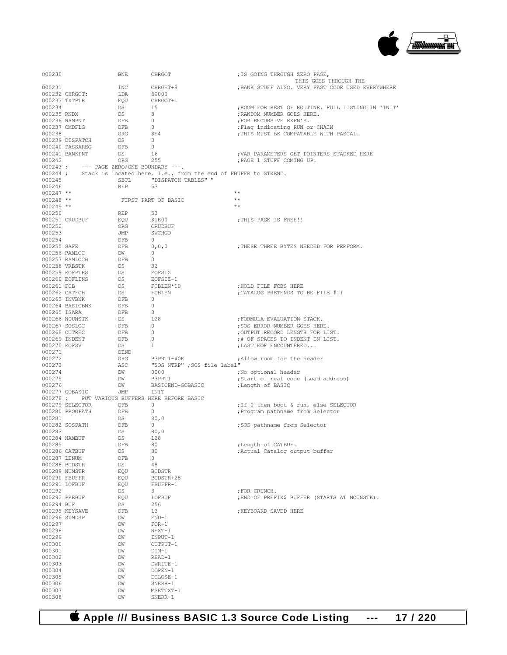

| 000230                |                 | BNE                                     | CHRGOT                                                                 | ; IS GOING THROUGH ZERO PAGE,                         |
|-----------------------|-----------------|-----------------------------------------|------------------------------------------------------------------------|-------------------------------------------------------|
|                       |                 |                                         |                                                                        | THIS GOES THROUGH THE                                 |
| 000231                |                 | INC                                     | CHRGET+8                                                               | ; BANK STUFF ALSO. VERY FAST CODE USED EVERYWHERE     |
|                       | 000232 CHRGOT:  | LDA                                     | 60000                                                                  |                                                       |
|                       | 000233 TXTPTR   | EQU                                     | CHRGOT+1                                                               |                                                       |
| 000234<br>000235 RNDX |                 | DS<br>DS                                | 15<br>8                                                                | ; ROOM FOR REST OF ROUTINE. FULL LISTING IN 'INIT'    |
|                       | 000236 NAMPNT   | DFB                                     | $\overline{0}$                                                         | ; RANDOM NUMBER GOES HERE.<br>; FOR RECURSIVE EXFN'S. |
|                       | 000237 CMDFLG   | DFB                                     | $\overline{0}$                                                         | ; Flag indicating RUN or CHAIN                        |
| 000238                |                 | ORG                                     | SE4                                                                    | ; THIS MUST BE COMPATABLE WITH PASCAL.                |
|                       | 000239 DISPATCH | DS                                      | $\overline{\mathbf{3}}$                                                |                                                       |
|                       | 000240 PASSAREG | DFB                                     | $\overline{0}$                                                         |                                                       |
|                       | 000241 BANKPNT  | DS                                      | 16                                                                     | ; VAR PARAMETERS GET POINTERS STACKED HERE            |
| 000242                |                 | ORG                                     | 255                                                                    | ; PAGE 1 STUFF COMING UP.                             |
|                       |                 | 000243; --- PAGE ZERO/ONE BOUNDARY ---. |                                                                        |                                                       |
|                       |                 |                                         | 000244; Stack is located here. I.e., from the end of FBUFFR to STKEND. |                                                       |
| 000245                |                 | SBTL                                    | "DISPATCH TABLES" "                                                    |                                                       |
| 000246                |                 | REP                                     | 53                                                                     |                                                       |
| $000247$ **           |                 |                                         |                                                                        | $**$                                                  |
| $000248$ **           |                 |                                         | FIRST PART OF BASIC                                                    | $\star$ $\star$                                       |
| $000249$ **           |                 |                                         |                                                                        | $**$                                                  |
| 000250                |                 | REP                                     | - 53                                                                   |                                                       |
|                       | 000251 CRUDBUF  | EQU                                     | \$1E00                                                                 | ; THIS PAGE IS FREE!!                                 |
| 000252                |                 | ORG                                     | CRUDBUF                                                                |                                                       |
| 000253                |                 | JMP                                     | SWCHGO                                                                 |                                                       |
| 000254                |                 | DFB                                     | $\overline{0}$                                                         |                                                       |
| 000255 SAFE           |                 | DFB                                     | 0,0,0                                                                  | ; THESE THREE BYTES NEEDED FOR PERFORM.               |
|                       | 000256 RAMLOC   | DW                                      | $\sim$ 0                                                               |                                                       |
|                       | 000257 RAMLOCB  | DFB                                     | $\overline{0}$                                                         |                                                       |
|                       | 000258 VRBSTK   | DS                                      | - 32                                                                   |                                                       |
|                       | 000259 EOFPTRS  | DS                                      | EOFSIZ                                                                 |                                                       |
|                       | 000260 EOFLINS  | DS                                      | EOFSIZ-1                                                               |                                                       |
| 000261 FCB            |                 | DS                                      | FCBLEN*10                                                              | HOLD FILE FCBS HERE                                   |
|                       | 000262 CATFCB   | DS                                      | FCBLEN                                                                 | ; CATALOG PRETENDS TO BE FILE #11                     |
|                       | 000263 INVBNK   | DFB                                     | $\overline{0}$                                                         |                                                       |
|                       | 000264 BASICBNK | DFB<br>DFB                              | $\overline{0}$<br>$\circ$                                              |                                                       |
| 000265 ISARA          | 000266 NOUNSTK  | DS                                      | 128                                                                    | ; FORMULA EVALUATION STACK.                           |
|                       | 000267 SOSLOC   | DFB                                     | $\sim$ 0                                                               | ; SOS ERROR NUMBER GOES HERE.                         |
|                       | 000268 OUTREC   | DFB                                     | $\overline{\phantom{0}}$                                               | ; OUTPUT RECORD LENGTH FOR LIST.                      |
|                       | 000269 INDENT   | DFB                                     | 0                                                                      | ;# OF SPACES TO INDENT IN LIST.                       |
| 000270 EOFSV          |                 | DS                                      | 1                                                                      | ; LAST EOF ENCOUNTERED                                |
| 000271                |                 | DEND                                    |                                                                        |                                                       |
| 000272                |                 | ORG                                     | B3PRT1-\$0E                                                            | ; Allow room for the header                           |
| 000273                |                 | ASC                                     | "SOS NTRP" ;SOS file label"                                            |                                                       |
| 000274                |                 | DW                                      | 0000                                                                   | ;No optional header                                   |
| 000275                |                 | DW                                      | B3PRT1                                                                 | ;Start of real code (Load address)                    |
| 000276                |                 | DW                                      | BASICEND-GOBASIC                                                       | ;Length of BASIC                                      |
|                       | 000277 GOBASIC  | JMP                                     | INIT                                                                   |                                                       |
|                       |                 |                                         | 000278 ; PUT VARIOUS BUFFERS HERE BEFORE BASIC                         |                                                       |
|                       | 000279 SELECTOR | DFB                                     | $\sim$ 0                                                               | ; If 0 then boot & run, else SELECTOR                 |
|                       | 000280 PROGPATH | DFB                                     | $\sim$ 0                                                               | ; Program pathname from Selector                      |
| 000281                |                 | DS                                      | 80,0                                                                   |                                                       |
|                       | 000282 SOSPATH  | DFB                                     | $\circ$                                                                | ;SOS pathname from Selector                           |
| 000283                |                 | DS                                      | 80.0                                                                   |                                                       |
|                       | 000284 NAMBUF   | DS                                      | 128                                                                    |                                                       |
| 000285                |                 | DFB                                     | 80                                                                     | ; Length of CATBUF.                                   |
| 000286 CATBUF         |                 | DS                                      | 80                                                                     | ; Actual Catalog output buffer                        |
| 000287 LENUM          |                 | DFB                                     | 0                                                                      |                                                       |
|                       | 000288 BCDSTR   | DS                                      | 48                                                                     |                                                       |
| 000289 NUMSTR         |                 | EOU                                     | <b>BCDSTR</b>                                                          |                                                       |
| 000290 FBUFFR         |                 | EQU                                     | BCDSTR+28                                                              |                                                       |
| 000291 LOFBUF         |                 | EQU                                     | FBUFFR-1                                                               |                                                       |
| 000292                |                 | DS                                      | 3                                                                      | ; FOR CRUNCH.                                         |
|                       | 000293 PREBUF   | EQU                                     | LOFBUF                                                                 | ; END OF PREFIX\$ BUFFER (STARTS AT NOUNSTK).         |
| 000294 BUF            |                 | DS                                      | 256                                                                    |                                                       |
|                       | 000295 KEYSAVE  | DFB                                     | 13                                                                     | : KEYBOARD SAVED HERE                                 |
| 000296 STMDSP         |                 | DW                                      | $END-1$                                                                |                                                       |
| 000297<br>000298      |                 | DW                                      | $FOR-1$<br>$NEXT-1$                                                    |                                                       |
| 000299                |                 | DW<br>DW                                |                                                                        |                                                       |
| 000300                |                 | DW                                      | INPUT-1<br>OUTPUT-1                                                    |                                                       |
| 000301                |                 | DW                                      | DIM-1                                                                  |                                                       |
| 000302                |                 | DW                                      | READ-1                                                                 |                                                       |
| 000303                |                 | DW                                      | DWRITE-1                                                               |                                                       |
| 000304                |                 | DW                                      | DOPEN-1                                                                |                                                       |
| 000305                |                 | DW                                      | DCLOSE-1                                                               |                                                       |
| 000306                |                 | DW                                      | $SNERR-1$                                                              |                                                       |
| 000307                |                 | DW                                      | MSETTXT-1                                                              |                                                       |
| 000308                |                 | DW                                      | SNERR-1                                                                |                                                       |
|                       |                 |                                         |                                                                        |                                                       |

 **Apple /// Business BASIC 1.3 Source Code Listing --- 17 / 220**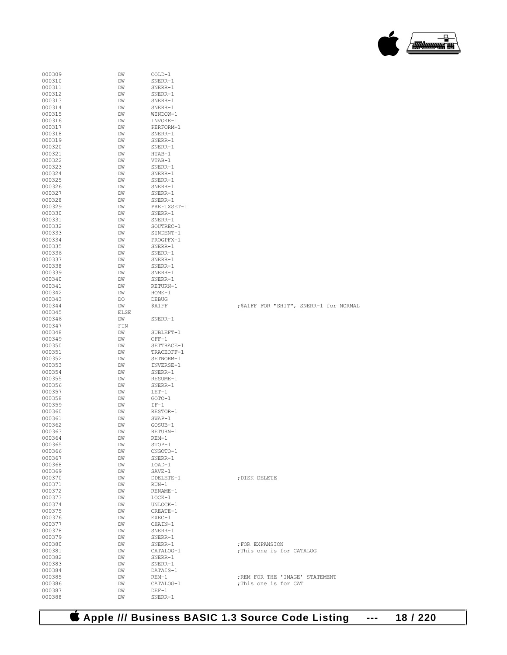| 000309           | DW          | COLD-1             |                                         |
|------------------|-------------|--------------------|-----------------------------------------|
| 000310           | DW          | SNERR-1            |                                         |
| 000311           | DW          | SNERR-1            |                                         |
| 000312           | DW          | SNERR-1            |                                         |
| 000313           |             | SNERR-1            |                                         |
|                  | DW          |                    |                                         |
| 000314           | DM          | SNERR-1            |                                         |
| 000315           | DW          | WINDOW-1           |                                         |
| 000316           | DW          | INVOKE-1           |                                         |
| 000317           | DW          | PERFORM-1          |                                         |
| 000318           | DW          | SNERR-1            |                                         |
| 000319           | DW          | SNERR-1            |                                         |
| 000320           | DM          | SNERR-1            |                                         |
| 000321           | DW          | $HTAB-1$           |                                         |
| 000322           | DW          | VTAB-1             |                                         |
| 000323           | DW          | SNERR-1            |                                         |
| 000324           | DW          | SNERR-1            |                                         |
| 000325           | DW          | SNERR-1            |                                         |
| 000326           | DM          | SNERR-1            |                                         |
| 000327           | DW          | SNERR-1            |                                         |
| 000328           | DW          | SNERR-1            |                                         |
| 000329           | DW          | PREFIXSET-1        |                                         |
| 000330           | DW          | SNERR-1            |                                         |
| 000331           |             |                    |                                         |
|                  | DW          | SNERR-1            |                                         |
| 000332           | DM          | SOUTREC-1          |                                         |
| 000333           | DW          | SINDENT-1          |                                         |
| 000334           | DW          | PROGPFX-1          |                                         |
| 000335           | DM          | SNERR-1            |                                         |
| 000336           | DW          | SNERR-1            |                                         |
| 000337           | DW          | SNERR-1            |                                         |
| 000338           | DM          | SNERR-1            |                                         |
| 000339           | DW          | SNERR-1            |                                         |
| 000340           | DW          | SNERR-1            |                                         |
| 000341           | DW          | RETURN-1           |                                         |
| 000342           | DW          | $HOME-1$           |                                         |
| 000343           | DO          | <b>DEBUG</b>       |                                         |
| 000344           | DM          | \$A1FF             | ; \$A1FF FOR "SHIT", SNERR-1 for NORMAL |
| 000345           | <b>ELSE</b> |                    |                                         |
| 000346           | DW          | SNERR-1            |                                         |
| 000347           | FIN         |                    |                                         |
| 000348           | DW          | SUBLEFT-1          |                                         |
| 000349           | DW          | $OFF-1$            |                                         |
| 000350           | DW          | SETTRACE-1         |                                         |
| 000351           |             | TRACEOFF-1         |                                         |
| 000352           | DW          |                    |                                         |
|                  | DW          | SETNORM-1          |                                         |
| 000353           | DM          | INVERSE-1          |                                         |
| 000354           | DW          | SNERR-1            |                                         |
| 000355           | DW          | RESUME-1           |                                         |
| 000356           | DM          | SNERR-1            |                                         |
| 000357           | DW          | $LET-1$            |                                         |
| 000358           | DW          | GOTO-1             |                                         |
| 000359           | DW          | $IF-1$             |                                         |
| 000360           | DW          | RESTOR-1           |                                         |
| 000361           | DW          | $SWAP-1$           |                                         |
| 000362           | DW          | GOSUB-1            |                                         |
| 000363           | DW          | RETURN-1           |                                         |
| 000364           | DM          | REM-1              |                                         |
| 000365           | DW          | STOP-1             |                                         |
| 000366           | DW          | ONGOTO-1           |                                         |
| 000367           | DW          | SNERR-1            |                                         |
| 000368           | DW          | $LOAD-1$           |                                         |
| 000369           | DW          | $SAVE-1$           |                                         |
| 000370           | DW          | DDELETE-1          | ; DISK DELETE                           |
| 000371           | DW          | $RUN-1$            |                                         |
|                  |             | RENAME-1           |                                         |
| 000372           | DW          |                    |                                         |
| 000373           | DW          | $LOCK-1$           |                                         |
| 000374           | DW          | UNLOCK-1           |                                         |
| 000375           | DW          | CREATE-1           |                                         |
| 000376           | DW          | EXEC-1             |                                         |
| 000377           | DW          | CHAIN-1            |                                         |
| 000378           | DW          | SNERR-1            |                                         |
| 000379           | DW          | $SNERR-1$          |                                         |
| 000380           | DW          | SNERR-1            | ; FOR EXPANSION                         |
| 000381           | DW          | CATALOG-1          | ; This one is for CATALOG               |
| 000382           | DW          | SNERR-1            |                                         |
| 000383           | DW          | SNERR-1            |                                         |
| 000384           |             |                    |                                         |
| 000385           | DM          | DATAIS-1           |                                         |
|                  | DM          | $REM-1$            | ; REM FOR THE 'IMAGE' STATEMENT         |
|                  | DW          |                    |                                         |
| 000386           |             | CATALOG-1          | ; This one is for CAT                   |
| 000387<br>000388 | DW<br>DW    | $DEF-1$<br>SNERR-1 |                                         |

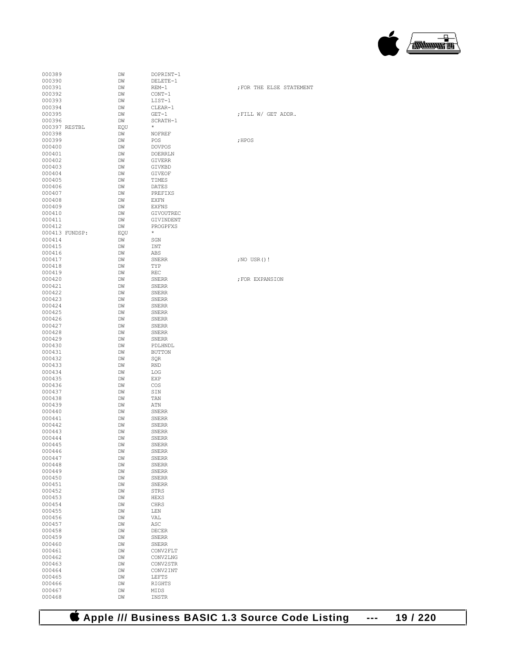

| 000389           |                | DM       | DOPRINT-1              |        |
|------------------|----------------|----------|------------------------|--------|
| 000390           |                | DW       | DELETE-1               |        |
| 000391           |                | DW       | $REM-1$                | ; FOR  |
| 000392           |                | DM       | CONT-1                 |        |
| 000393           |                | DW       | LIST-1                 |        |
| 000394           |                | DW       | CLEAR-1                |        |
| 000395           |                | DM       | $GET-1$                | ; FILL |
| 000396           |                | DW       | SCRATH-1               |        |
|                  | 000397 RESTBL  | EQU      | $^{\star}$             |        |
| 000398           |                | DM       | NOFREF                 |        |
| 000399           |                | DW       | POS                    | ; HPOS |
| 000400           |                | DW       | <b>DOVPOS</b>          |        |
| 000401           |                | DM       | DOERRLN                |        |
| 000402           |                | DW       | GIVERR                 |        |
| 000403           |                | DW       | GIVKBD                 |        |
| 000404           |                | DM       | <b>GIVEOF</b>          |        |
| 000405           |                | DW       | TIMES                  |        |
| 000406           |                | DW       | <b>DATES</b>           |        |
| 000407           |                | DM       | PREFIXS                |        |
| 000408           |                | DW       | <b>EXFN</b>            |        |
| 000409<br>000410 |                | DW       | <b>EXFNS</b>           |        |
| 000411           |                | DM<br>DW | GIVOUTREC<br>GIVINDENT |        |
| 000412           |                | DW       | PROGPFXS               |        |
|                  | 000413 FUNDSP: | EQU      | $^{\star}$             |        |
| 000414           |                | DW       | SGN                    |        |
| 000415           |                | DW       | INT                    |        |
| 000416           |                | DM       | ABS                    |        |
| 000417           |                | DW       | <b>SNERR</b>           | ; NO U |
| 000418           |                | DW       | TYP                    |        |
| 000419           |                | DM       | REC                    |        |
| 000420           |                | DW       | <b>SNERR</b>           | ; FOR  |
| 000421           |                | DW       | <b>SNERR</b>           |        |
| 000422           |                | DM       | SNERR                  |        |
| 000423           |                | DW       | <b>SNERR</b>           |        |
| 000424           |                | DW       | <b>SNERR</b>           |        |
| 000425           |                | DM       | SNERR                  |        |
| 000426           |                | DW       | <b>SNERR</b>           |        |
| 000427           |                | DW       | <b>SNERR</b>           |        |
| 000428           |                | DM       | SNERR                  |        |
| 000429           |                | DW       | <b>SNERR</b>           |        |
| 000430           |                | DW       | PDLHNDL                |        |
| 000431           |                | DM       | <b>BUTTON</b>          |        |
| 000432           |                | DW       | SQR                    |        |
| 000433           |                | DW       | <b>RND</b>             |        |
| 000434           |                | DM       | LOG                    |        |
| 000435           |                | DW       | <b>EXP</b>             |        |
| 000436<br>000437 |                | DW       | COS                    |        |
| 000438           |                | DM<br>DW | SIN<br>TAN             |        |
| 000439           |                | DW       | ATN                    |        |
| 000440           |                | DM       | <b>SNERR</b>           |        |
| 000441           |                | DM       | <b>SNERR</b>           |        |
| 000442           |                | DM       | <b>SNERR</b>           |        |
| 000443           |                | DM       | <b>SNERR</b>           |        |
| 000444           |                | DW       | <b>SNERR</b>           |        |
| 000445           |                | DW       | SNERR                  |        |
| 000446           |                | DW       | SNERR                  |        |
| 000447           |                | DW       | <b>SNERR</b>           |        |
| 000448           |                | DW       | SNERR                  |        |
| 000449           |                | DW       | SNERR                  |        |
| 000450           |                | DW       | <b>SNERR</b>           |        |
| 000451           |                | DW       | <b>SNERR</b>           |        |
| 000452           |                | DW       | STRS                   |        |
| 000453           |                | DW       | HEXS                   |        |
| 000454           |                | DW       | CHRS                   |        |
| 000455           |                | DW       | LEN                    |        |
| 000456           |                | DW       | VAL                    |        |
| 000457           |                | DW       | ASC                    |        |
| 000458           |                | DW       | <b>DECER</b>           |        |
| 000459           |                | DW       | <b>SNERR</b>           |        |
| 000460           |                | DW       | <b>SNERR</b>           |        |
| 000461           |                | DW       | CONV2FLT               |        |
| 000462           |                | DW       | CONV2LNG               |        |
| 000463           |                | DW       | CONV2STR               |        |
| 000464           |                | DW       | CONV2INT               |        |
| 000465           |                | DW       | LEFTS                  |        |
| 000466           |                | DW       | RIGHTS                 |        |
| 000467           |                | DW       | MIDS                   |        |
| 000468           |                | DW       | INSTR                  |        |

; FOR THE ELSE STATEMENT  $\begin{aligned} \texttt{; FILL W / GET ADDR.} \end{aligned}$ 

; NO USR()!

; FOR EXPANSION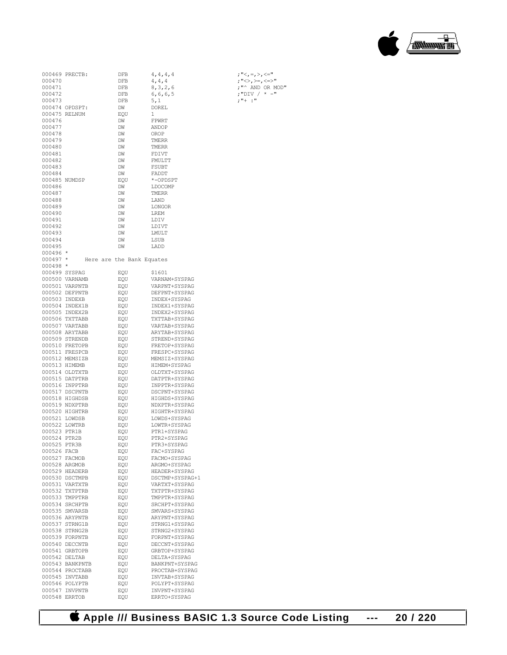## **Apple /// Business BASIC 1.3 Source Code Listing --- 20 / 220**

|              | 000469 PRECTB:  | DFB                       | 4, 4, 4, 4      | ; "<, =, >, <=" |
|--------------|-----------------|---------------------------|-----------------|-----------------|
| 000470       |                 | DFB                       | 4, 4, 4         | ; "<>, >=, <=>" |
| 000471       |                 | <b>DFB</b>                | 8, 3, 2, 6      | ;"^ AND OR MOD" |
| 000472       |                 | DFB                       | 6,6,6,5         | ;"DIV / * -"    |
| 000473       |                 | DFB                       | 5,1             | $: "++ : "$     |
|              | 000474 OPDSPT:  | DM                        | <b>DOREL</b>    |                 |
|              | 000475 RELNUM   | EOU                       | 1               |                 |
| 000476       |                 | DM                        | FPWRT           |                 |
| 000477       |                 | DM                        | ANDOP           |                 |
| 000478       |                 | DM                        | OROP            |                 |
| 000479       |                 | DM                        | TMERR           |                 |
| 000480       |                 | DM                        | TMERR           |                 |
| 000481       |                 | DM                        | FDIVT           |                 |
| 000482       |                 | DM                        | FMULTT          |                 |
| 000483       |                 | DM                        | <b>FSUBT</b>    |                 |
| 000484       |                 | DM                        | FADDT           |                 |
|              | 000485 NUMDSP   | EQU                       | *-OPDSPT        |                 |
| 000486       |                 | DM                        | LDOCOMP         |                 |
| 000487       |                 | DM                        | TMERR           |                 |
| 000488       |                 | DM                        | LAND            |                 |
| 000489       |                 | DM                        | LONGOR          |                 |
| 000490       |                 | DM                        | LREM            |                 |
| 000491       |                 | DM                        | LDIV            |                 |
| 000492       |                 | DM                        | LDIVT           |                 |
| 000493       |                 | DM                        | LMULT           |                 |
| 000494       |                 | DM                        | LSUB            |                 |
| 000495       |                 | DM                        | LADD            |                 |
| 000496 *     |                 |                           |                 |                 |
| $000497 *$   |                 | Here are the Bank Equates |                 |                 |
| 000498 *     |                 |                           |                 |                 |
|              | 000499 SYSPAG   | EOU                       | \$1601          |                 |
|              | 000500 VARNAMB  | EQU                       | VARNAM+SYSPAG   |                 |
|              | 000501 VARPNTB  | EQU                       | VARPNT+SYSPAG   |                 |
|              | 000502 DEFPNTB  | EQU                       | DEFPNT+SYSPAG   |                 |
|              | 000503 INDEXB   | EQU                       | INDEX+SYSPAG    |                 |
|              | 000504 INDEX1B  | EQU                       | INDEX1+SYSPAG   |                 |
|              | 000505 INDEX2B  | EQU                       | INDEX2+SYSPAG   |                 |
|              | 000506 TXTTABB  | EQU                       | TXTTAB+SYSPAG   |                 |
|              | 000507 VARTABB  | EQU                       | VARTAB+SYSPAG   |                 |
|              | 000508 ARYTABB  | EQU                       | ARYTAB+SYSPAG   |                 |
|              | 000509 STRENDB  | EQU                       | STREND+SYSPAG   |                 |
|              | 000510 FRETOPB  | EQU                       | FRETOP+SYSPAG   |                 |
|              | 000511 FRESPCB  | EQU                       | FRESPC+SYSPAG   |                 |
|              | 000512 MEMSIZB  | EQU                       | MEMSIZ+SYSPAG   |                 |
|              | 000513 HIMEMB   | EQU                       | HIMEM+SYSPAG    |                 |
|              | 000514 OLDTXTB  | EQU                       | OLDTXT+SYSPAG   |                 |
|              | 000515 DATPTRB  | EQU                       | DATPTR+SYSPAG   |                 |
|              | 000516 INPPTRB  | EQU                       | INPPTR+SYSPAG   |                 |
|              | 000517 DSCPNTB  | EQU                       | DSCPNT+SYSPAG   |                 |
|              | 000518 HIGHDSB  | EQU                       | HIGHDS+SYSPAG   |                 |
|              | 000519 NDXPTRB  | EQU                       | NDXPTR+SYSPAG   |                 |
|              | 000520 HIGHTRB  | EOU                       | HIGHTR+SYSPAG   |                 |
|              | 000521 LOWDSB   | EQU                       | LOWDS+SYSPAG    |                 |
|              | 000522 LOWTRB   | EQU                       | LOWTR+SYSPAG    |                 |
| 000523 PTR1B |                 | EQU                       | PTR1+SYSPAG     |                 |
| 000524 PTR2B |                 | EQU                       | PTR2+SYSPAG     |                 |
| 000525 PTR3B |                 | EQU                       | PTR3+SYSPAG     |                 |
| 000526 FACB  |                 | EQU                       | FAC+SYSPAG      |                 |
|              | 000527 FACMOB   | EQU                       | FACMO+SYSPAG    |                 |
|              | 000528 ARGMOB   | EQU                       | ARGMO+SYSPAG    |                 |
|              | 000529 HEADERB  | EQU                       | HEADER+SYSPAG   |                 |
|              | 000530 DSCTMPB  | EQU                       | DSCTMP+SYSPAG+1 |                 |
|              | 000531 VARTXTB  | EQU                       | VARTXT+SYSPAG   |                 |
|              | 000532 TXTPTRB  | EQU                       | TXTPTR+SYSPAG   |                 |
|              | 000533 TMPPTRB  | EQU                       | TMPPTR+SYSPAG   |                 |
|              | 000534 SRCHPTB  | EQU                       | SRCHPT+SYSPAG   |                 |
|              | 000535 SMVARSB  | EQU                       | SMVARS+SYSPAG   |                 |
|              | 000536 ARYPNTB  | EQU                       | ARYPNT+SYSPAG   |                 |
|              | 000537 STRNG1B  | EQU                       | STRNG1+SYSPAG   |                 |
|              | 000538 STRNG2B  | EQU                       | STRNG2+SYSPAG   |                 |
|              | 000539 FORPNTB  | EQU                       | FORPNT+SYSPAG   |                 |
|              | 000540 DECCNTB  | EQU                       | DECCNT+SYSPAG   |                 |
|              | 000541 GRBTOPB  | EQU                       | GRBTOP+SYSPAG   |                 |
|              | 000542 DELTAB   | EQU                       | DELTA+SYSPAG    |                 |
|              | 000543 BANKPNTB | EQU                       | BANKPNT+SYSPAG  |                 |
|              | 000544 PROCTABB | EQU                       | PROCTAB+SYSPAG  |                 |
|              | 000545 INVTABB  | EQU                       | INVTAB+SYSPAG   |                 |
|              | 000546 POLYPTB  | EQU                       | POLYPT+SYSPAG   |                 |
|              | 000547 INVPNTB  | EQU                       | INVPNT+SYSPAG   |                 |
|              | 000548 ERRTOB   | EQU                       | ERRTO+SYSPAG    |                 |

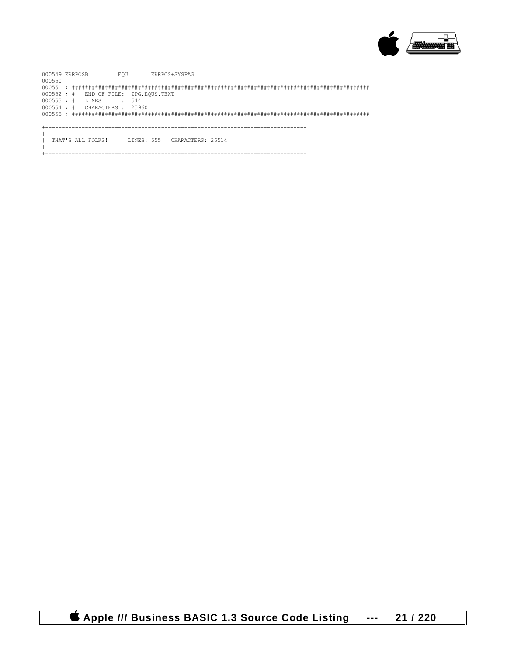

000549 ERRPOSB EQU ERRPOS+SYSPAG 000550 000551 ; ########################################################################################## 000552 ; # END OF FILE: ZPG.EQUS.TEXT 000553; # LINES : 544 000554 ; # CHARACTERS : 25960 000555 ; ########################################################################################## +------------------------------------------------------------------------------- | THAT'S ALL FOLKS! LINES: 555 CHARACTERS: 26514  $\|$ 

+-------------------------------------------------------------------------------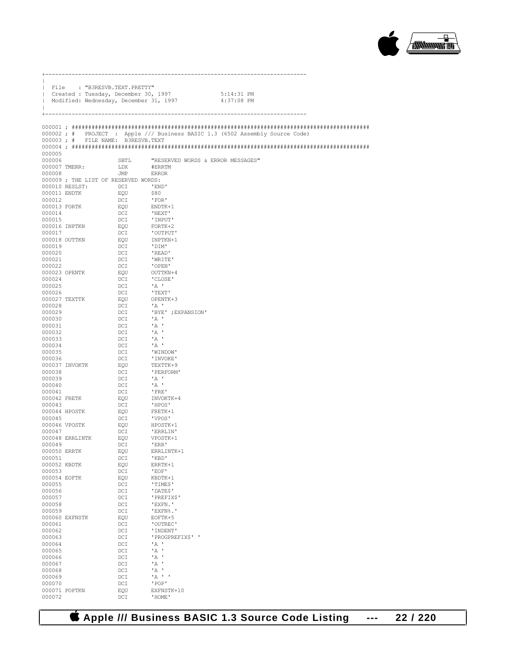

|                  | File : "B3RESVB.TEXT.PRETTY"                                                   |            |                                   |                                                                              |
|------------------|--------------------------------------------------------------------------------|------------|-----------------------------------|------------------------------------------------------------------------------|
|                  | Created : Tuesday, December 30, 1997<br>Modified: Wednesday, December 31, 1997 |            |                                   | 5:14:31 PM<br>4:37:08 PM                                                     |
|                  |                                                                                |            |                                   |                                                                              |
|                  |                                                                                |            |                                   |                                                                              |
|                  |                                                                                |            |                                   | 000002; # PROJECT : Apple /// Business BASIC 1.3 (6502 Assembly Source Code) |
|                  | 000003; # FILE NAME: B3RESVB.TEXT                                              |            |                                   |                                                                              |
|                  |                                                                                |            |                                   |                                                                              |
| 000005           |                                                                                |            |                                   |                                                                              |
| 000006           |                                                                                | SBTL       | "RESERVED WORDS & ERROR MESSAGES" |                                                                              |
| 000008           | 000007 TMERR:                                                                  | LDX<br>JMP | #ERRTM<br>ERROR                   |                                                                              |
|                  | 000009; THE LIST OF RESERVED WORDS:                                            |            |                                   |                                                                              |
|                  | 000010 RESLST:                                                                 | DCI        | 'END'                             |                                                                              |
|                  | 000011 ENDTK                                                                   | EQU        | \$80                              |                                                                              |
| 000012           |                                                                                | DCI        | ' FOR'                            |                                                                              |
|                  | 000013 FORTK                                                                   | EQU        | ENDTK+1                           |                                                                              |
| 000014           |                                                                                | DCI        | 'NEXT'                            |                                                                              |
| 000015           | 000016 INPTKN                                                                  | DCI<br>EQU | 'INPUT'<br>FORTK+2                |                                                                              |
| 000017           |                                                                                | DCI        | 'OUTPUT'                          |                                                                              |
|                  | 000018 OUTTKN                                                                  | EQU        | INPTKN+1                          |                                                                              |
| 000019           |                                                                                | DCI        | 'DIM'                             |                                                                              |
| 000020           |                                                                                | DCI        | 'READ'                            |                                                                              |
| 000021           |                                                                                | DCI        | 'WRITE'                           |                                                                              |
| 000022           |                                                                                | DCI        | 'OPEN'                            |                                                                              |
|                  | 000023 OPENTK                                                                  | EQU        | OUTTKN+4                          |                                                                              |
| 000024           |                                                                                | DCI        | 'CLOSE'                           |                                                                              |
| 000025           |                                                                                | DCI        | $^{\prime}$ A $^{\prime}$         |                                                                              |
| 000026           | 000027 TEXTTK                                                                  | DCI<br>EQU | ' TEXT'<br>OPENTK+3               |                                                                              |
| 000028           |                                                                                | DCI        | $\mathbf{A}$                      |                                                                              |
| 000029           |                                                                                | DCI        | 'BYE' ; EXPANSION'                |                                                                              |
| 000030           |                                                                                | DCI        | $^{\circ}$ A $^{\circ}$           |                                                                              |
| 000031           |                                                                                | DCI        | $\mathbf{A}$                      |                                                                              |
| 000032           |                                                                                | DCI        | $^{\prime}$ A $^{\prime}$         |                                                                              |
| 000033           |                                                                                | DCI        | $^{\prime}$ A $^{\prime}$         |                                                                              |
| 000034           |                                                                                | DCI        | $^{\prime}$ A $^{\prime}$         |                                                                              |
| 000035           |                                                                                | DCI        | 'WINDOW'                          |                                                                              |
| 000036           | 000037 INVOKTK                                                                 | DCI<br>EQU | ' INVOKE'<br>TEXTTK+9             |                                                                              |
| 000038           |                                                                                | DCI        | ' PERFORM'                        |                                                                              |
| 000039           |                                                                                | DCI        | $^{\prime}$ A $^{\prime}$         |                                                                              |
| 000040           |                                                                                | DCI        | $^{\prime}$ A $^{\prime}$         |                                                                              |
| 000041           |                                                                                | DCI        | FRE '                             |                                                                              |
| 000042 FRETK     |                                                                                | EQU        | INVOKTK+4                         |                                                                              |
| 000043           |                                                                                | DCI        | 'HPOS'                            |                                                                              |
|                  | 000044 HPOSTK                                                                  | EQU        | FRETK+1                           |                                                                              |
| 000045           |                                                                                | DCI        | 'VPOS'                            |                                                                              |
| 000047           | 000046 VPOSTK                                                                  | EQU<br>DCI | HPOSTK+1<br>'ERRLIN'              |                                                                              |
|                  | 000048 ERRLINTK                                                                | EOU        | VPOSTK+1                          |                                                                              |
| 000049           |                                                                                | DCI        | 'ERR'                             |                                                                              |
| 000050 ERRTK     |                                                                                | EQU        | ERRLINTK+1                        |                                                                              |
| 000051           |                                                                                | DCI        | 'KBD'                             |                                                                              |
| 000052 KBDTK     |                                                                                | EQU        | ERRTK+1                           |                                                                              |
| 000053           |                                                                                | DCI        | 'EOF'                             |                                                                              |
| 000054 EOFTK     |                                                                                | EQU        | KBDTK+1                           |                                                                              |
| 000055           |                                                                                | DCI        | 'TIMES'<br>'DATES'                |                                                                              |
| 000056<br>000057 |                                                                                | DCI<br>DCI | 'PREFIX\$'                        |                                                                              |
| 000058           |                                                                                | DCI        | 'EXFN.'                           |                                                                              |
| 000059           |                                                                                | DCI        | 'EXFN%.'                          |                                                                              |
|                  | 000060 EXFNSTK                                                                 | EQU        | EOFTK+5                           |                                                                              |
| 000061           |                                                                                | DCI        | 'OUTREC'                          |                                                                              |
| 000062           |                                                                                | DCI        | 'INDENT'                          |                                                                              |
| 000063           |                                                                                | DCI        | 'PROGPREFIX\$' '                  |                                                                              |
| 000064           |                                                                                | DCI        | 'A                                |                                                                              |
| 000065           |                                                                                | DCI        | 'A                                |                                                                              |
| 000066<br>000067 |                                                                                | DCI<br>DCI | 'A<br>'A                          |                                                                              |
| 000068           |                                                                                | DCI        | 'A                                |                                                                              |
| 000069           |                                                                                | DCI        | $A$ , $A$ , $B$                   |                                                                              |
| 000070           |                                                                                | DCI        | 'POP'                             |                                                                              |
|                  | 000071 POPTKN                                                                  | EQU        | EXFNSTK+10                        |                                                                              |
| 000072           |                                                                                | DCI        | 'HOME'                            |                                                                              |

+-------------------------------------------------------------------------------

 $\bullet$  **Apple /// Business BASIC 1.3 Source Code Listing --- 22/220**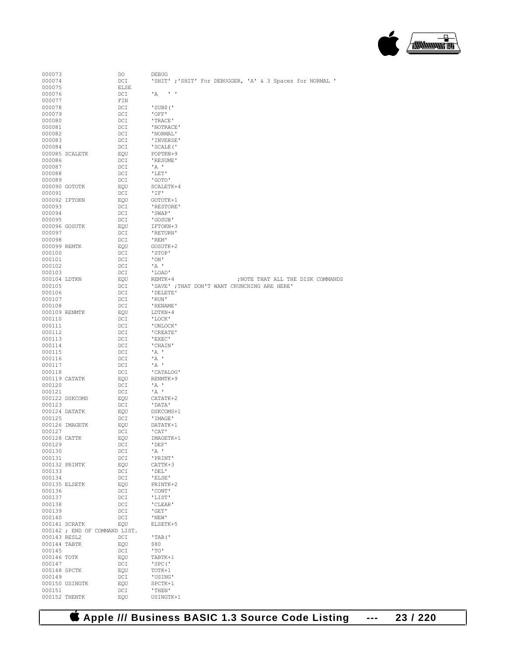**Apple /// Business BASIC 1.3 Source Code Listing --- 23 / 220**

| 000073        |                               | DO   | <b>DEBUG</b>                                              |
|---------------|-------------------------------|------|-----------------------------------------------------------|
| 000074        |                               | DCI  | 'SHIT' ; 'SHIT' For DEBUGGER, 'A' & 3 Spaces for NORMAL ' |
| 000075        |                               | ELSE |                                                           |
|               |                               |      |                                                           |
| 000076        |                               | DCI  | $^{\prime}$ A<br><b>Contract</b>                          |
| 000077        |                               | FIN  |                                                           |
|               |                               |      |                                                           |
| 000078        |                               | DCI  | 'SUB\$('                                                  |
| 000079        |                               | DCI  | 'OFF'                                                     |
| 000080        |                               | DCI  | 'TRACE'                                                   |
|               |                               |      |                                                           |
| 000081        |                               | DCI  | 'NOTRACE'                                                 |
| 000082        |                               | DCI  | 'NORMAL'                                                  |
|               |                               |      |                                                           |
| 000083        |                               | DCI  | ' INVERSE'                                                |
| 000084        |                               | DCI  | 'SCALE ('                                                 |
|               | 000085 SCALETK                |      | POPTKN+9                                                  |
|               |                               | EQU  |                                                           |
| 000086        |                               | DCI  | 'RESUME'                                                  |
| 000087        |                               | DCI  | 'A '                                                      |
|               |                               |      |                                                           |
| 000088        |                               | DCI  | 'LET'                                                     |
| 000089        |                               | DCI  | 'GOTO'                                                    |
|               |                               |      |                                                           |
|               | 000090 GOTOTK                 | EQU  | SCALETK+4                                                 |
| 000091        |                               | DCI  | 'IF'                                                      |
| 000092 IFTOKN |                               | EQU  | GOTOTK+1                                                  |
|               |                               |      |                                                           |
| 000093        |                               | DCI  | 'RESTORE'                                                 |
| 000094        |                               | DCI  | 'SWAP'                                                    |
|               |                               |      |                                                           |
| 000095        |                               | DCI  | 'GOSUB'                                                   |
|               | 000096 GOSUTK                 | EQU  | IFTOKN+3                                                  |
| 000097        |                               | DCI  | 'RETURN'                                                  |
|               |                               |      |                                                           |
| 000098        |                               | DCI  | 'REM'                                                     |
| 000099 REMTK  |                               | EQU  | GOSUTK+2                                                  |
|               |                               |      | 'STOP'                                                    |
| 000100        |                               | DCI  |                                                           |
| 000101        |                               | DCI  | $'$ ON $'$                                                |
| 000102        |                               | DCI  | 'A                                                        |
|               |                               |      |                                                           |
| 000103        |                               | DCI  | 'LOAD'                                                    |
| 000104 LDTKN  |                               | EQU  | ; NOTE THAT ALL THE DISK COMMANDS<br>REMTK+4              |
|               |                               |      |                                                           |
| 000105        |                               | DCI  | 'SAVE' ; THAT DON'T WANT CRUNCHING ARE HERE'              |
| 000106        |                               | DCI  | 'DELETE'                                                  |
| 000107        |                               | DCI  | 'RUN'                                                     |
|               |                               |      |                                                           |
| 000108        |                               | DCI  | ' RENAME'                                                 |
| 000109 RENMTK |                               | EQU  | LDTKN+4                                                   |
|               |                               |      |                                                           |
| 000110        |                               | DCI  | 'LOCK'                                                    |
| 000111        |                               | DCI  | 'UNLOCK'                                                  |
| 000112        |                               | DCI  | 'CREATE'                                                  |
|               |                               |      |                                                           |
| 000113        |                               | DCI  | 'EXEC'                                                    |
| 000114        |                               | DCI  | 'CHAIN'                                                   |
|               |                               |      |                                                           |
| 000115        |                               | DCI  | ' A '                                                     |
| 000116        |                               | DCI  | $^{\prime}$ A $^{\prime}$                                 |
|               |                               |      |                                                           |
| 000117        |                               | DCI  | $'A$ .                                                    |
| 000118        |                               | DCI  | 'CATALOG'                                                 |
|               | 000119 CATATK                 | EQU  | RENMTK+9                                                  |
|               |                               |      |                                                           |
| 000120        |                               | DCI  | ' A '                                                     |
| 000121        |                               | DCI  | $^{\prime}$ A $^{\prime}$                                 |
|               |                               |      |                                                           |
|               | 000122 DSKCOMS                | EQU  | CATATK+2                                                  |
| 000123        |                               | DCI  | 'DATA'                                                    |
|               | 000124 DATATK                 | EQU  | DSKCOMS+1                                                 |
|               |                               |      |                                                           |
| 000125        |                               | DCI  | 'IMAGE'                                                   |
|               | 000126 IMAGETK                | EQU  | DATATK+1                                                  |
|               |                               |      |                                                           |
| 000127        |                               | DCI  | 'CAT'                                                     |
| 000128 CATTK  |                               | EQU  | IMAGETK+1                                                 |
| 000129        |                               | DCI  | 'DEF'                                                     |
|               |                               |      |                                                           |
| 000130        |                               | DCI  | 'A                                                        |
| 000131        |                               | DCI  | 'PRINT'                                                   |
|               |                               |      |                                                           |
|               | 000132 PRINTK                 | EQU  | CATTK+3                                                   |
| 000133        |                               | DCI  | 'DEL'                                                     |
| 000134        |                               | DCI  | 'ELSE'                                                    |
|               |                               |      |                                                           |
|               | 000135 ELSETK                 | EQU  | PRINTK+2                                                  |
| 000136        |                               | DCI  | 'CONT'                                                    |
|               |                               |      |                                                           |
| 000137        |                               | DCI  | 'LIST'                                                    |
| 000138        |                               | DCI  | 'CLEAR'                                                   |
| 000139        |                               | DCI  | 'GET'                                                     |
|               |                               |      |                                                           |
| 000140        |                               | DCI  | 'NEW'                                                     |
|               | 000141 SCRATK                 | EQU  | ELSETK+5                                                  |
|               |                               |      |                                                           |
|               | 000142 ; END OF COMMAND LIST. |      |                                                           |
| 000143 RESL2  |                               | DCI  | 'TAB('                                                    |
| 000144 TABTK  |                               |      |                                                           |
|               |                               | EQU  | \$80                                                      |
| 000145        |                               | DCI  | "TO"                                                      |
| 000146 TOTK   |                               | EQU  | TABTK+1                                                   |
|               |                               |      |                                                           |
| 000147        |                               | DCI  | $'$ SPC $'$                                               |
| 000148 SPCTK  |                               | EQU  | TOTK+1                                                    |
| 000149        |                               | DCI  | 'USING'                                                   |
|               |                               |      |                                                           |
|               | 000150 USINGTK                | EQU  | SPCTK+1                                                   |
| 000151        |                               | DCI  | 'THEN'                                                    |
|               |                               |      |                                                           |
|               | 000152 THENTK                 | EQU  | USINGTK+1                                                 |

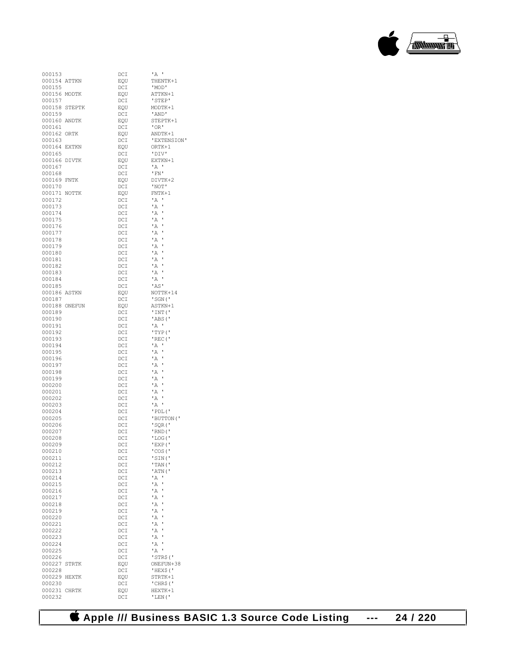

| 000153       |              | $_{\rm DCI}$    | ' A                |
|--------------|--------------|-----------------|--------------------|
| 000154       | ATTKN        | EQU             | THENTK+1           |
| 000155       |              | DCI             | 'MOD'              |
| 000156 MODTK |              | EQU             | ATTKN+1            |
| 000157       |              | DCI             | 'STEP'             |
| 000158       | STEPTK       | EQU             | MODTK+1            |
| 000159       |              | DCI             | ' AND'             |
| 000160       | ANDTK        | EQU             | STEPTK+1           |
| 000161       |              | DCI             | 'OR'               |
| 000162       | ORTK         | EQU             | ANDTK+1            |
| 000163       |              | DCI             | 'EXTENSION'        |
| 000164       | <b>EXTKN</b> | EQU             | ORTK+1             |
| 000165       |              |                 | 'DIV'              |
|              |              | DCI             |                    |
| 000166       | DIVTK        | EQU             | EXTKN+1            |
| 000167       |              | DCI             | ' A                |
| 000168       |              | DCI             | 'FN'               |
| 000169       | <b>FNTK</b>  | <b>EOU</b>      | DIVTK+2            |
| 000170       |              | DCI             | 'NOT'              |
| 000171       | <b>NOTTK</b> | EQU             | $FNTK+1$           |
| 000172       |              | $_{\text{DCI}}$ | 'A<br>J            |
| 000173       |              | DCI             | 1<br>' A           |
| 000174       |              | DCI             | $^{\prime}$ A<br>ı |
| 000175       |              | DCI             | $^{\prime}$ A<br>ı |
| 000176       |              | DCI             | ' A<br>ı           |
| 000177       |              | DCI             | 'A<br>ı            |
| 000178       |              | DCI             | $^{\prime}$ A<br>ı |
| 000179       |              | DCI             | ' A<br>ı           |
| 000180       |              | DCI             | 'A<br>ı            |
| 000181       |              | DCI             | $^{\prime}$ A<br>ı |
| 000182       |              | DCI             | $^{\prime}$ A<br>ı |
|              |              | DCI             | 'A                 |
| 000183       |              |                 |                    |
| 000184       |              | DCI             | $^{\prime}$ A      |
| 000185       |              | DCI             | 'AS'               |
| 000186       | ASTKN        | EQU             | NOTTK+14           |
| 000187       |              | DCI             | 'SGN('             |
| 000188       | ONEFUN       | EQU             | ASTKN+1            |
| 000189       |              | $_{\text{DCI}}$ | 'INT('             |
| 000190       |              | DCI             | 'ABS('             |
| 000191       |              | DCI             | 'A                 |
| 000192       |              | DCI             | 'TYP('             |
| 000193       |              | DCI             | 'REC('             |
| 000194       |              | DCI             | 'A                 |
| 000195       |              | DCI             | ' A<br>ı           |
| 000196       |              | DCI             | $^{\prime}$ A<br>ı |
| 000197       |              | DCI             | ' A<br>ı           |
| 000198       |              | DCI             | 'A<br>ı            |
| 000199       |              | DCI             | $^{\prime}$ A<br>ı |
| 000200       |              | DCI             | 'A<br>ı            |
| 000201       |              | DCI             | 'A<br>ı            |
|              |              |                 | ı                  |
| 000202       |              | DCI             | $^{\prime}$ A<br>ı |
| 000203       |              | DCI             | ' A                |
| 000204       |              | DCI             | 'PDL('             |
| 000205       |              | DCI             | 'BUTTON ('         |
| 000206       |              | DCI             | 'SQR('             |
| 000207       |              | DCI             | 'RND('             |
| 000208       |              | DCI             | 'LOG('             |
| 000209       |              | DCI             | 'EXP('             |
| 000210       |              | DCI             | 'COS ('            |
| 000211       |              | DCI             | 'SIN('             |
| 000212       |              | $_{\text{DCI}}$ | 'TAN('             |
| 000213       |              | DCI             | 'ATN('             |
| 000214       |              | $_{\text{DCI}}$ | 'A<br>J            |
| 000215       |              | DCI             | 1<br>' A           |
| 000216       |              | $_{\text{DCI}}$ | ' A<br>ı           |
| 000217       |              | $_{\text{DCI}}$ | 'A<br>ı            |
| 000218       |              | $_{\text{DCI}}$ | ı<br>' A           |
| 000219       |              | $_{\text{DCI}}$ | ' A<br>ı           |
| 000220       |              | $_{\text{DCI}}$ | 'A<br>ı            |
| 000221       |              |                 | ı<br>' A           |
|              |              | $_{\text{DCI}}$ | 1                  |
| 000222       |              | $_{\text{DCI}}$ | ' A                |
| 000223       |              | $_{\text{DCI}}$ | 'A<br>ı            |
| 000224       |              | DCI             | ı<br>' A           |
| 000225       |              | $_{\text{DCI}}$ | ı<br>' A           |
| 000226       |              | $_{\text{DCI}}$ | 'STR\$('           |
| 000227       | STRTK        | EQU             | ONEFUN+38          |
| 000228       |              | $_{\rm DCI}$    | 'HEX\$('           |
| 000229       | HEXTK        | EQU             | STRTK+1            |
| 000230       |              | $_{\text{DCI}}$ | 'CHR\$('           |
| 000231       | <b>CHRTK</b> | EQU             | HEXTK+1            |
| 000232       |              | DCI             | 'LEN('             |
|              |              |                 |                    |

 **Apple /// Business BASIC 1.3 Source Code Listing --- 24 / 220**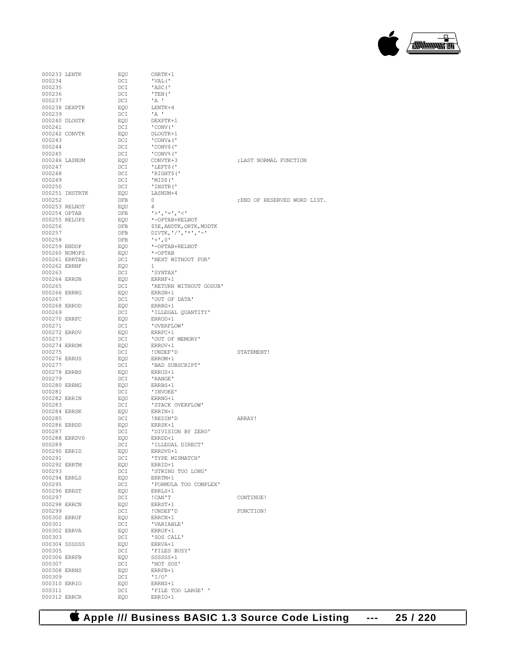**Apple /// Business BASIC 1.3 Source Code Listing --- 25 / 220**

| 000233 LENTK |                | EQU | CHRTK+1                            |                              |
|--------------|----------------|-----|------------------------------------|------------------------------|
|              |                |     |                                    |                              |
| 000234       |                | DCI | 'VAL('                             |                              |
| 000235       |                | DCI | 'ASC('                             |                              |
| 000236       |                | DCI | 'TEN('                             |                              |
| 000237       |                | DCI | $^{\prime}$ A $^{\prime}$          |                              |
|              |                |     |                                    |                              |
|              | 000238 DEXPTK  | EQU | LENTK+4                            |                              |
| 000239       |                | DCI | $^{\prime}$ A $^{\prime}$          |                              |
|              | 000240 DLOGTK  | EQU | DEXPTK+1                           |                              |
|              |                |     |                                    |                              |
| 000241       |                | DCI | ' CONV ( '                         |                              |
|              | 000242 CONVTK  | EQU | DLOGTK+1                           |                              |
| 000243       |                | DCI | 'CONV&('                           |                              |
|              |                |     |                                    |                              |
| 000244       |                | DCI | 'CONV\$('                          |                              |
| 000245       |                | DCI | 'CONV%('                           |                              |
|              | 000246 LASNUM  | EQU | CONVTK+3                           | : LAST NORMAL FUNCTION       |
| 000247       |                | DCI |                                    |                              |
|              |                |     | 'LEFT\$('                          |                              |
| 000248       |                | DCI | 'RIGHT\$('                         |                              |
| 000249       |                | DCI | 'MID\$('                           |                              |
| 000250       |                | DCI | 'INSTR('                           |                              |
|              |                |     |                                    |                              |
|              | 000251 INSTRTK | EQU | LASNUM+4                           |                              |
| 000252       |                | DFB | 0                                  | ; END OF RESERVED WORD LIST. |
|              | 000253 RELNOT  | EQU | 4                                  |                              |
|              |                |     |                                    |                              |
| 000254 OPTAB |                | DFB | $1>1$ , $1=1$ , $1<1$              |                              |
|              | 000255 RELOPS  | EQU | *-OPTAB+RELNOT                     |                              |
| 000256       |                | DFB | \$5E, ANDTK, ORTK, MODTK           |                              |
|              |                |     |                                    |                              |
| 000257       |                | DFB | DIVTK, $! / !$ , $! * !$ , $! - !$ |                              |
| 000258       |                | DFB | $1 + 1, 0$                         |                              |
| 000259 ENDOP |                | EQU | *-OPTAB+RELNOT                     |                              |
|              |                |     | $*$ -OPTAB                         |                              |
|              | 000260 NUMOPS  | EQU |                                    |                              |
|              | 000261 ERRTAB: | DCI | 'NEXT WITHOUT FOR'                 |                              |
| 000262 ERRNF |                | EQU | $\mathbf{1}$                       |                              |
|              |                |     |                                    |                              |
| 000263       |                | DCI | 'SYNTAX'                           |                              |
| 000264 ERRSN |                | EQU | ERRNF+1                            |                              |
| 000265       |                | DCI | 'RETURN WITHOUT GOSUB'             |                              |
|              |                |     | ERRSN+1                            |                              |
| 000266 ERRRG |                | EQU |                                    |                              |
| 000267       |                | DCI | 'OUT OF DATA'                      |                              |
| 000268 ERROD |                | EQU | ERRRG+1                            |                              |
| 000269       |                | DCI | 'ILLEGAL QUANTITY'                 |                              |
|              |                |     |                                    |                              |
| 000270 ERRFC |                | EQU | ERROD+1                            |                              |
| 000271       |                | DCI | 'OVERFLOW'                         |                              |
| 000272 ERROV |                | EQU | ERRFC+1                            |                              |
|              |                |     |                                    |                              |
| 000273       |                | DCI | 'OUT OF MEMORY'                    |                              |
| 000274 ERROM |                | EQU | ERROV+1                            |                              |
| 000275       |                | DCI | !UNDEF'D                           | STATEMENT!                   |
|              |                |     |                                    |                              |
| 000276 ERRUS |                | EQU | ERROM+1                            |                              |
| 000277       |                | DCI | 'BAD SUBSCRIPT'                    |                              |
| 000278 ERRBS |                | EQU | ERRUS+1                            |                              |
|              |                |     |                                    |                              |
| 000279       |                | DCI | ' RANGE '                          |                              |
| 000280 ERRNG |                | EQU | ERRBS+1                            |                              |
| 000281       |                | DCI | 'INVOKE'                           |                              |
| 000282 ERRIN |                |     |                                    |                              |
|              |                | EQU | ERRNG+1                            |                              |
| 000283       |                | DCI | 'STACK OVERFLOW'                   |                              |
| 000284 ERRSK |                | EQU | ERRIN+1                            |                              |
| 000285       |                | DCI | !REDIM'D                           | ARRAY!                       |
|              |                |     |                                    |                              |
| 000286 ERRDD |                | EQU | ERRSK+1                            |                              |
| 000287       |                | DCI | 'DIVISION BY ZERO'                 |                              |
|              | 000288 ERRDV0  | EOU | ERRDD+1                            |                              |
| 000289       |                | DCI |                                    |                              |
|              |                |     | 'ILLEGAL DIRECT'                   |                              |
| 000290 ERRID |                | EQU | ERRDV0+1                           |                              |
| 000291       |                | DCI | 'TYPE MISMATCH'                    |                              |
| 000292 ERRTM |                | EQU | ERRID+1                            |                              |
| 000293       |                | DCI | 'STRING TOO LONG'                  |                              |
|              |                |     |                                    |                              |
| 000294 ERRLS |                | EQU | ERRTM+1                            |                              |
| 000295       |                | DCI | 'FORMULA TOO COMPLEX'              |                              |
| 000296 ERRST |                | EQU | ERRLS+1                            |                              |
|              |                |     |                                    |                              |
| 000297       |                | DCI | ! CAN'T                            | CONTINUE!                    |
| 000298 ERRCN |                | EQU | ERRST+1                            |                              |
| 000299       |                | DCI | ! UNDEF'D                          | FUNCTION!                    |
|              |                |     |                                    |                              |
| 000300 ERRUF |                | EQU | ERRCN+1                            |                              |
| 000301       |                | DCI | 'VARIABLE'                         |                              |
| 000302 ERRVA |                | EQU | ERRUF+1                            |                              |
|              |                |     |                                    |                              |
| 000303       |                | DCI | 'SOS CALL'                         |                              |
|              | 000304 SSSSSS  | EQU | ERRVA+1                            |                              |
| 000305       |                | DCI | 'FILES BUSY'                       |                              |
| 000306 ERRFB |                |     | SSSSSS+1                           |                              |
|              |                | EQU |                                    |                              |
| 000307       |                | DCI | 'NOT SOS'                          |                              |
| 000308 ERRNS |                | EQU | ERRFB+1                            |                              |
| 000309       |                | DCI | 'I/O'                              |                              |
|              |                |     |                                    |                              |
| 000310 ERRIO |                | EQU | ERRNS+1                            |                              |
| 000311       |                | DCI | 'FILE TOO LARGE' '                 |                              |
| 000312 ERRCR |                | EQU | ERRIO+1                            |                              |
|              |                |     |                                    |                              |

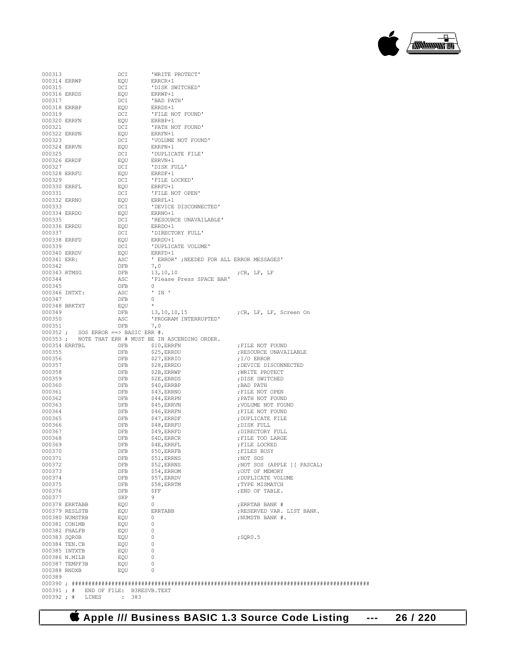| 000313                 |                                       | DCI                        | 'WRITE PROTECT'                                     |                                               |
|------------------------|---------------------------------------|----------------------------|-----------------------------------------------------|-----------------------------------------------|
| 000314 ERRWP           |                                       | EQU                        | ERRCR+1                                             |                                               |
| 000315                 |                                       | DCI                        | 'DISK SWITCHED'                                     |                                               |
| 000316 ERRDS           |                                       | EOU                        | ERRWP+1                                             |                                               |
| 000317                 |                                       | DCI                        | 'BAD PATH'                                          |                                               |
| 000318 ERRBP           |                                       | EOU                        | ERRDS+1                                             |                                               |
| 000319                 |                                       | DCI                        | 'FILE NOT FOUND'                                    |                                               |
| 000320 ERRFN<br>000321 |                                       | EQU                        | ERRBP+1                                             |                                               |
| 000322 ERRPN           |                                       | DCI<br>EQU                 | 'PATH NOT FOUND'<br>ERRFN+1                         |                                               |
| 000323                 |                                       | DCI                        | 'VOLUME NOT FOUND'                                  |                                               |
| 000324 ERRVN           |                                       | EQU                        | ERRPN+1                                             |                                               |
| 000325                 |                                       | DCI                        | 'DUPLICATE FILE'                                    |                                               |
| 000326 ERRDF           |                                       | EQU                        | ERRVN+1                                             |                                               |
| 000327                 |                                       | DCI                        | 'DISK FULL'                                         |                                               |
| 000328 ERRFU           |                                       | EQU                        | ERRDF+1                                             |                                               |
| 000329                 |                                       | DCI                        | 'FILE LOCKED'                                       |                                               |
| 000330 ERRFL           |                                       | EQU                        | ERRFU+1                                             |                                               |
| 000331                 |                                       | DCI                        | 'FILE NOT OPEN'                                     |                                               |
| 000332 ERRNO<br>000333 |                                       | EQU<br>DCI                 | ERRFL+1<br>'DEVICE DISCONNECTED'                    |                                               |
| 000334 ERRDO           |                                       | EQU                        | ERRNO+1                                             |                                               |
| 000335                 |                                       | DCI                        | 'RESOURCE UNAVAILABLE'                              |                                               |
| 000336 ERRDU           |                                       | EQU                        | ERRDO+1                                             |                                               |
| 000337                 |                                       | DCI                        | 'DIRECTORY FULL'                                    |                                               |
| 000338 ERRFD           |                                       | EQU                        | ERRDU+1                                             |                                               |
| 000339                 |                                       | DCI                        | 'DUPLICATE VOLUME'                                  |                                               |
| 000340 ERRDV           |                                       | EQU                        | ERRFD+1                                             |                                               |
| 000341 ERR:            |                                       | ASC                        | ' ERROR' ; NEEDED FOR ALL ERROR MESSAGES'           |                                               |
| 000342<br>000343 RTMSG |                                       | DFB<br>DFB                 | 7,0<br>13, 10, 10                                   |                                               |
| 000344                 |                                       | ASC                        | 'Please Press SPACE BAR'                            | ;CR, LF, LF                                   |
| 000345                 |                                       | DFB                        | 0                                                   |                                               |
| 000346 INTXT:          |                                       | ASC                        | $'$ IN $'$                                          |                                               |
| 000347                 |                                       | <b>DFB</b>                 | $\Omega$                                            |                                               |
| 000348 BRKTXT          |                                       | EQU                        | $\star$                                             |                                               |
| 000349                 |                                       | DFB                        | 13, 10, 10, 15                                      | ;CR, LF, LF, Screen On                        |
| 000350                 |                                       | ASC                        | 'PROGRAM INTERRUPTED'                               |                                               |
| 000351                 | $000352$ ; SOS ERROR ==> BASIC ERR #. | DFB                        | 7,0                                                 |                                               |
|                        |                                       |                            | 000353; NOTE THAT ERR # MUST BE IN ASCENDING ORDER. |                                               |
| 000354 ERRTBL          |                                       | DFB                        | \$10, ERRFN                                         | ; FILE NOT FOUND                              |
| 000355                 |                                       | DFB                        | \$25, ERRDU                                         | ; RESOURCE UNAVAILABLE                        |
| 000356                 |                                       | DFB                        | \$27, ERRIO                                         | $;1/0$ ERROR                                  |
| 000357                 |                                       | DFB                        | \$28, ERRDO                                         | ; DEVICE DISCONNECTED                         |
| 000358<br>000359       |                                       | DFB<br>DFB                 | \$2B, ERRWP<br>\$2E, ERRDS                          | ; WRITE PROTECT<br>; DISK SWITCHED            |
| 000360                 |                                       | DFB                        | \$40, ERRBP                                         | ;BAD PATH                                     |
| 000361                 |                                       | DFB                        | \$43, ERRNO                                         | ; FILE NOT OPEN                               |
| 000362                 |                                       | DFB                        | $$44$ , ERRPN                                       | ; PATH NOT FOUND                              |
| 000363                 |                                       | DFB                        | \$45, ERRVN                                         | ; VOLUME NOT FOUND                            |
| 000364                 |                                       | DFB                        | \$46, ERRFN                                         | ; FILE NOT FOUND                              |
| 000365                 |                                       | DFB                        | \$47, ERRDF                                         | ; DUPLICATE FILE                              |
| 000366                 |                                       | DFB                        | \$48, ERRFU                                         | ; DISK FULL                                   |
| 000367                 |                                       | DFB                        | \$49, ERRFD                                         | ; DIRECTORY FULL                              |
| 000368                 |                                       | <b>DFB</b>                 | \$4D, ERRCR                                         | ; FILE TOO LARGE                              |
| 000369<br>000370       |                                       | DFB<br>DFB                 | \$4E, ERRFL<br>\$50, ERRFB                          | ; FILE LOCKED<br>; FILES BUSY                 |
| 000371                 |                                       | DFB                        | \$51, ERRNS                                         | ;NOT SOS                                      |
| 000372                 |                                       | DFB                        | \$52, ERRNS                                         | ; NOT SOS (APPLE ] [ PASCAL)                  |
| 000373                 |                                       | DFB                        | \$54, ERROM                                         | ; OUT OF MEMORY                               |
| 000374                 |                                       | DFB                        | \$57, ERRDV                                         | ; DUPLICATE VOLUME                            |
| 000375                 |                                       | DFB                        | \$58, ERRTM                                         | ; TYPE MISMATCH                               |
| 000376                 |                                       | DFB                        | \$FF                                                | ; END OF TABLE.                               |
| 000377                 |                                       | SKP                        | 9                                                   |                                               |
|                        | 000378 ERRTABB                        | EQU                        | 0                                                   | ; ERRTAB BANK #                               |
|                        | 000379 RESLSTB<br>000380 NUMSTRB      | EQU<br>EQU                 | <b>ERRTABB</b><br>0                                 | ;RESERVED VAR. LIST BANK.<br>; NUMSTR BANK #. |
| 000381 CON1MB          |                                       | EQU                        | 0                                                   |                                               |
| 000382 FHALFB          |                                       | EQU                        | 0                                                   |                                               |
| 000383 SQR0B           |                                       | EQU                        | 0                                                   | ; SQR0.5                                      |
| 000384 TEN.CB          |                                       | EQU                        | 0                                                   |                                               |
| 000385 INTXTB          |                                       | EQU                        | 0                                                   |                                               |
| 000386 N.MILB          |                                       | EQU                        | 0                                                   |                                               |
|                        |                                       |                            |                                                     |                                               |
|                        | 000387 TEMPF3B                        | EQU                        | 0                                                   |                                               |
| 000388 RNDXB           |                                       | EQU                        | 0                                                   |                                               |
| 000389                 |                                       |                            |                                                     |                                               |
| 000391 : #             |                                       | END OF FILE: B3RESVB. TEXT |                                                     |                                               |

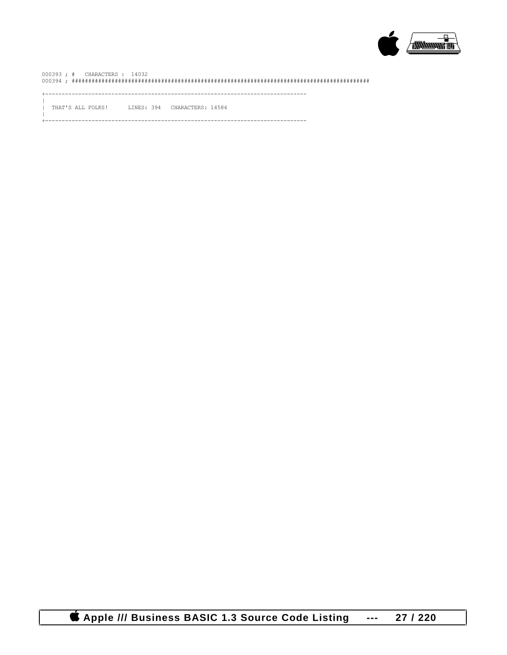

THAT'S ALL FOLKS! LINES: 394 CHARACTERS: 14584  $\mathbf{I}$ 

----------------------------------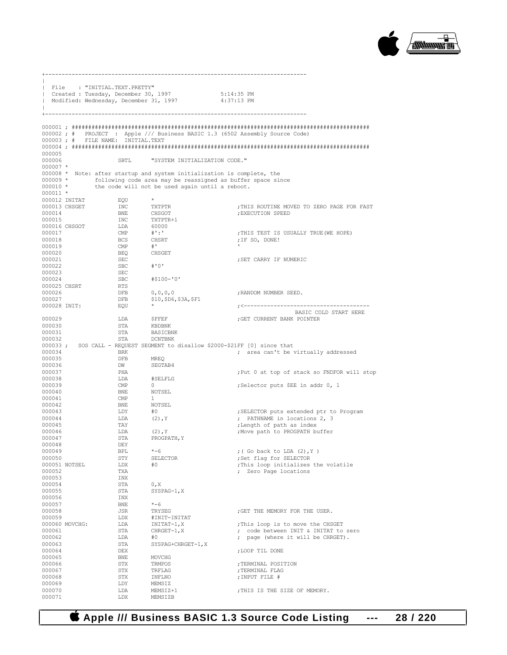

| $\mathbf{L}$           |                | File : "INITIAL.TEXT.PRETTY"           |                                                                         |                                                                              |
|------------------------|----------------|----------------------------------------|-------------------------------------------------------------------------|------------------------------------------------------------------------------|
|                        |                |                                        | created: Tuesday, December 30, 1997                                     | $5:14:35$ PM                                                                 |
| $\mathbb{I}$           |                | Modified: Wednesday, December 31, 1997 |                                                                         | 4:37:13 PM                                                                   |
|                        |                | +----------------------------          |                                                                         |                                                                              |
|                        |                |                                        |                                                                         |                                                                              |
|                        |                |                                        |                                                                         | 000002; # PROJECT : Apple /// Business BASIC 1.3 (6502 Assembly Source Code) |
|                        |                | 000003; # FILE NAME; INITIAL.TEXT      |                                                                         |                                                                              |
| 000005                 |                |                                        |                                                                         |                                                                              |
| 000006                 |                | SBTL                                   | "SYSTEM INITIALIZATION CODE."                                           |                                                                              |
| $000007$ *             |                |                                        | 000008 * Note: after startup and system initialization is complete, the |                                                                              |
|                        |                |                                        |                                                                         | 000009 * following code area may be reassigned as buffer space since         |
| $000010$ *             |                |                                        | the code will not be used again until a reboot.                         |                                                                              |
| $000011 *$             | 000012 INITAT  | EQU                                    | $\star$                                                                 |                                                                              |
|                        | 000013 CHSGET  | INC                                    | TXTPTR                                                                  | ; THIS ROUTINE MOVED TO ZERO PAGE FOR FAST                                   |
| 000014                 |                | BNE                                    | CHSGOT                                                                  | ; EXECUTION SPEED                                                            |
| 000015                 |                | INC                                    | TXTPTR+1                                                                |                                                                              |
| 000017                 | 000016 CHSGOT  | LDA<br>$\mathsf{CMP}$                  | 60000<br>$\#$ ':'                                                       | ; THIS TEST IS USUALLY TRUE (WE HOPE)                                        |
| 000018                 |                | BCS                                    | CHSRT                                                                   | ; IF SO, DONE!                                                               |
| 000019                 |                | $\text{CMP}$                           | # <sup>1</sup>                                                          |                                                                              |
| 000020                 |                | BEQ                                    | CHSGET                                                                  |                                                                              |
| 000021                 |                | SEC                                    |                                                                         | ; SET CARRY IF NUMERIC                                                       |
| 000022<br>000023       |                | SBC<br>SEC                             | $# O$ '                                                                 |                                                                              |
| 000024                 |                | SBC                                    | $#$100 - '0'$                                                           |                                                                              |
| 000025 CHSRT           |                | RTS                                    |                                                                         |                                                                              |
| 000026                 |                | DFB                                    | 0, 0, 0, 0                                                              | ; RANDOM NUMBER SEED.                                                        |
| 000027<br>000028 INIT: |                | DFB<br>EQU                             | \$10, \$D6, \$3A, \$F1                                                  |                                                                              |
|                        |                |                                        |                                                                         | BASIC COLD START HERE                                                        |
| 000029                 |                | LDA                                    | ŞFFEF                                                                   | ; GET CURRENT BANK POINTER                                                   |
| 000030<br>000031       |                | STA<br>STA                             | KBDBNK<br>BASICBNK                                                      |                                                                              |
| 000032                 |                | STA                                    | DCNTBNK                                                                 |                                                                              |
|                        |                |                                        |                                                                         | 000033; SOS CALL - REQUEST SEGMENT to disallow \$2000-\$21FF [0] since that  |
| 000034                 |                | BRK                                    |                                                                         | ; area can't be virtually addressed                                          |
| 000035<br>000036       |                | DFB<br>DW                              | MREO<br>SEGTAB4                                                         |                                                                              |
| 000037                 |                | PHA                                    |                                                                         | ; Put 0 at top of stack so FNDFOR will stop                                  |
| 000038                 |                | LDA                                    | #SELFLG                                                                 |                                                                              |
| 000039                 |                | CMP                                    | 0                                                                       | ;Selector puts \$EE in addr 0, 1                                             |
| 000040<br>000041       |                | BNE<br>CMP                             | NOTSEL<br>$\mathbf{1}$                                                  |                                                                              |
| 000042                 |                | BNE                                    | NOTSEL                                                                  |                                                                              |
| 000043                 |                | LDY                                    | #O                                                                      | ; SELECTOR puts extended ptr to Program                                      |
| 000044                 |                | LDA                                    | $(2)$ , $Y$                                                             | ; PATHNAME in locations 2, 3                                                 |
| 000045<br>000046       |                | TAY<br>LDA                             | $(2)$ , $Y$                                                             | ; Length of path as index<br>; Move path to PROGPATH buffer                  |
| 000047                 |                | STA                                    | PROGPATH, Y                                                             |                                                                              |
| 000048                 |                | DEY                                    |                                                                         |                                                                              |
| 000049                 |                | BPL                                    | $* - 6$                                                                 | ; (Go back to LDA $(2)$ , Y )                                                |
| 000050                 | 000051 NOTSEL  | STY<br>LDX                             | SELECTOR<br>#0                                                          | ;Set flag for SELECTOR<br>; This loop initializes the volatile               |
| 000052                 |                | TXA                                    |                                                                         | ; Zero Page locations                                                        |
| 000053                 |                | INX                                    |                                                                         |                                                                              |
| 000054                 |                | STA                                    | 0, X                                                                    |                                                                              |
| 000055                 |                | STA<br>INX                             | SYSPAG-1, X                                                             |                                                                              |
| 000056<br>000057       |                | BNE                                    | $* - 6$                                                                 |                                                                              |
| 000058                 |                | JSR                                    | TRYSEG                                                                  | ; GET THE MEMORY FOR THE USER.                                               |
| 000059                 |                | LDX                                    | #INIT-INITAT                                                            |                                                                              |
|                        | 000060 MOVCHG: | LDA                                    | $INTAT-1, X$<br>CHRGET-1, X                                             | ; This loop is to move the CHSGET                                            |
| 000061<br>000062       |                | STA<br>LDA                             | #0                                                                      | ; code between INIT & INITAT to zero<br>; page (where it will be CHRGET).    |
| 000063                 |                | STA                                    | SYSPAG+CHRGET-1, X                                                      |                                                                              |
| 000064                 |                | DEX                                    |                                                                         | ; LOOP TIL DONE                                                              |
| 000065                 |                | BNE                                    | MOVCHG                                                                  |                                                                              |
| 000066<br>000067       |                | STX<br>STX                             | TRMPOS<br>TRFLAG                                                        | ; TERMINAL POSITION<br>; TERMINAL FLAG                                       |
| 000068                 |                | STX                                    | INFLNO                                                                  | ; INPUT FILE #                                                               |
| 000069                 |                | LDY                                    | MEMSIZ                                                                  |                                                                              |
| 000070                 |                | LDA                                    | MEMSIZ+1                                                                | ; THIS IS THE SIZE OF MEMORY.                                                |
| 000071                 |                | LDX                                    | MEMSIZB                                                                 |                                                                              |

+-------------------------------------------------------------------------------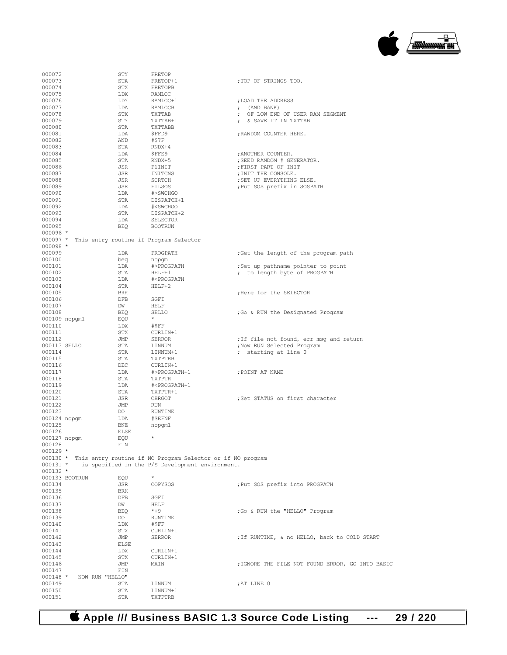

| 000072           |                                                 | STY        | FRETOP                                                     |                                                  |
|------------------|-------------------------------------------------|------------|------------------------------------------------------------|--------------------------------------------------|
| 000073           |                                                 |            |                                                            |                                                  |
|                  |                                                 | STA        | FRETOP+1                                                   | ; TOP OF STRINGS TOO.                            |
| 000074           |                                                 | STX        | FRETOPB                                                    |                                                  |
| 000075           |                                                 | LDX        | RAMLOC                                                     |                                                  |
|                  |                                                 |            |                                                            |                                                  |
| 000076           |                                                 | LDY        | RAMLOC+1                                                   | ; LOAD THE ADDRESS                               |
| 000077           |                                                 | LDA        | RAMLOCB                                                    | $;$ (AND BANK)                                   |
|                  |                                                 |            |                                                            |                                                  |
| 000078           |                                                 | STX        | TXTTAB                                                     | ; OF LOW END OF USER RAM SEGMENT                 |
| 000079           |                                                 | STY        | TXTTAB+1                                                   | ; & SAVE IT IN TXTTAB                            |
| 000080           |                                                 |            |                                                            |                                                  |
|                  |                                                 | STA        | TXTTABB                                                    |                                                  |
| 000081           |                                                 | LDA        | ŞFFD9                                                      | ; RANDOM COUNTER HERE.                           |
| 000082           |                                                 | AND        | #\$7F                                                      |                                                  |
|                  |                                                 |            |                                                            |                                                  |
| 000083           |                                                 | STA        | $RNDX+4$                                                   |                                                  |
| 000084           |                                                 | LDA        | \$FFE9                                                     | ; ANOTHER COUNTER.                               |
|                  |                                                 |            |                                                            |                                                  |
| 000085           |                                                 | STA        | RNDX+5                                                     | ; SEED RANDOM # GENERATOR.                       |
| 000086           |                                                 | JSR        | P1INIT                                                     | ; FIRST PART OF INIT                             |
|                  |                                                 | JSR        |                                                            |                                                  |
| 000087           |                                                 |            | INITCNS                                                    | ; INIT THE CONSOLE.                              |
| 000088           |                                                 | JSR        | SCRTCH                                                     | ; SET UP EVERYTHING ELSE.                        |
| 000089           |                                                 | JSR        | FILSOS                                                     | ; Put SOS prefix in SOSPATH                      |
|                  |                                                 |            |                                                            |                                                  |
| 000090           |                                                 | LDA        | #>SWCHGO                                                   |                                                  |
| 000091           |                                                 | STA        | DISPATCH+1                                                 |                                                  |
|                  |                                                 |            |                                                            |                                                  |
| 000092           |                                                 | LDA        | # <swchgo< td=""><td></td></swchgo<>                       |                                                  |
| 000093           |                                                 | STA        | DISPATCH+2                                                 |                                                  |
| 000094           |                                                 | LDA        | SELECTOR                                                   |                                                  |
|                  |                                                 |            |                                                            |                                                  |
| 000095           |                                                 | <b>BEQ</b> | <b>BOOTRUN</b>                                             |                                                  |
| $000096$ *       |                                                 |            |                                                            |                                                  |
|                  | 000097 * This entry routine if Program Selector |            |                                                            |                                                  |
|                  |                                                 |            |                                                            |                                                  |
| $000098 *$       |                                                 |            |                                                            |                                                  |
| 000099           |                                                 | LDA        | PROGPATH                                                   | ;Get the length of the program path              |
|                  |                                                 |            |                                                            |                                                  |
| 000100           |                                                 | beg        | nopgm                                                      |                                                  |
| 000101           |                                                 | LDA        | #>PROGPATH                                                 | ;Set up pathname pointer to point                |
|                  |                                                 |            |                                                            |                                                  |
| 000102           |                                                 | STA        | HELF+1                                                     | ; to length byte of PROGPATH                     |
| 000103           |                                                 | LDA        | # <progpath< td=""><td></td></progpath<>                   |                                                  |
| 000104           |                                                 | STA        | $HELF+2$                                                   |                                                  |
|                  |                                                 |            |                                                            |                                                  |
| 000105           |                                                 | BRK        |                                                            | ; Here for the SELECTOR                          |
| 000106           |                                                 | <b>DFB</b> | SGFI                                                       |                                                  |
|                  |                                                 |            |                                                            |                                                  |
| 000107           |                                                 | DW         | HELF                                                       |                                                  |
| 000108           |                                                 | BEQ        | SELLO                                                      | ; Go & RUN the Designated Program                |
| 000109 nopgm1    |                                                 | EQU        | $*$                                                        |                                                  |
|                  |                                                 |            |                                                            |                                                  |
| 000110           |                                                 | LDX        | #\$FF                                                      |                                                  |
| 000111           |                                                 | STX        | CURLIN+1                                                   |                                                  |
|                  |                                                 |            |                                                            |                                                  |
| 000112           |                                                 | JMP        | SERROR                                                     | ; If file not found, err msg and return          |
| 000113 SELLO     |                                                 | STA        | LINNUM                                                     | ; Now RUN Selected Program                       |
|                  |                                                 |            |                                                            | ; starting at line 0                             |
|                  |                                                 |            |                                                            |                                                  |
| 000114           |                                                 | STA        | LINNUM+1                                                   |                                                  |
| 000115           |                                                 | STA        | TXTPTRB                                                    |                                                  |
|                  |                                                 |            |                                                            |                                                  |
| 000116           |                                                 | DEC        | CURLIN+1                                                   |                                                  |
| 000117           |                                                 | LDA        | #>PROGPATH+1                                               | ; POINT AT NAME                                  |
| 000118           |                                                 | STA        | TXTPTR                                                     |                                                  |
|                  |                                                 |            |                                                            |                                                  |
| 000119           |                                                 | LDA        | # <progpath+1< td=""><td></td></progpath+1<>               |                                                  |
| 000120           |                                                 | STA        | TXTPTR+1                                                   |                                                  |
|                  |                                                 |            |                                                            | ;Set STATUS on first character                   |
| 000121           |                                                 | JSR        | CHRGOT                                                     |                                                  |
| 000122           |                                                 | JMP        | RUN                                                        |                                                  |
| 000123           |                                                 | DO         | RUNTIME                                                    |                                                  |
|                  |                                                 | LDA        | #SEFNF                                                     |                                                  |
| 000124 nopgm     |                                                 |            |                                                            |                                                  |
| 000125           |                                                 | BNE        | nopgm1                                                     |                                                  |
| 000126           |                                                 | ELSE       |                                                            |                                                  |
|                  |                                                 |            |                                                            |                                                  |
| 000127 nopgm     |                                                 | EQU        |                                                            |                                                  |
| 000128           |                                                 | FIN        |                                                            |                                                  |
| $000129 *$       |                                                 |            |                                                            |                                                  |
|                  |                                                 |            |                                                            |                                                  |
| $000130 *$       |                                                 |            | This entry routine if NO Program Selector or if NO program |                                                  |
| $000131 *$       |                                                 |            | is specified in the P/S Development environment.           |                                                  |
| $000132 *$       |                                                 |            |                                                            |                                                  |
|                  |                                                 |            | $\star$                                                    |                                                  |
|                  | 000133 BOOTRUN                                  | EQU        |                                                            |                                                  |
| 000134           |                                                 | JSR        | COPYSOS                                                    | ; Put SOS prefix into PROGPATH                   |
| 000135           |                                                 | BRK        |                                                            |                                                  |
|                  |                                                 |            |                                                            |                                                  |
| 000136           |                                                 | DFB        | SGFI                                                       |                                                  |
| 000137           |                                                 | DW         | HELF                                                       |                                                  |
| 000138           |                                                 | <b>BEQ</b> | $*+9$                                                      | ; Go & RUN the "HELLO" Program                   |
|                  |                                                 |            |                                                            |                                                  |
| 000139           |                                                 | DO         | RUNTIME                                                    |                                                  |
| 000140           |                                                 | LDX        | #\$FF                                                      |                                                  |
|                  |                                                 |            |                                                            |                                                  |
| 000141           |                                                 | STX        | CURLIN+1                                                   |                                                  |
| 000142           |                                                 | JMP        | SERROR                                                     | ; If RUNTIME, & no HELLO, back to COLD START     |
| 000143           |                                                 | ELSE       |                                                            |                                                  |
|                  |                                                 |            |                                                            |                                                  |
| 000144           |                                                 | LDX        | CURLIN+1                                                   |                                                  |
| 000145           |                                                 | STX        | CURLIN+1                                                   |                                                  |
| 000146           |                                                 | JMP        | MAIN                                                       | ; IGNORE THE FILE NOT FOUND ERROR, GO INTO BASIC |
|                  |                                                 |            |                                                            |                                                  |
| 000147           |                                                 | FIN        |                                                            |                                                  |
| $000148 *$       | NOW RUN "HELLO"                                 |            |                                                            |                                                  |
| 000149           |                                                 | STA        | LINNUM                                                     | ;AT LINE 0                                       |
|                  |                                                 |            |                                                            |                                                  |
| 000150<br>000151 |                                                 | STA<br>STA | LINNUM+1<br>TXTPTRB                                        |                                                  |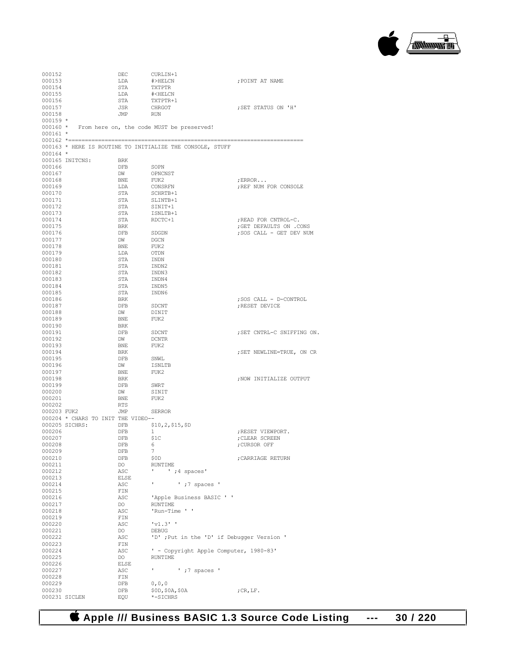

| 000152      |                 | DEC                                | CURLIN+1                                                  |                            |
|-------------|-----------------|------------------------------------|-----------------------------------------------------------|----------------------------|
| 000153      |                 | LDA                                | #>HELCN                                                   | ; POINT AT NAME            |
| 000154      |                 | STA                                | TXTPTR                                                    |                            |
|             |                 |                                    |                                                           |                            |
| 000155      |                 | LDA                                | # <helcn< td=""><td></td></helcn<>                        |                            |
| 000156      |                 | STA                                | TXTPTR+1                                                  |                            |
| 000157      |                 | JSR                                | CHRGOT                                                    | ; SET STATUS ON 'H'        |
|             |                 |                                    |                                                           |                            |
| 000158      |                 | JMP                                | <b>RUN</b>                                                |                            |
| $000159 *$  |                 |                                    |                                                           |                            |
|             |                 |                                    | 000160 * From here on, the code MUST be preserved!        |                            |
| $000161 *$  |                 |                                    |                                                           |                            |
|             |                 |                                    |                                                           |                            |
|             |                 |                                    |                                                           |                            |
|             |                 |                                    | 000163 * HERE IS ROUTINE TO INITIALIZE THE CONSOLE, STUFF |                            |
| $000164$ *  |                 |                                    |                                                           |                            |
|             |                 |                                    |                                                           |                            |
|             | 000165 INITCNS: | BRK                                |                                                           |                            |
| 000166      |                 | <b>DFB</b>                         | SOPN                                                      |                            |
| 000167      |                 | DW                                 | OPNCNST                                                   |                            |
| 000168      |                 | BNE                                | FUK2                                                      | ; $ERROR$                  |
|             |                 |                                    |                                                           |                            |
| 000169      |                 | LDA                                | CONSRFN                                                   | ; REF NUM FOR CONSOLE      |
| 000170      |                 | STA                                | SCHRTB+1                                                  |                            |
| 000171      |                 | STA                                | SLINTB+1                                                  |                            |
|             |                 |                                    |                                                           |                            |
| 000172      |                 | STA                                | SINIT+1                                                   |                            |
| 000173      |                 | STA                                | ISNLTB+1                                                  |                            |
| 000174      |                 | STA                                | RDCTC+1                                                   | READ FOR CNTROL-C.         |
| 000175      |                 | BRK                                |                                                           | ; GET DEFAULTS ON .CONS    |
|             |                 |                                    |                                                           |                            |
| 000176      |                 | DFB                                | SDGDN                                                     | ; SOS CALL - GET DEV NUM   |
| 000177      |                 | DW                                 | DGCN                                                      |                            |
| 000178      |                 | BNE                                | FUK2                                                      |                            |
| 000179      |                 | LDA                                | OTDN                                                      |                            |
|             |                 |                                    |                                                           |                            |
| 000180      |                 | STA                                | INDN                                                      |                            |
| 000181      |                 | STA                                | INDN2                                                     |                            |
| 000182      |                 | STA                                | INDN3                                                     |                            |
|             |                 |                                    |                                                           |                            |
| 000183      |                 | STA                                | INDN4                                                     |                            |
| 000184      |                 | STA                                | INDN5                                                     |                            |
| 000185      |                 | STA                                | INDN6                                                     |                            |
| 000186      |                 | BRK                                |                                                           |                            |
|             |                 |                                    |                                                           | ; SOS CALL - D-CONTROL     |
| 000187      |                 | DFB                                | SDCNT                                                     | ; RESET DEVICE             |
| 000188      |                 | DW                                 | DINIT                                                     |                            |
| 000189      |                 | BNE                                | FUK2                                                      |                            |
| 000190      |                 | BRK                                |                                                           |                            |
|             |                 |                                    |                                                           |                            |
| 000191      |                 | DFB                                | SDCNT                                                     | ; SET CNTRL-C SNIFFING ON. |
| 000192      |                 | DW                                 | DCNTR                                                     |                            |
| 000193      |                 | BNE                                | FUK2                                                      |                            |
|             |                 |                                    |                                                           |                            |
| 000194      |                 | BRK                                |                                                           | ; SET NEWLINE=TRUE, ON CR  |
| 000195      |                 | DFB                                | SNWL                                                      |                            |
| 000196      |                 | DW                                 | ISNLTB                                                    |                            |
| 000197      |                 | BNE                                | FUK2                                                      |                            |
|             |                 |                                    |                                                           |                            |
| 000198      |                 | BRK                                |                                                           | ; NOW INITIALIZE OUTPUT    |
| 000199      |                 | DFB                                | SWRT                                                      |                            |
| 000200      |                 | DW                                 | SINIT                                                     |                            |
| 000201      |                 |                                    |                                                           |                            |
|             |                 | BNE                                | FUK2                                                      |                            |
| 000202      |                 | RTS                                |                                                           |                            |
| 000203 FUK2 |                 | JMP                                | <b>SERROR</b>                                             |                            |
|             |                 | 000204 * CHARS TO INIT THE VIDEO-- |                                                           |                            |
|             |                 |                                    |                                                           |                            |
|             | 000205 SICHRS:  | DFB                                | \$10, 2, \$15, \$D                                        |                            |
| 000206      |                 | DFB                                | 1                                                         | ; RESET VIEWPORT.          |
| 000207      |                 | DFB                                | \$1C                                                      | ; CLEAR SCREEN             |
|             |                 |                                    |                                                           |                            |
| 000208      |                 | DFB                                | 6                                                         | ;CURSOR OFF                |
| 000209      |                 | DFB                                | 7                                                         |                            |
| 000210      |                 | DFB                                | \$0D                                                      | ; CARRIAGE RETURN          |
| 000211      |                 | DO                                 | RUNTIME                                                   |                            |
|             |                 |                                    |                                                           |                            |
| 000212      |                 | ASC                                | $'$ ; 4 spaces'<br>л.                                     |                            |
| 000213      |                 | ELSE                               |                                                           |                            |
| 000214      |                 | ASC                                | $'$ ; 7 spaces $'$<br>٠.                                  |                            |
| 000215      |                 | FIN                                |                                                           |                            |
|             |                 |                                    |                                                           |                            |
| 000216      |                 | ASC.                               | 'Apple Business BASIC ' '                                 |                            |
| 000217      |                 | DO                                 | <b>RUNTIME</b>                                            |                            |
| 000218      |                 | ASC                                | 'Run-Time ' '                                             |                            |
| 000219      |                 |                                    |                                                           |                            |
|             |                 | FIN                                |                                                           |                            |
| 000220      |                 | ASC                                | 'v1.3'                                                    |                            |
| 000221      |                 | DO                                 | DEBUG                                                     |                            |
| 000222      |                 | ASC                                | 'D' ;Put in the 'D' if Debugger Version '                 |                            |
|             |                 |                                    |                                                           |                            |
| 000223      |                 | FIN                                |                                                           |                            |
| 000224      |                 | ASC                                | ' - Copyright Apple Computer, 1980-83'                    |                            |
| 000225      |                 | DO                                 | <b>RUNTIME</b>                                            |                            |
| 000226      |                 | ELSE                               |                                                           |                            |
|             |                 |                                    |                                                           |                            |
| 000227      |                 | ASC                                | $'$ ; 7 spaces '<br>л.                                    |                            |
| 000228      |                 | FIN                                |                                                           |                            |
| 000229      |                 | DFB                                | 0, 0, 0                                                   |                            |
| 000230      |                 | DFB                                |                                                           |                            |
|             |                 |                                    | \$0D, \$0A, \$0A                                          | ; $CR, LF.$                |
|             | 000231 SICLEN   | EQU                                | *-SICHRS                                                  |                            |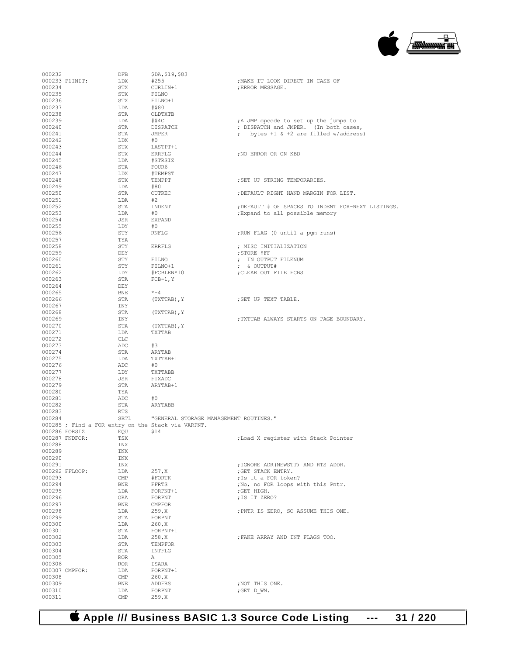

| 000232           | DFB                                                |    | \$DA, \$19, \$83                       |                                                    |
|------------------|----------------------------------------------------|----|----------------------------------------|----------------------------------------------------|
|                  | 000233 P1INIT:<br>LDX                              |    | #255                                   | ; MAKE IT LOOK DIRECT IN CASE OF                   |
| 000234           | STX                                                |    | CURLIN+1                               | ; ERROR MESSAGE.                                   |
| 000235           | STX                                                |    | FILNO                                  |                                                    |
| 000236           | STX                                                |    | FILNO+1                                |                                                    |
| 000237           | LDA                                                |    | #\$80                                  |                                                    |
| 000238           | STA                                                |    | OLDTXTB                                |                                                    |
| 000239           | LDA                                                |    | #\$4C                                  | ; A JMP opcode to set up the jumps to              |
| 000240           | STA                                                |    | DISPATCH                               | ; DISPATCH and JMPER. (In both cases,              |
| 000241           | STA                                                |    | JMPER                                  | ; bytes +1 & +2 are filled w/address)              |
| 000242<br>000243 | LDX<br>STX                                         | #0 | LASTPT+1                               |                                                    |
| 000244           | STX                                                |    | ERRFLG                                 | ; NO ERROR OR ON KBD                               |
| 000245           | LDA                                                |    | #STRSIZ                                |                                                    |
| 000246           | STA                                                |    | FOUR6                                  |                                                    |
| 000247           | LDX                                                |    | #TEMPST                                |                                                    |
| 000248           | STX                                                |    | TEMPPT                                 | ; SET UP STRING TEMPORARIES.                       |
| 000249           | LDA                                                |    | #80                                    |                                                    |
| 000250           | STA                                                |    | OUTREC                                 | ; DEFAULT RIGHT HAND MARGIN FOR LIST.              |
| 000251           | LDA                                                | #2 |                                        |                                                    |
| 000252           | STA                                                |    | INDENT                                 | ; DEFAULT # OF SPACES TO INDENT FOR-NEXT LISTINGS. |
| 000253           | LDA                                                | #0 |                                        | ; Expand to all possible memory                    |
| 000254           | JSR                                                |    | EXPAND                                 |                                                    |
| 000255           | LDY                                                | #0 |                                        |                                                    |
| 000256           | STY                                                |    | RNFLG                                  | ; RUN FLAG (0 until a pgm runs)                    |
| 000257           | TYA                                                |    |                                        |                                                    |
| 000258           | STY                                                |    | <b>ERRFLG</b>                          | ; MISC INITIALIZATION                              |
| 000259           | DEY                                                |    |                                        | ; STORE \$FF                                       |
| 000260           | STY                                                |    | FILNO                                  | ; IN OUTPUT FILENUM                                |
| 000261           | STY                                                |    | FILNO+1                                | ; & OUTPUT#                                        |
| 000262           | LDY                                                |    | #FCBLEN*10                             | ; CLEAR OUT FILE FCBS                              |
| 000263           | STA                                                |    | $FCB-1, Y$                             |                                                    |
| 000264           | DEY                                                |    |                                        |                                                    |
| 000265           | BNE                                                |    | $* - 4$                                |                                                    |
| 000266<br>000267 | STA                                                |    | (TXTTAB), Y                            | ; SET UP TEXT TABLE.                               |
| 000268           | INY<br>STA                                         |    |                                        |                                                    |
| 000269           | INY                                                |    | (TXTTAB), Y                            | ; TXTTAB ALWAYS STARTS ON PAGE BOUNDARY.           |
| 000270           | STA                                                |    | (TXTTAB), Y                            |                                                    |
| 000271           | LDA                                                |    | TXTTAB                                 |                                                    |
| 000272           | CLC                                                |    |                                        |                                                    |
| 000273           | ADC                                                | #3 |                                        |                                                    |
| 000274           | STA                                                |    | ARYTAB                                 |                                                    |
| 000275           | LDA                                                |    | TXTTAB+1                               |                                                    |
| 000276           | ADC                                                | #0 |                                        |                                                    |
| 000277           | LDY                                                |    | TXTTABB                                |                                                    |
| 000278           | JSR                                                |    | FIXADC                                 |                                                    |
| 000279           | STA                                                |    | ARYTAB+1                               |                                                    |
| 000280           | TYA                                                |    |                                        |                                                    |
| 000281           | ADC                                                | #0 |                                        |                                                    |
| 000282           | STA                                                |    | ARYTABB                                |                                                    |
| 000283           | RTS                                                |    |                                        |                                                    |
| 000284           | SBTL                                               |    | "GENERAL STORAGE MANAGEMENT ROUTINES." |                                                    |
|                  | 000285 ; Find a FOR entry on the Stack via VARPNT. |    |                                        |                                                    |
| 000286 FORSIZ    | EQU                                                |    | \$14                                   |                                                    |
|                  | 000287 FNDFOR:<br>TSX                              |    |                                        | ; Load X register with Stack Pointer               |
| 000288           | INX                                                |    |                                        |                                                    |
| 000289           | INX                                                |    |                                        |                                                    |
| 000290           | INX                                                |    |                                        | ; IGNORE ADR (NEWSTT) AND RTS ADDR.                |
| 000291           | INX<br>000292 FFLOOP:<br>LDA                       |    | 257, X                                 | ; GET STACK ENTRY.                                 |
| 000293           | $\text{CMP}$                                       |    | #FORTK                                 | ; Is it a FOR token?                               |
| 000294           | BNE                                                |    | FFRTS                                  | ; No, no FOR loops with this Pntr.                 |
| 000295           | LDA                                                |    | FORPNT+1                               | ; GET HIGH.                                        |
| 000296           | ORA                                                |    | FORPNT                                 | ; IS IT ZERO?                                      |
| 000297           | BNE                                                |    | <b>CMPFOR</b>                          |                                                    |
| 000298           | LDA                                                |    | 259, X                                 | ; PNTR IS ZERO, SO ASSUME THIS ONE.                |
| 000299           | STA                                                |    | FORPNT                                 |                                                    |
| 000300           | LDA                                                |    | 260, X                                 |                                                    |
| 000301           | STA                                                |    | FORPNT+1                               |                                                    |
| 000302           | LDA                                                |    | 258, X                                 | ; FAKE ARRAY AND INT FLAGS TOO.                    |
| 000303           | STA                                                |    | TEMPFOR                                |                                                    |
| 000304           | STA                                                |    | INTFLG                                 |                                                    |
| 000305           | ROR                                                | Α  |                                        |                                                    |
| 000306           | ROR                                                |    | ISARA                                  |                                                    |
|                  | 000307 CMPFOR:<br>LDA                              |    | FORPNT+1                               |                                                    |
| 000308           | $\text{CMP}$                                       |    | 260, X                                 |                                                    |
| 000309           | BNE                                                |    | ADDFRS                                 | ; NOT THIS ONE.                                    |
| 000310           | LDA                                                |    | FORPNT                                 | ;GET D WN.                                         |
| 000311           | $\text{CMP}$                                       |    | 259, X                                 |                                                    |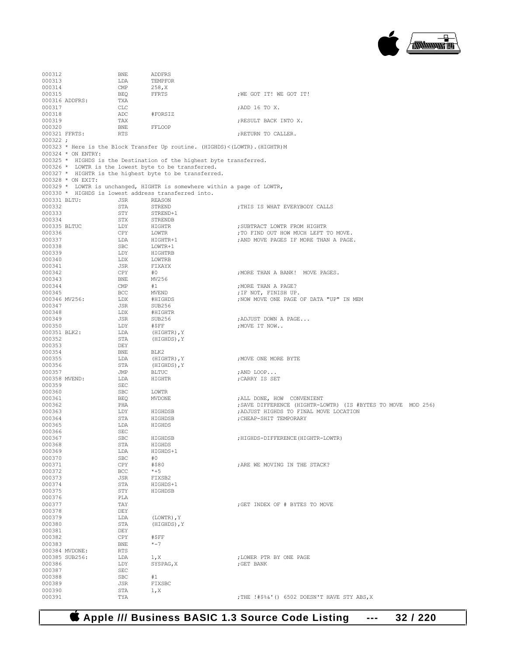

000312 BNE ADDFRS<br>000313 LDA TEMPFO LDA TEMPFOR<br>CMP 258.X 000314 CMP 258, X<br>000315 BEQ FFRTS BEQ FFRTS ;WE GOT IT! WE GOT IT! TXA 000316 ADDFRS: TXA<br>000317 CLC  $000317 \hspace{1.5cm} \text{CLC} \hspace{1.5cm} \text{7ADD 16 TO X.}$ 000318 ADC #FORSIZ 000319 TAX ;RESULT BACK INTO X. 000320 BNE FFLOOP<br>000321 FFRTS: RTS  ${\tt FRTS} \hspace{2.5cm} {\tt FRTURN} \hspace{2.5cm} {\tt TO} \hspace{2.5cm} {\tt CALLER} \, .$ 000322 ; 000323 \* Here is the Block Transfer Up routine. (HIGHDS)<(LOWTR).(HIGHTR)M 000324 \* ON ENTRY: 000325 \* HIGHDS is the Destination of the highest byte transferred. 000326 \* LOWTR is the lowest byte to be transferred. 000327 \* HIGHTR is the highest byte to be transferred. 000328 \* ON EXIT: 000329 \* LOWTR is unchanged, HIGHTR is somewhere within a page of LOWTR, 000330 \* HIGHDS is lowest address transferred into.<br>000331 BLTHL ... JSR REASON 000331 BLTU: JSR REASON<br>000332 STA STREND 000332 STA STREND ;THIS IS WHAT EVERYBODY CALLS (000332 000333 STY STREND+1<br>000334 STX STRENDB 000334 STX STRENDB 000335 BLTUC LDY HIGHTR ;SUBTRACT LOWTR FROM HIGHTR 000336 CPY LOWTR ;TO FIND OUT HOW MUCH LEFT TO MOVE. 000337 LDA HIGHTR+1 ;AND MOVE PAGES IF MORE THAN A PAGE. 000338 SBC LOWTR+1<br>000339 LDY HIGHTRB LDY HIGHTRB<br>LDX LOWTRB 000340 LDX<br>000341 JSR  $\begin{array}{cccc}\n 000341 & & & \text{JSR} & & \text{FIXAYX} \\
 000342 & & & \text{CPY} & & \text{\#0}\n \end{array}$  $\begin{array}{lllllll} \text{CPY} & & \text{\#0} & & \text{\#1.5} \\ \text{BNE} & & \text{MV256} & & \text{\#1.6} \\ \end{array}$  $\begin{array}{ccc} 0.00343 & \text{BNE} & \text{MV2}\\ 0.00344 & \text{CMP} & \text{H1} \end{array}$ 000344 CMP #1 ;MORE THAN A PAGE? 000345 BCC MVEND ;IF NOT, FINISH UP. 000346 MV256: LDX #HIGHDS ;NOW MOVE ONE PAGE OF DATA "UP" IN MEM 000347 000347 JSR SUB256<br>000348 LDX #HIGHTF 000348 LDX #HIGHTR 000349 JSR SUB256 ;ADJUST DOWN A PAGE...  ${\tt LDY} \qquad \quad \ \# {\tt SFF} \qquad \qquad \qquad {\tt yMove}\ {\tt IT\ NOM.}\ .$   ${\tt LDA} \qquad \qquad ({\tt HIGHTR})\,, {\tt Y}$ 000351 BLK2: LDA<br>000352 STA STA (HIGHDS), Y<br>DEY 000353 000354 BNE BLK2 000355  $LDA$  (HIGHTR),  $Y$  , MOVE ONE MORE BYTE 000356 STA (HIGHDS),  $Y$  $000356$  STA (HIGHDS), Y
000357
<br>  $JMP$ BLTUC 000357 JMP BLTUC ;AND LOOP... DE HIGHTR ;CARRY IS SET SEC 000359 000360 SBC LOWTR 000361 BEQ MVDONE ;ALL DONE, HOW CONVENIENT PHA **phatral state of the state of the state of the state of the state of the state of the state of the state of the state of the state of the state of the state of the state of the state of the state of the state of the s** 000363 LDY HIGHDSB ;ADJUST HIGHDS TO FINAL MOVE LOCATION 000364 STA HIGHDSB ;CHEAP-SHIT TEMPORARY 000365 LDA HIGHDS<br>000366 SEC 000366 SEC<br>000367 SBC 000367 SBC HIGHDSB ;HIGHDS-DIFFERENCE(HIGHTR-LOWTR) 000368 STA HIGHDS<br>000369 LDA HIGHDS+  $LDA$   $HIGHDS+1$ <br>SBC  $#0$ 000370 SBC #0<br>000371 CPY #\$80  $$\tt CPY$$   $$\tt \#\$80$$  , ARE WE MOVING IN THE STACK? BCC  $$\star$+5$ 000372 BCC<br>000373 JSR 000373 <br>000374 <br>STA HIGHDS RIGHDS 000374 STA HIGHDS+1<br>000375 STY HIGHDSB STY HIGHDSB<br>PLA 000376 PLA<br>000377 TAY  $\star$ GET INDEX OF # BYTES TO MOVE DEY 000378 DEY<br>000379 LDA 000379 LDA (LOWTR), Y<br>000380 STA (HIGHDS), Y STA (HIGHDS), Y<br>DEY 000381 DEY<br>000382 CPY 000382 CPY #\$FF <br>000383 BNE \*-7 000383 BNE<br>000384 MVDONE: RTS 000384 MVDONE: RTS<br>000385 SUB256: LDA 000385 SUB256: LDA  $1, x$  ;LOWER PTR BY ONE PAGE 000386  $\qquad$  LDY SYSPAG, X ;GET BANK , GET BANK 000387 SEC<br>000388 SBC 000388 SBC #1<br>000389 JSR FI JSR FIXSBC<br>STA 1.X  $\begin{array}{cccc}\n 000390 & & & \text{STA} & & 1, X \\
 000391 & & & \text{TYA} & & \n\end{array}$ ;THE !#\$%&'() 6502 DOESN'T HAVE STY ABS, X

 **Apple /// Business BASIC 1.3 Source Code Listing --- 32 / 220**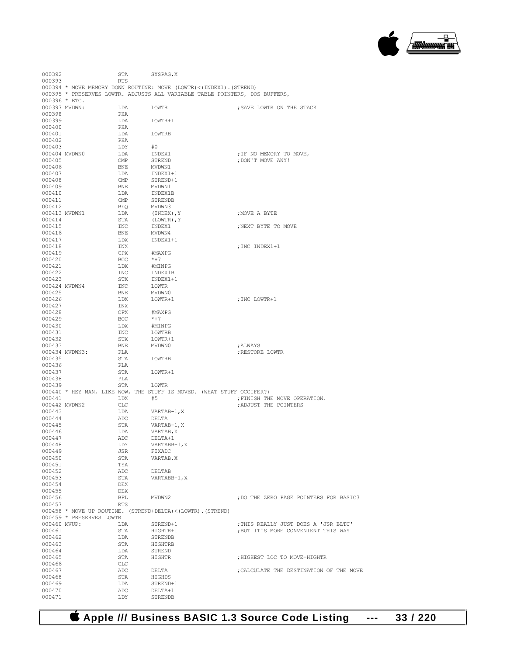

| 000393       |                          | RTS        |                                                                    |                                                                             |
|--------------|--------------------------|------------|--------------------------------------------------------------------|-----------------------------------------------------------------------------|
|              |                          |            | 000394 * MOVE MEMORY DOWN ROUTINE: MOVE (LOWTR)<(INDEX1). (STREND) |                                                                             |
|              |                          |            |                                                                    | 000395 * PRESERVES LOWTR. ADJUSTS ALL VARIABLE TABLE POINTERS, DOS BUFFERS, |
|              | 000396 * ETC.            |            |                                                                    |                                                                             |
|              | 000397 MVDWN:            | LDA        | LOWTR                                                              | ; SAVE LOWTR ON THE STACK                                                   |
| 000398       |                          | PHA        |                                                                    |                                                                             |
| 000399       |                          | LDA        | LOWTR+1                                                            |                                                                             |
| 000400       |                          | PHA        |                                                                    |                                                                             |
| 000401       |                          | LDA        | LOWTRB                                                             |                                                                             |
| 000402       |                          | PHA        |                                                                    |                                                                             |
| 000403       |                          | LDY        | #0                                                                 |                                                                             |
|              | 000404 MVDWN0            | LDA        | INDEX1                                                             | ; IF NO MEMORY TO MOVE,                                                     |
| 000405       |                          | CMP        | STREND                                                             | : DON'T MOVE ANY!                                                           |
| 000406       |                          | BNE        | MVDWN1                                                             |                                                                             |
| 000407       |                          | LDA        | INDEX1+1                                                           |                                                                             |
| 000408       |                          | CMP        | STREND+1                                                           |                                                                             |
| 000409       |                          | BNE        | MVDWN1                                                             |                                                                             |
| 000410       |                          | LDA        | INDEX1B                                                            |                                                                             |
| 000411       |                          | CMP        | STRENDB                                                            |                                                                             |
| 000412       |                          | BEQ        | MVDWN3                                                             |                                                                             |
|              | 000413 MVDWN1            | LDA        | (INDEX), Y                                                         | MOVE A BYTE;                                                                |
| 000414       |                          | STA        | (LOWTR), Y                                                         |                                                                             |
| 000415       |                          | INC        | INDEX1                                                             | ; NEXT BYTE TO MOVE                                                         |
| 000416       |                          | BNE        | MVDWN4                                                             |                                                                             |
| 000417       |                          | T.DX       | $TNDFX1+1$                                                         |                                                                             |
| 000418       |                          | INX        |                                                                    | ; INC INDEX1+1                                                              |
| 000419       |                          | CPX        | #MAXPG                                                             |                                                                             |
| 000420       |                          | <b>BCC</b> | $*+7$                                                              |                                                                             |
| 000421       |                          | LDX        | #MINPG                                                             |                                                                             |
| 000422       |                          | INC        | INDEX1B                                                            |                                                                             |
| 000423       |                          | STX        | INDEX1+1                                                           |                                                                             |
|              | 000424 MVDWN4            | INC        | LOWTR                                                              |                                                                             |
| 000425       |                          | BNE        | MVDWN0                                                             |                                                                             |
| 000426       |                          | LDX        | LOWTR+1                                                            | ; INC LOWTR+1                                                               |
| 000427       |                          | INX        |                                                                    |                                                                             |
| 000428       |                          | CPX        | #MAXPG                                                             |                                                                             |
| 000429       |                          | <b>BCC</b> | $*+7$                                                              |                                                                             |
| 000430       |                          | LDX        | #MINPG                                                             |                                                                             |
| 000431       |                          | INC        | LOWTRB                                                             |                                                                             |
| 000432       |                          | STX        | LOWTR+1                                                            |                                                                             |
| 000433       |                          | BNE        | MVDWN0                                                             | ; ALWAYS                                                                    |
|              | 000434 MVDWN3:           | PLA        |                                                                    | ; RESTORE LOWTR                                                             |
| 000435       |                          | STA        | LOWTRB                                                             |                                                                             |
| 000436       |                          | PLA        |                                                                    |                                                                             |
| 000437       |                          | STA        | LOWTR+1                                                            |                                                                             |
| 000438       |                          | PLA        |                                                                    |                                                                             |
| 000439       |                          | STA        | LOWTR                                                              |                                                                             |
|              |                          |            |                                                                    | 000440 * HEY MAN, LIKE WOW, THE STUFF IS MOVED. (WHAT STUFF OCCIFER?)       |
| 000441       |                          | LDX        | #5                                                                 | ; FINISH THE MOVE OPERATION.                                                |
|              | 000442 MVDWN2            | CLC        |                                                                    | ; ADJUST THE POINTERS                                                       |
| 000443       |                          | LDA        | VARTAB-1, X                                                        |                                                                             |
| 000444       |                          | ADC.       | DELTA                                                              |                                                                             |
| 000445       |                          | STA        | VARTAB-1, X                                                        |                                                                             |
| 000446       |                          | LDA        | VARTAB, X                                                          |                                                                             |
| 000447       |                          | ADC        | DELTA+1                                                            |                                                                             |
| 000448       |                          | LDY        | VARTABB-1, X                                                       |                                                                             |
| 000449       |                          | JSR        | FIXADC                                                             |                                                                             |
| 000450       |                          | STA        | VARTAB, X                                                          |                                                                             |
| 000451       |                          | TYA        |                                                                    |                                                                             |
| 000452       |                          | ADC        | DELTAB                                                             |                                                                             |
| 000453       |                          | STA        | VARTABB-1, X                                                       |                                                                             |
| 000454       |                          | DEX        |                                                                    |                                                                             |
| 000455       |                          | DEX        |                                                                    |                                                                             |
| 000456       |                          | BPL        | MVDWN2                                                             | ; DO THE ZERO PAGE POINTERS FOR BASIC3                                      |
| 000457       |                          | RTS        |                                                                    |                                                                             |
|              |                          |            | $000458$ * MOVE UP ROUTINE. (STREND+DELTA) < (LOWTR). (STREND)     |                                                                             |
|              | 000459 * PRESERVES LOWTR |            |                                                                    |                                                                             |
| 000460 MVUP: |                          | LDA        | STREND+1                                                           | ; THIS REALLY JUST DOES A 'JSR BLTU'                                        |
| 000461       |                          | STA        | HIGHTR+1                                                           | ; BUT IT'S MORE CONVENIENT THIS WAY                                         |
| 000462       |                          | LDA        | <b>STRENDB</b>                                                     |                                                                             |
| 000463       |                          | STA        | HIGHTRB                                                            |                                                                             |
| 000464       |                          | LDA        | STREND                                                             |                                                                             |
| 000465       |                          | STA        | HIGHTR                                                             | ; HIGHEST LOC TO MOVE=HIGHTR                                                |
| 000466       |                          | CLC        |                                                                    |                                                                             |
| 000467       |                          | ADC        |                                                                    | ; CALCULATE THE DESTINATION OF THE MOVE                                     |
| 000468       |                          | STA        | DELTA                                                              |                                                                             |
| 000469       |                          | LDA        | HIGHDS<br>STREND+1                                                 |                                                                             |
| 000470       |                          | ADC        | DELTA+1                                                            |                                                                             |
| 000471       |                          | LDY        |                                                                    |                                                                             |
|              |                          |            | STRENDB                                                            |                                                                             |

000392 STA SYSPAG, X

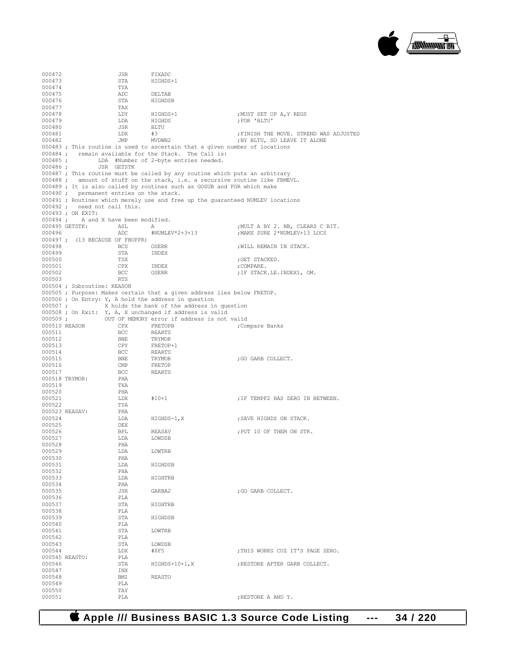

000472 JSR FIXADC<br>000473 STA HIGHDS-STA HIGHDS+1<br>TYA 000474 TYA<br>000475 ADC 000475 ADC DELTAB STA HIGHDSB<br>TAX 000477 TAX<br>000478 LDY 000478 LDY HIGHDS+1 ;MUST SET UP A,Y REGS  $\begin{array}{lll} \texttt{LDA} & \texttt{HIGHDS} & \texttt{; FOR 'BLTU'}\\ \texttt{JSR} & \texttt{BLTU} & \texttt{.} & \texttt{.} & \texttt{.} \\ \end{array}$  $000480$ <br> $000481$ 000481 LDX #3 ;FINISH THE MOVE. STREND WAS ADJUSTED ; BY BLTU, SO LEAVE IT ALONE 000483 ; This routine is used to ascertain that a given number of locations 000484 ; remain available for the Stack. The Call is:<br>000485 : IDA #Number of 2-byte entries needed. 000485 ; LDA #Number of 2-byte entries needed.<br>000486 ; JSR GETSTK 000486 ; JSR GETSTK 000487 ; This routine must be called by any routine which puts an arbitrary 000488 ; amount of stuff on the stack, i.e. a recursive routine like FRMEVL. 000489 ; It is also called by routines such as GOSUB and FOR which make 000490 ; permanent entries on the stack. permanent entries on the stack. 000491 ; Routines which merely use and free up the guaranteed NUMLEV locations 000492 ; need not call this. 000493 ; ON EXIT: 000494 ; A and X have been modified.<br>000495 GETSTK: ASL A 000495 GETSTK: ASL A  $\mu$ NUMLEV\*2+3+13 , MULT A BY 2. NB, CLEARS C BIT. ; MAKE SURE 2\*NUMLEV+13 LOCS 000497 ; (13 BECAUSE OF FBUFFR)<br>000498 BCS  ${\tt BCS} \qquad \qquad {\tt OSER} \qquad \qquad {\tt JNILL}\ \ {\tt REMAIN}\ \ {\tt IN}\ \ {\tt STACK}\ .$   ${\tt STA} \qquad \qquad {\tt INDEX}$ 000499 STA<br>000500 TSX 000500 TSX ;GET STACKED. 000501 CPX INDEX ;COMPARE. 000502 BCC OSERR ;IF STACK.LE.INDEX1, OM.<br>000503 RTS 000503 RTS 000504 ; Subroutine: REASON 000505 ; Purpose: Makes certain that a given address lies below FRETOP. 000506 ; On Entry: Y, A hold the address in question 000507 ;  $X$  holds the bank of the address in X holds the bank of the address in question 000508 ; On Exit: Y, A, X unchanged if address is valid 000509 ; OUT OF MEMORY error if address is not OUT OF MEMORY error if address is not valid<br>CPX FRETOPB (Compare Banks  $\begin{array}{lll} 000510 & \text{REASON} & \text{CPX} \\ 000511 & & \text{BCC} \end{array}$ 000511 BCC REARTS<br>000512 BNE TRYMOR 000512 BNE TRYMOR<br>000513 CPY FRETOP 000513 CPY FRETOP+1<br>000514 BCC REARTS 000514 BCC REARTS<br>000515 BNE TRYMOR 000515 BNE TRYMOR ;GO GARB COLLECT. 000516 CMP FRETOP<br>000517 BCC REARTS BCC REARTS<br>PHA 000518 TRYMOR: PHA<br>000519 TXA 000519 000520 PHA<br>000521 T.DX 000521 LDX #10+1 ;IF TEMPF2 HAS ZERO IN BETWEEN. 000522 TYA 000523 REASAV: PHA<br>000524 T.DA HIGHDS-1, X ; SAVE HIGHDS ON STACK. 000525 DEX<br>000526 BPL 000526 BPL REASAV ;PUT 10 OF THEM ON STK. LDA LOWDSB<br>PHA 000528 PHA<br>000529 LDA 000529 LDA LOWTRB 000530 PHA<br>000531 LDA LDA HIGHDSB<br>PHA 000532 PHA<br>000533 T.DA LDA HIGHTRB<br>PHA 000534 PHA  ${\tt JSR} \hspace{1.5cm} {\tt GARBA2} \hspace{1.5cm} {\tt jGO} \hspace{1.5cm} {\tt GARB} \hspace{1.5cm} {\tt COLLECT.}$  PLA 000536 PLA<br>000537 STA STA HIGHTRB<br>PLA 000538 PLA<br>000539 STA STA HIGHDSB<br>PLA 000540 PLA PLA STA STA LOWTRB<br>PLA 000542 PLA<br>000543 STA 000543 STA LOWDSB<br>000544 LDX #\$F5  $\begin{array}{ll}\n\text{IDX} & \text{#}\$F5 \\
\text{PIA} & \text{PIB} \\
\end{array} \quad \text{.} \quad \begin{array}{ll}\n\text{.} & \text{.} \\
\text{.} & \text{.} \\
\text{.} & \text{.} \\
\end{array} \quad \text{.} \quad \begin{array}{ll}\n\text{.} & \text{.} \\
\text{.} & \text{.} \\
\text{.} & \text{.} \\
\end{array} \quad \text{.} \quad \begin{array}{ll}\n\text{.} & \text{.} \\
\text{.} & \text{.} \\
\$ 000545 REASTO: PLA<br>000546 STA HIGHDS+10+1, X ;RESTORE AFTER GARB COLLECT. 000547 INX<br>000548 BMT BMI REASTO<br>PLA 000549 000550 TAY<br>000551 PLA : RESTORE A AND Y.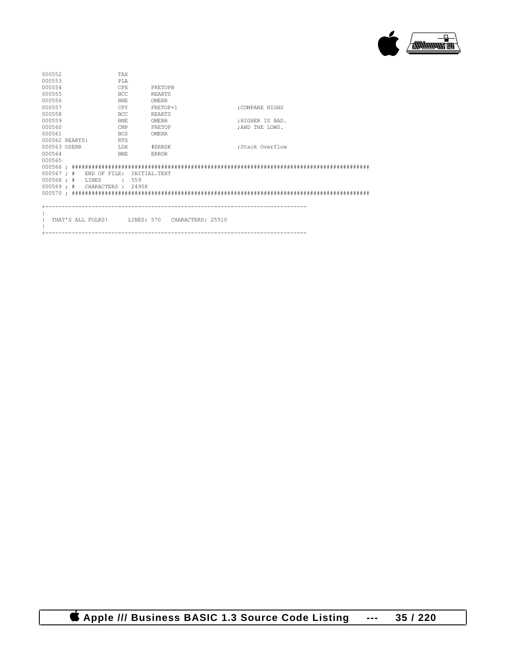

| 000552<br><b>TAX</b>          |                              |                 |  |
|-------------------------------|------------------------------|-----------------|--|
| 000553<br>PT.A                |                              |                 |  |
| 000554<br><b>CPX</b>          | <b>FRETOPB</b>               |                 |  |
| 000555<br>BCC.                | <b>REARTS</b>                |                 |  |
| 000556<br><b>BNE</b>          | OMERR                        |                 |  |
| 000557<br><b>CPY</b>          | FRETOP+1                     | : COMPARE HIGHS |  |
| 000558<br>BCC.                | <b>REARTS</b>                |                 |  |
| 000559<br><b>BNE</b>          | OMERR                        | :HIGHER IS BAD. |  |
| 000560<br><b>CMP</b>          | <b>FRETOP</b>                | : AND THE LOWS. |  |
| 000561<br><b>BCS</b>          | OMERR                        |                 |  |
| 000562 REARTS:<br><b>RTS</b>  |                              |                 |  |
| 000563 OSERR<br>LDX           | #ERRSK                       | :Stack Overflow |  |
| 000564<br><b>BNE</b>          | <b>ERROR</b>                 |                 |  |
| 000565                        |                              |                 |  |
|                               |                              |                 |  |
| $000567$ ; # END OF FILE:     | INITIAL. TEXT                |                 |  |
| $000568 : #$ LINES<br>.559    |                              |                 |  |
| 000569 ; # CHARACTERS : 24958 |                              |                 |  |
|                               |                              |                 |  |
|                               |                              |                 |  |
|                               |                              |                 |  |
|                               |                              |                 |  |
| THAT'S ALL FOLKS!             | LINES: 570 CHARACTERS: 25510 |                 |  |
|                               |                              |                 |  |

+-------------------------------------------------------------------------------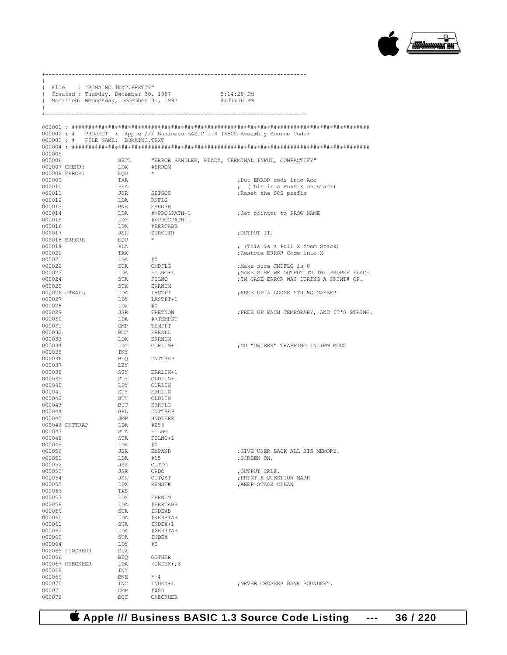

|                           | File : "B3MAINC.TEXT.PRETTY"<br>  Created : Tuesday, December 30, 1997 |                     | Modified: Wednesday, December 31, 1997         | 5:14:29 PM<br>4:37:06 PM                                                     |
|---------------------------|------------------------------------------------------------------------|---------------------|------------------------------------------------|------------------------------------------------------------------------------|
|                           |                                                                        |                     |                                                |                                                                              |
|                           | 000003; # FILE NAME: B3MAINC.TEXT                                      |                     |                                                | 000002; # PROJECT : Apple /// Business BASIC 1.3 (6502 Assembly Source Code) |
|                           |                                                                        |                     |                                                |                                                                              |
| 000005<br>000006          |                                                                        | SBTL                |                                                | "ERROR HANDLER, READY, TERMINAL INPUT, COMPACTIFY"                           |
| 000007 OMERR:             |                                                                        | LDX                 | #ERROM                                         |                                                                              |
| 000008 ERROR:             |                                                                        | EQU                 |                                                |                                                                              |
| 000009<br>000010          |                                                                        | TXA<br>PHA          |                                                | ; Put ERROR code into Acc<br>; (This is a Push X on stack)                   |
| 000011                    |                                                                        | JSR                 | SETSOS                                         | ; Reset the SOS prefix                                                       |
| 000012                    |                                                                        | LDA                 | RNFLG                                          |                                                                              |
| 000013<br>000014          |                                                                        | <b>BNE</b><br>LDA   | ERRORR<br>#>PROGPATH+1                         | ; Get pointer to PROG NAME                                                   |
| 000015                    |                                                                        | LDY                 | # <progpath+1< td=""><td></td></progpath+1<>   |                                                                              |
| 000016                    |                                                                        | LDX                 | #ERRTABB                                       |                                                                              |
| 000017<br>000018 ERRORR   |                                                                        | JSR<br>EQU          | STROUTR<br>$\star$                             | ;OUTPUT IT.                                                                  |
| 000019                    |                                                                        | PLA                 |                                                | ; (This is a Pull X from Stack)                                              |
| 000020                    |                                                                        | TAX                 |                                                | ; Restore ERROR Code into X                                                  |
| 000021<br>000022          |                                                                        | LDA<br>STA          | #0<br>CMDFLG                                   | ;Make sure CMDFLG is 0                                                       |
| 000023                    |                                                                        | LDA                 | FILNO+1                                        | ; MAKE SURE WE OUTPUT TO THE PROPER PLACE                                    |
| 000024                    |                                                                        | STA                 | FILNO                                          | ; IN CASE ERROR WAS DURING A PRINT# OP.                                      |
| 000025<br>000026 FREALL   |                                                                        | STX<br>LDA          | ERRNUM<br>LASTPT                               | ; FREE UP A LOOSE STRING MAYBE?                                              |
| 000027                    |                                                                        | LDY                 | LASTPT+1                                       |                                                                              |
| 000028                    |                                                                        | LDX                 | #0                                             |                                                                              |
| 000029<br>000030          |                                                                        | JSR<br>LDA          | FRETNOW<br>#>TEMPST                            | ; FREE UP EACH TEMPORARY, AND IT'S STRING.                                   |
| 000031                    |                                                                        | $\mathsf{CMP}$      | TEMPPT                                         |                                                                              |
| 000032                    |                                                                        | BCC                 | FREALL                                         |                                                                              |
| 000033<br>000034          |                                                                        | LDX<br>LDY          | ERRNUM<br>CURLIN+1                             | ; NO "ON ERR" TRAPPING IN IMM MODE                                           |
| 000035                    |                                                                        | INY                 |                                                |                                                                              |
| 000036                    |                                                                        | BEO                 | DNTTRAP                                        |                                                                              |
| 000037<br>000038          |                                                                        | DEY<br>STY          | ERRLIN+1                                       |                                                                              |
| 000039                    |                                                                        | STY                 | OLDLIN+1                                       |                                                                              |
| 000040<br>000041          |                                                                        | LDY<br>STY          | CURLIN<br>ERRLIN                               |                                                                              |
| 000042                    |                                                                        | STY                 | OLDLIN                                         |                                                                              |
| 000043                    |                                                                        | BIT                 | ERRFLG                                         |                                                                              |
| 000044<br>000045          |                                                                        | BPL<br>JMP          | DNTTRAP<br>HNDLERR                             |                                                                              |
| 000046 DNTTRAP            |                                                                        | LDA                 | #255                                           |                                                                              |
| 000047                    |                                                                        | STA                 | FILNO                                          |                                                                              |
| 000048<br>000049          |                                                                        | STA<br>LDA          | FILNO+1<br>#0                                  |                                                                              |
| 000050                    |                                                                        | JSR                 | <b>EXPAND</b>                                  | ; GIVE USER BACK ALL HIS MEMORY.                                             |
| 000051                    |                                                                        | LDA                 | #15                                            | ; SCREEN ON.                                                                 |
| 000052<br>000053          |                                                                        | JSR<br>JSR          | OUTDO<br>CRDO                                  | ; OUTPUT CRLF.                                                               |
| 000054                    |                                                                        | JSR                 | OUTQST                                         | ; PRINT A QUESTION MARK                                                      |
| 000055<br>000056          |                                                                        | LDX                 | REMSTK                                         | ; KEEP STACK CLEAN                                                           |
| 000057                    |                                                                        | TXS<br>LDX          | <b>ERRNUM</b>                                  |                                                                              |
| 000058                    |                                                                        | LDA                 | #ERRTABB                                       |                                                                              |
| 000059<br>000060          |                                                                        | STA<br>LDA          | INDEXB<br># <errtab< td=""><td></td></errtab<> |                                                                              |
| 000061                    |                                                                        | STA                 | INDEX+1                                        |                                                                              |
| 000062                    |                                                                        | LDA                 | #>ERRTAB                                       |                                                                              |
| 000063<br>000064          |                                                                        | STA<br>LDY          | INDEX<br>#0                                    |                                                                              |
| 000065 FINDHERR           |                                                                        | DEX                 |                                                |                                                                              |
| 000066                    |                                                                        | <b>BEQ</b>          | <b>GOTHER</b>                                  |                                                                              |
| 000067 CHECKHER<br>000068 |                                                                        | LDA<br>INY          | (INDEX), Y                                     |                                                                              |
| 000069                    |                                                                        | <b>BNE</b>          | $* + 4$                                        |                                                                              |
| 000070                    |                                                                        | INC                 | INDEX+1                                        | ; NEVER CROSSES BANK BOUNDERY.                                               |
| 000071<br>000072          |                                                                        | $\text{CMP}$<br>BCC | #\$80<br>CHECKHER                              |                                                                              |

+-------------------------------------------------------------------------------

 **Apple /// Business BASIC 1.3 Source Code Listing --- 36 / 220**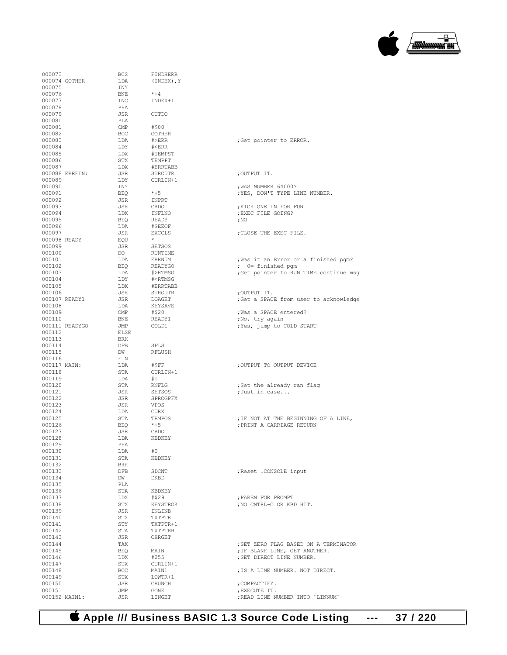

| 000073         | <b>BCS</b>   | FINDHERR                           |                                        |
|----------------|--------------|------------------------------------|----------------------------------------|
| 000074 GOTHER  | LDA          | (INDEX), Y                         |                                        |
| 000075         | INY          |                                    |                                        |
|                |              |                                    |                                        |
| 000076         | BNE.         | $*+4$                              |                                        |
| 000077         | INC          | INDEX+1                            |                                        |
| 000078         | PHA          |                                    |                                        |
| 000079         | JSR          | OUTDO                              |                                        |
|                |              |                                    |                                        |
| 000080         | PLA          |                                    |                                        |
| 000081         | CMP          | #\$80                              |                                        |
| 000082         | BCC          | <b>GOTHER</b>                      |                                        |
|                |              |                                    |                                        |
| 000083         | LDA          | $\#$ $>ERR$                        | ;Get pointer to ERROR.                 |
| 000084         | LDY          | $\#$                               |                                        |
| 000085         | LDX          | #TEMPST                            |                                        |
|                |              |                                    |                                        |
| 000086         | STX          | TEMPPT                             |                                        |
| 000087         | LDX          | #ERRTABB                           |                                        |
| 000088 ERRFIN: | JSR          | STROUTR                            | ;OUTPUT IT.                            |
| 000089         | LDY          | CURLIN+1                           |                                        |
|                |              |                                    |                                        |
| 000090         | INY          |                                    | ; WAS NUMBER 64000?                    |
| 000091         | BEQ          | $*+5$                              | ; YES, DON'T TYPE LINE NUMBER.         |
| 000092         | JSR          | INPRT                              |                                        |
|                |              |                                    |                                        |
| 000093         | JSR          | CRDO                               | ; KICK ONE IN FOR FUN                  |
| 000094         | LDX          | INFLNO                             | ; EXEC FILE GOING?                     |
| 000095         | BEO          | READY                              | ;NO                                    |
| 000096         | LDA          | #SEEOF                             |                                        |
|                |              |                                    |                                        |
| 000097         | JSR          | <b>EXCCLS</b>                      | ; CLOSE THE EXEC FILE.                 |
| 000098 READY   | EOU          | $\star$                            |                                        |
| 000099         | JSR          | SETSOS                             |                                        |
| 000100         | DO -         | RUNTIME                            |                                        |
|                |              |                                    |                                        |
| 000101         | LDA          | ERRNUM                             | ; Was it an Error or a finished pgm?   |
| 000102         | <b>BEO</b>   | READYGO                            | $: 0 =$ finished pqm                   |
| 000103         | LDA          | #>RTMSG                            | ; Get pointer to RUN TIME continue msg |
|                |              |                                    |                                        |
| 000104         | LDY          | # <rtmsg< td=""><td></td></rtmsg<> |                                        |
| 000105         | LDX          | #ERRTABB                           |                                        |
| 000106         | JSR          | STROUTR                            | ; OUTPUT IT.                           |
| 000107 READY1  | JSR          | DOAGET                             | ;Get a SPACE from user to acknowledge  |
|                |              |                                    |                                        |
| 000108         | LDA          | KEYSAVE                            |                                        |
| 000109         | $\text{CMP}$ | #\$20                              | ; Was a SPACE entered?                 |
| 000110         | BNE          | READY1                             | ;No, try again                         |
| 000111 READYGO | JMP          | COLD1                              |                                        |
|                |              |                                    | ; Yes, jump to COLD START              |
| 000112         | ELSE         |                                    |                                        |
| 000113         | <b>BRK</b>   |                                    |                                        |
| 000114         | DFB          | SFLS                               |                                        |
|                |              |                                    |                                        |
| 000115         | DW           | RFLUSH                             |                                        |
| 000116         | FIN          |                                    |                                        |
| 000117 MAIN:   | LDA          | #\$FF                              | ; OUTPUT TO OUTPUT DEVICE              |
| 000118         | STA          | CURLIN+1                           |                                        |
|                |              |                                    |                                        |
| 000119         | LDA          | #1                                 |                                        |
| 000120         | STA          | RNFLG                              | ;Set the already ran flag              |
| 000121         | JSR          | SETSOS                             | ;Just in case                          |
|                |              |                                    |                                        |
| 000122         | JSR          | SPROGPFX                           |                                        |
| 000123         | JSR          | VPOS                               |                                        |
| 000124         | LDA          | CURX                               |                                        |
| 000125         | STA          | TRMPOS                             | ; IF NOT AT THE BEGINNING OF A LINE,   |
|                |              |                                    |                                        |
| 000126         | BEO          | $*+5$                              | ; PRINT A CARRIAGE RETURN              |
| 000127         | JSR          | CRDO                               |                                        |
| 000128         | LDA          | KBDKEY                             |                                        |
|                |              |                                    |                                        |
| 000129         | PHA          |                                    |                                        |
| 000130         | LDA          | #0                                 |                                        |
| 000131         | STA          | KBDKEY                             |                                        |
| 000132         | <b>BRK</b>   |                                    |                                        |
| 000133         |              |                                    |                                        |
|                | DFB          | SDCNT                              | ; Reset . CONSOLE input                |
| 000134         | DW           | DKBD                               |                                        |
| 000135         | PLA          |                                    |                                        |
| 000136         | STA          | KBDKEY                             |                                        |
|                |              |                                    |                                        |
| 000137         | LDX          | #\$29                              | ; PAREN FOR PROMPT                     |
| 000138         | STX          | KEYSTROK                           | ; NO CNTRL-C OR KBD HIT.               |
| 000139         | JSR          | INLINB                             |                                        |
|                |              |                                    |                                        |
| 000140         | STX          | <b>TXTPTR</b>                      |                                        |
| 000141         | STY          | TXTPTR+1                           |                                        |
| 000142         | STA          | TXTPTRB                            |                                        |
| 000143         | JSR          | CHRGET                             |                                        |
|                |              |                                    |                                        |
| 000144         | TAX          |                                    | ; SET ZERO FLAG BASED ON A TERMINATOR  |
| 000145         | BEQ          | MAIN                               | ; IF BLANK LINE, GET ANOTHER.          |
| 000146         | LDX          | #255                               | ; SET DIRECT LINE NUMBER.              |
|                |              |                                    |                                        |
| 000147         | STX          | CURLIN+1                           |                                        |
| 000148         | BCC          | MAIN1                              | ; IS A LINE NUMBER. NOT DIRECT.        |
| 000149         | STX          | LOWTR+1                            |                                        |
|                |              |                                    |                                        |
| 000150         | JSR          | CRUNCH                             | ; COMPACTIFY.                          |
| 000151         | JMP          | GONE                               | ; EXECUTE IT.                          |
| 000152 MAIN1:  | JSR          | LINGET                             | ; READ LINE NUMBER INTO 'LINNUM'       |
|                |              |                                    |                                        |

| ;Get pointer to ERROR.                                                                              |
|-----------------------------------------------------------------------------------------------------|
|                                                                                                     |
| ; OUTPUT IT.                                                                                        |
| ; WAS NUMBER 64000?<br>; YES, DON'T TYPE LINE NUMBER.                                               |
| ; KICK ONE IN FOR FUN<br>; EXEC FILE GOING?<br>: NO                                                 |
| ; CLOSE THE EXEC FILE.                                                                              |
| ; Was it an Error or a finished pgm?<br>; 0= finished pgm<br>Get pointer to RUN TIME continue msg;  |
| ;OUTPUT IT.<br>;Get a SPACE from user to acknowledge                                                |
| ; Was a SPACE entered?<br>;No, try again<br>;Yes, jump to COLD START                                |
|                                                                                                     |
| ; OUTPUT TO OUTPUT DEVICE                                                                           |
| ;Set the already ran flag<br>;Just in case                                                          |
| ; IF NOT AT THE BEGINNING OF A LINE,<br>; PRINT A CARRIAGE RETURN                                   |
|                                                                                                     |
| ; Reset . CONSOLE input                                                                             |
| ; PAREN FOR PROMPT<br>; NO CNTRL-C OR KBD HIT.                                                      |
|                                                                                                     |
| ; SET ZERO FLAG BASED ON A TERMINATOR<br>; IF BLANK LINE, GET ANOTHER.<br>; SET DIRECT LINE NUMBER. |
| ; IS A LINE NUMBER. NOT DIRECT.                                                                     |
| ; COMPACTIFY.                                                                                       |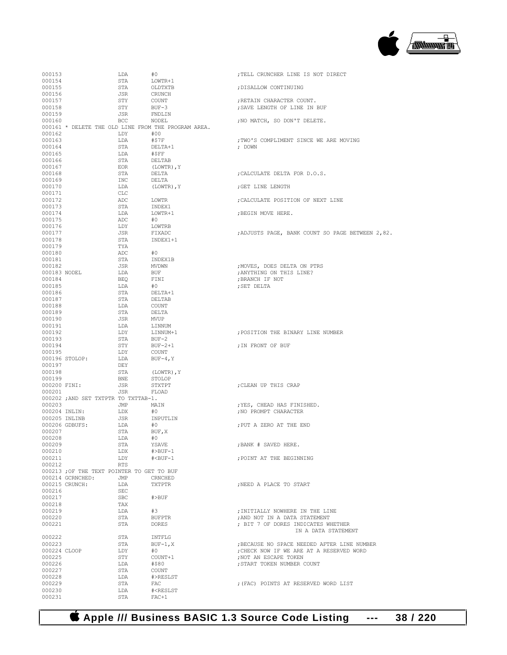

| 000153        |                                           | LDA        | #0                                                  | ; TELL CRUNCHER LINE IS NOT DIRECT               |
|---------------|-------------------------------------------|------------|-----------------------------------------------------|--------------------------------------------------|
| 000154        |                                           | STA        | LOWTR+1                                             |                                                  |
| 000155        |                                           | STA        | OLDTXTB                                             | ; DISALLOW CONTINUING                            |
|               |                                           |            |                                                     |                                                  |
| 000156        |                                           | JSR        | CRUNCH                                              |                                                  |
| 000157        |                                           | STY        | COUNT                                               | ; RETAIN CHARACTER COUNT.                        |
| 000158        |                                           | STY        | $BUF-3$                                             | ; SAVE LENGTH OF LINE IN BUF                     |
| 000159        |                                           | JSR        | FNDLIN                                              |                                                  |
|               |                                           |            |                                                     |                                                  |
| 000160        |                                           | BCC        | NODEL                                               | ; NO MATCH, SO DON'T DELETE.                     |
|               |                                           |            | 000161 * DELETE THE OLD LINE FROM THE PROGRAM AREA. |                                                  |
| 000162        |                                           | LDY        | #00                                                 |                                                  |
|               |                                           |            |                                                     |                                                  |
| 000163        |                                           | LDA        | #\$7F                                               | ; TWO'S COMPLIMENT SINCE WE ARE MOVING           |
| 000164        |                                           | STA        | DELTA+1                                             | ; DOWN                                           |
| 000165        |                                           | LDA        | #\$FF                                               |                                                  |
| 000166        |                                           | STA        | DELTAB                                              |                                                  |
|               |                                           |            |                                                     |                                                  |
| 000167        |                                           | EOR        | (LOWTR), Y                                          |                                                  |
| 000168        |                                           | STA        | DELTA                                               | ; CALCULATE DELTA FOR D.O.S.                     |
| 000169        |                                           | INC        | DELTA                                               |                                                  |
| 000170        |                                           | LDA        |                                                     | ; GET LINE LENGTH                                |
|               |                                           |            | (LOWTR), Y                                          |                                                  |
| 000171        |                                           | CLC        |                                                     |                                                  |
| 000172        |                                           | ADC        | LOWTR                                               | ; CALCULATE POSITION OF NEXT LINE                |
| 000173        |                                           | STA        | INDEX1                                              |                                                  |
|               |                                           |            |                                                     |                                                  |
| 000174        |                                           | LDA        | LOWTR+1                                             | ; BEGIN MOVE HERE.                               |
| 000175        |                                           | ADC        | #0                                                  |                                                  |
| 000176        |                                           | LDY        | LOWTRB                                              |                                                  |
| 000177        |                                           | JSR        | FIXADC                                              | ; ADJUSTS PAGE, BANK COUNT SO PAGE BETWEEN 2,82. |
|               |                                           |            |                                                     |                                                  |
| 000178        |                                           | STA        | INDEX1+1                                            |                                                  |
| 000179        |                                           | TYA        |                                                     |                                                  |
| 000180        |                                           | ADC        | #0                                                  |                                                  |
|               |                                           |            |                                                     |                                                  |
| 000181        |                                           | STA        | INDEX1B                                             |                                                  |
| 000182        |                                           | JSR        | MVDWN                                               | ; MOVES, DOES DELTA ON PTRS                      |
| 000183 NODEL  |                                           | LDA        | BUF                                                 | ; ANYTHING ON THIS LINE?                         |
|               |                                           |            |                                                     |                                                  |
| 000184        |                                           | BEQ        | FINI                                                | ; BRANCH IF NOT                                  |
| 000185        |                                           | LDA        | #0                                                  | ; SET DELTA                                      |
| 000186        |                                           | STA        | DELTA+1                                             |                                                  |
| 000187        |                                           | STA        | DELTAB                                              |                                                  |
|               |                                           |            |                                                     |                                                  |
| 000188        |                                           | LDA        | COUNT                                               |                                                  |
| 000189        |                                           | STA        | DELTA                                               |                                                  |
| 000190        |                                           | JSR        | MVUP                                                |                                                  |
|               |                                           |            |                                                     |                                                  |
| 000191        |                                           | LDA        | LINNUM                                              |                                                  |
| 000192        |                                           | LDY        | LINNUM+1                                            | ; POSITION THE BINARY LINE NUMBER                |
| 000193        |                                           | STA        | $BUF-2$                                             |                                                  |
| 000194        |                                           | STY        | BUF-2+1                                             | ; IN FRONT OF BUF                                |
|               |                                           |            |                                                     |                                                  |
| 000195        |                                           | LDY        | COUNT                                               |                                                  |
|               | 000196 STOLOP:                            | LDA        | $BUF-4, Y$                                          |                                                  |
| 000197        |                                           | DEY        |                                                     |                                                  |
|               |                                           |            |                                                     |                                                  |
| 000198        |                                           | STA        | (LOWTR), Y                                          |                                                  |
| 000199        |                                           | <b>BNE</b> | STOLOP                                              |                                                  |
| 000200 FINI:  |                                           | JSR        | STXTPT                                              | ; CLEAN UP THIS CRAP                             |
| 000201        |                                           | JSR        | FLOAD                                               |                                                  |
|               |                                           |            |                                                     |                                                  |
|               | 000202 ; AND SET TXTPTR TO TXTTAB-1.      |            |                                                     |                                                  |
| 000203        |                                           | JMP        | MAIN                                                | ; YES, CHEAD HAS FINISHED.                       |
| 000204 INLIN: |                                           | LDX        | #0                                                  | ; NO PROMPT CHARACTER                            |
|               |                                           |            |                                                     |                                                  |
|               | 000205 INLINB                             | JSR        | INPUTLIN                                            |                                                  |
|               | 000206 GDBUFS:                            | LDA        | #0                                                  | ; PUT A ZERO AT THE END                          |
| 000207        |                                           | STA        | BUF, X                                              |                                                  |
| 000208        |                                           | LDA        | #0                                                  |                                                  |
|               |                                           |            |                                                     |                                                  |
| 000209        |                                           | STA        | YSAVE                                               | ; BANK # SAVED HERE.                             |
| 000210        |                                           | LDX        | $\#$ >BUF-1                                         |                                                  |
| 000211        |                                           | LDY        | $# BUF-1$                                           | ; POINT AT THE BEGINNING                         |
| 000212        |                                           | RTS        |                                                     |                                                  |
|               |                                           |            |                                                     |                                                  |
|               | 000213; OF THE TEXT POINTER TO GET TO BUF |            |                                                     |                                                  |
|               | 000214 GCRNCHED:                          | JMP        | CRNCHED                                             |                                                  |
|               | 000215 CRUNCH:                            | LDA        | TXTPTR                                              | :NEED A PLACE TO START                           |
|               |                                           |            |                                                     |                                                  |
| 000216        |                                           | SEC        |                                                     |                                                  |
| 000217        |                                           | <b>SBC</b> | $#$ $>$ BUF                                         |                                                  |
| 000218        |                                           |            |                                                     |                                                  |
| 000219        |                                           | TAX        |                                                     |                                                  |
|               |                                           |            |                                                     |                                                  |
| 000220        |                                           | LDA        | #3                                                  | ; INITIALLY NOWHERE IN THE LINE                  |
|               |                                           | STA        | <b>BUFPTR</b>                                       | ; AND NOT IN A DATA STATEMENT                    |
| 000221        |                                           | STA        | <b>DORES</b>                                        | ; BIT 7 OF DORES INDICATES WHETHER               |
|               |                                           |            |                                                     |                                                  |
|               |                                           |            |                                                     | IN A DATA STATEMENT                              |
| 000222        |                                           | STA        | INTFLG                                              |                                                  |
| 000223        |                                           | STA        | $BUF-1, X$                                          | : BECAUSE NO SPACE NEEDED AFTER LINE NUMBER      |
|               |                                           |            |                                                     |                                                  |
| 000224 CLOOP  |                                           | LDY        | #0                                                  | ; CHECK NOW IF WE ARE AT A RESERVED WORD         |
| 000225        |                                           | STY        | COUNT+1                                             | ; NOT AN ESCAPE TOKEN                            |
| 000226        |                                           | LDA        | #\$80                                               | ; START TOKEN NUMBER COUNT                       |
| 000227        |                                           | STA        | COUNT                                               |                                                  |
|               |                                           |            |                                                     |                                                  |
| 000228        |                                           | LDA        | #>RESLST                                            |                                                  |
| 000229        |                                           | STA        | FAC                                                 | ; (FAC) POINTS AT RESERVED WORD LIST             |
| 000230        |                                           | LDA        | # <reslst< td=""><td></td></reslst<>                |                                                  |

 **Apple /// Business BASIC 1.3 Source Code Listing --- 38 / 220**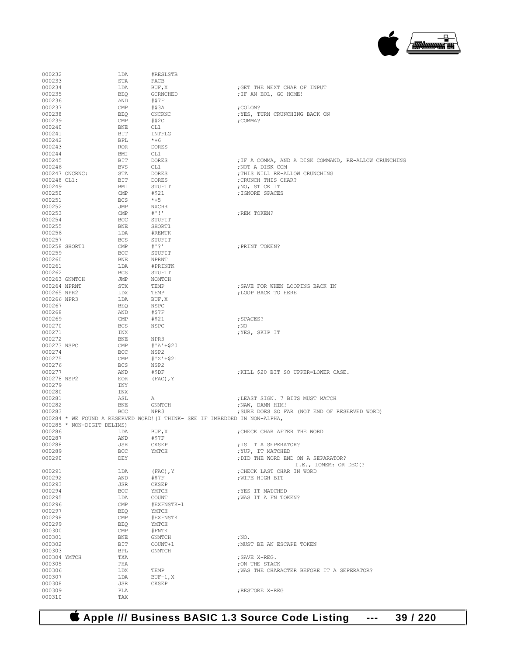

| 000232       |                            | LDA                     | #RESLSTB                                                                   |                                                      |
|--------------|----------------------------|-------------------------|----------------------------------------------------------------------------|------------------------------------------------------|
| 000233       |                            | STA                     | FACB                                                                       |                                                      |
| 000234       |                            | LDA                     | BUF, X                                                                     | ; GET THE NEXT CHAR OF INPUT                         |
| 000235       |                            | BEO                     | GCRNCHED                                                                   | ; IF AN EOL, GO HOME!                                |
| 000236       |                            | AND                     | #\$7F                                                                      |                                                      |
| 000237       |                            | CMP                     | #\$3A                                                                      | ; COLON?                                             |
| 000238       |                            | BEO                     | ONCRNC                                                                     | ; YES, TURN CRUNCHING BACK ON                        |
| 000239       |                            | CMP                     | $#$ \$2C                                                                   | ; COMMA?                                             |
| 000240       |                            |                         | CL1                                                                        |                                                      |
|              |                            | BNE                     |                                                                            |                                                      |
| 000241       |                            | BIT                     | INTFLG                                                                     |                                                      |
| 000242       |                            | BPL                     | $*+6$                                                                      |                                                      |
| 000243       |                            | ROR                     | DORES                                                                      |                                                      |
| 000244       |                            | BMI                     | CL1                                                                        |                                                      |
| 000245       |                            | BIT                     | DORES                                                                      | ; IF A COMMA, AND A DISK COMMAND, RE-ALLOW CRUNCHING |
| 000246       |                            | <b>BVS</b>              | CL1                                                                        | ; NOT A DISK COM                                     |
|              | 000247 ONCRNC:             | STA                     | DORES                                                                      | ; THIS WILL RE-ALLOW CRUNCHING                       |
| 000248 CL1:  |                            | BIT                     | DORES                                                                      | ; CRUNCH THIS CHAR?                                  |
| 000249       |                            | BMI                     | STUFIT                                                                     | ;NO, STICK IT                                        |
| 000250       |                            | CMP                     | #\$21                                                                      | ; IGNORE SPACES                                      |
| 000251       |                            | <b>BCS</b>              | $*+5$                                                                      |                                                      |
| 000252       |                            | JMP                     | NXCHR                                                                      |                                                      |
| 000253       |                            | CMP                     | $+$ '!'                                                                    | ; REM TOKEN?                                         |
| 000254       |                            | <b>BCC</b>              | STUFIT                                                                     |                                                      |
| 000255       |                            | BNE                     | SHORT1                                                                     |                                                      |
| 000256       |                            | LDA                     | #REMTK                                                                     |                                                      |
| 000257       |                            | <b>BCS</b>              | STUFIT                                                                     |                                                      |
|              | 000258 SHORT1              | $\mathop{\mathrm{CMP}}$ | # 2!                                                                       |                                                      |
| 000259       |                            | BCC                     | STUFIT                                                                     | ; PRINT TOKEN?                                       |
|              |                            |                         |                                                                            |                                                      |
| 000260       |                            | BNE                     | <b>NPRNT</b>                                                               |                                                      |
| 000261       |                            | LDA                     | #PRINTK                                                                    |                                                      |
| 000262       |                            | BCS                     | STUFIT                                                                     |                                                      |
|              | 000263 GNMTCH              | JMP                     | NOMTCH                                                                     |                                                      |
| 000264 NPRNT |                            | STX                     | TEMP                                                                       | ; SAVE FOR WHEN LOOPING BACK IN                      |
| 000265 NPR2  |                            | LDX                     | TEMP                                                                       | ; LOOP BACK TO HERE                                  |
| 000266 NPR3  |                            | LDA                     | BUF, X                                                                     |                                                      |
| 000267       |                            | BEQ                     | NSPC                                                                       |                                                      |
| 000268       |                            | AND                     | #\$7F                                                                      |                                                      |
| 000269       |                            | CMP                     | #\$21                                                                      | ; SPACES?                                            |
| 000270       |                            | <b>BCS</b>              | NSPC                                                                       | $;$ NO                                               |
| 000271       |                            | INX                     |                                                                            | ; YES, SKIP IT                                       |
| 000272       |                            | BNE                     | NPR3                                                                       |                                                      |
| 000273 NSPC  |                            | CMP                     | $#'A' + $20$                                                               |                                                      |
| 000274       |                            | BCC                     | NSP2                                                                       |                                                      |
| 000275       |                            | CMP                     | $#'Z'+\$21$                                                                |                                                      |
| 000276       |                            | <b>BCS</b>              | NSP2                                                                       |                                                      |
| 000277       |                            | AND                     | #\$DF                                                                      | ; KILL \$20 BIT SO UPPER=LOWER CASE.                 |
| 000278 NSP2  |                            |                         |                                                                            |                                                      |
|              |                            | EOR                     | $(FAC)$ , Y                                                                |                                                      |
| 000279       |                            | INY                     |                                                                            |                                                      |
| 000280       |                            | INX                     |                                                                            |                                                      |
| 000281       |                            | ASL                     | А                                                                          | ; LEAST SIGN. 7 BITS MUST MATCH                      |
| 000282       |                            | BNE                     | GNMTCH                                                                     | ; NAW, DAMN HIM!                                     |
| 000283       |                            | BCC                     | NPR3                                                                       | ; SURE DOES SO FAR (NOT END OF RESERVED WORD)        |
|              |                            |                         | 000284 * WE FOUND A RESERVED WORD! (I THINK- SEE IF IMBEDDED IN NON-ALPHA, |                                                      |
|              | 000285 * NON-DIGIT DELIMS) |                         |                                                                            |                                                      |
| 000286       |                            |                         |                                                                            |                                                      |
| 000287       |                            | LDA                     | BUF, X                                                                     | CHECK CHAR AFTER THE WORD                            |
| 000288       |                            | AND                     | #\$7F                                                                      |                                                      |
|              |                            | JSR                     | CKSEP                                                                      | ; IS IT A SEPERATOR?                                 |
| 000289       |                            | BCC                     | YMTCH                                                                      | ; YUP, IT MATCHED                                    |
| 000290       |                            | DEY                     |                                                                            | ; DID THE WORD END ON A SEPARATOR?                   |
|              |                            |                         |                                                                            | I.E., LOMEM: OR DEC (?                               |
| 000291       |                            | LDA                     |                                                                            | ; CHECK LAST CHAR IN WORD                            |
|              |                            |                         | $(FAC)$ , Y                                                                |                                                      |
| 000292       |                            | AND                     | #\$7F                                                                      | ; WIPE HIGH BIT                                      |
| 000293       |                            | JSR                     | CKSEP                                                                      |                                                      |
| 000294       |                            | BCC                     | YMTCH                                                                      | ; YES IT MATCHED                                     |
| 000295       |                            | LDA                     | COUNT                                                                      | ; WAS IT A FN TOKEN?                                 |
| 000296       |                            | $\mathsf{CMP}$          | #EXFNSTK-1                                                                 |                                                      |
| 000297       |                            | BEQ                     | YMTCH                                                                      |                                                      |
| 000298       |                            | $\mathsf{CMP}$          | #EXFNSTK                                                                   |                                                      |
| 000299       |                            | BEQ                     | YMTCH                                                                      |                                                      |
| 000300       |                            | CMP                     | #FNTK                                                                      |                                                      |
| 000301       |                            | BNE                     | GNMTCH                                                                     | $; \mathbb{N} \mathbb{O}$ .                          |
| 000302       |                            | BIT                     | COUNT+1                                                                    | ; MUST BE AN ESCAPE TOKEN                            |
| 000303       |                            | BPL                     | GNMTCH                                                                     |                                                      |
| 000304 YMTCH |                            | TXA                     |                                                                            | ; SAVE X-REG.                                        |
| 000305       |                            | PHA                     |                                                                            | ; ON THE STACK                                       |
| 000306       |                            | LDX                     | TEMP                                                                       | ; WAS THE CHARACTER BEFORE IT A SEPERATOR?           |
| 000307       |                            | LDA                     | $BUF-1, X$                                                                 |                                                      |
| 000308       |                            | JSR                     | CKSEP                                                                      |                                                      |
| 000309       |                            | PLA                     |                                                                            | ; RESTORE X-REG                                      |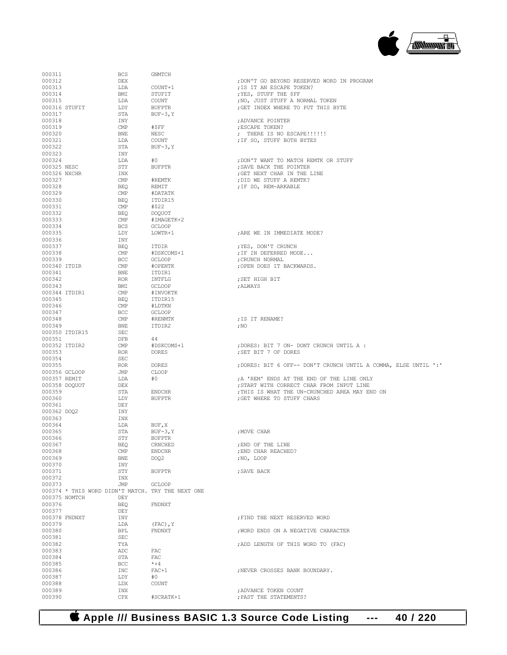## **Apple /// Business BASIC 1.3 Source Code Listing --- 40 / 220**

| 000311       |                | <b>BCS</b>                                        | GNMTCH        |                                                                 |
|--------------|----------------|---------------------------------------------------|---------------|-----------------------------------------------------------------|
| 000312       |                | DEX                                               |               | ; DON'T GO BEYOND RESERVED WORD IN PROGRAM                      |
| 000313       |                | LDA                                               | COUNT+1       | ; IS IT AN ESCAPE TOKEN?                                        |
| 000314       |                | BMI                                               | STUFIT        | ; YES, STUFF THE \$FF                                           |
| 000315       |                | LDA                                               | COUNT         | ; NO, JUST STUFF A NORMAL TOKEN                                 |
|              | 000316 STUFIT  | LDY                                               | <b>BUFPTR</b> | ; GET INDEX WHERE TO PUT THIS BYTE                              |
| 000317       |                | STA                                               | $BUF-3, Y$    |                                                                 |
| 000318       |                | INY                                               |               |                                                                 |
|              |                | <b>CMP</b>                                        |               | ; ADVANCE POINTER                                               |
| 000319       |                |                                                   | #\$FF         | ; ESCAPE TOKEN?                                                 |
| 000320       |                | <b>BNE</b>                                        | NESC          | ; THERE IS NO ESCAPE!!!!!!                                      |
| 000321       |                | LDA                                               | COUNT         | ; IF SO, STUFF BOTH BYTES                                       |
| 000322       |                | STA                                               | $BUF-3, Y$    |                                                                 |
| 000323       |                | INY                                               |               |                                                                 |
| 000324       |                | LDA                                               | #0            | ; DON'T WANT TO MATCH REMTK OR STUFF                            |
| 000325 NESC  |                | STY                                               | <b>BUFPTR</b> | : SAVE BACK THE POINTER                                         |
| 000326 NXCHR |                | INX                                               |               | ; GET NEXT CHAR IN THE LINE                                     |
| 000327       |                | CMP                                               | #REMTK        | : DID WE STUFF A REMTK?                                         |
| 000328       |                | <b>BEO</b>                                        | REMIT         | ; IF SO, REM-ARKABLE                                            |
| 000329       |                | <b>CMP</b>                                        | #DATATK       |                                                                 |
| 000330       |                | <b>BEO</b>                                        | ITDIR15       |                                                                 |
| 000331       |                | <b>CMP</b>                                        | #\$22         |                                                                 |
| 000332       |                | <b>BEQ</b>                                        | <b>DOQUOT</b> |                                                                 |
| 000333       |                | <b>CMP</b>                                        | #IMAGETK+2    |                                                                 |
| 000334       |                | <b>BCS</b>                                        | <b>GCLOOP</b> |                                                                 |
| 000335       |                | LDY                                               | LOWTR+1       | ; ARE WE IN IMMEDIATE MODE?                                     |
| 000336       |                | INY                                               |               |                                                                 |
| 000337       |                | <b>BEO</b>                                        | ITDIR         | ; YES, DON'T CRUNCH                                             |
| 000338       |                | <b>CMP</b>                                        | #DSKCOMS+1    | ; IF IN DEFERRED MODE                                           |
| 000339       |                | <b>BCC</b>                                        | <b>GCLOOP</b> | CRUNCH NORMAL;                                                  |
| 000340 ITDIR |                | <b>CMP</b>                                        | #OPENTK       | ;OPEN DOES IT BACKWARDS.                                        |
| 000341       |                | <b>BNE</b>                                        | ITDIR1        |                                                                 |
| 000342       |                | <b>ROR</b>                                        | INTFLG        | :SET HIGH BIT                                                   |
|              |                | BMI                                               |               |                                                                 |
| 000343       |                |                                                   | <b>GCLOOP</b> | ; ALWAYS                                                        |
|              | 000344 ITDIR1  | CMP                                               | #INVOKTK      |                                                                 |
| 000345       |                | <b>BEO</b>                                        | ITDIR15       |                                                                 |
| 000346       |                | <b>CMP</b>                                        | #LDTKN        |                                                                 |
| 000347       |                | <b>BCC</b>                                        | <b>GCLOOP</b> |                                                                 |
| 000348       |                | CMP                                               | #RENMTK       | ; IS IT RENAME?                                                 |
| 000349       |                | <b>BNE</b>                                        | ITDIR2        | ; NO                                                            |
|              | 000350 ITDIR15 | SEC                                               |               |                                                                 |
| 000351       |                | DFB                                               | 44            |                                                                 |
|              | 000352 ITDIR2  | <b>CMP</b>                                        | #DSKCOMS+1    | ; DORES: BIT 7 ON- DONT CRUNCH UNTIL A :                        |
| 000353       |                | <b>ROR</b>                                        | <b>DORES</b>  | ; SET BIT 7 OF DORES                                            |
| 000354       |                | <b>SEC</b>                                        |               |                                                                 |
| 000355       |                | <b>ROR</b>                                        | <b>DORES</b>  | ; DORES: BIT 6 OFF-- DON'T CRUNCH UNTIL A COMMA, ELSE UNTIL ':' |
|              | 000356 GCLOOP  | JMP                                               | CLOOP         |                                                                 |
| 000357 REMIT |                | LDA                                               | #0            | A 'REM' ENDS AT THE END OF THE LINE ONLY                        |
|              | 000358 DOQUOT  | <b>DEX</b>                                        |               | ; START WITH CORRECT CHAR FROM INPUT LINE                       |
| 000359       |                | STA                                               | <b>ENDCHR</b> | ; THIS IS WHAT THE UN-CRUNCHED AREA MAY END ON                  |
| 000360       |                | LDY                                               | <b>BUFPTR</b> | : GET WHERE TO STUFF CHARS                                      |
| 000361       |                | DEY                                               |               |                                                                 |
| 000362 DOQ2  |                | INY                                               |               |                                                                 |
| 000363       |                | INX                                               |               |                                                                 |
| 000364       |                | LDA                                               | BUF, X        |                                                                 |
| 000365       |                | STA                                               | $BUF-3, Y$    | ; MOVE CHAR                                                     |
| 000366       |                | STY                                               | <b>BUFPTR</b> |                                                                 |
| 000367       |                | BEQ                                               | CRNCHED       | ; END OF THE LINE                                               |
| 000368       |                | $\mathsf{CMP}$                                    | <b>ENDCHR</b> | ; END CHAR REACHED?                                             |
| 000369       |                |                                                   | DO02          |                                                                 |
|              |                | BNE                                               |               | ;NO, LOOP                                                       |
| 000370       |                | INY                                               |               |                                                                 |
| 000371       |                | STY                                               | <b>BUFPTR</b> | ; SAVE BACK                                                     |
| 000372       |                | INX                                               |               |                                                                 |
| 000373       |                | JMP                                               | <b>GCLOOP</b> |                                                                 |
|              |                | 000374 * THIS WORD DIDN'T MATCH. TRY THE NEXT ONE |               |                                                                 |
|              | 000375 NOMTCH  | DEY                                               |               |                                                                 |
| 000376       |                | BEQ                                               | FNDNXT        |                                                                 |
| 000377       |                | DEY                                               |               |                                                                 |
|              | 000378 FNDNXT  | INY                                               |               | : FIND THE NEXT RESERVED WORD                                   |
| 000379       |                | LDA                                               | $(FAC)$ , Y   |                                                                 |
| 000380       |                | BPL                                               | FNDNXT        | ; WORD ENDS ON A NEGATIVE CHARACTER                             |
| 000381       |                | <b>SEC</b>                                        |               |                                                                 |
| 000382       |                | TYA                                               |               | ; ADD LENGTH OF THIS WORD TO (FAC)                              |
| 000383       |                | ADC                                               | FAC           |                                                                 |
| 000384       |                | STA                                               | FAC           |                                                                 |
| 000385       |                | <b>BCC</b>                                        | $* + 4$       |                                                                 |
| 000386       |                | INC                                               | $FAC+1$       | ; NEVER CROSSES BANK BOUNDARY.                                  |
| 000387       |                | LDY                                               | #0            |                                                                 |
| 000388       |                | LDX                                               | COUNT         |                                                                 |
| 000389       |                | INX                                               |               | ; ADVANCE TOKEN COUNT                                           |
|              |                |                                                   |               |                                                                 |
| 000390       |                | CPX                                               | #SCRATK+1     | ; PAST THE STATEMENTS?                                          |

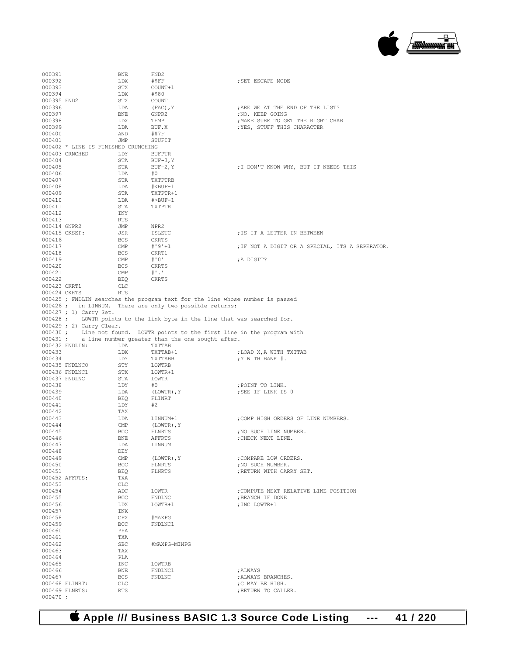

| 000391           |                                     | BNE            | FND2                                                                          |                                                       |
|------------------|-------------------------------------|----------------|-------------------------------------------------------------------------------|-------------------------------------------------------|
| 000392           |                                     | LDX            | #\$FF                                                                         | ; SET ESCAPE MODE                                     |
| 000393           |                                     | STX            | COUNT+1                                                                       |                                                       |
| 000394           |                                     | LDX            | #\$80                                                                         |                                                       |
| 000395 FND2      |                                     | STX            | COUNT                                                                         |                                                       |
| 000396<br>000397 |                                     | LDA<br>BNE     | (FAC), Y<br>GNPR2                                                             | ; ARE WE AT THE END OF THE LIST?                      |
| 000398           |                                     | LDX            | TEMP                                                                          | ; NO, KEEP GOING<br>; MAKE SURE TO GET THE RIGHT CHAR |
| 000399           |                                     | LDA            | BUF, X                                                                        | ; YES, STUFF THIS CHARACTER                           |
| 000400           |                                     | AND            | #\$7F                                                                         |                                                       |
| 000401           |                                     | JMP            | STUFIT                                                                        |                                                       |
|                  | 000402 * LINE IS FINISHED CRUNCHING |                |                                                                               |                                                       |
|                  | 000403 CRNCHED                      | LDY            | <b>BUFPTR</b>                                                                 |                                                       |
| 000404           |                                     | STA            | $BUF-3, Y$                                                                    |                                                       |
| 000405           |                                     | STA            | $BUF-2, Y$                                                                    | ; I DON'T KNOW WHY, BUT IT NEEDS THIS                 |
| 000406           |                                     | LDA            | #0                                                                            |                                                       |
| 000407           |                                     | STA            | TXTPTRB                                                                       |                                                       |
| 000408           |                                     | LDA            | # <buf-1< td=""><td></td></buf-1<>                                            |                                                       |
| 000409           |                                     | STA            | TXTPTR+1                                                                      |                                                       |
| 000410           |                                     | LDA            | #>BUF-1                                                                       |                                                       |
| 000411           |                                     | STA            | <b>TXTPTR</b>                                                                 |                                                       |
| 000412           |                                     | INY            |                                                                               |                                                       |
| 000413           |                                     | RTS            |                                                                               |                                                       |
| 000414 GNPR2     |                                     | JMP            | NPR2                                                                          |                                                       |
|                  | 000415 CKSEP:                       | JSR            | ISLETC                                                                        | ; IS IT A LETTER IN BETWEEN                           |
| 000416           |                                     | BCS            | CKRTS                                                                         |                                                       |
| 000417           |                                     | CMP            | $# 9! + 1$                                                                    | ; IF NOT A DIGIT OR A SPECIAL, ITS A SEPERATOR.       |
| 000418           |                                     | BCS            | CKRT1                                                                         |                                                       |
| 000419           |                                     | $\mathsf{CMP}$ | #'0'                                                                          | ;A DIGIT?                                             |
| 000420           |                                     | BCS            | CKRTS                                                                         |                                                       |
| 000421           |                                     | CMP            | $+$ '.'                                                                       |                                                       |
| 000422           |                                     | BEQ            | CKRTS                                                                         |                                                       |
| 000423 CKRT1     |                                     | CLC            |                                                                               |                                                       |
| 000424 CKRTS     |                                     | <b>RTS</b>     |                                                                               |                                                       |
|                  |                                     |                | 000425 ; FNDLIN searches the program text for the line whose number is passed |                                                       |
|                  |                                     |                | 000426; in LINNUM. There are only two possible returns:                       |                                                       |
|                  | 000427 ; 1) Carry Set.              |                |                                                                               |                                                       |
|                  |                                     |                | 000428 ; LOWTR points to the link byte in the line that was searched for.     |                                                       |
|                  | 000429 ; 2) Carry Clear.            |                |                                                                               |                                                       |
|                  |                                     |                | 000430; Line not found. LOWTR points to the first line in the program with    |                                                       |
|                  |                                     |                |                                                                               |                                                       |
|                  |                                     |                |                                                                               |                                                       |
|                  | 000432 FNDLIN:                      | LDA            | 000431 ; a line number greater than the one sought after.<br>TXTTAB           |                                                       |
| 000433           |                                     | LDX            | TXTTAB+1                                                                      |                                                       |
| 000434           |                                     | LDY            |                                                                               | ; LOAD X, A WITH TXTTAB                               |
|                  | 000435 FNDLNC0                      | STY            | TXTTABB                                                                       | ; Y WITH BANK #.                                      |
|                  | 000436 FNDLNC1                      | STX            | LOWTRB<br>LOWTR+1                                                             |                                                       |
|                  | 000437 FNDLNC                       | STA            | LOWTR                                                                         |                                                       |
| 000438           |                                     | LDY            | #O                                                                            | ; POINT TO LINK.                                      |
| 000439           |                                     | LDA            | (LOWTR), Y                                                                    | ; SEE IF LINK IS 0                                    |
| 000440           |                                     | BEQ            | FLINRT                                                                        |                                                       |
| 000441           |                                     | LDY            | #2                                                                            |                                                       |
| 000442           |                                     | TAX            |                                                                               |                                                       |
| 000443           |                                     | LDA            | LINNUM+1                                                                      | ; COMP HIGH ORDERS OF LINE NUMBERS.                   |
| 000444           |                                     | CMP            | (LOWTR), Y                                                                    |                                                       |
| 000445           |                                     | BCC            | FLNRTS                                                                        | ; NO SUCH LINE NUMBER.                                |
| 000446           |                                     | <b>BNE</b>     | AFFRTS                                                                        | ; CHECK NEXT LINE.                                    |
| 000447           |                                     | LDA            | LINNUM                                                                        |                                                       |
| 000448           |                                     | DEY            |                                                                               |                                                       |
| 000449           |                                     | CMP            | (LOWTR), Y                                                                    | ; COMPARE LOW ORDERS.                                 |
| 000450           |                                     | BCC            | FLNRTS                                                                        | ; NO SUCH NUMBER.                                     |
| 000451           |                                     | BEQ            | FLNRTS                                                                        | ; RETURN WITH CARRY SET.                              |
|                  | 000452 AFFRTS:                      | TXA            |                                                                               |                                                       |
| 000453           |                                     | CLC            |                                                                               |                                                       |
| 000454           |                                     | ADC            | LOWTR                                                                         | ; COMPUTE NEXT RELATIVE LINE POSITION                 |
| 000455           |                                     | BCC            | FNDLNC                                                                        | ; BRANCH IF DONE                                      |
| 000456           |                                     | LDX            | LOWTR+1                                                                       | ; INC LOWTR+1                                         |
| 000457           |                                     | INX            |                                                                               |                                                       |
| 000458           |                                     | CPX            | #MAXPG                                                                        |                                                       |
| 000459           |                                     | <b>BCC</b>     | FNDLNC1                                                                       |                                                       |
| 000460           |                                     | PHA            |                                                                               |                                                       |
| 000461           |                                     | TXA            |                                                                               |                                                       |
| 000462           |                                     | SBC            | #MAXPG-MINPG                                                                  |                                                       |
| 000463           |                                     | TAX            |                                                                               |                                                       |
| 000464           |                                     | PLA            |                                                                               |                                                       |
| 000465           |                                     | INC            | LOWTRB                                                                        |                                                       |
| 000466           |                                     | BNE            | FNDLNC1                                                                       | ; ALWAYS                                              |
| 000467           |                                     | <b>BCS</b>     | FNDLNC                                                                        | ; ALWAYS BRANCHES.                                    |
|                  | 000468 FLINRT:                      | CLC            |                                                                               | ;C MAY BE HIGH.                                       |
| $000470$ ;       | 000469 FLNRTS:                      | <b>RTS</b>     |                                                                               | ; RETURN TO CALLER.                                   |

 **Apple /// Business BASIC 1.3 Source Code Listing --- 41 / 220**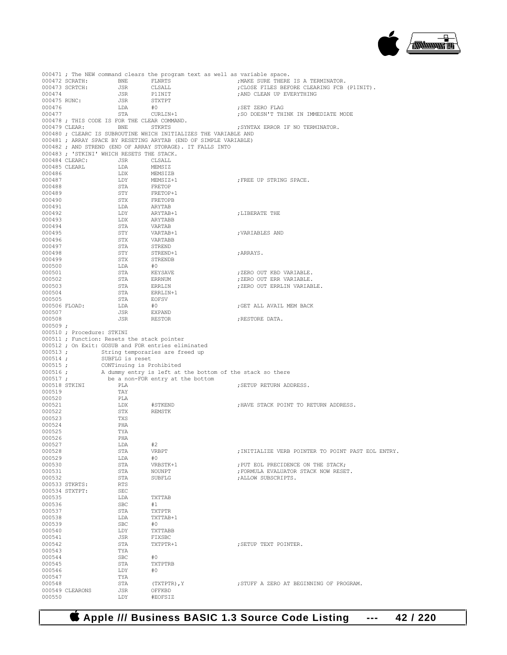

|                  |                            |                                             |                                                                                                                                      | 000471; The NEW command clears the program text as well as variable space.            |
|------------------|----------------------------|---------------------------------------------|--------------------------------------------------------------------------------------------------------------------------------------|---------------------------------------------------------------------------------------|
|                  | 000472 SCRATH:             | BNE                                         | FLNRTS                                                                                                                               | ; MAKE SURE THERE IS A TERMINATOR.                                                    |
|                  | 000473 SCRTCH:             | JSR                                         | CLSALL                                                                                                                               | ; CLOSE FILES BEFORE CLEARING FCB (P1INIT).                                           |
| 000474           |                            | JSR                                         | P1INIT                                                                                                                               | ; AND CLEAN UP EVERYTHING                                                             |
| 000475 RUNC:     |                            | JSR                                         | STXTPT                                                                                                                               |                                                                                       |
| 000476           |                            | LDA                                         | #0                                                                                                                                   | ; SET ZERO FLAG<br>; SO DOESN'T THINK IN IMMEDIATE MODE                               |
| 000477           |                            | STA                                         | $CURLIN+1$                                                                                                                           |                                                                                       |
| 000479 CLEAR:    |                            |                                             | 000478 ; THIS CODE IS FOR THE CLEAR COMMAND.                                                                                         | : SYNTAX ERROR IF NO TERMINATOR.                                                      |
|                  |                            | BNE                                         | STKRTS                                                                                                                               |                                                                                       |
|                  |                            |                                             | 000480 ; CLEARC IS SUBROUTINE WHICH INITIALIZES THE VARIABLE AND<br>000481 ; ARRAY SPACE BY RESETING ARYTAB (END OF SIMPLE VARIABLE) |                                                                                       |
|                  |                            |                                             | 000482; AND STREND (END OF ARRAY STORAGE). IT FALLS INTO                                                                             |                                                                                       |
|                  |                            | 000483 ; 'STKINI' WHICH RESETS THE STACK.   |                                                                                                                                      |                                                                                       |
|                  | 000484 CLEARC:             | JSR                                         | CLSALL                                                                                                                               |                                                                                       |
| 000485 CLEARL    |                            | LDA                                         | MEMSIZ                                                                                                                               |                                                                                       |
| 000486           |                            | LDX                                         | MEMSIZB                                                                                                                              |                                                                                       |
| 000487           |                            | LDY                                         | MEMSIZ+1                                                                                                                             | ; FREE UP STRING SPACE.                                                               |
| 000488           |                            | STA                                         | FRETOP                                                                                                                               |                                                                                       |
| 000489           |                            | STY                                         | FRETOP+1                                                                                                                             |                                                                                       |
| 000490           |                            | STX                                         | FRETOPB                                                                                                                              |                                                                                       |
| 000491           |                            | LDA                                         | ARYTAB                                                                                                                               |                                                                                       |
| 000492           |                            | LDY                                         | ARYTAB+1                                                                                                                             | ;LIBERATE THE                                                                         |
| 000493           |                            | LDX                                         | ARYTABB                                                                                                                              |                                                                                       |
| 000494           |                            | STA                                         | VARTAB                                                                                                                               |                                                                                       |
| 000495           |                            | STY                                         | $VARTAB+1$                                                                                                                           | ; VARIABLES AND                                                                       |
| 000496           |                            | STX                                         | VARTABB                                                                                                                              |                                                                                       |
| 000497           |                            | STA                                         | STREND                                                                                                                               |                                                                                       |
| 000498           |                            | STY                                         | STREND+1                                                                                                                             | ; ARRAYS.                                                                             |
| 000499           |                            | STX                                         | STRENDB                                                                                                                              |                                                                                       |
| 000500           |                            | LDA                                         | #0                                                                                                                                   |                                                                                       |
| 000501           |                            | STA                                         | KEYSAVE                                                                                                                              | ;ZERO OUT KBD VARIABLE.                                                               |
| 000502           |                            | STA                                         | <b>ERRNUM</b>                                                                                                                        | ; ZERO OUT ERR VARIABLE.                                                              |
| 000503<br>000504 |                            | STA                                         | ERRLIN                                                                                                                               | ; ZERO OUT ERRLIN VARIABLE.                                                           |
| 000505           |                            | STA                                         | ERRLIN+1                                                                                                                             |                                                                                       |
| 000506 FLOAD:    |                            | STA<br>LDA                                  | <b>EOFSV</b><br>#0                                                                                                                   | GET ALL AVAIL MEM BACK                                                                |
| 000507           |                            | JSR                                         | EXPAND                                                                                                                               |                                                                                       |
| 000508           |                            | JSR                                         | RESTOR                                                                                                                               | ; RESTORE DATA.                                                                       |
| 000509:          |                            |                                             |                                                                                                                                      |                                                                                       |
|                  | 000510 ; Procedure: STKINI |                                             |                                                                                                                                      |                                                                                       |
|                  |                            | 000511 ; Function: Resets the stack pointer |                                                                                                                                      |                                                                                       |
|                  |                            |                                             | 000512; On Exit: GOSUB and FOR entries eliminated                                                                                    |                                                                                       |
| $000513$ ;       |                            |                                             | String temporaries are freed up                                                                                                      |                                                                                       |
| $000514$ ;       |                            | SUBFLG is reset                             |                                                                                                                                      |                                                                                       |
| 000515;          |                            |                                             |                                                                                                                                      |                                                                                       |
|                  |                            |                                             |                                                                                                                                      |                                                                                       |
| $000516$ ;       |                            |                                             |                                                                                                                                      |                                                                                       |
| 000517;          |                            |                                             | be a non-FOR entry at the bottom                                                                                                     | CONTinuing is Prohibited<br>A dummy entry is left at the bottom of the stack so there |
| 000518 STKINI    |                            | PLA                                         |                                                                                                                                      | ; SETUP RETURN ADDRESS.                                                               |
| 000519           |                            | TAY                                         |                                                                                                                                      |                                                                                       |
| 000520           |                            | PLA                                         |                                                                                                                                      |                                                                                       |
| 000521           |                            | LDX                                         | #STKEND                                                                                                                              | ; HAVE STACK POINT TO RETURN ADDRESS.                                                 |
| 000522           |                            | STX                                         | REMSTK                                                                                                                               |                                                                                       |
| 000523           |                            | TXS                                         |                                                                                                                                      |                                                                                       |
| 000524           |                            | PHA                                         |                                                                                                                                      |                                                                                       |
| 000525           |                            | TYA                                         |                                                                                                                                      |                                                                                       |
| 000526           |                            | PHA                                         |                                                                                                                                      |                                                                                       |
| 000527           |                            | LDA                                         | #2                                                                                                                                   |                                                                                       |
| 000528           |                            | STA                                         | VRBPT                                                                                                                                | ; INITIALIZE VERB POINTER TO POINT PAST EOL ENTRY.                                    |
| 000529           |                            | LDA                                         | #0                                                                                                                                   |                                                                                       |
| 000530           |                            | STA                                         | VRBSTK+1                                                                                                                             | ; PUT EOL PRECIDENCE ON THE STACK;                                                    |
| 000531           |                            | STA                                         | NOUNPT                                                                                                                               | ; FORMULA EVALUATOR STACK NOW RESET.                                                  |
| 000532           |                            | STA                                         | SUBFLG                                                                                                                               | ; ALLOW SUBSCRIPTS.                                                                   |
|                  | 000533 STKRTS:             | RTS                                         |                                                                                                                                      |                                                                                       |
|                  | 000534 STXTPT:             | SEC                                         |                                                                                                                                      |                                                                                       |
| 000535           |                            | LDA                                         | TXTTAB                                                                                                                               |                                                                                       |
| 000536<br>000537 |                            | SBC<br>STA                                  | #1<br>TXTPTR                                                                                                                         |                                                                                       |
| 000538           |                            | LDA                                         | TXTTAB+1                                                                                                                             |                                                                                       |
| 000539           |                            | SBC                                         | #0                                                                                                                                   |                                                                                       |
| 000540           |                            | LDY                                         | TXTTABB                                                                                                                              |                                                                                       |
| 000541           |                            | JSR                                         | FIXSBC                                                                                                                               |                                                                                       |
| 000542           |                            | STA                                         | TXTPTR+1                                                                                                                             | ; SETUP TEXT POINTER.                                                                 |
| 000543           |                            | TYA                                         |                                                                                                                                      |                                                                                       |
| 000544           |                            | SBC                                         | #0                                                                                                                                   |                                                                                       |
| 000545           |                            | STA                                         | TXTPTRB                                                                                                                              |                                                                                       |
| 000546           |                            | LDY                                         | #0                                                                                                                                   |                                                                                       |
| 000547           |                            | TYA                                         |                                                                                                                                      |                                                                                       |
| 000548           |                            | STA                                         | (TXTPTR), $Y$                                                                                                                        | ; STUFF A ZERO AT BEGINNING OF PROGRAM.                                               |
| 000550           | 000549 CLEARONS            | JSR<br>LDY                                  | OFFKBD<br>#EOFSIZ                                                                                                                    |                                                                                       |

 **Apple /// Business BASIC 1.3 Source Code Listing --- 42 / 220**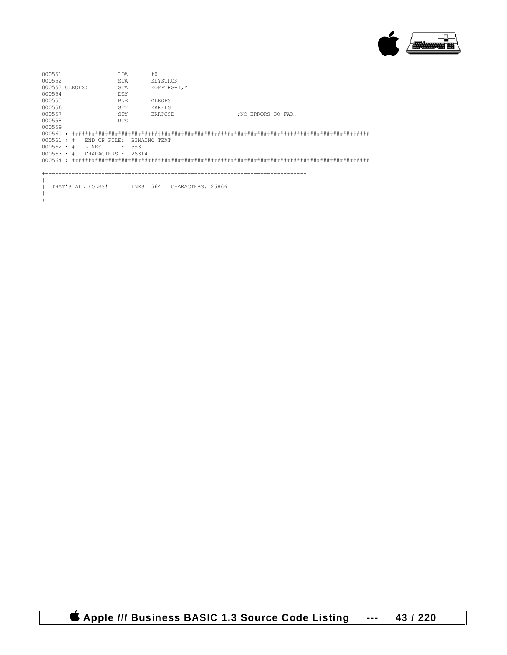

| 000551                            |  |                   | LDA        |                              | #0             |  |  |                    |  |  |  |  |
|-----------------------------------|--|-------------------|------------|------------------------------|----------------|--|--|--------------------|--|--|--|--|
| 000552                            |  |                   | STA        |                              | KEYSTROK       |  |  |                    |  |  |  |  |
| 000553 CLEOFS:                    |  |                   | STA        |                              | EOFPTRS-1, Y   |  |  |                    |  |  |  |  |
| 000554                            |  |                   | DEY        |                              |                |  |  |                    |  |  |  |  |
| 000555                            |  |                   | <b>BNE</b> |                              | CLEOFS         |  |  |                    |  |  |  |  |
| 000556                            |  |                   | STY        |                              | ERRFLG         |  |  |                    |  |  |  |  |
| 000557                            |  |                   | STY        |                              | <b>ERRPOSB</b> |  |  | :NO ERRORS SO FAR. |  |  |  |  |
| 000558                            |  |                   | <b>RTS</b> |                              |                |  |  |                    |  |  |  |  |
| 000559                            |  |                   |            |                              |                |  |  |                    |  |  |  |  |
|                                   |  |                   |            |                              |                |  |  |                    |  |  |  |  |
| $000561 :$ #                      |  | END OF FILE:      |            | B3MAINC.TEXT                 |                |  |  |                    |  |  |  |  |
| $000562 :$ #                      |  | LINES             | $\cdot$    | 553                          |                |  |  |                    |  |  |  |  |
| $000563 : # \tCHARACTERS : 26314$ |  |                   |            |                              |                |  |  |                    |  |  |  |  |
|                                   |  |                   |            |                              |                |  |  |                    |  |  |  |  |
|                                   |  |                   |            |                              |                |  |  |                    |  |  |  |  |
|                                   |  |                   |            |                              |                |  |  |                    |  |  |  |  |
|                                   |  |                   |            |                              |                |  |  |                    |  |  |  |  |
|                                   |  | THAT'S ALL FOLKS! |            | LINES: 564 CHARACTERS: 26866 |                |  |  |                    |  |  |  |  |
|                                   |  |                   |            |                              |                |  |  |                    |  |  |  |  |

+-------------------------------------------------------------------------------

 **Apple /// Business BASIC 1.3 Source Code Listing --- 43 / 220**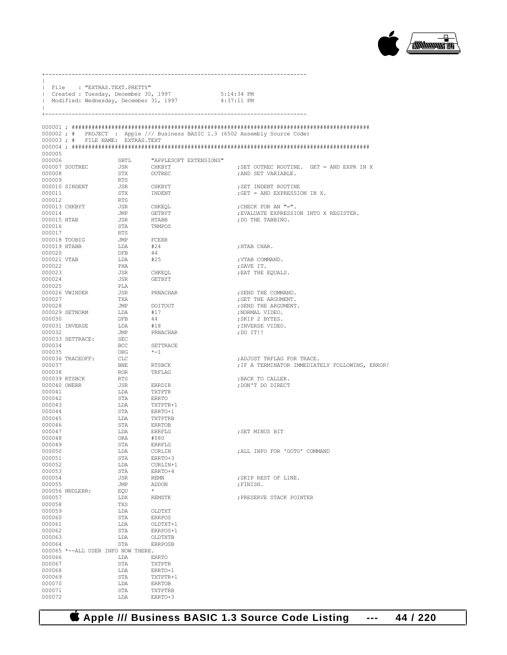

|                  | File : "EXTRAS.TEXT.PRETTY"<br>  Created : Tuesday, December 30, 1997 |                   | Modified: Wednesday, December 31, 1997 4:37:11 PM | 5:14:34 PM                                                                    |
|------------------|-----------------------------------------------------------------------|-------------------|---------------------------------------------------|-------------------------------------------------------------------------------|
|                  |                                                                       |                   |                                                   |                                                                               |
|                  |                                                                       |                   |                                                   | 000002; # PROJECT : Apple /// Business BASIC 1.3 (6502 Assembly Source Code)  |
|                  | 000003; # FILE NAME: EXTRAS. TEXT                                     |                   |                                                   |                                                                               |
| 000005           |                                                                       |                   |                                                   |                                                                               |
| 000006           |                                                                       |                   | SBTL "APPLESOFT EXTENSIONS"                       |                                                                               |
|                  | 000007 SOUTREC                                                        | <b>JSR</b>        | CHKBYT                                            | ; SET OUTREC ROUTINE. GET = AND EXPR IN X                                     |
| 000008<br>000009 |                                                                       | STX               | OUTREC                                            | ; AND SET VARIABLE.                                                           |
|                  | 000010 SINDENT                                                        | RTS<br><b>JSR</b> | CHKBYT                                            | ; SET INDENT ROUTINE                                                          |
| 000011           |                                                                       | STX               | INDENT                                            | ; GET = AND EXPRESSION IN X.                                                  |
| 000012           |                                                                       | <b>RTS</b>        |                                                   |                                                                               |
| 000014           | 000013 CHKBYT                                                         | <b>JSR</b><br>JMP | CHKEQL<br>GETBYT                                  | ; CHECK FOR AN "=".<br>; EVALUATE EXPRESSION INTO X REGISTER.                 |
| 000015 HTAB      |                                                                       | JSR               | <b>HTABB</b>                                      | ; DO THE TABBING.                                                             |
| 000016           |                                                                       | STA               | TRMPOS                                            |                                                                               |
| 000017           |                                                                       | RTS               |                                                   |                                                                               |
|                  | 000018 TOOBIG<br>000019 HTABB                                         | <b>JMP</b><br>LDA | FCERR<br>#24                                      | ;HTAB CHAR.                                                                   |
| 000020           |                                                                       | DFB               | 44                                                |                                                                               |
| 000021 VTAB      |                                                                       | LDA               | #25                                               | ; VTAB COMMAND.                                                               |
| 000022<br>000023 |                                                                       | PHA<br><b>JSR</b> | CHKEQL                                            | ;SAVE IT.<br>; EAT THE EQUALS.                                                |
| 000024           |                                                                       | <b>JSR</b>        | GETBYT                                            |                                                                               |
| 000025           |                                                                       | PLA               |                                                   |                                                                               |
|                  | 000026 VWINDER                                                        | <b>JSR</b>        | PRNACHAR                                          | ; SEND THE COMMAND.                                                           |
| 000027<br>000028 |                                                                       | TXA<br>JMP        | DOITOUT                                           | ; GET THE ARGUMENT.<br>; SEND THE ARGUMENT.                                   |
|                  | 000029 SETNORM                                                        | LDA               | #17                                               | ;NORMAL VIDEO.                                                                |
| 000030           |                                                                       | <b>DFB</b>        | 44                                                | ; SKIP 2 BYTES.                                                               |
|                  | 000031 INVERSE                                                        | LDA               | #18                                               | ; INVERSE VIDEO.                                                              |
| 000032           | 000033 SETTRACE:                                                      | JMP<br>SEC        | PRNACHAR                                          | ;DO IT!!                                                                      |
| 000034           |                                                                       | BCC               | SETTRACE                                          |                                                                               |
| 000035           |                                                                       | ORG               | $* - 1$                                           |                                                                               |
| 000037           | 000036 TRACEOFF:                                                      | CLC<br><b>BNE</b> | <b>RTSBCK</b>                                     | ; ADJUST TRFLAG FOR TRACE.<br>; IF A TERMINATOR IMMEDIATELY FOLLOWING, ERROR! |
| 000038           |                                                                       | <b>ROR</b>        | TRFLAG                                            |                                                                               |
|                  | 000039 RTSBCK                                                         | RTS               |                                                   | ; BACK TO CALLER.                                                             |
|                  | 000040 ONERR                                                          | JSR               | ERRDIR                                            | ; DON'T DO DIRECT                                                             |
| 000041<br>000042 |                                                                       | LDA<br>STA        | TXTPTR<br><b>ERRTO</b>                            |                                                                               |
| 000043           |                                                                       | LDA               | TXTPTR+1                                          |                                                                               |
| 000044           |                                                                       | STA               | ERRTO+1                                           |                                                                               |
| 000045<br>000046 |                                                                       | LDA<br>STA        | TXTPTRB<br><b>ERRTOB</b>                          |                                                                               |
| 000047           |                                                                       | LDA               | ERRFLG                                            | ; SET MINUS BIT                                                               |
| 000048           |                                                                       | ORA               | #\$80                                             |                                                                               |
| 000049           |                                                                       | STA               | <b>ERRFLG</b>                                     |                                                                               |
| 000050<br>000051 |                                                                       | LDA<br>STA        | CURLIN<br>ERRTO+3                                 | ; ALL INFO FOR 'GOTO' COMMAND                                                 |
| 000052           |                                                                       | LDA               | CURLIN+1                                          |                                                                               |
| 000053           |                                                                       | STA               | ERRTO+4                                           |                                                                               |
| 000054<br>000055 |                                                                       | JSR<br>JMP        | <b>REMN</b><br><b>ADDON</b>                       | ; SKIP REST OF LINE.<br>; FINISH.                                             |
|                  | 000056 HNDLERR:                                                       | EQU               | $\star$                                           |                                                                               |
| 000057           |                                                                       | LDX               | REMSTK                                            | ; PRESERVE STACK POINTER                                                      |
| 000058           |                                                                       | TXS               |                                                   |                                                                               |
| 000059<br>000060 |                                                                       | LDA<br>STA        | OLDTXT<br><b>ERRPOS</b>                           |                                                                               |
| 000061           |                                                                       | LDA               | OLDTXT+1                                          |                                                                               |
| 000062           |                                                                       | STA               | ERRPOS+1                                          |                                                                               |
| 000063           |                                                                       | LDA               | OLDTXTB                                           |                                                                               |
| 000064           | 000065 *--ALL USER INFO NOW THERE.                                    | STA               | <b>ERRPOSB</b>                                    |                                                                               |
| 000066           |                                                                       | LDA               | ERRTO                                             |                                                                               |
| 000067           |                                                                       | STA               | TXTPTR                                            |                                                                               |
| 000068<br>000069 |                                                                       | LDA<br>STA        | ERRTO+1<br>TXTPTR+1                               |                                                                               |
| 000070           |                                                                       | LDA               | <b>ERRTOB</b>                                     |                                                                               |
| 000071           |                                                                       | STA               | TXTPTRB                                           |                                                                               |
| 000072           |                                                                       | LDA               | ERRTO+3                                           |                                                                               |

+-------------------------------------------------------------------------------

 **Apple /// Business BASIC 1.3 Source Code Listing --- 44 / 220**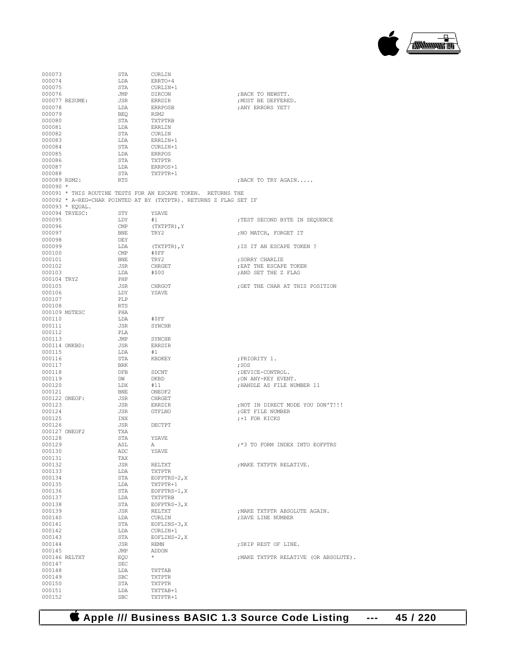

| 000073       |                 | STA                     | CURLIN                                                            |                                       |
|--------------|-----------------|-------------------------|-------------------------------------------------------------------|---------------------------------------|
| 000074       |                 | LDA                     | ERRTO+4                                                           |                                       |
| 000075       |                 | STA                     | CURLIN+1                                                          |                                       |
|              |                 |                         |                                                                   |                                       |
| 000076       |                 | JMP                     | DIRCON                                                            | ; BACK TO NEWSTT.                     |
|              | 000077 RESUME:  | JSR                     | ERRDIR                                                            | ; MUST BE DEFFERED.                   |
| 000078       |                 | LDA                     | ERRPOSB                                                           | ; ANY ERRORS YET?                     |
| 000079       |                 | BEQ                     | RSM2                                                              |                                       |
| 000080       |                 | STA                     | TXTPTRB                                                           |                                       |
| 000081       |                 | LDA                     | ERRLIN                                                            |                                       |
| 000082       |                 |                         | CURLIN                                                            |                                       |
|              |                 | STA                     |                                                                   |                                       |
| 000083       |                 | LDA                     | ERRLIN+1                                                          |                                       |
| 000084       |                 | STA                     | CURLIN+1                                                          |                                       |
| 000085       |                 | LDA                     | ERRPOS                                                            |                                       |
| 000086       |                 | STA                     | TXTPTR                                                            |                                       |
| 000087       |                 | LDA                     | ERRPOS+1                                                          |                                       |
| 000088       |                 | STA                     | TXTPTR+1                                                          |                                       |
|              |                 |                         |                                                                   |                                       |
| 000089 RSM2: |                 | RTS                     |                                                                   | ; BACK TO TRY AGAIN                   |
| $000090 *$   |                 |                         |                                                                   |                                       |
|              |                 |                         | 000091 * THIS ROUTINE TESTS FOR AN ESCAPE TOKEN. RETURNS THE      |                                       |
|              |                 |                         | 000092 * A-REG=CHAR POINTED AT BY (TXTPTR). RETURNS Z FLAG SET IF |                                       |
|              | 000093 * EQUAL. |                         |                                                                   |                                       |
|              | 000094 TRYESC:  | STY                     | YSAVE                                                             |                                       |
|              |                 |                         |                                                                   |                                       |
| 000095       |                 | LDY                     | #1                                                                | ; TEST SECOND BYTE IN SEQUENCE        |
| 000096       |                 | $\mathop{\mathrm{CMP}}$ | (TXTPTR), Y                                                       |                                       |
| 000097       |                 | BNE                     | TRY2                                                              | ; NO MATCH, FORGET IT                 |
| 000098       |                 | DEY                     |                                                                   |                                       |
| 000099       |                 | LDA                     | (TXTPTR), Y                                                       | ; IS IT AN ESCAPE TOKEN ?             |
|              |                 |                         |                                                                   |                                       |
| 000100       |                 | CMP                     | #\$FF                                                             |                                       |
| 000101       |                 | BNE                     | TRY2                                                              | : SORRY CHARLIE                       |
| 000102       |                 | JSR                     | CHRGET                                                            | ; EAT THE ESCAPE TOKEN                |
| 000103       |                 | LDA                     | #\$00                                                             | ; AND SET THE Z FLAG                  |
| 000104 TRY2  |                 | PHP                     |                                                                   |                                       |
|              |                 |                         |                                                                   |                                       |
| 000105       |                 | JSR                     | CHRGOT                                                            | : GET THE CHAR AT THIS POSITION       |
| 000106       |                 | LDY                     | YSAVE                                                             |                                       |
| 000107       |                 | PLP                     |                                                                   |                                       |
| 000108       |                 | RTS                     |                                                                   |                                       |
|              | 000109 MSTESC   | PHA                     |                                                                   |                                       |
| 000110       |                 |                         | #\$FF                                                             |                                       |
|              |                 | LDA                     |                                                                   |                                       |
| 000111       |                 | JSR                     | SYNCHR                                                            |                                       |
| 000112       |                 | PLA                     |                                                                   |                                       |
| 000113       |                 | JMP                     | SYNCHR                                                            |                                       |
|              | 000114 ONKBD:   | JSR                     | ERRDIR                                                            |                                       |
| 000115       |                 | LDA                     | #1                                                                |                                       |
|              |                 |                         |                                                                   |                                       |
| 000116       |                 | STA                     | KBDKEY                                                            | ; PRIORITY 1.                         |
| 000117       |                 | BRK                     |                                                                   | ; SOS                                 |
| 000118       |                 | DFB                     | SDCNT                                                             | ; DEVICE-CONTROL.                     |
| 000119       |                 | DW                      | DKBD                                                              | ; ON ANY-KEY EVENT.                   |
| 000120       |                 | LDX                     | #11                                                               | ; HANDLE AS FILE NUMBER 11            |
| 000121       |                 | BNE                     | ONEOF2                                                            |                                       |
|              |                 |                         |                                                                   |                                       |
|              | 000122 ONEOF:   | JSR                     | CHRGET                                                            |                                       |
| 000123       |                 | JSR                     | ERRDIR                                                            | ; NOT IN DIRECT MODE YOU DON'T!!!     |
| 000124       |                 | JSR                     | GTFLNO                                                            | ; GET FILE NUMBER                     |
| 000125       |                 | INX                     |                                                                   | ;+1 FOR KICKS                         |
| 000126       |                 | JSR                     | DECTPT                                                            |                                       |
|              | 000127 ONEOF2   | TXA                     |                                                                   |                                       |
|              |                 |                         |                                                                   |                                       |
| 000128       |                 | STA                     | YSAVE                                                             |                                       |
| 000129       |                 | ASL                     | А                                                                 | ;*3 TO FORM INDEX INTO EOFPTRS        |
| 000130       |                 | ADC                     | YSAVE                                                             |                                       |
| 000131       |                 | TAX                     |                                                                   |                                       |
| 000132       |                 | JSR                     | RELTXT                                                            | ; MAKE TXTPTR RELATIVE.               |
| 000133       |                 | LDA                     | TXTPTR                                                            |                                       |
|              |                 |                         |                                                                   |                                       |
| 000134       |                 | STA                     | $EOFFRS-2, X$                                                     |                                       |
| 000135       |                 | LDA                     | TXTPTR+1                                                          |                                       |
| 000136       |                 | STA                     | EOFPTRS-1, X                                                      |                                       |
| 000137       |                 | LDA                     | TXTPTRB                                                           |                                       |
| 000138       |                 | STA                     | $EOFFRS-3, X$                                                     |                                       |
|              |                 |                         |                                                                   |                                       |
| 000139       |                 | JSR                     | RELTXT                                                            | ; MAKE TXTPTR ABSOLUTE AGAIN.         |
| 000140       |                 | LDA                     | CURLIN                                                            | ; SAVE LINE NUMBER                    |
| 000141       |                 | STA                     | $EOFLINS-3, X$                                                    |                                       |
| 000142       |                 | LDA                     | CURLIN+1                                                          |                                       |
| 000143       |                 | STA                     | EOFLINS-2, X                                                      |                                       |
|              |                 |                         |                                                                   |                                       |
| 000144       |                 | JSR                     | REMN                                                              | ; SKIP REST OF LINE.                  |
| 000145       |                 | JMP                     | ADDON                                                             |                                       |
|              | 000146 RELTXT   | EQU                     | $\star$                                                           | ; MAKE TXTPTR RELATIVE (OR ABSOLUTE). |
| 000147       |                 | SEC                     |                                                                   |                                       |
| 000148       |                 | LDA                     | TXTTAB                                                            |                                       |
|              |                 |                         |                                                                   |                                       |
| 000149       |                 | SBC                     | TXTPTR                                                            |                                       |
| 000150       |                 | STA                     | <b>TXTPTR</b>                                                     |                                       |
| 000151       |                 | LDA                     | TXTTAB+1                                                          |                                       |
| 000152       |                 | <b>SBC</b>              | TXTPTR+1                                                          |                                       |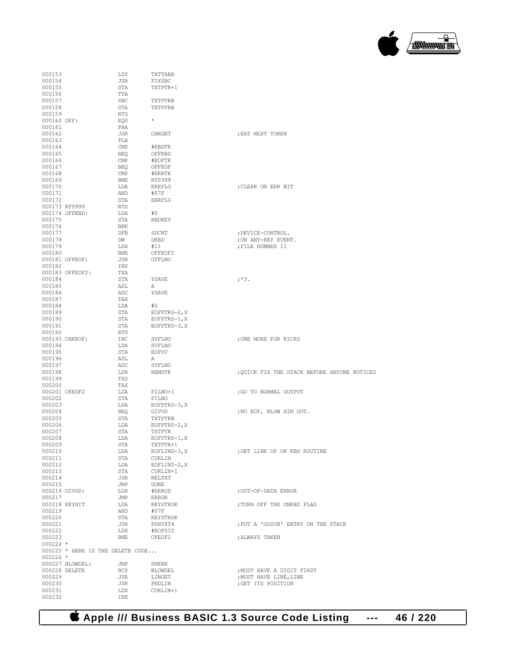| 000153           |                                  | LDY            | TXTTABB       |                                             |
|------------------|----------------------------------|----------------|---------------|---------------------------------------------|
| 000154           |                                  | JSR            | FIXSBC        |                                             |
| 000155           |                                  | STA            | TXTPTR+1      |                                             |
|                  |                                  |                |               |                                             |
| 000156           |                                  | TYA            |               |                                             |
| 000157           |                                  | <b>SBC</b>     | TXTPTRB       |                                             |
| 000158           |                                  | STA            | TXTPTRB       |                                             |
| 000159           |                                  | <b>RTS</b>     |               |                                             |
|                  |                                  |                | $\star$       |                                             |
| 000160 OFF:      |                                  | EOU            |               |                                             |
| 000161           |                                  | PHA            |               |                                             |
| 000162           |                                  | JSR            | CHRGET        | ; EAT NEXT TOKEN                            |
| 000163           |                                  | PLA            |               |                                             |
|                  |                                  |                |               |                                             |
| 000164           |                                  | $\mathsf{CMP}$ | #KBDTK        |                                             |
| 000165           |                                  | BEQ            | OFFKBD        |                                             |
| 000166           |                                  | CMP            | #EOFTK        |                                             |
| 000167           |                                  | BEQ            | OFFEOF        |                                             |
|                  |                                  |                |               |                                             |
| 000168           |                                  | CMP            | #ERRTK        |                                             |
| 000169           |                                  | BNE            | <b>RTS999</b> |                                             |
| 000170           |                                  | LDA            | <b>ERRFLG</b> | ; CLEAR ON ERR BIT                          |
|                  |                                  |                |               |                                             |
| 000171           |                                  | AND            | #\$7F         |                                             |
| 000172           |                                  | STA            | <b>ERRFLG</b> |                                             |
|                  | 000173 RTS999                    | RTS            |               |                                             |
|                  | 000174 OFFKBD:                   | LDA            | #0            |                                             |
|                  |                                  |                |               |                                             |
| 000175           |                                  | STA            | KBDKEY        |                                             |
| 000176           |                                  | BRK            |               |                                             |
| 000177           |                                  | DFB            | SDCNT         | ; DEVICE-CONTROL.                           |
|                  |                                  |                |               |                                             |
| 000178           |                                  | DW             | DKBD          | ; ON ANY-KEY EVENT.                         |
| 000179           |                                  | LDX            | #11           | ; FILE NUMBER 11                            |
| 000180           |                                  | BNE            | OFFEOF2       |                                             |
|                  | 000181 OFFEOF:                   | JSR            | GTFLNO        |                                             |
|                  |                                  |                |               |                                             |
| 000182           |                                  | INX            |               |                                             |
|                  | 000183 OFFEOF2:                  | TXA            |               |                                             |
| 000184           |                                  | STA            | YSAVE         | $; *3.$                                     |
| 000185           |                                  | ASL            |               |                                             |
|                  |                                  |                | А             |                                             |
| 000186           |                                  | ADC            | YSAVE         |                                             |
| 000187           |                                  | TAX            |               |                                             |
| 000188           |                                  | LDA            | #0            |                                             |
|                  |                                  |                |               |                                             |
| 000189           |                                  | STA            | EOFPTRS-2, X  |                                             |
| 000190           |                                  | STA            | EOFPTRS-1, X  |                                             |
| 000191           |                                  | STA            | $EOFFRS-3, X$ |                                             |
|                  |                                  | RTS            |               |                                             |
| 000192           |                                  |                |               |                                             |
|                  |                                  |                |               |                                             |
|                  | 000193 CHKEOF:                   | INC            | SVFLNO        | ; ONE MORE FOR KICKS                        |
|                  |                                  |                |               |                                             |
| 000194           |                                  | LDA            | SVFLNO        |                                             |
| 000195           |                                  | STA            | <b>EOFSV</b>  |                                             |
| 000196           |                                  | ASL            | Α             |                                             |
| 000197           |                                  | ADC            | SVFLNO        |                                             |
|                  |                                  |                |               |                                             |
| 000198           |                                  | LDX            | REMSTK        | ; QUICK FIX THE STACK BEFORE ANYONE NOTICES |
| 000199           |                                  | TXS            |               |                                             |
| 000200           |                                  | TAX            |               |                                             |
| 000201 CKEOF2    |                                  | LDA            | FILNO+1       | ; GO TO NORMAL OUTPUT                       |
|                  |                                  |                |               |                                             |
| 000202           |                                  | STA            | FILNO         |                                             |
| 000203           |                                  | LDA            | $EOFFRS-3, X$ |                                             |
| 000204           |                                  | BEQ            | GIVOD         | ; NO EOF, BLOW HIM OUT.                     |
|                  |                                  | STA            |               |                                             |
| 000205           |                                  |                | TXTPTRB       |                                             |
| 000206           |                                  | LDA            | $EOFFRS-2, X$ |                                             |
| 000207           |                                  | STA            | TXTPTR        |                                             |
| 000208           |                                  | LDA            | EOFPTRS-1, X  |                                             |
|                  |                                  |                |               |                                             |
| 000209           |                                  | STA            | TXTPTR+1      |                                             |
| 000210           |                                  | LDA            | EOFLINS-3, X  | ; GET LINE OF ON KBD ROUTINE                |
| 000211           |                                  | STA            | CURLIN        |                                             |
| 000212           |                                  | LDA            | EOFLINS-2, X  |                                             |
|                  |                                  |                |               |                                             |
| 000213           |                                  | STA            | CURLIN+1      |                                             |
| 000214           |                                  | JSR            | RELTXT        |                                             |
| 000215           |                                  | JMP            | GONE          |                                             |
| 000216 GIVOD:    |                                  | LDX            | #ERROD        | ;OUT-OF-DATA ERROR                          |
|                  |                                  |                |               |                                             |
| 000217           |                                  | JMP            | ERROR         |                                             |
|                  | 000218 KEYHIT                    | LDA            | KEYSTROK      | ; TURN OFF THE ONKBD FLAG                   |
| 000219           |                                  | AND            | #\$7F         |                                             |
|                  |                                  |                |               |                                             |
| 000220           |                                  | STA            | KEYSTROK      |                                             |
| 000221           |                                  | JSR            | PSHTXT4       | ; PUT A 'GOSUB' ENTRY ON THE STACK          |
| 000222           |                                  | LDX            | #EOFSIZ       |                                             |
| 000223           |                                  | BNE            | CKEOF2        |                                             |
|                  |                                  |                |               | ; ALWAYS TAKEN                              |
| $000224$ *       |                                  |                |               |                                             |
|                  | 000225 * HERE IS THE DELETE CODE |                |               |                                             |
| $000226$ *       |                                  |                |               |                                             |
|                  |                                  |                |               |                                             |
|                  | 000227 BLOWDEL:                  | JMP            | SNERR         |                                             |
|                  | 000228 DELETE                    | BCS            | BLOWDEL       | ; MUST HAVE A DIGIT FIRST                   |
| 000229           |                                  | JSR            | LINGET        | ; MUST HAVE LINE, LINE                      |
| 000230           |                                  | JSR            | FNDLIN        | ; GET ITS POSITION                          |
|                  |                                  |                |               |                                             |
| 000231<br>000232 |                                  | LDX<br>INX     | CURLIN+1      |                                             |

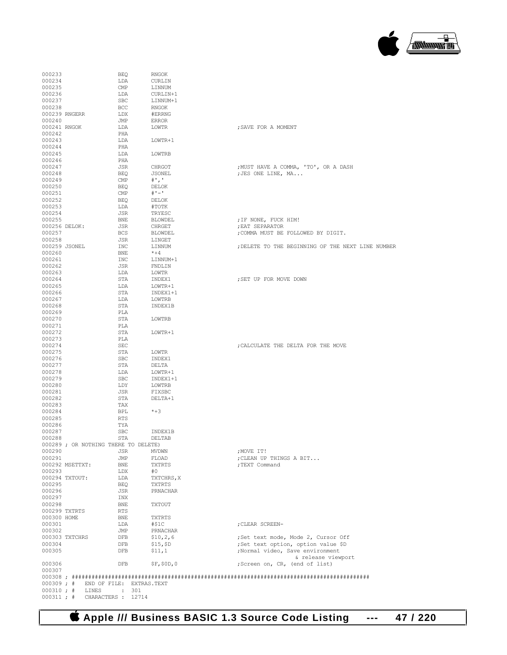

|  | $0.00309 : #$ END OF FILE: EXTRAS TEXT |  |
|--|----------------------------------------|--|
|  | $000310 : #$ LINES : 301               |  |
|  | $000311 : # \tCHARACTERS : 12714$      |  |
|  |                                        |  |

000307

000233 BEQ RNGOK  $\begin{array}{cccc}\n 000234 & & & \text{LDA} & & \text{CURLIN} \\
 000235 & & & \text{CMP} & & \text{LINNUM}\n \end{array}$ 000235 CMP LINNUM 000236 CMP CURLIN- $\begin{tabular}{llllll} 0.00236 & & & \text{LDA} & & \text{CURLIN}+1 \\ 0.00237 & & & \text{SBC} & & \text{LINNUM}+1 \end{tabular}$ 

000238 BCC RNGOK<br>000239 RNGERR LDX #ERRNG 000239 RNGERR LDX #ERRNG<br>000240 JMP ERROR % 000240 JMP ERROR D00241 RNGOK LDA LOWTR

000251 CMP #'-' 000252 BEQ DELOK

000242 PHA<br>000243 LDA

000244 PHA<br>000245 LDA

000246<br>000247 JSR

000249 CMP<br>000250 BEQ

SBC LINNUM+1<br>BCC RNGOK

 $\begin{tabular}{ll} \tt LDA & \tt LOWTR+1 \\ \tt PHA & \tt \end{tabular}$ 

LDA LOWTRB<br>PHA

JSONEL<br>#','<br>DELOK<br>#'-'

| 000253      |                                      | LDA        | #TOTK          |                                                   |
|-------------|--------------------------------------|------------|----------------|---------------------------------------------------|
| 000254      |                                      | JSR        | TRYESC         |                                                   |
| 000255      |                                      | BNE        | BLOWDEL        | ; IF NONE, FUCK HIM!                              |
|             | 000256 DELOK:                        | <b>JSR</b> | CHRGET         | ; EAT SEPARATOR                                   |
| 000257      |                                      | <b>BCS</b> | <b>BLOWDEL</b> | ; COMMA MUST BE FOLLOWED BY DIGIT.                |
| 000258      |                                      | JSR        | LINGET         |                                                   |
|             | 000259 JSONEL                        | INC        | LINNUM         | ; DELETE TO THE BEGINNING OF THE NEXT LINE NUMBER |
| 000260      |                                      | <b>BNE</b> | $*+4$          |                                                   |
| 000261      |                                      | INC        | LINNUM+1       |                                                   |
| 000262      |                                      | JSR        | FNDLIN         |                                                   |
| 000263      |                                      | LDA        | LOWTR          |                                                   |
| 000264      |                                      | STA        | INDEX1         | ; SET UP FOR MOVE DOWN                            |
| 000265      |                                      | LDA        | LOWTR+1        |                                                   |
| 000266      |                                      | STA        | INDEX1+1       |                                                   |
| 000267      |                                      | LDA        | LOWTRB         |                                                   |
| 000268      |                                      | STA        | INDEX1B        |                                                   |
| 000269      |                                      | PLA        |                |                                                   |
| 000270      |                                      | STA        | LOWTRB         |                                                   |
| 000271      |                                      | PLA        |                |                                                   |
| 000272      |                                      | STA        | LOWTR+1        |                                                   |
| 000273      |                                      |            |                |                                                   |
|             |                                      | PLA        |                |                                                   |
| 000274      |                                      | <b>SEC</b> |                | ; CALCULATE THE DELTA FOR THE MOVE                |
| 000275      |                                      | STA        | LOWTR          |                                                   |
| 000276      |                                      | <b>SBC</b> | INDEX1         |                                                   |
| 000277      |                                      | STA        | DELTA          |                                                   |
| 000278      |                                      | LDA        | LOWTR+1        |                                                   |
| 000279      |                                      | <b>SBC</b> | INDEX1+1       |                                                   |
| 000280      |                                      | LDY        | LOWTRB         |                                                   |
| 000281      |                                      | JSR        | FIXSBC         |                                                   |
| 000282      |                                      | STA        | DELTA+1        |                                                   |
| 000283      |                                      | TAX        |                |                                                   |
| 000284      |                                      | BPL        | $*+3$          |                                                   |
| 000285      |                                      | <b>RTS</b> |                |                                                   |
| 000286      |                                      | TYA        |                |                                                   |
| 000287      |                                      | SBC        | INDEX1B        |                                                   |
| 000288      |                                      | STA        | DELTAB         |                                                   |
|             | 000289 ; OR NOTHING THERE TO DELETE) |            |                |                                                   |
| 000290      |                                      | JSR        | <b>MVDWN</b>   | ; MOVE IT!                                        |
| 000291      |                                      | JMP        | FLOAD          | ; CLEAN UP THINGS A BIT                           |
|             | 000292 MSETTXT:                      | BNE        | TXTRTS         | ; TEXT Command                                    |
| 000293      |                                      | LDX        | #0             |                                                   |
|             | 000294 TXTOUT:                       | LDA        | TXTCHRS, X     |                                                   |
| 000295      |                                      | <b>BEO</b> | TXTRTS         |                                                   |
| 000296      |                                      | JSR        | PRNACHAR       |                                                   |
| 000297      |                                      | INX        |                |                                                   |
| 000298      |                                      | BNE        | TXTOUT         |                                                   |
|             | 000299 TXTRTS                        | RTS        |                |                                                   |
| 000300 HOME |                                      | <b>BNE</b> | TXTRTS         |                                                   |
| 000301      |                                      | LDA        | #\$1C          | ; CLEAR SCREEN-                                   |
| 000302      |                                      | JMP        | PRNACHAR       |                                                   |
|             | 000303 TXTCHRS                       | <b>DFB</b> | \$10, 2, 6     | ;Set text mode, Mode 2, Cursor Off                |
| 000304      |                                      | DFB        | \$15, \$D      | ;Set text option, option value \$D                |
| 000305      |                                      | <b>DFB</b> | \$11,1         | ;Normal video, Save environment                   |
|             |                                      |            |                | & release viewport                                |
| 000306      |                                      | <b>DFB</b> | SF, SOD, O     | ;Screen on, CR, (end of list)                     |
|             |                                      |            |                |                                                   |

000247 JSR CHRGOT ;MUST HAVE A COMMA, 'TO', OR A DASH BEQ JSONEL ;JES ONE LINE, MA...<br>
CMP #'.'

 $\begin{array}{lllll} \text{LDA} & \text{L-ONTR} & \text{SAVE FOR A MOMENT} \\ \text{PHA} & \text{LOWTR} & \text{SAVE FOR A MOMENT} \end{array}$ 

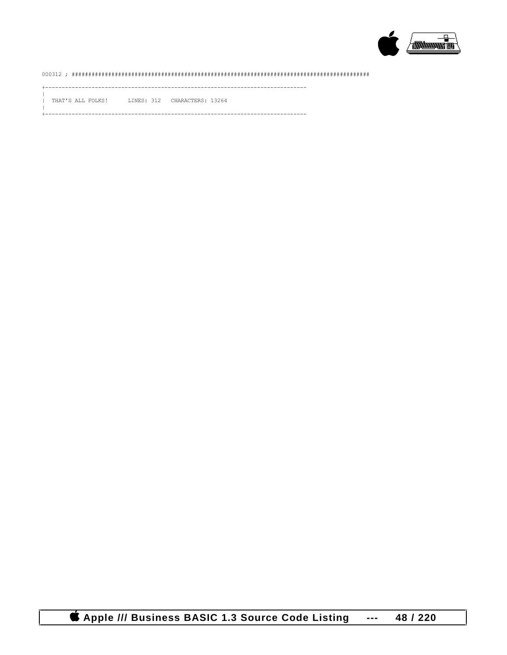

## 

------------------

THAT'S ALL FOLKS! LINES: 312 CHARACTERS: 13264

-------------------------------------------------------------------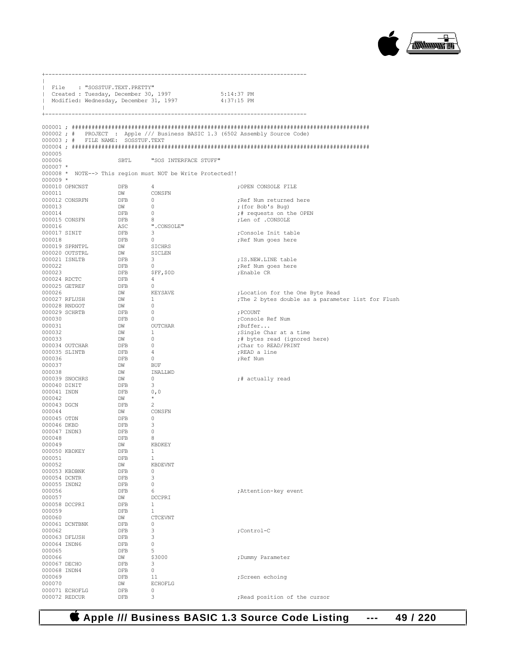

|                            | File : "SOSSTUF.TEXT.PRETTY"           |                                                                                                                                                                                        |                                                            |                                                                               |  |
|----------------------------|----------------------------------------|----------------------------------------------------------------------------------------------------------------------------------------------------------------------------------------|------------------------------------------------------------|-------------------------------------------------------------------------------|--|
|                            |                                        |                                                                                                                                                                                        | Created: Tuesday, December 30, 1997 5:14:37 PM             |                                                                               |  |
|                            | Modified: Wednesday, December 31, 1997 |                                                                                                                                                                                        |                                                            | 4:37:15 PM                                                                    |  |
|                            |                                        |                                                                                                                                                                                        |                                                            |                                                                               |  |
|                            |                                        |                                                                                                                                                                                        |                                                            |                                                                               |  |
|                            |                                        |                                                                                                                                                                                        |                                                            | 000002 ; # PROJECT : Apple /// Business BASIC 1.3 (6502 Assembly Source Code) |  |
|                            | 000003; # FILE NAME: SOSSTUF.TEXT      |                                                                                                                                                                                        |                                                            |                                                                               |  |
| 000005                     |                                        |                                                                                                                                                                                        |                                                            |                                                                               |  |
| 000006                     |                                        | SBTL                                                                                                                                                                                   | "SOS INTERFACE STUFF"                                      |                                                                               |  |
| $000007$ *                 |                                        |                                                                                                                                                                                        |                                                            |                                                                               |  |
| $000009$ *                 |                                        |                                                                                                                                                                                        | 000008 * NOTE--> This region must NOT be Write Protected!! |                                                                               |  |
|                            | 000010 OPNCNST                         | <b>DFB</b>                                                                                                                                                                             | 4                                                          | ;OPEN CONSOLE FILE                                                            |  |
| 000011                     |                                        | $\begin{tabular}{ll} DW & \multicolumn{2}{c}{\text{CONSFN}}\\ \end{tabular}$                                                                                                           |                                                            |                                                                               |  |
| 000013                     | 000012 CONSRFN                         | DFB<br>DW                                                                                                                                                                              | $\overline{0}$<br>$\overline{0}$                           | ; Ref Num returned here<br>; (for Bob's Bug)                                  |  |
| 000014                     |                                        |                                                                                                                                                                                        | Dw<br>DFB 0<br>DFB 8<br>ASC ".CONSOLE"<br>PFB 3            | ;# requests on the OPEN                                                       |  |
|                            | 000015 CONSFN                          |                                                                                                                                                                                        |                                                            | ;Len of .CONSOLE                                                              |  |
| 000016<br>000017 SINIT     |                                        | DFB                                                                                                                                                                                    |                                                            | Console Init table;                                                           |  |
| 000018                     |                                        |                                                                                                                                                                                        |                                                            | ; Ref Num goes here                                                           |  |
|                            | 000019 SPRNTPL                         |                                                                                                                                                                                        |                                                            |                                                                               |  |
|                            | 000020 OUTSTRL<br>000021 ISNLTB        |                                                                                                                                                                                        |                                                            | ; IS.NEW.LINE table                                                           |  |
| 000022                     |                                        |                                                                                                                                                                                        |                                                            | ;Ref Num goes here                                                            |  |
| 000023                     |                                        |                                                                                                                                                                                        |                                                            | ;Enable CR                                                                    |  |
|                            | 000024 RDCTC<br>000025 GETREF          |                                                                                                                                                                                        |                                                            |                                                                               |  |
| 000026                     |                                        |                                                                                                                                                                                        |                                                            | ; Location for the One Byte Read                                              |  |
|                            | 000027 RFLUSH                          |                                                                                                                                                                                        |                                                            | ; The 2 bytes double as a parameter list for Flush                            |  |
|                            | 000028 RNDGOT<br>000029 SCHRTB         | DFB 3<br>DFB 0<br>DW SICHES<br>DW SICHES<br>DFB 3<br>DFB 0<br>DFB 4<br>DFB 4<br>DFB 0<br>DW KEYSAVE<br>DW 0<br>DW 0<br>DFB 0<br>DFB 0<br>$\ensuremath{\mathsf{DFB}}$<br>$\overline{0}$ |                                                            | ; PCOUNT                                                                      |  |
| 000030                     |                                        |                                                                                                                                                                                        | $\overline{0}$                                             | ;Console Ref Num                                                              |  |
| 000031                     |                                        | DFB<br>DW<br>DW<br>---                                                                                                                                                                 | OUTCHAR                                                    | ;Buffer                                                                       |  |
| 000032                     |                                        |                                                                                                                                                                                        | $\mathbf{1}$                                               | ;Single Char at a time                                                        |  |
| 000033                     | 000034 OUTCHAR                         | DW                                                                                                                                                                                     | $\overline{0}$                                             | ;# bytes read (ignored here)<br>;Char to READ/PRINT                           |  |
|                            | 000035 SLINTB                          | DFB<br>DFB<br>$\begin{array}{c} 0 \\ 4 \end{array}$                                                                                                                                    |                                                            | ;READ a line                                                                  |  |
| 000036                     |                                        |                                                                                                                                                                                        | $\overline{\phantom{0}}$                                   | ; Ref Num                                                                     |  |
| 000037<br>000038           |                                        | DFB<br>DW<br>DW<br>DW<br>DFB                                                                                                                                                           | BUF<br>INALLWD                                             |                                                                               |  |
|                            | 000039 SNOCHRS                         |                                                                                                                                                                                        | $\overline{\phantom{0}}$                                   | ;# actually read                                                              |  |
| 000040 DINIT               |                                        |                                                                                                                                                                                        | $\overline{\mathbf{3}}$                                    |                                                                               |  |
| 000041 INDN<br>000042      |                                        | DFB<br>0, 0<br>DW                                                                                                                                                                      | $\star$                                                    |                                                                               |  |
| 000043 DGCN                |                                        | DFB<br>DW                                                                                                                                                                              | $\overline{2}$                                             |                                                                               |  |
| 000044                     |                                        |                                                                                                                                                                                        | CONSFN                                                     |                                                                               |  |
| 000045 OTDN<br>000046 DKBD |                                        | DFB<br>DFB                                                                                                                                                                             | $\overline{0}$<br>- 3                                      |                                                                               |  |
| 000047 INDN3               |                                        | <b>DFB</b>                                                                                                                                                                             | $\overline{0}$                                             |                                                                               |  |
| 000048                     |                                        | DFB                                                                                                                                                                                    | - 8                                                        |                                                                               |  |
| 000049                     | 000050 KBDKEY                          | DW<br>DFB                                                                                                                                                                              | KBDKEY<br>1                                                |                                                                               |  |
| 000051                     |                                        | DFB                                                                                                                                                                                    | 1                                                          |                                                                               |  |
| 000052                     |                                        | DW                                                                                                                                                                                     | KBDEVNT                                                    |                                                                               |  |
| 000054 DCNTR               | 000053 KBDBNK                          | DFB<br>DFB                                                                                                                                                                             | 0<br>3                                                     |                                                                               |  |
| 000055 INDN2               |                                        | DFB                                                                                                                                                                                    | 0                                                          |                                                                               |  |
| 000056                     |                                        | DFB                                                                                                                                                                                    | 6                                                          | ;Attention-key event                                                          |  |
| 000057                     | 000058 DCCPRI                          | DW<br>DFB                                                                                                                                                                              | DCCPRI<br>1                                                |                                                                               |  |
| 000059                     |                                        | DFB                                                                                                                                                                                    | 1                                                          |                                                                               |  |
| 000060                     |                                        | DW                                                                                                                                                                                     | <b>CTCEVNT</b>                                             |                                                                               |  |
|                            | 000061 DCNTBNK                         | DFB                                                                                                                                                                                    | 0<br>3                                                     |                                                                               |  |
| 000062                     | 000063 DFLUSH                          | DFB<br>DFB                                                                                                                                                                             | 3                                                          | ;Control-C                                                                    |  |
| 000064 INDN6               |                                        | DFB                                                                                                                                                                                    | 0                                                          |                                                                               |  |
| 000065                     |                                        | DFB                                                                                                                                                                                    | 5                                                          |                                                                               |  |
| 000066<br>000067 DECHO     |                                        | DW<br>DFB                                                                                                                                                                              | \$3000<br>3                                                | ; Dummy Parameter                                                             |  |
| 000068 INDN4               |                                        | DFB                                                                                                                                                                                    | 0                                                          |                                                                               |  |
| 000069                     |                                        | DFB                                                                                                                                                                                    | 11                                                         | ;Screen echoing                                                               |  |
| 000070                     | 000071 ECHOFLG                         | DW<br>DFB                                                                                                                                                                              | <b>ECHOFLG</b><br>0                                        |                                                                               |  |
|                            | 000072 REDCUR                          | DFB                                                                                                                                                                                    | 3                                                          | ; Read position of the cursor                                                 |  |

 **Apple /// Business BASIC 1.3 Source Code Listing --- 49 / 220**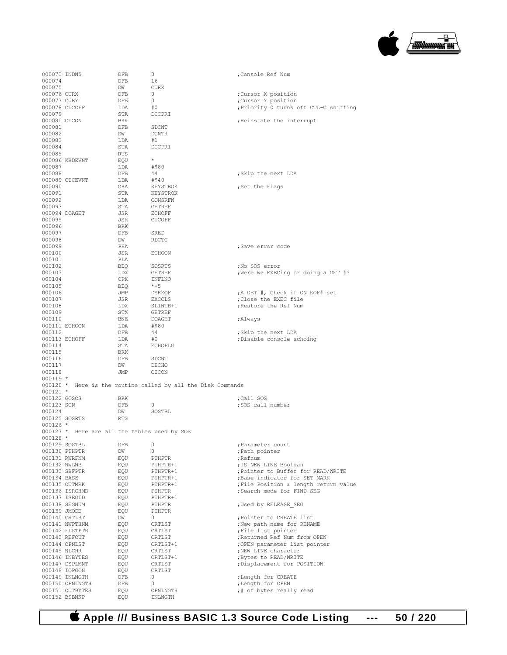

| 000073 INDN5  |                                              | DFB        | 0                                                            | ;Console Ref Num                      |
|---------------|----------------------------------------------|------------|--------------------------------------------------------------|---------------------------------------|
| 000074        |                                              | DFB        | 16                                                           |                                       |
|               |                                              |            |                                                              |                                       |
| 000075        |                                              | DW         | CURX                                                         |                                       |
| 000076 CURX   |                                              | DFB        | 0                                                            | Cursor X position;                    |
| 000077 CURY   |                                              | DFB        | 0                                                            | ;Cursor Y position                    |
| 000078 CTCOFF |                                              | LDA        | #0                                                           | Priority 0 turns off CTL-C sniffing   |
| 000079        |                                              | STA        | DCCPRI                                                       |                                       |
| 000080 CTCON  |                                              | BRK        |                                                              | ; Reinstate the interrupt             |
| 000081        |                                              | DFB        | SDCNT                                                        |                                       |
| 000082        |                                              | DW         | <b>DCNTR</b>                                                 |                                       |
| 000083        |                                              | LDA        | #1                                                           |                                       |
| 000084        |                                              | STA        | DCCPRI                                                       |                                       |
| 000085        |                                              | RTS        |                                                              |                                       |
|               | 000086 KBDEVNT                               | EQU        | $\star$                                                      |                                       |
| 000087        |                                              | LDA        | #\$80                                                        |                                       |
| 000088        |                                              |            | 44                                                           |                                       |
|               |                                              | DFB        |                                                              | ;Skip the next LDA                    |
|               | 000089 CTCEVNT                               | LDA        | #\$40                                                        |                                       |
| 000090        |                                              | ORA        | KEYSTROK                                                     | ;Set the Flags                        |
| 000091        |                                              | STA        | KEYSTROK                                                     |                                       |
| 000092        |                                              | LDA        | CONSREN                                                      |                                       |
| 000093        |                                              | STA        | <b>GETREF</b>                                                |                                       |
| 000094 DOAGET |                                              | JSR        | <b>ECHOFF</b>                                                |                                       |
| 000095        |                                              | JSR        | <b>CTCOFF</b>                                                |                                       |
| 000096        |                                              | BRK        |                                                              |                                       |
| 000097        |                                              | DFB        | SRED                                                         |                                       |
| 000098        |                                              | DW         | RDCTC                                                        |                                       |
| 000099        |                                              | PHA        |                                                              | ;Save error code                      |
| 000100        |                                              |            |                                                              |                                       |
|               |                                              | JSR        | <b>ECHOON</b>                                                |                                       |
| 000101        |                                              | PLA        |                                                              |                                       |
| 000102        |                                              | BEQ        | SOSRTS                                                       | ;No SOS error                         |
| 000103        |                                              | LDX        | <b>GETREF</b>                                                | ; Were we EXECing or doing a GET #?   |
| 000104        |                                              | CPX        | INFLNO                                                       |                                       |
| 000105        |                                              | BEQ        | $*+5$                                                        |                                       |
| 000106        |                                              | JMP        | DSKEOF                                                       | ;A GET #, Check if ON EOF# set        |
| 000107        |                                              | JSR        | <b>EXCCLS</b>                                                | ; Close the EXEC file                 |
| 000108        |                                              | LDX        | SLINTB+1                                                     | Restore the Ref Num;                  |
| 000109        |                                              | STX        | <b>GETREF</b>                                                |                                       |
| 000110        |                                              | BNE        | DOAGET                                                       | ;Always                               |
| 000111 ECHOON |                                              | LDA        | #\$80                                                        |                                       |
|               |                                              |            |                                                              |                                       |
| 000112        |                                              | DFB        | 44                                                           | ;Skip the next LDA                    |
|               |                                              |            |                                                              |                                       |
|               | 000113 ECHOFF                                | LDA        | #0                                                           | ; Disable console echoing             |
| 000114        |                                              | STA        | <b>ECHOFLG</b>                                               |                                       |
| 000115        |                                              | BRK        |                                                              |                                       |
| 000116        |                                              | DFB        | SDCNT                                                        |                                       |
| 000117        |                                              | DW         | DECHO                                                        |                                       |
| 000118        |                                              | JMP        | <b>CTCON</b>                                                 |                                       |
| $000119$ *    |                                              |            |                                                              |                                       |
|               |                                              |            |                                                              |                                       |
|               |                                              |            | 000120 * Here is the routine called by all the Disk Commands |                                       |
| $000121$ *    |                                              |            |                                                              |                                       |
| 000122 GOSOS  |                                              | BRK        |                                                              | ;Call SOS                             |
| 000123 SCN    |                                              | DFB        | 0                                                            | ;SOS call number                      |
| 000124        |                                              | DM         | SOSTBL                                                       |                                       |
| 000125 SOSRTS |                                              | RTS        |                                                              |                                       |
| $000126$ *    |                                              |            |                                                              |                                       |
|               | 000127 * Here are all the tables used by SOS |            |                                                              |                                       |
| $000128 *$    |                                              |            |                                                              |                                       |
| 000129 SOSTBL |                                              | DFB        | 0                                                            | ; Parameter count                     |
| 000130 PTHPTR |                                              | DW         | 0                                                            | ; Path pointer                        |
| 000131 RWRFNM |                                              | EQU        | PTHPTR                                                       | ; Refnum                              |
| 000132 NWLNB  |                                              | EQU        | PTHPTR+1                                                     |                                       |
|               |                                              |            |                                                              | ; IS NEW LINE Boolean                 |
| 000133 SBFPTR |                                              | EQU        | PTHPTR+1                                                     | ; Pointer to Buffer for READ/WRITE    |
| 000134 BASE   |                                              | EQU        | PTHPTR+1                                                     | ; Base indicator for SET MARK         |
| 000135 OUTMRK |                                              | EQU        | PTHPTR+1                                                     | ; File Position & length return value |
|               | 000136 ISRCHMD                               | EQU        | PTHPTR                                                       | ; Search mode for FIND SEG            |
| 000137 ISEGID |                                              | EQU        | PTHPTR+1                                                     |                                       |
| 000138 SEGNUM |                                              | EQU        | PTHPTR                                                       | ; Used by RELEASE SEG                 |
| 000139 JMODE  |                                              | EQU        | PTHPTR                                                       |                                       |
| 000140 CRTLST |                                              | DW         | 0                                                            | ; Pointer to CREATE list              |
|               | 000141 NWPTHNM                               | EQU        | CRTLST                                                       | ; New path name for RENAME            |
|               | 000142 FLSTPTR                               | EQU        | CRTLST                                                       | ; File list pointer                   |
| 000143 REFOUT |                                              | EQU        | CRTLST                                                       | ; Returned Ref Num from OPEN          |
| 000144 OPNLST |                                              | EQU        | CRTLST+1                                                     | ; OPEN parameter list pointer         |
| 000145 NLCHR  |                                              |            | CRTLST                                                       |                                       |
|               |                                              | EQU        |                                                              | ; NEW LINE character                  |
|               | 000146 INBYTES                               | EQU        | CRTLST+1                                                     | ; Bytes to READ/WRITE                 |
|               | 000147 DSPLMNT                               | EQU        | CRTLST                                                       | ; Displacement for POSITION           |
| 000148 IOPGCN |                                              | EQU        | CRTLST                                                       |                                       |
|               | 000149 INLNGTH                               | DFB        | 0                                                            | ; Length for CREATE                   |
|               | 000150 OPNLNGTH                              | DFB        | 0                                                            | ; Length for OPEN                     |
| 000152 BSBNKP | 000151 OUTBYTES                              | EQU<br>EQU | OPNLNGTH<br>INLNGTH                                          | ;# of bytes really read               |

 **Apple /// Business BASIC 1.3 Source Code Listing --- 50 / 220**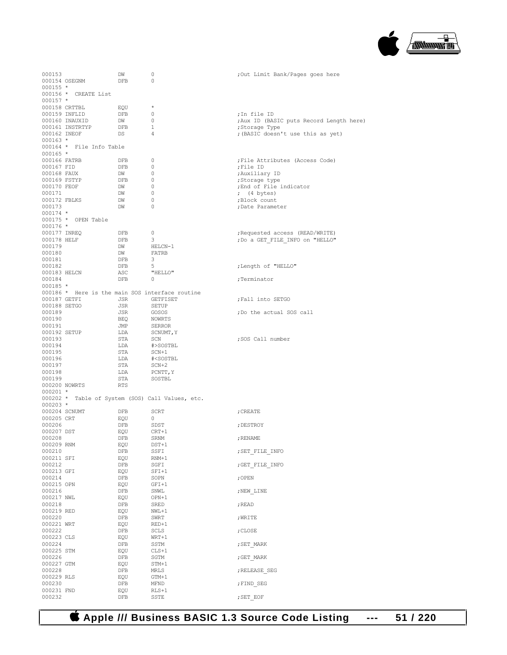

| 000153        |                          | DW         | 0                                                | Out Limit Bank/Pages goes here           |
|---------------|--------------------------|------------|--------------------------------------------------|------------------------------------------|
|               | 000154 OSEGNM            | DFB        | 0                                                |                                          |
| $000155 *$    |                          |            |                                                  |                                          |
|               | 000156 * CREATE List     |            |                                                  |                                          |
|               |                          |            |                                                  |                                          |
| $000157$ *    |                          |            |                                                  |                                          |
| 000158 CRTTBL |                          | EQU        | $^{\star}$                                       |                                          |
| 000159 INFLID |                          | DFB        | 0                                                | ; In file ID                             |
|               | 000160 INAUXID           | DW         | 0                                                | ; Aux ID (BASIC puts Record Length here) |
|               | 000161 INSTRTYP          | DFB        | $\mathbf{1}$                                     | ;Storage Type                            |
| 000162 INEOF  |                          | DS         | $\overline{4}$                                   | ; (BASIC doesn't use this as yet)        |
| $000163 *$    |                          |            |                                                  |                                          |
|               | 000164 * File Info Table |            |                                                  |                                          |
| $000165$ *    |                          |            |                                                  |                                          |
| 000166 FATRB  |                          | DFB        | $\mathbf{0}$                                     | ; File Attributes (Access Code)          |
|               |                          |            | 0                                                |                                          |
| 000167 FID    |                          | DFB        |                                                  | ;File ID                                 |
| 000168 FAUX   |                          | DW         | 0                                                | ; Auxiliary ID                           |
| 000169 FSTYP  |                          | DFB        | 0                                                | ;Storage type                            |
| 000170 FEOF   |                          | DW         | $\mathbf{0}$                                     | ; End of File indicator                  |
| 000171        |                          | DW         | 0                                                | ; $(4 \text{ bytes})$                    |
| 000172 FBLKS  |                          | DW         | $\mathbf{0}$                                     | ;Block count                             |
| 000173        |                          | DW         | $\mathbf{0}$                                     | ; Date Parameter                         |
| $000174$ *    |                          |            |                                                  |                                          |
|               | 000175 * OPEN Table      |            |                                                  |                                          |
| $000176$ *    |                          |            |                                                  |                                          |
| 000177 INREQ  |                          | DFB        | 0                                                | ; Requested access (READ/WRITE)          |
| 000178 HELF   |                          | DFB        | 3                                                |                                          |
|               |                          |            |                                                  | ; Do a GET FILE INFO on "HELLO"          |
| 000179        |                          | DW         | HELCN-1                                          |                                          |
| 000180        |                          | DW         | FATRB                                            |                                          |
| 000181        |                          | DFB        | 3                                                |                                          |
| 000182        |                          | DFB        | 5                                                | ; Length of "HELLO"                      |
| 000183 HELCN  |                          | ASC        | "HELLO"                                          |                                          |
| 000184        |                          | DFB        | $\circ$                                          | ;Terminator                              |
| $000185 *$    |                          |            |                                                  |                                          |
|               |                          |            | 000186 * Here is the main SOS interface routine  |                                          |
| 000187 GETFI  |                          | JSR        | GETFISET                                         | ; Fall into SETGO                        |
|               |                          |            | <b>SETUP</b>                                     |                                          |
| 000188 SETGO  |                          | JSR        |                                                  |                                          |
| 000189        |                          | JSR        | GOSOS                                            | ;Do the actual SOS call                  |
| 000190        |                          | <b>BEQ</b> | NOWRTS                                           |                                          |
| 000191        |                          | JMP        | SERROR                                           |                                          |
| 000192 SETUP  |                          | LDA        | SCNUMT, Y                                        |                                          |
| 000193        |                          | STA        | SCN                                              | ;SOS Call number                         |
| 000194        |                          | LDA        | #>SOSTBL                                         |                                          |
| 000195        |                          | STA        | SCN+1                                            |                                          |
| 000196        |                          | LDA        | # <sostbl< td=""><td></td></sostbl<>             |                                          |
| 000197        |                          | STA        | $SCN+2$                                          |                                          |
| 000198        |                          | LDA        |                                                  |                                          |
|               |                          |            | PCNTT, Y                                         |                                          |
| 000199        |                          | STA        | SOSTBL                                           |                                          |
| 000200 NOWRTS |                          | <b>RTS</b> |                                                  |                                          |
| $000201 *$    |                          |            |                                                  |                                          |
|               |                          |            | 000202 * Table of System (SOS) Call Values, etc. |                                          |
| $000203 *$    |                          |            |                                                  |                                          |
| 000204 SCNUMT |                          | DFB        | SCRT                                             | ; CREATE                                 |
| 000205 CRT    |                          | EQU        | $\circ$                                          |                                          |
| 000206        |                          | DFB        | SDST                                             | ; DESTROY                                |
| 000207 DST    |                          | EQU        | $CRT+1$                                          |                                          |
| 000208        |                          | DFB        | SRNM                                             | ; RENAME                                 |
| 000209 RNM    |                          | EQU        | $DST+1$                                          |                                          |
| 000210        |                          |            |                                                  |                                          |
|               |                          | DFB        | SSFI                                             | ; SET FILE INFO                          |
| 000211 SFI    |                          | EQU        | $RNM+1$                                          |                                          |
| 000212        |                          | DFB        | SGFI                                             | ; GET_FILE_INFO                          |
| 000213 GFI    |                          | EQU        | $SFI+1$                                          |                                          |
| 000214        |                          | DFB        | SOPN                                             | ; OPEN                                   |
| 000215 OPN    |                          | EQU        | $GFI+1$                                          |                                          |
| 000216        |                          | DFB        | SNWL                                             | ; NEW LINE                               |
| 000217 NWL    |                          | EQU        | OPN+1                                            |                                          |
| 000218        |                          | DFB        | SRED                                             | ; READ                                   |
| 000219 RED    |                          | EQU        | NWL+1                                            |                                          |
| 000220        |                          | DFB        | SWRT                                             | ; WRITE                                  |
|               |                          |            |                                                  |                                          |
| 000221 WRT    |                          | EQU        | RED+1                                            |                                          |
| 000222        |                          | DFB        | SCLS                                             | ; CLOSE                                  |
| 000223 CLS    |                          | EQU        | WRT+1                                            |                                          |
| 000224        |                          | DFB        | SSTM                                             | ; SET MARK                               |
| 000225 STM    |                          | EQU        | $CLS+1$                                          |                                          |
| 000226        |                          | DFB        | SGTM                                             | ; GET MARK                               |
| 000227 GTM    |                          | EQU        | STM+1                                            |                                          |
| 000228        |                          | DFB        | MRLS                                             | ; RELEASE SEG                            |
| 000229 RLS    |                          | EQU        | GTM+1                                            |                                          |
| 000230        |                          |            | MFND                                             | ; FIND SEG                               |
|               |                          |            |                                                  |                                          |
|               |                          | DFB        |                                                  |                                          |
| 000231 FND    |                          | EQU        | $RLS+1$                                          |                                          |
| 000232        |                          | DFB        | SSTE                                             | ; SET EOF                                |

 **Apple /// Business BASIC 1.3 Source Code Listing --- 51 / 220**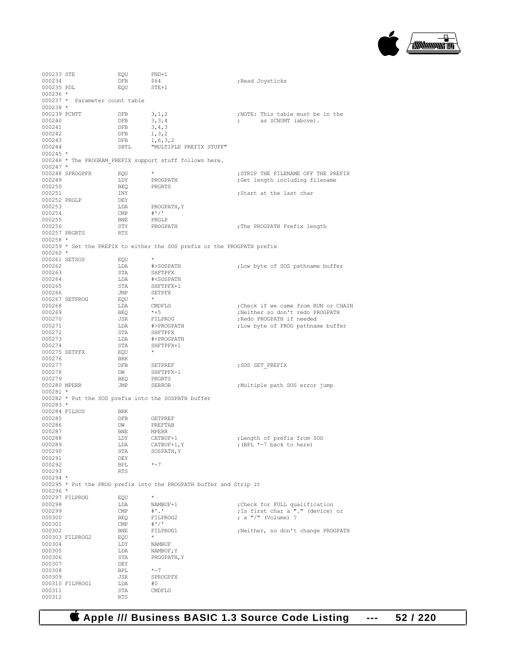

| 000233 STE    |                                | EQU        | $FND+1$                                                                 |                                     |
|---------------|--------------------------------|------------|-------------------------------------------------------------------------|-------------------------------------|
| 000234        |                                | DFB        | \$64                                                                    | ; Read Joysticks                    |
| 000235 PDL    |                                | EQU        | $STE+1$                                                                 |                                     |
| $000236 *$    |                                |            |                                                                         |                                     |
|               | 000237 * Parameter count table |            |                                                                         |                                     |
| $000238 *$    |                                |            |                                                                         |                                     |
|               |                                |            |                                                                         |                                     |
| 000239 PCNTT  |                                | DFB        | 3, 1, 2                                                                 | ;NOTE: This table must be in the    |
| 000240        |                                | DFB        | 3, 3, 4                                                                 | as SCNUMT (above).<br>$\ddot{ }$    |
| 000241        |                                | DFB        | 3, 4, 3                                                                 |                                     |
| 000242        |                                | DFB        | 1, 3, 2                                                                 |                                     |
| 000243        |                                | DFB        | 1, 6, 3, 2                                                              |                                     |
| 000244        |                                | SBTL       | "MULTIPLE PREFIX STUFF"                                                 |                                     |
| $000245 *$    |                                |            |                                                                         |                                     |
|               |                                |            |                                                                         |                                     |
|               |                                |            | 000246 * The PROGRAM PREFIX support stuff follows here.                 |                                     |
| $000247$ *    |                                |            |                                                                         |                                     |
|               | 000248 SPROGPFX                | EQU        | $^{\star}$                                                              | ; STRIP THE FILENAME OFF THE PREFIX |
| 000249        |                                | LDY        | PROGPATH                                                                | Get length including filename       |
| 000250        |                                | BEQ        | PRGRTS                                                                  |                                     |
| 000251        |                                | INY        |                                                                         | ;Start at the last char             |
| 000252 PRGLP  |                                | DEY        |                                                                         |                                     |
| 000253        |                                | LDA        | PROGPATH, Y                                                             |                                     |
|               |                                | CMP        | $#$ '/'                                                                 |                                     |
| 000254        |                                |            |                                                                         |                                     |
| 000255        |                                | <b>BNE</b> | PRGLP                                                                   |                                     |
| 000256        |                                | STY        | PROGPATH                                                                | ; The PROGPATH Prefix length        |
| 000257 PRGRTS |                                | RTS        |                                                                         |                                     |
| $000258 *$    |                                |            |                                                                         |                                     |
|               |                                |            | 000259 * Set the PREFIX to either the SOS prefix or the PROGPATH prefix |                                     |
| $000260$ *    |                                |            |                                                                         |                                     |
| 000261 SETSOS |                                | EQU        |                                                                         |                                     |
| 000262        |                                |            | #>SOSPATH                                                               |                                     |
|               |                                | LDA        |                                                                         | ; Low byte of SOS pathname buffer   |
| 000263        |                                | STA        | SHFTPFX                                                                 |                                     |
| 000264        |                                | LDA        | # <sospath< td=""><td></td></sospath<>                                  |                                     |
| 000265        |                                | STA        | SHFTPFX+1                                                               |                                     |
| 000266        |                                | JMP        | SETPFX                                                                  |                                     |
|               | 000267 SETPROG                 | EQU        |                                                                         |                                     |
| 000268        |                                | LDA        | CMDFLG                                                                  | Check if we came from RUN or CHAIN; |
| 000269        |                                | BEQ        | $*+5$                                                                   | Neither so don't redo PROGPATH      |
|               |                                |            |                                                                         |                                     |
| 000270        |                                | JSR        | FILPROG                                                                 | ; Redo PROGPATH if needed           |
| 000271        |                                | LDA        | #>PROGPATH                                                              | ; Low byte of PROG pathname buffer  |
| 000272        |                                | STA        | SHFTPFX                                                                 |                                     |
| 000273        |                                | LDA        | # <progpath< td=""><td></td></progpath<>                                |                                     |
| 000274        |                                | STA        | SHFTPFX+1                                                               |                                     |
| 000275 SETPFX |                                | EQU        | $\star$                                                                 |                                     |
|               |                                |            |                                                                         |                                     |
|               |                                |            |                                                                         |                                     |
| 000276        |                                | <b>BRK</b> |                                                                         |                                     |
| 000277        |                                | DFB        | SETPREF                                                                 | ; SOS SET PREFIX                    |
| 000278        |                                | DW         | SHFTPFX-1                                                               |                                     |
| 000279        |                                | BEQ        | PRGRTS                                                                  |                                     |
| 000280 MPERR  |                                | JMP        | SERROR                                                                  | Multiple path SOS error jump,       |
| $000281$ *    |                                |            |                                                                         |                                     |
|               |                                |            |                                                                         |                                     |
|               |                                |            | 000282 * Put the SOS prefix into the SOSPATH buffer                     |                                     |
| $000283 *$    |                                |            |                                                                         |                                     |
| 000284 FILSOS |                                | BRK        |                                                                         |                                     |
| 000285        |                                | DFB        | <b>GETPREF</b>                                                          |                                     |
| 000286        |                                | DW         | PREFTAB                                                                 |                                     |
| 000287        |                                | BNE        | MPERR                                                                   |                                     |
| 000288        |                                | LDY        | CATBUF+1                                                                | ; Length of prefix from SOS         |
| 000289        |                                | LDA        | CATBUF+1, Y                                                             | ; (BPL *-7 back to here)            |
|               |                                |            | SOSPATH, Y                                                              |                                     |
| 000290        |                                | STA        |                                                                         |                                     |
| 000291        |                                | DEY        |                                                                         |                                     |
| 000292        |                                | BPL        | $* - 7$                                                                 |                                     |
| 000293        |                                | RTS        |                                                                         |                                     |
| $000294$ *    |                                |            |                                                                         |                                     |
|               |                                |            | 000295 * Put the PROG prefix into the PROGPATH buffer and Strip it      |                                     |
| $000296$ *    |                                |            |                                                                         |                                     |
|               |                                |            | $^{\star}$                                                              |                                     |
|               | 000297 FILPROG                 | EQU        |                                                                         |                                     |
| 000298        |                                | LDA        | NAMBUF+1                                                                | Check for FULL qualification;       |
| 000299        |                                | CMP        | $^{\#}$ .                                                               | ; Is first char a "." (device) or   |
| 000300        |                                | BEQ        | FILPROG2                                                                | ; a $\sqrt{''}$ (Volume) ?          |
| 000301        |                                | CMP        | $#$ '/'                                                                 |                                     |
| 000302        |                                | BNE        | FILPROG1                                                                | ;Neither, so don't change PROGPATH  |
|               | 000303 FILPROG2                | EQU        |                                                                         |                                     |
| 000304        |                                | LDY        | NAMBUF                                                                  |                                     |
|               |                                |            |                                                                         |                                     |
| 000305        |                                | LDA        | NAMBUF, Y                                                               |                                     |
| 000306        |                                | STA        | PROGPATH, Y                                                             |                                     |
| 000307        |                                | DEY        |                                                                         |                                     |
| 000308        |                                | BPL        | $* - 7$                                                                 |                                     |
| 000309        |                                | JSR        | SPROGPFX                                                                |                                     |
|               | 000310 FILPROG1                | LDA        | #0                                                                      |                                     |
| 000311        |                                | STA        | CMDFLG                                                                  |                                     |

 **Apple /// Business BASIC 1.3 Source Code Listing --- 52 / 220**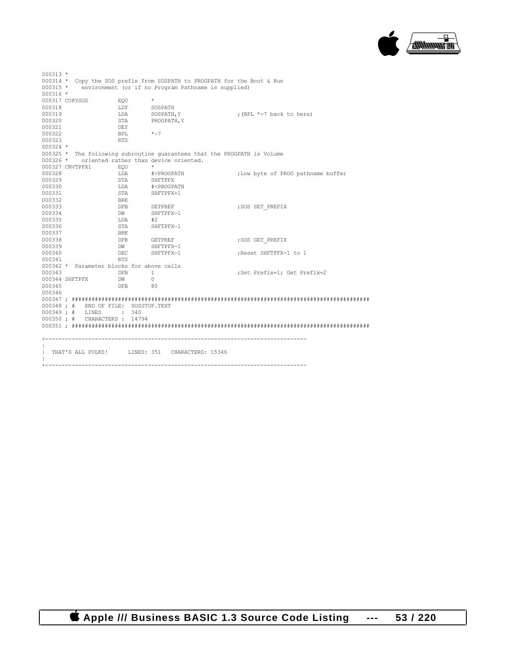

| $000313 *$      |                                           |                 |                                                                          |                                    |
|-----------------|-------------------------------------------|-----------------|--------------------------------------------------------------------------|------------------------------------|
|                 |                                           |                 | 000314 * Copy the SOS prefix from SOSPATH to PROGPATH for the Boot & Run |                                    |
|                 |                                           |                 | 000315 * environment (or if no Program Pathname is supplied)             |                                    |
| 000316 *        |                                           |                 |                                                                          |                                    |
| 000317 COPYSOS  |                                           | EOU             | $+$                                                                      |                                    |
| 000318          |                                           | LDY SOSPATH     |                                                                          |                                    |
| 000319          |                                           | LDA             | SOSPATH, Y                                                               | ; (BPL *-7 back to here)           |
| 000320          |                                           | STA             | PROGPATH, Y                                                              |                                    |
| 000321          |                                           | DEY             |                                                                          |                                    |
| 000322          |                                           | <b>BPL</b>      | $* - 7$                                                                  |                                    |
| 000323          |                                           | RTS             |                                                                          |                                    |
| $000324$ *      |                                           |                 |                                                                          |                                    |
|                 |                                           |                 | 000325 * The following subroutine guarantees that the PROGPATH is Volume |                                    |
|                 |                                           |                 | 000326 * oriented rather than device oriented.                           |                                    |
| 000327 CNVTPFX1 | EOU                                       |                 | $\star$                                                                  |                                    |
| 000328          |                                           | LDA             | #>PROGPATH                                                               | ; Low byte of PROG pathname buffer |
| 000329          |                                           | STA             | SHFTPFX                                                                  |                                    |
| 000330          |                                           | LDA             | # <progpath< td=""><td></td></progpath<>                                 |                                    |
| 000331          |                                           | STA             | SHFTPFX+1                                                                |                                    |
| 000332          |                                           | BRK             |                                                                          |                                    |
| 000333          |                                           | DFB SETPREF     |                                                                          | ; SOS SET PREFIX                   |
| 000334          |                                           | DW              | SHFTPFX-1                                                                |                                    |
| 000335          |                                           | LDA             | #2                                                                       |                                    |
| 000336          |                                           | STA             | SHFTPFX-1                                                                |                                    |
| 000337          |                                           | BRK             |                                                                          |                                    |
| 000338          |                                           | <b>DFB</b>      | <b>GETPREF</b>                                                           | ; SOS GET PREFIX                   |
| 000339          |                                           | DW              | SHFTPFX-1                                                                |                                    |
| 000340          |                                           | DEC             | SHFTPFX-1                                                                | ;Reset SHFTPFX-1 to 1              |
| 000341          |                                           | <b>RTS</b>      |                                                                          |                                    |
|                 | 000342 * Parameter blocks for above calls |                 |                                                                          |                                    |
| 000343          |                                           | DFB             | $\mathbf{1}$                                                             | ;Set Prefix=1; Get Prefix=2        |
|                 | 000344 SHFTPFX                            | DW <sub>1</sub> | $\Omega$                                                                 |                                    |
| 000345          |                                           | DFB 80          |                                                                          |                                    |
| 000346          |                                           |                 |                                                                          |                                    |
|                 |                                           |                 |                                                                          |                                    |
|                 | 000348 ; # END OF FILE: SOSSTUF.TEXT      |                 |                                                                          |                                    |
|                 | 000349 : # LINES                          | $\cdot$ 340     |                                                                          |                                    |
|                 | 000350 ; # CHARACTERS : 14794             |                 |                                                                          |                                    |
|                 |                                           |                 |                                                                          |                                    |
|                 |                                           |                 |                                                                          |                                    |
|                 |                                           |                 | THAT'S ALL FOLKS! LINES: 351 CHARACTERS: 15346                           |                                    |
|                 |                                           |                 |                                                                          |                                    |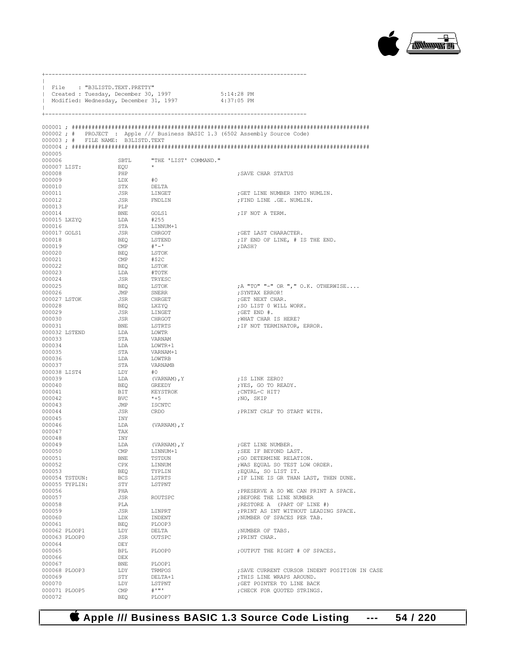

|                          | File : "B3LISTD.TEXT.PRETTY"<br>  Created : Tuesday, December 30, 1997 |                                | Modified: Wednesday, December 31, 1997  | 5:14:28 PM<br>$4:37:05$ PM                                                   |
|--------------------------|------------------------------------------------------------------------|--------------------------------|-----------------------------------------|------------------------------------------------------------------------------|
|                          | 000003; # FILE NAME: B3LISTD.TEXT                                      |                                |                                         | 000002; # PROJECT : Apple /// Business BASIC 1.3 (6502 Assembly Source Code) |
|                          |                                                                        |                                |                                         |                                                                              |
| 000005<br>000006         |                                                                        | SBTL                           | "THE 'LIST' COMMAND."                   |                                                                              |
| 000007 LIST:             |                                                                        | EQU                            |                                         |                                                                              |
| 000008                   |                                                                        | PHP                            |                                         | SAVE CHAR STATUS                                                             |
| 000009                   |                                                                        | LDX                            | #0                                      |                                                                              |
| 000010<br>000011         |                                                                        | STX<br>JSR                     | DELTA<br>LINGET                         | ; GET LINE NUMBER INTO NUMLIN.                                               |
| 000012                   |                                                                        | JSR                            | FNDLIN                                  | ; FIND LINE .GE. NUMLIN.                                                     |
| 000013                   |                                                                        | PLP                            |                                         |                                                                              |
| 000014                   |                                                                        | BNE                            | GOLS1                                   | ; IF NOT A TERM.                                                             |
| 000015 LXZYO<br>000016   |                                                                        | LDA<br>STA                     | #255<br>LINNUM+1                        |                                                                              |
| 000017 GOLS1             |                                                                        | JSR                            | CHRGOT                                  | GET LAST CHARACTER.                                                          |
| 000018                   |                                                                        | BEO                            | LSTEND                                  | ; IF END OF LINE, # IS THE END.                                              |
| 000019                   |                                                                        | $\text{CMP}$                   | $#$ ' $-$ '                             | ; DASH?                                                                      |
| 000020<br>000021         |                                                                        | BEQ<br>CMP                     | LSTOK<br>#\$2C                          |                                                                              |
| 000022                   |                                                                        | BEQ                            | LSTOK                                   |                                                                              |
| 000023                   |                                                                        | LDA                            | #TOTK                                   |                                                                              |
| 000024                   |                                                                        | JSR                            | TRYESC                                  |                                                                              |
| 000025<br>000026         |                                                                        | BEQ<br>JMP                     | LSTOK<br>SNERR                          | ; A "TO" "-" OR ", " O.K. OTHERWISE<br>SYNTAX ERROR!;                        |
| 000027 LSTOK             |                                                                        | JSR                            | CHRGET                                  | ; GET NEXT CHAR.                                                             |
| 000028                   |                                                                        | BEQ                            | LXZYQ                                   | ; SO LIST 0 WILL WORK.                                                       |
| 000029                   |                                                                        | JSR                            | LINGET                                  | ; GET END $#$ .                                                              |
| 000030<br>000031         |                                                                        | JSR<br><b>BNE</b>              | CHRGOT<br>LSTRTS                        | ; WHAT CHAR IS HERE?<br>; IF NOT TERMINATOR, ERROR.                          |
| 000032 LSTEND            |                                                                        | LDA                            | LOWTR                                   |                                                                              |
| 000033                   |                                                                        | STA                            | VARNAM                                  |                                                                              |
| 000034                   |                                                                        | LDA                            | LOWTR+1                                 |                                                                              |
| 000035<br>000036         |                                                                        | STA<br>LDA                     | VARNAM+1<br>LOWTRB                      |                                                                              |
| 000037                   |                                                                        | STA                            | VARNAMB                                 |                                                                              |
| 000038 LIST4             |                                                                        | LDY                            | #0                                      |                                                                              |
| 000039                   |                                                                        | LDA                            | (VARNAM), Y                             | ;IS LINK ZERO?                                                               |
| 000040<br>000041         |                                                                        | BEQ<br>BIT                     | GREEDY<br>KEYSTROK                      | ; YES, GO TO READY.<br>CNTRL-C HIT?;                                         |
| 000042                   | BVC                                                                    |                                | $*+5$                                   | ;NO, SKIP                                                                    |
| 000043                   |                                                                        | JMP                            | ISCNTC                                  |                                                                              |
| 000044                   |                                                                        | JSR                            | CRDO                                    | ; PRINT CRLF TO START WITH.                                                  |
| 000045<br>000046         | INY<br>LDA                                                             |                                | (VARNAM), Y                             |                                                                              |
| 000047                   | TAX                                                                    |                                |                                         |                                                                              |
| 000048                   | INY                                                                    |                                |                                         |                                                                              |
| 000049                   |                                                                        | LDA                            | (VARNAM), Y                             | GET LINE NUMBER.                                                             |
| 000050<br>000051         |                                                                        | $\mathop{\mathrm{CMP}}$<br>BNE | LINNUM+1<br>TSTDUN                      | ; SEE IF BEYOND LAST.<br>; GO DETERMINE RELATION.                            |
| 000052                   |                                                                        | CPX                            | LINNUM                                  | ; WAS EQUAL SO TEST LOW ORDER.                                               |
| 000053                   |                                                                        | BEQ                            | TYPLIN                                  | ; EQUAL, SO LIST IT.                                                         |
| 000054 TSTDUN:           |                                                                        | BCS                            | LSTRTS                                  | ; IF LINE IS GR THAN LAST, THEN DUNE.                                        |
| 000055 TYPLIN:<br>000056 |                                                                        | STY<br>PHA                     | LSTPNT                                  | ; PRESERVE A SO WE CAN PRINT A SPACE.                                        |
| 000057                   |                                                                        | JSR                            | ROUTSPC                                 | ; BEFORE THE LINE NUMBER                                                     |
| 000058                   |                                                                        | PLA                            |                                         | ; RESTORE A (PART OF LINE #)                                                 |
| 000059                   |                                                                        | JSR                            | LINPRT                                  | ; PRINT AS INT WITHOUT LEADING SPACE.                                        |
| 000060<br>000061         |                                                                        | LDX<br>BEQ                     | INDENT<br>PLOOP3                        | ; NUMBER OF SPACES PER TAB.                                                  |
| 000062 PLOOP1            |                                                                        | LDY                            | DELTA                                   | ; NUMBER OF TABS.                                                            |
| 000063 PLOOP0            |                                                                        | JSR                            | OUTSPC                                  | ; PRINT CHAR.                                                                |
| 000064                   |                                                                        | DEY                            |                                         |                                                                              |
| 000065<br>000066         |                                                                        | BPL<br>DEX                     | PLOOP0                                  | ; OUTPUT THE RIGHT # OF SPACES.                                              |
| 000067                   |                                                                        | BNE                            | PLOOP1                                  |                                                                              |
| 000068 PLOOP3            |                                                                        | LDY                            | TRMPOS                                  | ; SAVE CURRENT CURSOR INDENT POSITION IN CASE                                |
| 000069                   |                                                                        | STY                            | DELTA+1                                 | ; THIS LINE WRAPS AROUND.                                                    |
| 000070<br>000071 PLOOP5  |                                                                        | LDY<br>CMP                     | LSTPNT<br>$\pm$ $\cdot$ $\cdot$ $\cdot$ | ; GET POINTER TO LINE BACK<br>; CHECK FOR QUOTED STRINGS.                    |
| 000072                   |                                                                        | <b>BEO</b>                     | PLOOP7                                  |                                                                              |
|                          |                                                                        |                                |                                         |                                                                              |

+-------------------------------------------------------------------------------

 **Apple /// Business BASIC 1.3 Source Code Listing --- 54 / 220**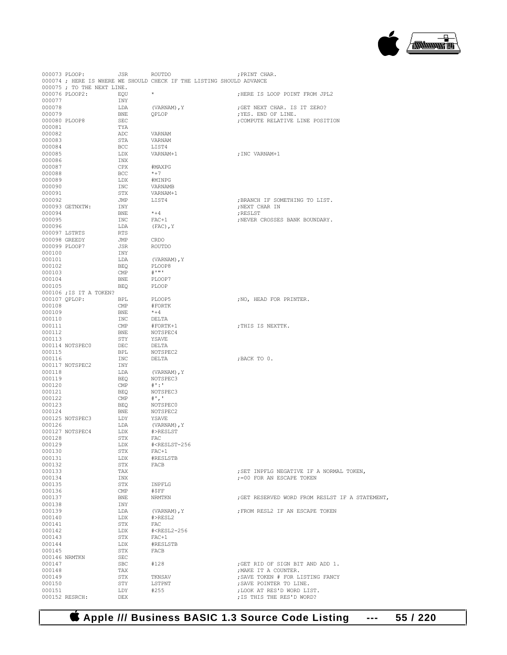

| 000073 PLOOP: |                            | JSR                     | ROUTDO                                                               | ; PRINT CHAR.                                   |
|---------------|----------------------------|-------------------------|----------------------------------------------------------------------|-------------------------------------------------|
|               |                            |                         | 000074 ; HERE IS WHERE WE SHOULD CHECK IF THE LISTING SHOULD ADVANCE |                                                 |
|               | 000075 ; TO THE NEXT LINE. |                         |                                                                      |                                                 |
|               | 000076 PLOOP2:             | EQU                     | $\star$                                                              | ; HERE IS LOOP POINT FROM JPL2                  |
| 000077        |                            | INY                     |                                                                      |                                                 |
| 000078        |                            | LDA                     | (VARNAM), Y                                                          | ; GET NEXT CHAR. IS IT ZERO?                    |
| 000079        |                            | BNE                     | OPLOP                                                                | ; YES. END OF LINE.                             |
| 000080 PLOOP8 |                            | SEC                     |                                                                      | ; COMPUTE RELATIVE LINE POSITION                |
| 000081        |                            | TYA                     |                                                                      |                                                 |
| 000082        |                            | ADC                     | VARNAM                                                               |                                                 |
| 000083        |                            | STA                     | VARNAM                                                               |                                                 |
| 000084        |                            | <b>BCC</b>              | LIST4                                                                |                                                 |
| 000085        |                            | LDX                     | VARNAM+1                                                             | ;INC VARNAM+1                                   |
| 000086        |                            | INX                     |                                                                      |                                                 |
| 000087        |                            | CPX                     | #MAXPG                                                               |                                                 |
| 000088        |                            | <b>BCC</b>              | $*+7$                                                                |                                                 |
| 000089        |                            | LDX                     | #MINPG                                                               |                                                 |
| 000090        |                            | INC                     | VARNAMB                                                              |                                                 |
| 000091        |                            | STX                     | VARNAM+1                                                             |                                                 |
| 000092        |                            | JMP                     | LIST4                                                                | ; BRANCH IF SOMETHING TO LIST.                  |
|               | 000093 GETNXTW:            | INY                     |                                                                      | ; NEXT CHAR IN                                  |
| 000094        |                            | BNE                     | $* + 4$                                                              | ; RESLST                                        |
| 000095        |                            |                         |                                                                      |                                                 |
|               |                            | INC                     | $FAC+1$                                                              | ; NEVER CROSSES BANK BOUNDARY.                  |
| 000096        |                            | LDA                     | $(FAC)$ , Y                                                          |                                                 |
| 000097 LSTRTS |                            | <b>RTS</b>              |                                                                      |                                                 |
| 000098 GREEDY |                            | JMP                     | CRDO                                                                 |                                                 |
| 000099 PLOOP7 |                            | JSR                     | ROUTDO                                                               |                                                 |
| 000100        |                            | INY                     |                                                                      |                                                 |
| 000101        |                            | LDA                     | (VARNAM), Y                                                          |                                                 |
| 000102        |                            | BEQ                     | PLOOP8                                                               |                                                 |
| 000103        |                            | CMP                     | $\#$ $\cdots$ $\cdot$                                                |                                                 |
| 000104        |                            | BNE                     | PLOOP7                                                               |                                                 |
| 000105        |                            | BEQ                     | PLOOP                                                                |                                                 |
|               | 000106 ; IS IT A TOKEN?    |                         |                                                                      |                                                 |
| 000107 QPLOP: |                            | BPL                     | PLOOP5                                                               | ; NO, HEAD FOR PRINTER.                         |
| 000108        |                            | CMP                     | #FORTK                                                               |                                                 |
| 000109        |                            | BNE                     | $*+4$                                                                |                                                 |
| 000110        |                            | INC                     | DELTA                                                                |                                                 |
| 000111        |                            | CMP                     | #FORTK+1                                                             | ; THIS IS NEXTTK.                               |
| 000112        |                            | BNE                     | NOTSPEC4                                                             |                                                 |
| 000113        |                            | STY                     | YSAVE                                                                |                                                 |
|               | 000114 NOTSPEC0            | DEC                     | DELTA                                                                |                                                 |
| 000115        |                            | BPL                     | NOTSPEC2                                                             |                                                 |
| 000116        |                            | INC                     | DELTA                                                                | ; BACK TO 0.                                    |
|               | 000117 NOTSPEC2            | INY                     |                                                                      |                                                 |
| 000118        |                            | LDA                     | (VARNAM), Y                                                          |                                                 |
| 000119        |                            | BEO                     | NOTSPEC3                                                             |                                                 |
| 000120        |                            | CMP                     | $\#$ ':'                                                             |                                                 |
| 000121        |                            | <b>BEQ</b>              | NOTSPEC3                                                             |                                                 |
| 000122        |                            | $\mathsf{CMP}$          | $#^1$ , $'$                                                          |                                                 |
| 000123        |                            | BEQ                     | NOTSPEC0                                                             |                                                 |
| 000124        |                            | BNE                     | NOTSPEC2                                                             |                                                 |
|               | 000125 NOTSPEC3            | LDY                     | YSAVE                                                                |                                                 |
| 000126        |                            | LDA                     | (VARNAM), Y                                                          |                                                 |
|               | 000127 NOTSPEC4            | LDX                     | #>RESLST                                                             |                                                 |
| 000128        |                            | STX                     | FAC                                                                  |                                                 |
| 000129        |                            | LDX                     | # <reslst-256< td=""><td></td></reslst-256<>                         |                                                 |
| 000130        |                            | STX                     | $FAC+1$                                                              |                                                 |
| 000131        |                            | LDX                     | #RESLSTB                                                             |                                                 |
| 000132        |                            | STX                     | FACB                                                                 |                                                 |
| 000133        |                            | TAX                     |                                                                      | ; SET INPFLG NEGATIVE IF A NORMAL TOKEN,        |
| 000134        |                            | INX                     |                                                                      | := 00 FOR AN ESCAPE TOKEN                       |
| 000135        |                            | STX                     | INPFLG                                                               |                                                 |
| 000136        |                            | $\mathop{\mathrm{CMP}}$ | #\$FF                                                                |                                                 |
| 000137        |                            | BNE                     | NRMTKN                                                               | ; GET RESERVED WORD FROM RESLST IF A STATEMENT, |
| 000138        |                            | INY                     |                                                                      |                                                 |
| 000139        |                            |                         |                                                                      |                                                 |
|               |                            | LDA                     | (VARNAM), Y                                                          | ; FROM RESL2 IF AN ESCAPE TOKEN                 |
| 000140        |                            | LDX                     | #>RESL2                                                              |                                                 |
| 000141        |                            | STX                     | FAC                                                                  |                                                 |
| 000142        |                            | LDX                     | # <resl2-256< td=""><td></td></resl2-256<>                           |                                                 |
| 000143        |                            | STX                     | $FAC+1$                                                              |                                                 |
| 000144        |                            | LDX                     | #RESLSTB                                                             |                                                 |
| 000145        |                            | STX                     | FACB                                                                 |                                                 |
| 000146 NRMTKN |                            | SEC                     |                                                                      |                                                 |
| 000147        |                            | <b>SBC</b>              | #128                                                                 | ; GET RID OF SIGN BIT AND ADD 1.                |
| 000148        |                            | TAX                     |                                                                      | ; MAKE IT A COUNTER.                            |
| 000149        |                            | STX                     | TKNSAV                                                               | ; SAVE TOKEN # FOR LISTING FANCY                |
| 000150        |                            | STY                     | LSTPNT                                                               | ; SAVE POINTER TO LINE.                         |
| 000151        |                            | LDY                     | #255                                                                 | ; LOOK AT RES'D WORD LIST.                      |
|               | 000152 RESRCH:             | DEX                     |                                                                      | ; IS THIS THE RES'D WORD?                       |

## **Apple /// Business BASIC 1.3 Source Code Listing --- 55 / 220**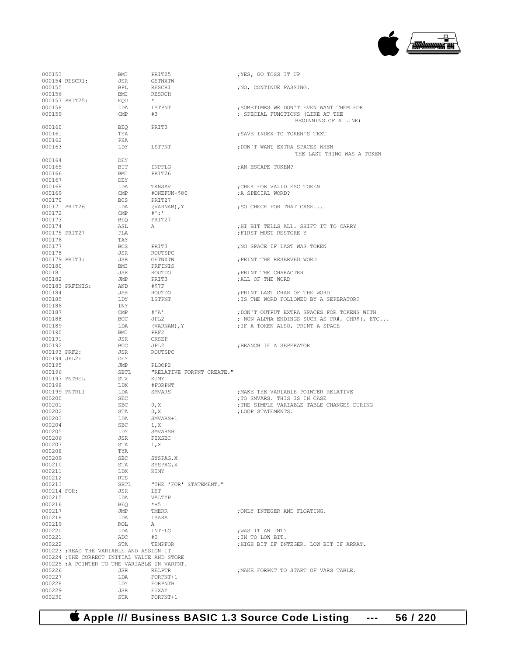

| 000153           |                                               | BMI               | PRIT25                    | ; YES, GO TOSS IT UP                                                    |
|------------------|-----------------------------------------------|-------------------|---------------------------|-------------------------------------------------------------------------|
| 000155           | 000154 RESCR1:                                | JSR<br><b>BPL</b> | GETNXTW                   | ; NO, CONTINUE PASSING.                                                 |
| 000156           |                                               | BMI               | RESCR1<br>RESRCH          |                                                                         |
|                  | 000157 PRIT25:                                | EQU               | $\star$                   |                                                                         |
| 000158           |                                               | LDA               | LSTPNT                    | ; SOMETIMES WE DON'T EVEN WANT THEM FOR                                 |
| 000159           |                                               | CMP               | #3                        | ; SPECIAL FUNCTIONS (LIKE AT THE                                        |
|                  |                                               |                   | PRIT3                     | BEGINNING OF A LINE)                                                    |
| 000160<br>000161 |                                               | BEO<br>TYA        |                           | ; SAVE INDEX TO TOKEN'S TEXT                                            |
| 000162           |                                               | PHA               |                           |                                                                         |
| 000163           |                                               | LDY               | LSTPNT                    | ; DON'T WANT EXTRA SPACES WHEN                                          |
|                  |                                               |                   |                           | THE LAST THING WAS A TOKEN                                              |
| 000164           |                                               | DEY               |                           |                                                                         |
| 000165<br>000166 |                                               | BIT<br>BMI        | INPFLG<br>PRIT26          | ; AN ESCAPE TOKEN?                                                      |
| 000167           |                                               | DEY               |                           |                                                                         |
| 000168           |                                               | LDA               | TKNSAV                    | CHEK FOR VALID ESC TOKEN;                                               |
| 000169           |                                               | $\text{CMP}$      | #ONEFUN-\$80              | ; A SPECIAL WORD?                                                       |
| 000170           |                                               | BCS               | PRIT27                    |                                                                         |
| 000172           | 000171 PRIT26                                 | LDA<br>CMP        | (VARNAM), Y<br>$+1:1$     | ; SO CHECK FOR THAT CASE                                                |
| 000173           |                                               | BEO               | PRIT27                    |                                                                         |
| 000174           |                                               | ASL               | A                         | ; HI BIT TELLS ALL. SHIFT IT TO CARRY                                   |
|                  | 000175 PRIT27                                 | PLA               |                           | FIRST MUST RESTORE Y                                                    |
| 000176           |                                               | TAY               |                           |                                                                         |
| 000177<br>000178 |                                               | BCS<br>JSR        | PRIT3<br>ROUTSPC          | ; NO SPACE IF LAST WAS TOKEN                                            |
|                  | 000179 PRIT3:                                 | JSR               | GETNXTW                   | ; PRINT THE RESERVED WORD                                               |
| 000180           |                                               | BMI               | PRFINIS                   |                                                                         |
| 000181           |                                               | JSR               | ROUTDO                    | ; PRINT THE CHARACTER                                                   |
| 000182           |                                               | JMP               | PRIT3                     | ; ALL OF THE WORD                                                       |
|                  | 000183 PRFINIS:                               | AND               | #\$7F                     |                                                                         |
| 000184<br>000185 |                                               | JSR<br>LDY        | ROUTDO<br>LSTPNT          | ; PRINT LAST CHAR OF THE WORD<br>; IS THE WORD FOLLOWED BY A SEPERATOR? |
| 000186           |                                               | INY               |                           |                                                                         |
| 000187           |                                               | $\mathsf{CMP}$    | #'A'                      | ; DON'T OUTPUT EXTRA SPACES FOR TOKENS WITH                             |
| 000188           |                                               | BCC               | JPL2                      | ; NON ALPHA ENDINGS SUCH AS PR#, CHR\$ (, ETC                           |
| 000189           |                                               | LDA               | (VARNAM), Y               | ; IF A TOKEN ALSO, PRINT A SPACE                                        |
| 000190<br>000191 |                                               | BMI<br>JSR        | PRF2<br>CKSEP             |                                                                         |
| 000192           |                                               | BCC               | JPL2                      | ; BRANCH IF A SEPERATOR                                                 |
| 000193 PRF2:     |                                               | JSR               | ROUTSPC                   |                                                                         |
|                  | 000194 JPL2:                                  | DEY               |                           |                                                                         |
| 000195           |                                               | JMP               | PLOOP2                    |                                                                         |
| 000196           |                                               | SBTL              | "RELATIVE FORPNT CREATE." |                                                                         |
| 000198           | 000197 PNTREL                                 | STX<br>LDX        | KIMY<br>#FORPNT           |                                                                         |
|                  | 000199 PNTRL1                                 | LDA               | SMVARS                    | ; MAKE THE VARIABLE POINTER RELATIVE                                    |
| 000200           |                                               | SEC               |                           | :TO SMVARS. THIS IS IN CASE                                             |
| 000201           |                                               | SBC               | 0, X                      | ; THE SIMPLE VARIABLE TABLE CHANGES DURING                              |
| 000202           |                                               | STA               | 0, X                      | :LOOP STATEMENTS.                                                       |
| 000203<br>000204 |                                               | LDA<br>SBC        | SMVARS+1<br>1, X          |                                                                         |
| 000205           |                                               | LDY               | SMVARSB                   |                                                                         |
| 000206           |                                               | JSR               | FIXSBC                    |                                                                         |
| 000207           |                                               | STA               | 1, X                      |                                                                         |
| 000208           |                                               | TYA               |                           |                                                                         |
| 000209<br>000210 |                                               | SBC<br>STA        | SYSPAG, X<br>SYSPAG, X    |                                                                         |
| 000211           |                                               | LDX               | KIMY                      |                                                                         |
| 000212           |                                               | RTS               |                           |                                                                         |
| 000213           |                                               | SBTL              | "THE 'FOR' STATEMENT."    |                                                                         |
| 000214 FOR:      |                                               | JSR               | LET                       |                                                                         |
| 000215<br>000216 |                                               | LDA<br>BEO        | VALTYP<br>$*+5$           |                                                                         |
| 000217           |                                               | JMP               | TMERR                     | : ONLY INTEGER AND FLOATING.                                            |
| 000218           |                                               | LDA               | ISARA                     |                                                                         |
| 000219           |                                               | ROL               | А                         |                                                                         |
| 000220           |                                               | LDA               | INTFLG                    | ; WAS IT AN INT?                                                        |
| 000221           |                                               | ADC               | #O<br>TEMPFOR             | ; IN TO LOW BIT.<br>: HIGH BIT IF INTEGER. LOW BIT IF ARRAY.            |
| 000222           | 000223; READ THE VARIABLE AND ASSIGN IT       | STA               |                           |                                                                         |
|                  | 000224 ; THE CORRECT INITIAL VALUE AND STORE  |                   |                           |                                                                         |
|                  | 000225 ; A POINTER TO THE VARIABLE IN VARPNT. |                   |                           |                                                                         |
| 000226           |                                               | JSR               | <b>RELPTR</b>             | ; MAKE FORPNT TO START OF VARS TABLE.                                   |
| 000227           |                                               | LDA               | FORPNT+1                  |                                                                         |
| 000228<br>000229 |                                               | LDY<br>JSR        | FORPNTB<br>FIXAY          |                                                                         |
|                  |                                               |                   |                           |                                                                         |
| 000230           |                                               | STA               | FORPNT+1                  |                                                                         |

 **Apple /// Business BASIC 1.3 Source Code Listing --- 56 / 220**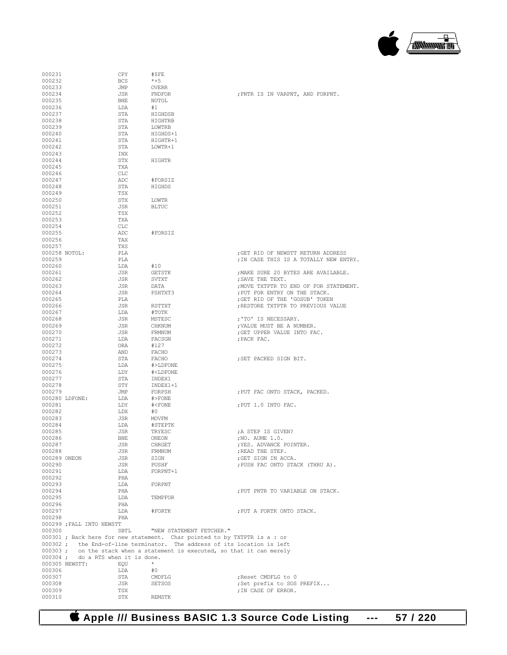

| 000231        |                                   | CPY        | #\$FE                                                                     |                                        |
|---------------|-----------------------------------|------------|---------------------------------------------------------------------------|----------------------------------------|
| 000232        |                                   | <b>BCS</b> | $*+5$                                                                     |                                        |
|               |                                   |            |                                                                           |                                        |
| 000233        |                                   | JMP        | <b>OVERR</b>                                                              |                                        |
| 000234        |                                   | JSR        | FNDFOR                                                                    | ; PNTR IS IN VARPNT, AND FORPNT.       |
| 000235        |                                   | <b>BNE</b> | NOTOL                                                                     |                                        |
| 000236        |                                   | LDA        | #1                                                                        |                                        |
| 000237        |                                   | STA        | HIGHDSB                                                                   |                                        |
|               |                                   |            |                                                                           |                                        |
| 000238        |                                   | STA        | HIGHTRB                                                                   |                                        |
| 000239        |                                   | STA        | LOWTRB                                                                    |                                        |
| 000240        |                                   | STA        | HIGHDS+1                                                                  |                                        |
| 000241        |                                   | STA        | HIGHTR+1                                                                  |                                        |
|               |                                   |            |                                                                           |                                        |
| 000242        |                                   | STA        | LOWTR+1                                                                   |                                        |
| 000243        |                                   | INX        |                                                                           |                                        |
| 000244        |                                   | STX        | HIGHTR                                                                    |                                        |
| 000245        |                                   | TXA        |                                                                           |                                        |
|               |                                   |            |                                                                           |                                        |
| 000246        |                                   | CLC        |                                                                           |                                        |
| 000247        |                                   | ADC        | #FORSIZ                                                                   |                                        |
| 000248        |                                   | STA        | HIGHDS                                                                    |                                        |
| 000249        |                                   | TSX        |                                                                           |                                        |
| 000250        |                                   | STX        | LOWTR                                                                     |                                        |
|               |                                   |            |                                                                           |                                        |
| 000251        |                                   | JSR        | <b>BLTUC</b>                                                              |                                        |
| 000252        |                                   | TSX        |                                                                           |                                        |
| 000253        |                                   | TXA        |                                                                           |                                        |
| 000254        |                                   | <b>CLC</b> |                                                                           |                                        |
|               |                                   |            |                                                                           |                                        |
| 000255        |                                   | ADC        | #FORSIZ                                                                   |                                        |
| 000256        |                                   | TAX        |                                                                           |                                        |
| 000257        |                                   | TXS        |                                                                           |                                        |
| 000258 NOTOL: |                                   | PLA        |                                                                           | GET RID OF NEWSTT RETURN ADDRESS       |
| 000259        |                                   | PLA        |                                                                           |                                        |
|               |                                   |            |                                                                           | ; IN CASE THIS IS A TOTALLY NEW ENTRY. |
| 000260        |                                   | LDA        | #10                                                                       |                                        |
| 000261        |                                   | JSR        | GETSTK                                                                    | ; MAKE SURE 20 BYTES ARE AVAILABLE.    |
| 000262        |                                   | JSR        | SVTXT                                                                     | ; SAVE THE TEXT.                       |
| 000263        |                                   | JSR        | DATA                                                                      | ; MOVE TXTPTR TO END OF FOR STATEMENT. |
|               |                                   |            |                                                                           |                                        |
| 000264        |                                   | JSR        | PSHTXT3                                                                   | ; PUT FOR ENTRY ON THE STACK.          |
| 000265        |                                   | PLA        |                                                                           | ; GET RID OF THE 'GOSUB' TOKEN         |
| 000266        |                                   | JSR        | RSTTXT                                                                    | ; RESTORE TXTPTR TO PREVIOUS VALUE     |
| 000267        |                                   | LDA        | #TOTK                                                                     |                                        |
|               |                                   |            |                                                                           |                                        |
| 000268        |                                   | JSR        | MSTESC                                                                    | ;'TO' IS NECESSARY.                    |
| 000269        |                                   | JSR        | CHKNUM                                                                    | ; VALUE MUST BE A NUMBER.              |
| 000270        |                                   | JSR        | FRMNUM                                                                    | ; GET UPPER VALUE INTO FAC.            |
| 000271        |                                   | LDA        | FACSGN                                                                    | ; PACK FAC.                            |
| 000272        |                                   | ORA        | #127                                                                      |                                        |
|               |                                   |            |                                                                           |                                        |
| 000273        |                                   | AND        | FACHO                                                                     |                                        |
| 000274        |                                   | STA        | FACHO                                                                     | ; SET PACKED SIGN BIT.                 |
| 000275        |                                   | LDA        | #>LDFONE                                                                  |                                        |
| 000276        |                                   | LDY        | # <ldfone< td=""><td></td></ldfone<>                                      |                                        |
|               |                                   |            |                                                                           |                                        |
| 000277        |                                   | STA        | INDEX1                                                                    |                                        |
| 000278        |                                   | STY        | INDEX1+1                                                                  |                                        |
| 000279        |                                   | JMP        | FORPSH                                                                    | ; PUT FAC ONTO STACK, PACKED.          |
|               | 000280 LDFONE:                    | LDA        | $#$ >FONE                                                                 |                                        |
| 000281        |                                   | LDY        | $# <$ FONE                                                                | ; PUT 1.0 INTO FAC.                    |
|               |                                   |            |                                                                           |                                        |
| 000282        |                                   | LDX        | #0                                                                        |                                        |
| 000283        |                                   | JSR        | MOVFM                                                                     |                                        |
| 000284        |                                   | LDA        | #STEPTK                                                                   |                                        |
| 000285        |                                   | JSR        | TRYESC                                                                    | A STEP IS GIVEN?                       |
| 000286        |                                   |            | ONEON                                                                     | ; NO. AUME 1.0.                        |
|               |                                   | BNE        |                                                                           |                                        |
| 000287        |                                   | JSR        | CHRGET                                                                    | ; YES. ADVANCE POINTER.                |
| 000288        |                                   | JSR        | FRMNUM                                                                    | ; READ THE STEP.                       |
| 000289 ONEON  |                                   | JSR        | SIGN                                                                      | ; GET SIGN IN ACCA.                    |
| 000290        |                                   | JSR        | PUSHF                                                                     | ; PUSH FAC ONTO STACK (THRU A).        |
| 000291        |                                   | LDA        | FORPNT+1                                                                  |                                        |
|               |                                   |            |                                                                           |                                        |
| 000292        |                                   | PHA        |                                                                           |                                        |
| 000293        |                                   | LDA        | FORPNT                                                                    |                                        |
| 000294        |                                   | PHA        |                                                                           | ; PUT PNTR TO VARIABLE ON STACK.       |
| 000295        |                                   | LDA        | TEMPFOR                                                                   |                                        |
|               |                                   |            |                                                                           |                                        |
| 000296        |                                   | PHA        |                                                                           |                                        |
| 000297        |                                   | LDA        | #FORTK                                                                    | ; PUT A FORTK ONTO STACK.              |
| 000298        |                                   | PHA        |                                                                           |                                        |
|               | 000299 ; FALL INTO NEWSTT         |            |                                                                           |                                        |
| 000300        |                                   | SBTL       | "NEW STATEMENT FETCHER."                                                  |                                        |
|               |                                   |            |                                                                           |                                        |
|               |                                   |            | 000301 ; Back here for new statement. Char pointed to by TXTPTR is a : or |                                        |
|               |                                   |            | 000302; the End-of-line terminator. The address of its location is left   |                                        |
|               |                                   |            | 000303; on the stack when a statement is executed, so that it can merely  |                                        |
|               | 000304; do a RTS when it is done. |            |                                                                           |                                        |
|               |                                   |            |                                                                           |                                        |
|               | 000305 NEWSTT:                    | EQU        | $^{\star}$                                                                |                                        |
| 000306        |                                   | LDA        | #0                                                                        |                                        |
| 000307        |                                   | STA        | CMDFLG                                                                    | ; Reset CMDFLG to 0                    |
| 000308        |                                   | JSR        | SETSOS                                                                    | ; Set prefix to SOS PREFIX             |
|               |                                   |            |                                                                           |                                        |
| 000309        |                                   | TSX        |                                                                           | ; IN CASE OF ERROR.                    |
| 000310        |                                   | STX        | REMSTK                                                                    |                                        |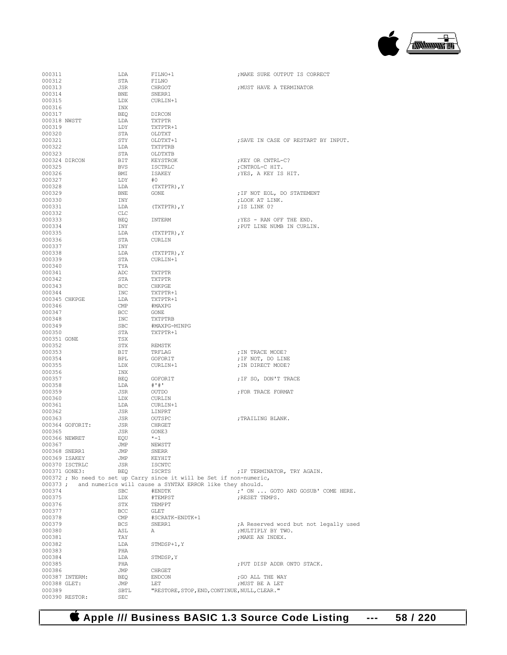

| 000311           |                                | LDA                     | FILNO+1                                                               | ; MAKE SURE OUTPUT IS CORRECT                       |
|------------------|--------------------------------|-------------------------|-----------------------------------------------------------------------|-----------------------------------------------------|
| 000312           |                                | STA                     | FILNO                                                                 |                                                     |
| 000313           |                                | JSR                     | CHRGOT                                                                | ; MUST HAVE A TERMINATOR                            |
| 000314           |                                | BNE                     | SNERR1                                                                |                                                     |
| 000315           |                                | LDX                     | CURLIN+1                                                              |                                                     |
| 000316<br>000317 |                                | INX<br>BEQ              | DIRCON                                                                |                                                     |
| 000318 NWSTT     |                                | LDA                     | TXTPTR                                                                |                                                     |
| 000319           |                                | LDY                     | TXTPTR+1                                                              |                                                     |
| 000320           |                                | STA                     | OLDTXT                                                                |                                                     |
| 000321           |                                | STY                     | OLDTXT+1                                                              | ; SAVE IN CASE OF RESTART BY INPUT.                 |
| 000322<br>000323 |                                | LDA<br>STA              | TXTPTRB<br>OLDTXTB                                                    |                                                     |
| 000324 DIRCON    |                                | BIT                     | KEYSTROK                                                              | ; KEY OR CNTRL-C?                                   |
| 000325           |                                | BVS                     | ISCTRLC                                                               | ; CNTROL-C HIT.                                     |
| 000326           |                                | BMI                     | ISAKEY                                                                | ; YES, A KEY IS HIT.                                |
| 000327           |                                | LDY                     | #O                                                                    |                                                     |
| 000328           |                                | LDA                     | (TXTPTR), Y                                                           |                                                     |
| 000329<br>000330 |                                | BNE<br>INY              | GONE                                                                  | ; IF NOT EOL, DO STATEMENT<br>; LOOK AT LINK.       |
| 000331           |                                | LDA                     | (TXTPTR), Y                                                           | ; IS LINK 0?                                        |
| 000332           |                                | CLC                     |                                                                       |                                                     |
| 000333           |                                | BEQ                     | INTERM                                                                | ; YES - RAN OFF THE END.                            |
| 000334           |                                | INY                     |                                                                       | ; PUT LINE NUMB IN CURLIN.                          |
| 000335<br>000336 |                                | LDA<br>STA              | (TXTPTR), Y<br>CURLIN                                                 |                                                     |
| 000337           |                                | INY                     |                                                                       |                                                     |
| 000338           |                                | LDA                     | (TXTPTR), Y                                                           |                                                     |
| 000339           |                                | STA                     | CURLIN+1                                                              |                                                     |
| 000340           |                                | TYA                     |                                                                       |                                                     |
| 000341           |                                | ADC                     | TXTPTR                                                                |                                                     |
| 000342<br>000343 |                                | STA<br>BCC              | TXTPTR<br>CHKPGE                                                      |                                                     |
| 000344           |                                | INC                     | TXTPTR+1                                                              |                                                     |
| 000345 CHKPGE    |                                | LDA                     | TXTPTR+1                                                              |                                                     |
| 000346           |                                | CMP                     | #MAXPG                                                                |                                                     |
| 000347           |                                | BCC                     | GONE                                                                  |                                                     |
| 000348<br>000349 |                                | INC<br>SBC              | TXTPTRB<br>#MAXPG-MINPG                                               |                                                     |
| 000350           |                                | STA                     | TXTPTR+1                                                              |                                                     |
| 000351 GONE      |                                | TSX                     |                                                                       |                                                     |
| 000352           |                                | STX                     | REMSTK                                                                |                                                     |
| 000353           |                                | BIT                     | TRFLAG                                                                | ; IN TRACE MODE?                                    |
| 000354<br>000355 |                                | BPL<br>LDX              | GOFORIT<br>CURLIN+1                                                   | ; IF NOT, DO LINE<br>; IN DIRECT MODE?              |
| 000356           |                                | INX                     |                                                                       |                                                     |
| 000357           |                                |                         | GOFORIT                                                               |                                                     |
|                  |                                | BEQ                     |                                                                       | ; IF SO, DON'T TRACE                                |
| 000358           |                                | LDA                     | # ' #'                                                                |                                                     |
| 000359           |                                | JSR                     | OUTDO                                                                 | FOR TRACE FORMAT                                    |
| 000360           |                                | LDX                     | CURLIN                                                                |                                                     |
| 000361           |                                | LDA                     | CURLIN+1                                                              |                                                     |
| 000362<br>000363 |                                | JSR<br>JSR              | LINPRT<br>OUTSPC                                                      | ; TRAILING BLANK.                                   |
|                  | 000364 GOFORIT:                | JSR                     | CHRGET                                                                |                                                     |
| 000365           |                                | JSR                     | GONE3                                                                 |                                                     |
| 000366 NEWRET    |                                | EQU                     | $* - 1$                                                               |                                                     |
| 000367           |                                | JMP                     | NEWSTT                                                                |                                                     |
|                  | 000368 SNERR1<br>000369 ISAKEY | JMP<br>JMP              | SNERR<br>KEYHIT                                                       |                                                     |
|                  | 000370 ISCTRLC                 | JSR                     | <b>ISCNTC</b>                                                         |                                                     |
|                  | 000371 GONE3:                  | <b>BEQ</b>              | ISCRTS                                                                | ; IF TERMINATOR, TRY AGAIN.                         |
|                  |                                |                         | 000372 ; No need to set up Carry since it will be Set if non-numeric, |                                                     |
| $000373$ ;       |                                |                         | and numerics will cause a SYNTAX ERROR like they should.              |                                                     |
| 000374<br>000375 |                                | <b>SBC</b><br>LDX       | #ENDTK<br>#TEMPST                                                     | ;' ON  GOTO AND GOSUB' COME HERE.<br>; RESET TEMPS. |
| 000376           |                                | STX                     | TEMPPT                                                                |                                                     |
| 000377           |                                | BCC                     | GLET                                                                  |                                                     |
| 000378           |                                | $\mathop{\mathrm{CMP}}$ | #SCRATK-ENDTK+1                                                       |                                                     |
| 000379           |                                | BCS                     | SNERR1                                                                | ; A Reserved word but not legally used              |
| 000380<br>000381 |                                | ASL<br>TAY              | Α                                                                     | ; MULTIPLY BY TWO.<br>; MAKE AN INDEX.              |
| 000382           |                                | LDA                     | STMDSP+1, Y                                                           |                                                     |
| 000383           |                                | PHA                     |                                                                       |                                                     |
| 000384           |                                | LDA                     | STMDSP, Y                                                             |                                                     |
| 000385           |                                | PHA                     |                                                                       | ; PUT DISP ADDR ONTO STACK.                         |
| 000386           |                                | JMP                     | CHRGET                                                                |                                                     |
| 000388 GLET:     | 000387 INTERM:                 | BEQ<br>JMP              | <b>ENDCON</b><br>LET                                                  | ; GO ALL THE WAY<br>; MUST BE A LET                 |
| 000389           | 000390 RESTOR:                 | SBTL<br><b>SEC</b>      | "RESTORE, STOP, END, CONTINUE, NULL, CLEAR."                          |                                                     |

 **Apple /// Business BASIC 1.3 Source Code Listing --- 58 / 220**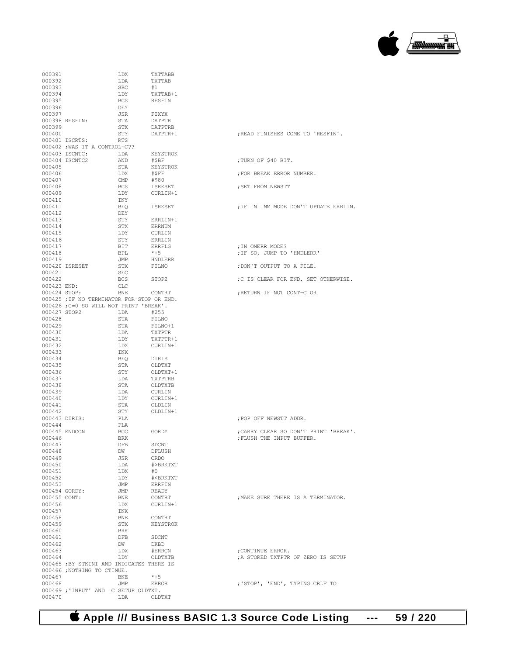

| 000391           |                                            | LDX        | TXTTABB                              |                                       |
|------------------|--------------------------------------------|------------|--------------------------------------|---------------------------------------|
| 000392           |                                            | LDA        | TXTTAB                               |                                       |
| 000393           |                                            | <b>SBC</b> | #1                                   |                                       |
| 000394           |                                            | LDY        | TXTTAB+1                             |                                       |
| 000395           |                                            | BCS        | RESFIN                               |                                       |
| 000396<br>000397 |                                            | DEY        |                                      |                                       |
|                  | 000398 RESFIN:                             | JSR<br>STA | FIXYX<br>DATPTR                      |                                       |
| 000399           |                                            | STX        | DATPTRB                              |                                       |
| 000400           |                                            | STY        | DATPTR+1                             | ; READ FINISHES COME TO 'RESFIN'.     |
|                  | 000401 ISCRTS:                             | RTS        |                                      |                                       |
|                  | 000402; WAS IT A CONTROL-C??               |            |                                      |                                       |
|                  | 000403 ISCNTC:                             | LDA        | KEYSTROK                             |                                       |
|                  | 000404 ISCNTC2                             | AND        | #\$BF                                | ; TURN OF \$40 BIT.                   |
| 000405           |                                            | STA        | KEYSTROK                             |                                       |
| 000406           |                                            | LDX        | #\$FF                                | ; FOR BREAK ERROR NUMBER.             |
| 000407           |                                            | CMP        | #\$80                                |                                       |
| 000408           |                                            | BCS        | ISRESET                              | ; SET FROM NEWSTT                     |
| 000409           |                                            | LDY        | CURLIN+1                             |                                       |
| 000410           |                                            | INY        |                                      |                                       |
| 000411           |                                            | BEQ        | ISRESET                              | ; IF IN IMM MODE DON'T UPDATE ERRLIN. |
| 000412           |                                            | DEY        |                                      |                                       |
| 000413           |                                            | STY        | ERRLIN+1                             |                                       |
| 000414           |                                            | STX        | ERRNUM                               |                                       |
| 000415           |                                            | LDY        | CURLIN                               |                                       |
| 000416           |                                            | STY        | ERRLIN                               |                                       |
| 000417           |                                            | BIT        | ERRFLG                               | ; IN ONERR MODE?                      |
| 000418           |                                            | BPL        | $*+5$                                | ; IF SO, JUMP TO 'HNDLERR'            |
| 000419           |                                            | JMP        | HNDLERR                              |                                       |
|                  | 000420 ISRESET                             | STX        | FILNO                                | ; DON'T OUTPUT TO A FILE.             |
| 000421           |                                            | SEC        |                                      |                                       |
| 000422           |                                            | BCS        | STOP2                                | ;C IS CLEAR FOR END, SET OTHERWISE.   |
| 000423 END:      |                                            | CLC        |                                      |                                       |
|                  | 000424 STOP:                               | BNE        | CONTRT                               | ; RETURN IF NOT CONT-C OR             |
|                  | 000425 ; IF NO TERMINATOR FOR STOP OR END. |            |                                      |                                       |
|                  | 000426 ; C=0 SO WILL NOT PRINT 'BREAK'.    |            |                                      |                                       |
| 000427 STOP2     |                                            | LDA        | #255                                 |                                       |
| 000428           |                                            | STA        | FILNO                                |                                       |
| 000429           |                                            | STA        | FILNO+1                              |                                       |
| 000430           |                                            | LDA        | TXTPTR                               |                                       |
| 000431           |                                            | LDY        | TXTPTR+1                             |                                       |
| 000432           |                                            | LDX        | CURLIN+1                             |                                       |
| 000433           |                                            | INX        |                                      |                                       |
| 000434           |                                            | BEQ        | DIRIS                                |                                       |
| 000435           |                                            | STA<br>STY | OLDTXT                               |                                       |
| 000436<br>000437 |                                            | LDA        | OLDTXT+1<br>TXTPTRB                  |                                       |
| 000438           |                                            | STA        | OLDTXTB                              |                                       |
| 000439           |                                            | LDA        | CURLIN                               |                                       |
| 000440           |                                            | LDY        | CURLIN+1                             |                                       |
| 000441           |                                            | STA        | OLDLIN                               |                                       |
| 000442           |                                            | STY        | OLDLIN+1                             |                                       |
|                  | 000443 DIRIS:                              | PLA        |                                      | ; POP OFF NEWSTT ADDR.                |
| 000444           |                                            | PLA        |                                      |                                       |
|                  | 000445 ENDCON                              | BCC        | GORDY                                | ; CARRY CLEAR SO DON'T PRINT 'BREAK', |
| 000446           |                                            | <b>BRK</b> |                                      | ; FLUSH THE INPUT BUFFER.             |
| 000447           |                                            | DFB        | SDCNT                                |                                       |
| 000448           |                                            | DW         | DFLUSH                               |                                       |
| 000449           |                                            | JSR        | CRDO                                 |                                       |
| 000450           |                                            | LDA        | #>BRKTXT                             |                                       |
| 000451           |                                            | LDX        | #0                                   |                                       |
| 000452           |                                            | LDY        | # <brktxt< td=""><td></td></brktxt<> |                                       |
| 000453           |                                            | JMP        | ERRFIN                               |                                       |
|                  | 000454 GORDY:                              | JMP        | READY                                |                                       |
|                  | 000455 CONT:                               | BNE        | CONTRT                               | ; MAKE SURE THERE IS A TERMINATOR.    |
| 000456           |                                            | LDX        | CURLIN+1                             |                                       |
| 000457           |                                            | INX        |                                      |                                       |
| 000458           |                                            | BNE        | CONTRT                               |                                       |
| 000459           |                                            | STX        | KEYSTROK                             |                                       |
| 000460           |                                            | BRK        |                                      |                                       |
| 000461           |                                            | DFB        | SDCNT                                |                                       |
| 000462           |                                            | DW         | DKBD                                 |                                       |
| 000463           |                                            | LDX        | #ERRCN                               | ; CONTINUE ERROR.                     |
| 000464           |                                            | LDY        | OLDTXTB                              | A STORED TXTPTR OF ZERO IS SETUP      |
|                  | 000465 ; BY STKINI AND INDICATES THERE IS  |            |                                      |                                       |
|                  | 000466 ;NOTHING TO CTINUE.                 |            |                                      |                                       |
| 000467           |                                            | BNE        | $*+5$                                |                                       |
| 000468           |                                            | JMP        | ERROR                                | ; 'STOP', 'END', TYPING CRLF TO       |
|                  | 000469; 'INPUT' AND C SETUP OLDTXT.        |            |                                      |                                       |
| 000470           |                                            | LDA        | OLDTXT                               |                                       |
|                  |                                            |            |                                      |                                       |

| ; READ FINISHES COME TO 'RESFIN'.                                  |
|--------------------------------------------------------------------|
| ; TURN OF \$40 BIT.                                                |
| ; FOR BREAK ERROR NUMBER.                                          |
| ; SET FROM NEWSTT                                                  |
| ; IF IN IMM MODE DON'T UPDATE ERRLIN.                              |
| ; IN ONERR MODE?<br>; IF SO, JUMP TO 'HNDLERR'                     |
| ; DON'T OUTPUT TO A FILE.                                          |
| ;C IS CLEAR FOR END, SET OTHERWISE.                                |
| ; RETURN IF NOT CONT-C OR                                          |
|                                                                    |
| ; POP OFF NEWSTT ADDR.                                             |
| ; CARRY CLEAR SO DON'T PRINT 'BREAK'.<br>; FLUSH THE INPUT BUFFER. |
| ; MAKE SURE THERE IS A TERMINATOR.                                 |
| ; CONTINUE ERROR.<br>A STORED TXTPTR OF ZERO IS SETUP              |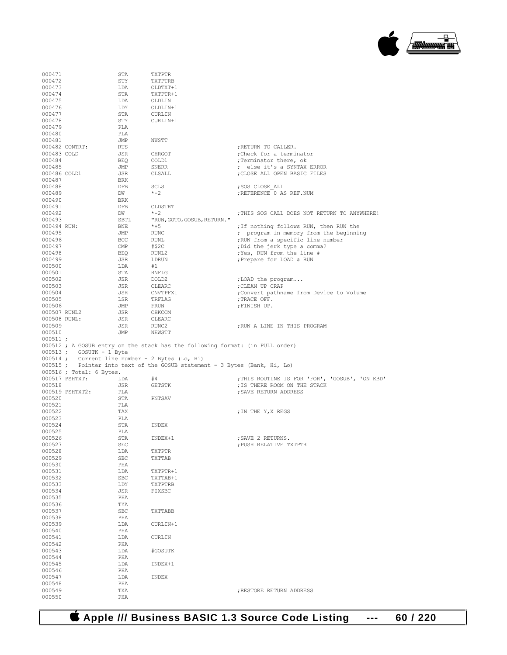

| 000471                     | STA        | TXTPTR                                                                                                                       |                                                       |
|----------------------------|------------|------------------------------------------------------------------------------------------------------------------------------|-------------------------------------------------------|
| 000472                     | STY        | TXTPTRB                                                                                                                      |                                                       |
| 000473                     | LDA        | OLDTXT+1                                                                                                                     |                                                       |
| 000474                     | STA        | TXTPTR+1                                                                                                                     |                                                       |
| 000475                     | LDA        | OLDLIN                                                                                                                       |                                                       |
| 000476                     | LDY        | OLDLIN+1                                                                                                                     |                                                       |
| 000477                     | STA        | CURLIN                                                                                                                       |                                                       |
| 000478                     | STY        | CURLIN+1                                                                                                                     |                                                       |
| 000479                     | PLA        |                                                                                                                              |                                                       |
| 000480                     | PLA        |                                                                                                                              |                                                       |
| 000481                     | JMP        | NWSTT                                                                                                                        |                                                       |
| 000482 CONTRT:             | RTS        |                                                                                                                              | ; RETURN TO CALLER.                                   |
| 000483 COLD                | JSR        | CHRGOT                                                                                                                       | ; Check for a terminator                              |
| 000484                     | BEQ        | COLD1                                                                                                                        | ; Terminator there, ok                                |
| 000485                     | JMP        | SNERR                                                                                                                        | ; else it's a SYNTAX ERROR                            |
| 000486 COLD1               | JSR        | CLSALL                                                                                                                       | ; CLOSE ALL OPEN BASIC FILES                          |
| 000487                     | BRK        |                                                                                                                              |                                                       |
| 000488                     | DFB        | <b>SCLS</b>                                                                                                                  | ; SOS CLOSE ALL                                       |
| 000489                     | DW         | $* - 2$                                                                                                                      | ; REFERENCE 0 AS REF.NUM                              |
|                            |            |                                                                                                                              |                                                       |
| 000490                     | BRK        |                                                                                                                              |                                                       |
| 000491                     | DFB        | CLDSTRT<br>$* - 2$                                                                                                           |                                                       |
| 000492                     | DW         |                                                                                                                              | ; THIS SOS CALL DOES NOT RETURN TO ANYWHERE!          |
| 000493                     | SBTL       | "RUN, GOTO, GOSUB, RETURN."                                                                                                  |                                                       |
| 000494 RUN:                | BNE        | $*+5$                                                                                                                        | ; If nothing follows RUN, then RUN the                |
| 000495                     | JMP        | <b>RUNC</b>                                                                                                                  | ; program in memory from the beginning                |
| 000496                     | BCC        | <b>RUNL</b>                                                                                                                  | ; RUN from a specific line number                     |
| 000497                     | CMP        | #\$2C                                                                                                                        | ; Did the jerk type a comma?                          |
| 000498                     | BEQ        | RUNL2                                                                                                                        | ; Yes, RUN from the line #                            |
| 000499                     | JSR        | LDRUN                                                                                                                        | ; Prepare for LOAD & RUN                              |
| 000500                     | LDA        | #1                                                                                                                           |                                                       |
| 000501                     | STA        | <b>RNFLG</b>                                                                                                                 |                                                       |
| 000502                     | JSR        | DOLD2                                                                                                                        | ; LOAD the program                                    |
| 000503                     | JSR        | CLEARC                                                                                                                       | ; CLEAN UP CRAP                                       |
| 000504                     | JSR        | CNVTPFX1                                                                                                                     | ; Convert pathname from Device to Volume              |
| 000505                     | LSR        | TRFLAG                                                                                                                       | ; TRACE OFF.                                          |
| 000506                     | JMP        | FRUN                                                                                                                         | ; FINISH UP.                                          |
| 000507 RUNL2               | JSR        | CHKCOM                                                                                                                       |                                                       |
| 000508 RUNL:               | JSR        | CLEARC                                                                                                                       |                                                       |
| 000509                     | JSR        | RUNC2                                                                                                                        | ; RUN A LINE IN THIS PROGRAM                          |
| 000510                     | JMP        | NEWSTT                                                                                                                       |                                                       |
|                            |            |                                                                                                                              |                                                       |
| 000511;                    |            |                                                                                                                              |                                                       |
|                            |            | 000512; A GOSUB entry on the stack has the following format: (in PULL order)                                                 |                                                       |
| $000513$ ; GOSUTK - 1 Byte |            |                                                                                                                              |                                                       |
|                            |            |                                                                                                                              |                                                       |
|                            |            | 000514 ; Current line number - 2 Bytes (Lo, Hi)<br>000515; Pointer into text of the GOSUB statement - 3 Bytes (Bank, Hi, Lo) |                                                       |
| 000516 ; Total: 6 Bytes.   |            |                                                                                                                              |                                                       |
| 000517 PSHTXT:             | LDA        | #4                                                                                                                           |                                                       |
| 000518                     | JSR        | <b>GETSTK</b>                                                                                                                | ; THIS ROUTINE IS FOR 'FOR', 'GOSUB', 'ON KBD'        |
| 000519 PSHTXT2:            | PLA        |                                                                                                                              | ; IS THERE ROOM ON THE STACK<br>; SAVE RETURN ADDRESS |
| 000520                     | STA        | PNTSAV                                                                                                                       |                                                       |
|                            |            |                                                                                                                              |                                                       |
| 000521                     | PLA        |                                                                                                                              |                                                       |
| 000522                     | TAX        |                                                                                                                              | ; IN THE Y, X REGS                                    |
| 000523                     | PLA        |                                                                                                                              |                                                       |
| 000524<br>000525           | STA<br>PLA | INDEX                                                                                                                        |                                                       |
|                            |            |                                                                                                                              |                                                       |
| 000526                     | STA<br>SEC | INDEX+1                                                                                                                      | ; SAVE 2 RETURNS.<br>; PUSH RELATIVE TXTPTR           |
| 000527<br>000528           | LDA        | TXTPTR                                                                                                                       |                                                       |
|                            |            | TXTTAB                                                                                                                       |                                                       |
| 000529                     | SBC        |                                                                                                                              |                                                       |
| 000530                     | PHA        |                                                                                                                              |                                                       |
| 000531                     | LDA        | TXTPTR+1                                                                                                                     |                                                       |
| 000532                     | SBC        | TXTTAB+1                                                                                                                     |                                                       |
| 000533                     | LDY        | TXTPTRB                                                                                                                      |                                                       |
| 000534                     | JSR        | FIXSBC                                                                                                                       |                                                       |
| 000535                     | PHA        |                                                                                                                              |                                                       |
| 000536                     | TYA        |                                                                                                                              |                                                       |
| 000537                     | SBC        | TXTTABB                                                                                                                      |                                                       |
| 000538                     | PHA        |                                                                                                                              |                                                       |
| 000539                     | LDA        | CURLIN+1                                                                                                                     |                                                       |
| 000540                     | PHA        |                                                                                                                              |                                                       |
| 000541                     | LDA        | CURLIN                                                                                                                       |                                                       |
| 000542                     | PHA        |                                                                                                                              |                                                       |
| 000543                     | LDA        | #GOSUTK                                                                                                                      |                                                       |
| 000544                     | PHA        |                                                                                                                              |                                                       |
| 000545                     | LDA        | INDEX+1                                                                                                                      |                                                       |
| 000546                     | PHA        |                                                                                                                              |                                                       |
| 000547                     | LDA        | INDEX                                                                                                                        |                                                       |
| 000548                     | PHA        |                                                                                                                              |                                                       |
| 000549<br>000550           | TXA<br>PHA |                                                                                                                              | ; RESTORE RETURN ADDRESS                              |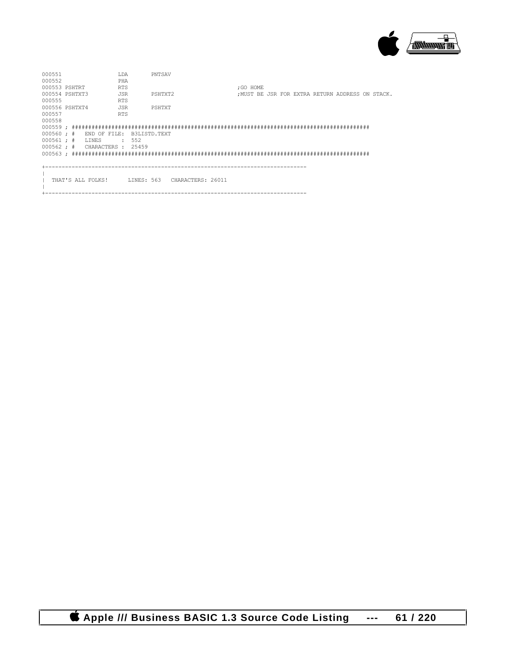

| 000551                                 |  |                                                | T.DA       | PNTSAV  |  |           |  |  |                                                  |  |
|----------------------------------------|--|------------------------------------------------|------------|---------|--|-----------|--|--|--------------------------------------------------|--|
| 000552                                 |  |                                                | PHA        |         |  |           |  |  |                                                  |  |
| 000553 PSHTRT                          |  |                                                | <b>RTS</b> |         |  | : GO HOME |  |  |                                                  |  |
| 000554 PSHTXT3                         |  |                                                | JSR        | PSHTXT2 |  |           |  |  | : MUST BE JSR FOR EXTRA RETURN ADDRESS ON STACK. |  |
| 000555                                 |  |                                                | <b>RTS</b> |         |  |           |  |  |                                                  |  |
| 000556 PSHTXT4                         |  |                                                | JSR        | PSHTXT  |  |           |  |  |                                                  |  |
| 000557                                 |  |                                                | <b>RTS</b> |         |  |           |  |  |                                                  |  |
| 000558                                 |  |                                                |            |         |  |           |  |  |                                                  |  |
|                                        |  |                                                |            |         |  |           |  |  |                                                  |  |
| $000560$ ; # END OF FILE: B3LISTD.TEXT |  |                                                |            |         |  |           |  |  |                                                  |  |
| $000561 : #$ LINES                     |  |                                                | .552       |         |  |           |  |  |                                                  |  |
| 000562 ; # CHARACTERS : 25459          |  |                                                |            |         |  |           |  |  |                                                  |  |
|                                        |  |                                                |            |         |  |           |  |  |                                                  |  |
|                                        |  |                                                |            |         |  |           |  |  |                                                  |  |
|                                        |  |                                                |            |         |  |           |  |  |                                                  |  |
|                                        |  |                                                |            |         |  |           |  |  |                                                  |  |
|                                        |  | THAT'S ALL FOLKS! LINES: 563 CHARACTERS: 26011 |            |         |  |           |  |  |                                                  |  |
|                                        |  |                                                |            |         |  |           |  |  |                                                  |  |
|                                        |  |                                                |            |         |  |           |  |  |                                                  |  |

 **Apple /// Business BASIC 1.3 Source Code Listing --- 61 / 220**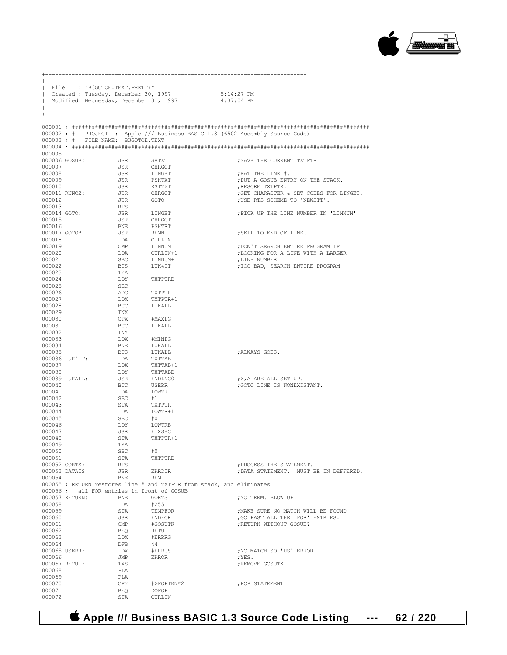

|                                | File : "B3GOTOE.TEXT.PRETTY"             |                                                                                                        |                                                                    |
|--------------------------------|------------------------------------------|--------------------------------------------------------------------------------------------------------|--------------------------------------------------------------------|
|                                |                                          | Created : Tuesday, December 30, 1997 5:14:27 PM<br>  Modified: Wednesday, December 31, 1997 4:37:04 PM |                                                                    |
|                                |                                          |                                                                                                        |                                                                    |
|                                |                                          |                                                                                                        |                                                                    |
|                                |                                          |                                                                                                        |                                                                    |
|                                |                                          | 000002; # PROJECT : Apple /// Business BASIC 1.3 (6502 Assembly Source Code)                           |                                                                    |
|                                | 000003; # FILE NAME: B3GOTOE.TEXT        |                                                                                                        |                                                                    |
| 000005                         |                                          |                                                                                                        |                                                                    |
| 000006 GOSUB:                  | JSR                                      | SVTXT                                                                                                  | ; SAVE THE CURRENT TXTPTR                                          |
| 000007                         | JSR                                      | CHRGOT                                                                                                 |                                                                    |
| 000008                         | <b>JSR</b>                               | LINGET                                                                                                 | ; EAT THE LINE #.                                                  |
| 000009<br>000010               | <b>JSR</b><br>JSR                        | PSHTXT<br>RSTTXT                                                                                       | ; PUT A GOSUB ENTRY ON THE STACK.<br>ERESORE TXTPTR.               |
|                                | 000011 RUNC2: JSR                        | CHRGOT                                                                                                 | ; GET CHARACTER & SET CODES FOR LINGET.                            |
| 000012                         | JSR                                      | GOTO                                                                                                   | ; USE RTS SCHEME TO 'NEWSTT'.                                      |
| 000013<br>000014 GOTO:         | RTS<br>JSR                               | LINGET                                                                                                 | ; PICK UP THE LINE NUMBER IN 'LINNUM'.                             |
| 000015                         | JSR                                      | CHRGOT                                                                                                 |                                                                    |
| 000016                         | BNE                                      | PSHTRT                                                                                                 |                                                                    |
| 000017 GOTOB                   | JSR                                      | REMN                                                                                                   | ; SKIP TO END OF LINE.                                             |
| 000018<br>000019               | LDA<br>$\text{CMP}$                      | CURLIN<br>LINNUM                                                                                       | ; DON'T SEARCH ENTIRE PROGRAM IF                                   |
| 000020                         | LDA                                      | $CURLIN+1$                                                                                             | ; LOOKING FOR A LINE WITH A LARGER                                 |
| 000021                         | SBC                                      | LINNUM+1                                                                                               | ;LINE NUMBER                                                       |
| 000022<br>000023               | BCS<br>TYA                               | LUK4IT                                                                                                 | ; TOO BAD, SEARCH ENTIRE PROGRAM                                   |
| 000024                         | LDY                                      | TXTPTRB                                                                                                |                                                                    |
| 000025                         | SEC                                      |                                                                                                        |                                                                    |
| 000026<br>000027               | ADC<br>LDX                               | TXTPTR                                                                                                 |                                                                    |
| 000028                         | BCC                                      | TXTPTR+1<br>LUKALL                                                                                     |                                                                    |
| 000029                         | INX                                      |                                                                                                        |                                                                    |
| 000030                         | CPX                                      | #MAXPG                                                                                                 |                                                                    |
| 000031<br>000032               | BCC<br>INY                               | LUKALL                                                                                                 |                                                                    |
| 000033                         | LDX                                      | #MINPG                                                                                                 |                                                                    |
| 000034                         | BNE                                      | LUKALL                                                                                                 |                                                                    |
| 000035<br>000036 LUK4IT:       | BCS<br>LDA                               | LUKALL<br>TXTTAB                                                                                       | ; ALWAYS GOES.                                                     |
| 000037                         | LDX                                      | TXTTAB+1                                                                                               |                                                                    |
| 000038                         | LDY                                      | TXTTABB                                                                                                |                                                                    |
| 000039 LUKALL:<br>000040       | JSR<br>BCC                               | FNDLNC0<br>USERR                                                                                       | X, A ARE ALL SET UP.<br>; GOTO LINE IS NONEXISTANT.                |
| 000041                         | LDA                                      | LOWTR                                                                                                  |                                                                    |
| 000042                         | SBC                                      | #1                                                                                                     |                                                                    |
| 000043                         | STA                                      | TXTPTR                                                                                                 |                                                                    |
| 000044<br>000045               | LDA<br>SBC                               | LOWTR+1<br>#0                                                                                          |                                                                    |
| 000046                         | LDY                                      | LOWTRB                                                                                                 |                                                                    |
| 000047                         | JSR                                      | FIXSBC                                                                                                 |                                                                    |
| 000048<br>000049               | STA<br>TYA                               | TXTPTR+1                                                                                               |                                                                    |
| 000050                         | SBC                                      | #0                                                                                                     |                                                                    |
| 000051                         | STA                                      | TXTPTRB                                                                                                |                                                                    |
| 000052 GORTS:<br>000053 DATAIS | RTS<br>JSR                               | ERRDIR                                                                                                 | ; PROCESS THE STATEMENT.<br>; DATA STATEMENT. MUST BE IN DEFFERED. |
| 000054                         | BNE                                      | REM                                                                                                    |                                                                    |
|                                |                                          | 000055; RETURN restores line # and TXTPTR from stack, and eliminates                                   |                                                                    |
| $000056$ ;<br>000057 RETURN:   | all FOR entries in front of GOSUB<br>BNE | GORTS                                                                                                  | ; NO TERM. BLOW UP.                                                |
| 000058                         | LDA                                      | #255                                                                                                   |                                                                    |
| 000059                         | STA                                      | TEMPFOR                                                                                                | ; MAKE SURE NO MATCH WILL BE FOUND                                 |
| 000060                         | JSR                                      | FNDFOR                                                                                                 | ; GO PAST ALL THE 'FOR' ENTRIES.                                   |
| 000061<br>000062               | CMP<br>BEQ                               | #GOSUTK<br>RETU1                                                                                       | ; RETURN WITHOUT GOSUB?                                            |
| 000063                         | LDX                                      | #ERRRG                                                                                                 |                                                                    |
| 000064                         | DFB                                      | 44                                                                                                     |                                                                    |
| 000065 USERR:<br>000066        | LDX<br>JMP                               | #ERRUS<br>ERROR                                                                                        | ; NO MATCH SO 'US' ERROR.<br>; YES.                                |
| 000067 RETU1:                  | TXS                                      |                                                                                                        | ; REMOVE GOSUTK.                                                   |
| 000068                         | PLA                                      |                                                                                                        |                                                                    |
| 000069<br>000070               | PLA<br>CPY                               | #>POPTKN*2                                                                                             | ; POP STATEMENT                                                    |
| 000071                         | BEQ                                      | DOPOP                                                                                                  |                                                                    |
| 000072                         | STA                                      | CURLIN                                                                                                 |                                                                    |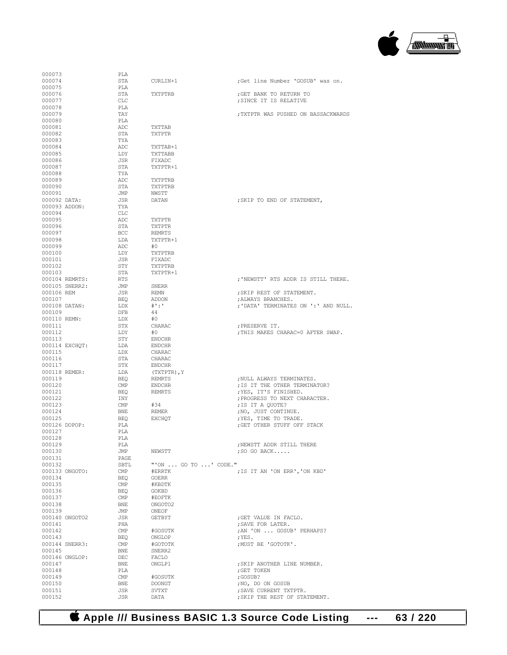

| 000073           |                | PLA          |                      |                                      |
|------------------|----------------|--------------|----------------------|--------------------------------------|
| 000074           |                | STA          | CURLIN+1             | Get line Number 'GOSUB' was on.      |
| 000075           |                | PLA          |                      |                                      |
| 000076           |                | STA          | TXTPTRB              | ; GET BANK TO RETURN TO              |
| 000077           |                | $_{\rm CLC}$ |                      | ; SINCE IT IS RELATIVE               |
| 000078           |                | PLA          |                      |                                      |
| 000079           |                | TAY          |                      | : TXTPTR WAS PUSHED ON BASSACKWARDS  |
| 000080           |                | PLA          |                      |                                      |
| 000081           |                | ADC          | TXTTAB               |                                      |
| 000082           |                | STA          | TXTPTR               |                                      |
| 000083           |                | TYA          |                      |                                      |
|                  |                | ADC          |                      |                                      |
| 000084           |                | LDY          | TXTTAB+1             |                                      |
| 000085<br>000086 |                |              | TXTTABB              |                                      |
|                  |                | JSR          | FIXADC               |                                      |
| 000087           |                | STA          | TXTPTR+1             |                                      |
| 000088           |                | TYA          |                      |                                      |
| 000089           |                | ADC          | TXTPTRB              |                                      |
| 000090           |                | STA          | TXTPTRB              |                                      |
| 000091           |                | JMP          | NWSTT                |                                      |
|                  | 000092 DATA:   | JSR          | DATAN                | ; SKIP TO END OF STATEMENT,          |
|                  | 000093 ADDON:  | TYA          |                      |                                      |
| 000094           |                | CLC          |                      |                                      |
| 000095           |                | ADC          | TXTPTR               |                                      |
| 000096           |                | STA          | TXTPTR               |                                      |
| 000097           |                | BCC          | <b>REMRTS</b>        |                                      |
| 000098           |                | LDA          | TXTPTR+1             |                                      |
| 000099           |                | ADC          | #0                   |                                      |
| 000100           |                | LDY          | TXTPTRB              |                                      |
| 000101           |                | JSR          | FIXADC               |                                      |
| 000102           |                | STY          | TXTPTRB              |                                      |
| 000103           |                | STA          | TXTPTR+1             |                                      |
|                  | 000104 REMRTS: | RTS          |                      | ; 'NEWSTT' RTS ADDR IS STILL THERE.  |
|                  | 000105 SNERR2: | JMP          | <b>SNERR</b>         |                                      |
| 000106 REM       |                | JSR          | <b>REMN</b>          | ; SKIP REST OF STATEMENT.            |
| 000107           |                | <b>BEO</b>   | ADDON                | ; ALWAYS BRANCHES.                   |
|                  | 000108 DATAN:  | LDX          | $\#$ ' : '           | ; 'DATA' TERMINATES ON ':' AND NULL. |
| 000109           |                | <b>DFB</b>   | 44                   |                                      |
|                  | 000110 REMN:   | LDX          | #0                   |                                      |
| 000111           |                | STX          | CHARAC               | ; PRESERVE IT.                       |
| 000112           |                | LDY          | #0                   | ; THIS MAKES CHARAC=0 AFTER SWAP.    |
| 000113           |                | STY          | <b>ENDCHR</b>        |                                      |
|                  | 000114 EXCHQT: | LDA          | <b>ENDCHR</b>        |                                      |
| 000115           |                | LDX          | CHARAC               |                                      |
| 000116           |                | STA          | CHARAC               |                                      |
| 000117           |                | STX          | <b>ENDCHR</b>        |                                      |
|                  | 000118 REMER:  | LDA          | (TXTPTR), Y          |                                      |
| 000119           |                | <b>BEO</b>   | <b>REMRTS</b>        | ; NULL ALWAYS TERMINATES.            |
| 000120           |                | $\text{CMP}$ | <b>ENDCHR</b>        |                                      |
| 000121           |                |              |                      | ; IS IT THE OTHER TERMINATOR?        |
|                  |                | <b>BEQ</b>   | <b>REMRTS</b>        | ; YES, IT'S FINISHED.                |
| 000122           |                | INY          |                      | ; PROGRESS TO NEXT CHARACTER.        |
| 000123           |                | CMP          | #34                  | ; IS IT A OUOTE?                     |
| 000124           |                | BNE          | <b>REMER</b>         | ; NO, JUST CONTINUE.                 |
| 000125           |                | <b>BEO</b>   | <b>EXCHOT</b>        | ; YES, TIME TO TRADE.                |
|                  | 000126 DOPOP:  | PLA          |                      | ; GET OTHER STUFF OFF STACK          |
| 000127           |                | PLA          |                      |                                      |
| 000128           |                | PLA          |                      |                                      |
| 000129           |                | PLA          |                      | ; NEWSTT ADDR STILL THERE            |
| 000130           |                | JMP          | NEWSTT               | $;$ SO GO BACK                       |
| 000131           |                | PAGE         |                      |                                      |
| 000132           |                | SBTL         | "'ON  GO TO ' CODE." |                                      |
|                  | 000133 ONGOTO: | CMP          | #ERRTK               | ; IS IT AN 'ON ERR', 'ON KBD'        |
| 000134           |                | BEO          | GOERR                |                                      |
| 000135           |                | $\text{CMP}$ | #KBDTK               |                                      |
| 000136           |                | BEQ          | GOKBD                |                                      |
| 000137           |                | $\text{CMP}$ | #EOFTK               |                                      |
| 000138           |                | BNE          | ONGOTO2              |                                      |
| 000139           |                | JMP          | ONEOF                |                                      |
|                  | 000140 ONGOTO2 | JSR          | GETBYT               | ; GET VALUE IN FACLO.                |
| 000141           |                | PHA          |                      | : SAVE FOR LATER.                    |
| 000142           |                | $\text{CMP}$ | #GOSUTK              | ; AN 'ON  GOSUB' PERHAPS?            |
|                  |                | <b>BEO</b>   | ONGLOP               | ; YES.                               |
| 000143           |                |              | #GOTOTK              | ; MUST BE 'GOTOTK'.                  |
|                  | 000144 SNERR3: | $\text{CMP}$ |                      |                                      |
| 000145           |                | BNE          | SNERR2               |                                      |
|                  | 000146 ONGLOP: | DEC          | FACLO                |                                      |
| 000147           |                | BNE          | ONGLP1               | ; SKIP ANOTHER LINE NUMBER.          |
| 000148           |                | PLA          |                      | ; GET TOKEN                          |
| 000149           |                | $\text{CMP}$ | #GOSUTK              | ;GOSUB?                              |
| 000150           |                | BNE          | <b>DOONGT</b>        | ; NO, DO ON GOSUB                    |
| 000151           |                | JSR          | SVTXT                | ; SAVE CURRENT TXTPTR.               |
| 000152           |                | JSR          | DATA                 | ; SKIP THE REST OF STATEMENT.        |

 **Apple /// Business BASIC 1.3 Source Code Listing --- 63 / 220**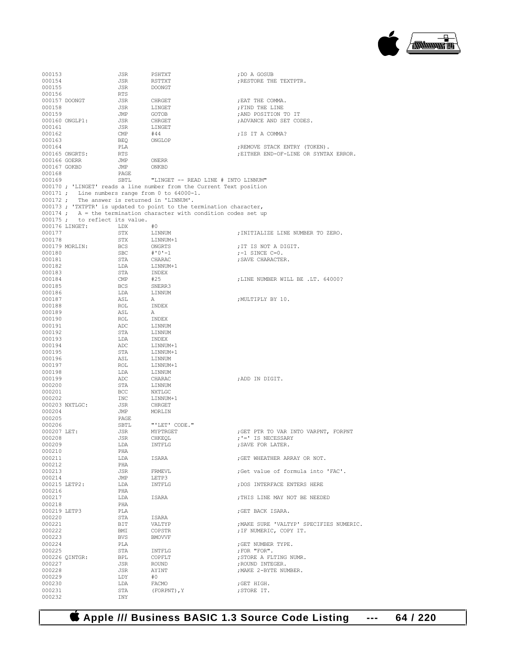

| 000153        |                                                  | JSR        | PSHTXT                                                               | ; DO A GOSUB                            |
|---------------|--------------------------------------------------|------------|----------------------------------------------------------------------|-----------------------------------------|
| 000154        |                                                  | JSR        | RSTTXT                                                               | ; RESTORE THE TEXTPTR.                  |
| 000155        |                                                  | JSR        | <b>DOONGT</b>                                                        |                                         |
| 000156        |                                                  | RTS        |                                                                      |                                         |
| 000157 DOONGT |                                                  | JSR        | CHRGET                                                               | ; EAT THE COMMA.                        |
| 000158        |                                                  | JSR        | LINGET                                                               | ; FIND THE LINE                         |
| 000159        |                                                  |            |                                                                      |                                         |
|               |                                                  | JMP        | GOTOB                                                                | ;AND POSITION TO IT                     |
|               | 000160 ONGLP1:                                   | JSR        | CHRGET                                                               | ; ADVANCE AND SET CODES.                |
| 000161        |                                                  | JSR        | LINGET                                                               |                                         |
| 000162        |                                                  | CMP        | #44                                                                  | ; IS IT A COMMA?                        |
| 000163        |                                                  | BEQ        | ONGLOP                                                               |                                         |
| 000164        |                                                  | PLA        |                                                                      | ; REMOVE STACK ENTRY (TOKEN).           |
|               | 000165 ONGRTS:                                   | RTS        |                                                                      | ; EITHER END-OF-LINE OR SYNTAX ERROR.   |
| 000166 GOERR  |                                                  | JMP        | ONERR                                                                |                                         |
| 000167 GOKBD  |                                                  | JMP        | ONKBD                                                                |                                         |
| 000168        |                                                  | PAGE       |                                                                      |                                         |
| 000169        |                                                  | SBTL       | "LINGET -- READ LINE # INTO LINNUM"                                  |                                         |
|               |                                                  |            | 000170 ; 'LINGET' reads a line number from the Current Text position |                                         |
|               | $000171$ ; Line numbers range from 0 to 64000-1. |            |                                                                      |                                         |
|               | 000172; The answer is returned in 'LINNUM'.      |            |                                                                      |                                         |
|               |                                                  |            | 000173; 'TXTPTR' is updated to point to the termination character,   |                                         |
|               |                                                  |            | $000174$ ; A = the termination character with condition codes set up |                                         |
|               | 000175; to reflect its value.                    |            |                                                                      |                                         |
|               | 000176 LINGET:                                   | LDX        | #0                                                                   |                                         |
| 000177        |                                                  | STX        | LINNUM                                                               | ; INITIALIZE LINE NUMBER TO ZERO.       |
| 000178        |                                                  | STX        | LINNUM+1                                                             |                                         |
|               | 000179 MORLIN:                                   | <b>BCS</b> | ONGRTS                                                               | ; IT IS NOT A DIGIT.                    |
| 000180        |                                                  | SBC        | #'0'-1                                                               | $; -1$ SINCE C=0.                       |
| 000181        |                                                  |            |                                                                      |                                         |
|               |                                                  | STA        | CHARAC                                                               | ; SAVE CHARACTER.                       |
| 000182        |                                                  | LDA        | LINNUM+1                                                             |                                         |
| 000183        |                                                  | STA        | INDEX                                                                |                                         |
| 000184        |                                                  | CMP        | #25                                                                  | ; LINE NUMBER WILL BE .LT. 64000?       |
| 000185        |                                                  | <b>BCS</b> | SNERR3                                                               |                                         |
| 000186        |                                                  | LDA        | LINNUM                                                               |                                         |
| 000187        |                                                  | ASL        | A                                                                    | ; MULTIPLY BY 10.                       |
| 000188        |                                                  | ROL        | INDEX                                                                |                                         |
| 000189        |                                                  | ASL        | A                                                                    |                                         |
| 000190        |                                                  | ROL        | INDEX                                                                |                                         |
| 000191        |                                                  | ADC        | LINNUM                                                               |                                         |
| 000192        |                                                  | STA        | LINNUM                                                               |                                         |
| 000193        |                                                  | LDA        | INDEX                                                                |                                         |
| 000194        |                                                  | ADC        | LINNUM+1                                                             |                                         |
| 000195        |                                                  | STA        | LINNUM+1                                                             |                                         |
| 000196        |                                                  | ASL        | LINNUM                                                               |                                         |
| 000197        |                                                  | ROL        | LINNUM+1                                                             |                                         |
| 000198        |                                                  | LDA        | LINNUM                                                               |                                         |
| 000199        |                                                  | ADC        | CHARAC                                                               | ; ADD IN DIGIT.                         |
| 000200        |                                                  | STA        | LINNUM                                                               |                                         |
| 000201        |                                                  | BCC        | NXTLGC                                                               |                                         |
| 000202        |                                                  | INC        | LINNUM+1                                                             |                                         |
|               | 000203 NXTLGC:                                   |            | CHRGET                                                               |                                         |
| 000204        |                                                  | JSR<br>JMP | MORLIN                                                               |                                         |
|               |                                                  |            |                                                                      |                                         |
| 000205        |                                                  | PAGE       |                                                                      |                                         |
| 000206        |                                                  | SBTL       | "'LET' CODE."                                                        |                                         |
| 000207 LET:   |                                                  | JSR        | MYPTRGET                                                             | ;GET PTR TO VAR INTO VARPNT, FORPNT     |
| 000208        |                                                  | <b>JSR</b> | CHKEOL                                                               | ; '=' IS NECESSARY                      |
| 000209        |                                                  | LDA        | INTFLG                                                               | ; SAVE FOR LATER.                       |
| 000210        |                                                  | PHA        |                                                                      |                                         |
| 000211        |                                                  | LDA        | ISARA                                                                | : GET WHEATHER ARRAY OR NOT.            |
| 000212        |                                                  | PHA        |                                                                      |                                         |
| 000213        |                                                  | JSR        | FRMEVL                                                               | Get value of formula into 'FAC'.        |
| 000214        |                                                  | JMP        | LETP3                                                                |                                         |
| 000215 LETP2: |                                                  | LDA        | INTFLG                                                               | ; DOS INTERFACE ENTERS HERE             |
| 000216        |                                                  | PHA        |                                                                      |                                         |
| 000217        |                                                  | LDA        | ISARA                                                                | ; THIS LINE MAY NOT BE NEEDED           |
| 000218        |                                                  | PHA        |                                                                      |                                         |
| 000219 LETP3  |                                                  | PLA        |                                                                      | ;GET BACK ISARA.                        |
| 000220        |                                                  | STA        | ISARA                                                                |                                         |
| 000221        |                                                  | BIT        | VALTYP                                                               | ; MAKE SURE 'VALTYP' SPECIFIES NUMERIC. |
| 000222        |                                                  | BMI        | COPSTR                                                               | ; IF NUMERIC, COPY IT.                  |
| 000223        |                                                  | BVS        | <b>BMOVVF</b>                                                        |                                         |
| 000224        |                                                  | PLA        |                                                                      | ; GET NUMBER TYPE.                      |
| 000225        |                                                  | STA        | INTFLG                                                               | ; FOR "FOR".                            |
|               | 000226 QINTGR:                                   | BPL        | COPFLT                                                               | ; STORE A FLTING NUMR.                  |
| 000227        |                                                  | JSR        |                                                                      |                                         |
|               |                                                  |            | ROUND                                                                | ; ROUND INTEGER.                        |
| 000228        |                                                  | JSR        | AYINT                                                                | ; MAKE 2-BYTE NUMBER.                   |
| 000229        |                                                  | LDY        | #0                                                                   |                                         |
| 000230        |                                                  | LDA        | FACMO                                                                | ;GET HIGH.                              |
| 000231        |                                                  | STA        | (FORPNT), Y                                                          | ; STORE IT.                             |
| 000232        |                                                  | INY        |                                                                      |                                         |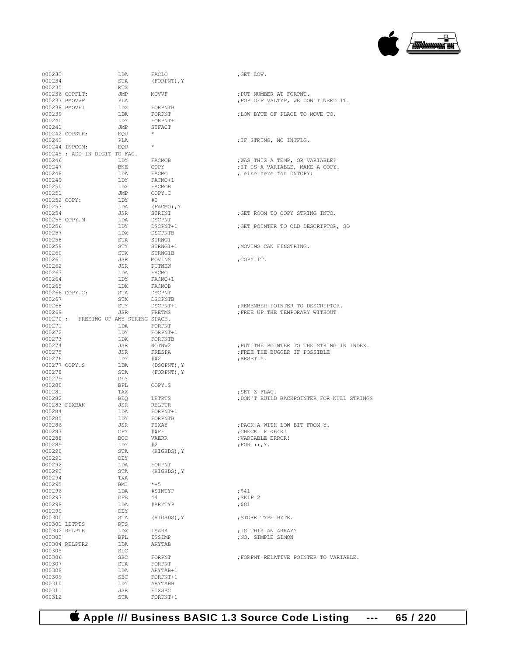

| 000233           |                                      | LDA        | FACLO              | ;GET LOW.                                  |
|------------------|--------------------------------------|------------|--------------------|--------------------------------------------|
| 000234           |                                      | STA        | (FORPNT), Y        |                                            |
|                  |                                      |            |                    |                                            |
| 000235           |                                      | RTS        |                    |                                            |
|                  | 000236 COPFLT:                       | JMP        | MOVVF              | ; PUT NUMBER AT FORPNT.                    |
|                  | 000237 BMOVVF                        | PLA        |                    | ; POP OFF VALTYP, WE DON'T NEED IT.        |
|                  | 000238 BMOVF1                        | LDX        | FORPNTB            |                                            |
| 000239           |                                      | LDA        | FORPNT             | ; LOW BYTE OF PLACE TO MOVE TO.            |
| 000240           |                                      | LDY        | FORPNT+1           |                                            |
|                  |                                      |            |                    |                                            |
| 000241           |                                      | JMP        | STFACT             |                                            |
|                  | 000242 COPSTR:                       | EOU        | $\star$            |                                            |
| 000243           |                                      | PLA        |                    | ; IF STRING, NO INTFLG.                    |
|                  | 000244 INPCOM:                       | EOU        | $\star$            |                                            |
|                  |                                      |            |                    |                                            |
|                  | 000245 ; ADD IN DIGIT TO FAC.        |            |                    |                                            |
| 000246           |                                      | LDY        | FACMOB             | ; WAS THIS A TEMP, OR VARIABLE?            |
| 000247           |                                      | BNE        | COPY               | ; IT IS A VARIABLE, MAKE A COPY.           |
| 000248           |                                      | LDA        | FACMO              | ; else here for DNTCPY:                    |
| 000249           |                                      | LDY        | FACMO+1            |                                            |
| 000250           |                                      | LDX        | FACMOB             |                                            |
|                  |                                      |            |                    |                                            |
| 000251           |                                      | JMP        | COPY.C             |                                            |
| 000252 COPY:     |                                      | LDY        | #0                 |                                            |
| 000253           |                                      | LDA        | (FACMO), Y         |                                            |
| 000254           |                                      | JSR        | STRINI             | GET ROOM TO COPY STRING INTO.              |
|                  | 000255 COPY.M                        | LDA        | DSCPNT             |                                            |
| 000256           |                                      | LDY        | DSCPNT+1           | ; GET POINTER TO OLD DESCRIPTOR, SO        |
|                  |                                      |            |                    |                                            |
| 000257           |                                      | LDX        | <b>DSCPNTB</b>     |                                            |
| 000258           |                                      | STA        | STRNG1             |                                            |
| 000259           |                                      | STY        | STRNG1+1           | ; MOVINS CAN FINSTRING.                    |
| 000260           |                                      | STX        | STRNG1B            |                                            |
| 000261           |                                      | JSR        | MOVINS             | ;COPY IT.                                  |
|                  |                                      |            |                    |                                            |
| 000262           |                                      | JSR        | PUTNEW             |                                            |
| 000263           |                                      | LDA        | FACMO              |                                            |
| 000264           |                                      | LDY        | FACMO+1            |                                            |
| 000265           |                                      | LDX        | FACMOB             |                                            |
|                  | 000266 COPY.C:                       | STA        | DSCPNT             |                                            |
|                  |                                      |            |                    |                                            |
| 000267           |                                      | STX        | DSCPNTB            |                                            |
| 000268           |                                      | STY        | DSCPNT+1           | ; REMEMBER POINTER TO DESCRIPTOR.          |
| 000269           |                                      | JSR        | FRETMS             | ; FREE UP THE TEMPORARY WITHOUT            |
|                  | 000270; FREEING UP ANY STRING SPACE. |            |                    |                                            |
| 000271           |                                      | LDA        | FORPNT             |                                            |
| 000272           |                                      | LDY        | FORPNT+1           |                                            |
|                  |                                      |            |                    |                                            |
|                  |                                      |            |                    |                                            |
| 000273           |                                      | LDX        | FORPNTB            |                                            |
| 000274           |                                      | JSR        | NOTNW2             | ; PUT THE POINTER TO THE STRING IN INDEX.  |
| 000275           |                                      | JSR        | FRESPA             | ; FREE THE BUGGER IF POSSIBLE              |
|                  |                                      |            |                    |                                            |
| 000276           |                                      | LDY        | #\$2               | ; RESET Y.                                 |
| 000277 COPY.S    |                                      | LDA        | (DSCPNT), Y        |                                            |
| 000278           |                                      | STA        | (FORPNT), Y        |                                            |
| 000279           |                                      | DEY        |                    |                                            |
| 000280           |                                      | BPL        | COPY.S             |                                            |
| 000281           |                                      | TAX        |                    | ;SET Z FLAG.                               |
|                  |                                      |            |                    |                                            |
| 000282           |                                      | BEQ        | LETRTS             | ; DON'T BUILD BACKPOINTER FOR NULL STRINGS |
|                  | 000283 FIXBAK                        | JSR        | RELPTR             |                                            |
| 000284           |                                      | LDA        | FORPNT+1           |                                            |
| 000285           |                                      | LDY        | FORPNTB            |                                            |
| 000286           |                                      | JSR        | FIXAY              | ; PACK A WITH LOW BIT FROM Y.              |
| 000287           |                                      | CPY        | #\$FF              | : CHECK IF <64K!                           |
|                  |                                      |            |                    |                                            |
| 000288           |                                      | <b>BCC</b> | <b>VAERR</b>       | ; VARIABLE ERROR!                          |
| 000289           |                                      | LDY        | #2                 | ; FOR $()$ , $Y$ .                         |
| 000290           |                                      | STA        | (HIGHDS), Y        |                                            |
| 000291           |                                      | DEY        |                    |                                            |
| 000292           |                                      | LDA        | FORPNT             |                                            |
|                  |                                      | STA        |                    |                                            |
| 000293           |                                      |            | (HIGHDS), Y        |                                            |
| 000294           |                                      | TXA        |                    |                                            |
| 000295           |                                      | BMI        | $*+5$              |                                            |
| 000296           |                                      | LDA        | #SIMTYP            | $;$ \$41                                   |
| 000297           |                                      | DFB        | 44                 | ; SKIP 2                                   |
| 000298           |                                      | LDA        | #ARYTYP            | ;\$81                                      |
| 000299           |                                      | DEY        |                    |                                            |
|                  |                                      |            |                    |                                            |
| 000300           |                                      | STA        | (HIGHDS), Y        | ; STORE TYPE BYTE.                         |
| 000301 LETRTS    |                                      | RTS        |                    |                                            |
|                  | 000302 RELPTR                        | LDX        | ISARA              | ; IS THIS AN ARRAY?                        |
| 000303           |                                      | BPL        | ISSIMP             | ; NO, SIMPLE SIMON                         |
|                  | 000304 RELPTR2                       | LDA        | ARYTAB             |                                            |
|                  |                                      |            |                    |                                            |
| 000305           |                                      | SEC        |                    |                                            |
| 000306           |                                      | <b>SBC</b> | FORPNT             | ; FORPNT=RELATIVE POINTER TO VARIABLE.     |
| 000307           |                                      | STA        | FORPNT             |                                            |
| 000308           |                                      | LDA        | ARYTAB+1           |                                            |
| 000309           |                                      | <b>SBC</b> | FORPNT+1           |                                            |
|                  |                                      | LDY        | ARYTABB            |                                            |
| 000310           |                                      |            |                    |                                            |
| 000311<br>000312 |                                      | JSR<br>STA | FIXSBC<br>FORPNT+1 |                                            |

| ; PUT NUMBER AT FORPNT.<br>; POP OFF VALTYP, WE DON'T NEED IT.                                 |
|------------------------------------------------------------------------------------------------|
| ; LOW BYTE OF PLACE TO MOVE TO.                                                                |
| ; IF STRING, NO INTFLG.                                                                        |
| ; WAS THIS A TEMP, OR VARIABLE?<br>; IT IS A VARIABLE, MAKE A COPY.<br>; else here for DNTCPY: |
| ; GET ROOM TO COPY STRING INTO.                                                                |
| ; GET POINTER TO OLD DESCRIPTOR, SO                                                            |
| ; MOVINS CAN FINSTRING.                                                                        |
| ;COPY IT.                                                                                      |
|                                                                                                |
| ; REMEMBER POINTER TO DESCRIPTOR.<br>; FREE UP THE TEMPORARY WITHOUT                           |
| ; PUT THE POINTER TO THE STRING IN INDEX<br>FREE THE BUGGER IF POSSIBLE<br>; RESET Y.          |
| ; SET Z FLAG.<br>; DON'T BUILD BACKPOINTER FOR NULL STRIN                                      |
| ; PACK A WITH LOW BIT FROM Y.<br>; CHECK IF <64K!<br>; VARIABLE ERROR!<br>; FOR $()$ , $Y$ .   |
|                                                                                                |
| : 541<br>; SKIP 2<br>$;$ $$81$                                                                 |
| ; STORE TYPE BYTE.                                                                             |
| ; IS THIS AN ARRAY?<br>; NO, SIMPLE SIMON                                                      |
| ; FORPNT=RELATIVE POINTER TO VARIABLE.                                                         |
|                                                                                                |

 **Apple /// Business BASIC 1.3 Source Code Listing --- 65 / 220**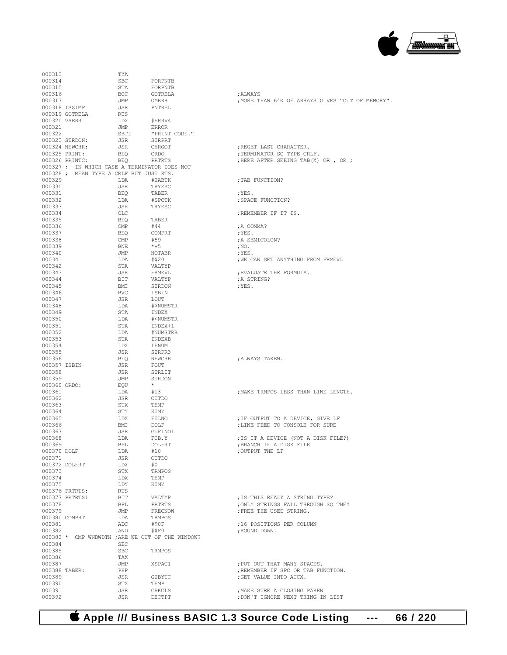## **Apple /// Business BASIC 1.3 Source Code Listing --- 66 / 220**

| 000313       |                                                  | TYA        |                                      |                                                  |
|--------------|--------------------------------------------------|------------|--------------------------------------|--------------------------------------------------|
| 000314       |                                                  | SBC        | FORPNTB                              |                                                  |
| 000315       |                                                  | STA        | FORPNTB                              |                                                  |
| 000316       |                                                  | BCC        | GOTRELA                              | ; ALWAYS                                         |
| 000317       |                                                  | JMP        | OMERR                                | ; MORE THAN 64K OF ARRAYS GIVES "OUT OF MEMORY". |
|              | 000318 ISSIMP                                    | JSR        | PNTREL                               |                                                  |
|              | 000319 GOTRELA                                   | RTS        |                                      |                                                  |
| 000320 VAERR |                                                  | LDX        | #ERRVA                               |                                                  |
| 000321       |                                                  | JMP        | ERROR                                |                                                  |
| 000322       |                                                  | SBTL       |                                      |                                                  |
|              |                                                  |            | "PRINT CODE."                        |                                                  |
|              | 000323 STRDON:<br>000324 NEWCHR:                 | JSR        | STRPRT                               | :REGET LAST CHARACTER.                           |
|              |                                                  | JSR        | CHRGOT                               |                                                  |
|              | 000325 PRINT:                                    | BEQ        | CRDO<br>PRTRTS                       | ; TERMINATOR SO TYPE CRLF.                       |
|              | 000326 PRINTC:                                   | BEQ        |                                      | ; HERE AFTER SEEING TAB(X) OR, OR;               |
|              | 000327 ; IN WHICH CASE A TERMINATOR DOES NOT     |            |                                      |                                                  |
|              | 000328 ; MEAN TYPE A CRLF BUT JUST RTS.          |            |                                      |                                                  |
| 000329       |                                                  | LDA        | #TABTK                               | ; TAB FUNCTION?                                  |
| 000330       |                                                  | JSR        | TRYESC                               |                                                  |
| 000331       |                                                  | BEQ        | TABER                                | ;YES.                                            |
| 000332       |                                                  | LDA        | #SPCTK                               | ; SPACE FUNCTION?                                |
| 000333       |                                                  | JSR        | TRYESC                               |                                                  |
| 000334       |                                                  | CLC        |                                      | ;REMEMBER IF IT IS.                              |
| 000335       |                                                  | BEQ        | TABER                                |                                                  |
| 000336       |                                                  | CMP        | #44                                  | ;A COMMA?                                        |
| 000337       |                                                  | BEQ        | COMPRT                               | ;YES.                                            |
| 000338       |                                                  | CMP        | #59                                  | ; A SEMICOLON?                                   |
| 000339       |                                                  | BNE        | *+5                                  | $; \text{NO}.$                                   |
| 000340       |                                                  | JMP        | NOTABR                               | ; YES.                                           |
| 000341       |                                                  | LDA        | #\$20                                | ; WE CAN GET ANYTHING FROM FRMEVL                |
| 000342       |                                                  | STA        | VALTYP                               |                                                  |
| 000343       |                                                  | JSR        | FRMEVL                               | ; EVALUATE THE FORMULA.                          |
| 000344       |                                                  | BIT        | VALTYP                               | ;A STRING?                                       |
| 000345       |                                                  | BMI        | STRDON                               | ;YES.                                            |
| 000346       |                                                  | <b>BVC</b> | ISBIN                                |                                                  |
| 000347       |                                                  | JSR        | LOUT                                 |                                                  |
| 000348       |                                                  | LDA        | #>NUMSTR                             |                                                  |
| 000349       |                                                  | STA        | INDEX                                |                                                  |
| 000350       |                                                  | LDA        | # <numstr< td=""><td></td></numstr<> |                                                  |
| 000351       |                                                  | STA        | INDEX+1                              |                                                  |
| 000352       |                                                  | LDA        | #NUMSTRB                             |                                                  |
| 000353       |                                                  | STA        | INDEXB                               |                                                  |
| 000354       |                                                  | LDX        | LENUM                                |                                                  |
| 000355       |                                                  | JSR        | STRPR3                               |                                                  |
| 000356       |                                                  | BEQ        | NEWCHR                               | ;ALWAYS TAKEN.                                   |
| 000357 ISBIN |                                                  | JSR        | FOUT                                 |                                                  |
| 000358       |                                                  | JSR        | STRLIT                               |                                                  |
| 000359       |                                                  | JMP        | STRDON                               |                                                  |
| 000360 CRDO: |                                                  | EQU        | $+$                                  |                                                  |
| 000361       |                                                  | LDA        | #13                                  | ; MAKE TRMPOS LESS THAN LINE LENGTH.             |
| 000362       |                                                  | JSR        | OUTDO                                |                                                  |
| 000363       |                                                  | STX        | TEMP                                 |                                                  |
| 000364       |                                                  | STY        | KIMY                                 |                                                  |
| 000365       |                                                  | LDX        | FILNO                                | ; IF OUTPUT TO A DEVICE, GIVE LF                 |
| 000366       |                                                  | BMI        | DOLF                                 | ; LINE FEED TO CONSOLE FOR SURE                  |
| 000367       |                                                  | JSR        | GTFLNO1                              |                                                  |
| 000368       |                                                  | LDA        | FCB, Y                               | ; IS IT A DEVICE (NOT A DISK FILE?)              |
| 000369       |                                                  | BPL        | DOLFRT                               | ; BRANCH IF A DISK FILE                          |
| 000370 DOLF  |                                                  | LDA        | #10                                  | ; OUTPUT THE LF                                  |
| 000371       |                                                  | JSR        | OUTDO                                |                                                  |
|              | 000372 DOLFRT                                    | LDX        | #0                                   |                                                  |
| 000373       |                                                  | STX        | TRMPOS                               |                                                  |
| 000374       |                                                  | LDX        | TEMP                                 |                                                  |
| 000375       |                                                  | LDY        | KIMY                                 |                                                  |
|              | 000376 PRTRTS:                                   | RTS        |                                      |                                                  |
|              | 000377 PRTRTS1                                   | BIT        | VALTYP                               | ; IS THIS REALY A STRING TYPE?                   |
| 000378       |                                                  | BPL        | PRTRTS                               | ; ONLY STRINGS FALL THROUGH SO THEY              |
| 000379       |                                                  | JMP        | FRECNOW                              | ; FREE THE USED STRING.                          |
|              | 000380 COMPRT                                    | LDA        | TRMPOS                               |                                                  |
| 000381       |                                                  |            |                                      |                                                  |
|              |                                                  | ADC        | #\$0F                                | :16 POSITIONS PER COLUMN                         |
| 000382       |                                                  | AND        | #SPO                                 | ; ROUND DOWN.                                    |
|              | 000383 * CMP WNDWDTH ; ARE WE OUT OF THE WINDOW? |            |                                      |                                                  |
| 000384       |                                                  | SEC        |                                      |                                                  |
| 000385       |                                                  | <b>SBC</b> | TRMPOS                               |                                                  |
| 000386       |                                                  | TAX        |                                      |                                                  |
| 000387       |                                                  | JMP        | XSPAC1                               | ; PUT OUT THAT MANY SPACES.                      |
|              | 000388 TABER:                                    | PHP        |                                      | ; REMEMBER IF SPC OR TAB FUNCTION.               |
| 000389       |                                                  | JSR        | GTBYTC                               | ; GET VALUE INTO ACCX.                           |
| 000390       |                                                  | STX        | TEMP                                 |                                                  |
| 000391       |                                                  | JSR        | CHKCLS                               | ; MAKE SURE A CLOSING PAREN                      |
| 000392       |                                                  | JSR        | DECTPT                               | ; DON'T IGNORE NEXT THING IN LIST                |

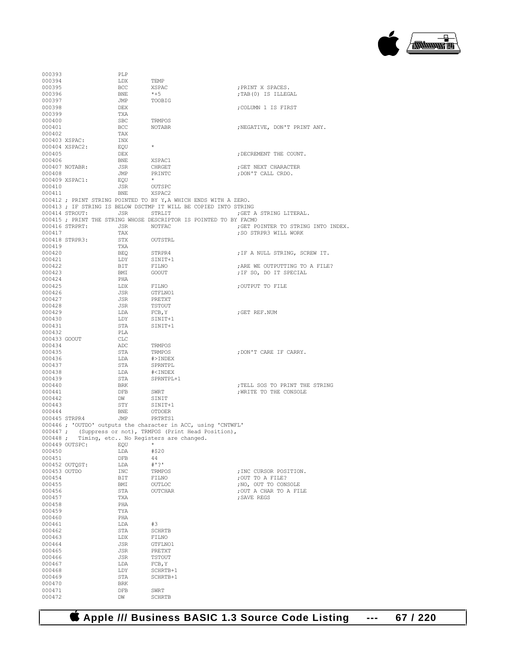

| 000393           |                | PLP        |                                                                   |                                                          |
|------------------|----------------|------------|-------------------------------------------------------------------|----------------------------------------------------------|
| 000394           |                | LDX        | TEMP                                                              |                                                          |
| 000395           |                | <b>BCC</b> | XSPAC                                                             | ; PRINT X SPACES.                                        |
| 000396           |                | BNE        | $*+5$                                                             | ;TAB(0) IS ILLEGAL                                       |
| 000397           |                | JMP        | TOOBIG                                                            |                                                          |
| 000398<br>000399 |                | DEX<br>TXA |                                                                   | ;COLUMN 1 IS FIRST                                       |
| 000400           |                | SBC        | TRMPOS                                                            |                                                          |
| 000401           |                | BCC        | NOTABR                                                            | ; NEGATIVE, DON'T PRINT ANY.                             |
| 000402           |                | TAX        |                                                                   |                                                          |
|                  | 000403 XSPAC:  | INX        |                                                                   |                                                          |
|                  | 000404 XSPAC2: | EQU        | $\star$                                                           |                                                          |
| 000405           |                | DEX        |                                                                   | ; DECREMENT THE COUNT.                                   |
| 000406           |                | BNE        | XSPAC1                                                            |                                                          |
|                  | 000407 NOTABR: | JSR        | CHRGET                                                            | GET NEXT CHARACTER,                                      |
| 000408           |                | JMP        | PRINTC                                                            | ; DON'T CALL CRDO.                                       |
|                  | 000409 XSPAC1: | EQU        | $\star$                                                           |                                                          |
| 000410           |                | JSR        | OUTSPC                                                            |                                                          |
| 000411           |                | BNE        | XSPAC2                                                            |                                                          |
|                  |                |            | 000412 ; PRINT STRING POINTED TO BY Y, A WHICH ENDS WITH A ZERO.  |                                                          |
|                  |                |            | 000413 ; IF STRING IS BELOW DSCTMP IT WILL BE COPIED INTO STRING  |                                                          |
|                  | 000414 STROUT: | JSR        | STRLIT                                                            | ; GET A STRING LITERAL.                                  |
|                  |                |            | 000415 ; PRINT THE STRING WHOSE DESCRIPTOR IS POINTED TO BY FACMO |                                                          |
|                  | 000416 STRPRT: | JSR        | NOTFAC                                                            | ; GET POINTER TO STRING INTO INDEX.                      |
| 000417           |                | TAX        |                                                                   | ; SO STRPR3 WILL WORK                                    |
|                  | 000418 STRPR3: | STX        | OUTSTRL                                                           |                                                          |
| 000419           |                | TXA        |                                                                   |                                                          |
| 000420           |                | BEO        | STRPR4                                                            | ; IF A NULL STRING, SCREW IT.                            |
| 000421<br>000422 |                | LDY<br>BIT | SINIT+1                                                           |                                                          |
| 000423           |                | BMI        | FILNO<br>GOOUT                                                    | ; ARE WE OUTPUTTING TO A FILE?<br>; IF SO, DO IT SPECIAL |
| 000424           |                | PHA        |                                                                   |                                                          |
| 000425           |                | LDX        | FILNO                                                             | ;OUTPUT TO FILE                                          |
| 000426           |                | JSR        | GTFLNO1                                                           |                                                          |
| 000427           |                | JSR        | PRETXT                                                            |                                                          |
| 000428           |                | JSR        | TSTOUT                                                            |                                                          |
| 000429           |                | LDA        | FCB, Y                                                            | ;GET REF.NUM                                             |
| 000430           |                | LDY        | SINIT+1                                                           |                                                          |
| 000431           |                | STA        | SINIT+1                                                           |                                                          |
| 000432           |                | PLA        |                                                                   |                                                          |
| 000433 GOOUT     |                | CLC        |                                                                   |                                                          |
| 000434           |                | ADC        | TRMPOS                                                            |                                                          |
| 000435           |                | STA        | TRMPOS                                                            | ; DON'T CARE IF CARRY.                                   |
| 000436           |                | LDA        | #>INDEX                                                           |                                                          |
| 000437           |                | STA        | SPRNTPL                                                           |                                                          |
| 000438           |                | LDA        | # <index< td=""><td></td></index<>                                |                                                          |
| 000439           |                | STA        | SPRNTPL+1                                                         |                                                          |
| 000440           |                | BRK        |                                                                   | ; TELL SOS TO PRINT THE STRING                           |
| 000441           |                | DFB        | SWRT                                                              | ; WRITE TO THE CONSOLE                                   |
| 000442<br>000443 |                | DW<br>STY  | SINIT                                                             |                                                          |
| 000444           |                | BNE        | SINIT+1<br>OTDOER                                                 |                                                          |
|                  | 000445 STRPR4  | JMP        | PRTRTS1                                                           |                                                          |
|                  |                |            | 000446 ; 'OUTDO' outputs the character in ACC, using 'CNTWFL'     |                                                          |
|                  |                |            | 000447 ; (Suppress or not), TRMPOS (Print Head Position),         |                                                          |
|                  |                |            | 000448 ; Timing, etc No Registers are changed.                    |                                                          |
|                  | 000449 OUTSPC: | EQU        |                                                                   |                                                          |
| 000450           |                | LDA        | #\$20                                                             |                                                          |
| 000451           |                | DFB        | 44                                                                |                                                          |
|                  | 000452 OUTOST: | LDA        | # 1 ? 1                                                           |                                                          |
| 000453 OUTDO     |                | INC        | TRMPOS                                                            | ; INC CURSOR POSITION.                                   |
| 000454           |                | BIT        | FILNO                                                             | ; OUT TO A FILE?                                         |
| 000455           |                | BMI        | OUTLOC                                                            | ; NO, OUT TO CONSOLE                                     |
| 000456           |                | STA        | OUTCHAR                                                           | ; OUT A CHAR TO A FILE                                   |
| 000457           |                | TXA        |                                                                   | ; SAVE REGS                                              |
| 000458           |                | PHA        |                                                                   |                                                          |
| 000459           |                |            |                                                                   |                                                          |
| 000460           |                | TYA        |                                                                   |                                                          |
| 000461           |                | PHA        |                                                                   |                                                          |
|                  |                | LDA        | #3                                                                |                                                          |
| 000462           |                | STA        | SCHRTB                                                            |                                                          |
| 000463           |                | LDX        | FILNO                                                             |                                                          |
| 000464           |                | JSR        | GTFLNO1                                                           |                                                          |
| 000465           |                | JSR        | PRETXT                                                            |                                                          |
| 000466           |                | JSR        | TSTOUT                                                            |                                                          |
| 000467<br>000468 |                | LDA<br>LDY | FCB, Y<br>SCHRTB+1                                                |                                                          |
| 000469           |                | STA        | SCHRTB+1                                                          |                                                          |
| 000470           |                | BRK        |                                                                   |                                                          |
| 000471           |                | DFB        | SWRT                                                              |                                                          |
| 000472           |                | DW         | <b>SCHRTB</b>                                                     |                                                          |

 **Apple /// Business BASIC 1.3 Source Code Listing --- 67 / 220**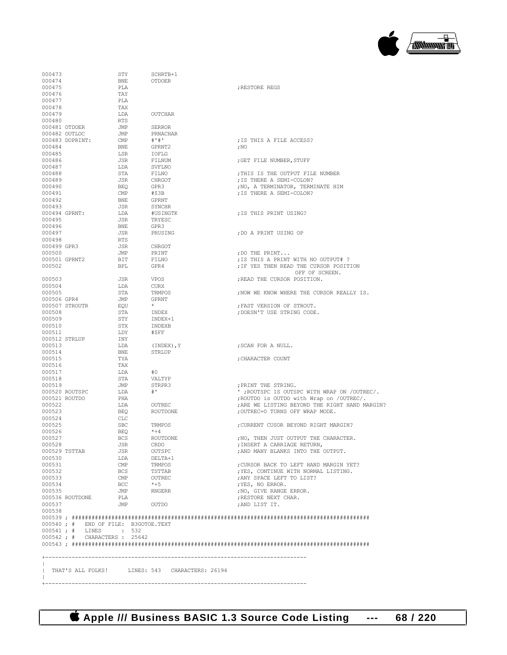**Apple /// Business BASIC 1.3 Source Code Listing --- 68 / 220**

+-------------------------------------------------------------------------------

 $\|$ 

|                  | 000542 ; # CHARACTERS : 25642                                 |                       |                          |                                                                   |
|------------------|---------------------------------------------------------------|-----------------------|--------------------------|-------------------------------------------------------------------|
|                  | 000540 ; # END OF FILE: B3GOTOE.TEXT<br>000541; # LINES : 532 |                       |                          |                                                                   |
|                  |                                                               |                       |                          |                                                                   |
| 000537<br>000538 |                                                               | JMP                   | OUTDO                    | ; AND LIST IT.                                                    |
|                  | 000536 ROUTDONE                                               | PLA                   |                          | ; RESTORE NEXT CHAR.                                              |
| 000535           |                                                               | JMP                   | RNGERR                   | ; NO, GIVE RANGE ERROR.                                           |
| 000534           |                                                               | BCC                   | $*+5$                    | ; YES, NO ERROR.                                                  |
| 000532<br>000533 |                                                               | BCS<br>$\mathsf{CMP}$ | OUTREC                   | ; YES, CONTINUE WITH NORMAL LISTING.<br>; ANY SPACE LEFT TO LIST? |
| 000531           |                                                               | $\text{CMP}$          | TRMPOS<br>TSTTAB         | ; CURSOR BACK TO LEFT HAND MARGIN YET?                            |
| 000530           |                                                               | LDA                   | DELTA+1                  |                                                                   |
|                  | 000529 TSTTAB                                                 | JSR                   | OUTSPC                   | ; AND MANY BLANKS INTO THE OUTPUT.                                |
| 000528           |                                                               | JSR                   | CRDO                     | ; INSERT A CARRIAGE RETURN,                                       |
| 000527           |                                                               | <b>BCS</b>            | <b>ROUTDONE</b>          | ; NO, THEN JUST OUTPUT THE CHARACTER.                             |
| 000525<br>000526 |                                                               | <b>SBC</b><br>BEO     | TRMPOS<br>$*+4$          | ; CURRENT CUSOR BEYOND RIGHT MARGIN?                              |
| 000524           |                                                               | CLC                   |                          |                                                                   |
| 000523           |                                                               | BEO                   | ROUTDONE                 | ; OUTREC=0 TURNS OFF WRAP MODE.                                   |
| 000522           |                                                               | LDA                   | OUTREC                   | ; ARE WE LISTING BEYOND THE RIGHT HAND MARGIN?                    |
|                  | 000521 ROUTDO                                                 | PHA                   |                          | ; ROUTDO is OUTDO with Wrap on /OUTREC/.                          |
|                  | 000520 ROUTSPC                                                | LDA                   | STRPR3<br># <sup>1</sup> | ' ; ROUTSPC IS OUTSPC WITH WRAP ON /OUTREC/.                      |
| 000518<br>000519 |                                                               | STA<br>JMP            | VALTYP                   | ; PRINT THE STRING.                                               |
| 000517           |                                                               | LDA                   | #0                       |                                                                   |
| 000516           |                                                               | TAX                   |                          |                                                                   |
| 000515           |                                                               | TYA                   |                          | ; CHARACTER COUNT                                                 |
| 000514           |                                                               | BNE                   | STRLUP                   |                                                                   |
| 000513           | 000512 STRLUP                                                 | INY<br>LDA            | (INDEX), Y               | ; SCAN FOR A NULL.                                                |
| 000511           |                                                               | LDY                   | #SFF                     |                                                                   |
| 000510           |                                                               | STX                   | INDEXB                   |                                                                   |
| 000509           |                                                               | STY                   | INDEX+1                  |                                                                   |
| 000508           |                                                               | STA                   | INDEX                    | ; DOESN'T USE STRING CODE.                                        |
|                  | 000507 STROUTR                                                | EQU                   |                          | ; FAST VERSION OF STROUT.                                         |
| 000506 GPR4      |                                                               | JMP                   | <b>GPRNT</b>             |                                                                   |
| 000505           |                                                               | STA                   | TRMPOS                   | ; NOW WE KNOW WHERE THE CURSOR REALLY IS.                         |
| 000504           |                                                               | JSR<br>LDA            | VPOS<br>CURX             | ; READ THE CURSOR POSITION.                                       |
| 000503           |                                                               |                       |                          | OFF OF SCREEN.                                                    |
| 000502           |                                                               | <b>BPL</b>            | GPR4                     | ; IF YES THEN READ THE CURSOR POSITION                            |
|                  | 000501 GPRNT2                                                 | BIT                   | FILNO                    | ; IS THIS A PRINT WITH NO OUTPUT# ?                               |
| 000500           |                                                               | JMP                   | PRINT                    | ; DO THE PRINT                                                    |
| 000499 GPR3      |                                                               | JSR                   | CHRGOT                   |                                                                   |
| 000498           |                                                               | <b>RTS</b>            |                          |                                                                   |
| 000497           |                                                               | JSR                   | PRUSING                  | ; DO A PRINT USING OP                                             |
| 000496           |                                                               | <b>BNE</b>            | GPR3                     |                                                                   |
| 000495           | 000494 GPRNT:                                                 | LDA<br>JSR            | #USINGTK<br>TRYESC       | ; IS THIS PRINT USING?                                            |
| 000493           |                                                               | JSR                   | SYNCHR                   |                                                                   |
| 000492           |                                                               | BNE                   | GPRNT                    |                                                                   |
| 000491           |                                                               | CMP                   | #\$3B                    | ; IS THERE A SEMI-COLON?                                          |
| 000490           |                                                               | <b>BEQ</b>            | GPR3                     | ; NO, A TERMINATOR, TERMINATE HIM                                 |
| 000489           |                                                               | JSR                   | CHRGOT                   | ; IS THERE A SEMI-COLON?                                          |
| 000488           |                                                               | STA                   | FILNO                    | ; THIS IS THE OUTPUT FILE NUMBER                                  |
| 000487           |                                                               | LDA                   | SVFLNO                   |                                                                   |
| 000485<br>000486 |                                                               | LSR<br>JSR            | IOFLG<br>FILNUM          | ; GET FILE NUMBER, STUFF                                          |
| 000484           |                                                               | <b>BNE</b>            | GPRNT2                   | ,100                                                              |
|                  | 000483 DOPRINT:                                               | CMP                   | # "  # "                 | ; IS THIS A FILE ACCESS?                                          |
|                  | 000482 OUTLOC                                                 | JMP                   | PRNACHAR                 |                                                                   |
|                  | 000481 OTDOER                                                 | JMP                   | <b>SERROR</b>            |                                                                   |
| 000480           |                                                               | <b>RTS</b>            |                          |                                                                   |
| 000479           |                                                               | LDA                   | OUTCHAR                  |                                                                   |
| 000478           |                                                               | TAX                   |                          |                                                                   |
| 000476<br>000477 |                                                               | TAY<br>PLA            |                          |                                                                   |
| 000475           |                                                               | PLA                   |                          | ; RESTORE REGS                                                    |
| 000474           |                                                               | <b>BNE</b>            | <b>OTDOER</b>            |                                                                   |
| 000473           |                                                               | STY                   | SCHRTB+1                 |                                                                   |

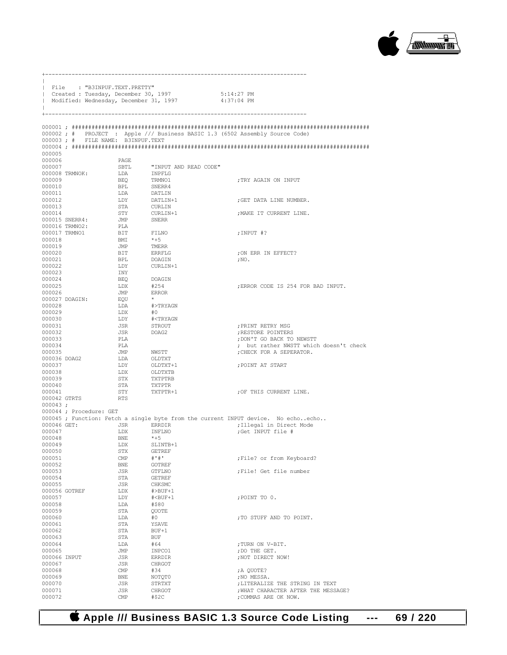

| $\mathbf{I}$           | File : "B3INPUF.TEXT.PRETTY"      |                | Created : Tuesday, December 30, 1997<br>Modified: Wednesday, December 31, 1997 | 5:14:27 PM<br>$4:37:04$ PM                                                       |
|------------------------|-----------------------------------|----------------|--------------------------------------------------------------------------------|----------------------------------------------------------------------------------|
| $^{+}$                 |                                   |                |                                                                                |                                                                                  |
|                        | 000003; # FILE NAME: B3INPUF.TEXT |                |                                                                                | 000002; # PROJECT : Apple /// Business BASIC 1.3 (6502 Assembly Source Code)     |
|                        |                                   |                |                                                                                |                                                                                  |
| 000005                 |                                   |                |                                                                                |                                                                                  |
| 000006                 |                                   | PAGE           |                                                                                |                                                                                  |
| 000007                 | 000008 TRMNOK:                    | SBTL           | "INPUT AND READ CODE"<br>INPFLG                                                |                                                                                  |
| 000009                 |                                   | LDA<br>BEO     | TRMNO1                                                                         | ; TRY AGAIN ON INPUT                                                             |
| 000010                 |                                   | <b>BPL</b>     | SNERR4                                                                         |                                                                                  |
| 000011                 |                                   | LDA            | DATLIN                                                                         |                                                                                  |
| 000012                 |                                   | LDY            | $\texttt{DATAIN+1}$                                                            | ; GET DATA LINE NUMBER.                                                          |
| 000013                 |                                   | STA<br>STY     | CURLIN                                                                         |                                                                                  |
| 000014                 | 000015 SNERR4:                    | JMP            | CURLIN+1<br>SNERR                                                              | ; MAKE IT CURRENT LINE.                                                          |
|                        | 000016 TRMNO2:                    | PLA            |                                                                                |                                                                                  |
|                        | 000017 TRMN01                     | BIT            | FILNO                                                                          | ;INPUT #?                                                                        |
| 000018                 |                                   | BMI            | $*+5$                                                                          |                                                                                  |
| 000019<br>000020       |                                   | JMP<br>BIT     | TMERR<br>ERRFLG                                                                | : ON ERR IN EFFECT?                                                              |
| 000021                 |                                   | BPL            | DOAGIN                                                                         | , NO.                                                                            |
| 000022                 |                                   | LDY            | CURLIN+1                                                                       |                                                                                  |
| 000023                 |                                   | INY            |                                                                                |                                                                                  |
| 000024                 |                                   | <b>BEO</b>     | DOAGIN                                                                         | :ERROR CODE IS 254 FOR BAD INPUT.                                                |
| 000025<br>000026       |                                   | LDX<br>JMP     | #254<br>ERROR                                                                  |                                                                                  |
|                        | 000027 DOAGIN:                    | EQU            | $\star$                                                                        |                                                                                  |
| 000028                 |                                   | LDA            | #>TRYAGN                                                                       |                                                                                  |
| 000029                 |                                   | LDX            | #0                                                                             |                                                                                  |
| 000030<br>000031       |                                   | LDY            | # <tryagn<br>STROUT</tryagn<br>                                                | ; PRINT RETRY MSG                                                                |
| 000032                 |                                   | JSR<br>JSR     | DOAG2                                                                          | RESTORE POINTERS                                                                 |
| 000033                 |                                   | PLA            |                                                                                | ; DON'T GO BACK TO NEWSTT                                                        |
| 000034                 |                                   | PLA            |                                                                                | ; but rather NWSTT which doesn't check                                           |
| 000035                 |                                   | JMP            | NWSTT                                                                          | ; CHECK FOR A SEPERATOR.                                                         |
| 000036 DOAG2<br>000037 |                                   | LDA<br>LDY     | OLDTXT<br>OLDTXT+1                                                             | ; POINT AT START                                                                 |
| 000038                 |                                   | LDX            | OLDTXTB                                                                        |                                                                                  |
| 000039                 |                                   | STX            | TXTPTRB                                                                        |                                                                                  |
| 000040                 |                                   | STA            | TXTPTR                                                                         |                                                                                  |
| 000041<br>000042 GTRTS |                                   | STY<br>RTS     | TXTPTR+1                                                                       | OF THIS CURRENT LINE.                                                            |
| $000043$ ;             |                                   |                |                                                                                |                                                                                  |
|                        | 000044; Procedure: GET            |                |                                                                                |                                                                                  |
|                        |                                   |                |                                                                                | 000045; Function: Fetch a single byte from the current INPUT device. No echoecho |
| 000047                 | 000046 GET:                       | JSR<br>LDX     | ERRDIR<br>INFLNO                                                               | ; Illegal in Direct Mode<br>:Get INPUT file #                                    |
| 000048                 |                                   | BNE            | $*+5$                                                                          |                                                                                  |
| 000049                 |                                   | LDX            | SLINTB+1                                                                       |                                                                                  |
| 000050                 |                                   | STX            | GETREF                                                                         |                                                                                  |
| 000051<br>000052       |                                   | $\mathbb{CMP}$ | # "  # "                                                                       | ; File? or from Keyboard?                                                        |
| 000053                 |                                   | BNE<br>JSR     | GOTREF<br>GTFLNO                                                               | ; File! Get file number                                                          |
| 000054                 |                                   | STA            | <b>GETREF</b>                                                                  |                                                                                  |
| 000055                 |                                   | JSR            | CHKSMC                                                                         |                                                                                  |
|                        | 000056 GOTREF                     | LDX            | $\#$ >BUF+1                                                                    |                                                                                  |
| 000057<br>000058       |                                   | LDY<br>LDA     | $# BUF+1$<br>#\$80                                                             | ; POINT TO 0.                                                                    |
| 000059                 |                                   | STA            | QUOTE                                                                          |                                                                                  |
| 000060                 |                                   | LDA            | #0                                                                             | ; TO STUFF AND TO POINT.                                                         |
| 000061                 |                                   | STA            | YSAVE                                                                          |                                                                                  |
| 000062<br>000063       |                                   | STA            | BUF+1<br><b>BUF</b>                                                            |                                                                                  |
| 000064                 |                                   | STA<br>LDA     | #64                                                                            | ; TURN ON V-BIT.                                                                 |
| 000065                 |                                   | JMP            | INPCO1                                                                         | ; DO THE GET.                                                                    |
| 000066 INPUT           |                                   | JSR            | <b>ERRDIR</b>                                                                  | ; NOT DIRECT NOW!                                                                |
| 000067                 |                                   | JSR            | CHRGOT                                                                         |                                                                                  |
| 000068<br>000069       |                                   | CMP<br>BNE     | #34<br>NOTQT0                                                                  | ; A QUOTE?<br>; NO MESSA.                                                        |
| 000070                 |                                   | JSR            | STRTXT                                                                         | ; LITERALIZE THE STRING IN TEXT                                                  |
| 000071                 |                                   | JSR            | CHRGOT                                                                         | ; WHAT CHARACTER AFTER THE MESSAGE?                                              |
| 000072                 |                                   | $\text{CMP}$   | #\$2C                                                                          | ; COMMAS ARE OK NOW.                                                             |

+-------------------------------------------------------------------------------

 **Apple /// Business BASIC 1.3 Source Code Listing --- 69 / 220**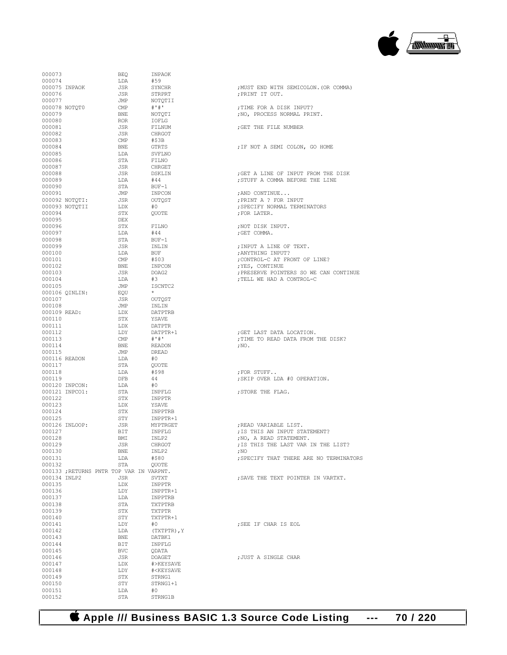

| 000073           |                | BEQ                                      | INPAOK                                 |                                                                        |
|------------------|----------------|------------------------------------------|----------------------------------------|------------------------------------------------------------------------|
| 000074           |                | LDA                                      | #59                                    |                                                                        |
|                  | 000075 INPAOK  | JSR                                      | SYNCHR                                 | ; MUST END WITH SEMICOLON. (OR COMMA                                   |
| 000076           |                | JSR                                      | STRPRT                                 | ; PRINT IT OUT.                                                        |
| 000077           | 000078 NOTQT0  | JMP<br>CMP                               | NOTOTII<br># " # "                     | ; TIME FOR A DISK INPUT?                                               |
| 000079           |                | BNE                                      | NOTQTI                                 | ; NO, PROCESS NORMAL PRINT.                                            |
| 000080           |                | ROR                                      | IOFLG                                  |                                                                        |
| 000081           |                | JSR                                      | FILNUM                                 | ; GET THE FILE NUMBER                                                  |
| 000082           |                | JSR                                      | CHRGOT                                 |                                                                        |
| 000083           |                | CMP                                      | #\$3B                                  |                                                                        |
| 000084           |                | BNE                                      | GTRTS                                  | ; IF NOT A SEMI COLON, GO HOME                                         |
| 000085           |                | LDA                                      | SVFLNO                                 |                                                                        |
| 000086           |                | STA                                      | FILNO                                  |                                                                        |
| 000087           |                | JSR<br>JSR                               | CHRGET                                 |                                                                        |
| 000088<br>000089 |                | LDA                                      | DSKLIN<br>#44                          | ; GET A LINE OF INPUT FROM THE DISK<br>; STUFF A COMMA BEFORE THE LINE |
| 000090           |                | STA                                      | $BUF-1$                                |                                                                        |
| 000091           |                | JMP                                      | INPCON                                 | ; AND CONTINUE                                                         |
|                  | 000092 NOTQTI: | JSR                                      | OUTOST                                 | ; PRINT A ? FOR INPUT                                                  |
|                  | 000093 NOTOTII | LDX                                      | #O                                     | ; SPECIFY NORMAL TERMINATORS                                           |
| 000094           |                | STX                                      | QUOTE                                  | ; FOR LATER.                                                           |
| 000095           |                | DEX                                      |                                        |                                                                        |
| 000096           |                | STX                                      | FILNO                                  | ; NOT DISK INPUT.                                                      |
| 000097           |                | LDA                                      | #44                                    | ; GET COMMA.                                                           |
| 000098           |                | STA                                      | BUF-1                                  |                                                                        |
| 000099           |                | JSR<br>LDA                               | INLIN<br>BUF                           | ; INPUT A LINE OF TEXT.                                                |
| 000100<br>000101 |                | CMP                                      | #\$03                                  | ; ANYTHING INPUT?<br>; CONTROL-C AT FRONT OF LINE?                     |
| 000102           |                | BNE                                      | INPCON                                 | ; YES, CONTINUE                                                        |
| 000103           |                | JSR                                      | DOAG2                                  | ; PRESERVE POINTERS SO WE CAN CONTI                                    |
| 000104           |                | LDA                                      | #3                                     | ; TELL WE HAD A CONTROL-C                                              |
| 000105           |                | JMP                                      | ISCNTC2                                |                                                                        |
|                  | 000106 QINLIN: | EQU                                      |                                        |                                                                        |
| 000107           |                | JSR                                      | OUTOST                                 |                                                                        |
| 000108           |                | JMP                                      | INLIN                                  |                                                                        |
| 000109 READ:     |                | LDX                                      | DATPTRB                                |                                                                        |
| 000110           |                | STX                                      | YSAVE                                  |                                                                        |
| 000111           |                | LDX                                      | DATPTR                                 |                                                                        |
| 000112           |                | LDY                                      | DATPTR+1                               | ; GET LAST DATA LOCATION.                                              |
| 000113           |                | $\text{CMP}$                             | # 1# 1                                 | ; TIME TO READ DATA FROM THE DISK?                                     |
| 000114<br>000115 |                | BNE<br>JMP                               | READON<br>DREAD                        | $;$ NO.                                                                |
|                  | 000116 READON  | LDA                                      | #0                                     |                                                                        |
| 000117           |                | STA                                      | QUOTE                                  |                                                                        |
| 000118           |                | LDA                                      | #\$98                                  | ; FOR STUFF                                                            |
| 000119           |                | DFB                                      | 44                                     | ; SKIP OVER LDA #0 OPERATION.                                          |
|                  | 000120 INPCON: | LDA                                      | #0                                     |                                                                        |
|                  | 000121 INPCO1: | STA                                      | INPFLG                                 | ; STORE THE FLAG.                                                      |
| 000122           |                | STX                                      | INPPTR                                 |                                                                        |
| 000123           |                | LDX                                      | YSAVE                                  |                                                                        |
| 000124           |                | STX                                      | INPPTRB                                |                                                                        |
| 000125           |                | STY                                      | INPPTR+1                               | ; READ VARIABLE LIST.                                                  |
| 000127           | 000126 INLOOP: | JSR<br>BIT                               | MYPTRGET<br>INPFLG                     | ; IS THIS AN INPUT STATEMENT?                                          |
| 000128           |                | BMI                                      | INLP2                                  | ; NO, A READ STATEMENT.                                                |
| 000129           |                | JSR                                      | CHRGOT                                 | ; IS THIS THE LAST VAR IN THE LIST?                                    |
| 000130           |                | BNE                                      | INLP2                                  | ; NO                                                                   |
| 000131           |                | LDA                                      | #\$80                                  | ; SPECIFY THAT THERE ARE NO TERMINA                                    |
| 000132           |                | STA                                      | <b>OUOTE</b>                           |                                                                        |
|                  |                | 000133 ; RETURNS PNTR TOP VAR IN VARPNT. |                                        |                                                                        |
| 000134 INLP2     |                | JSR                                      | SVTXT                                  | ; SAVE THE TEXT POINTER IN VARTXT.                                     |
| 000135           |                | LDX                                      | INPPTR                                 |                                                                        |
| 000136           |                | LDY                                      | INPPTR+1                               |                                                                        |
| 000137           |                | LDA                                      | INPPTRB                                |                                                                        |
| 000138<br>000139 |                | STA<br>STX                               | TXTPTRB<br>TXTPTR                      |                                                                        |
| 000140           |                | STY                                      | TXTPTR+1                               |                                                                        |
| 000141           |                | LDY                                      | #0                                     | ; SEE IF CHAR IS EOL                                                   |
| 000142           |                | LDA                                      | (TXTPTR), Y                            |                                                                        |
| 000143           |                | BNE                                      | DATBK1                                 |                                                                        |
| 000144           |                | BIT                                      | INPFLG                                 |                                                                        |
| 000145           |                | <b>BVC</b>                               | QDATA                                  |                                                                        |
| 000146           |                | JSR                                      | <b>DOAGET</b>                          | ; JUST A SINGLE CHAR                                                   |
| 000147           |                | LDX                                      | #>KEYSAVE                              |                                                                        |
| 000148           |                | LDY                                      | # <keysave< td=""><td></td></keysave<> |                                                                        |
| 000149           |                | STX                                      | STRNG1                                 |                                                                        |
| 000150           |                | STY                                      | STRNG1+1                               |                                                                        |
| 000151<br>000152 |                | LDA<br>STA                               | #0<br>STRNG1B                          |                                                                        |
|                  |                |                                          |                                        |                                                                        |

| 000073       |                | BEQ                                      | INPAOK                                 |                                         |
|--------------|----------------|------------------------------------------|----------------------------------------|-----------------------------------------|
| 000074       |                | LDA                                      | #59                                    |                                         |
|              | 000075 INPAOK  | JSR                                      | SYNCHR                                 | ; MUST END WITH SEMICOLON. (OR COMMA)   |
| 000076       |                | JSR                                      | STRPRT                                 | ; PRINT IT OUT.                         |
| 000077       |                | JMP                                      | NOTQTII                                |                                         |
|              | 000078 NOTQT0  | CMP                                      | # "  # "                               | ; TIME FOR A DISK INPUT?                |
| 000079       |                | BNE                                      | NOTQTI                                 | ; NO, PROCESS NORMAL PRINT.             |
| 000080       |                | ROR                                      | IOFLG                                  |                                         |
| 000081       |                | JSR                                      | FILNUM                                 | ; GET THE FILE NUMBER                   |
| 000082       |                | JSR                                      | CHRGOT                                 |                                         |
| 000083       |                | CMP                                      | #\$3B                                  |                                         |
| 000084       |                | BNE                                      | GTRTS                                  | ; IF NOT A SEMI COLON, GO HOME          |
| 000085       |                | LDA                                      | SVFLNO                                 |                                         |
|              |                |                                          |                                        |                                         |
| 000086       |                | STA                                      | FILNO                                  |                                         |
| 000087       |                | JSR                                      | CHRGET                                 |                                         |
| 000088       |                | JSR                                      | DSKLIN                                 | ; GET A LINE OF INPUT FROM THE DISK     |
| 000089       |                | LDA                                      | #44                                    | ; STUFF A COMMA BEFORE THE LINE         |
| 000090       |                | STA                                      | BUF-1                                  |                                         |
| 000091       |                | JMP                                      | INPCON                                 | ; AND CONTINUE                          |
|              | 000092 NOTQTI: | JSR                                      | OUTQST                                 | ; PRINT A ? FOR INPUT                   |
|              | 000093 NOTQTII | LDX                                      | #0                                     | ; SPECIFY NORMAL TERMINATORS            |
| 000094       |                | STX                                      | OUOTE                                  | ; FOR LATER.                            |
| 000095       |                | DEX                                      |                                        |                                         |
| 000096       |                | STX                                      | FILNO                                  | ;NOT DISK INPUT.                        |
| 000097       |                | LDA                                      | #44                                    | ; GET COMMA.                            |
| 000098       |                | STA                                      | BUF-1                                  |                                         |
| 000099       |                | JSR                                      | INLIN                                  | ; INPUT A LINE OF TEXT.                 |
| 000100       |                | LDA                                      | BUF                                    | ; ANYTHING INPUT?                       |
| 000101       |                | $\mathop{\mathrm{CMP}}$                  | #\$03                                  | ; CONTROL-C AT FRONT OF LINE?           |
| 000102       |                | BNE                                      | INPCON                                 | ; YES, CONTINUE                         |
| 000103       |                | JSR                                      | DOAG2                                  | ; PRESERVE POINTERS SO WE CAN CONTINUE  |
| 000104       |                | LDA                                      | #3                                     | ; TELL WE HAD A CONTROL-C               |
| 000105       |                | JMP                                      | ISCNTC2                                |                                         |
|              | 000106 OINLIN: | EOU                                      | $\star$                                |                                         |
| 000107       |                | JSR                                      | OUTQST                                 |                                         |
| 000108       |                | JMP                                      | INLIN                                  |                                         |
| 000109 READ: |                | LDX                                      | DATPTRB                                |                                         |
| 000110       |                | STX                                      | YSAVE                                  |                                         |
| 000111       |                | LDX                                      | DATPTR                                 |                                         |
| 000112       |                | LDY                                      | DATPTR+1                               | ; GET LAST DATA LOCATION.               |
| 000113       |                | $\mathsf{CMP}$                           | $\#$ $\#$                              | ; TIME TO READ DATA FROM THE DISK?      |
| 000114       |                | BNE                                      | READON                                 | , NO.                                   |
| 000115       |                | JMP                                      | DREAD                                  |                                         |
|              | 000116 READON  | LDA                                      | #0                                     |                                         |
| 000117       |                | STA                                      | OUOTE                                  |                                         |
| 000118       |                | LDA                                      | #\$98                                  | FOR STUFF                               |
| 000119       |                | DFB                                      | 44                                     | ; SKIP OVER LDA #0 OPERATION.           |
|              | 000120 INPCON: | LDA                                      | #0                                     |                                         |
|              | 000121 INPCO1: | STA                                      | INPFLG                                 | ; STORE THE FLAG.                       |
| 000122       |                | STX                                      | INPPTR                                 |                                         |
| 000123       |                | LDX                                      | YSAVE                                  |                                         |
| 000124       |                | STX                                      | INPPTRB                                |                                         |
| 000125       |                | STY                                      | INPPTR+1                               |                                         |
|              | 000126 INLOOP: | JSR                                      | MYPTRGET                               | :READ VARIABLE LIST.                    |
| 000127       |                | BIT                                      | INPFLG                                 | ; IS THIS AN INPUT STATEMENT?           |
|              |                |                                          |                                        |                                         |
| 000128       |                | BMI                                      | INLP2                                  | ; NO, A READ STATEMENT.                 |
| 000129       |                | JSR                                      | CHRGOT                                 | ; IS THIS THE LAST VAR IN THE LIST?     |
| 000130       |                | BNE                                      | INLP2                                  | ; NO                                    |
| 000131       |                | LDA                                      | #\$80                                  | ; SPECIFY THAT THERE ARE NO TERMINATORS |
| 000132       |                | STA                                      | QUOTE                                  |                                         |
|              |                | 000133 ; RETURNS PNTR TOP VAR IN VARPNT. |                                        |                                         |
| 000134 INLP2 |                | JSR                                      | SVTXT                                  | ; SAVE THE TEXT POINTER IN VARTXT.      |
| 000135       |                | LDX                                      | INPPTR                                 |                                         |
| 000136       |                | LDY                                      | INPPTR+1                               |                                         |
| 000137       |                | LDA                                      | INPPTRB                                |                                         |
| 000138       |                | STA                                      | TXTPTRB                                |                                         |
| 000139       |                | STX                                      | TXTPTR                                 |                                         |
| 000140       |                | STY                                      | TXTPTR+1                               |                                         |
| 000141       |                | LDY                                      | #0                                     | ; SEE IF CHAR IS EOL                    |
| 000142       |                | LDA                                      | (TXTPTR), Y                            |                                         |
| 000143       |                | BNE                                      | DATBK1                                 |                                         |
| 000144       |                | BIT                                      | INPFLG                                 |                                         |
| 000145       |                | BVC                                      | QDATA                                  |                                         |
| 000146       |                | JSR                                      | DOAGET                                 | ; JUST A SINGLE CHAR                    |
| 000147       |                | LDX                                      | #>KEYSAVE                              |                                         |
| 000148       |                | LDY                                      | # <keysave< td=""><td></td></keysave<> |                                         |
| $0.00149$    |                | <b>CTV</b>                               | STPNC1                                 |                                         |

 **Apple /// Business BASIC 1.3 Source Code Listing --- 70 / 220**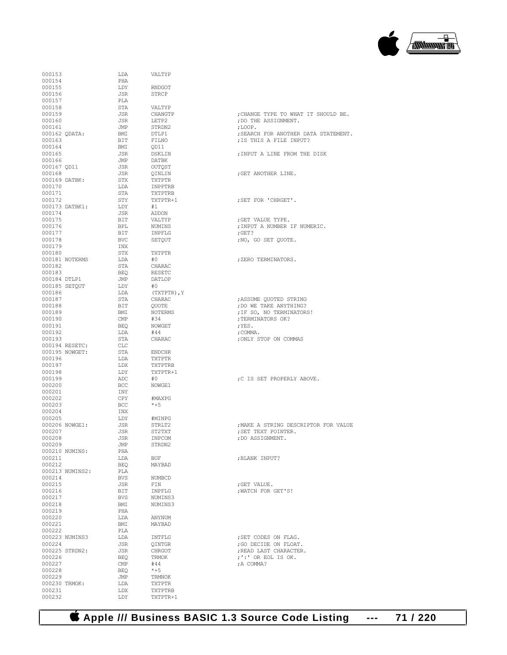

| 000153                  |                 | LDA            | VALTYP            |                              |
|-------------------------|-----------------|----------------|-------------------|------------------------------|
| 000154                  |                 | PHA            |                   |                              |
| 000155                  |                 | LDY            | RNDGOT            |                              |
| 000156                  |                 | JSR            | STRCP             |                              |
| 000157                  |                 | PLA            |                   |                              |
| 000158                  |                 | STA            | VALTYP            |                              |
| 000159                  |                 | JSR            | CHANGTP           | ; CHANGE TYPE TO WHAT IT SHO |
| 000160                  |                 | JSR            | LETP2             | ; DO THE ASSIGNMENT.         |
| 000161                  |                 | JMP            | STRDN2            | ; LOOP.                      |
|                         | 000162 QDATA:   | BMI            | DTLP1             | ; SEARCH FOR ANOTHER DATA ST |
| 000163                  |                 | BIT            | FILNO             | ; IS THIS A FILE INPUT?      |
| 000164                  |                 | BMI            | OD11              |                              |
| 000165                  |                 | JSR            | DSKLIN            | ; INPUT A LINE FROM THE DISK |
| 000166                  |                 | JMP            | DATBK             |                              |
| 000167 OD11<br>000168   |                 | JSR            | OUTQST            | GET ANOTHER LINE.            |
|                         |                 | JSR            | QINLIN            |                              |
| 000169 DATBK:<br>000170 |                 | STX<br>LDA     | TXTPTR<br>INPPTRB |                              |
| 000171                  |                 | STA            | TXTPTRB           |                              |
| 000172                  |                 | STY            | TXTPTR+1          | ; SET FOR 'CHRGET'.          |
|                         | 000173 DATBK1:  | LDY            | #1                |                              |
| 000174                  |                 | JSR            | ADDON             |                              |
| 000175                  |                 | BIT            | VALTYP            | ; GET VALUE TYPE.            |
| 000176                  |                 | BPL            | NUMINS            | ; INPUT A NUMBER IF NUMERIC. |
| 000177                  |                 | BIT            | INPFLG            | $;$ GET?                     |
| 000178                  |                 | BVC            | SETQUT            | ; NO, GO SET OUOTE.          |
| 000179                  |                 | INX            |                   |                              |
| 000180                  |                 | STX            | TXTPTR            |                              |
|                         |                 | LDA            | #0                | ; ZERO TERMINATORS.          |
| 000182                  | 000181 NOTERMS  | STA            | CHARAC            |                              |
|                         |                 |                |                   |                              |
| 000183                  |                 | BEQ            | RESETC            |                              |
| 000184 DTLP1            |                 | JMP            | DATLOP            |                              |
|                         | 000185 SETQUT   | LDY            | #0                |                              |
| 000186                  |                 | LDA            | (TXTPTR), Y       |                              |
| 000187                  |                 | STA            | CHARAC            | ; ASSUME QUOTED STRING       |
| 000188                  |                 | BIT            | QUOTE             | ; DO WE TAKE ANYTHING?       |
| 000189                  |                 | BMI            | NOTERMS           | ; IF SO, NO TERMINATORS!     |
| 000190                  |                 | $\mathsf{CMP}$ | #34               | ; TERMINATORS OK?            |
| 000191                  |                 | BEQ            | NOWGET            | ;YES.                        |
| 000192                  |                 | LDA            | #44               | ; COMMA.                     |
| 000193                  |                 | STA            | CHARAC            | ; ONLY STOP ON COMMAS        |
|                         | 000194 RESETC:  | CLC            |                   |                              |
|                         | 000195 NOWGET:  | STA            | <b>ENDCHR</b>     |                              |
| 000196                  |                 | LDA            | TXTPTR            |                              |
| 000197                  |                 | LDX            | TXTPTRB           |                              |
| 000198                  |                 | LDY            | TXTPTR+1          |                              |
| 000199                  |                 | ADC            | #0                | ;C IS SET PROPERLY ABOVE.    |
| 000200                  |                 | BCC            | NOWGE1            |                              |
| 000201                  |                 | INY            |                   |                              |
| 000202                  |                 | CPY            | #MAXPG            |                              |
| 000203                  |                 | BCC            | $*+5$             |                              |
| 000204                  |                 | INX            |                   |                              |
| 000205                  |                 | LDY            | #MINPG            |                              |
|                         | 000206 NOWGE1:  | JSR            | STRLT2            | ; MAKE A STRING DESCRIPTOR F |
| 000207                  |                 | JSR            | ST2TXT            | ; SET TEXT POINTER.          |
| 000208                  |                 | JSR            | INPCOM            | ; DO ASSIGNMENT.             |
| 000209                  |                 | JMP            | STRDN2            |                              |
|                         | 000210 NUMINS:  | PHA            |                   |                              |
| 000211                  |                 | LDA            | <b>BUF</b>        | ; BLANK INPUT?               |
| 000212                  |                 | BEQ            | MAYBAD            |                              |
|                         | 000213 NUMINS2: | PLA            |                   |                              |
| 000214                  |                 | <b>BVS</b>     | NUMBCD            |                              |
| 000215                  |                 | JSR            | FIN               | ; GET VALUE.                 |
| 000216                  |                 | BIT            | INPFLG            | ; WATCH FOR GET'S!           |
| 000217                  |                 | <b>BVS</b>     | NUMINS3           |                              |
| 000218                  |                 | BMI            | NUMINS3           |                              |
| 000219                  |                 | PHA            |                   |                              |
| 000220                  |                 | LDA            | ANYNUM            |                              |
| 000221                  |                 | BMI            | MAYBAD            |                              |
| 000222                  |                 | PLA            |                   |                              |
|                         | 000223 NUMINS3  | LDA            | INTFLG            | ; SET CODES ON FLAG.         |
| 000224                  |                 | JSR            | QINTGR            | ; GO DECIDE ON FLOAT.        |
|                         | 000225 STRDN2:  | JSR            | CHRGOT            | ; READ LAST CHARACTER.       |
| 000226                  |                 | BEQ            | TRMOK             | $; ! : !$ OR EOL IS OK.      |
| 000227                  |                 | CMP            | #44               | ; A COMMA?                   |
| 000228                  |                 | BEO            | $*+5$             |                              |
| 000229                  |                 | JMP            | TRMNOK            |                              |
| 000230 TRMOK:           |                 | LDA            | TXTPTR            |                              |
| 000231                  |                 | LDX            | TXTPTRB           |                              |
| 000232                  |                 | LDY            | TXTPTR+1          |                              |
|                         |                 |                |                   |                              |

| 000101      |                 | டயா        |                     |                                      |
|-------------|-----------------|------------|---------------------|--------------------------------------|
| 000158      |                 | STA        | VALTYP              |                                      |
| 000159      |                 | JSR        | CHANGTP             | ; CHANGE TYPE TO WHAT IT SHOULD BE.  |
|             |                 |            |                     |                                      |
| 000160      |                 | JSR        | LETP2               | ; DO THE ASSIGNMENT.                 |
| 000161      |                 | JMP        | STRDN2              | ;LOOP.                               |
|             | 000162 QDATA:   | <b>BMI</b> |                     | ; SEARCH FOR ANOTHER DATA STATEMENT. |
|             |                 |            | DTLP1               |                                      |
| 000163      |                 | BIT        | FILNO               | ; IS THIS A FILE INPUT?              |
| 000164      |                 | BMI        | QD11                |                                      |
| 000165      |                 |            | DSKLIN              | ; INPUT A LINE FROM THE DISK         |
|             |                 | JSR        |                     |                                      |
| 000166      |                 | JMP        | DATBK               |                                      |
| 000167 QD11 |                 | <b>JSR</b> |                     |                                      |
|             |                 |            | OUTQST<br>QINLIN    |                                      |
| 000168      |                 | JSR        |                     | ; GET ANOTHER LINE.                  |
|             | 000169 DATBK:   | STX        | TXTPTR              |                                      |
|             |                 |            |                     |                                      |
| 000170      |                 | LDA        | INPPTRB<br>TXTPTRB  |                                      |
| 000171      |                 | STA        |                     |                                      |
| 000172      |                 | STY        | TXTPTR+1            | ; SET FOR 'CHRGET'.                  |
|             |                 |            |                     |                                      |
|             | 000173 DATBK1:  | LDY        | #1                  |                                      |
| 000174      |                 | JSR        | " -<br>ADDON        |                                      |
| 000175      |                 | BIT        | VALTYP              | ; GET VALUE TYPE.                    |
|             |                 |            |                     |                                      |
| 000176      |                 | BPL        | NUMINS<br>INDELC    | ; INPUT A NUMBER IF NUMERIC.         |
| 000177      |                 | <b>BIT</b> | INPFLG              | ;GET?                                |
|             |                 |            |                     |                                      |
| 000178      |                 | BVC        | SETQUT              | ;NO, GO SET QUOTE.                   |
| 000179      |                 | INX        |                     |                                      |
|             |                 | STX TXTPTR |                     |                                      |
| 000180      |                 |            |                     |                                      |
|             | 000181 NOTERMS  | LDA        | #O                  | ;ZERO TERMINATORS.                   |
| 000182      |                 | STA        |                     |                                      |
|             |                 |            | CHARAC<br>RESETC    |                                      |
| 000183      |                 | BEO        |                     |                                      |
|             | 000184 DTLP1    | JMP        | DATLOP              |                                      |
|             | 000185 SETQUT   | LDY        | #0                  |                                      |
|             |                 |            |                     |                                      |
| 000186      |                 | LDA        | (TXTPTR), Y         |                                      |
| 000187      |                 | STA        | CHARAC              | ; ASSUME QUOTED STRING               |
|             |                 |            |                     |                                      |
| 000188      |                 | BIT        | OUOTE               | ; DO WE TAKE ANYTHING?               |
| 000189      |                 | BMI        | <b>NOTERMS</b>      | ; IF SO, NO TERMINATORS!             |
|             |                 | CMP        |                     |                                      |
| 000190      |                 |            | #34                 | ; TERMINATORS OK?                    |
| 000191      |                 | BEQ        | NOWGET              | ;YES.                                |
| 000192      |                 | LDA        | #44                 | ; COMMA.                             |
|             |                 |            |                     |                                      |
|             |                 |            |                     |                                      |
| 000193      |                 | STA        | CHARAC              | ; ONLY STOP ON COMMAS                |
|             |                 |            |                     |                                      |
|             | 000194 RESETC:  | CLC        |                     |                                      |
|             | 000195 NOWGET:  | STA ENDCHR |                     |                                      |
| 000196      |                 | LDA        |                     |                                      |
|             |                 |            | TXTPTR              |                                      |
| 000197      |                 | LDX        |                     |                                      |
| 000198      |                 | LDY        | TXTPTRB<br>TXTPTR+1 |                                      |
|             |                 |            |                     |                                      |
| 000199      |                 | ADC        | #0                  | ;C IS SET PROPERLY ABOVE.            |
| 000200      |                 | BCC        | NOWGE1              |                                      |
| 000201      |                 | INY        |                     |                                      |
|             |                 |            |                     |                                      |
| 000202      |                 | CPY        | #MAXPG              |                                      |
| 000203      |                 | BCC        | *+5                 |                                      |
|             |                 |            |                     |                                      |
| 000204      |                 | INX        |                     |                                      |
| 000205      |                 | LDY        | #MINPG              |                                      |
|             | 000206 NOWGE1:  | JSR        | STRLT2              | ; MAKE A STRING DESCRIPTOR FOR VALUE |
|             |                 |            |                     |                                      |
| 000207      |                 | JSR        | ST2TXT              | ; SET TEXT POINTER.                  |
| 000208      |                 | JSR        | INPCOM              | ; DO ASSIGNMENT.                     |
|             |                 |            |                     |                                      |
| 000209      |                 | JMP        | STRDN2              |                                      |
|             | 000210 NUMINS:  | PHA        |                     |                                      |
|             |                 |            |                     |                                      |
| 000211      |                 | LDA        | <b>BUF</b>          | ; BLANK INPUT?                       |
| 000212      |                 | BEQ        | MAYBAD              |                                      |
|             | 000213 NUMINS2: | PLA        |                     |                                      |
|             |                 |            |                     |                                      |
| 000214      |                 | BVS        | NUMBCD              |                                      |
| 000215      |                 | JSR        | FIN                 | : GET VALUE.                         |
| 000216      |                 | BIT        | INPFLG              | ; WATCH FOR GET'S!                   |
|             |                 |            |                     |                                      |
| 000217      |                 | BVS        | NUMINS3             |                                      |
| 000218      |                 | BMI        | NUMINS3             |                                      |
|             |                 |            |                     |                                      |
| 000219      |                 | PHA        |                     |                                      |
| 000220      |                 | LDA        | ANYNUM              |                                      |
|             |                 |            |                     |                                      |
| 000221      |                 | BMI        | MAYBAD              |                                      |
| 000222      |                 | PLA        |                     |                                      |
|             | 000223 NUMINS3  |            | INTFLG              | ; SET CODES ON FLAG.                 |
|             |                 | LDA        |                     |                                      |
| 000224      |                 | JSR        | QINTGR              | ; GO DECIDE ON FLOAT.                |
|             | 000225 STRDN2:  | JSR        | CHRGOT              | ; READ LAST CHARACTER.               |
|             |                 |            |                     |                                      |
| 000226      |                 | <b>BEQ</b> | TRMOK               | ;':' OR EOL IS OK.                   |
| 000227      |                 | CMP        | #44                 | ; A COMMA?                           |
| 000228      |                 | <b>BEO</b> | $*+5$               |                                      |

 **Apple /// Business BASIC 1.3 Source Code Listing --- 71 / 220**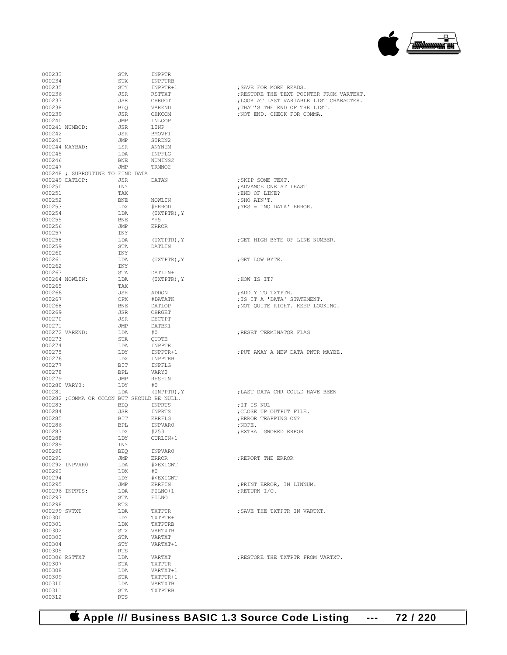**Apple /// Business BASIC 1.3 Source Code Listing --- 72 / 220**

| 000233           |                                             | STA               | INPPTR                               |                                                           |
|------------------|---------------------------------------------|-------------------|--------------------------------------|-----------------------------------------------------------|
| 000234           |                                             | STX               | INPPTRB                              |                                                           |
| 000235           |                                             | STY               | INPPTR+1                             | : SAVE FOR MORE READS.                                    |
| 000236           |                                             | JSR               | RSTTXT                               | ; RESTORE THE TEXT POINTER<br>; LOOK AT LAST VARIABLE LIS |
| 000237<br>000238 |                                             | JSR<br>BEO        | CHRGOT<br>VAREND                     | ; THAT'S THE END OF THE LIS                               |
| 000239           |                                             | JSR               | CHKCOM                               | ; NOT END. CHECK FOR COMMA.                               |
| 000240           |                                             | JMP               | INLOOP                               |                                                           |
|                  | 000241 NUMBCD:                              | JSR               | LINP                                 |                                                           |
| 000242           |                                             | JSR               | BMOVF1                               |                                                           |
| 000243           |                                             | JMP               | STRDN2                               |                                                           |
|                  | 000244 MAYBAD:                              | LSR               | ANYNUM                               |                                                           |
| 000245<br>000246 |                                             | LDA               | INPFLG                               |                                                           |
| 000247           |                                             | BNE<br>JMP        | NUMINS2<br>TRMNO2                    |                                                           |
|                  | 000248 ; SUBROUTINE TO FIND DATA            |                   |                                      |                                                           |
|                  | 000249 DATLOP:                              | JSR               | DATAN                                | ; SKIP SOME TEXT.                                         |
| 000250           |                                             | INY               |                                      | ; ADVANCE ONE AT LEAST                                    |
| 000251           |                                             | TAX               |                                      | ; END OF LINE?                                            |
| 000252           |                                             | BNE               | NOWLIN                               | ; SHO AIN'T.                                              |
| 000253           |                                             | LDX               | #ERROD                               | ; YES = 'NO DATA' ERROR.                                  |
| 000254<br>000255 |                                             | LDA               | (TXTPTR), Y<br>$*+5$                 |                                                           |
| 000256           |                                             | BNE<br>JMP        | ERROR                                |                                                           |
| 000257           |                                             | INY               |                                      |                                                           |
| 000258           |                                             | LDA               | (TXTPTR), Y                          | ; GET HIGH BYTE OF LINE NUM                               |
| 000259           |                                             | STA               | DATLIN                               |                                                           |
| 000260           |                                             | INY               |                                      |                                                           |
| 000261           |                                             | LDA               | (TXTPTR), Y                          | ; GET LOW BYTE.                                           |
| 000262           |                                             | INY               |                                      |                                                           |
| 000263           |                                             | STA               | DATLIN+1                             |                                                           |
|                  | 000264 NOWLIN:                              | LDA<br>TAX        | (TXTPTR), Y                          | ;HOW IS IT?                                               |
| 000265<br>000266 |                                             | JSR               | ADDON                                | ;ADD Y TO TXTPTR.                                         |
| 000267           |                                             | CPX               | #DATATK                              | ; IS IT A 'DATA' STATEMENT.                               |
| 000268           |                                             | BNE               | DATLOP                               | ; NOT QUITE RIGHT. KEEP LOO                               |
| 000269           |                                             | JSR               | CHRGET                               |                                                           |
| 000270           |                                             | JSR               | DECTPT                               |                                                           |
| 000271           |                                             | JMP               | DATBK1                               |                                                           |
|                  | 000272 VAREND:                              | LDA               | #0                                   | ; RESET TERMINATOR FLAG                                   |
| 000273           |                                             | STA               | OUOTE                                |                                                           |
| 000274<br>000275 |                                             | LDA<br>LDY        | INPPTR<br>INPPTR+1                   | ; PUT AWAY A NEW DATA PNTR                                |
| 000276           |                                             | LDX               | INPPTRB                              |                                                           |
| 000277           |                                             | BIT               | INPFLG                               |                                                           |
| 000278           |                                             | BPL               | VARY0                                |                                                           |
| 000279           |                                             | JMP               | RESFIN                               |                                                           |
|                  | 000280 VARY0:                               | LDY               | #0                                   |                                                           |
| 000281           |                                             | LDA               | (INPPTR), Y                          | ; LAST DATA CHR COULD HAVE                                |
| 000283           | 000282 ; COMMA OR COLON BUT SHOULD BE NULL. |                   |                                      |                                                           |
| 000284           |                                             | BEO<br>JSR        | INPRTS<br>INPRTS                     | ; IT IS NUL<br>; CLOSE UP OUTPUT FILE.                    |
| 000285           |                                             | BIT               | ERRFLG                               | ; ERROR TRAPPING ON?                                      |
| 000286           |                                             | BPL               | INPVAR0                              | $;$ NOPE.                                                 |
| 000287           |                                             | LDX               | #2.5.3                               | ; EXTRA IGNORED ERROR                                     |
| 000288           |                                             | LDY               | CURLIN+1                             |                                                           |
| 000289           |                                             | INY               |                                      |                                                           |
| 000290           |                                             | BEQ               | INPVAR0                              |                                                           |
| 000291           |                                             | JMP               | <b>ERROR</b>                         | ; REPORT THE ERROR                                        |
| 000293           | 000292 INPVAR0                              | LDA<br>LDX        | #>EXIGNT<br>#0                       |                                                           |
| 000294           |                                             | LDY               | # <exignt< td=""><td></td></exignt<> |                                                           |
| 000295           |                                             | JMP               | ERRFIN                               | ; PRINT ERROR, IN LINNUM.                                 |
|                  | 000296 INPRTS:                              | LDA               | FILNO+1                              | ; RETURN I/O.                                             |
| 000297           |                                             | STA               | FILNO                                |                                                           |
| 000298           |                                             | RTS               |                                      |                                                           |
| 000299 SVTXT     |                                             | LDA               | TXTPTR                               | ; SAVE THE TXTPTR IN VARTXT                               |
| 000300           |                                             | LDY               | TXTPTR+1                             |                                                           |
| 000301           |                                             | LDX               | TXTPTRB                              |                                                           |
| 000302<br>000303 |                                             | STX<br>STA        | VARTXTB<br>VARTXT                    |                                                           |
| 000304           |                                             | STY               | VARTXT+1                             |                                                           |
| 000305           |                                             | RTS               |                                      |                                                           |
|                  | 000306 RSTTXT                               | LDA               | VARTXT                               | ; RESTORE THE TXTPTR FROM V                               |
| 000307           |                                             | STA               | TXTPTR                               |                                                           |
| 000308           |                                             | LDA               | VARTXT+1                             |                                                           |
| 000309           |                                             | STA               | TXTPTR+1                             |                                                           |
| 000310           |                                             | LDA               | VARTXTB                              |                                                           |
| 000311<br>000312 |                                             | STA<br><b>RTS</b> | TXTPTRB                              |                                                           |
|                  |                                             |                   |                                      |                                                           |

: SKIP SOME TEXT. ; ADVANCE ONE AT LEAST ; END OF LINE? ; SHO AIN'T.  $;$  YES = 'NO DATA' ERROR. ; GET HIGH BYTE OF LINE NUMBER. ; GET LOW BYTE. ;HOW IS IT? , NOT QUITE RIGHT. KEEP LOOKING. ; RESET TERMINATOR FLAG ; PUT AWAY A NEW DATA PNTR MAYBE. ; LAST DATA CHR COULD HAVE BEEN ;IT IS NUL  $;$  NOPE. ; EXTRA IGNORED ERROR ; REPORT THE ERROR ; PRINT ERROR, IN LINNUM. ; RETURN  $I/O$ . ; SAVE THE TXTPTR IN VARTXT. ; RESTORE THE TXTPTR FROM VARTXT.

; SAVE FOR MORE READS. ; RESTORE THE TEXT POINTER FROM VARTEXT. , LOOK AT LAST VARIABLE LIST CHARACTER. 000238 BEQ VAREND ;THAT'S THE END OF THE LIST. , NOT END. CHECK FOR COMMA.

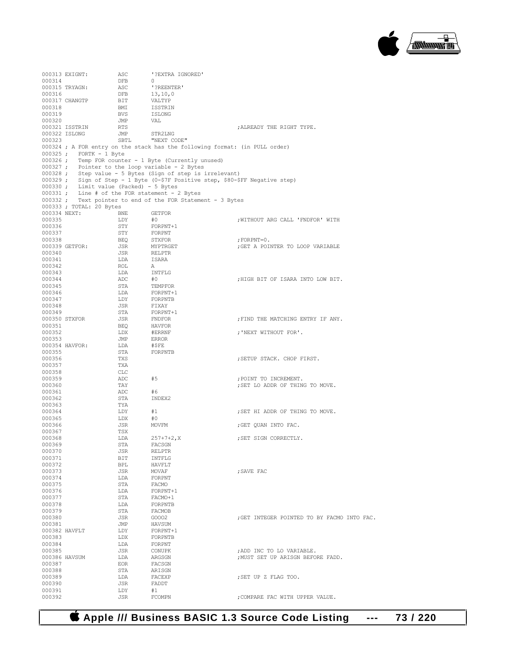

|                  | 000313 EXIGNT:                                 | ASC               | '?EXTRA IGNORED'                                                                                              |                                             |
|------------------|------------------------------------------------|-------------------|---------------------------------------------------------------------------------------------------------------|---------------------------------------------|
| 000314           | 000315 TRYAGN:                                 | <b>DFB</b><br>ASC | $\circ$<br>'?REENTER'                                                                                         |                                             |
| 000316           |                                                | DFB               | 13, 10, 0                                                                                                     |                                             |
|                  | 000317 CHANGTP                                 | BIT               | VALTYP                                                                                                        |                                             |
| 000318           |                                                | BMI               | ISSTRIN                                                                                                       |                                             |
| 000319           |                                                | <b>BVS</b>        | ISLONG                                                                                                        |                                             |
| 000320           |                                                | JMP               | VAL                                                                                                           |                                             |
|                  | 000321 ISSTRIN<br>000322 ISLONG                | RTS<br>JMP        | STR2LNG                                                                                                       | ; ALREADY THE RIGHT TYPE.                   |
| 000323           |                                                | SBTL              | "NEXT CODE"                                                                                                   |                                             |
|                  |                                                |                   | 000324 ; A FOR entry on the stack has the following format: (in PULL order)                                   |                                             |
|                  | 000325 ; FORTK - 1 Byte                        |                   |                                                                                                               |                                             |
|                  |                                                |                   | 000326 ; Temp FOR counter - 1 Byte (Currently unused)                                                         |                                             |
|                  |                                                |                   | 000327 ; Pointer to the loop variable - 2 Bytes<br>000328 ; Step value - 5 Bytes (Sign of step is irrelevant) |                                             |
|                  |                                                |                   | 000329 ; Sign of Step - 1 Byte (0-\$7F Positive step, \$80-\$FF Negative step)                                |                                             |
|                  | 000330 ; Limit value (Packed) - 5 Bytes        |                   |                                                                                                               |                                             |
|                  | 000331 ; Line # of the FOR statement - 2 Bytes |                   |                                                                                                               |                                             |
|                  |                                                |                   | 000332 ; Text pointer to end of the FOR Statement - 3 Bytes                                                   |                                             |
| 000334 NEXT:     | 000333 ; TOTAL: 20 Bytes                       | BNE               | <b>GETFOR</b>                                                                                                 |                                             |
| 000335           |                                                | LDY               | #0                                                                                                            | ; WITHOUT ARG CALL 'FNDFOR' WITH            |
| 000336           |                                                | STY               | FORPNT+1                                                                                                      |                                             |
| 000337           |                                                | STY               | FORPNT                                                                                                        |                                             |
| 000338           |                                                | BEO               | STXFOR                                                                                                        | ; $FORPNT=0$ .                              |
|                  | 000339 GETFOR:                                 | JSR               | MYPTRGET                                                                                                      | ; GET A POINTER TO LOOP VARIABLE            |
| 000340<br>000341 |                                                | JSR<br>LDA        | RELPTR<br>ISARA                                                                                               |                                             |
| 000342           |                                                | ROL               | <b>A</b>                                                                                                      |                                             |
| 000343           |                                                | LDA               | INTFLG                                                                                                        |                                             |
| 000344           |                                                | ADC               | #0                                                                                                            | ; HIGH BIT OF ISARA INTO LOW BIT.           |
| 000345           |                                                | STA               | TEMPFOR                                                                                                       |                                             |
| 000346           |                                                | LDA               | FORPNT+1                                                                                                      |                                             |
| 000347           |                                                | LDY               | FORPNTB                                                                                                       |                                             |
| 000348<br>000349 |                                                | JSR<br>STA        | FIXAY<br>FORPNT+1                                                                                             |                                             |
|                  | 000350 STXFOR                                  | JSR               | FNDFOR                                                                                                        | FIND THE MATCHING ENTRY IF ANY.             |
| 000351           |                                                | BEQ               | HAVFOR                                                                                                        |                                             |
| 000352           |                                                | LDX               | #ERRNF                                                                                                        | ; 'NEXT WITHOUT FOR'.                       |
| 000353           |                                                | JMP               | ERROR                                                                                                         |                                             |
|                  | 000354 HAVFOR:                                 | LDA               | #\$FE                                                                                                         |                                             |
| 000355<br>000356 |                                                | STA<br>TXS        | FORPNTB                                                                                                       | ; SETUP STACK. CHOP FIRST.                  |
| 000357           |                                                | TXA               |                                                                                                               |                                             |
| 000358           |                                                | CLC               |                                                                                                               |                                             |
| 000359           |                                                | ADC               | #5                                                                                                            | ; POINT TO INCREMENT.                       |
| 000360           |                                                | TAY               |                                                                                                               | ; SET LO ADDR OF THING TO MOVE.             |
| 000361           |                                                | ADC               | #6                                                                                                            |                                             |
| 000362<br>000363 |                                                | STA<br>TYA        | INDEX2                                                                                                        |                                             |
| 000364           |                                                | LDY               | #1                                                                                                            | ; SET HI ADDR OF THING TO MOVE.             |
| 000365           |                                                | LDX               | #0                                                                                                            |                                             |
| 000366           |                                                | JSR               | MOVFM                                                                                                         | ; GET QUAN INTO FAC.                        |
| 000367           |                                                | TSX               |                                                                                                               |                                             |
| 000368           |                                                | LDA               | $257 + 7 + 2$ , X                                                                                             | ; SET SIGN CORRECTLY.                       |
| 000369<br>000370 |                                                | STA<br>JSR        | FACSGN<br>RELPTR                                                                                              |                                             |
| 000371           |                                                | BIT               | INTFLG                                                                                                        |                                             |
| 000372           |                                                | BPL               | HAVFLT                                                                                                        |                                             |
| 000373           |                                                | JSR               | MOVAF                                                                                                         | ; SAVE FAC                                  |
| 000374           |                                                | LDA               | FORPNT                                                                                                        |                                             |
| 000375<br>000376 |                                                | STA<br>LDA        | FACMO<br>FORPNT+1                                                                                             |                                             |
| 000377           |                                                | STA               | FACMO+1                                                                                                       |                                             |
| 000378           |                                                | LDA               | FORPNTB                                                                                                       |                                             |
| 000379           |                                                | STA               | FACMOB                                                                                                        |                                             |
| 000380           |                                                | JSR               | G0002                                                                                                         | : GET INTEGER POINTED TO BY FACMO INTO FAC. |
| 000381           |                                                | JMP               | HAVSUM                                                                                                        |                                             |
| 000382 HAVFLT    |                                                | LDY               | FORPNT+1                                                                                                      |                                             |
| 000383<br>000384 |                                                | LDX<br>LDA        | FORPNTB<br>FORPNT                                                                                             |                                             |
| 000385           |                                                | JSR               | CONUPK                                                                                                        | ; ADD INC TO LO VARIABLE.                   |
| 000386 HAVSUM    |                                                | LDA               | ARGSGN                                                                                                        | ; MUST SET UP ARISGN BEFORE FADD.           |
| 000387           |                                                | EOR               | FACSGN                                                                                                        |                                             |
| 000388           |                                                | STA               | ARISGN                                                                                                        |                                             |
| 000389           |                                                | LDA               | FACEXP                                                                                                        | ; SET UP Z FLAG TOO.                        |
| 000390<br>000391 |                                                | JSR<br>LDY        | FADDT<br>#1                                                                                                   |                                             |
| 000392           |                                                | JSR               | FCOMPN                                                                                                        | ; COMPARE FAC WITH UPPER VALUE.             |
|                  |                                                |                   |                                                                                                               |                                             |

 **Apple /// Business BASIC 1.3 Source Code Listing --- 73 / 220**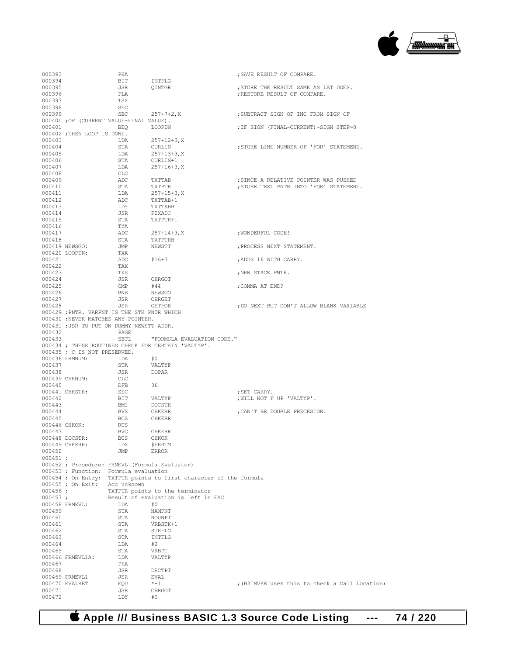

| 000393           |                                                                                    | PHA         |                                                     | ; SAVE RESULT OF COMPARE.                      |
|------------------|------------------------------------------------------------------------------------|-------------|-----------------------------------------------------|------------------------------------------------|
| 000394           |                                                                                    | BIT         | INTFLG                                              |                                                |
| 000395           |                                                                                    | JSR         | OINTGR                                              | ; STORE THE RESULT SAME AS LET DOES.           |
| 000396           |                                                                                    | PLA         |                                                     | ; RESTORE RESULT OF COMPARE.                   |
| 000397           |                                                                                    | TSX         |                                                     |                                                |
| 000398           |                                                                                    | SEC         |                                                     |                                                |
| 000399           |                                                                                    | SBC         | $257 + 7 + 2$ , X                                   | : SUBTRACT SIGN OF INC FROM SIGN OF            |
|                  | 000400 ; OF (CURRENT VALUE-FINAL VALUE).                                           |             |                                                     |                                                |
| 000401           |                                                                                    | BEO         | LOOPDN                                              | : IF SIGN (FINAL-CURRENT)-SIGN STEP=0          |
|                  | 000402 ; THEN LOOP IS DONE.                                                        |             |                                                     |                                                |
| 000403           |                                                                                    | LDA         | $257 + 12 + 3, X$                                   |                                                |
| 000404<br>000405 |                                                                                    | STA<br>LDA  | CURLIN<br>$257 + 13 + 3$ , X                        | ; STORE LINE NUMBER OF 'FOR' STATEMENT.        |
| 000406           |                                                                                    | STA         | CURLIN+1                                            |                                                |
| 000407           |                                                                                    | LDA         | $257 + 16 + 3$ , X                                  |                                                |
| 000408           |                                                                                    | CLC         |                                                     |                                                |
| 000409           |                                                                                    | ADC         | TXTTAB                                              | ; SINCE A RELATIVE POINTER WAS PUSHED          |
| 000410           |                                                                                    | STA         | <b>TXTPTR</b>                                       | ; STORE TEXT PNTR INTO 'FOR' STATEMENT.        |
| 000411           |                                                                                    | LDA         | $257 + 15 + 3$ , X                                  |                                                |
| 000412           |                                                                                    | ADC         | TXTTAB+1                                            |                                                |
| 000413           |                                                                                    | LDY         | TXTTABB                                             |                                                |
| 000414           |                                                                                    | JSR         | FIXADC                                              |                                                |
| 000415           |                                                                                    | STA         | TXTPTR+1                                            |                                                |
| 000416           |                                                                                    | TYA         |                                                     |                                                |
| 000417           |                                                                                    | ADC         | $257 + 14 + 3$ , X                                  | ; WONDERFUL CODE!                              |
| 000418           |                                                                                    | STA         | TXTPTRB                                             |                                                |
|                  | 000419 NEWSGO:                                                                     | JMP         | NEWSTT                                              | ; PROCESS NEXT STATEMENT.                      |
|                  | 000420 LOOPDN:                                                                     | TXA         |                                                     |                                                |
| 000421           |                                                                                    | ADC         | $#16 + 3$                                           | ; ADDS 16 WITH CARRY.                          |
| 000422           |                                                                                    | TAX         |                                                     |                                                |
| 000423           |                                                                                    | TXS         |                                                     | ; NEW STACK PNTR.                              |
| 000424           |                                                                                    | JSR         | CHRGOT                                              |                                                |
| 000425           |                                                                                    | CMP         | #44                                                 | ;COMMA AT END?                                 |
| 000426           |                                                                                    | BNE         | NEWSGO                                              |                                                |
| 000427           |                                                                                    | JSR         | CHRGET                                              |                                                |
| 000428           |                                                                                    | JSR         | <b>GETFOR</b>                                       | ; DO NEXT BUT DON'T ALLOW BLANK VARIABLE       |
|                  | 000429 ; PNTR. VARPNT IS THE STK PNTR WHICH<br>000430 ; NEVER MATCHES ANY POINTER. |             |                                                     |                                                |
|                  | 000431 ; JSR TO PUT ON DUMMY NEWSTT ADDR.                                          |             |                                                     |                                                |
| 000432           |                                                                                    | PAGE        |                                                     |                                                |
|                  |                                                                                    |             |                                                     |                                                |
|                  |                                                                                    |             |                                                     |                                                |
| 000433           |                                                                                    | SBTL        | "FORMULA EVALUATION CODE."                          |                                                |
|                  |                                                                                    |             | 000434 ; THESE ROUTINES CHECK FOR CERTAIN 'VALTYP'. |                                                |
|                  | 000435 ; C IS NOT PRESERVED.                                                       |             |                                                     |                                                |
| 000437           | 000436 FRMNUM:                                                                     | LDA<br>STA  | #0<br>VALTYP                                        |                                                |
| 000438           |                                                                                    | JSR         | DOPAR                                               |                                                |
|                  | 000439 CHKNUM:                                                                     | CLC         |                                                     |                                                |
| 000440           |                                                                                    | DFB         | 36                                                  |                                                |
|                  | 000441 CHKSTR:                                                                     | SEC         |                                                     | ; SET CARRY.                                   |
| 000442           |                                                                                    | BIT         | VALTYP                                              | ; WILL NOT F UP 'VALTYP'.                      |
| 000443           |                                                                                    | BMI         | <b>DOCSTR</b>                                       |                                                |
| 000444           |                                                                                    | BVS         | <b>CHKERR</b>                                       | ; CAN'T BE DOUBLE PRECESION.                   |
| 000445           |                                                                                    | <b>BCS</b>  | <b>CHKERR</b>                                       |                                                |
| 000446 CHKOK:    |                                                                                    | RTS         |                                                     |                                                |
| 000447           |                                                                                    | BVC         | <b>CHKERR</b>                                       |                                                |
|                  | 000448 DOCSTR:                                                                     | <b>BCS</b>  | CHKOK                                               |                                                |
|                  | 000449 CHKERR:                                                                     | LDX         | #ERRTM                                              |                                                |
| 000450           |                                                                                    | JMP         | <b>ERROR</b>                                        |                                                |
| 000451;          |                                                                                    |             |                                                     |                                                |
|                  |                                                                                    |             | 000452 ; Procedure: FRMEVL (Formula Evaluator)      |                                                |
|                  | 000453 ; Function: Formula evaluation                                              |             |                                                     |                                                |
|                  | 000454 ; On Entry:                                                                 |             | TXTPTR points to first character of the formula     |                                                |
|                  | 000455 ; On Exit:                                                                  | Acc unknown |                                                     |                                                |
| $000456$ ;       |                                                                                    |             | TXTPTR points to the terminator                     |                                                |
| 000457;          |                                                                                    |             | Result of evaluation is left in FAC                 |                                                |
|                  | 000458 FRMEVL:                                                                     | LDA         | #0                                                  |                                                |
| 000459           |                                                                                    | STA         | NAMPNT                                              |                                                |
| 000460<br>000461 |                                                                                    | STA<br>STA  | NOUNPT<br>VRBSTK+1                                  |                                                |
| 000462           |                                                                                    | STA         | STRFLG                                              |                                                |
| 000463           |                                                                                    | STA         | INTFLG                                              |                                                |
| 000464           |                                                                                    | LDA         | #2                                                  |                                                |
| 000465           |                                                                                    | STA         | VRBPT                                               |                                                |
|                  | 000466 FRMEVL1A:                                                                   | LDA         | VALTYP                                              |                                                |
| 000467           |                                                                                    | PHA         |                                                     |                                                |
| 000468           |                                                                                    | JSR         | DECTPT                                              |                                                |
|                  | 000469 FRMEVL1                                                                     | JSR         | EVAL                                                |                                                |
|                  | 000470 EVALRET                                                                     | EQU         | *-1                                                 | ; (B3INVKE uses this to check a Call Location) |
| 000471<br>000472 |                                                                                    | JSR<br>LDY  | CHRGOT<br>#0                                        |                                                |

 **Apple /// Business BASIC 1.3 Source Code Listing --- 74 / 220**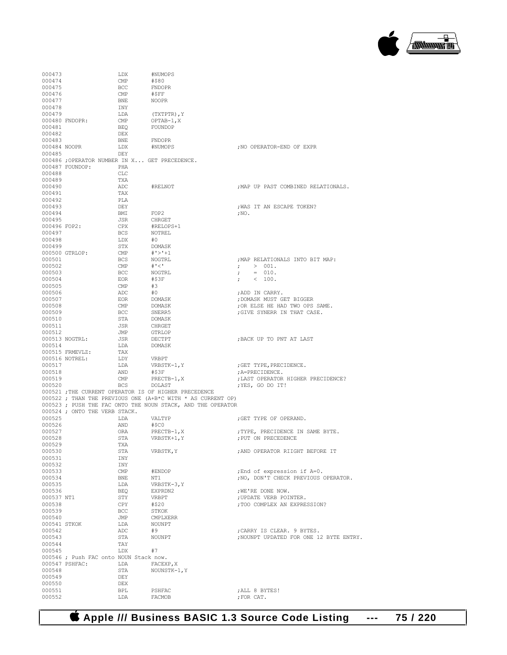

| 000473                 |                                                          | LDX                 | #NUMOPS                                                     |                                                                     |
|------------------------|----------------------------------------------------------|---------------------|-------------------------------------------------------------|---------------------------------------------------------------------|
| 000474                 |                                                          | $\text{CMP}$        | #\$80                                                       |                                                                     |
| 000475                 |                                                          | BCC                 | FNDOPR                                                      |                                                                     |
| 000476<br>000477       |                                                          | CMP<br>BNE          | #\$FF<br><b>NOOPR</b>                                       |                                                                     |
| 000478                 |                                                          | INY                 |                                                             |                                                                     |
| 000479                 |                                                          | LDA                 | (TXTPTR), Y                                                 |                                                                     |
|                        | 000480 FNDOPR:                                           | $\text{CMP}$        | OPTAB-1, X                                                  |                                                                     |
| 000481                 |                                                          | BEO                 | FOUNDOP                                                     |                                                                     |
| 000482                 |                                                          | DEX                 |                                                             |                                                                     |
| 000483                 |                                                          | BNE<br>LDX          | <b>FNDOPR</b>                                               |                                                                     |
| 000484 NOOPR<br>000485 |                                                          | DEY                 | #NUMOPS                                                     | ; NO OPERATOR-END OF EXPR                                           |
|                        | 000486 ; OPERATOR NUMBER IN X GET PRECEDENCE.            |                     |                                                             |                                                                     |
|                        | 000487 FOUNDOP:                                          | PHA                 |                                                             |                                                                     |
| 000488                 |                                                          | <b>CLC</b>          |                                                             |                                                                     |
| 000489                 |                                                          | TXA                 |                                                             |                                                                     |
| 000490<br>000491       |                                                          | ADC<br>TAX          | #RELNOT                                                     | ; MAP UP PAST COMBINED RELATIONALS.                                 |
| 000492                 |                                                          | PLA                 |                                                             |                                                                     |
| 000493                 |                                                          | DEY                 |                                                             | ; WAS IT AN ESCAPE TOKEN?                                           |
| 000494                 |                                                          | BMI                 | FOP2                                                        | $; \mathrm{NO}$ .                                                   |
| 000495                 |                                                          | JSR                 | CHRGET                                                      |                                                                     |
| 000496 FOP2:           |                                                          | CPX                 | #RELOPS+1                                                   |                                                                     |
| 000497                 |                                                          | BCS                 | NOTREL                                                      |                                                                     |
| 000498<br>000499       |                                                          | LDX<br>STX          | #0<br>DOMASK                                                |                                                                     |
|                        | 000500 GTRLOP:                                           | $\text{CMP}$        | #'>'+1                                                      |                                                                     |
| 000501                 |                                                          | BCS                 | NOGTRL                                                      | ; MAP RELATIONALS INTO BIT MAP:                                     |
| 000502                 |                                                          | CMP                 | <b>#' &lt; '</b>                                            | ; > 001.                                                            |
| 000503                 |                                                          | BCC                 | NOGTRL                                                      | $= 010.$<br>$\ddot{ }$                                              |
| 000504                 |                                                          | EOR                 | #\$3F                                                       | < 100.<br>$\mathcal{L}$                                             |
| 000505<br>000506       |                                                          | CMP<br>ADC          | #3<br>#0                                                    | ;ADD IN CARRY.                                                      |
| 000507                 |                                                          | EOR                 |                                                             | ; DOMASK MUST GET BIGGER                                            |
| 000508                 |                                                          | CMP                 | DOMASK<br>DOMASK                                            | ; OR ELSE HE HAD TWO OPS SAME.                                      |
| 000509                 |                                                          | BCC                 | SNERR5                                                      | ; GIVE SYNERR IN THAT CASE.                                         |
| 000510                 |                                                          | STA                 | DOMASK                                                      |                                                                     |
| 000511                 |                                                          | JSR                 | CHRGET                                                      |                                                                     |
| 000512                 | 000513 NOGTRL:                                           | JMP<br>JSR          | GTRLOP<br>DECTPT                                            | ; BACK UP TO PNT AT LAST                                            |
| 000514                 |                                                          | LDA                 | DOMASK                                                      |                                                                     |
|                        | 000515 FRMEVLZ:                                          | TAX                 |                                                             |                                                                     |
|                        | 000516 NOTREL:                                           | LDY                 | VRBPT                                                       |                                                                     |
| 000517                 |                                                          | LDA                 | VRBSTK-1, Y                                                 | ; GET TYPE, PRECIDENCE.                                             |
| 000518<br>000519       |                                                          | AND                 | #\$3F                                                       | ; A=PRECIDENCE.<br>; LAST OPERATOR HIGHER PRECIDENCE?               |
| 000520                 |                                                          | CMP<br><b>BCS</b>   | $PRECTB-1, X$<br>DOLAST                                     | ; YES, GO DO IT!                                                    |
|                        |                                                          |                     | 000521 ; THE CURRENT OPERATOR IS OF HIGHER PRECEDENCE       |                                                                     |
|                        |                                                          |                     | 000522 ; THAN THE PREVIOUS ONE (A+B*C WITH * AS CURRENT OP) |                                                                     |
|                        | 000524 ; ONTO THE VERB STACK.                            |                     | 000523; PUSH THE FAC ONTO THE NOUN STACK, AND THE OPERATOR  |                                                                     |
| 000525                 |                                                          | LDA                 | VALTYP                                                      | : GET TYPE OF OPERAND.                                              |
| 000526<br>000527       |                                                          | AND<br>ORA          | #\$C0<br>PRECTB-1, X                                        | ; TYPE, PRECIDENCE IN SAME BYTE.                                    |
| 000528                 |                                                          | STA                 | VRBSTK+1, Y                                                 | ; PUT ON PRECEDENCE                                                 |
| 000529                 |                                                          | TXA                 |                                                             |                                                                     |
| 000530                 |                                                          | STA                 | VRBSTK, Y                                                   | ; AND OPERATOR RIIGHT BEFORE IT                                     |
| 000531                 |                                                          | INY                 |                                                             |                                                                     |
| 000532                 |                                                          | INY                 |                                                             |                                                                     |
| 000533<br>000534       |                                                          | $\text{CMP}$<br>BNE | #ENDOP<br>NT1                                               | ; End of expression if A=0.<br>; NO, DON'T CHECK PREVIOUS OPERATOR. |
| 000535                 |                                                          | LDA                 | VRBSTK-3, Y                                                 |                                                                     |
| 000536                 |                                                          | BEQ                 | EXPRDN2                                                     | ; WE'RE DONE NOW.                                                   |
| 000537 NT1             |                                                          | STY                 | VRBPT                                                       | ; UPDATE VERB POINTER.                                              |
| 000538                 |                                                          | CPY                 | #\$20                                                       | ; TOO COMPLEX AN EXPRESSION?                                        |
| 000539<br>000540       |                                                          | <b>BCC</b>          | STKOK<br><b>CMPLXERR</b>                                    |                                                                     |
| 000541 STKOK           |                                                          | JMP<br>LDA          | NOUNPT                                                      |                                                                     |
| 000542                 |                                                          | ADC                 | #9                                                          | ; CARRY IS CLEAR. 9 BYTES.                                          |
| 000543                 |                                                          | STA                 | NOUNPT                                                      | :NOUNPT UPDATED FOR ONE 12 BYTE ENTRY.                              |
| 000544                 |                                                          | TAY                 |                                                             |                                                                     |
| 000545                 |                                                          | LDX                 | #7                                                          |                                                                     |
|                        | 000546 ; Push FAC onto NOUN Stack now.<br>000547 PSHFAC: | LDA                 | FACEXP, X                                                   |                                                                     |
| 000548                 |                                                          | STA                 | NOUNSTK-1, Y                                                |                                                                     |
| 000549                 |                                                          | DEY                 |                                                             |                                                                     |
| 000550                 |                                                          | <b>DEX</b>          |                                                             |                                                                     |
| 000551                 |                                                          | BPL                 | PSHFAC                                                      | ; ALL 8 BYTES!                                                      |
| 000552                 |                                                          | LDA                 | FACMOB                                                      | ; FOR CAT.                                                          |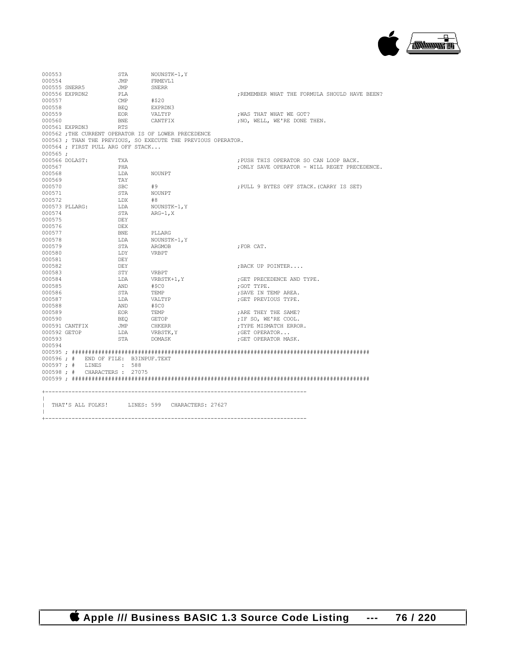

000553 STA NOUNSTK-1, Y<br>000554 JMP FRMEVL1 JMP FRMEVL1<br>JMP SNERR 000555 SNERR5 JMP<br>000556 EXPRDN2 PLA 000556 EXPRDN2 PLA  $\#$ \$20  $\#$ \$20  $\,$  ;REMEMBER WHAT THE FORMULA SHOULD HAVE BEEN? 000557 CMP #\$20<br>000558 BEQ EXPRI % 000558 BEQ EXPRDN3 000559 BEQ EXPRDN3 000559 EOR VALTYP ;WAS THAT WHAT WE GOT?  $\begin{aligned} & \text{BNE} \qquad & \text{CANTFIX} \qquad & \text{, NO, WELL, WE'RE DONE THEN.} \\ & \text{RTS} \qquad & \text{SINTE} \qquad & \text{SINTE} \qquad & \text{SINTE} \qquad & \text{SINTE} \qquad & \text{SINTE} \qquad & \text{SINTE} \qquad & \text{SINTE} \qquad & \text{SINTE} \qquad & \text{SINTE} \qquad & \text{SINTE} \qquad & \text{SINTE} \qquad & \text{SINTE} \qquad & \text{SINTE} \qquad & \text{SINTE} \qquad & \text{SINTE} \q$ 000561 EXPRDN3 000562 ;THE CURRENT OPERATOR IS OF LOWER PRECEDENCE 000563 ; THAN THE PREVIOUS, SO EXECUTE THE PREVIOUS OPERATOR. 000564 ; FIRST PULL ARG OFF STACK... 000565 ;<br>000566 DOLAST: 000566 DOLAST: TXA  $\begin{array}{ccc}\n 0.00566 & DOLAST & TXA \\
 0.00567 & PHA & PHA & PSHYS & QPERATOR = MIT, REGET PREC\n\end{array}$ 000567 PHA ;ONLY SAVE OPERATOR - WILL REGET PRECEDENCE. LDA NOUNPT  $000569$ <br>000570 SBC #9  $;$  PULL 9 BYTES OFF STACK.(CARRY IS SET) 000571 STA NOUNPT 000572 LDX #8 000573 PLLARG: LDA<br>000574 STA STA ARG-1,X 000575 DEY<br>000576 DEX 000576 DEX<br>000577 BNE 000577 BNE PLLARG<br>000578 T.DA NOTINSTII  $\begin{array}{cccc}\n 000578 & & & \text{LDA} & & \text{NOUNSTK-1,Y} \\
 000579 & & & \text{STA} & & \text{ARGMOB}\n \end{array}$  ${\tt STA} \qquad \qquad {\tt ARGMOB} \qquad \qquad {\tt ; FOR CAT.}$   ${\tt LDY}$ 000580 LDY<br>000581 DEY 000581 DEY<br>000582 DEY  ${\tt DBY} \hspace{2.9cm} {\tt JBACK \; UP \; PONTER. \dots}$   ${\tt STY}$ 000583 STY VRBPT<br>000584 DDA VRBSTK+1, Y 000584 LDA VRBSTK+1, Y ;GET PRECEDENCE AND TYPE.<br>000585 AND #\$C0 ;GOT TYPE. 000585 AND #\$C0 ;GOT TYPE. 000586 STA TEMP ;SAVE IN TEMP AREA.  $\begin{array}{llll} \texttt{LDA} & \texttt{VALTYP} & \texttt{?} \texttt{GET PREVIOUS TYPE.} \end{array}$  AND  $\begin{array}{llll} \texttt{\#} \texttt{SC0} & \texttt{\#} \end{array}$ 000588 AND #\$C0<br>000589 EOR TEMP 000589 EOR TEMP ;ARE THEY THE SAME? 000590 BEQ GETOP ;IF SO, WE'RE COOL. 000591 CANTFIX  $\overline{JMP}$  CHKERR  $\overline{O}00592$  GETOP  $\overline{LDA}$  vRBSTK, Y  $\overline{J}$ ; GET OPERATOR... 000592 GETOP LDA VRBSTK,Y ;GET OPERATOR... .<br>GET OPERATOR MASK. 000594 000595 ; ########################################################################################## 000596 ; # END OF FILE: B3INPUF.TEXT 000597 ; # LINES : 588 000598 ; # CHARACTERS : 27075 000599 ; ########################################################################################## +-------------------------------------------------------------------------------  $\|$ THAT'S ALL FOLKS! LINES: 599 CHARACTERS: 27627  $\|$ 

+-------------------------------------------------------------------------------

 **Apple /// Business BASIC 1.3 Source Code Listing --- 76 / 220**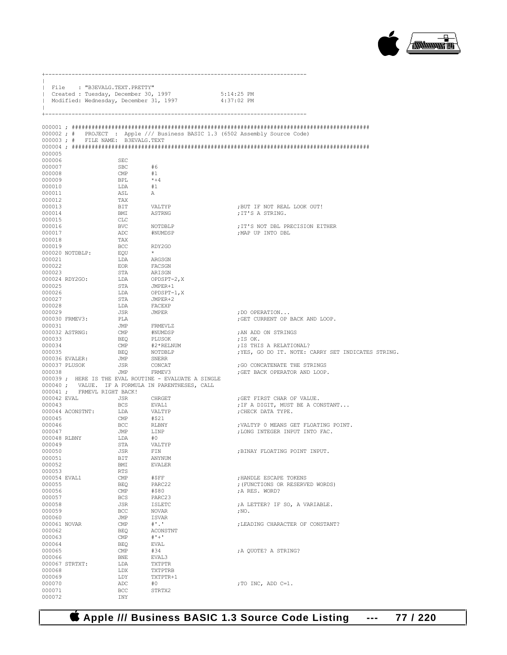

|                        |                  | File : "B3EVALG.TEXT.PRETTY"<br>  Created : Tuesday, December 30, 1997 | Modified: Wednesday, December 31, 1997                             | $5:14:25$ PM<br>4:37:02 PM                                                    |
|------------------------|------------------|------------------------------------------------------------------------|--------------------------------------------------------------------|-------------------------------------------------------------------------------|
| $^{+}$                 |                  |                                                                        |                                                                    |                                                                               |
|                        |                  |                                                                        |                                                                    | 000002; # PROJECT : Apple /// Business BASIC 1.3 (6502 Assembly Source Code)  |
|                        |                  | 000003; # FILE NAME: B3EVALG.TEXT                                      |                                                                    |                                                                               |
| 000005                 |                  |                                                                        |                                                                    |                                                                               |
| 000006                 |                  | <b>SEC</b>                                                             |                                                                    |                                                                               |
| 000007                 |                  | <b>SBC</b>                                                             | #6                                                                 |                                                                               |
| 000008                 |                  | $\mathsf{CMP}$<br>BPL                                                  | #1<br>$* + 4$                                                      |                                                                               |
| 000009<br>000010       |                  | LDA                                                                    | #1                                                                 |                                                                               |
| 000011                 |                  | ASL                                                                    | A                                                                  |                                                                               |
| 000012                 |                  | TAX                                                                    |                                                                    |                                                                               |
| 000013<br>000014       |                  | BIT<br>BMI                                                             | VALTYP<br>ASTRNG                                                   | ; BUT IF NOT REAL LOOK OUT!<br>;IT'S A STRING.                                |
| 000015                 |                  | CLC                                                                    |                                                                    |                                                                               |
| 000016                 |                  | BVC                                                                    | NOTDBLP                                                            | ; IT'S NOT DBL PRECISION EITHER                                               |
| 000017<br>000018       |                  | ADC<br>TAX                                                             | #NUMDSP                                                            | MAP UP INTO DBL;                                                              |
| 000019                 |                  | BCC                                                                    | RDY2GO                                                             |                                                                               |
|                        | 000020 NOTDBLP:  | EOU                                                                    | $\star$                                                            |                                                                               |
| 000021<br>000022       |                  | LDA<br>EOR                                                             | ARGSGN<br>FACSGN                                                   |                                                                               |
| 000023                 |                  | STA                                                                    | ARISGN                                                             |                                                                               |
|                        | 000024 RDY2GO:   | LDA                                                                    | OPDSPT-2,X                                                         |                                                                               |
| 000025                 |                  | STA                                                                    | JMPER+1                                                            |                                                                               |
| 000026<br>000027       |                  | LDA<br>STA                                                             | OPDSPT-1,X<br>JMPER+2                                              |                                                                               |
| 000028                 |                  | LDA                                                                    | FACEXP                                                             |                                                                               |
| 000029                 |                  | JSR                                                                    | <b>JMPER</b>                                                       | ; DO OPERATION                                                                |
| 000031                 | 000030 FRMEV3:   | PLA<br>JMP                                                             | FRMEVLZ                                                            | ; GET CURRENT OP BACK AND LOOP.                                               |
|                        | 000032 ASTRNG:   | CMP                                                                    | #NUMDSP                                                            | ; AN ADD ON STRINGS                                                           |
| 000033                 |                  | BEO                                                                    | PLUSOK                                                             | ;IS OK.                                                                       |
| 000034<br>000035       |                  | CMP<br>BEO                                                             | #2*RELNUM<br>NOTDBLP                                               | ; IS THIS A RELATIONAL?<br>; YES, GO DO IT. NOTE: CARRY SET INDICATES STRING. |
|                        | 000036 EVALER:   | JMP                                                                    | SNERR                                                              |                                                                               |
|                        | 000037 PLUSOK    | JSR                                                                    | CONCAT                                                             | ; GO CONCATENATE THE STRINGS                                                  |
| 000038                 |                  |                                                                        | JMP FRMEV3<br>000039; HERE IS THE EVAL ROUTINE - EVALUATE A SINGLE | ; GET BACK OPERATOR AND LOOP.                                                 |
|                        |                  |                                                                        | 000040; VALUE. IF A FORMULA IN PARENTHESES, CALL                   |                                                                               |
| 000042 EVAL            |                  | 000041; FRMEVL RIGHT BACK!<br>JSR                                      |                                                                    | ; GET FIRST CHAR OF VALUE.                                                    |
| 000043                 |                  | BCS                                                                    | CHRGET<br>EVAL1                                                    | ; IF A DIGIT, MUST BE A CONSTANT                                              |
|                        | 000044 ACONSTNT: | LDA                                                                    | VALTYP                                                             | CHECK DATA TYPE.                                                              |
| 000045<br>000046       |                  | $\text{CMP}$<br>BCC                                                    | #\$21<br>RLBNY                                                     |                                                                               |
| 000047                 |                  | JMP                                                                    | LINP                                                               | ; VALTYP 0 MEANS GET FLOATING POINT.<br>; LONG INTEGER INPUT INTO FAC.        |
| 000048 RLBNY           |                  | LDA                                                                    | #0                                                                 |                                                                               |
| 000049                 |                  | STA                                                                    | VALTYP                                                             |                                                                               |
| 000050<br>000051       |                  | JSR<br>BIT                                                             | FIN<br>ANYNUM                                                      | , BINAY FLOATING POINT INPUT.                                                 |
| 000052                 |                  | BMI                                                                    | <b>EVALER</b>                                                      |                                                                               |
| 000053<br>000054 EVAL1 |                  | RTS                                                                    | #SFF                                                               |                                                                               |
| 000055                 |                  | $\text{CMP}$<br><b>BEQ</b>                                             | PARC22                                                             | ; HANDLE ESCAPE TOKENS<br>; (FUNCTIONS OR RESERVED WORDS)                     |
| 000056                 |                  | $\text{CMP}$                                                           | #\$80                                                              | :A RES. WORD?                                                                 |
| 000057                 |                  | <b>BCS</b>                                                             | PARC23                                                             |                                                                               |
| 000058<br>000059       |                  | JSR<br><b>BCC</b>                                                      | <b>ISLETC</b><br>NOVAR                                             | ; A LETTER? IF SO, A VARIABLE.<br>$;{\rm NO}$ .                               |
| 000060                 |                  | JMP                                                                    | ISVAR                                                              |                                                                               |
| 000061 NOVAR           |                  | $\text{CMP}$                                                           | $^{\#}$ .                                                          | ; LEADING CHARACTER OF CONSTANT?                                              |
| 000062<br>000063       |                  | <b>BEQ</b><br>$\text{CMP}$                                             | ACONSTNT<br>$# + +$                                                |                                                                               |
| 000064                 |                  | <b>BEQ</b>                                                             | EVAL                                                               |                                                                               |
| 000065                 |                  | $\text{CMP}$                                                           | #34                                                                | ; A OUOTE? A STRING?                                                          |
| 000066                 |                  | BNE<br>LDA                                                             | EVAL3<br>TXTPTR                                                    |                                                                               |
| 000068                 | 000067 STRTXT:   | LDX                                                                    | TXTPTRB                                                            |                                                                               |
| 000069                 |                  | LDY                                                                    | TXTPTR+1                                                           |                                                                               |
| 000070<br>000071       |                  | ADC<br>BCC                                                             | #0<br>STRTX2                                                       | ; TO INC, ADD C=1.                                                            |
| 000072                 |                  | INY                                                                    |                                                                    |                                                                               |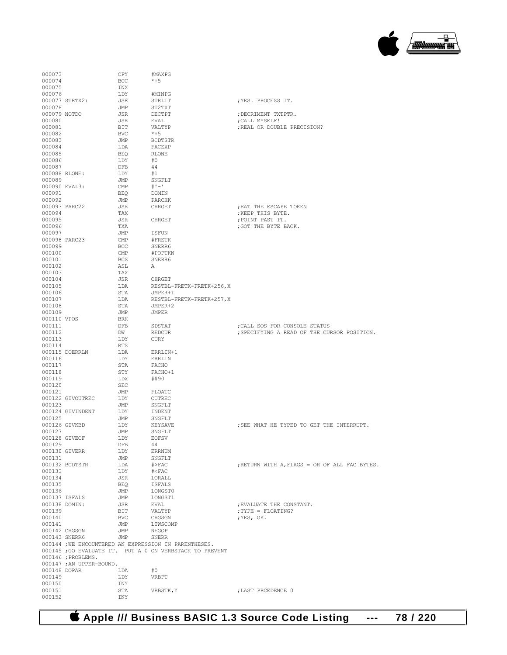

| 000073                 |                          | CPY               | #MAXPG                                                  |                                               |
|------------------------|--------------------------|-------------------|---------------------------------------------------------|-----------------------------------------------|
| 000074                 |                          | BCC               | $*+5$                                                   |                                               |
| 000075                 |                          | INX               |                                                         |                                               |
| 000076                 |                          | LDY               | #MINPG                                                  |                                               |
| 000078                 | 000077 STRTX2:           | JSR               | STRLIT                                                  | ; YES. PROCESS IT.                            |
| 000079 NOTDO           |                          | JMP<br>JSR        | ST2TXT<br>DECTPT                                        | ; DECRIMENT TXTPTR.                           |
| 000080                 |                          | JSR               | EVAL                                                    | ; CALL MYSELF!                                |
| 000081                 |                          | BIT               | VALTYP                                                  | ; REAL OR DOUBLE PRECISION?                   |
| 000082                 |                          | BVC               | $*+5$                                                   |                                               |
| 000083                 |                          | JMP               | <b>BCDTSTR</b>                                          |                                               |
| 000084                 |                          | LDA               | FACEXP                                                  |                                               |
| 000085                 |                          | BEO               | RLONE                                                   |                                               |
| 000086                 |                          | LDY               | #0                                                      |                                               |
| 000087                 |                          | DFB               | 44                                                      |                                               |
| 000088 RLONE:          |                          | LDY               | #1                                                      |                                               |
| 000089                 |                          | JMP               | SNGFLT                                                  |                                               |
| 000090 EVAL3:          |                          | CMP               | $#1 - 1$                                                |                                               |
| 000091                 |                          | BEO               | DOMIN                                                   |                                               |
| 000092                 |                          | JMP               | PARCHK                                                  |                                               |
| 000093 PARC22          |                          | JSR               | CHRGET                                                  | ; EAT THE ESCAPE TOKEN                        |
| 000094                 |                          | TAX               |                                                         | ; KEEP THIS BYTE.                             |
| 000095                 |                          | <b>JSR</b><br>TXA | CHRGET                                                  | ; POINT PAST IT.                              |
| 000096<br>000097       |                          | JMP               | ISFUN                                                   | ; GOT THE BYTE BACK.                          |
| 000098 PARC23          |                          | CMP               | #FRETK                                                  |                                               |
| 000099                 |                          | <b>BCC</b>        | SNERR6                                                  |                                               |
| 000100                 |                          | CMP               | #POPTKN                                                 |                                               |
| 000101                 |                          | <b>BCS</b>        | SNERR6                                                  |                                               |
| 000102                 |                          | ASL               | А                                                       |                                               |
| 000103                 |                          | TAX               |                                                         |                                               |
| 000104                 |                          | JSR               | CHRGET                                                  |                                               |
| 000105                 |                          | LDA               | RESTBL-FRETK-FRETK+256, X                               |                                               |
| 000106                 |                          | STA               | JMPER+1                                                 |                                               |
| 000107                 |                          | LDA               | RESTBL-FRETK-FRETK+257, X                               |                                               |
| 000108                 |                          | STA               | JMPER+2                                                 |                                               |
| 000109                 |                          | JMP               | JMPER                                                   |                                               |
| 000110 VPOS            |                          | BRK               |                                                         |                                               |
| 000111                 |                          | DFB               | SDSTAT                                                  | ; CALL SOS FOR CONSOLE STATUS                 |
| 000112                 |                          | DW                | REDCUR                                                  | ; SPECIFYING A READ OF THE CURSOR POSITION.   |
| 000113                 |                          | LDY               | CURY                                                    |                                               |
| 000114                 | 000115 DOERRLN           | RTS<br>LDA        | ERRLIN+1                                                |                                               |
| 000116                 |                          | LDY               | ERRLIN                                                  |                                               |
| 000117                 |                          | STA               | FACHO                                                   |                                               |
| 000118                 |                          | STY               | FACHO+1                                                 |                                               |
| 000119                 |                          | LDX               | #\$90                                                   |                                               |
| 000120                 |                          | <b>SEC</b>        |                                                         |                                               |
| 000121                 |                          | JMP               | FLOATC                                                  |                                               |
|                        | 000122 GIVOUTREC         | LDY               | OUTREC                                                  |                                               |
| 000123                 |                          | JMP               | SNGFLT                                                  |                                               |
|                        | 000124 GIVINDENT         | LDY               | INDENT                                                  |                                               |
| 000125                 |                          | JMP               | SNGFLT                                                  |                                               |
| 000126 GIVKBD          |                          | LDY               | KEYSAVE                                                 | ; SEE WHAT HE TYPED TO GET THE INTERRUPT.     |
| 000127                 |                          | JMP               | SNGFLT                                                  |                                               |
| 000128 GIVEOF          |                          | LDY               | <b>EOFSV</b>                                            |                                               |
| 000129                 |                          | DFB               | 44                                                      |                                               |
| 000130 GIVERR          |                          | LDY               | <b>ERRNUM</b>                                           |                                               |
| 000131                 | 000132 BCDTSTR           | JMP               | SNGFLT<br>$#$ >FAC                                      |                                               |
| 000133                 |                          | LDA<br>LDY        | $\# <$ FAC                                              | ; RETURN WITH A, FLAGS = OR OF ALL FAC BYTES. |
| 000134                 |                          | JSR               | LORALL                                                  |                                               |
| 000135                 |                          | BEQ               | ISFALS                                                  |                                               |
| 000136                 |                          | JMP               | LONGST0                                                 |                                               |
| 000137 ISFALS          |                          | JMP               | LONGST1                                                 |                                               |
| 000138 DOMIN:          |                          | JSR               | EVAL                                                    | ; EVALUATE THE CONSTANT.                      |
| 000139                 |                          | BIT               | VALTYP                                                  | ; TYPE = FLOATING?                            |
| 000140                 |                          | <b>BVC</b>        | CHGSGN                                                  | ; YES, OK.                                    |
| 000141                 |                          | JMP               | LTWSCOMP                                                |                                               |
| 000142 CHGSGN          |                          | JMP               | NEGOP                                                   |                                               |
| 000143 SNERR6          |                          | JMP               | SNERR                                                   |                                               |
|                        |                          |                   | 000144 ; WE ENCOUNTERED AN EXPRESSION IN PARENTHESES.   |                                               |
|                        |                          |                   | 000145; GO EVALUATE IT. PUT A 0 ON VERBSTACK TO PREVENT |                                               |
|                        | 000146 ; PROBLEMS.       |                   |                                                         |                                               |
|                        | 000147 ; AN UPPER-BOUND. |                   |                                                         |                                               |
| 000148 DOPAR<br>000149 |                          | LDA<br>LDY        | #0<br>VRBPT                                             |                                               |
| 000150                 |                          | INY               |                                                         |                                               |
| 000151                 |                          | STA               | VRBSTK, Y                                               | ; LAST PRCEDENCE 0                            |
| 000152                 |                          | INY               |                                                         |                                               |
|                        |                          |                   |                                                         |                                               |

 **Apple /// Business BASIC 1.3 Source Code Listing --- 78 / 220**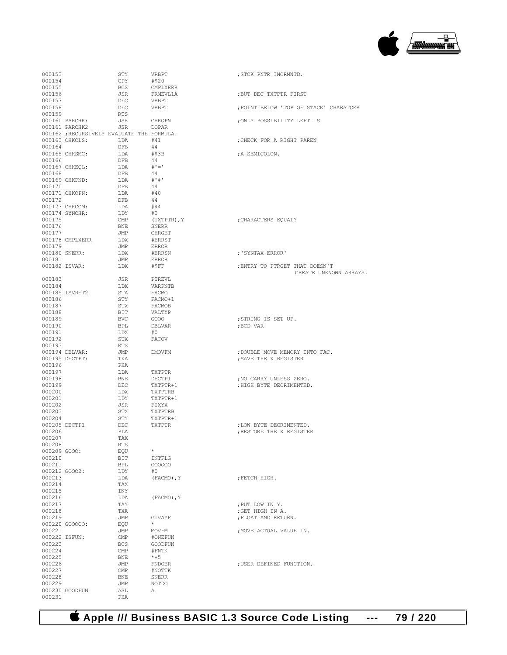

| 000153           |                                            | STY          | VRBPT               | ; STCK PNTR INCRMNTD.                  |
|------------------|--------------------------------------------|--------------|---------------------|----------------------------------------|
| 000154           |                                            | CPY          | #\$20               |                                        |
| 000155           |                                            | <b>BCS</b>   | CMPLXERR            |                                        |
| 000156           |                                            | JSR          | FRMEVL1A            | ; BUT DEC TXTPTR FIRST                 |
| 000157           |                                            | DEC          | VRBPT               |                                        |
| 000158           |                                            | DEC          | VRBPT               | ; POINT BELOW 'TOP OF STACK' CHARATCER |
| 000159           |                                            | RTS          |                     |                                        |
|                  | 000160 PARCHK:                             | JSR          | CHKOPN              | ; ONLY POSSIBILITY LEFT IS             |
|                  | 000161 PARCHK2                             | JSR          | DOPAR               |                                        |
|                  | 000162 ; RECURSIVELY EVALUATE THE FORMULA. |              |                     |                                        |
|                  | 000163 CHKCLS:                             | LDA          | #41                 | ; CHECK FOR A RIGHT PAREN              |
| 000164           | 000165 CHKSMC:                             | DFB          | 44<br>#S3B          |                                        |
| 000166           |                                            | LDA<br>DFB   | 44                  | ; A SEMICOLON.                         |
|                  | 000167 CHKEQL:                             | LDA          | $# I = I$           |                                        |
| 000168           |                                            | DFB          | 44                  |                                        |
|                  | 000169 CHKPND:                             | LDA          | # 1# 1              |                                        |
| 000170           |                                            | DFB          | 44                  |                                        |
|                  | 000171 CHKOPN:                             | LDA          | #40                 |                                        |
| 000172           |                                            | DFB          | -44                 |                                        |
|                  | 000173 CHKCOM:                             | LDA          | #44                 |                                        |
|                  | 000174 SYNCHR:                             | LDY          | #0                  |                                        |
| 000175           |                                            | CMP          | (TXTPTR), Y         | ; CHARACTERS EQUAL?                    |
| 000176           |                                            | BNE          | SNERR               |                                        |
| 000177           |                                            | JMP          | CHRGET              |                                        |
|                  | 000178 CMPLXERR                            | LDX          | #ERRST              |                                        |
| 000179           |                                            | JMP          | ERROR               |                                        |
|                  | 000180 SNERR:                              | LDX          | #ERRSN              | :'SYNTAX ERROR'                        |
| 000181           |                                            | JMP          | ERROR               |                                        |
|                  | 000182 ISVAR:                              | LDX          | #\$FF               | ; ENTRY TO PTRGET THAT DOESN'T         |
|                  |                                            |              |                     | CREATE UNKNOWN ARRAYS.                 |
| 000183           |                                            | JSR          | PTREVL              |                                        |
| 000184           |                                            | LDX          | VARPNTB             |                                        |
|                  | 000185 ISVRET2                             | STA          | FACMO               |                                        |
| 000186           |                                            | STY          | FACMO+1             |                                        |
| 000187           |                                            | STX          | FACMOB              |                                        |
| 000188           |                                            | BIT          | VALTYP              |                                        |
| 000189           |                                            | <b>BVC</b>   | GOO0                | ; STRING IS SET UP.                    |
| 000190           |                                            | BPL          | DBLVAR              | ;BCD VAR                               |
| 000191           |                                            | LDX          | #0                  |                                        |
| 000192           |                                            | STX          | FACOV               |                                        |
| 000193           |                                            | RTS          |                     |                                        |
|                  | 000194 DBLVAR:                             | JMP          | DMOVFM              | ; DOUBLE MOVE MEMORY INTO FAC.         |
|                  | 000195 DECTPT:                             | TXA          |                     | ; SAVE THE X REGISTER                  |
| 000196           |                                            | PHA          |                     |                                        |
| 000197           |                                            | LDA          | TXTPTR              |                                        |
| 000198           |                                            | BNE          | DECTP1              | ; NO CARRY UNLESS ZERO.                |
| 000199<br>000200 |                                            | DEC          | TXTPTR+1<br>TXTPTRB | ; HIGH BYTE DECRIMENTED.               |
| 000201           |                                            | LDX<br>LDY   | TXTPTR+1            |                                        |
| 000202           |                                            | JSR          | FIXYX               |                                        |
| 000203           |                                            | STX          | TXTPTRB             |                                        |
| 000204           |                                            | STY          | TXTPTR+1            |                                        |
|                  | 000205 DECTP1                              | DEC          | TXTPTR              | ; LOW BYTE DECRIMENTED.                |
| 000206           |                                            | PLA          |                     | ; RESTORE THE X REGISTER               |
| 000207           |                                            | TAX          |                     |                                        |
| 000208           |                                            | RTS          |                     |                                        |
| 000209 GOOO:     |                                            | EQU          | $\star$             |                                        |
| 000210           |                                            | BIT          | INTFLG              |                                        |
| 000211           |                                            | BPL          | G00000              |                                        |
|                  | 000212 GOOO2:                              | LDY          | #0                  |                                        |
| 000213           |                                            | LDA          | (FACMO), Y          | ; FETCH HIGH.                          |
| 000214           |                                            | TAX          |                     |                                        |
| 000215           |                                            | INY          |                     |                                        |
| 000216           |                                            | LDA          | $(FACMO)$ , Y       |                                        |
| 000217           |                                            | TAY          |                     | ; PUT LOW IN Y.                        |
| 000218           |                                            | TXA          |                     | ; GET HIGH IN A.                       |
| 000219           |                                            | JMP          | GIVAYF              | ; FLOAT AND RETURN.                    |
|                  | 000220 GOOOOO:                             | EQU          | $\star$             |                                        |
| 000221           |                                            | JMP          | MOVFM               | ; MOVE ACTUAL VALUE IN.                |
|                  | 000222 ISFUN:                              | CMP          | #ONEFUN             |                                        |
| 000223           |                                            | BCS          | GOODFUN             |                                        |
| 000224           |                                            | $\text{CMP}$ | #FNTK               |                                        |
| 000225           |                                            | BNE          | $*+5$               |                                        |
| 000226           |                                            | JMP          | <b>FNDOER</b>       | ; USER DEFINED FUNCTION.               |
| 000227           |                                            | CMP          | #NOTTK              |                                        |
| 000228           |                                            | BNE          | SNERR               |                                        |
| 000229           |                                            | JMP          | NOTDO               |                                        |
| 000231           | 000230 GOODFUN                             | ASL          | Α                   |                                        |
|                  |                                            | PHA          |                     |                                        |

 **Apple /// Business BASIC 1.3 Source Code Listing --- 79 / 220**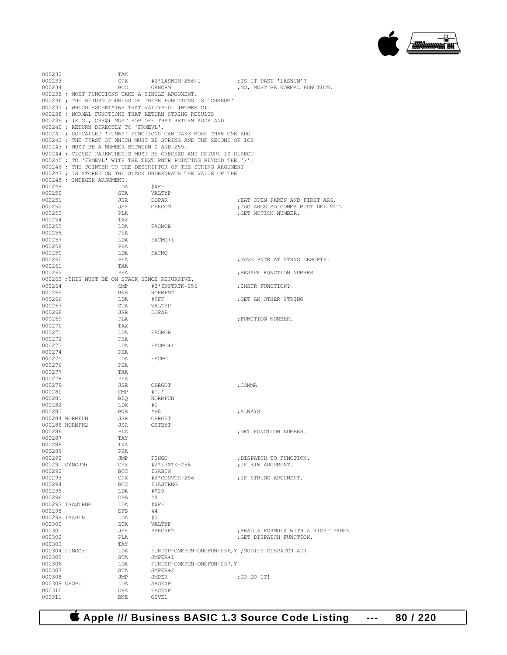

000232 TAX<br>000233 CPX 000233 CPX  $\#2*LASNUM-256+1$  ;IS IT PAST 'LASNUM'?<br>000234 BCC OKNORM ;NO, MUST BE NORMAL F ; NO, MUST BE NORMAL FUNCTION. 000235 ; MOST FUNCTIONS TAKE A SINGLE ARGUMENT. 000236 ; THE RETURN ADDRESS OF THESE FUNCTIONS IS 'CHKNUM' 000237 ; WHICH ASCERTAINS THAT VALTYP=0 (NUMERIC). 000238 ; NORMAL FUNCTIONS THAT RETURN STRING RESULTS 000239 ; (E.G., CHR\$) MUST POP OFF THAT RETURN ADDR AND 000240 ; RETURN DIRECTLY TO 'FRMEVL'. 000241 ; SO-CALLED 'FUNNY' FUNCTIONS CAN TAKE MORE THAN ONE ARG 000242 ; THE FIRST OF WHICH MUST BE STRING AND THE SECOND OF ICH 000243 ; MUST BE A NUMBER BETWEEN 0 AND 255. 000244 ; CLOSED PARENTHESIS MUST BE CHECKED AND RETURN IS DIRECT 000245 ; TO 'FRMEVL' WITH THE TEXT PNTR POINTING BEYOND THE ')'. 000246 ; THE POINTER TO THE DESCRIPTOR OF THE STRING ARGUMENT 000247 ; IS STORED ON THE STACK UNDERNEATH THE VALUE OF THE 000248 ; INTEGER ARGUMENT. 000249 LDA #\$FF 000250 STA VALTYP : EAT OPEN PAREN AND FIRST ARG. 000252 JSR CHKCOM ;TWO ARGS SO COMMA MUST DELIMIT. 000253 PLA ;GET NCTION NUMBER. 000254 TAX<br>000255 T.DA  $\begin{tabular}{ll} LDA & FACMOB \\ PHA & \end{tabular}$ 000256 PHA<br>000257 T.DA LDA FACMO+1<br>PHA 000258 PHA<br>000259 LDA 000259 LDA FACMO 000260 PHA 000260 PHA ;SAVE PNTR AT STRNG DESCPTR. 000261 TXA<br>000262 PHA ; RESAVE FUNCTION NUMBER. 000263 ;THIS MUST BE ON STACK SINCE RECURSIVE. 000264 CMP  $#2*INSTRTK-256$  ; INSTR FUNCTION?<br>000265 BNE NORMFN2 000265 BNE NORMFN2<br>000266 LDA #\$FF  $\begin{array}{lll} \texttt{LDA} & \texttt{\#SFF} & \texttt{\#SFF} & \texttt{\#SFT} \\ \texttt{STA} & \texttt{VALTP} & \texttt{\#STF} & \texttt{VAD} & \texttt{OQ} & \texttt{\#STRING} \\ \end{array}$ 000267 STA VALTYP 378 STA VALTYP 000268 JSR<br>000269 PLA  ${\tt PLA}$  ;  ${\tt FUNCTION}$  ,  ${\tt NUMBER}$  ,  ${\tt TAX}$ 000270 TAX<br>000271 LDA LDA FACMOB<br>PHA 000272 PHA<br>000273 LDA FACMO+1 000274 PHA<br>000275 LDA LDA FACMO 000276 PHA<br>000277 TXA 000277 TXA<br>000278 PHA 000278 PHA 000279 JSR CHRGOT **;**COMMA 000280 CMP #','<br>000281 REO NORM NORMFUN 000282 LDX #1 000283 BNE \*+8 ;ALWAYS 000284 NORMFUN JSR CHRGET<br>000285 NORMFN2 JSR GETBYT 000285 NORMFN2 JSR<br>000286 PLA 000286 PLA ;GET FUNCTION NUMBER. 000287 TAY<br>000288 TXA 000288 TXA<br>000289 PHA 000289 PHA<br>000290 JTMP 000290 JMP FINGO ;DISPATCH TO FUNCTION.<br>000291 OKNORM: CPX #2\*LENTK-256 ;IF BIN ARGUMENT.  ${\tt 000291\;\; OKNORM:}\qquad\qquad {\tt CPX}\qquad\qquad {\tt \#2*LENTK-256}\qquad\qquad\qquad {\tt JF\;\;BIN\;\; AFGUMENT.}$ 000292 BCC ISABIN 000293 CPX  $#2 * \text{CONTT} - 256$  ; IF STRING ARGUMENT.<br>000294 BCC ISASTRNG BCC ISASTRNG<br>LDA #\$20 000295 LDA #\$2<br>000296 DFB 44 000296 DFB 44<br>000297 ISASTRNG LDA #\$FF 000297 ISASTRNG LDA #\$1<br>000298 DFB 44 000298 DFB 44<br>000299 TSABIN 1.DA #0 000299 ISABIN LDA #0 % 000300 000300 STA VALTYP<br>000301 000301 JSR PARCHK2 000301 JSR PARCHK2 ;READ A FORMULA WITH A RIGHT PAREN 000302 PLA ;GET DISPATCH FUNCTION. 000303 TAY<br>000304 FINGO: LDA 000304 FINGO: LDA FUNDSP-ONEFUN-ONEFUN+256,Y ;MODIFY DISPATCH ADR<br>000305 STA JMPER+1 000305 STA JMPER+1<br>000306 LDA FUNDSP-0 FUNDSP-ONEFUN-ONEFUN+257, Y 000307 STA JMPER+2<br>000308 JMP JMPER JMP JMPER ;GO DO IT!<br>
LDA ARGEXP 000309 OROP: LDA ARGEXP<br>000310 ORA FACEXP ORA FACEXP<br>BNE GIVE1 000311

 **Apple /// Business BASIC 1.3 Source Code Listing --- 80 / 220**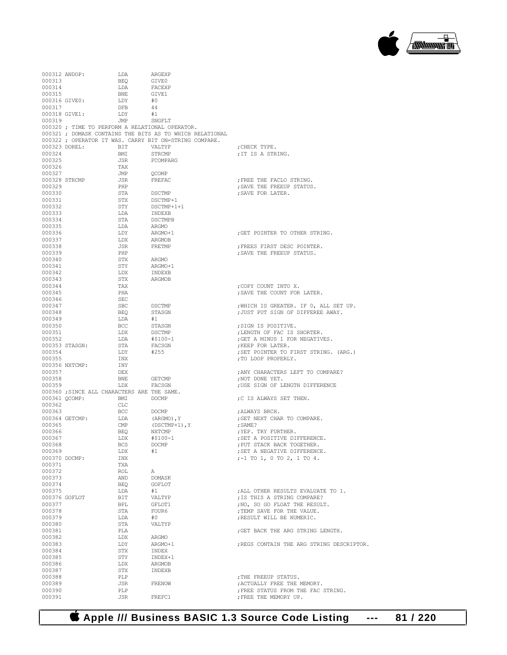

| 000312 ANDOP: |                | LDA                                         | ARGEXP                                                   |                                           |
|---------------|----------------|---------------------------------------------|----------------------------------------------------------|-------------------------------------------|
| 000313        |                | BEQ                                         | GIVE0                                                    |                                           |
|               |                |                                             |                                                          |                                           |
| 000314        |                | LDA                                         | FACEXP                                                   |                                           |
| 000315        |                | <b>BNE</b>                                  | GIVE1                                                    |                                           |
|               | 000316 GIVE0:  | LDY                                         | #0                                                       |                                           |
|               |                |                                             |                                                          |                                           |
| 000317        |                | <b>DFB</b>                                  | 44                                                       |                                           |
|               | 000318 GIVE1:  | LDY                                         | #1                                                       |                                           |
|               |                | JMP SNGFLT                                  |                                                          |                                           |
| 000319        |                |                                             |                                                          |                                           |
|               |                |                                             | 000320 ; TIME TO PERFORM A RELATIONAL OPERATOR.          |                                           |
|               |                |                                             | 000321 ; DOMASK CONTAINS THE BITS AS TO WHICH RELATIONAL |                                           |
|               |                |                                             |                                                          |                                           |
|               |                |                                             | 000322 ; OPERATOR IT WAS. CARRY BIT ON=STRING COMPARE.   |                                           |
|               | 000323 DOREL:  | BIT                                         | VALTYP                                                   | CHECK TYPE.                               |
|               |                |                                             |                                                          |                                           |
| 000324        |                | BMI                                         | STRCMP                                                   | ; IT IS A STRING.                         |
| 000325        |                | JSR                                         | FCOMPARG                                                 |                                           |
| 000326        |                | TAX                                         |                                                          |                                           |
|               |                |                                             |                                                          |                                           |
| 000327        |                | JMP                                         | OCOMP                                                    |                                           |
|               | 000328 STRCMP  | JSR                                         | FREFAC                                                   | ; FREE THE FACLO STRING.                  |
|               |                |                                             |                                                          |                                           |
| 000329        |                | PHP                                         |                                                          | ; SAVE THE FREEUP STATUS.                 |
| 000330        |                | STA                                         | DSCTMP<br>DSCTMP+1                                       | ; SAVE FOR LATER.                         |
| 000331        |                | STX                                         |                                                          |                                           |
|               |                |                                             |                                                          |                                           |
| 000332        |                | STY                                         | DSCTMP+1+1                                               |                                           |
| 000333        |                | LDA                                         | INDEXB                                                   |                                           |
|               |                |                                             |                                                          |                                           |
| 000334        |                | STA                                         | <b>DSCTMPB</b>                                           |                                           |
| 000335        |                | LDA                                         | ARGMO                                                    |                                           |
| 000336        |                | LDY                                         | $\verb+ARGMO+1+$                                         | GET POINTER TO OTHER STRING.              |
|               |                |                                             |                                                          |                                           |
| 000337        |                | LDX                                         | ARGMOB                                                   |                                           |
| 000338        |                | JSR                                         | FRETMP                                                   | ; FREES FIRST DESC POINTER.               |
|               |                |                                             |                                                          |                                           |
| 000339        |                | PHP                                         |                                                          | ; SAVE THE FREEUP STATUS.                 |
| 000340        |                | STX                                         | ARGMO                                                    |                                           |
| 000341        |                | STY                                         | ARGMO+1                                                  |                                           |
|               |                |                                             |                                                          |                                           |
| 000342        |                | LDX                                         | INDEXB                                                   |                                           |
| 000343        |                | STX                                         | ARGMOB                                                   |                                           |
|               |                |                                             |                                                          |                                           |
| 000344        |                | TAX                                         |                                                          | ; COPY COUNT INTO X.                      |
| 000345        |                | PHA                                         |                                                          | ; SAVE THE COUNT FOR LATER.               |
| 000346        |                | SEC                                         |                                                          |                                           |
|               |                |                                             |                                                          |                                           |
| 000347        |                | SBC                                         | DSCTMP                                                   | ; WHICH IS GREATER. IF 0, ALL SET UP.     |
| 000348        |                | BEQ                                         | STASGN                                                   | ; JUST PUT SIGN OF DIFFEREE AWAY.         |
|               |                |                                             |                                                          |                                           |
| 000349        |                | LDA                                         | #1                                                       |                                           |
| 000350        |                | BCC                                         | STASGN                                                   | ;SIGN IS POSITIVE.                        |
| 000351        |                | LDX                                         | DSCTMP                                                   | ; LENGTH OF FAC IS SHORTER.               |
|               |                |                                             |                                                          |                                           |
| 000352        |                | LDA                                         | #\$100-1                                                 | ; GET A MINUS 1 FOR NEGATIVES.            |
|               | 000353 STASGN: | STA                                         | FACSGN                                                   | ; KEEP FOR LATER.                         |
| 000354        |                | LDY                                         | #255                                                     | ; SET POINTER TO FIRST STRING. (ARG.)     |
|               |                |                                             |                                                          |                                           |
| 000355        |                | INX                                         |                                                          | ; TO LOOP PROPERLY.                       |
|               | 000356 NXTCMP: | INY                                         |                                                          |                                           |
|               |                |                                             |                                                          |                                           |
| 000357        |                | DEX                                         |                                                          | ; ANY CHARACTERS LEFT TO COMPARE?         |
| 000358        |                | BNE                                         | GETCMP                                                   | ;NOT DONE YET.                            |
| 000359        |                | LDX                                         | FACSGN                                                   | ; USE SIGN OF LENGTH DIFFERENCE           |
|               |                |                                             |                                                          |                                           |
|               |                | 000360 ; SINCE ALL CHARACTERS ARE THE SAME. |                                                          |                                           |
|               | 000361 QCOMP:  | BMI<br><b>DOCMP</b>                         |                                                          | ;C IS ALWAYS SET THEN.                    |
|               |                |                                             |                                                          |                                           |
| 000362        |                | CLC                                         |                                                          |                                           |
| 000363        |                | BCC                                         | DOCMP                                                    | ;ALWAYS BRCH.                             |
|               | 000364 GETCMP: | LDA                                         | (ARGMO) $\mathbf{,}$ Y                                   |                                           |
|               |                |                                             | $(DSCTMP+1)$ , Y                                         | ; GET NEXT CHAR TO COMPARE.               |
| 000365        |                | $\text{CMP}$                                |                                                          | ; SAME?                                   |
| 000366        |                | BEQ                                         | NXTCMP                                                   | ; YEP. TRY FURTHER.                       |
|               |                |                                             |                                                          |                                           |
| 000367        |                | LDX                                         | #\$100-1                                                 | ; SET A POSITIVE DIFFERENCE.              |
| 000368        |                | BCS                                         | DOCMP                                                    | ; PUT STACK BACK TOGETHER.                |
| 000369        |                | LDX                                         | #1                                                       | ; SET A NEGATIVE DIFFERENCE.              |
|               |                |                                             |                                                          |                                           |
| 000370 DOCMP: |                | INX                                         |                                                          | $;-1$ TO 1, 0 TO 2, 1 TO 4.               |
| 000371        |                | TXA                                         |                                                          |                                           |
| 000372        |                | ROL                                         | А                                                        |                                           |
|               |                |                                             |                                                          |                                           |
| 000373        |                | AND                                         | DOMASK                                                   |                                           |
| 000374        |                | BEQ                                         | GOFLOT                                                   |                                           |
|               |                |                                             |                                                          |                                           |
| 000375        |                | LDA                                         | #1                                                       | ; ALL OTHER RESULTS EVALUATE TO 1.        |
| 000376 GOFLOT |                | BIT                                         | VALTYP                                                   | ; IS THIS A STRING COMPARE?               |
|               |                |                                             |                                                          |                                           |
| 000377        |                | BPL                                         | GFLOT1                                                   | ; NO, SO GO FLOAT THE RESULT.             |
| 000378        |                | STA                                         | FOUR6                                                    | ; TEMP SAVE FOR THE VALUE.                |
| 000379        |                | LDA                                         | #0                                                       | ; RESULT WILL BE NUMERIC.                 |
|               |                |                                             |                                                          |                                           |
| 000380        |                | STA                                         | VALTYP                                                   |                                           |
| 000381        |                | PLA                                         |                                                          | ; GET BACK THE ARG STRING LENGTH.         |
|               |                |                                             |                                                          |                                           |
| 000382        |                | LDX                                         | ARGMO                                                    |                                           |
| 000383        |                | LDY                                         | ARGMO+1                                                  | ; REGS CONTAIN THE ARG STRING DESCRIPTOR. |
| 000384        |                | STX                                         | INDEX                                                    |                                           |
|               |                |                                             |                                                          |                                           |
| 000385        |                | STY                                         | INDEX+1                                                  |                                           |
| 000386        |                | LDX                                         | ARGMOB                                                   |                                           |
|               |                |                                             |                                                          |                                           |
| 000387        |                | STX                                         | INDEXB                                                   |                                           |
| 000388        |                | PLP                                         |                                                          | ; THE FREEUP STATUS.                      |
| 000389        |                | JSR                                         | FRENOW                                                   | ; ACTUALLY FREE THE MEMORY.               |
|               |                |                                             |                                                          |                                           |
| 000390        |                | PLP                                         |                                                          | ; FREE STATUS FROM THE FAC STRING.        |
| 000391        |                | JSR                                         | FREFC1                                                   | FREE THE MEMORY UP.                       |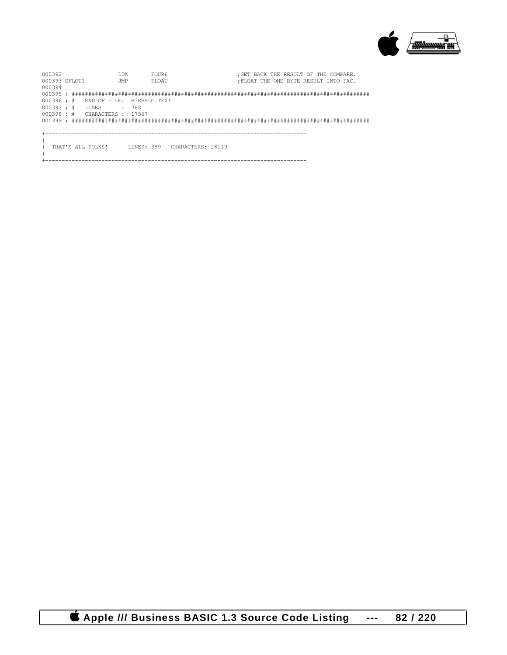

| 000392             |  |                   | T.DA       |                                                | FOUR6 | : GET BACK THE RESULT OF THE COMPARE. |
|--------------------|--|-------------------|------------|------------------------------------------------|-------|---------------------------------------|
| 000393 GFLOT1      |  |                   | <b>JMP</b> |                                                | FLOAT | : FLOAT THE ONE BYTE RESULT INTO FAC. |
| 000394             |  |                   |            |                                                |       |                                       |
|                    |  |                   |            |                                                |       |                                       |
| $000396 :$ #       |  |                   |            | END OF FILE: B3EVALG.TEXT                      |       |                                       |
| $000397 : #$ LINES |  |                   |            | : 388                                          |       |                                       |
|                    |  |                   |            | $0.00398 : # \qquad \text{CHARACTERS} : 17567$ |       |                                       |
|                    |  |                   |            |                                                |       |                                       |
|                    |  |                   |            |                                                |       |                                       |
|                    |  |                   |            |                                                |       |                                       |
|                    |  |                   |            |                                                |       |                                       |
|                    |  | THAT'S ALL FOLKS! |            |                                                |       | LINES: 399 CHARACTERS: 18119          |
|                    |  |                   |            |                                                |       |                                       |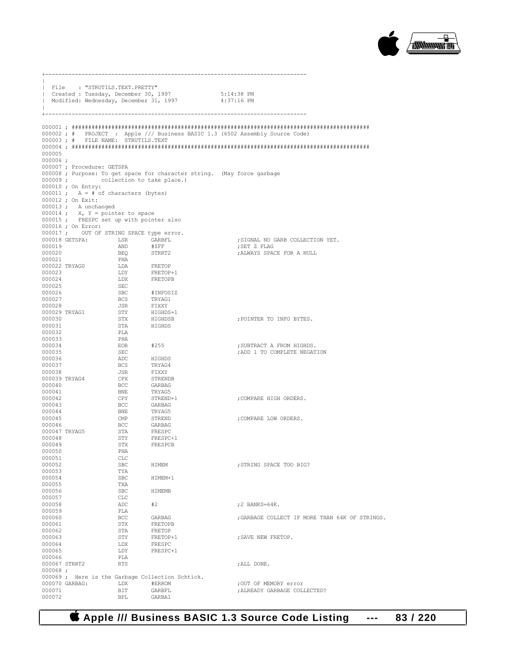

|                         | File : "STRUTILS.TEXT.PRETTY"                                                 |                                                                                                                    |                                                                                                                      |                                                                              |
|-------------------------|-------------------------------------------------------------------------------|--------------------------------------------------------------------------------------------------------------------|----------------------------------------------------------------------------------------------------------------------|------------------------------------------------------------------------------|
|                         |                                                                               |                                                                                                                    | Created : Tuesday, December 30, 1997 5:14:38 PM<br>  Modified: Wednesday, December 31, 1997 4:37:16 PM               |                                                                              |
|                         |                                                                               |                                                                                                                    |                                                                                                                      |                                                                              |
|                         |                                                                               |                                                                                                                    |                                                                                                                      |                                                                              |
|                         | 000003; # FILE NAME: STRUTILS.TEXT                                            |                                                                                                                    |                                                                                                                      | 000002; # PROJECT : Apple /// Business BASIC 1.3 (6502 Assembly Source Code) |
|                         |                                                                               |                                                                                                                    |                                                                                                                      |                                                                              |
| 000005                  |                                                                               |                                                                                                                    |                                                                                                                      |                                                                              |
| $000006$ ;              |                                                                               |                                                                                                                    |                                                                                                                      |                                                                              |
|                         | 000007 ; Procedure: GETSPA                                                    |                                                                                                                    |                                                                                                                      |                                                                              |
|                         | 000009; collection to take place.)                                            |                                                                                                                    | 000008 ; Purpose: To get space for character string. (May force garbage                                              |                                                                              |
|                         | 000010 ; On Entry:                                                            |                                                                                                                    |                                                                                                                      |                                                                              |
|                         | 000011 ; $A = # of characters (bytes)$                                        |                                                                                                                    |                                                                                                                      |                                                                              |
|                         | 000012 ; On Exit:                                                             |                                                                                                                    |                                                                                                                      |                                                                              |
|                         | $000013$ ; A unchanged                                                        |                                                                                                                    |                                                                                                                      |                                                                              |
|                         | 000014 ; $X, Y = pointer to space$<br>000015; FRESPC set up with pointer also |                                                                                                                    |                                                                                                                      |                                                                              |
|                         | 000016 ; On Error:                                                            |                                                                                                                    |                                                                                                                      |                                                                              |
|                         | 000017; OUT OF STRING SPACE type error.                                       |                                                                                                                    |                                                                                                                      |                                                                              |
|                         | 000018 GETSPA: LSR GARBFL                                                     |                                                                                                                    |                                                                                                                      | ; SIGNAL NO GARB COLLECTION YET.                                             |
| 000019                  |                                                                               |                                                                                                                    |                                                                                                                      | ; SET Z FLAG                                                                 |
| 000020<br>000021        |                                                                               | AND APPE<br>H\$FF<br>BEQ STRRT2<br>PHA<br>r                                                                        |                                                                                                                      | ; ALWAYS SPACE FOR A NULL                                                    |
|                         | 000022 TRYAG0                                                                 |                                                                                                                    | FRETOP<br>FRETOP+1<br>FRETOPB                                                                                        |                                                                              |
| 000023                  |                                                                               | LDA<br>LDY                                                                                                         |                                                                                                                      |                                                                              |
| 000024                  |                                                                               |                                                                                                                    |                                                                                                                      |                                                                              |
| 000025<br>000026        |                                                                               |                                                                                                                    |                                                                                                                      |                                                                              |
| 000027                  |                                                                               |                                                                                                                    | #INFOSIZ                                                                                                             |                                                                              |
| 000028                  |                                                                               | LDX<br>SEC<br>SBC<br>SEC<br>BCS<br>JSR                                                                             |                                                                                                                      |                                                                              |
|                         | 000029 TRYAG1                                                                 |                                                                                                                    |                                                                                                                      |                                                                              |
| 000030                  |                                                                               | $\begin{tabular}{ll} BCS & TRYAG1 \\ JSR & FIXXY \\ STY & HIGHDS+1 \\ STX & HIGHDSB \\ STA & HIGHDS \end{tabular}$ |                                                                                                                      | ; POINTER TO INFO BYTES.                                                     |
| 000031<br>000032        |                                                                               | PLA                                                                                                                |                                                                                                                      |                                                                              |
| 000033                  |                                                                               | PHA                                                                                                                |                                                                                                                      |                                                                              |
| 000034                  |                                                                               | EOR                                                                                                                | #255                                                                                                                 | ; SUBTRACT A FROM HIGHDS.                                                    |
| 000035                  |                                                                               | SEC                                                                                                                |                                                                                                                      | ; ADD 1 TO COMPLETE NEGATION                                                 |
| 000036<br>000037        |                                                                               | ADC<br>BCS                                                                                                         |                                                                                                                      |                                                                              |
| 000038                  |                                                                               |                                                                                                                    |                                                                                                                      |                                                                              |
|                         | 000039 TRYAG4                                                                 | JSR<br>CPX                                                                                                         |                                                                                                                      |                                                                              |
| 000040                  |                                                                               | <b>BCC</b>                                                                                                         |                                                                                                                      |                                                                              |
| 000041                  |                                                                               | BNE<br>CPY<br>DOC                                                                                                  |                                                                                                                      |                                                                              |
| 000042<br>000043        |                                                                               | <b>BCC</b>                                                                                                         |                                                                                                                      | ; COMPARE HIGH ORDERS.                                                       |
| 000044                  |                                                                               | <b>BNE</b>                                                                                                         |                                                                                                                      |                                                                              |
| 000045                  |                                                                               | CMP                                                                                                                | HIGHDS<br>FRYAG4<br>FIXXY<br>STRENDB<br>GARBAG<br>TRYAG5<br>STREND<br>GARBAG<br>FRESPC<br>FRESPC<br>FRESPC<br>FRESPC | ; COMPARE LOW ORDERS.                                                        |
| 000046                  |                                                                               | <b>BCC</b>                                                                                                         |                                                                                                                      |                                                                              |
| 000047 TRYAG5<br>000048 |                                                                               | <b>STA</b><br>STY                                                                                                  | FRESPC+1                                                                                                             |                                                                              |
| 000049                  |                                                                               | STX                                                                                                                | FRESPCB                                                                                                              |                                                                              |
| 000050                  |                                                                               | PHA                                                                                                                |                                                                                                                      |                                                                              |
| 000051                  |                                                                               | CLC                                                                                                                |                                                                                                                      |                                                                              |
| 000052<br>000053        |                                                                               | SBC<br>TYA                                                                                                         | HIMEM                                                                                                                | ; STRING SPACE TOO BIG?                                                      |
| 000054                  |                                                                               | SBC                                                                                                                | HIMEM+1                                                                                                              |                                                                              |
| 000055                  |                                                                               | TXA                                                                                                                |                                                                                                                      |                                                                              |
| 000056                  |                                                                               | SBC                                                                                                                | HIMEMB                                                                                                               |                                                                              |
| 000057<br>000058        |                                                                               | CLC                                                                                                                | #2                                                                                                                   | $:2$ BANKS=64K.                                                              |
| 000059                  |                                                                               | ADC<br>PLA                                                                                                         |                                                                                                                      |                                                                              |
| 000060                  |                                                                               | BCC                                                                                                                | GARBAG                                                                                                               | ; GARBAGE COLLECT IF MORE THAN 64K OF STRINGS.                               |
| 000061                  |                                                                               | STX                                                                                                                | FRETOPB                                                                                                              |                                                                              |
| 000062                  |                                                                               | STA                                                                                                                | FRETOP                                                                                                               |                                                                              |
| 000063<br>000064        |                                                                               | STY<br>LDX                                                                                                         | FRETOP+1<br>FRESPC                                                                                                   | ; SAVE NEW FRETOP.                                                           |
| 000065                  |                                                                               | LDY                                                                                                                | FRESPC+1                                                                                                             |                                                                              |
| 000066                  |                                                                               | PLA                                                                                                                |                                                                                                                      |                                                                              |
| 000067 STRRT2           |                                                                               | <b>RTS</b>                                                                                                         |                                                                                                                      | ; ALL DONE.                                                                  |
| $000068$ ;              |                                                                               |                                                                                                                    | 000069 ; Here is the Garbage Collection Schtick.                                                                     |                                                                              |
|                         | 000070 GARBAG:                                                                | LDX                                                                                                                | #ERROM                                                                                                               | ; OUT OF MEMORY error                                                        |
| 000071                  |                                                                               | BIT                                                                                                                | GARBFL                                                                                                               | ; ALREADY GARBAGE COLLECTED?                                                 |
| 000072                  |                                                                               | <b>BPL</b>                                                                                                         | GARBA1                                                                                                               |                                                                              |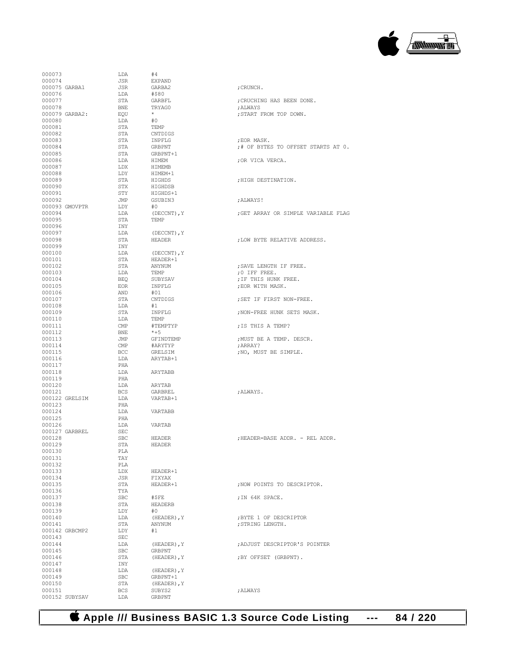

| 000073         | LDA        | #4               |                                     |
|----------------|------------|------------------|-------------------------------------|
| 000074         | JSR        | <b>EXPAND</b>    |                                     |
| 000075 GARBA1  | JSR        |                  |                                     |
|                |            | GARBA2           | ; CRUNCH.                           |
| 000076         | LDA        | #\$80            |                                     |
| 000077         | STA        | GARBFL           | ; CRUCHING HAS BEEN DONE.           |
| 000078         | BNE        | TRYAG0           | ; ALWAYS                            |
|                |            |                  |                                     |
| 000079 GARBA2: | EQU        | $\star$          | ; START FROM TOP DOWN.              |
| 000080         | LDA        | #0               |                                     |
|                |            |                  |                                     |
| 000081         | STA        | TEMP             |                                     |
| 000082         | STA        | CNTDIGS          |                                     |
| 000083         | STA        |                  |                                     |
|                |            | INPFLG           | ; EOR MASK.                         |
| 000084         | STA        | GRBPNT           | ;# OF BYTES TO OFFSET STARTS AT 0.  |
| 000085         | STA        | GRBPNT+1         |                                     |
| 000086         |            |                  |                                     |
|                | LDA        | HIMEM            | ; OR VICA VERCA.                    |
| 000087         | LDX        | HIMEMB           |                                     |
| 000088         | LDY        | HIMEM+1          |                                     |
|                |            |                  |                                     |
| 000089         | STA        | HIGHDS           | ; HIGH DESTINATION.                 |
| 000090         | STX        | HIGHDSB          |                                     |
| 000091         | STY        | HIGHDS+1         |                                     |
|                |            |                  |                                     |
| 000092         | JMP        | GSUBIN3          | ; ALWAYS!                           |
| 000093 GMOVPTR | LDY        | #0               |                                     |
| 000094         | LDA        | (DECCNT), Y      | ; GET ARRAY OR SIMPLE VARIABLE FLAG |
|                |            |                  |                                     |
| 000095         | STA        | TEMP             |                                     |
| 000096         | INY        |                  |                                     |
| 000097         | LDA        |                  |                                     |
|                |            | (DECCNT), Y      |                                     |
| 000098         | STA        | <b>HEADER</b>    | ; LOW BYTE RELATIVE ADDRESS.        |
| 000099         | INY        |                  |                                     |
| 000100         |            |                  |                                     |
|                | LDA        | (DECCNT), Y      |                                     |
| 000101         | STA        | HEADER+1         |                                     |
| 000102         | STA        | ANYNUM           | : SAVE LENGTH IF FREE.              |
|                |            |                  |                                     |
| 000103         | LDA        | TEMP             | ;0 IFF FREE.                        |
| 000104         | BEQ        | SUBYSAV          | ; IF THIS HUNK FREE.                |
| 000105         | EOR        | INPFLG           | ; EOR WITH MASK.                    |
|                |            |                  |                                     |
| 000106         | AND        | #01              |                                     |
| 000107         | STA        | CNTDIGS          | ; SET IF FIRST NON-FREE.            |
| 000108         | LDA        | #1               |                                     |
|                |            |                  |                                     |
| 000109         | STA        | INPFLG           | ; NON-FREE HUNK SETS MASK.          |
| 000110         | LDA        | TEMP             |                                     |
|                |            |                  |                                     |
| 000111         | CMP        | #TEMPTYP         | ; IS THIS A TEMP?                   |
| 000112         | BNE        | $*+5$            |                                     |
| 000113         | JMP        | GFINDTEMP        | ; MUST BE A TEMP. DESCR.            |
|                |            |                  |                                     |
| 000114         | CMP        | #ARYTYP          | ; ARRAY?                            |
| 000115         | BCC        | GRELSIM          | ; NO, MUST BE SIMPLE.               |
| 000116         | LDA        | ARYTAB+1         |                                     |
|                |            |                  |                                     |
| 000117         | PHA        |                  |                                     |
| 000118         | LDA        | ARYTABB          |                                     |
|                |            |                  |                                     |
| 000119         | PHA        |                  |                                     |
| 000120         | LDA        | ARYTAB           |                                     |
| 000121         | <b>BCS</b> | GARBREL          | :ALWAYS.                            |
|                |            |                  |                                     |
| 000122 GRELSIM | LDA        | VARTAB+1         |                                     |
| 000123         | PHA        |                  |                                     |
| 000124         | LDA        | VARTABB          |                                     |
|                |            |                  |                                     |
| 000125         | PHA        |                  |                                     |
| 000126         | LDA        | VARTAB           |                                     |
| 000127 GARBREL | <b>SEC</b> |                  |                                     |
|                |            |                  |                                     |
| 000128         | <b>SBC</b> | <b>HEADER</b>    | ; HEADER=BASE ADDR. - REL ADDR.     |
| 000129         | STA        | <b>HEADER</b>    |                                     |
| 000130         | PLA        |                  |                                     |
|                |            |                  |                                     |
| 000131         | TAY        |                  |                                     |
| 000132         | PLA        |                  |                                     |
| 000133         | LDX        | HEADER+1         |                                     |
|                |            |                  |                                     |
| 000134         | JSR        | FIXYAX           |                                     |
| 000135         | STA        | HEADER+1         | ; NOW POINTS TO DESCRIPTOR.         |
|                |            |                  |                                     |
| 000136         | TYA        |                  |                                     |
| 000137         | <b>SBC</b> | #SFE             | ; IN 64K SPACE.                     |
| 000138         | STA        | <b>HEADERB</b>   |                                     |
|                |            |                  |                                     |
| 000139         | LDY        | #0               |                                     |
| 000140         | LDA        | (HEADER), Y      | ;BYTE 1 OF DESCRIPTOR               |
| 000141         | STA        | ANYNUM           | ; STRING LENGTH.                    |
|                |            |                  |                                     |
| 000142 GRBCMP2 |            | #1               |                                     |
|                | LDY        |                  |                                     |
|                |            |                  |                                     |
| 000143         | SEC        |                  |                                     |
| 000144         | LDA        | $(HEADER)$ , $Y$ | :ADJUST DESCRIPTOR'S POINTER        |
| 000145         | <b>SBC</b> | GRBPNT           |                                     |
|                |            |                  |                                     |
| 000146         | STA        | (HEADER), Y      | ; BY OFFSET (GRBPNT).               |
| 000147         | INY        |                  |                                     |
| 000148         | LDA        | (HEADER), Y      |                                     |
|                |            |                  |                                     |
| 000149         | <b>SBC</b> | GRBPNT+1         |                                     |
| 000150         | STA        | (HEADER), Y      |                                     |
| 000151         | <b>BCS</b> | SUBYS2           | ; ALWAYS                            |
| 000152 SUBYSAV | LDA        | <b>GRBPNT</b>    |                                     |

| ; CRUCHING HAS BEEN DONE.<br>; ALWAYS<br>; START FROM TOP DOWN.                    |
|------------------------------------------------------------------------------------|
| ; EOR MASK.<br>;# OF BYTES TO OFFSET STARTS AT (<br>; OR VICA VERCA.               |
| ; HIGH DESTINATION.                                                                |
|                                                                                    |
| ; ALWAYS!                                                                          |
| ; GET ARRAY OR SIMPLE VARIABLE FLA                                                 |
| ; LOW BYTE RELATIVE ADDRESS.                                                       |
| ; SAVE LENGTH IF FREE.<br>;0 IFF FREE.<br>; IF THIS HUNK FREE.<br>; EOR WITH MASK. |
| ; SET IF FIRST NON-FREE.                                                           |
| ; NON-FREE HUNK SETS MASK.                                                         |
| ; IS THIS A TEMP?                                                                  |
| ; MUST BE A TEMP. DESCR.<br>; ARRAY?<br>; NO, MUST BE SIMPLE.                      |
| ; ALWAYS.                                                                          |
| ; HEADER=BASE ADDR. - REL ADDR.                                                    |
| ; NOW POINTS TO DESCRIPTOR.                                                        |
| ; IN 64K SPACE.                                                                    |
| ;BYTE 1 OF DESCRIPTOR<br>; STRING LENGTH.                                          |
| ; ADJUST DESCRIPTOR'S POINTER                                                      |
| ; BY OFFSET (GRBPNT) .                                                             |
| ; ALWAYS                                                                           |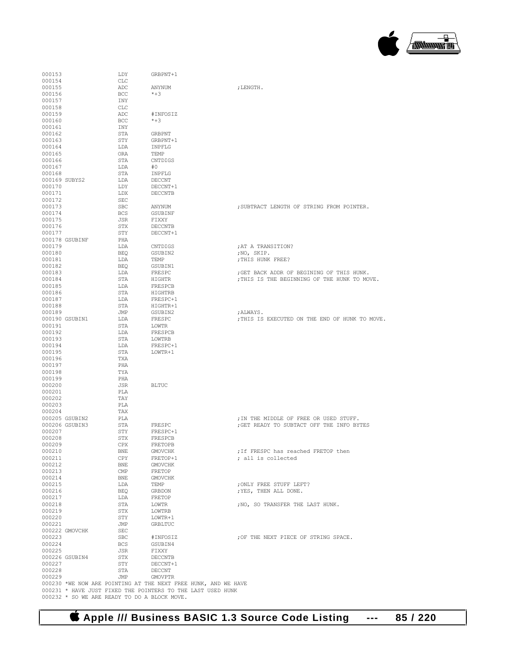**Apple /// Business BASIC 1.3 Source Code Listing --- 85 / 220**

| 000171                                                         | LDX                          | DECCNTB         |                                                |
|----------------------------------------------------------------|------------------------------|-----------------|------------------------------------------------|
| 000172                                                         | <b>SEC</b>                   |                 |                                                |
| 000173                                                         | <b>SBC</b>                   | ANYNUM          | ; SUBTRACT LENGTH OF STRING FROM POINTER.      |
| 000174                                                         | BCS                          | GSUBINF         |                                                |
| 000175                                                         | JSR                          | FIXXY           |                                                |
| 000176                                                         | STX                          | DECCNTB         |                                                |
| 000177                                                         | STY                          | DECCNT+1        |                                                |
| 000178 GSUBINF                                                 | PHA                          |                 |                                                |
| 000179                                                         | LDA                          | CNTDIGS         | ; AT A TRANSITION?                             |
| 000180                                                         | BEO                          | GSUBIN2         | ;NO, SKIP.                                     |
| 000181                                                         | LDA                          | TEMP            | ; THIS HUNK FREE?                              |
| 000182                                                         | BEO                          | GSUBIN1         |                                                |
| 000183                                                         | LDA                          | FRESPC          | ; GET BACK ADDR OF BEGINING OF THIS HUNK.      |
| 000184                                                         | STA                          | HIGHTR          | ; THIS IS THE BEGINNING OF THE HUNK TO MOVE.   |
| 000185                                                         | LDA                          | FRESPCB         |                                                |
| 000186                                                         | STA                          | HIGHTRB         |                                                |
| 000187                                                         | LDA                          | FRESPC+1        |                                                |
| 000188                                                         | STA                          | HIGHTR+1        |                                                |
| 000189                                                         | JMP                          | GSUBIN2         | ;ALWAYS.                                       |
| 000190 GSUBIN1                                                 | LDA                          | FRESPC          | ; THIS IS EXECUTED ON THE END OF HUNK TO MOVE. |
| 000191                                                         | STA                          | LOWTR           |                                                |
| 000192                                                         | LDA                          | FRESPCB         |                                                |
| 000193                                                         | STA                          | LOWTRB          |                                                |
| 000194                                                         | LDA                          | FRESPC+1        |                                                |
| 000195                                                         | STA                          | LOWTR+1         |                                                |
| 000196                                                         | TXA                          |                 |                                                |
| 000197                                                         | PHA                          |                 |                                                |
| 000198                                                         | TYA                          |                 |                                                |
| 000199                                                         | PHA                          |                 |                                                |
| 000200                                                         | JSR                          | <b>BLTUC</b>    |                                                |
| 000201                                                         | PLA                          |                 |                                                |
| 000202                                                         | TAY                          |                 |                                                |
| 000203                                                         | PLA                          |                 |                                                |
| 000204                                                         | TAX                          |                 |                                                |
| 000205 GSUBIN2                                                 | PLA                          |                 | ; IN THE MIDDLE OF FREE OR USED STUFF.         |
| 000206 GSUBIN3                                                 | STA                          | FRESPC          | ; GET READY TO SUBTACT OFF THE INFO BYTES      |
| 000207                                                         | STY                          | FRESPC+1        |                                                |
| 000208                                                         | STX                          | FRESPCB         |                                                |
| 000209                                                         | CPX                          | FRETOPB         |                                                |
| 000210                                                         | BNE                          | GMOVCHK         | ; If FRESPC has reached FRETOP then            |
| 000211                                                         | CPY                          | FRETOP+1        |                                                |
|                                                                |                              |                 | ; all is collected                             |
| 000212<br>000213                                               | <b>BNE</b><br>$\mathsf{CMP}$ | <b>GMOVCHK</b>  |                                                |
| 000214                                                         |                              | FRETOP          |                                                |
| 000215                                                         | <b>BNE</b>                   | GMOVCHK<br>TEMP | ; ONLY FREE STUFF LEFT?                        |
|                                                                | LDA                          |                 | ; YES, THEN ALL DONE.                          |
| 000216                                                         | BEO                          | GRBDON          |                                                |
| 000217                                                         | LDA                          | FRETOP          |                                                |
| 000218                                                         | STA                          | LOWTR           | ; NO, SO TRANSFER THE LAST HUNK.               |
| 000219                                                         | STX                          | LOWTRB          |                                                |
| 000220                                                         | STY                          | LOWTR+1         |                                                |
| 000221                                                         | JMP                          | GRBLTUC         |                                                |
| 000222 GMOVCHK                                                 | SEC                          |                 |                                                |
| 000223                                                         | SBC                          | #INFOSIZ        | ; OF THE NEXT PIECE OF STRING SPACE.           |
| 000224                                                         | <b>BCS</b>                   | GSUBIN4         |                                                |
| 000225                                                         | JSR                          | FIXXY           |                                                |
| 000226 GSUBIN4                                                 | STX                          | DECCNTB         |                                                |
| 000227                                                         | STY                          | DECCNT+1        |                                                |
| 000228                                                         | STA                          | DECCNT          |                                                |
| 000229                                                         | JMP                          | <b>GMOVPTR</b>  |                                                |
| 000230 *WE NOW ARE POINTING AT THE NEXT FREE HUNK, AND WE HAVE |                              |                 |                                                |
| 000231 * HAVE JUST FIXED THE POINTERS TO THE LAST USED HUNK    |                              |                 |                                                |
| 000232 * SO WE ARE READY TO DO A BLOCK MOVE.                   |                              |                 |                                                |
|                                                                |                              |                 |                                                |

 $\begin{array}{lll} \texttt{ADC} & \texttt{ANYNUM} & \texttt{f. LENGTH.} \\ \texttt{BCC} & \texttt{*+3} & \end{array}$ 

 $\begin{array}{lll} \texttt{DDY} & \texttt{GRBPNT+1} \\ \texttt{000154} & \texttt{CLC} & \end{array}$ 

 $\begin{array}{cccc}\n 000162 & & & \text{STA} & & \text{GRAPH} \\
 000163 & & & \text{STY} & & \text{GRAPH} \\
 \end{array}$ 000163 STY GRBPNT+1<br>000164 LDA INPFLG

 $\begin{array}{cccc}\n 0.00166 & & & & \text{STA} & & & \text{CNTDIGS} \\
 0.00167 & & & & \text{LDA} & & \text{\#0}\n \end{array}$ 000167 LDA #0 000168 STA INPFLG 000169 SUBYS2 LDA DECCNT 000170 LDY DECCNT+1

 $ADC$   $#INFOSIZ$ <br>BCC  $*+3$ 

LDA INPFLG<br>ORA TEMP

000154 CLC<br>000155 ADC

000156 BCC BCC <br>000157 INY 000157 INY<br>000158 CLC 000158 CLC<br>000159 ADC

000160 BCC BCC <br>000161 INY 000161 INY<br>000162 STA

000165 ORA<br>000166 ORA<br>000166 STA

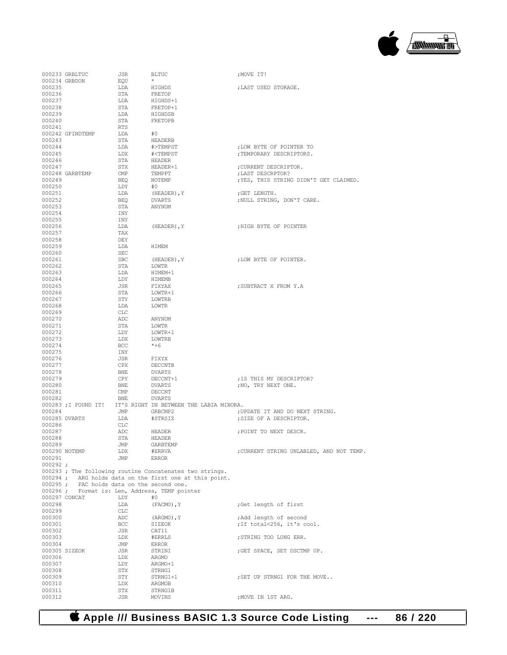

|                          | 000233 GRBLTUC                    | JSR                     | BLTUC                                                       | ; MOVE IT!                               |
|--------------------------|-----------------------------------|-------------------------|-------------------------------------------------------------|------------------------------------------|
| 000235                   | 000234 GRBDON                     | EOU<br>LDA              | $\star$<br>HIGHDS                                           | ; LAST USED STORAGE.                     |
| 000236                   |                                   | STA                     | FRETOP                                                      |                                          |
| 000237                   |                                   | LDA                     | HIGHDS+1                                                    |                                          |
| 000238                   |                                   | STA                     | FRETOP+1                                                    |                                          |
| 000239<br>000240         |                                   | LDA<br>STA              | HIGHDSB<br>FRETOPB                                          |                                          |
| 000241                   |                                   | RTS                     |                                                             |                                          |
|                          | 000242 GFINDTEMP                  | LDA                     | #0                                                          |                                          |
| 000243                   |                                   | STA                     | HEADERB                                                     |                                          |
| 000244<br>000245         |                                   | LDA                     | #>TEMPST                                                    | ; LOW BYTE OF POINTER TO                 |
| 000246                   |                                   | LDX<br>STA              | # <tempst<br>HEADER</tempst<br>                             | ; TEMPORARY DESCRIPTORS.                 |
| 000247                   |                                   | STX                     | HEADER+1                                                    | ; CURRENT DESCRIPTOR.                    |
|                          | 000248 GARBTEMP                   | $\mathop{\mathrm{CMP}}$ | TEMPPT                                                      | ; LAST DESCRPTOR?                        |
| 000249                   |                                   | BEO                     | NOTEMP                                                      | ; YES, THIS STRING DIDN'T GET CLAIMED.   |
| 000250<br>000251         |                                   | LDY<br>LDA              | #0<br>(HEADER), Y                                           | ; GET LENGTH.                            |
| 000252                   |                                   | BEO                     | DVARTS                                                      | ; NULL STRING, DON'T CARE.               |
| 000253                   |                                   | STA                     | ANYNUM                                                      |                                          |
| 000254                   |                                   | INY                     |                                                             |                                          |
| 000255<br>000256         |                                   | INY<br>LDA              | (HEADER), Y                                                 | ; HIGH BYTE OF POINTER                   |
| 000257                   |                                   | TAX                     |                                                             |                                          |
| 000258                   |                                   | DEY                     |                                                             |                                          |
| 000259                   |                                   | LDA                     | HIMEM                                                       |                                          |
| 000260<br>000261         |                                   | SEC<br>SBC              | (HEADER), Y                                                 | ; LOW BYTE OF POINTER.                   |
| 000262                   |                                   | STA                     | LOWTR                                                       |                                          |
| 000263                   |                                   | LDA                     | HIMEM+1                                                     |                                          |
| 000264                   |                                   | LDY                     | HIMEMB                                                      |                                          |
| 000265<br>000266         |                                   | JSR<br>STA              | FIXYAX<br>LOWTR+1                                           | ; SUBTRACT X FROM Y.A                    |
| 000267                   |                                   | STY                     | LOWTRB                                                      |                                          |
| 000268                   |                                   | LDA                     | LOWTR                                                       |                                          |
| 000269                   |                                   | CLC                     |                                                             |                                          |
| 000270<br>000271         |                                   | ADC<br>STA              | ANYNUM<br>LOWTR                                             |                                          |
| 000272                   |                                   | LDY                     | LOWTR+1                                                     |                                          |
| 000273                   |                                   | LDX                     | LOWTRB                                                      |                                          |
| 000274                   |                                   | BCC                     | $*+6$                                                       |                                          |
| 000275<br>000276         |                                   | INY<br>JSR              | FIXYX                                                       |                                          |
| 000277                   |                                   | CPX                     | DECCNTB                                                     |                                          |
| 000278                   |                                   | BNE                     | DVARTS                                                      |                                          |
| 000279                   |                                   | CPY                     | DECCNT+1                                                    | ; IS THIS MY DESCRIPTOR?                 |
| 000280<br>000281         |                                   | BNE<br>CMP              | DVARTS<br>DECCNT                                            | ; NO, TRY NEXT ONE.                      |
| 000282                   |                                   | BNE                     | <b>DVARTS</b>                                               |                                          |
|                          |                                   |                         | 000283; I FOUND IT! IT'S RIGHT IN BETWEEN THE LABIA MINORA. |                                          |
| 000284                   |                                   | JMP                     | GRBCMP2<br>#STRSIZ                                          | ; UPDATE IT AND DO NEXT STRING.          |
| 000286                   | 000285 DVARTS                     | LDA<br>CLC              |                                                             | ; SIZE OF A DESCRIPTOR.                  |
| 000287                   |                                   | ADC                     | HEADER                                                      | ; POINT TO NEXT DESCR.                   |
| 000288                   |                                   | STA                     | HEADER                                                      |                                          |
| 000289                   | 000290 NOTEMP                     | JMP<br>LDX              | GARBTEMP<br>#ERRVA                                          | ; CURRENT STRING UNLABLED, AND NOT TEMP. |
| 000291                   |                                   | JMP                     | <b>ERROR</b>                                                |                                          |
| 000292:                  |                                   |                         |                                                             |                                          |
|                          |                                   |                         | 000293; The following routine Concatenates two strings.     |                                          |
| $000294$ ;<br>$000295$ ; | FAC holds data on the second one. |                         | ARG holds data on the first one at this point.              |                                          |
| $000296$ ;               |                                   |                         | Format is: Len, Address, TEMP pointer                       |                                          |
|                          | 000297 CONCAT                     | LDY                     | #0                                                          |                                          |
| 000298                   |                                   | LDA                     | (FACMO), Y                                                  | ;Get length of first                     |
| 000299<br>000300         |                                   | CLC<br>ADC              | $(ARGMO)$ , Y                                               | ; Add length of second                   |
| 000301                   |                                   | BCC                     | SIZEOK                                                      | ; If total<256, it's cool.               |
| 000302                   |                                   | JSR                     | CAT11                                                       |                                          |
| 000303                   |                                   | LDX                     | #ERRLS                                                      | ; STRING TOO LONG ERR.                   |
| 000304                   | 000305 SIZEOK                     | JMP<br>JSR              | ERROR<br>STRINI                                             | ; GET SPACE, SET DSCTMP UP.              |
| 000306                   |                                   | LDX                     | ARGMO                                                       |                                          |
| 000307                   |                                   | LDY                     | ARGMO+1                                                     |                                          |
| 000308                   |                                   | STX                     | STRNG1                                                      |                                          |
| 000309<br>000310         |                                   | STY<br>LDX              | STRNG1+1<br>ARGMOB                                          | ; SET UP STRNG1 FOR THE MOVE             |
| 000311                   |                                   | STX                     | STRNG1B                                                     |                                          |
| 000312                   |                                   | JSR                     | MOVINS                                                      | ; MOVE IN 1ST ARG.                       |

 **Apple /// Business BASIC 1.3 Source Code Listing --- 86 / 220**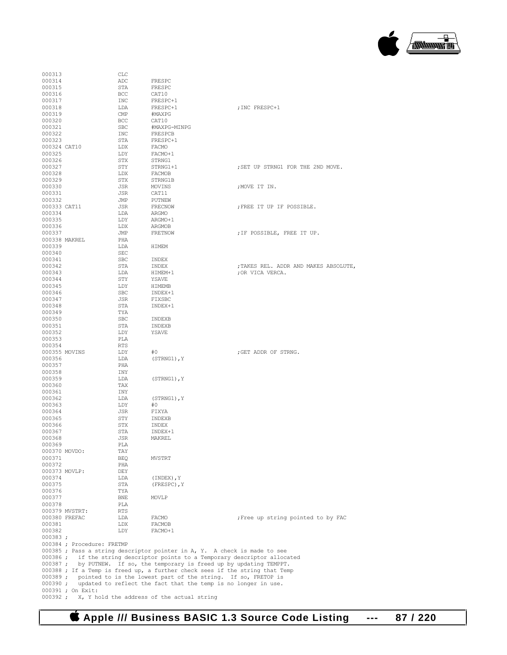

| 000313                |                            | CLC        |                                                                                                                                        |                                       |
|-----------------------|----------------------------|------------|----------------------------------------------------------------------------------------------------------------------------------------|---------------------------------------|
| 000314                |                            | ADC        | FRESPC                                                                                                                                 |                                       |
| 000315                |                            | STA        | FRESPC                                                                                                                                 |                                       |
| 000316                |                            | BCC        | CAT10                                                                                                                                  |                                       |
| 000317<br>000318      |                            | INC<br>LDA | FRESPC+1<br>FRESPC+1                                                                                                                   | ; INC FRESPC+1                        |
| 000319                |                            | CMP        | #MAXPG                                                                                                                                 |                                       |
| 000320                |                            | BCC        | CAT10                                                                                                                                  |                                       |
| 000321                |                            | <b>SBC</b> | #MAXPG-MINPG                                                                                                                           |                                       |
| 000322                |                            | INC        | FRESPCB                                                                                                                                |                                       |
| 000323                |                            | STA        | FRESPC+1                                                                                                                               |                                       |
| 000324 CAT10          |                            | LDX        | FACMO                                                                                                                                  |                                       |
| 000325                |                            | LDY        | FACMO+1                                                                                                                                |                                       |
| 000326                |                            | STX        | STRNG1                                                                                                                                 |                                       |
| 000327<br>000328      |                            | STY<br>LDX | STRNG1+1<br>FACMOB                                                                                                                     | ; SET UP STRNG1 FOR THE 2ND MOVE.     |
| 000329                |                            | STX        | STRNG1B                                                                                                                                |                                       |
| 000330                |                            | JSR        | MOVINS                                                                                                                                 | ; MOVE IT IN.                         |
| 000331                |                            | JSR        | CAT11                                                                                                                                  |                                       |
| 000332                |                            | JMP        | PUTNEW                                                                                                                                 |                                       |
| 000333 CAT11          |                            | JSR        | FRECNOW                                                                                                                                | ; FREE IT UP IF POSSIBLE.             |
| 000334                |                            | LDA        | ARGMO                                                                                                                                  |                                       |
| 000335                |                            | LDY        | ARGMO+1                                                                                                                                |                                       |
| 000336                |                            | LDX        | ARGMOB                                                                                                                                 |                                       |
| 000337                |                            | JMP        | FRETNOW                                                                                                                                | ; IF POSSIBLE, FREE IT UP.            |
| 000338 MAKREL         |                            | PHA        |                                                                                                                                        |                                       |
| 000339<br>000340      |                            | LDA<br>SEC | HIMEM                                                                                                                                  |                                       |
| 000341                |                            | <b>SBC</b> | INDEX                                                                                                                                  |                                       |
| 000342                |                            | STA        | INDEX                                                                                                                                  | ; TAKES REL. ADDR AND MAKES ABSOLUTE, |
| 000343                |                            | LDA        | HIMEM+1                                                                                                                                | ; OR VICA VERCA.                      |
| 000344                |                            | STY        | YSAVE                                                                                                                                  |                                       |
| 000345                |                            | LDY        | HIMEMB                                                                                                                                 |                                       |
| 000346                |                            | <b>SBC</b> | INDEX+1                                                                                                                                |                                       |
| 000347                |                            | JSR        | FIXSBC                                                                                                                                 |                                       |
| 000348                |                            | STA        | INDEX+1                                                                                                                                |                                       |
| 000349                |                            | TYA        |                                                                                                                                        |                                       |
| 000350                |                            | <b>SBC</b> | INDEXB                                                                                                                                 |                                       |
| 000351<br>000352      |                            | STA<br>LDY | INDEXB<br>YSAVE                                                                                                                        |                                       |
| 000353                |                            | PLA        |                                                                                                                                        |                                       |
| 000354                |                            | RTS        |                                                                                                                                        |                                       |
| 000355 MOVINS         |                            | LDY        | #0                                                                                                                                     | ; GET ADDR OF STRNG.                  |
| 000356                |                            | LDA        | (STRNG1), Y                                                                                                                            |                                       |
| 000357                |                            | PHA        |                                                                                                                                        |                                       |
| 000358                |                            | INY        |                                                                                                                                        |                                       |
| 000359                |                            | LDA        | (STRNG1), Y                                                                                                                            |                                       |
| 000360                |                            | TAX        |                                                                                                                                        |                                       |
| 000361                |                            | INY        |                                                                                                                                        |                                       |
| 000362<br>000363      |                            | LDA<br>LDY | (STRNG1), Y<br>#0                                                                                                                      |                                       |
| 000364                |                            | JSR        | FIXYA                                                                                                                                  |                                       |
| 000365                |                            | STY        | INDEXB                                                                                                                                 |                                       |
| 000366                |                            | STX        | INDEX                                                                                                                                  |                                       |
| 000367                |                            | STA        | INDEX+1                                                                                                                                |                                       |
| 000368                |                            | JSR        | MAKREL                                                                                                                                 |                                       |
| 000369                |                            | PLA        |                                                                                                                                        |                                       |
| 000370 MOVDO:         |                            | TAY        |                                                                                                                                        |                                       |
| 000371                |                            | BEQ        | MVSTRT                                                                                                                                 |                                       |
| 000372                |                            | PHA        |                                                                                                                                        |                                       |
| 000373 MOVLP:         |                            | DEY        |                                                                                                                                        |                                       |
| 000374<br>000375      |                            | LDA<br>STA | $(INDEX)$ , $Y$                                                                                                                        |                                       |
| 000376                |                            | TYA        | $(FRESPC)$ , $Y$                                                                                                                       |                                       |
| 000377                |                            | <b>BNE</b> | MOVLP                                                                                                                                  |                                       |
| 000378                |                            | PLA        |                                                                                                                                        |                                       |
|                       | 000379 MVSTRT:             | <b>RTS</b> |                                                                                                                                        |                                       |
| 000380 FREFAC         |                            | LDA        | FACMO                                                                                                                                  | Free up string pointed to by FAC      |
| 000381                |                            | LDX        | FACMOB                                                                                                                                 |                                       |
| 000382                |                            | LDY        | FACMO+1                                                                                                                                |                                       |
| 000383;               |                            |            |                                                                                                                                        |                                       |
|                       | 000384 ; Procedure: FRETMP |            |                                                                                                                                        |                                       |
|                       |                            |            | 000385 ; Pass a string descriptor pointer in A, Y. A check is made to see                                                              |                                       |
| $000386$ ;<br>000387; |                            |            | if the string descriptor points to a Temporary descriptor allocated<br>by PUTNEW. If so, the temporary is freed up by updating TEMPPT. |                                       |
|                       |                            |            | 000388 ; If a Temp is freed up, a further check sees if the string that Temp                                                           |                                       |
| 000389;               |                            |            | pointed to is the lowest part of the string. If so, FRETOP is                                                                          |                                       |
| $000390$ ;            |                            |            | updated to reflect the fact that the temp is no longer in use.                                                                         |                                       |
|                       | 000391 ; On Exit:          |            |                                                                                                                                        |                                       |
|                       |                            |            |                                                                                                                                        |                                       |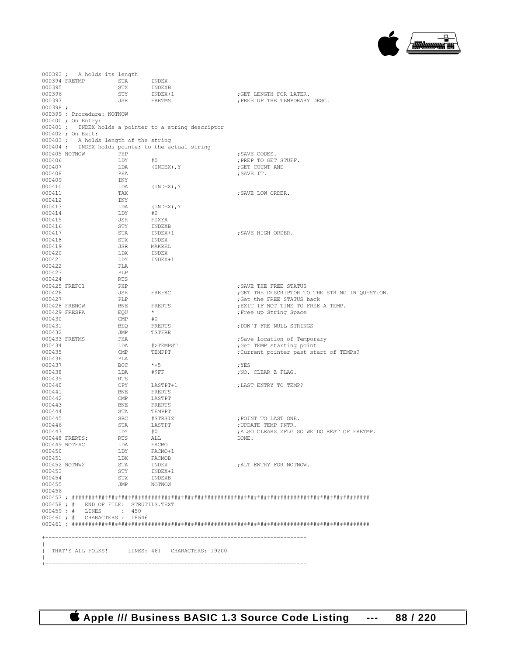

|                         | 000393; A holds its length            |                   |                                                       |                                                                               |
|-------------------------|---------------------------------------|-------------------|-------------------------------------------------------|-------------------------------------------------------------------------------|
|                         | 000394 FRETMP                         | STA               | INDEX                                                 |                                                                               |
| 000395                  |                                       | STX               | INDEXB                                                |                                                                               |
| 000396<br>000397        |                                       | STY<br>JSR        | INDEX+1<br>FRETMS                                     | ; GET LENGTH FOR LATER.<br>; FREE UP THE TEMPORARY DESC.                      |
| 000398;                 |                                       |                   |                                                       |                                                                               |
|                         | 000399 ; Procedure: NOTNOW            |                   |                                                       |                                                                               |
|                         | 000400 ; On Entry:                    |                   |                                                       |                                                                               |
|                         |                                       |                   | 000401 ; INDEX holds a pointer to a string descriptor |                                                                               |
|                         | 000402 ; On Exit:                     |                   |                                                       |                                                                               |
|                         | 000403; A holds length of the string  |                   |                                                       |                                                                               |
|                         |                                       |                   | 000404; INDEX holds pointer to the actual string      |                                                                               |
|                         | 000405 NOTNOW                         | PHP               |                                                       | ; SAVE CODES.                                                                 |
| 000406<br>000407        |                                       | LDY<br>LDA        | #0<br>(INDEX), Y                                      | ; PREP TO GET STUFF.<br>; GET COUNT AND                                       |
| 000408                  |                                       | PHA               |                                                       | ; SAVE IT.                                                                    |
| 000409                  |                                       | INY               |                                                       |                                                                               |
| 000410                  |                                       | LDA               | (INDEX), Y                                            |                                                                               |
| 000411                  |                                       | TAX               |                                                       | ; SAVE LOW ORDER.                                                             |
| 000412                  |                                       | INY               |                                                       |                                                                               |
| 000413                  |                                       | LDA               | (INDEX), Y                                            |                                                                               |
| 000414                  |                                       | LDY               | #0                                                    |                                                                               |
| 000415                  |                                       | JSR               | FIXYA                                                 |                                                                               |
| 000416<br>000417        |                                       | STY<br>STA        | INDEXB<br>INDEX+1                                     | ; SAVE HIGH ORDER.                                                            |
| 000418                  |                                       | STX               | INDEX                                                 |                                                                               |
| 000419                  |                                       | JSR               | MAKREL                                                |                                                                               |
| 000420                  |                                       | LDX               | INDEX                                                 |                                                                               |
| 000421                  |                                       | LDY               | INDEX+1                                               |                                                                               |
| 000422                  |                                       | PLA               |                                                       |                                                                               |
| 000423                  |                                       | PLP               |                                                       |                                                                               |
| 000424                  |                                       | RTS               |                                                       |                                                                               |
| 000425 FREFC1<br>000426 |                                       | PHP               | FREFAC                                                | : SAVE THE FREE STATUS                                                        |
| 000427                  |                                       | JSR<br>PLP        |                                                       | ; GET THE DESCRIPTOR TO THE STRING IN QUESTION.<br>; Get the FREE STATUS back |
| 000428 FRENOW           |                                       | <b>BNE</b>        | FRERTS                                                | ; EXIT IF NOT TIME TO FREE A TEMP.                                            |
|                         | 000429 FRESPA                         | EQU               | $\star$                                               | ; Free up String Space                                                        |
| 000430                  |                                       | $\text{CMP}$      | #0                                                    |                                                                               |
| 000431                  |                                       | BEQ               | FRERTS                                                | ; DON'T FRE NULL STRINGS                                                      |
| 000432                  |                                       | JMP               | TSTFRE                                                |                                                                               |
|                         | 000433 FRETMS                         | PHA               |                                                       | ; Save location of Temporary                                                  |
| 000434                  |                                       | LDA               | #>TEMPST                                              | ;Get TEMP starting point                                                      |
| 000435<br>000436        |                                       | CMP<br>PLA        | TEMPPT                                                | ; Current pointer past start of TEMPs?                                        |
| 000437                  |                                       | BCC               | $*+5$                                                 | ; YES                                                                         |
| 000438                  |                                       | LDA               | #\$FF                                                 | ; NO, CLEAR Z FLAG.                                                           |
| 000439                  |                                       | RTS               |                                                       |                                                                               |
| 000440                  |                                       | CPY               | LASTPT+1                                              | ; LAST ENTRY TO TEMP?                                                         |
| 000441                  |                                       | BNE               | FRERTS                                                |                                                                               |
| 000442                  |                                       | CMP               | LASTPT                                                |                                                                               |
| 000443                  |                                       | BNE               | FRERTS                                                |                                                                               |
| 000444                  |                                       | STA               | TEMPPT                                                |                                                                               |
| 000445<br>000446        |                                       | SBC<br>STA        | #STRSIZ<br>LASTPT                                     | ; POINT TO LAST ONE.<br>: UPDATE TEMP PNTR.                                   |
| 000447                  |                                       | LDY               | #0                                                    | ; ALSO CLEARS ZFLG SO WE DO REST OF FRETMP.                                   |
|                         | 000448 FRERTS:                        | RTS               | ALL                                                   | DONE.                                                                         |
|                         | 000449 NOTFAC                         | LDA FACMO         |                                                       |                                                                               |
| 000450                  |                                       | LDY               | FACMO+1                                               |                                                                               |
| 000451                  |                                       | LDX               | FACMOB                                                |                                                                               |
|                         | 000452 NOTNW2                         | STA               | INDEX<br>INDEX+1                                      | ; ALT ENTRY FOR NOTNOW.                                                       |
| 000453                  |                                       | STY               |                                                       |                                                                               |
| 000454<br>000455        |                                       | STX<br>JMP NOTNOW | INDEXB                                                |                                                                               |
| 000456                  |                                       |                   |                                                       |                                                                               |
|                         |                                       |                   |                                                       |                                                                               |
|                         | 000458 ; # END OF FILE: STRUTILS.TEXT |                   |                                                       |                                                                               |
|                         | 000459; # LINES : 450                 |                   |                                                       |                                                                               |
|                         | 000460; # CHARACTERS: 18646           |                   |                                                       |                                                                               |
|                         |                                       |                   |                                                       |                                                                               |
|                         |                                       |                   |                                                       |                                                                               |
|                         |                                       |                   |                                                       |                                                                               |
|                         |                                       |                   | THAT'S ALL FOLKS! LINES: 461 CHARACTERS: 19200        |                                                                               |
| $\mathbb{R}$            |                                       |                   |                                                       |                                                                               |
| $+ - - - - - - -$       |                                       |                   |                                                       |                                                                               |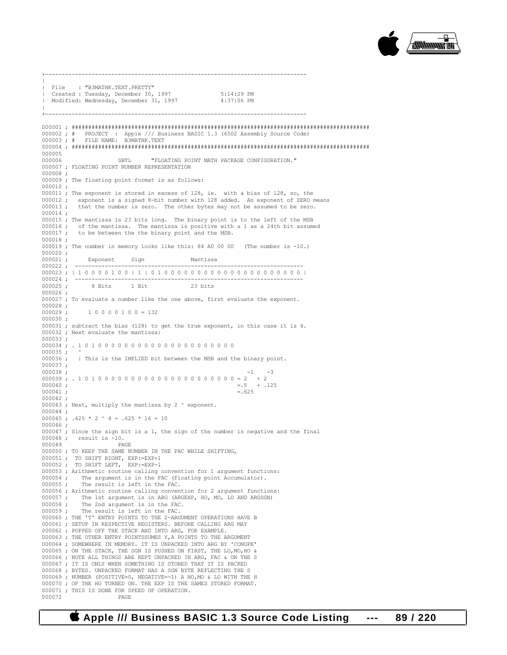

 $\|$ | File : "B3MATHK.TEXT.PRETTY" | Created : Tuesday, December 30, 1997 5:14:29 PM Modified: Wednesday, December 31, 1997  $\|$ +------------------------------------------------------------------------------- 000001 ; ########################################################################################## 000002 ; # PROJECT : Apple /// Business BASIC 1.3 (6502 Assembly Source Code) 000003 ; # FILE NAME: B3MATHK.TEXT 000004 ; ########################################################################################## 000005<br>000006 000006 SBTL "FLOATING POINT MATH PACKAGE CONFIGURATION." 000007 ; FLOATING POINT NUMBER REPRESENTATION 000008 ; 000009 ; The floating point format is as follows: 000010 ; 000011 ; The exponent is stored in excess of 128, ie. with a bias of 128, so, the 000012 ; exponent is a signed 8-bit number with 128 added. An exponent of ZERO means 000013 ; that the number is zero. The other bytes may not be assumed to be zero. 000014 ; 000015 ; The mantissa is 23 bits long. The binary point is to the left of the MSB 000016 ; of the mantissa. The mantissa is positive with a 1 as a 24th bit assumed 000017 ; to be between the the binary point and the MSB. to be between the the binary point and the MSB. 000018 ; 000019 ; The number in memory looks like this: 84 A0 00 00 (The number is -10.) 000020 ; 000021 ; Exponent Sign Mantissa 000022 ; -----000023 ; | 1 0 0 0 0 1 0 0 | 1 | 0 1 0 0 0 0 0 0 0 0 0 0 0 0 0 0 0 0 0 0 0 0 0 | 000024 ; --------------------------------------------------------------------- 8 Bits 000026 ; 000027 ; To evaluate a number like the one above, first evaluate the exponent.  $000028 ;$ <br>000029;  $10000100 = 132$ 000030 ; 000031 ; subtract the bias (128) to get the true exponent, in this case it is 4. 000032 ; Next evaluate the mantissa: 000033 ; 000034 ; . 1 0 1 0 0 0 0 0 0 0 0 0 0 0 0 0 0 0 0 0 0 0 0 0 000035 ; ^ 000036 ; | This is the IMPLIED bit between the MSB and the binary point.  $000037 ;$ <br> $000038 ;$ 000038 ;  $-1$  -3  $000039$  ;  $1010000000000000000000000 = 2 + 2$ 000040 ;  $= .5 + .125$ <br>000041 ;  $= .625$  $000041$ ;  $= .625$ 000042 ; 000043 ; Next, multiply the mantissa by 2  $\hat{ }$  exponent. 000044 ; 000045 ;  $.625 * 2 \land 4 = .625 * 16 = 10$ 000046 ; 000047 ; Since the sign bit is a 1, the sign of the number is negative and the final 000048 ; result is  $-10$ .<br>000049 PAGE 000049 000050 ; TO KEEP THE SAME NUMBER IN THE FAC WHILE SHIFTING, 000051 ; TO SHIFT RIGHT, EXP:=EXP+1 000052 ; TO SHIFT LEFT, EXP:=EXP-1 000053 ; Arithmetic routine calling convention for 1 argument functions: 000054 ; The argument is in the FAC (Floating point Accumulator).<br>000055 ; The result is left in the FAC. The result is left in the FAC. 000056 ; Arithmetic routine calling convention for 2 argument functions:<br>000057 ; The 1st argument is in ARG (ARGEXP, HO, MO, LO AND ARGSGN) The 1st argument is in ARG (ARGEXP, HO, MO, LO AND ARGSGN) 000058 ; The 2nd argument is in the FAC.<br>000059 ; The result is left in the FAC. The result is left in the FAC. 000060 ; THE 'T' ENTRY POINTS TO THE 2-ARGUMENT OPERATIONS HAVE B 000061 ; SETUP IN RESPECTIVE REGISTERS. BEFORE CALLING ARG MAY 000062 ; POPPED OFF THE STACK AND INTO ARG, FOR EXAMPLE. 000063 ; THE OTHER ENTRY POINTSSUMES Y, A POINTS TO THE ARGUMENT 000064 ; SOMEWHERE IN MEMORY. IT IS UNPACKED INTO ARG BY 'CONUPK' 000065 ; ON THE STACK, THE SGN IS PUSHED ON FIRST, THE LO,MO,HO & 000066 ; NOTE ALL THINGS ARE KEPT UNPACKED IN ARG, FAC & ON THE S 000067 ; IT IS ONLY WHEN SOMETHING IS STORED THAT IT IS PACKED 000068 ; BYTES. UNPACKED FORMAT HAS A SGN BYTE REFLECTING THE S 000069 ; NUMBER (POSITIVE=0, NEGATIVE=-1) A HO,MO & LO WITH THE H 000070 ; OF THE HO TURNED ON. THE EXP IS THE SAMES STORED FORMAT. 000071 ; THIS IS DONE FOR SPEED OF OPERATION. 000072 PAGE

+-------------------------------------------------------------------------------

 **Apple /// Business BASIC 1.3 Source Code Listing --- 89 / 220**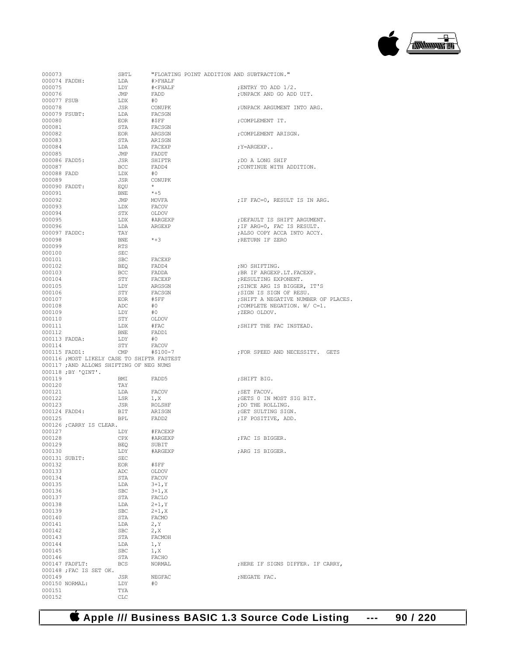

| 000073           |                                             | SBTL       |                   |  | "FLOATING POINT ADDITION AND SUBTRACTION."    |
|------------------|---------------------------------------------|------------|-------------------|--|-----------------------------------------------|
|                  | 000074 FADDH:                               | LDA        | $#$ >FHALF        |  |                                               |
| 000075           |                                             | LDY        | # <b>FHALF</b>    |  | ; ENTRY TO ADD 1/2.                           |
| 000076           |                                             | JMP        | FADD              |  | ; UNPACK AND GO ADD UIT.                      |
| 000077 FSUB      |                                             | LDX        | #0                |  |                                               |
| 000078           |                                             | JSR        | <b>CONUPK</b>     |  | ; UNPACK ARGUMENT INTO ARG.                   |
|                  | 000079 FSUBT:                               | LDA        | FACSGN            |  |                                               |
| 000080           |                                             | <b>EOR</b> | #\$FF             |  | ; COMPLEMENT IT.                              |
| 000081           |                                             | STA        | FACSGN            |  |                                               |
| 000082           |                                             | EOR        | ARGSGN            |  | ; COMPLEMENT ARISGN.                          |
| 000083           |                                             | STA        | ARISGN            |  |                                               |
| 000084<br>000085 |                                             | LDA<br>JMP | FACEXP            |  | ; Y=ARGEXP                                    |
|                  |                                             | JSR        | FADDT<br>SHIFTR   |  |                                               |
| 000087           | 000086 FADD5:                               | BCC        | FADD4             |  | ; DO A LONG SHIF<br>; CONTINUE WITH ADDITION. |
| 000088 FADD      |                                             | LDX        | #0                |  |                                               |
| 000089           |                                             | JSR        | CONUPK            |  |                                               |
|                  | 000090 FADDT:                               | EOU        | $\star$           |  |                                               |
| 000091           |                                             | <b>BNE</b> | $*+5$             |  |                                               |
| 000092           |                                             | JMP        | MOVFA             |  | ; IF FAC=0, RESULT IS IN ARG.                 |
| 000093           |                                             | LDX        | FACOV             |  |                                               |
| 000094           |                                             | STX        | OLDOV             |  |                                               |
| 000095           |                                             | LDX        | #ARGEXP           |  | ; DEFAULT IS SHIFT ARGUMENT.                  |
| 000096           |                                             | LDA        | ARGEXP            |  | ; IF ARG=0, FAC IS RESULT.                    |
|                  | 000097 FADDC:                               | TAY        |                   |  | ; ALSO COPY ACCA INTO ACCY.                   |
| 000098           |                                             | <b>BNE</b> | $*+3$             |  | ; RETURN IF ZERO                              |
| 000099           |                                             | <b>RTS</b> |                   |  |                                               |
| 000100           |                                             | SEC        |                   |  |                                               |
| 000101           |                                             | <b>SBC</b> | FACEXP            |  |                                               |
| 000102           |                                             | BEO        | FADD4             |  | ; NO SHIFTING.                                |
| 000103           |                                             | BCC        | FADDA             |  | ; BR IF ARGEXP.LT. FACEXP.                    |
| 000104           |                                             | STY        | FACEXP            |  | ; RESULTING EXPONENT.                         |
| 000105           |                                             | LDY        | ARGSGN            |  | ; SINCE ARG IS BIGGER, IT'S                   |
| 000106           |                                             | STY        | FACSGN            |  | ; SIGN IS SIGN OF RESU.                       |
| 000107           |                                             | EOR        | #SFF              |  | ; SHIFT A NEGATIVE NUMBER OF                  |
| 000108           |                                             | ADC        | #0                |  | ; COMPLETE NEGATION. W/ C=1.                  |
| 000109           |                                             | LDY        | #0                |  | ;ZERO OLDOV.                                  |
| 000110           |                                             | STY        | OLDOV             |  |                                               |
| 000111           |                                             | LDX        | #FAC              |  | ; SHIFT THE FAC INSTEAD.                      |
| 000112           |                                             | BNE        | FADD1             |  |                                               |
|                  | 000113 FADDA:                               | LDY        | #0                |  |                                               |
| 000114           |                                             | STY        | FACOV             |  |                                               |
|                  | 000115 FADD1:                               | CMP        | #\$100-7          |  | ; FOR SPEED AND NECESSITY. G                  |
|                  | 000116 ; MOST LIKELY CASE TO SHIFTR FASTEST |            |                   |  |                                               |
|                  | 000117 ; AND ALLOWS SHIFTING OF NEG NUMS    |            |                   |  |                                               |
|                  | 000118 ; BY 'QINT'.                         |            |                   |  |                                               |
| 000119           |                                             | BMI        | FADD5             |  | ; SHIFT BIG.                                  |
| 000120           |                                             | TAY        |                   |  |                                               |
| 000121           |                                             | LDA        | FACOV             |  | : SET FACOV.                                  |
| 000122           |                                             | LSR        | 1, x              |  | ; GETS 0 IN MOST SIG BIT.                     |
| 000123           |                                             | JSR        | <b>ROLSHF</b>     |  | ; DO THE ROLLING.                             |
|                  | 000124 FADD4:                               | BIT        | ARISGN            |  | ; GET SULTING SIGN.                           |
| 000125           |                                             | <b>BPL</b> | FADD <sub>2</sub> |  | ; IF POSITIVE, ADD.                           |
|                  | 000126 ; CARRY IS CLEAR.                    |            |                   |  |                                               |
| 000127           |                                             | LDY        | #FACEXP           |  |                                               |
| 000128           |                                             | CPX        | #ARGEXP           |  | ; FAC IS BIGGER.                              |
| 000129           |                                             | <b>BEQ</b> | SUBIT             |  |                                               |
| 000130           |                                             | LDY        | #ARGEXP           |  | :ARG IS BIGGER.                               |
|                  | 000131 SUBIT:                               | <b>SEC</b> |                   |  |                                               |
| 000132           |                                             | EOR        | #\$FF             |  |                                               |
| 000133           |                                             | ADC        | OLDOV             |  |                                               |
| 000134           |                                             | STA        | <b>FACOV</b>      |  |                                               |
| 000135           |                                             | LDA        | $3 + 1, Y$        |  |                                               |
| 000136           |                                             | SBC        | $3 + 1, X$        |  |                                               |
| 000137           |                                             | STA        | FACLO             |  |                                               |
| 000138           |                                             | LDA        | $2 + 1, Y$        |  |                                               |
| 000139           |                                             | SBC        | $2 + 1, X$        |  |                                               |
| 000140           |                                             | STA        | FACMO             |  |                                               |
| 000141           |                                             | LDA        | 2, Y              |  |                                               |
| 000142           |                                             | SBC        | 2, X              |  |                                               |
| 000143           |                                             | STA        | FACMOH            |  |                                               |
| 000144           |                                             | LDA        | 1, Y              |  |                                               |
| 000145           |                                             | SBC        | 1, X              |  |                                               |
| 000146           |                                             | STA        | FACHO             |  |                                               |
|                  | 000147 FADFLT:                              | <b>BCS</b> | NORMAL            |  | ;HERE IF SIGNS DIFFER. IF CA                  |
|                  | 000148 ; FAC IS SET OK.                     |            |                   |  |                                               |
| 000149           |                                             | JSR        | NEGFAC            |  | ; NEGATE FAC.                                 |
|                  | 000150 NORMAL:                              | LDY        | #0                |  |                                               |
| 000151           |                                             | TYA        |                   |  |                                               |
| 000152           |                                             | <b>CLC</b> |                   |  |                                               |

| 000073        |                                             | SBTL        | "FLOATING POINT ADDITION AND SUBTRACTION."          |                                      |
|---------------|---------------------------------------------|-------------|-----------------------------------------------------|--------------------------------------|
|               | 000074 FADDH:                               | LDA         | $\#$ >FHALF                                         |                                      |
| 000075        |                                             | LDY         | # <fhalf< td=""><td>ENTRY TO ADD 1/2.</td></fhalf<> | ENTRY TO ADD 1/2.                    |
| 000076        |                                             | JMP         | FADD                                                | ; UNPACK AND GO ADD UIT.             |
|               | 000077 FSUB                                 | ${\rm LDX}$ | #0                                                  |                                      |
| 000078        |                                             | JSR         | CONUPK                                              | ; UNPACK ARGUMENT INTO ARG.          |
|               | 000079 FSUBT:                               | LDA         | FACSGN                                              |                                      |
| 000080        |                                             | EOR         | #\$FF                                               | COMPLEMENT IT.                       |
| 000081        |                                             | STA         | FACSGN                                              |                                      |
| 000082        |                                             | <b>EOR</b>  | ARGSGN                                              | ; COMPLEMENT ARISGN.                 |
| 000083        |                                             | STA         | ARISGN                                              |                                      |
| 000084        |                                             | LDA         | FACEXP                                              | ; Y=ARGEXP                           |
| 000085        |                                             | JMP         | FADDT                                               |                                      |
|               | 000086 FADD5:                               | <b>JSR</b>  | SHIFTR                                              | ; DO A LONG SHIF                     |
| 000087        |                                             | BCC         | FADD4                                               | ; CONTINUE WITH ADDITION.            |
| 000088 FADD   |                                             | LDX         | #0                                                  |                                      |
| 000089        |                                             | JSR         | CONUPK                                              |                                      |
|               | 000090 FADDT:                               | EQU         | $\star$                                             |                                      |
| 000091        |                                             | <b>BNE</b>  | $*+5$                                               |                                      |
| 000092        |                                             | JMP         | MOVFA                                               | ; IF FAC=0, RESULT IS IN ARG.        |
| 000093        |                                             | LDX         | FACOV                                               |                                      |
| 000094        |                                             | STX         | OLDOV                                               |                                      |
| 000095        |                                             | LDX         | #ARGEXP                                             | ; DEFAULT IS SHIFT ARGUMENT.         |
| 000096        |                                             | LDA         | ARGEXP                                              | ; IF ARG=0, FAC IS RESULT.           |
|               | 000097 FADDC:                               | TAY         |                                                     | ; ALSO COPY ACCA INTO ACCY.          |
| 000098        |                                             | BNE         | $*+3$                                               | RETURN IF ZERO                       |
| 000099        |                                             | RTS         |                                                     |                                      |
| 000100        |                                             | SEC         |                                                     |                                      |
| 000101        |                                             | SBC         | FACEXP                                              |                                      |
| 000102        |                                             | <b>BEQ</b>  | FADD4                                               | ;NO SHIFTING.                        |
| 000103        |                                             | BCC         | FADDA                                               | ; BR IF ARGEXP.LT. FACEXP.           |
| 000104        |                                             | STY         | FACEXP                                              | ; RESULTING EXPONENT.                |
| 000105        |                                             | LDY         | ARGSGN                                              | SINCE ARG IS BIGGER, IT'S,           |
| 000106        |                                             | STY         | FACSGN                                              | ;SIGN IS SIGN OF RESU.               |
| 000107        |                                             | EOR         | #SFF                                                | ; SHIFT A NEGATIVE NUMBER OF PLACES. |
| 000108        |                                             | ADC         | #0                                                  | ; COMPLETE NEGATION. W/ C=1.         |
| 000109        |                                             | LDY         | #O                                                  | ;ZERO OLDOV.                         |
| 000110        |                                             | ${\tt STY}$ |                                                     |                                      |
| 000111        |                                             | LDX         | OLDOV<br>#FAC                                       | ; SHIFT THE FAC INSTEAD.             |
| 000112        |                                             | <b>BNE</b>  | FADD1                                               |                                      |
|               | 000113 FADDA:                               | LDY         | #0                                                  |                                      |
| 000114        |                                             | STY FACOV   |                                                     |                                      |
|               | 000115 FADD1: CMP                           |             | #\$100-7                                            | FOR SPEED AND NECESSITY. GETS        |
|               | 000116 ; MOST LIKELY CASE TO SHIFTR FASTEST |             |                                                     |                                      |
|               | 000117 ; AND ALLOWS SHIFTING OF NEG NUMS    |             |                                                     |                                      |
|               | 000118 ;BY 'QINT'.                          |             |                                                     |                                      |
| 000119        |                                             | BMI         | FADD5                                               | ;SHIFT BIG.                          |
| 000120        |                                             | TAY         |                                                     |                                      |
| 000121        |                                             | LDA         | FACOV                                               | ; SET FACOV.                         |
| 000122        |                                             | LSR         |                                                     | ; GETS 0 IN MOST SIG BIT.            |
| 000123        |                                             | JSR         | 1, X<br>ROLSHF                                      | ; DO THE ROLLING.                    |
|               | 000124 FADD4:                               | BIT         | ARISGN                                              | ; GET SULTING SIGN.                  |
| 000125        |                                             | BPL FADD2   |                                                     | ; IF POSITIVE, ADD.                  |
|               | 000126 ;CARRY IS CLEAR.                     |             |                                                     |                                      |
| 000127        |                                             | LDY         | #FACEXP                                             |                                      |
| 000128        |                                             | CPX         | #ARGEXP                                             | ; FAC IS BIGGER.                     |
| 000129        |                                             | BEQ         | SUBIT                                               |                                      |
| 000130        |                                             | LDY         | #ARGEXP                                             | ; ARG IS BIGGER.                     |
| 000131 SUBIT: |                                             | SEC         |                                                     |                                      |
| 000132        |                                             | EOR         | #\$FF                                               |                                      |
| 000133        |                                             | ADC         | OLDOV                                               |                                      |
| 000134        |                                             | STA         | <b>FACOV</b>                                        |                                      |
| 000135        |                                             | LDA         | $3+1, Y$                                            |                                      |
| 000136        |                                             | SBC         | $3 + 1, X$                                          |                                      |
| 000137        |                                             | STA         | FACLO                                               |                                      |
| 000138        |                                             | LDA         | $2 + 1, Y$                                          |                                      |
| 000139        |                                             | SBC         | $2 + 1, X$                                          |                                      |
| 000140        |                                             | STA         | FACMO                                               |                                      |
| 000141        |                                             | LDA         | 2, Y                                                |                                      |
| 000142        |                                             | SBC         | 2, X                                                |                                      |
| 000143        |                                             | STA         | FACMOH                                              |                                      |
| 000144        |                                             | LDA         | 1, Y                                                |                                      |
| 000145        |                                             | SBC         | 1, X                                                |                                      |
| 000146        |                                             | STA         | FACHO                                               |                                      |
|               | 000147 FADFLT:                              | <b>BCS</b>  | NORMAL                                              | ; HERE IF SIGNS DIFFER. IF CARRY,    |
|               | $0.00140$ $\cdot$ $E30$ $E9$ $E9$ $E9$      |             |                                                     |                                      |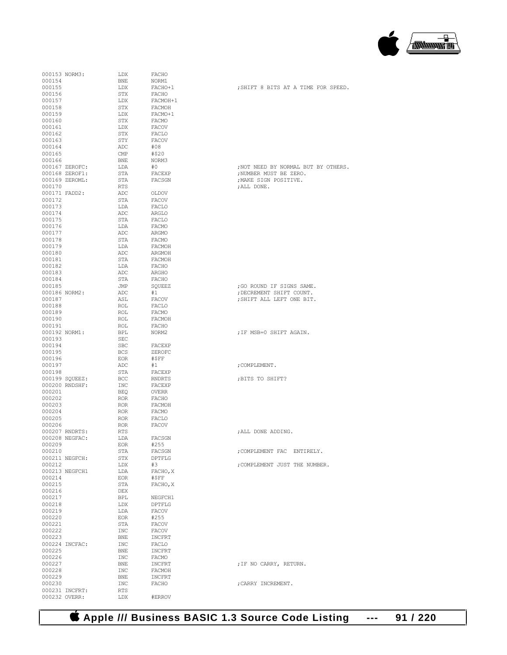

|                  | 000153 NORM3:  | LDX        | FACHO                  |                         |
|------------------|----------------|------------|------------------------|-------------------------|
| 000154           |                | <b>BNE</b> | NORM1                  |                         |
| 000155<br>000156 |                | LDX<br>STX | FACHO+1<br>FACHO       | ; SHIFT 8 BITS AT A TIM |
| 000157           |                | LDX        | FACMOH+1               |                         |
| 000158           |                | STX        | FACMOH                 |                         |
| 000159           |                | LDX        | FACMO+1                |                         |
| 000160           |                | STX        | FACMO                  |                         |
| 000161           |                | LDX        | FACOV                  |                         |
| 000162           |                | STX        | FACLO                  |                         |
| 000163           |                | STY        | FACOV                  |                         |
| 000164           |                | ADC        | #08                    |                         |
| 000165           |                | CMP        | #\$20                  |                         |
| 000166           |                | BNE        | NORM3                  |                         |
|                  | 000167 ZEROFC: | LDA        | #0                     | ; NOT NEED BY NORMAL BU |
|                  | 000168 ZEROF1: | STA        | FACEXP                 | ; NUMBER MUST BE ZERO.  |
|                  | 000169 ZEROML: | STA        | FACSGN                 | ; MAKE SIGN POSITIVE.   |
| 000170           |                | RTS        |                        | ; ALL DONE.             |
|                  | 000171 FADD2:  | ADC        | OLDOV                  |                         |
| 000172           |                | STA        | FACOV                  |                         |
| 000173           |                | LDA        | FACLO                  |                         |
| 000174           |                | ADC        | ARGLO                  |                         |
| 000175           |                | STA        | FACLO                  |                         |
| 000176           |                | LDA        | FACMO                  |                         |
| 000177           |                | ADC        | ARGMO                  |                         |
| 000178           |                | STA        | FACMO                  |                         |
| 000179           |                | LDA        | FACMOH                 |                         |
| 000180           |                | ADC        | ARGMOH                 |                         |
| 000181           |                | STA        | FACMOH                 |                         |
| 000182           |                | LDA        | FACHO                  |                         |
| 000183           |                | ADC        | ARGHO                  |                         |
| 000184           |                | STA        | FACHO                  |                         |
| 000185           |                | JMP        | SQUEEZ                 | ;GO ROUND IF SIGNS SAM  |
|                  | 000186 NORM2:  | ADC        | #1                     | ; DECREMENT SHIFT COUNT |
| 000187           |                | ASL        | FACOV                  | ; SHIFT ALL LEFT ONE BI |
| 000188           |                | ROL        | FACLO                  |                         |
| 000189           |                | ROL        | FACMO                  |                         |
| 000190           |                | ROL        | FACMOH                 |                         |
| 000191           |                | ROL        | FACHO                  |                         |
|                  | 000192 NORM1:  | BPL        | NORM2                  | ; IF MSB=0 SHIFT AGAIN. |
| 000193           |                | SEC        |                        |                         |
| 000194           |                | SBC        | FACEXP                 |                         |
| 000195           |                | <b>BCS</b> | ZEROFC                 |                         |
| 000196           |                | EOR        | #SFF                   |                         |
| 000197           |                | ADC        | #1                     | ; COMPLEMENT.           |
| 000198           |                | STA        | FACEXP                 |                         |
|                  | 000199 SQUEEZ: | BCC        | RNDRTS                 | ; BITS TO SHIFT?        |
| 000201           | 000200 RNDSHF: | INC<br>BEQ | FACEXP<br><b>OVERR</b> |                         |
| 000202           |                | ROR        | FACHO                  |                         |
| 000203           |                | ROR.       | FACMOH                 |                         |
| 000204           |                | <b>ROR</b> | FACMO                  |                         |
| 000205           |                | ROR        | FACLO                  |                         |
| 000206           |                | ROR        | FACOV                  |                         |
|                  | 000207 RNDRTS: | <b>RTS</b> |                        | ; ALL DONE ADDING.      |
|                  | 000208 NEGFAC: | LDA        | FACSGN                 |                         |
| 000209           |                | EOR        | #255                   |                         |
| 000210           |                | STA        | FACSGN                 | ; COMPLEMENT FAC ENTIR  |
|                  | 000211 NEGFCH: | STX        | DPTFLG                 |                         |
| 000212           |                | LDX        | #3                     | ; COMPLEMENT JUST THE N |
|                  | 000213 NEGFCH1 | LDA        | FACHO, X               |                         |
| 000214           |                | EOR        | #\$FF                  |                         |
| 000215           |                | STA        | FACHO, X               |                         |
| 000216           |                | DEX        |                        |                         |
| 000217           |                | BPL        | NEGFCH1                |                         |
| 000218           |                | LDX        | DPTFLG                 |                         |
| 000219           |                | LDA        | FACOV                  |                         |
| 000220           |                | EOR        | #255                   |                         |
| 000221           |                | STA        | FACOV                  |                         |
| 000222           |                | INC        | FACOV                  |                         |
| 000223           |                | BNE        | INCFRT                 |                         |
|                  | 000224 INCFAC: | INC        | FACLO                  |                         |
| 000225           |                | BNE        | INCFRT                 |                         |
| 000226           |                | INC        | FACMO                  |                         |
| 000227           |                | BNE        | INCFRT                 | ; IF NO CARRY, RETURN.  |
| 000228           |                | INC        | FACMOH                 |                         |
| 000229           |                | BNE        | INCFRT                 |                         |
| 000230           |                | INC        | FACHO                  | ; CARRY INCREMENT.      |
|                  | 000231 INCFRT: | RTS        |                        |                         |
|                  | 000232 OVERR:  | LDX        | #ERROV                 |                         |

| 000154<br>000155 |                | BNE<br>LDX | NORM1<br>FACHO+1 | ; SHIFT 8 BITS AT A TIME FOR SPEED. |
|------------------|----------------|------------|------------------|-------------------------------------|
| 000156           |                | STX        | FACHO            |                                     |
| 000157           |                | LDX        | FACMOH+1         |                                     |
| 000158           |                | STX        | FACMOH           |                                     |
| 000159           |                | LDX        | FACMO+1          |                                     |
| 000160           |                | STX        | FACMO            |                                     |
| 000161           |                | LDX        | FACOV            |                                     |
| 000162           |                | STX        | FACLO            |                                     |
| 000163           |                | STY        | FACOV            |                                     |
| 000164           |                | ADC        | #08              |                                     |
| 000165           |                | CMP        | #\$20            |                                     |
| 000166           |                | BNE        | NORM3            |                                     |
|                  | 000167 ZEROFC: | LDA        | #O               | ; NOT NEED BY NORMAL BUT BY OTHERS. |
|                  | 000168 ZEROF1: | STA        | FACEXP           | ; NUMBER MUST BE ZERO.              |
|                  | 000169 ZEROML: | STA        | FACSGN           | ; MAKE SIGN POSITIVE.               |
| 000170           |                | RTS        |                  | ; ALL DONE.                         |
|                  | 000171 FADD2:  | ADC        | OLDOV            |                                     |
| 000172           |                | STA        | FACOV            |                                     |
| 000173           |                | LDA        | FACLO            |                                     |
| 000174           |                | ADC        | ARGLO            |                                     |
| 000175           |                | STA        | FACLO            |                                     |
| 000176           |                | LDA        | FACMO            |                                     |
| 000177           |                | ADC        | ARGMO            |                                     |
| 000178           |                | STA        | FACMO            |                                     |
| 000179<br>000180 |                | LDA<br>ADC | FACMOH<br>ARGMOH |                                     |
| 000181           |                | STA        | FACMOH           |                                     |
| 000182           |                | LDA        | FACHO            |                                     |
| 000183           |                | ADC        | ARGHO            |                                     |
| 000184           |                | STA        | FACHO            |                                     |
| 000185           |                | JMP        | SQUEEZ           | ;GO ROUND IF SIGNS SAME.            |
|                  | 000186 NORM2:  | ADC        | #1               | ; DECREMENT SHIFT COUNT.            |
| 000187           |                | ASL        | FACOV            | ; SHIFT ALL LEFT ONE BIT.           |
| 000188           |                | ROL        | FACLO            |                                     |
| 000189           |                | ROL        | FACMO            |                                     |
| 000190           |                | ROL        | FACMOH           |                                     |
| 000191           |                | ROL        | FACHO            |                                     |
|                  | 000192 NORM1:  | BPL        | NORM2            | ; IF MSB=0 SHIFT AGAIN.             |
| 000193           |                | SEC        |                  |                                     |
| 000194           |                | SBC        | FACEXP           |                                     |
| 000195           |                | <b>BCS</b> | ZEROFC           |                                     |
| 000196           |                | EOR        | #\$FF            |                                     |
| 000197           |                | ADC<br>STA | #1               | ; COMPLEMENT.                       |
| 000198           |                |            | FACEXP           |                                     |
|                  | 000199 SQUEEZ: | BCC        | RNDRTS           | ; BITS TO SHIFT?                    |
|                  | 000200 RNDSHF: | INC        | FACEXP           |                                     |
| 000201<br>000202 |                | BEQ        | OVERR            |                                     |
| 000203           |                | ROR<br>ROR | FACHO<br>FACMOH  |                                     |
| 000204           |                | ROR        | FACMO            |                                     |
| 000205           |                | ROR        | FACLO            |                                     |
| 000206           |                | <b>ROR</b> | FACOV            |                                     |
|                  | 000207 RNDRTS: | RTS        |                  | ; ALL DONE ADDING.                  |
|                  | 000208 NEGFAC: | LDA        | FACSGN           |                                     |
| 000209           |                | EOR        | #255             |                                     |
| 000210           |                | STA        | FACSGN           | ; COMPLEMENT FAC ENTIRELY.          |
|                  | 000211 NEGFCH: | STX        | DPTFLG           |                                     |
| 000212           |                | LDX        | #3               | ; COMPLEMENT JUST THE NUMBER.       |
|                  | 000213 NEGFCH1 | LDA        | FACHO, X         |                                     |
| 000214           |                | EOR        | #SFF             |                                     |
| 000215           |                | STA        | FACHO, X         |                                     |
| 000216           |                | DEX        |                  |                                     |
| 000217           |                | BPL        | NEGFCH1          |                                     |
| 000218           |                | LDX        | DPTFLG           |                                     |
| 000219           |                | LDA        | FACOV            |                                     |
| 000220           |                | EOR        | #255             |                                     |
| 000221           |                | STA        | FACOV            |                                     |
| 000222           |                | INC        | FACOV            |                                     |
| 000223           | 000224 INCFAC: | BNE        | INCFRT           |                                     |
| 000225           |                | INC<br>BNE | FACLO<br>INCFRT  |                                     |
| 000226           |                | INC        | FACMO            |                                     |
| 000227           |                | BNE        | INCFRT           | ; IF NO CARRY, RETURN.              |
| 000228           |                | INC        | FACMOH           |                                     |
| 000229           |                | BNE        | INCFRT           |                                     |
| 000230           |                | INC        | FACHO            | ; CARRY INCREMENT.                  |
|                  | 000231 INCFRT. | <b>RTS</b> |                  |                                     |

 **Apple /// Business BASIC 1.3 Source Code Listing --- 91 / 220**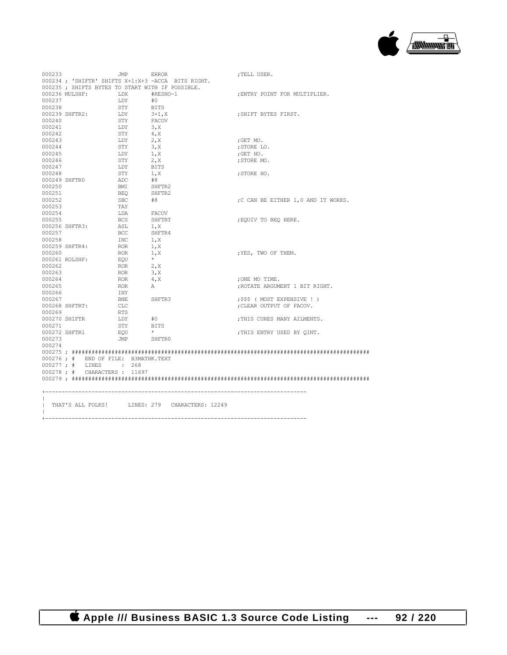

| 000233           |                                      | JMP        | <b>ERROR</b>                                       | ; TELL USER.                       |
|------------------|--------------------------------------|------------|----------------------------------------------------|------------------------------------|
|                  |                                      |            | 000234 ; 'SHIFTR' SHIFTS X+1:X+3 -ACCA BITS RIGHT. |                                    |
|                  |                                      |            | 000235; SHIFTS BYTES TO START WITH IF POSSIBLE.    |                                    |
|                  | 000236 MULSHF:                       | LDX        | #RESHO-1                                           | ; ENTRY POINT FOR MULTIPLIER.      |
| 000237           |                                      | LDY        | #0                                                 |                                    |
| 000238           |                                      | STY        | BITS                                               |                                    |
|                  | 000239 SHFTR2:                       | LDY        | $3+1, X$                                           | ; SHIFT BYTES FIRST.               |
| 000240           |                                      | STY        | FACOV                                              |                                    |
| 000241           |                                      | LDY        | 3, X                                               |                                    |
| 000242           |                                      | STY        | 4, X                                               |                                    |
| 000243           |                                      | LDY        | 2, x                                               | ;GET MO.                           |
| 000244           |                                      | STY        | 3.X                                                | ; STORE LO.                        |
| 000245           |                                      | LDY        | 1, X                                               | ;GET HO.                           |
| 000246           |                                      | STY        | 2, X                                               | ;STORE MO.                         |
| 000247           |                                      | LDY        | BITS                                               |                                    |
| 000248           |                                      | STY        | 1, X                                               | ; STORE HO.                        |
| 000249 SHFTR0    |                                      | ADC        | #8                                                 |                                    |
| 000250           |                                      | BMI        | SHFTR2                                             |                                    |
| 000251           |                                      | BEO        | SHFTR2                                             |                                    |
| 000252           |                                      | SBC        | #8                                                 | ;C CAN BE EITHER 1,0 AND IT WORKS. |
| 000253           |                                      | TAY        |                                                    |                                    |
| 000254           |                                      | LDA        | FACOV                                              |                                    |
| 000255           |                                      | <b>BCS</b> | SHFTRT                                             | ; EQUIV TO BEO HERE.               |
|                  | 000256 SHFTR3:                       | ASL        | 1, X                                               |                                    |
| 000257           |                                      | BCC        | SHFTR4                                             |                                    |
| 000258           |                                      | INC        | 1, X                                               |                                    |
|                  | 000259 SHFTR4:                       | ROR        | 1, X                                               |                                    |
| 000260           |                                      | ROR        | 1, x                                               | ; YES, TWO OF THEM.                |
|                  | 000261 ROLSHF:                       | EOU        | $\star$                                            |                                    |
| 000262           |                                      | ROR        | 2, X                                               |                                    |
| 000263           |                                      | ROR        | 3, X                                               |                                    |
| 000264           |                                      |            |                                                    |                                    |
|                  |                                      | ROR        | 4, X                                               | ; ONE MO TIME.                     |
| 000265<br>000266 |                                      | <b>ROR</b> | A                                                  | ; ROTATE ARGUMENT 1 BIT RIGHT.     |
|                  |                                      | INY        |                                                    |                                    |
| 000267           |                                      | BNE        | SHFTR3                                             | ;\$\$\$ ( MOST EXPENSIVE ! )       |
|                  | 000268 SHFTRT:                       | CLC        |                                                    | ; CLEAR OUTPUT OF FACOV.           |
| 000269           |                                      | RTS        |                                                    |                                    |
|                  | 000270 SHIFTR                        | LDY        | #0                                                 | ; THIS CURES MANY AILMENTS.        |
| 000271           |                                      | STY        | BITS                                               |                                    |
|                  | 000272 SHFTR1                        | EOU        | $\star$                                            | ; THIS ENTRY USED BY OINT.         |
| 000273           |                                      | JMP SHFTRO |                                                    |                                    |
| 000274           |                                      |            |                                                    |                                    |
|                  |                                      |            |                                                    |                                    |
|                  | 000276 ; # END OF FILE: B3MATHK.TEXT |            |                                                    |                                    |
|                  | 000277; # LINES : 268                |            |                                                    |                                    |
|                  | 000278 ; # CHARACTERS : 11697        |            |                                                    |                                    |
|                  |                                      |            |                                                    |                                    |
|                  |                                      |            |                                                    |                                    |
|                  |                                      |            |                                                    |                                    |
|                  |                                      |            | THAT'S ALL FOLKS! LINES: 279 CHARACTERS: 12249     |                                    |
|                  |                                      |            |                                                    |                                    |

 $\|$ 

 **Apple /// Business BASIC 1.3 Source Code Listing --- 92 / 220**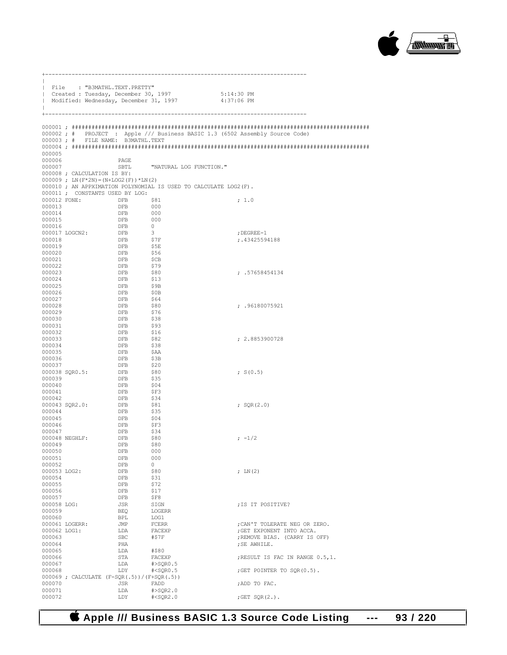

| $\mathbf{I}$<br>$\mathbf{I}$<br>$\mathbf{I}$ |                |                             | File : "B3MATHL.TEXT.PRETTY"                     | Created : Tuesday, December 30, 1997<br>Modified: Wednesday, December 31, 1997 | 5:14:30 PM<br>4:37:06 PM                                                    |
|----------------------------------------------|----------------|-----------------------------|--------------------------------------------------|--------------------------------------------------------------------------------|-----------------------------------------------------------------------------|
| $+$<br>000005                                |                |                             | 000003; # FILE NAME: B3MATHL.TEXT                |                                                                                | 000002; # PROJECT: Apple /// Business BASIC 1.3 (6502 Assembly Source Code) |
| 000006                                       |                |                             | PAGE                                             |                                                                                |                                                                             |
| 000007                                       |                |                             | SBTL                                             | "NATURAL LOG FUNCTION."                                                        |                                                                             |
|                                              |                | 000008 ; CALCULATION IS BY: | $000009$ ; LN $(F*2N) = (N+LOG2(F)) * LN(2)$     |                                                                                |                                                                             |
|                                              |                |                             |                                                  | 000010 ; AN APPXIMATION POLYNOMIAL IS USED TO CALCULATE LOG2 (F).              |                                                                             |
|                                              |                |                             | 000011; CONSTANTS USED BY LOG:                   |                                                                                |                                                                             |
| 000013                                       |                | 000012 FONE: DFB            | \$81<br>DFB                                      | 000                                                                            | ; 1.0                                                                       |
| 000014                                       |                |                             | DFB                                              | 000                                                                            |                                                                             |
| 000015                                       |                |                             | DFB                                              | 000                                                                            |                                                                             |
| 000016                                       |                |                             | <b>DFB</b>                                       | $\overline{0}$                                                                 |                                                                             |
| 000018                                       | 000017 LOGCN2: |                             | DFB<br>DFB                                       | $\overline{\mathbf{3}}$<br>\$7F                                                | ; DEGREE-1<br>; .43425594188                                                |
| 000019                                       |                |                             | <b>DFB</b>                                       | \$5E                                                                           |                                                                             |
| 000020                                       |                |                             | DFB                                              | \$56                                                                           |                                                                             |
| 000021<br>000022                             |                |                             | DFB<br>DFB                                       | SCB<br>\$79                                                                    |                                                                             |
| 000023                                       |                |                             | DFB                                              | \$80                                                                           | : .57658454134                                                              |
| 000024                                       |                |                             | <b>DFB</b>                                       | \$13                                                                           |                                                                             |
| 000025                                       |                |                             | <b>DFB</b>                                       | \$9B                                                                           |                                                                             |
| 000026<br>000027                             |                |                             | DFB<br><b>DFB</b>                                | \$0B<br>\$64                                                                   |                                                                             |
| 000028                                       |                |                             | DFB                                              | - \$80                                                                         | : .96180075921                                                              |
| 000029                                       |                |                             | DFB                                              | \$76                                                                           |                                                                             |
| 000030                                       |                |                             | <b>DFB</b>                                       | \$38                                                                           |                                                                             |
| 000031<br>000032                             |                |                             | <b>DFB</b><br>DFB                                | \$93<br>\$16                                                                   |                                                                             |
| 000033                                       |                |                             | DFB                                              | \$82                                                                           | : 2.8853900728                                                              |
| 000034                                       |                |                             | <b>DFB</b>                                       | \$38                                                                           |                                                                             |
| 000035<br>000036                             |                |                             | DFB<br>DFB                                       | - \$AA<br>- \$3B                                                               |                                                                             |
| 000037                                       |                |                             | <b>DFB</b>                                       | \$20                                                                           |                                                                             |
|                                              | 000038 SOR0.5: |                             | DFB                                              | - \$80                                                                         | ; $S(0.5)$                                                                  |
| 000039                                       |                |                             | DFB                                              | \$35                                                                           |                                                                             |
| 000040<br>000041                             |                |                             | DFB<br>DFB                                       | \$04<br>- \$F3                                                                 |                                                                             |
| 000042                                       |                |                             | DFB                                              | \$34                                                                           |                                                                             |
|                                              | 000043 SQR2.0: |                             | DFB                                              | \$81                                                                           | ; $SOR(2.0)$                                                                |
| 000044<br>000045                             |                |                             | DFB<br>DFB                                       | \$35<br>\$04                                                                   |                                                                             |
| 000046                                       |                |                             | DFB                                              | \$F3                                                                           |                                                                             |
| 000047                                       |                |                             | DFB                                              | \$34                                                                           |                                                                             |
| 000048 NEGHLF:<br>000049                     |                |                             | DFB<br>DFB                                       | - \$80<br>\$80                                                                 | $; -1/2$                                                                    |
| 000050                                       |                |                             | DFB                                              | 000                                                                            |                                                                             |
| 000051                                       |                |                             | DFB                                              | 000                                                                            |                                                                             |
| 000052                                       |                |                             | DFB                                              | 0                                                                              |                                                                             |
| 000053 LOG2:<br>000054                       |                |                             | DFB<br>DFB                                       | \$80<br>\$31                                                                   | ; $LN(2)$                                                                   |
| 000055                                       |                |                             | DFB                                              | \$72                                                                           |                                                                             |
| 000056                                       |                |                             | DFB                                              | \$17                                                                           |                                                                             |
| 000057                                       |                |                             | DFB                                              | \$F8                                                                           |                                                                             |
| 000058 LOG:<br>000059                        |                |                             | JSR<br>BEQ                                       | SIGN<br>LOGERR                                                                 | ; IS IT POSITIVE?                                                           |
| 000060                                       |                |                             | BPL                                              | LOG1                                                                           |                                                                             |
|                                              | 000061 LOGERR: |                             | JMP                                              | FCERR                                                                          | ; CAN'T TOLERATE NEG OR ZERO.                                               |
| 000062 LOG1:<br>000063                       |                |                             | LDA                                              | FACEXP                                                                         | ; GET EXPONENT INTO ACCA.                                                   |
| 000064                                       |                |                             | <b>SBC</b><br>PHA                                | #\$7F                                                                          | ; REMOVE BIAS. (CARRY IS OFF)<br>; SE AWHILE.                               |
| 000065                                       |                |                             | LDA                                              | #\$80                                                                          |                                                                             |
| 000066                                       |                |                             | STA                                              | FACEXP                                                                         | ; RESULT IS FAC IN RANGE 0.5,1.                                             |
| 000067<br>000068                             |                |                             | LDA<br>LDY                                       | $\sharp$ >SQR $0.5$<br>$\text{\#<}$ SQR $\text{\textdegree}$ 0.5               | ; GET POINTER TO SQR( $0.5$ ).                                              |
|                                              |                |                             | $000069$ ; CALCULATE $(F-SQR(.5)) / (F+SQR(.5))$ |                                                                                |                                                                             |
| 000070                                       |                |                             | JSR                                              | FADD                                                                           | ; ADD TO FAC.                                                               |
| 000071<br>000072                             |                |                             | LDA<br>LDY                                       | $\sharp$ >SQR2.0<br>$\text{\#<}$ SQR2.0                                        |                                                                             |
|                                              |                |                             |                                                  |                                                                                | ; GET $SQR(2.)$ .                                                           |

 **Apple /// Business BASIC 1.3 Source Code Listing --- 93 / 220**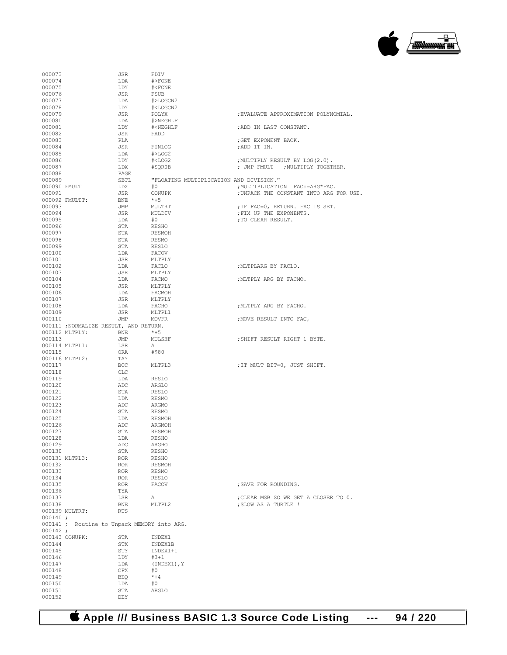

| 000073           |                    | JSR                                         | FDIV                                                           |                                         |
|------------------|--------------------|---------------------------------------------|----------------------------------------------------------------|-----------------------------------------|
| 000074           |                    | LDA                                         | #>FONE                                                         |                                         |
| 000075           |                    | LDY                                         | # <fone< td=""><td></td></fone<>                               |                                         |
| 000076           |                    | JSR                                         | FSUB                                                           |                                         |
|                  |                    |                                             |                                                                |                                         |
| 000077           |                    | LDA                                         | #>LOGCN2                                                       |                                         |
| 000078           |                    | LDY                                         | # <logcn2< td=""><td></td></logcn2<>                           |                                         |
| 000079           |                    | JSR                                         | POLYX                                                          | ; EVALUATE APPROXIMATION POLYNOMIAL.    |
| 000080           |                    | LDA                                         | #>NEGHLF                                                       |                                         |
|                  |                    |                                             |                                                                |                                         |
| 000081           |                    | LDY                                         | # <neghlf< td=""><td>; ADD IN LAST CONSTANT.</td></neghlf<>    | ; ADD IN LAST CONSTANT.                 |
| 000082           |                    | JSR                                         | FADD                                                           |                                         |
| 000083           |                    | PLA                                         |                                                                | ;GET EXPONENT BACK.                     |
| 000084           |                    | JSR                                         | FINLOG                                                         | ;ADD IT IN.                             |
|                  |                    |                                             |                                                                |                                         |
| 000085           |                    | LDA                                         | #>LOG2                                                         |                                         |
| 000086           |                    | LDY                                         | # <log2< td=""><td>; MULTIPLY RESULT BY LOG(2.0).</td></log2<> | ; MULTIPLY RESULT BY LOG(2.0).          |
| 000087           |                    | LDX                                         | #SQR0B                                                         | ; JMP FMULT ; MULTIPLY TOGETHER.        |
|                  |                    |                                             |                                                                |                                         |
| 000088           |                    | PAGE                                        |                                                                |                                         |
| 000089           |                    |                                             | SBTL <b>"FLOATING MULTIPLICATION AND DIVISION."</b>            |                                         |
| 000090 FMULT     |                    | LDX                                         | #0                                                             | ; MULTIPLICATION FAC: = ARG*FAC.        |
| 000091           |                    | JSR                                         | CONUPK                                                         | ; UNPACK THE CONSTANT INTO ARG FOR USE. |
|                  |                    |                                             |                                                                |                                         |
|                  | 000092 FMULTT:     | BNE                                         | *+5                                                            |                                         |
| 000093           |                    | JMP                                         | MULTRT                                                         | ; IF FAC=0, RETURN. FAC IS SET.         |
| 000094           |                    | JSR                                         | MULDIV                                                         | ; FIX UP THE EXPONENTS.                 |
| 000095           |                    |                                             | #0                                                             | ; TO CLEAR RESULT.                      |
|                  |                    | LDA                                         |                                                                |                                         |
| 000096           |                    | STA                                         | RESHO                                                          |                                         |
| 000097           |                    | STA                                         | RESMOH                                                         |                                         |
| 000098           |                    | STA                                         | <b>RESMO</b>                                                   |                                         |
|                  |                    |                                             |                                                                |                                         |
| 000099           |                    | STA                                         | RESLO                                                          |                                         |
| 000100           |                    | LDA                                         | FACOV                                                          |                                         |
| 000101           |                    | JSR                                         | MLTPLY                                                         |                                         |
| 000102           |                    | LDA                                         | FACLO                                                          | ; MLTPLARG BY FACLO.                    |
|                  |                    |                                             |                                                                |                                         |
| 000103           |                    | JSR                                         | MLTPLY                                                         |                                         |
| 000104           |                    | LDA                                         | FACMO                                                          | ; MLTPLY ARG BY FACMO.                  |
| 000105           |                    | JSR                                         | MLTPLY                                                         |                                         |
| 000106           |                    |                                             | FACMOH                                                         |                                         |
|                  |                    | LDA                                         |                                                                |                                         |
| 000107           |                    | JSR                                         | MLTPLY                                                         |                                         |
| 000108           |                    | LDA                                         | FACHO                                                          | ; MLTPLY ARG BY FACHO.                  |
| 000109           |                    | JSR                                         | MLTPL1                                                         |                                         |
|                  |                    |                                             | MOVFR                                                          |                                         |
| 000110           |                    | JMP                                         |                                                                | ; MOVE RESULT INTO FAC,                 |
|                  |                    | 000111 ; NORMALIZE RESULT, AND RETURN.      |                                                                |                                         |
|                  | 000112 MLTPLY: BNE |                                             | $*+5$                                                          |                                         |
| 000113           |                    | JMP                                         | MULSHF                                                         | ; SHIFT RESULT RIGHT 1 BYTE.            |
|                  |                    |                                             |                                                                |                                         |
|                  | 000114 MLTPL1:     | LSR                                         | A                                                              |                                         |
| 000115           |                    | ORA                                         | #\$80                                                          |                                         |
|                  | 000116 MLTPL2:     | TAY                                         |                                                                |                                         |
| 000117           |                    | BCC                                         | MLTPL3                                                         | ; IT MULT BIT=0, JUST SHIFT.            |
|                  |                    |                                             |                                                                |                                         |
| 000118           |                    | CLC                                         |                                                                |                                         |
| 000119           |                    | LDA                                         | RESLO                                                          |                                         |
| 000120           |                    | ADC                                         | ARGLO                                                          |                                         |
| 000121           |                    |                                             |                                                                |                                         |
|                  |                    | STA                                         | RESLO                                                          |                                         |
| 000122           |                    | LDA                                         | <b>RESMO</b>                                                   |                                         |
| 000123           |                    | ADC                                         | ARGMO                                                          |                                         |
| 000124           |                    | STA                                         | RESMO                                                          |                                         |
|                  |                    |                                             |                                                                |                                         |
| 000125           |                    | LDA                                         | RESMOH                                                         |                                         |
| 000126           |                    | ADC                                         | ARGMOH                                                         |                                         |
| 000127           |                    |                                             |                                                                |                                         |
| 000128           |                    | STA                                         | RESMOH                                                         |                                         |
|                  |                    |                                             |                                                                |                                         |
| 000129           |                    | LDA                                         | <b>RESHO</b>                                                   |                                         |
|                  |                    | ADC                                         | ARGHO                                                          |                                         |
| 000130           |                    | STA                                         | <b>RESHO</b>                                                   |                                         |
|                  |                    |                                             |                                                                |                                         |
|                  | 000131 MLTPL3:     | ROR                                         | <b>RESHO</b>                                                   |                                         |
| 000132           |                    | ROR                                         | <b>RESMOH</b>                                                  |                                         |
| 000133           |                    | <b>ROR</b>                                  | <b>RESMO</b>                                                   |                                         |
| 000134           |                    | ROR                                         | RESLO                                                          |                                         |
|                  |                    |                                             |                                                                |                                         |
| 000135           |                    | ROR                                         | FACOV                                                          | ; SAVE FOR ROUNDING.                    |
| 000136           |                    | TYA                                         |                                                                |                                         |
| 000137           |                    | LSR                                         | Α                                                              | ; CLEAR MSB SO WE GET A CLOSER TO 0.    |
|                  |                    |                                             |                                                                |                                         |
| 000138           |                    | BNE                                         | MLTPL2                                                         | ; SLOW AS A TURTLE !                    |
|                  | 000139 MULTRT:     | RTS                                         |                                                                |                                         |
| 000140:          |                    |                                             |                                                                |                                         |
|                  |                    | 000141 ; Routine to Unpack MEMORY into ARG. |                                                                |                                         |
|                  |                    |                                             |                                                                |                                         |
| 000142;          |                    |                                             |                                                                |                                         |
|                  | 000143 CONUPK:     | STA                                         | INDEX1                                                         |                                         |
| 000144           |                    | STX                                         | INDEX1B                                                        |                                         |
|                  |                    |                                             |                                                                |                                         |
|                  |                    | STY                                         | INDEX1+1                                                       |                                         |
| 000145<br>000146 |                    | LDY                                         | $#3 + 1$                                                       |                                         |
| 000147           |                    | LDA                                         | (INDEX1), Y                                                    |                                         |
| 000148           |                    | CPX                                         | #0                                                             |                                         |
|                  |                    |                                             |                                                                |                                         |
| 000149           |                    | BEQ                                         | $*+4$                                                          |                                         |
| 000150           |                    | LDA                                         | #0                                                             |                                         |
| 000151           |                    | STA                                         | ARGLO                                                          |                                         |

 **Apple /// Business BASIC 1.3 Source Code Listing --- 94 / 220**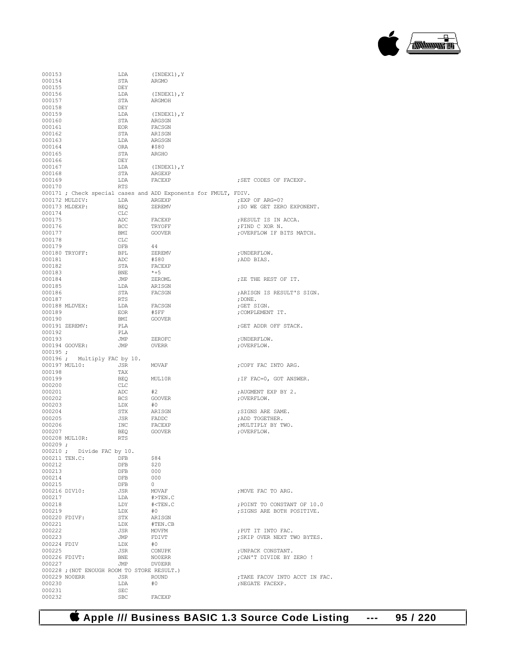

| 000153           |                                            | LDA                                         | $(INDEX1)$ , Y                                                  |                                |
|------------------|--------------------------------------------|---------------------------------------------|-----------------------------------------------------------------|--------------------------------|
| 000154           |                                            | STA                                         | ARGMO                                                           |                                |
| 000155           |                                            | DEY                                         |                                                                 |                                |
| 000156           |                                            | LDA                                         | (INDEX1), Y                                                     |                                |
| 000157           |                                            | STA                                         | ARGMOH                                                          |                                |
| 000158           |                                            | DEY                                         |                                                                 |                                |
| 000159           |                                            | LDA                                         | (INDEX1), Y                                                     |                                |
| 000160           |                                            | STA                                         | ARGSGN                                                          |                                |
| 000161           |                                            | EOR                                         | FACSGN                                                          |                                |
| 000162           |                                            | STA                                         | ARISGN                                                          |                                |
| 000163           |                                            | LDA                                         | ARGSGN                                                          |                                |
| 000164<br>000165 |                                            | ORA<br>STA                                  | #\$80<br>ARGHO                                                  |                                |
| 000166           |                                            | DEY                                         |                                                                 |                                |
| 000167           |                                            | LDA                                         |                                                                 |                                |
| 000168           |                                            | STA                                         | (INDEX1),Y<br>ARGEXP                                            |                                |
| 000169           |                                            | LDA                                         | FACEXP                                                          | ; SET CODES OF FACEXP.         |
| 000170           |                                            | RTS                                         |                                                                 |                                |
|                  |                                            |                                             | 000171 ; Check special cases and ADD Exponents for FMULT, FDIV. |                                |
|                  | 000172 MULDIV: LDA                         |                                             | ARGEXP                                                          | ; EXP OF ARG=0?                |
|                  | 000173 MLDEXP:                             | <b>BEQ</b>                                  | ZEREMV                                                          | ; SO WE GET ZERO EXPONENT.     |
| 000174           |                                            | CLC                                         |                                                                 |                                |
| 000175           |                                            | ADC                                         | FACEXP                                                          | ; RESULT IS IN ACCA.           |
| 000176           |                                            | BCC                                         | TRYOFF                                                          | ;FIND C XOR N.                 |
| 000177           |                                            | BMI                                         | GOOVER                                                          | ; OVERFLOW IF BITS MATCH.      |
| 000178           |                                            | CLC                                         |                                                                 |                                |
| 000179           |                                            | DFB                                         | -44                                                             |                                |
|                  | 000180 TRYOFF:                             | <b>BPL</b>                                  | ZEREMV                                                          | ; UNDERFLOW.                   |
| 000181           |                                            | ADC                                         | #\$80                                                           | ; ADD BIAS.                    |
| 000182           |                                            | STA                                         | FACEXP                                                          |                                |
| 000183           |                                            | BNE                                         | $*+5$                                                           |                                |
| 000184           |                                            | JMP                                         | ZEROML                                                          | ; ZE THE REST OF IT.           |
| 000185           |                                            | LDA                                         | ARISGN                                                          |                                |
| 000186           |                                            | STA                                         | FACSGN                                                          | ; ARISGN IS RESULT'S SIGN.     |
| 000187           |                                            | RTS                                         |                                                                 | ; $DONE.$                      |
|                  | 000188 MLDVEX:                             | LDA                                         | FACSGN                                                          | ;GET SIGN.                     |
| 000189           |                                            | EOR                                         | #\$FF                                                           | ; COMPLEMENT IT.               |
| 000190           |                                            | BMI                                         | GOOVER                                                          |                                |
|                  | 000191 ZEREMV:                             | PLA                                         |                                                                 | ; GET ADDR OFF STACK.          |
| 000192           |                                            | PLA                                         |                                                                 |                                |
| 000193           |                                            | JMP                                         | ZEROFC                                                          | ; UNDERFLOW.                   |
|                  | 000194 GOOVER:                             | JMP                                         | OVERR                                                           | ; OVERFLOW.                    |
| $000195$ ;       |                                            |                                             |                                                                 |                                |
|                  | 000196; Multiply FAC by 10.                |                                             |                                                                 |                                |
|                  | 000197 MUL10:                              | JSR                                         | MOVAF                                                           | ; COPY FAC INTO ARG.           |
| 000198           |                                            | TAX                                         |                                                                 |                                |
| 000199           |                                            | BEQ                                         | MUL10R                                                          | ; IF FAC=0, GOT ANSWER.        |
| 000200           |                                            | CLC<br>ADC                                  | #2                                                              |                                |
| 000201           |                                            |                                             |                                                                 | ; AUGMENT EXP BY 2.            |
| 000202           |                                            | BCS<br>LDX                                  | GOOVER                                                          | ; OVERFLOW.                    |
| 000203<br>000204 |                                            | STX                                         | #0<br>ARISGN                                                    | ; SIGNS ARE SAME.              |
| 000205           |                                            | JSR                                         | FADDC                                                           | ; ADD TOGETHER.                |
| 000206           |                                            | INC                                         | FACEXP                                                          | ; MULTIPLY BY TWO.             |
| 000207           |                                            | BEQ                                         | GOOVER                                                          | ; OVERFLOW.                    |
|                  | 000208 MUL10R:                             | RTS                                         |                                                                 |                                |
| 000209;          |                                            |                                             |                                                                 |                                |
|                  | 000210; Divide FAC by 10.                  |                                             |                                                                 |                                |
|                  | 000211 TEN.C:                              | <b>DFB</b>                                  | \$84                                                            |                                |
| 000212           |                                            | DFB                                         | \$20                                                            |                                |
| 000213           |                                            | DFB                                         | 000                                                             |                                |
| 000214           |                                            | DFB                                         | 000                                                             |                                |
| 000215           |                                            | DFB                                         | $\circ$                                                         |                                |
|                  | 000216 DIV10:                              | JSR                                         | MOVAF                                                           | ; MOVE FAC TO ARG.             |
| 000217           |                                            | LDA                                         | $#$ >TEN.C                                                      |                                |
| 000218           |                                            | LDY                                         | # < TEN.C                                                       | ; POINT TO CONSTANT OF 10.0    |
| 000219           |                                            | LDX                                         | #0                                                              | :SIGNS ARE BOTH POSITIVE.      |
|                  | 000220 FDIVF:                              | STX                                         | ARISGN                                                          |                                |
| 000221           |                                            | LDX                                         | #TEN.CB                                                         |                                |
| 000222           |                                            | JSR                                         | MOVFM                                                           | ; PUT IT INTO FAC.             |
| 000223           |                                            | JMP                                         | FDIVT                                                           | ; SKIP OVER NEXT TWO BYTES.    |
|                  |                                            |                                             |                                                                 |                                |
| 000224 FDIV      |                                            | LDX                                         | #0                                                              |                                |
| 000225           |                                            | JSR                                         | CONUPK                                                          | ; UNPACK CONSTANT.             |
|                  | 000226 FDIVT:                              | BNE                                         | <b>NOOERR</b>                                                   | ; CAN'T DIVIDE BY ZERO !       |
| 000227           |                                            | JMP                                         | <b>DV0ERR</b>                                                   |                                |
|                  | 000228; (NOT ENOUGH ROOM TO STORE RESULT.) |                                             |                                                                 |                                |
|                  | 000229 NO0ERR                              | JSR                                         | <b>ROUND</b>                                                    | ; TAKE FACOV INTO ACCT IN FAC. |
| 000230           |                                            | LDA                                         | #0                                                              | ; NEGATE FACEXP.               |
| 000231<br>000232 |                                            | $\operatorname{\mathsf{SEC}}$<br><b>SBC</b> | FACEXP                                                          |                                |

 **Apple /// Business BASIC 1.3 Source Code Listing --- 95 / 220**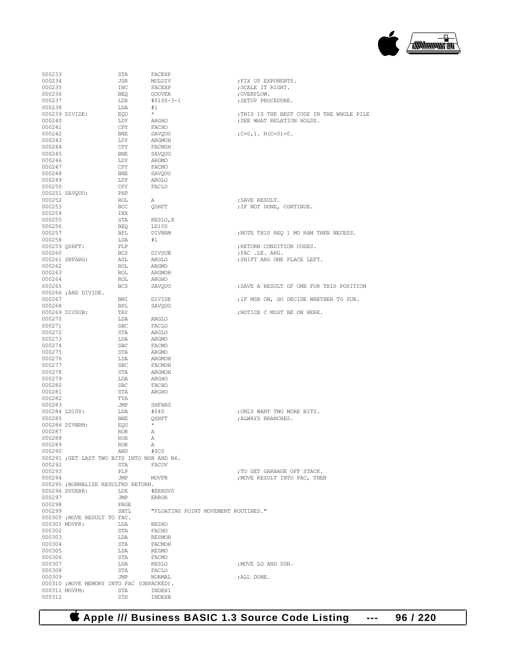

| 000233 |                                             | STA        | FACEXP        |                                     |                                           |
|--------|---------------------------------------------|------------|---------------|-------------------------------------|-------------------------------------------|
| 000234 |                                             | JSR        | MULDIV        |                                     | ; FIX UP EXPONENTS.                       |
| 000235 |                                             | INC        | FACEXP        |                                     | ; SCALE IT RIGHT.                         |
|        |                                             |            |               |                                     |                                           |
| 000236 |                                             | BEQ        | GOOVER        |                                     | ; OVERFLOW.                               |
| 000237 |                                             | LDX        | #\$100-3-1    |                                     | ; SETUP PROCEDURE.                        |
| 000238 |                                             | LDA        | #1            |                                     |                                           |
|        |                                             |            | $\star$       |                                     |                                           |
|        | 000239 DIVIDE:                              | EQU        |               |                                     | ; THIS IS THE BEST CODE IN THE WHOLE PILE |
| 000240 |                                             | LDY        | ARGHO         |                                     | ; SEE WHAT RELATION HOLDS.                |
| 000241 |                                             | CPY        | FACHO         |                                     |                                           |
|        |                                             |            |               |                                     |                                           |
| 000242 |                                             | BNE        | SAVQUO        |                                     | ; $C=0$ , 1, $N(C=0) = 0$ .               |
| 000243 |                                             | LDY        | ARGMOH        |                                     |                                           |
| 000244 |                                             | CPY        | FACMOH        |                                     |                                           |
|        |                                             |            |               |                                     |                                           |
| 000245 |                                             | BNE        | SAVOUO        |                                     |                                           |
| 000246 |                                             | LDY        | ARGMO         |                                     |                                           |
| 000247 |                                             | CPY        | FACMO         |                                     |                                           |
|        |                                             |            |               |                                     |                                           |
| 000248 |                                             | BNE        | SAVQUO        |                                     |                                           |
| 000249 |                                             | LDY        | ARGLO         |                                     |                                           |
| 000250 |                                             | CPY        | FACLO         |                                     |                                           |
|        |                                             |            |               |                                     |                                           |
|        | 000251 SAVQUO:                              | PHP        |               |                                     |                                           |
| 000252 |                                             | ROL        | А             |                                     | ; SAVE RESULT.                            |
| 000253 |                                             | BCC        | QSHFT         |                                     | ; IF NOT DONE, CONTINUE.                  |
|        |                                             |            |               |                                     |                                           |
| 000254 |                                             | INX        |               |                                     |                                           |
| 000255 |                                             | STA        | RESLO, X      |                                     |                                           |
| 000256 |                                             | BEO        | LD100         |                                     |                                           |
| 000257 |                                             | BPL        | DIVNRM        |                                     | ; NOTE THIS REO 1 MO RAM THEN NECESS.     |
|        |                                             |            |               |                                     |                                           |
| 000258 |                                             | LDA        | #1            |                                     |                                           |
|        | 000259 QSHFT:                               | PLP        |               |                                     | ; RETURN CONDITION CODES.                 |
| 000260 |                                             | <b>BCS</b> | DIVSUB        |                                     | ; FAC . LE. ARG.                          |
|        |                                             |            |               |                                     |                                           |
|        | 000261 SHFARG:                              | ASL        | ARGLO         |                                     | ; SHIFT ARG ONE PLACE LEFT.               |
| 000262 |                                             | ROL        | ARGMO         |                                     |                                           |
| 000263 |                                             |            |               |                                     |                                           |
|        |                                             | ROL        | ARGMOH        |                                     |                                           |
| 000264 |                                             | ROL        | ARGHO         |                                     |                                           |
| 000265 |                                             | <b>BCS</b> | SAVOUO        |                                     | ; SAVE A RESULT OF ONE FOR THIS POSITION  |
|        |                                             |            |               |                                     |                                           |
|        | 000266; AND DIVIDE.                         |            |               |                                     |                                           |
| 000267 |                                             | BMI        | DIVIDE        |                                     | ; IF MSB ON, GO DECIDE WHETHER TO SUB.    |
| 000268 |                                             | BPL        | SAVOUO        |                                     |                                           |
|        | 000269 DIVSUB:                              | TAY        |               |                                     | ; NOTICE C MUST BE ON HERE.               |
|        |                                             |            |               |                                     |                                           |
| 000270 |                                             | LDA        | ARGLO         |                                     |                                           |
| 000271 |                                             | <b>SBC</b> | FACLO         |                                     |                                           |
| 000272 |                                             | STA        | ARGLO         |                                     |                                           |
|        |                                             |            |               |                                     |                                           |
| 000273 |                                             | LDA        | ARGMO         |                                     |                                           |
| 000274 |                                             | SBC        | FACMO         |                                     |                                           |
| 000275 |                                             | STA        | ARGMO         |                                     |                                           |
|        |                                             |            |               |                                     |                                           |
| 000276 |                                             | LDA        | ARGMOH        |                                     |                                           |
| 000277 |                                             | SBC        | FACMOH        |                                     |                                           |
| 000278 |                                             | STA        | ARGMOH        |                                     |                                           |
|        |                                             |            |               |                                     |                                           |
| 000279 |                                             | LDA        | ARGHO         |                                     |                                           |
| 000280 |                                             | SBC        | FACHO         |                                     |                                           |
| 000281 |                                             | STA        | ARGHO         |                                     |                                           |
|        |                                             |            |               |                                     |                                           |
| 000282 |                                             | TYA        |               |                                     |                                           |
| 000283 |                                             | JMP        | SHFARG        |                                     |                                           |
|        | 000284 LD100:                               | LDA        | #\$40         |                                     | ; ONLY WANT TWO MORE BITS.                |
|        |                                             |            |               |                                     |                                           |
| 000285 |                                             | BNE        | OSHFT         |                                     | ; ALWAYS BRANCHES.                        |
|        | 000286 DIVNRM:                              | EQU        | $\star$       |                                     |                                           |
| 000287 |                                             | <b>ROR</b> | А             |                                     |                                           |
| 000288 |                                             | <b>ROR</b> | Α             |                                     |                                           |
|        |                                             |            |               |                                     |                                           |
| 000289 |                                             | ROR.       | Α             |                                     |                                           |
| 000290 |                                             | AND        | #\$C0         |                                     |                                           |
|        | 000291 ; GET LAST TWO BITS INTO MSB AND B6. |            |               |                                     |                                           |
| 000292 |                                             | STA        | FACOV         |                                     |                                           |
|        |                                             |            |               |                                     |                                           |
| 000293 |                                             | PLP        |               |                                     | ; TO GET GARBAGE OFF STACK.               |
| 000294 |                                             | JMP        | <b>MOVFR</b>  |                                     | ; MOVE RESULT INTO FAC, THEN              |
|        |                                             |            |               |                                     |                                           |
|        |                                             |            |               |                                     |                                           |
|        | 000295 ;NORMALIZE RESULTND RETURN.          |            |               |                                     |                                           |
|        | 000296 DV0ERR:                              | LDX        | #ERRDV0       |                                     |                                           |
| 000297 |                                             | JMP        | <b>ERROR</b>  |                                     |                                           |
|        |                                             |            |               |                                     |                                           |
| 000298 |                                             | PAGE       |               |                                     |                                           |
| 000299 |                                             | SBTL       |               | "FLOATING POINT MOVEMENT ROUTINES." |                                           |
|        |                                             |            |               |                                     |                                           |
|        | 000300 ; MOVE RESULT TO FAC.                |            |               |                                     |                                           |
|        | 000301 MOVFR:                               | LDA        | RESHO         |                                     |                                           |
| 000302 |                                             | STA        | FACHO         |                                     |                                           |
|        |                                             |            | <b>RESMOH</b> |                                     |                                           |
| 000303 |                                             | LDA        |               |                                     |                                           |
| 000304 |                                             | STA        | FACMOH        |                                     |                                           |
| 000305 |                                             | LDA        | <b>RESMO</b>  |                                     |                                           |
| 000306 |                                             | STA        | FACMO         |                                     |                                           |
|        |                                             |            |               |                                     |                                           |
| 000307 |                                             | LDA        | RESLO         |                                     | ; MOVE LO AND SGN.                        |
| 000308 |                                             | STA        | FACLO         |                                     |                                           |
|        |                                             |            |               |                                     |                                           |
| 000309 |                                             | JMP        | NORMAL        |                                     | ; ALL DONE.                               |
|        | 000310 ; MOVE MEMORY INTO FAC (UNPACKED).   |            |               |                                     |                                           |
|        | 000311 MOVFM:                               | STA        | INDEX1        |                                     |                                           |

 **Apple /// Business BASIC 1.3 Source Code Listing --- 96 / 220**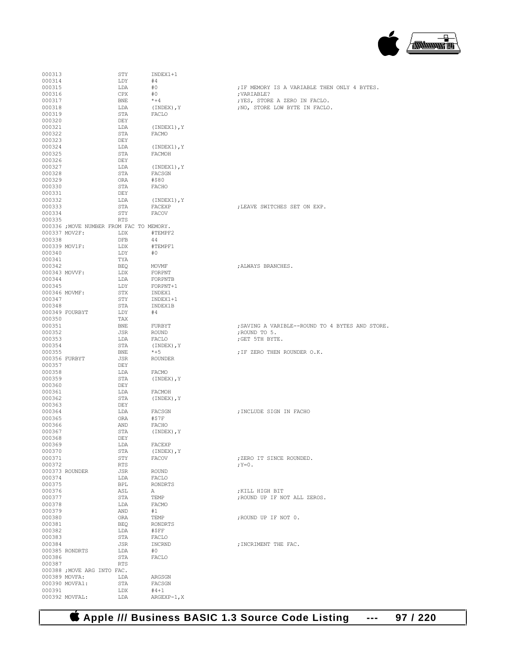

| 000313                  |                                          | STY        | INDEX1+1            |                                                 |
|-------------------------|------------------------------------------|------------|---------------------|-------------------------------------------------|
| 000314                  |                                          | LDY        | #4                  |                                                 |
| 000315                  |                                          | LDA        | #0                  | ; IF MEMORY IS A VARIABLE THEN ONLY 4 BYTES.    |
| 000316                  |                                          | CPX        | #0                  | ; VARIABLE?                                     |
| 000317                  |                                          | BNE        | $*+4$               | ; YES, STORE A ZERO IN FACLO.                   |
| 000318                  |                                          | LDA        | (INDEX), Y          | ; NO, STORE LOW BYTE IN FACLO.                  |
| 000319<br>000320        |                                          | STA<br>DEY | FACLO               |                                                 |
| 000321                  |                                          | LDA        | (INDEX1), Y         |                                                 |
| 000322                  |                                          | STA        | FACMO               |                                                 |
| 000323                  |                                          | DEY        |                     |                                                 |
| 000324                  |                                          | LDA        | (INDEX1), Y         |                                                 |
| 000325                  |                                          | STA        | FACMOH              |                                                 |
| 000326                  |                                          | DEY        |                     |                                                 |
| 000327                  |                                          | LDA        | (INDEX1), Y         |                                                 |
| 000328                  |                                          | STA        | FACSGN              |                                                 |
| 000329                  |                                          | ORA        | #\$80               |                                                 |
| 000330                  |                                          | STA        | FACHO               |                                                 |
| 000331                  |                                          | DEY        |                     |                                                 |
| 000332                  |                                          | LDA        | $(INDEX1)$ , Y      |                                                 |
| 000333<br>000334        |                                          | STA<br>STY | FACEXP<br>FACOV     | ; LEAVE SWITCHES SET ON EXP.                    |
| 000335                  |                                          | <b>RTS</b> |                     |                                                 |
|                         | 000336 ; MOVE NUMBER FROM FAC TO MEMORY. |            |                     |                                                 |
|                         | 000337 MOV2F:                            | LDX        | #TEMPF2             |                                                 |
| 000338                  |                                          | DFB        | 44                  |                                                 |
| 000339 MOV1F:           |                                          | LDX        | #TEMPF1             |                                                 |
| 000340                  |                                          | LDY        | #0                  |                                                 |
| 000341                  |                                          | TYA        |                     |                                                 |
| 000342                  |                                          | BEO        | MOVMF               | ; ALWAYS BRANCHES.                              |
| 000343 MOVVF:           |                                          | LDX        | FORPNT              |                                                 |
| 000344                  |                                          | LDA        | FORPNTB             |                                                 |
| 000345                  |                                          | LDY        | FORPNT+1            |                                                 |
| 000346 MOVMF:<br>000347 |                                          | STX<br>STY | INDEX1              |                                                 |
| 000348                  |                                          | STA        | INDEX1+1<br>INDEX1B |                                                 |
|                         | 000349 FOURBYT                           | LDY        | #4                  |                                                 |
| 000350                  |                                          | TAX        |                     |                                                 |
| 000351                  |                                          | BNE        | FURBYT              | ; SAVING A VARIBLE--ROUND TO 4 BYTES AND STORE. |
| 000352                  |                                          | JSR        | ROUND               | ; ROUND TO 5.                                   |
| 000353                  |                                          | LDA        | FACLO               | ; GET 5TH BYTE.                                 |
| 000354                  |                                          | STA        | (INDEX), Y          |                                                 |
| 000355                  |                                          | BNE        | $*+5$               | ; IF ZERO THEN ROUNDER O.K.                     |
|                         | 000356 FURBYT                            | JSR        | <b>ROUNDER</b>      |                                                 |
| 000357                  |                                          | DEY        |                     |                                                 |
| 000358                  |                                          | LDA        | FACMO               |                                                 |
| 000359<br>000360        |                                          | STA<br>DEY | (INDEX), Y          |                                                 |
| 000361                  |                                          | LDA        | FACMOH              |                                                 |
| 000362                  |                                          | STA        | (INDEX), Y          |                                                 |
| 000363                  |                                          | DEY        |                     |                                                 |
| 000364                  |                                          | LDA        | FACSGN              | ; INCLUDE SIGN IN FACHO                         |
| 000365                  |                                          | ORA        | #\$7F               |                                                 |
| 000366                  |                                          | AND        | FACHO               |                                                 |
| 000367                  |                                          | STA        | (INDEX), Y          |                                                 |
| 000368                  |                                          | DEY        |                     |                                                 |
| 000369                  |                                          | LDA        | FACEXP              |                                                 |
| 000370<br>000371        |                                          | STA<br>STY | (INDEX), Y<br>FACOV | ; ZERO IT SINCE ROUNDED.                        |
| 000372                  |                                          | RTS        |                     | ; $Y=0$ .                                       |
|                         | 000373 ROUNDER                           | JSR        | ROUND               |                                                 |
| 000374                  |                                          | LDA        | FACLO               |                                                 |
| 000375                  |                                          | <b>BPL</b> | <b>RONDRTS</b>      |                                                 |
| 000376                  |                                          | ASL        | А                   | ; KILL HIGH BIT                                 |
| 000377                  |                                          | STA        | TEMP                | ; ROUND UP IF NOT ALL ZEROS.                    |
| 000378                  |                                          | LDA        | FACMO               |                                                 |
| 000379                  |                                          | AND        | #1                  |                                                 |
| 000380                  |                                          | ORA        | TEMP                | ; ROUND UP IF NOT 0.                            |
| 000381                  |                                          | BEO        | RONDRTS             |                                                 |
| 000382<br>000383        |                                          | LDA<br>STA | #\$FF<br>FACLO      |                                                 |
| 000384                  |                                          | JSR        | INCRND              | ; INCRIMENT THE FAC.                            |
|                         | 000385 RONDRTS                           | LDA        | #0                  |                                                 |
| 000386                  |                                          | STA        | FACLO               |                                                 |
| 000387                  |                                          | RTS        |                     |                                                 |
|                         | 000388 ; MOVE ARG INTO FAC.              |            |                     |                                                 |
|                         | 000389 MOVFA:                            | LDA        | ARGSGN              |                                                 |
|                         | 000390 MOVFA1:                           | STA        | FACSGN              |                                                 |
| 000391                  |                                          | LDX        | $#4 + 1$            |                                                 |
|                         | 000392 MOVFAL:                           | LDA        | $ARGEXP-1, X$       |                                                 |

 **Apple /// Business BASIC 1.3 Source Code Listing --- 97 / 220**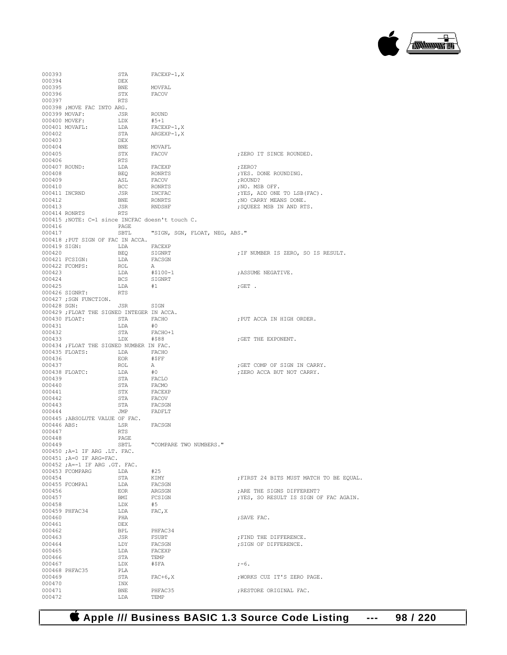

| 000393           |                                                                      | STA               | FACEXP-1, X                   |                                         |
|------------------|----------------------------------------------------------------------|-------------------|-------------------------------|-----------------------------------------|
| 000394           |                                                                      | DEX               |                               |                                         |
| 000395           |                                                                      | BNE               | MOVFAL                        |                                         |
| 000396<br>000397 |                                                                      | STX<br>RTS        | FACOV                         |                                         |
|                  | 000398 ; MOVE FAC INTO ARG.                                          |                   |                               |                                         |
|                  | 000399 MOVAF: JSR                                                    |                   | ROUND                         |                                         |
|                  | 000400 MOVEF:                                                        | LDX               | #5+1                          |                                         |
|                  | 000401 MOVAFL:                                                       | ${\tt LDA}$       | FACEXP-1,X                    |                                         |
| 000402           |                                                                      | STA               | ARGEXP-1,X                    |                                         |
| 000403           |                                                                      | DEX               |                               |                                         |
| 000404           |                                                                      | BNE<br>STX        | MOVAFL                        |                                         |
| 000405<br>000406 |                                                                      | RTS               | FACOV                         | ; ZERO IT SINCE ROUNDED.                |
| 000407 ROUND:    |                                                                      | LDA               | FACEXP                        | ; ZERO?                                 |
| 000408           |                                                                      | <b>BEQ</b>        | RONRTS                        | ; YES. DONE ROUNDING.                   |
| 000409           |                                                                      | ASL               | FACOV                         | : ROUND?                                |
| 000410           |                                                                      | BCC<br>JSR        | RONRTS                        | ;NO. MSB OFF.                           |
|                  | 000411 INCRND                                                        |                   | <b>INCFAC</b>                 | ; YES, ADD ONE TO LSB (FAC).            |
| 000412           |                                                                      | BNE               | RONRTS                        | ; NO CARRY MEANS DONE.                  |
| 000413           |                                                                      | JSR               | <b>RNDSHF</b>                 | ; SQUEEZ MSB IN AND RTS.                |
|                  | 000414 RONRTS RTS<br>000415 ;NOTE: C=1 since INCFAC doesn't touch C. |                   |                               |                                         |
| 000416           |                                                                      | PAGE              |                               |                                         |
| 000417           |                                                                      | SBTL              | "SIGN, SGN, FLOAT, NEG, ABS." |                                         |
|                  | 000418 ; PUT SIGN OF FAC IN ACCA.                                    |                   |                               |                                         |
|                  | 000419 SIGN:<br>LDA                                                  |                   | FACEXP                        |                                         |
| 000420           |                                                                      | <b>BEQ</b>        | SIGNRT                        | ; IF NUMBER IS ZERO, SO IS RESULT.      |
|                  | 000421 FCSIGN:                                                       | LDA               | FACSGN                        |                                         |
|                  | 000422 FCOMPS:                                                       | ROL               | A                             |                                         |
| 000423           |                                                                      | LDA               | #\$100-1                      | ; ASSUME NEGATIVE.                      |
| 000424<br>000425 |                                                                      | <b>BCS</b><br>LDA | SIGNRT<br>#1                  | $;$ GET $\,$ .                          |
|                  | 000426 SIGNRT:                                                       | <b>RTS</b>        |                               |                                         |
|                  | 000427 ; SGN FUNCTION.                                               |                   |                               |                                         |
| 000428 SGN:      |                                                                      | JSR SIGN          |                               |                                         |
|                  | 000429 ; FLOAT THE SIGNED INTEGER IN ACCA.                           |                   |                               |                                         |
|                  | 000430 FLOAT: STA                                                    |                   | FACHO                         | ; PUT ACCA IN HIGH ORDER.               |
| 000431           |                                                                      | LDA               | #0                            |                                         |
| 000432           |                                                                      | STA               | FACHO+1                       |                                         |
| 000433           | LDX<br>000434 ; FLOAT THE SIGNED NUMBER IN FAC.                      |                   | #\$88                         | GET THE EXPONENT.                       |
|                  | 000435 FLOATS: LDA                                                   | FACHO             |                               |                                         |
| 000436           |                                                                      | EOR               | #\$FF                         |                                         |
| 000437           |                                                                      | ROL               | A                             | ;GET COMP OF SIGN IN CARRY.             |
|                  | 000438 FLOATC:                                                       | LDA               | #O                            | ; ZERO ACCA BUT NOT CARRY.              |
| 000439           |                                                                      | STA               | FACLO                         |                                         |
| 000440           |                                                                      | STA<br>STX        | FACMO                         |                                         |
| 000441           |                                                                      |                   | FACEXP                        |                                         |
| 000442<br>000443 |                                                                      | STA<br>STA        | FACOV<br>FACSGN               |                                         |
| 000444           |                                                                      | JMP               | FADFLT                        |                                         |
|                  | 000445 ;ABSOLUTE VALUE OF FAC.                                       |                   |                               |                                         |
| 000446 ABS:      |                                                                      | LSR               | FACSGN                        |                                         |
| 000447           |                                                                      | RTS               |                               |                                         |
| 000448           |                                                                      | PAGE              |                               |                                         |
| 000449           |                                                                      | SBTL              | "COMPARE TWO NUMBERS."        |                                         |
|                  | 000450 ; A=1 IF ARG .LT. FAC.<br>$000451$ ; $A=0$ IF ARG=FAC.        |                   |                               |                                         |
|                  | 000452 ; A=-1 IF ARG .GT. FAC.                                       |                   |                               |                                         |
|                  | 000453 FCOMPARG                                                      | LDA               | #25                           |                                         |
| 000454           |                                                                      | STA               | KIMY                          | ; FIRST 24 BITS MUST MATCH TO BE EQUAL. |
|                  | 000455 FCOMPA1                                                       | LDA               | FACSGN                        |                                         |
| 000456           |                                                                      | EOR               | ARGSGN                        | ; ARE THE SIGNS DIFFERENT?              |
| 000457           |                                                                      | BMI               | FCSIGN                        | ; YES, SO RESULT IS SIGN OF FAC AGAIN.  |
| 000458           |                                                                      | LDX               | #5<br>FAC, X                  |                                         |
| 000460           | 000459 PHFAC34                                                       | LDA<br>PHA        |                               | ; SAVE FAC.                             |
| 000461           |                                                                      | DEX               |                               |                                         |
| 000462           |                                                                      | BPL               | PHFAC34                       |                                         |
| 000463           |                                                                      | JSR               | FSUBT                         | ; FIND THE DIFFERENCE.                  |
| 000464           |                                                                      | LDY               | FACSGN                        | ; SIGN OF DIFFERENCE.                   |
| 000465           |                                                                      | LDA               | FACEXP                        |                                         |
| 000466           |                                                                      | STA               | TEMP                          |                                         |
| 000467           |                                                                      | LDX               | #\$FA                         | $; -6.$                                 |
| 000469           | 000468 PHFAC35                                                       | PLA<br>STA        | $FAC+6$ , X                   | ; WORKS CUZ IT'S ZERO PAGE.             |
| 000470           |                                                                      | INX               |                               |                                         |
| 000471           |                                                                      | BNE               | PHFAC35                       | ; RESTORE ORIGINAL FAC.                 |
| 000472           |                                                                      | LDA               | TEMP                          |                                         |

 **Apple /// Business BASIC 1.3 Source Code Listing --- 98 / 220**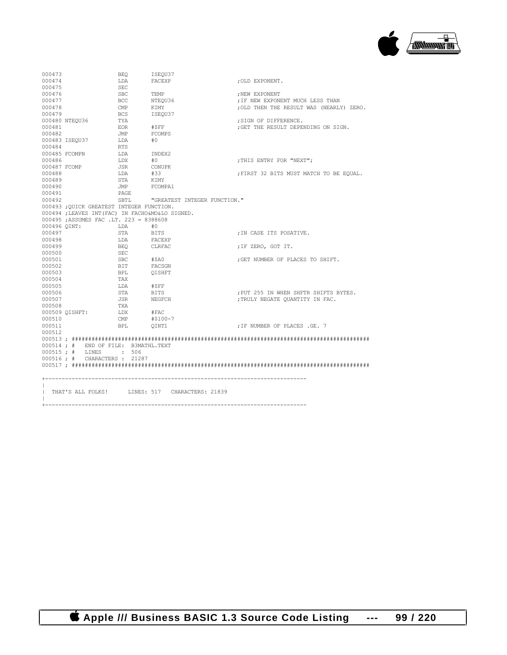

| 000473       |                                                  | <b>BEO</b>  | ISEOU37                                        |                                          |
|--------------|--------------------------------------------------|-------------|------------------------------------------------|------------------------------------------|
| 000474       |                                                  | LDA         | FACEXP                                         | :OLD EXPONENT.                           |
| 000475       |                                                  | <b>SEC</b>  |                                                |                                          |
| 000476       |                                                  | SBC         | TEMP                                           | ; NEW EXPONENT                           |
| 000477       |                                                  | <b>BCC</b>  | NTEOU36                                        | ; IF NEW EXPONENT MUCH LESS THAN         |
| 000478       |                                                  | CMP         | KIMY                                           | ; OLD THEN THE RESULT WAS (NEARLY) ZERO. |
| 000479       |                                                  | BCS         | ISEOU37                                        |                                          |
|              | 000480 NTEOU36                                   | TYA         |                                                | ; SIGN OF DIFFERENCE.                    |
| 000481       |                                                  | EOR         | #\$FF                                          | ; GET THE RESULT DEPENDING ON SIGN.      |
| 000482       |                                                  | JMP         | FCOMPS                                         |                                          |
|              | 000483 ISEQU37                                   | LDA         | #O                                             |                                          |
| 000484       |                                                  | RTS         |                                                |                                          |
|              | 000485 FCOMPN                                    | LDA         | INDEX2                                         |                                          |
| 000486       |                                                  | LDX         | #0                                             | ; THIS ENTRY FOR "NEXT";                 |
| 000487 FCOMP |                                                  | JSR         | CONUPK                                         |                                          |
| 000488       |                                                  | LDA         | #33                                            | ; FIRST 32 BITS MUST MATCH TO BE EQUAL.  |
| 000489       |                                                  | STA         | KIMY                                           |                                          |
| 000490       |                                                  | JMP FCOMPA1 |                                                |                                          |
| 000491       |                                                  | PAGE        |                                                |                                          |
| 000492       |                                                  |             | SBTL <b>"GREATEST INTEGER FUNCTION."</b>       |                                          |
|              | 000493 ; QUICK GREATEST INTEGER FUNCTION.        |             |                                                |                                          |
|              | 000494 ; LEAVES INT (FAC) IN FACHO&MO&LO SIGNED. |             |                                                |                                          |
|              | 000495 ; ASSUMES FAC .LT. 223 = 8388608          |             |                                                |                                          |
|              | 000496 OINT:                                     | LDA         | #0                                             |                                          |
| 000497       |                                                  | STA         | BITS                                           | ; IN CASE ITS POSATIVE.                  |
| 000498       |                                                  | LDA         | FACEXP                                         |                                          |
| 000499       |                                                  | BEO         | CLRFAC                                         | ; IF ZERO, GOT IT.                       |
| 000500       |                                                  | SEC         |                                                |                                          |
| 000501       |                                                  | SBC         | #\$A0                                          | ; GET NUMBER OF PLACES TO SHIFT.         |
| 000502       |                                                  | BIT         | FACSGN                                         |                                          |
| 000503       |                                                  | <b>BPL</b>  | OISHFT                                         |                                          |
| 000504       |                                                  | TAX         |                                                |                                          |
| 000505       |                                                  | LDA         | #SFF                                           |                                          |
| 000506       |                                                  | STA         | BITS                                           | ; PUT 255 IN WHEN SHFTR SHIFTS BYTES.    |
| 000507       |                                                  | JSR         | NEGFCH                                         | ; TRULY NEGATE OUANTITY IN FAC.          |
| 000508       |                                                  | TXA         |                                                |                                          |
|              | 000509 QISHFT:                                   | LDX         | #FAC                                           |                                          |
| 000510       |                                                  | CMP         | #\$100-7                                       |                                          |
| 000511       |                                                  | <b>BPL</b>  | OINT1                                          | ; IF NUMBER OF PLACES .GE. 7             |
| 000512       |                                                  |             |                                                |                                          |
|              |                                                  |             |                                                |                                          |
|              | $000514 : #$ END OF FILE: B3MATHL.TEXT           |             |                                                |                                          |
|              | 000515; # LINES : 506                            |             |                                                |                                          |
|              | 000516 ; # CHARACTERS : 21287                    |             |                                                |                                          |
|              |                                                  |             |                                                |                                          |
|              |                                                  |             |                                                |                                          |
|              |                                                  |             |                                                |                                          |
|              |                                                  |             |                                                |                                          |
|              |                                                  |             | THAT'S ALL FOLKS! LINES: 517 CHARACTERS: 21839 |                                          |
| $\mathbf{L}$ |                                                  |             |                                                |                                          |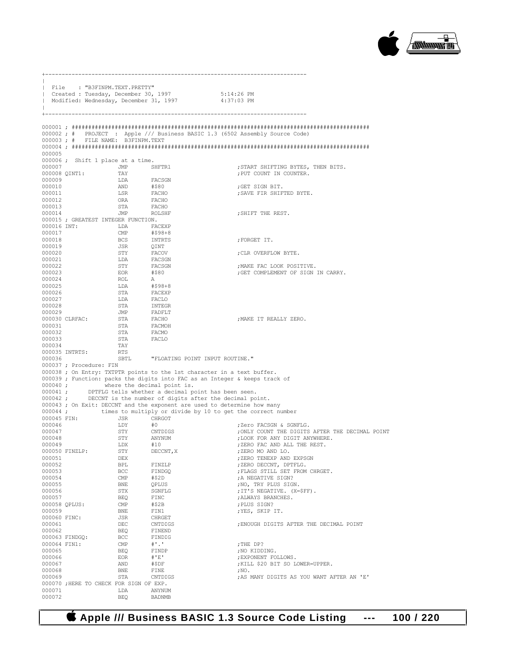

|                  | File : "B3FINPM.TEXT.PRETTY"           |                                                                                                                                                                                                                                                                                                                                                                                                                                   |                                                                                                                                             |                                                                                   |
|------------------|----------------------------------------|-----------------------------------------------------------------------------------------------------------------------------------------------------------------------------------------------------------------------------------------------------------------------------------------------------------------------------------------------------------------------------------------------------------------------------------|---------------------------------------------------------------------------------------------------------------------------------------------|-----------------------------------------------------------------------------------|
|                  |                                        |                                                                                                                                                                                                                                                                                                                                                                                                                                   | Created : Tuesday, December 30, 1997 5:14:26 PM<br>  Modified: Wednesday, December 31, 1997 4:37:03 PM                                      |                                                                                   |
|                  |                                        |                                                                                                                                                                                                                                                                                                                                                                                                                                   |                                                                                                                                             |                                                                                   |
|                  |                                        |                                                                                                                                                                                                                                                                                                                                                                                                                                   |                                                                                                                                             |                                                                                   |
|                  |                                        |                                                                                                                                                                                                                                                                                                                                                                                                                                   |                                                                                                                                             | 000002; # PROJECT : Apple /// Business BASIC 1.3 (6502 Assembly Source Code)      |
|                  | 000003; # FILE NAME: B3FINPM.TEXT      |                                                                                                                                                                                                                                                                                                                                                                                                                                   |                                                                                                                                             |                                                                                   |
| 000005           |                                        |                                                                                                                                                                                                                                                                                                                                                                                                                                   |                                                                                                                                             |                                                                                   |
|                  | 000006; Shift 1 place at a time.       |                                                                                                                                                                                                                                                                                                                                                                                                                                   |                                                                                                                                             |                                                                                   |
| 000007           |                                        | JMP SHFTR1                                                                                                                                                                                                                                                                                                                                                                                                                        |                                                                                                                                             | ; START SHIFTING BYTES, THEN BITS.                                                |
| 000009           | 000008 QINT1: TAY                      |                                                                                                                                                                                                                                                                                                                                                                                                                                   |                                                                                                                                             | ; PUT COUNT IN COUNTER.                                                           |
| 000010           |                                        |                                                                                                                                                                                                                                                                                                                                                                                                                                   |                                                                                                                                             | ; GET SIGN BIT.                                                                   |
| 000011           |                                        |                                                                                                                                                                                                                                                                                                                                                                                                                                   |                                                                                                                                             | ; SAVE FIR SHIFTED BYTE.                                                          |
| 000012           |                                        | IDA FACSGN<br>AND #\$80<br>LSR FACHO<br>ORA FACHO<br>STA FACHO<br>JMP ROLSHF                                                                                                                                                                                                                                                                                                                                                      |                                                                                                                                             |                                                                                   |
| 000013<br>000014 |                                        |                                                                                                                                                                                                                                                                                                                                                                                                                                   |                                                                                                                                             | ; SHIFT THE REST.                                                                 |
|                  | 000015 ; GREATEST INTEGER FUNCTION.    |                                                                                                                                                                                                                                                                                                                                                                                                                                   |                                                                                                                                             |                                                                                   |
|                  | 000016 INT:                            | LDA FACEXP                                                                                                                                                                                                                                                                                                                                                                                                                        |                                                                                                                                             |                                                                                   |
| 000017           |                                        |                                                                                                                                                                                                                                                                                                                                                                                                                                   |                                                                                                                                             |                                                                                   |
| 000018<br>000019 |                                        |                                                                                                                                                                                                                                                                                                                                                                                                                                   |                                                                                                                                             | ; FORGET IT.                                                                      |
| 000020           |                                        |                                                                                                                                                                                                                                                                                                                                                                                                                                   |                                                                                                                                             | ; CLR OVERFLOW BYTE.                                                              |
| 000021           |                                        |                                                                                                                                                                                                                                                                                                                                                                                                                                   |                                                                                                                                             |                                                                                   |
| 000022           |                                        |                                                                                                                                                                                                                                                                                                                                                                                                                                   |                                                                                                                                             | ; MAKE FAC LOOK POSITIVE.                                                         |
| 000023<br>000024 |                                        |                                                                                                                                                                                                                                                                                                                                                                                                                                   |                                                                                                                                             | ; GET COMPLEMENT OF SIGN IN CARRY.                                                |
| 000025           |                                        |                                                                                                                                                                                                                                                                                                                                                                                                                                   |                                                                                                                                             |                                                                                   |
| 000026           |                                        |                                                                                                                                                                                                                                                                                                                                                                                                                                   |                                                                                                                                             |                                                                                   |
| 000027           |                                        | LDA<br>STA                                                                                                                                                                                                                                                                                                                                                                                                                        |                                                                                                                                             |                                                                                   |
| 000028<br>000029 |                                        | $\begin{tabular}{lllllllllll} \texttt{LDA} & \texttt{FACKER} \\ \texttt{CMP} & \texttt{\#598+8} \\ \texttt{BCS} & \texttt{NNTRTS} & \texttt{CINTTS} \\ \texttt{STY} & \texttt{FACOGN} & \texttt{FACSGN} \\ \texttt{STY} & \texttt{FACSGN} & \texttt{FACSGN} \\ \texttt{EOR} & \texttt{\#580} & \texttt{FACSGN} \\ \texttt{EOR} & \texttt{\#580} & \texttt{FACCEXP} \\ \texttt{GDA} & \texttt{\#58-FACEN} & \texttt{FACCEVP} \\ \$ |                                                                                                                                             |                                                                                   |
|                  | 000030 CLRFAC:                         |                                                                                                                                                                                                                                                                                                                                                                                                                                   |                                                                                                                                             | ; MAKE IT REALLY ZERO.                                                            |
| 000031           |                                        | STA<br>STA                                                                                                                                                                                                                                                                                                                                                                                                                        |                                                                                                                                             |                                                                                   |
| 000032           |                                        |                                                                                                                                                                                                                                                                                                                                                                                                                                   |                                                                                                                                             |                                                                                   |
| 000033<br>000034 |                                        | STA<br>STA<br>TAY                                                                                                                                                                                                                                                                                                                                                                                                                 | FACLO                                                                                                                                       |                                                                                   |
|                  | 000035 INTRTS: RTS                     |                                                                                                                                                                                                                                                                                                                                                                                                                                   |                                                                                                                                             |                                                                                   |
| 000036           |                                        |                                                                                                                                                                                                                                                                                                                                                                                                                                   | SBTL "FLOATING POINT INPUT ROUTINE."                                                                                                        |                                                                                   |
|                  | 000037 ; Procedure: FIN                |                                                                                                                                                                                                                                                                                                                                                                                                                                   | 000038 ; On Entry: TXTPTR points to the 1st character in a text buffer.                                                                     |                                                                                   |
|                  |                                        |                                                                                                                                                                                                                                                                                                                                                                                                                                   | 000039 ; Function: packs the digits into FAC as an Integer & keeps track of                                                                 |                                                                                   |
|                  | 000040; where the decimal point is.    |                                                                                                                                                                                                                                                                                                                                                                                                                                   |                                                                                                                                             |                                                                                   |
|                  |                                        |                                                                                                                                                                                                                                                                                                                                                                                                                                   | 000041 ; DPTFLG tells whether a decimal point has been seen.                                                                                |                                                                                   |
|                  |                                        |                                                                                                                                                                                                                                                                                                                                                                                                                                   | 000042; DECCNT is the number of digits after the decimal point.<br>000043 ; On Exit: DECCNT and the exponent are used to determine how many |                                                                                   |
|                  |                                        |                                                                                                                                                                                                                                                                                                                                                                                                                                   |                                                                                                                                             | 000044; times to multiply or divide by 10 to get the correct number               |
| 000045 FIN:      |                                        | JSR CHRGOT<br>LDY #0                                                                                                                                                                                                                                                                                                                                                                                                              |                                                                                                                                             |                                                                                   |
| 000046           |                                        | LDY                                                                                                                                                                                                                                                                                                                                                                                                                               |                                                                                                                                             | ;Zero FACSGN & SGNFLG.                                                            |
| 000047<br>000048 |                                        | STY CNTDIGS<br>STY                                                                                                                                                                                                                                                                                                                                                                                                                | ANYNUM                                                                                                                                      | ; ONLY COUNT THE DIGITS AFTER THE DECIMAL POINT<br>; LOOK FOR ANY DIGIT ANYWHERE. |
| 000049           |                                        | LDX                                                                                                                                                                                                                                                                                                                                                                                                                               | #10                                                                                                                                         | ; ZERO FAC AND ALL THE REST.                                                      |
|                  | 000050 FINZLP:                         | STY                                                                                                                                                                                                                                                                                                                                                                                                                               | DECCNT, X                                                                                                                                   | ; ZERO MO AND LO.                                                                 |
| 000051           |                                        | DEX                                                                                                                                                                                                                                                                                                                                                                                                                               |                                                                                                                                             | ; ZERO TENEXP AND EXPSGN                                                          |
| 000052<br>000053 |                                        | BPL<br>BCC                                                                                                                                                                                                                                                                                                                                                                                                                        | FINZLP<br>FINDGQ                                                                                                                            | ; ZERO DECCNT, DPTFLG.<br>; FLAGS STILL SET FROM CHRGET.                          |
| 000054           |                                        | $\text{CMP}$                                                                                                                                                                                                                                                                                                                                                                                                                      | #\$2D                                                                                                                                       | ; A NEGATIVE SIGN?                                                                |
| 000055           |                                        | BNE                                                                                                                                                                                                                                                                                                                                                                                                                               | QPLUS                                                                                                                                       | ; NO, TRY PLUS SIGN.                                                              |
| 000056           |                                        | STX                                                                                                                                                                                                                                                                                                                                                                                                                               | SGNFLG                                                                                                                                      | ; IT'S NEGATIVE. (X=\$FF).                                                        |
| 000057           | 000058 QPLUS:                          | BEQ<br>CMP                                                                                                                                                                                                                                                                                                                                                                                                                        | FINC<br>#\$2B                                                                                                                               | ; ALWAYS BRANCHES.<br>: PLUS SIGN?                                                |
| 000059           |                                        | BNE                                                                                                                                                                                                                                                                                                                                                                                                                               | FIN1                                                                                                                                        | ; YES, SKIP IT.                                                                   |
| 000060 FINC:     |                                        | JSR                                                                                                                                                                                                                                                                                                                                                                                                                               | CHRGET                                                                                                                                      |                                                                                   |
| 000061           |                                        | DEC                                                                                                                                                                                                                                                                                                                                                                                                                               | CNTDIGS                                                                                                                                     | ; ENOUGH DIGITS AFTER THE DECIMAL POINT                                           |
| 000062           | 000063 FINDGQ:                         | BEQ<br>BCC                                                                                                                                                                                                                                                                                                                                                                                                                        | FINEND<br>FINDIG                                                                                                                            |                                                                                   |
| 000064 FIN1:     |                                        | CMP                                                                                                                                                                                                                                                                                                                                                                                                                               | $#$ '.'                                                                                                                                     | ; THE DP?                                                                         |
| 000065           |                                        | BEQ                                                                                                                                                                                                                                                                                                                                                                                                                               | FINDP                                                                                                                                       | ; NO KIDDING.                                                                     |
| 000066           |                                        | EOR                                                                                                                                                                                                                                                                                                                                                                                                                               | # 'E'                                                                                                                                       | ; EXPONENT FOLLOWS.                                                               |
| 000067<br>000068 |                                        | AND<br>BNE                                                                                                                                                                                                                                                                                                                                                                                                                        | #\$DF<br>FINE                                                                                                                               | ; KILL \$20 BIT SO LOWER=UPPER.<br>$; \mathbb{N} \mathbb{O}$ .                    |
| 000069           |                                        | STA                                                                                                                                                                                                                                                                                                                                                                                                                               | CNTDIGS                                                                                                                                     | ; AS MANY DIGITS AS YOU WANT AFTER AN 'E'                                         |
|                  | 000070 ;HERE TO CHECK FOR SIGN OF EXP. |                                                                                                                                                                                                                                                                                                                                                                                                                                   |                                                                                                                                             |                                                                                   |
| 000071<br>000072 |                                        | LDA                                                                                                                                                                                                                                                                                                                                                                                                                               | ANYNUM                                                                                                                                      |                                                                                   |
|                  |                                        | BEQ                                                                                                                                                                                                                                                                                                                                                                                                                               | <b>BADNMB</b>                                                                                                                               |                                                                                   |

 **Apple /// Business BASIC 1.3 Source Code Listing --- 100 / 220**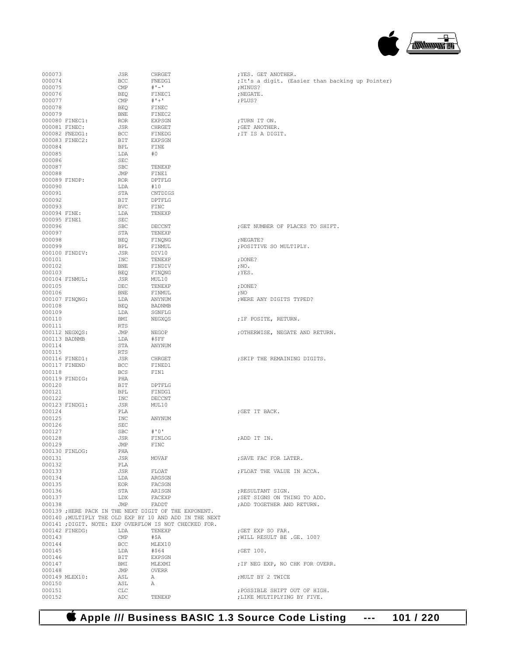## **Apple /// Business BASIC 1.3 Source Code Listing --- 101 / 220**

| 000073           |                                 | JSR                     | CHRGET                                                  | ; YES. GET ANOTHER.                               |
|------------------|---------------------------------|-------------------------|---------------------------------------------------------|---------------------------------------------------|
| 000074           |                                 | BCC                     | FNEDG1                                                  | ; It's a digit. (Easier than backing up Pointer)  |
| 000075           |                                 | $\mathop{\mathrm{CMP}}$ | $# 1 - 1$                                               | ;MINUS?                                           |
| 000076           |                                 | BEQ                     | FINEC1                                                  | ; NEGATE.                                         |
| 000077           |                                 | CMP                     | $# + +$                                                 | ; PLUS?                                           |
| 000078           |                                 | BEQ                     | FINEC                                                   |                                                   |
| 000079           |                                 | BNE                     | FINEC2                                                  |                                                   |
|                  | 000080 FINEC1:                  | ROR                     | EXPSGN                                                  | ;TURN IT ON.                                      |
|                  | 000081 FINEC:<br>000082 FNEDG1: | JSR<br>BCC              | CHRGET<br>FINEDG                                        | ; GET ANOTHER.<br>; IT IS A DIGIT.                |
|                  | 000083 FINEC2:                  | BIT                     | EXPSGN                                                  |                                                   |
| 000084           |                                 | BPL                     | FINE                                                    |                                                   |
| 000085           |                                 | LDA                     | #0                                                      |                                                   |
| 000086           |                                 | SEC                     |                                                         |                                                   |
| 000087           |                                 | SBC                     | TENEXP                                                  |                                                   |
| 000088           |                                 | JMP                     | FINE1                                                   |                                                   |
|                  | 000089 FINDP:                   | ROR                     | DPTFLG                                                  |                                                   |
| 000090           |                                 | LDA                     | #10                                                     |                                                   |
| 000091           |                                 | STA<br>BIT              | CNTDIGS                                                 |                                                   |
| 000092<br>000093 |                                 | <b>BVC</b>              | DPTFLG<br>FINC                                          |                                                   |
| 000094 FINE:     |                                 | LDA                     | TENEXP                                                  |                                                   |
| 000095 FINE1     |                                 | SEC                     |                                                         |                                                   |
| 000096           |                                 | <b>SBC</b>              | DECCNT                                                  | ; GET NUMBER OF PLACES TO SHIFT.                  |
| 000097           |                                 | STA                     | TENEXP                                                  |                                                   |
| 000098           |                                 | BEQ                     | FINQNG                                                  | ; NEGATE?                                         |
| 000099           |                                 | BPL                     | FINMUL                                                  | ; POSITIVE SO MULTIPLY.                           |
|                  | 000100 FINDIV:                  | JSR                     | DIV10                                                   |                                                   |
| 000101           |                                 | INC                     | TENEXP                                                  | ; DONE?                                           |
| 000102           |                                 | BNE                     | FINDIV                                                  | ; NO.                                             |
| 000103           | 000104 FINMUL:                  | BEQ<br>JSR              | FINQNG<br>MUL10                                         | ;YES.                                             |
| 000105           |                                 | DEC                     | TENEXP                                                  | ; DONE?                                           |
| 000106           |                                 | BNE                     | FINMUL                                                  | ; NO                                              |
|                  | 000107 FINQNG:                  | LDA                     | ANYNUM                                                  | ; WERE ANY DIGITS TYPED?                          |
| 000108           |                                 | BEQ                     | BADNMB                                                  |                                                   |
| 000109           |                                 | LDA                     | SGNFLG                                                  |                                                   |
| 000110           |                                 | BMI                     | NEGXQS                                                  | ; IF POSITE, RETURN.                              |
| 000111           |                                 | RTS                     |                                                         |                                                   |
|                  | 000112 NEGXQS:                  | JMP                     | NEGOP                                                   | ; OTHERWISE, NEGATE AND RETURN.                   |
|                  | 000113 BADNMB                   | LDA                     | #\$FF                                                   |                                                   |
| 000114           |                                 | STA                     | ANYNUM                                                  |                                                   |
| 000115           | 000116 FINED1:                  | RTS<br>JSR              | CHRGET                                                  | ; SKIP THE REMAINING DIGITS.                      |
|                  | 000117 FINEND                   | BCC                     | FINED1                                                  |                                                   |
| 000118           |                                 | BCS                     | FIN1                                                    |                                                   |
|                  | 000119 FINDIG:                  | PHA                     |                                                         |                                                   |
| 000120           |                                 | BIT                     | DPTFLG                                                  |                                                   |
| 000121           |                                 | BPL                     | FINDG1                                                  |                                                   |
| 000122           |                                 | INC                     | DECCNT                                                  |                                                   |
|                  | 000123 FINDG1:                  | JSR                     | MUL10                                                   |                                                   |
| 000124           |                                 | PLA                     |                                                         | ; GET IT BACK.                                    |
| 000125<br>000126 |                                 | INC<br><b>SEC</b>       | ANYNUM                                                  |                                                   |
| 000127           |                                 | <b>SBC</b>              | #'0'                                                    |                                                   |
| 000128           |                                 | JSR                     | FINLOG                                                  | ; ADD IT IN.                                      |
| 000129           |                                 | JMP                     | FINC                                                    |                                                   |
|                  | 000130 FINLOG:                  | PHA                     |                                                         |                                                   |
| 000131           |                                 | JSR                     | MOVAF                                                   | : SAVE FAC FOR LATER.                             |
| 000132           |                                 | PLA                     |                                                         |                                                   |
| 000133           |                                 | JSR                     | FLOAT                                                   | ; FLOAT THE VALUE IN ACCA.                        |
| 000134           |                                 | LDA                     | ARGSGN                                                  |                                                   |
| 000135           |                                 | EOR                     | FACSGN                                                  |                                                   |
| 000136<br>000137 |                                 | STA<br>LDX              | ARISGN<br>FACEXP                                        | ; RESULTANT SIGN.<br>; SET SIGNS ON THING TO ADD. |
| 000138           |                                 | JMP                     | FADDT                                                   | ; ADD TOGETHER AND RETURN.                        |
|                  |                                 |                         | 000139 ; HERE PACK IN THE NEXT DIGIT OF THE EXPONENT.   |                                                   |
|                  |                                 |                         | 000140 ; MULTIPLY THE OLD EXP BY 10 AND ADD IN THE NEXT |                                                   |
|                  |                                 |                         | 000141 ; DIGIT. NOTE: EXP OVERFLOW IS NOT CHECKED FOR.  |                                                   |
|                  | 000142 FINEDG:                  | LDA                     | TENEXP                                                  | ;GET EXP SO FAR.                                  |
| 000143           |                                 | CMP                     | #\$A                                                    | WILL RESULT BE .GE. 100?                          |
| 000144           |                                 | BCC                     | MLEX10                                                  |                                                   |
| 000145           |                                 | LDA                     | #\$64                                                   | ; GET $100.$                                      |
| 000146           |                                 | BIT                     | EXPSGN                                                  |                                                   |
| 000147<br>000148 |                                 | BMI<br>JMP              | MLEXMI<br>OVERR                                         | ; IF NEG EXP, NO CHK FOR OVERR.                   |
|                  | 000149 MLEX10:                  | ASL                     | A                                                       | ; MULT BY 2 TWICE                                 |
| 000150           |                                 | ASL                     | А                                                       |                                                   |
| 000151           |                                 | CLC                     |                                                         | ; POSSIBLE SHIFT OUT OF HIGH.                     |
| 000152           |                                 | ADC                     | TENEXP                                                  | ; LIKE MULTIPLYING BY FIVE.                       |

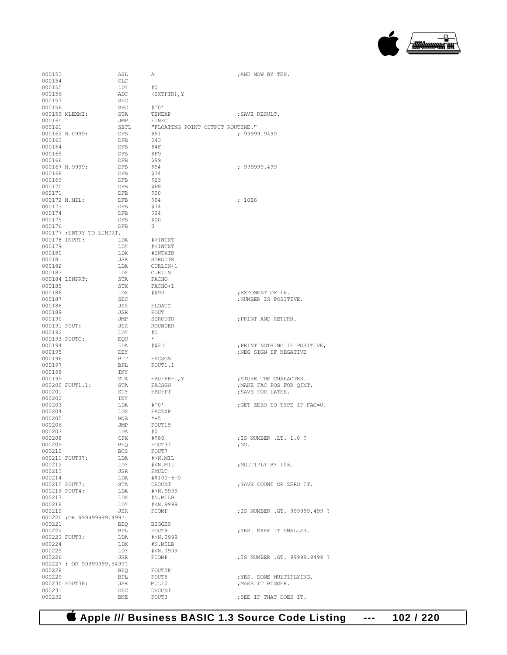

| 000153       |                           | ASL                           | А                                    | ; AND NOW BY TEN.                                  |
|--------------|---------------------------|-------------------------------|--------------------------------------|----------------------------------------------------|
| 000154       |                           | <b>CLC</b>                    |                                      |                                                    |
| 000155       |                           | LDY                           | #0                                   |                                                    |
| 000156       |                           | ADC                           | (TXTPTR), Y                          |                                                    |
| 000157       |                           | $\operatorname{\mathsf{SEC}}$ |                                      |                                                    |
| 000158       |                           | <b>SBC</b>                    | #'0'                                 |                                                    |
|              | 000159 MLEXMI:            | STA                           | TENEXP                               | ; SAVE RESULT.                                     |
| 000160       |                           | JMP                           | FINEC                                |                                                    |
| 000161       |                           | SBTL                          | "FLOATING POINT OUTPUT ROUTINE."     |                                                    |
|              | 000162 N.0999:            | DFB                           | \$91                                 | ; 99999.9499                                       |
| 000163       |                           | DFB                           | \$43                                 |                                                    |
| 000164       |                           | DFB                           | \$4F                                 |                                                    |
| 000165       |                           | DFB                           | SF9                                  |                                                    |
| 000166       |                           | DFB                           | \$99                                 |                                                    |
| 000168       | 000167 N.9999:            | DFB                           | \$94<br>\$74                         | : 999999.499                                       |
| 000169       |                           | DFB<br>DFB                    | \$23                                 |                                                    |
| 000170       |                           | DFB                           | \$F8                                 |                                                    |
| 000171       |                           | DFB                           | \$00                                 |                                                    |
|              | 000172 N.MIL:             | DFB                           | \$94                                 | ; 10E6                                             |
| 000173       |                           | DFB                           | \$74                                 |                                                    |
| 000174       |                           | DFB                           | \$24                                 |                                                    |
| 000175       |                           | DFB                           | \$00                                 |                                                    |
| 000176       |                           | DFB                           | $\circ$                              |                                                    |
|              | 000177; ENTRY TO LINPRT.  |                               |                                      |                                                    |
|              | 000178 INPRT:             | LDA                           | #>INTXT                              |                                                    |
| 000179       |                           | LDY                           | # <intxt< td=""><td></td></intxt<>   |                                                    |
| 000180       |                           | LDX                           | #INTXTB                              |                                                    |
| 000181       |                           | JSR                           | <b>STROUTR</b>                       |                                                    |
| 000182       |                           | LDA                           | CURLIN+1                             |                                                    |
| 000183       |                           | LDX                           | CURLIN                               |                                                    |
|              | 000184 LINPRT:            | STA                           | FACHO                                |                                                    |
| 000185       |                           | STX                           | FACHO+1                              |                                                    |
| 000186       |                           | LDX                           | #\$90                                | ; EXPONENT OF 16.                                  |
| 000187       |                           | $\operatorname{\mathsf{SEC}}$ |                                      | ; NUMBER IS POSITIVE.                              |
| 000188       |                           | JSR                           | FLOATC                               |                                                    |
| 000189       |                           | JSR                           | FOUT                                 |                                                    |
| 000190       |                           | JMP                           | STROUTR                              | ; PRINT AND RETURN.                                |
| 000191 FOUT: |                           | JSR                           | <b>ROUNDER</b>                       |                                                    |
| 000192       |                           | LDY                           | #1                                   |                                                    |
|              | 000193 FOUTC:             | EOU                           | $\star$                              |                                                    |
| 000194       |                           | LDA                           | #\$2D                                | ; PRINT NOTHING IF POSITIVE,                       |
| 000195       |                           | DEY                           |                                      | ; NEG SIGN IF NEGATIVE                             |
| 000196       |                           | BIT                           | FACSGN                               |                                                    |
| 000197       |                           | <b>BPL</b>                    | FOUT1.1                              |                                                    |
| 000198       |                           | INY                           |                                      |                                                    |
| 000199       | 000200 FOUT1.1:           | STA<br>STA                    | $FBUFFR-1, Y$                        | ; STORE THE CHARACTER.<br>; MAKE FAC POS FOR QINT. |
| 000201       |                           | STY                           | FACSGN<br>FBUFPT                     | ; SAVE FOR LATER.                                  |
| 000202       |                           | INY                           |                                      |                                                    |
| 000203       |                           | LDA                           | # ' 0'                               | ; GET ZERO TO TYPE IF FAC=0.                       |
| 000204       |                           | LDX                           | FACEXP                               |                                                    |
| 000205       |                           | BNE                           | $*+5$                                |                                                    |
| 000206       |                           | JMP                           | FOUT19                               |                                                    |
| 000207       |                           | LDA                           | #0                                   |                                                    |
| 000208       |                           | CPX                           | #\$80                                | ; IS NUMBER .LT. 1.0 ?                             |
| 000209       |                           | BEQ                           | FOUT37                               | $;$ NO.                                            |
| 000210       |                           | BCS                           | FOUT7                                |                                                    |
|              | 000211 FOUT37:            | LDA                           | $#>N$ . $MIL$                        |                                                    |
| 000212       |                           | LDY                           | #< N . MIL                           | ; MULTIPLY BY 106.                                 |
| 000213       |                           | JSR                           | FMULT                                |                                                    |
| 000214       |                           | T.DA                          | #\$100-6-0                           |                                                    |
|              | 000215 FOUT7:             | STA                           | DECCNT                               | ; SAVE COUNT OR ZERO IT.                           |
|              | 000216 FOUT4:             | LDA                           | #>N.9999                             |                                                    |
| 000217       |                           | LDX                           | #N.MILB                              |                                                    |
| 000218       |                           | LDY                           | # <n.9999< td=""><td></td></n.9999<> |                                                    |
| 000219       |                           | JSR                           | FCOMP                                | ; IS NUMBER .GT. 999999.499 ?                      |
|              | 000220: OR 999999999.499? |                               |                                      |                                                    |
| 000221       |                           | BEO                           | <b>BIGGES</b>                        | ; YES. MAKE IT SMALLER.                            |
| 000222       |                           | BPL                           | FOUT9<br>#>N.0999                    |                                                    |
| 000224       | 000223 FOUT3:             | LDA<br>LDX                    | #N.MILB                              |                                                    |
| 000225       |                           | LDY                           | #< N.0999                            |                                                    |
| 000226       |                           | JSR                           | FCOMP                                | ; IS NUMBER .GT. 99999.9499 ?                      |
|              | 000227; OR 99999999.9499? |                               |                                      |                                                    |
| 000228       |                           | BEO                           | FOUT38                               |                                                    |
| 000229       |                           | BPL                           | FOUT5                                | ; YES. DONE MULTIPLYING.                           |
|              | 000230 FOUT38:            | JSR                           | MUL10                                | ; MAKE IT BIGGER.                                  |
| 000231       |                           | DEC                           | DECCNT                               |                                                    |
| 000232       |                           | BNE                           | FOUT3                                | ; SEE IF THAT DOES IT.                             |
|              |                           |                               |                                      |                                                    |

 **Apple /// Business BASIC 1.3 Source Code Listing --- 102 / 220**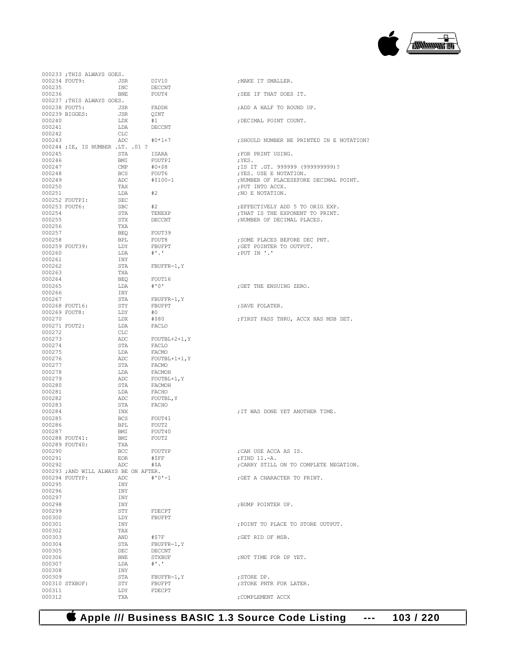

|                  | 000233 ; THIS ALWAYS GOES.            |              |                       |                                           |
|------------------|---------------------------------------|--------------|-----------------------|-------------------------------------------|
|                  | 000234 FOUT9:                         | JSR          | DIV10                 | ; MAKE IT SMALLER.                        |
| 000235           |                                       | <b>INC</b>   | DECCNT                |                                           |
| 000236           |                                       | BNE          | FOUT4                 | ; SEE IF THAT DOES IT.                    |
|                  | 000237 ; THIS ALWAYS GOES.            |              |                       |                                           |
|                  | 000238 FOUT5:                         | JSR          | FADDH                 | ; ADD A HALF TO ROUND UP.                 |
|                  | 000239 BIGGES:                        | JSR          | OINT                  |                                           |
| 000240           |                                       | LDX          | #1                    | ; DECIMAL POINT COUNT.                    |
| 000241           |                                       | LDA          | DECCNT                |                                           |
| 000242           |                                       | CLC          |                       |                                           |
| 000243           |                                       | ADC          | $#0*1+7$              | ; SHOULD NUMBER BE PRINTED IN E NOTATION? |
|                  | 000244; IE, IS NUMBER .LT. .01 ?      |              |                       |                                           |
| 000245           |                                       | STA          | ISARA                 | :FOR PRINT USING.                         |
| 000246           |                                       | BMI          | FOUTPI                | , YES.                                    |
| 000247           |                                       | $\text{CMP}$ | $#0 + $8$             | ;IS IT .GT. 999999 (999999999)?           |
| 000248           |                                       | BCS          | FOUT6                 | ; YES. USE E NOTATION.                    |
| 000249           |                                       | ADC          | #\$100-1              | ; NUMBER OF PLACESEFORE DECIMAL POINT.    |
| 000250           |                                       | TAX          |                       | ; PUT INTO ACCX.                          |
| 000251           |                                       | LDA          | #2                    | ; NO E NOTATION.                          |
|                  | 000252 FOUTPI:                        | SEC          |                       |                                           |
|                  | 000253 FOUT6:                         | <b>SBC</b>   | #2                    | ; EFFECTIVELY ADD 5 TO ORIG EXP.          |
| 000254           |                                       | STA          | TENEXP                | ; THAT IS THE EXPONENT TO PRINT.          |
| 000255           |                                       | STX          | DECCNT                | ; NUMBER OF DECIMAL PLACES.               |
| 000256           |                                       | TXA          |                       |                                           |
| 000257           |                                       | BEO          | FOUT39                |                                           |
| 000258           |                                       | BPL          | FOUT8                 | ; SOME PLACES BEFORE DEC PNT.             |
|                  | 000259 FOUT39:                        | LDY          | FBUFPT                | ; GET POINTER TO OUTPUT.                  |
| 000260           |                                       | LDA          | $\#$ $\cdot$ $\cdot$  | ;PUT IN '.'                               |
| 000261           |                                       | INY          |                       |                                           |
| 000262           |                                       | STA          | $FBUFFR-1, Y$         |                                           |
| 000263           |                                       | TXA          |                       |                                           |
| 000264           |                                       | BEO          | FOUT16                |                                           |
| 000265           |                                       | LDA          | # ' 0'                | ; GET THE ENSUING ZERO.                   |
| 000266           |                                       | INY          |                       |                                           |
| 000267           |                                       | STA          | $FBUFFR-1, Y$         |                                           |
|                  | 000268 FOUT16:                        | STY          | FBUFPT                | ; SAVE FOLATER.                           |
|                  | 000269 FOUT8:                         | LDY          | #0                    |                                           |
| 000270           |                                       | LDX          | #\$80                 | ; FIRST PASS THRU, ACCX HAS MSB SET.      |
| 000271 FOUT2:    |                                       | LDA          | FACLO                 |                                           |
| 000272           |                                       | CLC          |                       |                                           |
| 000273           |                                       | ADC          | $FOUTBL+2+1, Y$       |                                           |
| 000274           |                                       | STA          | FACLO                 |                                           |
|                  |                                       |              |                       |                                           |
| 000275           |                                       | LDA          | FACMO                 |                                           |
| 000276           |                                       | ADC          | $FOUTBL+1+1, Y$       |                                           |
| 000277           |                                       | STA          | FACMO                 |                                           |
| 000278           |                                       | LDA          | FACMOH                |                                           |
| 000279           |                                       | ADC          | FOUTBL+1, Y           |                                           |
| 000280           |                                       | STA          | FACMOH                |                                           |
| 000281           |                                       | LDA          | FACHO                 |                                           |
| 000282           |                                       | ADC          | FOUTBL, Y             |                                           |
| 000283           |                                       | STA          | FACHO                 |                                           |
| 000284           |                                       | INX          |                       | ; IT WAS DONE YET ANOTHER TIME.           |
| 000285           |                                       | BCS          | FOUT41                |                                           |
| 000286           |                                       | BPL          | FOUT2                 |                                           |
| 000287           |                                       | BMI          | FOUT40                |                                           |
|                  | 000288 FOUT41:                        | BMI          | FOUT2                 |                                           |
|                  | 000289 FOUT40:                        | TXA          |                       |                                           |
| 000290           |                                       | BCC          | FOUTYP                | ; CAN USE ACCA AS IS.                     |
| 000291           |                                       | EOR          | #\$FF                 | ; FIND 11.-A.                             |
| 000292           |                                       | ADC          | #\$A                  | ; CARRY STILL ON TO COMPLETE NEGATION.    |
|                  | 000293 ; AND WILL ALWAYS BE ON AFTER. |              |                       |                                           |
|                  | 000294 FOUTYP:                        | ADC          | $# 10! - 1$           | ; GET A CHARACTER TO PRINT.               |
| 000295           |                                       | INY          |                       |                                           |
| 000296           |                                       | INY          |                       |                                           |
| 000297           |                                       | INY          |                       |                                           |
| 000298           |                                       | INY          |                       | ; BUMP POINTER UP.                        |
| 000299           |                                       | STY          | FDECPT                |                                           |
| 000300           |                                       | LDY          | FBUFPT                |                                           |
| 000301           |                                       | INY          |                       | ; POINT TO PLACE TO STORE OUTPUT.         |
| 000302           |                                       | TAX          |                       |                                           |
| 000303           |                                       | AND          | #\$7F                 | ;GET RID OF MSB.                          |
| 000304           |                                       | STA          | $FBUFFR-1, Y$         |                                           |
| 000305           |                                       | DEC          | DECCNT                |                                           |
| 000306           |                                       | BNE          | STXBUF                | ; NOT TIME FOR DP YET.                    |
| 000307           |                                       | LDA          | $#$ '.'               |                                           |
| 000308           |                                       | INY          |                       |                                           |
| 000309           |                                       | STA          | $F\texttt{BUFFR-1,Y}$ | ; STORE DP.                               |
|                  | 000310 STXBUF:                        | STY          | FBUFPT                | ; STORE PNTR FOR LATER.                   |
| 000311<br>000312 |                                       | LDY<br>TXA   | FDECPT                | ; COMPLEMENT ACCX                         |

 **Apple /// Business BASIC 1.3 Source Code Listing --- 103 / 220**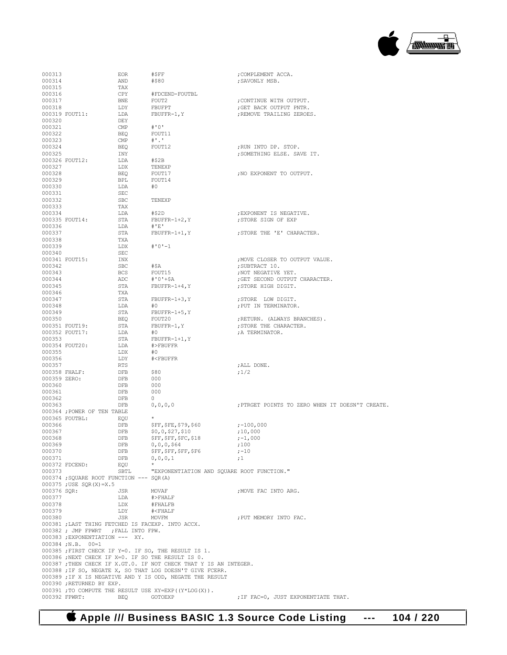

| 000313        |                                                   | <b>EOR</b> | #\$FF                                                             | ; COMPLEMENT ACCA.                              |
|---------------|---------------------------------------------------|------------|-------------------------------------------------------------------|-------------------------------------------------|
| 000314        |                                                   | AND        | #\$80                                                             | ; SAVONLY MSB.                                  |
| 000315        |                                                   | TAX        |                                                                   |                                                 |
| 000316        |                                                   | CPY        | #FDCEND-FOUTBL                                                    |                                                 |
| 000317        |                                                   | BNE        | FOUT2                                                             | ; CONTINUE WITH OUTPUT.                         |
| 000318        |                                                   | LDY        | FBUFPT                                                            | ; GET BACK OUTPUT PNTR.                         |
|               | 000319 FOUT11:                                    | LDA        | $F\texttt{BUFFR-1,Y}$                                             | ; REMOVE TRAILING ZEROES.                       |
| 000320        |                                                   | DEY        |                                                                   |                                                 |
| 000321        |                                                   | CMP        | #'0'                                                              |                                                 |
| 000322        |                                                   | <b>BEQ</b> | FOUT11                                                            |                                                 |
| 000323        |                                                   | CMP        | $#$ '.'                                                           |                                                 |
| 000324        |                                                   | <b>BEQ</b> | FOUT12                                                            | ;RUN INTO DP. STOP.                             |
| 000325        |                                                   | INY        |                                                                   | ; SOMETHING ELSE. SAVE IT.                      |
|               | 000326 FOUT12:                                    | LDA        | #\$2B                                                             |                                                 |
| 000327        |                                                   | LDX        | TENEXP                                                            |                                                 |
| 000328        |                                                   | BEQ        | FOUT17                                                            | ; NO EXPONENT TO OUTPUT.                        |
| 000329        |                                                   | BPL        | FOUT14                                                            |                                                 |
| 000330        |                                                   | LDA        | #0                                                                |                                                 |
| 000331        |                                                   | SEC        |                                                                   |                                                 |
| 000332        |                                                   | SBC        | TENEXP                                                            |                                                 |
| 000333        |                                                   | TAX        |                                                                   |                                                 |
| 000334        |                                                   | LDA        | #\$2D                                                             | ; EXPONENT IS NEGATIVE.                         |
|               | 000335 FOUT14:                                    | STA        | $FBUFFR-1+2, Y$                                                   | ; STORE SIGN OF EXP                             |
| 000336        |                                                   | LDA        | # 'E'                                                             |                                                 |
| 000337        |                                                   | STA        | $FBUFFR-1+1, Y$                                                   | ; STORE THE 'E' CHARACTER.                      |
| 000338        |                                                   | TXA        |                                                                   |                                                 |
| 000339        |                                                   | LDX        | $# 0 1 - 1$                                                       |                                                 |
| 000340        |                                                   | SEC        |                                                                   |                                                 |
|               | 000341 FOUT15:                                    | INX        |                                                                   | ; MOVE CLOSER TO OUTPUT VALUE.                  |
| 000342        |                                                   | <b>SBC</b> | #\$A                                                              | ;SUBTRACT 10.                                   |
| 000343        |                                                   | <b>BCS</b> | FOUT15                                                            | ; NOT NEGATIVE YET.                             |
| 000344        |                                                   | ADC        | #'0'+\$A                                                          | ; GET SECOND OUTPUT CHARACTER.                  |
| 000345        |                                                   | STA        | $FBUFFR-1+4, Y$                                                   | ; STORE HIGH DIGIT.                             |
| 000346        |                                                   | TXA        |                                                                   |                                                 |
| 000347        |                                                   | STA        | $FBUFFR-1+3, Y$                                                   | ; STORE LOW DIGIT.                              |
| 000348        |                                                   | LDA        | #0                                                                | ; PUT IN TERMINATOR.                            |
| 000349        |                                                   | STA        | $FBUFFR-1+5, Y$                                                   |                                                 |
| 000350        |                                                   | BEQ        | FOUT20                                                            | ; RETURN. (ALWAYS BRANCHES).                    |
|               | 000351 FOUT19:                                    | STA        | FBUFFR-1, Y                                                       | ; STORE THE CHARACTER.                          |
|               | 000352 FOUT17:                                    | LDA        | #0                                                                | ; A TERMINATOR.                                 |
| 000353        |                                                   | STA        | $FBUFFR-1+1, Y$                                                   |                                                 |
|               | 000354 FOUT20:                                    | LDA        | #>FBUFFR                                                          |                                                 |
| 000355        |                                                   | LDX        | #O                                                                |                                                 |
| 000356        |                                                   | LDY        | # <fbuffr< td=""><td></td></fbuffr<>                              |                                                 |
| 000357        |                                                   | RTS        |                                                                   | ; ALL DONE.                                     |
| 000358 FHALF: |                                                   | DFB        | \$80                                                              | ;1/2                                            |
| 000359 ZERO:  |                                                   | DFB        | 000                                                               |                                                 |
| 000360        |                                                   | DFB        | 000                                                               |                                                 |
| 000361        |                                                   | DFB        | 000                                                               |                                                 |
| 000362        |                                                   | DFB        | $\circ$                                                           |                                                 |
| 000363        |                                                   | DFB        | 0, 0, 0, 0                                                        | ; PTRGET POINTS TO ZERO WHEN IT DOESN'T CREATE. |
|               | 000364 ; POWER OF TEN TABLE                       |            |                                                                   |                                                 |
|               | 000365 FOUTBL:                                    | EQU        | $\star$                                                           |                                                 |
| 000366        |                                                   | DFB        | \$FF, \$FE, \$79, \$60                                            | ;-100,000                                       |
| 000367        |                                                   | <b>DFB</b> | \$0,0,\$27,\$10                                                   | ;10,000                                         |
| 000368        |                                                   | DFB        | \$FF,\$FF,\$FC,\$18                                               | ;-1,000                                         |
| 000369        |                                                   | DFB        | 0,0,0,564                                                         | ;100                                            |
| 000370        |                                                   | DFB        | \$FF,\$FF,\$FF,\$F6                                               | $; -10$                                         |
| 000371        |                                                   | DFB        | 0, 0, 0, 1                                                        | ;1                                              |
|               | 000372 FDCEND:                                    | EQU        |                                                                   |                                                 |
| 000373        |                                                   | SBTL       | "EXPONENTIATION AND SOUARE ROOT FUNCTION."                        |                                                 |
|               | 000374; SOUARE ROOT FUNCTION --- SOR(A)           |            |                                                                   |                                                 |
|               | $000375$ ; USE SQR(X)=X.5                         |            |                                                                   |                                                 |
| 000376 SQR:   |                                                   | JSR        | MOVAF                                                             | ; MOVE FAC INTO ARG.                            |
| 000377        |                                                   | LDA        | #>FHALF                                                           |                                                 |
| 000378        |                                                   | LDX        | #FHALFB                                                           |                                                 |
| 000379        |                                                   | LDY        | # <fhalf< td=""><td></td></fhalf<>                                |                                                 |
| 000380        |                                                   | JSR        | MOVFM                                                             | ; PUT MEMORY INTO FAC.                          |
|               | 000381 ; LAST THING FETCHED IS FACEXP. INTO ACCX. |            |                                                                   |                                                 |
|               | 000382 ; JMP FPWRT ; FALL INTO FPW.               |            |                                                                   |                                                 |
|               | 000383 ; EXPONENTIATION --- XY.                   |            |                                                                   |                                                 |
|               | $000384; N.B. 00=1$                               |            |                                                                   |                                                 |
|               |                                                   |            | 000385 ; FIRST CHECK IF Y=0. IF SO, THE RESULT IS 1.              |                                                 |
|               |                                                   |            |                                                                   |                                                 |
|               |                                                   |            | 000386 ; NEXT CHECK IF X=0. IF SO THE RESULT IS 0.                |                                                 |
|               |                                                   |            | 000387 ; THEN CHECK IF X.GT.0. IF NOT CHECK THAT Y IS AN INTEGER. |                                                 |
|               |                                                   |            | 000388 ; IF SO, NEGATE X, SO THAT LOG DOESN'T GIVE FCERR.         |                                                 |
|               |                                                   |            | 000389 ; IF X IS NEGATIVE AND Y IS ODD, NEGATE THE RESULT         |                                                 |
|               | 000390 ; RETURNED BY EXP.                         |            |                                                                   |                                                 |
| 000392 FPWRT: |                                                   | BEQ        | 000391 ; TO COMPUTE THE RESULT USE XY=EXP((Y*LOG(X)).<br>GOTOEXP  | ; IF FAC=0, JUST EXPONENTIATE THAT.             |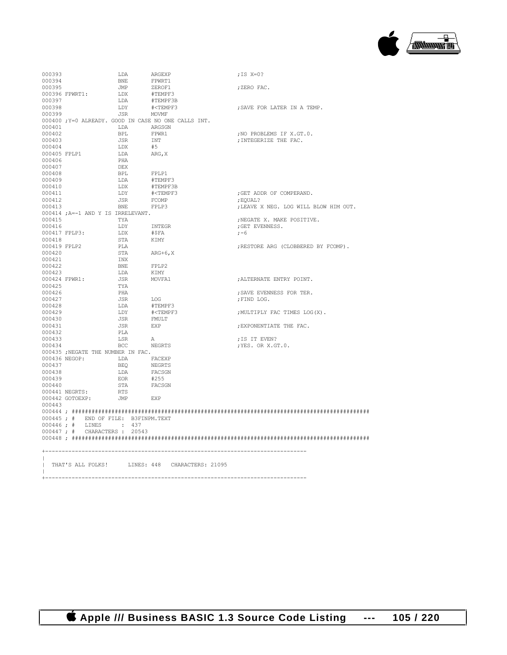

| 000393       |                                      | LDA               | ARGEXP                                                           | ; IS $X=0$ ?                          |
|--------------|--------------------------------------|-------------------|------------------------------------------------------------------|---------------------------------------|
| 000394       |                                      | BNE               | FPWRT1                                                           |                                       |
| 000395       |                                      | JMP               | ZEROF1                                                           | ;ZERO FAC.                            |
|              | 000396 FPWRT1:                       | LDX               | #TEMPF3                                                          |                                       |
| 000397       |                                      | LDA               | #TEMPF3B                                                         |                                       |
| 000398       |                                      | LDY               | # <tempf3< td=""><td>; SAVE FOR LATER IN A TEMP.</td></tempf3<>  | ; SAVE FOR LATER IN A TEMP.           |
| 000399       |                                      | JSR               | MOVMF                                                            |                                       |
|              |                                      |                   | 000400 ; Y=0 ALREADY. GOOD IN CASE NO ONE CALLS INT.             |                                       |
| 000401       |                                      | LDA               | ARGSGN                                                           |                                       |
| 000402       |                                      | BPL               | FPWR1                                                            | ; NO PROBLEMS IF X.GT.O.              |
| 000403       |                                      | JSR               | INT<br>#5                                                        | ; INTEGERIZE THE FAC.                 |
| 000404       | 000405 FPLP1                         | LDX<br>LDA        | ARG, X                                                           |                                       |
| 000406       |                                      | PHA               |                                                                  |                                       |
| 000407       |                                      | DEX               |                                                                  |                                       |
| 000408       |                                      | <b>BPL</b>        | FPLP1                                                            |                                       |
| 000409       |                                      | LDA               | #TEMPF3                                                          |                                       |
| 000410       |                                      | LDX               | #TEMPF3B                                                         |                                       |
| 000411       |                                      | LDY               | # <tempf3< td=""><td>; GET ADDR OF COMPERAND.</td></tempf3<>     | ; GET ADDR OF COMPERAND.              |
| 000412       |                                      | JSR               | FCOMP                                                            | ; EOUAL?                              |
| 000413       |                                      | BNE               | FPLP3                                                            | ; LEAVE X NEG. LOG WILL BLOW HIM OUT. |
|              | 000414 ; A=-1 AND Y IS IRRELEVANT.   |                   |                                                                  |                                       |
| 000415       |                                      | TYA               |                                                                  | ; NEGATE X. MAKE POSITIVE.            |
| 000416       |                                      | LDY               | INTEGR                                                           | ; GET EVENNESS.                       |
|              | 000417 FPLP3:                        | LDX               | #SFA                                                             | $; -6$                                |
| 000418       |                                      | STA               | KIMY                                                             |                                       |
|              | 000419 FPLP2                         | PLA               |                                                                  | ; RESTORE ARG (CLOBBERED BY FCOMP).   |
| 000420       |                                      | STA               | ARG+6, X                                                         |                                       |
| 000421       |                                      | INX               |                                                                  |                                       |
| 000422       |                                      | BNE               | FPLP2                                                            |                                       |
| 000423       |                                      | LDA               | KIMY                                                             |                                       |
|              | 000424 FPWR1:                        | JSR               | MOVFA1                                                           | ; ALTERNATE ENTRY POINT.              |
| 000425       |                                      | TYA               |                                                                  |                                       |
| 000426       |                                      | PHA               |                                                                  | : SAVE EVENNESS FOR TER.              |
| 000427       |                                      | JSR               | LOG                                                              | ; FIND LOG.                           |
| 000428       |                                      | LDA               | #TEMPF3                                                          |                                       |
| 000429       |                                      | LDY               | # <tempf3< td=""><td>; MULTIPLY FAC TIMES LOG(X).</td></tempf3<> | ; MULTIPLY FAC TIMES LOG(X).          |
| 000430       |                                      | JSR               | FMULT                                                            |                                       |
| 000431       |                                      | JSR               | EXP                                                              | ; EXPONENTIATE THE FAC.               |
| 000432       |                                      | PLA               |                                                                  |                                       |
| 000433       |                                      | LSR               | A                                                                | ; IS IT EVEN?                         |
| 000434       |                                      | BCC.              | <b>NEGRTS</b>                                                    | ; YES. OR X.GT.O.                     |
|              | 000435 ; NEGATE THE NUMBER IN FAC.   |                   |                                                                  |                                       |
|              | 000436 NEGOP: LDA FACEXP             |                   |                                                                  |                                       |
| 000437       |                                      | BEO               | NEGRTS                                                           |                                       |
| 000438       |                                      | LDA               | FACSGN                                                           |                                       |
| 000439       |                                      | EOR               | #255                                                             |                                       |
| 000440       | 000441 NEGRTS:                       | STA<br><b>RTS</b> | FACSGN                                                           |                                       |
|              | 000442 GOTOEXP:                      | <b>JMP</b>        | <b>EXP</b>                                                       |                                       |
| 000443       |                                      |                   |                                                                  |                                       |
|              |                                      |                   |                                                                  |                                       |
|              | 000445 ; # END OF FILE: B3FINPM.TEXT |                   |                                                                  |                                       |
| $000446$ ; # |                                      | LINES : 437       |                                                                  |                                       |
|              | 000447 ; # CHARACTERS : 20543        |                   |                                                                  |                                       |
|              |                                      |                   |                                                                  |                                       |
|              |                                      |                   |                                                                  |                                       |
|              |                                      |                   |                                                                  |                                       |
|              |                                      |                   |                                                                  |                                       |
|              |                                      |                   | THAT'S ALL FOLKS! LINES: 448 CHARACTERS: 21095                   |                                       |
|              |                                      |                   |                                                                  |                                       |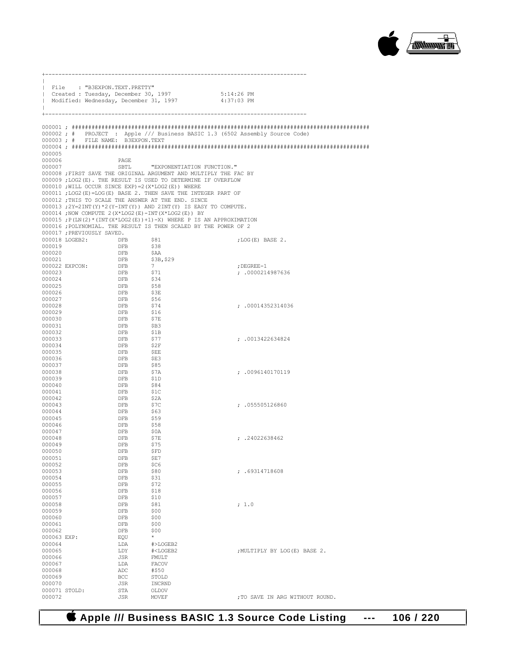

|                  | File : "B3EXPON.TEXT.PRETTY"      |                          |                                                                                                       |                                                                              |
|------------------|-----------------------------------|--------------------------|-------------------------------------------------------------------------------------------------------|------------------------------------------------------------------------------|
|                  |                                   |                          | Created: Tuesday, December 30, 1997 5:14:26 PM<br>1 Modified: Wednesday, December 31, 1997 4:37:03 PM |                                                                              |
|                  |                                   |                          |                                                                                                       |                                                                              |
| $\mathbb{R}$     |                                   |                          |                                                                                                       |                                                                              |
|                  |                                   |                          |                                                                                                       |                                                                              |
|                  |                                   |                          |                                                                                                       |                                                                              |
|                  |                                   |                          |                                                                                                       | 000002; # PROJECT : Apple /// Business BASIC 1.3 (6502 Assembly Source Code) |
|                  | 000003; # FILE NAME: B3EXPON.TEXT |                          |                                                                                                       |                                                                              |
|                  |                                   |                          |                                                                                                       |                                                                              |
| 000005           |                                   |                          |                                                                                                       |                                                                              |
| 000006           |                                   | PAGE                     |                                                                                                       |                                                                              |
| 000007           |                                   |                          | SBTL "EXPONENTIATION FUNCTION."                                                                       |                                                                              |
|                  |                                   |                          | 000008 ; FIRST SAVE THE ORIGINAL ARGUMENT AND MULTIPLY THE FAC BY                                     |                                                                              |
|                  |                                   |                          | 000009;LOG2(E). THE RESULT IS USED TO DETERMINE IF OVERFLOW                                           |                                                                              |
|                  |                                   |                          | $000010$ ; WILL OCCUR SINCE EXP) = 2 (X*LOG2(E)) WHERE                                                |                                                                              |
|                  |                                   |                          | 000011 ; LOG2 (E) = LOG (E) BASE 2. THEN SAVE THE INTEGER PART OF                                     |                                                                              |
|                  |                                   |                          | 000012 ; THIS TO SCALE THE ANSWER AT THE END. SINCE                                                   |                                                                              |
|                  |                                   |                          | $000013$ ; $2Y=2INT(Y)*2(Y-INT(Y))$ AND $2INT(Y)$ IS EASY TO COMPUTE.                                 |                                                                              |
|                  |                                   |                          | $000014$ ; NOW COMPUTE 2(X*LOG2(E)-INT(X*LOG2(E)) BY                                                  |                                                                              |
|                  |                                   |                          | $000015$ ; $P(LN(2) * (INT(X * LOG2(E)) + 1) - X)$ WHERE P IS AN APPROXIMATION                        |                                                                              |
|                  |                                   |                          | 000016 ; POLYNOMIAL. THE RESULT IS THEN SCALED BY THE POWER OF 2                                      |                                                                              |
|                  |                                   |                          |                                                                                                       | ; LOG $(E)$ BASE 2.                                                          |
|                  |                                   |                          |                                                                                                       |                                                                              |
|                  |                                   |                          |                                                                                                       |                                                                              |
|                  |                                   |                          |                                                                                                       |                                                                              |
|                  |                                   |                          |                                                                                                       | ; DEGREE-1                                                                   |
|                  |                                   |                          |                                                                                                       | ; .0000214987636                                                             |
|                  |                                   |                          |                                                                                                       |                                                                              |
|                  |                                   |                          |                                                                                                       |                                                                              |
|                  |                                   |                          |                                                                                                       |                                                                              |
|                  |                                   |                          | \$56<br>\$74                                                                                          |                                                                              |
| 000028<br>000029 |                                   |                          | \$16                                                                                                  | : .00014352314036                                                            |
|                  |                                   |                          |                                                                                                       |                                                                              |
| 000030<br>000031 |                                   |                          | $$7E$<br>SB3                                                                                          |                                                                              |
| 000032           |                                   |                          | \$1B                                                                                                  |                                                                              |
| 000033           |                                   |                          | \$77                                                                                                  | : .0013422634824                                                             |
| 000034           |                                   |                          | \$2F                                                                                                  |                                                                              |
| 000035           |                                   |                          | $$\,$ $\,$                                                                                            |                                                                              |
| 000036           |                                   | <b>DFB</b>               | \$E3                                                                                                  |                                                                              |
| 000037           |                                   | <b>DFB</b>               | \$85                                                                                                  |                                                                              |
| 000038           |                                   | <b>DFB</b>               | \$7A                                                                                                  | : .0096140170119                                                             |
| 000039           |                                   | <b>DFB</b>               | \$1D                                                                                                  |                                                                              |
| 000040           |                                   | ${\rm DFB}$              | \$84                                                                                                  |                                                                              |
| 000041           |                                   | DFB                      | \$1C                                                                                                  |                                                                              |
| 000042<br>000043 |                                   | <b>DFB</b><br><b>DFB</b> | \$2A<br>\$7C                                                                                          | : .055505126860                                                              |
| 000044           |                                   | <b>DFB</b>               | \$63                                                                                                  |                                                                              |
| 000045           |                                   | <b>DFB</b>               | \$59                                                                                                  |                                                                              |
| 000046           |                                   |                          | \$58                                                                                                  |                                                                              |
| 000047           |                                   | DFB<br>DFB<br>DFB        | \$0A                                                                                                  |                                                                              |
| 000048           |                                   |                          | \$7E                                                                                                  | : .24022638462                                                               |
| 000049           |                                   | DFB                      | \$75                                                                                                  |                                                                              |
| 000050           |                                   | DFB                      | ŞFD                                                                                                   |                                                                              |
| 000051           |                                   | DFB                      | \$E7                                                                                                  |                                                                              |
| 000052           |                                   | DFB                      | \$C6                                                                                                  |                                                                              |
| 000053           |                                   | DFB                      | \$80                                                                                                  | : .69314718608                                                               |
| 000054<br>000055 |                                   | DFB<br>DFB               | \$31<br>\$72                                                                                          |                                                                              |
| 000056           |                                   | DFB                      | \$18                                                                                                  |                                                                              |
| 000057           |                                   | DFB                      | \$10                                                                                                  |                                                                              |
| 000058           |                                   | DFB                      | \$81                                                                                                  | ; 1.0                                                                        |
| 000059           |                                   | DFB                      | \$00                                                                                                  |                                                                              |
| 000060           |                                   | DFB                      | \$00                                                                                                  |                                                                              |
| 000061           |                                   | DFB                      | \$00                                                                                                  |                                                                              |
| 000062           |                                   | DFB                      | \$00                                                                                                  |                                                                              |
| 000063 EXP:      |                                   | EQU                      | *                                                                                                     |                                                                              |
| 000064           |                                   | LDA                      | #>LOGEB2                                                                                              |                                                                              |
| 000065           |                                   | LDY                      | # <logeb2< td=""><td>; MULTIPLY BY LOG(E) BASE 2.</td></logeb2<>                                      | ; MULTIPLY BY LOG(E) BASE 2.                                                 |
| 000066<br>000067 |                                   | JSR<br>LDA               | FMULT<br>FACOV                                                                                        |                                                                              |
| 000068           |                                   | ADC                      | #\$50                                                                                                 |                                                                              |
| 000069           |                                   | BCC                      | STOLD                                                                                                 |                                                                              |
| 000070           |                                   | JSR                      | INCRND                                                                                                |                                                                              |
|                  | 000071 STOLD:                     | STA                      | OLDOV                                                                                                 |                                                                              |
| 000072           |                                   | <b>JSR</b>               | MOVEF                                                                                                 | ; TO SAVE IN ARG WITHOUT ROUND.                                              |

 **Apple /// Business BASIC 1.3 Source Code Listing --- 106 / 220**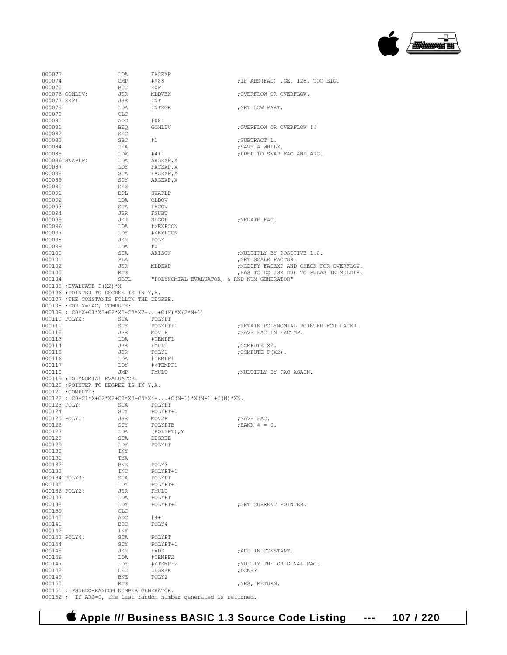

| 000073           |                                           | LDA        | FACEXP                                                           |                                         |
|------------------|-------------------------------------------|------------|------------------------------------------------------------------|-----------------------------------------|
| 000074           |                                           | CMP        | #\$88                                                            | ; IF ABS (FAC) .GE. 128, TOO BIG.       |
| 000075           |                                           | <b>BCC</b> | EXP1                                                             |                                         |
|                  | 000076 GOMLDV:                            | JSR        | MLDVEX                                                           | ; OVERFLOW OR OVERFLOW.                 |
| 000077 EXP1:     |                                           | JSR        | INT                                                              |                                         |
| 000078           |                                           | LDA        | INTEGR                                                           | ; GET LOW PART.                         |
| 000079           |                                           | CLC        |                                                                  |                                         |
| 000080           |                                           | ADC        | #\$81                                                            |                                         |
| 000081           |                                           | BEO        | GOMLDV                                                           | ; OVERFLOW OR OVERFLOW !!               |
| 000082           |                                           | SEC        |                                                                  |                                         |
| 000083           |                                           | <b>SBC</b> | #1                                                               | ; SUBTRACT 1.                           |
| 000084           |                                           | PHA        |                                                                  | ; SAVE A WHILE.                         |
| 000085           |                                           | LDX        | $#4 + 1$                                                         | : PREP TO SWAP FAC AND ARG.             |
|                  | 000086 SWAPLP:                            | LDA        | ARGEXP, X                                                        |                                         |
| 000087           |                                           | LDY        | FACEXP, X                                                        |                                         |
| 000088           |                                           | STA        | FACEXP, X                                                        |                                         |
| 000089           |                                           | STY        | ARGEXP, X                                                        |                                         |
| 000090           |                                           | DEX        |                                                                  |                                         |
| 000091           |                                           | BPL        | SWAPLP                                                           |                                         |
| 000092           |                                           | LDA        | OLDOV                                                            |                                         |
| 000093           |                                           | STA        | FACOV                                                            |                                         |
| 000094           |                                           | JSR        | FSUBT                                                            |                                         |
| 000095           |                                           | JSR        | NEGOP                                                            | ; NEGATE FAC.                           |
| 000096           |                                           | LDA        | #>EXPCON                                                         |                                         |
| 000097           |                                           | LDY        | # <expcon< td=""><td></td></expcon<>                             |                                         |
| 000098           |                                           | JSR        | POLY                                                             |                                         |
| 000099           |                                           | LDA        | #0                                                               |                                         |
| 000100           |                                           | STA        | ARISGN                                                           | ; MULTIPLY BY POSITIVE 1.0.             |
| 000101           |                                           | PLA        |                                                                  | ; GET SCALE FACTOR.                     |
| 000102           |                                           | JSR        | MLDEXP                                                           | ; MODIFY FACEXP AND CHECK FOR OVERFLOW. |
| 000103           |                                           | RTS        |                                                                  | ; HAS TO DO JSR DUE TO PULAS IN MULDIV. |
| 000104           |                                           | SBTL       | "POLYNOMIAL EVALUATOR, & RND NUM GENERATOR"                      |                                         |
|                  | $000105$ ; EVALUATE $P(X2)$ *X            |            |                                                                  |                                         |
|                  | 000106 ; POINTER TO DEGREE IS IN Y, A.    |            |                                                                  |                                         |
|                  | 000107 ; THE CONSTANTS FOLLOW THE DEGREE. |            |                                                                  |                                         |
|                  | 000108 ;FOR X=FAC, COMPUTE:               |            |                                                                  |                                         |
|                  |                                           |            | 000109 ; $CO*X+C1*X3+C2*X5+C3*X7++C(N)*X(2*N+1)$                 |                                         |
| 000110 POLYX:    |                                           | STA        | POLYPT                                                           |                                         |
| 000111           |                                           | STY        | POLYPT+1                                                         | ; RETAIN POLYNOMIAL POINTER FOR LATER.  |
| 000112           |                                           | JSR        | MOV1F                                                            | ; SAVE FAC IN FACTMP.                   |
| 000113           |                                           | LDA        | #TEMPF1                                                          |                                         |
| 000114           |                                           | JSR        | FMULT                                                            | ; COMPUTE X2.                           |
| 000115           |                                           | JSR        | POLY1                                                            | ; COMPUTE $P(X2)$ .                     |
| 000116<br>000117 |                                           | LDA        | #TEMPF1<br># <tempf1< td=""><td></td></tempf1<>                  |                                         |
| 000118           |                                           | LDY<br>JMP | FMULT                                                            | ; MULTIPLY BY FAC AGAIN.                |
|                  | 000119 ; POLYNOMIAL EVALUATOR.            |            |                                                                  |                                         |
|                  | 000120 ; POINTER TO DEGREE IS IN Y, A.    |            |                                                                  |                                         |
|                  | 000121; COMPUTE:                          |            |                                                                  |                                         |
|                  |                                           |            | $000122$ ; $C0+C1*X+C2*X2+C3*X3+C4*X4++C(N-1)*X(N-1)+C(N)*XN.$   |                                         |
| 000123 POLY:     |                                           | STA        | POLYPT                                                           |                                         |
| 000124           |                                           | STY        | POLYPT+1                                                         |                                         |
| 000125 POLY1:    |                                           | JSR        | MOV2F                                                            | ; SAVE FAC.                             |
| 000126           |                                           | STY        | POLYPTB                                                          | $:BANK # = 0.$                          |
| 000127           |                                           | LDA        | (POLYPT), Y                                                      |                                         |
| 000128           |                                           | STA        | DEGREE                                                           |                                         |
| 000129           |                                           | LDY        | POLYPT                                                           |                                         |
| 000130           |                                           | INY        |                                                                  |                                         |
| 000131           |                                           | TYA        |                                                                  |                                         |
| 000132           |                                           | BNE        | POLY3                                                            |                                         |
| 000133           |                                           | INC        | POLYPT+1                                                         |                                         |
| 000134 POLY3:    |                                           | STA        | POLYPT                                                           |                                         |
| 000135           |                                           | LDY        | POLYPT+1                                                         |                                         |
| 000136 POLY2:    |                                           | JSR        | FMULT                                                            |                                         |
| 000137           |                                           | LDA        | POLYPT                                                           |                                         |
| 000138           |                                           | LDY        | POLYPT+1                                                         | : GET CURRENT POINTER.                  |
| 000139           |                                           | CLC        |                                                                  |                                         |
| 000140           |                                           | ADC        | #4+1                                                             |                                         |
| 000141           |                                           | BCC        | POLY4                                                            |                                         |
| 000142           |                                           | INY        |                                                                  |                                         |
| 000143 POLY4:    |                                           | STA        | POLYPT                                                           |                                         |
| 000144           |                                           | STY        | POLYPT+1                                                         |                                         |
| 000145           |                                           | JSR        | FADD                                                             | ;ADD IN CONSTANT.                       |
| 000146           |                                           | LDA        | #TEMPF2                                                          |                                         |
| 000147           |                                           | LDY        | # <tempf2< td=""><td>; MULTIY THE ORIGINAL FAC.</td></tempf2<>   | ; MULTIY THE ORIGINAL FAC.              |
| 000148<br>000149 |                                           | DEC<br>BNE | DEGREE<br>POLY2                                                  | ; DONE?                                 |
| 000150           |                                           | <b>RTS</b> |                                                                  | ; YES, RETURN.                          |
|                  |                                           |            |                                                                  |                                         |
|                  |                                           |            |                                                                  |                                         |
|                  | 000151 ; PSUEDO-RANDOM NUMBER GENERATOR.  |            | 000152 ; If ARG=0, the last random number generated is returned. |                                         |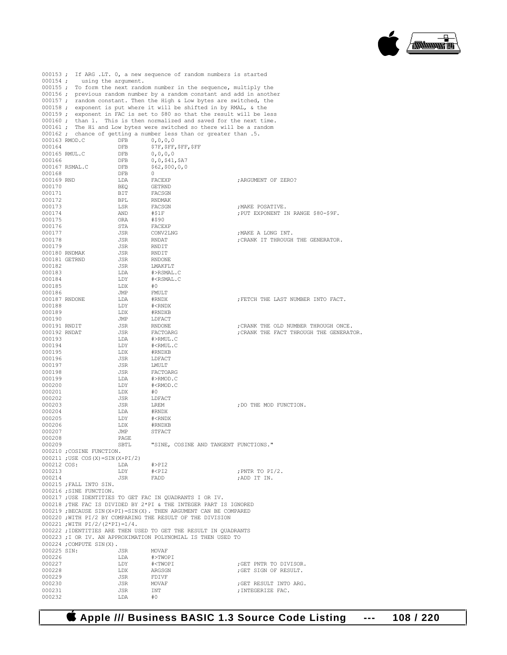

|                         |                                  |            | 000153; If ARG .LT. 0, a new sequence of random numbers is started      |                                                |
|-------------------------|----------------------------------|------------|-------------------------------------------------------------------------|------------------------------------------------|
|                         | 000154; using the argument.      |            |                                                                         |                                                |
|                         |                                  |            | 000155 ; To form the next random number in the sequence, multiply the   |                                                |
|                         |                                  |            | 000156 ; previous random number by a random constant and add in another |                                                |
|                         |                                  |            | 000157; random constant. Then the High & Low bytes are switched, the    |                                                |
|                         |                                  |            | 000158 ; exponent is put where it will be shifted in by RMAL, & the     |                                                |
|                         |                                  |            | 000159 ; exponent in FAC is set to \$80 so that the result will be less |                                                |
|                         |                                  |            | 000160; than 1. This is then normalized and saved for the next time.    |                                                |
|                         |                                  |            | 000161 ; The Hi and Low bytes were switched so there will be a random   |                                                |
|                         |                                  |            | 000162 ; chance of getting a number less than or greater than .5.       |                                                |
| 000163 RMOD.C           |                                  | DFB        | 0, 0, 0, 0                                                              |                                                |
| 000164<br>000165 RMUL.C |                                  | DFB        | \$7F, \$FF, \$FF, \$FF                                                  |                                                |
| 000166                  |                                  | DFB        | 0, 0, 0, 0<br>$0,0,$ \$41,\$A7                                          |                                                |
|                         | 000167 RSMAL.C                   | DFB<br>DFB | \$62, \$00, 0, 0                                                        |                                                |
| 000168                  |                                  | DFB        | $\circ$                                                                 |                                                |
| 000169 RND              |                                  | LDA        | FACEXP                                                                  | ; ARGUMENT OF ZERO?                            |
| 000170                  |                                  | BEQ        | GETRND                                                                  |                                                |
| 000171                  |                                  | BIT        | FACSGN                                                                  |                                                |
| 000172                  |                                  | BPL        | RNDMAK                                                                  |                                                |
| 000173                  |                                  | LSR        | FACSGN                                                                  | ;MAKE POSATIVE.                                |
| 000174                  |                                  | AND        | #\$1F                                                                   | ; PUT EXPONENT IN RANGE \$80-\$9F.             |
| 000175                  |                                  | ORA        | #\$90                                                                   |                                                |
| 000176                  |                                  | STA        | FACEXP                                                                  |                                                |
| 000177                  |                                  | JSR        | CONV2LNG                                                                | ;MAKE A LONG INT.                              |
| 000178                  |                                  | JSR        | RNDAT                                                                   | ; CRANK IT THROUGH THE GENERATOR.              |
| 000179                  |                                  | JSR        | RNDIT                                                                   |                                                |
|                         | 000180 RNDMAK                    | JSR        | RNDIT                                                                   |                                                |
| 000181 GETRND           |                                  | JSR        | RNDONE                                                                  |                                                |
| 000182                  |                                  | JSR        | LMAKFLT                                                                 |                                                |
| 000183                  |                                  | LDA        | #>RSMAL.C                                                               |                                                |
| 000184                  |                                  | LDY        | # <rsmal.c< td=""><td></td></rsmal.c<>                                  |                                                |
| 000185                  |                                  | LDX        | #0                                                                      |                                                |
| 000186<br>000187 RNDONE |                                  | JMP<br>LDA | FMULT<br>#RNDX                                                          |                                                |
| 000188                  |                                  | LDY        | # <rndx< td=""><td>; FETCH THE LAST NUMBER INTO FACT.</td></rndx<>      | ; FETCH THE LAST NUMBER INTO FACT.             |
| 000189                  |                                  | LDX        | #RNDXB                                                                  |                                                |
| 000190                  |                                  | JMP        | LDFACT                                                                  |                                                |
| 000191 RNDIT            |                                  | JSR        | RNDONE                                                                  | ; CRANK THE OLD NUMBER THROUGH ONCE.           |
| 000192 RNDAT            |                                  | JSR        | FACTOARG                                                                | ; CRANK THE FACT THROUGH THE GENERATOR.        |
| 000193                  |                                  | LDA        | #>RMUL.C                                                                |                                                |
| 000194                  |                                  | LDY        | # <rmul.c< td=""><td></td></rmul.c<>                                    |                                                |
| 000195                  |                                  | LDX        | #RNDXB                                                                  |                                                |
| 000196                  |                                  | JSR        | LDFACT                                                                  |                                                |
| 000197                  |                                  | JSR        | LMULT                                                                   |                                                |
| 000198                  |                                  | JSR        | FACTOARG                                                                |                                                |
| 000199                  |                                  | LDA        | #>RMOD.C                                                                |                                                |
| 000200                  |                                  | LDY        | # <rmod.c< td=""><td></td></rmod.c<>                                    |                                                |
| 000201                  |                                  | LDX        | #0                                                                      |                                                |
| 000202                  |                                  | JSR        | LDFACT                                                                  |                                                |
| 000203                  |                                  | JSR        | LREM                                                                    | ; DO THE MOD FUNCTION.                         |
| 000204                  |                                  | LDA        | #RNDX                                                                   |                                                |
| 000205                  |                                  | LDY        | # <rndx< td=""><td></td></rndx<>                                        |                                                |
| 000206<br>000207        |                                  | LDX<br>JMP | #RNDXB<br>STFACT                                                        |                                                |
| 000208                  |                                  | PAGE       |                                                                         |                                                |
| 000209                  |                                  | SBTL       | "SINE, COSINE AND TANGENT FUNCTIONS."                                   |                                                |
|                         | 000210 ; COSINE FUNCTION.        |            |                                                                         |                                                |
|                         | 000211 ; USE COS(X)=SIN(X+PI/2)  |            |                                                                         |                                                |
| 000212 COS:             |                                  | LDA        | $#$ >PI2                                                                |                                                |
| 000213                  |                                  | LDY        | $# <$ PI $2$                                                            | ; PNTR TO $PI/2$ .                             |
| 000214                  |                                  | JSR        | FADD                                                                    | ;ADD IT IN.                                    |
|                         | 000215 ; FALL INTO SIN.          |            |                                                                         |                                                |
|                         | 000216 ; SINE FUNCTION.          |            |                                                                         |                                                |
|                         |                                  |            | 000217 ; USE IDENTITIES TO GET FAC IN QUADRANTS I OR IV.                |                                                |
|                         |                                  |            | 000218 ; THE FAC IS DIVIDED BY 2*PI & THE INTEGER PART IS IGNORED       |                                                |
|                         |                                  |            | 000219 ; BECAUSE SIN (X+PI)=SIN (X). THEN ARGUMENT CAN BE COMPARED      |                                                |
|                         |                                  |            | 000220 ; WITH PI/2 BY COMPARING THE RESULT OF THE DIVISION              |                                                |
|                         | $000221$ ; WITH PI/2/(2*PI)=1/4. |            |                                                                         |                                                |
|                         |                                  |            | 000222 ; IDENTITIES ARE THEN USED TO GET THE RESULT IN QUADRANTS        |                                                |
|                         |                                  |            | 000223 ; I OR IV. AN APPROXIMATION POLYNOMIAL IS THEN USED TO           |                                                |
|                         | 000224; COMPUTE SIN(X).          |            |                                                                         |                                                |
| 000225 SIN:             |                                  | JSR        | MOVAF                                                                   |                                                |
| 000226<br>000227        |                                  | LDA<br>LDY | #>TWOPI<br># <twopi< td=""><td></td></twopi<>                           |                                                |
| 000228                  |                                  | LDX        | ARGSGN                                                                  | ;GET PNTR TO DIVISOR.<br>; GET SIGN OF RESULT. |
| 000229                  |                                  | JSR        | FDIVF                                                                   |                                                |
| 000230                  |                                  | JSR        | MOVAF                                                                   | ; GET RESULT INTO ARG.                         |
| 000231                  |                                  | JSR        | INT                                                                     | ; INTEGERIZE FAC.                              |
| 000232                  |                                  | LDA        | #0                                                                      |                                                |
|                         |                                  |            |                                                                         |                                                |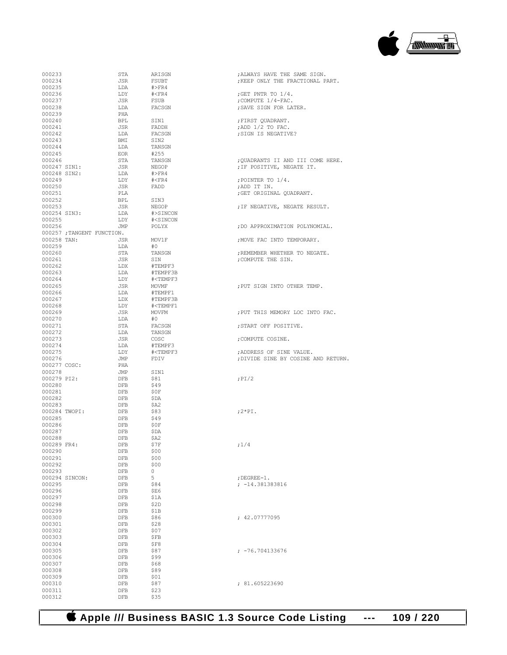

| 000233       |                | STA                       | ARISGN                                                        | ; ALWAYS HAVE THE SAME SIGN.        |
|--------------|----------------|---------------------------|---------------------------------------------------------------|-------------------------------------|
| 000234       |                | JSR                       | FSUBT                                                         | ; KEEP ONLY THE FRACTIONAL PART.    |
| 000235       |                | LDA                       | $\#$ >FR4                                                     |                                     |
|              |                |                           |                                                               |                                     |
| 000236       |                | LDY                       | # <fr4< td=""><td>; GET PNTR TO <math>1/4</math>.</td></fr4<> | ; GET PNTR TO $1/4$ .               |
| 000237       |                | JSR                       | FSUB                                                          | ; COMPUTE $1/4$ -FAC.               |
| 000238       |                | LDA                       | FACSGN                                                        | ; SAVE SIGN FOR LATER.              |
| 000239       |                | PHA                       |                                                               |                                     |
| 000240       |                | <b>BPL</b>                | SIN1                                                          | ; FIRST OUADRANT.                   |
| 000241       |                | JSR                       | FADDH                                                         | ; ADD 1/2 TO FAC.                   |
| 000242       |                | LDA                       | FACSGN                                                        | ; SIGN IS NEGATIVE?                 |
| 000243       |                | BMI                       | SIN2                                                          |                                     |
| 000244       |                | LDA                       | TANSGN                                                        |                                     |
| 000245       |                | EOR                       | #255                                                          |                                     |
|              |                |                           |                                                               |                                     |
| 000246       |                | STA                       | TANSGN                                                        | ; QUADRANTS II AND III COME HERE.   |
| 000247 SIN1: |                | JSR                       | NEGOP                                                         | ; IF POSITIVE, NEGATE IT.           |
| 000248 SIN2: |                | LDA                       | $\#$ >FR4                                                     |                                     |
| 000249       |                | LDY                       | # <fr4< td=""><td>; POINTER TO <math>1/4</math>.</td></fr4<>  | ; POINTER TO $1/4$ .                |
| 000250       |                | JSR                       | FADD                                                          | ;ADD IT IN.                         |
| 000251       |                | PLA                       |                                                               | ; GET ORIGINAL QUADRANT.            |
| 000252       |                | <b>BPL</b>                | SIN3                                                          |                                     |
| 000253       |                | JSR                       | NEGOP                                                         | ; IF NEGATIVE, NEGATE RESULT.       |
| 000254 SIN3: |                | LDA                       | #>SINCON                                                      |                                     |
| 000255       |                | LDY                       | # <sincon< td=""><td></td></sincon<>                          |                                     |
| 000256       |                | JMP                       | POLYX                                                         | ; DO APPROXIMATION POLYNOMIAL.      |
|              |                |                           |                                                               |                                     |
|              |                | 000257; TANGENT FUNCTION. |                                                               |                                     |
| 000258 TAN:  |                | JSR                       | MOV1F                                                         | ; MOVE FAC INTO TEMPORARY.          |
| 000259       |                | LDA                       | #O                                                            |                                     |
| 000260       |                | STA                       | TANSGN                                                        | ; REMEMBER WHETHER TO NEGATE.       |
| 000261       |                | JSR                       | SIN                                                           | : COMPUTE THE SIN.                  |
| 000262       |                | LDX                       | #TEMPF3                                                       |                                     |
| 000263       |                | LDA                       | #TEMPF3B                                                      |                                     |
| 000264       |                | LDY                       | # <tempf3< td=""><td></td></tempf3<>                          |                                     |
| 000265       |                | JSR                       | MOVMF                                                         | ; PUT SIGN INTO OTHER TEMP.         |
| 000266       |                | LDA                       | #TEMPF1                                                       |                                     |
| 000267       |                |                           |                                                               |                                     |
|              |                | LDX                       | #TEMPF3B                                                      |                                     |
| 000268       |                | LDY                       | # <tempf1< td=""><td></td></tempf1<>                          |                                     |
| 000269       |                | JSR                       | MOVFM                                                         | ; PUT THIS MEMORY LOC INTO FAC.     |
| 000270       |                | LDA                       | #0                                                            |                                     |
| 000271       |                | STA                       | FACSGN                                                        | ; START OFF POSITIVE.               |
| 000272       |                | LDA                       | TANSGN                                                        |                                     |
| 000273       |                | JSR                       | COSC                                                          | ; COMPUTE COSINE.                   |
| 000274       |                | LDA                       | #TEMPF3                                                       |                                     |
| 000275       |                | LDY                       | # <tempf3< td=""><td>; ADDRESS OF SINE VALUE.</td></tempf3<>  | ; ADDRESS OF SINE VALUE.            |
| 000276       |                | JMP                       | FDIV                                                          | ; DIVIDE SINE BY COSINE AND RETURN. |
|              | 000277 COSC:   | PHA                       |                                                               |                                     |
| 000278       |                | JMP                       |                                                               |                                     |
|              |                |                           | SIN1                                                          |                                     |
| 000279 PI2:  |                | DFB                       | \$81                                                          | $;$ PI $/2$                         |
| 000280       |                | DFB                       | \$49                                                          |                                     |
| 000281       |                | DFB                       | \$0F                                                          |                                     |
| 000282       |                | DFB                       | \$DA                                                          |                                     |
| 000283       |                | DFB                       | \$A2                                                          |                                     |
|              | 000284 TWOPI:  | DFB                       | \$83                                                          | $;2*PI.$                            |
| 000285       |                | DFB                       | \$49                                                          |                                     |
| 000286       |                | DFB                       | \$0F                                                          |                                     |
| 000287       |                | DFB                       | \$DA                                                          |                                     |
| 000288       |                | DFB                       | \$A2                                                          |                                     |
| 000289 FR4:  |                | DFB                       | \$7F                                                          | ;1/4                                |
| 000290       |                | DFB                       | \$00                                                          |                                     |
|              |                |                           |                                                               |                                     |
| 000291       |                | DFB                       | \$00                                                          |                                     |
| 000292       |                | DFB                       | \$00                                                          |                                     |
| 000293       |                | DFB                       | 0                                                             |                                     |
|              | 000294 SINCON: | DFB                       | 5                                                             | $;$ DEGREE-1.                       |
| 000295       |                | DFB                       | \$84                                                          | $; -14.381383816$                   |
| 000296       |                | DFB                       | \$E6                                                          |                                     |
| 000297       |                | DFB                       | \$1A                                                          |                                     |
| 000298       |                | DFB                       | \$2D                                                          |                                     |
| 000299       |                | DFB                       | \$1B                                                          |                                     |
| 000300       |                | DFB                       | \$86                                                          | : 42.07777095                       |
| 000301       |                | DFB                       | \$28                                                          |                                     |
|              |                |                           |                                                               |                                     |
| 000302       |                | DFB                       | \$07                                                          |                                     |
| 000303       |                | DFB                       | \$FB                                                          |                                     |
| 000304       |                | DFB                       | \$F8                                                          |                                     |
| 000305       |                | DFB                       | \$87                                                          | ; -76.704133676                     |
| 000306       |                | DFB                       | \$99                                                          |                                     |
| 000307       |                | DFB                       | \$68                                                          |                                     |
| 000308       |                | DFB                       | \$89                                                          |                                     |
| 000309       |                | DFB                       | \$01                                                          |                                     |
| 000310       |                | DFB                       | \$87                                                          | ; 81.605223690                      |
| 000311       |                | DFB                       | \$23                                                          |                                     |
|              |                |                           |                                                               |                                     |
| 000312       |                | DFB                       | \$35                                                          |                                     |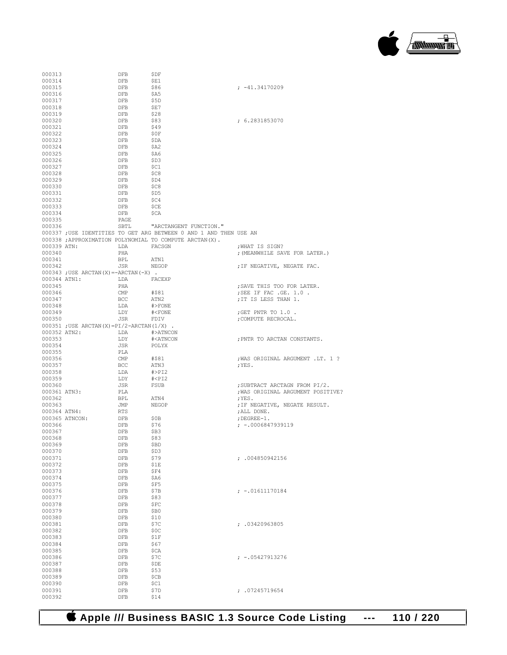

| 000313           |                                                 | DFB                   | ŞDF                                                                |                                                       |
|------------------|-------------------------------------------------|-----------------------|--------------------------------------------------------------------|-------------------------------------------------------|
| 000314           |                                                 | DFB                   | SE1                                                                |                                                       |
| 000315           |                                                 | DFB                   | \$86                                                               | $: -41.34170209$                                      |
| 000316<br>000317 |                                                 | DFB<br>DFB            | \$A5<br>\$5D                                                       |                                                       |
| 000318           |                                                 | DFB                   | ŞE7                                                                |                                                       |
| 000319           |                                                 | DFB                   | \$28                                                               |                                                       |
| 000320           |                                                 | DFB                   | \$83                                                               | : 6.2831853070                                        |
| 000321           |                                                 | DFB                   | \$49                                                               |                                                       |
| 000322           |                                                 | DFB                   | \$0F                                                               |                                                       |
| 000323           |                                                 | DFB                   | ŞDA                                                                |                                                       |
| 000324           |                                                 | DFB                   | \$A2                                                               |                                                       |
| 000325           |                                                 | DFB                   | \$A6                                                               |                                                       |
| 000326<br>000327 |                                                 | DFB<br>DFB            | \$D3<br>\$C1                                                       |                                                       |
| 000328           |                                                 | DFB                   | \$C8                                                               |                                                       |
| 000329           |                                                 | DFB                   | \$D4                                                               |                                                       |
| 000330           |                                                 | DFB                   | SC8                                                                |                                                       |
| 000331           |                                                 | DFB                   | \$D5                                                               |                                                       |
| 000332           |                                                 | DFB                   | -SC4                                                               |                                                       |
| 000333           |                                                 | DFB                   | \$CE                                                               |                                                       |
| 000334           |                                                 | DFB                   | \$CA                                                               |                                                       |
| 000335<br>000336 |                                                 | PAGE                  | SBTL "ARCTANGENT FUNCTION."                                        |                                                       |
|                  |                                                 |                       | 000337 ; USE IDENTITIES TO GET ARG BETWEEN 0 AND 1 AND THEN USE AN |                                                       |
|                  |                                                 |                       | 000338 ; APPROXIMATION POLYNOMIAL TO COMPUTE ARCTAN(X).            |                                                       |
| 000339 ATN:      |                                                 | LDA                   | FACSGN                                                             | ; WHAT IS SIGN?                                       |
| 000340           |                                                 | PHA                   |                                                                    | ; (MEANWHILE SAVE FOR LATER.)                         |
| 000341           |                                                 | <b>BPL</b>            | ATN1                                                               |                                                       |
| 000342           |                                                 | JSR                   | NEGOP                                                              | ; IF NEGATIVE, NEGATE FAC.                            |
|                  | $000343$ ; USE ARCTAN $(X) = -$ ARCTAN $(-X)$ . |                       |                                                                    |                                                       |
| 000344 ATN1:     |                                                 | LDA                   | FACEXP                                                             |                                                       |
| 000345<br>000346 |                                                 | PHA<br>$\mathsf{CMP}$ | #\$81                                                              | ; SAVE THIS TOO FOR LATER.<br>; SEE IF FAC . GE. 1.0. |
| 000347           |                                                 | <b>BCC</b>            | ATN2                                                               | ; IT IS LESS THAN 1.                                  |
| 000348           |                                                 | LDA                   | #>FONE                                                             |                                                       |
| 000349           |                                                 | LDY                   | $\text{\#$                                                         | ; GET PNTR TO $1.0$ .                                 |
| 000350           |                                                 | JSR                   | FDIV                                                               | ; COMPUTE RECROCAL.                                   |
|                  | $000351$ ; USE ARCTAN(X)=PI/2-ARCTAN(1/X).      |                       |                                                                    |                                                       |
| 000352 ATN2:     |                                                 | LDA #>ATNCON          |                                                                    |                                                       |
| 000353           |                                                 | LDY                   | # <atncon< td=""><td>; PNTR TO ARCTAN CONSTANTS.</td></atncon<>    | ; PNTR TO ARCTAN CONSTANTS.                           |
| 000354<br>000355 |                                                 | JSR<br>PLA            | POLYX                                                              |                                                       |
| 000356           |                                                 | CMP                   | #\$81                                                              | WAS ORIGINAL ARGUMENT .LT. 1 ?                        |
| 000357           |                                                 | BCC                   | ATN3                                                               | ;YES.                                                 |
| 000358           |                                                 | LDA                   | #>PI2                                                              |                                                       |
| 000359           |                                                 | LDY                   | # <pi2< td=""><td></td></pi2<>                                     |                                                       |
| 000360           |                                                 | JSR                   | FSUB                                                               | ; SUBTRACT ARCTAGN FROM PI/2.                         |
| 000361 ATN3:     |                                                 | PLA                   |                                                                    | ; WAS ORIGINAL ARGUMENT POSITIVE?                     |
| 000362<br>000363 |                                                 | BPL                   | ATN4                                                               | ;YES.                                                 |
| 000364 ATN4:     |                                                 | JMP<br>RTS            | NEGOP                                                              | ; IF NEGATIVE, NEGATE RESULT.<br>; ALL DONE.          |
|                  | 000365 ATNCON:                                  | DFB                   | Ş0B                                                                | $;$ DEGREE-1.                                         |
| 000366           |                                                 | DFB                   | \$76                                                               | $: -0006847939119$                                    |
| 000367           |                                                 | DFB                   | \$B3                                                               |                                                       |
| 000368           |                                                 | DFB                   | \$83                                                               |                                                       |
| 000369           |                                                 | DFB                   | \$BD                                                               |                                                       |
| 000370           |                                                 | DFB                   | \$D3                                                               |                                                       |
| 000371<br>000372 |                                                 | DFB<br>DFB            | \$79<br>\$1E                                                       | : .004850942156                                       |
| 000373           |                                                 | DFB                   | \$F4                                                               |                                                       |
| 000374           |                                                 | DFB                   | \$A6                                                               |                                                       |
| 000375           |                                                 | DFB                   | \$F5                                                               |                                                       |
| 000376           |                                                 | DFB                   | \$7B                                                               | $: -.01611170184$                                     |
| 000377           |                                                 | DFB                   | \$83                                                               |                                                       |
| 000378           |                                                 | DFB                   | \$FC                                                               |                                                       |
| 000379           |                                                 | DFB                   | \$B0                                                               |                                                       |
| 000380<br>000381 |                                                 | DFB<br>DFB            | \$10<br>\$7C                                                       | : .03420963805                                        |
| 000382           |                                                 | DFB                   | \$0c                                                               |                                                       |
| 000383           |                                                 | DFB                   | \$1F                                                               |                                                       |
| 000384           |                                                 | DFB                   | \$67                                                               |                                                       |
| 000385           |                                                 | DFB                   | \$CA                                                               |                                                       |
| 000386           |                                                 | DFB                   | \$7C                                                               | $: -05427913276$                                      |
| 000387           |                                                 | DFB                   | \$DE                                                               |                                                       |
| 000388           |                                                 | DFB                   | \$53                                                               |                                                       |
| 000389<br>000390 |                                                 | DFB<br>DFB            | \$CB<br>\$C1                                                       |                                                       |
| 000391           |                                                 | DFB                   | \$7D                                                               | : .07245719654                                        |
| 000392           |                                                 | DFB                   | \$14                                                               |                                                       |
|                  |                                                 |                       |                                                                    |                                                       |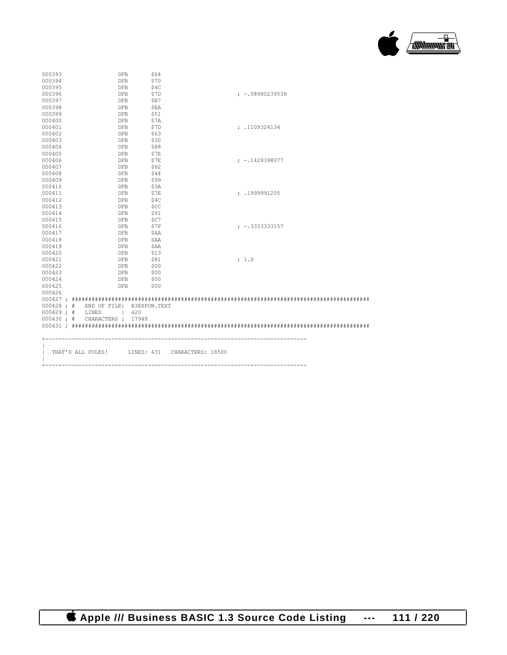

| 000393 | DFB                                  | \$64       |                                                |
|--------|--------------------------------------|------------|------------------------------------------------|
| 000394 | <b>DFB</b>                           | \$70       |                                                |
| 000395 | DFB                                  | \$4C       |                                                |
| 000396 | <b>DFB</b>                           | \$7D       | $: -08980239538$                               |
|        |                                      |            |                                                |
| 000397 | DFB                                  | SB7        |                                                |
| 000398 | DFB                                  | <b>SEA</b> |                                                |
| 000399 | DFB                                  | \$51       |                                                |
| 000400 | DFB                                  | \$7A       |                                                |
| 000401 | DFB                                  | \$7D       | : .1109324134                                  |
| 000402 | DFB                                  | - \$63     |                                                |
| 000403 | DFB                                  | \$30       |                                                |
| 000404 | DFB                                  | \$88       |                                                |
| 000405 | <b>DFB</b>                           | \$7E       |                                                |
| 000406 | <b>DFB</b>                           | \$7E       | $: -1428398077$                                |
| 000407 | DFB                                  | \$92       |                                                |
| 000408 | DFB                                  | \$44       |                                                |
| 000409 | DFB                                  | \$99       |                                                |
| 000410 | DFB                                  | \$3A       |                                                |
| 000411 | DFB                                  | \$7E       | : .1999991205                                  |
| 000412 | <b>DFB</b>                           | S4C        |                                                |
| 000413 | DFB                                  | - \$CC     |                                                |
| 000414 | DFB                                  | \$91       |                                                |
| 000415 | DFB                                  | \$C7       |                                                |
| 000416 | DFB                                  | - \$7F     | $: -13333333157$                               |
| 000417 | DFB                                  | \$AA       |                                                |
| 000418 | <b>DFB</b>                           | SAA        |                                                |
| 000419 | DFB                                  | \$AA       |                                                |
| 000420 | DFB                                  | \$13       |                                                |
| 000421 | DFB                                  | \$81       | : 1.0                                          |
| 000422 | DFB                                  | - \$00     |                                                |
| 000423 | DFB                                  | - \$00     |                                                |
| 000424 | <b>DFB</b>                           | \$00       |                                                |
| 000425 | DFB                                  | \$00       |                                                |
| 000426 |                                      |            |                                                |
|        |                                      |            |                                                |
|        | 000428 ; # END OF FILE: B3EXPON.TEXT |            |                                                |
|        | $000429$ ; # LINES : 420             |            |                                                |
|        | 000430 ; # CHARACTERS : 17948        |            |                                                |
|        |                                      |            |                                                |
|        |                                      |            |                                                |
|        |                                      |            |                                                |
|        |                                      |            |                                                |
|        |                                      |            | THAT'S ALL FOLKS! LINES: 431 CHARACTERS: 18500 |
|        |                                      |            |                                                |
|        |                                      |            |                                                |
|        |                                      |            |                                                |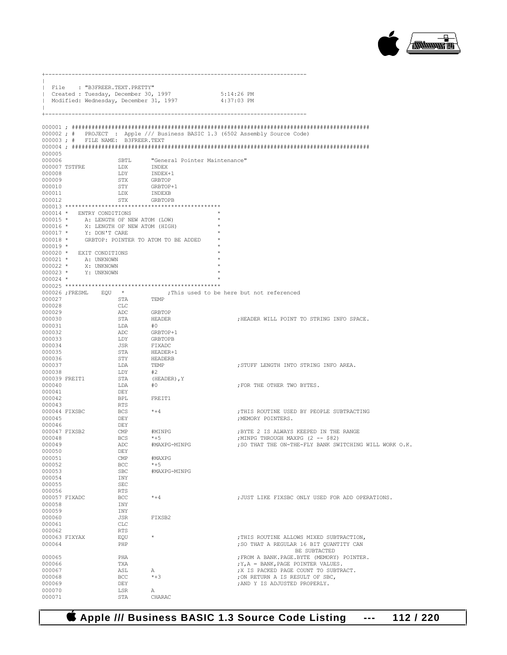

|                          | File : "B3FREER.TEXT.PRETTY"                                                                                                                              |                                                                                                                                                      |                                                                                                        |                                                                                             |
|--------------------------|-----------------------------------------------------------------------------------------------------------------------------------------------------------|------------------------------------------------------------------------------------------------------------------------------------------------------|--------------------------------------------------------------------------------------------------------|---------------------------------------------------------------------------------------------|
|                          |                                                                                                                                                           |                                                                                                                                                      |                                                                                                        |                                                                                             |
|                          |                                                                                                                                                           |                                                                                                                                                      | Created : Tuesday, December 30, 1997 5:14:26 PM<br>  Modified: Wednesday, December 31, 1997 4:37:03 PM |                                                                                             |
|                          |                                                                                                                                                           |                                                                                                                                                      |                                                                                                        |                                                                                             |
|                          |                                                                                                                                                           |                                                                                                                                                      |                                                                                                        |                                                                                             |
|                          |                                                                                                                                                           |                                                                                                                                                      |                                                                                                        |                                                                                             |
|                          |                                                                                                                                                           |                                                                                                                                                      |                                                                                                        | 000002; # PROJECT : Apple /// Business BASIC 1.3 (6502 Assembly Source Code)                |
|                          | 000003; # FILE NAME: B3FREER.TEXT                                                                                                                         |                                                                                                                                                      |                                                                                                        |                                                                                             |
| 000005                   |                                                                                                                                                           |                                                                                                                                                      |                                                                                                        |                                                                                             |
| 000006                   |                                                                                                                                                           | SBTL                                                                                                                                                 | "General Pointer Maintenance"                                                                          |                                                                                             |
|                          | 000007 TSTFRE                                                                                                                                             | LDX                                                                                                                                                  | INDEX                                                                                                  |                                                                                             |
| 000008<br>000009         |                                                                                                                                                           | LDY INDEX+1                                                                                                                                          | GRBTOP                                                                                                 |                                                                                             |
| 000010                   |                                                                                                                                                           |                                                                                                                                                      | GRBTOP+1                                                                                               |                                                                                             |
| 000011                   |                                                                                                                                                           | STX<br>STY<br>LDX                                                                                                                                    | INDEXB                                                                                                 |                                                                                             |
| 000012                   |                                                                                                                                                           | STX                                                                                                                                                  | GRBTOPB                                                                                                |                                                                                             |
|                          | 000014 * ENTRY CONDITIONS                                                                                                                                 |                                                                                                                                                      |                                                                                                        |                                                                                             |
|                          | 000015 * A: LENGTH OF NEW ATOM (LOW)                                                                                                                      |                                                                                                                                                      |                                                                                                        |                                                                                             |
|                          | 000016 * X: LENGTH OF NEW ATOM (HIGH)<br>000017 * Y: DON'T CARE                                                                                           |                                                                                                                                                      |                                                                                                        |                                                                                             |
|                          |                                                                                                                                                           |                                                                                                                                                      |                                                                                                        |                                                                                             |
| $000018$ *<br>$000019$ * |                                                                                                                                                           |                                                                                                                                                      | GRBTOP: POINTER TO ATOM TO BE ADDED                                                                    |                                                                                             |
|                          | 000020 * EXIT CONDITIONS                                                                                                                                  |                                                                                                                                                      |                                                                                                        |                                                                                             |
|                          | 000021 * A: UNKNOWN                                                                                                                                       |                                                                                                                                                      |                                                                                                        |                                                                                             |
|                          | $\begin{array}{ccc} 000022 & \star & \qquad & \mathrm{X}\colon \text{ UNKNOWN} \\ 000023 & \star & \qquad & \mathrm{Y}\colon \text{ UNKNOWN} \end{array}$ |                                                                                                                                                      |                                                                                                        |                                                                                             |
| $000024$ *               |                                                                                                                                                           |                                                                                                                                                      |                                                                                                        |                                                                                             |
|                          |                                                                                                                                                           |                                                                                                                                                      |                                                                                                        |                                                                                             |
|                          |                                                                                                                                                           |                                                                                                                                                      |                                                                                                        | 000026 ;FRESML EQU $\star$ ;This used to be here but not referenced                         |
|                          | 000027                                                                                                                                                    | <b>STA</b>                                                                                                                                           | TEMP                                                                                                   |                                                                                             |
| 000028<br>000029         |                                                                                                                                                           | CLC                                                                                                                                                  |                                                                                                        |                                                                                             |
| 000030                   |                                                                                                                                                           |                                                                                                                                                      |                                                                                                        | ; HEADER WILL POINT TO STRING INFO SPACE.                                                   |
| 000031                   |                                                                                                                                                           |                                                                                                                                                      |                                                                                                        |                                                                                             |
| 000032                   |                                                                                                                                                           |                                                                                                                                                      | GRBTOP+1                                                                                               |                                                                                             |
| 000033<br>000034         |                                                                                                                                                           | CLC GRBTOP<br>ADC GRBTOP<br>STA HEADER<br>LDY GRBTOP+<br>LDY GRBTOP<br>JSR FIXADC<br>STA HEADER+<br>STY HEADER+<br>LDA TEMP<br>LDA TEMP<br>TOP<br>12 | GRBTOPB                                                                                                |                                                                                             |
| 000035                   |                                                                                                                                                           |                                                                                                                                                      | FIXADC<br>HEADER+1<br>HEADERB                                                                          |                                                                                             |
| 000036                   |                                                                                                                                                           |                                                                                                                                                      |                                                                                                        |                                                                                             |
| 000037                   |                                                                                                                                                           |                                                                                                                                                      |                                                                                                        | ; STUFF LENGTH INTO STRING INFO AREA.                                                       |
| 000038                   | 000039 FREIT1                                                                                                                                             | LDY                                                                                                                                                  | #2<br>(HEADER), Y                                                                                      |                                                                                             |
| 000040                   |                                                                                                                                                           | STA<br>LDA                                                                                                                                           | #O                                                                                                     | ; FOR THE OTHER TWO BYTES.                                                                  |
| 000041                   |                                                                                                                                                           | DEY                                                                                                                                                  |                                                                                                        |                                                                                             |
| 000042                   |                                                                                                                                                           | <b>BPL</b>                                                                                                                                           | FREIT1                                                                                                 |                                                                                             |
| 000043                   | 000044 FIXSBC                                                                                                                                             | RTS<br><b>BCS</b>                                                                                                                                    | $*+4$                                                                                                  | ; THIS ROUTINE USED BY PEOPLE SUBTRACTING                                                   |
| 000045                   |                                                                                                                                                           | DEY                                                                                                                                                  |                                                                                                        | ; MEMORY POINTERS.                                                                          |
| 000046                   |                                                                                                                                                           | DEY                                                                                                                                                  |                                                                                                        |                                                                                             |
|                          | 000047 FIXSB2                                                                                                                                             | $\mathbb{C}MP$                                                                                                                                       | #MINPG                                                                                                 | ; BYTE 2 IS ALWAYS KEEPED IN THE RANGE                                                      |
| 000048<br>000049         |                                                                                                                                                           | BCS<br>ADC                                                                                                                                           | $*+5$<br>#MAXPG-MINPG                                                                                  | ; MINPG THROUGH MAXPG (2 -- \$82)<br>; SO THAT THE ON-THE-FLY BANK SWITCHING WILL WORK O.K. |
| 000050                   |                                                                                                                                                           | DEY                                                                                                                                                  |                                                                                                        |                                                                                             |
| 000051                   |                                                                                                                                                           | $\mathsf{CMP}$                                                                                                                                       | #MAXPG                                                                                                 |                                                                                             |
| 000052<br>000053         |                                                                                                                                                           | BCC<br><b>SBC</b>                                                                                                                                    | $*+5$<br>#MAXPG-MINPG                                                                                  |                                                                                             |
| 000054                   |                                                                                                                                                           | INY                                                                                                                                                  |                                                                                                        |                                                                                             |
| 000055                   |                                                                                                                                                           | <b>SEC</b>                                                                                                                                           |                                                                                                        |                                                                                             |
| 000056                   |                                                                                                                                                           | <b>RTS</b>                                                                                                                                           |                                                                                                        |                                                                                             |
| 000058                   | 000057 FIXADC                                                                                                                                             | BCC<br>INY                                                                                                                                           | $* + 4$                                                                                                | ; JUST LIKE FIXSBC ONLY USED FOR ADD OPERATIONS.                                            |
| 000059                   |                                                                                                                                                           | INY                                                                                                                                                  |                                                                                                        |                                                                                             |
| 000060                   |                                                                                                                                                           | JSR                                                                                                                                                  | FIXSB2                                                                                                 |                                                                                             |
| 000061                   |                                                                                                                                                           | $_{\rm CLC}$                                                                                                                                         |                                                                                                        |                                                                                             |
| 000062                   | 000063 FIXYAX                                                                                                                                             | <b>RTS</b>                                                                                                                                           | $\star$                                                                                                | ; THIS ROUTINE ALLOWS MIXED SUBTRACTION,                                                    |
| 000064                   |                                                                                                                                                           | EQU<br>PHP                                                                                                                                           |                                                                                                        | ; SO THAT A REGULAR 16 BIT OUANTITY CAN                                                     |
|                          |                                                                                                                                                           |                                                                                                                                                      |                                                                                                        | BE SUBTACTED                                                                                |
| 000065<br>000066         |                                                                                                                                                           | PHA<br>TXA                                                                                                                                           |                                                                                                        | ; FROM A BANK. PAGE. BYTE (MEMORY) POINTER.<br>$; Y, A = BANK, PAGE POINTER VALUES.$        |
| 000067                   |                                                                                                                                                           | ASL                                                                                                                                                  | Α                                                                                                      | ; X IS PACKED PAGE COUNT TO SUBTRACT.                                                       |
| 000068                   |                                                                                                                                                           | BCC                                                                                                                                                  | $*+3$                                                                                                  | ; ON RETURN A IS RESULT OF SBC,                                                             |
| 000069<br>000070         |                                                                                                                                                           | DEY<br>LSR                                                                                                                                           | Α                                                                                                      | ; AND Y IS ADJUSTED PROPERLY.                                                               |
| 000071                   |                                                                                                                                                           | STA                                                                                                                                                  | CHARAC                                                                                                 |                                                                                             |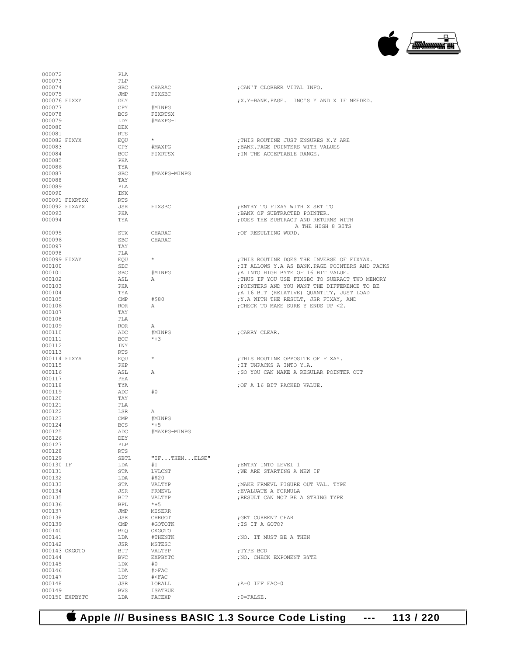

| 000072                  |                | PLA               |                     |                                                                                           |
|-------------------------|----------------|-------------------|---------------------|-------------------------------------------------------------------------------------------|
| 000073<br>000074        |                | PLP<br><b>SBC</b> | CHARAC              | ; CAN'T CLOBBER VITAL INFO.                                                               |
| 000075                  |                | JMP               | FIXSBC              |                                                                                           |
| 000076 FIXXY            |                | DEY               |                     | ; X. Y=BANK. PAGE. INC'S Y AND X IF NEEDED.                                               |
| 000077                  |                | CPY               | #MINPG              |                                                                                           |
| 000078<br>000079        |                | <b>BCS</b>        | FIXRTSX             |                                                                                           |
| 000080                  |                | LDY<br><b>DEX</b> | #MAXPG-1            |                                                                                           |
| 000081                  |                | RTS               |                     |                                                                                           |
| 000082 FIXYX            |                | EOU               | $\star$             | ; THIS ROUTINE JUST ENSURES X.Y ARE                                                       |
| 000083                  |                | CPY               | #MAXPG              | ; BANK. PAGE POINTERS WITH VALUES                                                         |
| 000084<br>000085        |                | <b>BCC</b><br>PHA | FIXRTSX             | ; IN THE ACCEPTABLE RANGE.                                                                |
| 000086                  |                | TYA               |                     |                                                                                           |
| 000087                  |                | <b>SBC</b>        | #MAXPG-MINPG        |                                                                                           |
| 000088                  |                | TAY               |                     |                                                                                           |
| 000089<br>000090        |                | PLA<br>INX        |                     |                                                                                           |
|                         | 000091 FIXRTSX | <b>RTS</b>        |                     |                                                                                           |
| 000092 FIXAYX           |                | JSR               | FIXSBC              | ; ENTRY TO FIXAY WITH X SET TO                                                            |
| 000093                  |                | PHA               |                     | ; BANK OF SUBTRACTED POINTER.                                                             |
| 000094                  |                | TYA               |                     | ; DOES THE SUBTRACT AND RETURNS WITH<br>A THE HIGH 8 BITS                                 |
| 000095                  |                | STX               | CHARAC              | ; OF RESULTING WORD.                                                                      |
| 000096                  |                | <b>SBC</b>        | CHARAC              |                                                                                           |
| 000097                  |                | TAY               |                     |                                                                                           |
| 000098<br>000099 FIXAY  |                | PLA<br>EOU        | $\star$             | : THIS ROUTINE DOES THE INVERSE OF FIXYAX.                                                |
| 000100                  |                | SEC               |                     | ; IT ALLOWS Y.A AS BANK. PAGE POINTERS AND PACKS                                          |
| 000101                  |                | <b>SBC</b>        | #MINPG              | ; A INTO HIGH BYTE OF 16 BIT VALUE.                                                       |
| 000102                  |                | ASL               | А                   | ; THUS IF YOU USE FIXSBC TO SUBRACT TWO MEMORY                                            |
| 000103<br>000104        |                | PHA<br>TYA        |                     | ; POINTERS AND YOU WANT THE DIFFERENCE TO BE<br>; A 16 BIT (RELATIVE) QUANTITY, JUST LOAD |
| 000105                  |                | CMP               | #\$80               | ; Y.A WITH THE RESULT, JSR FIXAY, AND                                                     |
| 000106                  |                | <b>ROR</b>        | Α                   | ; CHECK TO MAKE SURE Y ENDS UP <2.                                                        |
| 000107                  |                | TAY               |                     |                                                                                           |
| 000108<br>000109        |                | PLA<br><b>ROR</b> | А                   |                                                                                           |
| 000110                  |                | ADC               | #MINPG              | ; CARRY CLEAR.                                                                            |
| 000111                  |                | <b>BCC</b>        | $*+3$               |                                                                                           |
| 000112                  |                | INY               |                     |                                                                                           |
| 000113<br>000114 FIXYA  |                | RTS<br>EOU        | $^{\star}$          | ; THIS ROUTINE OPPOSITE OF FIXAY.                                                         |
| 000115                  |                | PHP               |                     | ; IT UNPACKS A INTO Y.A.                                                                  |
| 000116                  |                | ASL               | А                   | ; SO YOU CAN MAKE A REGULAR POINTER OUT                                                   |
| 000117                  |                | PHA               |                     |                                                                                           |
| 000118<br>000119        |                | TYA<br>ADC        | #0                  | ; OF A 16 BIT PACKED VALUE.                                                               |
| 000120                  |                | TAY               |                     |                                                                                           |
| 000121                  |                | PLA               |                     |                                                                                           |
| 000122                  |                | LSR               | А                   |                                                                                           |
| 000123<br>000124        |                | CMP<br><b>BCS</b> | #MINPG<br>$*+5$     |                                                                                           |
| 000125                  |                | ADC               | #MAXPG-MINPG        |                                                                                           |
| 000126                  |                | DEY               |                     |                                                                                           |
| 000127<br>000128        |                | PLP<br>RTS        |                     |                                                                                           |
| 000129                  |                | SBTL              | "IFTHENELSE"        |                                                                                           |
| 000130 IF               |                | LDA               | #1                  | ; ENTRY INTO LEVEL 1                                                                      |
| 000131                  |                | STA               | LVLCNT              | ; WE ARE STARTING A NEW IF                                                                |
| 000132<br>000133        |                | LDA<br>STA        | #\$20<br>VALTYP     | ; MAKE FRMEVL FIGURE OUT VAL. TYPE                                                        |
| 000134                  |                | JSR               | FRMEVL              | ; EVALUATE A FORMULA                                                                      |
| 000135                  |                | BIT               | VALTYP              | : RESULT CAN NOT BE A STRING TYPE                                                         |
| 000136                  |                | BPL               | $*+5$               |                                                                                           |
| 000137<br>000138        |                | JMP<br>JSR        | MISERR<br>CHRGOT    | : GET CURRENT CHAR                                                                        |
| 000139                  |                | $\mathsf{CMP}$    | #GOTOTK             | ; IS IT A GOTO?                                                                           |
| 000140                  |                | BEQ               | OKGOTO              |                                                                                           |
| 000141                  |                | LDA               | #THENTK             | ; NO. IT MUST BE A THEN                                                                   |
| 000142<br>000143 OKGOTO |                | JSR<br>BIT        | MSTESC<br>VALTYP    | ; TYPE BCD                                                                                |
| 000144                  |                | <b>BVC</b>        | <b>EXPBYTC</b>      | ; NO, CHECK EXPONENT BYTE                                                                 |
| 000145                  |                | LDX               | #0                  |                                                                                           |
| 000146                  |                | LDA               | $#$ >FAC            |                                                                                           |
| 000147<br>000148        |                | LDY<br>JSR        | $# <$ FAC<br>LORALL | ;A=0 IFF FAC=0                                                                            |
| 000149                  |                | BVS               | ISATRUE             |                                                                                           |
|                         | 000150 EXPBYTC | LDA               | FACEXP              | $;$ $0 =$ FALSE.                                                                          |
|                         |                |                   |                     |                                                                                           |

 **Apple /// Business BASIC 1.3 Source Code Listing --- 113 / 220**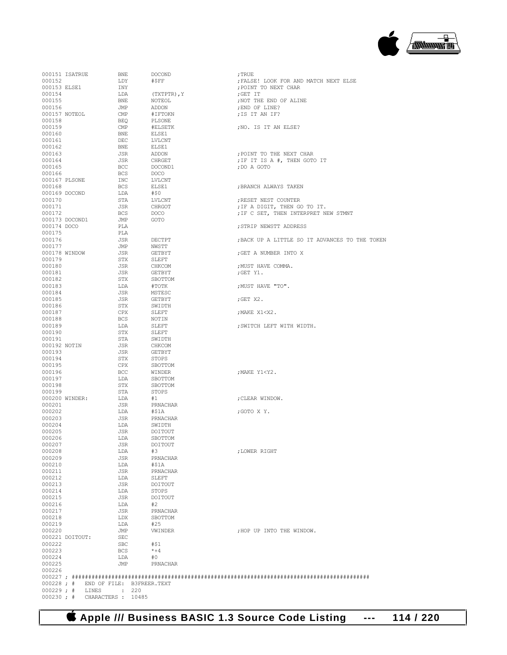

| 000177        |                                     | JMP                | NWSTT         |                               |
|---------------|-------------------------------------|--------------------|---------------|-------------------------------|
| 000178 WINDOW |                                     | JSR                | <b>GETBYT</b> | ; GET A NUMBER INTO X         |
| 000179        |                                     | STX                | SLEFT         |                               |
| 000180        |                                     | <b>JSR</b>         | CHKCOM        | ; MUST HAVE COMMA.            |
| 000181        |                                     | JSR                | GETBYT        | ;GET Y1.                      |
| 000182        |                                     | <b>STX</b>         | SBOTTOM       |                               |
| 000183        |                                     | LDA                | #TOTK         | ; MUST HAVE "TO".             |
| 000184        |                                     | <b>JSR</b>         | MSTESC        |                               |
| 000185        |                                     | JSR                | <b>GETBYT</b> | $;$ GET $X2$ .                |
| 000186        |                                     | STX                | SWIDTH        |                               |
| 000187        |                                     | <b>CPX</b>         | SLEFT         | ; MAKE X1 <x2.< td=""></x2.<> |
| 000188        |                                     | <b>BCS</b>         | NOTIN         |                               |
| 000189        |                                     | LDA                | SLEFT         | ; SWITCH LEFT WITH WIDTH.     |
| 000190        |                                     | STX                | SLEFT         |                               |
| 000191        |                                     | STA                | SWIDTH        |                               |
| 000192 NOTIN  |                                     | <b>JSR</b>         | CHKCOM        |                               |
| 000193        |                                     | JSR                | GETBYT        |                               |
|               |                                     |                    |               |                               |
| 000194        |                                     | STX                | STOPS         |                               |
| 000195        |                                     | <b>CPX</b>         | SBOTTOM       |                               |
| 000196        |                                     | BCC                | WINDER        | ; MAKE Y1 <y2.< td=""></y2.<> |
| 000197        |                                     | LDA                | SBOTTOM       |                               |
| 000198        |                                     | <b>STX</b>         | SBOTTOM       |                               |
| 000199        |                                     | STA                | <b>STOPS</b>  |                               |
|               | 000200 WINDER:                      | LDA                | #1            | ; CLEAR WINDOW.               |
| 000201        |                                     | <b>JSR</b>         | PRNACHAR      |                               |
| 000202        |                                     | LDA                | #\$1A         | ;GOTO X Y.                    |
| 000203        |                                     | <b>JSR</b>         | PRNACHAR      |                               |
| 000204        |                                     | LDA                | SWIDTH        |                               |
| 000205        |                                     | <b>JSR</b>         | DOITOUT       |                               |
| 000206        |                                     | LDA                | SBOTTOM       |                               |
| 000207        |                                     | <b>JSR</b>         | DOITOUT       |                               |
| 000208        |                                     | LDA                | #3            | ; LOWER RIGHT                 |
| 000209        |                                     | <b>JSR</b>         | PRNACHAR      |                               |
| 000210        |                                     | LDA                | #S1A          |                               |
| 000211        |                                     | JSR                | PRNACHAR      |                               |
| 000212        |                                     | LDA                | SLEFT         |                               |
| 000213        |                                     | <b>JSR</b>         | DOITOUT       |                               |
| 000214        |                                     | LDA                | STOPS         |                               |
| 000215        |                                     | <b>JSR</b>         | DOITOUT       |                               |
| 000216        |                                     | LDA                | #2            |                               |
| 000217        |                                     | <b>JSR</b>         | PRNACHAR      |                               |
|               |                                     |                    |               |                               |
| 000218        |                                     | LDX                | SBOTTOM       |                               |
| 000219        |                                     | LDA                | #25           |                               |
| 000220        |                                     | JMP                | VWINDER       | ; HOP UP INTO THE WINDOW.     |
|               | 000221 DOITOUT:                     | <b>SEC</b>         |               |                               |
| 000222        |                                     | <b>SBC</b>         | #S1           |                               |
| 000223        |                                     | <b>BCS</b>         | $*+4$         |                               |
| 000224        |                                     | LDA                | #0            |                               |
| 000225        |                                     | JMP                | PRNACHAR      |                               |
| 000226        |                                     |                    |               |                               |
|               |                                     |                    |               |                               |
|               | 000228; # END OF FILE: B3FREER.TEXT |                    |               |                               |
|               | $000229$ ; # LINES                  | $\div$ 220         |               |                               |
| $000230 :$ #  |                                     | CHARACTERS : 10485 |               |                               |
|               |                                     |                    |               |                               |

000159 CMP #ELSETK ;NO. IS IT AN ELSE?

 ${\tt ELSE1} \hspace{25pt} {\tt jBRANCH ALWAYS\ TAKEN}$ # ${\tt j}$ 

 ${\tt PLA}$  ;  ${\tt STRIP}$  NEWSTT ADDRESS  ${\tt PLA}$ 

BCS DOCO ;IF C SET, THEN INTERPRET NEW STMNT .TMP GOTO

DECTPT ;BACK UP A LITTLE SO IT ADVANCES TO THE TOKEN

000163 JSR ADDON ;POINT TO THE NEXT CHAR 000164 JSR CHRGET ;IF IT IS A #, THEN GOTO IT

000170 STA LVLCNT ;RESET NEST COUNTER 000171 JSR CHRGOT ;IF A DIGIT, THEN GO TO IT.

 $\begin{array}{cccc} 0.00154 & & & \text{LDA} & & \text{(TXTPTR) , Y} \\ 0.00155 & & & \text{BNE} & & \text{NOTEOL} \end{array}$ 

000158 BEQ PLSONE<br>000159 CMP #ELSETK

000162 BNE ELSE1<br>000163 JSR ADDON

000166 BCS DOCO<br>000167 PLSONE TNC LVLCNT 000167 PLSONE INC LVLCNT<br>000168 BCS ELSE1

000169 DOCOND LDA #\$0<br>000170 STA LVLCNT

DEC LVLCNT<br>BNE ELSE1

 $\begin{array}{ccccccc} 000165 &&&&\text{BCC} &&&\text{DOCOND1} \qquad &&&&\text{, DO A GOTO} \\ 000166 &&&&\text{BCS} &&&\text{DOCO} \end{array}$ 

000160 BNE <br>000161 DEC

000173 DOCOND1 JMP<br>000174 DOCO PLA

000175 PLA<br>000176 JSR

000151 ISATRUE BNE DOCOND ;TRUE 000152 LDY #\$FF ;FALSE! LOOK FOR AND MATCH NEXT ELSE 000153 ELSE1 INY ;POINT TO NEXT CHAR 000155 BNE NOTEOL ;NOT THE END OF ALINE 000156 JMP ADDON ;END OF LINE? 000157 NOTEOL CMP  $\# \text{IFTOKN}$  ; IS IT AN IF? 000158



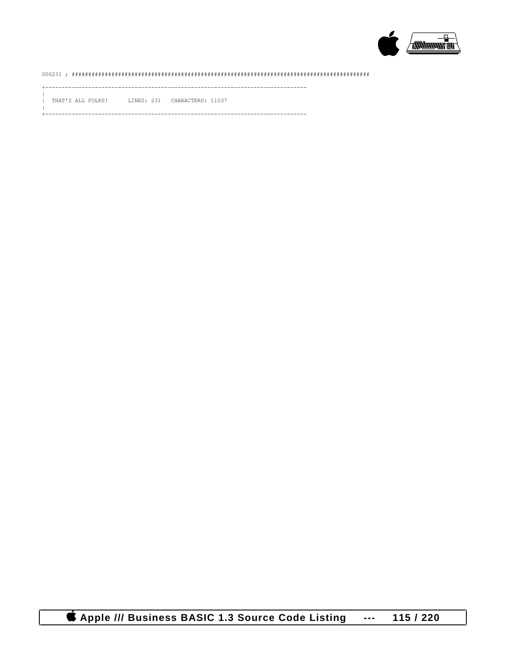

## 

\_\_\_\_\_\_\_\_\_\_\_\_\_\_\_\_\_

THAT'S ALL FOLKS! LINES: 231 CHARACTERS: 11037

-----------------------

**CApple /// Business BASIC 1.3 Source Code Listing** 115 / 220  $\,$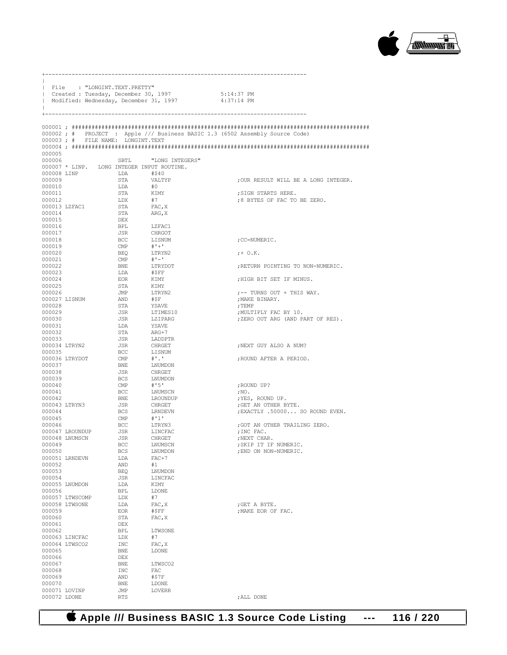

|                  | File : "LONGINT.TEXT.PRETTY"      |                              | Created : Tuesday, December 30, 1997<br>Modified: Wednesday, December 31, 1997 | 5:14:37 PM<br>4:37:14 PM                                                     |
|------------------|-----------------------------------|------------------------------|--------------------------------------------------------------------------------|------------------------------------------------------------------------------|
|                  |                                   |                              |                                                                                |                                                                              |
|                  | 000003; # FILE NAME: LONGINT.TEXT |                              |                                                                                | 000002; # PROJECT : Apple /// Business BASIC 1.3 (6502 Assembly Source Code) |
|                  |                                   |                              |                                                                                |                                                                              |
| 000005           |                                   |                              |                                                                                |                                                                              |
| 000006           |                                   |                              | SBTL "LONG INTEGERS"                                                           |                                                                              |
|                  | 000008 LINP                       | LDA                          | 000007 * LINP. LONG INTEGER INPUT ROUTINE.<br>#\$40                            |                                                                              |
| 000009           |                                   | STA                          | VALTYP                                                                         | ; OUR RESULT WILL BE A LONG INTEGER.                                         |
| 000010           |                                   | LDA                          | #0                                                                             |                                                                              |
| 000011           |                                   | STA                          | KIMY                                                                           | ; SIGN STARTS HERE.                                                          |
| 000012           | 000013 LZFAC1                     | LDX<br>STA                   | #7<br>FAC, X                                                                   | ;8 BYTES OF FAC TO BE ZERO.                                                  |
| 000014           |                                   | STA                          | ARG, X                                                                         |                                                                              |
| 000015           |                                   | DEX                          |                                                                                |                                                                              |
| 000016           |                                   | BPL                          | LZFAC1                                                                         |                                                                              |
| 000017           |                                   | JSR                          | CHRGOT                                                                         |                                                                              |
| 000018<br>000019 |                                   | <b>BCC</b><br>$\mathsf{CMP}$ | LISNUM<br>$# + +$                                                              | ;CC=NUMERIC.                                                                 |
| 000020           |                                   | BEQ                          | LTRYN2                                                                         | $: + \circ$ .K.                                                              |
| 000021           |                                   | CMP                          | $# -$                                                                          |                                                                              |
| 000022           |                                   | BNE                          | LTRYDOT                                                                        | ; RETURN POINTING TO NON-NUMERIC.                                            |
| 000023<br>000024 |                                   | LDA<br>EOR                   | #\$FF<br>KIMY                                                                  | ; HIGH BIT SET IF MINUS.                                                     |
| 000025           |                                   | STA                          | KIMY                                                                           |                                                                              |
| 000026           |                                   | JMP                          | LTRYN2                                                                         | $:$ -- TURNS OUT + THIS WAY.                                                 |
|                  | 000027 LISNUM                     | AND                          | #SF                                                                            | ; MAKE BINARY.                                                               |
| 000028<br>000029 |                                   | STA<br>JSR                   | YSAVE<br>LTIMES10                                                              | ; TEMP<br>; MULTIPLY FAC BY 10.                                              |
| 000030           |                                   | JSR                          | LZIPARG                                                                        | ; ZERO OUT ARG (AND PART OF RES).                                            |
| 000031           |                                   | LDA                          | YSAVE                                                                          |                                                                              |
| 000032           |                                   | STA                          | ARG+7                                                                          |                                                                              |
| 000033           |                                   | JSR                          | LADDPTR                                                                        |                                                                              |
| 000035           | 000034 LTRYN2                     | JSR<br>BCC                   | CHRGET<br>LISNUM                                                               | ; NEXT GUY ALSO A NUM?                                                       |
|                  | 000036 LTRYDOT                    | $\mathbb{CMP}$               | $\pm$ .                                                                        | ; ROUND AFTER A PERIOD.                                                      |
| 000037           |                                   | BNE                          | LNUMDON                                                                        |                                                                              |
| 000038           |                                   | JSR                          | CHRGET                                                                         |                                                                              |
| 000039<br>000040 |                                   | BCS<br>CMP                   | LNUMDON<br>#'5'                                                                | ; ROUND UP?                                                                  |
| 000041           |                                   | BCC                          | LNUMSCN                                                                        | ;NO.                                                                         |
| 000042           |                                   | BNE                          | LROUNDUP                                                                       | ; YES, ROUND UP.                                                             |
|                  | 000043 LTRYN3                     | JSR                          | CHRGET                                                                         | ; GET AN OTHER BYTE.                                                         |
| 000044<br>000045 |                                   | BCS<br>CMP                   | LRNDEVN<br>#'1'                                                                | ; EXACTLY .50000 SO ROUND EVEN.                                              |
| 000046           |                                   | BCC                          | LTRYN3                                                                         | ; GOT AN OTHER TRAILING ZERO.                                                |
|                  | 000047 LROUNDUP                   | JSR                          | LINCFAC                                                                        | ; INC FAC.                                                                   |
|                  | 000048 LNUMSCN                    | JSR                          | CHRGET                                                                         | ; NEXT CHAR.                                                                 |
| 000049<br>000050 |                                   | <b>BCC</b><br>BCS            | LNUMSCN<br>LNUMDON                                                             | ; SKIP IT IF NUMERIC.<br>; END ON NON-NUMERIC.                               |
|                  | 000051 LRNDEVN                    | LDA                          | $FAC+7$                                                                        |                                                                              |
| 000052           |                                   | AND                          | #1                                                                             |                                                                              |
| 000053           |                                   | BEQ                          | LNUMDON                                                                        |                                                                              |
| 000054           | 000055 LNUMDON                    | JSR<br>LDA                   | LINCFAC<br>KIMY                                                                |                                                                              |
| 000056           |                                   | BPL                          | LDONE                                                                          |                                                                              |
|                  | 000057 LTWSCOMP                   | LDX                          | #7                                                                             |                                                                              |
|                  | 000058 LTWSONE                    | LDA                          | FAC, X                                                                         | ; GET A BYTE.                                                                |
| 000059           |                                   | EOR                          | #\$FF                                                                          | ; MAKE EOR OF FAC.                                                           |
| 000060<br>000061 |                                   | STA<br>DEX                   | FAC, X                                                                         |                                                                              |
| 000062           |                                   | BPL                          | LTWSONE                                                                        |                                                                              |
|                  | 000063 LINCFAC                    | LDX                          | #7                                                                             |                                                                              |
|                  | 000064 LTWSCO2                    | INC                          | FAC, X                                                                         |                                                                              |
| 000065<br>000066 |                                   | BNE<br>DEX                   | LDONE                                                                          |                                                                              |
| 000067           |                                   | BNE                          | LTWSCO2                                                                        |                                                                              |
| 000068           |                                   | INC                          | FAC                                                                            |                                                                              |
| 000069           |                                   | AND                          | #\$7F                                                                          |                                                                              |
| 000070           | 000071 LOVINP                     | BNE<br>JMP                   | LDONE<br>LOVERR                                                                |                                                                              |
| 000072 LDONE     |                                   | <b>RTS</b>                   |                                                                                | ; ALL DONE                                                                   |

+-------------------------------------------------------------------------------

 **Apple /// Business BASIC 1.3 Source Code Listing --- 116 / 220**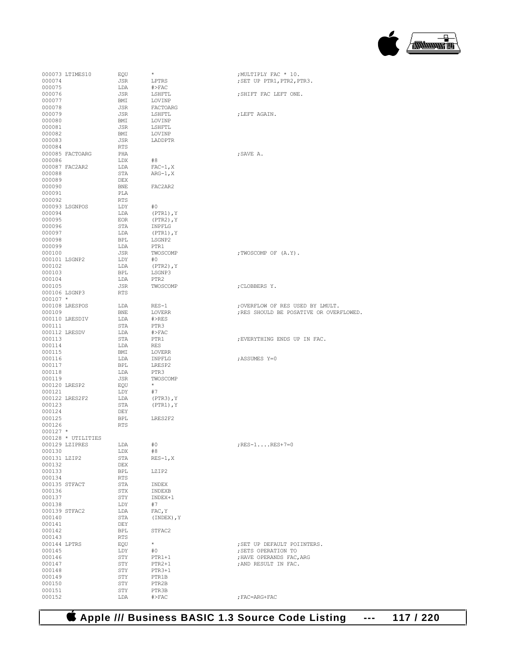

| 000073 LTIMES10    | EQU        | *              | ; MULTIPLY FAC * 10.                    |
|--------------------|------------|----------------|-----------------------------------------|
| 000074             | JSR        | LPTRS          | ; SET UP PTR1, PTR2, PTR3.              |
| 000075             | LDA        | $\#$ >FAC      |                                         |
| 000076             | JSR        |                |                                         |
|                    |            | LSHFTL         | ; SHIFT FAC LEFT ONE.                   |
| 000077             | BMI        | LOVINP         |                                         |
| 000078             | JSR        | FACTOARG       |                                         |
| 000079             | JSR        | LSHFTL         | ; LEFT AGAIN.                           |
| 000080             | BMI        | LOVINP         |                                         |
| 000081             | JSR        | LSHFTL         |                                         |
| 000082             | BMI        | LOVINP         |                                         |
|                    |            |                |                                         |
| 000083             | JSR        | LADDPTR        |                                         |
| 000084             | <b>RTS</b> |                |                                         |
| 000085 FACTOARG    | PHA        |                | ; SAVE A.                               |
| 000086             | LDX        | #8             |                                         |
| 000087 FAC2AR2     | LDA        | $FAC-1, X$     |                                         |
| 000088             | STA        | $ARG-1, X$     |                                         |
| 000089             | <b>DEX</b> |                |                                         |
|                    |            |                |                                         |
| 000090             | <b>BNE</b> | FAC2AR2        |                                         |
| 000091             | PLA        |                |                                         |
| 000092             | <b>RTS</b> |                |                                         |
| 000093 LSGNPOS     | LDY        | #0             |                                         |
| 000094             | LDA        | $(PTR1)$ , Y   |                                         |
| 000095             | EOR        | $(PTR2)$ , $Y$ |                                         |
|                    |            |                |                                         |
| 000096             | STA        | INPFLG         |                                         |
| 000097             | LDA        | $(PTR1)$ , $Y$ |                                         |
| 000098             | BPT.       | LSGNP2         |                                         |
| 000099             | LDA        | PTR1           |                                         |
| 000100             | JSR        | TWOSCOMP       | ; TWOSCOMP OF (A.Y).                    |
| 000101 LSGNP2      | LDY        | #0             |                                         |
|                    |            |                |                                         |
| 000102             | LDA        | $(PTR2)$ , $Y$ |                                         |
| 000103             | <b>BPL</b> | LSGNP3         |                                         |
| 000104             | LDA        | PTR2           |                                         |
| 000105             | JSR        | TWOSCOMP       | ; CLOBBERS Y.                           |
| 000106 LSGNP3      | RTS        |                |                                         |
| $000107$ *         |            |                |                                         |
|                    |            |                |                                         |
| 000108 LRESPOS     | LDA        | $RES-1$        | ; OVERFLOW OF RES USED BY LMULT.        |
| 000109             | <b>BNE</b> | LOVERR         | ; RES SHOULD BE POSATIVE OR OVERFLOWED. |
| 000110 LRESDIV     | LDA        | $#$ $>$ RES    |                                         |
| 000111             | STA        | PTR3           |                                         |
| 000112 LRESDV      | LDA        | $#$ >FAC       |                                         |
| 000113             | STA        | PTR1           | ; EVERYTHING ENDS UP IN FAC.            |
|                    | LDA        | RES            |                                         |
| 000114             |            |                |                                         |
| 000115             | BMI        | LOVERR         |                                         |
| 000116             | LDA        | INPFLG         | ; ASSUMES Y=0                           |
| 000117             | <b>BPL</b> | LRESP2         |                                         |
| 000118             | LDA        | PTR3           |                                         |
| 000119             | JSR        | TWOSCOMP       |                                         |
| 000120 LRESP2      | EQU        | $\star$        |                                         |
| 000121             | LDY        | #7             |                                         |
|                    |            |                |                                         |
| 000122 LRES2F2     | LDA        | $(PTR3)$ , $Y$ |                                         |
| 000123             | STA        | $(PTR1)$ , $Y$ |                                         |
| 000124             | DEY        |                |                                         |
| 000125             | <b>BPL</b> | LRES2F2        |                                         |
| 000126             | <b>RTS</b> |                |                                         |
| $000127$ *         |            |                |                                         |
|                    |            |                |                                         |
| 000128 * UTILITIES |            |                |                                         |
| 000129 LZIPRES     | LDA        | #0             | $;$ RES-1 RES+7=0                       |
| 000130             | LDX        | #8             |                                         |
| 000131 LZIP2       | STA        | $RES-1, X$     |                                         |
| 000132             | <b>DEX</b> |                |                                         |
| 000133             | BPL        | LZIP2          |                                         |
| 000134             | <b>RTS</b> |                |                                         |
| 000135 STFACT      |            |                |                                         |
|                    | STA        | INDEX          |                                         |
| 000136             | STX        | INDEXB         |                                         |
| 000137             | STY        | INDEX+1        |                                         |
| 000138             | LDY        | #7             |                                         |
| 000139 STFAC2      | LDA        | FAC, Y         |                                         |
| 000140             | STA        | $(INDEX)$ , Y  |                                         |
| 000141             | DEY        |                |                                         |
|                    |            |                |                                         |
| 000142             | BPL        | STFAC2         |                                         |
| 000143             | <b>RTS</b> |                |                                         |
| 000144 LPTRS       | EQU        | $\star$        | ; SET UP DEFAULT POIINTERS.             |
| 000145             | LDY        | #0             | ; SETS OPERATION TO                     |
| 000146             | STY        | $PTR1+1$       | ; HAVE OPERANDS FAC, ARG                |
| 000147             | STY        | $PTR2+1$       | ; AND RESULT IN FAC.                    |
|                    |            |                |                                         |
| 000148             | STY        | $PTR3+1$       |                                         |
| 000149             | STY        | PTR1B          |                                         |
| 000150             | STY        | PTR2B          |                                         |
| 000151             | STY        | PTR3B          |                                         |
| 000152             | LDA        | $#$ >FAC       | ; FAC=ARG+FAC                           |
|                    |            |                |                                         |

| ; SHIFT FAC LEFT ONE.                                                                                  |
|--------------------------------------------------------------------------------------------------------|
| ; LEFT AGAIN.                                                                                          |
| ; SAVE A.                                                                                              |
|                                                                                                        |
|                                                                                                        |
| ; TWOSCOMP OF (A.Y).                                                                                   |
| ; CLOBBERS Y.                                                                                          |
| ; OVERFLOW OF RES USED BY LMULT.<br>; RES SHOULD BE POSATIVE OR OVERFLOWE                              |
| ; EVERYTHING ENDS UP IN FAC.                                                                           |
| ; ASSUMES Y=0                                                                                          |
|                                                                                                        |
| $;$ RES-1RES+7=0                                                                                       |
|                                                                                                        |
| ; SET UP DEFAULT POIINTERS.<br>; SETS OPERATION TO<br>; HAVE OPERANDS FAC, ARG<br>; AND RESULT IN FAC. |

 **Apple /// Business BASIC 1.3 Source Code Listing --- 117 / 220**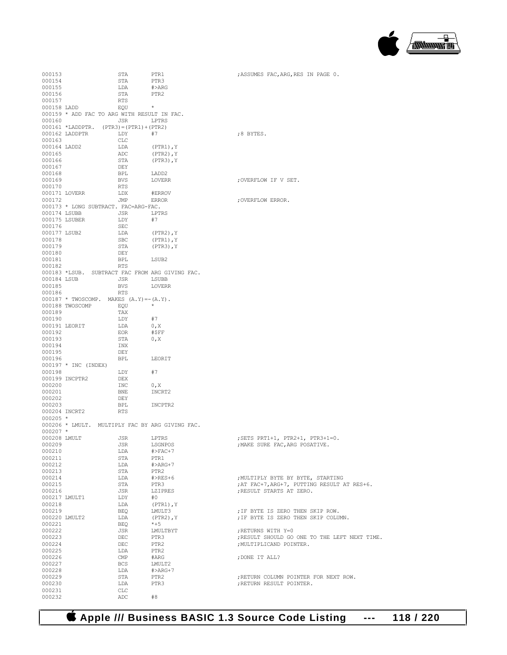

| 000153       |                                                 | STA            | PTR1           | ; ASSUMES FAC, ARG, RES IN PAGE 0.            |
|--------------|-------------------------------------------------|----------------|----------------|-----------------------------------------------|
| 000154       |                                                 | STA            | PTR3           |                                               |
| 000155       |                                                 | LDA            | #>ARG          |                                               |
| 000156       |                                                 | STA            | PTR2           |                                               |
| 000157       |                                                 | RTS            |                |                                               |
| 000158 LADD  |                                                 | EOU            | $\star$        |                                               |
|              | 000159 * ADD FAC TO ARG WITH RESULT IN FAC.     |                |                |                                               |
| 000160       |                                                 | JSR            | LPTRS          |                                               |
|              | $000161 *LADDPTR.$ (PTR3) = (PTR1) + (PTR2)     |                |                |                                               |
|              | 000162 LADDPTR LDY                              |                | #7             | ;8 BYTES.                                     |
| 000163       |                                                 | CLC            |                |                                               |
| 000164 LADD2 |                                                 | LDA            | $(PTR1)$ , Y   |                                               |
| 000165       |                                                 | ADC            | $(PTR2)$ , $Y$ |                                               |
| 000166       |                                                 | STA            |                |                                               |
| 000167       |                                                 |                | $(PTR3)$ , Y   |                                               |
|              |                                                 | DEY            |                |                                               |
| 000168       |                                                 | BPL            | LADD2          |                                               |
| 000169       |                                                 | <b>BVS</b>     | LOVERR         | ; OVERFLOW IF V SET.                          |
| 000170       |                                                 | RTS            |                |                                               |
|              | 000171 LOVERR                                   | LDX            | #ERROV         |                                               |
| 000172       |                                                 | JMP            | ERROR          | ; OVERFLOW ERROR.                             |
|              | 000173 * LONG SUBTRACT. FAC=ARG-FAC.            |                |                |                                               |
| 000174 LSUBB | <b>JSR</b>                                      |                | LPTRS          |                                               |
|              | 000175 LSUBER                                   | LDY            | #7             |                                               |
| 000176       |                                                 | SEC            |                |                                               |
| 000177 LSUB2 |                                                 | LDA            | $(PTR2)$ , $Y$ |                                               |
| 000178       |                                                 | SBC            | $(PTR1)$ , Y   |                                               |
| 000179       |                                                 | STA            | (PTR3),Y       |                                               |
| 000180       |                                                 | DEY            |                |                                               |
| 000181       |                                                 | BPL            | LSUB2          |                                               |
| 000182       |                                                 | <b>RTS</b>     |                |                                               |
|              | 000183 *LSUB. SUBTRACT FAC FROM ARG GIVING FAC. |                |                |                                               |
|              | 000184 LSUB                                     | JSR            | LSUBB          |                                               |
| 000185       |                                                 | BVS            | LOVERR         |                                               |
| 000186       |                                                 | RTS            |                |                                               |
|              | $000187$ * TWOSCOMP. MAKES $(A, Y) = -(A, Y)$ . |                |                |                                               |
|              | 000188 TWOSCOMP                                 | EOU            | $\star$        |                                               |
| 000189       |                                                 | TAX            |                |                                               |
| 000190       |                                                 | LDY            | #7             |                                               |
|              | 000191 LEORIT                                   | LDA            | 0, X           |                                               |
| 000192       |                                                 |                |                |                                               |
|              |                                                 | EOR            | #\$FF          |                                               |
| 000193       |                                                 | STA            | 0, X           |                                               |
| 000194       |                                                 | INX            |                |                                               |
| 000195       |                                                 | DEY            |                |                                               |
| 000196       |                                                 | BPL            | LEORIT         |                                               |
|              | 000197 * INC (INDEX)                            |                |                |                                               |
| 000198       |                                                 | LDY            | #7             |                                               |
|              | 000199 INCPTR2                                  | DEX            |                |                                               |
| 000200       |                                                 | INC            | 0, X           |                                               |
| 000201       |                                                 | BNE            | INCRT2         |                                               |
| 000202       |                                                 | DEY            |                |                                               |
| 000203       |                                                 | BPL            | INCPTR2        |                                               |
|              | 000204 INCRT2                                   | RTS            |                |                                               |
| $000205$ *   |                                                 |                |                |                                               |
|              | 000206 * LMULT. MULTIPLY FAC BY ARG GIVING FAC. |                |                |                                               |
| $000207$ *   |                                                 |                |                |                                               |
| 000208 LMULT |                                                 | JSR            | LPTRS          | ; SETS PRT1+1, PTR2+1, PTR3+1=0.              |
| 000209       |                                                 | JSR            | LSGNPOS        | ; MAKE SURE FAC, ARG POSATIVE.                |
| 000210       |                                                 | LDA            | $\#$ >FAC+7    |                                               |
| 000211       |                                                 | STA            | PTR1           |                                               |
| 000212       |                                                 | LDA            | $# > ARG + 7$  |                                               |
| 000213       |                                                 | STA            | PTR2           |                                               |
| 000214       |                                                 | LDA            | $#$ >RES+6     | ; MULTIPLY BYTE BY BYTE, STARTING             |
| 000215       |                                                 | STA            | PTR3           | ; AT FAC+7, ARG+7, PUTTING RESULT AT RES+6.   |
| 000216       |                                                 | JSR            | LZIPRES        | ; RESULT STARTS AT ZERO.                      |
|              | 000217 LMULT1                                   |                | #0             |                                               |
|              |                                                 | LDY            |                |                                               |
| 000218       |                                                 | LDA            | $(PTR1)$ , Y   |                                               |
| 000219       |                                                 | BEQ            | LMULT3         | ; IF BYTE IS ZERO THEN SKIP ROW.              |
|              | 000220 LMULT2                                   | LDA            | $(PTR2)$ , $Y$ | ; IF BYTE IS ZERO THEN SKIP COLUMN.           |
| 000221       |                                                 | BEO            | $*+5$          |                                               |
| 000222       |                                                 | JSR            | LMULTBYT       | ; RETURNS WITH Y=0                            |
| 000223       |                                                 | DEC            | PTR3           | ; RESULT SHOULD GO ONE TO THE LEFT NEXT TIME. |
| 000224       |                                                 | DEC            | PTR2           | ; MULTIPLICAND POINTER.                       |
| 000225       |                                                 | LDA            | PTR2           |                                               |
| 000226       |                                                 | $\mathsf{CMP}$ | #ARG           | ; DONE IT ALL?                                |
| 000227       |                                                 | BCS            | LMULT2         |                                               |
| 000228       |                                                 | LDA            | $# > ARG + 7$  |                                               |
| 000229       |                                                 | STA            | PTR2           | ; RETURN COLUMN POINTER FOR NEXT ROW.         |
| 000230       |                                                 | LDA            | PTR3           | ; RETURN RESULT POINTER.                      |
| 000231       |                                                 | CLC            |                |                                               |
| 000232       |                                                 | ADC            | #8             |                                               |

 **Apple /// Business BASIC 1.3 Source Code Listing --- 118 / 220**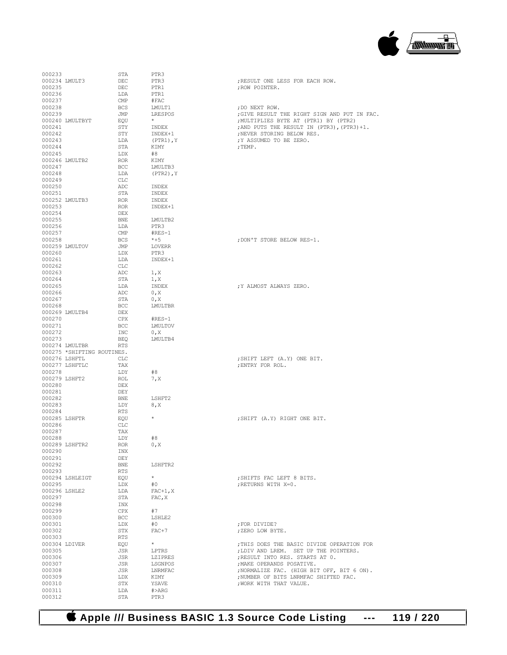

| 000233           |                            | STA               | PTR3              |                                              |
|------------------|----------------------------|-------------------|-------------------|----------------------------------------------|
|                  |                            |                   |                   |                                              |
| 000234 LMULT3    |                            | <b>DEC</b>        | PTR3              | ; RESULT ONE LESS FOR EACH ROW.              |
| 000235           |                            | DEC               | PTR1              | ; ROW POINTER.                               |
|                  |                            |                   |                   |                                              |
| 000236           |                            | LDA               | PTR1              |                                              |
| 000237           |                            | CMP               | #FAC              |                                              |
|                  |                            |                   |                   |                                              |
| 000238           |                            | <b>BCS</b>        | LMULT1            | ; DO NEXT ROW.                               |
| 000239           |                            | JMP               | LRESPOS           | ; GIVE RESULT THE RIGHT SIGN AND PUT IN FAC. |
|                  |                            |                   |                   |                                              |
|                  | 000240 LMULTBYT            | EQU               |                   | ; MULTIPLIES BYTE AT (PTR1) BY (PTR2)        |
| 000241           |                            | STY               | INDEX             | ; AND PUTS THE RESULT IN (PTR3), (PTR3) +1.  |
|                  |                            |                   |                   |                                              |
| 000242           |                            | STY               | INDEX+1           | ; NEVER STORING BELOW RES.                   |
| 000243           |                            | LDA               | $(PTR1)$ , $Y$    | ; Y ASSUMED TO BE ZERO.                      |
|                  |                            |                   |                   |                                              |
| 000244           |                            | STA               | KIMY              | $;$ TEMP.                                    |
| 000245           |                            | LDX               | #8                |                                              |
|                  |                            |                   |                   |                                              |
|                  | 000246 LMULTB2             | <b>ROR</b>        | KIMY              |                                              |
| 000247           |                            | BCC               | LMULTB3           |                                              |
|                  |                            |                   |                   |                                              |
| 000248           |                            | LDA               | $(PTR2)$ , $Y$    |                                              |
| 000249           |                            | <b>CLC</b>        |                   |                                              |
|                  |                            |                   |                   |                                              |
| 000250           |                            | ADC               | INDEX             |                                              |
| 000251           |                            | STA               | INDEX             |                                              |
|                  |                            |                   |                   |                                              |
|                  | 000252 LMULTB3             | ROR               | INDEX             |                                              |
| 000253           |                            | <b>ROR</b>        | INDEX+1           |                                              |
|                  |                            |                   |                   |                                              |
| 000254           |                            | DEX               |                   |                                              |
| 000255           |                            | <b>BNE</b>        | LMULTB2           |                                              |
|                  |                            |                   |                   |                                              |
| 000256           |                            | LDA               | PTR3              |                                              |
| 000257           |                            | $\mathsf{CMP}$    | $#RES-1$          |                                              |
|                  |                            |                   |                   |                                              |
| 000258           |                            | <b>BCS</b>        | $*+5$             | : DON'T STORE BELOW RES-1.                   |
|                  | 000259 LMULTOV             | JMP               | LOVERR            |                                              |
|                  |                            |                   |                   |                                              |
| 000260           |                            | LDX               | PTR3              |                                              |
| 000261           |                            | LDA               | INDEX+1           |                                              |
|                  |                            |                   |                   |                                              |
| 000262           |                            | $_{\rm CLC}$      |                   |                                              |
| 000263           |                            | ADC               | 1, x              |                                              |
|                  |                            |                   |                   |                                              |
| 000264           |                            | STA               | 1, x              |                                              |
| 000265           |                            | LDA               | INDEX             | ; Y ALMOST ALWAYS ZERO.                      |
|                  |                            |                   |                   |                                              |
| 000266           |                            | ADC               | 0, X              |                                              |
| 000267           |                            | STA               | 0, X              |                                              |
|                  |                            |                   |                   |                                              |
| 000268           |                            | BCC               | <b>LMULTBR</b>    |                                              |
|                  | 000269 LMULTB4             | DEX               |                   |                                              |
|                  |                            |                   |                   |                                              |
| 000270           |                            | <b>CPX</b>        | $#RES-1$          |                                              |
| 000271           |                            | BCC               | LMULTOV           |                                              |
|                  |                            |                   |                   |                                              |
| 000272           |                            | INC               | 0, X              |                                              |
| 000273           |                            | <b>BEO</b>        | LMULTB4           |                                              |
|                  |                            |                   |                   |                                              |
|                  | 000274 LMULTBR             | <b>RTS</b>        |                   |                                              |
|                  | 000275 *SHIFTING ROUTINES. |                   |                   |                                              |
|                  |                            |                   |                   |                                              |
|                  | 000276 LSHFTL              | <b>CLC</b>        |                   | ; SHIFT LEFT (A.Y) ONE BIT.                  |
|                  | 000277 LSHFTLC             | TAX               |                   | ; ENTRY FOR ROL.                             |
|                  |                            |                   |                   |                                              |
| 000278           |                            | LDY               | #8                |                                              |
| 000279 LSHFT2    |                            | ROL               | 7, X              |                                              |
|                  |                            |                   |                   |                                              |
| 000280           |                            | DEX               |                   |                                              |
| 000281           |                            | DEY               |                   |                                              |
|                  |                            |                   | LSHFT2            |                                              |
| 000282           |                            | BNE               |                   |                                              |
| 000283           |                            | LDY               | 8, X              |                                              |
|                  |                            |                   |                   |                                              |
| 000284           |                            | RTS               |                   |                                              |
| 000285 LSHFTR    |                            | EQU               | $\star$           | ; SHIFT (A.Y) RIGHT ONE BIT.                 |
|                  |                            |                   |                   |                                              |
| 000286           |                            | <b>CLC</b>        |                   |                                              |
| 000287           |                            | TAX               |                   |                                              |
|                  |                            |                   | #8                |                                              |
| 000288           |                            | LDY               |                   |                                              |
|                  | 000289 LSHFTR2             | ROR.              | 0, X              |                                              |
| 000290           |                            | INX               |                   |                                              |
|                  |                            |                   |                   |                                              |
| 000291           |                            | DEY               |                   |                                              |
| 000292           |                            | BNE               | LSHFTR2           |                                              |
|                  |                            |                   |                   |                                              |
| 000293           |                            | RTS               |                   |                                              |
|                  | 000294 LSHLEIGT            | EQU               | $\star$           | ; SHIFTS FAC LEFT 8 BITS.                    |
|                  |                            |                   |                   |                                              |
| 000295           |                            | LDX               | #0                | ; RETURNS WITH X=0.                          |
| 000296 LSHLE2    |                            | LDA               | $FAC+1, X$        |                                              |
|                  |                            |                   |                   |                                              |
| 000297           |                            | STA               | FAC, X            |                                              |
| 000298           |                            | INX               |                   |                                              |
|                  |                            |                   |                   |                                              |
| 000299           |                            | CPX               | #7                |                                              |
| 000300           |                            | BCC               | LSHLE2            |                                              |
|                  |                            |                   |                   |                                              |
| 000301           |                            | LDX               | #0                | ; FOR DIVIDE?                                |
|                  |                            |                   |                   |                                              |
| 000302           |                            | STX               | $FAC+7$           | ; ZERO LOW BYTE.                             |
| 000303           |                            | <b>RTS</b>        |                   |                                              |
|                  |                            |                   | $\star$           |                                              |
| 000304 LDIVER    |                            | EQU               |                   | ; THIS DOES THE BASIC DIVIDE OPERATION FOR   |
| 000305           |                            | JSR               | LPTRS             | ; LDIV AND LREM. SET UP THE POINTERS.        |
|                  |                            |                   |                   |                                              |
| 000306           |                            | JSR               | LZIPRES           | ; RESULT INTO RES. STARTS AT 0.              |
| 000307           |                            | JSR               | LSGNPOS           | ; MAKE OPERANDS POSATIVE.                    |
|                  |                            |                   |                   |                                              |
|                  |                            | JSR               | LNRMFAC           | ; NORMALIZE FAC. (HIGH BIT OFF, BIT 6 ON).   |
| 000308           |                            |                   |                   | ; NUMBER OF BITS LNRMFAC SHIFTED FAC.        |
|                  |                            |                   |                   |                                              |
| 000309           |                            | LDX               | KIMY              |                                              |
| 000310           |                            | STX               | YSAVE             | ; WORK WITH THAT VALUE.                      |
|                  |                            |                   |                   |                                              |
| 000311<br>000312 |                            | LDA<br><b>STA</b> | $#$ > ARG<br>PTR3 |                                              |

| RESULT ONE LESS FOR EACH ROW.<br>:ROW POINTER. |  |  |  |
|------------------------------------------------|--|--|--|
| ∙DO NEXT ROW                                   |  |  |  |

 **Apple /// Business BASIC 1.3 Source Code Listing --- 119 / 220**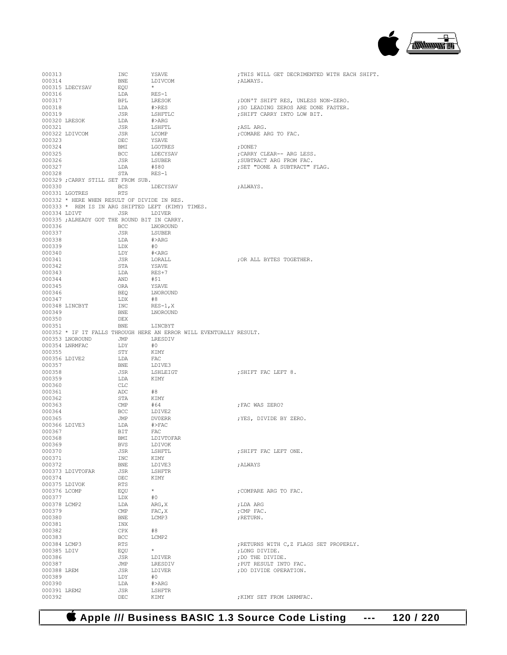

| 000313                |                                              | INC        | YSAVE                                                                         | ; THIS WILL GET DECRIMENTED WITH EACH SHIFT. |
|-----------------------|----------------------------------------------|------------|-------------------------------------------------------------------------------|----------------------------------------------|
| 000314                |                                              | BNE        | LDIVCOM                                                                       | ;ALWAYS.                                     |
|                       | 000315 LDECYSAV                              | EOU        | $\star$                                                                       |                                              |
| 000316                |                                              | LDA        | $RES-1$                                                                       |                                              |
| 000317                |                                              | BPL        | LRESOK                                                                        | ; DON'T SHIFT RES, UNLESS NON-ZERO.          |
| 000318                |                                              | LDA        | #>RES                                                                         | ; SO LEADING ZEROS ARE DONE FASTER.          |
| 000319                |                                              | JSR        | LSHFTLC                                                                       | ; SHIFT CARRY INTO LOW BIT.                  |
|                       | 000320 LRESOK                                | LDA        | #>ARG                                                                         |                                              |
| 000321                |                                              | JSR        | LSHFTL                                                                        | ;ASL ARG.                                    |
|                       | 000322 LDIVCOM                               | JSR        | LCOMP                                                                         | ; COMARE ARG TO FAC.                         |
| 000323                |                                              | DEC        | YSAVE                                                                         |                                              |
| 000324                |                                              | BMI        | LGOTRES                                                                       | ; DONE?                                      |
| 000325                |                                              | BCC        | LDECYSAV                                                                      | ; CARRY CLEAR-- ARG LESS.                    |
| 000326                |                                              | JSR        | LSUBER                                                                        | ; SUBTRACT ARG FROM FAC.                     |
| 000327                |                                              | LDA        | #\$80                                                                         | ; SET "DONE A SUBTRACT" FLAG.                |
| 000328                |                                              | STA        | $RES-1$                                                                       |                                              |
|                       | 000329 ; CARRY STILL SET FROM SUB.           |            |                                                                               |                                              |
| 000330                |                                              | BCS        | LDECYSAV                                                                      | ;ALWAYS.                                     |
|                       | 000331 LGOTRES                               | RTS        |                                                                               |                                              |
|                       | 000332 * HERE WHEN RESULT OF DIVIDE IN RES.  |            | 000333 * REM IS IN ARG SHIFTED LEFT (KIMY) TIMES.                             |                                              |
|                       | 000334 LDIVT JSR JDIVER                      |            |                                                                               |                                              |
|                       | 000335 ; ALREADY GOT THE ROUND BIT IN CARRY. |            |                                                                               |                                              |
| 000336                |                                              | BCC        | LNOROUND                                                                      |                                              |
| 000337                |                                              | JSR        | LSUBER                                                                        |                                              |
| 000338                |                                              | LDA        | #>ARG                                                                         |                                              |
| 000339                |                                              | LDX        | #0                                                                            |                                              |
| 000340                |                                              | LDY        | # <arg< td=""><td></td></arg<>                                                |                                              |
| 000341                |                                              | JSR        | LORALL                                                                        | ; OR ALL BYTES TOGETHER.                     |
| 000342                |                                              | STA        | YSAVE                                                                         |                                              |
| 000343                |                                              | LDA        | RES+7                                                                         |                                              |
| 000344                |                                              | AND        | #\$1                                                                          |                                              |
| 000345                |                                              | ORA        | YSAVE                                                                         |                                              |
| 000346                |                                              | BEO        | LNOROUND                                                                      |                                              |
| 000347                |                                              | LDX        | #8                                                                            |                                              |
|                       | 000348 LINCBYT                               | INC        | RES-1,X                                                                       |                                              |
| 000349                |                                              | BNE        | LNOROUND                                                                      |                                              |
| 000350                |                                              | DEX        |                                                                               |                                              |
| 000351                |                                              | BNE        | LINCBYT<br>000352 * IF IT FALLS THROUGH HERE AN ERROR WILL EVENTUALLY RESULT. |                                              |
|                       | 000353 LNOROUND                              | JMP        | LRESDIV                                                                       |                                              |
|                       | 000354 LNRMFAC                               | LDY        | #0                                                                            |                                              |
| 000355                |                                              | STY        | KIMY                                                                          |                                              |
|                       | 000356 LDIVE2                                | LDA        | FAC                                                                           |                                              |
| 000357                |                                              | BNE        | LDIVE3                                                                        |                                              |
| 000358                |                                              | JSR        | LSHLEIGT                                                                      | ; SHIFT FAC LEFT 8.                          |
| 000359                |                                              | LDA        | KIMY                                                                          |                                              |
| 000360                |                                              | CLC        |                                                                               |                                              |
| 000361                |                                              | ADC        | #8                                                                            |                                              |
| 000362                |                                              | STA        | KIMY                                                                          |                                              |
| 000363                |                                              | CMP        | #64                                                                           | ; FAC WAS ZERO?                              |
| 000364                |                                              | BCC        | LDIVE2                                                                        |                                              |
| 000365                |                                              | JMP        | DV0ERR                                                                        | ;YES, DIVIDE BY ZERO.                        |
|                       | 000366 LDIVE3                                | LDA        | #>FAC                                                                         |                                              |
| 000367                |                                              | BIT        | FAC                                                                           |                                              |
| 000368                |                                              | BMI        | LDIVTOFAR                                                                     |                                              |
| 000369                |                                              | BVS        | LDIVOK                                                                        |                                              |
| 000370<br>000371      |                                              | JSR<br>INC | LSHFTL<br>KIMY                                                                | ; SHIFT FAC LEFT ONE.                        |
| 000372                |                                              | BNE        | LDIVE3                                                                        | ; ALWAYS                                     |
|                       | 000373 LDIVTOFAR                             | JSR        | LSHFTR                                                                        |                                              |
| 000374                |                                              | DEC        | KIMY                                                                          |                                              |
|                       | 000375 LDIVOK                                | RTS        |                                                                               |                                              |
| 000376 LCOMP          |                                              | EQU        | $\star$                                                                       | ; COMPARE ARG TO FAC.                        |
| 000377                |                                              | LDX        | #0                                                                            |                                              |
| 000378 LCMP2          |                                              | LDA        | ARG, X                                                                        | ; LDA ARG                                    |
| 000379                |                                              | CMP        | FAC, X                                                                        | ; CMP FAC.                                   |
| 000380                |                                              | BNE        | LCMP3                                                                         | ; RETURN.                                    |
| 000381                |                                              | INX        |                                                                               |                                              |
| 000382                |                                              | CPX        | #8                                                                            |                                              |
| 000383                |                                              | <b>BCC</b> | LCMP2                                                                         |                                              |
| 000384 LCMP3          |                                              | RTS        |                                                                               | ; RETURNS WITH C, Z FLAGS SET PROPERLY.      |
| 000385 LDIV           |                                              | EQU        | $\star$                                                                       | ; LONG DIVIDE.                               |
| 000386                |                                              | JSR        | LDIVER                                                                        | ; DO THE DIVIDE.                             |
| 000387                |                                              | JMP        | LRESDIV                                                                       | ; PUT RESULT INTO FAC.                       |
| 000388 LREM<br>000389 |                                              | JSR<br>LDY | LDIVER<br>#0                                                                  | ; DO DIVIDE OPERATION.                       |
| 000390                |                                              | LDA        | #>ARG                                                                         |                                              |
| 000391 LREM2          |                                              | JSR        | LSHFTR                                                                        |                                              |
| 000392                |                                              | DEC        | KIMY                                                                          | ; KIMY SET FROM LNRMFAC.                     |
|                       |                                              |            |                                                                               |                                              |

 **Apple /// Business BASIC 1.3 Source Code Listing --- 120 / 220**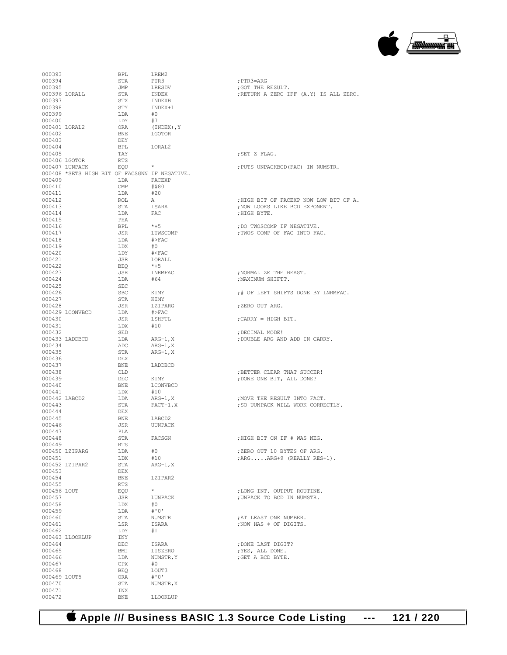

| 000393       |                                               | BPL          | LREM2             |                                        |
|--------------|-----------------------------------------------|--------------|-------------------|----------------------------------------|
|              |                                               |              |                   |                                        |
| 000394       |                                               | STA          | PTR3              | ; PTR3=ARG                             |
| 000395       |                                               | JMP          | LRESDV            | ; GOT THE RESULT.                      |
|              | 000396 LORALL                                 | STA          | INDEX             | ;RETURN A ZERO IFF (A.Y) IS ALL ZERO.  |
| 000397       |                                               | STX          | INDEXB            |                                        |
| 000398       |                                               | STY          | INDEX+1           |                                        |
| 000399       |                                               | LDA          | #0                |                                        |
|              |                                               |              |                   |                                        |
| 000400       |                                               | LDY          | #7                |                                        |
|              | 000401 LORAL2                                 | ORA          | (INDEX), Y        |                                        |
| 000402       |                                               | <b>BNE</b>   | LGOTOR            |                                        |
| 000403       |                                               | DEY          |                   |                                        |
| 000404       |                                               | BPL          | LORAL2            |                                        |
|              |                                               |              |                   |                                        |
| 000405       |                                               | TAY          |                   | ;SET Z FLAG.                           |
|              | 000406 LGOTOR                                 | RTS          |                   |                                        |
|              | 000407 LUNPACK                                | EQU          | $\star$           | ; PUTS UNPACKBCD (FAC) IN NUMSTR.      |
|              | 000408 *SETS HIGH BIT OF FACSGNN IF NEGATIVE. |              |                   |                                        |
| 000409       |                                               | LDA          | FACEXP            |                                        |
| 000410       |                                               | $\text{CMP}$ | #\$80             |                                        |
|              |                                               |              |                   |                                        |
| 000411       |                                               | LDA          | #20               |                                        |
| 000412       |                                               | ROL          | A                 | ; HIGH BIT OF FACEXP NOW LOW BIT OF A. |
| 000413       |                                               | STA          | ISARA             | ; NOW LOOKS LIKE BCD EXPONENT.         |
| 000414       |                                               | LDA          | FAC               | ; HIGH BYTE.                           |
| 000415       |                                               | PHA          |                   |                                        |
|              |                                               |              |                   |                                        |
| 000416       |                                               | <b>BPL</b>   | *+5               | ; DO TWOSCOMP IF NEGATIVE.             |
| 000417       |                                               | JSR          | LTWSCOMP          | ; TWOS COMP OF FAC INTO FAC.           |
| 000418       |                                               | LDA          | #>FAC             |                                        |
| 000419       |                                               | LDX          | #0                |                                        |
| 000420       |                                               | LDY          | $\# <$ FAC        |                                        |
| 000421       |                                               | JSR          | LORALL            |                                        |
|              |                                               |              |                   |                                        |
| 000422       |                                               | BEQ          | $*+5$             |                                        |
| 000423       |                                               | JSR          | LNRMFAC           | ; NORMALIZE THE BEAST.                 |
| 000424       |                                               | LDA          | #64               | : MAXIMUM SHIFTT.                      |
| 000425       |                                               | SEC          |                   |                                        |
| 000426       |                                               | SBC          |                   |                                        |
|              |                                               |              | KIMY              | ;# OF LEFT SHIFTS DONE BY LNRMFAC.     |
| 000427       |                                               | STA          | KIMY              |                                        |
| 000428       |                                               | JSR          | LZIPARG           | ;ZERO OUT ARG.                         |
|              | 000429 LCONVBCD                               | LDA          | #>FAC             |                                        |
| 000430       |                                               | JSR          | LSHFTL            | ; $CARRY = HIGH BIT.$                  |
| 000431       |                                               | LDX          | #10               |                                        |
|              |                                               |              |                   |                                        |
| 000432       |                                               | SED          |                   | ; DECIMAL MODE!                        |
|              | 000433 LADDBCD                                | LDA          | $ARG-1, X$        | ; DOUBLE ARG AND ADD IN CARRY.         |
| 000434       |                                               | ADC          | $\text{ARG-1, X}$ |                                        |
| 000435       |                                               | STA          | $ARG-1, X$        |                                        |
| 000436       |                                               | DEX          |                   |                                        |
|              |                                               |              |                   |                                        |
| 000437       |                                               | BNE          | LADDBCD           |                                        |
| 000438       |                                               | CLD          |                   | ; BETTER CLEAR THAT SUCCER!            |
| 000439       |                                               | DEC          | KIMY              | ; DONE ONE BIT, ALL DONE?              |
| 000440       |                                               | BNE          | LCONVBCD          |                                        |
| 000441       |                                               | LDX          | #10               |                                        |
|              | 000442 LABCD2                                 | LDA          | ARG-1,X           | ; MOVE THE RESULT INTO FACT.           |
|              |                                               |              |                   |                                        |
| 000443       |                                               | STA          | $FACT-1, X$       | ; SO UUNPACK WILL WORK CORRECTLY.      |
| 000444       |                                               | DEX          |                   |                                        |
| 000445       |                                               | BNE          | LABCD2            |                                        |
| 000446       |                                               | JSR          | UUNPACK           |                                        |
| 000447       |                                               | PLA          |                   |                                        |
| 000448       |                                               |              |                   |                                        |
|              |                                               | STA          | FACSGN            | ;HIGH BIT ON IF # WAS NEG.             |
| 000449       |                                               | RTS          |                   |                                        |
|              | 000450 LZIPARG                                | LDA          | #0                | ; ZERO OUT 10 BYTES OF ARG.            |
| 000451       |                                               | LDX          | #10               | ; ARGARG+9 (REALLY RES+1).             |
|              | 000452 LZIPAR2                                | STA          | $ARG-1, X$        |                                        |
| 000453       |                                               | DEX          |                   |                                        |
|              |                                               |              |                   |                                        |
| 000454       |                                               | <b>BNE</b>   | LZIPAR2           |                                        |
| 000455       |                                               | <b>RTS</b>   |                   |                                        |
| 000456 LOUT  |                                               | EQU          | $\star$           | ; LONG INT. OUTPUT ROUTINE.            |
| 000457       |                                               | JSR          | LUNPACK           | ; UNPACK TO BCD IN NUMSTR.             |
| 000458       |                                               | LDX          | #0                |                                        |
| 000459       |                                               | LDA          | # ' 0'            |                                        |
|              |                                               |              |                   |                                        |
| 000460       |                                               | STA          | <b>NUMSTR</b>     | ; AT LEAST ONE NUMBER.                 |
| 000461       |                                               | LSR          | ISARA             | ; NOW HAS # OF DIGITS.                 |
| 000462       |                                               | LDY          | #1                |                                        |
|              | 000463 LLOOKLUP                               | INY          |                   |                                        |
| 000464       |                                               | DEC          | ISARA             | ; DONE LAST DIGIT?                     |
| 000465       |                                               |              |                   |                                        |
|              |                                               | BMI          | LISZERO           | ; YES, ALL DONE.                       |
| 000466       |                                               | LDA          | NUMSTR, Y         | ; GET A BCD BYTE.                      |
| 000467       |                                               | CPX          | #0                |                                        |
| 000468       |                                               | BEQ          | LOUT3             |                                        |
| 000469 LOUT5 |                                               | ORA          | $# 0$ '           |                                        |
| 000470       |                                               | STA          | NUMSTR, X         |                                        |
|              |                                               |              |                   |                                        |
| 000471       |                                               | INX          |                   |                                        |
| 000472       |                                               | <b>BNE</b>   | LLOOKLUP          |                                        |

| ; PTR3=ARG<br>; GOT THE RESULT.<br>;RETURN A ZERO IFF (A.Y) IS ALL ZERO.                 |
|------------------------------------------------------------------------------------------|
|                                                                                          |
|                                                                                          |
| ; SET Z FLAG.                                                                            |
| ; PUTS UNPACKBCD (FAC) IN NUMSTR.                                                        |
| ; HIGH BIT OF FACEXP NOW LOW BIT OF A.<br>; NOW LOOKS LIKE BCD EXPONENT.<br>; HIGH BYTE. |
| ; DO TWOSCOMP IF NEGATIVE.<br>; TWOS COMP OF FAC INTO FAC.                               |
|                                                                                          |
| ; NORMALIZE THE BEAST.<br>; MAXIMUM SHIFTT.                                              |
| ;# OF LEFT SHIFTS DONE BY LNRMFAC.                                                       |
| ; ZERO OUT ARG.                                                                          |
| ; CARRY = HIGH BIT.                                                                      |
| ; DECIMAL MODE!<br>; DOUBLE ARG AND ADD IN CARRY.                                        |
| ; BETTER CLEAR THAT SUCCER!<br>; DONE ONE BIT, ALL DONE?                                 |
| ; MOVE THE RESULT INTO FACT.<br>; SO UUNPACK WILL WORK CORRECTLY.                        |
| ;HIGH BIT ON IF # WAS NEG.                                                               |
| ; ZERO OUT 10 BYTES OF ARG.<br>; ARGARG+9 (REALLY RES+1).                                |
| ; LONG INT. OUTPUT ROUTINE.<br>; UNPACK TO BCD IN NUMSTR.                                |
| ; AT LEAST ONE NUMBER.<br>; NOW HAS # OF DIGITS.                                         |
| ; DONE LAST DIGIT?<br>; YES, ALL DONE.<br>; GET A BCD BYTE.                              |

 **Apple /// Business BASIC 1.3 Source Code Listing --- 121 / 220**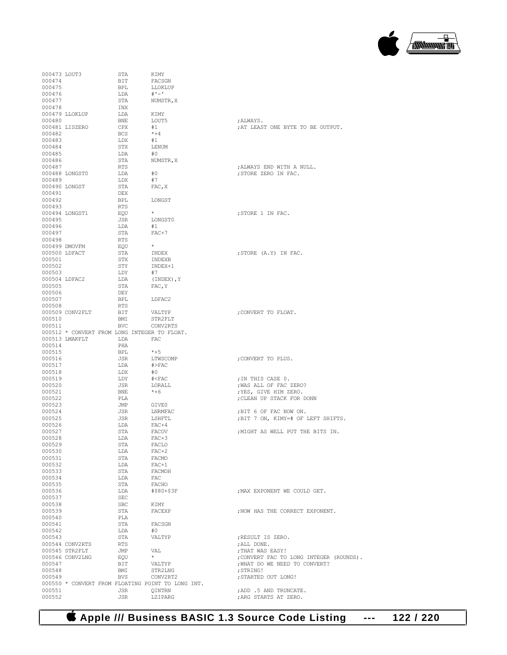## 

| 000473 LOUT3     |                 | STA        | KIMY                                              |                                                 |
|------------------|-----------------|------------|---------------------------------------------------|-------------------------------------------------|
| 000474           |                 | BIT        | FACSGN                                            |                                                 |
| 000475           |                 | <b>BPL</b> | LLOKLUP                                           |                                                 |
| 000476           |                 | LDA        | $# -$                                             |                                                 |
| 000477           |                 | STA        | NUMSTR, X                                         |                                                 |
| 000478           |                 | INX        |                                                   |                                                 |
|                  | 000479 LLOKLUP  | LDA        | KIMY                                              |                                                 |
| 000480           |                 | BNE        | LOUT5                                             | ;ALWAYS.                                        |
|                  | 000481 LISZERO  | CPX        | #1                                                | ; AT LEAST ONE BYTE TO BE OUTPUT.               |
| 000482           |                 | <b>BCS</b> | $*+4$                                             |                                                 |
| 000483           |                 | LDX        | #1                                                |                                                 |
|                  |                 |            |                                                   |                                                 |
| 000484           |                 | STX        | LENUM                                             |                                                 |
| 000485           |                 | LDA        | #0                                                |                                                 |
| 000486           |                 | STA        | NUMSTR, X                                         |                                                 |
| 000487           |                 | RTS        |                                                   | ; ALWAYS END WITH A NULL.                       |
|                  | 000488 LONGST0  | LDA        | #0                                                | ; STORE ZERO IN FAC.                            |
| 000489           |                 | LDX        | #7                                                |                                                 |
| 000490 LONGST    |                 | STA        | FAC, X                                            |                                                 |
| 000491           |                 | DEX        |                                                   |                                                 |
| 000492           |                 | BPL        | LONGST                                            |                                                 |
| 000493           |                 | <b>RTS</b> |                                                   |                                                 |
|                  |                 |            | $\star$                                           |                                                 |
|                  | 000494 LONGST1  | EQU        |                                                   | ; STORE 1 IN FAC.                               |
| 000495           |                 | JSR        | LONGST0                                           |                                                 |
| 000496           |                 | LDA        | #1                                                |                                                 |
| 000497           |                 | STA        | $FAC+7$                                           |                                                 |
| 000498           |                 | RTS        |                                                   |                                                 |
|                  | 000499 DMOVFM   | EOU        | $\star$                                           |                                                 |
| 000500 LDFACT    |                 | STA        | INDEX                                             | ; STORE (A.Y) IN FAC.                           |
| 000501           |                 | STX        | INDEXB                                            |                                                 |
| 000502           |                 | STY        | INDEX+1                                           |                                                 |
| 000503           |                 |            | #7                                                |                                                 |
|                  |                 | LDY        |                                                   |                                                 |
| 000504 LDFAC2    |                 | LDA        | (INDEX), Y                                        |                                                 |
| 000505           |                 | STA        | FAC, Y                                            |                                                 |
| 000506           |                 | DEY        |                                                   |                                                 |
| 000507           |                 | BPL        | LDFAC2                                            |                                                 |
| 000508           |                 | <b>RTS</b> |                                                   |                                                 |
|                  | 000509 CONV2FLT | BIT        | VALTYP                                            | ; CONVERT TO FLOAT.                             |
| 000510           |                 | BMI        | STR2FLT                                           |                                                 |
| 000511           |                 | <b>BVC</b> | CONV2RTS                                          |                                                 |
|                  |                 |            | 000512 * CONVERT FROM LONG INTEGER TO FLOAT.      |                                                 |
|                  |                 |            |                                                   |                                                 |
|                  |                 |            |                                                   |                                                 |
|                  | 000513 LMAKFLT  | LDA        | FAC                                               |                                                 |
| 000514           |                 | PHA        |                                                   |                                                 |
| 000515           |                 | <b>BPL</b> | $*+5$                                             |                                                 |
| 000516           |                 | JSR        | LTWSCOMP                                          | ; CONVERT TO PLUS.                              |
| 000517           |                 | LDA        | $#$ >FAC                                          |                                                 |
| 000518           |                 | LDX        | #0                                                |                                                 |
| 000519           |                 | LDY        | # <fac< td=""><td>; IN THIS CASE 0.</td></fac<>   | ; IN THIS CASE 0.                               |
| 000520           |                 | JSR        | LORALL                                            | ; WAS ALL OF FAC ZERO?                          |
|                  |                 |            |                                                   |                                                 |
| 000521           |                 | <b>BNE</b> | $*+6$                                             | ; YES, GIVE HIM ZERO.                           |
| 000522           |                 | PLA        |                                                   | ; CLEAN UP STACK FOR DONN                       |
| 000523           |                 | JMP        | GIVE0                                             |                                                 |
| 000524           |                 | JSR        | LNRMFAC                                           | ;BIT 6 OF FAC NOW ON.                           |
| 000525           |                 | JSR        | LSHFTL                                            | ;BIT 7 ON, KIMY=# OF LEFT SHIFTS.               |
| 000526           |                 | LDA        | $FAC+4$                                           |                                                 |
| 000527           |                 | STA        | FACOV                                             | ; MIGHT AS WELL PUT THE BITS IN.                |
| 000528           |                 | LDA        | $FAC+3$                                           |                                                 |
| 000529           |                 | STA        | FACLO                                             |                                                 |
| 000530           |                 | LDA        | $FAC+2$                                           |                                                 |
| 000531           |                 | STA        | FACMO                                             |                                                 |
| 000532           |                 | LDA        | $FAC+1$                                           |                                                 |
|                  |                 |            |                                                   |                                                 |
| 000533           |                 | STA        | FACMOH                                            |                                                 |
| 000534           |                 | LDA        | FAC                                               |                                                 |
| 000535           |                 | STA        | FACHO                                             |                                                 |
| 000536           |                 | LDA        | #\$80+\$3F                                        | ; MAX EXPONENT WE COULD GET.                    |
| 000537           |                 | SEC        |                                                   |                                                 |
| 000538           |                 | <b>SBC</b> | KIMY                                              |                                                 |
| 000539           |                 | STA        | FACEXP                                            | ; NOW HAS THE CORRECT EXPONENT.                 |
| 000540           |                 | PLA        |                                                   |                                                 |
| 000541           |                 | STA        | FACSGN                                            |                                                 |
| 000542           |                 | LDA        | #0                                                |                                                 |
| 000543           |                 | STA        | VALTYP                                            | ; RESULT IS ZERO.                               |
|                  | 000544 CONV2RTS | RTS        |                                                   | ; ALL DONE.                                     |
|                  |                 | JMP        | VAL                                               |                                                 |
|                  | 000545 STR2FLT  |            | $\star$                                           | ; THAT WAS EASY!                                |
|                  | 000546 CONV2LNG | EOU        |                                                   | ; CONVERT FAC TO LONG INTEGER (ROUNDS).         |
| 000547           |                 | BIT        | VALTYP                                            | ; WHAT DO WE NEED TO CONVERT?                   |
| 000548           |                 | BMI        | STR2LNG                                           | ; STRING!                                       |
| 000549           |                 | <b>BVS</b> | CONV2RT2                                          | ; STARTED OUT LONG!                             |
|                  |                 |            | 000550 * CONVERT FROM FLOATING POINT TO LONG INT. |                                                 |
| 000551<br>000552 |                 | JSR<br>JSR | QINTRN<br>LZIPARG                                 | ; ADD .5 AND TRUNCATE.<br>; ARG STARTS AT ZERO. |

 **Apple /// Business BASIC 1.3 Source Code Listing --- 122 / 220**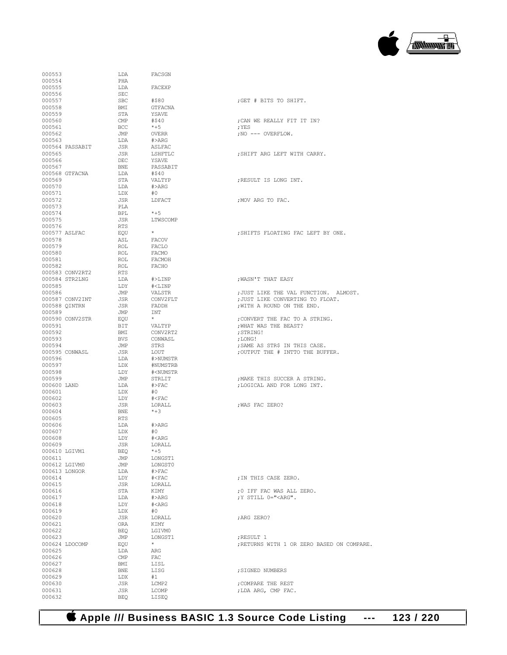

| 000553                |                 | LDA                            | FACSGN                               |                                                                   |
|-----------------------|-----------------|--------------------------------|--------------------------------------|-------------------------------------------------------------------|
| 000554<br>000555      |                 | PHA<br>LDA                     | FACEXP                               |                                                                   |
| 000556                |                 | SEC                            |                                      |                                                                   |
| 000557                |                 | SBC                            | #\$80                                | ;GET # BITS TO SHIFT.                                             |
| 000558                |                 | BMI                            | GTFACNA                              |                                                                   |
| 000559<br>000560      |                 | STA<br>$\mathop{\mathrm{CMP}}$ | YSAVE<br>#\$40                       | ; CAN WE REALLY FIT IT IN?                                        |
| 000561                |                 | BCC.                           | $*+5$                                | : YES                                                             |
| 000562                |                 | JMP                            | OVERR                                | ; NO --- OVERFLOW.                                                |
| 000563                |                 | LDA                            | #>ARG                                |                                                                   |
| 000565                | 000564 PASSABIT | JSR<br>JSR                     | ASLFAC<br>LSHFTLC                    | ; SHIFT ARG LEFT WITH CARRY.                                      |
| 000566                |                 | DEC                            | YSAVE                                |                                                                   |
| 000567                |                 | BNE                            | PASSABIT                             |                                                                   |
|                       | 000568 GTFACNA  | LDA                            | #\$40                                |                                                                   |
| 000569<br>000570      |                 | STA<br>LDA                     | VALTYP<br>#>ARG                      | :RESULT IS LONG INT.                                              |
| 000571                |                 | LDX                            | #O                                   |                                                                   |
| 000572                |                 | JSR                            | LDFACT                               | ; MOV ARG TO FAC.                                                 |
| 000573                |                 | PLA                            |                                      |                                                                   |
| 000574<br>000575      |                 | BPL<br>JSR                     | $*+5$<br>LTWSCOMP                    |                                                                   |
| 000576                |                 | RTS                            |                                      |                                                                   |
|                       | 000577 ASLFAC   | EQU                            | $\star$                              | ; SHIFTS FLOATING FAC LEFT BY ONE.                                |
| 000578                |                 | ASL                            | FACOV                                |                                                                   |
| 000579<br>000580      |                 | ROL<br>ROL                     | FACLO<br>FACMO                       |                                                                   |
| 000581                |                 | ROL                            | FACMOH                               |                                                                   |
| 000582                |                 | ROL                            | FACHO                                |                                                                   |
|                       | 000583 CONV2RT2 | RTS                            |                                      |                                                                   |
| 000585                | 000584 STR2LNG  | LDA<br>T.DY                    | #>LINP<br>$#<$ LINP                  | ; WASN'T THAT EASY                                                |
| 000586                |                 | JMP                            | VALSTR                               | ; JUST LIKE THE VAL FUNCTION. ALMOST.                             |
|                       | 000587 CONV2INT | JSR                            | CONV2FLT                             | ; JUST LIKE CONVERTING TO FLOAT.                                  |
|                       | 000588 QINTRN   | JSR                            | FADDH                                | ; WITH A ROUND ON THE END.                                        |
| 000589                | 000590 CONV2STR | JMP                            | INT<br>$\star$                       |                                                                   |
| 000591                |                 | EOU<br>BIT                     | VALTYP                               | ; CONVERT THE FAC TO A STRING.<br>; WHAT WAS THE BEAST?           |
| 000592                |                 | BMI                            | CONV2RT2                             | ; STRING!                                                         |
| 000593                |                 | BVS                            | CONWASL                              | ; LONG!                                                           |
| 000594                | 000595 CONWASL  | JMP<br>JSR                     | STRS<br>LOUT                         | ; SAME AS STR\$ IN THIS CASE.<br>; OUTPUT THE # INTTO THE BUFFER. |
| 000596                |                 | LDA                            | #>NUMSTR                             |                                                                   |
| 000597                |                 | LDX                            | #NUMSTRB                             |                                                                   |
| 000598                |                 | LDY                            | # <numstr< td=""><td></td></numstr<> |                                                                   |
| 000599<br>000600 LAND |                 | JMP<br>LDA                     | STRLIT<br>$\#$ >FAC                  | ; MAKE THIS SUCCER A STRING.<br>; LOGICAL AND FOR LONG INT.       |
| 000601                |                 | LDX                            | #O                                   |                                                                   |
| 000602                |                 | LDY                            | $# <$ FAC                            |                                                                   |
| 000603                |                 | JSR                            | LORALL                               | ; WAS FAC ZERO?                                                   |
| 000604<br>000605      |                 | BNE                            | $*+3$                                |                                                                   |
| 000606                |                 |                                |                                      |                                                                   |
|                       |                 | <b>RTS</b>                     | #>ARG                                |                                                                   |
| 000607                |                 | LDA<br>LDX                     | #O                                   |                                                                   |
| 000608                |                 | LDY                            | # <arg< td=""><td></td></arg<>       |                                                                   |
| 000609                |                 | JSR                            | LORALL                               |                                                                   |
|                       | 000610 LGIVM1   | BEQ                            | $*+5$                                |                                                                   |
| 000611                | 000612 LGIVM0   | JMP<br>JMP                     | LONGST1<br>LONGST0                   |                                                                   |
|                       | 000613 LONGOR   | LDA                            | $\#$ >FAC                            |                                                                   |
| 000614                |                 | LDY                            | # <b>FAC</b>                         | ; IN THIS CASE ZERO.                                              |
| 000615<br>000616      |                 | JSR<br>STA                     | LORALL<br>KIMY                       | ;0 IFF FAC WAS ALL ZERO.                                          |
| 000617                |                 | LDA                            | $#$ >ARG                             | ; Y STILL 0=" <arg".< td=""></arg".<>                             |
| 000618                |                 | LDY                            | $\text{\#<} \text{ARG}$              |                                                                   |
| 000619                |                 | LDX                            | #0                                   |                                                                   |
| 000620                |                 | JSR                            | LORALL<br>KIMY                       | ; ARG ZERO?                                                       |
| 000621<br>000622      |                 | ORA<br>BEQ                     | LGIVM0                               |                                                                   |
| 000623                |                 | JMP                            | LONGST1                              | ; RESULT 1                                                        |
|                       | 000624 LDOCOMP  | EQU                            | $\star$                              |                                                                   |
| 000625<br>000626      |                 | LDA<br>$\mathsf{CMP}$          | ARG<br>FAC                           | ; RETURNS WITH 1 OR ZERO BASED ON COMP                            |
| 000627                |                 | BMI                            | LISL                                 |                                                                   |
| 000628                |                 | BNE                            | LISG                                 | ; SIGNED NUMBERS                                                  |
| 000629                |                 | LDX                            | #1                                   |                                                                   |
| 000630<br>000631      |                 | JSR<br>JSR                     | LCMP2<br>LCOMP                       | ; COMPARE THE REST<br>; LDA ARG, CMP FAC.                         |

| <i>LA</i> UUL                                                   |                                            |
|-----------------------------------------------------------------|--------------------------------------------|
| FACEXP                                                          |                                            |
| #\$80<br>GTFACNA                                                | ;GET # BITS TO SHI                         |
| YSAVE<br>#\$40                                                  | ; CAN WE REALLY FIT                        |
| $*+5$<br><b>OVERR</b>                                           | ; YES<br>NO --- OVERFLOW.                  |
| #>ARG                                                           |                                            |
| ASLFAC<br>LSHFTLC                                               | ; SHIFT ARG LEFT WI                        |
| YSAVE                                                           |                                            |
| PASSABIT<br>#S40                                                |                                            |
| VALTYP                                                          | RESULT IS LONG IN                          |
| #>ARG<br>#0                                                     |                                            |
| LDFACT                                                          | ; MOV ARG TO FAC.                          |
| $*+5$<br>LTWSCOMP                                               |                                            |
| $\star$                                                         | ; SHIFTS FLOATING 1                        |
| <b>FACOV</b>                                                    |                                            |
| FACLO<br>FACMO                                                  |                                            |
| FACMOH                                                          |                                            |
| FACHO                                                           |                                            |
| $#$ >LINP<br># <linp< td=""><td>, WASN'T THAT EASY</td></linp<> | , WASN'T THAT EASY                         |
| VALSTR                                                          | ; JUST LIKE THE VAI                        |
| CONV2FLT<br>FADDH                                               | ; JUST LIKE CONVER!<br>; WITH A ROUND ON ! |
| INT<br>$\star$                                                  | ; CONVERT THE FAC !                        |
| VALTYP                                                          | ; WHAT WAS THE BEAS                        |
| CONV2RT2<br>CONWASL                                             | ; STRING!<br>; LONG!                       |
| STRS                                                            | ; SAME AS STR\$ IN !                       |
| LOUT<br>#>NUMSTR                                                | ; OUTPUT THE # INT!                        |
| #NUMSTRB<br># <numstr< td=""><td></td></numstr<>                |                                            |
| STRLIT                                                          | ; MAKE THIS SUCCER                         |
| $#$ >FAC<br>#0                                                  | ; LOGICAL AND FOR 1                        |
| $# <$ FAC                                                       |                                            |
| LORALL<br>$*+3$                                                 | ; WAS FAC ZERO?                            |
| #>ARG                                                           |                                            |
| #0<br># <arg< td=""><td></td></arg<>                            |                                            |
| LORALL                                                          |                                            |
| $*+5$<br>LONGST1                                                |                                            |
| LONGST0<br>$#$ >FAC                                             |                                            |
| # < FAC                                                         | ; IN THIS CASE ZERO                        |
| LORALL<br>KIMY                                                  | ;0 IFF FAC WAS ALI                         |
| #>ARG                                                           | ;Y STILL 0=" <arg"< td=""></arg"<>         |
| # <arg<br>#0</arg<br>                                           |                                            |
| LORALL<br>KIMY                                                  | ; ARG ZERO?                                |
| LGIVM0                                                          |                                            |
| LONGST1<br>$\star$                                              | ; RESULT 1<br>; RETURNS WITH 1 OP          |
| ARG<br>FAC                                                      |                                            |
| LISL                                                            |                                            |
| LISG<br>#1                                                      | ; SIGNED NUMBERS                           |
| LCMP2                                                           | ; COMPARE THE REST                         |
| LCOMP<br>LISEQ                                                  | ; LDA ARG, CMP FAC                         |
|                                                                 |                                            |

| ; GET # BITS TO SHIFT.                                                                              |
|-----------------------------------------------------------------------------------------------------|
| ; CAN WE REALLY FIT IT IN?<br>; YES<br>; NO --- OVERFLOW.                                           |
| ; SHIFT ARG LEFT WITH CARRY.                                                                        |
| ; RESULT IS LONG INT.                                                                               |
| ; MOV ARG TO FAC.                                                                                   |
| ; SHIFTS FLOATING FAC LEFT BY ONE                                                                   |
| ; WASN'T THAT EASY                                                                                  |
| ; JUST LIKE THE VAL FUNCTION. ALL<br>; JUST LIKE CONVERTING TO FLOAT.<br>; WITH A ROUND ON THE END. |
| ; CONVERT THE FAC TO A STRING.<br>; WHAT WAS THE BEAST?<br>; STRING!<br>; LONG!                     |
| ; SAME AS STR\$ IN THIS CASE.<br>; OUTPUT THE # INTTO THE BUFFER.                                   |
| ; MAKE THIS SUCCER A STRING.<br>; LOGICAL AND FOR LONG INT.                                         |
| ; WAS FAC ZERO?                                                                                     |
|                                                                                                     |

 **Apple /// Business BASIC 1.3 Source Code Listing --- 123 / 220**

; RETURNS WITH 1 OR ZERO BASED ON COMPARE.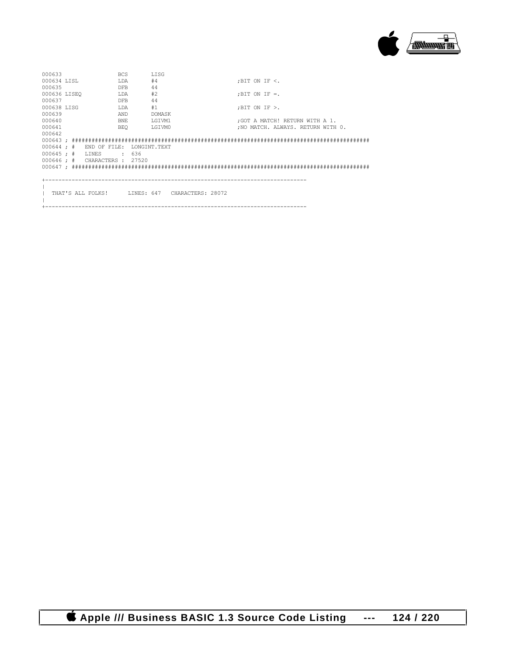

| 000633                        |  |              | <b>BCS</b> |     | LISG         |                                                |                          |                                    |  |
|-------------------------------|--|--------------|------------|-----|--------------|------------------------------------------------|--------------------------|------------------------------------|--|
| 000634 LTSL                   |  |              | LDA        |     | #4           |                                                | $:$ BIT ON IF $\leq$ .   |                                    |  |
| 000635                        |  |              | <b>DFB</b> |     | 44           |                                                |                          |                                    |  |
| 000636 LISEO                  |  |              | LDA        |     | #2           |                                                | $: \text{BIT ON IF} = .$ |                                    |  |
| 000637                        |  |              | <b>DFB</b> |     | 44           |                                                |                          |                                    |  |
| 000638 LISG                   |  |              | LDA        |     | #1           |                                                | ; BIT ON IF $>$ .        |                                    |  |
| 000639                        |  |              | AND        |     | DOMASK       |                                                |                          |                                    |  |
| 000640                        |  |              | BNE        |     | LGIVM1       |                                                |                          | : GOT A MATCH! RETURN WITH A 1.    |  |
| 000641                        |  |              | <b>BEO</b> |     | LGIVM0       |                                                |                          | : NO MATCH. ALWAYS. RETURN WITH 0. |  |
| 000642                        |  |              |            |     |              |                                                |                          |                                    |  |
|                               |  |              |            |     |              |                                                |                          |                                    |  |
| $000644 :$ #                  |  | END OF FILE: |            |     | LONGINT.TEXT |                                                |                          |                                    |  |
| $000645 :$ #                  |  | LINES        | $\cdot$    | 636 |              |                                                |                          |                                    |  |
| 000646 ; # CHARACTERS : 27520 |  |              |            |     |              |                                                |                          |                                    |  |
|                               |  |              |            |     |              |                                                |                          |                                    |  |
|                               |  |              |            |     |              |                                                |                          |                                    |  |
|                               |  |              |            |     |              |                                                |                          |                                    |  |
|                               |  |              |            |     |              |                                                |                          |                                    |  |
|                               |  |              |            |     |              | THAT'S ALL FOLKS! LINES: 647 CHARACTERS: 28072 |                          |                                    |  |
|                               |  |              |            |     |              |                                                |                          |                                    |  |
|                               |  |              |            |     |              |                                                |                          |                                    |  |

 **Apple /// Business BASIC 1.3 Source Code Listing --- 124 / 220**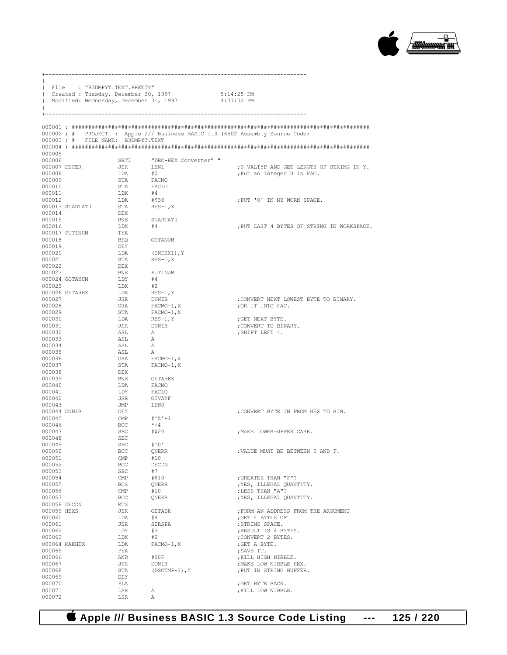

|                  | File : "B3DMPYT.TEXT.PRETTY"<br>  Created : Tuesday, December 30, 1997<br>Modified: Wednesday, December 31, 1997 |                             |                           | 5:14:25 PM<br>4:37:02 PM                                                     |
|------------------|------------------------------------------------------------------------------------------------------------------|-----------------------------|---------------------------|------------------------------------------------------------------------------|
|                  |                                                                                                                  |                             |                           |                                                                              |
|                  | 000003; # FILE NAME: B3DMPYT.TEXT                                                                                |                             |                           | 000002; # PROJECT : Apple /// Business BASIC 1.3 (6502 Assembly Source Code) |
| 000005           |                                                                                                                  |                             |                           |                                                                              |
| 000006           |                                                                                                                  | SBTL                        | "DEC-HEX Converter" "     |                                                                              |
| 000007 DECER     |                                                                                                                  | JSR                         | LEN1                      | ;0 VALTYP AND GET LENGTH OF STRING IN Y.                                     |
| 000008<br>000009 |                                                                                                                  | LDA<br>STA                  | #0<br>FACMO               | ; Put an Integer 0 in FAC.                                                   |
| 000010           |                                                                                                                  | STA                         | FACLO                     |                                                                              |
| 000011           |                                                                                                                  | LDX                         | #4                        |                                                                              |
| 000012           |                                                                                                                  | LDA                         | #\$30                     | ; PUT '0' IN MY WORK SPACE.                                                  |
|                  | 000013 STARTAT0                                                                                                  | STA                         | RES-1,X                   |                                                                              |
| 000014<br>000015 |                                                                                                                  | DEX<br>BNE                  | STARTAT0                  |                                                                              |
| 000016           |                                                                                                                  | LDX                         | #4                        | ; PUT LAST 4 BYTES OF STRING IN WORKSPACE.                                   |
|                  | 000017 PUTINUM                                                                                                   | TYA                         |                           |                                                                              |
| 000018           |                                                                                                                  | BEO                         | GOTANUM                   |                                                                              |
| 000019           |                                                                                                                  | DEY                         |                           |                                                                              |
| 000020<br>000021 |                                                                                                                  | LDA<br>STA                  | (INDEX1), Y<br>$RES-1, X$ |                                                                              |
| 000022           |                                                                                                                  | DEX                         |                           |                                                                              |
| 000023           |                                                                                                                  | BNE                         | PUTINUM                   |                                                                              |
|                  | 000024 GOTANUM                                                                                                   | LDY                         | #4                        |                                                                              |
| 000025           | 000026 GETAHEX                                                                                                   | LDX<br>LDA                  | #2<br>RES-1, Y            |                                                                              |
| 000027           |                                                                                                                  | JSR                         | DNNIB                     | ; CONVERT NEXT LOWEST BYTE TO BINARY.                                        |
| 000028           |                                                                                                                  | ORA                         | FACMO-1,X                 | ; OR IT INTO FAC.                                                            |
| 000029           |                                                                                                                  | STA                         | FACMO-1,X                 |                                                                              |
| 000030<br>000031 |                                                                                                                  | LDA<br>JSR                  | $RES-1, Y$<br>DNNIB       | ; GET NEXT BYTE.<br>; CONVERT TO BINARY.                                     |
| 000032           |                                                                                                                  | ASL                         | A                         | ; SHIFT LEFT 4.                                                              |
| 000033           |                                                                                                                  | ASL                         | A                         |                                                                              |
| 000034           |                                                                                                                  | ASL                         | А                         |                                                                              |
| 000035           |                                                                                                                  | ASL                         | A                         |                                                                              |
| 000036<br>000037 |                                                                                                                  | ORA<br>STA                  | FACMO-1,X<br>FACMO-1,X    |                                                                              |
| 000038           |                                                                                                                  | DEX                         |                           |                                                                              |
| 000039           |                                                                                                                  | BNE                         | GETAHEX                   |                                                                              |
| 000040           |                                                                                                                  | LDA                         | FACMO                     |                                                                              |
| 000041<br>000042 |                                                                                                                  | LDY<br>JSR                  | FACLO<br>GIVAYF           |                                                                              |
| 000043           |                                                                                                                  | JMP                         | LENO                      |                                                                              |
| 000044 DNNIB     |                                                                                                                  | DEY                         |                           | ; CONVERT BYTE IN FROM HEX TO BIN.                                           |
| 000045           |                                                                                                                  | $\mathop{\rm CMP}\nolimits$ | #'Z'+1                    |                                                                              |
| 000046<br>000047 |                                                                                                                  | BCC<br>SBC                  | $*+4$<br>#\$20            | : MAKE LOWER=UPPER CASE.                                                     |
| 000048           |                                                                                                                  | SEC                         |                           |                                                                              |
| 000049           |                                                                                                                  | <b>SBC</b>                  | #'0'                      |                                                                              |
| 000050           |                                                                                                                  | BCC                         | QNERR                     | , VALUE MUST BE BETWEEN 0 AND F.                                             |
| 000051<br>000052 |                                                                                                                  | CMP<br><b>BCC</b>           | #10<br><b>DECDN</b>       |                                                                              |
| 000053           |                                                                                                                  | SBC                         | #7                        |                                                                              |
| 000054           |                                                                                                                  | $\text{CMP}$                | #\$10                     | ; GREATER THAN "F"?                                                          |
| 000055           |                                                                                                                  | BCS                         | QNERR                     | ; YES, ILLEGAL QUANTITY.                                                     |
| 000056<br>000057 |                                                                                                                  | $\mathop{\mathrm{CMP}}$     | #10                       | ; LESS THAN "A"?<br>; YES, ILLEGAL QUANTITY.                                 |
| 000058 DECDN     |                                                                                                                  | <b>BCC</b><br>RTS           | QNERR                     |                                                                              |
| 000059 HEXS      |                                                                                                                  | JSR                         | <b>GETADR</b>             | ; FORM AN ADDRESS FROM THE ARGUMENT                                          |
| 000060           |                                                                                                                  | LDA                         | #4                        | ; GET 4 BYTES OF                                                             |
| 000061           |                                                                                                                  | JSR                         | STRSPA                    | ; STRING SPACE.                                                              |
| 000062<br>000063 |                                                                                                                  | LDY<br>LDX                  | #3<br>#2                  | ; RESULT IS 4 BYTES.<br>; CONVERT 2 BYTES.                                   |
|                  | 000064 MAKHEX                                                                                                    | LDA                         | $FACMO-1, X$              | ; GET A BYTE.                                                                |
| 000065           |                                                                                                                  | PHA                         |                           | ; SAVE IT.                                                                   |
| 000066           |                                                                                                                  | AND                         | #SOF                      | ; KILL HIGH NIBBLE.                                                          |
| 000067<br>000068 |                                                                                                                  | JSR<br>STA                  | DONIB<br>$(DSCTMP+1)$ , Y | ; MAKE LOW NIBBLE HEX.<br>; PUT IN STRING BUFFER.                            |
| 000069           |                                                                                                                  | DEY                         |                           |                                                                              |
| 000070           |                                                                                                                  | PLA                         |                           | ; GET BYTE BACK.                                                             |
| 000071           |                                                                                                                  | LSR                         | Α                         | ; KILL LOW NIBBLE.                                                           |
| 000072           |                                                                                                                  | LSR                         | Α                         |                                                                              |

+-------------------------------------------------------------------------------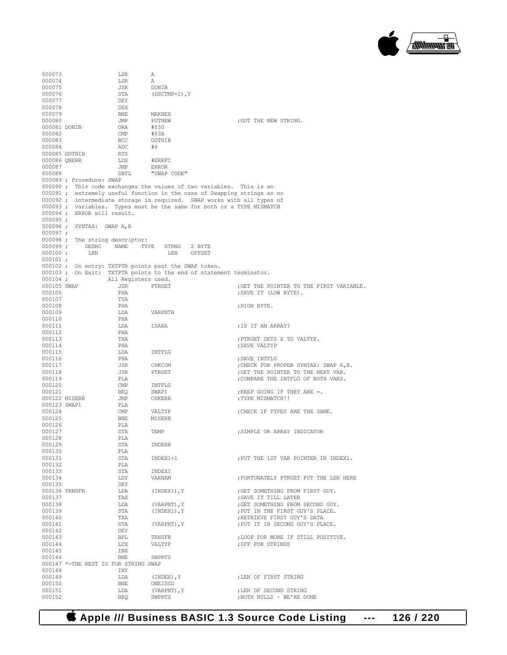

000073 LSR A<br>000074 LSR A 000074 LSR A<br>000075 JSR DONIB 000075 JSR JSR DONIG STA STA (DSCTMP+1), Y<br>DEY 000077 DEY<br>000078 DEX 000078 DEX<br>000079 BNE 000079 BNE MAKHEX<br>000080 JMP PUTNEW JMP PUTNEW ;GOT THE NEW STRING.<br>ORA #\$30 000081 DONIB ORA #\$30<br>000082 CMP #\$3A 000082 CMP<br>000083 BCC GOTNIB 000084 <br>000085 GOTNIB RTS #6 000085 GOTNIB RTS<br>000086 ONERR LDX 000086 QNERR LDX #ERRFC<br>000087 .TMP ERROR 000087 JMP ERROR SBTL "SWAP CODE" 000089 ; Procedure: SWAP 000090 ; This code exchanges the values of two variables. This is an 000091 ; extremely useful function in the case of Swapping strings as no 000092 ; intermediate storage is required. SWAP works with all types of 000093 ; variables. Types must be the same for both or a TYPE MISMATCH 000094 ; ERROR will result. 000095 ; 000096 ; SYNTAX: SWAP A,B  $000097 ;$ <br> $000098 ;$ 000098 ; The string descriptor:<br>000099 ; DESRC NAME TY DESRC NAME TYPE STRNG 2 BYTE<br>LEN LEN DFFSET  $000100;$ 000101 ; 000102 ; On entry: TXTPTR points past the SWAP token. 000103 ; On Exit: TXTPTR points to the end of statement terminator.<br>000104 : All Registers used. 000104 ; All Registers used. 000105 SWAP JSR PTRGET ;GET THE POINTER TO THE FIRST VARIABLE. 000106 PHA ;SAVE IT (LOW BYTE). 000107 TYA<br>000108 PHA 000108 PHA ;HIGH BYTE. LDA VARPNTB 000110 PHA<br>000111 LDA  $\begin{array}{lll} \texttt{LDA} & \texttt{ISARA} & \texttt{; IS IT AN ARRAY?} \\ \texttt{PHA} & \texttt{?} \end{array}$ 000112 PHA<br>000113 TXA 000113 TXA TXA (1991); PTRGET SETS X TO VALTYP. 000114 PHA ;SAVE VALTYP 000115 LDA INTFLG<br>000116 PHA %; SAVE INTFLG ;<br>CHKCOM , CHECK FOR PI 000117 JSR CHKCOM ;CHECK FOR PROPER SYNTAX: SWAP A,B. 000118 JSR PTRGET ;GET THE POINTER TO THE NEXT VAR. 000119 PLA **PLA PLA FLA FULL INTELG OF BOTH VARS.** 000120 CMP INTFLG<br>000121 BEO SWAP1 000121 BEQ SWAP1 ;KEEP GOING IF THEY ARE =. : TYPE MISMATCH!! 000123 SWAP1 PLA<br>000124 CMP 000124 CMP VALTYP : CHECK IF TYPES ARE THE SAME.<br>000125 RNE MISERE MISERR 000126 PLA<br>000127 STA  $\begin{array}{ll}\texttt{STA} & \texttt{TEMP} \\ \texttt{PI.a} & \texttt{J} \end{array} \qquad \qquad \begin{array}{ll}\texttt{SIMPLE} & \texttt{OR} & \texttt{ARRAY} & \texttt{INDICATOR} \\ \texttt{I} & \texttt{I} \end{array}$ 000128 PLA<br>000129 STA STA INDEXB<br>PLA 000130 PLA STA INDEX1+1 ;PUT THE 1ST VAR POINTER IN INDEX1. 000132 PLA<br>000133 STA 000133 STA INDEX1<br>000134 I.DY VARNAM 000134 LDY VARNAM ;FORTUNATELY PTRGET PUT THE LEN HERE 000135 DEY<br>000136 TRNSFR LDA 000136 TRNSFR LDA (INDEX1),Y ;GET SOMETHING FROM FIRST GUY. 000137 TAX TAX (VARPNT), Y SAVE IT TILL LATER 100138 000138  $LDA$  (VARPNT), Y ;GET SOMETHING FROM SECOND GUY.<br>000139 STA (INDEX1), Y ;PUT IN THE FIRST GUY'S PLACE. 000139 STA (INDEX1), Y , PUT IN THE FIRST GUY'S PLACE.<br>000140 TXA TXA ;RETRIEVE FIRST GUY'S DATA 000140 TXA (VARPNT), Y RETRIEVE FIRST GUY'S DATA (000141  $\begin{array}{lllllllll} \texttt{STA} & \texttt{(VARPNT)}, \texttt{Y} & \texttt{PUT} & \texttt{IT} & \texttt{IN} & \texttt{SECOND} & \texttt{GUY'S} & \texttt{PLACE} \texttt{DEY} \end{array}$ 000142 DEY<br>000143 BPL 000143 BPL TRNSFR ;LOOP FOR MORE IF STILL POSITIVE.  ${\small \begin{array}{lll} \texttt{IDX} & \texttt{VALTYPE} \\ \texttt{INX} & \texttt{JNX} \end{array}} \end{array} \qquad \qquad {\small \begin{array}{lll} \texttt{SFF FOR STRINGS} \end{array}}$ 000145 INX<br>000146 BNE 000146 BNE SWPRTS 000147 \*-THE REST IS FOR STRING SWAP 000148 INY<br>000149 IDA 000149 LDA (INDEX), Y ;LEN OF FIRST STRING 000150 000150 BNE ONEISGD 000151 LDA (VARPNT), Y ;LEN OF SECOND STRING 000152 BEO SWPRTS ; NOTH THE D BEQ SWPRTS ;BOTH NULLS - WE'RE DONE

 **Apple /// Business BASIC 1.3 Source Code Listing --- 126 / 220**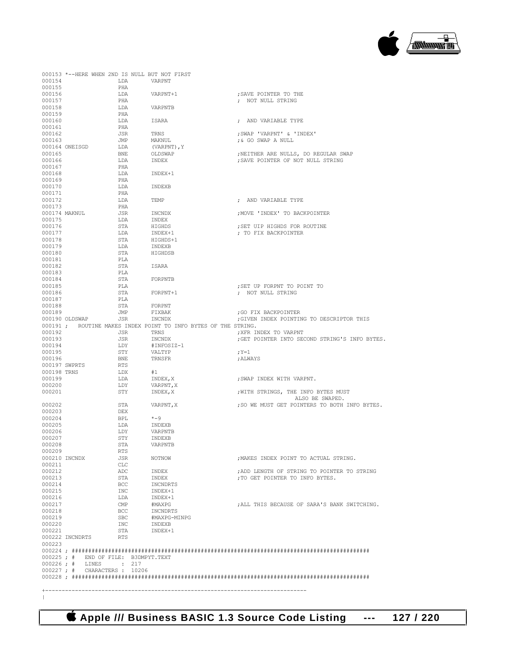|                  |                                                              |            | 000153 *--HERE WHEN 2ND IS NULL BUT NOT FIRST                   |                                               |
|------------------|--------------------------------------------------------------|------------|-----------------------------------------------------------------|-----------------------------------------------|
| 000154           |                                                              |            | LDA VARPNT                                                      |                                               |
| 000155           |                                                              | PHA        |                                                                 |                                               |
| 000156           |                                                              | LDA        | VARPNT+1                                                        | : SAVE POINTER TO THE                         |
| 000157           |                                                              | PHA        |                                                                 | ; NOT NULL STRING                             |
| 000158           |                                                              | LDA        | VARPNTB                                                         |                                               |
| 000159           |                                                              | PHA        |                                                                 |                                               |
| 000160           |                                                              |            | LDA ISARA                                                       | ; AND VARIABLE TYPE                           |
| 000161           |                                                              | PHA        |                                                                 |                                               |
| 000162           |                                                              | JSR        | TRNS                                                            | ;SWAP 'VARPNT' & 'INDEX'                      |
| 000163           |                                                              | <b>JMP</b> | MAKNUL                                                          | ;& GO SWAP A NULL                             |
|                  | 000164 ONEISGD                                               | LDA        | (VARPNT), Y                                                     |                                               |
| 000165           |                                                              | <b>BNE</b> | OLDSWAP                                                         | ; NEITHER ARE NULLS, DO REGULAR SWAP          |
| 000166           |                                                              | LDA        | INDEX                                                           | ; SAVE POINTER OF NOT NULL STRING             |
| 000167           |                                                              | PHA        |                                                                 |                                               |
| 000168           |                                                              | LDA        | INDEX+1                                                         |                                               |
| 000169           |                                                              | PHA        |                                                                 |                                               |
| 000170           |                                                              | LDA        | INDEXB                                                          |                                               |
| 000171           |                                                              | PHA        |                                                                 |                                               |
| 000172           |                                                              | LDA        | TEMP                                                            | ; AND VARIABLE TYPE                           |
| 000173           |                                                              | PHA        |                                                                 |                                               |
|                  | 000174 MAKNUL                                                | JSR        | INCNDX<br>INDEX<br>HIGHDS<br>INDEX+1                            | ; MOVE 'INDEX' TO BACKPOINTER                 |
| 000175           |                                                              | LDA        |                                                                 |                                               |
| 000176           |                                                              | STA        |                                                                 | ; SET UIP HIGHDS FOR ROUTINE                  |
| 000177           |                                                              | LDA        |                                                                 | ; TO FIX BACKPOINTER                          |
| 000178           |                                                              | STA        | HIGHDS+1                                                        |                                               |
| 000179           |                                                              | LDA        | INDEXB                                                          |                                               |
| 000180           |                                                              | STA        | HIGHDSB                                                         |                                               |
| 000181           |                                                              | PLA        |                                                                 |                                               |
| 000182           |                                                              | STA        | ISARA                                                           |                                               |
| 000183           |                                                              | PLA        |                                                                 |                                               |
| 000184           |                                                              |            | STA FORPNTB                                                     |                                               |
| 000185           |                                                              | PLA        |                                                                 | ; SET UP FORPNT TO POINT TO                   |
| 000186           |                                                              | STA        | FORPNT+1                                                        | ; NOT NULL STRING                             |
| 000187           |                                                              | PLA        |                                                                 |                                               |
| 000188           |                                                              | STA        | FORPNT                                                          |                                               |
| 000189           |                                                              | JMP        | FIXBAK                                                          | ;GO FIX BACKPOINTER                           |
|                  | 000190 OLDSWAP                                               |            | JSR INCNDX                                                      | ; GIVEN INDEX POINTING TO DESCRIPTOR THIS     |
|                  |                                                              |            | 000191 ; ROUTINE MAKES INDEX POINT TO INFO BYTES OF THE STRING. |                                               |
| 000192           |                                                              | JSR        | TRNS                                                            | XFR INDEX TO VARPNT                           |
| 000193           |                                                              | JSR        | INCNDX                                                          | GET POINTER INTO SECOND STRING'S INFO BYTES.  |
| 000194           |                                                              | LDY        | #INFOSIZ-1                                                      |                                               |
| 000195           |                                                              | STY        | VALTYP                                                          | $;Y=1$                                        |
| 000196           |                                                              | <b>BNE</b> | TRNSFR                                                          | ; ALWAYS                                      |
|                  | 000197 SWPRTS                                                | RTS        |                                                                 |                                               |
| 000198 TRNS      |                                                              | LDX        | #1                                                              |                                               |
| 000199           |                                                              | LDA        | INDEX, X                                                        | ; SWAP INDEX WITH VARPNT.                     |
| 000200           |                                                              | LDY        | VARPNT, X                                                       |                                               |
| 000201           |                                                              | STY        | INDEX, X                                                        | , WITH STRINGS, THE INFO BYTES MUST           |
|                  |                                                              |            |                                                                 | ALSO BE SWAPED.                               |
| 000202           |                                                              | STA        | VARPNT, X                                                       | ; SO WE MUST GET POINTERS TO BOTH INFO BYTES. |
| 000203           |                                                              | DEX        |                                                                 |                                               |
| 000204           |                                                              | <b>BPL</b> | $* - 9$                                                         |                                               |
| 000205           |                                                              | LDA        | INDEXB                                                          |                                               |
| 000206           |                                                              | LDY        | VARPNTB                                                         |                                               |
| 000207           |                                                              | STY        | INDEXB                                                          |                                               |
| 000208           |                                                              | STA        | VARPNTB                                                         |                                               |
| 000209           |                                                              | RTS        |                                                                 |                                               |
|                  | 000210 INCNDX                                                | JSR        | NOTNOW                                                          | ; MAKES INDEX POINT TO ACTUAL STRING.         |
| 000211           |                                                              | CLC        |                                                                 |                                               |
| 000212<br>000213 |                                                              | ADC        | INDEX                                                           | ; ADD LENGTH OF STRING TO POINTER TO STRING   |
|                  |                                                              | STA        | INDEX                                                           | ; TO GET POINTER TO INFO BYTES.               |
| 000214<br>000215 |                                                              | BCC<br>INC | INCNDRTS<br>INDEX+1                                             |                                               |
|                  |                                                              |            |                                                                 |                                               |
| 000216           |                                                              | LDA        | INDEX+1                                                         | : ALL THIS BECAUSE OF SARA'S BANK SWITCHING.  |
| 000217           |                                                              | CMP        | #MAXPG                                                          |                                               |
| 000218<br>000219 |                                                              | BCC        | INCNDRTS                                                        |                                               |
|                  |                                                              | SBC        | #MAXPG-MINPG                                                    |                                               |
| 000220           |                                                              | INC        | INDEXB                                                          |                                               |
| 000221           |                                                              | STA        | INDEX+1                                                         |                                               |
|                  | 000222 INCNDRTS                                              | RTS        |                                                                 |                                               |
| 000223           |                                                              |            |                                                                 |                                               |
|                  |                                                              |            |                                                                 |                                               |
|                  | 000225; # END OF FILE: B3DMPYT.TEXT<br>000226; # LINES : 217 |            |                                                                 |                                               |
|                  | 000227 ; # CHARACTERS : 10206                                |            |                                                                 |                                               |
|                  |                                                              |            |                                                                 |                                               |
|                  |                                                              |            |                                                                 |                                               |
|                  |                                                              |            |                                                                 |                                               |
|                  |                                                              |            |                                                                 |                                               |
|                  |                                                              |            |                                                                 |                                               |

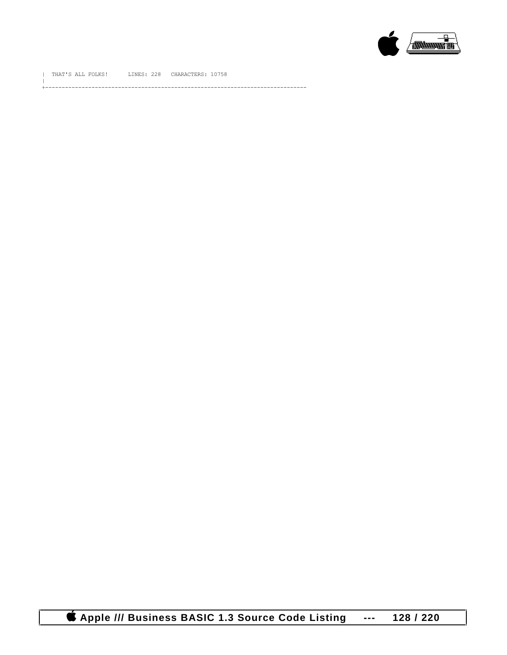

| THAT'S ALL FOLKS! LINES: 228 CHARACTERS: 10758

 $\|$ +-------------------------------------------------------------------------------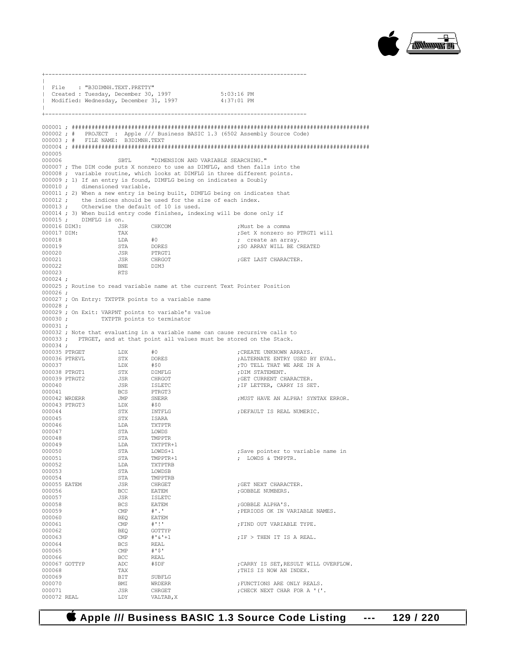

+-------------------------------------------------------------------------------  $\|$ | File : "B3DIMNH.TEXT.PRETTY" | Created : Tuesday, December 30, 1997 5:03:16 PM Modified: Wednesday, December 31, 1997  $\|$ +------------------------------------------------------------------------------- 000001 ; ########################################################################################## 000002 ; # PROJECT : Apple /// Business BASIC 1.3 (6502 Assembly Source Code) 000003 ; # FILE NAME: B3DIMNH.TEXT 000004 ; ########################################################################################## 000005 SBTL "DIMENSION AND VARIABLE SEARCHING." 000007 ; The DIM code puts X nonzero to use as DIMFLG, and then falls into the 000008 ; variable routine, which looks at DIMFLG in three different points. 000009 ; 1) If an entry is found, DIMFLG being on indicates a Doubly 000010 ; dimensioned variable. 000011 ; 2) When a new entry is being built, DIMFLG being on indicates that  $0.00012$  : the indices should be used for the size of each index. 000012 ; the indices should be used for the size of each index.<br>000013 : Otherwise the default of 10 is used. Otherwise the default of 10 is used. 000014 ; 3) When build entry code finishes, indexing will be done only if 000015 ; DIMFLG is on. 000015 ; DIMFLG is on.<br>000016 DIM3: JSR 000016 DIM3: JSR CHKCOM ;Must be a comma 000017 DIM: TAX  $\downarrow 0$ <br>000018 T.D.  $\downarrow 0$   $\downarrow 0$   $\downarrow$   $\downarrow 0$   $\downarrow$   $\downarrow$   $\downarrow$   $\downarrow$   $\downarrow$   $\downarrow$   $\downarrow$   $\downarrow$   $\downarrow$   $\downarrow$   $\downarrow$   $\downarrow$   $\downarrow$   $\downarrow$   $\downarrow$   $\downarrow$   $\downarrow$   $\downarrow$   $\downarrow$   $\downarrow$   $\downarrow$   $\downarrow$   $\downarrow$   $\downarrow$   $\downarrow$   $\downarrow$  000018 LDA #0 ; create an array. 000019 STA DORES ;SO ARRAY WILL BE CREATED 000020 JSR PTRGT1<br>000021 JSR CHRGOT JSR CHRGOT ;GET LAST CHARACTER.<br>
BNE DIM3 000022 BNE<br>000023 RTS 000023 000024 ; 000025 ; Routine to read variable name at the current Text Pointer Position 000026 ; 000027 ; On Entry: TXTPTR points to a variable name 000028 ; 000029 ; On Exit: VARPNT points to variable's value<br>000030 ; TXTPTR points to terminator TXTPTR points to terminator 000031 ; 000032 ; Note that evaluating in a variable name can cause recursive calls to 000033 ; PTRGET, and at that point all values must be stored on the Stack. 000034 ; 000035 PTRGET LDX #0 ;CREATE UNKNOWN ARRAYS. 000036 PTREVL STX DORES ;ALTERNATE ENTRY USED BY EVAL. 000037 LDX #\$0 ;TO TELL THAT WE ARE IN A 000038 PTRGT1 STX DIMFLG ;DIM STATEMENT. 000039 PTRGT2 JSR CHRGOT ;GET CURRENT CHARACTER. 000040 JSR ISLETC ;IF LETTER, CARRY IS SET. 000041 BCS PTRGT3<br>000042 WRDERR JMP SNERR : MUST HAVE AN ALPHA! SYNTAX ERROR. 000043 PTRGT3 LDX #\$0<br>000044 STX TNTE 000044 STX INTFLG ;DEFAULT IS REAL NUMERIC. 000045 STX ISARA 000046 LDA TXTPTR 000047 STA<br>000048 STA 000048 STA TMPPTR<br>000049 DDA TXTPTR  $\begin{tabular}{llllllll} \multicolumn{2}{c}{\textbf{1D}} & \multicolumn{2}{c}{\textbf{D}} & \multicolumn{2}{c}{\textbf{1D}} \\ \multicolumn{2}{c}{\textbf{1D}} & \multicolumn{2}{c}{\textbf{1D}} & \multicolumn{2}{c}{\textbf{2D}} \\ \multicolumn{2}{c}{\textbf{1D}} & \multicolumn{2}{c}{\textbf{3D}} & \multicolumn{2}{c}{\textbf{2D}} \\ \multicolumn{2}{c}{\textbf{1D}} & \multicolumn{2}{c}{\textbf{3D}} & \multicolumn{2}{c}{\textbf{2D}} \\ \multicolumn{2$ 000050 STA LOWDS+1 ;Save pointer to variable name in  $\begin{tabular}{lllllllllll} 000051 & \multicolumn{3}{l}{{\bf STA}} & \multicolumn{3}{l}{{\bf TMPPR+1}} & \multicolumn{3}{l}{{\bf TMPTPRB}} & \multicolumn{3}{l}{{\bf TMPPR+1}}\\ 000052 & \multicolumn{3}{l}{{\bf LDA}} & \multicolumn{3}{l}{{\bf TMPPRB}} & \multicolumn{3}{l}{{\bf TMPPR+1}} & \multicolumn{3}{l}{{\bf TMPPR+1}} & \multicolumn{3}{l}{{\bf TMP+1}} & \multicolumn{3}{l}{{\bf TMP+1}} & \multicolumn{3}{l}{{\$ 000052 LDA TXTPTRB<br>000053 STA LOWDSB 000053 STA LOWDSB % 000054 <br>000055 EATEM 5SR CHRGET 000055 EATEM JSR CHRGET ;GET NEXT CHARACTER. 000056 BCC EATEM ;GOBBLE NUMBERS. 000057 JSR ISLETC<br>000058 BCS EATEM 000058 BCS EATEM ;GOBBLE ALPHA'S. CMP  $\#'.'.$  (PERIODS OK IN VARIABLE NAMES. BEO EATEM 000060 BEQ EATEN<br>000061 CMP #'!' 000061 CMP  $\text{\#} ' ! '$  ; FIND OUT VARIABLE TYPE.<br>000062 BEQ GOTTYP 000062 BEQ GOTTYP<br>000063 CMP #'&'+1  $\begin{array}{lll} \mbox{CMP} & & \#^{\ast} \& ^{\dag} \!+\! 1 & & \\ & \mbox{BCS} & & \mbox{REAL} & & \\ \mbox{BCS} & & \mbox{REAL} & & \end{array} \qquad \qquad \begin{array}{lll} \mbox{F} \; > \; \mbox{THEN} \; \; \mbox{IT} \; \; \mbox{IS} \; \; \mbox{A} \; \; \mbox{REAL} \,. \end{array}$ 000064 BCS REAL <br/> REAL <br/>  $\begin{matrix} \text{BCS} & \text{R} \text{EAL} \\ \text{000065} & \text{CMP} & \text{H} \end{matrix}$ 000065 CMP #'\$' 000066 BCC REAL ; CARRY IS SET, RESULT WILL OVERFLOW. 000068 TAX ;THIS IS NOW AN INDEX. 000069 BIT SUBFLG<br>000070 BMI WRDERR 000070 BMI WRDERR ;FUNCTIONS ARE ONLY REALS. JSR CHRGET ;CHECK NEXT CHAR FOR A '('. 000072 REAL

 **Apple /// Business BASIC 1.3 Source Code Listing --- 129 / 220**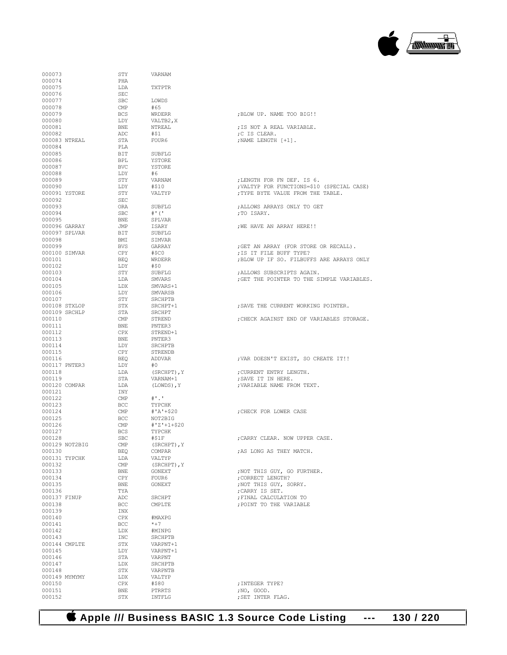

| 000073           | STY                     | VARNAM                |                                            |
|------------------|-------------------------|-----------------------|--------------------------------------------|
| 000074           | PHA                     | TXTPTR                |                                            |
| 000075           | LDA                     |                       |                                            |
| 000076           | SEC                     |                       |                                            |
| 000077           | <b>SBC</b>              | LOWDS                 |                                            |
| 000078           | CMP                     | #65                   |                                            |
| 000079           | BCS                     | WRDERR                | ; BLOW UP. NAME TOO BIG!!                  |
| 000080           | LDY                     | VALTB2, X             |                                            |
| 000081           | BNE                     | NTREAL                | ; IS NOT A REAL VARIABLE.                  |
| 000082           | ADC                     | #\$1                  | ;C IS CLEAR.                               |
| 000083 NTREAL    | STA                     | FOUR6                 | ; NAME LENGTH [+1].                        |
| 000084           | PLA                     |                       |                                            |
| 000085           | BIT                     | SUBFLG                |                                            |
| 000086           | BPL                     | YSTORE                |                                            |
| 000087           | BVC                     | YSTORE                |                                            |
| 000088           | LDY                     | #6                    |                                            |
| 000089           | STY                     | VARNAM                | ;LENGTH FOR FN DEF. IS 6.                  |
| 000090           | LDY                     | #\$10                 | ; VALTYP FOR FUNCTIONS=\$10 (SPECIAL CASE) |
| 000091 YSTORE    | STY                     | VALTYP                | ; TYPE BYTE VALUE FROM THE TABLE.          |
| 000092           | SEC                     |                       |                                            |
| 000093           | ORA                     | SUBFLG                | ; ALLOWS ARRAYS ONLY TO GET                |
| 000094           | <b>SBC</b>              | #' ( '                | ;TO ISARY.                                 |
| 000095           | BNE                     | SPLVAR                |                                            |
| 000096 GARRAY    | JMP                     | ISARY                 | ; WE HAVE AN ARRAY HERE!!                  |
| 000097 SPLVAR    | BIT                     | SUBFLG                |                                            |
| 000098           | BMI                     | SIMVAR                |                                            |
| 000099           | BVS                     | GARRAY                | ; GET AN ARRAY (FOR STORE OR RECALL).      |
| 000100 SIMVAR    | CPY                     | #\$C0                 | ; IS IT FILE BUFF TYPE?                    |
| 000101           | BEO                     | WRDERR                | ; BLOW UP IF SO. FILBUFFS ARE ARRAYS ONLY  |
| 000102           | LDY                     | #\$0                  |                                            |
| 000103           | STY                     | SUBFLG                | ; ALLOWS SUBSCRIPTS AGAIN.                 |
| 000104           | LDA                     | SMVARS                | ; GET THE POINTER TO THE SIMPLE VARIABLES. |
| 000105           | LDX                     | SMVARS+1              |                                            |
| 000106           | LDY                     | SMVARSB               |                                            |
| 000107           | STY                     | SRCHPTB               |                                            |
| 000108 STXLOP    | STX                     | SRCHPT+1              | ; SAVE THE CURRENT WORKING POINTER.        |
| 000109 SRCHLP    | STA                     | SRCHPT                |                                            |
| 000110           | CMP                     | STREND                | ; CHECK AGAINST END OF VARIABLES STORAGE.  |
| 000111           | BNE                     | PNTER3                |                                            |
| 000112           | CPX                     | STREND+1              |                                            |
| 000113           | BNE                     | PNTER3                |                                            |
| 000114           | LDY                     | SRCHPTB               |                                            |
| 000115           | CPY                     | STRENDB               |                                            |
| 000116           | BEO                     | ADDVAR                | ; VAR DOESN'T EXIST, SO CREATE IT!!        |
| 000117 PNTER3    | LDY                     | #0                    |                                            |
| 000118           | LDA                     | (SRCHPT), Y           | ; CURRENT ENTRY LENGTH.                    |
| 000119           | STA                     | VARNAM+1              | ; SAVE IT IN HERE.                         |
| 000120 COMPAR    | LDA                     | (LOWDS),Y             | ; VARIABLE NAME FROM TEXT.                 |
| 000121           | INY                     |                       |                                            |
| 000122           | CMP                     | $\#$ .                |                                            |
| 000123           | BCC                     | TYPCHK                |                                            |
| 000124           | $\mathsf{CMP}$          | #'A'+\$20             | ; CHECK FOR LOWER CASE                     |
|                  |                         |                       |                                            |
| 000125<br>000126 | BCC<br>CMP              | NOT2BIG               |                                            |
| 000127           | <b>BCS</b>              | #'Z'+1+\$20<br>TYPCHK |                                            |
| 000128           | SBC                     | #\$1F                 | ; CARRY CLEAR. NOW UPPER CASE.             |
| 000129 NOT2BIG   |                         |                       |                                            |
| 000130           | CMP                     | (SRCHPT), Y           | ; AS LONG AS THEY MATCH.                   |
| 000131 TYPCHK    | BEQ                     | COMPAR<br>VALTYP      |                                            |
|                  | LDA                     |                       |                                            |
| 000132           | $\mathop{\mathrm{CMP}}$ | (SRCHPT), Y           |                                            |
| 000133           | BNE                     | GONEXT                | ; NOT THIS GUY, GO FURTHER.                |
| 000134           | CPY                     | FOUR6                 | ; CORRECT LENGTH?                          |
| 000135           | BNE                     | GONEXT                | ; NOT THIS GUY, SORRY.                     |
| 000136           | TYA                     |                       | ; CARRY IS SET.                            |
| 000137 FINUP     | ADC                     | SRCHPT                | : FINAL CALCULATION TO                     |
| 000138           | BCC                     | CMPLTE                | ; POINT TO THE VARIABLE                    |
| 000139           | INX                     |                       |                                            |
| 000140           | CPX                     | #MAXPG                |                                            |
| 000141           | BCC                     | $*+7$                 |                                            |
| 000142           | LDX                     | #MINPG                |                                            |
| 000143           | INC                     | SRCHPTB               |                                            |
| 000144 CMPLTE    | STX                     | VARPNT+1              |                                            |
| 000145           | LDY                     | VARPNT+1              |                                            |
| 000146           | STA                     | VARPNT                |                                            |
| 000147           | LDX                     | SRCHPTB               |                                            |
| 000148           | STX                     | VARPNTB               |                                            |
| 000149 MYMYMY    | LDX                     | VALTYP                |                                            |
| 000150           | CPX                     | #\$80                 | ; INTEGER TYPE?                            |
| 000151           | BNE                     | PTRRTS                | ;NO, GOOD.                                 |
| 000152           | STX                     | INTFLG                | ; SET INTER FLAG.                          |

 **Apple /// Business BASIC 1.3 Source Code Listing --- 130 / 220**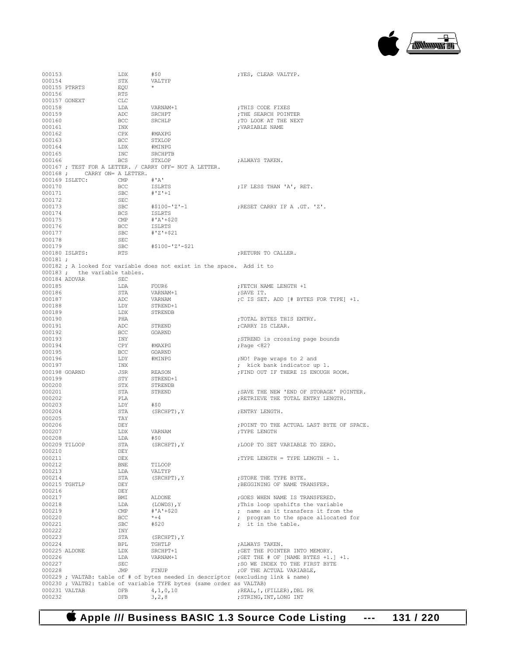

| 000153        |                              | LDX            | #\$0                                                                              | ; YES, CLEAR VALTYP.                      |
|---------------|------------------------------|----------------|-----------------------------------------------------------------------------------|-------------------------------------------|
| 000154        |                              | STX            | VALTYP                                                                            |                                           |
|               | 000155 PTRRTS                | EQU            |                                                                                   |                                           |
| 000156        |                              | RTS            |                                                                                   |                                           |
|               | 000157 GONEXT                | CLC            |                                                                                   |                                           |
| 000158        |                              | LDA            | VARNAM+1                                                                          | ; THIS CODE FIXES                         |
| 000159        |                              | ADC            | SRCHPT                                                                            | ; THE SEARCH POINTER                      |
| 000160        |                              | BCC            | SRCHLP                                                                            | ; TO LOOK AT THE NEXT                     |
| 000161        |                              | INX            |                                                                                   | ; VARIABLE NAME                           |
| 000162        |                              | CPX            | #MAXPG                                                                            |                                           |
| 000163        |                              | BCC            | STXLOP                                                                            |                                           |
| 000164        |                              | LDX            | #MINPG                                                                            |                                           |
| 000165        |                              | INC            | SRCHPTB                                                                           |                                           |
| 000166        |                              | BCS            | STXLOP                                                                            | ; ALWAYS TAKEN.                           |
|               |                              |                | 000167 ; TEST FOR A LETTER. / CARRY OFF= NOT A LETTER.                            |                                           |
|               | 000168; CARRY ON= A LETTER.  |                |                                                                                   |                                           |
|               | 000169 ISLETC:               | CMP            | #'A'                                                                              |                                           |
| 000170        |                              | BCC            | ISLRTS                                                                            | ; IF LESS THAN 'A', RET.                  |
| 000171        |                              | SBC            | #'Z'+1                                                                            |                                           |
| 000172        |                              | SEC            |                                                                                   |                                           |
| 000173        |                              | SBC            | #\$100-'Z'-1                                                                      | ;RESET CARRY IF A .GT. 'Z'.               |
| 000174        |                              | BCS            | ISLRTS                                                                            |                                           |
| 000175        |                              | $\mathsf{CMP}$ | #'A'+\$20                                                                         |                                           |
| 000176        |                              | BCC            | ISLRTS                                                                            |                                           |
|               |                              |                | #'Z'+\$21                                                                         |                                           |
| 000177        |                              | SBC            |                                                                                   |                                           |
| 000178        |                              | SEC            |                                                                                   |                                           |
| 000179        |                              | SBC            | #\$100-'Z'-\$21                                                                   |                                           |
|               | 000180 ISLRTS:               | RTS            |                                                                                   | ; RETURN TO CALLER.                       |
| $000181$ ;    |                              |                |                                                                                   |                                           |
|               |                              |                | 000182 ; A looked for variable does not exist in the space. Add it to             |                                           |
|               | 000183; the variable tables. |                |                                                                                   |                                           |
|               | 000184 ADDVAR                | SEC            |                                                                                   |                                           |
| 000185        |                              | LDA            | FOUR6                                                                             | ; FETCH NAME LENGTH +1                    |
| 000186        |                              | STA            | VARNAM+1                                                                          | ;SAVE IT.                                 |
| 000187        |                              | ADC            | VARNAM                                                                            | ;C IS SET. ADD [# BYTES FOR TYPE] +1.     |
| 000188        |                              | LDY            | STREND+1                                                                          |                                           |
| 000189        |                              | LDX            | STRENDB                                                                           |                                           |
| 000190        |                              | PHA            |                                                                                   | ; TOTAL BYTES THIS ENTRY.                 |
| 000191        |                              | ADC            | STREND                                                                            | ; CARRY IS CLEAR.                         |
| 000192        |                              | BCC            | GOARND                                                                            |                                           |
| 000193        |                              | INY            |                                                                                   | ; STREND is crossing page bounds          |
| 000194        |                              | CPY            | #MAXPG                                                                            | ; Page $\leq 82$ ?                        |
| 000195        |                              | BCC            | GOARND                                                                            |                                           |
| 000196        |                              | LDY            | #MINPG                                                                            | ;NO! Page wraps to 2 and                  |
| 000197        |                              | INX            |                                                                                   | ; kick bank indicator up 1.               |
| 000198 GOARND |                              | JSR            | REASON                                                                            | ; FIND OUT IF THERE IS ENOUGH ROOM.       |
| 000199        |                              | STY            | STREND+1                                                                          |                                           |
| 000200        |                              | STX            | STRENDB                                                                           |                                           |
| 000201        |                              | STA            | STREND                                                                            | ; SAVE THE NEW 'END OF STORAGE' POINTER.  |
| 000202        |                              | PLA            |                                                                                   | ; RETRIEVE THE TOTAL ENTRY LENGTH.        |
| 000203        |                              | LDY            | #50                                                                               |                                           |
| 000204        |                              | STA            | (SRCHPT), Y                                                                       | ENTRY LENGTH.                             |
| 000205        |                              | TAY            |                                                                                   |                                           |
| 000206        |                              | DEY            |                                                                                   | ; POINT TO THE ACTUAL LAST BYTE OF SPACE. |
| 000207        |                              | LDX            | VARNAM                                                                            | ; TYPE LENGTH                             |
| 000208        |                              | LDA            | #\$0                                                                              |                                           |
| 000209 TILOOP |                              | STA            | (SRCHPT), Y                                                                       | ; LOOP TO SET VARIABLE TO ZERO.           |
| 000210        |                              | DEY            |                                                                                   |                                           |
| 000211        |                              | <b>DEX</b>     |                                                                                   | ; TYPE LENGTH = TYPE LENGTH - 1.          |
| 000212        |                              | <b>BNE</b>     | TILOOP                                                                            |                                           |
| 000213        |                              | LDA            | VALTYP                                                                            |                                           |
| 000214        |                              | STA            | (SRCHPT), Y                                                                       | ; STORE THE TYPE BYTE.                    |
| 000215 TGHTLP |                              | DEY            |                                                                                   | ; BEGGINING OF NAME TRANSFER.             |
| 000216        |                              | DEY            |                                                                                   |                                           |
| 000217        |                              | BMI            | ALDONE                                                                            | ; GOES WHEN NAME IS TRANSFERED.           |
| 000218        |                              | LDA            | (LOWDS), Y                                                                        | ; This loop upshifts the variable         |
| 000219        |                              | CMP            | $#'A' + $20$                                                                      | ; name as it transfers it from the        |
| 000220        |                              | BCC            | $*+4$                                                                             | ; program to the space allocated for      |
| 000221        |                              | <b>SBC</b>     | #\$20                                                                             | ; it in the table.                        |
| 000222        |                              | INY            |                                                                                   |                                           |
|               |                              |                |                                                                                   |                                           |
| 000223        |                              | STA            | (SRCHPT), Y                                                                       |                                           |
| 000224        |                              | BPL            | TGHTLP                                                                            | ; ALWAYS TAKEN.                           |
| 000225 ALDONE |                              | LDX            | SRCHPT+1                                                                          | ; GET THE POINTER INTO MEMORY.            |
| 000226        |                              | LDA            | VARNAM+1                                                                          | ; GET THE # OF [NAME BYTES +1.] +1.       |
| 000227        |                              | <b>SEC</b>     |                                                                                   | ; SO WE INDEX TO THE FIRST BYTE           |
| 000228        |                              | JMP            | FINUP                                                                             | ; OF THE ACTUAL VARIABLE,                 |
|               |                              |                | 000229 ; VALTAB: table of # of bytes needed in descriptor (excluding link & name) |                                           |
|               |                              |                | 000230 ; VALTB2: table of variable TYPE bytes (same order as VALTAB)              |                                           |
| 000231 VALTAB |                              | DFB            | 4, 1, 0, 10                                                                       | ; REAL, !, (FILLER), DBL PR               |
| 000232        |                              | DFB            | 3, 2, 8                                                                           | ; STRING, INT, LONG INT                   |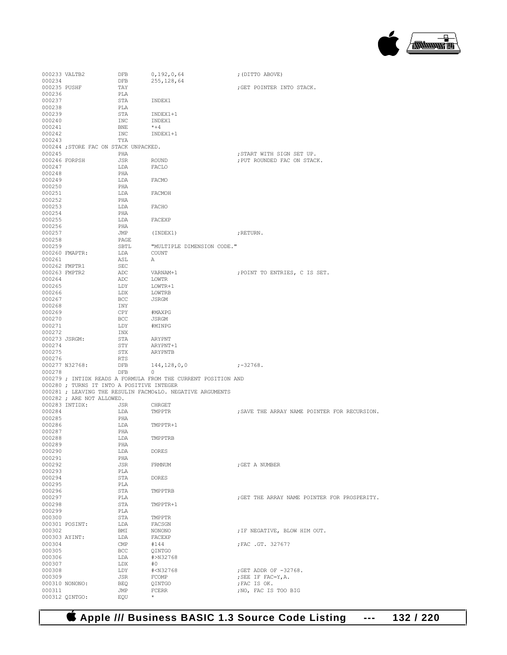

| 000233 VALTB2           |                                           | DFB               | 0,192,0,64                                                    | ; (DITTO ABOVE)                                        |
|-------------------------|-------------------------------------------|-------------------|---------------------------------------------------------------|--------------------------------------------------------|
| 000234                  |                                           | DFB               | 255, 128, 64                                                  |                                                        |
| 000235 PUSHF            |                                           | TAY               |                                                               | GET POINTER INTO STACK.                                |
| 000236                  |                                           | PLA               |                                                               |                                                        |
| 000237<br>000238        |                                           | STA<br>PLA        | INDEX1                                                        |                                                        |
| 000239                  |                                           | STA               | INDEX1+1                                                      |                                                        |
| 000240                  |                                           | INC               | INDEX1                                                        |                                                        |
| 000241                  |                                           | BNE               | $*+4$                                                         |                                                        |
| 000242                  |                                           | INC               | INDEX1+1                                                      |                                                        |
| 000243                  |                                           | TYA               |                                                               |                                                        |
|                         | 000244; STORE FAC ON STACK UNPACKED.      |                   |                                                               |                                                        |
| 000245                  | 000246 FORPSH                             | PHA               |                                                               | START WITH SIGN SET UP.<br>; PUT ROUNDED FAC ON STACK. |
| 000247                  |                                           | JSR<br>LDA        | ROUND<br>FACLO                                                |                                                        |
| 000248                  |                                           | PHA               |                                                               |                                                        |
| 000249                  |                                           | LDA               | FACMO                                                         |                                                        |
| 000250                  |                                           | PHA               |                                                               |                                                        |
| 000251                  |                                           | LDA               | FACMOH                                                        |                                                        |
| 000252                  |                                           | PHA               |                                                               |                                                        |
| 000253                  |                                           | LDA               | FACHO                                                         |                                                        |
| 000254<br>000255        |                                           | PHA<br>LDA FACEXP |                                                               |                                                        |
| 000256                  |                                           | PHA               |                                                               |                                                        |
| 000257                  |                                           | JMP               | (INDEX1)                                                      | ; RETURN.                                              |
| 000258                  |                                           | PAGE              |                                                               |                                                        |
| 000259                  |                                           | SBTL              | "MULTIPLE DIMENSION CODE."                                    |                                                        |
|                         | 000260 FMAPTR:                            | LDA               | COUNT                                                         |                                                        |
| 000261                  |                                           | ASL               | A                                                             |                                                        |
|                         | 000262 FMPTR1                             | SEC               |                                                               |                                                        |
| 000263 FMPTR2           |                                           | ADC<br>ADC        | VARNAM+1<br>LOWTR                                             | ; POINT TO ENTRIES, C IS SET.                          |
| 000264<br>000265        |                                           | LDY               | LOWTR+1                                                       |                                                        |
| 000266                  |                                           | LDX               | LOWTRB                                                        |                                                        |
| 000267                  |                                           | BCC               | JSRGM                                                         |                                                        |
| 000268                  |                                           | INY               |                                                               |                                                        |
| 000269                  |                                           | CPY               | #MAXPG                                                        |                                                        |
| 000270                  |                                           | BCC               | JSRGM                                                         |                                                        |
| 000271                  |                                           | LDY               | #MINPG                                                        |                                                        |
| 000272<br>000273 JSRGM: |                                           | INX<br>STA        | ARYPNT                                                        |                                                        |
| 000274                  |                                           | STY               | ARYPNT+1                                                      |                                                        |
| 000275                  |                                           | STX               | ARYPNTB                                                       |                                                        |
| 000276                  |                                           | RTS               |                                                               |                                                        |
|                         | 000277 N32768:                            | DFB               | 144, 128, 0, 0                                                | $; -32768.$                                            |
| 000278                  |                                           | DFB               | 0                                                             |                                                        |
|                         |                                           |                   | 000279 ; INTIDX READS A FORMULA FROM THE CURRENT POSITION AND |                                                        |
|                         | 000280 ; TURNS IT INTO A POSITIVE INTEGER |                   | 000281 ; LEAVING THE RESULIN FACMO&LO. NEGATIVE ARGUMENTS     |                                                        |
|                         | 000282 ; ARE NOT ALLOWED.                 |                   |                                                               |                                                        |
|                         | 000283 INTIDX:                            | JSR               | CHRGET                                                        |                                                        |
| 000284                  |                                           | LDA               | TMPPTR                                                        | ; SAVE THE ARRAY NAME POINTER FOR RECURSION.           |
| 000285                  |                                           | PHA               |                                                               |                                                        |
| 000286                  |                                           | LDA               | TMPPTR+1                                                      |                                                        |
| 000287                  |                                           | PHA               |                                                               |                                                        |
| 000288                  |                                           | LDA               | TMPPTRB                                                       |                                                        |
| 000289<br>000290        |                                           | PHA<br>LDA        | <b>DORES</b>                                                  |                                                        |
| 000291                  |                                           | PHA               |                                                               |                                                        |
| 000292                  |                                           | JSR               | FRMNUM                                                        | ; GET A NUMBER                                         |
| 000293                  |                                           | PLA               |                                                               |                                                        |
| 000294                  |                                           | STA               | <b>DORES</b>                                                  |                                                        |
| 000295                  |                                           | PLA               |                                                               |                                                        |
| 000296                  |                                           | STA               | TMPPTRB                                                       |                                                        |
| 000297                  |                                           | PLA               |                                                               | ; GET THE ARRAY NAME POINTER FOR PROSPERITY.           |
| 000298<br>000299        |                                           | STA<br>PLA        | TMPPTR+1                                                      |                                                        |
| 000300                  |                                           | STA               | TMPPTR                                                        |                                                        |
|                         | 000301 POSINT:                            | LDA               | FACSGN                                                        |                                                        |
| 000302                  |                                           | BMI               | NONONO                                                        | ; IF NEGATIVE, BLOW HIM OUT.                           |
| 000303 AYINT:           |                                           | LDA               | FACEXP                                                        |                                                        |
| 000304                  |                                           | CMP               | #144                                                          | FAC .GT. 32767?                                        |
| 000305                  |                                           | BCC               | QINTGO                                                        |                                                        |
| 000306<br>000307        |                                           | LDA<br>LDX        | #>N32768<br>#0                                                |                                                        |
| 000308                  |                                           | LDY               | # <n32768< td=""><td>;GET ADDR OF -32768.</td></n32768<>      | ;GET ADDR OF -32768.                                   |
| 000309                  |                                           | JSR               | FCOMP                                                         | ; SEE IF FAC=Y, A.                                     |
|                         | 000310 NONONO:                            | <b>BEQ</b>        | QINTGO                                                        | ; FAC IS OK.                                           |
| 000311                  |                                           | JMP               | <b>FCERR</b>                                                  | ; NO, FAC IS TOO BIG                                   |
|                         | 000312 QINTGO:                            | EQU               | $^{\star}$                                                    |                                                        |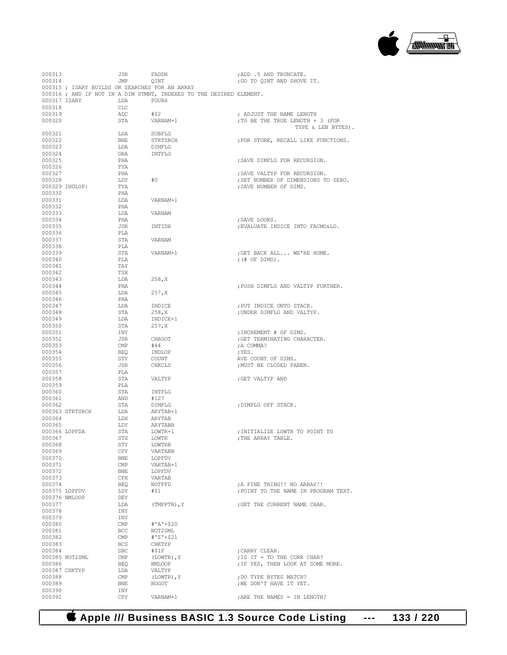

| 000313           |                 | JSR                     | FADDH                                                               | ; ADD .5 AND TRUNCATE.               |
|------------------|-----------------|-------------------------|---------------------------------------------------------------------|--------------------------------------|
| 000314           |                 | JMP                     | QINT                                                                | ; GO TO OINT AND SHOVE IT.           |
|                  |                 |                         | 000315 ; ISARY BUILDS OR SEARCHES FOR AN ARRAY                      |                                      |
|                  |                 |                         | 000316 ; AND IF NOT IN A DIM STMNT, INDEXES TO THE DESIRED ELEMENT. |                                      |
|                  | 000317 ISARY    | LDA                     | FOUR6                                                               |                                      |
| 000318           |                 | CLC                     |                                                                     |                                      |
| 000319           |                 | ADC                     | #\$2                                                                | ; ADJUST THE NAME LENGTH             |
| 000320           |                 | STA                     | VARNAM+1                                                            | ; TO BE THE TRUE LENGTH + 3 (FOR     |
|                  |                 |                         |                                                                     | TYPE & LEN BYTES).                   |
| 000321           |                 | LDA                     | SUBFLG                                                              |                                      |
| 000322           |                 | <b>BNE</b>              | STRTSRCH                                                            | ; FOR STORE, RECALL LIKE FUNCTIONS.  |
| 000323           |                 | LDA                     | DIMFLG                                                              |                                      |
| 000324           |                 | ORA                     | INTFLG                                                              |                                      |
| 000325           |                 | PHA                     |                                                                     | ; SAVE DIMFLG FOR RECURSION.         |
| 000326           |                 | TYA                     |                                                                     |                                      |
| 000327           |                 | PHA                     |                                                                     | ; SAVE VALTYP FOR RECURSION.         |
| 000328           |                 | LDY                     | #0                                                                  | ; SET NUMBER OF DIMENSIONS TO ZERO.  |
|                  | 000329 INDLOP:  | TYA                     |                                                                     | ; SAVE NUMBER OF DIMS.               |
| 000330           |                 | PHA                     |                                                                     |                                      |
| 000331           |                 | LDA                     | VARNAM+1                                                            |                                      |
| 000332           |                 | PHA                     |                                                                     |                                      |
| 000333           |                 | LDA                     | VARNAM                                                              |                                      |
| 000334           |                 | PHA                     |                                                                     | ; SAVE LOOKS.                        |
| 000335           |                 | JSR                     | INTIDX                                                              | ; EVALUATE INDICE INTO FACMO&LO.     |
| 000336           |                 | PLA                     |                                                                     |                                      |
| 000337           |                 | STA                     | VARNAM                                                              |                                      |
| 000338           |                 | PLA                     |                                                                     |                                      |
| 000339           |                 | STA                     | VARNAM+1                                                            | ; GET BACK ALL WE'RE HOME.           |
| 000340           |                 | PLA                     |                                                                     | ; $(\#$ OF DIMS).                    |
| 000341           |                 | TAY                     |                                                                     |                                      |
| 000342           |                 | TSX                     |                                                                     |                                      |
| 000343           |                 | LDA                     | 258,X                                                               |                                      |
| 000344           |                 | PHA                     |                                                                     | ; PUSH DIMFLG AND VALTYP FURTHER.    |
| 000345           |                 | LDA                     | 257, X                                                              |                                      |
| 000346           |                 | PHA                     |                                                                     |                                      |
| 000347           |                 | LDA                     | INDICE                                                              | ; PUT INDICE ONTO STACK.             |
| 000348           |                 | STA                     | 258, X                                                              | ; UNDER DIMFLG AND VALTYP.           |
| 000349           |                 | LDA                     | INDICE+1                                                            |                                      |
| 000350           |                 | STA                     | 257, X                                                              |                                      |
| 000351<br>000352 |                 | INY<br>JSR              | CHRGOT                                                              | ; INCREMENT # OF DIMS.               |
| 000353           |                 | CMP                     | #44                                                                 | ; GET TERMINATING CHARACTER.         |
| 000354           |                 | BEO                     | INDLOP                                                              | ;A COMMA?<br>;YES.                   |
| 000355           |                 | STY                     | COUNT                                                               | AVE COUNT OF DIMS.                   |
| 000356           |                 | JSR                     | CHKCLS                                                              | ; MUST BE CLOSED PAREN.              |
| 000357           |                 | PLA                     |                                                                     |                                      |
| 000358           |                 | STA                     | VALTYP                                                              | ;GET VALTYP AND                      |
| 000359           |                 | PLA                     |                                                                     |                                      |
| 000360           |                 | STA                     | INTFLG                                                              |                                      |
| 000361           |                 | AND                     | #127                                                                |                                      |
| 000362           |                 | STA                     | DIMFLG                                                              | ; DIMFLG OFF STACK.                  |
|                  | 000363 STRTSRCH | LDA                     | ARYTAB+1                                                            |                                      |
| 000364           |                 | LDX                     | ARYTAB                                                              |                                      |
| 000365           |                 | LDY                     | ARYTABB                                                             |                                      |
|                  | 000366 LOPFDA   | STA                     | LOWTR+1                                                             | ; INITIALIZE LOWTR TO POINT TO       |
| 000367           |                 | STX                     | LOWTR                                                               | ; THE ARRAY TABLE.                   |
| 000368           |                 | STY                     | LOWTRB                                                              |                                      |
| 000369           |                 | CPY                     | VARTABB                                                             |                                      |
| 000370           |                 | BNE                     | LOPFDV                                                              |                                      |
| 000371           |                 | $\mathop{\mathrm{CMP}}$ | VARTAB+1                                                            |                                      |
| 000372           |                 | BNE                     | LOPFDV                                                              |                                      |
| 000373           |                 | CPX                     | VARTAB                                                              |                                      |
| 000374           |                 | BEQ                     | NOTFFD                                                              | ; A FINE THING!! NO ARRAY!!          |
| 000375 LOPFDV    |                 | LDY                     | #\$1                                                                | : POINT TO THE NAME IN PROGRAM TEXT. |
|                  | 000376 NMLOOP   | DEY                     |                                                                     |                                      |
| 000377           |                 | LDA                     | $(IMPTR)$ , $Y$                                                     | ; GET THE CURRENT NAME CHAR.         |
| 000378           |                 | INY                     |                                                                     |                                      |
| 000379           |                 | INY                     |                                                                     |                                      |
| 000380           |                 | $\mathsf{CMP}$          | $#'A' + $20$                                                        |                                      |
| 000381           |                 | <b>BCC</b>              | NOT2SML                                                             |                                      |
| 000382           |                 | CMP                     | $#'Z' + $21$                                                        |                                      |
| 000383           |                 | <b>BCS</b>              | CHKTYP                                                              |                                      |
| 000384           |                 | SBC                     | #S1F                                                                | ; CARRY CLEAR.                       |
|                  | 000385 NOT2SML  | CMP                     | (LOWTR), Y                                                          | ; IS IT = TO THE CURR CHAR?          |
| 000386           |                 | BEQ                     | NMLOOP                                                              | ; IF YES, THEN LOOK AT SOME MORE.    |
| 000387 CHKTYP    |                 | LDA                     | VALTYP                                                              |                                      |
| 000388           |                 | $\mathop{\mathrm{CMP}}$ | (LOWTR), Y                                                          | ; DO TYPE BYTES MATCH?               |
| 000389           |                 | BNE                     | NOGOT                                                               | ; WE DON'T HAVE IT YET.              |
| 000390           |                 | INY                     |                                                                     |                                      |
| 000391           |                 | CPY                     | VARNAM+1                                                            | ; ARE THE NAMES = IN LENGTH?         |

## **Apple /// Business BASIC 1.3 Source Code Listing --- 133 / 220**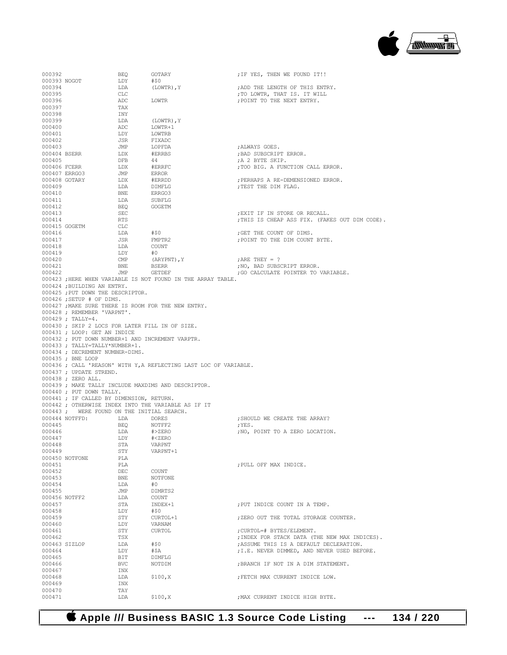

| 000392           |                                                                                 | BEQ               | GOTARY                                                                    | ; IF YES, THEN WE FOUND IT!!                               |
|------------------|---------------------------------------------------------------------------------|-------------------|---------------------------------------------------------------------------|------------------------------------------------------------|
| 000393 NOGOT     |                                                                                 | LDY               | #\$0                                                                      |                                                            |
| 000394           |                                                                                 | LDA               | (LOWTR), Y                                                                | ; ADD THE LENGTH OF THIS ENTRY.                            |
| 000395<br>000396 |                                                                                 | CLC<br>ADC        | <b>LOWTR</b>                                                              | ; TO LOWTR, THAT IS. IT WILL<br>; POINT TO THE NEXT ENTRY. |
| 000397           |                                                                                 | TAX               |                                                                           |                                                            |
| 000398           |                                                                                 | INY               |                                                                           |                                                            |
| 000399           |                                                                                 | LDA               | (LOWTR), Y                                                                |                                                            |
| 000400           |                                                                                 | ADC               | LOWTR+1                                                                   |                                                            |
| 000401           |                                                                                 | LDY               | LOWTRB                                                                    |                                                            |
| 000402<br>000403 |                                                                                 | JSR<br>JMP        | FIXADC<br>LOPFDA                                                          | ; ALWAYS GOES.                                             |
| 000404 BSERR     |                                                                                 | LDX               | #ERRBS                                                                    | ; BAD SUBSCRIPT ERROR.                                     |
| 000405           |                                                                                 | DFB               | 44                                                                        | ;A 2 BYTE SKIP.                                            |
| 000406 FCERR     |                                                                                 | LDX               | #ERRFC                                                                    | ; TOO BIG. A FUNCTION CALL ERROR.                          |
|                  | 000407 ERRGO3                                                                   | JMP               | ERROR                                                                     |                                                            |
|                  | 000408 GOTARY                                                                   | LDX               | #ERRDD                                                                    | ; PERHAPS A RE-DEMENSIONED ERROR.                          |
| 000409<br>000410 |                                                                                 | LDA<br>BNE        | <b>DIMFLG</b><br>ERRG03                                                   | ; TEST THE DIM FLAG.                                       |
| 000411           |                                                                                 | LDA               | SUBFLG                                                                    |                                                            |
| 000412           |                                                                                 | BEQ               | GOGETM                                                                    |                                                            |
| 000413           |                                                                                 | SEC               |                                                                           | ; EXIT IF IN STORE OR RECALL.                              |
| 000414           |                                                                                 | RTS               |                                                                           | ; THIS IS CHEAP ASS FIX. (FAKES OUT DIM CODE).             |
|                  | 000415 GOGETM                                                                   | <b>CLC</b>        |                                                                           |                                                            |
| 000416<br>000417 |                                                                                 | LDA<br>JSR        | #\$0<br>FMPTR2                                                            | ;GET THE COUNT OF DIMS.<br>; POINT TO THE DIM COUNT BYTE.  |
| 000418           |                                                                                 | LDA               | COUNT                                                                     |                                                            |
| 000419           |                                                                                 | LDY               | #0                                                                        |                                                            |
| 000420           |                                                                                 | $\text{CMP}$      | (ARYPNT), Y                                                               | ; ARE THEY = $?$                                           |
| 000421           |                                                                                 | BNE               | BSERR                                                                     | ; NO, BAD SUBSCRIPT ERROR.                                 |
| 000422           |                                                                                 | JMP               | GETDEF                                                                    | ; GO CALCULATE POINTER TO VARIABLE.                        |
|                  |                                                                                 |                   | 000423 ; HERE WHEN VARIABLE IS NOT FOUND IN THE ARRAY TABLE.              |                                                            |
|                  | 000424 ; BUILDING AN ENTRY.<br>000425 ; PUT DOWN THE DESCRIPTOR.                |                   |                                                                           |                                                            |
|                  | 000426 ; SETUP # OF DIMS.                                                       |                   |                                                                           |                                                            |
|                  |                                                                                 |                   | 000427 ; MAKE SURE THERE IS ROOM FOR THE NEW ENTRY.                       |                                                            |
|                  | 000428 ; REMEMBER 'VARPNT'.                                                     |                   |                                                                           |                                                            |
|                  | $000429$ ; TALLY=4.                                                             |                   |                                                                           |                                                            |
|                  | 000430 ; SKIP 2 LOCS FOR LATER FILL IN OF SIZE.<br>000431 ; LOOP: GET AN INDICE |                   |                                                                           |                                                            |
|                  | 000432 ; PUT DOWN NUMBER+1 AND INCREMENT VARPTR.                                |                   |                                                                           |                                                            |
|                  |                                                                                 |                   |                                                                           |                                                            |
|                  | 000433; TALLY=TALLY*NUMBER+1.                                                   |                   |                                                                           |                                                            |
|                  | 000434 ; DECREMENT NUMBER-DIMS.                                                 |                   |                                                                           |                                                            |
|                  | 000435 ; BNE LOOP                                                               |                   |                                                                           |                                                            |
|                  |                                                                                 |                   | 000436 ; CALL 'REASON' WITH Y, A REFLECTING LAST LOC OF VARIABLE.         |                                                            |
|                  | 000437 ; UPDATE STREND.                                                         |                   |                                                                           |                                                            |
|                  | 000438 ; ZERO ALL.                                                              |                   |                                                                           |                                                            |
|                  | 000440 ; PUT DOWN TALLY.                                                        |                   | 000439 ; MAKE TALLY INCLUDE MAXDIMS AND DESCRIPTOR.                       |                                                            |
|                  | 000441 ; IF CALLED BY DIMENSION, RETURN.                                        |                   |                                                                           |                                                            |
|                  |                                                                                 |                   | 000442 ; OTHERWISE INDEX INTO THE VARIABLE AS IF IT                       |                                                            |
|                  | 000443; WERE FOUND ON THE INITIAL SEARCH.                                       |                   |                                                                           |                                                            |
|                  | 000444 NOTFFD:                                                                  | LDA               | DORES                                                                     | ; SHOULD WE CREATE THE ARRAY?                              |
| 000445<br>000446 |                                                                                 | BEQ               | NOTFF2                                                                    | ;YES.                                                      |
| 000447           |                                                                                 | LDA<br>LDY        | #>ZERO<br># <zero< td=""><td>; NO, POINT TO A ZERO LOCATION.</td></zero<> | ; NO, POINT TO A ZERO LOCATION.                            |
| 000448           |                                                                                 | STA               | VARPNT                                                                    |                                                            |
| 000449           |                                                                                 | STY               | VARPNT+1                                                                  |                                                            |
|                  | 000450 NOTFONE                                                                  | PLA               |                                                                           |                                                            |
| 000451           |                                                                                 | PLA               |                                                                           | : PULL OFF MAX INDICE.                                     |
| 000452<br>000453 |                                                                                 | DEC<br>BNE        | COUNT<br>NOTFONE                                                          |                                                            |
| 000454           |                                                                                 | LDA               | #0                                                                        |                                                            |
| 000455           |                                                                                 | JMP               | DIMRTS2                                                                   |                                                            |
| 000456 NOTFF2    |                                                                                 | LDA               | COUNT                                                                     |                                                            |
| 000457           |                                                                                 | STA               | INDEX+1                                                                   | ; PUT INDICE COUNT IN A TEMP.                              |
| 000458           |                                                                                 | LDY               | #\$0                                                                      |                                                            |
| 000459<br>000460 |                                                                                 | STY<br>LDY        | CURTOL+1<br>VARNAM                                                        | ; ZERO OUT THE TOTAL STORAGE COUNTER.                      |
| 000461           |                                                                                 | STY               | CURTOL                                                                    | ; CURTOL=# BYTES/ELEMENT.                                  |
| 000462           |                                                                                 | TSX               |                                                                           | ; INDEX FOR STACK DATA (THE NEW MAX INDICES).              |
| 000463 SIZLOP    |                                                                                 | LDA               | #\$0                                                                      | ; ASSUME THIS IS A DEFAULT DECLERATION.                    |
| 000464           |                                                                                 | LDY               | #\$A                                                                      | ; I.E. NEVER DIMMED, AND NEVER USED BEFORE.                |
| 000465<br>000466 |                                                                                 | BIT<br><b>BVC</b> | DIMFLG<br>NOTDIM                                                          | ; BRANCH IF NOT IN A DIM STATEMENT.                        |
| 000467           |                                                                                 | INX               |                                                                           |                                                            |
| 000468           |                                                                                 | LDA               | \$100, X                                                                  | ; FETCH MAX CURRENT INDICE LOW.                            |
| 000469           |                                                                                 | INX               |                                                                           |                                                            |
| 000470<br>000471 |                                                                                 | TAY<br>LDA        | \$100, X                                                                  | ; MAX CURRENT INDICE HIGH BYTE.                            |

 **Apple /// Business BASIC 1.3 Source Code Listing --- 134 / 220**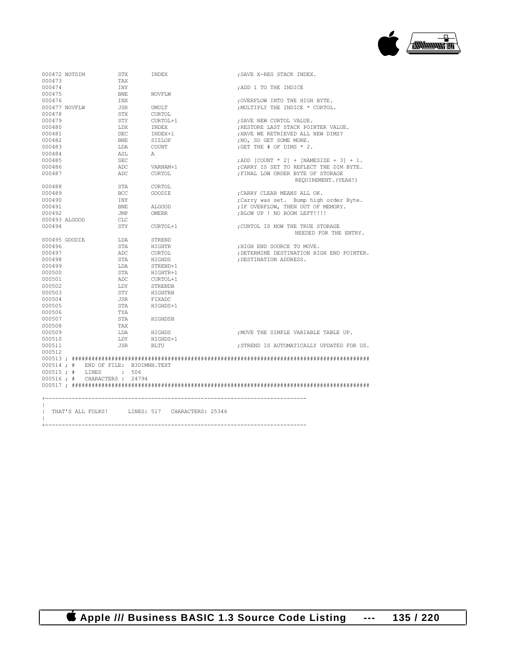

| 000472 NOTDIM                                                | STX        | INDEX                        | ; SAVE X-REG STACK INDEX.                                 |
|--------------------------------------------------------------|------------|------------------------------|-----------------------------------------------------------|
| 000473                                                       | TAX        |                              |                                                           |
| 000474                                                       | INY        |                              | ; ADD 1 TO THE INDICE                                     |
| 000475                                                       | <b>BNE</b> | NOVFLW                       |                                                           |
| 000476                                                       | INX        |                              | ; OVERFLOW INTO THE HIGH BYTE.                            |
| 000477 NOVFLW                                                | <b>JSR</b> | UMULT                        | ; MULTIPLY THE INDICE * CURTOL.                           |
| 000478                                                       | STX        | CURTOL                       |                                                           |
| 000479                                                       | STY        | CURTOL+1                     | ; SAVE NEW CURTOL VALUE.                                  |
| 000480                                                       | LDX        | INDEX                        | ; RESTORE LAST STACK POINTER VALUE.                       |
| 000481                                                       | <b>DEC</b> | INDEX+1                      | ; HAVE WE RETRIEVED ALL NEW DIMS?                         |
| 000482                                                       | <b>BNE</b> | STZLOP                       | :NO. SO GET SOME MORE.                                    |
| 000483                                                       | T.DA       | COUNT                        | ; GET THE $#$ OF DIMS $*$ 2.                              |
| 000484                                                       | ASL        | $\mathbb{A}$                 |                                                           |
| 000485                                                       | <b>SEC</b> |                              | ; ADD [COUNT * 2] + [NAMESIZE + 3] + 1.                   |
| 000486                                                       | ADC.       | VARNAM+1                     | : CARRY IS SET TO REFLECT THE DIM BYTE.                   |
| 000487                                                       | ADC        | CURTOL                       | ; FINAL LOW ORDER BYTE OF STORAGE<br>REQUIREMENT, (YEAH!) |
| 000488                                                       | STA        | CURTOL                       |                                                           |
| 000489                                                       | BCC.       | GOODTE.                      | : CARRY CLEAR MEANS ALL OK.                               |
| 000490                                                       | INY        |                              | ; Carry was set. Bump high order Byte.                    |
| 000491                                                       | <b>BNE</b> | ALGOOD                       | ; IF OVERFLOW, THEN OUT OF MEMORY.                        |
| 000492                                                       | JMP        | OMERR                        | ; BLOW UP ! NO ROOM LEFT!!!!                              |
| 000493 ALGOOD                                                | CT.C.      |                              |                                                           |
| 000494                                                       | STY        | CURTOL+1                     | ; CURTOL IS NOW THE TRUE STORAGE<br>NEEDED FOR THE ENTRY. |
| 000495 GOODIE                                                | LDA        | STREND                       |                                                           |
| 000496                                                       | STA        | HIGHTR                       | : HIGH END SOURCE TO MOVE.                                |
| 000497                                                       | ADC        | CURTOL                       | ; DETERMINE DESTINATION HIGH END POINTER.                 |
| 000498                                                       | STA        | HIGHDS                       | ; DESTINATION ADDRESS.                                    |
| 000499                                                       | LDA        | STREND+1                     |                                                           |
| 000500                                                       | STA        | HIGHTR+1                     |                                                           |
| 000501                                                       | ADC.       | CURTOL+1                     |                                                           |
| 000502                                                       | T.DY       | STRENDB                      |                                                           |
| 000503                                                       | STY        | HIGHTRB                      |                                                           |
| 000504                                                       | JSR        | FIXADC                       |                                                           |
| 000505                                                       | STA        | HTGHDS+1                     |                                                           |
| 000506                                                       | TYA        |                              |                                                           |
| 000507                                                       | <b>STA</b> | HIGHDSB                      |                                                           |
| 000508                                                       | TAX        |                              |                                                           |
| 000509                                                       | T.DA       | HIGHDS                       | : MOVE THE SIMPLE VARIABLE TABLE UP.                      |
| 000510                                                       | LDY        | HIGHDS+1                     |                                                           |
| 000511                                                       | JSR        | BLTU                         | : STREND IS AUTOMATICALLY UPDATED FOR US.                 |
| 000512                                                       |            |                              |                                                           |
|                                                              |            |                              |                                                           |
|                                                              |            |                              |                                                           |
| 000514; # END OF FILE: B3DIMNH.TEXT<br>000515; # LINES : 506 |            |                              |                                                           |
|                                                              |            |                              |                                                           |
| 000516 ; # CHARACTERS : 24794                                |            |                              |                                                           |
|                                                              |            |                              |                                                           |
|                                                              |            |                              |                                                           |
|                                                              |            |                              |                                                           |
| THAT'S ALL FOLKS!                                            |            | LINES: 517 CHARACTERS: 25346 |                                                           |
|                                                              |            |                              |                                                           |

+-------------------------------------------------------------------------------

 $\|$ 

 **Apple /// Business BASIC 1.3 Source Code Listing --- 135 / 220**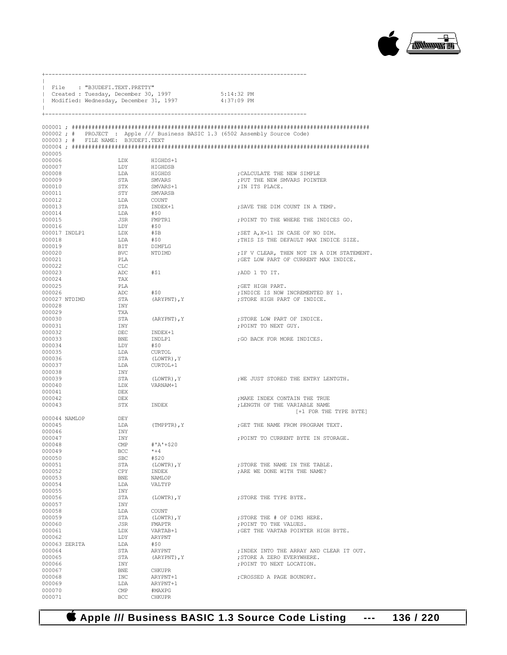

|                         | File : "B3UDEFI.TEXT.PRETTY"      |                     | Created : Tuesday, December 30, 1997   | 5:14:32 PM                                                                   |
|-------------------------|-----------------------------------|---------------------|----------------------------------------|------------------------------------------------------------------------------|
|                         |                                   |                     | Modified: Wednesday, December 31, 1997 | 4:37:09 PM                                                                   |
|                         |                                   |                     |                                        |                                                                              |
|                         | 000003; # FILE NAME: B3UDEFI.TEXT |                     |                                        | 000002; # PROJECT : Apple /// Business BASIC 1.3 (6502 Assembly Source Code) |
|                         |                                   |                     |                                        |                                                                              |
| 000005                  |                                   |                     |                                        |                                                                              |
| 000006                  |                                   | LDX                 | HIGHDS+1                               |                                                                              |
| 000007<br>000008        |                                   | LDY<br>LDA          | HIGHDSB<br>HIGHDS                      | ; CALCULATE THE NEW SIMPLE                                                   |
| 000009                  |                                   | STA                 | SMVARS                                 | ; PUT THE NEW SMVARS POINTER                                                 |
| 000010                  |                                   | STX                 | SMVARS+1                               | ; IN ITS PLACE.                                                              |
| 000011                  |                                   | STY                 | SMVARSB                                |                                                                              |
| 000012                  |                                   | LDA                 | COUNT                                  |                                                                              |
| 000013                  |                                   | STA                 | INDEX+1                                | ; SAVE THE DIM COUNT IN A TEMP.                                              |
| 000014<br>000015        |                                   | LDA<br>JSR          | #\$0<br>FMPTR1                         | ; POINT TO THE WHERE THE INDICES GO.                                         |
| 000016                  |                                   | LDY                 | #\$0                                   |                                                                              |
| 000017 INDLP1           |                                   | LDX                 | #\$B                                   | ; SET A, X=11 IN CASE OF NO DIM.                                             |
| 000018                  |                                   | LDA                 | #\$0                                   | ; THIS IS THE DEFAULT MAX INDICE SIZE.                                       |
| 000019                  |                                   | BIT                 | DIMFLG                                 |                                                                              |
| 000020                  |                                   | BVC<br>PT.A         | NTDIMD                                 | ; IF V CLEAR, THEN NOT IN A DIM STATEMENT.                                   |
| 000021<br>000022        |                                   | CLC                 |                                        | ; GET LOW PART OF CURRENT MAX INDICE.                                        |
| 000023                  |                                   | ADC                 | #\$1                                   | ;ADD 1 TO IT.                                                                |
| 000024                  |                                   | TAX                 |                                        |                                                                              |
| 000025                  |                                   | PLA                 |                                        | ;GET HIGH PART.                                                              |
| 000026                  |                                   | ADC                 | #\$0                                   | ; INDICE IS NOW INCREMENTED BY 1.                                            |
| 000027 NTDIMD<br>000028 |                                   | STA<br>INY          | (ARYPNT), Y                            | :STORE HIGH PART OF INDICE.                                                  |
| 000029                  |                                   | TXA                 |                                        |                                                                              |
| 000030                  |                                   | STA                 | (ARYPNT), Y                            | ; STORE LOW PART OF INDICE.                                                  |
| 000031                  |                                   | INY                 |                                        | ; POINT TO NEXT GUY.                                                         |
| 000032                  |                                   | DEC                 | INDEX+1                                |                                                                              |
| 000033                  |                                   | BNE                 | INDLP1                                 | ; GO BACK FOR MORE INDICES.                                                  |
| 000034<br>000035        |                                   | LDY<br>LDA          | #\$0<br>CURTOL                         |                                                                              |
| 000036                  |                                   | STA                 | (LOWTR), Y                             |                                                                              |
| 000037                  |                                   | LDA                 | CURTOL+1                               |                                                                              |
| 000038                  |                                   | INY                 |                                        |                                                                              |
| 000039                  |                                   | STA                 | (LOWTR), Y                             | ; WE JUST STORED THE ENTRY LENTGTH.                                          |
| 000040<br>000041        |                                   | LDX<br>DEX          | VARNAM+1                               |                                                                              |
| 000042                  |                                   | DEX                 |                                        | ; MAKE INDEX CONTAIN THE TRUE                                                |
| 000043                  |                                   | STX                 | INDEX                                  | ; LENGTH OF THE VARIABLE NAME                                                |
|                         |                                   |                     |                                        | [+1 FOR THE TYPE BYTE]                                                       |
| 000044 NAMLOP           |                                   | DEY                 |                                        |                                                                              |
| 000045<br>000046        |                                   | LDA<br>INY          | (TMPPTR), Y                            | ; GET THE NAME FROM PROGRAM TEXT.                                            |
| 000047                  |                                   | INY                 |                                        | ; POINT TO CURRENT BYTE IN STORAGE.                                          |
| 000048                  |                                   | $\mathsf{CMP}$      | #'A'+\$20                              |                                                                              |
| 000049                  |                                   | BCC                 | $* + 4$                                |                                                                              |
| 000050                  |                                   | <b>SBC</b>          | #\$20                                  |                                                                              |
| 000051                  |                                   | STA                 | (LOWTR), Y                             | ; STORE THE NAME IN THE TABLE.                                               |
| 000052<br>000053        |                                   | CPY<br>BNE          | INDEX<br>NAMLOP                        | ; ARE WE DONE WITH THE NAME?                                                 |
| 000054                  |                                   | LDA                 | VALTYP                                 |                                                                              |
| 000055                  |                                   | INY                 |                                        |                                                                              |
| 000056                  |                                   | STA                 | (LOWTR), Y                             | : STORE THE TYPE BYTE.                                                       |
| 000057                  |                                   | INY                 |                                        |                                                                              |
| 000058                  |                                   | LDA                 | COUNT                                  |                                                                              |
| 000059<br>000060        |                                   | STA<br>JSR          | (LOWTR), Y<br>FMAPTR                   | ; STORE THE # OF DIMS HERE.<br>; POINT TO THE VALUES.                        |
| 000061                  |                                   | LDX                 | VARTAB+1                               | ; GET THE VARTAB POINTER HIGH BYTE.                                          |
| 000062                  |                                   | LDY                 | ARYPNT                                 |                                                                              |
| 000063 ZERITA           |                                   | LDA                 | #\$0                                   |                                                                              |
| 000064                  |                                   | STA                 | ARYPNT                                 | ; INDEX INTO THE ARRAY AND CLEAR IT OUT.                                     |
| 000065<br>000066        |                                   | STA<br>INY          | (ARYPNT), Y                            | ; STORE A ZERO EVERYWHERE.<br>; POINT TO NEXT LOCATION.                      |
| 000067                  |                                   | BNE                 | CHKUPR                                 |                                                                              |
| 000068                  |                                   | INC                 | ARYPNT+1                               | ; CROSSED A PAGE BOUNDRY.                                                    |
| 000069                  |                                   | LDA                 | ARYPNT+1                               |                                                                              |
| 000070<br>000071        |                                   | $\text{CMP}$<br>BCC | #MAXPG<br><b>CHKUPR</b>                |                                                                              |
|                         |                                   |                     |                                        |                                                                              |

+-------------------------------------------------------------------------------

 **Apple /// Business BASIC 1.3 Source Code Listing --- 136 / 220**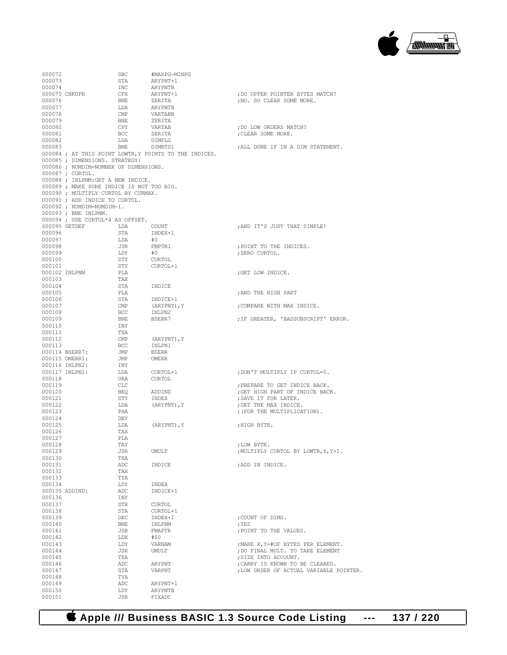

| 000072           |                                           | SBC                              | #MAXPG-MINPG                                           |                                                      |
|------------------|-------------------------------------------|----------------------------------|--------------------------------------------------------|------------------------------------------------------|
| 000073           |                                           | STA                              | ARYPNT+1                                               |                                                      |
| 000074           |                                           | INC                              | ARYPNTB                                                |                                                      |
|                  | 000075 CHKUPR                             | CPX                              | ARYPNT+1                                               | ; DO UPPER POINTER BYTES MATCH?                      |
| 000076           |                                           | BNE                              | ZERITA                                                 | ; NO. SO CLEAR SOME MORE.                            |
| 000077           |                                           | LDA                              | ARYPNTB                                                |                                                      |
| 000078           |                                           | $\mathsf{CMP}$                   | VARTABB                                                |                                                      |
| 000079           |                                           | BNE                              | ZERITA                                                 |                                                      |
| 000080           |                                           | CPY                              | VARTAB                                                 | ; DO LOW ORDERS MATCH?                               |
| 000081           |                                           | BCC                              | ZERITA                                                 | ; CLEAR SOME MORE.                                   |
| 000082           |                                           | LDA                              | DIMFLG                                                 |                                                      |
| 000083           |                                           | BNE                              | DIMRTS1                                                | ; ALL DONE IF IN A DIM STATEMENT.                    |
|                  |                                           |                                  | 000084 ; AT THIS POINT LOWTR, Y POINTS TO THE INDICES. |                                                      |
|                  | 000085 ; DIMENSIONS. STRATEGY:            |                                  |                                                        |                                                      |
|                  | 000086 ; NUMDIM=NUMBER OF DIMENSIONS.     |                                  |                                                        |                                                      |
|                  | 000087 ; CURTOL.                          |                                  |                                                        |                                                      |
|                  | 000088 ; INLPNM: GET A NEW INDICE.        |                                  |                                                        |                                                      |
|                  | 000089 ; MAKE SURE INDICE IS NOT TOO BIG. |                                  |                                                        |                                                      |
|                  | 000090 ; MULTIPLY CURTOL BY CURMAX.       |                                  |                                                        |                                                      |
|                  | 000091 ; ADD INDICE TO CURTOL.            |                                  |                                                        |                                                      |
|                  | 000092 ; NUMDIM=NUMDIM-1.                 |                                  |                                                        |                                                      |
|                  | 000093 ; BNE INLPNM.                      |                                  |                                                        |                                                      |
|                  | 000094 ; USE CURTOL*4 AS OFFSET.          |                                  |                                                        |                                                      |
|                  | 000095 GETDEF                             | LDA                              | COUNT                                                  | ; AND IT'S JUST THAT SIMPLE!                         |
| 000096           |                                           | STA                              | INDEX+1                                                |                                                      |
| 000097           |                                           | LDA                              | #0                                                     |                                                      |
| 000098           |                                           | JSR                              | FMPTR1                                                 | ; POINT TO THE INDICES.                              |
| 000099           |                                           | LDY                              | #0                                                     | ; ZERO CURTOL.                                       |
| 000100           |                                           | STY                              | CURTOL                                                 |                                                      |
| 000101           |                                           | STY                              | CURTOL+1                                               |                                                      |
|                  | 000102 INLPNM                             | PLA                              |                                                        | ; GET LOW INDICE.                                    |
| 000103           |                                           | TAX                              |                                                        |                                                      |
| 000104           |                                           | STA                              | INDICE                                                 |                                                      |
| 000105           |                                           | PLA                              |                                                        | : AND THE HIGH PART                                  |
| 000106           |                                           | STA                              | INDICE+1                                               |                                                      |
| 000107           |                                           | $\text{CMP}$                     | (ARYPNT), Y                                            | : COMPARE WITH MAX INDICE.                           |
| 000108           |                                           | BCC                              | INLPN2                                                 |                                                      |
| 000109           |                                           | BNE                              | BSERR7                                                 | ; IF GREATER, 'BADSUBSCRIPT' ERROR.                  |
| 000110           |                                           | INY                              |                                                        |                                                      |
| 000111           |                                           | TXA                              |                                                        |                                                      |
| 000112           |                                           | CMP                              | (ARYPNT), Y                                            |                                                      |
| 000113           |                                           | BCC                              | INLPN1                                                 |                                                      |
|                  | 000114 BSERR7:                            | JMP                              | BSERR                                                  |                                                      |
|                  | 000115 OMERR1:                            | JMP                              | OMERR                                                  |                                                      |
|                  | 000116 INLPN2:                            | INY                              |                                                        |                                                      |
|                  | 000117 INLPN1:                            | LDA                              | CURTOL+1                                               | ; DON'T MULTIPLY IF CURTOL=0.                        |
| 000118           |                                           | ORA                              | CURTOL                                                 |                                                      |
| 000119           |                                           | CLC                              |                                                        | ; PREPARE TO GET INDICE BACK.                        |
| 000120           |                                           | BEQ                              | ADDIND                                                 | ; GET HIGH PART OF INDICE BACK.                      |
| 000121<br>000122 |                                           | STY                              | INDEX<br>(ARYPNT), Y                                   | ; SAVE IT FOR LATER.                                 |
|                  |                                           | LDA<br>PHA                       |                                                        | ; GET THE MAX INDICE.<br>; (FOR THE MULTIPLICATION). |
| 000123<br>000124 |                                           | DEY                              |                                                        |                                                      |
|                  |                                           | LDA                              | (ARYPNT), Y                                            | ; HIGH BYTE.                                         |
| 000125<br>000126 |                                           | TAX                              |                                                        |                                                      |
| 000127           |                                           | PLA                              |                                                        |                                                      |
|                  |                                           |                                  |                                                        |                                                      |
| 000128<br>000129 |                                           | TAY<br>JSR                       | UMULT                                                  | ; LOW BYTE.<br>; MULTIPLY CURTOL BY LOWTR, Y, Y+1.   |
| 000130           |                                           | TXA                              |                                                        |                                                      |
| 000131           |                                           | ADC                              | INDICE                                                 | ; ADD IN INDICE.                                     |
| 000132           |                                           | TAX                              |                                                        |                                                      |
| 000133           |                                           | TYA                              |                                                        |                                                      |
| 000134           |                                           | LDY                              | INDEX                                                  |                                                      |
|                  | 000135 ADDIND:                            | $\mathbb{A}\mathbb{D}\mathbb{C}$ | INDICE+1                                               |                                                      |
| 000136           |                                           | INY                              |                                                        |                                                      |
| 000137           |                                           | STX                              | CURTOL                                                 |                                                      |
| 000138           |                                           | STA                              | CURTOL+1                                               |                                                      |
| 000139           |                                           | DEC                              | INDEX+1                                                | ; COUNT OF DIMS.                                     |
| 000140           |                                           | BNE                              | INLPNM                                                 | ; YES                                                |
| 000141           |                                           | JSR                              | FMAPTR                                                 | ; POINT TO THE VALUES.                               |
| 000142           |                                           | LDX                              | #\$0                                                   |                                                      |
| 000143           |                                           | LDY                              | VARNAM                                                 | ; MAKE X, Y=#OF BYTES PER ELEMENT.                   |
| 000144           |                                           | JSR                              | UMULT                                                  | ; DO FINAL MULT. TO TAKE ELEMENT                     |
| 000145           |                                           | TXA                              |                                                        | ; SIZE INTO ACCOUNT.                                 |
| 000146           |                                           | ADC                              | ARYPNT                                                 | ; CARRY IS KNOWN TO BE CLEARED.                      |
| 000147           |                                           | STA                              | VARPNT                                                 | ; LOW ORDER OF ACTUAL VARIABLE POINTER.              |
| 000148           |                                           | TYA                              |                                                        |                                                      |
| 000149           |                                           | ADC                              | ARYPNT+1                                               |                                                      |
| 000150           |                                           | LDY                              | ARYPNTB                                                |                                                      |
| 000151           |                                           | JSR                              | FIXADC                                                 |                                                      |
|                  |                                           |                                  |                                                        |                                                      |

 **Apple /// Business BASIC 1.3 Source Code Listing --- 137 / 220**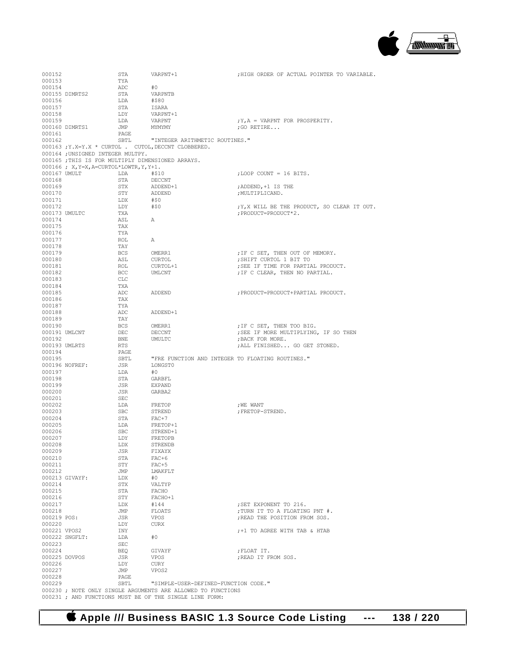

| 000152           |                                                   | STA          | VARPNT+1                                                                                             | ; HIGH ORDER OF ACTUAL POINTER TO VARIABLE.                        |
|------------------|---------------------------------------------------|--------------|------------------------------------------------------------------------------------------------------|--------------------------------------------------------------------|
| 000153<br>000154 |                                                   | TYA<br>ADC   | #0                                                                                                   |                                                                    |
|                  | 000155 DIMRTS2                                    | STA          | VARPNTB                                                                                              |                                                                    |
| 000156           |                                                   | LDA          | #\$80                                                                                                |                                                                    |
| 000157           |                                                   | STA          | ISARA                                                                                                |                                                                    |
| 000158           |                                                   | LDY          | VARPNT+1                                                                                             |                                                                    |
| 000159           |                                                   | LDA          | VARPNT                                                                                               | $; Y, A = VARPNT FOR PROSPERITY.$                                  |
|                  | 000160 DIMRTS1                                    | JMP          | MYMYMY                                                                                               | ; GO RETIRE                                                        |
| 000161<br>000162 |                                                   | PAGE<br>SBTL | "INTEGER ARITHMETIC ROUTINES."                                                                       |                                                                    |
|                  |                                                   |              | 000163; Y.X=Y.X * CURTOL. CUTOL, DECCNT CLOBBERED.                                                   |                                                                    |
|                  | 000164 ; UNSIGNED INTEGER MULTPY.                 |              |                                                                                                      |                                                                    |
|                  | 000165 ; THIS IS FOR MULTIPLY DIMENSIONED ARRAYS. |              |                                                                                                      |                                                                    |
|                  | $000166$ ; X, Y=X, A=CURTOL*LOWTR, Y, Y+1.        |              |                                                                                                      |                                                                    |
| 000167 UMULT     |                                                   | LDA          | #\$10                                                                                                | ; LOOP COUNT = 16 BITS.                                            |
| 000168<br>000169 |                                                   | STA<br>STX   | DECCNT<br>ADDEND+1                                                                                   | ; ADDEND, +1 IS THE                                                |
| 000170           |                                                   | STY          | ADDEND                                                                                               | ; MULTIPLICAND.                                                    |
| 000171           |                                                   | LDX          | #\$0                                                                                                 |                                                                    |
| 000172           |                                                   | LDY          | #\$0                                                                                                 | ; Y, X WILL BE THE PRODUCT, SO CLEAR IT OUT.                       |
| 000173 UMULTC    |                                                   | TXA          |                                                                                                      | ; PRODUCT=PRODUCT*2.                                               |
| 000174           |                                                   | ASL          | А                                                                                                    |                                                                    |
| 000175<br>000176 |                                                   | TAX<br>TYA   |                                                                                                      |                                                                    |
| 000177           |                                                   | ROL          | А                                                                                                    |                                                                    |
| 000178           |                                                   | TAY          |                                                                                                      |                                                                    |
| 000179           |                                                   | BCS          | OMERR1                                                                                               | ; IF C SET, THEN OUT OF MEMORY.                                    |
| 000180           |                                                   | ASL          | CURTOL                                                                                               | ; SHIFT CURTOL 1 BIT TO                                            |
| 000181           |                                                   | ROL          | CURTOL+1                                                                                             | ; SEE IF TIME FOR PARTIAL PRODUCT.                                 |
| 000182           |                                                   | BCC          | UMLCNT                                                                                               | ; IF C CLEAR, THEN NO PARTIAL.                                     |
| 000183<br>000184 |                                                   | CLC<br>TXA   |                                                                                                      |                                                                    |
| 000185           |                                                   | ADC          | ADDEND                                                                                               | ; PRODUCT=PRODUCT+PARTIAL PRODUCT.                                 |
| 000186           |                                                   | TAX          |                                                                                                      |                                                                    |
| 000187           |                                                   | TYA          |                                                                                                      |                                                                    |
| 000188           |                                                   | ADC          | ADDEND+1                                                                                             |                                                                    |
| 000189<br>000190 |                                                   | TAY<br>BCS   |                                                                                                      |                                                                    |
| 000191 UMLCNT    |                                                   | DEC          | OMERR1<br>DECCNT                                                                                     | ; IF C SET, THEN TOO BIG.<br>; SEE IF MORE MULTIPLYING, IF SO THEN |
| 000192           |                                                   | BNE          | UMULTC                                                                                               | ; BACK FOR MORE.                                                   |
| 000193 UMLRTS    |                                                   | RTS          |                                                                                                      | ; ALL FINISHED GO GET STONED.                                      |
| 000194           |                                                   | PAGE         |                                                                                                      |                                                                    |
| 000195           |                                                   | SBTL         | "FRE FUNCTION AND INTEGER TO FLOATING ROUTINES."                                                     |                                                                    |
| 000197           | 000196 NOFREF:                                    | JSR<br>LDA   | LONGST0<br>#O                                                                                        |                                                                    |
| 000198           |                                                   | STA          | GARBFL                                                                                               |                                                                    |
| 000199           |                                                   | JSR          | <b>EXPAND</b>                                                                                        |                                                                    |
| 000200           |                                                   | JSR          | GARBA2                                                                                               |                                                                    |
| 000201           |                                                   | SEC          |                                                                                                      |                                                                    |
| 000202<br>000203 |                                                   | LDA<br>SBC   | FRETOP<br>STREND                                                                                     | ; WE WANT<br>; FRETOP-STREND.                                      |
| 000204           |                                                   | STA          | FAC+7                                                                                                |                                                                    |
| 000205           |                                                   | LDA          | FRETOP+1                                                                                             |                                                                    |
| 000206           |                                                   | SBC          | STREND+1                                                                                             |                                                                    |
| 000207           |                                                   | LDY          | FRETOPB                                                                                              |                                                                    |
| 000208           |                                                   | LDX          | STRENDB                                                                                              |                                                                    |
| 000209<br>000210 |                                                   | JSR<br>STA   | FIXAYX<br>$FAC+6$                                                                                    |                                                                    |
| 000211           |                                                   | STY          | $FAC+5$                                                                                              |                                                                    |
| 000212           |                                                   | JMP          | LMAKFLT                                                                                              |                                                                    |
|                  | 000213 GIVAYF:                                    | LDX          | #O                                                                                                   |                                                                    |
| 000214           |                                                   | STX          | VALTYP                                                                                               |                                                                    |
| 000215           |                                                   | STA          | FACHO                                                                                                |                                                                    |
| 000216<br>000217 |                                                   | STY<br>LDX   | FACHO+1<br>#144                                                                                      | ; SET EXPONENT TO 216.                                             |
| 000218           |                                                   | JMP          | FLOATS                                                                                               | ; TURN IT TO A FLOATING PNT #.                                     |
| 000219 POS:      |                                                   | JSR          | VPOS                                                                                                 | ; READ THE POSITION FROM SOS.                                      |
| 000220           |                                                   | LDY          | CURX                                                                                                 |                                                                    |
| 000221 VPOS2     |                                                   | INY          |                                                                                                      | :+1 TO AGREE WITH TAB & HTAB                                       |
|                  | 000222 SNGFLT:                                    | LDA          | #0                                                                                                   |                                                                    |
| 000223<br>000224 |                                                   | SEC<br>BEQ   | GIVAYF                                                                                               | ; FLOAT IT.                                                        |
|                  | 000225 DOVPOS                                     | JSR          | VPOS                                                                                                 | ; READ IT FROM SOS.                                                |
| 000226           |                                                   | LDY          | CURY                                                                                                 |                                                                    |
| 000227           |                                                   | JMP          | VPOS2                                                                                                |                                                                    |
| 000228           |                                                   | PAGE         |                                                                                                      |                                                                    |
| 000229           |                                                   | SBTL         | "SIMPLE-USER-DEFINED-FUNCTION CODE."<br>000230 ; NOTE ONLY SINGLE ARGUMENTS ARE ALLOWED TO FUNCTIONS |                                                                    |
|                  |                                                   |              | 000231 ; AND FUNCTIONS MUST BE OF THE SINGLE LINE FORM:                                              |                                                                    |

 **Apple /// Business BASIC 1.3 Source Code Listing --- 138 / 220**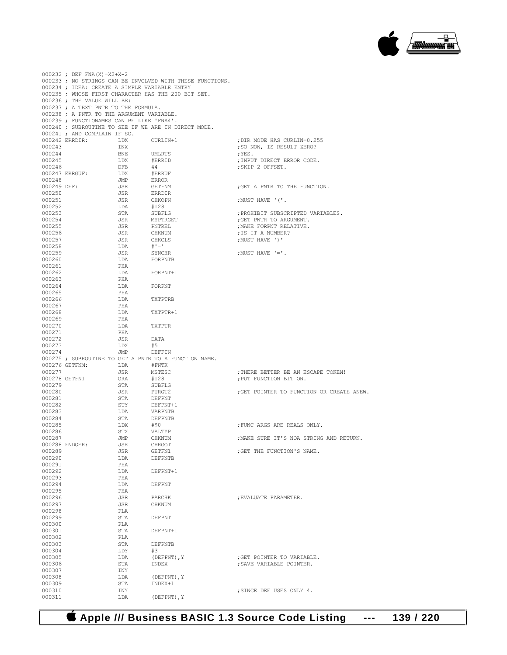

|                  | $000232$ ; DEF FNA(X)=X2+X-2                                                      |            |                                                               |                                           |
|------------------|-----------------------------------------------------------------------------------|------------|---------------------------------------------------------------|-------------------------------------------|
|                  |                                                                                   |            | 000233; NO STRINGS CAN BE INVOLVED WITH THESE FUNCTIONS.      |                                           |
|                  | 000234 ; IDEA: CREATE A SIMPLE VARIABLE ENTRY                                     |            |                                                               |                                           |
|                  |                                                                                   |            | 000235 ; WHOSE FIRST CHARACTER HAS THE 200 BIT SET.           |                                           |
|                  | 000236 ; THE VALUE WILL BE:                                                       |            |                                                               |                                           |
|                  | 000237 ; A TEXT PNTR TO THE FORMULA.<br>000238 ; A PNTR TO THE ARGUMENT VARIABLE. |            |                                                               |                                           |
|                  | 000239 ; FUNCTIONAMES CAN BE LIKE 'FNA4'.                                         |            |                                                               |                                           |
|                  |                                                                                   |            | 000240 ; SUBROUTINE TO SEE IF WE ARE IN DIRECT MODE.          |                                           |
|                  | 000241 ; AND COMPLAIN IF SO.                                                      |            |                                                               |                                           |
|                  | 000242 ERRDIR:                                                                    | LDX        | CURLIN+1                                                      | ; DIR MODE HAS CURLIN=0, 255              |
| 000243           |                                                                                   | INX        |                                                               | ; SO NOW, IS RESULT ZERO?                 |
| 000244           |                                                                                   | BNE        | UMLRTS                                                        | ;YES.                                     |
| 000245           |                                                                                   | LDX        | #ERRID                                                        | ; INPUT DIRECT ERROR CODE.                |
| 000246           |                                                                                   | DFB        | 44                                                            | ; SKIP 2 OFFSET.                          |
|                  | $000247$ ERRGUF:                                                                  | LDX        | #ERRUF                                                        |                                           |
| 000248           |                                                                                   | JMP        | <b>ERROR</b>                                                  |                                           |
| 000249 DEF:      |                                                                                   | JSR        | GETFNM                                                        | ; GET A PNTR TO THE FUNCTION.             |
| 000250           |                                                                                   | JSR        | ERRDIR                                                        |                                           |
| 000251           |                                                                                   | JSR        | CHKOPN                                                        | ; MUST HAVE '('.                          |
| 000252           |                                                                                   | LDA        | #128                                                          |                                           |
| 000253           |                                                                                   | STA        | SUBFLG                                                        | ; PROHIBIT SUBSCRIPTED VARIABLES.         |
| 000254           |                                                                                   | JSR        | MYPTRGET                                                      | ; GET PNTR TO ARGUMENT.                   |
| 000255           |                                                                                   | JSR        | PNTREL                                                        | ; MAKE FORPNT RELATIVE.                   |
| 000256           |                                                                                   | JSR        | <b>CHKNUM</b>                                                 | ; IS IT A NUMBER?                         |
| 000257<br>000258 |                                                                                   | JSR        | CHKCLS<br>$#$ ' = '                                           | ;MUST HAVE ')'                            |
| 000259           |                                                                                   | LDA<br>JSR | SYNCHR                                                        | : MUST HAVE $!=$ $\cdot$                  |
| 000260           |                                                                                   | LDA        | FORPNTB                                                       |                                           |
| 000261           |                                                                                   | PHA        |                                                               |                                           |
| 000262           |                                                                                   | LDA        | FORPNT+1                                                      |                                           |
| 000263           |                                                                                   | PHA        |                                                               |                                           |
| 000264           |                                                                                   | LDA        | FORPNT                                                        |                                           |
| 000265           |                                                                                   | PHA        |                                                               |                                           |
| 000266           |                                                                                   | LDA        | TXTPTRB                                                       |                                           |
| 000267           |                                                                                   | PHA        |                                                               |                                           |
| 000268           |                                                                                   | LDA        | TXTPTR+1                                                      |                                           |
| 000269           |                                                                                   | PHA        |                                                               |                                           |
| 000270           |                                                                                   | LDA        | TXTPTR                                                        |                                           |
| 000271           |                                                                                   | PHA        |                                                               |                                           |
| 000272           |                                                                                   | JSR        | DATA                                                          |                                           |
| 000273           |                                                                                   | LDX        | #5                                                            |                                           |
| 000274           |                                                                                   | JMP        | DEFFIN                                                        |                                           |
|                  |                                                                                   | LDA        | 000275; SUBROUTINE TO GET A PNTR TO A FUNCTION NAME.<br>#FNTK |                                           |
| 000277           | 000276 GETFNM:                                                                    | JSR        | MSTESC                                                        | ; THERE BETTER BE AN ESCAPE TOKEN!        |
| 000278 GETFN1    |                                                                                   | ORA        | #128                                                          | ; PUT FUNCTION BIT ON.                    |
| 000279           |                                                                                   | STA        | SUBFLG                                                        |                                           |
| 000280           |                                                                                   | JSR        | PTRGT2                                                        | : GET POINTER TO FUNCTION OR CREATE ANEW. |
| 000281           |                                                                                   | STA        | DEFPNT                                                        |                                           |
| 000282           |                                                                                   | STY        | DEFPNT+1                                                      |                                           |
| 000283           |                                                                                   | LDA        | VARPNTB                                                       |                                           |
| 000284           |                                                                                   | STA        | DEFPNTB                                                       |                                           |
| 000285           |                                                                                   | LDX        | #\$0                                                          | ; FUNC ARGS ARE REALS ONLY.               |
| 000286           |                                                                                   | STX        | VALTYP                                                        |                                           |
| 000287           |                                                                                   | JMP        | CHKNUM                                                        | ; MAKE SURE IT'S NOA STRING AND RETURN.   |
|                  | 000288 FNDOER:                                                                    | JSR        | CHRGOT                                                        |                                           |
| 000289           |                                                                                   | JSR        | GETFN1                                                        | : GET THE FUNCTION'S NAME.                |
| 000290<br>000291 |                                                                                   | LDA        | DEFPNTB                                                       |                                           |
| 000292           |                                                                                   | PHA<br>LDA | DEFPNT+1                                                      |                                           |
| 000293           |                                                                                   | PHA        |                                                               |                                           |
| 000294           |                                                                                   | LDA        | DEFPNT                                                        |                                           |
| 000295           |                                                                                   | PHA        |                                                               |                                           |
| 000296           |                                                                                   | JSR        | PARCHK                                                        | ; EVALUATE PARAMETER.                     |
| 000297           |                                                                                   | JSR        | CHKNUM                                                        |                                           |
| 000298           |                                                                                   | PLA        |                                                               |                                           |
| 000299           |                                                                                   | STA        | DEFPNT                                                        |                                           |
| 000300           |                                                                                   | PLA        |                                                               |                                           |
| 000301           |                                                                                   | STA        | DEFPNT+1                                                      |                                           |
| 000302           |                                                                                   | PLA        |                                                               |                                           |
| 000303           |                                                                                   | STA        | DEFPNTB                                                       |                                           |
| 000304           |                                                                                   | LDY        | #3                                                            |                                           |
| 000305           |                                                                                   | LDA        | (DEFPNT), Y                                                   | ; GET POINTER TO VARIABLE.                |
| 000306           |                                                                                   | STA        | INDEX                                                         | ; SAVE VARIABLE POINTER.                  |
| 000307<br>000308 |                                                                                   | INY<br>LDA | (DEFPNT), Y                                                   |                                           |
| 000309           |                                                                                   | STA        | INDEX+1                                                       |                                           |
| 000310           |                                                                                   | INY        |                                                               | ; SINCE DEF USES ONLY 4.                  |
| 000311           |                                                                                   | LDA        | (DEFPNT), Y                                                   |                                           |
|                  |                                                                                   |            |                                                               |                                           |

 **Apple /// Business BASIC 1.3 Source Code Listing --- 139 / 220**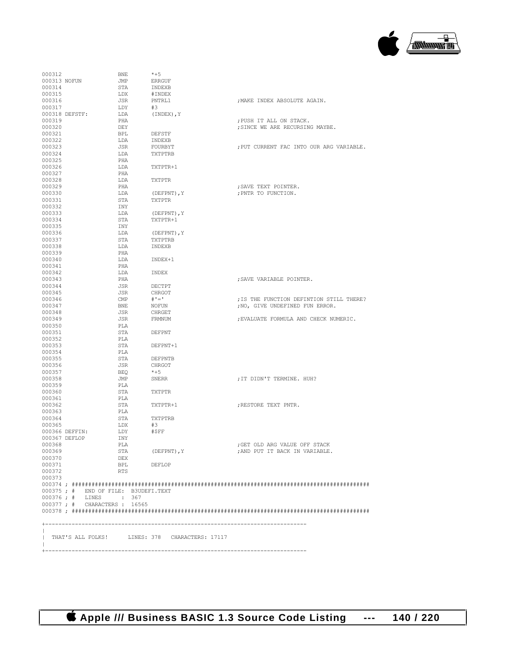

| 000312                               | <b>BNE</b> | $*+5$                                          |                                          |
|--------------------------------------|------------|------------------------------------------------|------------------------------------------|
| 000313 NOFUN                         | JMP        | <b>ERRGUF</b>                                  |                                          |
| 000314                               | STA        | INDEXB                                         |                                          |
| 000315                               | LDX        | #INDEX                                         |                                          |
| 000316                               | JSR        | PNTRL1                                         | ; MAKE INDEX ABSOLUTE AGAIN.             |
| 000317<br>000318 DEFSTF:             | LDY<br>LDA | #3<br>(INDEX), Y                               |                                          |
| 000319                               | PHA        |                                                | ; PUSH IT ALL ON STACK.                  |
| 000320                               | DEY        |                                                | ; SINCE WE ARE RECURSING MAYBE.          |
| 000321                               | <b>BPL</b> | DEFSTF                                         |                                          |
| 000322                               | LDA        | INDEXB                                         |                                          |
| 000323                               | JSR        | FOURBYT                                        | ; PUT CURRENT FAC INTO OUR ARG VARIABLE. |
| 000324                               | LDA        | TXTPTRB                                        |                                          |
| 000325                               | PHA        |                                                |                                          |
| 000326                               | LDA        | TXTPTR+1                                       |                                          |
| 000327<br>000328                     | PHA<br>LDA | TXTPTR                                         |                                          |
| 000329                               | PHA        |                                                | ; SAVE TEXT POINTER.                     |
| 000330                               | LDA        | (DEFPNT), Y                                    | ; PNTR TO FUNCTION.                      |
| 000331                               | STA        | TXTPTR                                         |                                          |
| 000332                               | INY        |                                                |                                          |
| 000333                               | LDA        | (DEFPNT), Y                                    |                                          |
| 000334                               | STA        | TXTPTR+1                                       |                                          |
| 000335                               | INY        |                                                |                                          |
| 000336                               | LDA        | (DEFPNT), Y                                    |                                          |
| 000337                               | STA        | TXTPTRB                                        |                                          |
| 000338<br>000339                     | LDA<br>PHA | INDEXB                                         |                                          |
| 000340                               | LDA        | TNDEX+1                                        |                                          |
| 000341                               | PHA        |                                                |                                          |
| 000342                               | LDA        | INDEX                                          |                                          |
| 000343                               | PHA        |                                                | : SAVE VARIABLE POINTER.                 |
| 000344                               | JSR        | DECTPT                                         |                                          |
| 000345                               | JSR        | CHRGOT                                         |                                          |
| 000346                               | CMP        | $# ' = '$                                      | ; IS THE FUNCTION DEFINTION STILL THERE? |
| 000347                               | BNE        | NOFUN                                          | ; NO, GIVE UNDEFINED FUN ERROR.          |
| 000348                               | JSR        | CHRGET                                         |                                          |
| 000349<br>000350                     | JSR<br>PLA | FRMNUM                                         | ; EVALUATE FORMULA AND CHECK NUMERIC.    |
| 000351                               | STA        | DEFPNT                                         |                                          |
| 000352                               | PLA        |                                                |                                          |
| 000353                               | STA        | DEFPNT+1                                       |                                          |
| 000354                               | PLA        |                                                |                                          |
| 000355                               | STA        | DEFPNTB                                        |                                          |
| 000356                               | JSR        | CHRGOT                                         |                                          |
| 000357                               | BEQ        | $*+5$                                          |                                          |
| 000358                               | JMP        | SNERR                                          | ; IT DIDN'T TERMINE. HUH?                |
| 000359<br>000360                     | PLA<br>STA | TXTPTR                                         |                                          |
| 000361                               | PLA        |                                                |                                          |
| 000362                               | STA        | TXTPTR+1                                       | ; RESTORE TEXT PNTR.                     |
| 000363                               | PLA        |                                                |                                          |
| 000364                               | STA        | TXTPTRB                                        |                                          |
| 000365                               | LDX        | #3                                             |                                          |
| 000366 DEFFIN:                       | LDY        | #\$FF                                          |                                          |
| 000367 DEFLOP                        | INY        |                                                |                                          |
| 000368                               | PLA        |                                                | ; GET OLD ARG VALUE OFF STACK            |
| 000369<br>000370                     | STA<br>DEX | (DEFPNT), Y                                    | ; AND PUT IT BACK IN VARIABLE.           |
| 000371                               | BPL        | DEFLOP                                         |                                          |
| 000372                               | RTS        |                                                |                                          |
| 000373                               |            |                                                |                                          |
|                                      |            |                                                |                                          |
| 000375 ; # END OF FILE: B3UDEFI.TEXT |            |                                                |                                          |
| 000376; # LINES : 367                |            |                                                |                                          |
| 000377; # CHARACTERS: 16565          |            |                                                |                                          |
|                                      |            |                                                |                                          |
|                                      |            |                                                |                                          |
|                                      |            |                                                |                                          |
|                                      |            | THAT'S ALL FOLKS! LINES: 378 CHARACTERS: 17117 |                                          |
|                                      |            |                                                |                                          |
|                                      |            |                                                |                                          |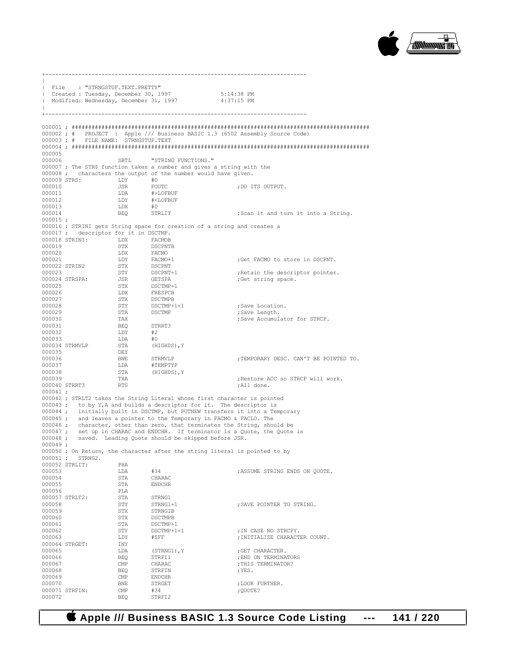

+-------------------------------------------------------------------------------  $\|$ | File : "STRNGSTUF.TEXT.PRETTY" | Created : Tuesday, December 30, 1997 5:14:38 PM Modified: Wednesday, December 31, 1997  $\|$ +------------------------------------------------------------------------------- 000001 ; ########################################################################################## 000002 ; # PROJECT : Apple /// Business BASIC 1.3 (6502 Assembly Source Code) 000003 ; # FILE NAME: STRNGSTUF.TEXT 000004 ; ########################################################################################## 000005<br>000006 SBTL "STRING FUNCTIONS." 000007 ; The STR\$ function takes a number and gives a string with the 000008 ; characters the output of the number would have given.<br>000009 STRS: LDY  $#0$ 000009 STRS: LDY #0<br>000010 TSR FOUTC 000010 JSR FOUTC ;DO ITS OUTPUT. 000011 LDA #>LOFBUF<br>000012 LDY #<LOFBUF 000012 LDY #<LOFBUF 000013 LDX #0<br>000014 BEO STRLIT ;Scan it and turn it into a String. 000015 ; 000016 ; STRINI gets String space for creation of a string and creates a 000017 ; descriptor for it in DSCTMP.<br>000018 STRINI : LDX FACMOR 000018 STRINI: LDX<br>000019 STX STX DSCPNTB<br>LDX FACMO 000020 LDX FACMO<br>000021 LDY FACMO+1 DR FACMO+1 ;Get FACMO to store in DSCPNT.<br>
STX DSCPNT 000022 STRIN2 STX DSCPNT<br>000023 STY DSCPNT+1 000023 STY DSCPNT+1 ;Retain the descriptor pointer.<br>000024 STRSPA: JSR GETSPA ;Get string space. 000024 STRSPA: JSR GETSPA ;Get string space. 000025 <br>000026 DDX FRESPCB 000026 LDX FRESPCB<br>000027 STX DSCTMPB 000027 <br>000028 STY DSCTMP+1+1 000028 STY DSCTMP+1+1 ;Save Location.<br>000029 STA DSCTMP ;Save Length. 000029 STA DSCTMP ;Save Length. 000030 TAX TAX STRCP. Save Accumulator for STRCP. BEQ STRRT3<br>LDY #2 000032 LDY #2 000033 LDA #0<br>000034 STRMVLP STA (HIGHDS), Y 000034 STRMVLP 000035 DEY<br>000036 BNR 000036 BNE STRMVLP ;TEMPORARY DESC. CAN'T BE POINTED TO.<br>000037 LDA #TEMPTYP 000037 LDA #TEMPTYP 000038 STA (HIGHDS), Y
000039 :Restore ACC so STRCP will work. 000040 STRRT3 RTS ;All done. 000041 ; 000042 ; STRLT2 takes the String Literal whose first character is pointed 000043 ; to by Y, A and builds a descriptor for it. The descriptor is 000044 ; initially built in DSCTMP, but PUTNEW transfers it into a Temporary 000045 ; and leaves a pointer to the Temporary in FACMO & FACLO. The 000046 ; character, other than zero, that terminates the String, should be 000047 ; set up in CHARAC and ENDCHR. If terminator is a Quote, the Quote is 000048 ; saved. Leading Quote should be skipped before JSR. 000049 ; 000050 ; On Return, the character after the string literal is pointed to by 000051 ; STRNG2. 000052 STRLIT: PHA 000053 LDA #34 ;ASSUME STRING ENDS ON QUOTE. 000054 STA CHARAC<br>000055 STA ENDCHR STA ENDCHR<br>PLA 000056 PLA<br>000057 STRLT2: STA 000057 STRLT2: STA STRNG1<br>000058 STY STRNG1+1 000058 STY STRNG1+1 ;SAVE POINTER TO STRING. 000059 STX STRNG1B<br>000060 STX DSCTMPB  $\fbox{000060} \begin{array}{l} \small \texttt{STX} \end{array} \begin{array}{l} \small \texttt{DSCTMPB} \\ \small \texttt{SITM} \end{array}$ 000061 STA DSCTMP+1<br>000062 STY DSCTMP+1+1 000062 STY DSCTMP+1+1 ;IN CASE NO STRCPY.  $\begin{array}{llll} \texttt{IDY} & \texttt{\#}\$FF & \texttt{\#}\$TFT & \texttt{\#}\$TFT & \texttt{\#}\$TFT & \texttt{\#}\$TFT & \texttt{\#}\$TFT & \texttt{\#}\$TFT & \texttt{\#}\$TFT & \texttt{\#}\$TFT & \texttt{\#}\$TFT & \texttt{\#}\$TFT & \texttt{\#}\$TFT & \texttt{\#}\$TFT & \texttt{\#}\$TFT & \texttt{\#}\$TFT & \texttt{\#}\$TFT & \texttt{\#}\$TFT & \texttt{\#}\$TFT & \texttt{\#}\$TFT & \texttt{\#}\$TFT & \texttt{\#}\$ 000064 STRGET: INY<br>000065 LDA 000065 LDA (STRNG1),Y ;GET CHARACTER. 000066 BEQ STRFI1 ;END ON TERMINATORS CHARAC ;THIS TERMINATOR?<br>STRFIN ; YES. 000068 BEQ STRFIN ; YES. 000069 CMP ENDCHR<br>000070 BNE STRGET BNE STRGET ;LOOK FURTHER.<br>
OMP #34 ;OUOTE? 000071 STRFIN: CMP #34 ;QUOTE? STRFI2

## **Apple /// Business BASIC 1.3 Source Code Listing --- 141 / 220**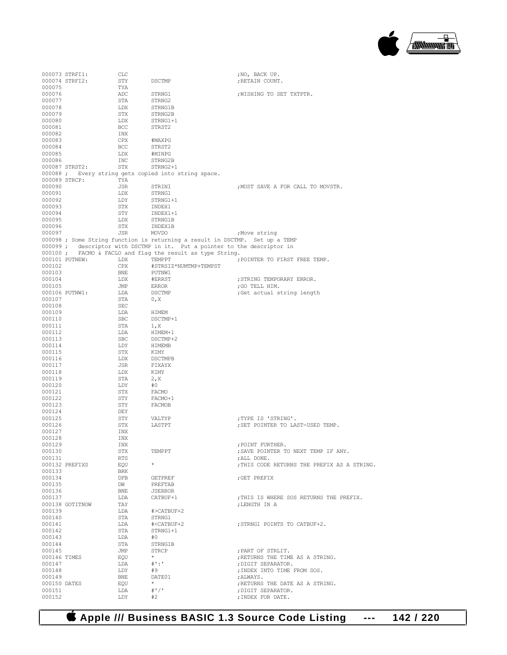

|                  | 000073 STRFI1:  | CLC        |                                                                              | ;NO, BACK UP.                               |
|------------------|-----------------|------------|------------------------------------------------------------------------------|---------------------------------------------|
|                  | 000074 STRFI2:  | STY        | DSCTMP                                                                       | ; RETAIN COUNT.                             |
| 000075           |                 | TYA        |                                                                              |                                             |
| 000076           |                 | ADC        | STRNG1                                                                       | ; WISHING TO SET TXTPTR.                    |
| 000077           |                 | STA        | STRNG2                                                                       |                                             |
| 000078           |                 | LDX        | STRNG1B                                                                      |                                             |
| 000079           |                 | STX        | STRNG2B                                                                      |                                             |
| 000080           |                 | LDX        | STRNG1+1                                                                     |                                             |
| 000081           |                 | BCC        | STRST2                                                                       |                                             |
| 000082           |                 | INX        |                                                                              |                                             |
| 000083           |                 | CPX        | #MAXPG                                                                       |                                             |
| 000084           |                 | BCC        | STRST2                                                                       |                                             |
| 000085           |                 | LDX        | #MINPG                                                                       |                                             |
| 000086           |                 | INC        | STRNG2B                                                                      |                                             |
|                  | 000087 STRST2:  | STX        | STRNG2+1                                                                     |                                             |
|                  |                 |            | 000088 ; Every string gets copied into string space.                         |                                             |
|                  | 000089 STRCP:   | TYA        |                                                                              |                                             |
| 000090           |                 | JSR        | STRINI                                                                       | ; MUST SAVE A FOR CALL TO MOVSTR.           |
| 000091           |                 | LDX        | STRNG1                                                                       |                                             |
| 000092           |                 | LDY        | STRNG1+1                                                                     |                                             |
| 000093           |                 | STX        | INDEX1                                                                       |                                             |
| 000094           |                 | STY        | INDEX1+1                                                                     |                                             |
| 000095           |                 | LDX        | STRNG1B                                                                      |                                             |
| 000096           |                 | STX        | INDEX1B                                                                      |                                             |
| 000097           |                 | JSR        | MOVDO                                                                        | ;Move string                                |
|                  |                 |            | 000098 ; Some String function is returning a result in DSCTMP. Set up a TEMP |                                             |
|                  |                 |            | 000099; descriptor with DSCTMP in it. Put a pointer to the descriptor in     |                                             |
|                  |                 |            | 000100 ; FACMO & FACLO and flag the result as type String.                   |                                             |
|                  | 000101 PUTNEW:  | LDX        | TEMPPT                                                                       | ; POINTER TO FIRST FREE TEMP.               |
| 000102           |                 | CPX        | #STRSIZ*NUMTMP+TEMPST                                                        |                                             |
| 000103           |                 | BNE        | PUTNW1                                                                       |                                             |
| 000104           |                 | LDX        | #ERRST                                                                       | ; STRING TEMPORARY ERROR.                   |
| 000105           |                 | JMP        | ERROR                                                                        | ;GO TELL HIM.                               |
|                  | 000106 PUTNW1:  | LDA        | DSCTMP                                                                       | ;Get actual string length                   |
| 000107           |                 | STA        | 0, X                                                                         |                                             |
| 000108           |                 | SEC        |                                                                              |                                             |
| 000109           |                 | LDA        | HIMEM                                                                        |                                             |
| 000110           |                 | SBC        | DSCTMP+1                                                                     |                                             |
| 000111           |                 | STA        | 1, X                                                                         |                                             |
| 000112           |                 | LDA        | HIMEM+1                                                                      |                                             |
| 000113           |                 | SBC        | DSCTMP+2                                                                     |                                             |
| 000114           |                 | LDY        | HIMEMB                                                                       |                                             |
| 000115           |                 | STX        | KIMY                                                                         |                                             |
| 000116           |                 | LDX        | DSCTMPB                                                                      |                                             |
| 000117           |                 | JSR        | FIXAYX                                                                       |                                             |
| 000118           |                 | LDX        | KIMY                                                                         |                                             |
| 000119           |                 | STA        | 2, X                                                                         |                                             |
| 000120           |                 | LDY        | #0                                                                           |                                             |
| 000121           |                 | STX        | FACMO                                                                        |                                             |
| 000122           |                 | STY        | FACMO+1                                                                      |                                             |
| 000123           |                 | STY        | FACMOB                                                                       |                                             |
| 000124           |                 | DEY        |                                                                              |                                             |
| 000125           |                 | STY        | VALTYP                                                                       | ;TYPE IS 'STRING'.                          |
| 000126           |                 | STX        | LASTPT                                                                       | ; SET POINTER TO LAST-USED TEMP.            |
| 000127           |                 | INX        |                                                                              |                                             |
| 000128           |                 | INX        |                                                                              |                                             |
| 000129           |                 | INX        |                                                                              | ; POINT FURTHER.                            |
| 000130           |                 | STX        | TEMPPT                                                                       | ; SAVE POINTER TO NEXT TEMP IF ANY.         |
| 000131           |                 | RTS        |                                                                              | ; ALL DONE.                                 |
|                  | 000132 PREFIXS  | EQU        | $\star$                                                                      | ; THIS CODE RETURNS THE PREFIX AS A STRING. |
| 000133           |                 | BRK        |                                                                              |                                             |
| 000134           |                 | DFB        | GETPREF                                                                      | GET PREFIX                                  |
| 000135           |                 | DW         | PREFTAB                                                                      |                                             |
| 000136           |                 | BNE        | JSERROR                                                                      |                                             |
| 000137           |                 | LDA        | CATBUF+1                                                                     | ; THIS IS WHERE SOS RETURNS THE PREFIX.     |
|                  | 000138 GOTITNOW | TAY        |                                                                              | ; LENGTH IN A                               |
| 000139           |                 | LDA        | #>CATBUF+2                                                                   |                                             |
| 000140           |                 | STA        | STRNG1                                                                       |                                             |
| 000141           |                 |            | # <catbuf+2< td=""><td>; STRNG1 POINTS TO CATBUF+2.</td></catbuf+2<>         | ; STRNG1 POINTS TO CATBUF+2.                |
| 000142           |                 | LDA<br>STA | STRNG1+1                                                                     |                                             |
| 000143           |                 | LDA        | #0                                                                           |                                             |
|                  |                 |            | STRNG1B                                                                      |                                             |
| 000144<br>000145 |                 | STA        |                                                                              | ; PART OF STRLIT.                           |
| 000146 TIMES     |                 | JMP        | STRCP<br>$\star$                                                             | ; RETURNS THE TIME AS A STRING.             |
| 000147           |                 | EQU<br>LDA | $\#$ ':'                                                                     | ; DIGIT SEPARATOR.                          |
|                  |                 |            |                                                                              | ; INDEX INTO TIME FROM SOS.                 |
|                  |                 |            |                                                                              |                                             |
| 000148           |                 | LDY        | #9                                                                           |                                             |
| 000149           |                 | BNE        | DATE01                                                                       | ; ALWAYS.                                   |
| 000150 DATES     |                 | EQU        | $\star$                                                                      | ; RETURNS THE DATE AS A STRING.             |
| 000151<br>000152 |                 | LDA<br>LDY | #''<br>#2                                                                    | ; DIGIT SEPARATOR.<br>; INDEX FOR DATE.     |

 **Apple /// Business BASIC 1.3 Source Code Listing --- 142 / 220**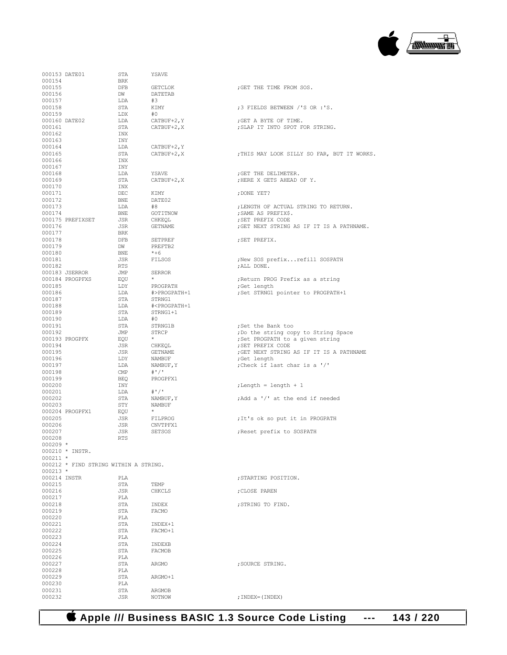

000153 DATE01 STA YSAVE 000154 000154 BRK 000155 DFB GETCLOK ;GET THE TIME FROM SOS. DW DATETAB<br>T.DA #3 000157 LDA #3<br>000158 STA KIMY 000159 LDX #0<br>000160 DATE02 LDA CATBUF+2,Y 000160 DATE02 LDA CATBUF+2,Y ;GET A BYTE OF TIME. 000162 INX<br>000163 INY 000163 INY<br>000164 LDA 000164  $LDA$   $CLTBUF+2, Y$ <br>000165  $STA$   $CLTBUF+2, X$ 000166 INX<br>000167 INX  $000167$ <br> $000168$ 000168 LDA YSAVE ;GET THE DELIMETER. 000170 INX 000171 DEC KIMY ;DONE YET? DATE02 000173 LDA #8 ;LENGTH OF ACTUAL STRING TO RETURN. 000174 BNE GOTITNOW ;SAME AS PREFIX\$. 000175 PREFIXSET JSR CHKEQL ;SET PREFIX CODE 000177 BRK<br>000178 DEB 000178 DFB SETPREF ;SET PREFIX.  $\begin{tabular}{ll} DW & PREFTB2 \\ BNE & *+6 \end{tabular}$ 000180 BNE \*+6<br>000181 JSR FILSOS 000181 JSR FILSOS ;New SOS prefix...refill SOSPATH<br>000182 RTS ;ALL DONE.  $$\tt TRTS$$   $$\tt JMP$$   $$\tt SERROR$$ 000183 JSERROR JMP<br>000184 PROGPFXS EOU 000184 PROGPFXS EQU \* ;Return PROG Prefix as a string 000185 LDY PROGPATH ;Get length <br>000186 LDA #>PROGPATH+1 ;Set STRNG1 000186 LDA #>PROGPATH+1 ;Set STRNG1 pointer to PROGPATH+1 000187 STA STRNG1<br>000188 LDA #<PROG 000188 LDA #<PROGPATH+1  $\begin{array}{ccc}\n\text{STA} & \text{STRNG1+1} \\
\text{LDA} & \text{#0}\n\end{array}$ 000190 LDA #0<br>000191 STA STRNG1B 000191 STA STRNG1B ;Set the Bank too<br>000192 JMP STRCP ;Do the string co 000192 JMP STRCP ;Do the string copy to String Space<br>000193 PROGPEX EOU \* ;Set PROGPATH to a given string 000193 PROGPFX EQU \* ;Set PROGPATH to a given string 000194 JSR CHKEQL ;SET PREFIX CODE 000195 JSR GETNAME ;GET NEXT STRING AS IF IT IS A PATHNAME 000196 LDY NAMBUF ;Get length 000198 CMP<br>000199 BEO 000199 BEQ PROGPFX1<br>000200 TNY 000201 LDA #'/' 000203 STY NAMBUF 000204 PROGPFX1 EQU \* 000206 JSR CNVTPFX1 000208 000209 \* 000210 \* INSTR. 000211 \* 000212 \* FIND STRING WITHIN A STRING. 000213 \*<br>000214 TNSTR 000214 INSTR PLA ;STARTING POSITION. 000215 STA TEMP 000216 STA CHKCLS  ${\tt JSR} \hspace{1.5cm} {\tt CHKCLS} \hspace{1.5cm} {\tt \hspace{1.5cm}} {\tt \hspace{1.5cm}} {\tt \hspace{1.5cm}} {\tt CHKCLS} \hspace{1.5cm}$ 000217 PLA<br>000218 STA STA INDEX ;STRING TO FIND. <br>STA FACMO 000219 STA<br>000220 PLA 000220 PLA <br>000221 STA 000221 STA INDEX+1<br>000222 STA FACMO+1 STA FACMO+1<br>PLA 000223 PLA<br>000224 STA 000224 STA INDEXB<br>000225 STA FACMOB STA FACMOB<br>PLA 000226 PLA<br>000227 STA 000228 PLA<br>000229 STA ARGMO+1 000230 PLA<br>000231 STA 000231 STA ARGMOB<br>000232 JSR NOTNOW

STA KIMY ;3 FIELDS BETWEEN /'S OR :'S.<br>
LDX  $\#0$ ; SLAP IT INTO SPOT FOR STRING. STA CATBUF+2, X ;THIS MAY LOOK SILLY SO FAR, BUT IT WORKS. : HERE X GETS AHEAD OF Y.  ${\tt JSR} \hspace{1.5cm} {\tt GET} \hspace{1.5cm} {\tt NEXT} \hspace{1.5cm} {\tt STRING} \hspace{1.5cm} {\tt AS} \hspace{1.5cm} {\tt IF} \hspace{1.5cm} {\tt IS} \hspace{1.5cm} {\tt A} \hspace{1.5cm} {\tt PATHNAME} \hspace{1.5cm} .$  $\begin{array}{ll}\n\text{LDA} & \text{NAMBUF}, Y \\
\text{CMP} & \# \cdot \text{V}\n\end{array}$  ; Check if last char is a '/'  $\texttt{length} = \texttt{length} + 1$ :Add a '/' at the end if needed ; It's ok so put it in PROGPATH JSR SETSOS ;Reset prefix to SOSPATH ARGMO ; SOURCE STRING.

 **Apple /// Business BASIC 1.3 Source Code Listing --- 143 / 220**

; INDEX=(INDEX)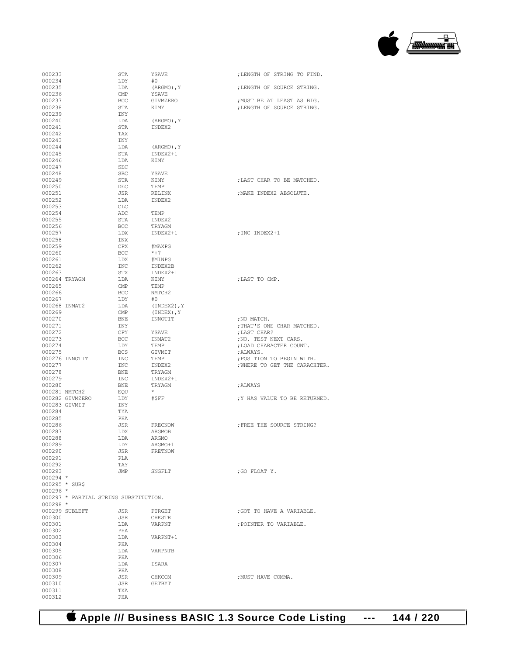

| 000233                                | STA        | YSAVE            |                               |
|---------------------------------------|------------|------------------|-------------------------------|
|                                       |            |                  | ; LENGTH OF STRING TO FIND.   |
| 000234                                | LDY        | #0               |                               |
| 000235                                | LDA        | $(ARGMO)$ , Y    | ; LENGTH OF SOURCE STRING.    |
| 000236                                | CMP        | YSAVE            |                               |
| 000237                                |            |                  |                               |
|                                       | BCC        | GIVMZERO         | ; MUST BE AT LEAST AS BIG.    |
| 000238                                | STA        | KIMY             | ; LENGTH OF SOURCE STRING.    |
| 000239                                | INY        |                  |                               |
| 000240                                | LDA        | $(ARGMO)$ , $Y$  |                               |
| 000241                                |            |                  |                               |
|                                       | STA        | INDEX2           |                               |
| 000242                                | TAX        |                  |                               |
| 000243                                | INY        |                  |                               |
| 000244                                | LDA        | $(ARGMO)$ , Y    |                               |
| 000245                                | STA        | INDEX2+1         |                               |
|                                       |            |                  |                               |
| 000246                                | LDA        | KIMY             |                               |
| 000247                                | <b>SEC</b> |                  |                               |
| 000248                                | <b>SBC</b> | YSAVE            |                               |
|                                       |            |                  |                               |
| 000249                                | STA        | KIMY             | ; LAST CHAR TO BE MATCHED.    |
| 000250                                | DEC        | TEMP             |                               |
| 000251                                | JSR        | RELINX           | ; MAKE INDEX2 ABSOLUTE.       |
| 000252                                | LDA        | INDEX2           |                               |
|                                       |            |                  |                               |
| 000253                                | CLC        |                  |                               |
| 000254                                | ADC        | TEMP             |                               |
| 000255                                | STA        | INDEX2           |                               |
| 000256                                | BCC        | TRYAGM           |                               |
|                                       |            |                  |                               |
| 000257                                | LDX        | INDEX2+1         | ; INC INDEX2+1                |
| 000258                                | INX        |                  |                               |
| 000259                                | CPX        | #MAXPG           |                               |
| 000260                                | <b>BCC</b> | $*+7$            |                               |
|                                       |            |                  |                               |
| 000261                                | LDX        | #MINPG           |                               |
| 000262                                | <b>INC</b> | INDEX2B          |                               |
| 000263                                | STX        | INDEX2+1         |                               |
| 000264 TRYAGM                         | LDA        |                  | ; LAST TO CMP.                |
|                                       |            | KIMY             |                               |
| 000265                                | CMP        | <b>TEMP</b>      |                               |
| 000266                                | <b>BCC</b> | NMTCH2           |                               |
| 000267                                | LDY        | #0               |                               |
|                                       |            |                  |                               |
| 000268 INMAT2                         | LDA        | $(INDEX2)$ , $Y$ |                               |
| 000269                                | CMP        | $(INDEX)$ , $Y$  |                               |
| 000270                                | BNE        | INNOTIT          | ; NO MATCH.                   |
| 000271                                | INY        |                  | ; THAT'S ONE CHAR MATCHED.    |
|                                       |            |                  |                               |
| 000272                                | CPY        | YSAVE            | ; LAST CHAR?                  |
|                                       |            |                  |                               |
| 000273                                | BCC        | INMAT2           | ; NO, TEST NEXT CARS.         |
|                                       |            |                  |                               |
| 000274                                | LDY        | TEMP             | ; LOAD CHARACTER COUNT.       |
| 000275                                | <b>BCS</b> | GIVMIT           | ; ALWAYS.                     |
| 000276 INNOTIT                        | INC        | TEMP             | ; POSITION TO BEGIN WITH.     |
| 000277                                | INC        | INDEX2           | ; WHERE TO GET THE CARACHTER. |
|                                       |            |                  |                               |
| 000278                                | <b>BNE</b> | TRYAGM           |                               |
| 000279                                | <b>INC</b> | INDEX2+1         |                               |
| 000280                                | BNE        | TRYAGM           | ; ALWAYS                      |
| 000281 NMTCH2                         |            | $^{\star}$       |                               |
|                                       | EQU        |                  |                               |
| 000282 GIVMZERO                       | LDY        | #\$FF            | ; Y HAS VALUE TO BE RETURNED. |
| 000283 GIVMIT                         | INY        |                  |                               |
| 000284                                | TYA        |                  |                               |
|                                       |            |                  |                               |
| 000285                                | PHA        |                  |                               |
| 000286                                | JSR        | FRECNOW          | FREE THE SOURCE STRING?       |
| 000287                                | LDX        | ARGMOB           |                               |
| 000288                                | LDA        | ARGMO            |                               |
|                                       | LDY        | ARGMO+1          |                               |
| 000289                                |            |                  |                               |
| 000290                                | JSR        | FRETNOW          |                               |
| 000291                                | PLA        |                  |                               |
| 000292                                | TAY        |                  |                               |
| 000293                                | JMP        | SNGFLT           | : GO FLOAT Y.                 |
|                                       |            |                  |                               |
| $000294$ *                            |            |                  |                               |
| 000295 * SUB\$                        |            |                  |                               |
| $000296$ *                            |            |                  |                               |
| 000297 * PARTIAL STRING SUBSTITUTION. |            |                  |                               |
|                                       |            |                  |                               |
| $000298 *$                            |            |                  |                               |
| 000299 SUBLEFT                        | JSR        | PTRGET           | ; GOT TO HAVE A VARIABLE.     |
| 000300                                | JSR        | CHKSTR           |                               |
| 000301                                | LDA        | VARPNT           | ; POINTER TO VARIABLE.        |
|                                       |            |                  |                               |
| 000302                                | PHA        |                  |                               |
| 000303                                | LDA        | VARPNT+1         |                               |
| 000304                                | PHA        |                  |                               |
| 000305                                | LDA        | VARPNTB          |                               |
|                                       |            |                  |                               |
| 000306                                | PHA        |                  |                               |
| 000307                                | LDA        | ISARA            |                               |
| 000308                                | PHA        |                  |                               |
|                                       |            |                  |                               |
| 000309                                | JSR        | CHKCOM           | ; MUST HAVE COMMA.            |
| 000310                                | JSR        | GETBYT           |                               |
| 000311<br>000312                      | TXA        |                  |                               |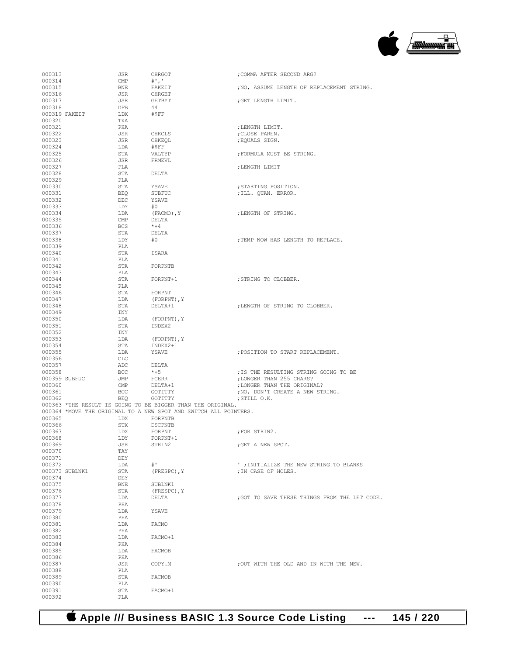

| 000313           |                | JSR        | CHRGOT                                                           | ; COMMA AFTER SECOND ARG?                                       |
|------------------|----------------|------------|------------------------------------------------------------------|-----------------------------------------------------------------|
| 000314           |                | CMP        | $^{\#}$ ', '                                                     |                                                                 |
| 000315           |                | BNE        | FAKEIT                                                           | ; NO, ASSUME LENGTH OF REPLACEMENT STRING.                      |
| 000316           |                | JSR        | CHRGET                                                           |                                                                 |
| 000317           |                | JSR        | GETBYT                                                           | GET LENGTH LIMIT.                                               |
| 000318           |                | DFB        | 44                                                               |                                                                 |
|                  | 000319 FAKEIT  | LDX        | #\$FF                                                            |                                                                 |
| 000320           |                | TXA        |                                                                  |                                                                 |
| 000321           |                | PHA        |                                                                  | ; LENGTH LIMIT.                                                 |
| 000322           |                | JSR        | CHKCLS                                                           | ; CLOSE PAREN.                                                  |
| 000323           |                | JSR        | CHKEQL                                                           | ; EQUALS SIGN.                                                  |
| 000324           |                | LDA        | #\$FF                                                            |                                                                 |
| 000325<br>000326 |                | STA<br>JSR | VALTYP<br>FRMEVL                                                 | ; FORMULA MUST BE STRING.                                       |
| 000327           |                | PLA        |                                                                  | ; LENGTH LIMIT                                                  |
| 000328           |                | STA        | DELTA                                                            |                                                                 |
| 000329           |                | PLA        |                                                                  |                                                                 |
| 000330           |                | STA        | YSAVE                                                            | ; STARTING POSITION.                                            |
| 000331           |                | BEQ        | SUBFUC                                                           | ; ILL. QUAN. ERROR.                                             |
| 000332           |                | DEC        | YSAVE                                                            |                                                                 |
| 000333           |                | LDY        | #0                                                               |                                                                 |
| 000334           |                | LDA        | (FACMO), Y                                                       | ; LENGTH OF STRING.                                             |
| 000335           |                | CMP        | DELTA                                                            |                                                                 |
| 000336           |                | BCS        | $* + 4$                                                          |                                                                 |
| 000337           |                | STA        | DELTA                                                            |                                                                 |
| 000338           |                | LDY        | #0                                                               | ; TEMP NOW HAS LENGTH TO REPLACE.                               |
| 000339           |                | PLA        |                                                                  |                                                                 |
| 000340           |                | STA        | ISARA                                                            |                                                                 |
| 000341           |                | PLA        |                                                                  |                                                                 |
| 000342<br>000343 |                | STA<br>PLA | FORPNTB                                                          |                                                                 |
| 000344           |                | STA        | FORPNT+1                                                         | ; STRING TO CLOBBER.                                            |
| 000345           |                | PLA        |                                                                  |                                                                 |
| 000346           |                | STA        | FORPNT                                                           |                                                                 |
| 000347           |                | LDA        | (FORPNT), Y                                                      |                                                                 |
| 000348           |                | STA        | DELTA+1                                                          | ; LENGTH OF STRING TO CLOBBER.                                  |
| 000349           |                | INY        |                                                                  |                                                                 |
| 000350           |                | LDA        | (FORPNT), Y                                                      |                                                                 |
| 000351           |                | STA        | INDEX2                                                           |                                                                 |
| 000352           |                | INY        |                                                                  |                                                                 |
| 000353           |                | LDA        | (FORPNT), Y                                                      |                                                                 |
| 000354           |                | STA        | INDEX2+1                                                         |                                                                 |
| 000355           |                | LDA        | YSAVE                                                            | ; POSITION TO START REPLACEMENT.                                |
| 000356           |                | CLC        |                                                                  |                                                                 |
| 000357           |                | ADC        | DELTA                                                            |                                                                 |
| 000358           |                | BCC        | $*+5$                                                            | ; IS THE RESULTING STRING GOING TO BE                           |
| 000359 SUBFUC    |                | JMP        | FCERR                                                            | ; LONGER THAN 255 CHARS?                                        |
| 000360<br>000361 |                | CMP<br>BCC | DELTA+1<br>GOTITTY                                               | ; LONGER THAN THE ORIGINAL?<br>; NO, DON'T CREATE A NEW STRING. |
| 000362           |                | BEO        | GOTITTY                                                          | ; STILL O.K.                                                    |
|                  |                |            | 000363 *THE RESULT IS GOING TO BE BIGGER THAN THE ORIGINAL.      |                                                                 |
|                  |                |            | 000364 *MOVE THE ORIGINAL TO A NEW SPOT AND SWITCH ALL POINTERS. |                                                                 |
| 000365           |                | LDX        | FORPNTB                                                          |                                                                 |
| 000366           |                | STX        | DSCPNTB                                                          |                                                                 |
| 000367           |                | LDX        | FORPNT                                                           | ; FOR STRIN2.                                                   |
| 000368           |                | LDY        | FORPNT+1                                                         |                                                                 |
| 000369           |                | JSR        | STRIN2                                                           | ; GET A NEW SPOT.                                               |
| 000370           |                | TAY        |                                                                  |                                                                 |
| 000371           |                | DEY        |                                                                  |                                                                 |
| 000372           |                | LDA        | $#$ '                                                            | ' ; INITIALIZE THE NEW STRING TO BLANKS                         |
| 000374           | 000373 SUBLNK1 | STA        | (FRESPC), Y                                                      | ; IN CASE OF HOLES.                                             |
| 000375           |                | DEY<br>BNE | SUBLNK1                                                          |                                                                 |
| 000376           |                | STA        | (FRESPC), Y                                                      |                                                                 |
| 000377           |                | LDA        | DELTA                                                            | ; GOT TO SAVE THESE THINGS FROM THE LET CODE.                   |
| 000378           |                | PHA        |                                                                  |                                                                 |
| 000379           |                | LDA        | YSAVE                                                            |                                                                 |
| 000380           |                | PHA        |                                                                  |                                                                 |
| 000381           |                | LDA        | FACMO                                                            |                                                                 |
| 000382           |                | PHA        |                                                                  |                                                                 |
| 000383           |                | LDA        | FACMO+1                                                          |                                                                 |
| 000384           |                | PHA        |                                                                  |                                                                 |
| 000385           |                | LDA        | FACMOB                                                           |                                                                 |
| 000386           |                | PHA        |                                                                  |                                                                 |
| 000387           |                | JSR        | COPY.M                                                           | ; OUT WITH THE OLD AND IN WITH THE NEW.                         |
| 000388           |                | PLA        |                                                                  |                                                                 |
| 000389<br>000390 |                | STA<br>PLA | FACMOB                                                           |                                                                 |
| 000391           |                | STA        | FACMO+1                                                          |                                                                 |
|                  |                | PLA        |                                                                  |                                                                 |
| 000392           |                |            |                                                                  |                                                                 |

 **Apple /// Business BASIC 1.3 Source Code Listing --- 145 / 220**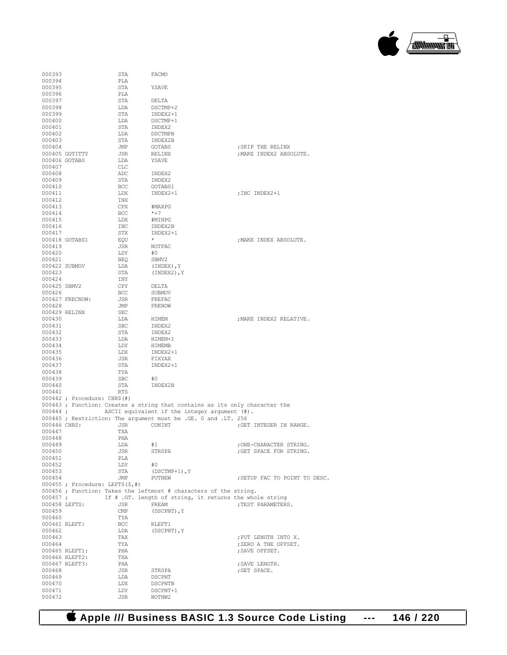

| 000393           |                                        | STA                           | FACMO                                                                      |                                                    |
|------------------|----------------------------------------|-------------------------------|----------------------------------------------------------------------------|----------------------------------------------------|
| 000394           |                                        | PLA                           |                                                                            |                                                    |
| 000395<br>000396 |                                        | STA<br>PLA                    | YSAVE                                                                      |                                                    |
| 000397           |                                        | STA                           | DELTA                                                                      |                                                    |
| 000398           |                                        | LDA                           | DSCTMP+2                                                                   |                                                    |
| 000399           |                                        | STA                           | INDEX2+1                                                                   |                                                    |
| 000400           |                                        | LDA                           | DSCTMP+1                                                                   |                                                    |
| 000401           |                                        | STA                           | INDEX2                                                                     |                                                    |
| 000402           |                                        | LDA                           | DSCTMPB                                                                    |                                                    |
| 000403<br>000404 |                                        | STA<br>JMP                    | INDEX2B<br>GOTABS                                                          | ; SKIP THE RELINX                                  |
|                  | 000405 GOTITTY                         | JSR                           | RELINX                                                                     | ; MAKE INDEX2 ABSOLUTE.                            |
|                  | 000406 GOTABS                          | LDA                           | YSAVE                                                                      |                                                    |
| 000407           |                                        | CLC                           |                                                                            |                                                    |
| 000408           |                                        | ADC                           | INDEX2                                                                     |                                                    |
| 000409           |                                        | STA                           | INDEX2                                                                     |                                                    |
| 000410           |                                        | BCC                           | GOTABS1                                                                    |                                                    |
| 000411<br>000412 |                                        | LDX<br>INX                    | INDEX2+1                                                                   | ; INC INDEX2+1                                     |
| 000413           |                                        | CPX                           | #MAXPG                                                                     |                                                    |
| 000414           |                                        | BCC                           | $*+7$                                                                      |                                                    |
| 000415           |                                        | LDX                           | #MINPG                                                                     |                                                    |
| 000416           |                                        | INC                           | INDEX2B                                                                    |                                                    |
| 000417           |                                        | STX                           | INDEX2+1                                                                   |                                                    |
|                  | 000418 GOTABS1                         | EOU                           | $\star$                                                                    | ; MAKE INDEX ABSOLUTE.                             |
| 000419<br>000420 |                                        | JSR<br>LDY                    | NOTFAC<br>#0                                                               |                                                    |
| 000421           |                                        | BEO                           | SBMV2                                                                      |                                                    |
|                  | 000422 SUBMOV                          | LDA                           | (INDEX), Y                                                                 |                                                    |
| 000423           |                                        | STA                           | (INDEX2), Y                                                                |                                                    |
| 000424           |                                        | INY                           |                                                                            |                                                    |
| 000425 SBMV2     |                                        | CPY                           | DELTA                                                                      |                                                    |
| 000426           |                                        | BCC                           | SUBMOV                                                                     |                                                    |
| 000428           | 000427 FRECNOW:                        | JSR<br>JMP                    | FREFAC<br>FRENOW                                                           |                                                    |
|                  | 000429 RELINX                          | $\operatorname{\mathsf{SEC}}$ |                                                                            |                                                    |
| 000430           |                                        | LDA                           | HIMEM                                                                      | ; MAKE INDEX2 RELATIVE.                            |
| 000431           |                                        | <b>SBC</b>                    | INDEX2                                                                     |                                                    |
| 000432           |                                        | STA                           | INDEX2                                                                     |                                                    |
| 000433           |                                        | LDA                           | HIMEM+1                                                                    |                                                    |
| 000434           |                                        | LDY                           | HIMEMB                                                                     |                                                    |
| 000435<br>000436 |                                        | LDX<br>JSR                    | INDEX2+1<br>FIXYAX                                                         |                                                    |
| 000437           |                                        | STA                           | INDEX2+1                                                                   |                                                    |
| 000438           |                                        | TYA                           |                                                                            |                                                    |
| 000439           |                                        | SBC                           | #0                                                                         |                                                    |
| 000440           |                                        | STA                           | INDEX2B                                                                    |                                                    |
| 000441           |                                        | <b>RTS</b>                    |                                                                            |                                                    |
|                  | $000442$ ; Procedure: CHR\$ $(\#)$     |                               | 000443; Function: Creates a string that contains as its only character the |                                                    |
| $000444$ ;       |                                        |                               | ASCII equivalent if the integer argument (#).                              |                                                    |
|                  |                                        |                               | 000445 ; Restriction: The argument must be .GE. 0 and .LT. 256             |                                                    |
| 000446 CHRS:     |                                        | JSR                           | CONINT                                                                     | ; GET INTEGER IN RANGE.                            |
| 000447           |                                        | TXA                           |                                                                            |                                                    |
| 000448           |                                        | PHA                           |                                                                            |                                                    |
| 000449<br>000450 |                                        | LDA<br>JSR                    | #1<br>STRSPA                                                               | ; ONE-CHARACTER STRING.<br>; GET SPACE FOR STRING. |
| 000451           |                                        | PLA                           |                                                                            |                                                    |
| 000452           |                                        | LDY                           | #0                                                                         |                                                    |
| 000453           |                                        | STA                           | $(DSCTMP+1)$ , Y                                                           |                                                    |
| 000454           |                                        | JMP                           | PUTNEW                                                                     | ; SETUP FAC TO POINT TO DESC.                      |
|                  | $000455$ ; Procedure: LEFT\$ $(\$,\#)$ |                               |                                                                            |                                                    |
|                  |                                        |                               | 000456 ; Function: Takes the leftmost # characters of the string.          |                                                    |
| $000457$ ;       | 000458 LEFTS:                          | JSR                           | If # .GT. length of string, it returns the whole string<br>PREAM           | ; TEST PARAMETERS.                                 |
| 000459           |                                        | $\text{CMP}$                  | (DSCPNT), Y                                                                |                                                    |
| 000460           |                                        | TYA                           |                                                                            |                                                    |
|                  | 000461 RLEFT:                          | <b>BCC</b>                    | RLEFT1                                                                     |                                                    |
| 000462           |                                        | LDA                           | (DSCPNT), Y                                                                |                                                    |
| 000463           |                                        | TAX                           |                                                                            | : PUT LENGTH INTO X.                               |
| 000464           | 000465 RLEFT1:                         | TYA<br>PHA                    |                                                                            | ; ZERO A THE OFFSET.<br>; SAVE OFFSET.             |
|                  | 000466 RLEFT2:                         | TXA                           |                                                                            |                                                    |
|                  | 000467 RLEFT3:                         | PHA                           |                                                                            | ; SAVE LENGTH.                                     |
| 000468           |                                        | JSR                           | STRSPA                                                                     | ; GET SPACE.                                       |
| 000469           |                                        | LDA                           | DSCPNT                                                                     |                                                    |
| 000470           |                                        | LDX                           | DSCPNTB                                                                    |                                                    |
| 000471<br>000472 |                                        | LDY<br>JSR                    | DSCPNT+1<br>NOTNW2                                                         |                                                    |
|                  |                                        |                               |                                                                            |                                                    |

 **Apple /// Business BASIC 1.3 Source Code Listing --- 146 / 220**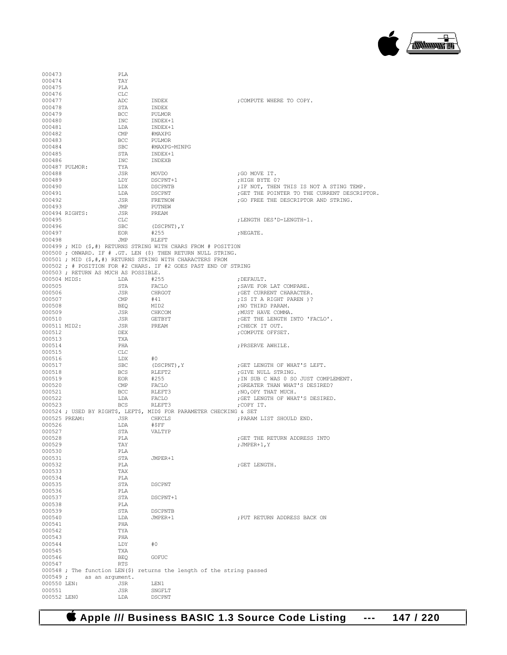

| 000473                 |                                      | PLA               |                                                                       |                                                                                      |
|------------------------|--------------------------------------|-------------------|-----------------------------------------------------------------------|--------------------------------------------------------------------------------------|
| 000474                 |                                      | TAY               |                                                                       |                                                                                      |
| 000475                 |                                      | PLA               |                                                                       |                                                                                      |
| 000476                 |                                      | CLC               |                                                                       |                                                                                      |
| 000477                 |                                      | ADC               | INDEX                                                                 | COMPUTE WHERE TO COPY.                                                               |
| 000478<br>000479       |                                      | STA<br><b>BCC</b> | INDEX<br>PULMOR                                                       |                                                                                      |
| 000480                 |                                      | INC               | INDEX+1                                                               |                                                                                      |
| 000481                 |                                      | LDA               | INDEX+1                                                               |                                                                                      |
| 000482                 |                                      | CMP               | #MAXPG                                                                |                                                                                      |
| 000483                 |                                      | BCC               | PULMOR                                                                |                                                                                      |
| 000484                 |                                      | <b>SBC</b>        | #MAXPG-MINPG                                                          |                                                                                      |
| 000485                 |                                      | STA               | INDEX+1                                                               |                                                                                      |
| 000486                 |                                      | INC               | INDEXB                                                                |                                                                                      |
|                        | 000487 PULMOR:                       | TYA               |                                                                       |                                                                                      |
| 000488                 |                                      | JSR               | MOVDO                                                                 | ;GO MOVE IT.                                                                         |
| 000489                 |                                      | LDY               | DSCPNT+1                                                              | HIGH BYTE 0?                                                                         |
| 000490                 |                                      | LDX<br>LDA        | DSCPNTB                                                               | ; IF NOT, THEN THIS IS NOT A STING TEMP.                                             |
| 000491<br>000492       |                                      | JSR               | DSCPNT<br>FRETNOW                                                     | ; GET THE POINTER TO THE CURRENT DESCRIPTOR.<br>; GO FREE THE DESCRIPTOR AND STRING. |
| 000493                 |                                      | JMP               | PUTNEW                                                                |                                                                                      |
|                        | 000494 RIGHTS:                       | JSR               | PREAM                                                                 |                                                                                      |
| 000495                 |                                      | CLC               |                                                                       | ;LENGTH DES'D-LENGTH-1.                                                              |
| 000496                 |                                      | <b>SBC</b>        | (DSCPNT), Y                                                           |                                                                                      |
| 000497                 |                                      | EOR               | #255                                                                  | ; NEGATE.                                                                            |
| 000498                 |                                      | JMP               | RLEFT                                                                 |                                                                                      |
|                        |                                      |                   | 000499 ; MID (\$,#) RETURNS STRING WITH CHARS FROM # POSITION         |                                                                                      |
|                        |                                      |                   | 000500 ; ONWARD. IF # .GT. LEN (\$) THEN RETURN NULL STRING.          |                                                                                      |
|                        |                                      |                   | 000501; MID (\$,#,#) RETURNS STRING WITH CHARACTERS FROM              |                                                                                      |
|                        |                                      |                   | 000502 ; # POSITION FOR #2 CHARS. IF #2 GOES PAST END OF STRING       |                                                                                      |
|                        | 000503 ; RETURN AS MUCH AS POSSIBLE. |                   |                                                                       |                                                                                      |
| 000504 MIDS:<br>000505 |                                      | LDA               | #255<br>FACLO                                                         | ; DEFAULT.                                                                           |
| 000506                 |                                      | STA<br>JSR        | CHRGOT                                                                | ; SAVE FOR LAT COMPARE.<br>; GET CURRENT CHARACTER.                                  |
| 000507                 |                                      | CMP               | #41                                                                   | ; IS IT A RIGHT PAREN )?                                                             |
| 000508                 |                                      | BEQ               | MID2                                                                  | ; NO THIRD PARAM.                                                                    |
| 000509                 |                                      | JSR               | CHKCOM                                                                | ; MUST HAVE COMMA.                                                                   |
| 000510                 |                                      | JSR               | GETBYT                                                                | ; GET THE LENGTH INTO 'FACLO'.                                                       |
| 000511 MID2:           |                                      | JSR               | PREAM                                                                 | ; CHECK IT OUT.                                                                      |
| 000512                 |                                      | DEX               |                                                                       | ; COMPUTE OFFSET.                                                                    |
| 000513                 |                                      | TXA               |                                                                       |                                                                                      |
| 000514                 |                                      | PHA               |                                                                       | ; PRSERVE AWHILE.                                                                    |
| 000515                 |                                      | CLC               |                                                                       |                                                                                      |
| 000516                 |                                      | LDX               | #0                                                                    |                                                                                      |
| 000517                 |                                      | $_{\rm SBC}$      | (DSCPNT), Y                                                           | ; GET LENGTH OF WHAT'S LEFT.                                                         |
| 000518<br>000519       |                                      | <b>BCS</b>        | RLEFT2<br>#255                                                        | ; GIVE NULL STRING.<br>; IN SUB C WAS 0 SO JUST COMPLEMENT.                          |
| 000520                 |                                      | EOR.<br>CMP       | FACLO                                                                 | ; GREATER THAN WHAT'S DESIRED?                                                       |
| 000521                 |                                      | <b>BCC</b>        | RLEFT3                                                                | ; NO, OPY THAT MUCH.                                                                 |
| 000522                 |                                      | LDA               | FACLO                                                                 | ; GET LENGTH OF WHAT'S DESIRED.                                                      |
| 000523                 |                                      | <b>BCS</b>        | RLEFT3                                                                | ;COPY IT.                                                                            |
|                        |                                      |                   | 000524 ; USED BY RIGHT\$, LEFT\$, MID\$ FOR PARAMETER CHECKING & SET  |                                                                                      |
| 000525 PREAM:          |                                      | JSR               | CHKCLS                                                                | ; PARAM LIST SHOULD END.                                                             |
| 000526                 |                                      | LDA               | #SFF                                                                  |                                                                                      |
| 000527                 |                                      | STA               | VALTYP                                                                |                                                                                      |
| 000528                 |                                      | PLA               |                                                                       | ; GET THE RETURN ADDRESS INTO                                                        |
| 000529                 |                                      | TAY               |                                                                       | ; JMPER+1, Y                                                                         |
| 000530<br>000531       |                                      | PLA<br>STA        | JMPER+1                                                               |                                                                                      |
| 000532                 |                                      | PLA               |                                                                       | ; GET LENGTH.                                                                        |
| 000533                 |                                      | TAX               |                                                                       |                                                                                      |
| 000534                 |                                      | PLA               |                                                                       |                                                                                      |
| 000535                 |                                      | STA               | DSCPNT                                                                |                                                                                      |
| 000536                 |                                      | PLA               |                                                                       |                                                                                      |
| 000537                 |                                      | STA               | DSCPNT+1                                                              |                                                                                      |
| 000538                 |                                      | PLA               |                                                                       |                                                                                      |
| 000539                 |                                      | STA               | DSCPNTB                                                               |                                                                                      |
| 000540                 |                                      | LDA               | JMPER+1                                                               | ; PUT RETURN ADDRESS BACK ON                                                         |
| 000541                 |                                      | PHA               |                                                                       |                                                                                      |
| 000542<br>000543       |                                      | TYA<br>PHA        |                                                                       |                                                                                      |
| 000544                 |                                      | LDY               | #0                                                                    |                                                                                      |
| 000545                 |                                      | TXA               |                                                                       |                                                                                      |
| 000546                 |                                      | <b>BEO</b>        | GOFUC                                                                 |                                                                                      |
| 000547                 |                                      | <b>RTS</b>        |                                                                       |                                                                                      |
|                        |                                      |                   | 000548 ; The function LEN(\$) returns the length of the string passed |                                                                                      |
| $000549$ ;             | as an argument.                      |                   |                                                                       |                                                                                      |
| 000550 LEN:            |                                      | JSR               | LEN1                                                                  |                                                                                      |
| 000551                 |                                      | JSR               | SNGFLT                                                                |                                                                                      |
| 000552 LENO            |                                      | LDA               | DSCPNT                                                                |                                                                                      |

 **Apple /// Business BASIC 1.3 Source Code Listing --- 147 / 220**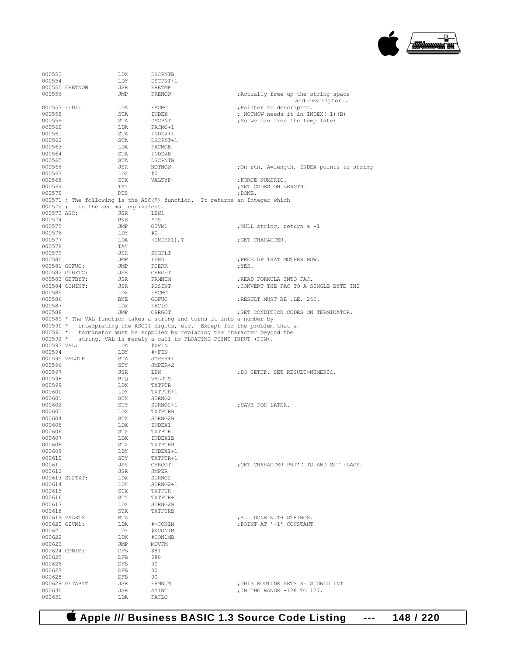

| 000553                  |                                     | LDX               | <b>DSCPNTB</b>                                                                   |                                                       |
|-------------------------|-------------------------------------|-------------------|----------------------------------------------------------------------------------|-------------------------------------------------------|
| 000554                  |                                     | LDY               | DSCPNT+1                                                                         |                                                       |
|                         | 000555 FRETNOW                      | JSR               | FRETMP                                                                           |                                                       |
| 000556                  |                                     | JMP               | FRENOW                                                                           | ; Actually free up the string space<br>and descriptor |
| 000557 LEN1:            |                                     | LDA               | FACMO                                                                            | ; Pointer to descriptor.                              |
| 000558                  |                                     | STA               | INDEX                                                                            | ; NOTNOW needs it in INDEX(+1)(B)                     |
| 000559                  |                                     | STA               | DSCPNT                                                                           | ;So we can free the temp later                        |
| 000560                  |                                     | LDA               | FACMO+1                                                                          |                                                       |
| 000561<br>000562        |                                     | STA<br>STA        | INDEX+1<br>DSCPNT+1                                                              |                                                       |
| 000563                  |                                     | LDA               | FACMOB                                                                           |                                                       |
| 000564                  |                                     | STA               | INDEXB                                                                           |                                                       |
| 000565                  |                                     | STA               | DSCPNTB                                                                          |                                                       |
| 000566                  |                                     | JSR               | NOTNOW                                                                           | ;On rtn, A=length, INDEX points to string             |
| 000567<br>000568        |                                     | LDX<br>STX        | #0<br>VALTYP                                                                     | ; FORCE NUMERIC.                                      |
| 000569                  |                                     | TAY               |                                                                                  | ; SET CODES ON LENGTH.                                |
| 000570                  |                                     | <b>RTS</b>        |                                                                                  | $,$ DONE.                                             |
|                         |                                     |                   | 000571 ; The following is the ASC(\$) function. It returns an Integer which      |                                                       |
|                         | 000572 ; is the decimal equivalent. |                   |                                                                                  |                                                       |
| 000573 ASC:             |                                     | JSR               | LEN1<br>$*+5$                                                                    |                                                       |
| 000574<br>000575        |                                     | <b>BNE</b><br>JMP | GIVM1                                                                            | ;NULL string, return a -1                             |
| 000576                  |                                     | LDY               | #0                                                                               |                                                       |
| 000577                  |                                     | LDA               | (INDEX1), Y                                                                      | ; GET CHARACTER.                                      |
| 000578                  |                                     | TAY               |                                                                                  |                                                       |
| 000579                  |                                     | JSR               | SNGFLT                                                                           |                                                       |
| 000580                  |                                     | JMP               | LEN0                                                                             | ; FREE UP THAT MOTHER NOW.                            |
| 000581 GOFUC:           | 000582 GTBYTC:                      | JMP<br>JSR        | FCERR<br>CHRGET                                                                  | ;YES.                                                 |
|                         | 000583 GETBYT:                      | JSR               | FRMNUM                                                                           | ; READ FORMULA INTO FAC.                              |
|                         | 000584 CONINT:                      | JSR               | POSINT                                                                           | ; CONVERT THE FAC TO A SINGLE BYTE INT                |
| 000585                  |                                     | LDX               | FACMO                                                                            |                                                       |
| 000586                  |                                     | BNE               | GOFUC                                                                            | RESULT MUST BE .LE. 255.                              |
| 000587                  |                                     | LDX               | FACLO                                                                            |                                                       |
| 000588                  |                                     | JMP               | CHRGOT<br>000589 * The VAL function takes a string and turns it into a number by | ; SET CONDITION CODES ON TERMINATOR.                  |
|                         |                                     |                   | 000590 * interpreting the ASCII digits, etc. Except for the problem that a       |                                                       |
|                         |                                     |                   | 000591 * terminator must be supplied by replacing the character beyond the       |                                                       |
|                         |                                     |                   |                                                                                  |                                                       |
|                         |                                     |                   | 000592 * string, VAL is merely a call to FLOATING POINT INPUT (FIN).             |                                                       |
| 000593 VAL:             |                                     | LDA               | $#$ $>FIN$                                                                       |                                                       |
| 000594                  |                                     | LDY               | $# <$ FIN                                                                        |                                                       |
|                         | 000595 VALSTR                       | STA               | JMPER+1                                                                          |                                                       |
| 000596<br>000597        |                                     | STY<br>JSR        | JMPER+2<br>LEN                                                                   | ; DO SETUP. SET RESULT=NUMERIC.                       |
| 000598                  |                                     | BEO               | VALRTS                                                                           |                                                       |
| 000599                  |                                     | LDX               | TXTPTR                                                                           |                                                       |
| 000600                  |                                     | LDY               | TXTPTR+1                                                                         |                                                       |
| 000601                  |                                     | STX               | STRNG2                                                                           |                                                       |
| 000602                  |                                     | STY               | STRNG2+1                                                                         | ; SAVE FOR LATER.                                     |
| 000603<br>000604        |                                     | LDX<br>STX        | TXTPTRB<br>STRNG2B                                                               |                                                       |
| 000605                  |                                     | LDX               | INDEX1                                                                           |                                                       |
| 000606                  |                                     | STX               | <b>TXTPTR</b>                                                                    |                                                       |
| 000607                  |                                     | LDX               | INDEX1B                                                                          |                                                       |
| 000608                  |                                     | STX               | TXTPTRB                                                                          |                                                       |
| 000609                  |                                     | LDY               | INDEX1+1                                                                         |                                                       |
| 000610<br>000611        |                                     | STY<br>JSR        | TXTPTR+1<br>CHRGOT                                                               | : GET CHARACTER PNT'D TO AND SET FLAGS.               |
| 000612                  |                                     | JSR               | JMPER                                                                            |                                                       |
|                         | 000613 ST2TXT:                      | LDX               | STRNG2                                                                           |                                                       |
| 000614                  |                                     | LDY               | STRNG2+1                                                                         |                                                       |
| 000615                  |                                     | STX               | TXTPTR                                                                           |                                                       |
| 000616                  |                                     | STY               | TXTPTR+1                                                                         |                                                       |
| 000617<br>000618        |                                     | LDX<br>STX        | STRNG2B<br>TXTPTRB                                                               |                                                       |
|                         | 000619 VALRTS                       | RTS               |                                                                                  | ; ALL DONE WITH STRINGS.                              |
|                         | 000620 GIVM1:                       | LDA               | #>CON1M                                                                          | : POINT AT '-1' CONSTANT                              |
| 000621                  |                                     | LDY               | # <con1m< td=""><td></td></con1m<>                                               |                                                       |
| 000622                  |                                     | LDX               | #CON1MB                                                                          |                                                       |
| 000623<br>000624 CON1M: |                                     | JMP<br>DFB        | MOVFM<br>\$81                                                                    |                                                       |
| 000625                  |                                     | DFB               | \$80                                                                             |                                                       |
| 000626                  |                                     | <b>DFB</b>        | 00                                                                               |                                                       |
| 000627                  |                                     | DFB               | 00                                                                               |                                                       |
| 000628                  |                                     | <b>DFB</b>        | 00                                                                               |                                                       |
|                         | 000629 GETABYT                      | JSR               | FRMNUM                                                                           | ; THIS ROUTINE SETS X= SIGNED INT                     |
| 000630<br>000631        |                                     | JSR<br>LDA        | AYINT<br>FACLO                                                                   | ; IN THE RANGE -128 TO 127.                           |

 **Apple /// Business BASIC 1.3 Source Code Listing --- 148 / 220**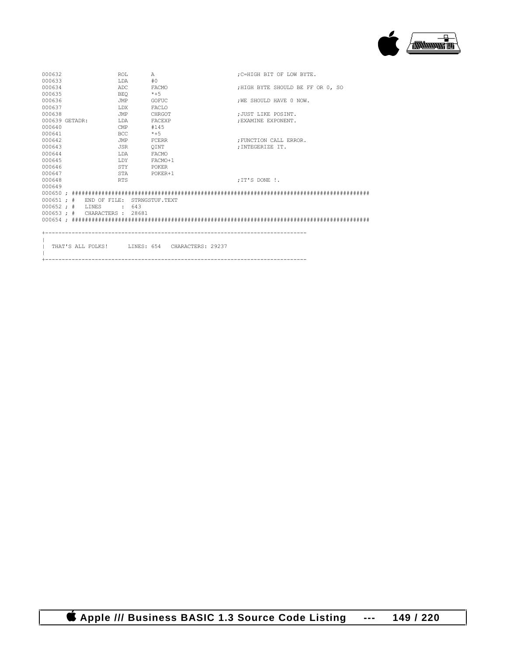

| 000632 |                    | <b>ROL</b>                    | Α                                               |  | :C=HIGH BIT OF LOW BYTE.         |  |
|--------|--------------------|-------------------------------|-------------------------------------------------|--|----------------------------------|--|
| 000633 |                    | T.DA                          | #0                                              |  |                                  |  |
| 000634 |                    | ADC                           | FACMO                                           |  | :HIGH BYTE SHOULD BE FF OR 0, SO |  |
| 000635 |                    | <b>BEO</b>                    | $*+5$                                           |  |                                  |  |
| 000636 |                    | JMP                           | GOFUC                                           |  | : WE SHOULD HAVE 0 NOW.          |  |
| 000637 |                    | LDX                           | FACLO                                           |  |                                  |  |
| 000638 |                    | JMP                           | CHRGOT                                          |  | : JUST LIKE POSINT.              |  |
|        | 000639 GETADR:     | T.DA                          | FACEXP                                          |  | : EXAMINE EXPONENT.              |  |
| 000640 |                    | CMP                           | #145                                            |  |                                  |  |
| 000641 |                    | <b>BCC</b>                    | $*+5$                                           |  |                                  |  |
| 000642 |                    | JMP                           | FCERR                                           |  | : FUNCTION CALL ERROR.           |  |
| 000643 |                    | <b>JSR</b>                    | OINT                                            |  | : INTEGERIZE IT.                 |  |
| 000644 |                    | LDA                           | FACMO                                           |  |                                  |  |
| 000645 |                    | T.DY                          | FACMO+1                                         |  |                                  |  |
| 000646 |                    | STY                           | POKER                                           |  |                                  |  |
| 000647 |                    | STA                           | POKER+1                                         |  |                                  |  |
| 000648 |                    | <b>RTS</b>                    |                                                 |  | :IT'S DONE !.                    |  |
| 000649 |                    |                               |                                                 |  |                                  |  |
|        |                    |                               |                                                 |  |                                  |  |
|        |                    |                               | 000651 ; # END OF FILE: STRNGSTUF.TEXT          |  |                                  |  |
|        | $000652 : #$ LINES | .643                          |                                                 |  |                                  |  |
|        |                    | 000653 ; # CHARACTERS : 28681 |                                                 |  |                                  |  |
|        |                    |                               |                                                 |  |                                  |  |
|        |                    |                               |                                                 |  |                                  |  |
|        |                    |                               |                                                 |  |                                  |  |
|        |                    |                               |                                                 |  |                                  |  |
|        |                    |                               | THAT'S ALL FOLKS! ILINES: 654 CHARACTERS: 29237 |  |                                  |  |
|        |                    |                               |                                                 |  |                                  |  |

+-------------------------------------------------------------------------------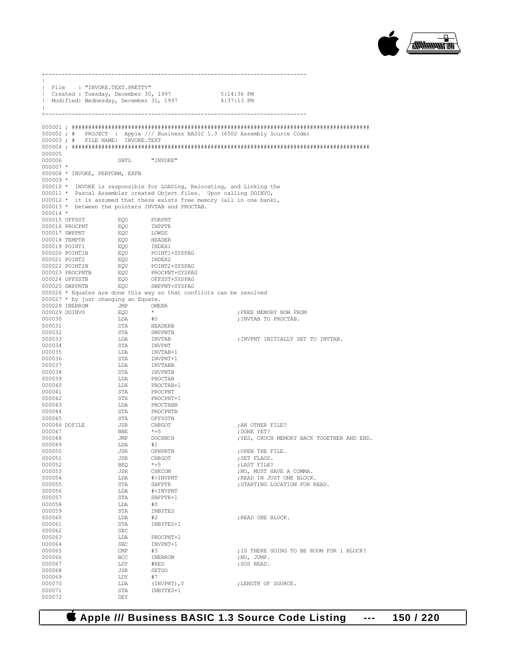

| File<br>H        | : "INVOKE.TEXT.PRETTY"<br>  Created : Tuesday, December 30, 1997<br>  Modified: Wednesday, December 31, 1997 |                   |                                                                             | 5:14:36 PM<br>4:37:13 PM                                                     |
|------------------|--------------------------------------------------------------------------------------------------------------|-------------------|-----------------------------------------------------------------------------|------------------------------------------------------------------------------|
|                  |                                                                                                              |                   |                                                                             | 000002; # PROJECT : Apple /// Business BASIC 1.3 (6502 Assembly Source Code) |
|                  | 000003; # FILE NAME: INVOKE.TEXT                                                                             |                   |                                                                             |                                                                              |
|                  |                                                                                                              |                   |                                                                             |                                                                              |
| 000005<br>000006 |                                                                                                              | SBTL              | "INVOKE"                                                                    |                                                                              |
| $000007$ *       |                                                                                                              |                   |                                                                             |                                                                              |
|                  | 000008 * INVOKE, PERFORM, EXFN                                                                               |                   |                                                                             |                                                                              |
| $000009$ *       |                                                                                                              |                   | 000010 * INVOKE is responsible for LOADing, Relocating, and Linking the     |                                                                              |
|                  |                                                                                                              |                   | 000011 * Pascal Assembler created Object files. Upon calling DOINVO,        |                                                                              |
|                  |                                                                                                              |                   | 000012 $*$ it is assumed that there exists free memory (all in one bank),   |                                                                              |
| $000014$ *       |                                                                                                              |                   | 000013 * between the pointers INVTAB and PROCTAB.                           |                                                                              |
|                  | 000015 OFFSST                                                                                                | EQU               | FORPNT                                                                      |                                                                              |
|                  | 000016 PROCPNT                                                                                               | EQU               | INPPTR                                                                      |                                                                              |
|                  | 000017 SWPPNT<br>000018 TEMPTR                                                                               | EQU<br>EQU        | LOWDS<br>HEADER                                                             |                                                                              |
|                  | 000019 POINT1                                                                                                | EQU               | INDEX1                                                                      |                                                                              |
|                  | 000020 POINT1B                                                                                               | EQU               | POINT1+SYSPAG                                                               |                                                                              |
|                  | 000021 POINT2<br>000022 POINT2B                                                                              | EQU<br>EOU        | INDEX2<br>POINT2+SYSPAG                                                     |                                                                              |
|                  | 000023 PROCPNTB                                                                                              | EQU               | PROCPNT+SYSPAG                                                              |                                                                              |
|                  | 000024 OFFSSTB<br>000025 SWPPNTB                                                                             | EQU<br>EOU        | OFFSST+SYSPAG<br>SWPPNT+SYSPAG                                              |                                                                              |
|                  |                                                                                                              |                   | 000026 * Equates are done this way so that conflicts can be resolved        |                                                                              |
|                  | 000027 * by just changing an Equate.                                                                         |                   |                                                                             |                                                                              |
|                  | 000028 INERROM<br>000029 DOINVO                                                                              | JMP<br>EQU        | <b>OMERR</b><br>$\star$                                                     | ; FREE MEMORY NOW FROM                                                       |
| 000030           |                                                                                                              | LDA               | #0                                                                          | ; INVTAB TO PROCTAB.                                                         |
| 000031           |                                                                                                              | STA               | HEADERB                                                                     |                                                                              |
| 000032<br>000033 |                                                                                                              | STA<br>LDA        | SWPPNTB<br>INVTAB                                                           | ; INVPNT INITIALLY SET TO INVTAB.                                            |
| 000034           |                                                                                                              | STA               | <b>INVPNT</b>                                                               |                                                                              |
| 000035           |                                                                                                              | LDA               | INVTAB+1                                                                    |                                                                              |
| 000036<br>000037 |                                                                                                              | STA<br>LDA        | INVPNT+1<br>INVTABB                                                         |                                                                              |
| 000038           |                                                                                                              | STA               | INVPNTB                                                                     |                                                                              |
| 000039           |                                                                                                              | LDA               | PROCTAB                                                                     |                                                                              |
| 000040<br>000041 |                                                                                                              | LDX<br>STA        | PROCTAB+1<br>PROCPNT                                                        |                                                                              |
| 000042           |                                                                                                              | STX               | PROCPNT+1                                                                   |                                                                              |
| 000043           |                                                                                                              | LDA               | PROCTABB                                                                    |                                                                              |
| 000044<br>000045 |                                                                                                              | STA<br>STA        | PROCPNTB<br>OFFSSTB                                                         |                                                                              |
|                  | 000046 DOFILE                                                                                                | JSR               | CHRGOT                                                                      | ; AN OTHER FILE?                                                             |
| 000047<br>000048 |                                                                                                              | BNE               | *+5                                                                         | : DONE YET?                                                                  |
| 000049           |                                                                                                              | JMP<br>T.DA       | DOCRNCH<br>#1                                                               | ; YES, CRUCH MEMORY BACK TOGETHER AND END.                                   |
| 000050           |                                                                                                              | JSR               | OPNPRTB                                                                     | ; OPEN THE FILE.                                                             |
| 000051<br>000052 |                                                                                                              | JSR<br><b>BEQ</b> | CHRGOT<br>$*+5$                                                             | ; SET FLAGS.<br>; LAST FILE?                                                 |
| 000053           |                                                                                                              | JSR               | CHKCOM                                                                      | ; NO, MUST HAVE A COMMA.                                                     |
| 000054           |                                                                                                              | LDA               | #>INVPNT                                                                    | ; READ IN JUST ONE BLOCK.                                                    |
| 000055<br>000056 |                                                                                                              | STA<br>LDA        | SBFPTR<br># <invpnt< td=""><td>; STARTING LOCATION FOR READ.</td></invpnt<> | ; STARTING LOCATION FOR READ.                                                |
| 000057           |                                                                                                              | STA               | SBFPTR+1                                                                    |                                                                              |
| 000058           |                                                                                                              | LDA               | #0                                                                          |                                                                              |
| 000059<br>000060 |                                                                                                              | STA<br>LDA        | INBYTES<br>#2                                                               | ; READ ONE BLOCK.                                                            |
| 000061           |                                                                                                              | STA               | INBYTES+1                                                                   |                                                                              |
| 000062           |                                                                                                              | SEC               |                                                                             |                                                                              |
| 000063<br>000064 |                                                                                                              | LDA<br><b>SBC</b> | PROCPNT+1<br>INVPNT+1                                                       |                                                                              |
| 000065           |                                                                                                              | CMP               | #3                                                                          | ; IS THERE GOING TO BE ROOM FOR 1 BLOCK?                                     |
| 000066<br>000067 |                                                                                                              | BCC<br>LDY        | INERROM                                                                     | ;NO, JUMP.<br>; SOS READ.                                                    |
| 000068           |                                                                                                              | JSR               | #RED<br>SETGO                                                               |                                                                              |
| 000069           |                                                                                                              | LDY               | #7                                                                          |                                                                              |
| 000070<br>000071 |                                                                                                              | LDA<br>STA        | (INVPNT), Y<br>INBYTES+1                                                    | ; LENGTH OF SOURCE.                                                          |
| 000072           |                                                                                                              | DEY               |                                                                             |                                                                              |

+-------------------------------------------------------------------------------

# **Apple /// Business BASIC 1.3 Source Code Listing --- 150 / 220**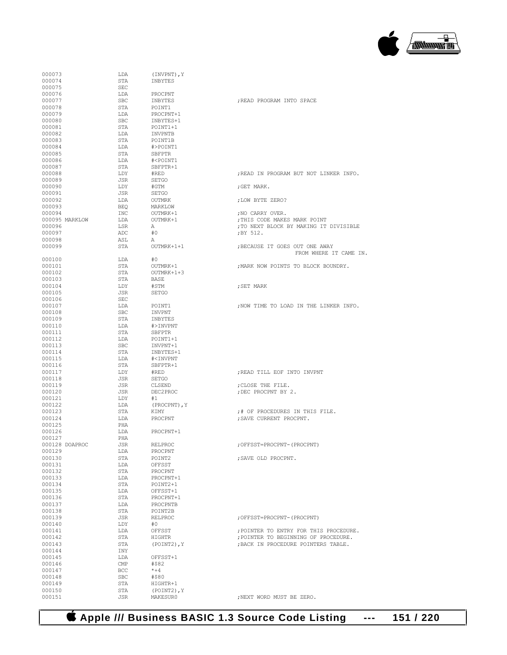### **Apple /// Business BASIC 1.3 Source Code Listing --- 151 / 220**

| 000073 |                | LDA            | (INVPNT), Y                          |                                        |
|--------|----------------|----------------|--------------------------------------|----------------------------------------|
| 000074 |                |                |                                      |                                        |
|        |                | STA            | INBYTES                              |                                        |
| 000075 |                | <b>SEC</b>     |                                      |                                        |
| 000076 |                | LDA            | PROCPNT                              |                                        |
| 000077 |                | <b>SBC</b>     | INBYTES                              | ; READ PROGRAM INTO SPACE              |
| 000078 |                | STA            | POINT1                               |                                        |
| 000079 |                | LDA            | PROCPNT+1                            |                                        |
| 000080 |                | <b>SBC</b>     | INBYTES+1                            |                                        |
| 000081 |                | STA            | POINT1+1                             |                                        |
| 000082 |                | LDA            | INVPNTB                              |                                        |
| 000083 |                | STA            | POINT1B                              |                                        |
| 000084 |                | LDA            | #>POINT1                             |                                        |
| 000085 |                | STA            | SBFPTR                               |                                        |
|        |                |                |                                      |                                        |
| 000086 |                | LDA            | # <point1< td=""><td></td></point1<> |                                        |
| 000087 |                | STA            | SBFPTR+1                             |                                        |
| 000088 |                | LDY            | #RED                                 | :READ IN PROGRAM BUT NOT LINKER INFO.  |
| 000089 |                | JSR            | <b>SETGO</b>                         |                                        |
| 000090 |                | LDY            | #GTM                                 | ; GET MARK.                            |
| 000091 |                | JSR            | <b>SETGO</b>                         |                                        |
| 000092 |                | LDA            | <b>OUTMRK</b>                        | ; LOW BYTE ZERO?                       |
| 000093 |                | <b>BEO</b>     | MARKLOW                              |                                        |
| 000094 |                | INC            | OUTMRK+1                             | ; NO CARRY OVER.                       |
|        | 000095 MARKLOW | LDA            | OUTMRK+1                             | ; THIS CODE MAKES MARK POINT           |
|        |                |                |                                      |                                        |
| 000096 |                | LSR            | А                                    | ; TO NEXT BLOCK BY MAKING IT DIVISIBLE |
| 000097 |                | ADC            | #0                                   | ;BY 512.                               |
| 000098 |                | ASL            | Α                                    |                                        |
| 000099 |                | STA            | OUTMRK+1+1                           | ; BECAUSE IT GOES OUT ONE AWAY         |
|        |                |                |                                      | FROM WHERE IT CAME IN.                 |
| 000100 |                | LDA            | #0                                   |                                        |
| 000101 |                | STA            | OUTMRK+1                             | ; MARK NOW POINTS TO BLOCK BOUNDRY.    |
| 000102 |                | STA            | OUTMRK+1+3                           |                                        |
| 000103 |                | STA            | <b>BASE</b>                          |                                        |
| 000104 |                | LDY            | #STM                                 | ; SET MARK                             |
| 000105 |                | JSR            | <b>SETGO</b>                         |                                        |
|        |                |                |                                      |                                        |
| 000106 |                | <b>SEC</b>     |                                      |                                        |
| 000107 |                | LDA            | POINT1                               | ; NOW TIME TO LOAD IN THE LINKER INFO. |
| 000108 |                | <b>SBC</b>     | INVPNT                               |                                        |
| 000109 |                | STA            | INBYTES                              |                                        |
| 000110 |                | LDA            | #>INVPNT                             |                                        |
| 000111 |                | STA            | SBFPTR                               |                                        |
| 000112 |                | LDA            | POINT1+1                             |                                        |
| 000113 |                | <b>SBC</b>     | INVPNT+1                             |                                        |
| 000114 |                | STA            | INBYTES+1                            |                                        |
| 000115 |                | LDA            | # <invpnt< td=""><td></td></invpnt<> |                                        |
|        |                |                |                                      |                                        |
| 000116 |                | STA            | SBFPTR+1                             |                                        |
| 000117 |                | LDY            | #RED                                 | ; READ TILL EOF INTO INVPNT            |
| 000118 |                | JSR            | <b>SETGO</b>                         |                                        |
| 000119 |                | JSR            | CLSEND                               | ; CLOSE THE FILE.                      |
| 000120 |                | JSR            | DEC2PROC                             | ; DEC PROCPNT BY 2.                    |
| 000121 |                | LDY            | #1                                   |                                        |
| 000122 |                | LDA            | (PROCPNT), Y                         |                                        |
| 000123 |                | STA            | KIMY                                 | ;# OF PROCEDURES IN THIS FILE.         |
| 000124 |                | LDA            | PROCPNT                              | ; SAVE CURRENT PROCPNT.                |
| 000125 |                | PHA            |                                      |                                        |
| 000126 |                | LDA            | PROCPNT+1                            |                                        |
|        |                |                |                                      |                                        |
| 000127 | 000128 DOAPROC | PHA            |                                      |                                        |
|        |                | JSR            | RELPROC                              | ; OFFSST=PROCPNT- (PROCPNT)            |
| 000129 |                | LDA            | PROCPNT                              |                                        |
| 000130 |                | STA            | POINT2                               | ; SAVE OLD PROCPNT.                    |
| 000131 |                | LDA            | OFFSST                               |                                        |
| 000132 |                | STA            | PROCPNT                              |                                        |
| 000133 |                | LDA            | PROCPNT+1                            |                                        |
| 000134 |                | STA            | POINT2+1                             |                                        |
| 000135 |                | LDA            | OFFSST+1                             |                                        |
| 000136 |                | STA            | PROCPNT+1                            |                                        |
| 000137 |                | LDA            | PROCPNTB                             |                                        |
| 000138 |                | STA            | POINT2B                              |                                        |
|        |                |                |                                      | ; OFFSST=PROCPNT- (PROCPNT)            |
| 000139 |                | JSR            | RELPROC                              |                                        |
| 000140 |                | LDY            | #0                                   |                                        |
| 000141 |                | LDA            | OFFSST                               | ; POINTER TO ENTRY FOR THIS PROCEDURE. |
| 000142 |                | STA            | <b>HIGHTR</b>                        | ; POINTER TO BEGINNING OF PROCEDURE.   |
| 000143 |                | STA            | $(POINT2)$ , Y                       | ; BACK IN PROCEDURE POINTERS TABLE.    |
| 000144 |                | INY            |                                      |                                        |
| 000145 |                | LDA            | OFFSST+1                             |                                        |
| 000146 |                | $\mathsf{CMP}$ | #\$82                                |                                        |
| 000147 |                | BCC            | $* + 4$                              |                                        |
| 000148 |                | SBC            | #\$80                                |                                        |
| 000149 |                | STA            | HIGHTR+1                             |                                        |
| 000150 |                | STA            | (POINT2), Y                          |                                        |
|        |                |                |                                      |                                        |
| 000151 |                | JSR            | MAKESUR0                             | ; NEXT WORD MUST BE ZERO.              |

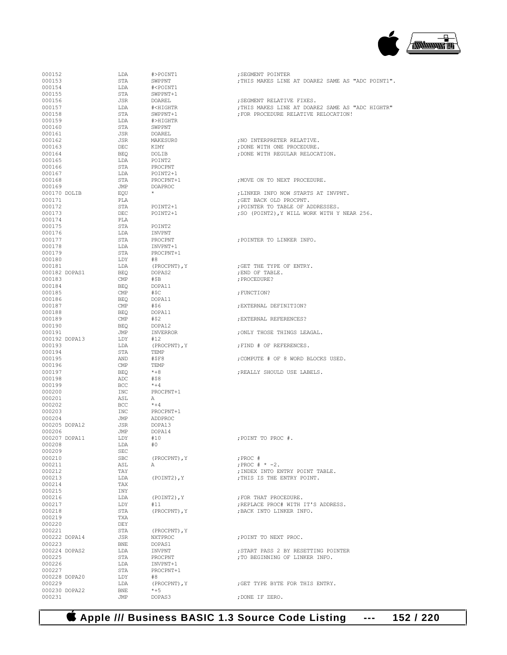

| 000152                  | LDA          | #>POINT1                                                                             | ; SEGMENT POINTER                                 |
|-------------------------|--------------|--------------------------------------------------------------------------------------|---------------------------------------------------|
| 000153                  | STA          | SWPPNT                                                                               | ; THIS MAKES LINE AT DOARE2 SAME AS "ADC POINT1". |
| 000154                  | LDA          | # <point1< td=""><td></td></point1<>                                                 |                                                   |
| 000155                  | STA          | SWPPNT+1                                                                             |                                                   |
| 000156                  | JSR          | DOAREL                                                                               | ; SEGMENT RELATIVE FIXES.                         |
| 000157                  | LDA          | # <hightr< td=""><td>; THIS MAKES LINE AT DOARE2 SAME AS "ADC HIGHTR"</td></hightr<> | ; THIS MAKES LINE AT DOARE2 SAME AS "ADC HIGHTR"  |
| 000158                  | STA          | SWPPNT+1                                                                             | ; FOR PROCEDURE RELATIVE RELOCATION!              |
| 000159                  | LDA          | #>HIGHTR                                                                             |                                                   |
| 000160                  | STA          | SWPPNT                                                                               |                                                   |
| 000161                  | JSR          | DOAREL                                                                               |                                                   |
|                         |              |                                                                                      |                                                   |
| 000162                  | JSR          | MAKESUR0                                                                             | ; NO INTERPRETER RELATIVE.                        |
| 000163                  | DEC          | KIMY                                                                                 | ; DONE WITH ONE PROCEDURE.                        |
| 000164                  | BEQ          | DOLIB                                                                                | ; DONE WITH REGULAR RELOCATION.                   |
| 000165                  | LDA          | POINT2                                                                               |                                                   |
| 000166                  | STA          | PROCPNT                                                                              |                                                   |
| 000167                  | LDA          | POINT2+1                                                                             |                                                   |
| 000168                  | STA          | PROCPNT+1                                                                            | : MOVE ON TO NEXT PROCEDURE.                      |
| 000169                  | JMP          | <b>DOAPROC</b>                                                                       |                                                   |
| 000170 DOLIB            | EQU          | $\star$                                                                              | ; LINKER INFO NOW STARTS AT INVPNT.               |
| 000171                  | PLA          |                                                                                      | ; GET BACK OLD PROCPNT.                           |
| 000172                  | STA          | POINT2+1                                                                             | ; POINTER TO TABLE OF ADDRESSES.                  |
| 000173                  | DEC          | POINT2+1                                                                             | ; SO (POINT2), Y WILL WORK WITH Y NEAR 256.       |
| 000174                  | PLA          |                                                                                      |                                                   |
| 000175                  | STA          | POINT2                                                                               |                                                   |
| 000176                  | LDA          | INVPNT                                                                               |                                                   |
| 000177                  | STA          | PROCPNT                                                                              | ; POINTER TO LINKER INFO.                         |
|                         |              |                                                                                      |                                                   |
| 000178                  | LDA          | INVPNT+1                                                                             |                                                   |
| 000179                  | STA          | PROCPNT+1                                                                            |                                                   |
| 000180                  | LDY          | #8                                                                                   |                                                   |
| 000181                  | LDA          | (PROCPNT), Y                                                                         | ; GET THE TYPE OF ENTRY.                          |
| 000182 DOPAS1           | BEQ          | DOPAS2                                                                               | ; END OF TABLE.                                   |
| 000183                  | $\text{CMP}$ | #SB                                                                                  | : PROCEDURE?                                      |
| 000184                  | <b>BEQ</b>   | DOPA11                                                                               |                                                   |
| 000185                  | CMP          | #\$C                                                                                 | ; FUNCTION?                                       |
| 000186                  | <b>BEO</b>   | DOPA11                                                                               |                                                   |
| 000187                  | CMP          | #\$6                                                                                 | ; EXTERNAL DEFINITION?                            |
| 000188                  | BEQ          | DOPA11                                                                               |                                                   |
| 000189                  | CMP          | #\$2                                                                                 | ; EXTERNAL REFERENCES?                            |
| 000190                  | BEQ          | DOPA12                                                                               |                                                   |
| 000191                  | JMP          | INVERROR                                                                             | ; ONLY THOSE THINGS LEAGAL.                       |
| 000192 DOPA13           | LDY          | #12                                                                                  |                                                   |
| 000193                  | LDA          | (PROCPNT), Y                                                                         | ; FIND # OF REFERENCES.                           |
| 000194                  | STA          |                                                                                      |                                                   |
|                         |              | TEMP                                                                                 |                                                   |
| 000195                  | AND          | #SF8                                                                                 | ; COMPUTE # OF 8 WORD BLOCKS USED.                |
| 000196                  | CMP          | TEMP                                                                                 |                                                   |
| 000197                  | BEQ          | $*+8$                                                                                | ; REALLY SHOULD USE LABELS.                       |
| 000198                  | ADC          | #\$8                                                                                 |                                                   |
| 000199                  | <b>BCC</b>   | $*+4$                                                                                |                                                   |
| 000200                  | INC          | PROCPNT+1                                                                            |                                                   |
| 000201                  | ASL          | A                                                                                    |                                                   |
| 000202                  | <b>BCC</b>   | $*+4$                                                                                |                                                   |
| 000203                  | INC          | PROCPNT+1                                                                            |                                                   |
| 000204                  | JMP          | ADDPROC                                                                              |                                                   |
| 000205 DOPA12           | JSR          | DOPA13                                                                               |                                                   |
| 000206                  | JMP          | DOPA14                                                                               |                                                   |
| 000207 DOPA11           | LDY          | #10                                                                                  | ; POINT TO PROC #.                                |
| 000208                  | LDA          | #0                                                                                   |                                                   |
| 000209                  | SEC          |                                                                                      |                                                   |
| 000210                  | SBC          | (PROCPNT), Y                                                                         | ; PROC #                                          |
| 000211                  | ASL          | $\mathbb{A}$                                                                         | ; PROC $# * -2$ .                                 |
|                         |              |                                                                                      |                                                   |
| 000212                  | TAY          |                                                                                      | ; INDEX INTO ENTRY POINT TABLE.                   |
| 000213                  | LDA          | (POINT2), Y                                                                          | ; THIS IS THE ENTRY POINT.                        |
| 000214                  | TAX          |                                                                                      |                                                   |
| 000215                  | INY          |                                                                                      |                                                   |
| 000216                  | LDA          | (POINT2), Y                                                                          | ; FOR THAT PROCEDURE.                             |
| 000217                  | LDY          | #11                                                                                  | ; REPLACE PROC# WITH IT'S ADDRESS.                |
| 000218                  | STA          | (PROCPNT), Y                                                                         | ; BACK INTO LINKER INFO.                          |
| 000219                  | TXA          |                                                                                      |                                                   |
| 000220                  | DEY          |                                                                                      |                                                   |
| 000221                  | STA          | (PROCPNT), Y                                                                         |                                                   |
| 000222 DOPA14           | JSR          | NXTPROC                                                                              | ; POINT TO NEXT PROC.                             |
| 000223                  | BNE          | DOPAS1                                                                               |                                                   |
| 000224 DOPAS2           | LDA          | INVPNT                                                                               | ; START PASS 2 BY RESETTING POINTER               |
| 000225                  | STA          | PROCPNT                                                                              | ; TO BEGINNING OF LINKER INFO.                    |
| 000226                  |              |                                                                                      |                                                   |
|                         |              |                                                                                      |                                                   |
|                         | LDA          | INVPNT+1                                                                             |                                                   |
| 000227                  | STA          | PROCPNT+1                                                                            |                                                   |
| 000228 DOPA20           | LDY          | #8                                                                                   |                                                   |
| 000229                  | LDA          | (PROCPNT), Y                                                                         | ; GET TYPE BYTE FOR THIS ENTRY.                   |
| 000230 DOPA22<br>000231 | BNE<br>JMP   | $*+5$<br>DOPAS3                                                                      | ; DONE IF ZERO.                                   |

 **Apple /// Business BASIC 1.3 Source Code Listing --- 152 / 220**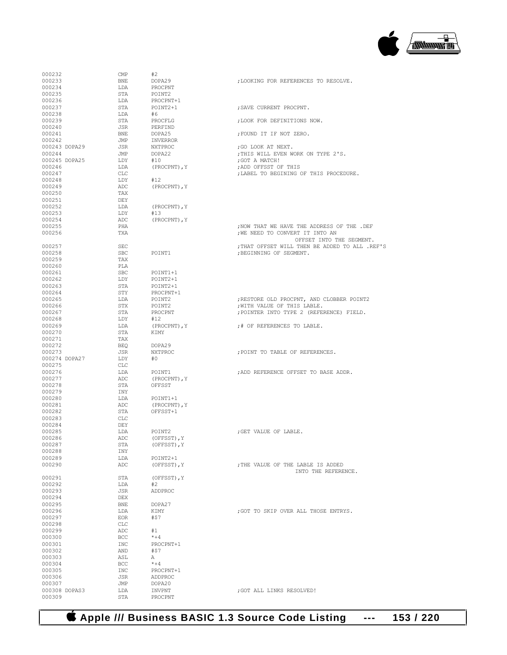

| 000232                  | CMP        | #2               |                                                |
|-------------------------|------------|------------------|------------------------------------------------|
| 000233                  | BNE        | DOPA29           | ; LOOKING FOR REFERENCES TO RESOLVE.           |
| 000234                  | LDA        | PROCPNT          |                                                |
| 000235                  | STA        | POINT2           |                                                |
| 000236                  | LDA        | PROCPNT+1        |                                                |
| 000237                  | STA        | POINT2+1         | ; SAVE CURRENT PROCPNT.                        |
| 000238                  | LDA        | #6               |                                                |
| 000239                  | STA        | PROCFLG          | : LOOK FOR DEFINITIONS NOW.                    |
| 000240                  | JSR        | PERFIND          |                                                |
| 000241                  | BNE        | DOPA25           | ; FOUND IT IF NOT ZERO.                        |
| 000242                  | JMP        | INVERROR         |                                                |
| 000243 DOPA29           | JSR        | NXTPROC          | ; GO LOOK AT NEXT.                             |
| 000244                  | JMP        | DOPA22           | ; THIS WILL EVEN WORK ON TYPE 2'S.             |
| 000245 DOPA25           | LDY        | #10              | : GOT A MATCH!                                 |
| 000246                  | LDA        | (PROCPNT), Y     | ; ADD OFFSST OF THIS                           |
| 000247                  | CLC        |                  | ; LABEL TO BEGINING OF THIS PROCEDURE.         |
| 000248                  | LDY        | #12              |                                                |
| 000249                  | ADC        | (PROCPNT), Y     |                                                |
| 000250                  | TAX        |                  |                                                |
| 000251                  | DEY        |                  |                                                |
| 000252                  | LDA        | (PROCPNT), Y     |                                                |
| 000253                  | LDY        | #13              |                                                |
| 000254                  | ADC        | (PROCPNT), Y     |                                                |
| 000255                  | PHA        |                  | NOW THAT WE HAVE THE ADDRESS OF THE .DEF       |
| 000256                  | TXA        |                  | ; WE NEED TO CONVERT IT INTO AN                |
|                         |            |                  | OFFSET INTO THE SEGMENT.                       |
| 000257                  | <b>SEC</b> |                  | ; THAT OFFSET WILL THEN BE ADDED TO ALL .REF'S |
| 000258                  | SBC        | POTNT1           | ; BEGINNING OF SEGMENT.                        |
| 000259                  | TAX        |                  |                                                |
| 000260                  | PLA        |                  |                                                |
| 000261                  | SBC        | POINT1+1         |                                                |
| 000262                  | LDY        | POINT2+1         |                                                |
| 000263                  | STA        | POINT2+1         |                                                |
| 000264                  | STY        | PROCPNT+1        |                                                |
| 000265                  | LDA        | POINT2           | ; RESTORE OLD PROCPNT, AND CLOBBER POINT2      |
| 000266                  | STX        | POINT2           | ; WITH VALUE OF THIS LABLE.                    |
| 000267                  | STA        | PROCPNT          | ; POINTER INTO TYPE 2 (REFERENCE) FIELD.       |
| 000268                  | LDY        | #12              |                                                |
| 000269                  | LDA        | (PROCPNT), Y     | ;# OF REFERENCES TO LABLE.                     |
| 000270                  | STA        | KIMY             |                                                |
| 000271                  | TAX        |                  |                                                |
| 000272                  | BEO        | DOPA29           |                                                |
| 000273                  | JSR        | NXTPROC          | ; POINT TO TABLE OF REFERENCES.                |
| 000274 DOPA27           | LDY        | #0               |                                                |
| 000275                  | CLC        |                  |                                                |
| 000276                  | LDA        | POINT1           | ; ADD REFERENCE OFFSET TO BASE ADDR.           |
| 000277                  | ADC        | (PROCPNT), Y     |                                                |
| 000278                  | STA        | OFFSST           |                                                |
| 000279                  | INY        |                  |                                                |
| 000280                  |            | POINT1+1         |                                                |
|                         | LDA        |                  |                                                |
| 000281                  | ADC        | (PROCPNT), Y     |                                                |
| 000282                  | STA        | OFFSST+1         |                                                |
| 000283                  | CLC        |                  |                                                |
| 000284                  | DEY        |                  |                                                |
| 000285                  | LDA        | POINT2           | : GET VALUE OF LABLE.                          |
| 000286                  | ADC        | (OFFSST), Y      |                                                |
| 000287                  | STA        | (OFFSST), Y      |                                                |
| 000288                  | INY        |                  |                                                |
| 000289                  | LDA        | POINT2+1         |                                                |
| 000290                  | ADC        | (OFFSST), Y      | ; THE VALUE OF THE LABLE IS ADDED              |
|                         |            |                  | INTO THE REFERENCE.                            |
| 000291                  | STA        | (OFFSST), Y      |                                                |
| 000292                  | LDA        | #2               |                                                |
| 000293                  | JSR        | ADDPROC          |                                                |
| 000294                  | DEX        |                  |                                                |
| 000295                  | BNE        | DOPA27           |                                                |
| 000296                  | LDA        | KIMY             | ; GOT TO SKIP OVER ALL THOSE ENTRYS.           |
| 000297                  | <b>EOR</b> | #\$7             |                                                |
| 000298                  | CLC        |                  |                                                |
| 000299                  | ADC        | #1               |                                                |
| 000300                  | BCC        | $* + 4$          |                                                |
| 000301                  | INC        | PROCPNT+1        |                                                |
| 000302                  | AND        | #57              |                                                |
| 000303                  | ASL        | А                |                                                |
| 000304                  | BCC.       | $* + 4$          |                                                |
| 000305                  | INC        | PROCPNT+1        |                                                |
| 000306                  | JSR        | ADDPROC          |                                                |
| 000307<br>000308 DOPAS3 | JMP<br>LDA | DOPA20<br>INVPNT |                                                |
| 000309                  | <b>STA</b> | PROCPNT          | ; GOT ALL LINKS RESOLVED!                      |

 **Apple /// Business BASIC 1.3 Source Code Listing --- 153 / 220**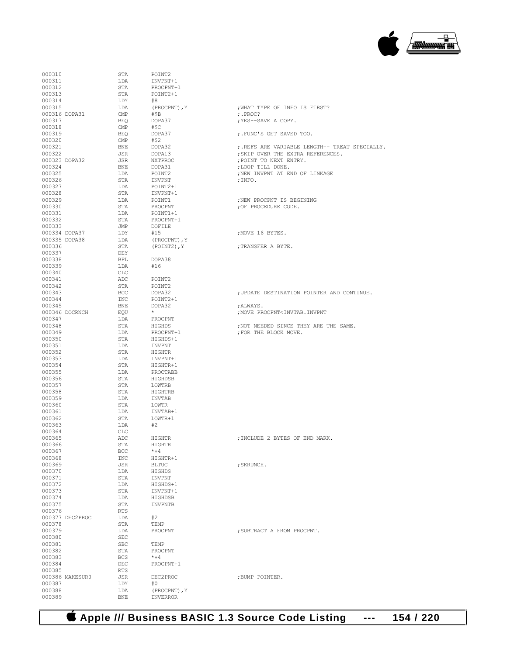

| 000310           |                 | STA            | POINT2              |                                                     |
|------------------|-----------------|----------------|---------------------|-----------------------------------------------------|
| 000311           |                 | LDA            | INVPNT+1            |                                                     |
| 000312           |                 | STA            | PROCPNT+1           |                                                     |
| 000313           |                 | STA            | POINT2+1            |                                                     |
| 000314<br>000315 |                 | LDY            | #8                  |                                                     |
|                  | 000316 DOPA31   | LDA<br>CMP     | (PROCPNT), Y<br>#ŞB | ; WHAT TYPE OF INFO IS FIRST?<br>$;$ PROC?          |
| 000317           |                 | BEQ            | DOPA37              | ; YES--SAVE A COPY.                                 |
| 000318           |                 | CMP            | #\$C                |                                                     |
| 000319           |                 | BEQ            | DOPA37              | ;.FUNC'S GET SAVED TOO.                             |
| 000320           |                 | $\mathsf{CMP}$ | #\$2                |                                                     |
| 000321           |                 | BNE            | DOPA32              | ;.REFS ARE VARIABLE LENGTH-- TRE                    |
| 000322           |                 | JSR            | DOPA13              | ; SKIP OVER THE EXTRA REFERENCES.                   |
|                  | 000323 DOPA32   | JSR            | NXTPROC             | ; POINT TO NEXT ENTRY.                              |
| 000324           |                 | BNE            | DOPA31              | ; LOOP TILL DONE.                                   |
| 000325           |                 | LDA            | POINT2              | ; NEW INVPNT AT END OF LINKAGE                      |
| 000326           |                 | STA            | INVPNT              | ; INFO.                                             |
| 000327           |                 | LDA            | POINT2+1            |                                                     |
| 000328           |                 | STA            | INVPNT+1            |                                                     |
| 000329           |                 | LDA            | POINT1              | ; NEW PROCPNT IS BEGINING                           |
| 000330           |                 | STA            | PROCPNT             | ; OF PROCEDURE CODE.                                |
| 000331           |                 | LDA            | POINT1+1            |                                                     |
| 000332           |                 | STA            | PROCPNT+1           |                                                     |
| 000333           | 000334 DOPA37   | JMP<br>LDY     | DOFILE<br>#15       | MOVE 16 BYTES.                                      |
|                  | 000335 DOPA38   | LDA            | (PROCPNT), Y        |                                                     |
| 000336           |                 | STA            | (POINT2), Y         | ;TRANSFER A BYTE.                                   |
| 000337           |                 | DEY            |                     |                                                     |
| 000338           |                 | BPL            | DOPA38              |                                                     |
| 000339           |                 | LDA            | #16                 |                                                     |
| 000340           |                 | CLC            |                     |                                                     |
| 000341           |                 | ADC            | POINT2              |                                                     |
| 000342           |                 | STA            | POINT2              |                                                     |
| 000343           |                 | BCC            | DOPA32              | ; UPDATE DESTINATION POINTER AND                    |
| 000344           |                 | INC            | POINT2+1            |                                                     |
| 000345           |                 | BNE            | DOPA32              | ;ALWAYS.                                            |
|                  | 000346 DOCRNCH  | EQU            | $\star$             | ; MOVE PROCPNT <invtab. invpnt<="" td=""></invtab.> |
| 000347           |                 | LDA            | PROCPNT             |                                                     |
| 000348           |                 | STA            | HIGHDS              | ; NOT NEEDED SINCE THEY ARE THE S                   |
| 000349           |                 | LDA            | PROCPNT+1           | ; FOR THE BLOCK MOVE.                               |
| 000350<br>000351 |                 | STA            | HIGHDS+1<br>INVPNT  |                                                     |
| 000352           |                 | LDA<br>STA     | HIGHTR              |                                                     |
| 000353           |                 | LDA            | INVPNT+1            |                                                     |
| 000354           |                 | STA            | HIGHTR+1            |                                                     |
| 000355           |                 | LDA            | PROCTABB            |                                                     |
| 000356           |                 | STA            | HIGHDSB             |                                                     |
| 000357           |                 | STA            | LOWTRB              |                                                     |
| 000358           |                 | STA            | HIGHTRB             |                                                     |
| 000359           |                 | LDA            | INVTAB              |                                                     |
| 000360           |                 | STA            | LOWTR               |                                                     |
| 000361           |                 | LDA            | INVTAB+1            |                                                     |
| 000362           |                 | STA            | LOWTR+1             |                                                     |
| 000363           |                 | LDA            | #2                  |                                                     |
| 000364           |                 | CLC            |                     |                                                     |
| 000365           |                 | ADC            | HIGHTR              | ; INCLUDE 2 BYTES OF END MARK.                      |
| 000366           |                 | STA            | HIGHTR              |                                                     |
| 000367           |                 | BCC            | $*+4$               |                                                     |
| 000368<br>000369 |                 | INC<br>JSR     | HIGHTR+1<br>BLTUC   | ; SKRUNCH.                                          |
| 000370           |                 | LDA            | HIGHDS              |                                                     |
| 000371           |                 | STA            | INVPNT              |                                                     |
| 000372           |                 | LDA            | HIGHDS+1            |                                                     |
| 000373           |                 | STA            | INVPNT+1            |                                                     |
| 000374           |                 | LDA            | HIGHDSB             |                                                     |
| 000375           |                 | STA            | INVPNTB             |                                                     |
| 000376           |                 | RTS            |                     |                                                     |
|                  | 000377 DEC2PROC | LDA            | #2                  |                                                     |
| 000378           |                 | STA            | TEMP                |                                                     |
| 000379           |                 | LDA            | PROCPNT             | ; SUBTRACT A FROM PROCPNT.                          |
| 000380           |                 | SEC            |                     |                                                     |
| 000381           |                 | <b>SBC</b>     | TEMP                |                                                     |
| 000382           |                 | STA            | PROCPNT             |                                                     |
| 000383           |                 | BCS            | $*+4$               |                                                     |
| 000384           |                 | DEC            | PROCPNT+1           |                                                     |
| 000385           | 000386 MAKESUR0 | RTS            | DEC2PROC            | ; BUMP POINTER.                                     |
| 000387           |                 | JSR<br>LDY     | #0                  |                                                     |
| 000388           |                 | LDA            | (PROCPNT), Y        |                                                     |
| 000389           |                 | <b>BNE</b>     | INVERROR            |                                                     |
|                  |                 |                |                     |                                                     |

| 000311 |                 | LDA        | INVPNT+1     |                                                     |
|--------|-----------------|------------|--------------|-----------------------------------------------------|
| 000312 |                 | STA        | PROCPNT+1    |                                                     |
| 000313 |                 | STA        | POINT2+1     |                                                     |
| 000314 |                 | LDY        | #8           |                                                     |
| 000315 |                 | LDA        | (PROCPNT), Y | ; WHAT TYPE OF INFO IS FIRST?                       |
|        | 000316 DOPA31   | CMP        | #\$B         | $;$ PROC?                                           |
| 000317 |                 | BEQ        | DOPA37       | ; YES--SAVE A COPY.                                 |
| 000318 |                 |            | #\$C         |                                                     |
|        |                 | CMP        |              |                                                     |
| 000319 |                 | BEQ        | DOPA37       | ;. FUNC'S GET SAVED TOO.                            |
| 000320 |                 | CMP        | #\$2         |                                                     |
| 000321 |                 | BNE        | DOPA32       | ;. REFS ARE VARIABLE LENGTH-- TREAT SPECIALLY.      |
| 000322 |                 | JSR        | DOPA13       | ; SKIP OVER THE EXTRA REFERENCES.                   |
|        | 000323 DOPA32   | JSR        | NXTPROC      | ; POINT TO NEXT ENTRY.                              |
| 000324 |                 | BNE        | DOPA31       | ; LOOP TILL DONE.                                   |
| 000325 |                 | LDA        | POINT2       | ; NEW INVPNT AT END OF LINKAGE                      |
|        |                 |            |              |                                                     |
| 000326 |                 | STA        | INVPNT       | ; INFO.                                             |
| 000327 |                 | LDA        | POINT2+1     |                                                     |
| 000328 |                 | STA        | INVPNT+1     |                                                     |
| 000329 |                 | LDA        | POINT1       | ; NEW PROCPNT IS BEGINING                           |
| 000330 |                 | STA        | PROCPNT      | ; OF PROCEDURE CODE.                                |
| 000331 |                 | LDA        | POINT1+1     |                                                     |
| 000332 |                 | STA        | PROCPNT+1    |                                                     |
| 000333 |                 | JMP        | DOFILE       |                                                     |
|        | 000334 DOPA37   | LDY        | #15          | ; MOVE 16 BYTES.                                    |
|        |                 |            |              |                                                     |
|        | 000335 DOPA38   | LDA        | (PROCPNT), Y |                                                     |
| 000336 |                 | STA        | (POINT2), Y  | ;TRANSFER A BYTE.                                   |
| 000337 |                 | DEY        |              |                                                     |
| 000338 |                 | BPL        | DOPA38       |                                                     |
| 000339 |                 | LDA        | #16          |                                                     |
| 000340 |                 | CLC        |              |                                                     |
| 000341 |                 | ADC        | POINT2       |                                                     |
| 000342 |                 | STA        | POINT2       |                                                     |
|        |                 |            |              |                                                     |
| 000343 |                 | BCC        | DOPA32       | ; UPDATE DESTINATION POINTER AND CONTINUE.          |
| 000344 |                 | INC        | POINT2+1     |                                                     |
| 000345 |                 | BNE        | DOPA32       | ;ALWAYS.                                            |
|        | 000346 DOCRNCH  | EQU        | $\star$      | ; MOVE PROCPNT <invtab. invpnt<="" td=""></invtab.> |
| 000347 |                 | LDA        | PROCPNT      |                                                     |
| 000348 |                 | STA        | HIGHDS       | ; NOT NEEDED SINCE THEY ARE THE SAME.               |
| 000349 |                 | LDA        | PROCPNT+1    | ; FOR THE BLOCK MOVE.                               |
|        |                 |            |              |                                                     |
| 000350 |                 | STA        | HIGHDS+1     |                                                     |
| 000351 |                 | LDA        | INVPNT       |                                                     |
| 000352 |                 | STA        | HIGHTR       |                                                     |
| 000353 |                 | LDA        | INVPNT+1     |                                                     |
| 000354 |                 | STA        | HIGHTR+1     |                                                     |
| 000355 |                 | LDA        | PROCTABB     |                                                     |
| 000356 |                 | STA        | HIGHDSB      |                                                     |
| 000357 |                 | STA        | LOWTRB       |                                                     |
| 000358 |                 | STA        | HIGHTRB      |                                                     |
|        |                 |            |              |                                                     |
| 000359 |                 | LDA        | INVTAB       |                                                     |
| 000360 |                 | STA        | LOWTR        |                                                     |
| 000361 |                 | LDA        | INVTAB+1     |                                                     |
| 000362 |                 | STA        | LOWTR+1      |                                                     |
| 000363 |                 | LDA        | #2           |                                                     |
| 000364 |                 | CLC        |              |                                                     |
| 000365 |                 | ADC        | HIGHTR       | ; INCLUDE 2 BYTES OF END MARK.                      |
| 000366 |                 | STA        | HIGHTR       |                                                     |
|        |                 | BCC        |              |                                                     |
| 000367 |                 |            | $*+4$        |                                                     |
| 000368 |                 | INC        | HIGHTR+1     |                                                     |
| 000369 |                 | JSR        | <b>BLTUC</b> | ; SKRUNCH.                                          |
| 000370 |                 | LDA        | HIGHDS       |                                                     |
| 000371 |                 | STA        | INVPNT       |                                                     |
| 000372 |                 | LDA        | HIGHDS+1     |                                                     |
| 000373 |                 | STA        | INVPNT+1     |                                                     |
| 000374 |                 | LDA        | HIGHDSB      |                                                     |
|        |                 |            |              |                                                     |
| 000375 |                 | STA        | INVPNTB      |                                                     |
| 000376 |                 | RTS        |              |                                                     |
|        | 000377 DEC2PROC | LDA        | #2           |                                                     |
| 000378 |                 | STA        | TEMP         |                                                     |
| 000379 |                 | LDA        | PROCPNT      | ; SUBTRACT A FROM PROCPNT.                          |
| 000380 |                 | SEC        |              |                                                     |
| 000381 |                 | SBC        | TEMP         |                                                     |
| 000382 |                 | STA        | PROCPNT      |                                                     |
|        |                 |            |              |                                                     |
| 000383 |                 | <b>BCS</b> | $* + 4$      |                                                     |
| 000384 |                 | DEC        | PROCPNT+1    |                                                     |
| 000385 |                 | RTS        |              |                                                     |
|        | 000386 MAKESUR0 | JSR        | DEC2PROC     | ; BUMP POINTER.                                     |

 **Apple /// Business BASIC 1.3 Source Code Listing --- 154 / 220**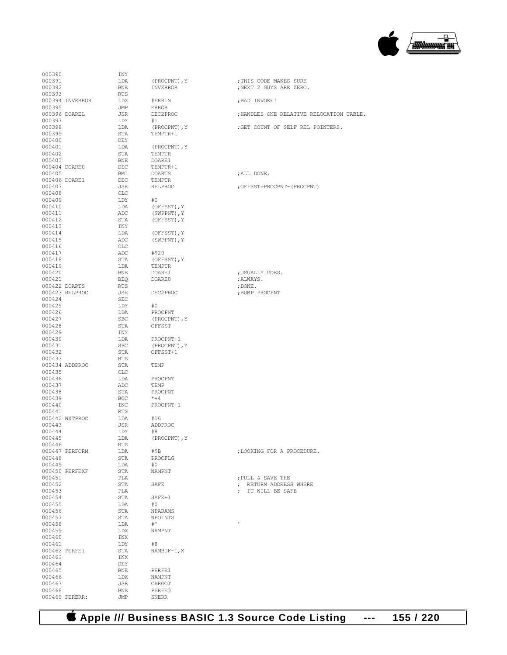

| 000390          | INY        |                |                             |
|-----------------|------------|----------------|-----------------------------|
| 000391          | LDA        | (PROCPNT), Y   | ; THIS CODE MAKES SURE      |
| 000392          | <b>BNE</b> | INVERROR       | ; NEXT 2 GUYS ARE ZERO.     |
| 000393          | <b>RTS</b> |                |                             |
| 000394 INVERROR | LDX        | #ERRIN         | ; BAD INVOKE!               |
| 000395          | JMP        | <b>ERROR</b>   |                             |
|                 |            |                |                             |
| 000396 DOAREL   | JSR        | DEC2PROC       | ; HANDLES ONE RELATIVE REL  |
| 000397          | LDY        | #1             |                             |
| 000398          | LDA        | (PROCPNT), Y   | ; GET COUNT OF SELF REL PO  |
| 000399          | STA        | TEMPTR+1       |                             |
| 000400          | DEY        |                |                             |
| 000401          | LDA        |                |                             |
|                 |            | (PROCPNT), Y   |                             |
| 000402          | STA        | TEMPTR         |                             |
| 000403          | BNE        | DOARE1         |                             |
| 000404 DOARE0   | DEC        | TEMPTR+1       |                             |
| 000405          | BMI        | DOARTS         | ; ALL DONE.                 |
| 000406 DOARE1   | DEC        | <b>TEMPTR</b>  |                             |
| 000407          | JSR.       | RELPROC        |                             |
|                 |            |                | ; OFFSST=PROCPNT- (PROCPNT) |
| 000408          | CLC        |                |                             |
| 000409          | LDY        | #0             |                             |
| 000410          | LDA        | (OFFSST), Y    |                             |
| 000411          | ADC        | (SWPPNT), Y    |                             |
| 000412          | STA        | (OFFSST), Y    |                             |
| 000413          | INY        |                |                             |
| 000414          | LDA        | (OFFSST), Y    |                             |
|                 |            |                |                             |
| 000415          | ADC        | (SWPPNT), Y    |                             |
| 000416          | <b>CLC</b> |                |                             |
| 000417          | ADC        | #\$20          |                             |
| 000418          | STA        | (OFFSST), Y    |                             |
| 000419          | T.DA       | <b>TEMPTR</b>  |                             |
| 000420          | <b>BNE</b> |                | ; USUALLY GOES.             |
|                 |            | DOARE1         |                             |
| 000421          | <b>BEO</b> | DOARE0         | ;ALWAYS.                    |
| 000422 DOARTS   | <b>RTS</b> |                | ; $DONE.$                   |
| 000423 RELPROC  | JSR        | DEC2PROC       | ; BUMP PROCPNT              |
| 000424          | <b>SEC</b> |                |                             |
| 000425          | LDY        | #0             |                             |
| 000426          | LDA        | PROCPNT        |                             |
|                 |            |                |                             |
| 000427          | <b>SBC</b> | (PROCPNT), Y   |                             |
| 000428          | STA        | OFFSST         |                             |
| 000429          | INY        |                |                             |
| 000430          | LDA        | PROCPNT+1      |                             |
| 000431          | <b>SBC</b> | (PROCPNT), Y   |                             |
| 000432          | STA        | OFFSST+1       |                             |
|                 |            |                |                             |
| 000433          | RTS        |                |                             |
| 000434 ADDPROC  | STA        | TEMP           |                             |
| 000435          | CLC        |                |                             |
| 000436          | LDA        | PROCPNT        |                             |
| 000437          | ADC        | TEMP           |                             |
| 000438          | STA        | PROCPNT        |                             |
|                 |            | $*+4$          |                             |
| 000439          | BCC        |                |                             |
| 000440          | INC        | PROCPNT+1      |                             |
| 000441          | RTS        |                |                             |
| 000442 NXTPROC  | LDA        | #16            |                             |
| 000443          | <b>JSR</b> | ADDPROC        |                             |
| 000444          | LDY        | #8             |                             |
| 000445          | LDA        | (PROCPNT), Y   |                             |
|                 |            |                |                             |
| 000446          | RTS        |                |                             |
| 000447 PERFORM  | LDA        | #\$B           | ; LOOKING FOR A PROCEDURE.  |
| 000448          | STA        | PROCFLG        |                             |
| 000449          | LDA        | #0             |                             |
| 000450 PERFEXF  | STA        | <b>NAMPNT</b>  |                             |
| 000451          | PLA        |                | ; PULL & SAVE THE           |
| 000452          | STA        | SAFE           | ; RETURN ADDRESS WHERE      |
|                 |            |                |                             |
| 000453          | PLA        |                | ; IT WILL BE SAFE           |
| 000454          | STA        | SAFE+1         |                             |
| 000455          | LDA        | #0             |                             |
| 000456          | STA        | <b>NPARAMS</b> |                             |
| 000457          | STA        | NPOINTS        |                             |
| 000458          | LDA        | $#$ '          | ŧ.                          |
| 000459          | LDX        | NAMPNT         |                             |
|                 |            |                |                             |
| 000460          | INX        |                |                             |
| 000461          | LDY        | #8             |                             |
| 000462 PERFE1   | STA        | $NAMBUF-1, X$  |                             |
| 000463          | INX        |                |                             |
| 000464          | DEY        |                |                             |
| 000465          | BNE        | PERFE1         |                             |
|                 |            |                |                             |
| 000466          | LDX        | NAMPNT         |                             |
| 000467          | JSR        | CHRGOT         |                             |
| 000468          | BNE        | PERFE3         |                             |
| 000469 PERERR:  | JMP        | <b>SNERR</b>   |                             |
|                 |            |                |                             |

| 000390        |                 | INY |                |                                          |
|---------------|-----------------|-----|----------------|------------------------------------------|
|               |                 |     |                |                                          |
| 000391        |                 | LDA | (PROCPNT), Y   | ; THIS CODE MAKES SURE                   |
| 000392        |                 | BNE | INVERROR       | ; NEXT 2 GUYS ARE ZERO.                  |
| 000393        |                 | RTS |                |                                          |
|               |                 |     |                |                                          |
|               | 000394 INVERROR | LDX | #ERRIN         | ; BAD INVOKE!                            |
| 000395        |                 | JMP | <b>ERROR</b>   |                                          |
| 000396 DOAREL |                 | JSR | DEC2PROC       | ; HANDLES ONE RELATIVE RELOCATION TABLE. |
|               |                 |     |                |                                          |
| 000397        |                 | LDY | #1             |                                          |
| 000398        |                 | LDA | (PROCPNT), Y   | ; GET COUNT OF SELF REL POINTERS.        |
|               |                 |     |                |                                          |
| 000399        |                 | STA | TEMPTR+1       |                                          |
| 000400        |                 | DEY |                |                                          |
| 000401        |                 | LDA | (PROCPNT), Y   |                                          |
|               |                 |     |                |                                          |
| 000402        |                 | STA | TEMPTR         |                                          |
| 000403        |                 | BNE | DOARE1         |                                          |
|               |                 |     |                |                                          |
| 000404 DOARE0 |                 | DEC | TEMPTR+1       |                                          |
| 000405        |                 | BMI | DOARTS         | ; ALL DONE.                              |
| 000406 DOARE1 |                 | DEC | TEMPTR         |                                          |
|               |                 |     |                |                                          |
| 000407        |                 | JSR | RELPROC        | ; OFFSST=PROCPNT- (PROCPNT)              |
| 000408        |                 | CLC |                |                                          |
| 000409        |                 | LDY | #0             |                                          |
|               |                 |     |                |                                          |
| 000410        |                 | LDA | (OFFSST), Y    |                                          |
| 000411        |                 | ADC | (SWPPNT), Y    |                                          |
|               |                 |     |                |                                          |
| 000412        |                 | STA | (OFFSST), Y    |                                          |
| 000413        |                 | INY |                |                                          |
| 000414        |                 | LDA | (OFFSST), Y    |                                          |
|               |                 |     |                |                                          |
| 000415        |                 | ADC | (SWPPNT), Y    |                                          |
| 000416        |                 | CLC |                |                                          |
| 000417        |                 | ADC | #\$20          |                                          |
|               |                 |     |                |                                          |
| 000418        |                 | STA | (OFFSST), Y    |                                          |
| 000419        |                 | LDA | TEMPTR         |                                          |
|               |                 |     |                |                                          |
| 000420        |                 | BNE | DOARE1         | ; USUALLY GOES.                          |
| 000421        |                 | BEO | DOARE0         | ;ALWAYS.                                 |
| 000422 DOARTS |                 | RTS |                | ; DONE .                                 |
|               |                 |     |                |                                          |
|               | 000423 RELPROC  | JSR | DEC2PROC       | ; BUMP PROCPNT                           |
| 000424        |                 | SEC |                |                                          |
| 000425        |                 | LDY | #0             |                                          |
|               |                 |     |                |                                          |
| 000426        |                 | LDA | PROCPNT        |                                          |
| 000427        |                 | SBC | (PROCPNT), Y   |                                          |
|               |                 |     |                |                                          |
| 000428        |                 | STA | OFFSST         |                                          |
| 000429        |                 | INY |                |                                          |
| 000430        |                 | LDA | PROCPNT+1      |                                          |
|               |                 |     |                |                                          |
| 000431        |                 | SBC | (PROCPNT), Y   |                                          |
| 000432        |                 | STA | OFFSST+1       |                                          |
|               |                 |     |                |                                          |
| 000433        |                 | RTS |                |                                          |
|               | 000434 ADDPROC  | STA | TEMP           |                                          |
| 000435        |                 | CLC |                |                                          |
|               |                 |     |                |                                          |
| 000436        |                 | LDA | PROCPNT        |                                          |
| 000437        |                 | ADC | TEMP           |                                          |
| 000438        |                 | STA | PROCPNT        |                                          |
|               |                 |     |                |                                          |
| 000439        |                 | BCC | $*+4$          |                                          |
| 000440        |                 | INC | PROCPNT+1      |                                          |
|               |                 |     |                |                                          |
| 000441        |                 | RTS |                |                                          |
|               | 000442 NXTPROC  | LDA | #16            |                                          |
| 000443        |                 | JSR | ADDPROC        |                                          |
|               |                 |     |                |                                          |
| 000444        |                 | LDY | #8             |                                          |
| 000445        |                 | LDA | (PROCPNT), Y   |                                          |
| 000446        |                 | RTS |                |                                          |
|               |                 |     |                |                                          |
|               | 000447 PERFORM  | LDA | #\$B           | ; LOOKING FOR A PROCEDURE.               |
| 000448        |                 | STA | PROCFLG        |                                          |
| 000449        |                 | LDA | #0             |                                          |
|               |                 |     |                |                                          |
|               | 000450 PERFEXF  | STA | <b>NAMPNT</b>  |                                          |
| 000451        |                 | PLA |                | ; PULL & SAVE THE                        |
| 000452        |                 | STA | SAFE           | ; RETURN ADDRESS WHERE                   |
|               |                 |     |                |                                          |
| 000453        |                 | PLA |                | ; IT WILL BE SAFE                        |
| 000454        |                 | STA | SAFE+1         |                                          |
|               |                 |     |                |                                          |
| 000455        |                 | LDA | #0             |                                          |
| 000456        |                 | STA | NPARAMS        |                                          |
| 000457        |                 | STA | NPOINTS        |                                          |
|               |                 |     |                |                                          |
| 000458        |                 | LDA | # <sup>1</sup> | $\mathbf{r}$                             |
| 000459        |                 | LDX | NAMPNT         |                                          |
|               |                 |     |                |                                          |
| 000460        |                 | INX |                |                                          |
| 000461        |                 | LDY | #8             |                                          |
| 000462 PERFE1 |                 | STA | $NAMBUF-1, X$  |                                          |
|               |                 |     |                |                                          |
| 000463        |                 | INX |                |                                          |
| 000464        |                 | DEY |                |                                          |
| 000465        |                 | BNE | PERFE1         |                                          |
|               |                 |     |                |                                          |
| 000466        |                 | LDX | NAMPNT         |                                          |
| 000467        |                 | JSR | CHRGOT         |                                          |
|               |                 |     |                |                                          |

 **Apple /// Business BASIC 1.3 Source Code Listing --- 155 / 220**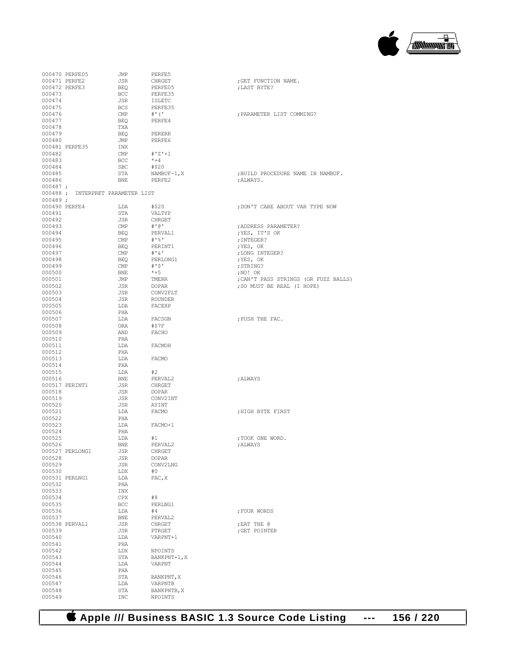

|            | 000470 PERFE05                    | JMP            | PERFE5            |                                      |
|------------|-----------------------------------|----------------|-------------------|--------------------------------------|
|            | 000471 PERFE2                     | JSR            | CHRGET            | ; GET FUNCTION NAME.                 |
|            |                                   |                |                   |                                      |
|            | 000472 PERFE3                     | <b>BEQ</b>     | PERFE05           | ; LAST BYTE?                         |
| 000473     |                                   | BCC            | PERFE35           |                                      |
| 000474     |                                   | JSR            | ISLETC            |                                      |
| 000475     |                                   | BCS            | PERFE35           |                                      |
|            |                                   |                |                   |                                      |
| 000476     |                                   | $\mathsf{CMP}$ | #' ('             | ; PARAMETER LIST COMMING?            |
| 000477     |                                   | BEO            | PERFE4            |                                      |
| 000478     |                                   | TXA            |                   |                                      |
| 000479     |                                   | BEQ            | PERERR            |                                      |
|            |                                   |                |                   |                                      |
| 000480     |                                   | JMP            | PERFE6            |                                      |
|            | 000481 PERFE35                    | INX            |                   |                                      |
| 000482     |                                   | $\text{CMP}$   | $#'Z'+1$          |                                      |
|            |                                   | BCC            | $*+4$             |                                      |
| 000483     |                                   |                |                   |                                      |
| 000484     |                                   | SBC            | #\$20             |                                      |
| 000485     |                                   | STA            | NAMBUF-1,X        | ; BUILD PROCEDURE NAME IN NAMBUF.    |
| 000486     |                                   | BNE PERFE2     |                   | ;ALWAYS.                             |
| $000487$ ; |                                   |                |                   |                                      |
|            |                                   |                |                   |                                      |
|            | 000488 ; INTERPRET PARAMETER LIST |                |                   |                                      |
| $000489$ ; |                                   |                |                   |                                      |
|            | 000490 PERFE4                     | LDA #\$20      |                   | ; DON'T CARE ABOUT VAR TYPE NOW      |
| 000491     |                                   | STA            | VALTYP            |                                      |
|            |                                   |                |                   |                                      |
| 000492     |                                   | JSR            | CHRGET            |                                      |
| 000493     |                                   | $\mathsf{CMP}$ | #'@'              | ; ADDRESS PARAMETER?                 |
| 000494     |                                   | BEQ            | PERVAL1           | ;YES, IT'S OK                        |
|            |                                   |                | # ' % '           |                                      |
| 000495     |                                   | $\text{CMP}$   |                   | ; INTEGER?                           |
| 000496     |                                   | BEO            | PERINT1           | ;YES, OK                             |
| 000497     |                                   | $\mathsf{CMP}$ | $+$ ' $\&$ '      | ; LONG INTEGER?                      |
| 000498     |                                   | BEO            | PERLONG1          | ; YES, OK                            |
|            |                                   |                |                   |                                      |
| 000499     |                                   | CMP            | #'\$'             | ; STRING?                            |
| 000500     |                                   | BNE            | $*+5$             | ; $NO!$ $OK$                         |
| 000501     |                                   | JMP            | TMERR             | ; CAN'T PASS STRINGS (OR FUZZ BALLS) |
|            |                                   |                | <b>DOPAR</b>      | ; SO MUST BE REAL (I HOPE)           |
| 000502     |                                   | JSR            |                   |                                      |
| 000503     |                                   | JSR            | CONV2FLT          |                                      |
| 000504     |                                   | JSR            |                   |                                      |
| 000505     |                                   | LDA            | ROUNDER<br>FACEXP |                                      |
|            |                                   |                |                   |                                      |
| 000506     |                                   | PHA            |                   |                                      |
| 000507     |                                   | LDA            | FACSGN            | ; PUSH THE FAC.                      |
| 000508     |                                   | ORA            | #\$7F             |                                      |
| 000509     |                                   | AND            | FACHO             |                                      |
|            |                                   |                |                   |                                      |
| 000510     |                                   | PHA            |                   |                                      |
| 000511     |                                   | LDA            | FACMOH            |                                      |
| 000512     |                                   | PHA            |                   |                                      |
| 000513     |                                   |                |                   |                                      |
|            |                                   | LDA            | FACMO             |                                      |
| 000514     |                                   | PHA            |                   |                                      |
| 000515     |                                   | LDA            | #2                |                                      |
| 000516     |                                   | BNE            | PERVAL2           | ; ALWAYS                             |
|            |                                   |                |                   |                                      |
|            | 000517 PERINT1                    | JSR            | CHRGET            |                                      |
| 000518     |                                   | JSR            | DOPAR             |                                      |
| 000519     |                                   | JSR            | CONV2INT          |                                      |
| 000520     |                                   | JSR            | AYINT             |                                      |
|            |                                   |                |                   |                                      |
| 000521     |                                   | LDA            | FACMO             | HIGH BYTE FIRST,                     |
| 000522     |                                   | PHA            |                   |                                      |
| 000523     |                                   | LDA FACMO+1    |                   |                                      |
| 000524     |                                   | PHA            |                   |                                      |
|            |                                   |                |                   |                                      |
| 000525     |                                   | LDA            | #1                | ; TOOK ONE WORD.                     |
| 000526     |                                   | BNE            | PERVAL2           | ; ALWAYS                             |
|            | 000527 PERLONG1                   | JSR            | CHRGET            |                                      |
| 000528     |                                   | JSR            | DOPAR             |                                      |
|            |                                   |                |                   |                                      |
| 000529     |                                   | JSR            | CONV2LNG          |                                      |
| 000530     |                                   | LDX            | #0                |                                      |
|            | 000531 PERLNG1                    | LDA            | FAC, X            |                                      |
| 000532     |                                   | PHA            |                   |                                      |
|            |                                   |                |                   |                                      |
| 000533     |                                   | INX            |                   |                                      |
| 000534     |                                   | CPX            | #8                |                                      |
| 000535     |                                   | BCC            | PERLNG1           |                                      |
|            |                                   |                |                   |                                      |
| 000536     |                                   | LDA            | #4                | ; FOUR WORDS                         |
| 000537     |                                   | BNE            | PERVAL2           |                                      |
|            | 000538 PERVAL1                    | JSR            | CHRGET            | ; EAT THE @                          |
| 000539     |                                   | JSR            | PTRGET            | ; GET POINTER                        |
|            |                                   |                |                   |                                      |
| 000540     |                                   | LDA            | VARPNT+1          |                                      |
| 000541     |                                   | PHA            |                   |                                      |
| 000542     |                                   | LDX            | NPOINTS           |                                      |
| 000543     |                                   | STA            | BANKPNT+1, X      |                                      |
|            |                                   |                |                   |                                      |
| 000544     |                                   | LDA            | VARPNT            |                                      |
| 000545     |                                   | PHA            |                   |                                      |
| 000546     |                                   | STA            | BANKPNT, X        |                                      |
| 000547     |                                   | LDA            | VARPNTB           |                                      |
|            |                                   |                |                   |                                      |
| 000548     |                                   | STA            | BANKPNTB, X       |                                      |
|            |                                   |                |                   |                                      |
| 000549     |                                   | INC            | NPOINTS           |                                      |

 **Apple /// Business BASIC 1.3 Source Code Listing --- 156 / 220**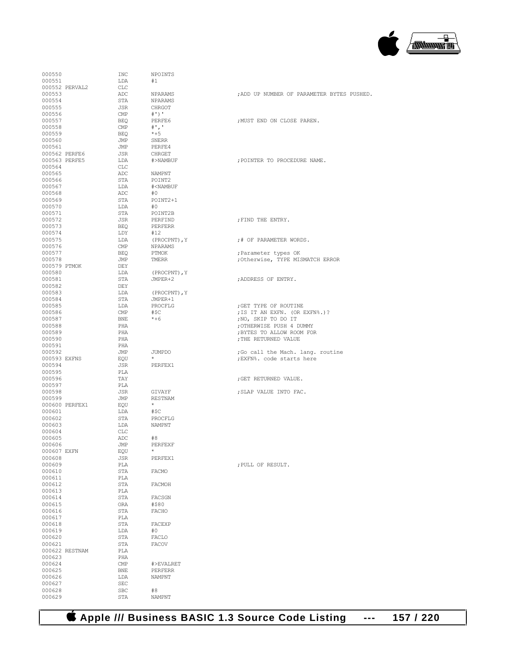

| 000550           |                | INC               | NPOINTS                              |                                                   |
|------------------|----------------|-------------------|--------------------------------------|---------------------------------------------------|
| 000551           |                | LDA               | #1                                   |                                                   |
| 000553           | 000552 PERVAL2 | CLC<br>ADC        | NPARAMS                              | ; ADD UP NUMBER OF PARAMETER BYTES PUSHED.        |
| 000554           |                | STA               | NPARAMS                              |                                                   |
| 000555           |                | JSR               | CHRGOT                               |                                                   |
| 000556           |                | CMP               | $#'$ )'                              |                                                   |
| 000557           |                | BEO               | PERFE6                               | ; MUST END ON CLOSE PAREN.                        |
| 000558<br>000559 |                | CMP<br>BEQ        | $#$ ', '<br>$*+5$                    |                                                   |
| 000560           |                | JMP               | SNERR                                |                                                   |
| 000561           |                | JMP               | PERFE4                               |                                                   |
| 000562 PERFE6    |                | JSR               | CHRGET                               |                                                   |
| 000563 PERFE5    |                | LDA               | #>NAMBUF                             | : POINTER TO PROCEDURE NAME.                      |
| 000564           |                | CLC               |                                      |                                                   |
| 000565<br>000566 |                | ADC<br>STA        | NAMPNT<br>POINT2                     |                                                   |
| 000567           |                | LDA               | # <nambuf< td=""><td></td></nambuf<> |                                                   |
| 000568           |                | ADC               | #O                                   |                                                   |
| 000569           |                | STA               | POINT2+1                             |                                                   |
| 000570           |                | LDA               | #O                                   |                                                   |
| 000571           |                | STA               | POINT2B                              |                                                   |
| 000572           |                | JSR               | PERFIND<br>PERFERR                   | ; FIND THE ENTRY.                                 |
| 000573<br>000574 |                | BEQ<br>LDY        | #12                                  |                                                   |
| 000575           |                | LDA               | (PROCPNT), Y                         | ;# OF PARAMETER WORDS.                            |
| 000576           |                | CMP               | NPARAMS                              |                                                   |
| 000577           |                | BEQ               | PTMOK                                | ; Parameter types OK                              |
| 000578           |                | JMP               | TMERR                                | ; Otherwise, TYPE MISMATCH ERROR                  |
| 000579 PTMOK     |                | DEY               |                                      |                                                   |
| 000580           |                | LDA               | (PROCPNT), Y                         | :ADDRESS OF ENTRY.                                |
| 000581<br>000582 |                | STA<br>DEY        | JMPER+2                              |                                                   |
| 000583           |                | LDA               | (PROCPNT), Y                         |                                                   |
| 000584           |                | STA               | JMPER+1                              |                                                   |
| 000585           |                | LDA               | PROCFLG                              | ; GET TYPE OF ROUTINE                             |
| 000586           |                | CMP               | #\$C                                 | ; IS IT AN EXFN. (OR EXFN%.)?                     |
| 000587           |                | BNE               | $*+6$                                | ;NO, SKIP TO DO IT                                |
| 000588           |                | PHA               |                                      | ; OTHERWISE PUSH 4 DUMMY                          |
| 000589<br>000590 |                | PHA<br>PHA        |                                      | ; BYTES TO ALLOW ROOM FOR<br>; THE RETURNED VALUE |
| 000591           |                | PHA               |                                      |                                                   |
| 000592           |                | JMP               | JUMPDO                               | ; Go call the Mach. lang. routine                 |
| 000593 EXFNS     |                | EOU               | $\star$                              | ; EXFN%. code starts here                         |
| 000594           |                | JSR               | PERFEX1                              |                                                   |
| 000595           |                | PLA               |                                      |                                                   |
| 000596<br>000597 |                | TAY<br>PLA        |                                      | ; GET RETURNED VALUE.                             |
| 000598           |                | JSR               | GIVAYF                               | ; SLAP VALUE INTO FAC.                            |
| 000599           |                | JMP               | RESTNAM                              |                                                   |
|                  | 000600 PERFEX1 | EQU               | $\star$                              |                                                   |
| 000601           |                | LDA               | #\$C                                 |                                                   |
| 000602           |                | STA               | PROCFLG                              |                                                   |
| 000603           |                | LDA               | NAMPNT                               |                                                   |
| 000604<br>000605 |                | CLC<br>ADC.       | #8                                   |                                                   |
| 000606           |                | JMP               | PERFEXF                              |                                                   |
| 000607 EXFN      |                | EQU               | $^{\star}$                           |                                                   |
| 000608           |                | JSR               | PERFEX1                              |                                                   |
| 000609           |                | PLA               |                                      | ; PULL OF RESULT.                                 |
| 000610           |                | STA               | FACMO                                |                                                   |
| 000611<br>000612 |                | PLA<br>STA        | FACMOH                               |                                                   |
| 000613           |                | PLA               |                                      |                                                   |
| 000614           |                | STA               | FACSGN                               |                                                   |
| 000615           |                | ORA               | #\$80                                |                                                   |
| 000616           |                | STA               | FACHO                                |                                                   |
| 000617           |                | PLA               |                                      |                                                   |
| 000618           |                | STA               | FACEXP<br>#0                         |                                                   |
| 000619<br>000620 |                | LDA<br>STA        | FACLO                                |                                                   |
| 000621           |                | STA               | FACOV                                |                                                   |
|                  | 000622 RESTNAM | PLA               |                                      |                                                   |
| 000623           |                | PHA               |                                      |                                                   |
| 000624           |                | CMP               | #>EVALRET                            |                                                   |
| 000625           |                | <b>BNE</b>        | PERFERR                              |                                                   |
| 000626           |                | LDA<br><b>SEC</b> | NAMPNT                               |                                                   |
| 000627<br>000628 |                | <b>SBC</b>        | #8                                   |                                                   |
| 000629           |                | STA               | NAMPNT                               |                                                   |
|                  |                |                   |                                      |                                                   |

 **Apple /// Business BASIC 1.3 Source Code Listing --- 157 / 220**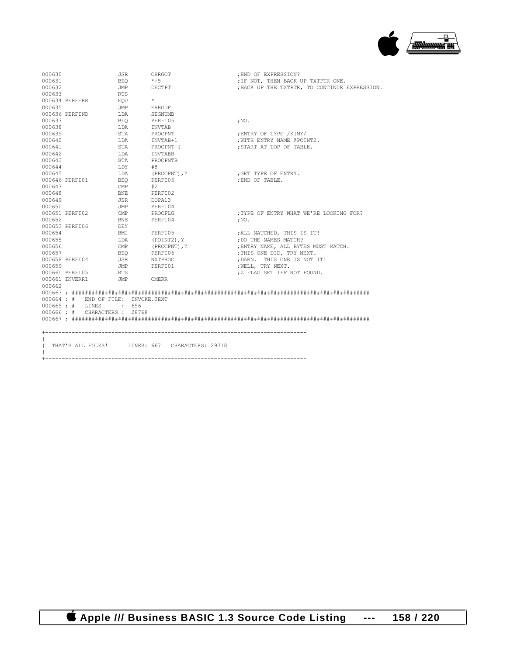

| 000630 |                                    | JSR          | CHRGOT                                         | ; END OF EXPRESSION?                          |
|--------|------------------------------------|--------------|------------------------------------------------|-----------------------------------------------|
| 000631 |                                    | BEO          | $*+5$                                          | ; IF NOT, THEN BACK UP TXTPTR ONE.            |
| 000632 |                                    | JMP          | DECTPT                                         | ; BACK UP THE TXTPTR, TO CONTINUE EXPRESSION. |
| 000633 |                                    | <b>RTS</b>   |                                                |                                               |
|        | 000634 PERFERR                     | EOU          | $\star$                                        |                                               |
| 000635 |                                    | JMP          | ERRGUF                                         |                                               |
|        | 000636 PERFIND                     | LDA          | SEGNUMB                                        |                                               |
| 000637 |                                    | <b>BEO</b>   | PERFI05                                        | $;$ NO.                                       |
| 000638 |                                    | LDA          | INVTAB                                         |                                               |
| 000639 |                                    | STA          | PROCPNT                                        | ENTRY OF TYPE /KIMY/                          |
| 000640 |                                    | LDA          | INVTAB+1                                       | , WITH ENTRY NAME @POINT2.                    |
| 000641 |                                    | STA          | PROCPNT+1                                      | : START AT TOP OF TABLE.                      |
| 000642 |                                    | LDA          | INVTABB                                        |                                               |
| 000643 |                                    | STA          | PROCPNTB                                       |                                               |
| 000644 |                                    | LDY          | #8                                             |                                               |
| 000645 |                                    | LDA          | (PROCPNT), Y                                   | ; GET TYPE OF ENTRY.                          |
|        | 000646 PERFI01                     | <b>BEO</b>   | PERFT05                                        | END OF TABLE.                                 |
| 000647 |                                    | CMP          | #2                                             |                                               |
| 000648 |                                    | BNE          | PERFI02                                        |                                               |
| 000649 |                                    | JSR          | DOPA13                                         |                                               |
| 000650 |                                    | JMP          | PERFI04                                        |                                               |
|        | 000651 PERFI02                     | $\text{CMP}$ | PROCFLG                                        | :TYPE OF ENTRY WHAT WE'RE LOOKING FOR?        |
| 000652 |                                    | BNE          | PERFI04                                        | : NO.                                         |
|        | 000653 PERFI06                     | DEY          |                                                |                                               |
| 000654 |                                    | BMI          | PERFI05                                        | ; ALL MATCHED, THIS IS IT!                    |
| 000655 |                                    | LDA          | (POINT2), Y                                    | ; DO THE NAMES MATCH?                         |
| 000656 |                                    | CMP          | (PROCPNT), Y                                   | ; ENTRY NAME, ALL BYTES MUST MATCH.           |
| 000657 |                                    | BEO          | PERFI06                                        | ; THIS ONE DID, TRY NEXT.                     |
|        | 000658 PERFI04                     | JSR          | NXTPROC                                        | ; DARN. THIS ONE IS NOT IT!                   |
| 000659 |                                    | <b>JMP</b>   | PERFI01                                        | , WELL, TRY NEXT.                             |
|        | 000660 PERFI05                     | RTS          |                                                | ; Z FLAG SET IFF NOT FOUND.                   |
|        | 000661 INVERR1                     | JMP          | OMERR                                          |                                               |
| 000662 |                                    |              |                                                |                                               |
|        |                                    |              |                                                |                                               |
|        | 000664; # END OF FILE: INVOKE.TEXT |              |                                                |                                               |
|        | 000665; # LINES : 656              |              |                                                |                                               |
|        | 000666; # CHARACTERS: 28768        |              |                                                |                                               |
|        |                                    |              |                                                |                                               |
|        |                                    |              |                                                |                                               |
|        |                                    |              |                                                |                                               |
|        |                                    |              | THAT'S ALL FOLKS! LINES: 667 CHARACTERS: 29318 |                                               |
|        |                                    |              |                                                |                                               |
|        |                                    |              |                                                |                                               |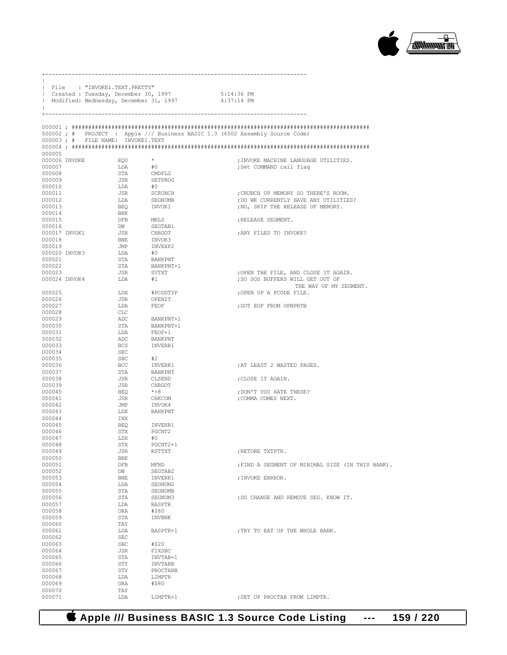

|                  | File : "INVOKE1.TEXT.PRETTY"         |                                                   |                                                                              |
|------------------|--------------------------------------|---------------------------------------------------|------------------------------------------------------------------------------|
|                  | Created : Tuesday, December 30, 1997 | Modified: Wednesday, December 31, 1997 4:37:14 PM | 5:14:36 PM                                                                   |
| J.               |                                      |                                                   |                                                                              |
|                  | -------------------                  |                                                   |                                                                              |
|                  |                                      |                                                   |                                                                              |
|                  |                                      |                                                   | 000002; # PROJECT : Apple /// Business BASIC 1.3 (6502 Assembly Source Code) |
|                  | 000003 ; # FILE NAME: INVOKE1.TEXT   |                                                   |                                                                              |
| 000005           |                                      |                                                   |                                                                              |
| 000006 INVOKE    | EOU                                  | $\star$                                           | : INVOKE MACHINE LANGUAGE UTILITIES.                                         |
| 000007           | LDA                                  | #0                                                | ;Set COMMAND call flaq                                                       |
| 000008<br>000009 | STA<br>JSR                           | CMDFLG<br>SETPROG                                 |                                                                              |
| 000010           | LDA                                  | #0                                                |                                                                              |
| 000011           | JSR                                  | SCRUNCH                                           | : CRUNCH UP MEMORY SO THERE'S ROOM.                                          |
| 000012           | LDA                                  | SEGNUMB                                           | ; DO WE CURRENTLY HAVE ANY UTILITIES?                                        |
| 000013           | BEQ                                  | INVOK1                                            | ; NO, SKIP THE RELEASE OF MEMORY.                                            |
| 000014           | BRK                                  |                                                   |                                                                              |
| 000015<br>000016 | DFB MRLS<br><b>DW</b>                | SEGTAB1                                           | ; RELEASE SEGMENT.                                                           |
| 000017 INVOK1    | JSR                                  | CHRGOT                                            | ; ANY FILES TO INVOKE?                                                       |
| 000018           | <b>BNE</b>                           | INVOK3                                            |                                                                              |
| 000019           | JMP                                  | INVEXP2                                           |                                                                              |
| 000020 INVOK3    | LDA                                  | #0                                                |                                                                              |
| 000021<br>000022 | STA<br>STA                           | BANKPNT<br>BANKPNT+1                              |                                                                              |
| 000023           | JSR                                  | SVTXT                                             | ; OPEN THE FILE, AND CLOSE IT AGAIN.                                         |
| 000024 TNVOK4    | LDA                                  | #1                                                | ; SO SOS BUFFERS WILL GET OUT OF                                             |
|                  |                                      | #PCODTYP                                          | THE WAY OF MY SEGMENT.                                                       |
| 000025<br>000026 | LDX<br>JSR                           | OPENIT                                            | ;OPEN UP A PCODE FILE.                                                       |
| 000027           | LDA                                  | FEOF                                              | GOT EOF FROM OPNPRTB                                                         |
| 000028           | CLC                                  |                                                   |                                                                              |
| 000029           |                                      | ADC BANKPNT+1                                     |                                                                              |
| 000030           | STA                                  | BANKPNT+1                                         |                                                                              |
| 000031<br>000032 | LDA<br>ADC                           | FEOF+1<br>BANKPNT                                 |                                                                              |
| 000033           | BCS                                  | INVERR1                                           |                                                                              |
| 000034           | SEC                                  |                                                   |                                                                              |
| 000035           | SBC                                  | #2                                                |                                                                              |
| 000036           | BCC                                  | INVERR1                                           | ; AT LEAST 2 WASTED PAGES.                                                   |
| 000037<br>000038 | STA<br>JSR                           | BANKPNT<br>CLSEND                                 | CLOSE IT AGAIN.                                                              |
| 000039           | JSR                                  | CHRGOT                                            |                                                                              |
| 000040           | BEQ                                  | $*+8$                                             | ; DON'T YOU HATE THESE?                                                      |
| 000041           | JSR                                  | CHKCOM                                            | ; COMMA COMES NEXT.                                                          |
| 000042           | JMP                                  | INVOK4                                            |                                                                              |
| 000043<br>000044 | LDX<br>INX                           | BANKPNT                                           |                                                                              |
| 000045           | BEQ                                  | INVERR1                                           |                                                                              |
| 000046           | STX                                  | PGCNT2                                            |                                                                              |
| 000047           | LDX                                  | #0                                                |                                                                              |
| 000048           | STX                                  | PGCNT2+1                                          |                                                                              |
| 000049<br>000050 | JSR<br>BRK                           | RSTTXT                                            | ; RETORE TXTPTR.                                                             |
| 000051           | DFB                                  | MFND                                              | ; FIND A SEGMENT OF MINIMAL SIZE (IN THIS BANK).                             |
| 000052           | DW                                   | SEGTAB2                                           |                                                                              |
| 000053           | BNE                                  | INVERR1                                           | ; INVOKE ERRROR.                                                             |
| 000054           | LDA                                  | SEGNUM2                                           |                                                                              |
| 000055<br>000056 | STA<br>STA                           | SEGNUMB<br>SEGNUM3                                | ; SO CHANGE AND REMOVE SEG. KNOW IT.                                         |
| 000057           | LDA                                  | BASPTR                                            |                                                                              |
| 000058           | ORA                                  | #\$80                                             |                                                                              |
| 000059           | STA                                  | INVBNK                                            |                                                                              |
| 000060           | TAY                                  |                                                   |                                                                              |
| 000061           | LDA                                  | BASPTR+1                                          | ; TRY TO EAT UP THE WHOLE BANK.                                              |
| 000062<br>000063 | SEC<br>SBC                           | #\$20                                             |                                                                              |
| 000064           | JSR                                  | FIXSBC                                            |                                                                              |
| 000065           | STA                                  | INVTAB+1                                          |                                                                              |
| 000066           | STY                                  | INVTABB                                           |                                                                              |
| 000067           | STY                                  | PROCTABB                                          |                                                                              |
| 000068<br>000069 | LDA<br>ORA                           | LIMPTR<br>#\$80                                   |                                                                              |
| 000070           | TAY                                  |                                                   |                                                                              |
| 000071           | LDA                                  | LIMPTR+1                                          | ; SET UP PROCTAB FROM LIMPTR.                                                |

+-------------------------------------------------------------------------------

# **Apple /// Business BASIC 1.3 Source Code Listing --- 159 / 220**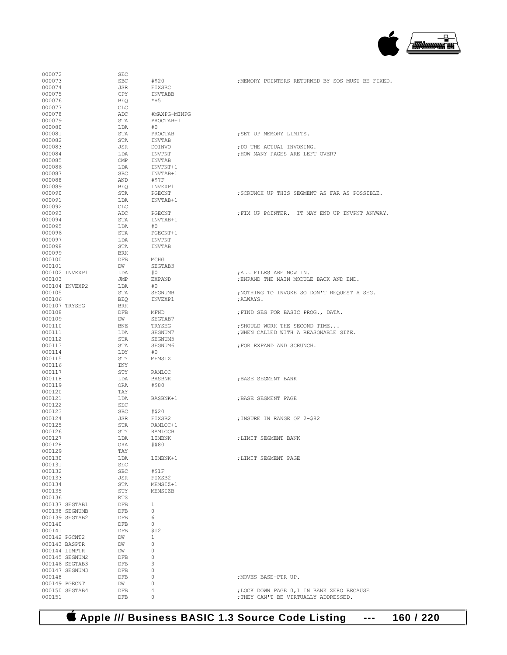

| 000072         | SEC        |                |                                                  |
|----------------|------------|----------------|--------------------------------------------------|
| 000073         | <b>SBC</b> | #\$20          | , MEMORY POINTERS RETURNED BY SOS MUST BE FIXED. |
| 000074         | JSR        | FIXSBC         |                                                  |
|                |            |                |                                                  |
| 000075         | CPY        | <b>INVTABB</b> |                                                  |
| 000076         | <b>BEQ</b> | $*+5$          |                                                  |
| 000077         | CLC        |                |                                                  |
|                |            |                |                                                  |
| 000078         | ADC        | #MAXPG-MINPG   |                                                  |
| 000079         | STA        | PROCTAB+1      |                                                  |
| 000080         | LDA        | #0             |                                                  |
| 000081         | STA        | PROCTAB        | ; SET UP MEMORY LIMITS.                          |
|                |            |                |                                                  |
| 000082         | STA        | INVTAB         |                                                  |
| 000083         | JSR        | DOINVO         | ; DO THE ACTUAL INVOKING.                        |
| 000084         | LDA        | INVPNT         | ; HOW MANY PAGES ARE LEFT OVER?                  |
|                |            |                |                                                  |
| 000085         | CMP        | INVTAB         |                                                  |
| 000086         | LDA        | INVPNT+1       |                                                  |
| 000087         | <b>SBC</b> | INVTAB+1       |                                                  |
| 000088         | AND        |                |                                                  |
|                |            | #\$7F          |                                                  |
| 000089         | <b>BEO</b> | INVEXP1        |                                                  |
| 000090         | STA        | PGECNT         | ; SCRUNCH UP THIS SEGMENT AS FAR AS POSSIBLE.    |
| 000091         | LDA        | INVTAB+1       |                                                  |
|                |            |                |                                                  |
| 000092         | CLC        |                |                                                  |
| 000093         | ADC        | PGECNT         | FIX UP POINTER. IT MAY END UP INVPNT ANYWAY.     |
| 000094         | STA        | INVTAB+1       |                                                  |
| 000095         | LDA        | #0             |                                                  |
|                |            |                |                                                  |
| 000096         | STA        | PGECNT+1       |                                                  |
| 000097         | LDA        | <b>INVPNT</b>  |                                                  |
| 000098         | STA        | INVTAB         |                                                  |
| 000099         | <b>BRK</b> |                |                                                  |
|                |            |                |                                                  |
| 000100         | <b>DFB</b> | MCHG           |                                                  |
| 000101         | DW         | SEGTAB3        |                                                  |
| 000102 INVEXP1 | LDA        | #0             | ; ALL FILES ARE NOW IN.                          |
|                |            |                |                                                  |
| 000103         | JMP        | EXPAND         | ; ENPAND THE MAIN MODULE BACK AND END.           |
| 000104 INVEXP2 | LDA        | #0             |                                                  |
| 000105         | STA        | SEGNUMB        | ; NOTHING TO INVOKE SO DON'T REQUEST A SEG.      |
| 000106         |            |                |                                                  |
|                | <b>BEQ</b> | INVEXP1        | ; ALWAYS.                                        |
| 000107 TRYSEG  | BRK        |                |                                                  |
| 000108         | DFB        | MFND           | ; FIND SEG FOR BASIC PROG., DATA.                |
| 000109         | DW         | SEGTAB7        |                                                  |
|                |            |                |                                                  |
| 000110         | BNE        | TRYSEG         | ; SHOULD WORK THE SECOND TIME                    |
| 000111         | LDA        | SEGNUM7        | ; WHEN CALLED WITH A REASONABLE SIZE.            |
| 000112         | STA        | SEGNUM5        |                                                  |
|                |            | SEGNUM6        | ; FOR EXPAND AND SCRUNCH.                        |
|                |            |                |                                                  |
| 000113         | STA        |                |                                                  |
| 000114         | LDY        | #0             |                                                  |
| 000115         | STY        | MEMSIZ         |                                                  |
|                |            |                |                                                  |
| 000116         | INY        |                |                                                  |
| 000117         | STY        | RAMLOC         |                                                  |
| 000118         | LDA        | <b>BASBNK</b>  | ; BASE SEGMENT BANK                              |
| 000119         | ORA        | #\$80          |                                                  |
|                |            |                |                                                  |
| 000120         | TAY        |                |                                                  |
| 000121         | LDA        | BASBNK+1       | ; BASE SEGMENT PAGE                              |
| 000122         | <b>SEC</b> |                |                                                  |
| 000123         | <b>SBC</b> | #\$20          |                                                  |
|                |            |                |                                                  |
| 000124         | JSR        | FIXSB2         | ; INSURE IN RANGE OF 2-\$82                      |
| 000125         | STA        | RAMLOC+1       |                                                  |
| 000126         | STY        | <b>RAMLOCB</b> |                                                  |
| 000127         | LDA        | LIMBNK         |                                                  |
|                |            |                | ; LIMIT SEGMENT BANK                             |
| 000128         | ORA        | #\$80          |                                                  |
| 000129         | TAY        |                |                                                  |
| 000130         | LDA        | LIMBNK+1       | ; LIMIT SEGMENT PAGE                             |
| 000131         | SEC        |                |                                                  |
|                |            |                |                                                  |
| 000132         | SBC        | #\$1F          |                                                  |
| 000133         | JSR        | FIXSB2         |                                                  |
| 000134         | STA        | MEMSIZ+1       |                                                  |
|                |            | MEMSIZB        |                                                  |
| 000135         | STY        |                |                                                  |
| 000136         | RTS        |                |                                                  |
| 000137 SEGTAB1 | <b>DFB</b> | $\mathbf{1}$   |                                                  |
| 000138 SEGNUMB | DFB        | $\circ$        |                                                  |
|                |            |                |                                                  |
| 000139 SEGTAB2 | DFB        | 6              |                                                  |
| 000140         | DFB        | $\circ$        |                                                  |
| 000141         | DFB        | \$12           |                                                  |
| 000142 PGCNT2  | DW         | $\mathbf{1}$   |                                                  |
|                |            |                |                                                  |
| 000143 BASPTR  | DW         | 0              |                                                  |
| 000144 LIMPTR  | DW         | 0              |                                                  |
| 000145 SEGNUM2 | DFB        | $\circ$        |                                                  |
|                |            |                |                                                  |
| 000146 SEGTAB3 | DFB        | 3              |                                                  |
| 000147 SEGNUM3 | <b>DFB</b> | 0              |                                                  |
| 000148         | DFB        | $\circ$        | ; MOVES BASE-PTR UP.                             |
| 000149 PGECNT  | DW         | 0              |                                                  |
|                |            |                |                                                  |
| 000150 SEGTAB4 | DFB        | 4              | ; LOCK DOWN PAGE 0, 1 IN BANK ZERO BECAUSE       |
| 000151         | DFB        | 0              | ; THEY CAN'T BE VIRTUALLY ADDRESSED.             |

 **Apple /// Business BASIC 1.3 Source Code Listing --- 160 / 220**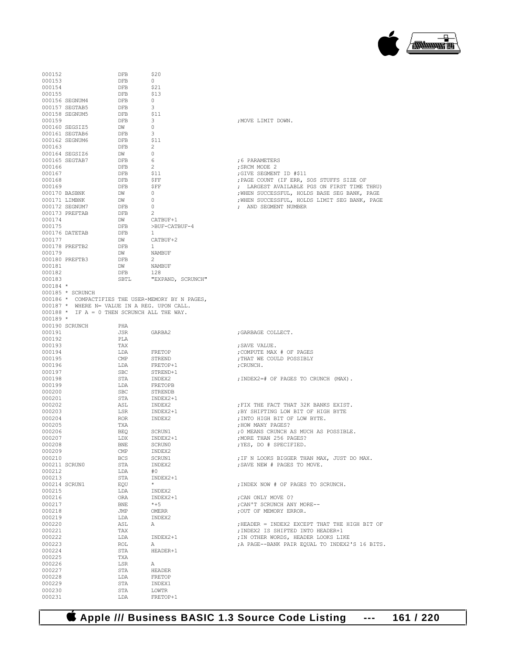

| 000152           |                                              | DFB        | \$20                                              |                                                                                             |
|------------------|----------------------------------------------|------------|---------------------------------------------------|---------------------------------------------------------------------------------------------|
| 000153           |                                              | DFB        | $\circ$                                           |                                                                                             |
| 000154           |                                              | DFB        | \$21                                              |                                                                                             |
| 000155           |                                              | DFB<br>DFB | -\$13<br>$\circ$                                  |                                                                                             |
|                  | 000156 SEGNUM4<br>000157 SEGTAB5             | DFB        | 3                                                 |                                                                                             |
|                  | 000158 SEGNUM5                               | DFB        | - \$11                                            |                                                                                             |
| 000159           |                                              | DFB        | 3                                                 | ; MOVE LIMIT DOWN.                                                                          |
|                  | 000160 SEGSIZ5                               | DW         | $\mathbf{0}$                                      |                                                                                             |
|                  | 000161 SEGTAB6                               | DFB        | 3                                                 |                                                                                             |
| 000163           | 000162 SEGNUM6                               | DFB<br>DFB | - \$11<br>2                                       |                                                                                             |
|                  | 000164 SEGSIZ6                               | DW         | $\circ$                                           |                                                                                             |
|                  | 000165 SEGTAB7                               | DFB        | - 6                                               | ;6 PARAMETERS                                                                               |
| 000166           |                                              | DFB        | $\overline{2}$                                    | ; SRCM MODE 2                                                                               |
| 000167           |                                              | DFB        | \$11                                              | GIVE SEGMENT ID #\$11;                                                                      |
| 000168           |                                              | DFB        | \$FF                                              | ; PAGE COUNT (IF ERR, SOS STUFFS SIZE OF                                                    |
| 000169           | 000170 BASBNK                                | DFB<br>DW  | ŞFF<br>$\circ$                                    | ; LARGEST AVAILABLE PGS ON FIRST TIME THRU)<br>; WHEN SUCCESSFUL, HOLDS BASE SEG BANK, PAGE |
|                  | 000171 LIMBNK                                | DW         | $\circ$                                           | ; WHEN SUCCESSFUL, HOLDS LIMIT SEG BANK, PAGE                                               |
|                  | 000172 SEGNUM7                               | DFB        | 0                                                 | ; AND SEGMENT NUMBER                                                                        |
|                  | 000173 PREFTAB                               | DFB        | 2                                                 |                                                                                             |
| 000174           |                                              | DW         | CATBUF+1                                          |                                                                                             |
| 000175           |                                              | DFB        | >BUF-CATBUF-4                                     |                                                                                             |
| 000177           | 000176 DATETAB                               | DFB<br>DW  | -1<br>CATBUF+2                                    |                                                                                             |
|                  | 000178 PREFTB2                               | DFB        | $\mathbf{1}$                                      |                                                                                             |
| 000179           |                                              | DW         | NAMBUF                                            |                                                                                             |
|                  | 000180 PREFTB3                               | DFB        | 2                                                 |                                                                                             |
| 000181           |                                              | DW         | NAMBUF                                            |                                                                                             |
| 000182           |                                              | DFB        | 128                                               |                                                                                             |
| 000183           |                                              | SBTL       | "EXPAND, SCRUNCH"                                 |                                                                                             |
| 000184 *         | 000185 * SCRUNCH                             |            |                                                   |                                                                                             |
|                  |                                              |            | 000186 * COMPACTIFIES THE USER-MEMORY BY N PAGES, |                                                                                             |
|                  | 000187 * WHERE N= VALUE IN A REG. UPON CALL. |            |                                                   |                                                                                             |
|                  | 000188 * IF A = 0 THEN SCRUNCH ALL THE WAY.  |            |                                                   |                                                                                             |
| $000189 *$       |                                              |            |                                                   |                                                                                             |
|                  | 000190 SCRUNCH                               | PHA        |                                                   |                                                                                             |
| 000191           |                                              | JSR        | GARBA2                                            | ;GARBAGE COLLECT.                                                                           |
| 000192<br>000193 |                                              | PLA<br>TAX |                                                   | ; SAVE VALUE.                                                                               |
| 000194           |                                              | LDA        | FRETOP                                            | COMPUTE MAX # OF PAGES;                                                                     |
| 000195           |                                              | CMP        | STREND                                            | ; THAT WE COULD POSSIBLY                                                                    |
| 000196           |                                              | LDA        | FRETOP+1                                          | ; CRUNCH.                                                                                   |
| 000197           |                                              | <b>SBC</b> | STREND+1                                          |                                                                                             |
| 000198           |                                              | STA        | INDEX2                                            | ; INDEX2=# OF PAGES TO CRUNCH (MAX).                                                        |
| 000199<br>000200 |                                              | LDA<br>SBC | FRETOPB<br>STRENDB                                |                                                                                             |
| 000201           |                                              | STA        | INDEX2+1                                          |                                                                                             |
| 000202           |                                              | ASL        | INDEX2                                            | ; FIX THE FACT THAT 32K BANKS EXIST.                                                        |
| 000203           |                                              | LSR        | INDEX2+1                                          | ; BY SHIFTING LOW BIT OF HIGH BYTE                                                          |
| 000204           |                                              | ROR        | INDEX2                                            | ; INTO HIGH BIT OF LOW BYTE.                                                                |
| 000205           |                                              | TXA        |                                                   | ; HOW MANY PAGES?                                                                           |
| 000206           |                                              | <b>BEO</b> | SCRUN1                                            | ;0 MEANS CRUNCH AS MUCH AS POSSIBLE.                                                        |
| 000207<br>000208 |                                              | LDX<br>BNE | INDEX2+1<br>SCRUN0                                | ; MORE THAN 256 PAGES?<br>; YES, DO # SPECIFIED.                                            |
| 000209           |                                              | CMP        | INDEX2                                            |                                                                                             |
| 000210           |                                              | <b>BCS</b> | SCRUN1                                            | ; IF N LOOKS BIGGER THAN MAX, JUST DO MAX.                                                  |
|                  | 000211 SCRUN0                                | STA        | INDEX2                                            | ; SAVE NEW # PAGES TO MOVE.                                                                 |
| 000212           |                                              | LDA        | #0                                                |                                                                                             |
| 000213           |                                              | STA        | INDEX2+1<br>$\star$                               |                                                                                             |
| 000215           | 000214 SCRUN1                                | EQU<br>LDA | INDEX2                                            | ; INDEX NOW # OF PAGES TO SCRUNCH.                                                          |
| 000216           |                                              | ORA        | INDEX2+1                                          | ; CAN ONLY MOVE 0?                                                                          |
| 000217           |                                              | BNE        | $*+5$                                             | ; CAN'T SCRUNCH ANY MORE--                                                                  |
| 000218           |                                              | JMP        | OMERR                                             | ; OUT OF MEMORY ERROR.                                                                      |
| 000219           |                                              | LDA        | INDEX2                                            |                                                                                             |
| 000220           |                                              | ASL        | А                                                 | ; HEADER = INDEX2 EXCEPT THAT THE HIGH BIT OF                                               |
| 000221<br>000222 |                                              | TAX        |                                                   | ; INDEX2 IS SHIFTED INTO HEADER+1                                                           |
| 000223           |                                              | LDA<br>ROL | INDEX2+1<br>А                                     | ; IN OTHER WORDS, HEADER LOOKS LIKE<br>; A PAGE--BANK PAIR EQUAL TO INDEX2'S 16 BITS.       |
| 000224           |                                              | STA        | HEADER+1                                          |                                                                                             |
| 000225           |                                              | TXA        |                                                   |                                                                                             |
| 000226           |                                              | LSR        | А                                                 |                                                                                             |
| 000227           |                                              | STA        | HEADER                                            |                                                                                             |
| 000228           |                                              | LDA        | FRETOP                                            |                                                                                             |
| 000229<br>000230 |                                              | STA<br>STA | INDEX1<br>LOWTR                                   |                                                                                             |
| 000231           |                                              | LDA        | FRETOP+1                                          |                                                                                             |
|                  |                                              |            |                                                   |                                                                                             |

 **Apple /// Business BASIC 1.3 Source Code Listing --- 161 / 220**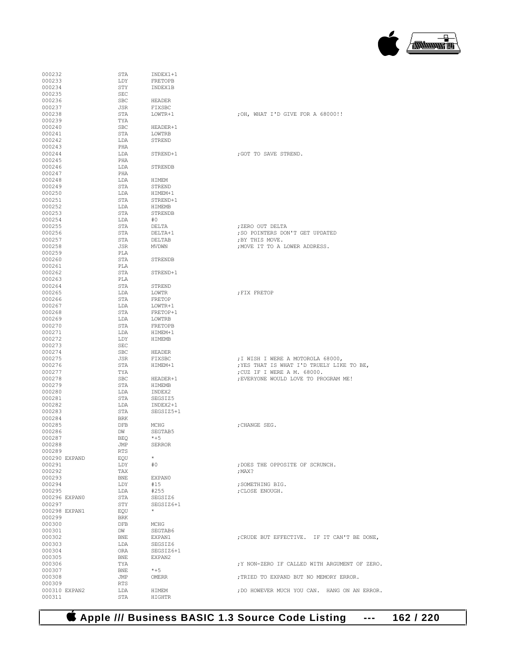# **Apple /// Business BASIC 1.3 Source Code Listing --- 162 / 220**

| 000232                  | STA        | INDEX1+1        |                                               |
|-------------------------|------------|-----------------|-----------------------------------------------|
| 000233                  | LDY        | FRETOPB         |                                               |
| 000234                  | STY        | INDEX1B         |                                               |
|                         |            |                 |                                               |
| 000235                  | SEC        |                 |                                               |
| 000236                  | <b>SBC</b> | HEADER          |                                               |
| 000237                  | JSR        | FIXSBC          |                                               |
| 000238                  | STA        | LOWTR+1         | ; OH, WHAT I'D GIVE FOR A 68000!!             |
| 000239                  | TYA        |                 |                                               |
| 000240                  | <b>SBC</b> | HEADER+1        |                                               |
| 000241                  | STA        | LOWTRB          |                                               |
| 000242                  | LDA        | STREND          |                                               |
| 000243                  | PHA        |                 |                                               |
| 000244                  | LDA        | STREND+1        | : GOT TO SAVE STREND.                         |
| 000245                  | PHA        |                 |                                               |
| 000246                  | LDA        | STRENDB         |                                               |
| 000247                  | PHA        |                 |                                               |
| 000248                  | LDA        | HIMEM           |                                               |
| 000249                  | STA        | STREND          |                                               |
| 000250                  | LDA        | HIMEM+1         |                                               |
| 000251                  | STA        | STREND+1        |                                               |
| 000252                  | LDA        | HIMEMB          |                                               |
| 000253                  | STA        | STRENDB         |                                               |
|                         |            | #0              |                                               |
| 000254<br>000255        | LDA        |                 | :ZERO OUT DELTA                               |
|                         | STA        | DELTA           |                                               |
| 000256                  | STA        | DELTA+1         | ; SO POINTERS DON'T GET UPDATED               |
| 000257                  | STA        | DELTAB          | ; BY THIS MOVE.                               |
| 000258                  | JSR        | <b>MVDWN</b>    | ; MOVE IT TO A LOWER ADDRESS.                 |
| 000259                  | PLA        |                 |                                               |
| 000260                  | STA        | STRENDB         |                                               |
| 000261                  | PLA        |                 |                                               |
| 000262                  | STA        | STREND+1        |                                               |
| 000263                  | PLA        |                 |                                               |
| 000264                  | STA        | STREND          |                                               |
| 000265                  | LDA        | LOWTR           | ; FIX FRETOP                                  |
| 000266                  | STA        | FRETOP          |                                               |
| 000267                  | LDA        | LOWTR+1         |                                               |
| 000268                  | STA        | FRETOP+1        |                                               |
| 000269                  | LDA        | LOWTRB          |                                               |
| 000270                  | STA        | FRETOPB         |                                               |
| 000271                  | LDA        | HIMEM+1         |                                               |
| 000272                  | LDY        | HIMEMB          |                                               |
| 000273                  | SEC        |                 |                                               |
|                         | <b>SBC</b> | <b>HEADER</b>   |                                               |
| 000274                  |            |                 |                                               |
| 000275                  | JSR        | FIXSBC          | ; I WISH I WERE A MOTOROLA 68000,             |
| 000276                  | STA        | HIMEM+1         | ; YES THAT IS WHAT I'D TRUELY LIKE TO BE,     |
| 000277                  | TYA        |                 | ; CUZ IF I WERE A M. 68000.                   |
| 000278                  | <b>SBC</b> | HEADER+1        | ; EVERYONE WOULD LOVE TO PROGRAM ME!          |
| 000279                  | STA        | <b>HIMEMB</b>   |                                               |
| 000280                  | LDA        | INDEX2          |                                               |
| 000281                  | STA        | SEGSIZ5         |                                               |
| 000282                  | LDA        | INDEX2+1        |                                               |
| 000283                  | STA        | SEGSIZ5+1       |                                               |
| 000284                  | <b>BRK</b> |                 |                                               |
| 000285                  | <b>DFB</b> | MCHG            | ; CHANGE SEG.                                 |
| 000286                  | DW         | SEGTAB5         |                                               |
| 000287                  | BEQ        | $*+5$           |                                               |
| 000288                  | JMP        | <b>SERROR</b>   |                                               |
| 000289                  | <b>RTS</b> |                 |                                               |
| 000290 EXPAND           | EOU        | $\star$         |                                               |
| 000291                  | LDY        | #0              | ; DOES THE OPPOSITE OF SCRUNCH.               |
| 000292                  | TAX        |                 | :MAX?                                         |
| 000293                  | BNE        | EXPAN0          |                                               |
| 000294                  | LDY        | #15             | ; SOMETHING BIG.                              |
| 000295                  | LDA        | #255            | ; CLOSE ENOUGH.                               |
| 000296 EXPANO           | STA        | SEGSIZ6         |                                               |
| 000297                  | STY        | SEGSIZ6+1       |                                               |
| 000298 EXPAN1           | EQU        | $\star$         |                                               |
| 000299                  | BRK        |                 |                                               |
| 000300                  | DFB        | MCHG            |                                               |
| 000301                  | DW         |                 |                                               |
|                         |            | SEGTAB6         |                                               |
| 000302                  | BNE        | EXPAN1          | ; CRUDE BUT EFFECTIVE. IF IT CAN'T BE DONE,   |
| 000303                  | LDA        | SEGSIZ6         |                                               |
| 000304                  | ORA        | SEGSIZ6+1       |                                               |
| 000305                  | <b>BNE</b> | EXPAN2          |                                               |
|                         |            |                 |                                               |
| 000306                  | TYA        |                 | ; Y NON-ZERO IF CALLED WITH ARGUMENT OF ZERO. |
| 000307                  | BNE        | $*+5$           |                                               |
| 000308                  | JMP        | OMERR           | ; TRIED TO EXPAND BUT NO MEMORY ERROR.        |
| 000309                  | <b>RTS</b> |                 |                                               |
| 000310 EXPAN2<br>000311 | LDA<br>STA | HIMEM<br>HIGHTR | ; DO HOWEVER MUCH YOU CAN. HANG ON AN ERROR.  |

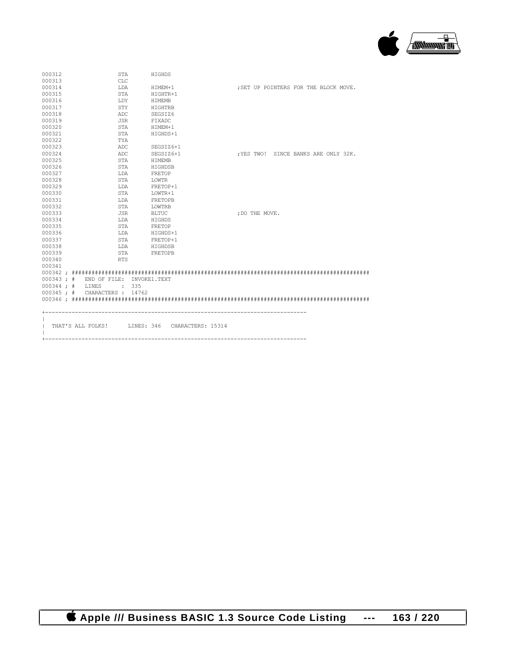

| 000312             | STA                                            | HIGHDS       |  |                |                                       |  |  |
|--------------------|------------------------------------------------|--------------|--|----------------|---------------------------------------|--|--|
| 000313             | <b>CLC</b>                                     |              |  |                |                                       |  |  |
| 000314             | LDA                                            | HIMEM+1      |  |                | ; SET UP POINTERS FOR THE BLOCK MOVE. |  |  |
| 000315             | STA                                            | HIGHTR+1     |  |                |                                       |  |  |
| 000316             | LDY                                            | HIMEMB       |  |                |                                       |  |  |
| 000317             | STY                                            | HIGHTRB      |  |                |                                       |  |  |
| 000318             | ADC                                            | SEGSIZ6      |  |                |                                       |  |  |
| 000319             | JSR                                            | FIXADC       |  |                |                                       |  |  |
| 000320             | STA                                            | HIMEM+1      |  |                |                                       |  |  |
| 000321             | STA                                            | HIGHDS+1     |  |                |                                       |  |  |
| 000322             | TYA                                            |              |  |                |                                       |  |  |
| 000323             | ADC                                            | SEGSIZ6+1    |  |                |                                       |  |  |
| 000324             | ADC                                            | SEGSIZ6+1    |  |                | :YES TWO! SINCE BANKS ARE ONLY 32K.   |  |  |
| 000325             | STA                                            | HIMEMB       |  |                |                                       |  |  |
| 000326             | STA                                            | HIGHDSB      |  |                |                                       |  |  |
| 000327             | LDA                                            | FRETOP       |  |                |                                       |  |  |
| 000328             | STA                                            | LOWTR        |  |                |                                       |  |  |
| 000329             | LDA                                            | FRETOP+1     |  |                |                                       |  |  |
| 000330             | STA                                            | LOWTR+1      |  |                |                                       |  |  |
| 000331             | LDA                                            | FRETOPB      |  |                |                                       |  |  |
| 000332             | STA                                            | LOWTRB       |  |                |                                       |  |  |
| 000333             | JSR                                            | <b>BLTUC</b> |  | ; DO THE MOVE. |                                       |  |  |
| 000334             | LDA                                            | HIGHDS       |  |                |                                       |  |  |
| 000335             | STA                                            | FRETOP       |  |                |                                       |  |  |
| 000336             | LDA                                            | HIGHDS+1     |  |                |                                       |  |  |
| 000337             | STA                                            | FRETOP+1     |  |                |                                       |  |  |
| 000338             | LDA                                            | HIGHDSB      |  |                |                                       |  |  |
| 000339             | STA                                            | FRETOPB      |  |                |                                       |  |  |
| 000340             | <b>RTS</b>                                     |              |  |                |                                       |  |  |
| 000341             |                                                |              |  |                |                                       |  |  |
|                    |                                                |              |  |                |                                       |  |  |
|                    | 000343; # END OF FILE; INVOKE1.TEXT            |              |  |                |                                       |  |  |
| $000344$ ; # LINES | $\cdot$ 335                                    |              |  |                |                                       |  |  |
|                    | 000345 ; # CHARACTERS : 14762                  |              |  |                |                                       |  |  |
|                    |                                                |              |  |                |                                       |  |  |
|                    |                                                |              |  |                |                                       |  |  |
|                    |                                                |              |  |                |                                       |  |  |
|                    |                                                |              |  |                |                                       |  |  |
|                    | THAT'S ALL FOLKS! LINES: 346 CHARACTERS: 15314 |              |  |                |                                       |  |  |
|                    |                                                |              |  |                |                                       |  |  |
|                    |                                                |              |  |                |                                       |  |  |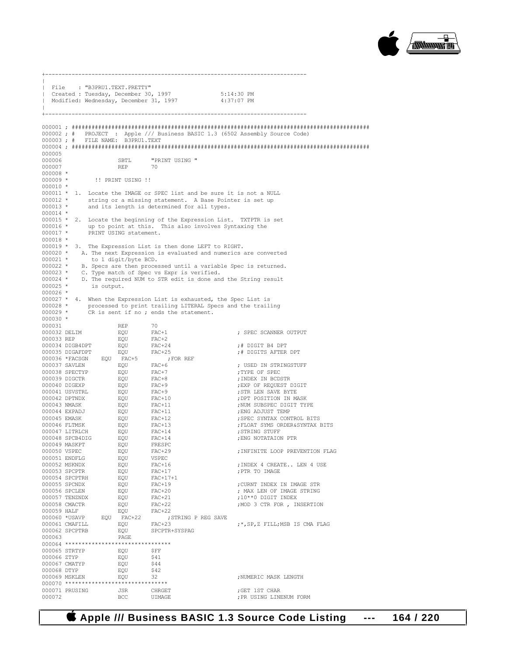

 $\|$ | File : "B3PRU1.TEXT.PRETTY" | Created : Tuesday, December 30, 1997 5:14:30 PM Modified: Wednesday, December 31, 1997  $\|$ +------------------------------------------------------------------------------- 000001 ; ########################################################################################## 000002 ; # PROJECT : Apple /// Business BASIC 1.3 (6502 Assembly Source Code) 000003 ; # FILE NAME: B3PRU1.TEXT 000004 ; ########################################################################################## 000005 SBTL "PRINT USING "<br>REP 70 000007  $000008 * 000009 *$ 000009 \* !! PRINT USING !! 000010 \* 000011 \* 1. Locate the IMAGE or SPEC list and be sure it is not a NULL 000012 \* string or a missing statement. A Base Pointer is set up 000012  $*$  string or a missing statement. A Base Pointer is set up<br>000013  $*$  and its length is determined for all types and its length is determined for all types. 000014 \* 000015  $*$  2. Locate the beginning of the Expression List. TXTPTR is set<br>000016  $*$  up to point at this This also involves Syntaxing the 000016 \* up to point at this. This also involves Syntaxing the 000017 \* PRINT USING statement. PRINT USING statement. 000018 \* 000019  $*$  3. The Expression List is then done LEFT to RIGHT.<br>000020  $*$  A. The next Expression is evaluated and numerics 000020 \* A. The next Expression is evaluated and numerics are converted 000021 \* to 1 digit/byte BCD. 000021 \* to 1 digit/byte BCD.<br>000022 \* B. Specs are then proce. 000022 \* B. Specs are then processed until a variable Spec is returned.<br>000023 \* C. Type match of Spec vs Expr is verified. 000023 \* C. Type match of Spec vs Expr is verified.<br>000024 \* D. The required NUM to STR edit is done and 000024 \* D. The required NUM to STR edit is done and the String result 000025 \* is output. is output. 000026 \* 000027 \* 4. When the Expression List is exhausted, the Spec List is 000028 \*  $p^2$  processed to print trailing LITERAL Specs and the trail 000028 \* processed to print trailing LITERAL Specs and the trailing 000029 \* CR is sent if no; ends the statement.  $CR$  is sent if no ; ends the statement. 000030 \* 000031 REP 70<br>000032 DELIM RQU FAC+1  $\begin{array}{lll} \texttt{EQU} & \texttt{FAC+1} & \texttt{SPEC SCANNER OUTPUT} \\ \texttt{EOU} & \texttt{FAC+2} & \end{array}$ 000033 REP EQU FAC+2 000034 DIGB4DPT EQU FAC+24 ;# DIGIT B4 DPT  ${\tt EQU} \hspace{1cm} {\tt FAC+25} \hspace{1cm} ; {\tt FOR} \hspace{1cm} {\tt REF} \hspace{1cm} ; {\tt DIGITS} \hspace{1cm} {\tt AFTER} \hspace{1cm} {\tt DPT}$ 000036 \*FACSGN EQU FAC+5 ;<br>000037 SAVLEN EQU FAC+6  $\begin{array}{lll} \texttt{EQU} & \texttt{FAC+6} & \texttt{SED IN STRINGSTUFF} \\ \texttt{FOU} & \texttt{FAC+7} & \texttt{SPTS} & \texttt{SPTF} & \texttt{SPRC} \end{array}$ 000038 SPECTYP EQU FAC+7 ;TYPE OF SPEC 000039 DIGCTR EQU FAC+8 ;INDEX IN BCDSTR EQU FAC+9 :EXP OF REQUEST DIGIT 000041 USVSTRL EQU FAC+9 ;STR LEN SAVE BYTE 000042 DPTNDX EQU FAC+10 ;DPT POSITION IN MASK EOU FAC+11 : NUM SUBSPEC DIGIT TYPE 000044 EXPADJ EQU FAC+11 ;ENG ADJUST TEMP : SPEC SYNTAX CONTROL BITS 000046 FLTMSK EQU FAC+13 ;FLOAT SYMS ORDER&SYNTAX BITS 000047 LITRLCH EQU FAC+14 ;STRING STUFF  ${\small \begin{array}{lll} \tt EQU & \tt FAC+14 & \tt \tt \end{array}} \hspace{1.5cm} \tt FRC & \tt NOTATAION \hspace{1.5cm} PTR$ 000049 MASKPT EQU FRESPC EQU FAC+29 ;INFINITE LOOP PREVENTION FLAG<br>FOU VSPEC 000051 ENDFLG EQU VSPEC 000052 MSKNDX EQU FAC+16 ;INDEX 4 CREATE.. LEN 4 USE  $000053$  SPCPTR  $EQU$  FAC+17<br> $000054$  SPCPTRH  $EQU$  FAC+17+1 000054 SPCPTRH EQU FAC+17+<br>000055 SPCNDX EQU FAC+19 000055 SPCNDX EQU FAC+19 ;CURNT INDEX IN IMAGE STR 000056 SPCLEN  $EQU$  FAC+20 ; MAX LEN OF IMAGE STRING 000057 TENZNDX  $EQU$  FAC+21 ; 10\*\*0 DIGIT INDEX 000057 TENZNDX EQU FAC+21 ;10\*\*0 DIGIT INDEX  $\begin{array}{lll} \texttt{EQU} & \texttt{FAC+22} & \texttt{3} & \texttt{5} & \texttt{3} & \texttt{CTR} & \texttt{5} & \texttt{7} & \texttt{7} \\ \texttt{EQU} & \texttt{FAC+22} & \texttt{1} & \texttt{1} & \texttt{1} & \texttt{1} & \texttt{1} & \texttt{1} \\ \texttt{5} & \texttt{1} & \texttt{2} & \texttt{3} & \texttt{1} & \texttt{2} & \texttt{2} & \texttt{2} \\ \texttt{5} & \texttt{2} & \texttt{3} & \texttt{2$ 000059 HALF EQU FAC+22  $\begin{tabular}{lllllllll} 000060 & *USAVP & \texttt{EQU} & \texttt{FAC}+22 & \texttt{,STRING P REG SAVE} \\ 000061 & \texttt{CMAFILL} & \texttt{EQU} & \texttt{FAC}+23 \\ \end{tabular}$  $\begin{array}{lll} \texttt{EOU} & \texttt{FAC+23} & \texttt{f} \star, \texttt{SP}, \texttt{Z} & \texttt{FILL}, \texttt{MSB} & \texttt{IS} & \texttt{CMA} & \texttt{FLAG} \\ \texttt{EOU} & \texttt{SPCPTR+SYSPAG} & & & & \end{array}$ 000062 SPCPTRB EQU<br>000063 PAGE 000063 PAGE 000064 \*\*\*\*\*\*\*\*\*\*\*\*\*\*\*\*\*\*\*\*\*\*\*\*\*\*\*\*\*\*\*\* 000065 STRTYP EQU \$FF 000066 ZTYP EQU \$41  $000067$  CMATYP  $EQU$ 000068 DTYP EQU \$42 EQU 32 ;NUMERIC MASK LENGTH 000070 \*\*\*\*\*\*\*\*\*\*\*\*\*\*\*\*\*\*\*\*\*\*\*\*\*\*\*\*\*\*\* 000071 PRUSING JSR CHRGET ;GET 1ST CHAR : PR USING LINENUM FORM

+-------------------------------------------------------------------------------

#### **Apple /// Business BASIC 1.3 Source Code Listing --- 164 / 220**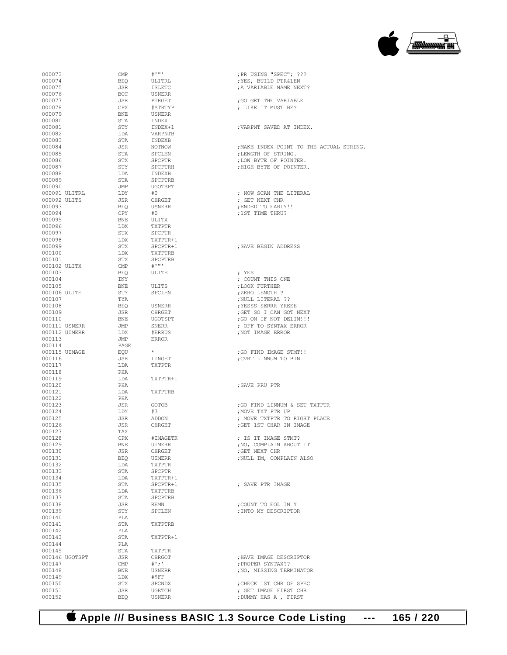### **Apple /// Business BASIC 1.3 Source Code Listing --- 165 / 220**

| 000073           | CMP                                | $\#$ $\cdots$ $\cdot$ | ; PR USING "SPEC"; ???        |
|------------------|------------------------------------|-----------------------|-------------------------------|
| 000074           | BEQ                                | ULITRL                | ; YES, BUILD PTR&LEN          |
| 000075           | JSR                                | <b>ISLETC</b>         | ; A VARIABLE NAME NEXT?       |
| 000076           | <b>BCC</b>                         | USNERR                |                               |
| 000077           | JSR                                | PTRGET                | ; GO GET THE VARIABLE         |
| 000078           | CPX                                | #STRTYP               | ; LIKE IT MUST BE?            |
| 000079           | BNE                                | USNERR                |                               |
| 000080           | STA                                | INDEX                 |                               |
| 000081           | STY                                | INDEX+1               | ; VARPNT SAVED AT INDEX.      |
| 000082           | LDA                                | VARPNTB               |                               |
| 000083           | STA                                | INDEXB                |                               |
| 000084           | JSR                                | NOTNOW                | ; MAKE INDEX POINT TO THE ACT |
| 000085           | STA                                | SPCLEN                | ; LENGTH OF STRING.           |
| 000086           | STX                                | SPCPTR                | ; LOW BYTE OF POINTER.        |
| 000087           | STY                                | SPCPTRH               | ; HIGH BYTE OF POINTER.       |
| 000088           | LDA                                | INDEXB                |                               |
| 000089           | STA                                | SPCPTRB               |                               |
| 000090           | JMP                                | UGOTSPT               |                               |
| 000091 ULITRL    | LDY                                | #0                    | ; NOW SCAN THE LITERAL        |
| 000092 ULITS     | JSR                                | CHRGET                | ; GET NEXT CHR                |
| 000093           | BEQ                                | USNERR                | ; ENDED TO EARLY!!            |
| 000094           | CPY                                | #0                    | ;1ST TIME THRU?               |
| 000095           | BNE                                | ULITX                 |                               |
| 000096           | LDX                                | TXTPTR                |                               |
| 000097           | STX                                | SPCPTR                |                               |
| 000098           | LDX                                | TXTPTR+1              |                               |
| 000099           | STX                                | SPCPTR+1              | ; SAVE BEGIN ADDRESS          |
| 000100           | LDX                                | TXTPTRB               |                               |
| 000101           | STX                                | SPCPTRB               |                               |
| 000102 ULITX     | $\mathop{\mathrm{CMP}}$            | $\#$ ''''             |                               |
| 000103           | BEQ                                | ULITE                 | ; YES                         |
| 000104           | INY                                |                       | ; COUNT THIS ONE              |
| 000105           | BNE                                | ULITS                 | ; LOOK FURTHER                |
| 000106 ULITE     | STY                                | SPCLEN                | ; ZERO LENGTH?                |
| 000107           | TYA                                |                       | ; NULL LITERAL ??             |
| 000108           | BEQ                                | USNERR                | ; YESSS SERRR YREEE           |
| 000109           | JSR                                | CHRGET                | ; GET SO I CAN GOT NEXT       |
| 000110           | BNE                                | UGOTSPT               | ; GO ON IF NOT DELIM!!!       |
| 000111 USNERR    | JMP                                | SNERR                 | ; OFF TO SYNTAX ERROR         |
| 000112 UIMERR    | LDX                                | #ERRUS                | ; NOT IMAGE ERROR             |
| 000113           | JMP                                | ERROR                 |                               |
| 000114           | PAGE                               |                       |                               |
| 000115 UIMAGE    | EQU                                |                       | ; GO FIND IMAGE STMT!!        |
| 000116           | JSR                                | LINGET                | ; CVRT LINNUM TO BIN          |
| 000117           | LDA                                | TXTPTR                |                               |
| 000118           | PHA                                |                       |                               |
| 000119           | LDA                                | TXTPTR+1              |                               |
| 000120           | PHA                                |                       | ; SAVE PRU PTR                |
| 000121           | LDA                                | TXTPTRB               |                               |
| 000122           | PHA                                |                       |                               |
| 000123           | JSR                                | GOTOB                 | ;GO FIND LINNUM & SET TXTPTR  |
| 000124           | LDY                                | #3                    | ; MOVE TXT PTR UP             |
| 000125           | JSR                                | ADDON                 | ; MOVE TXTPTR TO RIGHT PLACE  |
| 000126           | JSR                                | CHRGET                | ; GET 1ST CHAR IN IMAGE       |
| 000127           | TAX                                |                       |                               |
| 000128           | CPX                                | #IMAGETK              | ; IS IT IMAGE STMT?           |
| 000129           | BNE                                | UIMERR                | ; NO, COMPLAIN ABOUT IT       |
| 000130<br>000131 | JSR                                | CHRGET                | ; GET NEXT CHR                |
|                  | BEQ                                | UIMERR                | ; NULL IM, COMPLAIN ALSO      |
| 000132           | LDA                                | TXTPTR                |                               |
| 000133           | STA                                | SPCPTR                |                               |
| 000134           | LDA                                | TXTPTR+1              |                               |
| 000135           | STA                                | SPCPTR+1              | ; SAVE PTR IMAGE              |
| 000136           | LDA                                | TXTPTRB               |                               |
| 000137           | STA                                | SPCPTRB               |                               |
| 000138           | JSR                                | <b>REMN</b>           | ; COUNT TO EOL IN Y           |
| 000139           | STY                                | SPCLEN                | ; INTO MY DESCRIPTOR          |
| 000140           | PLA                                | TXTPTRB               |                               |
| 000141<br>000142 | STA<br>PLA                         |                       |                               |
| 000143           |                                    |                       |                               |
| 000144           | STA                                | TXTPTR+1              |                               |
| 000145           | PLA<br>STA                         |                       |                               |
| 000146 UGOTSPT   |                                    | TXTPTR                |                               |
| 000147           | JSR<br>$\ensuremath{\mathrm{CMP}}$ | CHRGOT                | ; HAVE IMAGE DESCRIPTOR       |
|                  |                                    | $#$ ';'               | ; PROPER SYNTAX??             |
| 000148           | BNE                                | USNERR                | ; NO, MISSING TERMINATOR      |
| 000149           | LDX                                | #\$FF                 |                               |
| 000150           | STX                                | SPCNDX                | ; CHECK 1ST CHR OF SPEC       |
| 000151           | JSR                                | UGETCH                | ; GET IMAGE FIRST CHR         |
| 000152           | <b>BEQ</b>                         | <b>USNERR</b>         | ; DUMMY HAS A , FIRST         |

| 000075           |                | JSR          | ISLETC             | A VARIABLE NAME NEXT?                            |
|------------------|----------------|--------------|--------------------|--------------------------------------------------|
| 000076           |                | <b>BCC</b>   | USNERR             |                                                  |
| 000077           |                | JSR          | PTRGET             | ; GO GET THE VARIABLE                            |
| 000078           |                | CPX          | #STRTYP            | : LIKE IT MUST BE?                               |
| 000079           |                | BNE          | USNERR             |                                                  |
| 000080<br>000081 |                | STA          | INDEX              | ; VARPNT SAVED AT INDEX.                         |
| 000082           |                | STY<br>LDA   | INDEX+1<br>VARPNTB |                                                  |
| 000083           |                | STA          | INDEXB             |                                                  |
| 000084           |                | JSR          | NOTNOW             | ; MAKE INDEX POINT TO THE ACTUAL STRING.         |
| 000085           |                | STA          | SPCLEN             | ; LENGTH OF STRING.                              |
| 000086           |                | STX          | SPCPTR             | ; LOW BYTE OF POINTER.                           |
| 000087           |                | STY          | SPCPTRH            | :HIGH BYTE OF POINTER.                           |
| 000088           |                | LDA          | INDEXB             |                                                  |
| 000089           |                | STA          | SPCPTRB            |                                                  |
| 000090           |                | JMP          | <b>UGOTSPT</b>     |                                                  |
| 000091 ULITRL    |                | LDY          | #0                 | ; NOW SCAN THE LITERAL                           |
| 000092 ULITS     |                | JSR          | CHRGET             | ; GET NEXT CHR                                   |
| 000093           |                | BEO          | USNERR             | ; ENDED TO EARLY!!                               |
| 000094           |                | CPY          | #0                 | ;1ST TIME THRU?                                  |
| 000095           |                | BNE          | ULITX              |                                                  |
| 000096           |                | LDX          | TXTPTR             |                                                  |
| 000097           |                | STX          | SPCPTR             |                                                  |
| 000098           |                | LDX          | TXTPTR+1           |                                                  |
| 000099           |                | STX          | SPCPTR+1           | ; SAVE BEGIN ADDRESS                             |
| 000100           |                | LDX          | TXTPTRB            |                                                  |
| 000101           |                | STX          | SPCPTRB            |                                                  |
| 000102 ULITX     |                | CMP          |                    |                                                  |
| 000103           |                | BEQ          | ULITE              | ; YES                                            |
| 000104           |                | INY          |                    | ; COUNT THIS ONE                                 |
| 000105           |                | BNE          | ULITS              | ; LOOK FURTHER                                   |
| 000106 ULITE     |                | STY          | SPCLEN             | ; ZERO LENGTH?                                   |
| 000107           |                | TYA          |                    | NULL LITERAL ??;                                 |
| 000108           |                | BEO          | USNERR             | ; YESSS SERRR YREEE                              |
| 000109           |                | JSR          | CHRGET             | ; GET SO I CAN GOT NEXT                          |
| 000110           |                | BNE          | UGOTSPT            | ; GO ON IF NOT DELIM!!!                          |
| 000111 USNERR    |                | JMP          | SNERR              | ; OFF TO SYNTAX ERROR                            |
| 000112 UIMERR    |                | LDX          | #ERRUS             | ; NOT IMAGE ERROR                                |
| 000113           |                | JMP          | ERROR              |                                                  |
| 000114           |                | PAGE         |                    |                                                  |
| 000115 UIMAGE    |                | EQU          | $\star$            | ; GO FIND IMAGE STMT!!                           |
| 000116           |                | JSR          | LINGET             | CVRT LINNUM TO BIN;                              |
| 000117           |                | LDA          | TXTPTR             |                                                  |
| 000118           |                | PHA          |                    |                                                  |
| 000119           |                | LDA          | TXTPTR+1           |                                                  |
| 000120<br>000121 |                | PHA<br>LDA   | TXTPTRB            | ; SAVE PRU PTR                                   |
| 000122           |                | PHA          |                    |                                                  |
| 000123           |                | JSR          | GOTOB              | ; GO FIND LINNUM & SET TXTPTR                    |
| 000124           |                | LDY          | #3                 | ; MOVE TXT PTR UP                                |
| 000125           |                | JSR          | ADDON              | ; MOVE TXTPTR TO RIGHT PLACE                     |
| 000126           |                | JSR          | CHRGET             | ; GET 1ST CHAR IN IMAGE                          |
| 000127           |                | TAX          |                    |                                                  |
| 000128           |                | CPX          | #IMAGETK           | ; IS IT IMAGE STMT?                              |
| 000129           |                | BNE          | UIMERR             | ; NO, COMPLAIN ABOUT IT                          |
| 000130           |                | JSR          | CHRGET             | ; GET NEXT CHR                                   |
| 000131           |                | BEQ          | UIMERR             | ; NULL IM, COMPLAIN ALSO                         |
| 000132           |                | LDA          | TXTPTR             |                                                  |
| 000133           |                | STA          | SPCPTR             |                                                  |
| 000134           |                | LDA          | TXTPTR+1           |                                                  |
| 000135           |                | STA          | SPCPTR+1           | ; SAVE PTR IMAGE                                 |
| 000136           |                | LDA          | TXTPTRB            |                                                  |
| 000137           |                | STA          | SPCPTRB            |                                                  |
| 000138           |                | JSR          | <b>REMN</b>        | ; COUNT TO EOL IN Y                              |
| 000139           |                | STY          | SPCLEN             | ; INTO MY DESCRIPTOR                             |
| 000140           |                | PLA          |                    |                                                  |
| 000141           |                | STA          | TXTPTRB            |                                                  |
| 000142           |                | PLA          |                    |                                                  |
| 000143           |                | STA          | TXTPTR+1           |                                                  |
| 000144           |                | PLA          |                    |                                                  |
| 000145           |                | STA          | TXTPTR             |                                                  |
|                  | 000146 UGOTSPT | JSR          | CHRGOT             | ; HAVE IMAGE DESCRIPTOR                          |
| 000147           |                | $\text{CMP}$ | $^{\#}$ '; '       | ; PROPER SYNTAX??                                |
| 000148           |                | BNE          | USNERR             | ; NO, MISSING TERMINATOR                         |
| 000149<br>000150 |                | LDX<br>STX   | #\$FF<br>SPCNDX    |                                                  |
| 000151           |                | JSR          | UGETCH             | ; CHECK 1ST CHR OF SPEC<br>; GET IMAGE FIRST CHR |
|                  |                |              |                    |                                                  |

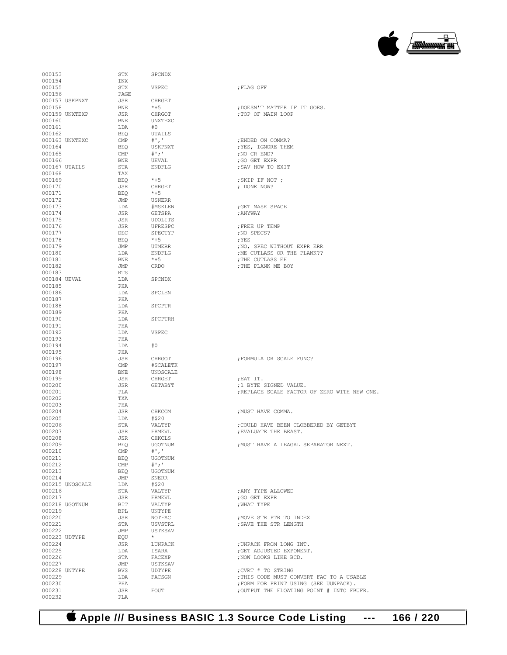

| 000153           |                 | STX                   | SPCNDX              |                                           |
|------------------|-----------------|-----------------------|---------------------|-------------------------------------------|
| 000154           |                 | INX                   |                     |                                           |
| 000155<br>000156 |                 | STX<br>PAGE           | VSPEC               | ; FLAG OFF                                |
|                  | 000157 USKPNXT  | JSR                   | CHRGET              |                                           |
| 000158           |                 | BNE                   | $*+5$               | ; DOESN'T MATTER IF IT GOES.              |
|                  | 000159 UNXTEXP  | JSR                   | CHRGOT              | ; TOP OF MAIN LOOP                        |
| 000160           |                 | BNE                   | UNXTEXC             |                                           |
| 000161           |                 | LDA                   | #O                  |                                           |
| 000162           |                 | BEO                   | UTAILS              |                                           |
|                  | 000163 UNXTEXC  | CMP                   | $#$ ','             | ; ENDED ON COMMA?                         |
| 000164           |                 | BEQ                   | USKPNXT             | ; YES, IGNORE THEM                        |
| 000165           |                 | CMP                   | # ' : '             | ; NO CR END?                              |
| 000166           |                 | BNE                   | UEVAL               | ;GO GET EXPR                              |
|                  | 000167 UTAILS   | STA                   | <b>ENDFLG</b>       | ; SAV HOW TO EXIT                         |
| 000168           |                 | TAX                   |                     |                                           |
| 000169           |                 | BEQ                   | $*+5$               | ; SKIP IF NOT ;                           |
| 000170           |                 | JSR                   | CHRGET              | ; DONE NOW?                               |
| 000171           |                 | BEO                   | $*+5$               |                                           |
| 000172<br>000173 |                 | JMP                   | USNERR              |                                           |
| 000174           |                 | LDA<br>JSR            | #MSKLEN<br>GETSPA   | ; GET MASK SPACE<br>; ANYWAY              |
| 000175           |                 | JSR                   | UDOLITS             |                                           |
| 000176           |                 | JSR                   | UFRESPC             | ; FREE UP TEMP                            |
| 000177           |                 | DEC                   | SPECTYP             | ;NO SPECS?                                |
| 000178           |                 | BEQ                   | $*+5$               | ; YES                                     |
| 000179           |                 | JMP                   | UTMERR              | ; NO, SPEC WITHOUT EXPR ERR               |
| 000180           |                 | LDA                   | ENDFLG              | ; ME CUTLASS OR THE PLANK??               |
| 000181           |                 | BNE                   | $*+5$               | ; THE CUTLASS EH                          |
| 000182           |                 | JMP                   | CRDO                | ; THE PLANK ME BOY                        |
| 000183           |                 | RTS                   |                     |                                           |
| 000184 UEVAL     |                 | LDA                   | SPCNDX              |                                           |
| 000185           |                 | PHA                   |                     |                                           |
| 000186           |                 | LDA                   | SPCLEN              |                                           |
| 000187           |                 | PHA                   |                     |                                           |
| 000188           |                 | LDA                   | SPCPTR              |                                           |
| 000189           |                 | PHA                   |                     |                                           |
| 000190<br>000191 |                 | LDA<br>PHA            | SPCPTRH             |                                           |
| 000192           |                 | LDA                   | VSPEC               |                                           |
| 000193           |                 | PHA                   |                     |                                           |
| 000194           |                 | LDA                   | #0                  |                                           |
| 000195           |                 | PHA                   |                     |                                           |
| 000196           |                 | JSR                   | CHRGOT              | ; FORMULA OR SCALE FUNC?                  |
| 000197           |                 | CMP                   | #SCALETK            |                                           |
| 000198           |                 | BNE                   | UNOSCALE            |                                           |
| 000199           |                 | JSR                   | CHRGET              | ; EAT IT.                                 |
| 000200           |                 | JSR                   | GETABYT             | ;1 BYTE SIGNED VALUE.                     |
| 000201           |                 | PLA                   |                     | ; REPLACE SCALE FACTOR OF ZERO WITH NEW O |
| 000202           |                 | TXA                   |                     |                                           |
| 000203           |                 | PHA                   |                     |                                           |
| 000204           |                 | JSR                   | CHKCOM              | ;MUST HAVE COMMA.                         |
| 000205           |                 | LDA                   | #\$20               |                                           |
| 000206<br>000207 |                 | STA                   | VALTYP              | ; COULD HAVE BEEN CLOBBERED BY GETBYT     |
| 000208           |                 | JSR<br>JSR            | FRMEVL<br>CHKCLS    | ; EVALUATE THE BEAST.                     |
| 000209           |                 |                       |                     | ; MUST HAVE A LEAGAL SEPARATOR NEXT.      |
| 000210           |                 | BEQ<br>$\mathbb{CMP}$ | UGOTNUM<br>$#$ ', ' |                                           |
| 000211           |                 | BEQ                   | <b>UGOTNUM</b>      |                                           |
| 000212           |                 | CMP                   | # ' : '             |                                           |
| 000213           |                 | BEQ                   | UGOTNUM             |                                           |
| 000214           |                 | JMP                   | SNERR               |                                           |
|                  | 000215 UNOSCALE | LDA                   | #\$20               |                                           |
| 000216           |                 | STA                   | VALTYP              | ; ANY TYPE ALLOWED                        |
| 000217           |                 | JSR                   | FRMEVL              | ;GO GET EXPR                              |
|                  | 000218 UGOTNUM  | BIT                   | VALTYP              | ; WHAT TYPE                               |
| 000219           |                 | BPL                   | UNTYPE              |                                           |
| 000220           |                 | JSR                   | NOTFAC              | ; MOVE STR PTR TO INDEX                   |
| 000221           |                 | STA                   | <b>USVSTRL</b>      | ; SAVE THE STR LENGTH                     |
| 000222           |                 | JMP                   | USTKSAV             |                                           |
|                  | 000223 UDTYPE   | EQU                   | $\star$             |                                           |
| 000224           |                 | JSR                   | LUNPACK             | ; UNPACK FROM LONG INT.                   |
| 000225           |                 | LDA                   | ISARA               | ; GET ADJUSTED EXPONENT.                  |
| 000226<br>000227 |                 | STA<br>JMP            | FACEXP<br>USTKSAV   | ; NOW LOOKS LIKE BCD.                     |
|                  | 000228 UNTYPE   | BVS                   | UDTYPE              | ; CVRT # TO STRING                        |
| 000229           |                 | LDA                   | FACSGN              | ; THIS CODE MUST CONVERT FAC TO A USABLE  |
| 000230           |                 | PHA                   |                     | ; FORM FOR PRINT USING (SEE UUNPACK).     |
| 000231           |                 | JSR                   | FOUT                | ; OUTPUT THE FLOATING POINT # INTO FBUFR. |
| 000232           |                 | PLA                   |                     |                                           |
|                  |                 |                       |                     |                                           |

| 000155                  |                 | STX        | <b>VSPEC</b>       | ; FLAG OFF                                                 |
|-------------------------|-----------------|------------|--------------------|------------------------------------------------------------|
| 000156                  |                 | PAGE       |                    |                                                            |
|                         | 000157 USKPNXT  | JSR        | CHRGET             |                                                            |
| 000158                  |                 | BNE        | $*+5$              | ; DOESN'T MATTER IF IT GOES.                               |
|                         | 000159 UNXTEXP  | JSR        | CHRGOT             | ; TOP OF MAIN LOOP                                         |
| 000160                  |                 | BNE        | UNXTEXC            |                                                            |
| 000161                  |                 | LDA        | #0                 |                                                            |
| 000162                  |                 | BEQ        | UTAILS<br>$\#$ ',' |                                                            |
| 000164                  | 000163 UNXTEXC  | CMP<br>BEQ | USKPNXT            | ; ENDED ON COMMA?<br>; YES, IGNORE THEM                    |
| 000165                  |                 | CMP        | # ' ; '            | ;NO CR END?                                                |
| 000166                  |                 | BNE        | UEVAL              | ;GO GET EXPR                                               |
| 000167 UTAILS           |                 | STA        | ENDFLG             | ; SAV HOW TO EXIT                                          |
| 000168                  |                 | TAX        |                    |                                                            |
| 000169                  |                 | BEO        | $*+5$              | ; SKIP IF NOT ;                                            |
| 000170                  |                 | JSR        | CHRGET             | ; DONE NOW?                                                |
| 000171                  |                 | BEQ        | $*+5$              |                                                            |
| 000172                  |                 | JMP        | USNERR             |                                                            |
| 000173                  |                 | LDA        | #MSKLEN            | ;GET MASK SPACE                                            |
| 000174                  |                 | JSR        | GETSPA             | ; ANYWAY                                                   |
| 000175                  |                 | JSR        | UDOLITS            |                                                            |
| 000176                  |                 | JSR        | UFRESPC            | ; FREE UP TEMP                                             |
| 000177                  |                 | DEC        | SPECTYP            | ;NO SPECS?                                                 |
| 000178<br>000179        |                 | BEQ        | $*+5$              | ; YES                                                      |
| 000180                  |                 | JMP<br>LDA | UTMERR<br>ENDFLG   | ; NO, SPEC WITHOUT EXPR ERR<br>; ME CUTLASS OR THE PLANK?? |
| 000181                  |                 | BNE        | $*+5$              | ; THE CUTLASS EH                                           |
| 000182                  |                 | JMP        | CRDO               | ; THE PLANK ME BOY                                         |
| 000183                  |                 | RTS        |                    |                                                            |
| 000184 UEVAL            |                 | LDA        | SPCNDX             |                                                            |
| 000185                  |                 | PHA        |                    |                                                            |
| 000186                  |                 | LDA        | SPCLEN             |                                                            |
| 000187                  |                 | PHA        |                    |                                                            |
| 000188                  |                 | LDA        | SPCPTR             |                                                            |
| 000189                  |                 | PHA        |                    |                                                            |
| 000190                  |                 | LDA        | SPCPTRH            |                                                            |
| 000191                  |                 | PHA        |                    |                                                            |
| 000192                  |                 | LDA        | VSPEC              |                                                            |
| 000193<br>000194        |                 | PHA        |                    |                                                            |
| 000195                  |                 | LDA<br>PHA | #0                 |                                                            |
| 000196                  |                 | JSR        | CHRGOT             | FORMULA OR SCALE FUNC?                                     |
| 000197                  |                 | CMP        | #SCALETK           |                                                            |
| 000198                  |                 | BNE        | UNOSCALE           |                                                            |
| 000199                  |                 | JSR        | CHRGET             | ;EAT IT.                                                   |
| 000200                  |                 | JSR        | GETABYT            | ;1 BYTE SIGNED VALUE.                                      |
| 000201                  |                 | PLA        |                    | ; REPLACE SCALE FACTOR OF ZERO WITH NEW ONE.               |
| 000202                  |                 | TXA        |                    |                                                            |
| 000203                  |                 | PHA        |                    |                                                            |
| 000204                  |                 | JSR        | CHKCOM             | ; MUST HAVE COMMA.                                         |
| 000205                  |                 | LDA        | #\$20              |                                                            |
| 000206                  |                 | STA        | VALTYP             | ; COULD HAVE BEEN CLOBBERED BY GETBYT                      |
| 000207                  |                 | JSR        | FRMEVL             | ; EVALUATE THE BEAST.                                      |
| 000208<br>000209        |                 | JSR<br>BEQ | CHKCLS<br>UGOTNUM  | ; MUST HAVE A LEAGAL SEPARATOR NEXT.                       |
| 000210                  |                 | CMP        | $^{\#}$ ', '       |                                                            |
| 000211                  |                 | BEQ        | <b>UGOTNUM</b>     |                                                            |
| 000212                  |                 | CMP        | $^{\#}$ '; '       |                                                            |
| 000213                  |                 | BEQ        | UGOTNUM            |                                                            |
| 000214                  |                 | JMP        | SNERR              |                                                            |
|                         | 000215 UNOSCALE | LDA        | #\$20              |                                                            |
| 000216                  |                 | STA        | VALTYP             | ; ANY TYPE ALLOWED                                         |
| 000217                  |                 | JSR        | FRMEVL             | : GO GET EXPR                                              |
|                         | 000218 UGOTNUM  | BIT        | VALTYP             | ; WHAT TYPE                                                |
| 000219                  |                 | BPL        | UNTYPE             |                                                            |
| 000220                  |                 | JSR        | NOTFAC             | ; MOVE STR PTR TO INDEX                                    |
| 000221                  |                 | STA        | USVSTRL            | ; SAVE THE STR LENGTH                                      |
| 000222                  |                 | JMP        | USTKSAV<br>$\star$ |                                                            |
| 000223 UDTYPE<br>000224 |                 | EOU        |                    |                                                            |
| 000225                  |                 | JSR<br>LDA | LUNPACK<br>ISARA   | ; UNPACK FROM LONG INT.<br>; GET ADJUSTED EXPONENT.        |
| 000226                  |                 | STA        | FACEXP             | :NOW LOOKS LIKE BCD.                                       |
| 000227                  |                 | JMP        | USTKSAV            |                                                            |
|                         |                 |            |                    |                                                            |
|                         | 000228 UNTYPE   | <b>BVS</b> | UDTYPE             | ; CVRT # TO STRING                                         |
| 000229<br>000020        |                 | LDA        | FACSGN             | THIS CODE MUST CONVERT FAC TO A USABLE;                    |

 **Apple /// Business BASIC 1.3 Source Code Listing --- 166 / 220**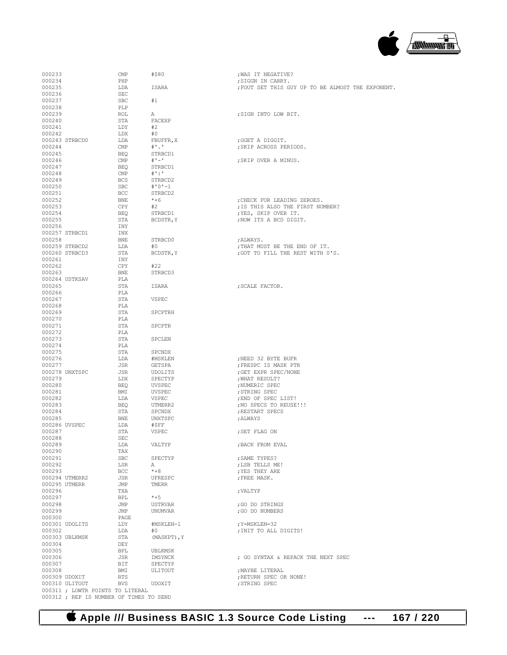| 000233        |                                         | CMP        | #\$80           | ; WAS IT NEGATIVE?                              |
|---------------|-----------------------------------------|------------|-----------------|-------------------------------------------------|
| 000234        |                                         | PHP        |                 | ; SIGGN IN CARRY.                               |
| 000235        |                                         | LDA        | ISARA           | FOUT SET THIS GUY UP TO BE ALMOST THE EXPONENT. |
| 000236        |                                         | SEC        |                 |                                                 |
| 000237        |                                         | <b>SBC</b> | #1              |                                                 |
| 000238        |                                         | PLP        |                 |                                                 |
| 000239        |                                         | ROL        | А               | ; SIGN INTO LOW BIT.                            |
| 000240        |                                         | STA        | FACEXP          |                                                 |
| 000241        |                                         | LDY        | #2              |                                                 |
| 000242        |                                         | LDX        | #0              |                                                 |
|               | 000243 STRBCD0                          | LDA        | FBUFFR, X       | ;GGET A DIGGIT.                                 |
| 000244        |                                         | CMP        | $^{\#}$ .       | ; SKIP ACROSS PERIODS.                          |
| 000245        |                                         | <b>BEQ</b> | STRBCD1         |                                                 |
| 000246        |                                         | CMP        | $# 1 - 1$       | ; SKIP OVER A MINUS.                            |
| 000247        |                                         | <b>BEO</b> | STRBCD1         |                                                 |
| 000248        |                                         | CMP        | $\#$ ':'        |                                                 |
| 000249        |                                         | <b>BCS</b> | STRBCD2         |                                                 |
| 000250        |                                         | <b>SBC</b> | $# 0 1 - 1$     |                                                 |
| 000251        |                                         | BCC        | STRBCD2         |                                                 |
| 000252        |                                         | BNE        | $*+6$           | ; CHECK FOR LEADING ZEROES.                     |
| 000253        |                                         | CPY        | #2              | ; IS THIS ALSO THE FIRST NUMBER?                |
| 000254        |                                         | <b>BEQ</b> | STRBCD1         | ; YES, SKIP OVER IT.                            |
| 000255        |                                         | STA        | BCDSTR, Y       | ; NOW ITS A BCD DIGIT.                          |
| 000256        |                                         | INY        |                 |                                                 |
|               | 000257 STRBCD1                          | INX        |                 |                                                 |
| 000258        |                                         | BNE        | STRBCD0         | ; ALWAYS.                                       |
|               | 000259 STRBCD2                          | LDA        | #0              | ; THAT MUST BE THE END OF IT.                   |
|               | 000260 STRBCD3                          | STA        | BCDSTR, Y       | ; GOT TO FILL THE REST WITH 0'S.                |
| 000261        |                                         | INY        |                 |                                                 |
| 000262        |                                         | CPY        | #22<br>STRBCD3  |                                                 |
| 000263        |                                         | <b>BNE</b> |                 |                                                 |
| 000265        | 000264 USTKSAV                          | PLA<br>STA | ISARA           | ; SCALE FACTOR.                                 |
| 000266        |                                         | PLA        |                 |                                                 |
| 000267        |                                         | STA        | VSPEC           |                                                 |
| 000268        |                                         | PLA        |                 |                                                 |
| 000269        |                                         | STA        | SPCPTRH         |                                                 |
| 000270        |                                         | PLA        |                 |                                                 |
| 000271        |                                         | STA        | <b>SPCPTR</b>   |                                                 |
| 000272        |                                         | PLA        |                 |                                                 |
| 000273        |                                         | STA        | SPCLEN          |                                                 |
| 000274        |                                         | PLA        |                 |                                                 |
| 000275        |                                         | STA        | SPCNDX          |                                                 |
| 000276        |                                         | LDA        | #MSKLEN         | ; NEED 32 BYTE BUFR                             |
| 000277        |                                         | JSR        | GETSPA          | ; FRESPC IS MASK PTR                            |
|               | 000278 UNXTSPC                          | JSR        | UDOLITS         | ; GET EXPR SPEC/NONE                            |
| 000279        |                                         | LDX        | SPECTYP         | ; WHAT RESULT?                                  |
| 000280        |                                         | <b>BEO</b> | UVSPEC          | ; NUMERIC SPEC                                  |
| 000281        |                                         | BMI        | UVSPEC          | ; STRING SPEC                                   |
| 000282        |                                         | LDA        | VSPEC           | ; END OF SPEC LIST!                             |
| 000283        |                                         | <b>BEO</b> | UTMERR2         | ; NO SPECS TO REUSE!!!                          |
| 000284        |                                         | STA        | SPCNDX          | ; RESTART SPECS                                 |
| 000285        |                                         | BNE        | UNXTSPC         | ; ALWAYS                                        |
| 000286 UVSPEC |                                         | LDA        | #\$FF           |                                                 |
| 000287        |                                         | STA        | VSPEC           | ; SET FLAG ON                                   |
| 000288        |                                         | SEC        |                 |                                                 |
| 000289        |                                         | LDA        | VALTYP          | ; BACK FROM EVAL                                |
| 000290        |                                         | TAX        |                 |                                                 |
| 000291        |                                         | SBC        | SPECTYP         | ; SAME TYPES?                                   |
| 000292        |                                         | LSR        | А               | ; LSB TELLS ME!                                 |
| 000293        |                                         | <b>BCC</b> | $* + 8$         | ; YES THEY ARE                                  |
|               | 000294 UTMERR2                          | JSR        | UFRESPC         | ; FREE MASK.                                    |
|               | 000295 UTMERR                           | JMP        | TMERR           |                                                 |
| 000296        |                                         | TXA        |                 | : VALTYP                                        |
| 000297        |                                         | BPL        | $*+5$           |                                                 |
| 000298        |                                         | JMP        | USTRVAR         | ;GO DO STRINGS                                  |
| 000299        |                                         | JMP        | UNUMVAR         | ; GO DO NUMBERS                                 |
| 000300        |                                         | PAGE       |                 |                                                 |
| 000302        | 000301 UDOLITS                          | LDY<br>LDA | #MSKLEN-1<br>#0 | ; Y=MSKLEN=32<br>; INIT TO ALL DIGITS!          |
|               | 000303 UBLKMSK                          | STA        | (MASKPT), Y     |                                                 |
| 000304        |                                         | DEY        |                 |                                                 |
| 000305        |                                         | BPL        | UBLKMSK         |                                                 |
| 000306        |                                         | JSR        | IMSYNCK         | ; GO SYNTAX & REPACK THE NEXT SPEC              |
| 000307        |                                         | BIT        | SPECTYP         |                                                 |
| 000308        |                                         | BMI        | ULITOUT         | ; MAYBE LITERAL                                 |
|               | 000309 UDOXIT                           | RTS        |                 | ; RETURN SPEC OR NONE!                          |
|               | 000310 ULITOUT                          | BVS        | UDOXIT          | ; STRING SPEC                                   |
|               | 000311 ; LOWTR POINTS TO LITERAL        |            |                 |                                                 |
|               | 000312 ; REP IS NUMBER OF TIMES TO SEND |            |                 |                                                 |

| ; SIGN INTO LOW BIT.                                                                                                                                                                                   |
|--------------------------------------------------------------------------------------------------------------------------------------------------------------------------------------------------------|
| ;GGET A DIGGIT.<br>; SKIP ACROSS PERIODS.                                                                                                                                                              |
| ; SKIP OVER A MINUS.                                                                                                                                                                                   |
| ; CHECK FOR LEADING ZEROES.<br>; IS THIS ALSO THE FIRST NUMBER?<br>; YES, SKIP OVER IT.<br>; NOW ITS A BCD DIGIT.                                                                                      |
| ;ALWAYS.<br>; THAT MUST BE THE END OF IT.<br>; GOT TO FILL THE REST WITH 0'S.                                                                                                                          |
| ; SCALE FACTOR.                                                                                                                                                                                        |
| NEED 32 BYTE BUFR<br>; FRESPC IS MASK PTR<br>; GET EXPR SPEC/NONE<br>; WHAT RESULT?<br>; NUMERIC SPEC<br>; STRING SPEC<br>; END OF SPEC LIST!<br>; NO SPECS TO REUSE!!!<br>; RESTART SPECS<br>; ALWAYS |
| ; SET FLAG ON                                                                                                                                                                                          |
| ; BACK FROM EVAL                                                                                                                                                                                       |
| ; SAME TYPES?<br>; LSB TELLS ME!<br>; YES THEY ARE<br>; FREE MASK.                                                                                                                                     |
| ; VALTYP                                                                                                                                                                                               |
| ;GO DO STRINGS<br>; GO DO NUMBERS                                                                                                                                                                      |
| ; Y=MSKLEN=32<br>; INIT TO ALL DIGITS!                                                                                                                                                                 |
| ; GO SYNTAX & REPACK THE NEXT SPEC<br>; MAYBE LITERAL<br>; RETURN SPEC OR NONE!<br>; STRING SPEC                                                                                                       |

▕<del>▅▅▅</del>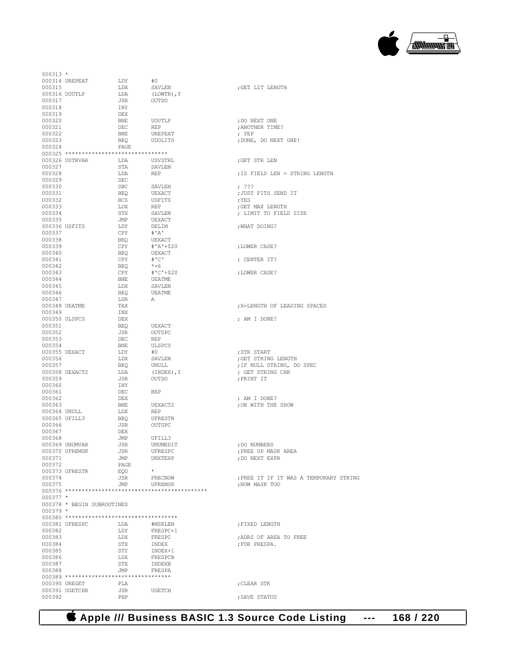## **Apple /// Business BASIC 1.3 Source Code Listing --- 168 / 220**

| $000313 *$   |                                          |            |                |                                        |
|--------------|------------------------------------------|------------|----------------|----------------------------------------|
|              | 000314 UREPEAT                           | LDY        | #0             |                                        |
| 000315       |                                          | LDX        | SAVLEN         | ; GET LIT LENGTH                       |
|              | 000316 UOUTLP                            | LDA        | (LOWTR), Y     |                                        |
| 000317       |                                          | JSR        | OUTDO          |                                        |
| 000318       |                                          | INY        |                |                                        |
|              |                                          | DEX        |                |                                        |
| 000319       |                                          |            |                |                                        |
| 000320       |                                          | BNE        | UOUTLP         | : DO NEXT ONE                          |
| 000321       |                                          | DEC        | REP            | ; ANOTHER TIME?                        |
| 000322       |                                          | BNE        | UREPEAT        | ; YEP                                  |
| 000323       |                                          | BEQ        | <b>UDOLITS</b> | ; DONE, DO NEXT ONE!                   |
| 000324       |                                          | PAGE       |                |                                        |
|              | 000325 ********************************  |            |                |                                        |
|              | 000326 USTRVAR                           | LDA        | USVSTRL        | ; GET STR LEN                          |
| 000327       |                                          | STA        |                |                                        |
|              |                                          |            | SAVLEN         |                                        |
| 000328       |                                          | LDA        | REP            | ; IS FIELD LEN > STRING LENGTH         |
| 000329       |                                          | SEC        |                |                                        |
| 000330       |                                          | SBC        | SAVLEN         | , 322                                  |
| 000331       |                                          | BEO        | UEXACT         | ; JUST FITS SEND IT                    |
| 000332       |                                          | <b>BCS</b> | USFITS         | ; YES                                  |
| 000333       |                                          | LDX        | REP            | ; GET MAX LENGTH                       |
| 000334       |                                          | STX        | SAVLEN         | ; LIMIT TO FIELD SIZE                  |
| 000335       |                                          | JMP        | UEXACT         |                                        |
|              |                                          |            |                | ; WHAT DOING?                          |
|              | 000336 USFITS                            | LDY        | DELIM          |                                        |
| 000337       |                                          | CPY        | # 'A'          |                                        |
| 000338       |                                          | BEQ        | UEXACT         |                                        |
| 000339       |                                          | CPY        | #'A'+\$20      | ; LOWER CASE?                          |
| 000340       |                                          | BEO        | UEXACT         |                                        |
| 000341       |                                          | CPY        | # C            | ; CENTER IT?                           |
| 000342       |                                          | BEO        | $*+6$          |                                        |
| 000343       |                                          | CPY        | $# C'+520$     | ; LOWER CASE?                          |
|              |                                          |            |                |                                        |
| 000344       |                                          | BNE        | UEATME         |                                        |
| 000345       |                                          | LDX        | SAVLEN         |                                        |
| 000346       |                                          | BEO        | UEATME         |                                        |
| 000347       |                                          | LSR        | A              |                                        |
|              | 000348 UEATME                            | TAX        |                | ; X=LENGTH OF LEADING SPACES           |
| 000349       |                                          | INX        |                |                                        |
|              | 000350 ULSPCS                            | DEX        |                | ; AM I DONE?                           |
| 000351       |                                          | BEO        | UEXACT         |                                        |
| 000352       |                                          | JSR        | OUTSPC         |                                        |
|              |                                          |            |                |                                        |
| 000353       |                                          | DEC        | <b>REP</b>     |                                        |
| 000354       |                                          | BNE        | ULSPCS         |                                        |
|              | 000355 UEXACT                            | LDY        | #O             | ; STR START                            |
| 000356       |                                          | LDX        | SAVLEN         | ; GET STRING LENGTH                    |
| 000357       |                                          | BEO        | UNULL          | ; IF NULL STRING, DO SPEC              |
|              | 000358 UEXACT2                           | LDA        | (INDEX), Y     | ; GET STRING CHR                       |
| 000359       |                                          | JSR        | OUTDO          | ; PRINT IT                             |
| 000360       |                                          |            |                |                                        |
|              |                                          | INY        |                |                                        |
| 000361       |                                          | DEC        | REP            |                                        |
| 000362       |                                          | DEX        |                | ; AM I DONE?                           |
| 000363       |                                          | BNE        | UEXACT2        | ; ON WITH THE SHOW                     |
| 000364 UNULL |                                          | LDX        | REP            |                                        |
|              | 000365 UFILL3                            | BEQ        | UFRESTR        |                                        |
| 000366       |                                          | JSR        | OUTSPC         |                                        |
| 000367       |                                          | DEX        |                |                                        |
| 000368       |                                          | JMP        | UFILL3         |                                        |
|              | 000369 UNUMVAR                           | JSR        | UNUMEDIT       | ; DO NUMBERS                           |
|              | 000370 UFREMSK                           |            |                |                                        |
|              |                                          | JSR        | UFRESPC        | ; FREE UP MASK AREA                    |
| 000371       |                                          | JMP        | UNXTEXP        | ; DO NEXT EXPR                         |
| 000372       |                                          | PAGE       |                |                                        |
|              | 000373 UFRESTR                           | EQU        | $\star$        |                                        |
| 000374       |                                          | JSR        | FRECNOW        | ; FREE IT IF IT WAS A TEMPORARY STRING |
| 000375       |                                          | JMP        | UFREMSK        | ; NOW MASK TOO                         |
|              |                                          |            |                |                                        |
| $000377 *$   |                                          |            |                |                                        |
|              | 000378 * BEGIN SUBROUTINES               |            |                |                                        |
| $000379$ *   |                                          |            |                |                                        |
|              |                                          |            |                |                                        |
|              |                                          |            |                |                                        |
|              | 000381 UFRESPC                           | LDA        | #MSKLEN        | ; FIXED LENGTH                         |
| 000382       |                                          | LDY        | FRESPC+1       |                                        |
| 000383       |                                          | LDX        | FRESPC         | ; ADRS OF AREA TO FREE                 |
| 000384       |                                          | STX        | INDEX          | ; FOR FRESPA.                          |
| 000385       |                                          | STY        | INDEX+1        |                                        |
| 000386       |                                          | LDX        | FRESPCB        |                                        |
| 000387       |                                          | STX        |                |                                        |
|              |                                          |            | INDEXB         |                                        |
| 000388       |                                          | JMP        | FRESPA         |                                        |
|              |                                          |            |                |                                        |
|              | 000389 ********************************* |            |                |                                        |
|              | 000390 UREGET                            | PLA        |                | ; CLEAR STK                            |
| 000392       | 000391 UGETCHR                           | JSR        | UGETCH         |                                        |

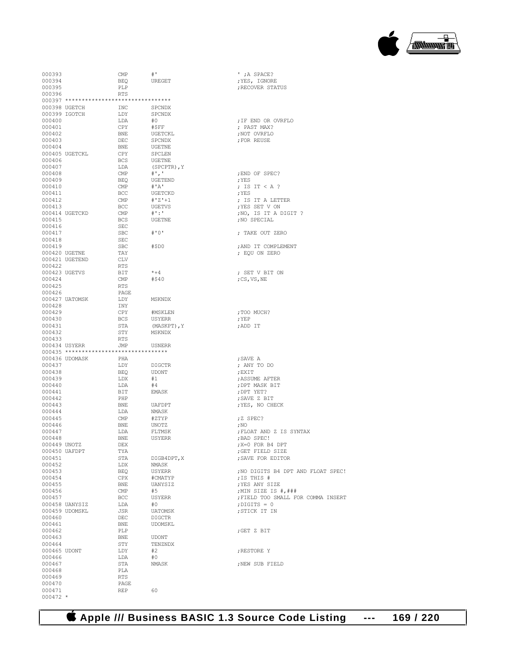

| 000393       |                                          | $\ensuremath{\mathrm{CMP}}$ | $^{\#}$          | ' ; A SPACE?                       |
|--------------|------------------------------------------|-----------------------------|------------------|------------------------------------|
|              |                                          |                             |                  |                                    |
| 000394       |                                          | BEQ                         | UREGET           | ; YES, IGNORE                      |
| 000395       |                                          | PLP                         |                  | ; RECOVER STATUS                   |
| 000396       |                                          | <b>RTS</b>                  |                  |                                    |
|              | 000397 ********************************* |                             |                  |                                    |
|              |                                          |                             |                  |                                    |
|              | 000398 UGETCH                            | INC                         | SPCNDX           |                                    |
|              | 000399 IGOTCH                            | LDY                         | SPCNDX           |                                    |
| 000400       |                                          | LDA                         | #0               | ; IF END OR OVRFLO                 |
|              |                                          |                             |                  | : PAST MAX?                        |
| 000401       |                                          | CPY                         | #\$FF            |                                    |
| 000402       |                                          | BNE                         | UGETCKL          | ;NOT OVRFLO                        |
| 000403       |                                          | DEC                         | SPCNDX           | ; FOR REUSE                        |
| 000404       |                                          | BNE                         | UGETNE           |                                    |
|              |                                          |                             |                  |                                    |
|              | 000405 UGETCKL                           | CPY                         | SPCLEN           |                                    |
| 000406       |                                          | <b>BCS</b>                  | UGETNE           |                                    |
| 000407       |                                          | LDA                         | (SPCPTR), Y      |                                    |
| 000408       |                                          | $\ensuremath{\mathrm{CMP}}$ | $^{\#}$ ', '     | ; END OF SPEC?                     |
|              |                                          |                             |                  |                                    |
| 000409       |                                          | BEQ                         | UGETEND          | ; YES                              |
| 000410       |                                          | CMP                         | #'A'             | ; IS IT $<$ A ?                    |
| 000411       |                                          | <b>BCC</b>                  | UGETCKD          | ; YES                              |
| 000412       |                                          | CMP                         | $# Z + 1$        | ; IS IT A LETTER                   |
|              |                                          |                             |                  |                                    |
| 000413       |                                          | BCC                         | UGETVS           | ; YES SET V ON                     |
|              | 000414 UGETCKD                           | $\mathsf{CMP}$              | $\#$ ' : '       | ; NO, IS IT A DIGIT ?              |
| 000415       |                                          | <b>BCS</b>                  | UGETNE           | ; NO SPECIAL                       |
| 000416       |                                          | SEC                         |                  |                                    |
|              |                                          |                             |                  |                                    |
| 000417       |                                          | $_{\rm SBC}$                | # O <sup>T</sup> | ; TAKE OUT ZERO                    |
| 000418       |                                          | SEC                         |                  |                                    |
| 000419       |                                          | SBC                         | #\$D0            | ; AND IT COMPLEMENT                |
|              |                                          |                             |                  |                                    |
|              | 000420 UGETNE                            | TAY                         |                  | ; EQU ON ZERO                      |
|              | 000421 UGETEND                           | CLV                         |                  |                                    |
| 000422       |                                          | RTS                         |                  |                                    |
|              | 000423 UGETVS                            | BIT                         | $*+4$            | ; SET V BIT ON                     |
|              |                                          |                             |                  |                                    |
| 000424       |                                          | CMP                         | #540             | ;CS,VS,NE                          |
| 000425       |                                          | RTS                         |                  |                                    |
| 000426       |                                          | PAGE                        |                  |                                    |
|              | 000427 UATOMSK                           | LDY                         |                  |                                    |
|              |                                          |                             | MSKNDX           |                                    |
| 000428       |                                          | INY                         |                  |                                    |
| 000429       |                                          | CPY                         | #MSKLEN          | ;TOO MUCH?                         |
| 000430       |                                          | BCS                         | USYERR           | ; YEP                              |
|              |                                          |                             |                  |                                    |
| 000431       |                                          | STA                         | (MASKPT), Y      | ;ADD IT                            |
| 000432       |                                          | STY                         | MSKNDX           |                                    |
| 000433       |                                          | RTS                         |                  |                                    |
|              | 000434 USYERR                            | JMP                         | USNERR           |                                    |
|              |                                          |                             |                  |                                    |
|              | 000435 ********************************  |                             |                  |                                    |
|              | 000436 UDOMASK                           | PHA                         |                  | ; SAVE A                           |
| 000437       |                                          | LDY                         | DIGCTR           | ; ANY TO DO                        |
| 000438       |                                          |                             | <b>UDONT</b>     |                                    |
|              |                                          | BEQ                         |                  | ; EXIT                             |
| 000439       |                                          | LDX                         | #1               | ; ASSUME AFTER                     |
| 000440       |                                          | LDA                         | #4               | ; DPT MASK BIT                     |
| 000441       |                                          | BIT                         | EMASK            | ; DPT YET?                         |
|              |                                          |                             |                  |                                    |
| 000442       |                                          | PHP                         |                  | ; SAVE Z BIT                       |
| 000443       |                                          | BNE                         | UAFDPT           | ; YES, NO CHECK                    |
| 000444       |                                          | LDA                         | NMASK            |                                    |
| 000445       |                                          |                             |                  |                                    |
|              |                                          | CMP                         | #ZTYP            | ;Z SPEC?                           |
| 000446       |                                          | BNE                         | UNOTZ            | ; NO                               |
| 000447       |                                          | LDA                         | FLTMSK           | ; FLOAT AND Z IS SYNTAX            |
| 000448       |                                          | <b>BNE</b>                  | USYERR           | ; BAD SPEC!                        |
|              |                                          |                             |                  |                                    |
| 000449 UNOTZ |                                          | DEX                         |                  | X=0 FOR B4 DPT;                    |
|              | 000450 UAFDPT                            | TYA                         |                  | ; GET FIELD SIZE                   |
| 000451       |                                          | STA                         | DIGB4DPT, X      | ; SAVE FOR EDITOR                  |
| 000452       |                                          | LDX                         | NMASK            |                                    |
|              |                                          |                             |                  |                                    |
| 000453       |                                          | BEQ                         | USYERR           | ; NO DIGITS B4 DPT AND FLOAT SPEC! |
| 000454       |                                          | CPX                         | #CMATYP          | ; IS THIS #                        |
| 000455       |                                          | BNE                         | UANYSIZ          | ; YES ANY SIZE                     |
| 000456       |                                          | $\mathsf{CMP}$              | #5               | ; MIN SIZE IS #, ###               |
|              |                                          |                             |                  |                                    |
| 000457       |                                          | <b>BCC</b>                  | USYERR           | ; FIELD TOO SMALL FOR COMMA INSERT |
|              | 000458 UANYSIZ                           | LDA                         | #0               | $:$ DIGITS = 0                     |
|              | 000459 UDOMSKL                           | JSR                         | UATOMSK          | ; STICK IT IN                      |
|              |                                          |                             |                  |                                    |
| 000460       |                                          | DEC                         | <b>DIGCTR</b>    |                                    |
| 000461       |                                          | BNE                         | UDOMSKL          |                                    |
| 000462       |                                          | PLP                         |                  | ;GET Z BIT                         |
| 000463       |                                          | BNE                         |                  |                                    |
|              |                                          |                             | UDONT            |                                    |
| 000464       |                                          | STY                         | TENZNDX          |                                    |
| 000465 UDONT |                                          | LDY                         | #2               | ; RESTORE Y                        |
| 000466       |                                          | LDA                         | #0               |                                    |
|              |                                          |                             |                  |                                    |
| 000467       |                                          | STA                         | NMASK            | ; NEW SUB FIELD                    |
| 000468       |                                          | PLA                         |                  |                                    |
| 000469       |                                          | RTS                         |                  |                                    |
| 000470       |                                          | PAGE                        |                  |                                    |
|              |                                          |                             |                  |                                    |
| 000471       |                                          | <b>REP</b>                  | 60               |                                    |
| $000472 *$   |                                          |                             |                  |                                    |

| ; IF END OR OVRFLO<br>; PAST MAX?<br>; NOT OVRFLO<br>; FOR REUSE                                                                                                 |
|------------------------------------------------------------------------------------------------------------------------------------------------------------------|
| ; END OF SPEC?<br>; YES<br>; IS IT < A ?<br>; YES<br>; IS IT A LETTER<br>; YES SET V ON<br>; NO, IS IT A DIGIT ?<br>; NO SPECIAL                                 |
| ; TAKE OUT ZERO                                                                                                                                                  |
| ; AND IT COMPLEMENT<br>; EQU ON ZERO                                                                                                                             |
| ; SET V BIT ON<br>; CS, VS, NE                                                                                                                                   |
| ; TOO MUCH?<br>; YEP<br>;ADD IT                                                                                                                                  |
| ; SAVE A<br>; ANY TO DO<br>; EXIT<br>; ASSUME AFTER<br>; DPT MASK BIT<br>; DPT YET?<br>; SAVE Z BIT<br>; YES, NO CHECK                                           |
| ;Z SPEC?<br>; NO<br>; FLOAT AND Z IS SYNTAX<br>; BAD SPEC!<br>; X=0 FOR B4 DPT<br>GET FIELD SIZE<br>; SAVE FOR EDITOR                                            |
| ; NO DIGITS B4 DPT AND FLOAT SPEC!<br>; IS THIS #<br>; YES ANY SIZE<br>;MIN SIZE IS #,###<br>FIELD TOO SMALL FOR COMMA INSERT<br>; DIGITS = $0$<br>; STICK IT IN |
| ;GET Z BIT                                                                                                                                                       |
| ; RESTORE Y                                                                                                                                                      |
| ; NEW SUB FIELD                                                                                                                                                  |
|                                                                                                                                                                  |

 **Apple /// Business BASIC 1.3 Source Code Listing --- 169 / 220**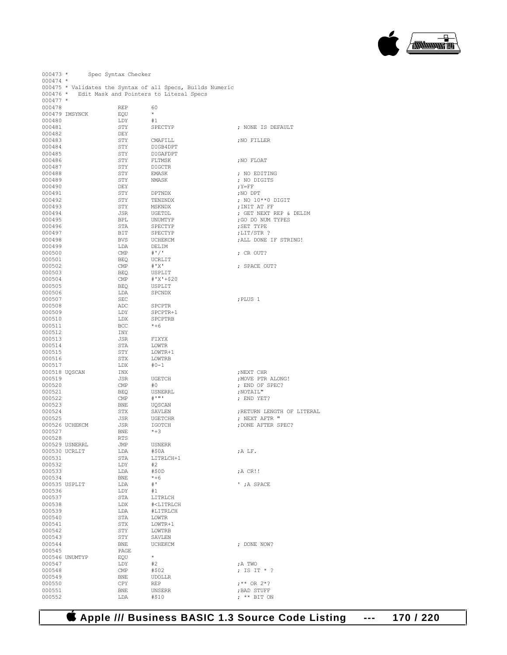

000473 \* Spec Syntax Checker  $000474$  \* 000475 \* Validates the Syntax of all Specs, Builds Numeric 000476 \* Edit Mask and Pointers to Literal Specs  $000477$  \*  $000478 \qquad \qquad \begin{array}{lcl} \text{REF} & \qquad & 60 \\ \text{000479} & \text{IMSYNCK} & \qquad & \text{EQU} & \qquad \star \end{array}$ 000479 IMSYNCK  $EQU$  \* 000480  $H1$ 000480 LDY #1<br>000481 STY SPECTYP ; NONE IS DEFAULT 000482 DEY<br>000483 STY 000483 STY CMAFILL ;NO FILLER 000484 STY DIGB4DPT<br>000485 STY DIGAFDPT 000485 STY DIGAFDPT <br/>  $\texttt{OOO486}$  STY FLTMSK 000486 STY FLTMSK ;NO FLOAT 000487 STY DIGCTR<br>000488 STY EMASK 000488 STY EMASK ; NO EDITING 000489  $STY$  NMASK ; NO DIGITS  $Y = FF$  $000490$  ,  $Y = FF$ 000491 STY DPTNDX ;NO DPT ; NO  $10**0$  DIGIT 000493 STY MSKNDX ;INIT AT FF 000494 JSR UGETDL ; GET NEXT REP & DELIM 000495 BPL UNUMTYP ;GO DO NUM TYPES 000496 STA SPECTYP ;SET TYPE 000497 BIT SPECTYP ;LIT/STR ? 000498 BVS UCHEKCM , ALL DONE IF STRING! (000499 LDA DELIM 000499 LDA DELIM<br>000500 CMP #'/' 000500 CMP  $#'/$ '  $\qquad$  ; CR OUT?<br>000501 BEO UCRLTT  $\begin{array}{ccc} 000500 & & & \textrm{CMP} & & \#^*/\, \tt^1 \end{array}$   $\begin{array}{ccc} 000501 & & & \textrm{BEQ} & & \textrm{UCRLIT} \\ 000502 & & & \textrm{CMP} & & \#^*\, \tt X\, \tt^1 \end{array}$ 000502 CMP #'X' ; SPACE OUT? 000503 BEQ USPLIT<br>000504 CMP  $#'X' + \xi$ 000504 CMP #'X'+\$20<br>000505 BEQ USPLIT 000505 BEQ USPLIT 000506 LDA SPCNDX  $000507$  , PLUS 1 000508 ADC SPCPTR 000509 ADY SPCPTR- $\begin{tabular}{llllllll} \multicolumn{2}{l} \texttt{DDY} & \multicolumn{2}{l} \texttt{SPCPTR+1} \\ \texttt{000510} & \multicolumn{2}{l} \texttt{LDY} & \multicolumn{2}{l} \texttt{SPCPTR+1} \\ \end{tabular}$ LDX SPCPTRB<br>BCC \*+6 000511 BCC <br>000512 INY 000512 INY<br>000513 JSR 000513 JSR FIXYX  $000514$ <br> $000515$ 000515 STY LOWTR+1<br>000516 STX LOWTRB  $LOWTRB$ <br> $#0-1$ 000517 LDX<br>000518 UOSCAN TNX 000518 UQSCAN INX ;NEXT CHR 000519 JSR UGETCH ;MOVE PTR ALONG! 000520 CMP #0 ; END OF SPEC?<br>000521 BEO USNERRL , NOTAIL" 000521 BEQ USNERRL ,NOTAIL"<br>000522 CMP #'"' : FND YE  $000522$  CMP  $\#'''$   $\qquad \qquad$  ; END YET?<br> $000523$  ENE TIOSCAN  $\begin{array}{ccccc}\n&\ddots&\ddots&\ddots\\
&\ddot{\mathbf{U}}\mathbf{QSCAN} \\
&\mathbf{STX}&&\mathbf{SAVLEN}\n\end{array}$ 000524 STX SAVLEN ;RETURN LENGTH OF LITERAL (000524 STX SAVLEN );RETURN LENGTH OF LITERAL 000525 JSR UGETCHR ; NEXT AFTR "  $\begin{array}{lll} {\rm JSR} & {\rm IGOTCH} & {\rm IGOTCH} & {\rm JDONE} & {\rm AFTER} & {\rm SPEC?} \\ {\rm BNE} & & *+3 & & \end{array}$ 000527 BNE<br>000528 RTS 000528 RTS<br>000529 USNERRL JMP 000529 USNERRL JMP USNERR 000530 UCRLIT LDA #\$0A ;A LF.  $\begin{array}{lll} \texttt{STA} & \texttt{LITRLCH+1} \\ \texttt{LDY} & \#2 \end{array}$ 000532 LDY #2<br>000533 LDA #\$0D 000533 LDA #\$0D ;A CR!! 000534 BNE \*+6<br>000535 USPLIT LDA #' 000535 USPLIT LDA #' ' ;A SPACE 000536 LDY<br>000537 STA 000537 STA LITRLCH<br>000538 LDX #<LITRLC 000538 LDX #<LITRLCH LDA #LITRLCH<br>STA LOWTR 000540 STA STA STA 000541 STX LOWTR+1 <br/>  $$\tt STX$$ LOWTRB <br/>  $$\tt LOWTRB$$ %000542 STY LOWTRB<br>000543 STY SAVLEN 000543 STY SAVLEN<br>000544 BNE UCHEKCM  ${\tt BNE} \hspace{1.5cm} {\tt UCHEKCM} \hspace{1.5cm} {\tt ; \hspace{1cm} DONE \hspace{1.5cm} NOW?}$   ${\tt PAGE}$ 000545 PAGE PAGE  $\begin{array}{ccc} 000546 & \text{UNUMITYP} & \text{EQU} & \star \\ 000547 & \text{LDY} & \#2 \end{array}$ 000547 LDY #2 ;A TWO 000548 CMP  $\#$ \$02 <br>000549 BNE UDOLLR 000549 BNE UDOLLR<br>000550 CPY REP  $000550$   $CPY$  REP  $f^{**}$  OR  $2*$ ?<br> $000551$  BNE UNSERR  $BAD$  STUFF 000551 BNE UNSERR FRAD STUFF (1995)  $; **$  BIT ON

#### **Apple /// Business BASIC 1.3 Source Code Listing --- 170 / 220**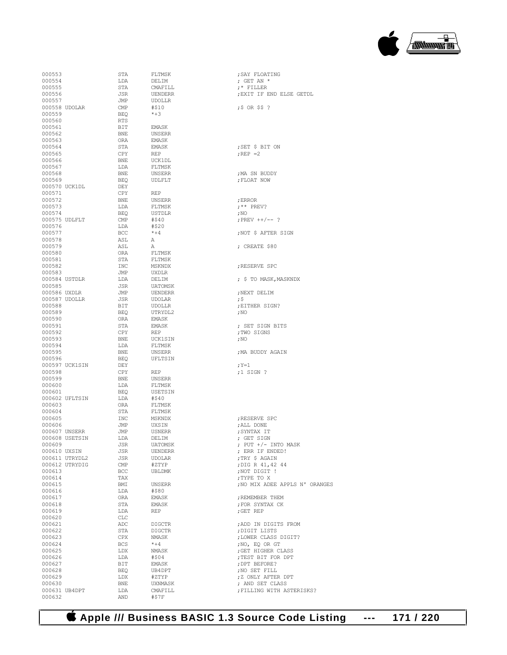### **Apple /// Business BASIC 1.3 Source Code Listing --- 171 / 220**

| 000553        |                | STA        | FLTMSK         | ; SAY FLOATING     |
|---------------|----------------|------------|----------------|--------------------|
| 000554        |                | LDA        | DELIM          | ; GET AN $*$       |
|               |                |            |                |                    |
| 000555        |                | STA        | CMAFILL        | $;$ FILLER         |
| 000556        |                | <b>JSR</b> | <b>UENDERR</b> | ; EXIT IF END      |
| 000557        |                | JMP        | <b>UDOLLR</b>  |                    |
| 000558 UDOLAR |                | CMP        | #\$10          | $;$ \$ $OR$ \$\$ ? |
| 000559        |                | <b>BEQ</b> | $*+3$          |                    |
| 000560        |                | <b>RTS</b> |                |                    |
| 000561        |                | BIT        | EMASK          |                    |
| 000562        |                | BNE        | UNSERR         |                    |
| 000563        |                | ORA        | EMASK          |                    |
| 000564        |                | STA        | EMASK          | ; SET \$ BIT ON    |
|               |                | CPY        | <b>REP</b>     | $:$ REP $=2$       |
| 000565        |                |            |                |                    |
| 000566        |                | <b>BNE</b> | UCK1DL         |                    |
| 000567        |                | LDA        | FLTMSK         |                    |
| 000568        |                | <b>BNE</b> | UNSERR         | ; MA SN BUDDY      |
| 000569        |                | BEQ        | UDLFLT         | ; FLOAT NOW        |
| 000570 UCK1DL |                | DEY        |                |                    |
| 000571        |                | CPY        | <b>REP</b>     |                    |
| 000572        |                | <b>BNE</b> | UNSERR         | ; ERROR            |
| 000573        |                | LDA        | FLTMSK         | $;$ ** PREV?       |
| 000574        |                | BEQ        | <b>USTDLR</b>  | ,100               |
|               |                |            |                |                    |
| 000575 UDLFLT |                | CMP        | #\$40          | ; PREV ++/-- ?     |
| 000576        |                | LDA        | #\$20          |                    |
| 000577        |                | BCC        | $*+4$          | NOT \$ AFTER,      |
| 000578        |                | ASL        | Α              |                    |
| 000579        |                | ASL        | А              | ; CREATE \$80      |
| 000580        |                | <b>ORA</b> | FLTMSK         |                    |
| 000581        |                | STA        | FLTMSK         |                    |
| 000582        |                | INC        | MSKNDX         | ; RESERVE SPC      |
| 000583        |                | <b>JMP</b> | UXDLR          |                    |
|               |                |            |                | ; \$ TO MASK, M    |
| 000584 USTDLR |                | LDA        | DELIM          |                    |
| 000585        |                | JSR        | <b>UATOMSK</b> |                    |
| 000586 UXDLR  |                | JMP        | <b>UENDERR</b> | NEXT DELIM,        |
| 000587 UDOLLR |                | <b>JSR</b> | <b>UDOLAR</b>  | ;\$                |
| 000588        |                | BIT        | <b>UDOLLR</b>  | ; EITHER SIGN?     |
| 000589        |                | <b>BEQ</b> | UTRYDL2        | ; NO               |
| 000590        |                | <b>ORA</b> | EMASK          |                    |
| 000591        |                | STA        | EMASK          | ; SET SIGN BI      |
| 000592        |                | CPY        | REP            | ;TWO SIGNS         |
| 000593        |                | <b>BNE</b> | UCK1SIN        | $;$ NO             |
|               |                |            |                |                    |
| 000594        |                | LDA        | FLTMSK         |                    |
| 000595        |                | <b>BNE</b> | <b>UNSERR</b>  | ; MA BUDDY AGA     |
| 000596        |                | BEQ        | UFLTSIN        |                    |
|               | 000597 UCK1SIN | DEY        |                | ; Y=1              |
| 000598        |                | CPY        | <b>REP</b>     | $;1$ SIGN ?        |
| 000599        |                | <b>BNE</b> | UNSERR         |                    |
| 000600        |                | LDA        | FLTMSK         |                    |
| 000601        |                | BEQ        | USETSIN        |                    |
|               | 000602 UFLTSIN | LDA        | #\$40          |                    |
| 000603        |                | <b>ORA</b> | FLTMSK         |                    |
| 000604        |                | STA        | FLTMSK         |                    |
|               |                |            |                |                    |
| 000605        |                | INC        | MSKNDX         | ; RESERVE SPC      |
| 000606        |                | JMP        | UXSIN          | ; ALL DONE         |
| 000607 UNSERR |                | JMP        | <b>USNERR</b>  | ; SYNTAX IT        |
|               | 000608 USETSIN | LDA        | DELIM          | ; GET SIGN         |
| 000609        |                | JSR        | <b>UATOMSK</b> | ; PUT +/- INT      |
|               | 000610 UXSIN   | JSR        | UENDERR        | ; ERR IF ENDE      |
|               | 000611 UTRYDL2 | JSR        | UDOLAR         | ; TRY \$ AGAIN     |
|               | 000612 UTRYDIG | CMP        | #ZTYP          | ; DIG R 41, 42     |
| 000613        |                | BCC        | <b>UBLDMK</b>  | ; NOT DIGIT !      |
| 000614        |                | TAX        |                | ; TYPE TO X        |
|               |                |            |                |                    |
| 000615        |                | BMI        | UNSERR         | ; NO MIX ADEE      |
| 000616        |                | LDA        | #\$80          |                    |
| 000617        |                | ORA        | EMASK          | ; REMEMBER THE     |
| 000618        |                | STA        | EMASK          | ; FOR SYNTAX C     |
| 000619        |                | LDA        | <b>REP</b>     | ;GET REP           |
| 000620        |                | CLC        |                |                    |
| 000621        |                | ADC        | DIGCTR         | ; ADD IN DIGIT     |
| 000622        |                | STA        | DIGCTR         | DIGIT LISTS        |
| 000623        |                | CPX        | NMASK          | ;LOWER CLASS       |
| 000624        |                | BCS        | $* + 4$        | ;NO, EO OR GT      |
| 000625        |                | LDX        | NMASK          |                    |
|               |                |            |                | ; GET HIGHER C     |
| 000626        |                | LDA        | #\$04          | ; TEST BIT FOR     |
| 000627        |                | BIT        | EMASK          | ; DPT BEFORE?      |
| 000628        |                | BEQ        | UB4DPT         | ;NO SET FILL       |
| 000629        |                | LDX        | #ZTYP          | ; Z ONLY AFTER     |
| 000630        |                | BNE        | UXNMASK        | ; AND SET CLA      |
| 000631 UB4DPT |                | LDA        | CMAFILL        | ; FILLING WITH     |
| 000632        |                | AND        | # \$ 7 F       |                    |

 $*+4$  ; NOT \$ AFTER SIGN  $A$ ; RESERVE SPC ; \$ TO MASK, MASKNDX EMASK ; SET SIGN BITS REP ; TWO SIGNS ;TWO SIGNS<br>;NO ; MA BUDDY AGAIN 000605 INC MSKNDX ;RESERVE SPC 000609 JSR UATOMSK ; PUT +/- INTO MASK 000610 UXSIN JSR UENDERR ; ERR IF ENDED! 000612 UTRYDIG CMP #ZTYP ;DIG R 41,42 44 ;NOT DIGIT ! ; NO MIX ADEE APPLS N' ORANGES EMASK ;REMEMBER THEM ;REMEMBER THEM ; FOR SYNTAX CK EMASK ;FOR SYNTAX CK REP ; GET REP ;GET REP DIGCTR ;ADD IN DIGITS FROM DIGCTR ;DIGIT LISTS 000623 CPX NMASK ;LOWER CLASS DIGIT?  $*+4$  ;NO, EQ OR GT NMASK ;GET HIGHER CI 000625 VALUE ; NEXT HIGHER CLASS #\$04 FEST BIT FOR DPT %#\$04 <br/> $\begin{array}{lll} \texttt{?EST BIT FOR DPT} \\ \texttt{EMASK} \end{array}$ 000629 LDX #ZTYP ;Z ONLY AFTER DPT UXNMASK ; AND SET CLASS<br>
CMAFILL : FILLING WITH AS OMAFILL ; FILLING WITH ASTERISKS?<br>#37F

; EXIT IF END ELSE GETDL

一日 /<del>1. 2000 2000</del>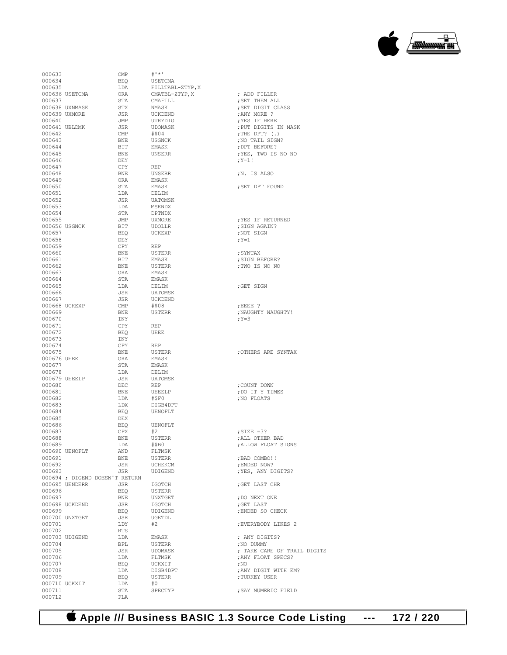| 000633      |                | $\text{CMP}$                   | $# I * I$        |                             |
|-------------|----------------|--------------------------------|------------------|-----------------------------|
| 000634      |                | BEQ                            | USETCMA          |                             |
| 000635      |                | LDA                            | FILLTABL-ZTYP, X |                             |
|             |                | ORA                            |                  |                             |
|             | 000636 USETCMA |                                | CMATBL-ZTYP,X    | ; ADD FILLER                |
| 000637      |                | STA                            | CMAFILL          | ; SET THEM ALL              |
|             | 000638 UXNMASK | STX                            | NMASK            | ; SET DIGIT CLASS           |
|             | 000639 UXMORE  | JSR                            | UCKDEND          | ; ANY MORE ?                |
| 000640      |                | JMP                            | UTRYDIG          |                             |
|             |                |                                |                  | XES IF HERE                 |
|             | 000641 UBLDMK  | JSR                            | UDOMASK          | ; PUT DIGITS IN MASK        |
| 000642      |                | CMP                            | #\$04            | ; THE DPT? $(.)$            |
| 000643      |                | BNE                            | USGNCK           | ; NO TAIL SIGN?             |
|             |                |                                |                  |                             |
| 000644      |                | BIT                            | EMASK            | ; DPT BEFORE?               |
| 000645      |                | BNE                            | UNSERR           | ; YES, TWO IS NO NO         |
| 000646      |                | DEY                            |                  | $; Y = 1 !$                 |
| 000647      |                | CPY                            | REP              |                             |
|             |                |                                |                  |                             |
| 000648      |                | BNE                            | UNSERR           | N. IS ALSO                  |
| 000649      |                | ORA                            | EMASK            |                             |
| 000650      |                | STA                            | EMASK            | ; SET DPT FOUND             |
| 000651      |                |                                |                  |                             |
|             |                | LDA                            | DELIM            |                             |
| 000652      |                | JSR                            | UATOMSK          |                             |
| 000653      |                | LDA                            | MSKNDX           |                             |
| 000654      |                | STA                            | DPTNDX           |                             |
|             |                |                                |                  |                             |
| 000655      |                | JMP                            | UXMORE           | ; YES IF RETURNED           |
|             | 000656 USGNCK  | BIT                            | UDOLLR           | ; SIGN AGAIN?               |
| 000657      |                | BEQ                            | UCKEXP           | ;NOT SIGN                   |
|             |                |                                |                  |                             |
| 000658      |                | DEY                            |                  | $; Y = 1$                   |
| 000659      |                | CPY                            | REP              |                             |
| 000660      |                | BNE                            | USTERR           | ; SYNTAX                    |
|             |                |                                |                  |                             |
| 000661      |                | BIT                            | EMASK            | ; SIGN BEFORE?              |
| 000662      |                | <b>BNE</b>                     | USTERR           | ; TWO IS NO NO              |
| 000663      |                | ORA                            | EMASK            |                             |
| 000664      |                |                                |                  |                             |
|             |                | STA                            | EMASK            |                             |
| 000665      |                | LDA                            | DELIM            | ;GET SIGN                   |
| 000666      |                | JSR                            | UATOMSK          |                             |
| 000667      |                | JSR                            | UCKDEND          |                             |
|             |                |                                |                  |                             |
|             | 000668 UCKEXP  | $\mathbb{CMP}$                 | #\$08            | $EEEE$ ?                    |
| 000669      |                | BNE                            | USTERR           | ; NAUGHTY NAUGHTY!          |
| 000670      |                | INY                            |                  | $;Y=3$                      |
|             |                |                                |                  |                             |
| 000671      |                | CPY                            | REP              |                             |
| 000672      |                | BEQ                            | UEEE             |                             |
| 000673      |                | INY                            |                  |                             |
|             |                |                                |                  |                             |
| 000674      |                | CPY                            | REP              |                             |
| 000675      |                | <b>BNE</b>                     | USTERR           | ; OTHERS ARE SYNTAX         |
| 000676 UEEE |                | ORA                            | EMASK            |                             |
| 000677      |                | STA                            | EMASK            |                             |
|             |                |                                |                  |                             |
| 000678      |                | LDA                            | DELIM            |                             |
|             | 000679 UEEELP  | JSR                            | UATOMSK          |                             |
| 000680      |                | DEC                            | REP              | ; COUNT DOWN                |
| 000681      |                |                                |                  | ;DO IT Y TIMES              |
|             |                | BNE                            | UEEELP           |                             |
| 000682      |                | LDA                            | #\$FO            | ; NO FLOATS                 |
| 000683      |                | LDX                            | DIGB4DPT         |                             |
| 000684      |                | BEQ                            | UENOFLT          |                             |
|             |                |                                |                  |                             |
| 000685      |                | DEX                            |                  |                             |
| 000686      |                | BEQ                            | UENOFLT          |                             |
| 000687      |                | CPX                            | #2               | $:$ SIZE $=3?$              |
|             |                |                                |                  |                             |
| 000688      |                | BNE                            | USTERR           | ; ALL OTHER BAD             |
| 000689      |                | LDA                            | #\$B0            | ; ALLOW FLOAT SIGNS         |
|             | 000690 UENOFLT | AND                            | FLTMSK           |                             |
| 000691      |                | BNE                            | USTERR           | : BAD COMBO!!               |
|             |                |                                |                  |                             |
| 000692      |                | JSR                            | UCHEKCM          | ; ENDED NOW?                |
| 000693      |                | JSR                            | UDIGEND          | ; YES, ANY DIGITS?          |
|             |                | 000694 ; DIGEND DOESN'T RETURN |                  |                             |
|             | 000695 UENDERR | JSR                            | IGOTCH           | ;GET LAST CHR               |
|             |                |                                |                  |                             |
| 000696      |                | BEQ                            | <b>USTERR</b>    |                             |
| 000697      |                | BNE                            | UNXTGET          | ; DO NEXT ONE               |
|             | 000698 UCKDEND | JSR                            | IGOTCH           | ;GET LAST                   |
| 000699      |                | BEQ                            |                  | ; ENDED SO CHECK            |
|             |                |                                | UDIGEND          |                             |
|             | 000700 UNXTGET | JSR                            | UGETDL           |                             |
| 000701      |                | LDY                            | #2               | ; EVERYBODY LIKES 2         |
| 000702      |                | RTS                            |                  |                             |
|             |                |                                |                  |                             |
|             | 000703 UDIGEND | LDA                            | EMASK            | ; ANY DIGITS?               |
| 000704      |                | BPL                            | USTERR           | ; NO DUMMY                  |
| 000705      |                | JSR                            | UDOMASK          | ; TAKE CARE OF TRAIL DIGITS |
|             |                |                                |                  |                             |
| 000706      |                | LDA                            | FLTMSK           | ; ANY FLOAT SPECS?          |
| 000707      |                | BEQ                            | UCKXIT           | ,100                        |
| 000708      |                | LDA                            | DIGB4DPT         | ; ANY DIGIT WITH EM?        |
|             |                |                                |                  |                             |
| 000709      |                | BEO                            | <b>USTERR</b>    | ; TURKEY USER               |
|             | 000710 UCKXIT  | LDA                            | #0               |                             |
| 000711      |                | STA                            | SPECTYP          | ; SAY NUMERIC FIELD         |
| 000712      |                | PLA                            |                  |                             |
|             |                |                                |                  |                             |

| ; ADD FILLER<br>: SET THEM ALL<br>; SET DIGIT CLASS<br>ANY MORE ?<br>; YES IF HERE<br>; PUT DIGITS IN MASK<br>; THE DPT? (.)<br>; NO TAIL SIGN?<br>; DPT BEFORE?<br>; YES, TWO IS NO NO<br>$; Y = 1 !$<br>;N. IS ALSO<br>; SET DPT FOUND |  |
|------------------------------------------------------------------------------------------------------------------------------------------------------------------------------------------------------------------------------------------|--|
| ; YES IF RETURNED<br>; SIGN AGAIN?<br>;NOT SIGN<br>; $Y=1$<br>; SYNTAX<br>; SIGN BEFORE?<br>; TWO IS NO NO                                                                                                                               |  |
| ;GET SIGN                                                                                                                                                                                                                                |  |
| ; EEEE ?<br>; NAUGHTY NAUGHTY !<br>$; Y = 3$                                                                                                                                                                                             |  |
| ; OTHERS ARE SYNTAX                                                                                                                                                                                                                      |  |
| ; COUNT DOWN<br>; DO IT Y TIMES<br>; NO FLOATS                                                                                                                                                                                           |  |
| $;$ SIZE =3?<br>; ALL OTHER BAD<br>; ALLOW FLOAT SIGNS                                                                                                                                                                                   |  |
| : BAD COMBO!!<br>; ENDED NOW?<br>; YES, ANY DIGITS?                                                                                                                                                                                      |  |
| ; GET LAST CHR                                                                                                                                                                                                                           |  |
| ; DO NEXT ONE<br>; GET LAST<br>; ENDED SO CHECK                                                                                                                                                                                          |  |
| ; EVERYBODY LIKES 2                                                                                                                                                                                                                      |  |
| ; ANY DIGITS?<br>; NO DUMMY<br>; TAKE CARE OF TRAIL DIGITS<br>; ANY FLOAT SPECS?<br>; NO<br>; ANY DIGIT WITH EM?<br>; TURKEY USER                                                                                                        |  |
| ; SAY NUMERIC FIELD                                                                                                                                                                                                                      |  |

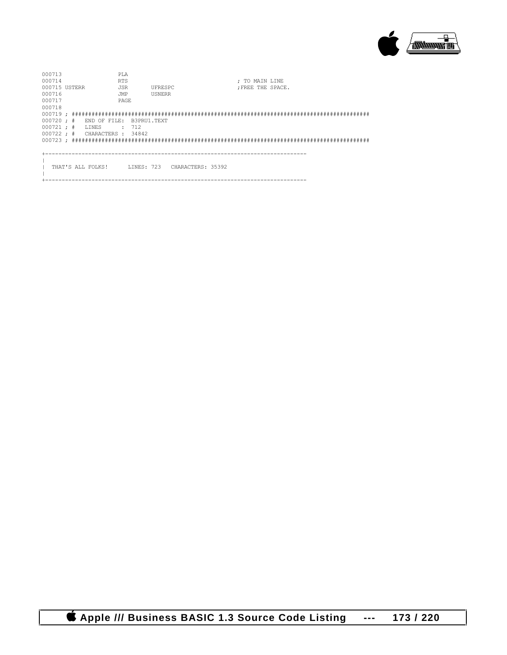

| 000713<br>000714<br>000715 USTERR<br>000716<br>000717                 |  |                       | PT.A<br><b>RTS</b><br><b>JSR</b><br>JMP<br>PAGE. |                               | UFRESPC<br>USNERR |                              |  |  | : TO MAIN LINE | : FREE THE SPACE. |  |  |  |
|-----------------------------------------------------------------------|--|-----------------------|--------------------------------------------------|-------------------------------|-------------------|------------------------------|--|--|----------------|-------------------|--|--|--|
| 000718<br>$000720 :$ #<br>$000721 :$ #<br>$000722 : # \tCHARACTERS :$ |  | END OF FILE:<br>LINES |                                                  | B3PRU1.TEXT<br>: 712<br>34842 |                   |                              |  |  |                |                   |  |  |  |
|                                                                       |  | THAT'S ALL FOLKS!     |                                                  |                               |                   | LINES: 723 CHARACTERS: 35392 |  |  |                |                   |  |  |  |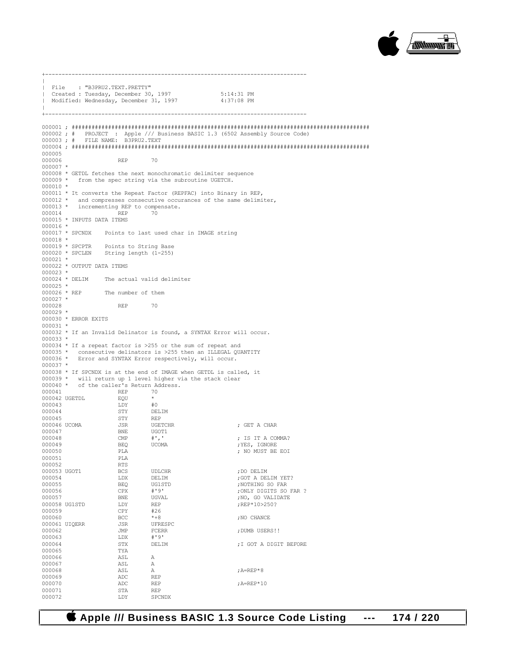

+-------------------------------------------------------------------------------  $\|$ | File : "B3PRU2.TEXT.PRETTY" | Created : Tuesday, December 30, 1997 5:14:31 PM Modified: Wednesday, December 31, 1997  $\|$ +------------------------------------------------------------------------------- 000001 ; ########################################################################################## 000002 ; # PROJECT : Apple /// Business BASIC 1.3 (6502 Assembly Source Code) 000003 ; # FILE NAME: B3PRU2.TEXT 000004 ; ########################################################################################## 000005 000006 REP 70 000007 \* 000008 \* GETDL fetches the next monochromatic delimiter sequence 000009 \* from the spec string via the subroutine UGETCH. 000010 \* 000011 \* It converts the Repeat Factor (REPFAC) into Binary in REP, 000012 \* and compresses consecutive occurances of the same delimiter, 000013 \* incrementing REP to compensate.<br>000014 REP 70 000014 REP 70 000015 \* INPUTS DATA ITEMS 000016 \* 000017 \* SPCNDX Points to last used char in IMAGE string  $000018$  \*<br>000019 \* SPCPTR 000019 \* SPCPTR Points to String Base 000020 \* SPCLEN String length (1-255)  $000021$  \* 000022 \* OUTPUT DATA ITEMS 000023 \*<br>000024 \* DELIM The actual valid delimiter  $000025 *  
000026 * REP$ The number of them 000027 \* 000028 REP 70 000029 \* 000030 \* ERROR EXITS  $000031 *$ 000032 \* If an Invalid Delinator is found, a SYNTAX Error will occur. 000033 \* 000034 \* If a repeat factor is >255 or the sum of repeat and 000035 \* consecutive delinators is >255 then an ILLEGAL QUANTITY 000036 \* Error and SYNTAX Error respectively, will occur. 000037 \* 000038 \* If SPCNDX is at the end of IMAGE when GETDL is called, it 000039 \* will return up 1 level higher via the stack clear 000040 \* of the caller's Return Address. 000041 REP 70 000042 UGETDL  $\begin{array}{cc} EQU & * \\ 000043 & 1.0Y & \#0 \end{array}$ 000043 LDY #0 000044 STY DELIM 000045 000046 UCOMA JSR UGETCHR ; GET A CHAR 000047 BNE UGOT1<br>000048 CMP #',' 000048 CMP #',' ; IS IT A COMMA?<br>000049 BEO UCOMA :YES, IGNORE  $\textrm{O00049} \begin{array}{l} \textrm{BEQ} \\ \textrm{O00050} \end{array} \qquad \qquad \textrm{UCOMA} \qquad \qquad \textrm{YES, IGNORE} \\ \textrm{PLA} \qquad \qquad \textrm{YES, IGNORE} \end{array}$ PLA ; NO MUST BE EOI PLA 000051 PLA<br>000052 RTS 000052 RTS<br>000053 UGOT1 BCS 000053 UGOT1 BCS UDLCHR ;DO DELIM 000054 LDX DELIM ;GOT A DELIM YET? 000055 BEQ UG1STD ;NOTHING SO FAR 000056 CPX #'9' ;ONLY DIGITS SO FAR ? 000057 BNE UGVAL ;NO, GO VALIDATE 000058 UG1STD LDY REP ;REP\*10>250? 000059 CPY #26<br>000060 BCC \*+8  ${\tt BCC} \qquad \qquad ^{\star +8} \qquad \qquad {\tt JNO \quad CHANCE}$   ${\tt JSR} \qquad \qquad {\tt UFRESPC}$ 000061 UIQERR JSR UFRESI<br>000062 JMP FCERR JMP FCERR ;DUMB USERS!! 000063 LDX #'9'<br>000064 STX DELIM ; I GOT A DIGIT BEFORE 000065 TYA<br>000066 ASL 000066 <br>000067 ASL A 000067 000068 ASL A ;A=REP\*8 000069 ADC REP ADC REP ; A=REP\*10<br>STA REP 000071 STA<br>000072 T.DY SPCNDX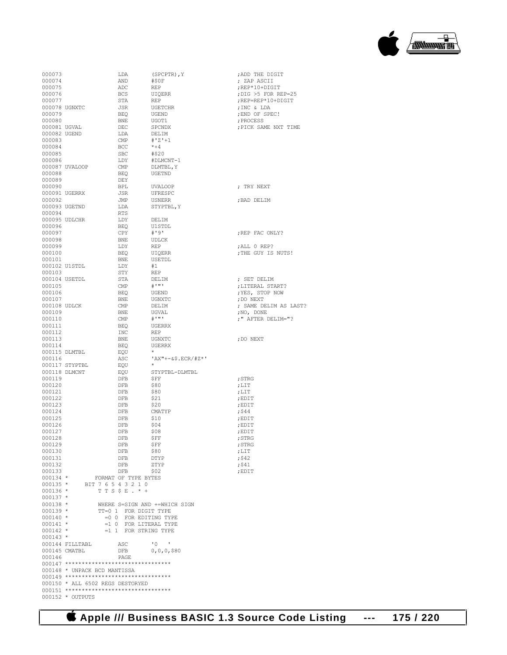| 000073        |                                          | LDA                     | $(SPCPTR)$ , $Y$              | ; ADD THE DIGIT       |
|---------------|------------------------------------------|-------------------------|-------------------------------|-----------------------|
| 000074        |                                          | AND                     | #\$0F                         | ; ZAP ASCII           |
| 000075        |                                          | ADC                     | <b>REP</b>                    | ;REP*10+DIGIT         |
| 000076        |                                          | <b>BCS</b>              | <b>UIOERR</b>                 | ; DIG >5 FOR REP=25   |
| 000077        |                                          | STA                     | <b>REP</b>                    | ;REP=REP*10+DIGIT     |
| 000078 UGNXTC |                                          | <b>JSR</b>              | <b>UGETCHR</b>                | ; INC & LDA           |
| 000079        |                                          | <b>BEQ</b>              | UGEND                         | ; END OF SPEC!        |
| 000080        |                                          | <b>BNE</b>              | UGOT1                         | : PROCESS             |
| 000081 UGVAL  |                                          | DEC                     | SPCNDX                        | ; PICK SAME NXT TIME  |
| 000082 UGEND  |                                          | LDA                     | DELIM                         |                       |
| 000083        |                                          | <b>CMP</b>              | $# 'Z ' + 1$                  |                       |
| 000084        |                                          | <b>BCC</b>              | $* + 4$                       |                       |
| 000085        |                                          | <b>SBC</b>              | #\$20                         |                       |
| 000086        |                                          |                         |                               |                       |
|               |                                          | LDY                     | #DLMCNT-1                     |                       |
|               | 000087 UVALOOP                           | <b>CMP</b>              | DLMTBL, Y                     |                       |
| 000088        |                                          | <b>BEQ</b>              | UGETND                        |                       |
| 000089        |                                          | <b>DEY</b>              |                               |                       |
| 000090        |                                          | <b>BPL</b>              | <b>UVALOOP</b>                | ; TRY NEXT            |
| 000091 UGERRX |                                          | JSR                     | UFRESPC                       |                       |
| 000092        |                                          | JMP                     | <b>USNERR</b>                 | ; BAD DELIM           |
| 000093 UGETND |                                          | LDA                     | STYPTBL, Y                    |                       |
| 000094        |                                          | <b>RTS</b>              |                               |                       |
| 000095 UDLCHR |                                          | LDY                     | DELIM                         |                       |
| 000096        |                                          | <b>BEO</b>              | U1 STDL                       |                       |
| 000097        |                                          | CPY                     | # 191                         | ; REP FAC ONLY?       |
| 000098        |                                          | <b>BNE</b>              | <b>UDLCK</b>                  |                       |
| 000099        |                                          | LDY                     | <b>REP</b>                    | ;ALL 0 REP?           |
| 000100        |                                          | <b>BEQ</b>              | UIQERR                        | ; THE GUY IS NUTS!    |
| 000101        |                                          | <b>BNE</b>              | USETDL                        |                       |
| 000102 U1STDL |                                          | LDY                     | #1                            |                       |
| 000103        |                                          | STY                     | <b>REP</b>                    |                       |
| 000104 USETDL |                                          | STA                     | DELIM                         | : SET DELIM           |
| 000105        |                                          | <b>CMP</b>              | $_{\rm \#}$ , , ,             | ;LITERAL START?       |
| 000106        |                                          | <b>BEQ</b>              | UGEND                         | ; YES, STOP NOW       |
| 000107        |                                          | <b>BNE</b>              | UGNXTC                        | :DO NEXT              |
| 000108 UDLCK  |                                          | <b>CMP</b>              | DELIM                         | ; SAME DELIM AS LAST? |
| 000109        |                                          | <b>BNE</b>              | UGVAL                         | ; NO, DONE            |
| 000110        |                                          | CMP                     | $#$ , and $*$                 | ; " AFTER DELIM="?    |
| 000111        |                                          | <b>BEO</b>              | <b>UGERRX</b>                 |                       |
| 000112        |                                          | <b>INC</b>              | <b>REP</b>                    |                       |
|               |                                          |                         |                               |                       |
| 000113        |                                          | BNE                     | UGNXTC                        | ; DO NEXT             |
| 000114        |                                          | <b>BEO</b>              | UGERRX                        |                       |
| 000115 DLMTBL |                                          | EQU                     |                               |                       |
| 000116        |                                          | ASC                     | $'AX''+-&$ \$.ECR/#Z*'        |                       |
|               | 000117 STYPTBL                           | EOU                     |                               |                       |
| 000118 DLMCNT |                                          | EQU                     | STYPTBL-DLMTBL                |                       |
| 000119        |                                          | DFB                     | \$FF                          | ; STRG                |
| 000120        |                                          | <b>DFB</b>              | \$80                          | :LT                   |
| 000121        |                                          | DFB                     | \$80                          | , LIT                 |
| 000122        |                                          | <b>DFB</b>              | \$21                          | :EDIT                 |
| 000123        |                                          | <b>DFB</b>              | \$20                          | ; EDIT                |
| 000124        |                                          | DFB                     | CMATYP                        | ; 544                 |
| 000125        |                                          | DFB                     | \$10                          | ; EDIT                |
| 000126        |                                          | <b>DFB</b>              | \$04                          | ; EDIT                |
| 000127        |                                          | <b>DFB</b>              | \$08                          | ; EDIT                |
| 000128        |                                          | DFB                     | \$FF                          | ; STRG                |
| 000129        |                                          | DFB                     | ŞFF                           | ; STRG                |
| 000130        |                                          | DFB                     | \$80                          | $;$ LIT               |
| 000131        |                                          | DFB                     | DTYP                          | $;$ \$42              |
| 000132        |                                          | DFB                     | ZTYP                          | $;$ \$41              |
| 000133        |                                          | DFB                     | \$02                          | ; EDIT                |
| $000134$ *    |                                          | FORMAT OF TYPE BYTES    |                               |                       |
| $000135 *$    | BIT 7 6 5 4 3 2 1 0                      |                         |                               |                       |
| $000136 *$    |                                          | TTS\$E. $*$ +           |                               |                       |
| $000137 *$    |                                          |                         |                               |                       |
| $000138 *$    |                                          |                         | WHERE S=SIGN AND +=WHICH SIGN |                       |
| $000139 *$    |                                          | TT=0 1 FOR DIGIT TYPE   |                               |                       |
| $000140 *$    |                                          | $=0$ 0 FOR EDITING TYPE |                               |                       |
|               |                                          |                         |                               |                       |
| $000141 *$    |                                          | $=1$ 0 FOR LITERAL TYPE |                               |                       |
| $000142 *$    |                                          | $=1$ 1 FOR STRING TYPE  |                               |                       |
| $000143 *$    |                                          |                         |                               |                       |
|               | 000144 FILLTABL                          | ASC                     | $\cdot$ 0 $\cdot$             |                       |
|               | 000145 CMATBL                            | DFB                     | $0,0,0,$ \$80                 |                       |
| 000146        |                                          | PAGE                    |                               |                       |
|               | 000147 ********************************* |                         |                               |                       |
|               | 000148 * UNPACK BCD MANTISSA             |                         |                               |                       |
|               | 000149 ********************************* |                         |                               |                       |
|               | 000150 * ALL 6502 REGS DESTORYED         |                         |                               |                       |
|               |                                          |                         |                               |                       |

000152 \* OUTPUTS

 $\begin{picture}(20,10) \put(0,0){\line(1,0){10}} \put(10,0){\line(1,0){10}} \put(10,0){\line(1,0){10}} \put(10,0){\line(1,0){10}} \put(10,0){\line(1,0){10}} \put(10,0){\line(1,0){10}} \put(10,0){\line(1,0){10}} \put(10,0){\line(1,0){10}} \put(10,0){\line(1,0){10}} \put(10,0){\line(1,0){10}} \put(10,0){\line(1,0){10}} \put(10,0){\line(1$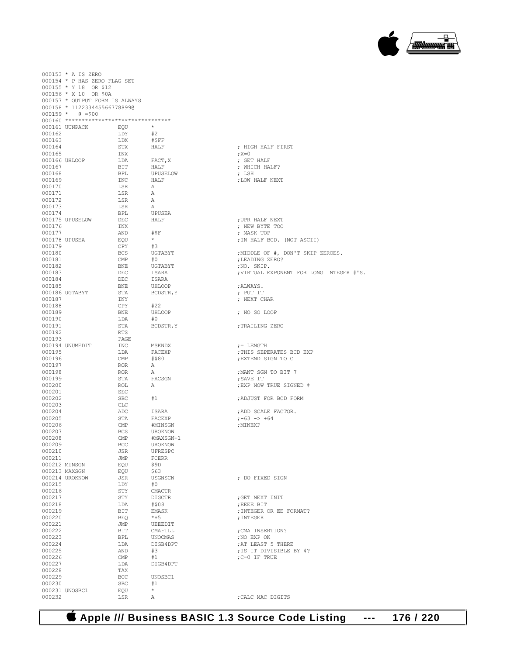### **Apple /// Business BASIC 1.3 Source Code Listing --- 176 / 220**

|                  | 000153 * A IS ZERO             |                |                  |                                         |
|------------------|--------------------------------|----------------|------------------|-----------------------------------------|
|                  | 000154 * P HAS ZERO FLAG SET   |                |                  |                                         |
|                  | 000155 * Y 18 OR \$12          |                |                  |                                         |
|                  | 000156 * X 10 OR \$0A          |                |                  |                                         |
|                  | 000157 * OUTPUT FORM IS ALWAYS |                |                  |                                         |
|                  | 000158 * 1122334455667788990   |                |                  |                                         |
|                  | $000159 * 0 = $00$             |                |                  |                                         |
|                  |                                |                |                  |                                         |
|                  | 000161 UUNPACK                 | EQU            | $\star$          |                                         |
| 000162           |                                | LDY            | #2               |                                         |
| 000163           |                                | LDX            | #SFF             |                                         |
| 000164           |                                | STX            | HALF             | ; HIGH HALF FIRST                       |
| 000165           |                                | INX            |                  | ; X=0                                   |
|                  | 000166 UHLOOP                  | LDA            | FACT, X          | ; GET HALF                              |
| 000167           |                                | BIT            | HALF             | ; WHICH HALF?                           |
| 000168           |                                | BPL            | UPUSELOW         | ; LSH                                   |
| 000169           |                                | INC            | HALF             | ; LOW HALF NEXT                         |
| 000170           |                                | LSR            | $\mathbb{A}$     |                                         |
| 000171           |                                | LSR            | Α                |                                         |
| 000172           |                                | LSR            | Α                |                                         |
| 000173           |                                | LSR            | A                |                                         |
| 000174           |                                | BPL            | UPUSEA           |                                         |
|                  | 000175 UPUSELOW                | DEC.           | HALF             | ; UPR HALF NEXT                         |
| 000176           |                                | INX            |                  | ; NEW BYTE TOO                          |
| 000177           |                                | AND            | #SF              | ; MASK TOP                              |
|                  | 000178 UPUSEA                  | EOU            | $\star$          | ; IN HALF BCD. (NOT ASCII)              |
| 000179           |                                | <b>CPY</b>     | #3               |                                         |
| 000180           |                                | <b>BCS</b>     | UGTABYT          | ;MIDDLE OF #, DON'T SKIP ZEROES.        |
| 000181           |                                | $\mathsf{CMP}$ | #0               | ;LEADING ZERO?                          |
| 000182           |                                | <b>BNE</b>     | UGTABYT          | ;NO, SKIP.                              |
| 000183           |                                | DEC            | ISARA            | ; VIRTUAL EXPONENT FOR LONG INTEG       |
| 000184           |                                | DEC.           | ISARA            |                                         |
| 000185           |                                | <b>BNE</b>     | UHLOOP           | ; ALWAYS.                               |
|                  | 000186 UGTABYT                 | STA            | BCDSTR, Y        | ; PUT IT                                |
| 000187           |                                | INY            |                  | ; NEXT CHAR                             |
| 000188           |                                | CPY            | #22              |                                         |
| 000189<br>000190 |                                | BNE            | UHLOOP<br>#0     | ; NO SO LOOP                            |
| 000191           |                                | LDA<br>STA     | BCDSTR, Y        |                                         |
| 000192           |                                | <b>RTS</b>     |                  | ; TRAILING ZERO                         |
| 000193           |                                | PAGE           |                  |                                         |
|                  | 000194 UNUMEDIT                | INC            |                  |                                         |
| 000195           |                                | LDA            | MSKNDX<br>FACEXP | $:=$ LENGTH<br>; THIS SEPERATES BCD EXP |
| 000196           |                                | CMP            | #\$80            | ; EXTEND SIGN TO C                      |
| 000197           |                                | <b>ROR</b>     | A                |                                         |
| 000198           |                                | <b>ROR</b>     | А                | ; MANT SGN TO BIT 7                     |
| 000199           |                                | STA            | FACSGN           | ; SAVE IT                               |
| 000200           |                                | <b>ROL</b>     | A                | ; EXP NOW TRUE SIGNED #                 |
| 000201           |                                | SEC            |                  |                                         |
| 000202           |                                | <b>SBC</b>     | #1               | : ADJUST FOR BCD FORM                   |
| 000203           |                                | <b>CLC</b>     |                  |                                         |
| 000204           |                                | ADC            | ISARA            | ; ADD SCALE FACTOR.                     |
| 000205           |                                | STA            | FACEXP           | $: -63$ $->$ +64                        |
| 000206           |                                | CMP            | #MINSGN          | ; MINEXP                                |
| 000207           |                                | <b>BCS</b>     | UROKNOW          |                                         |
| 000208           |                                | CMP            | #MAXSGN+1        |                                         |
| 000209           |                                | BCC            | UROKNOW          |                                         |
| 000210           |                                | JSR            | UFRESPC          |                                         |
| 000211           |                                | JMP            | <b>FCERR</b>     |                                         |
|                  | 000212 MINSGN                  | EQU            | \$9D             |                                         |
|                  | 000213 MAXSGN                  | EQU            | \$63             |                                         |
|                  | 000214 UROKNOW                 | JSR            | <b>USGNSCN</b>   | ; DO FIXED SIGN                         |
| 000215           |                                | LDY            | #0               |                                         |
| 000216           |                                | STY            | <b>CMACTR</b>    |                                         |
| 000217           |                                | STY            | <b>DIGCTR</b>    | ; GET NEXT INIT                         |
| 000218           |                                | LDA            | #\$08            | ; EEEE BIT                              |
| 000219           |                                | BIT            | EMASK            | ; INTEGER OR EE FORMAT?                 |
| 000220           |                                | BEO            | $*+5$            | ; INTEGER                               |
| 000221           |                                | JMP            | UEEEDIT          |                                         |
| 000222           |                                | BIT            | CMAFILL          | ; CMA INSERTION?                        |
| 000223           |                                | BPL            | UNOCMAS          | ; NO EXP OK                             |
| 000224           |                                | LDA            | DIGB4DPT         | ; AT LEAST 5 THERE                      |
| 000225           |                                | AND            | #3               | ; IS IT DIVISIBLE BY 4?                 |
| 000226           |                                | $\mathsf{CMP}$ | #1               | $; C = 0$ IF TRUE                       |
| 000227           |                                | LDA            | DIGB4DPT         |                                         |
| 000228           |                                | TAX            |                  |                                         |
| 000229           |                                | BCC            | UNOSBC1          |                                         |
| 000230           |                                | <b>SBC</b>     | #1               |                                         |
|                  | 000231 UNOSBC1                 | EQU            | $\star$          |                                         |
| 000232           |                                | LSR            | Α                | ; CALC MAC DIGITS                       |

; HIGH HALF FIRST<br>;X=0 ...<br>GET HALF WHICH HALF? ; LSH<br>;LOW HALF NEXT UPR HALF NEXT NEW BYTE TOO MASK TOP IN HALF BCD. (NOT ASCII) NO, SKIP. VIRTUAL EXPONENT FOR LONG INTEGER #'S. NANAYS.<br>PUT IT NEXT CHAR NO SO LOOP DONG ZERO := LENGTH .<br>THIS SEPERATES BCD EXP .<br>EXTEND SIGN TO C EXP NOW TRUE SIGNED # .<br>Notice to be separations: DO FIXED SIGN OCT NEXT INIT EEEE BIT INTEGER OR EE FORMAT? : INTEGER CMA INSERTION? NO EXP OK AT LEAST 5 THERE

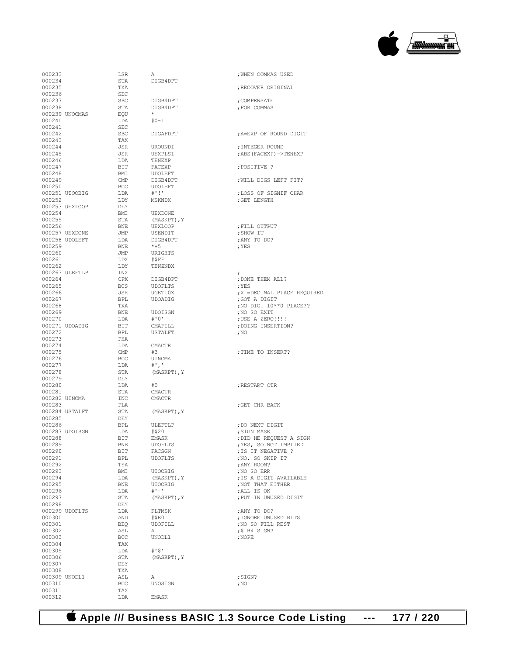

| 000233 |                | LSR                         | A              | ; WHEN COMMAS USED   |
|--------|----------------|-----------------------------|----------------|----------------------|
| 000234 |                | STA                         | DIGB4DPT       |                      |
| 000235 |                | TXA                         |                | ; RECOVER ORIGINAL   |
| 000236 |                | <b>SEC</b>                  |                |                      |
|        |                |                             |                |                      |
| 000237 |                | SBC                         | DIGB4DPT       | ; COMPENSATE         |
| 000238 |                | STA                         | DIGB4DPT       | ; FOR COMMAS         |
|        | 000239 UNOCMAS | EQU                         |                |                      |
| 000240 |                | LDA                         | $#0 - 1$       |                      |
| 000241 |                | SEC                         |                |                      |
| 000242 |                | <b>SBC</b>                  | DIGAFDPT       | ; A=EXP OF ROUND D   |
|        |                |                             |                |                      |
| 000243 |                | TAX                         |                |                      |
| 000244 |                | JSR                         | UROUNDI        | ; INTEGER ROUND      |
| 000245 |                | JSR                         | UEXPLS1        | ; ABS (FACEXP) ->TEN |
| 000246 |                | LDA                         | TENEXP         |                      |
|        |                |                             |                |                      |
| 000247 |                | BIT                         | FACEXP         | :POSITIVE ?          |
| 000248 |                | BMI                         | UDOLEFT        |                      |
| 000249 |                | CMP                         | DIGB4DPT       | ; WILL DIGS LEFT F   |
| 000250 |                | BCC                         | UDOLEFT        |                      |
|        | 000251 UTOOBIG | LDA                         | # 111          | ; LOSS OF SIGNIF C   |
|        |                |                             |                |                      |
| 000252 |                | LDY                         | MSKNDX         | ; GET LENGTH         |
|        | 000253 UEXLOOP | DEY                         |                |                      |
| 000254 |                | BMI                         | <b>UEXDONE</b> |                      |
| 000255 |                | STA                         | (MASKPT), Y    |                      |
| 000256 |                | BNE                         | <b>UEXLOOP</b> | ; FILL OUTPUT        |
|        |                |                             |                |                      |
|        | 000257 UEXDONE | JMP                         | USENDIT        | ; SHOW IT            |
|        | 000258 UDOLEFT | LDA                         | DIGB4DPT       | ; ANY TO DO?         |
| 000259 |                | BNE                         | $*+5$          | ; YES                |
| 000260 |                | JMP                         | URIGHTS        |                      |
|        |                | LDX                         |                |                      |
| 000261 |                |                             | #\$FF          |                      |
| 000262 |                | LDY                         | TENZNDX        |                      |
|        | 000263 ULEFTLP | INX                         |                | $\cdot$              |
| 000264 |                | CPX                         | DIGB4DPT       | ; DONE THEM ALL?     |
| 000265 |                | BCS                         | <b>UDOFLTS</b> | : YES                |
|        |                | JSR                         |                | : X = DECIMAL PLACE  |
| 000266 |                |                             | UGET10X        |                      |
| 000267 |                | BPL                         | UDOADIG        | ;GOT A DIGIT         |
| 000268 |                | TXA                         |                | ; NO DIG. 10**0 PL   |
| 000269 |                | BNE                         | UDOISGN        | ;NO SO EXIT          |
| 000270 |                | LDA                         | #'0'           | ; USE A ZERO!!!!     |
|        |                |                             |                |                      |
|        | 000271 UDOADIG | BIT                         | CMAFILL        | ; DOING INSERTION?   |
| 000272 |                | BPL                         | USTALFT        | $;$ NO               |
| 000273 |                | PHA                         |                |                      |
| 000274 |                | LDA                         | <b>CMACTR</b>  |                      |
| 000275 |                | $\ensuremath{\mathrm{CMP}}$ | #3             | ; TIME TO INSERT?    |
|        |                |                             |                |                      |
| 000276 |                | BCC                         | UINCMA         |                      |
| 000277 |                | LDA                         | $^{\#}$ ', '   |                      |
| 000278 |                | STA                         | (MASKPT), Y    |                      |
| 000279 |                | DEY                         |                |                      |
| 000280 |                | LDA                         | #0             | ; RESTART CTR        |
|        |                |                             |                |                      |
| 000281 |                | STA                         | <b>CMACTR</b>  |                      |
|        | 000282 UINCMA  | INC                         | <b>CMACTR</b>  |                      |
| 000283 |                | PLA                         |                | ; GET CHR BACK       |
|        | 000284 USTALFT | STA                         | (MASKPT), Y    |                      |
| 000285 |                | DEY                         |                |                      |
|        |                |                             |                |                      |
| 000286 |                | BPL                         | ULEFTLP        | ; DO NEXT DIGIT      |
|        | 000287 UDOISGN | LDA                         | #\$20          | ; SIGN MASK          |
| 000288 |                | BIT                         | <b>EMASK</b>   | ; DID HE REQUEST A   |
| 000289 |                | <b>BNE</b>                  | UDOFLTS        | ; YES, SO NOT IMPL   |
| 000290 |                | BIT                         | FACSGN         | ; IS IT NEGATIVE ?   |
|        |                |                             |                |                      |
| 000291 |                | BPL                         | <b>UDOFLTS</b> | ;NO, SO SKIP IT      |
| 000292 |                | TYA                         |                | ; ANY ROOM?          |
| 000293 |                | BMI                         | <b>UTOOBIG</b> | ; NO SO ERR          |
| 000294 |                | LDA                         | (MASKPT), Y    | ; IS A DIGIT AVAIL   |
| 000295 |                | BNE                         | <b>UTOOBIG</b> | , NOT THAT EITHER    |
|        |                |                             |                |                      |
| 000296 |                | LDA                         | $# 1 - 1$      | ;ALL IS OK           |
| 000297 |                | STA                         | (MASKPT), Y    | ; PUT IN UNUSED DI   |
| 000298 |                | DEY                         |                |                      |
|        | 000299 UDOFLTS | LDA                         | FLTMSK         | ; ANY TO DO?         |
| 000300 |                | AND                         | #SEO           | ; IGNORE UNUSED BI'  |
|        |                |                             |                |                      |
| 000301 |                | BEQ                         | UDOFILL        | ; NO SO FILL REST    |
| 000302 |                | ASL                         | А              | $;$ $$$ B4 SIGN?     |
| 000303 |                | <b>BCC</b>                  | UNODL1         | ; NOPE               |
| 000304 |                | TAX                         |                |                      |
|        |                |                             | $# S$ '        |                      |
| 000305 |                | LDA                         |                |                      |
| 000306 |                | STA                         | (MASKPT), Y    |                      |
| 000307 |                | DEY                         |                |                      |
| 000308 |                | TXA                         |                |                      |
|        | 000309 UNODL1  | ASL                         | Α              | ; SIGN?              |
|        |                |                             |                |                      |
| 000310 |                | BCC                         | UNOSIGN        | ; NO                 |
| 000311 |                | TAX                         |                |                      |
| 000312 |                | LDA                         | EMASK          |                      |

| DIGB4DPT                                                                                              |
|-------------------------------------------------------------------------------------------------------|
| DIGB4DPT<br>DIGB4DPT                                                                                  |
| $#0 - 1$                                                                                              |
| DIGAFDPT                                                                                              |
| UROUNDI<br>UEXPLS1<br>TENEXP<br>FACEXP<br><b>UDOLEFT</b><br>DIGB4DPT<br>UDOLEFT<br># 1!<br>MSKNDX     |
| UEXDONE<br>(MASKPT), Y<br><b>UEXLOOP</b><br>USENDIT<br>DIGB4DPT<br>*+5<br>URIGHTS<br>#\$FF<br>TENZNDX |
| DIGB4DPT<br>UDOFLTS<br>UGET10X<br>UDOADIG                                                             |
| UDOISGN<br># ' 0'<br>CMAFILL<br><b>USTALFT</b>                                                        |
| CMACTR<br>#3<br>UINCMA<br>$^{\#}$ .<br>ı<br>(MASKPT), Y                                               |
| #0<br>CMACTR<br>CMACTR                                                                                |
| (MASKPT), Y                                                                                           |
| ULEFTLP<br>#\$20<br><b>EMASK</b><br>UDOFLTS<br>FACSGN                                                 |
| UDOFLTS                                                                                               |
| UTOOBIG<br>(MASKPT), Y<br>UTOOBIG<br>$# -$<br>(MASKPT), Y                                             |
| FLTMSK<br>#\$E0<br>UDOFILL<br>Α<br>UNODL1                                                             |
| #'\$'<br>(MASKPT), Y                                                                                  |
| Α<br>UNOSIGN                                                                                          |

| 000234           | STA               | DIGB4DPT               |                              |
|------------------|-------------------|------------------------|------------------------------|
| 000235           | TXA               |                        | ; RECOVER ORIGINAL           |
| 000236           | SEC               |                        |                              |
| 000237<br>000238 | <b>SBC</b><br>STA | DIGB4DPT               | ; COMPENSATE<br>; FOR COMMAS |
| 000239 UNOCMAS   | EQU               | DIGB4DPT               |                              |
| 000240           | LDA               | #0-1                   |                              |
|                  |                   |                        |                              |
| 000241<br>000242 | SEC<br><b>SBC</b> | DIGAFDPT               | ; A=EXP OF ROUND DIGIT       |
| 000243           | TAX               |                        |                              |
| 000244           | JSR               | UROUNDI                | ; INTEGER ROUND              |
| 000245           | JSR               | UEXPLS1                | ; ABS (FACEXP) ->TENEXP      |
| 000246           | LDA               | TENEXP                 |                              |
| 000247           | BIT               | FACEXP                 | ; POSITIVE ?                 |
| 000248           | BMI               | UDOLEFT                |                              |
| 000249           | CMP               | DIGB4DPT               |                              |
| 000250           | BCC               | UDOLEFT                | ; WILL DIGS LEFT FIT?        |
| 000251 UTOOBIG   | LDA               | $+$ '!'                | ; LOSS OF SIGNIF CHAR        |
| 000252           | LDY               | MSKNDX                 | ; GET LENGTH                 |
| 000253 UEXLOOP   | DEY               |                        |                              |
| 000254           | BMI               | UEXDONE                |                              |
| 000255           | STA               |                        |                              |
| 000256           | BNE               | (MASKPT), Y<br>UEXLOOP |                              |
| 000257 UEXDONE   | JMP               |                        | FILL OUTPUT                  |
|                  |                   | USENDIT                | ;SHOW IT                     |
| 000258 UDOLEFT   | LDA               | DIGB4DPT               | ; ANY TO DO?                 |
| 000259           | BNE               | *+5                    | ; YES                        |
| 000260           | JMP               | URIGHTS                |                              |
| 000261           | LDX               | #\$FF                  |                              |
| 000262           | LDY               | TENZNDX                |                              |
| 000263 ULEFTLP   | INX               |                        | ÷                            |
| 000264           | CPX               | DIGB4DPT               | ; DONE THEM ALL?             |
| 000265           | BCS               | UDOFLTS                | ; YES                        |
| 000266           | JSR               | UGET10X                | ; X = DECIMAL PLACE REQUIRED |
| 000267           | BPL               | UDOADIG                | ;GOT A DIGIT                 |
| 000268           | TXA               |                        | ; NO DIG. 10**0 PLACE??      |
| 000269           | BNE               | UDOISGN                | ;NO SO EXIT                  |
| 000270           | LDA               | #'0'                   | ; USE A ZERO!!!!             |
| 000271 UDOADIG   | BIT               | CMAFILL                | ; DOING INSERTION?           |
| 000272           | BPL               | USTALFT                | $,$ NO                       |
| 000273           | PHA               |                        |                              |
| 000274           | LDA               | CMACTR                 |                              |
| 000275           | CMP               | #3                     | ; TIME TO INSERT?            |
| 000276           | BCC               | UINCMA                 |                              |
| 000277           | LDA               | $+$ ','                |                              |
| 000278           | STA               | (MASKPT), Y            |                              |
| 000279           | DEY               |                        |                              |
| 000280           | LDA               | #0                     | ; RESTART CTR                |
| 000281           | STA               | CMACTR                 |                              |
| 000282 UINCMA    | INC               | CMACTR                 |                              |
| 000283           | PLA               |                        | ; GET CHR BACK               |
| 000284 USTALFT   | STA               | (MASKPT), Y            |                              |
| 000285           | DEY               |                        |                              |
| 000286           | BPL               | ULEFTLP                | ; DO NEXT DIGIT              |
| 000287 UDOISGN   | LDA               | #\$20                  | ; SIGN MASK                  |
| 000288           | BIT               | EMASK                  | ; DID HE REQUEST A SIGN      |
| 000289           | BNE               | UDOFLTS                | ; YES, SO NOT IMPLIED        |
| 000290           | BIT               | FACSGN                 | ; IS IT NEGATIVE ?           |
| 000291           | BPL               | UDOFLTS                | ;NO, SO SKIP IT              |
| 000292           | TYA               |                        | ; ANY ROOM?                  |
| 000293           | BMI               | UTOOBIG                | ;NO SO ERR                   |
| 000294           | LDA               | (MASKPT), Y            | ; IS A DIGIT AVAILABLE       |
| 000295           | BNE               | <b>UTOOBIG</b>         | ; NOT THAT EITHER            |
| 000296           | LDA               | $# -$                  | ;ALL IS OK                   |
| 000297           | STA               | (MASKPT), Y            | ; PUT IN UNUSED DIGIT        |
| 000298           | DEY               |                        |                              |
| 000299 UDOFLTS   | LDA               | FLTMSK                 | ; ANY TO DO?                 |
| 000300           | AND               | #\$E0                  | ; IGNORE UNUSED BITS         |
| 000301           | BEQ               | UDOFILL                | ; NO SO FILL REST            |
| 000302           | ASL               | А                      | $;$ $$$ B4 SIGN?             |
| 000303           | $_{\mathrm{BCC}}$ | UNODL1                 | ; NOPE                       |
| 000304           | TAX               |                        |                              |
| 000305           | LDA               | $# '$ \$'              |                              |
| 000306           | STA               | (MASKPT), Y            |                              |
| 000307           | DEY               |                        |                              |
| 000308           | TXA               |                        |                              |
| 000309 UNODL1    | ASL               | Α                      | ; SIGN?                      |
| 000310           | <b>BCC</b>        | UNOSIGN                | ; NO                         |

 **Apple /// Business BASIC 1.3 Source Code Listing --- 177 / 220**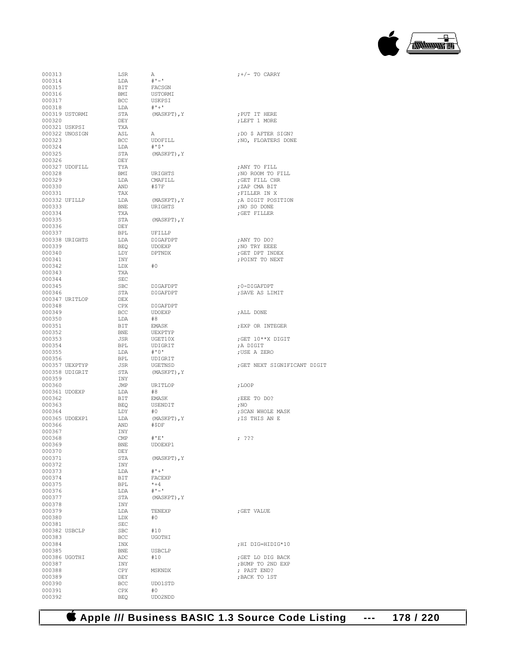

000313  $LSR$  A  $j+/-$  TO CARRY 000314  $LDA$   $\#1-1$ 000314 LDA<br>000315 BIT  $\begin{array}{cccc}\n 000315 & & & & \text{BIT} & & \text{FACSGN} \\
 000316 & & & & \text{EMI} & & \text{USTORMI}\n \end{array}$ 000316 BMI USTORMI<br>000317 BCC USKPST 000318 LDA #'+'<br>000319 USTORMI STA (MASKPT), Y 000319 USTORMI STA (MASKPT), Y ;PUT IT HERE 000320 ; LEFT 1 MORE 000321 USKPSI<br>000322 UNOSIGN 000322 UNOSIGN ASL A ;DO \$ AFTER SIGN? 000324 LDA<br>000325 STA 000326 DEY<br>000327 UDOFILL TYA 000327 UDOFILL TYA ;ANY TO FILL 000328 BMI URIGHTS ;NO ROOM TO FILL 000329 LDA CMAFILL ;GET FILL CHR 000331 TAX ;FILLER IN X 000333 BNE URIGHTS ;NO SO DONE 000334 TXA ;GET FILLER 000336 DEY<br>000337 BPL 000337 BPL UFILLP<br>000338\_URIGHTS LDA DIGAEDPT 000338 URIGHTS LDA DIGAFDPT ;ANY TO DO? 000339 BEQ UDOEXP ;NO TRY EEEE 000340 LDY DPTNDX ;GET DPT INDEX 000342 LDX<br>000343 TXA 000343 TXA<br>000344 SEC 000344 SEC<br>000345 SBC 000345 SBC DIGAFDPT ;0-DIGAFDPT 000347 URITLOP DEX<br>000348 CPX 000348 CPX DIGAFDPT 000350 LDA #8<br>000351 BIT EMASK 000351 BIT EMASK ;EXP OR INTEGER 000352 BNE UEXPTYP 000352 BNE UEXPTYP<br>000353 JSR UGET10X 000353 JSR UGET10X ;GET 10\*\*X DIGIT 000354 BPL UDIGRIT ;A DIGIT 000355  $LDA$   $\# '0'$  ; USE A ZERO 000356 BPL UDIGRIT 000356 BPL UDIGRIT 000358 UDIGRIT STA<br>000359 TNY 000359 INY<br>000360 INT 000360 JMP URITLOP ;LOOP 000361 UDOEXP LDA #8 000362 BIT EMASK ;EEE TO DO? 000363 BEQ USENDIT ;NO 000364 LDY  $#0$  ; SCAN WHOLE MASK 000365 UDOEXP1 LDA (MASKPT), Y ; IS THIS AN E 000366 AND #\$DF<br>000367 TNY 000367 INY<br>000368 CMP 000368 CMP #'E' ; ??? 000369 BNE UDOEXP1<br>000370 DEY 000370 DEY<br>000371 STA 000372 INY<br>000373 LDA 000373 LDA #'+' 000374 BIT FACE<br>000375 BPL \*+4 000375 BPL  $*+4$ <br>000376 LDA  $\sharp$ '-' 000376 LDA<br>000377 STA 000378 INY<br>000379 LDA 000380 LDX<br>000381 SEC 000381 SEC<br>000382 USBCLP SBC 000382 USBCLP <br>000383 BCC UGO! 000383 BCC UGOTHI  $\begin{array}{lllllll} 000384 && & \text{INX} \\ 000385 && & \text{BNE} && & \text{UBBCLP} \end{array} \qquad \qquad \begin{array}{lllllll} \text{HH DIG=HIDIG*10} \end{array}$ 000385 BNE USBCLP<br>000386 UGOTHI ADC #10 000386 UGOTHI ADC #10 ;GET LO DIG BACK 000387 INY ;BUMP TO 2ND EXP 000388 CPY MSKNDX ; PAST END? 000389 DEY ;BACK TO 1ST 000391 CPX #0<br>000392 BEO UDC

BCC USKPSI<br>LDA #'+'  ${\tt DEY}$  ,  ${\tt DEFT}$  1 MORE TXA STA (MASKPT), Y<br>DEY AND  $\text{array}$   $\text{5.30}$   $\text{5.30}$   $\text{5.30}$   $\text{5.30}$   $\text{5.30}$   $\text{5.30}$   $\text{5.30}$   $\text{5.30}$   $\text{5.30}$   $\text{5.30}$   $\text{5.30}$   $\text{5.30}$   $\text{5.30}$   $\text{5.30}$   $\text{5.30}$   $\text{5.30}$   $\text{5.30}$   $\text{5.30}$   $\text{5.30}$  STA (MASKPT), Y  ${\rm \bf 15~TeV} \hspace{1.5cm} {\rm \bf 7~PO\thinspace INT~\thinspace TO~NEXT}$   ${\rm \bf 15~N}$  ${\tt STA} \qquad \qquad {\tt DIGAFDPT} \qquad \qquad \qquad \qquad \, ; {\tt SAVE} \;\; {\tt AS} \;\; {\tt LIMIT}$   ${\tt DEX}$  $\begin{array}{lllllll} \text{BCC} & \text{UDOEXP} & \text{; ALL DONE} \\ \text{LDA} & \text{\#8} & \end{array}$  $\begin{array}{lll} \texttt{STA} & \qquad (\texttt{MASKPT}) \texttt{, Y} \\ \texttt{INY} & \qquad \end{array}$  $\begin{array}{lll} \texttt{STA} & \qquad (\texttt{MASKPT}) \texttt{, Y} \\ \texttt{INV} & \qquad \end{array}$  $\begin{array}{lll} \texttt{LDA} & \texttt{TENEXP} & \texttt{?GET VALUE} \\ \texttt{LDX} & \texttt{\#0} & \texttt{?}= \texttt{?} \end{array}$ BCC UDO1STD<br>CPX #0 UDO2NDD

 ${\tt BCC} \qquad \begin{array}{ll} \text{UDOFILL} \\ \text{JNO} \end{array} \qquad \begin{array}{ll} \text{FLOATES} \end{array} \text{DONE}$ 000332 UFILLP LDA (MASKPT),Y ;A DIGIT POSITION JSR UGETNSD ;GET NEXT SIGNIFICANT DIGIT STA (MASKPT), Y : IS THIS AN E

 **Apple /// Business BASIC 1.3 Source Code Listing --- 178 / 220**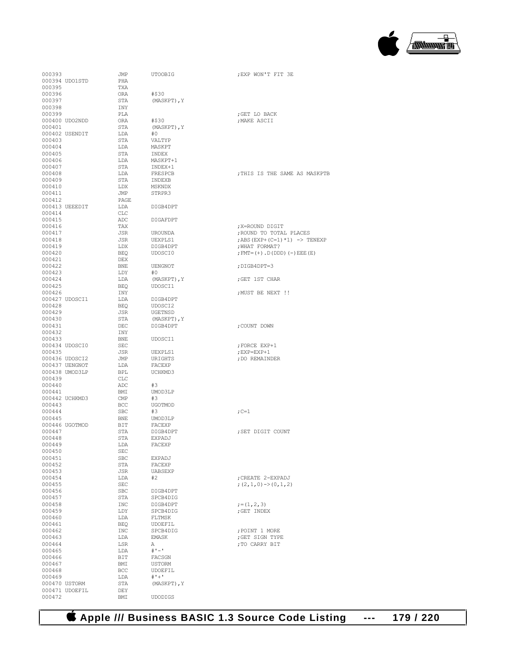

| 000393 |                | JMP        | <b>UTOOBIG</b> | ; EXP WON'T FIT             |
|--------|----------------|------------|----------------|-----------------------------|
|        | 000394 UDO1STD | PHA        |                |                             |
| 000395 |                | TXA        |                |                             |
|        |                |            |                |                             |
| 000396 |                | ORA        | #\$30          |                             |
| 000397 |                | STA        | (MASKPT), Y    |                             |
| 000398 |                | INY        |                |                             |
| 000399 |                | PLA        |                | ; GET LO BACK               |
|        | 000400 UDO2NDD | <b>ORA</b> | #\$30          | ; MAKE ASCII                |
| 000401 |                | <b>STA</b> | (MASKPT), Y    |                             |
|        | 000402 USENDIT | LDA        | #0             |                             |
| 000403 |                | STA        | VALTYP         |                             |
|        |                |            |                |                             |
| 000404 |                | LDA        | MASKPT         |                             |
| 000405 |                | STA        | INDEX          |                             |
| 000406 |                | LDA        | MASKPT+1       |                             |
| 000407 |                | STA        | INDEX+1        |                             |
| 000408 |                | LDA        | FRESPCB        | ; THIS IS THE S             |
| 000409 |                | STA        | INDEXB         |                             |
| 000410 |                | LDX        | MSKNDX         |                             |
| 000411 |                | JMP        | STRPR3         |                             |
| 000412 |                | PAGE       |                |                             |
|        |                |            |                |                             |
|        | 000413 UEEEDIT | LDA        | DIGB4DPT       |                             |
| 000414 |                | CLC        |                |                             |
| 000415 |                | ADC        | DIGAFDPT       |                             |
| 000416 |                | TAX        |                | ; X=ROUND DIGIT             |
| 000417 |                | <b>JSR</b> | <b>UROUNDA</b> | ; ROUND TO TOTA             |
| 000418 |                | JSR        | UEXPLS1        | ; ABS (EXP+ (C=1)           |
| 000419 |                | LDX        | DIGB4DPT       | ; WHAT FORMAT?              |
| 000420 |                | <b>BEO</b> | UDOSCI0        | ; $FMT = (+)$ , $D$ ( $DDD$ |
|        |                |            |                |                             |
| 000421 |                | DEX        |                |                             |
| 000422 |                | <b>BNE</b> | UENGNOT        | ; DIGB4DPT=3                |
| 000423 |                | LDY        | #0             |                             |
| 000424 |                | LDA        | (MASKPT), Y    | ; GET 1ST CHAR              |
| 000425 |                | <b>BEQ</b> | UDOSCI1        |                             |
| 000426 |                | INY        |                | ; MUST BE NEXT              |
|        | 000427 UDOSCI1 | LDA        | DIGB4DPT       |                             |
| 000428 |                | <b>BEQ</b> | UDOSCI2        |                             |
| 000429 |                | JSR        | UGETNSD        |                             |
|        |                |            |                |                             |
| 000430 |                | STA        | (MASKPT), Y    |                             |
| 000431 |                | DEC        | DIGB4DPT       | ; COUNT DOWN                |
| 000432 |                | INY        |                |                             |
| 000433 |                | <b>BNE</b> | UDOSCI1        |                             |
|        | 000434 UDOSCI0 | SEC        |                | FORCE EXP+1;                |
| 000435 |                | JSR        | UEXPLS1        | ; EXP=EXP+1                 |
|        | 000436 UDOSCI2 | JMP        | URIGHTS        | ; DO REMAINDER              |
|        | 000437 UENGNOT | LDA        | FACEXP         |                             |
|        |                |            |                |                             |
|        | 000438 UMOD3LP | BPL        | UCHKMD3        |                             |
| 000439 |                | <b>CLC</b> |                |                             |
| 000440 |                | ADC        | #3             |                             |
| 000441 |                | BMI        | UMOD3LP        |                             |
|        | 000442 UCHKMD3 | CMP        | #3             |                             |
| 000443 |                | BCC        | UGOTMOD        |                             |
| 000444 |                | <b>SBC</b> | #3             | $;C=1$                      |
| 000445 |                | BNE        | UMOD3LP        |                             |
|        | 000446 UGOTMOD | BIT        | FACEXP         |                             |
|        |                |            |                |                             |
| 000447 |                | STA        | DIGB4DPT       | ; SET DIGIT COU             |
| 000448 |                | STA        | EXPADJ         |                             |
| 000449 |                | LDA        | FACEXP         |                             |
| 000450 |                | SEC        |                |                             |
| 000451 |                | SBC        | <b>EXPADJ</b>  |                             |
| 000452 |                | STA        | FACEXP         |                             |
| 000453 |                | JSR        | UABSEXP        |                             |
| 000454 |                | LDA        | #2             | ; CREATE 2-EXPA             |
| 000455 |                | SEC        |                |                             |
|        |                |            |                | $(2,1,0)$ -> (0, 1)         |
| 000456 |                | SBC        | DIGB4DPT       |                             |
| 000457 |                | STA        | SPCB4DIG       |                             |
| 000458 |                | $\tt INC$  | DIGB4DPT       | $;=(1,2,3)$                 |
| 000459 |                | LDY        | SPCB4DIG       | ; GET INDEX                 |
| 000460 |                | LDA        | FLTMSK         |                             |
| 000461 |                | <b>BEQ</b> | UDOEFIL        |                             |
| 000462 |                | INC        | SPCB4DIG       | ; POINT 1 MORE              |
| 000463 |                | LDA        | <b>EMASK</b>   | ; GET SIGN TYPE             |
| 000464 |                |            |                | ; TO CARRY BIT              |
|        |                | LSR        | Α<br>$# -$     |                             |
| 000465 |                | LDA        |                |                             |
| 000466 |                | BIT        | FACSGN         |                             |
| 000467 |                | BMI        | USTORM         |                             |
| 000468 |                | BCC        | UDOEFIL        |                             |
| 000469 |                | LDA        | $# + +$        |                             |
|        | 000470 USTORM  | STA        | (MASKPT), Y    |                             |
|        | 000471 UDOEFIL | DEY        |                |                             |
| 000472 |                | BMI        | <b>UDODIGS</b> |                             |

; EXP WON'T FIT 3E ; GET LO BACK .<br>NAKE ASCII ; THIS IS THE SAME AS MASKPTB ; X=ROUND DIGIT ; ROUND TO TOTAL PLACES  $7ABS$ (EXP+(C=1)\*1) -> TENEXP , WHAT FORMAT?  $\mathfrak{p}$  FMT= (+)  $\Box$  D (DDD) ( – ) EEE (E) ;DIGB4DPT=3 ;GET 1ST CHAR ; MUST BE NEXT !! ; COUNT DOWN ; FORCE EXP+1  $;$  EXP=EXP+1 , DO REMAINDER ; SET DIGIT COUNT ; CREATE 2-EXPADJ ; $(2,1,0)\rightarrow(0,1,2)$ ; TO CARRY BIT

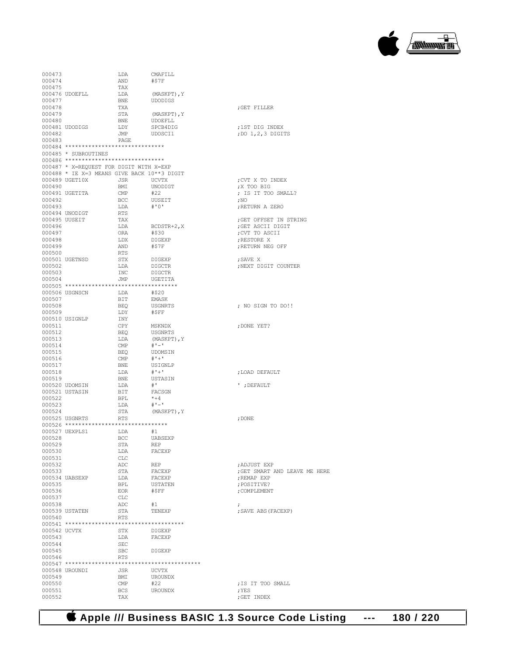## **Apple /// Business BASIC 1.3 Source Code Listing --- 180 / 220**

| 000473           |                                                               | LDA               | CMAFILL                        |                                             |
|------------------|---------------------------------------------------------------|-------------------|--------------------------------|---------------------------------------------|
| 000474           |                                                               | AND               | #\$7F                          |                                             |
| 000475           |                                                               | TAX               |                                |                                             |
| 000477           | 000476 UDOEFLL                                                | LDA<br>BNE        | (MASKPT), Y<br>UDODIGS         |                                             |
| 000478           |                                                               | TXA               |                                | GET FILLER;                                 |
| 000479           |                                                               | STA               | (MASKPT), Y                    |                                             |
| 000480           |                                                               | BNE               | UDOEFLL                        |                                             |
|                  | 000481 UDODIGS                                                | LDY               | SPCB4DIG                       | ;1ST DIG INDEX                              |
| 000482<br>000483 |                                                               | JMP<br>PAGE       | UDOSCI1                        | ; DO 1, 2, 3 DIGITS                         |
|                  | 000484 *******************************                        |                   |                                |                                             |
|                  | 000485 * SUBROUTINES                                          |                   |                                |                                             |
|                  | 000486 *******************************                        |                   |                                |                                             |
|                  | 000487 * X=REQUEST FOR DIGIT WITH X=EXP                       |                   |                                |                                             |
|                  | 000488 * IE X=3 MEANS GIVE BACK 10**3 DIGIT<br>000489 UGET10X | JSR               | <b>UCVTX</b>                   | CVT X TO INDEX;                             |
| 000490           |                                                               | BMI               | UNODIGT                        | X TOO BIG                                   |
|                  | 000491 UGETITA                                                | CMP               | #22                            | ; IS IT TOO SMALL?                          |
| 000492           |                                                               | BCC               | UUSEIT                         | ,100                                        |
| 000493           |                                                               | LDA               | # ' 0'                         | ; RETURN A ZERO                             |
|                  | 000494 UNODIGT                                                | <b>RTS</b>        |                                |                                             |
| 000496           | 000495 UUSEIT                                                 | TAX<br>LDA        | BCDSTR+2, X                    | ; GET OFFSET IN STRING<br>; GET ASCII DIGIT |
| 000497           |                                                               | ORA               | #\$30                          | ; CVT TO ASCII                              |
| 000498           |                                                               | LDX               | DIGEXP                         | ; RESTORE X                                 |
| 000499           |                                                               | AND               | #STF                           | ; RETURN NEG OFF                            |
| 000500           |                                                               | <b>RTS</b>        |                                |                                             |
|                  | 000501 UGETNSD                                                | STX               | DIGEXP                         | : SAVE X                                    |
| 000502<br>000503 |                                                               | LDA<br><b>INC</b> | <b>DIGCTR</b><br><b>DIGCTR</b> | ; NEXT DIGIT COUNTER                        |
| 000504           |                                                               | JMP               | UGETITA                        |                                             |
|                  |                                                               |                   |                                |                                             |
|                  | 000506 USGNSCN                                                | LDA               | #\$20                          |                                             |
| 000507           |                                                               | BIT               | EMASK                          |                                             |
| 000508           |                                                               | BEO               | USGNRTS                        | ; NO SIGN TO DO!!                           |
| 000509           |                                                               | LDY               | #SFF                           |                                             |
| 000511           | 000510 USIGNLP                                                | INY<br><b>CPY</b> | MSKNDX                         | ; DONE YET?                                 |
| 000512           |                                                               | <b>BEQ</b>        | USGNRTS                        |                                             |
| 000513           |                                                               | LDA               | (MASKPT), Y                    |                                             |
| 000514           |                                                               | CMP               | $#$ ' $-$ '                    |                                             |
| 000515           |                                                               | <b>BEO</b>        | UDOMSIN                        |                                             |
| 000516<br>000517 |                                                               | CMP<br><b>BNE</b> | $# + +$<br>USIGNLP             |                                             |
| 000518           |                                                               | LDA               | $# + +$                        | ; LOAD DEFAULT                              |
| 000519           |                                                               | <b>BNE</b>        | USTASIN                        |                                             |
|                  | 000520 UDOMSIN                                                | LDA               | $^{\#}$ .                      | '; DEFAULT                                  |
|                  | 000521 USTASIN                                                | BIT               | FACSGN                         |                                             |
| 000522           |                                                               | BPL               | $*+4$                          |                                             |
| 000523<br>000524 |                                                               | LDA<br>STA        | $# 1 - 1$<br>(MASKPT), Y       |                                             |
|                  | 000525 USGNRTS                                                | RTS               |                                | ; DONE                                      |
|                  | 000526 ********************************                       |                   |                                |                                             |
|                  | 000527 UEXPLS1                                                | LDA               | #1                             |                                             |
| 000528           |                                                               | BCC               | UABSEXP                        |                                             |
| 000529           |                                                               | STA               | REP                            |                                             |
| 000530<br>000531 |                                                               | LDA<br>CLC        | FACEXP                         |                                             |
| 000532           |                                                               | ADC               | <b>REP</b>                     | ; ADJUST EXP                                |
| 000533           |                                                               | STA               | FACEXP                         | ; GET SMART AND LEAVE ME HERE               |
|                  | 000534 UABSEXP                                                | LDA               | FACEXP                         | ; REMAP EXP                                 |
| 000535           |                                                               | BPL               | USTATEN                        | ; POSITIVE?                                 |
| 000536           |                                                               | EOR               | #SFF                           | ; COMPLEMENT                                |
| 000537<br>000538 |                                                               | CLC<br>ADC        | #1                             |                                             |
|                  | 000539 USTATEN                                                | STA               | TENEXP                         | $\ddot{ }$<br>; SAVE ABS (FACEXP)           |
| 000540           |                                                               | <b>RTS</b>        |                                |                                             |
|                  |                                                               |                   |                                |                                             |
| 000542 UCVTX     |                                                               | STX               | DIGEXP                         |                                             |
| 000543           |                                                               | LDA               | FACEXP                         |                                             |
| 000544<br>000545 |                                                               | SEC<br>SBC        | DIGEXP                         |                                             |
| 000546           |                                                               | RTS               |                                |                                             |
|                  |                                                               |                   |                                |                                             |
|                  | 000548 UROUNDI                                                | JSR               | UCVTX                          |                                             |
| 000549           |                                                               | BMI               | UROUNDX                        |                                             |
| 000550           |                                                               | CMP               | #22                            | ; IS IT TOO SMALL                           |
| 000551<br>000552 |                                                               | BCS<br>TAX        | <b>UROUNDX</b>                 | ; YES<br>; GET INDEX                        |
|                  |                                                               |                   |                                |                                             |

 $\begin{picture}(20,10) \put(0,0){\line(1,0){100}} \put(10,0){\line(1,0){100}} \put(10,0){\line(1,0){100}} \put(10,0){\line(1,0){100}} \put(10,0){\line(1,0){100}} \put(10,0){\line(1,0){100}} \put(10,0){\line(1,0){100}} \put(10,0){\line(1,0){100}} \put(10,0){\line(1,0){100}} \put(10,0){\line(1,0){100}} \put(10,0){\line(1,0){100}} \$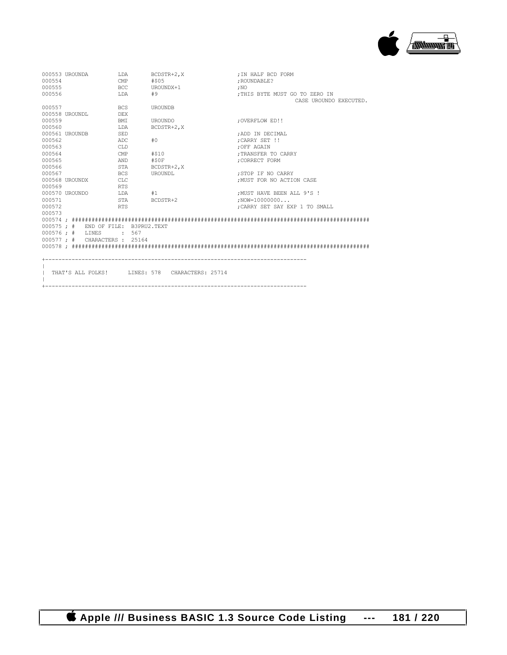

| : THIS BYTE MUST GO TO ZERO IN |
|--------------------------------|
| CASE UROUNDO EXECUTED.         |
|                                |
|                                |
|                                |
|                                |
|                                |
|                                |
|                                |
|                                |
|                                |
|                                |
|                                |
| : MUST FOR NO ACTION CASE      |
|                                |
| : MUST HAVE BEEN ALL 9'S !     |
|                                |
| :CARRY SET SAY EXP 1 TO SMALL  |
|                                |
|                                |
|                                |
|                                |
|                                |
|                                |
|                                |
|                                |
|                                |
|                                |
|                                |
|                                |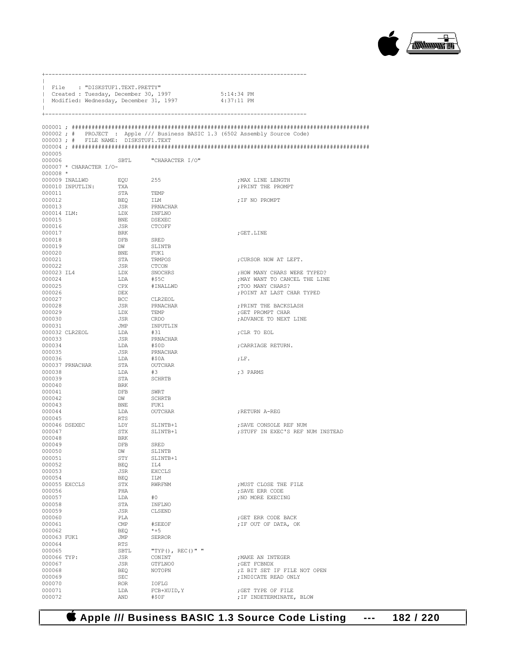

|                  | File : "DISKSTUF1.TEXT.PRETTY"         |                |                      |                                                                              |
|------------------|----------------------------------------|----------------|----------------------|------------------------------------------------------------------------------|
|                  | Created : Tuesday, December 30, 1997   |                |                      | 5:14:34 PM                                                                   |
|                  | Modified: Wednesday, December 31, 1997 |                |                      | $4:37:11$ PM                                                                 |
| +-               |                                        |                |                      |                                                                              |
|                  |                                        |                |                      |                                                                              |
|                  | 000003; # FILE NAME: DISKSTUF1.TEXT    |                |                      | 000002; # PROJECT : Apple /// Business BASIC 1.3 (6502 Assembly Source Code) |
|                  |                                        |                |                      |                                                                              |
| 000005           |                                        |                |                      |                                                                              |
| 000006           |                                        |                | SBTL "CHARACTER I/O" |                                                                              |
|                  | 000007 * CHARACTER I/O-                |                |                      |                                                                              |
| 000008 *         |                                        |                |                      |                                                                              |
|                  | 000009 INALLWD<br>000010 INPUTLIN:     | EQU 255<br>TXA |                      | ; MAX LINE LENGTH<br>; PRINT THE PROMPT                                      |
| 000011           |                                        | STA            | TEMP                 |                                                                              |
| 000012           |                                        | BEQ            | ILM                  | ; IF NO PROMPT                                                               |
| 000013           |                                        | JSR            | PRNACHAR             |                                                                              |
| 000014 ILM:      |                                        | LDX            | INFLNO               |                                                                              |
| 000015           |                                        | BNE            | DSEXEC               |                                                                              |
| 000016<br>000017 |                                        | JSR<br>BRK     | CTCOFF               | ; GET.LINE                                                                   |
| 000018           |                                        | DFB            | SRED                 |                                                                              |
| 000019           |                                        | DW             | SLINTB               |                                                                              |
| 000020           |                                        | BNE            | FUK1                 |                                                                              |
| 000021           |                                        | STA            | TRMPOS               | ; CURSOR NOW AT LEFT.                                                        |
| 000022           |                                        | JSR            | CTCON                |                                                                              |
| 000023 IL4       |                                        | LDX            | SNOCHRS              | ; HOW MANY CHARS WERE TYPED?                                                 |
| 000024<br>000025 |                                        | LDA<br>CPX     | #\$5C<br>#INALLWD    | ; MAY WANT TO CANCEL THE LINE<br>; TOO MANY CHARS?                           |
| 000026           |                                        | DEX            |                      | ; POINT AT LAST CHAR TYPED                                                   |
| 000027           |                                        | BCC            | CLR2EOL              |                                                                              |
| 000028           |                                        | JSR            | PRNACHAR             | ; PRINT THE BACKSLASH                                                        |
| 000029           |                                        | LDX            | TEMP                 | ;GET PROMPT CHAR                                                             |
| 000030           |                                        | JSR            | CRDO                 | ; ADVANCE TO NEXT LINE                                                       |
| 000031           | 000032 CLR2EOL                         | JMP<br>LDA     | INPUTLIN<br>#31      | ; CLR TO EOL                                                                 |
| 000033           |                                        | JSR            | PRNACHAR             |                                                                              |
| 000034           |                                        | LDA            | #\$0D                | ; CARRIAGE RETURN.                                                           |
| 000035           |                                        | JSR            | PRNACHAR             |                                                                              |
| 000036           |                                        | LDA            | #\$0A                | ; $LF.$                                                                      |
|                  | 000037 PRNACHAR                        | STA            | OUTCHAR              |                                                                              |
| 000038<br>000039 |                                        | LDA<br>STA     | #3<br><b>SCHRTB</b>  | ;3 PARMS                                                                     |
| 000040           |                                        | BRK            |                      |                                                                              |
| 000041           |                                        | DFB            | SWRT                 |                                                                              |
| 000042           |                                        | DW             | SCHRTB               |                                                                              |
| 000043           |                                        | BNE            | FUK1                 |                                                                              |
| 000044           |                                        | LDA            | OUTCHAR              | RETURN A-REG                                                                 |
| 000045           |                                        | RTS            | SLINTB+1             |                                                                              |
| 000047           | 000046 DSEXEC                          | LDY<br>STX     | SLINTB+1             | ; SAVE CONSOLE REF NUM<br>; STUFF IN EXEC'S REF NUM INSTEAD                  |
| 000048           |                                        | BRK            |                      |                                                                              |
| 000049           |                                        | DFB            | SRED                 |                                                                              |
| 000050           |                                        | DW             | SLINTB               |                                                                              |
| 000051           |                                        | STY            | SLINTB+1             |                                                                              |
| 000052           |                                        | <b>BEQ</b>     | IL4                  |                                                                              |
| 000053<br>000054 |                                        | JSR<br>BEQ     | <b>EXCCLS</b><br>ILM |                                                                              |
|                  | 000055 EXCCLS                          | STX            | RWRFNM               | ; MUST CLOSE THE FILE                                                        |
| 000056           |                                        | PHA            |                      | ; SAVE ERR CODE                                                              |
| 000057           |                                        | LDA            | #0                   | ; NO MORE EXECING                                                            |
| 000058           |                                        | STA            | INFLNO               |                                                                              |
| 000059           |                                        | JSR            | CLSEND               |                                                                              |
| 000060<br>000061 |                                        | PLA<br>CMP     | #SEEOF               | ; GET ERR CODE BACK<br>; IF OUT OF DATA, OK                                  |
| 000062           |                                        | BEQ            | $*+5$                |                                                                              |
| 000063 FUK1      |                                        | JMP            | <b>SERROR</b>        |                                                                              |
| 000064           |                                        | RTS            |                      |                                                                              |
| 000065           |                                        | SBTL           | "TYP(), REC()" "     |                                                                              |
| 000066 TYP:      |                                        | JSR            | CONINT               | ; MAKE AN INTEGER                                                            |
| 000067<br>000068 |                                        | JSR            | GTFLNO0              | ; GET FCBNDX                                                                 |
| 000069           |                                        | BEQ<br>SEC     | NOTOPN               | ; Z BIT SET IF FILE NOT OPEN<br>; INDICATE READ ONLY                         |
| 000070           |                                        | ROR.           | IOFLG                |                                                                              |
| 000071           |                                        | LDA            | FCB+XUID, Y          | ; GET TYPE OF FILE                                                           |
| 000072           |                                        | AND            | #50F                 | ; IF INDETERMINATE, BLOW                                                     |

+-------------------------------------------------------------------------------

 $\|$ 

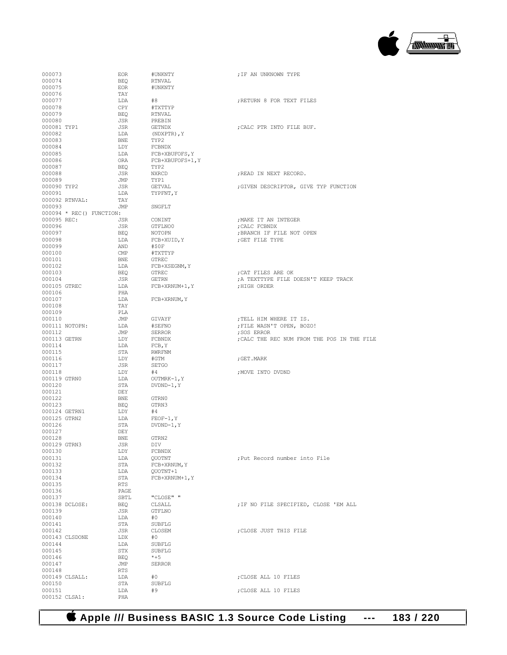

| 000073       |                | <b>EOR</b>                 | #UNKNTY          | ; IF AN UNKNOWN TYPE                        |
|--------------|----------------|----------------------------|------------------|---------------------------------------------|
| 000074       |                | <b>BEO</b>                 | RTNVAL           |                                             |
|              |                |                            |                  |                                             |
| 000075       |                | EOR                        | #UNKNTY          |                                             |
| 000076       |                | TAY                        |                  |                                             |
| 000077       |                | LDA                        | #8               | ; RETURN 8 FOR TEXT FILES                   |
| 000078       |                | CPY                        | #TXTTYP          |                                             |
| 000079       |                | BEO                        | RTNVAL           |                                             |
| 000080       |                | JSR                        |                  |                                             |
|              |                |                            | PREBIN           |                                             |
| 000081 TYP1  |                | JSR                        | GETNDX           | ; CALC PTR INTO FILE BUF.                   |
| 000082       |                | LDA                        | (NDXPTR), Y      |                                             |
| 000083       |                | BNE                        | TYP2             |                                             |
| 000084       |                | LDY                        | FCBNDX           |                                             |
|              |                |                            |                  |                                             |
| 000085       |                | LDA                        | FCB+XBUFOFS, Y   |                                             |
| 000086       |                | ORA                        | FCB+XBUFOFS+1, Y |                                             |
| 000087       |                | BEO                        | TYP2             |                                             |
| 000088       |                | JSR                        | NXRCD            | ; READ IN NEXT RECORD.                      |
| 000089       |                | JMP                        | TYP1             |                                             |
|              |                |                            |                  |                                             |
| 000090 TYP2  |                | JSR                        | GETVAL           | ; GIVEN DESCRIPTOR, GIVE TYP FUNCTION       |
| 000091       |                | LDA                        | TYPFNT, Y        |                                             |
|              | 000092 RTNVAL: | TAY                        |                  |                                             |
| 000093       |                | JMP                        | SNGFLT           |                                             |
|              |                | $000094$ * REC() FUNCTION: |                  |                                             |
|              |                |                            |                  |                                             |
| 000095 REC:  |                | JSR                        | CONINT           | ; MAKE IT AN INTEGER                        |
| 000096       |                | JSR                        | GTFLNO0          | ; CALC FCBNDX                               |
| 000097       |                | BEQ                        | NOTOPN           | ; BRANCH IF FILE NOT OPEN                   |
| 000098       |                | LDA                        | FCB+XUID, Y      | ; GET FILE TYPE                             |
| 000099       |                | AND                        | #50F             |                                             |
|              |                |                            |                  |                                             |
| 000100       |                | $\mathsf{CMP}$             | #TXTTYP          |                                             |
| 000101       |                | BNE                        | <b>GTREC</b>     |                                             |
| 000102       |                | LDA                        | FCB+XSEGNM, Y    |                                             |
| 000103       |                | BEO                        | <b>GTREC</b>     | ; CAT FILES ARE OK                          |
| 000104       |                | JSR                        | GETRN            | ; A TEXTTYPE FILE DOESN'T KEEP TRACK        |
|              |                |                            |                  |                                             |
|              | 000105 GTREC   | LDA                        | FCB+XRNUM+1, Y   | ; HIGH ORDER                                |
| 000106       |                | PHA                        |                  |                                             |
| 000107       |                | LDA                        | FCB+XRNUM, Y     |                                             |
| 000108       |                | TAY                        |                  |                                             |
| 000109       |                | PLA                        |                  |                                             |
|              |                |                            |                  |                                             |
| 000110       |                | JMP                        | GIVAYF           | ; TELL HIM WHERE IT IS.                     |
|              | 000111 NOTOPN: | LDA                        | #SEFNO           | ; FILE WASN'T OPEN, BOZO!                   |
| 000112       |                | JMP                        | SERROR           | ; SOS ERROR                                 |
|              | 000113 GETRN   | LDY                        | FCBNDX           | ; CALC THE REC NUM FROM THE POS IN THE FILE |
| 000114       |                | LDA                        | FCB, Y           |                                             |
|              |                |                            |                  |                                             |
| 000115       |                | STA                        | RWRFNM           |                                             |
| 000116       |                | LDY                        | #GTM             | ; GET. MARK                                 |
| 000117       |                | JSR                        | SETGO            |                                             |
| 000118       |                | LDY                        | #4               | ; MOVE INTO DVDND                           |
| 000119 GTRN0 |                | LDA                        | OUTMRK-1, Y      |                                             |
| 000120       |                | STA                        | $DVDND-1, Y$     |                                             |
|              |                |                            |                  |                                             |
| 000121       |                | DEY                        |                  |                                             |
| 000122       |                | BNE                        | GTRN0            |                                             |
| 000123       |                | BEO                        | GTRN3            |                                             |
|              | 000124 GETRN1  | LDY                        | #4               |                                             |
|              | 000125 GTRN2   | LDA                        | $FEOF-1, Y$      |                                             |
| 000126       |                |                            |                  |                                             |
|              |                | STA                        | $DVDND-1, Y$     |                                             |
| 000127       |                | DEY                        |                  |                                             |
| 000128       |                | <b>BNE</b>                 | GTRN2            |                                             |
| 000129 GTRN3 |                | JSR                        | DIV              |                                             |
| 000130       |                | LDY                        | FCBNDX           |                                             |
| 000131       |                | LDA                        |                  | ; Put Record number into File               |
|              |                |                            | QUOTNT           |                                             |
| 000132       |                | STA                        | FCB+XRNUM, Y     |                                             |
| 000133       |                | LDA                        | QUOTNT+1         |                                             |
| 000134       |                | STA                        | FCB+XRNUM+1, Y   |                                             |
| 000135       |                | RTS                        |                  |                                             |
| 000136       |                | PAGE                       |                  |                                             |
|              |                |                            |                  |                                             |
| 000137       |                | SBTL                       | "CLOSE" "        |                                             |
|              | 000138 DCLOSE: | BEQ                        | CLSALL           | ; IF NO FILE SPECIFIED, CLOSE 'EM ALL       |
| 000139       |                | JSR                        | GTFLNO           |                                             |
| 000140       |                | LDA                        | #0               |                                             |
| 000141       |                | STA                        | SUBFLG           |                                             |
|              |                |                            |                  | ; CLOSE JUST THIS FILE                      |
| 000142       |                | JSR                        | CLOSEM           |                                             |
|              | 000143 CLSDONE | LDX                        | #0               |                                             |
| 000144       |                | LDA                        | SUBFLG           |                                             |
| 000145       |                | STX                        | SUBFLG           |                                             |
| 000146       |                | BEQ                        | $*+5$            |                                             |
|              |                |                            |                  |                                             |
| 000147       |                | JMP                        | <b>SERROR</b>    |                                             |
| 000148       |                | RTS                        |                  |                                             |
|              | 000149 CLSALL: | LDA                        | #0               | ; CLOSE ALL 10 FILES                        |
| 000150       |                | STA                        | SUBFLG           |                                             |
|              |                |                            |                  |                                             |
|              |                |                            |                  |                                             |
| 000151       | 000152 CLSA1:  | LDA<br>PHA                 | #9               | ; CLOSE ALL 10 FILES                        |

# **Apple /// Business BASIC 1.3 Source Code Listing --- 183 / 220**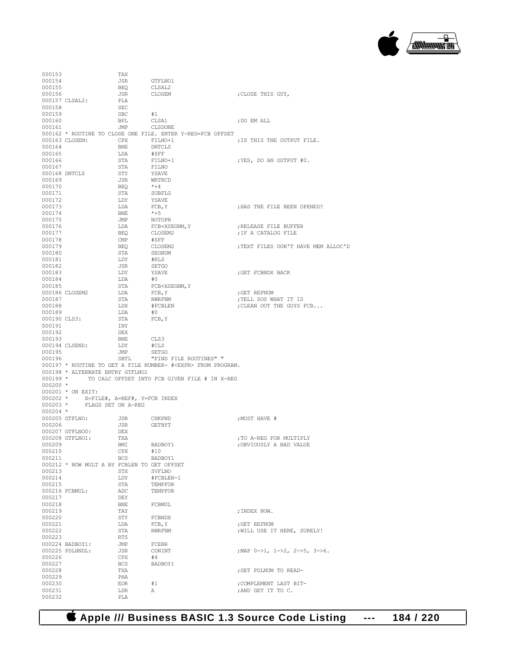

| 000153           |                                                       | TAX          |                                                                      |                                     |
|------------------|-------------------------------------------------------|--------------|----------------------------------------------------------------------|-------------------------------------|
| 000154           |                                                       | JSR          | GTFLNO1                                                              |                                     |
| 000155<br>000156 |                                                       | BEQ<br>JSR   | CLSAL2<br>CLOSEM                                                     | ; CLOSE THIS GUY,                   |
|                  | 000157 CLSAL2:                                        | PLA          |                                                                      |                                     |
| 000158           |                                                       | SEC          |                                                                      |                                     |
| 000159           |                                                       | <b>SBC</b>   | #1                                                                   |                                     |
| 000160           |                                                       | <b>BPL</b>   | CLSA1                                                                | ; DO EM ALL                         |
| 000161           |                                                       | JMP CLSDONE  |                                                                      |                                     |
|                  |                                                       |              | 000162 * ROUTINE TO CLOSE ONE FILE. ENTER Y-REG=FCB OFFSET           |                                     |
|                  | 000163 CLOSEM: CPX FILNO+1                            |              |                                                                      | ; IS THIS THE OUTPUT FILE.          |
| 000164           |                                                       | BNE          | DNTCLS<br>#\$FF                                                      |                                     |
| 000165           |                                                       | LDA          |                                                                      |                                     |
| 000166           |                                                       | STA          | FILNO+1<br>FILNO<br>YSAVE                                            | ; YES, DO AN OUTPUT #0.             |
| 000167           |                                                       | STA          |                                                                      |                                     |
|                  | 000168 DNTCLS                                         | STY          |                                                                      |                                     |
| 000169           |                                                       | JSR          | $\begin{array}{c} \texttt{WRTRCD} \\ *+4 \end{array}$                |                                     |
| 000170           |                                                       | BEQ          |                                                                      |                                     |
| 000171           |                                                       | STA          | SUBFLG                                                               |                                     |
| 000172<br>000173 |                                                       | LDY<br>LDA   | YSAVE<br>FCB, Y                                                      | ; HAS THE FILE BEEN OPENED?         |
| 000174           |                                                       | <b>BNE</b>   | $*+5$                                                                |                                     |
| 000175           |                                                       | JMP          |                                                                      |                                     |
| 000176           |                                                       | LDA          | NOTOPN<br>FCB+XSEGNM, Y<br>CLOSEM2                                   | ; RELEASE FILE BUFFER               |
| 000177           |                                                       | BEQ          |                                                                      | ; IF A CATALOG FILE                 |
| 000178           |                                                       | $\text{CMP}$ | #\$FF                                                                |                                     |
| 000179           |                                                       | BEQ          |                                                                      | ; TEXT FILES DON'T HAVE MEM ALLOC'D |
| 000180           |                                                       | STA          | CLOSEM2<br>SEGNUM                                                    |                                     |
| 000181           |                                                       | LDY          |                                                                      |                                     |
| 000182           |                                                       | JSR          | #RLS<br>SETGO<br>YSAVE                                               |                                     |
| 000183           |                                                       | LDY          |                                                                      | GET FCBNDX BACK;                    |
| 000184           |                                                       |              | LDA #0<br>STA FCB+XSEGNM, Y<br>LDA FCB, Y                            |                                     |
| 000185           |                                                       |              |                                                                      |                                     |
|                  | 000186 CLOSEM2                                        | LDA          |                                                                      | ; GET REFNUM                        |
| 000187<br>000188 |                                                       | STA          | RWRFNM<br>#FCBLEN                                                    | ; TELL SOS WHAT IT IS               |
| 000189           |                                                       | LDX<br>LDA   | #0                                                                   | ; CLEAN OUT THE GUYS FCB            |
|                  | 000190 CLS3:                                          | STA          | FCB, Y                                                               |                                     |
| 000191           |                                                       | INY          |                                                                      |                                     |
|                  |                                                       |              |                                                                      |                                     |
|                  |                                                       |              |                                                                      |                                     |
| 000192           |                                                       | DEX          |                                                                      |                                     |
| 000193           | 000194 CLSEND:                                        | <b>BNE</b>   | CLS3                                                                 |                                     |
| 000195           |                                                       | LDY<br>JMP   | #CLS<br>SETGO                                                        |                                     |
| 000196           |                                                       | SBTL         | "FIND FILE ROUTINES" "                                               |                                     |
|                  |                                                       |              | 000197 * ROUTINE TO GET A FILE NUMBER- # <expr> FROM PROGRAM.</expr> |                                     |
|                  | 000198 * ALTERNATE ENTRY GTFLNO1                      |              |                                                                      |                                     |
|                  |                                                       |              | 000199 * TO CALC OFFSET INTO FCB GIVEN FILE # IN X-REG               |                                     |
| $000200$ *       |                                                       |              |                                                                      |                                     |
|                  | 000201 * ON EXIT:                                     |              |                                                                      |                                     |
|                  | $000202$ * $X = FILE#$ , $A = REF#$ , $Y = FCB$ INDEX |              |                                                                      |                                     |
|                  | 000203 $\,\star$ $\,\,$ FLAGS SET ON A–REG            |              |                                                                      |                                     |
| $000204$ *       |                                                       |              |                                                                      |                                     |
|                  | 000205 GTFLNO:                                        | JSR          | CHKPND                                                               | ; MUST HAVE #                       |
| 000206           |                                                       | JSR          | GETBYT                                                               |                                     |
|                  | 000207 GTFLNO0:<br>000208 GTFLNO1:                    | DEX<br>TXA   |                                                                      | :TO A-REG FOR MULTIPLY              |
| 000209           |                                                       | BMI          | BADBOY1                                                              |                                     |
| 000210           |                                                       | CPX          | #10                                                                  | ; OBVIOUSLY A BAD VALUE             |
| 000211           |                                                       | BCS          | BADBOY1                                                              |                                     |
|                  | 000212 * NOW MULT A BY FCBLEN TO GET OFFSET           |              |                                                                      |                                     |
| 000213           |                                                       | STX          | SVFLNO                                                               |                                     |
| 000214           |                                                       | LDY          | #FCBLEN-1                                                            |                                     |
| 000215           |                                                       | STA          | TEMPFOR                                                              |                                     |
|                  | 000216 FCBMUL:                                        | ADC          | TEMPFOR                                                              |                                     |
| 000217           |                                                       | DEY          |                                                                      |                                     |
| 000218           |                                                       | BNE          | FCBMUL                                                               |                                     |
| 000219           |                                                       | TAY          |                                                                      | ; INDEX NOW.                        |
| 000220           |                                                       | STY          | FCBNDX                                                               |                                     |
| 000221           |                                                       | LDA          | FCB, Y                                                               | ; GET REFNUM                        |
| 000222           |                                                       | STA          | <b>RWRFNM</b>                                                        | ; WILL USE IT HERE, SURELY!         |
| 000223           | 000224 BADBOY1:                                       | RTS<br>JMP   | FCERR                                                                |                                     |
|                  | 000225 PDLHNDL:                                       | JSR          | CONINT                                                               | ; MAP 0->1, 1->2, 2->5, 3->6.       |
| 000226           |                                                       | CPX          | #4                                                                   |                                     |
| 000227           |                                                       | BCS          | BADBOY1                                                              |                                     |
| 000228           |                                                       | TXA          |                                                                      | ; GET PDLNUM TO READ-               |
| 000229           |                                                       | PHA          |                                                                      |                                     |
| 000230           |                                                       | EOR.         | #1                                                                   | ; COMPLEMENT LAST BIT-              |
| 000231<br>000232 |                                                       | LSR<br>PLA   | Α                                                                    | ; AND GET IT TO C.                  |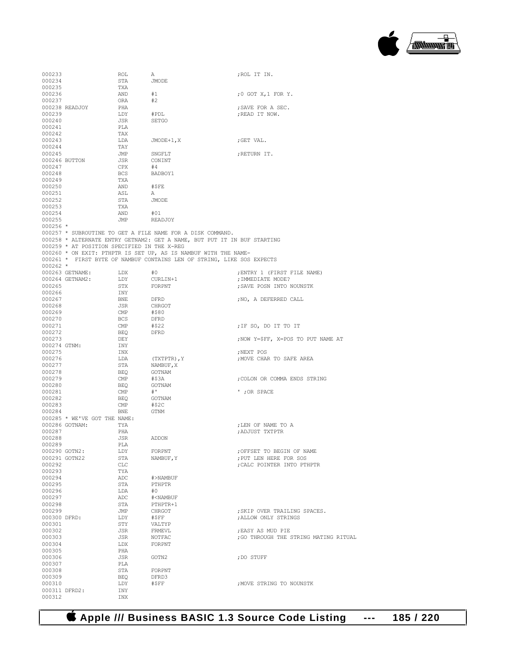

| 000233        |                                             | ROL | А                                                                        | ;ROL IT IN.                           |
|---------------|---------------------------------------------|-----|--------------------------------------------------------------------------|---------------------------------------|
|               |                                             |     |                                                                          |                                       |
| 000234        |                                             | STA | JMODE                                                                    |                                       |
| 000235        |                                             | TXA |                                                                          |                                       |
| 000236        |                                             | AND | #1                                                                       | ; $0$ GOT $X, 1$ FOR $Y$ .            |
| 000237        |                                             |     |                                                                          |                                       |
|               |                                             | ORA | #2                                                                       |                                       |
|               | 000238 READJOY                              | PHA |                                                                          | ; SAVE FOR A SEC.                     |
| 000239        |                                             | LDY | #PDL                                                                     | ; READ IT NOW.                        |
|               |                                             | JSR |                                                                          |                                       |
| 000240        |                                             |     | SETGO                                                                    |                                       |
| 000241        |                                             | PLA |                                                                          |                                       |
| 000242        |                                             | TAX |                                                                          |                                       |
|               |                                             |     |                                                                          |                                       |
| 000243        |                                             | LDA | $JMODE+1, X$                                                             | ;GET VAL.                             |
| 000244        |                                             | TAY |                                                                          |                                       |
| 000245        |                                             | JMP | SNGFLT                                                                   | ;RETURN IT.                           |
|               |                                             |     |                                                                          |                                       |
|               | 000246 BUTTON                               | JSR | CONINT                                                                   |                                       |
| 000247        |                                             | CPX | #4                                                                       |                                       |
| 000248        |                                             | BCS | BADBOY1                                                                  |                                       |
| 000249        |                                             | TXA |                                                                          |                                       |
|               |                                             |     |                                                                          |                                       |
| 000250        |                                             | AND | #\$FE                                                                    |                                       |
| 000251        |                                             | ASL | A                                                                        |                                       |
| 000252        |                                             | STA | JMODE                                                                    |                                       |
| 000253        |                                             | TXA |                                                                          |                                       |
|               |                                             |     |                                                                          |                                       |
| 000254        |                                             | AND | #01                                                                      |                                       |
| 000255        |                                             | JMP | READJOY                                                                  |                                       |
| $000256$ *    |                                             |     |                                                                          |                                       |
|               |                                             |     |                                                                          |                                       |
|               |                                             |     | 000257 * SUBROUTINE TO GET A FILE NAME FOR A DISK COMMAND.               |                                       |
|               |                                             |     | 000258 * ALTERNATE ENTRY GETNAM2: GET A NAME, BUT PUT IT IN BUF STARTING |                                       |
|               | 000259 * AT POSITION SPECIFIED IN THE X-REG |     |                                                                          |                                       |
|               |                                             |     |                                                                          |                                       |
|               |                                             |     | 000260 * ON EXIT: PTHPTR IS SET UP, AS IS NAMBUF WITH THE NAME-          |                                       |
|               |                                             |     | 000261 * FIRST BYTE OF NAMBUF CONTAINS LEN OF STRING, LIKE SOS EXPECTS   |                                       |
| $000262 *$    |                                             |     |                                                                          |                                       |
|               | 000263 GETNAME:                             | LDX | #0                                                                       | ; ENTRY 1 (FIRST FILE NAME)           |
|               |                                             |     |                                                                          |                                       |
|               | 000264 GETNAM2:                             | LDY | CURLIN+1                                                                 | ; IMMEDIATE MODE?                     |
| 000265        |                                             | STX | FORPNT                                                                   | ; SAVE POSN INTO NOUNSTK              |
| 000266        |                                             | INY |                                                                          |                                       |
|               |                                             |     |                                                                          |                                       |
| 000267        |                                             | BNE | DFRD                                                                     | ; NO, A DEFERRED CALL                 |
| 000268        |                                             | JSR | CHRGOT                                                                   |                                       |
| 000269        |                                             | CMP | #\$80                                                                    |                                       |
|               |                                             |     |                                                                          |                                       |
| 000270        |                                             | BCS | DFRD                                                                     |                                       |
| 000271        |                                             | CMP | #\$22                                                                    | ;IF SO, DO IT TO IT                   |
| 000272        |                                             | BEQ | DFRD                                                                     |                                       |
|               |                                             |     |                                                                          |                                       |
| 000273        |                                             | DEY |                                                                          | ; NOW Y=\$FF, X=POS TO PUT NAME AT    |
| 000274 GTNM:  |                                             | INY |                                                                          |                                       |
| 000275        |                                             | INX |                                                                          | ;NEXT POS                             |
|               |                                             |     |                                                                          |                                       |
| 000276        |                                             | LDA | (TXTPTR), Y                                                              | ; MOVE CHAR TO SAFE AREA              |
| 000277        |                                             | STA | NAMBUF, X                                                                |                                       |
| 000278        |                                             | BEQ | GOTNAM                                                                   |                                       |
| 000279        |                                             | CMP | #\$3A                                                                    | ; COLON OR COMMA ENDS STRING          |
|               |                                             |     |                                                                          |                                       |
| 000280        |                                             | BEQ | GOTNAM                                                                   |                                       |
| 000281        |                                             | CMP | $+$ '                                                                    | '; OR SPACE                           |
| 000282        |                                             | BEQ | GOTNAM                                                                   |                                       |
|               |                                             |     |                                                                          |                                       |
| 000283        |                                             | CMP | #\$2C                                                                    |                                       |
| 000284        |                                             | BNE | GTNM                                                                     |                                       |
|               | 000285 * WE'VE GOT THE NAME:                |     |                                                                          |                                       |
|               |                                             |     |                                                                          |                                       |
|               | 000286 GOTNAM:                              | TYA |                                                                          | ; LEN OF NAME TO A                    |
| 000287        |                                             | PHA |                                                                          | ADJUST TXTPTR,                        |
| 000288        |                                             | JSR | ADDON                                                                    |                                       |
| 000289        |                                             | PLA |                                                                          |                                       |
|               |                                             |     |                                                                          |                                       |
| 000290 GOTN2: |                                             | LDY | FORPNT                                                                   | ; OFFSET TO BEGIN OF NAME             |
|               | 000291 GOTN22                               | STA | NAMBUF, Y                                                                | ; PUT LEN HERE FOR SOS                |
| 000292        |                                             | CLC |                                                                          | ; CALC POINTER INTO PTHPTR            |
| 000293        |                                             | TYA |                                                                          |                                       |
|               |                                             |     |                                                                          |                                       |
| 000294        |                                             | ADC | #>NAMBUF                                                                 |                                       |
| 000295        |                                             | STA | PTHPTR                                                                   |                                       |
| 000296        |                                             | LDA | #0                                                                       |                                       |
|               |                                             |     |                                                                          |                                       |
| 000297        |                                             | ADC | # <nambuf< td=""><td></td></nambuf<>                                     |                                       |
| 000298        |                                             | STA | PTHPTR+1                                                                 |                                       |
| 000299        |                                             | JMP | CHRGOT                                                                   | ; SKIP OVER TRAILING SPACES.          |
| 000300 DFRD:  |                                             | LDY | #\$FF                                                                    | ; ALLOW ONLY STRINGS                  |
|               |                                             |     |                                                                          |                                       |
| 000301        |                                             | STY | VALTYP                                                                   |                                       |
| 000302        |                                             | JSR | FRMEVL                                                                   | ; EASY AS MUD PIE                     |
| 000303        |                                             | JSR | NOTFAC                                                                   | ; GO THROUGH THE STRING MATING RITUAL |
|               |                                             |     |                                                                          |                                       |
| 000304        |                                             | LDX | FORPNT                                                                   |                                       |
| 000305        |                                             | PHA |                                                                          |                                       |
| 000306        |                                             | JSR | GOTN2                                                                    | ; DO STUFF                            |
|               |                                             |     |                                                                          |                                       |
| 000307        |                                             | PLA |                                                                          |                                       |
| 000308        |                                             | STA | FORPNT                                                                   |                                       |
| 000309        |                                             | BEQ | DFRD3                                                                    |                                       |
| 000310        |                                             | LDY | #\$FF                                                                    | ; MOVE STRING TO NOUNSTK              |
|               |                                             |     |                                                                          |                                       |
| 000311 DFRD2: |                                             | INY |                                                                          |                                       |
| 000312        |                                             | INX |                                                                          |                                       |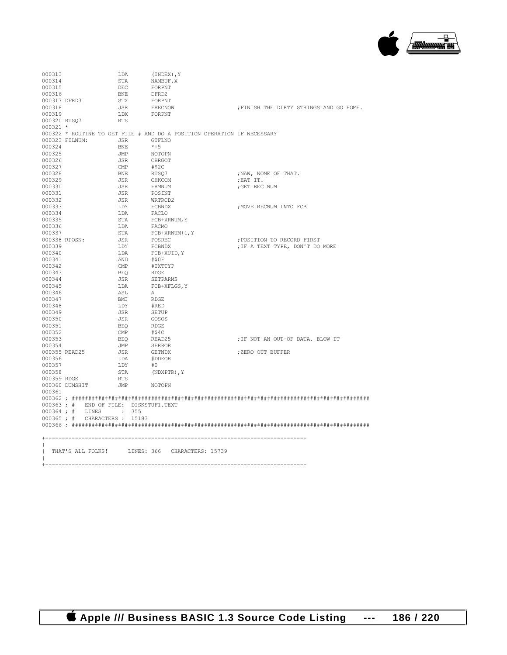

| 000313       |                                       | LDA        | (INDEX), Y                                                              |                                         |
|--------------|---------------------------------------|------------|-------------------------------------------------------------------------|-----------------------------------------|
| 000314       |                                       | STA        | NAMBUF, X                                                               |                                         |
| 000315       |                                       | DEC        | FORPNT                                                                  |                                         |
| 000316       |                                       | <b>BNE</b> | DFRD2                                                                   |                                         |
| 000317 DFRD3 |                                       | STX        | FORPNT                                                                  |                                         |
| 000318       |                                       | JSR        | FRECNOW                                                                 | ; FINISH THE DIRTY STRINGS AND GO HOME. |
| 000319       |                                       | LDX        | FORPNT                                                                  |                                         |
| 000320 RTSO7 |                                       | RTS        |                                                                         |                                         |
| $000321$ *   |                                       |            |                                                                         |                                         |
|              |                                       |            | 000322 * ROUTINE TO GET FILE # AND DO A POSITION OPERATION IF NECESSARY |                                         |
|              | 000323 FILNUM:                        | JSR        | GTFLNO                                                                  |                                         |
| 000324       |                                       |            | $*+5$                                                                   |                                         |
| 000325       |                                       | BNE<br>JMP |                                                                         |                                         |
|              |                                       |            | NOTOPN                                                                  |                                         |
| 000326       |                                       | JSR        | CHRGOT                                                                  |                                         |
| 000327       |                                       | CMP        | #\$2C                                                                   |                                         |
| 000328       |                                       | <b>BNE</b> | RTSQ7                                                                   | ; NAW, NONE OF THAT.                    |
| 000329       |                                       | JSR        | CHKCOM                                                                  | ; EAT IT.                               |
| 000330       |                                       | JSR        | FRMNUM                                                                  | ; GET REC NUM                           |
| 000331       |                                       | JSR        | POSINT                                                                  |                                         |
| 000332       |                                       | JSR        | WRTRCD2                                                                 |                                         |
| 000333       |                                       | LDY        | FCBNDX                                                                  | ; MOVE RECNUM INTO FCB                  |
| 000334       |                                       | LDA        | FACLO                                                                   |                                         |
| 000335       |                                       | STA        | FCB+XRNUM, Y                                                            |                                         |
| 000336       |                                       | LDA        | FACMO                                                                   |                                         |
| 000337       |                                       | STA        | FCB+XRNUM+1, Y                                                          |                                         |
|              | 000338 RPOSN:                         | JSR        | POSREC                                                                  | ; POSITION TO RECORD FIRST              |
| 000339       |                                       | LDY        | FCBNDX                                                                  | ; IF A TEXT TYPE, DON'T DO MORE         |
| 000340       |                                       | LDA        | FCB+XUID, Y                                                             |                                         |
| 000341       |                                       | AND        | #\$0F                                                                   |                                         |
| 000342       |                                       | CMP        | #TXTTYP                                                                 |                                         |
| 000343       |                                       | BEQ        | RDGE                                                                    |                                         |
| 000344       |                                       | JSR        | SETPARMS                                                                |                                         |
| 000345       |                                       | LDA        | FCB+XFLGS, Y                                                            |                                         |
| 000346       |                                       | ASL        | A                                                                       |                                         |
| 000347       |                                       | BMI        | RDGE                                                                    |                                         |
| 000348       |                                       | LDY        | #RED                                                                    |                                         |
| 000349       |                                       | JSR        | SETUP                                                                   |                                         |
| 000350       |                                       |            | GOSOS                                                                   |                                         |
|              |                                       | JSR        |                                                                         |                                         |
| 000351       |                                       | BEO        | RDGE                                                                    |                                         |
| 000352       |                                       | CMP        | #\$4C                                                                   |                                         |
| 000353       |                                       | BEO        | READ25                                                                  | ; IF NOT AN OUT-OF DATA, BLOW IT        |
| 000354       |                                       | JMP        | SERROR                                                                  |                                         |
|              | 000355 READ25                         | JSR        | GETNDX                                                                  | ; ZERO OUT BUFFER                       |
| 000356       |                                       | LDA        | #DDEOR                                                                  |                                         |
| 000357       |                                       | LDY        | #0                                                                      |                                         |
| 000358       |                                       | STA        | (NDXPTR), Y                                                             |                                         |
| 000359 RDGE  |                                       | RTS        |                                                                         |                                         |
|              | 000360 DUMSHIT                        | JMP NOTOPN |                                                                         |                                         |
| 000361       |                                       |            |                                                                         |                                         |
|              |                                       |            |                                                                         |                                         |
|              | 000363; # END OF FILE: DISKSTUF1.TEXT |            |                                                                         |                                         |
|              | 000364; # LINES : 355                 |            |                                                                         |                                         |
|              | 000365 ; # CHARACTERS : 15183         |            |                                                                         |                                         |
|              |                                       |            |                                                                         |                                         |
|              |                                       |            |                                                                         |                                         |
|              |                                       |            |                                                                         |                                         |
|              |                                       |            |                                                                         |                                         |
|              |                                       |            | THAT'S ALL FOLKS! LINES: 366 CHARACTERS: 15739                          |                                         |
| $\mathbf{I}$ |                                       |            |                                                                         |                                         |
|              | +-----------------                    |            |                                                                         |                                         |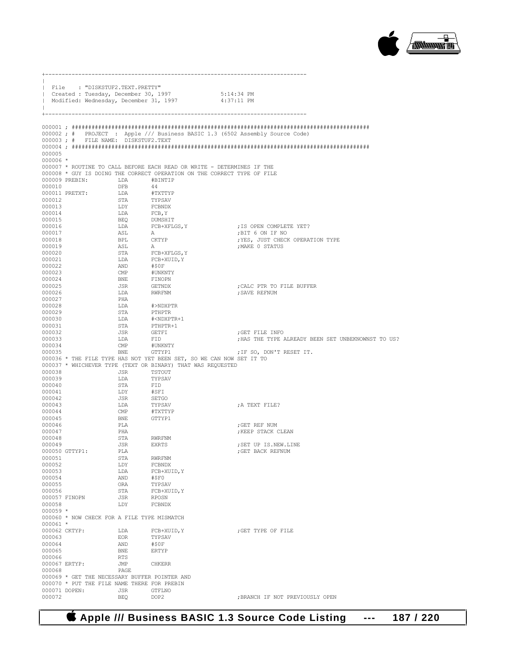

|                         | File : "DISKSTUF2.TEXT.PRETTY"<br>  Created : Tuesday, December 30, 1997<br>Modified: Wednesday, December 31, 1997 |                             | 5:14:34 PM<br>4:37:11 PM                                                     |                                                    |
|-------------------------|--------------------------------------------------------------------------------------------------------------------|-----------------------------|------------------------------------------------------------------------------|----------------------------------------------------|
| +--------               |                                                                                                                    |                             |                                                                              |                                                    |
|                         |                                                                                                                    |                             | 000002; # PROJECT : Apple /// Business BASIC 1.3 (6502 Assembly Source Code) |                                                    |
|                         | 000003; # FILE NAME: DISKSTUF2.TEXT                                                                                |                             |                                                                              |                                                    |
| 000005                  |                                                                                                                    |                             |                                                                              |                                                    |
| $000006$ *              |                                                                                                                    |                             |                                                                              |                                                    |
|                         |                                                                                                                    |                             | 000007 * ROUTINE TO CALL BEFORE EACH READ OR WRITE - DETERMINES IF THE       |                                                    |
|                         |                                                                                                                    |                             | 000008 * GUY IS DOING THE CORRECT OPERATION ON THE CORRECT TYPE OF FILE      |                                                    |
| 000010                  | 000009 PREBIN: LDA                                                                                                 | <b>DFB</b>                  | #BINTIP<br>44                                                                |                                                    |
|                         | 000011 PRETXT:                                                                                                     | LDA                         | #TXTTYP                                                                      |                                                    |
| 000012                  |                                                                                                                    | STA                         | TYPSAV                                                                       |                                                    |
| 000013                  |                                                                                                                    | LDY                         | FCBNDX<br>FCB,Y<br>DUMSHIT                                                   |                                                    |
| 000014<br>000015        |                                                                                                                    | LDA<br><b>BEQ</b>           |                                                                              |                                                    |
| 000016                  |                                                                                                                    | LDA                         | $\textsc{FCB+XFLGS}{}$ , $\textsc{Y}$                                        | ; IS OPEN COMPLETE YET?                            |
| 000017                  |                                                                                                                    | ASL                         | A                                                                            | ;BIT 6 ON IF NO                                    |
| 000018                  |                                                                                                                    | BPL                         | CKTYP                                                                        | ; YES, JUST CHECK OPERATION TYPE                   |
| 000019<br>000020        |                                                                                                                    | ASL<br>STA                  | $\mathbbm{A}$<br>FCB+XFLGS, Y                                                | ; MAKE 0 STATUS                                    |
| 000021                  |                                                                                                                    | LDA                         | $_{\rm FCB+XUID}$ $\chi$                                                     |                                                    |
| 000022                  |                                                                                                                    | AND                         | #\$0F                                                                        |                                                    |
| 000023                  |                                                                                                                    | $\text{CMP}$                | #UNKNTY                                                                      |                                                    |
| 000024<br>000025        |                                                                                                                    | BNE<br>JSR                  | FINOPN<br>GETNDX                                                             | ; CALC PTR TO FILE BUFFER                          |
| 000026                  |                                                                                                                    | LDA                         | RWRFNM                                                                       | ; SAVE REFNUM                                      |
| 000027                  |                                                                                                                    | PHA                         |                                                                              |                                                    |
| 000028<br>000029        |                                                                                                                    | LDA<br>STA                  | #>NDXPTR<br>PTHPTR                                                           |                                                    |
| 000030                  |                                                                                                                    | LDA                         | # <ndxptr+1< td=""><td></td></ndxptr+1<>                                     |                                                    |
| 000031                  |                                                                                                                    | STA                         | PTHPTR+1<br>GETFI                                                            |                                                    |
| 000032                  |                                                                                                                    | JSR                         |                                                                              | GET FILE INFO;                                     |
| 000033<br>000034        |                                                                                                                    | LDA<br>$\text{CMP}$         | FID<br>#UNKNTY                                                               | ; HAS THE TYPE ALREADY BEEN SET UNBEKNOWNST TO US? |
| 000035                  |                                                                                                                    | <b>BNE</b>                  | GTTYP1                                                                       | ; IF SO, DON'T RESET IT.                           |
|                         |                                                                                                                    |                             | 000036 * THE FILE TYPE HAS NOT YET BEEN SET, SO WE CAN NOW SET IT TO         |                                                    |
|                         |                                                                                                                    |                             | 000037 * WHICHEVER TYPE (TEXT OR BINARY) THAT WAS REQUESTED                  |                                                    |
| 000038<br>000039        |                                                                                                                    | JSR<br>LDA                  | TSTOUT<br>TYPSAV                                                             |                                                    |
| 000040                  |                                                                                                                    | STA                         | ${\tt FID}$                                                                  |                                                    |
| 000041                  |                                                                                                                    | LDY                         | #SFI                                                                         |                                                    |
| 000042<br>000043        |                                                                                                                    | JSR<br>LDA                  | SETGO<br>TYPSAV                                                              | ; A TEXT FILE?                                     |
| 000044                  |                                                                                                                    | $\mathop{\rm CMP}\nolimits$ | #TXTTYP                                                                      |                                                    |
| 000045                  |                                                                                                                    | BNE                         | GTTYP1                                                                       |                                                    |
| 000046                  |                                                                                                                    | PLA                         |                                                                              | ; GET REF NUM                                      |
| 000047<br>000048        |                                                                                                                    | PHA<br>STA                  | RWRFNM                                                                       | ; KEEP STACK CLEAN                                 |
| 000049                  |                                                                                                                    | JSR                         | EXRTS                                                                        | ; SET UP IS.NEW.LINE                               |
|                         | 000050 GTTYP1:                                                                                                     | PLA                         |                                                                              | ; GET BACK REFNUM                                  |
| 000051                  |                                                                                                                    | STA                         | RWRFNM                                                                       |                                                    |
| 000052<br>000053        |                                                                                                                    | LDY<br>LDA                  | FCBNDX<br>FCB+XUID, Y                                                        |                                                    |
| 000054                  |                                                                                                                    | AND                         | #\$F0                                                                        |                                                    |
| 000055                  |                                                                                                                    | ORA                         | TYPSAV                                                                       |                                                    |
| 000056                  | 000057 FINOPN                                                                                                      | STA<br>JSR                  | FCB+XUID, Y<br>RPOSN                                                         |                                                    |
| 000058                  |                                                                                                                    | LDY                         | FCBNDX                                                                       |                                                    |
| $000059$ *              |                                                                                                                    |                             |                                                                              |                                                    |
|                         | 000060 * NOW CHECK FOR A FILE TYPE MISMATCH                                                                        |                             |                                                                              |                                                    |
| $000061$ *              | 000062 CKTYP:                                                                                                      | LDA                         | FCB+XUID, Y                                                                  | GET TYPE OF FILE                                   |
| 000063                  |                                                                                                                    | EOR                         | TYPSAV                                                                       |                                                    |
| 000064                  |                                                                                                                    | AND                         | #\$0F                                                                        |                                                    |
| 000065                  |                                                                                                                    | BNE                         | <b>ERTYP</b>                                                                 |                                                    |
| 000066<br>000067 ERTYP: |                                                                                                                    | RTS<br>JMP                  | <b>CHKERR</b>                                                                |                                                    |
| 000068                  |                                                                                                                    | PAGE                        |                                                                              |                                                    |
|                         | 000069 * GET THE NECESSARY BUFFER POINTER AND                                                                      |                             |                                                                              |                                                    |
|                         | 000070 * PUT THE FILE NAME THERE FOR PREBIN<br>000071 DOPEN:                                                       | JSR                         |                                                                              |                                                    |
| 000072                  |                                                                                                                    | BEQ                         | GTFLNO<br>DOP <sub>2</sub>                                                   | ; BRANCH IF NOT PREVIOUSLY OPEN                    |

+-------------------------------------------------------------------------------

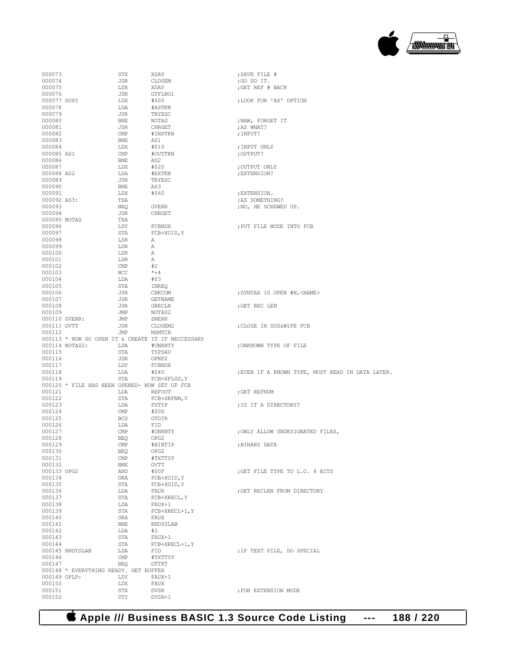

| 000073                |                                               | STX                            | XSAV                                              | ; SAVE FILE #                                    |
|-----------------------|-----------------------------------------------|--------------------------------|---------------------------------------------------|--------------------------------------------------|
| 000074                |                                               | JSR                            | CLOSEM                                            | ;GO DO IT.                                       |
| 000075                |                                               | LDX                            | XSAV                                              | ; GET REF # BACK                                 |
| 000076<br>000077 DOP2 |                                               | JSR<br>LDX                     | GTFLNO1<br>#\$00                                  | ; LOOK FOR 'AS' OPTION                           |
| 000078                |                                               | LDA                            | #ASTKN                                            |                                                  |
| 000079                |                                               | JSR                            | TRYESC                                            |                                                  |
| 000080                |                                               | BNE                            | NOTAS                                             | ; NAW, FORGET IT                                 |
| 000081                |                                               | JSR                            | CHRGET                                            | ; AS WHAT?                                       |
| 000082                |                                               | CMP                            | #INPTKN                                           | ; INPUT?                                         |
| 000083                |                                               | BNE                            | AS1                                               |                                                  |
| 000084                |                                               | LDX                            | #\$10                                             | ; INPUT ONLY                                     |
| 000085 AS1            |                                               | $\text{CMP}$                   | #OUTTKN                                           | ; OUTPUT?                                        |
| 000086                |                                               | BNE                            | AS2                                               |                                                  |
| 000087<br>000088 AS2  |                                               | LDX<br>LDA                     | #\$20<br>#EXTKN                                   | ; OUTPUT ONLY<br>; EXTENSION?                    |
| 000089                |                                               | JSR                            | TRYESC                                            |                                                  |
| 000090                |                                               | BNE                            | AS3                                               |                                                  |
| 000091                |                                               | LDX                            | #\$60                                             | ; EXTENSION.                                     |
| 000092 AS3:           |                                               | TXA                            |                                                   | ; AS SOMETHING?                                  |
| 000093                |                                               | BEQ                            | GVERR                                             | ; NO, HE SCREWED UP.                             |
| 000094                |                                               | JSR                            | CHRGET                                            |                                                  |
| 000095 NOTAS          |                                               | TXA                            |                                                   |                                                  |
| 000096                |                                               | LDY                            | FCBNDX                                            | ; PUT FILE MODE INTO FCB                         |
| 000097                |                                               | STA                            | FCB+XUID, Y                                       |                                                  |
| 000098                |                                               | LSR                            | А                                                 |                                                  |
| 000099                |                                               | LSR                            | А                                                 |                                                  |
| 000100                |                                               | LSR                            | Α                                                 |                                                  |
| 000101<br>000102      |                                               | LSR<br>$\mathop{\mathrm{CMP}}$ | $\mathbb A$<br>#2                                 |                                                  |
| 000103                |                                               | BCC                            | $*+4$                                             |                                                  |
| 000104                |                                               | LDA                            | #\$3                                              |                                                  |
| 000105                |                                               | STA                            | INREQ                                             |                                                  |
| 000106                |                                               | JSR                            | CHKCOM                                            | ; SYNTAX IS OPEN #N, <name></name>               |
| 000107                |                                               | JSR                            | GETNAME                                           |                                                  |
| 000108                |                                               | JSR                            | GRECLN                                            | ; GET REC LEN                                    |
| 000109                |                                               | JMP                            | NOTAS2                                            |                                                  |
| 000110 GVERR:         |                                               | JMP                            | SNERR                                             |                                                  |
| 000111 GVTT           |                                               | JSR                            | CLOSEM2                                           | ; CLOSE IN SOS&WIPE FCB                          |
| 000112                |                                               | JMP                            |                                                   |                                                  |
|                       |                                               |                                | MSMTCH                                            |                                                  |
|                       |                                               |                                | 000113 * NOW GO OPEN IT & CREATE IT IF NECCESSARY |                                                  |
|                       | 000114 NOTAS2:                                | LDA                            | #UNKNTY                                           | ; UNKNOWN TYPE OF FILE                           |
| 000115                |                                               | STA                            | TYPSAV                                            |                                                  |
| 000116                |                                               | JSR                            | OPNP2                                             |                                                  |
| 000117                |                                               | LDY                            | FCBNDX                                            |                                                  |
| 000118<br>000119      |                                               | LDA<br>STA                     | #\$40                                             | ; EVEN IF A KNOWN TYPE, MUST READ IN DATA LATER. |
|                       | 000120 * FILE HAS BEEN OPENED- NOW SET UP FCB |                                | FCB+XFLGS, Y                                      |                                                  |
| 000121                |                                               | LDA                            | REFOUT                                            | ; GET REFNUM                                     |
| 000122                |                                               | STA                            | FCB+XRFNM, Y                                      |                                                  |
| 000123                |                                               | LDA                            | FSTYP                                             | ; IS IT A DIRECTORY?                             |
| 000124                |                                               | CMP                            | #\$0D                                             |                                                  |
| 000125                |                                               | BCS                            | <b>GTDIR</b>                                      |                                                  |
| 000126                |                                               | LDA                            | FID                                               |                                                  |
| 000127                |                                               | CMP                            | #UNKNTY                                           | ; ONLY ALLOW UNDESIGNATED FILES,                 |
| 000128                |                                               | BEO                            | OPG <sub>2</sub>                                  |                                                  |
| 000129                |                                               | $\mathop{\mathrm{CMP}}$        | #BINTIP                                           | ; BINARY DATA                                    |
| 000130<br>000131      |                                               | BEQ<br>$\text{CMP}$            | OPG <sub>2</sub><br>#TXTTYP                       |                                                  |
| 000132                |                                               | BNE                            | GVTT                                              |                                                  |
| 000133 OPG2           |                                               | AND                            | #SOF                                              | ; GET FILE TYPE TO L.O. 4 BITS                   |
| 000134                |                                               | ORA                            | FCB+XUID, Y                                       |                                                  |
| 000135                |                                               | STA                            | FCB+XUID, Y                                       |                                                  |
| 000136                |                                               | LDA                            | FAUX                                              | ; GET RECLEN FROM DIRECTORY                      |
| 000137                |                                               | STA                            | FCB+XRECL, Y                                      |                                                  |
| 000138                |                                               | LDA                            | FAUX+1                                            |                                                  |
| 000139                |                                               | STA                            | $FCB+XRECL+1, Y$                                  |                                                  |
| 000140                |                                               | ORA                            | FAUX                                              |                                                  |
| 000141                |                                               | BNE                            | RNDYSLAB                                          |                                                  |
| 000142                |                                               | LDA                            | #2                                                |                                                  |
| 000143<br>000144      |                                               | STA<br>STA                     | FAUX+1<br>$FCB+XRECL+1, Y$                        |                                                  |
|                       | 000145 RNDYSLAB                               | LDA                            | FID                                               | ; IF TEXT FILE, DO SPECIAL                       |
| 000146                |                                               | CMP                            | #TXTTYP                                           |                                                  |
| 000147                |                                               | BEQ                            | <b>GTTXT</b>                                      |                                                  |
|                       | 000148 * EVERYTHING READY. GET BUFFER         |                                |                                                   |                                                  |
| 000149 OPLP:          |                                               | LDY                            | FAUX+1                                            |                                                  |
| 000150                |                                               | LDX                            | FAUX                                              |                                                  |
| 000151<br>000152      |                                               | STX<br>STY                     | <b>DVSR</b><br>DVSR+1                             | ; FOR EXTENSION MODE                             |

 **Apple /// Business BASIC 1.3 Source Code Listing --- 188 / 220**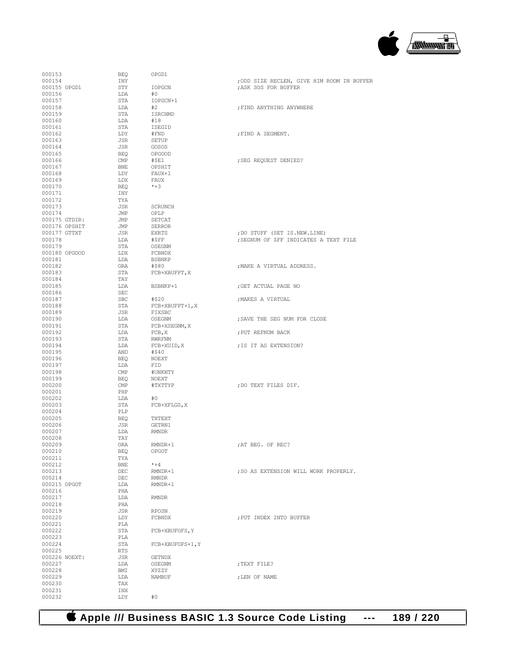# **Apple /// Business BASIC 1.3 Source Code Listing --- 189 / 220**

| 000153        | BEO        | OPGD1             |                                            |
|---------------|------------|-------------------|--------------------------------------------|
| 000154        | INY        |                   | ; ODD SIZE RECLEN, GIVE HIM ROOM IN BUFFER |
| 000155 OPGD1  | STY        | IOPGCN            | ; ASK SOS FOR BUFFER                       |
|               |            |                   |                                            |
| 000156        | LDA        | #0                |                                            |
| 000157        | STA        | IOPGCN+1          |                                            |
| 000158        | LDA        | #2                | ; FIND ANYTHING ANYWHERE                   |
| 000159        | STA        | ISRCHMD           |                                            |
| 000160        | LDA        | #18               |                                            |
| 000161        | STA        | ISEGID            |                                            |
| 000162        | LDY        | #FND              | ; FIND A SEGMENT.                          |
| 000163        | JSR        | SETUP             |                                            |
| 000164        | JSR        | GOSOS             |                                            |
| 000165        | BEQ        | <b>OPGOOD</b>     |                                            |
| 000166        | CMP        | #\$E1             | ; SEG REQUEST DENIED?                      |
| 000167        | BNE        | OPSHIT            |                                            |
| 000168        | LDY        | FAUX+1            |                                            |
| 000169        | LDX        | FAUX              |                                            |
| 000170        | BEQ        | $*+3$             |                                            |
|               |            |                   |                                            |
| 000171        | INY        |                   |                                            |
| 000172        | TYA        |                   |                                            |
| 000173        | JSR        | SCRUNCH           |                                            |
| 000174        | JMP        | OPLP              |                                            |
| 000175 GTDIR: | JMP        | SETCAT            |                                            |
| 000176 OPSHIT | JMP        | <b>SERROR</b>     |                                            |
| 000177 GTTXT  | JSR        | EXRTS             | ; DO STUFF (SET IS.NEW.LINE)               |
| 000178        | LDA        | #\$FF             | ; SEGNUM OF \$FF INDICATES A TEXT FILE     |
| 000179        | STA        | OSEGNM            |                                            |
| 000180 OPGOOD | LDX        | FCBNDX            |                                            |
| 000181        | LDA        | <b>BSBNKP</b>     |                                            |
| 000182        | ORA        | #\$80             | ; MAKE A VIRTUAL ADDRESS.                  |
| 000183        | STA        | FCB+XBUFPT, X     |                                            |
| 000184        | TAY        |                   |                                            |
| 000185        | LDA        | BSBNKP+1          | ; GET ACTUAL PAGE NO                       |
| 000186        | SEC        |                   |                                            |
| 000187        | SBC        | #\$20             | ; MAKES A VIRTUAL                          |
| 000188        | STA        | $FCB+XBUFFT+1, X$ |                                            |
| 000189        | JSR        | FIXSBC            |                                            |
|               |            |                   |                                            |
| 000190        | LDA        | OSEGNM            | ; SAVE THE SEG NUM FOR CLOSE               |
| 000191        | STA        | FCB+XSEGNM, X     |                                            |
| 000192        | LDA        | FCB, X            | ; PUT REFNUM BACK                          |
| 000193        | STA        | RWRFNM            |                                            |
| 000194        | LDA        | FCB+XUID, X       | ; IS IT AS EXTENSION?                      |
| 000195        | AND        | #\$40             |                                            |
| 000196        | BEQ        | NOEXT             |                                            |
| 000197        | LDA        | FID               |                                            |
| 000198        | CMP        | #UNKNTY           |                                            |
| 000199        | BEQ        | NOEXT             |                                            |
| 000200        | CMP        | #TXTTYP           | ; DO TEXT FILES DIF.                       |
| 000201        | PHP        |                   |                                            |
| 000202        | LDA        | #0                |                                            |
| 000203        | STA        | FCB+XFLGS, X      |                                            |
| 000204        | PLP        |                   |                                            |
| 000205        | BEQ        | TXTEXT            |                                            |
| 000206        | JSR        | GETRN1            |                                            |
| 000207        | LDA        | RMNDR             |                                            |
| 000208        | TAY        |                   |                                            |
| 000209        | ORA        | RMNDR+1           | ; AT BEG. OF REC?                          |
| 000210        | BEQ        | OPGOT             |                                            |
| 000211        | TYA        |                   |                                            |
| 000212        | <b>BNE</b> | $* + 4$           |                                            |
| 000213        | DEC        | RMNDR+1           | ; SO AS EXTENSION WILL WORK PROPERLY.      |
| 000214        | DEC        | <b>RMNDR</b>      |                                            |
| 000215 OPGOT  | LDA        | RMNDR+1           |                                            |
| 000216        | PHA        |                   |                                            |
| 000217        | LDA        | <b>RMNDR</b>      |                                            |
| 000218        | PHA        |                   |                                            |
| 000219        | JSR        | RPOSN             |                                            |
| 000220        | LDY        | FCBNDX            | ; PUT INDEX INTO BUFFER                    |
|               | PLA        |                   |                                            |
| 000221        |            |                   |                                            |
| 000222        | STA        | FCB+XBUFOFS, Y    |                                            |
| 000223        | PLA        |                   |                                            |
| 000224        | STA        | FCB+XBUFOFS+1, Y  |                                            |
| 000225        | <b>RTS</b> |                   |                                            |
| 000226 NOEXT: | JSR        | GETNDX            |                                            |
| 000227        | LDA        | OSEGNM            | ; TEXT FILE?                               |
| 000228        | BMI        | XYZZY             |                                            |
| 000229        | LDA        | NAMBUF            | ; LEN OF NAME                              |
| 000230        | TAX        |                   |                                            |
| 000231        | INX        |                   |                                            |
| 000232        | LDY        | #0                |                                            |

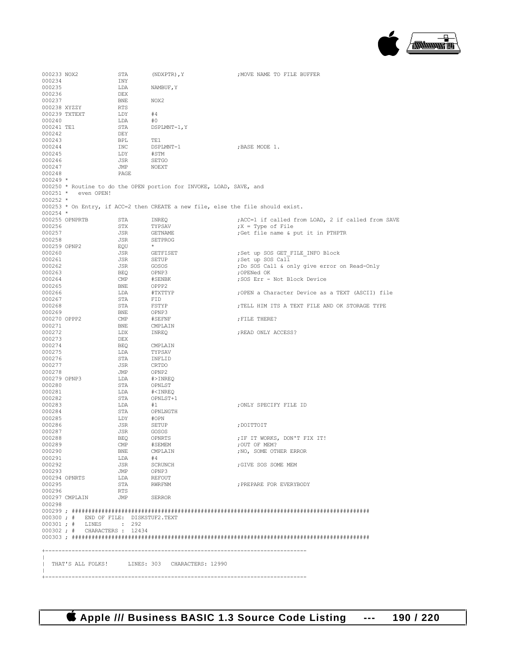

| 000233 NOX2       |                                       | STA            | (NDXPTR), Y                                                                       | ; MOVE NAME TO FILE BUFFER                        |
|-------------------|---------------------------------------|----------------|-----------------------------------------------------------------------------------|---------------------------------------------------|
| 000234            |                                       | INY            |                                                                                   |                                                   |
| 000235            |                                       | LDA            | NAMBUF, Y                                                                         |                                                   |
| 000236            |                                       | DEX            |                                                                                   |                                                   |
| 000237            |                                       | BNE            | NOX2                                                                              |                                                   |
|                   | 000238 XYZZY                          | RTS            |                                                                                   |                                                   |
|                   | 000239 TXTEXT                         | LDY            | #4                                                                                |                                                   |
| 000240            |                                       | LDA            | #0                                                                                |                                                   |
| 000241 TE1        |                                       | STA            | DSPLMNT-1, Y                                                                      |                                                   |
| 000242            |                                       | DEY            |                                                                                   |                                                   |
| 000243            |                                       | BPL            | TE1                                                                               |                                                   |
| 000244            |                                       | INC            | DSPLMNT-1                                                                         | ; BASE MODE 1.                                    |
| 000245            |                                       | LDY            | #STM                                                                              |                                                   |
| 000246            |                                       | JSR            | SETGO                                                                             |                                                   |
| 000247            |                                       | JMP            | NOEXT                                                                             |                                                   |
| 000248            |                                       | PAGE           |                                                                                   |                                                   |
| $000249$ *        |                                       |                |                                                                                   |                                                   |
|                   |                                       |                | 000250 * Routine to do the OPEN portion for INVOKE, LOAD, SAVE, and               |                                                   |
|                   | 000251 * even OPEN!                   |                |                                                                                   |                                                   |
| $000252 *$        |                                       |                |                                                                                   |                                                   |
|                   |                                       |                | $000253$ * On Entry, if ACC=2 then CREATE a new file, else the file should exist. |                                                   |
| $000254$ *        |                                       |                |                                                                                   |                                                   |
|                   | 000255 OPNPRTB                        | STA            | INREQ                                                                             | ;ACC=1 if called from LOAD, 2 if called from SAVE |
| 000256            |                                       | STX            | TYPSAV                                                                            | $;X = Type of File$                               |
| 000257            |                                       | JSR            | GETNAME                                                                           | ; Get file name & put it in PTHPTR                |
| 000258            |                                       | JSR            | SETPROG                                                                           |                                                   |
| 000259 OPNP2      |                                       | EQU            | $\star$                                                                           |                                                   |
| 000260            |                                       | JSR            | GETFISET                                                                          | ; Set up SOS GET FILE INFO Block                  |
| 000261            |                                       | JSR            | SETUP                                                                             | ;Set up SOS Call                                  |
| 000262            |                                       | JSR            | GOSOS                                                                             | ; Do SOS Call & only give error on Read-Only      |
| 000263            |                                       | BEQ            | OPNP3                                                                             | ;OPENed OK                                        |
| 000264            |                                       | $\mathsf{CMP}$ | #SENBK                                                                            | ;SOS Err - Not Block Device                       |
| 000265            |                                       | BNE            | OPPP2                                                                             |                                                   |
| 000266            |                                       | LDA            | #TXTTYP                                                                           | :OPEN a Character Device as a TEXT (ASCII) file   |
| 000267            |                                       | STA            | FID                                                                               |                                                   |
| 000268            |                                       | STA            | FSTYP                                                                             | ; TELL HIM ITS A TEXT FILE AND OK STORAGE TYPE    |
| 000269            |                                       | BNE            | OPNP3                                                                             |                                                   |
| 000270 OPPP2      |                                       | $\text{CMP}$   | #SEFNF                                                                            | ; FILE THERE?                                     |
| 000271            |                                       | BNE            | CMPLAIN                                                                           |                                                   |
| 000272            |                                       | LDX            | INREO                                                                             | ; READ ONLY ACCESS?                               |
| 000273            |                                       | DEX            |                                                                                   |                                                   |
| 000274            |                                       | BEQ            | CMPLAIN                                                                           |                                                   |
| 000275            |                                       | LDA            | TYPSAV                                                                            |                                                   |
| 000276            |                                       | STA            | INFLID                                                                            |                                                   |
| 000277            |                                       | JSR            | CRTDO                                                                             |                                                   |
| 000278            |                                       | JMP            | OPNP2                                                                             |                                                   |
| 000279 OPNP3      |                                       | LDA            | #>INREQ                                                                           |                                                   |
| 000280            |                                       | STA            | OPNLST                                                                            |                                                   |
| 000281            |                                       | LDA            | # <inreq< td=""><td></td></inreq<>                                                |                                                   |
| 000282            |                                       | STA            | OPNLST+1                                                                          |                                                   |
| 000283            |                                       | LDA            | #1                                                                                | ; ONLY SPECIFY FILE ID                            |
| 000284            |                                       | STA            | OPNLNGTH                                                                          |                                                   |
| 000285            |                                       |                |                                                                                   |                                                   |
|                   |                                       | LDY            | #OPN                                                                              |                                                   |
| 000286            |                                       | JSR            | SETUP                                                                             | ; DOITTOIT                                        |
| 000287            |                                       | JSR            | GOSOS                                                                             |                                                   |
| 000288            |                                       | <b>BEQ</b>     | OPNRTS                                                                            | ; IF IT WORKS, DON'T FIX IT!                      |
| 000289            |                                       | CMP            | #SEMEM                                                                            | :OUT OF MEM?                                      |
| 000290            |                                       | BNE            | CMPLAIN                                                                           | : NO. SOME OTHER ERROR                            |
| 000291            |                                       | LDA            | #4                                                                                |                                                   |
| 000292            |                                       | JSR            | SCRUNCH                                                                           | ;GIVE SOS SOME MEM                                |
| 000293            |                                       | <b>JMP</b>     | OPNP3                                                                             |                                                   |
|                   | 000294 OPNRTS                         | LDA            | REFOUT                                                                            |                                                   |
| 000295            |                                       | STA            | <b>RWRFNM</b>                                                                     | ; PREPARE FOR EVERYBODY                           |
| 000296            |                                       | RTS            |                                                                                   |                                                   |
|                   | 000297 CMPLAIN                        | <b>JMP</b>     | <b>SERROR</b>                                                                     |                                                   |
| 000298            |                                       |                |                                                                                   |                                                   |
|                   |                                       |                |                                                                                   |                                                   |
|                   | 000300; # END OF FILE: DISKSTUF2.TEXT |                |                                                                                   |                                                   |
|                   | 000301; # LINES : 292                 |                |                                                                                   |                                                   |
|                   | 000302 ; # CHARACTERS : 12434         |                |                                                                                   |                                                   |
|                   |                                       |                |                                                                                   |                                                   |
|                   |                                       |                |                                                                                   |                                                   |
|                   |                                       |                |                                                                                   |                                                   |
|                   |                                       |                |                                                                                   |                                                   |
|                   |                                       |                | THAT'S ALL FOLKS! LINES: 303 CHARACTERS: 12990                                    |                                                   |
|                   |                                       |                |                                                                                   |                                                   |
| $+ - - - - - - -$ |                                       |                |                                                                                   |                                                   |

 **Apple /// Business BASIC 1.3 Source Code Listing --- 190 / 220**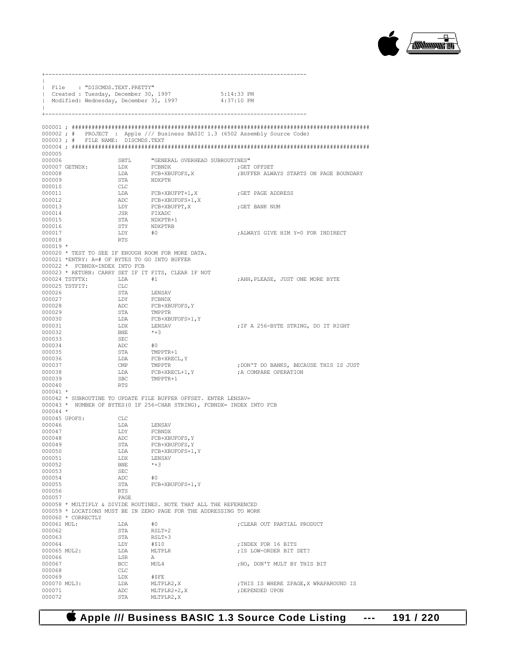

+-------------------------------------------------------------------------------  $\|$ | File : "DISCMDS.TEXT.PRETTY" | Created : Tuesday, December 30, 1997 5:14:33 PM Modified: Wednesday, December 31, 1997  $\|$ +------------------------------------------------------------------------------- 000001 ; ########################################################################################## 000002 ; # PROJECT : Apple /// Business BASIC 1.3 (6502 Assembly Source Code) 000003 ; # FILE NAME: DISCMDS.TEXT 000004 ; ########################################################################################## 000005 000006 SBTL "GENERAL OVERHEAD SUBROUTINES" 000007 GETNDX: LDX FCBNDX<br>000008 LDA FCB+XBUFOFS, X 000008 LDA FCB+XBUFOFS,X ;BUFFER ALWAYS STARTS ON PAGE BOUNDARY NDXPTR 000010 CLC 000011  $LDA$   $FCB+XBUFFT+1, X$  ;GET PAGE ADDRESS 000012 FCB+XBUFOFS+1.X 000013  $LDY$  FCB+XBUFPT, X ;GET BANK NUM 000014 JSR FIXADC 000014 JSR FIXADC 000015 STA NDXPTR+1<br>000016 STY NDXPTRB  $\begin{array}{cccc} 000016 & & & & \text{STY} & & & \text{NDXPTRB} \\ 000017 & & & & \text{LDY} & & \text{\#0} \end{array}$  ${\small \tt IDY \hspace{1cm} \tt \#0 \hspace{1cm} \tt \#0 \hspace{1cm} \tt \#0 \hspace{1cm} \tt \#0 \hspace{1cm} \tt \#0 \hspace{1cm} \tt \#0 \hspace{1cm} \tt \#0 \hspace{1cm} \tt \#0 \hspace{1cm} \tt \#0 \hspace{1cm} \tt \#0 \hspace{1cm} \tt \#0 \hspace{1cm} \tt \#0 \hspace{1cm} \tt \#0 \hspace{1cm} \tt \#0 \hspace{1cm} \tt \#0 \hspace{1cm} \tt \#0 \hspace{1cm} \tt \#0 \hspace{1cm} \tt \$ 000018 000019 \* 000020 \* TEST TO SEE IF ENOUGH ROOM FOR MORE DATA. 000021 \*ENTRY: A=# OF BYTES TO GO INTO BUFFER 000022 \* FCBNDX=INDEX INTO FCB 000023 \* RETURN: CARRY SET IF IT FITS, CLEAR IF NOT 000024 TSTFTX: LDA  $#1$  $$\tt HDA$$   $$\tt\#1$$  ,  $$\tt\#1$$  ,  $$\tt\#1$$  ,  $$\tt\#1$$  ,  $$\tt\#1$$  ,  $$\tt\#1$$ 000025 TSTFIT: CLC<br>000026 STA 000026 STA LENSAV 000027 DDY FCBNDX 000027 LDY FCBNDX<br>000028 ADC FCB+XB 000028 ADC FCB+XBUFOFS,Y 000029 STA TMPPTR<br>000030 T.DA FCB+XBI 000030 LDA FCB+XBUFOFS+1, Y <br/>  $$\tt LDX$$  LENSAV 000031 LDX LENSAV ;IF A 256-BYTE STRING, DO IT RIGHT 000032 BNE<br>000033 SEC 000033 SEC<br>000034 ADC 000034 ADC #0 000035 STA TMPPTR+1<br>000036 T.DA FCB+XREC LDA FCB+XRECL, Y<br>CMP TMPPTR 000037 CMP TMPPTR ;DON'T DO BANKS, BECAUSE THIS IS JUST 000038  $LDA$   $FCB+XRECL+1, Y$  ; A COMPARE OPERATION 000039 SBC  $TMPPTR+1$ SBC TMPPTR+1<br>RTS  $000040$ 000041 \* 000042 \* SUBROUTINE TO UPDATE FILE BUFFER OFFSET. ENTER LENSAV= 000043 \* NUMBER OF BYTES(0 IF 256-CHAR STRING), FCBNDX= INDEX INTO FCB 000044 \* 000045 UPOFS: CLC 000046 LDA LENSAV<br>000047 LDY FCBNDX 000047 LDY FCBNDX<br>000048 ADC FCB+XB 000048 ADC FCB+XBUFOFS,Y 000049 STA FCB+XBUFOFS,Y 000050 LDA FCB+XBUFOFS+1, Y
1000051
CDO051
LDX
LENSAV  $\begin{array}{lll}\n\text{LDX} & \text{LENSAV} \\
\text{BNE} & \star + 3\n\end{array}$ 000052 BNE <br>000053 SEC 000053 SEC<br>000054 ADC 000054 ADC #0<br>000055 STA FCE STA FCB+XBUFOFS+1, YRTS 000056 RTS<br>000057 PAGE 000057 PAGE 000058 \* MULTIPLY & DIVIDE ROUTINES. NOTE THAT ALL THE REFERENCED 000059 \* LOCATIONS MUST BE IN ZERO PAGE FOR THE ADDRESSING TO WORK 000060 \* CORRECTLY<br>000061 MUL: 000061 MUL: LDA  $\#0$  ; CLEAR OUT PARTIAL PRODUCT 000062 000062 STA RSLT+2<br>000063 STA RSLT+3 000063 STA RSLT+3<br>000064 LDY #\$10 000064 LDY #\$10 ;INDEX FOR 16 BITS  ${\tt IDA} \qquad \begin{array}{ll} {\tt MLTPLR} \\ {\tt IS} \end{array} \qquad \qquad {\tt JIS} \ {\tt LOW-ORDER} \ {\tt BIT} \ {\tt SET?}$  $\begin{array}{cccc}\texttt{1} & \texttt{1} & \texttt{1} & \texttt{0} & \texttt{0} & \texttt{0} & \texttt{0} & \texttt{0} & \texttt{0} & \texttt{0} & \texttt{0} & \texttt{0} & \texttt{0} & \texttt{0} & \texttt{0} & \texttt{0} & \texttt{0} & \texttt{0} & \texttt{0} & \texttt{0} & \texttt{0} & \texttt{0} & \texttt{0} & \texttt{0} & \texttt{0} & \texttt{0} & \texttt{0} & \texttt{0} & \texttt{0} & \texttt{0} & \texttt{$ ; NO, DON'T MULT BY THIS BIT 000068 CLC<br>000069 T.DX 000069 LDX #\$FE<br>000070 MUL3: LDA MLTPLR2.X 000070 MUL3: LDA MLTPLR2,X ;THIS IS WHERE ZPAGE,X WRAPAROUND IS 000071  $\overline{ADC}$   $\overline{MLPLR2+2,X}$  ; DEPENDED UPON 000072  $\overline{STA}$   $\overline{MLPLR2,X}$ MLTPLR2.X

#### **Apple /// Business BASIC 1.3 Source Code Listing --- 191 / 220**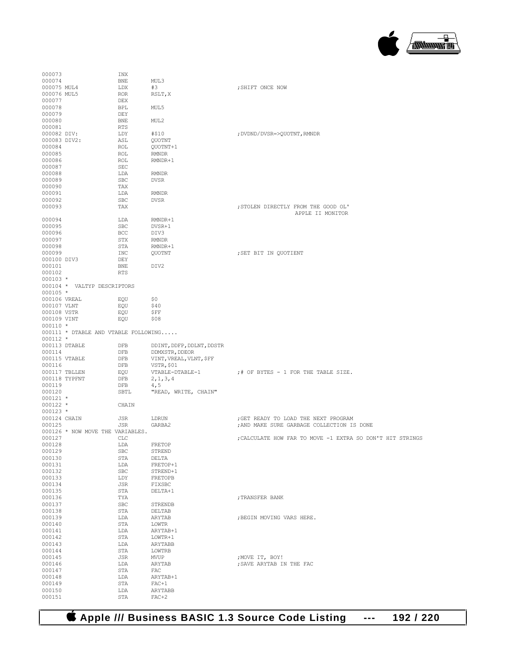

| 000073           |                                      | INX        |                           |                                                           |
|------------------|--------------------------------------|------------|---------------------------|-----------------------------------------------------------|
| 000074           |                                      | <b>BNE</b> | MUL3                      |                                                           |
| 000075 MUL4      |                                      | LDX        | #3                        | ; SHIFT ONCE NOW                                          |
| 000076 MUL5      |                                      | ROR        | RSLT, X                   |                                                           |
| 000077           |                                      | DEX        |                           |                                                           |
| 000078           |                                      | BPL        | MUL5                      |                                                           |
| 000079           |                                      | DEY        |                           |                                                           |
| 000080           |                                      | BNE        | MUL <sub>2</sub>          |                                                           |
| 000081           |                                      | <b>RTS</b> |                           |                                                           |
| 000082 DIV:      |                                      | LDY        | #\$10                     | ; DVDND/DVSR=>QUOTNT, RMNDR                               |
| 000083 DIV2:     |                                      | ASL        | QUOTNT                    |                                                           |
| 000084           |                                      | ROL        | QUOTNT+1                  |                                                           |
| 000085<br>000086 |                                      | ROL<br>ROL | RMNDR<br>RMNDR+1          |                                                           |
| 000087           |                                      | SEC        |                           |                                                           |
| 000088           |                                      | LDA        | <b>RMNDR</b>              |                                                           |
| 000089           |                                      | <b>SBC</b> | DVSR                      |                                                           |
| 000090           |                                      | TAX        |                           |                                                           |
| 000091           |                                      | LDA        | RMNDR                     |                                                           |
| 000092           |                                      | <b>SBC</b> | DVSR                      |                                                           |
| 000093           |                                      | TAX        |                           | ; STOLEN DIRECTLY FROM THE GOOD OL'                       |
|                  |                                      |            |                           | APPLE II MONITOR                                          |
| 000094           |                                      | LDA        | RMNDR+1                   |                                                           |
| 000095           |                                      | SBC        | DVSR+1                    |                                                           |
| 000096           |                                      | BCC        | DIV3                      |                                                           |
| 000097           |                                      | STX        | RMNDR                     |                                                           |
| 000098           |                                      | STA        | RMNDR+1                   |                                                           |
| 000099           |                                      | INC        | <b>OUOTNT</b>             | ; SET BIT IN OUOTIENT                                     |
| 000100 DIV3      |                                      | DEY        |                           |                                                           |
| 000101           |                                      | BNE        | DIV2                      |                                                           |
| 000102           |                                      | RTS        |                           |                                                           |
| $000103 *$       |                                      |            |                           |                                                           |
|                  | 000104 * VALTYP DESCRIPTORS          |            |                           |                                                           |
| $000105 *$       |                                      |            |                           |                                                           |
| 000106 VREAL     |                                      | EQU        | Ş0                        |                                                           |
| 000107 VLNT      |                                      | EQU        | \$40                      |                                                           |
| 000108 VSTR      |                                      | EQU        | ŞFF                       |                                                           |
| 000109 VINT      |                                      | EQU        | \$08                      |                                                           |
| 000110 *         | 000111 * DTABLE AND VTABLE FOLLOWING |            |                           |                                                           |
| 000112 *         |                                      |            |                           |                                                           |
|                  | 000113 DTABLE                        | DFB        | DDINT, DDFP, DDLNT, DDSTR |                                                           |
| 000114           |                                      | DFB        | DDMXSTR, DDEOR            |                                                           |
|                  | 000115 VTABLE                        | DFB        | VINT, VREAL, VLNT, \$FF   |                                                           |
| 000116           |                                      | DFB        | VSTR, \$01                |                                                           |
|                  | 000117 TBLLEN                        | EQU        | VTABLE-DTABLE-1           | ;# OF BYTES - 1 FOR THE TABLE SIZE.                       |
|                  | 000118 TYPFNT                        | DFB        | 2, 1, 3, 4                |                                                           |
| 000119           |                                      | DFB        | 4,5                       |                                                           |
| 000120           |                                      | SBTL       | "READ, WRITE, CHAIN"      |                                                           |
| 000121 *         |                                      |            |                           |                                                           |
| 000122 *         |                                      | CHAIN      |                           |                                                           |
| 000123 *         |                                      |            |                           |                                                           |
| 000124 CHAIN     |                                      | JSR        | LDRUN                     | ; GET READY TO LOAD THE NEXT PROGRAM                      |
| 000125           |                                      | JSR        | GARBA2                    | ; AND MAKE SURE GARBAGE COLLECTION IS DONE                |
|                  | 000126 * NOW MOVE THE VARIABLES.     |            |                           |                                                           |
| 000127           |                                      | CLC        |                           | ; CALCULATE HOW FAR TO MOVE -1 EXTRA SO DON'T HIT STRINGS |
| 000128           |                                      | LDA        | FRETOP                    |                                                           |
| 000129           |                                      | SBC        | STREND                    |                                                           |
| 000130           |                                      | STA        | DELTA                     |                                                           |
| 000131           |                                      | LDA        | FRETOP+1                  |                                                           |
| 000132           |                                      | SBC        | STREND+1                  |                                                           |
| 000133           |                                      | LDY        | FRETOPB                   |                                                           |
| 000134           |                                      | JSR        | FIXSBC                    |                                                           |
| 000135           |                                      | STA        | DELTA+1                   |                                                           |
| 000136           |                                      | TYA        |                           | ; TRANSFER BANK                                           |
| 000137<br>000138 |                                      | SBC<br>STA | STRENDB<br>DELTAB         |                                                           |
| 000139           |                                      |            |                           |                                                           |
| 000140           |                                      | LDA<br>STA | ARYTAB<br>LOWTR           | ; BEGIN MOVING VARS HERE.                                 |
| 000141           |                                      | LDA        | ARYTAB+1                  |                                                           |
| 000142           |                                      | STA        | LOWTR+1                   |                                                           |
| 000143           |                                      | LDA        | ARYTABB                   |                                                           |
| 000144           |                                      | STA        | LOWTRB                    |                                                           |
| 000145           |                                      | JSR        | MVUP                      | ; MOVE IT, BOY!                                           |
| 000146           |                                      | LDA        | ARYTAB                    | ; SAVE ARYTAB IN THE FAC                                  |
| 000147           |                                      | STA        | FAC                       |                                                           |
| 000148           |                                      | LDA        | ARYTAB+1                  |                                                           |
| 000149           |                                      | STA        | $FAC+1$                   |                                                           |
| 000150           |                                      | LDA        | ARYTABB                   |                                                           |
| 000151           |                                      | STA        | $FAC+2$                   |                                                           |
|                  |                                      |            |                           |                                                           |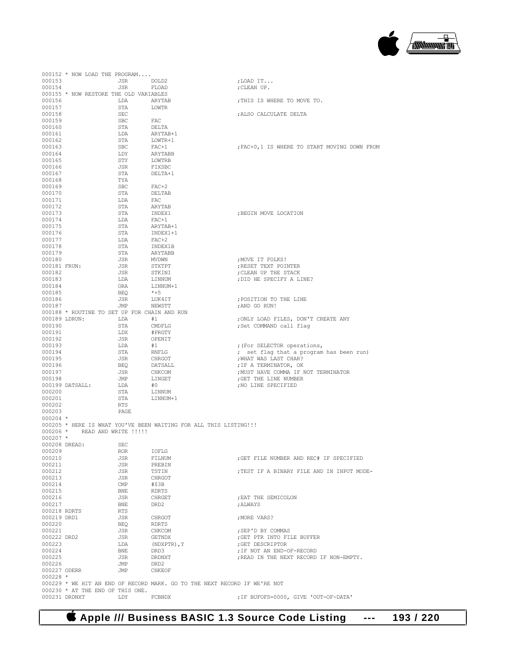#### **Apple /// Business BASIC 1.3 Source Code Listing --- 193 / 220**

|               |                 | 000152 * NOW LOAD THE PROGRAM           |                                                                   |                                                                           |
|---------------|-----------------|-----------------------------------------|-------------------------------------------------------------------|---------------------------------------------------------------------------|
| 000153        |                 | JSR                                     | DOLD2                                                             | ;LOAD IT                                                                  |
| 000154        |                 | JSR                                     | FLOAD                                                             | ; CLEAN UP.                                                               |
|               |                 | 000155 * NOW RESTORE THE OLD VARIABLES  |                                                                   |                                                                           |
|               |                 |                                         |                                                                   |                                                                           |
| 000156        |                 | LDA                                     | ARYTAB                                                            | ; THIS IS WHERE TO MOVE TO.                                               |
| 000157        |                 | STA                                     | LOWTR                                                             |                                                                           |
| 000158        |                 | SEC                                     |                                                                   | ; ALSO CALCULATE DELTA                                                    |
| 000159        |                 | SBC                                     | FAC                                                               |                                                                           |
| 000160        |                 | STA                                     | DELTA                                                             |                                                                           |
| 000161        |                 | LDA                                     | ARYTAB+1                                                          |                                                                           |
| 000162        |                 | STA                                     | LOWTR+1                                                           |                                                                           |
| 000163        |                 | SBC                                     | FAC+1                                                             | ; FAC+0, 1 IS WHERE TO START MOVING DOWN FROM                             |
|               |                 |                                         |                                                                   |                                                                           |
| 000164        |                 | LDY                                     | ARYTABB                                                           |                                                                           |
| 000165        |                 | STY                                     | LOWTRB                                                            |                                                                           |
| 000166        |                 | JSR                                     | FIXSBC                                                            |                                                                           |
| 000167        |                 | STA                                     | DELTA+1                                                           |                                                                           |
| 000168        |                 | TYA                                     |                                                                   |                                                                           |
| 000169        |                 | SBC                                     | $FAC+2$                                                           |                                                                           |
| 000170        |                 | STA                                     | DELTAB                                                            |                                                                           |
| 000171        |                 | LDA                                     | FAC                                                               |                                                                           |
| 000172        |                 | STA                                     | ARYTAB                                                            |                                                                           |
|               |                 |                                         |                                                                   |                                                                           |
| 000173        |                 | STA                                     | INDEX1                                                            | ; BEGIN MOVE LOCATION                                                     |
| 000174        |                 | LDA                                     | FAC+1                                                             |                                                                           |
| 000175        |                 | STA                                     | ARYTAB+1                                                          |                                                                           |
| 000176        |                 | STA                                     | INDEX1+1                                                          |                                                                           |
| 000177        |                 | LDA                                     | FAC+2                                                             |                                                                           |
| 000178        |                 | STA                                     | INDEX1B                                                           |                                                                           |
| 000179        |                 | STA                                     | ARYTABB                                                           |                                                                           |
|               |                 |                                         |                                                                   |                                                                           |
| 000180        |                 | JSR                                     | MVDWN                                                             | ; MOVE IT FOLKS!                                                          |
| 000181 FRUN:  |                 | JSR                                     | STXTPT                                                            | ERESET TEXT POINTER                                                       |
| 000182        |                 | JSR                                     | STKINI                                                            | CLEAN UP THE STACK                                                        |
| 000183        |                 | LDA                                     | LINNUM                                                            | ; DID HE SPECIFY A LINE?                                                  |
| 000184        |                 | ORA                                     | LINNUM+1                                                          |                                                                           |
| 000185        |                 | BEQ                                     | $*+5$                                                             |                                                                           |
| 000186        |                 | JSR                                     | LUK4IT                                                            | ; POSITION TO THE LINE                                                    |
| 000187        |                 | JMP                                     | NEWSTT                                                            | ;AND GO RUN!                                                              |
|               |                 |                                         | 000188 * ROUTINE TO SET UP FOR CHAIN AND RUN                      |                                                                           |
|               |                 |                                         |                                                                   |                                                                           |
| 000189 LDRUN: |                 | LDA                                     | #1                                                                | ;ONLY LOAD FILES, DON'T CREATE ANY                                        |
| 000190        |                 | STA                                     | CMDFLG                                                            | ;Set COMMAND call flag                                                    |
| 000191        |                 | LDX                                     | #PRGTY                                                            |                                                                           |
| 000192        |                 | JSR                                     | OPENIT                                                            |                                                                           |
| 000193        |                 | LDA                                     | #1                                                                | ; (For SELECTOR operations,                                               |
| 000194        |                 | STA                                     | RNFLG                                                             | ; set flag that a program has been run)                                   |
| 000195        |                 | JSR                                     | CHRGOT                                                            | ; WHAT WAS LAST CHAR?                                                     |
|               |                 |                                         |                                                                   |                                                                           |
| 000196        |                 | BEQ                                     | DATSALL                                                           | ; IF A TERMINATOR, OK                                                     |
| 000197        |                 | JSR                                     | CHKCOM                                                            | ; MUST HAVE COMMA IF NOT TERMINATOR                                       |
| 000198        |                 | JMP                                     | LINGET                                                            | ; GET THE LINE NUMBER                                                     |
|               | 000199 DATSALL: | LDA                                     | #0                                                                | ; NO LINE SPECIFIED                                                       |
| 000200        |                 | STA                                     | LINNUM                                                            |                                                                           |
| 000201        |                 | STA                                     | LINNUM+1                                                          |                                                                           |
| 000202        |                 | RTS                                     |                                                                   |                                                                           |
| 000203        |                 | PAGE                                    |                                                                   |                                                                           |
| $000204$ *    |                 |                                         |                                                                   |                                                                           |
|               |                 |                                         |                                                                   |                                                                           |
|               |                 |                                         | 000205 * HERE IS WHAT YOU'VE BEEN WAITING FOR ALL THIS LISTING!!! |                                                                           |
|               |                 |                                         |                                                                   |                                                                           |
|               |                 | 000206 * READ AND WRITE !!!!!           |                                                                   |                                                                           |
| 000207 *      |                 |                                         |                                                                   |                                                                           |
| 000208 DREAD: |                 | SEC                                     |                                                                   |                                                                           |
| 000209        |                 | ROR                                     | IOFLG                                                             |                                                                           |
| 000210        |                 | JSR                                     | FILNUM                                                            | ; GET FILE NUMBER AND REC# IF SPECIFIED                                   |
|               |                 |                                         |                                                                   |                                                                           |
| 000211        |                 | JSR                                     | PREBIN                                                            |                                                                           |
| 000212        |                 | JSR                                     | TSTIN                                                             | ; TEST IF A BINARY FILE AND IN INPUT MODE-                                |
| 000213        |                 | JSR                                     | CHRGOT                                                            |                                                                           |
| 000214        |                 | CMP                                     | #53B                                                              |                                                                           |
| 000215        |                 | BNE                                     | RDRTS                                                             |                                                                           |
| 000216        |                 | JSR                                     | CHRGET                                                            | ; EAT THE SEMICOLON                                                       |
| 000217        |                 | BNE                                     | DRD2                                                              | ;ALWAYS                                                                   |
| 000218 RDRTS  |                 | RTS                                     |                                                                   |                                                                           |
|               |                 |                                         |                                                                   |                                                                           |
| 000219 DRD1   |                 | JSR                                     | CHRGOT                                                            | ; MORE VARS?                                                              |
| 000220        |                 | BEQ                                     | RDRTS                                                             |                                                                           |
| 000221        |                 | JSR                                     | CHKCOM                                                            | ;SEP'D BY COMMAS                                                          |
| 000222 DRD2   |                 | JSR                                     | GETNDX                                                            | GET PTR INTO FILE BUFFER,                                                 |
| 000223        |                 | LDA                                     | (NDXPTR), Y                                                       | ; GET DESCRIPTOR                                                          |
| 000224        |                 | BNE                                     | DRD3                                                              | ; IF NOT AN END-OF-RECORD                                                 |
| 000225        |                 | JSR                                     | DRDNXT                                                            | ; READ IN THE NEXT RECORD IF NON-EMPTY.                                   |
|               |                 |                                         |                                                                   |                                                                           |
| 000226        |                 | JMP                                     | DRD2                                                              |                                                                           |
| 000227 ODERR  |                 | JMP                                     | CHKEOF                                                            |                                                                           |
| 000228 *      |                 |                                         |                                                                   |                                                                           |
|               |                 |                                         |                                                                   | 000229 * WE HIT AN END OF RECORD MARK. GO TO THE NEXT RECORD IF WE'RE NOT |
|               | 000231 DRDNXT   | 000230 * AT THE END OF THIS ONE.<br>LDY | FCBNDX                                                            | ; IF BUFOFS=0000, GIVE 'OUT-OF-DATA'                                      |

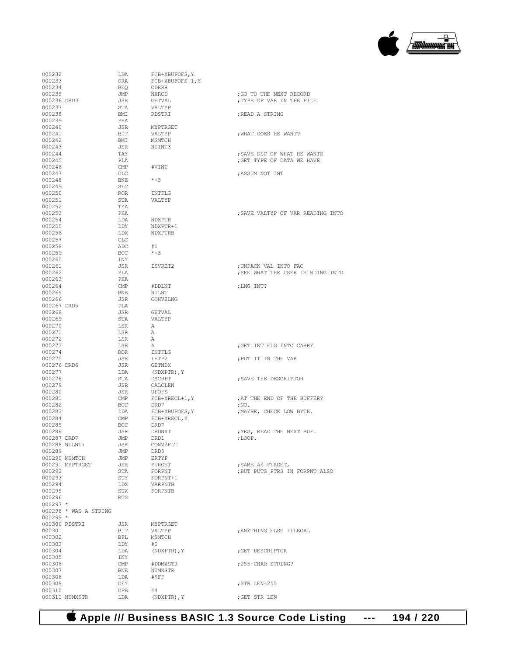#### **Apple /// Business BASIC 1.3 Source Code Listing --- 194 / 220**

| 000232        |                       | LDA        | FCB+XBUFOFS, Y    |                                   |
|---------------|-----------------------|------------|-------------------|-----------------------------------|
| 000233        |                       | ORA        | FCB+XBUFOFS+1, Y  |                                   |
| 000234        |                       | BEO        | ODERR             |                                   |
| 000235        |                       | JMP        | NXRCD             | ; GO TO THE NEXT RECORD           |
|               |                       |            |                   |                                   |
| 000236 DRD3   |                       | JSR        | GETVAL            | ; TYPE OF VAR IN THE FILE         |
| 000237        |                       | STA        | VALTYP            |                                   |
| 000238        |                       | BMI        | RDSTRI            | ; READ A STRING                   |
| 000239        |                       | PHA        |                   |                                   |
| 000240        |                       | JSR        | MYPTRGET          |                                   |
| 000241        |                       | BIT        | VALTYP            | ; WHAT DOES HE WANT?              |
| 000242        |                       | BMI        | MSMTCH            |                                   |
|               |                       |            |                   |                                   |
| 000243        |                       | JSR        | NTINT3            |                                   |
| 000244        |                       | TAY        |                   | ; SAVE DSC OF WHAT HE WANTS       |
| 000245        |                       | PLA        |                   | ; GET TYPE OF DATA WE HAVE        |
| 000246        |                       | CMP        | #VINT             |                                   |
| 000247        |                       | CLC        |                   | ; ASSUM NOT INT                   |
| 000248        |                       | BNE        | $*+3$             |                                   |
| 000249        |                       | SEC        |                   |                                   |
| 000250        |                       | ROR        | INTFLG            |                                   |
|               |                       |            |                   |                                   |
| 000251        |                       | STA        | VALTYP            |                                   |
| 000252        |                       | TYA        |                   |                                   |
| 000253        |                       | PHA        |                   | ; SAVE VALTYP OF VAR READING INTO |
| 000254        |                       | LDA        | NDXPTR            |                                   |
| 000255        |                       | LDY        | NDXPTR+1          |                                   |
| 000256        |                       | LDX        | NDXPTRB           |                                   |
| 000257        |                       | CLC        |                   |                                   |
| 000258        |                       | ADC        | #1                |                                   |
|               |                       |            |                   |                                   |
| 000259        |                       | BCC        | $*+3$             |                                   |
| 000260        |                       | INY        |                   |                                   |
| 000261        |                       | JSR        | ISVRET2           | ; UNPACK VAL INTO FAC             |
| 000262        |                       | PLA        |                   | ; SEE WHAT THE USER IS RDING INTO |
| 000263        |                       | PHA        |                   |                                   |
| 000264        |                       | CMP        | #DDLNT            | ; LNG INT?                        |
| 000265        |                       | BNE        | <b>NTLNT</b>      |                                   |
|               |                       |            |                   |                                   |
| 000266        |                       | JSR        | CONV2LNG          |                                   |
| 000267 DRD5   |                       | PLA        |                   |                                   |
| 000268        |                       | JSR        | GETVAL            |                                   |
| 000269        |                       | STA        | VALTYP            |                                   |
| 000270        |                       | LSR        | A                 |                                   |
| 000271        |                       | LSR        | А                 |                                   |
| 000272        |                       |            |                   |                                   |
|               |                       | LSR        | А                 |                                   |
| 000273        |                       | LSR        | А                 | ; GET INT FLG INTO CARRY          |
| 000274        |                       | ROR        | INTFLG            |                                   |
| 000275        |                       | JSR        | LETP2             | ; PUT IT IN THE VAR               |
| 000276 DRD6   |                       | JSR        | GETNDX            |                                   |
| 000277        |                       | LDA        | (NDXPTR), Y       |                                   |
| 000278        |                       | STA        | DSCRPT            | ; SAVE THE DESCRIPTOR             |
| 000279        |                       | JSR        | CALCLEN           |                                   |
|               |                       |            |                   |                                   |
| 000280        |                       | JSR        | UPOFS             |                                   |
| 000281        |                       | CMP        | $FCB+XRECL+1, Y$  | ; AT THE END OF THE BUFFER?       |
| 000282        |                       | BCC        | DRD7              | ;NO.                              |
| 000283        |                       | LDA        | FCB+XBUFOFS, Y    | ; MAYBE, CHECK LOW BYTE.          |
| 000284        |                       | CMP        | FCB+XRECL, Y      |                                   |
| 000285        |                       | BCC        | DRD7              |                                   |
| 000286        |                       | JSR        | <b>DRDNXT</b>     | ; YES, READ THE NEXT BUF.         |
|               |                       |            |                   |                                   |
| 000287 DRD7   |                       | JMP        | DRD1              | ;LOOP.                            |
| 000288 NTLNT: |                       | JSR        | CONV2FLT          |                                   |
| 000289        |                       | JMP        | DRD5              |                                   |
|               | 000290 MSMTCH         | JMP        | ERTYP             |                                   |
|               | 000291 MYPTRGET       | JSR        | PTRGET            | ; SAME AS PTRGET,                 |
| 000292        |                       | STA        | FORPNT            | ; BUT PUTS PTRS IN FORPNT ALSO    |
| 000293        |                       | STY        | FORPNT+1          |                                   |
| 000294        |                       | LDX        | VARPNTB           |                                   |
| 000295        |                       |            |                   |                                   |
|               |                       | STX        | FORPNTB           |                                   |
| 000296        |                       | RTS        |                   |                                   |
| $000297$ *    |                       |            |                   |                                   |
|               | 000298 * WAS A STRING |            |                   |                                   |
| $000299 *$    |                       |            |                   |                                   |
| 000300 RDSTRI |                       | JSR        | MYPTRGET          |                                   |
| 000301        |                       | BIT        | VALTYP            | ; ANYTHING ELSE ILLEGAL           |
| 000302        |                       |            |                   |                                   |
|               |                       | BPL        | MSMTCH            |                                   |
| 000303        |                       | LDY        | #O                |                                   |
| 000304        |                       | LDA        | (NDXPTR), Y       | ; GET DESCRIPTOR                  |
| 000305        |                       | INY        |                   |                                   |
| 000306        |                       | CMP        | #DDMXSTR          | ;255-CHAR STRING?                 |
| 000307        |                       | BNE        | NTMXSTR           |                                   |
| 000308        |                       | LDA        | #SFF              |                                   |
| 000309        |                       | DEY        |                   |                                   |
|               |                       |            |                   | ; STR LEN=255                     |
|               |                       |            |                   |                                   |
| 000310        | 000311 NTMXSTR        | DFB<br>LDA | 44<br>(NDXPTR), Y | ;GET STR LEN                      |

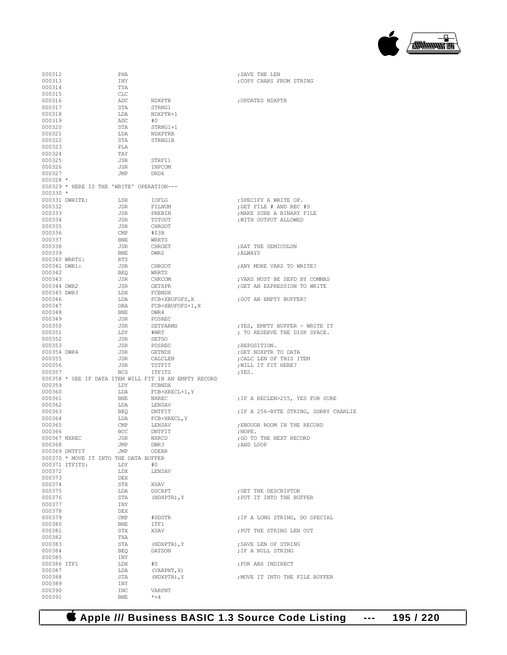# **Apple /// Business BASIC 1.3 Source Code Listing --- 195 / 220**

| 000312       | PHA                                                   |                  | ; SAVE THE LEN                       |
|--------------|-------------------------------------------------------|------------------|--------------------------------------|
| 000313       | INY                                                   |                  | ; COPY CHARS FROM STRING             |
| 000314       | TYA                                                   |                  |                                      |
| 000315       | CLC                                                   |                  |                                      |
| 000316       | ADC                                                   | NDXPTR           | ;UPDATES NDXPTR                      |
| 000317       | STA                                                   | STRNG1           |                                      |
| 000318       | LDA                                                   | NDXPTR+1         |                                      |
| 000319       | ADC                                                   | #0               |                                      |
| 000320       |                                                       |                  |                                      |
|              | STA                                                   | STRNG1+1         |                                      |
| 000321       | LDA                                                   | NDXPTRB          |                                      |
| 000322       | STA                                                   | STRNG1B          |                                      |
| 000323       | PLA                                                   |                  |                                      |
| 000324       | TAY                                                   |                  |                                      |
| 000325       | JSR                                                   | STRFI1           |                                      |
| 000326       | JSR                                                   | INPCOM           |                                      |
| 000327       | <b>JMP</b>                                            | DRD6             |                                      |
| 000328 *     |                                                       |                  |                                      |
|              | 000329 * HERE IS THE 'WRITE' OPERATION---             |                  |                                      |
| 000330 *     |                                                       |                  |                                      |
|              | 000331 DWRITE:<br>LSR                                 | IOFLG            | ; SPECIFY A WRITE OP.                |
| 000332       | JSR                                                   | FILNUM           | ; GET FILE $#$ AND REC $#S$          |
| 000333       | JSR                                                   | PREBIN           | ; MAKE SURE A BINARY FILE            |
| 000334       | JSR                                                   | TSTOUT           | WITH OUTPUT ALLOWED                  |
| 000335       | JSR                                                   | CHRGOT           |                                      |
| 000336       | CMP                                                   | #\$3B            |                                      |
| 000337       | <b>BNE</b>                                            | WRRTS            |                                      |
| 000338       | JSR                                                   | CHRGET           | : EAT THE SEMICOLON                  |
| 000339       | <b>BNE</b>                                            | DWR2             | ; ALWAYS                             |
|              | 000340 WRRTS:                                         |                  |                                      |
|              | RTS                                                   |                  | : ANY MORE VARS TO WRITE?            |
| 000341 DWR1: | JSR                                                   | CHRGOT           |                                      |
| 000342       | BEO                                                   | WRRTS            |                                      |
| 000343       | JSR                                                   | CHKCOM           | ; VARS MUST BE SEPD BY COMMAS        |
| 000344 DWR2  | JSR                                                   | GETXPR           | ; GET AN EXPRESSION TO WRITE         |
| 000345 DWR3  | LDX                                                   | FCBNDX           |                                      |
| 000346       | LDA                                                   | FCB+XBUFOFS, X   | GOT AN EMPTY BUFFER?                 |
| 000347       | ORA                                                   | FCB+XBUFOFS+1, X |                                      |
| 000348       | <b>BNE</b>                                            | DWR4             |                                      |
| 000349       | JSR                                                   | POSREC           |                                      |
| 000350       | JSR                                                   | SETPARMS         | ; YES, EMPTY BUFFER - WRITE IT       |
| 000351       | LDY                                                   | #WRT             | ; TO RESERVE THE DISK SPACE.         |
| 000352       | JSR                                                   | SETGO            |                                      |
| 000353       | JSR                                                   | POSREC           | ;REPOSITION.                         |
| 000354 DWR4  | JSR                                                   | GETNDX           | ;GET NDXPTR TO DATA                  |
| 000355       | JSR                                                   | CALCLEN          | CALC LEN OF THIS ITEM;               |
| 000356       | JSR                                                   | TSTFIT           | , WILL IT FIT HERE?                  |
| 000357       | BCS                                                   | <b>ITFITS</b>    | ;YES.                                |
|              |                                                       |                  |                                      |
|              | 000358 * SEE IF DATA ITEM WILL FIT IN AN EMPTY RECORD |                  |                                      |
| 000359       |                                                       | LDY FCBNDX       |                                      |
| 000360       | LDA                                                   | FCB+XRECL+1, Y   |                                      |
| 000361       | BNE                                                   | NXREC            | ; IF A RECLEN>255, YES FOR SURE      |
| 000362       | LDA                                                   | LENSAV           |                                      |
| 000363       | BEQ                                                   | DNTFIT           | IF A 256-BYTE STRING, SORRY CHARLIE, |
| 000364       | LDA                                                   | FCB+XRECL, Y     |                                      |
| 000365       | CMP                                                   | LENSAV           | ; ENOUGH ROOM IN THE RECORD          |
| 000366       | BCC                                                   | DNTFIT           | ; NOPE.                              |
|              | 000367 NXREC<br>JSR                                   | NXRCD            | ; GO TO THE NEXT RECORD              |
| 000368       | JMP                                                   | DWR3             | ; AND LOOP                           |
|              | 000369 DNTFIT<br>JMP                                  | ODERR            |                                      |
|              | 000370 * MOVE IT INTO THE DATA BUFFER                 |                  |                                      |
|              | 000371 ITFITS:<br>LDY                                 | #0               |                                      |
| 000372       | LDX                                                   | LENSAV           |                                      |
| 000373       | DEX                                                   |                  |                                      |
| 000374       | STX                                                   | XSAV             |                                      |
| 000375       | LDA                                                   | DSCRPT           | GET THE DESCRIPTOR                   |
| 000376       | STA                                                   | (NDXPTR), Y      | ; PUT IT INTO THE BUFFER             |
| 000377       |                                                       |                  |                                      |
| 000378       | INY<br>DEX                                            |                  |                                      |
|              |                                                       |                  |                                      |
| 000379       | CMP                                                   | #DDSTR           | ; IF A LONG STRING, DO SPECIAL       |
| 000380       | BNE                                                   | ITF1             |                                      |
| 000381       | STX                                                   | XSAV             | ; PUT THE STRING LEN OUT             |
| 000382       | TXA                                                   |                  |                                      |
| 000383       | STA                                                   | (NDXPTR), Y      | ; SAVE LEN OF STRING                 |
| 000384       | BEQ                                                   | DATDON           | ; IF A NULL STRING                   |
| 000385       | INY                                                   |                  |                                      |
| 000386 ITF1  | LDX                                                   | #0               | ; FOR ABS INDIRECT                   |
| 000387       | LDA                                                   | (VARPNT, X)      |                                      |
| 000388       | STA                                                   | (NDXPTR), Y      | ; MOVE IT INTO THE FILE BUFFER       |
| 000389       | INY                                                   |                  |                                      |
| 000390       | INC                                                   | VARPNT           |                                      |
| 000391       | BNE                                                   | $*+4$            |                                      |
|              |                                                       |                  |                                      |

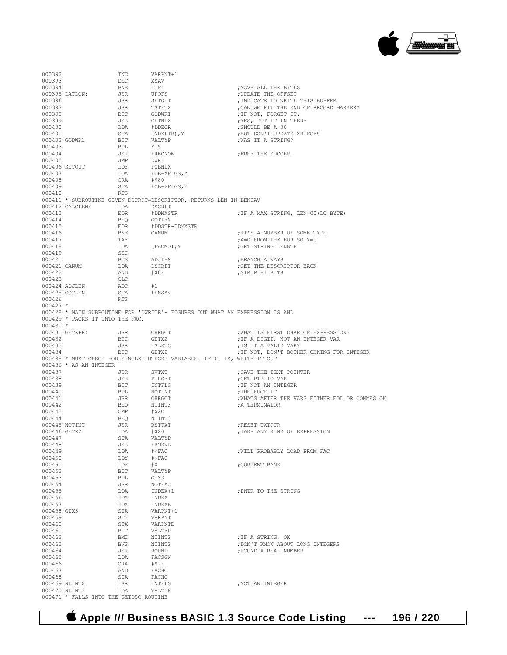

000392 INC VARPNT+1 000393 DEC XSAV<br>000394 BNE ITF1 000394 BNE ITF1 ;MOVE ALL THE BYTES 000395 DATDON: JSR UPOFS ;UPDATE THE OFFSET 000396 JSR SETOUT ;INDICATE TO WRITE THIS BUFFER 000397 JSR TSTFTX ;CAN WE FIT THE END OF RECORD MARKER? 000398 BCC GODWR1 ;IF NOT, FORGET IT. 000399 JSR GETNDX ;YES, PUT IT IN THERE  $\begin{array}{ll}\n\text{\#DDEOR} \\
\text{(NDXPTR)}, \text{Y}\n\end{array}\n\quad\n\begin{array}{ll}\n\text{F} \\
\text{P} \\
\text{F} \\
\text{D} \\
\text{D} \\
\text{D} \\
\text{S} \\
\text{P} \\
\text{D} \\
\text{P} \\
\text{P} \\
\text{S} \\
\text{S} \\
\text{P} \\
\text{S} \\
\text{S} \\
\text{P} \\
\text{S} \\
\text{S} \\
\text{S} \\
\text{S} \\
\text{S} \\
\text{S} \\
\text{S} \\
\text{S} \\
\text{S} \\
\text{S} \\
\text{S} \\
\text{S} \\$ 000401 STA (NDXPTR),Y ;BUT DON'T UPDATE XBUFOFS  $\begin{array}{cc}\n\text{VALITYP} \\
\text{*+5}\n\end{array}$  ; WAS IT A STRING? 000403 BPL \*+5<br>000404 JSR FRECNOW JSR FRECNOW **;FREE THE SUCCER.**<br>JMP DWR1 000405 **JMP** DWR1<br>000406 SETOUT LDY FORNDX  $000406$  SETOUT 000407 LDA FCB+XFLGS, Y<br>000408 0RA #\$80  $000408$  000409 STA FCB+XFLGS, Y 000410 RTS 000411 \* SUBROUTINE GIVEN DSCRPT=DESCRIPTOR, RETURNS LEN IN LENSAV 000412 CALCLEN: LDA DSCRPT<br>000413 FOR #DDMXSTR 000413 EOR #DDMXSTR ;IF A MAX STRING, LEN=00(LO BYTE) 000414 BEQ GOTLEN<br>000415 ROR #DDSTR- $\begin{tabular}{llllll} \multicolumn{2}{l}{{\small 000415}} & & & & & {\small EOR} & & \multicolumn{2}{l}{{\small 000416}} \\ & & & & & {\small EOR} & & \multicolumn{2}{l}{{\small 000416}} \\ & & & & {\small DMS} & & \multicolumn{2}{l}{{\small 000416}} & & & \\ \multicolumn{2}{l}{{\small 000416}} & & & & {\small DMS} & & \multicolumn{2}{l}{{\small 000416}} & & & \\ \multicolumn{2}{l}{{\small 000416}} & & & & {\small DMS}$ 000416 BNE CANUM ;IT'S A NUMBER OF SOME TYPE 000417 TAY  $\begin{array}{ccc} 0.00417 & TAY \\ 0.00418 & LDA \end{array}$  ; A=0 FROM THE EOR SO Y=0  ${\tt LDA} \hspace{1.2cm} {\tt (FACMO) \textit{, Y}} \hspace{2.2cm} {\tt \tt \hspace{.6cm} ;} {\tt GET \hspace{.3cm} STRING \hspace{.1cm} LENGTH}$ 000419 SEC<br>000420 RCS 000420 BCS ADJLEN ;BRANCH ALWAYS 000421 CANUM LDA DSCRPT (GET THE DESCRIPTOR BACK 000422 AND #\$0F ;STRIP HI BITS 000423 CLC<br>000424 ADJLEN ADC % 000424 ADJLEN ADC #1<br>000425 GOTLEN STA LENSAV 000425 GOTLEN STA<br>000426 RTS 000426 000427 \* 000428 \* MAIN SUBROUTINE FOR 'DWRITE'- FIGURES OUT WHAT AN EXPRESSION IS AND 000429 \* PACKS IT INTO THE FAC. 000430 \*<br>000431 GETXPR: 000431 GETXPR: JSR CHRGOT ;WHAT IS FIRST CHAR OF EXPRESSION? 000432 BCC GETX2 ;IF A DIGIT, NOT AN INTEGER VAR ; IS IT A VALID VAR? 000434 BCC GETX2 ; IF NOT, DON'T BOTHER CHKING FOR INTEGER 000435 \* MUST CHECK FOR SINGLE INTEGER VARIABLE. IF IT IS, WRITE IT OUT 000436 \* AS AN INTEGER<br>000437 000437 JSR SVTXT ;SAVE THE TEXT POINTER 000438 JSR PTRGET ;GET PTR TO VAR 000439 BIT INTFLG ;IF NOT AN INTEGER 000440 BPL NOTINT ;THE FUCK IT 000441 JSR CHRGOT ;WHATS AFTER THE VAR? EITHER EOL OR COMMAS OK BEO NTINT3 : A TERMINATOR 000443 CMP #\$2C 000444 BEQ NTINT3 000445 NOTINT JSR RSTTXT ;RESET TXTPTR 000446 GETX2 LDA #\$20 ;TAKE ANY KIND OF EXPRESSION 000447 STA VALTYP<br>000448 JSR FRMEVL  $\begin{tabular}{llllll} 000448 & & & \text{JSR} & & \text{FRMEVL} \\ 000449 & & & \text{LDA} & & \text{\# \& FAC} \end{tabular}$ 000449 LDA #<FAC ;WILL PROBABLY LOAD FROM FAC  $\begin{array}{ccccccccc} \texttt{1DY} & & & \texttt{\#} \texttt{>} \texttt{FAC} \\ \texttt{000451} & & & \texttt{1DY} & & \texttt{\#} \texttt{0} \end{array}$ 000451 LDX #0 ;CURRENT BANK BIT VALTYP<br>BPL GTX3 000453 BPL<br>000454 JSR 000454 JSR NOTFAC<br>000455 LDA INDEX+1 000455  $LDA$   $INDEX+1$  ; PNTR TO THE STRING 000456  $LDY$   $INDEX$ 000456 LDY INDEX LDX INDEXB<br>STA VARPNT+1 000458 GTX3 STA VARPNT<br>1000459 STY VARPNT  $\begin{array}{ccccc} 000459 && & & \text{STY} \\ 000460 && & & \text{STX} \end{array}$ % 000460 STX VARPNTB<br>% 000461 DIT VALTYP 000461 BIT VALTYP<br>000462 BMT NTINT2 000462 BMI NTINT2 ;IF A STRING, OK 000463 BVS NTINT2 ;DON'T KNOW ABOUT LONG INTEGERS 000464 JSR ROUND ;ROUND A REAL NUMBER LDA FACSGN<br>ORA #\$7F 000466 ORA #\$7F 000467 AND FACHO 000468<br>000469 NTINT2  $\begin{array}{lll}\n\text{LSR} & \text{INTFLG} \\
\text{LDA} & \text{VAI.} \text{TYP}\n\end{array} \hspace{1.5cm}, \text{NOT AN INTEGR}$ 000470 NTINT3 LDA VALTYP 000471 \* FALLS INTO THE GETDSC ROUTINE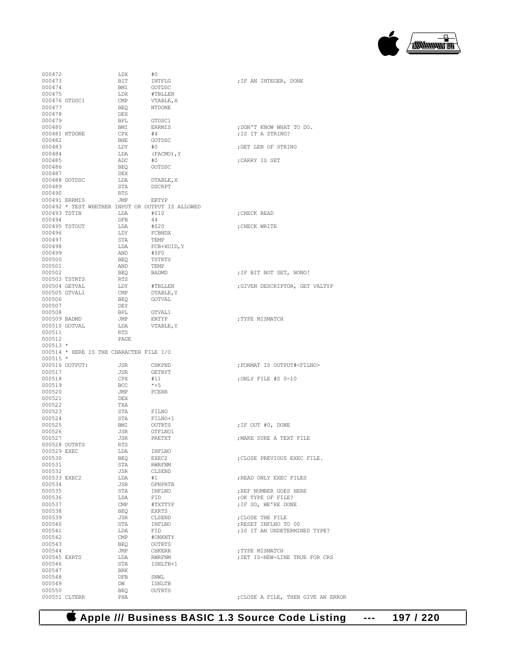#### **Apple /// Business BASIC 1.3 Source Code Listing --- 197 / 220**

| 000472       |                | LDX                                              | #0            |                                     |
|--------------|----------------|--------------------------------------------------|---------------|-------------------------------------|
| 000473       |                | BIT                                              | INTFLG        | ; IF AN INTEGER, DONE               |
| 000474       |                | BMI                                              | GOTDSC        |                                     |
| 000475       |                | LDX                                              | #TBLLEN       |                                     |
|              | 000476 GTDSC1  | $\mathsf{CMP}$                                   | VTABLE, X     |                                     |
| 000477       |                | BEO                                              | NTDONE        |                                     |
|              |                | DEX                                              |               |                                     |
| 000478       |                |                                                  |               |                                     |
| 000479       |                | BPL                                              | GTDSC1        |                                     |
| 000480       |                | BMI                                              | ERRMIS        | ; DON'T KNOW WHAT TO DO.            |
|              | 000481 NTDONE  | CPX                                              | #4            | ; IS IT A STRING?                   |
| 000482       |                | BNE                                              | GOTDSC        |                                     |
| 000483       |                | LDY                                              | #0            | ;GET LEN OF STRING                  |
| 000484       |                | LDA                                              | (FACMO), Y    |                                     |
| 000485       |                | ADC                                              | #0            | CARRY IS SET;                       |
| 000486       |                | BEQ                                              | GOTDSC        |                                     |
| 000487       |                | DEX                                              |               |                                     |
|              | 000488 GOTDSC  | LDA                                              | DTABLE, X     |                                     |
| 000489       |                | STA                                              | DSCRPT        |                                     |
| 000490       |                | RTS                                              |               |                                     |
|              | 000491 ERRMIS  | JMP                                              | ERTYP         |                                     |
|              |                | 000492 * TEST WHETHER INPUT OR OUTPUT IS ALLOWED |               |                                     |
| 000493 TSTIN |                | LDA                                              | #\$10         | CHECK READ;                         |
| 000494       |                | DFB                                              | 44            |                                     |
|              | 000495 TSTOUT  | LDA                                              | #\$20         | CHECK WRITE;                        |
|              |                |                                                  |               |                                     |
| 000496       |                | LDY                                              | FCBNDX        |                                     |
| 000497       |                | STA                                              | TEMP          |                                     |
| 000498       |                | LDA                                              | FCB+XUID, Y   |                                     |
| 000499       |                | AND                                              | #\$F0         |                                     |
| 000500       |                | BEQ                                              | TSTRTS        |                                     |
| 000501       |                | AND                                              | TEMP          |                                     |
| 000502       |                | BEQ                                              | BADMD         | ; IF BIT NOT SET, NONO!             |
|              | 000503 TSTRTS  | RTS                                              |               |                                     |
|              | 000504 GETVAL  | LDY                                              | #TBLLEN       | ; GIVEN DESCRIPTOR, GET VALTYP      |
|              | 000505 GTVAL1  | CMP                                              | DTABLE, Y     |                                     |
| 000506       |                | BEQ                                              | GOTVAL        |                                     |
| 000507       |                | DEY                                              |               |                                     |
| 000508       |                | BPL                                              | GTVAL1        |                                     |
| 000509 BADMD |                | JMP                                              | ERTYP         | ; TYPE MISMATCH                     |
|              | 000510 GOTVAL  | LDA                                              | VTABLE, Y     |                                     |
| 000511       |                | RTS                                              |               |                                     |
|              |                |                                                  |               |                                     |
| 000512       |                | PAGE                                             |               |                                     |
| $000513$ *   |                |                                                  |               |                                     |
|              |                | 000514 * HERE IS THE CHARACTER FILE I/O          |               |                                     |
| $000515 *$   |                |                                                  |               |                                     |
|              | 000516 OUTPUT: | JSR                                              | CHKPND        | ; FORMAT IS OUTPUT# <filno></filno> |
| 000517       |                | JSR                                              | GETBYT        |                                     |
| 000518       |                | CPX                                              | #11           | ;ONLY FILE #S 0-10                  |
| 000519       |                | BCC                                              |               |                                     |
| 000520       |                |                                                  | $*+5$         |                                     |
| 000521       |                | JMP                                              | FCERR         |                                     |
| 000522       |                | DEX                                              |               |                                     |
| 000523       |                | TXA                                              |               |                                     |
|              |                | STA                                              | FILNO         |                                     |
|              |                |                                                  |               |                                     |
| 000524       |                | STA                                              | FILNO+1       |                                     |
| 000525       |                | BMI                                              | OUTRTS        | ;IF OUT #0, DONE                    |
| 000526       |                | JSR                                              | GTFLNO1       |                                     |
| 000527       |                | JSR                                              | PRETXT        | ; MAKE SURE A TEXT FILE             |
|              | 000528 OUTRTS  | RTS                                              |               |                                     |
| 000529 EXEC  |                | LDA                                              | INFLNO        |                                     |
| 000530       |                | BEQ                                              | EXEC2         | ; CLOSE PREVIOUS EXEC FILE.         |
| 000531       |                | STA                                              | RWRFNM        |                                     |
| 000532       |                | JSR                                              | CLSEND        |                                     |
| 000533 EXEC2 |                | LDA                                              | #1            | ; READ ONLY EXEC FILES              |
| 000534       |                | JSR                                              | OPNPRTB       |                                     |
| 000535       |                | STA                                              | INFLNO        | ; REF NUMBER GOES HERE              |
| 000536       |                | LDA                                              | FID           | ; OK TYPE OF FILE?                  |
| 000537       |                | $\text{CMP}$                                     | #TXTTYP       | ; IF SO, WE'RE DONE                 |
| 000538       |                | BEO                                              | EXRTS         |                                     |
| 000539       |                | JSR                                              | CLSEND        | ; CLOSE THE FILE                    |
| 000540       |                | STA                                              | INFLNO        | ; RESET INFLNO TO 00                |
| 000541       |                | LDA                                              | FID           | ; IS IT AN UNDETERMINED TYPE?       |
|              |                |                                                  |               |                                     |
| 000542       |                | $\text{CMP}$                                     | #UNKNTY       |                                     |
| 000543       |                | BEO                                              | OUTRTS        |                                     |
| 000544       |                | JMP                                              | CHKERR        | ; TYPE MISMATCH                     |
| 000545 EXRTS |                | LDA                                              | <b>RWRFNM</b> | ; SET IS-NEW-LINE TRUE FOR CRS      |
| 000546       |                | STA                                              | ISNLTB+1      |                                     |
| 000547       |                | BRK                                              |               |                                     |
| 000548       |                | DFB                                              | SNWL          |                                     |
| 000549       |                | DW                                               | <b>ISNLTB</b> |                                     |
| 000550       | 000551 CLTERR  | BEO<br>PHA                                       | <b>OUTRTS</b> | ; CLOSE A FILE, THEN GIVE AN ERROR  |

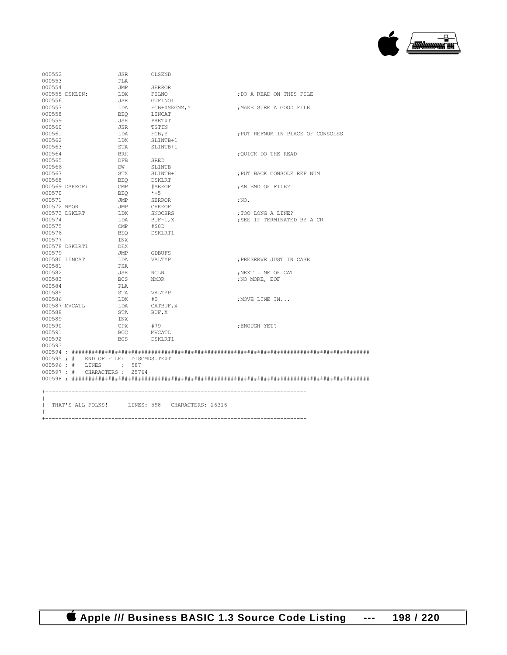

| 000552                              | JSR            | CLSEND                                         |                                   |
|-------------------------------------|----------------|------------------------------------------------|-----------------------------------|
| 000553                              | PLA            |                                                |                                   |
| 000554                              | JMP            | SERROR                                         |                                   |
| 000555 DSKLIN:                      | LDX            | FILNO                                          | ; DO A READ ON THIS FILE          |
| 000556                              | JSR            | GTFLNO1                                        |                                   |
| 000557                              | LDA            | FCB+XSEGNM, Y                                  | ; MAKE SURE A GOOD FILE           |
| 000558                              | <b>BEO</b>     | LINCAT                                         |                                   |
| 000559                              | JSR            | PRETXT                                         |                                   |
| 000560                              | JSR            | TSTIN                                          |                                   |
| 000561                              | LDA            | FCB, Y                                         | ; PUT REFNUM IN PLACE OF CONSOLES |
| 000562                              | LDX            | SLINTB+1                                       |                                   |
| 000563                              | STA            | SLINTB+1                                       |                                   |
| 000564                              | BRK            |                                                | ; OUICK DO THE READ               |
| 000565                              | DFB            | SRED                                           |                                   |
| 000566                              | DW             | SLINTB                                         |                                   |
| 000567                              | STX            | SLINTB+1                                       | : PUT BACK CONSOLE REF NUM        |
| 000568                              | BEO            | DSKLRT                                         |                                   |
| 000569 DSKEOF:                      | $\mathbb{CMP}$ | #SEEOF                                         | ; AN END OF FILE?                 |
| 000570                              | BEO            | $*+5$                                          |                                   |
| 000571                              | JMP            | SERROR                                         |                                   |
|                                     |                |                                                | ; $NO.$                           |
| 000572 NMOR                         | JMP            | CHKEOF                                         |                                   |
| 000573 DSKLRT                       | LDX            | SNOCHRS                                        | ;TOO LONG A LINE?                 |
| 000574                              | LDA            | BUF-1,X                                        | ; SEE IF TERMINATED BY A CR       |
| 000575                              | $\text{CMP}$   | #\$0D                                          |                                   |
| 000576                              | BEO            | DSKLRT1                                        |                                   |
| 000577                              | INX            |                                                |                                   |
| 000578 DSKLRT1                      | DEX            |                                                |                                   |
| 000579                              | JMP            | GDBUFS                                         |                                   |
| 000580 LINCAT                       | LDA            | VALTYP                                         | ; PRESERVE JUST IN CASE           |
| 000581                              | PHA            |                                                |                                   |
| 000582                              | JSR            | NCLN                                           | ; NEXT LINE OF CAT                |
| 000583                              | BCS            | <b>NMOR</b>                                    | ; NO MORE, EOF                    |
| 000584                              | PLA            |                                                |                                   |
| 000585                              | STA            | VALTYP                                         |                                   |
| 000586                              | LDX            | #O                                             | ; MOVE LINE IN                    |
| 000587 MVCATL                       | LDA            | CATBUF, X                                      |                                   |
| 000588                              | STA            | BUF, X                                         |                                   |
| 000589                              | INX            |                                                |                                   |
| 000590                              | CPX #79        |                                                | ENOUGH YET?                       |
| 000591                              | BCC            | MVCATL                                         |                                   |
| 000592                              | <b>BCS</b>     | DSKLRT1                                        |                                   |
| 000593                              |                |                                                |                                   |
|                                     |                |                                                |                                   |
| 000595; # END OF FILE: DISCMDS.TEXT |                |                                                |                                   |
| 000596; # LINES : 587               |                |                                                |                                   |
| 000597; # CHARACTERS: 25764         |                |                                                |                                   |
|                                     |                |                                                |                                   |
|                                     |                |                                                |                                   |
|                                     |                |                                                |                                   |
|                                     |                |                                                |                                   |
|                                     |                | THAT'S ALL FOLKS! LINES: 598 CHARACTERS: 26316 |                                   |
|                                     |                |                                                |                                   |

 **Apple /// Business BASIC 1.3 Source Code Listing --- 198 / 220**

+-------------------------------------------------------------------------------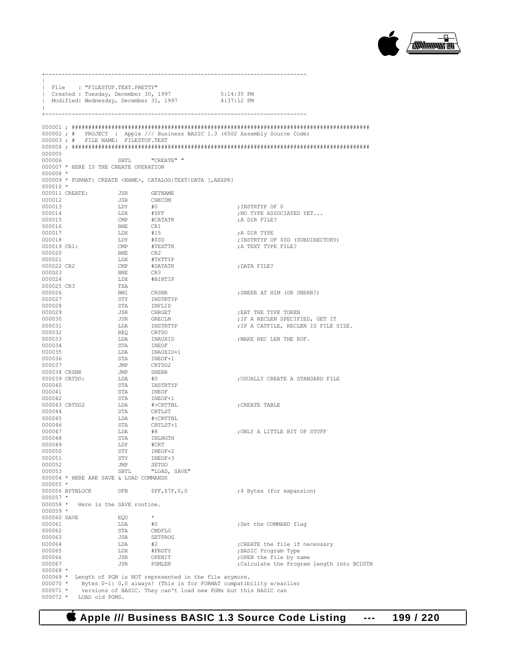

|                           | File : "FILESTUF.TEXT.PRETTY"          |                   |                                                                                                        |                                                                              |
|---------------------------|----------------------------------------|-------------------|--------------------------------------------------------------------------------------------------------|------------------------------------------------------------------------------|
|                           |                                        |                   | Created : Tuesday, December 30, 1997 5:14:35 PM<br>  Modified: Wednesday, December 31, 1997 4:37:12 PM |                                                                              |
|                           |                                        |                   |                                                                                                        |                                                                              |
|                           |                                        |                   |                                                                                                        | 000002; # PROJECT : Apple /// Business BASIC 1.3 (6502 Assembly Source Code) |
|                           | 000003; # FILE NAME: FILESTUF.TEXT     |                   |                                                                                                        |                                                                              |
| 000005                    |                                        |                   |                                                                                                        |                                                                              |
| 000006                    |                                        | SBTL              | "CREATE" "                                                                                             |                                                                              |
| $000008$ *                | 000007 * HERE IS THE CREATE OPERATION  |                   |                                                                                                        |                                                                              |
|                           |                                        |                   | 000009 * FORMAT: CREATE <name>, CATALOG TEXT DATA [, AEXPR]</name>                                     |                                                                              |
| $000010$ *                |                                        |                   |                                                                                                        |                                                                              |
|                           | 000011 CREATE: JSR GETNAME             |                   |                                                                                                        |                                                                              |
| 000012<br>000013          |                                        | JSR<br>LDY        | CHKCOM<br>#O                                                                                           | ;INSTRTYP OF 0                                                               |
| 000014                    |                                        | LDX               | $\#$ \$FF                                                                                              | NO TYPE ASSOCIATED YET                                                       |
| 000015                    |                                        | CMP               | #CATATK                                                                                                | A DIR FILE?                                                                  |
| 000016                    |                                        | <b>BNE</b>        | CR1                                                                                                    |                                                                              |
| 000017<br>000018          |                                        | LDX<br>LDY        | #15<br>#\$0D                                                                                           | A DIR TYPE;<br>; INSTRTYP OF \$0D (SUBDIRECTORY)                             |
| 000019 CR1:               |                                        | $\text{CMP}$      | #TEXTTK                                                                                                | A TEXT TYPE FILE?                                                            |
| 000020                    |                                        | <b>BNE</b>        | CR2                                                                                                    |                                                                              |
| 000021                    |                                        | LDX               | #TXTTYP                                                                                                |                                                                              |
| 000022 CR2<br>000023      |                                        | $\text{CMP}$      | #DATATK<br>CR3                                                                                         | ; DATA FILE?                                                                 |
| 000024                    |                                        | <b>BNE</b><br>LDX | #BINTIP                                                                                                |                                                                              |
| 000025 CR3                |                                        | TXA               |                                                                                                        |                                                                              |
| 000026                    |                                        | BMI               | CRSNR                                                                                                  | ; SNEER AT HIM (OR SNERR?)                                                   |
| 000027                    |                                        | STY               | INSTRTYP                                                                                               |                                                                              |
| 000028<br>000029          |                                        | STA<br>JSR        | INFLID<br><b>CHRGET</b>                                                                                | EAT THE TYPE TOKEN,                                                          |
| 000030                    |                                        | JSR               | GRECLN                                                                                                 | ; IF A RECLEN SPECIFIED, GET IT                                              |
| 000031                    |                                        | LDA               | INSTRTYP<br>CRTDO                                                                                      | ; IF A CATFILE, RECLEN IS FILE SIZE.                                         |
| 000032                    |                                        | BEQ               |                                                                                                        |                                                                              |
| 000033<br>000034          |                                        | LDA<br>STA        | INAUXID                                                                                                | ; MAKE REC LEN THE EOF.                                                      |
| 000035                    |                                        | LDA               | INEOF<br>INAUXID+1<br>INEOF+1                                                                          |                                                                              |
| 000036                    |                                        | STA               |                                                                                                        |                                                                              |
| 000037                    |                                        | JMP               | CRTDO2                                                                                                 |                                                                              |
| 000038 CRSNR              |                                        | <b>JMP</b><br>LDA | SNERR                                                                                                  |                                                                              |
| 000040                    | 000039 CRTDO:                          | STA               | #O<br>INSTRTYP                                                                                         | ; USUALLY CREATE A STANDARD FILE                                             |
| 000041                    |                                        | STA               | INEOF                                                                                                  |                                                                              |
| 000042                    |                                        | STA               | INEOF+1                                                                                                |                                                                              |
| 000044                    | 000043 CRTDO2                          | LDA               | #>CRTTBL<br><b>CRTLST</b>                                                                              | CREATE TABLE;                                                                |
| 000045                    |                                        | STA<br>LDA        | # <crttbl< td=""><td></td></crttbl<>                                                                   |                                                                              |
| 000046                    |                                        | STA               |                                                                                                        |                                                                              |
| 000047                    |                                        | LDA               | CRTLST+1<br>#8                                                                                         | ; ONLY A LITTLE BIT OF STUFF                                                 |
| 000048<br>000049          |                                        | STA               | INLNGTH                                                                                                |                                                                              |
| 000050                    |                                        | LDY<br>STY        | #CRT<br>INEOF+2                                                                                        |                                                                              |
| 000051                    |                                        | STY               | INEOF+3                                                                                                |                                                                              |
| 000052                    |                                        | JMP               | SETGO                                                                                                  |                                                                              |
| 000053                    |                                        | SBTL              | "LOAD, SAVE"                                                                                           |                                                                              |
| $000055 *$                | 000054 * HERE ARE SAVE & LOAD COMMANDS |                   |                                                                                                        |                                                                              |
|                           | 000056 BYTBLOCK                        | DFB               | $\SFF, \S7F, 0, 0$                                                                                     | ;4 Bytes (for expansion)                                                     |
| $000057$ *                |                                        |                   |                                                                                                        |                                                                              |
| $000058 *$                | Here is the SAVE routine.              |                   |                                                                                                        |                                                                              |
| $000059 *$<br>000060 SAVE |                                        | EQU               | $^{\star}$                                                                                             |                                                                              |
| 000061                    |                                        | LDA               | #0                                                                                                     | ; Set the COMMAND flag                                                       |
| 000062                    |                                        | STA               | CMDFLG                                                                                                 |                                                                              |
| 000063                    |                                        | JSR               | SETPROG                                                                                                |                                                                              |
| 000064<br>000065          |                                        | LDA<br>LDX        | #2<br>#PRGTY                                                                                           | ; CREATE the file if necessary<br>; BASIC Program Type                       |
| 000066                    |                                        | JSR               | OPENIT                                                                                                 | ;OPEN the file by name                                                       |
| 000067                    |                                        | JSR               | PGMLEN                                                                                                 | ; Calculate the Program length into BCDSTR                                   |
| $000068 *$                |                                        |                   |                                                                                                        |                                                                              |
| $000070$ *                |                                        |                   | 000069 * Length of PGM is NOT represented in the file anymore.                                         | Bytes 0-1: 0,0 always! (This is for FORMAT compatibility w/earlier           |
| $000071 *$                |                                        |                   | versions of BASIC. They can't load new PGMs but this BASIC can                                         |                                                                              |

000072 \* LOAD old PGMS.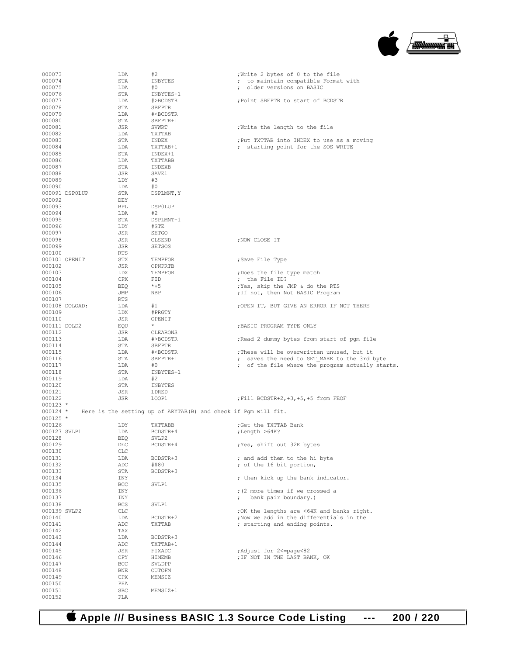

| 000073           | LDA               | #2                                                                             | ;Write 2 bytes of 0 to the file                  |
|------------------|-------------------|--------------------------------------------------------------------------------|--------------------------------------------------|
| 000074           | STA               | INBYTES                                                                        | ; to maintain compatible Format with             |
| 000075           | LDA               | #0                                                                             | ; older versions on BASIC                        |
| 000076           | STA               | INBYTES+1                                                                      |                                                  |
| 000077           | LDA               | #>BCDSTR                                                                       | ; Point SBFPTR to start of BCDSTR                |
| 000078           | STA               | SBFPTR                                                                         |                                                  |
| 000079           | LDA               | # <bcdstr< td=""><td></td></bcdstr<>                                           |                                                  |
| 000080           | STA               | SBFPTR+1                                                                       |                                                  |
| 000081           | JSR               | SVWRT                                                                          | Write the length to the file                     |
| 000082           | LDA               | TXTTAB                                                                         |                                                  |
| 000083           | STA               | INDEX                                                                          | ; Put TXTTAB into INDEX to use as a moving       |
| 000084           | LDA               | TXTTAB+1                                                                       | ; starting point for the SOS WRITE               |
| 000085           | STA               | INDEX+1                                                                        |                                                  |
| 000086           | LDA               | TXTTABB                                                                        |                                                  |
| 000087           | STA               | INDEXB                                                                         |                                                  |
| 000088           | JSR               | SAVE1                                                                          |                                                  |
| 000089           | LDY               | #3                                                                             |                                                  |
| 000090           | LDA               | #0                                                                             |                                                  |
| 000091 DSP0LUP   | STA               | DSPLMNT, Y                                                                     |                                                  |
| 000092           | DEY               |                                                                                |                                                  |
| 000093           | BPL               | <b>DSPOLUP</b>                                                                 |                                                  |
| 000094           | LDA               | #2                                                                             |                                                  |
| 000095           | STA               | DSPLMNT-1                                                                      |                                                  |
| 000096           | LDY               | #STE                                                                           |                                                  |
| 000097           | JSR               | SETGO                                                                          |                                                  |
| 000098           | JSR               | CLSEND                                                                         | ; NOW CLOSE IT                                   |
| 000099           | JSR               | <b>SETSOS</b>                                                                  |                                                  |
| 000100           | RTS               |                                                                                |                                                  |
| 000101 OPENIT    | STX               | TEMPFOR                                                                        | ;Save File Type                                  |
| 000102           | JSR               | OPNPRTB                                                                        |                                                  |
| 000103           | LDX               | TEMPFOR                                                                        | ;Does the file type match                        |
| 000104           | CPX               | FID                                                                            | ; the File ID?                                   |
| 000105           | BEQ               | $*+5$                                                                          | ; Yes, skip the JMP & do the RTS                 |
| 000106           | JMP               | NBP                                                                            | ; If not, then Not BASIC Program                 |
| 000107           | RTS               |                                                                                |                                                  |
| 000108 DOLOAD:   | LDA               | #1                                                                             | ; OPEN IT, BUT GIVE AN ERROR IF NOT THERE        |
| 000109           | LDX               | #PRGTY                                                                         |                                                  |
| 000110           | JSR               | OPENIT                                                                         |                                                  |
| 000111 DOLD2     | EQU               | $\star$                                                                        | ; BASIC PROGRAM TYPE ONLY                        |
| 000112           | JSR               | CLEARONS                                                                       |                                                  |
| 000113           | LDA               | #>BCDSTR                                                                       | Read 2 dummy bytes from start of pgm file        |
| 000114           | STA               | SBFPTR                                                                         |                                                  |
|                  | LDA               | # <bcdstr< td=""><td>; These will be overwritten unused, but it</td></bcdstr<> | ; These will be overwritten unused, but it       |
|                  |                   |                                                                                |                                                  |
| 000115           |                   |                                                                                |                                                  |
| 000116           | STA               | SBFPTR+1                                                                       | ; saves the need to SET MARK to the 3rd byte     |
| 000117           | LDA               | #0                                                                             | ; of the file where the program actually starts. |
| 000118           | STA               | INBYTES+1                                                                      |                                                  |
| 000119           | LDA               | #2                                                                             |                                                  |
| 000120           | STA               | INBYTES                                                                        |                                                  |
| 000121           | JSR               | LDRED                                                                          |                                                  |
| 000122           | JSR               | LOOP1                                                                          | ; Fill BCDSTR+2, +3, +5, +5 from FEOF            |
| $000123 *$       |                   |                                                                                |                                                  |
| $000124$ *       |                   | Here is the setting up of ARYTAB(B) and check if Pgm will fit.                 |                                                  |
| $000125$ *       |                   |                                                                                |                                                  |
| 000126           | LDY               | TXTTABB                                                                        | ; Get the TXTTAB Bank                            |
| 000127 SVLP1     | LDA               | BCDSTR+4                                                                       | ;Length >64K?                                    |
| 000128           | <b>BEQ</b>        | SVLP2                                                                          |                                                  |
| 000129           | DEC               | BCDSTR+4                                                                       | ;Yes, shift out 32K bytes                        |
| 000130           | CLC               |                                                                                |                                                  |
| 000131           | LDA               | BCDSTR+3                                                                       | ; and add them to the hi byte                    |
| 000132           | ADC               | #\$80                                                                          | ; of the 16 bit portion,                         |
| 000133           | STA               | BCDSTR+3                                                                       |                                                  |
| 000134           | INY               |                                                                                | ; then kick up the bank indicator.               |
| 000135           | BCC               | SVLP1                                                                          |                                                  |
| 000136           | INY               |                                                                                | ; (2 more times if we crossed a                  |
| 000137           | INY               |                                                                                | bank pair boundary.)                             |
| 000138           | <b>BCS</b>        | SVLP1                                                                          |                                                  |
| 000139 SVLP2     | CLC               |                                                                                | ; OK the lengths are <64K and banks right.       |
| 000140           | LDA               | BCDSTR+2                                                                       | ; Now we add in the differentials in the         |
| 000141           | ADC               | TXTTAB                                                                         | ; starting and ending points.                    |
| 000142           | TAX               |                                                                                |                                                  |
| 000143           | LDA               | BCDSTR+3                                                                       |                                                  |
| 000144           | ADC               | TXTTAB+1                                                                       |                                                  |
| 000145           | JSR               | FIXADC                                                                         | ; Adjust for 2<=page<82                          |
| 000146           | CPY               | HIMEMB                                                                         | ; IF NOT IN THE LAST BANK, OK                    |
| 000147           | BCC               | SVLDPP                                                                         |                                                  |
| 000148           | <b>BNE</b>        | OUTOFM                                                                         |                                                  |
| 000149           | CPX               | MEMSIZ                                                                         |                                                  |
| 000150           | PHA               |                                                                                |                                                  |
| 000151<br>000152 | <b>SBC</b><br>PLA | MEMSIZ+1                                                                       |                                                  |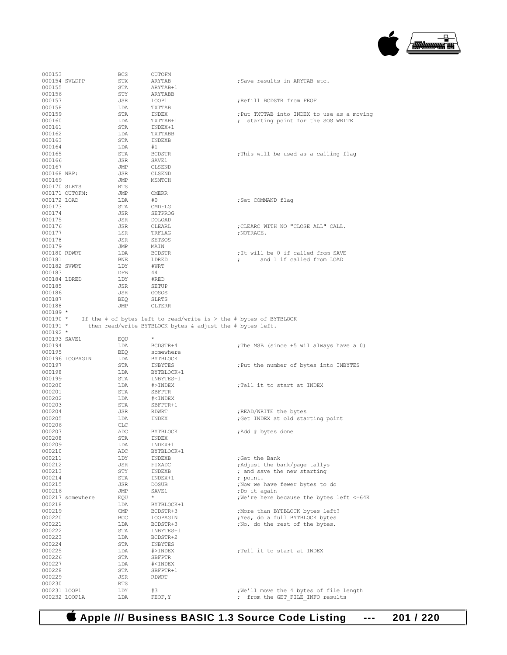

| 000153        |                  | <b>BCS</b> | OUTOFM                                                              |                                                   |
|---------------|------------------|------------|---------------------------------------------------------------------|---------------------------------------------------|
| 000154 SVLDPP |                  | STX        | ARYTAB                                                              | ;Save results in ARYTAB etc.                      |
| 000155        |                  | STA        | ARYTAB+1                                                            |                                                   |
| 000156        |                  | STY        | ARYTABB                                                             |                                                   |
| 000157        |                  | JSR        | LOOP1                                                               | ; Refill BCDSTR from FEOF                         |
| 000158        |                  | LDA        | TXTTAB                                                              |                                                   |
|               |                  |            |                                                                     |                                                   |
| 000159        |                  | STA        | INDEX                                                               | ; Put TXTTAB into INDEX to use as a moving        |
| 000160        |                  | LDA        | TXTTAB+1                                                            | ; starting point for the SOS WRITE                |
| 000161        |                  | STA        | INDEX+1                                                             |                                                   |
| 000162        |                  | LDA        | TXTTABB                                                             |                                                   |
| 000163        |                  | STA        | INDEXB                                                              |                                                   |
| 000164        |                  | LDA        | #1                                                                  |                                                   |
| 000165        |                  | STA        | <b>BCDSTR</b>                                                       | :This will be used as a calling flag              |
| 000166        |                  | JSR        | SAVE1                                                               |                                                   |
| 000167        |                  | JMP        | CLSEND                                                              |                                                   |
|               |                  |            | CLSEND                                                              |                                                   |
| 000168 NBP:   |                  | JSR        |                                                                     |                                                   |
| 000169        |                  | JMP        | MSMTCH                                                              |                                                   |
| 000170 SLRTS  |                  | RTS        |                                                                     |                                                   |
|               | 000171 OUTOFM:   | JMP        | OMERR                                                               |                                                   |
| 000172 LOAD   |                  | LDA        | #0                                                                  | ;Set COMMAND flag                                 |
| 000173        |                  | STA        | CMDFLG                                                              |                                                   |
| 000174        |                  | JSR        | SETPROG                                                             |                                                   |
| 000175        |                  | JSR        | DOLOAD                                                              |                                                   |
| 000176        |                  | JSR        | CLEARL                                                              | ; CLEARC WITH NO "CLOSE ALL" CALL.                |
|               |                  |            |                                                                     |                                                   |
| 000177        |                  | LSR        | TRFLAG                                                              | ; NOTRACE.                                        |
| 000178        |                  | JSR        | <b>SETSOS</b>                                                       |                                                   |
| 000179        |                  | JMP        | MAIN                                                                |                                                   |
| 000180 RDWRT  |                  | LDA        | <b>BCDSTR</b>                                                       | ; It will be 0 if called from SAVE                |
| 000181        |                  | BNE        | LDRED                                                               | and 1 if called from LOAD<br>$\ddot{\phantom{0}}$ |
| 000182 SVWRT  |                  | LDY        | #WRT                                                                |                                                   |
| 000183        |                  | DFB        | 44                                                                  |                                                   |
| 000184 LDRED  |                  | LDY        | #RED                                                                |                                                   |
| 000185        |                  | JSR        | <b>SETUP</b>                                                        |                                                   |
|               |                  |            |                                                                     |                                                   |
| 000186        |                  | JSR        | GOSOS                                                               |                                                   |
| 000187        |                  | BEQ        | SLRTS                                                               |                                                   |
| 000188        |                  | JMP        | <b>CLTERR</b>                                                       |                                                   |
| $000189 *$    |                  |            |                                                                     |                                                   |
| $000190$ *    |                  |            | If the # of bytes left to read/write is $>$ the # bytes of BYTBLOCK |                                                   |
| $000191 *$    |                  |            | then read/write BYTBLOCK bytes & adjust the # bytes left.           |                                                   |
|               |                  |            |                                                                     |                                                   |
| $000192 *$    |                  |            |                                                                     |                                                   |
|               |                  |            | $\star$                                                             |                                                   |
| 000193 SAVE1  |                  | EQU        |                                                                     |                                                   |
| 000194        |                  | LDA        | BCDSTR+4                                                            | ; The MSB (since +5 wil always have a 0)          |
| 000195        |                  | BEQ        | somewhere                                                           |                                                   |
|               | 000196 LOOPAGIN  | LDA        | BYTBLOCK                                                            |                                                   |
| 000197        |                  | STA        | INBYTES                                                             | ; Put the number of bytes into INBYTES            |
| 000198        |                  | LDA        | BYTBLOCK+1                                                          |                                                   |
| 000199        |                  | STA        | INBYTES+1                                                           |                                                   |
| 000200        |                  | LDA        | #>INDEX                                                             | ;Tell it to start at INDEX                        |
| 000201        |                  | STA        | SBFPTR                                                              |                                                   |
|               |                  |            |                                                                     |                                                   |
| 000202        |                  | LDA        | # <index< td=""><td></td></index<>                                  |                                                   |
| 000203        |                  | STA        | SBFPTR+1                                                            |                                                   |
| 000204        |                  | JSR        | RDWRT                                                               | ; READ/WRITE the bytes                            |
| 000205        |                  | LDA        | INDEX                                                               | ; Get INDEX at old starting point                 |
| 000206        |                  | CLC        |                                                                     |                                                   |
| 000207        |                  | ADC        | BYTBLOCK                                                            | ; Add # bytes done                                |
| 000208        |                  | STA        | INDEX                                                               |                                                   |
| 000209        |                  | LDA        | INDEX+1                                                             |                                                   |
| 000210        |                  | ADC        | BYTBLOCK+1                                                          |                                                   |
| 000211        |                  | LDY        | INDEXB                                                              | ;Get the Bank                                     |
| 000212        |                  | JSR        | FIXADC                                                              | ; Adjust the bank/page tallys                     |
|               |                  |            |                                                                     |                                                   |
| 000213        |                  | STY        | INDEXB                                                              | ; and save the new starting                       |
| 000214        |                  | STA        | INDEX+1                                                             | ; point.                                          |
| 000215        |                  | JSR        | <b>DOSUB</b>                                                        | ;Now we have fewer bytes to do                    |
| 000216        |                  | JMP        | SAVE1                                                               | ;Do it again                                      |
|               | 000217 somewhere | EQU        | $^{\star}$                                                          | ; We're here because the bytes left <= 64K        |
| 000218        |                  | LDA        | BYTBLOCK+1                                                          |                                                   |
| 000219        |                  | CMP        | BCDSTR+3                                                            | ;More than BYTBLOCK bytes left?                   |
| 000220        |                  | BCC        | LOOPAGIN                                                            | ; Yes, do a full BYTBLOCK bytes                   |
| 000221        |                  | LDA        | BCDSTR+3                                                            | ;No, do the rest of the bytes.                    |
| 000222        |                  | STA        |                                                                     |                                                   |
|               |                  |            | INBYTES+1                                                           |                                                   |
| 000223        |                  | LDA        | BCDSTR+2                                                            |                                                   |
| 000224        |                  | STA        | INBYTES                                                             |                                                   |
| 000225        |                  | LDA        | #>INDEX                                                             | ; Tell it to start at INDEX                       |
| 000226        |                  | STA        | SBFPTR                                                              |                                                   |
| 000227        |                  | LDA        | # <index< td=""><td></td></index<>                                  |                                                   |
| 000228        |                  | STA        | SBFPTR+1                                                            |                                                   |
| 000229        |                  | JSR        | RDWRT                                                               |                                                   |
| 000230        |                  | RTS        |                                                                     |                                                   |
| 000231 LOOP1  |                  | LDY        | #3                                                                  | ;We'll move the 4 bytes of file length            |
| 000232 LOOP1A |                  | LDA        | FEOF, Y                                                             | ; from the GET FILE INFO results                  |

 **Apple /// Business BASIC 1.3 Source Code Listing --- 201 / 220**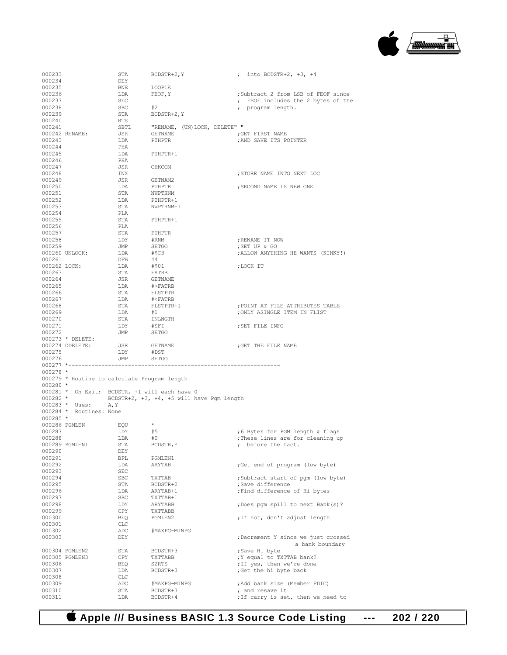

| 000233           |                                              | STA        | BCDSTR+2, Y                                   | ; into BCDSTR+2, +3, +4                          |
|------------------|----------------------------------------------|------------|-----------------------------------------------|--------------------------------------------------|
| 000234           |                                              | DEY        |                                               |                                                  |
| 000235           |                                              | BNE        | LOOP1A                                        |                                                  |
| 000236           |                                              | LDA        | FEOF, Y                                       | ;Subtract 2 from LSB of FEOF since               |
| 000237           |                                              | SEC        |                                               | ; FEOF includes the 2 bytes of the               |
| 000238           |                                              | SBC        | #2                                            | ; program length.                                |
| 000239           |                                              | STA        | BCDSTR+2, Y                                   |                                                  |
| 000240           |                                              | RTS        |                                               |                                                  |
| 000241           |                                              | SBTL       | "RENAME, (UN)LOCK, DELETE" "                  |                                                  |
|                  | 000242 RENAME:                               | JSR        | GETNAME                                       | GET FIRST NAME;                                  |
| 000243           |                                              | LDA        | PTHPTR                                        | ; AND SAVE ITS POINTER                           |
| 000244           |                                              | PHA        |                                               |                                                  |
| 000245           |                                              | LDA        | PTHPTR+1                                      |                                                  |
| 000246           |                                              | PHA        |                                               |                                                  |
| 000247           |                                              | JSR        | CHKCOM                                        |                                                  |
| 000248           |                                              | INX        |                                               | ; STORE NAME INTO NEXT LOC                       |
| 000249           |                                              | JSR        | GETNAM2                                       |                                                  |
| 000250           |                                              | LDA        | PTHPTR                                        | ; SECOND NAME IS NEW ONE                         |
| 000251           |                                              | STA        | NWPTHNM                                       |                                                  |
| 000252           |                                              | LDA        | PTHPTR+1                                      |                                                  |
| 000253           |                                              | STA        | NWPTHNM+1                                     |                                                  |
| 000254           |                                              | PLA        |                                               |                                                  |
| 000255<br>000256 |                                              | STA<br>PLA | PTHPTR+1                                      |                                                  |
| 000257           |                                              | STA        |                                               |                                                  |
| 000258           |                                              | LDY        | PTHPTR                                        |                                                  |
| 000259           |                                              | JMP        | #RNM<br>SETGO                                 | ; RENAME IT NOW<br>; SET UP & GO                 |
|                  | 000260 UNLOCK:                               | LDA        | #\$C3                                         | ; ALLOW ANYTHING HE WANTS (KINKY!)               |
| 000261           |                                              | DFB        | 44                                            |                                                  |
| 000262 LOCK:     |                                              | LDA        | #\$01                                         |                                                  |
| 000263           |                                              | STA        | FATRB                                         | ;LOCK IT                                         |
| 000264           |                                              | JSR        | GETNAME                                       |                                                  |
| 000265           |                                              | LDA        | #>FATRB                                       |                                                  |
| 000266           |                                              | STA        | FLSTPTR                                       |                                                  |
| 000267           |                                              | LDA        | # <fatrb< td=""><td></td></fatrb<>            |                                                  |
| 000268           |                                              | STA        | FLSTPTR+1                                     | ; POINT AT FILE ATTRIBUTES TABLE                 |
| 000269           |                                              | LDA        | #1                                            | ; ONLY ASINGLE ITEM IN FLIST                     |
| 000270           |                                              | STA        | INLNGTH                                       |                                                  |
| 000271           |                                              | LDY        | #SFI                                          | ; SET FILE INFO                                  |
| 000272           |                                              | JMP        | SETGO                                         |                                                  |
|                  |                                              |            |                                               |                                                  |
|                  |                                              |            |                                               |                                                  |
|                  | $000273$ * DELETE:<br>000274 DDELETE:        | JSR        | GETNAME                                       | ; GET THE FILE NAME                              |
| 000275           |                                              | LDY        | #DST                                          |                                                  |
| 000276           |                                              | JMP        | SETGO                                         |                                                  |
|                  | 000277 *--------------                       |            |                                               |                                                  |
| $000278$ *       |                                              |            |                                               |                                                  |
|                  | 000279 * Routine to calculate Program length |            |                                               |                                                  |
| $000280$ *       |                                              |            |                                               |                                                  |
|                  |                                              |            | 000281 * On Exit: BCDSTR, +1 will each have 0 |                                                  |
| $000282 *$       |                                              |            | BCDSTR+2, +3, +4, +5 will have Pgm length     |                                                  |
|                  | 000283 * Uses:<br>A, Y                       |            |                                               |                                                  |
|                  | 000284 * Routines: None                      |            |                                               |                                                  |
| $000285$ *       |                                              |            |                                               |                                                  |
| 000286 PGMLEN    |                                              | EQU        | $^{\star}$                                    |                                                  |
| 000287           |                                              | LDY        | #5                                            | ;6 Bytes for PGM length & flags                  |
| 000288           |                                              | LDA        | #0                                            | ; These lines are for cleaning up                |
|                  | 000289 PGMLEN1                               | STA        | BCDSTR, Y                                     | ; before the fact.                               |
| 000290           |                                              | DEY        |                                               |                                                  |
| 000291           |                                              | BPL        | PGMLEN1                                       |                                                  |
| 000292           |                                              | LDA        | ARYTAB                                        | ;Get end of program (low byte)                   |
| 000293           |                                              | SEC        |                                               |                                                  |
| 000294           |                                              | <b>SBC</b> | TXTTAB                                        | ;Subtract start of pgm (low byte)                |
| 000295           |                                              | STA        | BCDSTR+2                                      | ;Save difference                                 |
| 000296           |                                              | LDA        | ARYTAB+1                                      | ; Find difference of Hi bytes                    |
| 000297           |                                              | <b>SBC</b> | TXTTAB+1                                      |                                                  |
| 000298           |                                              | LDY        | ARYTABB                                       | ; Does pgm spill to next Bank(s)?                |
| 000299<br>000300 |                                              | CPY        | TXTTABB<br>PGMLEN2                            |                                                  |
| 000301           |                                              | BEQ<br>CLC |                                               | ; If not, don't adjust length                    |
| 000302           |                                              | ADC        | #MAXPG-MINPG                                  |                                                  |
| 000303           |                                              | DEY        |                                               | ; Decrement Y since we just crossed              |
|                  |                                              |            |                                               | a bank boundary                                  |
|                  | 000304 PGMLEN2                               | STA        | BCDSTR+3                                      | ;Save Hi byte                                    |
|                  | 000305 PGMLEN3                               | CPY        | TXTTABB                                       | ; Y equal to TXTTAB bank?                        |
| 000306           |                                              | BEQ        | SZRTS                                         | ; If yes, then we're done                        |
| 000307<br>000308 |                                              | LDA<br>CLC | BCDSTR+3                                      | ;Get the hi byte back                            |
| 000309           |                                              | ADC        | #MAXPG-MINPG                                  |                                                  |
| 000310           |                                              | STA        | BCDSTR+3                                      | ; Add bank size (Member FDIC)<br>; and resave it |
| 000311           |                                              | LDA        | BCDSTR+4                                      | ; If carry is set, then we need to               |

 **Apple /// Business BASIC 1.3 Source Code Listing --- 202 / 220**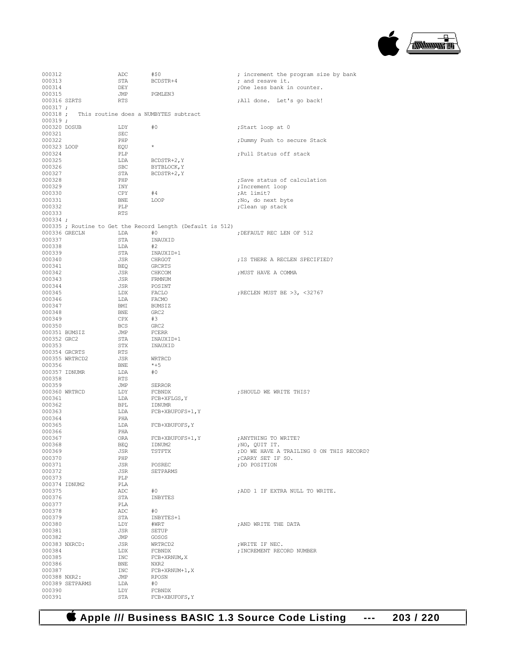

| 000312        |                 | ADC        | #\$0                                                       | ; increment the program size by bank      |
|---------------|-----------------|------------|------------------------------------------------------------|-------------------------------------------|
| 000313        |                 | STA        | BCDSTR+4                                                   | ; and resave it.                          |
| 000314        |                 | DEY        |                                                            | ;One less bank in counter.                |
| 000315        |                 | JMP        | PGMLEN3                                                    |                                           |
| 000316 SZRTS  |                 | RTS        |                                                            | ;All done. Let's go back!                 |
| $000317$ ;    |                 |            |                                                            |                                           |
|               |                 |            | 000318 ; This routine does a NUMBYTES subtract             |                                           |
| $000319$ ;    |                 |            |                                                            |                                           |
| 000320 DOSUB  |                 | LDY        | #0                                                         | ;Start loop at 0                          |
| 000321        |                 | SEC        |                                                            |                                           |
| 000322        |                 | PHP        |                                                            |                                           |
| 000323 LOOP   |                 |            | $\star$                                                    | ; Dummy Push to secure Stack              |
| 000324        |                 | EQU<br>PLP |                                                            | ; Pull Status off stack                   |
|               |                 |            |                                                            |                                           |
| 000325        |                 | LDA        | BCDSTR+2, Y                                                |                                           |
| 000326        |                 | SBC        | BYTBLOCK, Y                                                |                                           |
| 000327        |                 | STA        | BCDSTR+2, Y                                                |                                           |
| 000328        |                 | PHP        |                                                            | ; Save status of calculation              |
| 000329        |                 | INY        |                                                            | ; Increment loop                          |
| 000330        |                 | CPY        | #4                                                         | ; At limit?                               |
| 000331        |                 | BNE        | LOOP                                                       | ;No, do next byte                         |
| 000332        |                 | PLP        |                                                            | ; Clean up stack                          |
| 000333        |                 | <b>RTS</b> |                                                            |                                           |
| $000334$ ;    |                 |            |                                                            |                                           |
|               |                 |            | 000335 ; Routine to Get the Record Length (Default is 512) |                                           |
|               | 000336 GRECLN   | LDA        | #0                                                         | ; DEFAULT REC LEN OF 512                  |
| 000337        |                 | STA        | INAUXID                                                    |                                           |
| 000338        |                 | LDA        | #2                                                         |                                           |
| 000339        |                 | STA        | INAUXID+1                                                  |                                           |
| 000340        |                 | JSR        | CHRGOT                                                     | ; IS THERE A RECLEN SPECIFIED?            |
| 000341        |                 | BEQ        | GRCRTS                                                     |                                           |
| 000342        |                 | JSR        | CHKCOM                                                     | ; MUST HAVE A COMMA                       |
| 000343        |                 | JSR        | FRMNUM                                                     |                                           |
| 000344        |                 | JSR        | POSINT                                                     |                                           |
| 000345        |                 | LDX        | FACLO                                                      | ; RECLEN MUST BE >3, <32767               |
| 000346        |                 | LDA        | FACMO                                                      |                                           |
| 000347        |                 | BMI        | BUMSIZ                                                     |                                           |
| 000348        |                 | BNE        | GRC2                                                       |                                           |
| 000349        |                 | CPX        | #3                                                         |                                           |
| 000350        |                 | BCS        | GRC2                                                       |                                           |
|               | 000351 BUMSIZ   | JMP        | FCERR                                                      |                                           |
| 000352 GRC2   |                 | STA        | INAUXID+1                                                  |                                           |
| 000353        |                 | STX        | INAUXID                                                    |                                           |
|               | 000354 GRCRTS   | RTS        |                                                            |                                           |
|               | 000355 WRTRCD2  | JSR        | WRTRCD                                                     |                                           |
| 000356        |                 | BNE        | $*+5$                                                      |                                           |
|               | 000357 IDNUMR   | LDA        | #0                                                         |                                           |
| 000358        |                 | RTS        |                                                            |                                           |
| 000359        |                 | JMP        | SERROR                                                     |                                           |
|               | 000360 WRTRCD   | LDY        | FCBNDX                                                     | ; SHOULD WE WRITE THIS?                   |
| 000361        |                 | LDA        | FCB+XFLGS, Y                                               |                                           |
| 000362        |                 | BPL        | IDNUMR                                                     |                                           |
| 000363        |                 | LDA        | FCB+XBUFOFS+1, Y                                           |                                           |
| 000364        |                 | PHA        |                                                            |                                           |
| 000365        |                 | LDA        | FCB+XBUFOFS, Y                                             |                                           |
| 000366        |                 | PHA        |                                                            |                                           |
| 000367        |                 | <b>ORA</b> | FCB+XBUFOFS+1, Y                                           | ; ANYTHING TO WRITE?                      |
| 000368        |                 | BEQ        | IDNUM2                                                     | ;NO, OUIT IT.                             |
| 000369        |                 | JSR        | TSTFTX                                                     | ; DO WE HAVE A TRAILING 0 ON THIS RECORD? |
| 000370        |                 | PHP        |                                                            | ; CARRY SET IF SO.                        |
| 000371        |                 | JSR        | POSREC                                                     | ; DO POSITION                             |
| 000372        |                 | JSR        | SETPARMS                                                   |                                           |
| 000373        |                 | PLP        |                                                            |                                           |
| 000374 IDNUM2 |                 | PLA        |                                                            |                                           |
| 000375        |                 | ADC        | #0                                                         | :ADD 1 IF EXTRA NULL TO WRITE.            |
| 000376        |                 | STA        | INBYTES                                                    |                                           |
| 000377        |                 | PLA        |                                                            |                                           |
| 000378        |                 | ADC        | #0                                                         |                                           |
| 000379        |                 | STA        | INBYTES+1                                                  |                                           |
| 000380        |                 | LDY        | #WRT                                                       | ; AND WRITE THE DATA                      |
| 000381        |                 | JSR        | SETUP                                                      |                                           |
| 000382        |                 | JMP        | GOSOS                                                      |                                           |
| 000383 NXRCD: |                 | JSR        | WRTRCD2                                                    | ; WRITE IF NEC.                           |
| 000384        |                 | LDX        | FCBNDX                                                     | ; INCREMENT RECORD NUMBER                 |
| 000385        |                 | INC        | FCB+XRNUM, X                                               |                                           |
| 000386        |                 | BNE        | NXR2                                                       |                                           |
| 000387        |                 | INC        | $FCB+XRNUM+1, X$                                           |                                           |
|               |                 | JMP        | RPOSN                                                      |                                           |
| 000388 NXR2:  | 000389 SETPARMS |            | #0                                                         |                                           |
|               |                 | LDA        |                                                            |                                           |
| 000390        |                 | LDY        | FCBNDX                                                     |                                           |
| 000391        |                 | STA        | FCB+XBUFOFS, Y                                             |                                           |

 **Apple /// Business BASIC 1.3 Source Code Listing --- 203 / 220**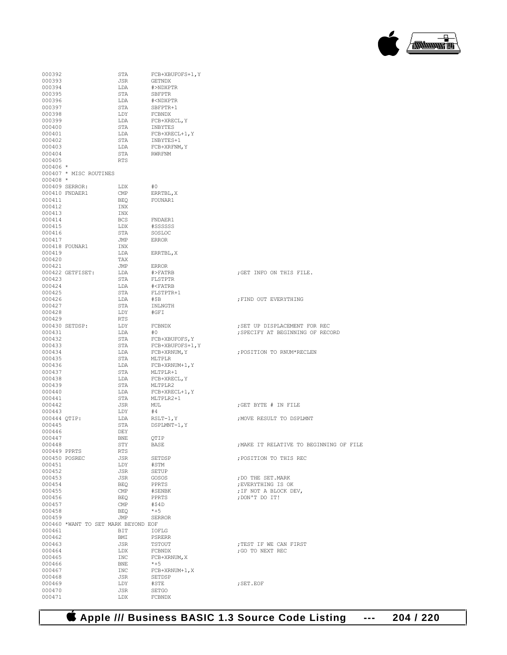

#### 000392 STA FCB+XBUFOFS+1, Y<br>000393 JSR GETNDX 000393 <br>
000394 <br>
LDA #>NDXP' 000394 LDA #>NDXPTR 000395 STA SBFPTR<br>000396 T.DA #<NDXPT 000396 LDA #<NDXPTR 000397 STA SBFPTR+1 <br/>  $$\tt LDY$$  FCBNDX 000398 LDY FCBNDX<br>000399 LDA FCB+XRF 000399 LDA FCB+XRECL,Y 000400 STA INBYTES<br>000401 LDA FCB+XRE 000401 LDA FCB+XRECL+1, Y<br>000402 STA INBYTES+1 000402 STA INBYTES+1<br>000403 LDA FCB+XRFNM 000403 LDA FCB+XRFNM, Y<br>000404 STA RWRFNM 000404 STA RWRFNM 000405 RTS 000406 \* 000407 \* MISC ROUTINES  $000408$  \* 000409 SERROR: LDX #0<br>000410 FNDAER1 CMP ERRTBL, X 000410 FNDAER1 CMP<br>000411 REQ 000411 BEQ FOUNAR1 000412 INX<br>000413 INX 000413 INX<br>000414 BCS 000414 BCS FNDAER1<br>000415 LDX #SSSSSS 000415 LDX #SSSSSS 000416 STA SOSLO<br>000417 .TMP REBOR 000417 JMP ERROR 000418 FOUNAR1 INX<br>000419 LDA LDA ERRTBL, X TAX 000420 TAX<br>000421 JMP 000421 JMP ERROR 000422 GETFISET: LDA #>FATRB ;GET INFO ON THIS FILE. 000423 STA FLSTPTR<br>000424 LDA #<FATRB 000424 LDA #<FATRB 000425 STA FLSTPTR+1<br>000426 LDA #\$B 000426 LDA #\$B ;FIND OUT EVERYTHING STA INLNGTH<br>LDY #GFI 000428 LDY<br>000429 RTS 000429 RTS<br>000430 SETDSP: LDY 000430 SETDSP: LDY FCBNDX ;SET UP DISPLACEMENT FOR REC 000431 LDA  $\#0$  ; SPECIFY AT BEGINNING OF RECORD 000432 000432 STA FCB+XBUFOFS, Y<br>000433 STA FCB+XBUFOFS+1, 000433 STA FCB+XBUFOFS+1, Y<br>000433 STA FCB+XBUFOFS+1, Y<br>DDA FCB+XRNUM, Y 000434 LDA FCB+XRNUM,Y ;POSITION TO RNUM\*RECLEN % 000435 STA MLTPLR 000435 STA MLTPLR 000436 LDA FCB+XRNUM+1, Y<br>000437 STA MLTPLR+1 000437 STA MLTPLR+1 <br>000438 LDA FCB+XREC 000438 LDA FCB+XRECL, Y<br>000439 STA MLTPLR2 000439 STA MLTPLR2<br>000440 MLDA FCB+XRE 000440 LDA FCB+XRECL+1, Y<br>000441 STA MLTPLR2+1 000441 STA MLTPLR2+1<br>000442 JSR MII. JSR MUL  $\overline{O}$  , GET BYTE # IN FILE 000443 LDY #4<br>000444 OTIP: LDA RSLT-1, Y : MOVE RESULT TO DSPLMNT 000445 STA DSPLMNT-1, Y <br/>  ${\tt DEY}$ 000446 DEY<br>000447 RNE 000447 BNE QTIP<br>000448 STY BASE  $$\tt STY$$   $$\tt BASE$$  ;MAKE IT RELATIVE TO BEGINNING OF FILE RTS 000449 PPRTS RTS<br>000450 POSREC JSR  ${\tt JSR} \qquad \begin{array}{lll} {\tt SETDSP} & \tt\qquad & \tt\qquad & \tt\qquad & \tt\qquad & \tt\qquad & \tt\qquad & \tt\qquad & \tt\qquad & \tt\qquad & \tt\qquad & \tt\qquad & \tt\qquad & \tt\qquad & \tt\qquad & \tt\qquad & \tt\qquad & \tt\qquad & \tt\qquad & \tt\qquad & \tt\qquad & \tt\qquad & \tt\qquad & \tt\qquad & \tt\qquad & \tt\qquad & \tt\qquad & \tt\qquad & \tt\qquad & \tt\qquad & \tt\qquad & \tt\qquad & \tt\qquad & \tt\qquad$ 000451 LDY #STM 000452 JSR SETUP 000452 JSR SETUP<br>000453 JSR GOSOS 000453 JSR GOSOS ;DO THE SET.MARK 000454 BEQ PPRTS ;EVERYTHING IS OK 000455 CMP #SENBK ;IF NOT A BLOCK DEV,<br>000456 BEO PPRTS ;DON'T DO IT!  $\begin{array}{lll} \texttt{BEQ} & \texttt{PPRTS} & \texttt{; DON'T DO IT!} \\ \texttt{CMP} & \texttt{\#\$4D} & \end{array}$  $000457$   $\text{CMP}$   $\text{\#$41}$ <br>  $000458$   $\text{BEQ}$   $\text{*+5}$ 000458 BEQ \*+5<br>000459 JMP SERROR 000459 JMP SERROR 000460 \*WANT TO SET MARK BEYOND EOF 000461 BIT IOFLG<br>000462 BMI PSRER 000462 BMI PSRERR<br>000463 JSR TSTOUT 000463 JSR TSTOUT ;TEST IF WE CAN FIRST 000464 LDX FCBNDX ;GO TO NEXT REC  $\begin{array}{lll} \text{INC} & \text{FCB+XRNUM,\,X} \\ \text{BNE} & \text{*+5} \end{array}$ 000466<br>000467 000467 INC FCB+XRNUM+1,X 000468 JSR SETDSP  $\begin{array}{ccc}\n\text{LDY} & \text{#STE} \\
\text{JSR} & \text{SFTGO}\n\end{array}$ 000470 JSR SETGO 000471

 **Apple /// Business BASIC 1.3 Source Code Listing --- 204 / 220**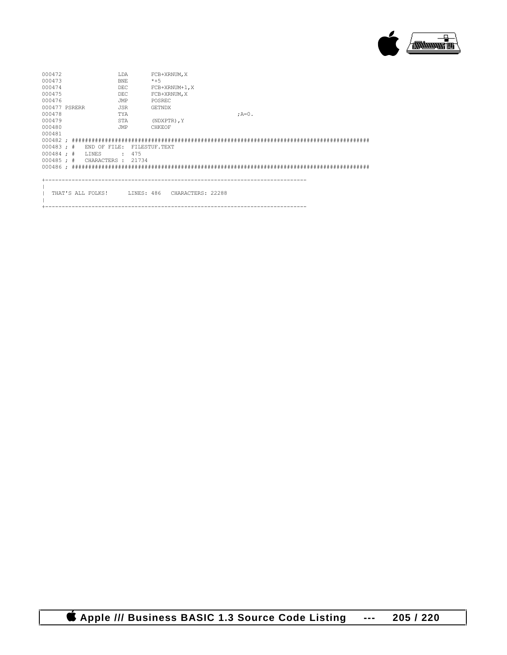

| 000472<br>000473<br>000474<br>000475<br>000476 |  |                    | T.DA<br><b>BNE</b><br><b>DEC</b><br><b>DEC</b><br>JMP |               | FCB+XRNUM, X<br>$*+5$<br>FCB+XRNUM+1, X<br>FCB+XRNUM, X<br>POSREC |                   |  |         |  |  |  |  |  |
|------------------------------------------------|--|--------------------|-------------------------------------------------------|---------------|-------------------------------------------------------------------|-------------------|--|---------|--|--|--|--|--|
| 000477 PSRERR                                  |  |                    | <b>JSR</b>                                            |               | <b>GETNDX</b>                                                     |                   |  |         |  |  |  |  |  |
| 000478                                         |  |                    | TYA                                                   |               |                                                                   |                   |  | $;A=0.$ |  |  |  |  |  |
| 000479                                         |  |                    | STA                                                   |               | (NDXPTR), Y                                                       |                   |  |         |  |  |  |  |  |
| 000480                                         |  |                    | JMP                                                   |               | CHKEOF                                                            |                   |  |         |  |  |  |  |  |
| 000481                                         |  |                    |                                                       |               |                                                                   |                   |  |         |  |  |  |  |  |
|                                                |  |                    |                                                       |               |                                                                   |                   |  |         |  |  |  |  |  |
| $000483$ ; #                                   |  | END OF FILE:       |                                                       | FILESTUF TEXT |                                                                   |                   |  |         |  |  |  |  |  |
| $000484 :$ #                                   |  | LINES              | $\ddot{\phantom{a}}$                                  | 475           |                                                                   |                   |  |         |  |  |  |  |  |
| $000485 :$ #                                   |  | CHARACTERS : 21734 |                                                       |               |                                                                   |                   |  |         |  |  |  |  |  |
|                                                |  |                    |                                                       |               |                                                                   |                   |  |         |  |  |  |  |  |
|                                                |  |                    |                                                       |               |                                                                   |                   |  |         |  |  |  |  |  |
|                                                |  | THAT'S ALL FOLKS!  |                                                       | LINES: 486    |                                                                   | CHARACTERS: 22288 |  |         |  |  |  |  |  |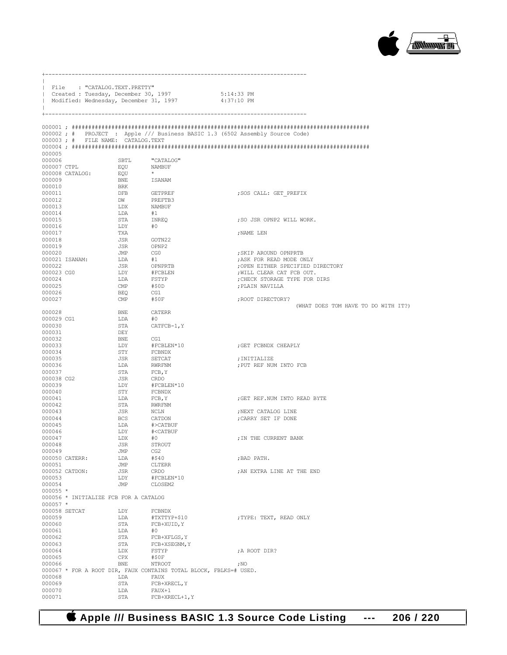

| $\mathbf{I}$          |  | File : "CATALOG.TEXT.PRETTY"          | Created : Tuesday, December 30, 1997<br>Modified: Wednesday, December 31, 1997 | 5:14:33 PM<br>4:37:10 PM                                   |
|-----------------------|--|---------------------------------------|--------------------------------------------------------------------------------|------------------------------------------------------------|
| $+ -$                 |  |                                       |                                                                                |                                                            |
|                       |  |                                       | 000002; # PROJECT : Apple /// Business BASIC 1.3 (6502 Assembly Source Code)   |                                                            |
|                       |  | 000003; # FILE NAME: CATALOG.TEXT     |                                                                                |                                                            |
|                       |  |                                       |                                                                                |                                                            |
| 000005                |  |                                       |                                                                                |                                                            |
| 000006<br>000007 CTPL |  | SBTL<br>EQU                           | "CATALOG"<br>NAMBUF                                                            |                                                            |
| $000008$ $CATALOG$ :  |  | EQU                                   | $\star$                                                                        |                                                            |
| 000009                |  | BNE                                   | <b>ISANAM</b>                                                                  |                                                            |
| 000010                |  | BRK                                   |                                                                                |                                                            |
| 000011                |  | DFB                                   | GETPREF                                                                        | ; SOS CALL: GET PREFIX                                     |
| 000012                |  | DW                                    | PREFTB3                                                                        |                                                            |
| 000013                |  | LDX                                   | NAMBUF                                                                         |                                                            |
| 000014                |  | LDA                                   | #1                                                                             |                                                            |
| 000015<br>000016      |  | STA<br>LDY                            | INREO<br>#0                                                                    | ; SO JSR OPNP2 WILL WORK.                                  |
| 000017                |  | TXA                                   |                                                                                | ; NAME LEN                                                 |
| 000018                |  | JSR                                   | GOTN22                                                                         |                                                            |
| 000019                |  | JSR                                   | OPNP2                                                                          |                                                            |
| 000020                |  | JMP                                   | CG0                                                                            | ; SKIP AROUND OPNPRTB                                      |
| 000021 ISANAM:        |  | LDA                                   | #1                                                                             | ; ASK FOR READ MODE ONLY                                   |
| 000022<br>000023 CG0  |  | JSR<br>LDY                            | OPNPRTB                                                                        | ; OPEN EITHER SPECIFIED DIRECTORY                          |
| 000024                |  | LDA                                   | #FCBLEN<br>FSTYP                                                               | ; WILL CLEAR CAT FCB OUT.<br>: CHECK STORAGE TYPE FOR DIRS |
| 000025                |  | CMP                                   | #\$0D                                                                          | ; PLAIN NAVILLA                                            |
| 000026                |  | BEQ                                   | CG1                                                                            |                                                            |
| 000027                |  | CMP                                   | #\$0F                                                                          | ; ROOT DIRECTORY?                                          |
| 000028                |  | BNE                                   | CATERR                                                                         | (WHAT DOES TOM HAVE TO DO WITH IT?)                        |
| 000029 CG1            |  | LDA                                   | #O                                                                             |                                                            |
| 000030                |  | STA                                   | CATFCB-1, Y                                                                    |                                                            |
| 000031                |  | DEY                                   |                                                                                |                                                            |
| 000032                |  | BNE                                   | CG1                                                                            |                                                            |
| 000033                |  | LDY                                   | #FCBLEN*10                                                                     | ; GET FCBNDX CHEAPLY                                       |
| 000034<br>000035      |  | STY                                   | FCBNDX<br>SETCAT                                                               |                                                            |
| 000036                |  | JSR<br>LDA                            | RWRFNM                                                                         | ; INITIALIZE<br>; PUT REF NUM INTO FCB                     |
| 000037                |  | STA                                   | FCB, Y                                                                         |                                                            |
| 000038 CG2            |  | JSR                                   | CRDO                                                                           |                                                            |
| 000039                |  | LDY                                   | #FCBLEN*10                                                                     |                                                            |
| 000040                |  | STY                                   | FCBNDX                                                                         |                                                            |
| 000041<br>000042      |  | LDA<br>STA                            | FCB, Y<br>RWRFNM                                                               | : GET REF.NUM INTO READ BYTE                               |
| 000043                |  | JSR                                   | NCLN                                                                           | ; NEXT CATALOG LINE                                        |
| 000044                |  | BCS                                   | CATDON                                                                         | ; CARRY SET IF DONE                                        |
| 000045                |  | LDA                                   | #>CATBUF                                                                       |                                                            |
| 000046                |  | LDY                                   | # <catbuf< td=""><td></td></catbuf<>                                           |                                                            |
| 000047                |  | LDX                                   | #0                                                                             | ; IN THE CURRENT BANK                                      |
| 000048<br>000049      |  | JSR                                   | STROUT<br>CG <sub>2</sub>                                                      |                                                            |
| 000050 CATERR:        |  | JMP<br>LDA                            | #\$40                                                                          | ; BAD PATH.                                                |
| 000051                |  | JMP                                   | CLTERR                                                                         |                                                            |
| 000052 CATDON:        |  | JSR                                   | CRDO                                                                           | ; AN EXTRA LINE AT THE END                                 |
| 000053                |  | LDY                                   | #FCBLEN*10                                                                     |                                                            |
| 000054<br>$000055$ *  |  | JMP                                   | CLOSEM2                                                                        |                                                            |
|                       |  | 000056 * INITIALIZE FCB FOR A CATALOG |                                                                                |                                                            |
| $000057$ *            |  |                                       |                                                                                |                                                            |
| 000058 SETCAT         |  | LDY                                   | FCBNDX                                                                         |                                                            |
| 000059                |  | LDA                                   | #TXTTYP+\$10                                                                   | ; TYPE: TEXT, READ ONLY                                    |
| 000060                |  | STA                                   | FCB+XUID, Y                                                                    |                                                            |
| 000061<br>000062      |  | LDA<br>STA                            | #0<br>FCB+XFLGS, Y                                                             |                                                            |
| 000063                |  | STA                                   | FCB+XSEGNM, Y                                                                  |                                                            |
| 000064                |  | LDX                                   | FSTYP                                                                          | ; A ROOT DIR?                                              |
| 000065                |  | CPX                                   | #50F                                                                           |                                                            |
| 000066                |  | BNE                                   | NTROOT                                                                         | ; NO                                                       |
|                       |  |                                       | 000067 * FOR A ROOT DIR, FAUX CONTAINS TOTAL BLOCK, FBLKS=# USED.              |                                                            |
| 000068<br>000069      |  | LDA<br>STA                            | FAUX<br>FCB+XRECL, Y                                                           |                                                            |
| 000070                |  | LDA                                   | FAUX+1                                                                         |                                                            |
| 000071                |  | STA                                   | $FCB+XRECL+1, Y$                                                               |                                                            |

+-------------------------------------------------------------------------------

 **Apple /// Business BASIC 1.3 Source Code Listing --- 206 / 220**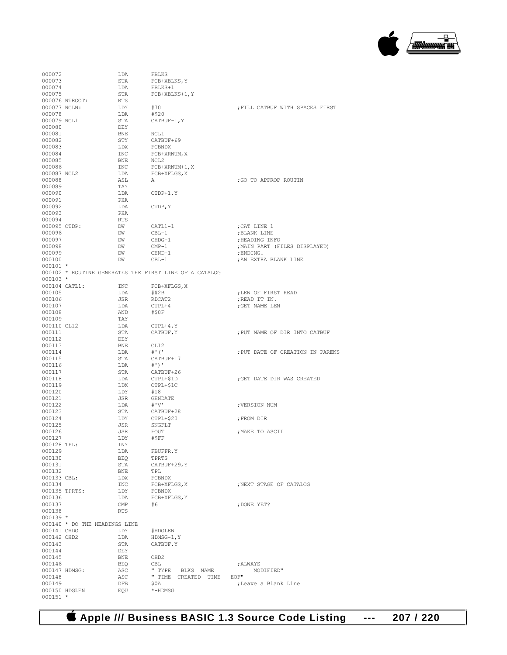# **Apple /// Business BASIC 1.3 Source Code Listing --- 207 / 220**

| 000072                     |                               | LDA                     | FBLKS                                                  |                                  |
|----------------------------|-------------------------------|-------------------------|--------------------------------------------------------|----------------------------------|
| 000073                     |                               | STA                     | FCB+XBLKS, Y                                           |                                  |
| 000074                     |                               | LDA                     | FBLKS+1                                                |                                  |
| 000075                     |                               | STA                     | FCB+XBLKS+1, Y                                         |                                  |
|                            | 000076 NTROOT:                | RTS                     |                                                        |                                  |
| 000077 NCLN:               |                               | LDY                     | #70                                                    | ; FILL CATBUF WITH SPACES FIRST  |
| 000078                     |                               | LDA                     | #\$20                                                  |                                  |
| 000079 NCL1                |                               | STA                     | CATBUF-1, Y                                            |                                  |
| 000080                     |                               | DEY                     |                                                        |                                  |
| 000081                     |                               | BNE                     | NCL1                                                   |                                  |
| 000082                     |                               | STY                     | CATBUF+69                                              |                                  |
| 000083<br>000084           |                               | LDX<br>INC              | FCBNDX<br>FCB+XRNUM, X                                 |                                  |
| 000085                     |                               | BNE                     | NCL2                                                   |                                  |
| 000086                     |                               | INC.                    | FCB+XRNUM+1, X                                         |                                  |
| 000087 NCL2                |                               | LDA                     | FCB+XFLGS, X                                           |                                  |
| 000088                     |                               | ASL                     | А                                                      | ;GO TO APPROP ROUTIN             |
| 000089                     |                               | TAY                     |                                                        |                                  |
| 000090                     |                               | LDA                     | $CTDP+1, Y$                                            |                                  |
| 000091                     |                               | PHA                     |                                                        |                                  |
| 000092                     |                               | LDA                     | CTDP, Y                                                |                                  |
| 000093                     |                               | PHA                     |                                                        |                                  |
| 000094                     |                               | RTS                     |                                                        |                                  |
| 000095 CTDP:               |                               | DW                      | CATL1-1                                                | ; CAT LINE 1                     |
| 000096                     |                               | DW                      | CBL-1                                                  | ; BLANK LINE                     |
| 000097                     |                               | DW                      | CHDG-1                                                 | ; HEADING INFO                   |
| 000098                     |                               | DW                      | $\texttt{CMP-1}$                                       | ; MAIN PART (FILES DISPLAYED)    |
| 000099                     |                               | DW                      | CEND-1                                                 | ; ENDING.                        |
| 000100                     |                               | DW                      | $CBL-1$                                                | ; AN EXTRA BLANK LINE            |
| $000101 *$                 |                               |                         |                                                        |                                  |
|                            |                               |                         | 000102 * ROUTINE GENERATES THE FIRST LINE OF A CATALOG |                                  |
| $000103 *$                 |                               |                         |                                                        |                                  |
|                            | 000104 CATL1:                 | INC                     | FCB+XFLGS, X                                           |                                  |
| 000105                     |                               | LDA                     | #\$2B                                                  | ; LEN OF FIRST READ              |
| 000106                     |                               | JSR                     | RDCAT2                                                 | ; READ IT IN.                    |
| 000107                     |                               | LDA                     | CTPL+4                                                 | ; GET NAME LEN                   |
| 000108                     |                               | AND                     | #\$0F                                                  |                                  |
| 000109                     |                               | TAY                     |                                                        |                                  |
| 000110 CL12                |                               | LDA                     | $CTPL+4, Y$                                            |                                  |
| 000111                     |                               | STA                     | CATBUF, Y                                              | ; PUT NAME OF DIR INTO CATBUF    |
| 000112                     |                               | DEY                     |                                                        |                                  |
| 000113<br>000114           |                               | BNE<br>LDA              | CL12<br>$#$ ' ('                                       |                                  |
| 000115                     |                               | STA                     |                                                        | ; PUT DATE OF CREATION IN PARENS |
| 000116                     |                               | LDA                     | CATBUF+17<br>#')'                                      |                                  |
| 000117                     |                               | STA                     | CATBUF+26                                              |                                  |
| 000118                     |                               | LDA                     | CTPL+\$1D                                              | ; GET DATE DIR WAS CREATED       |
| 000119                     |                               | LDX                     | CTPL+\$1C                                              |                                  |
| 000120                     |                               | LDY                     | #18                                                    |                                  |
| 000121                     |                               | JSR                     | GENDATE                                                |                                  |
| 000122                     |                               | LDA                     | #'V'                                                   | ; VERSION NUM                    |
| 000123                     |                               | STA                     | CATBUF+28                                              |                                  |
| 000124                     |                               | LDY                     | CTPL+\$20                                              | ; FROM DIR                       |
| 000125                     |                               | JSR                     | SNGFLT                                                 |                                  |
| 000126                     |                               | JSR                     | FOUT                                                   | ; MAKE TO ASCII                  |
| 000127                     |                               | LDY                     | #\$FF                                                  |                                  |
| 000128 TPL:                |                               | INY                     |                                                        |                                  |
| 000129                     |                               | LDA                     | FBUFFR, Y                                              |                                  |
| 000130                     |                               | BEQ                     | TPRTS                                                  |                                  |
| 000131                     |                               | STA                     | CATBUF+29, Y                                           |                                  |
| 000132                     |                               | BNE                     | TPL                                                    |                                  |
| 000133 CBL:                |                               | LDX                     | FCBNDX                                                 |                                  |
| 000134                     |                               | INC                     | FCB+XFLGS, X                                           | ; NEXT STAGE OF CATALOG          |
|                            | 000135 TPRTS:                 | LDY                     | FCBNDX                                                 |                                  |
| 000136                     |                               | LDA                     | FCB+XFLGS, Y                                           |                                  |
| 000137                     |                               | $\mathop{\mathrm{CMP}}$ | #6                                                     | ; DONE YET?                      |
| 000138                     |                               | <b>RTS</b>              |                                                        |                                  |
| $000139 *$                 |                               |                         |                                                        |                                  |
|                            | 000140 * DO THE HEADINGS LINE | LDY                     |                                                        |                                  |
| 000141 CHDG<br>000142 CHD2 |                               |                         | #HDGLEN                                                |                                  |
| 000143                     |                               | LDA<br>STA              | HDMSG-1,Y<br>CATBUF, Y                                 |                                  |
| 000144                     |                               | DEY                     |                                                        |                                  |
| 000145                     |                               | <b>BNE</b>              |                                                        |                                  |
| 000146                     |                               | BEQ                     | CHD2<br>CBL                                            | ; ALWAYS                         |
|                            | 000147 HDMSG:                 | ASC                     | " TYPE BLKS NAME                                       | MODIFIED"                        |
| 000148                     |                               | ASC                     | " TIME CREATED TIME EOF"                               |                                  |
| 000149                     |                               | DFB                     | \$0A                                                   | ;Leave a Blank Line              |
|                            | 000150 HDGLEN                 | EQU                     | *-HDMSG                                                |                                  |
|                            | $000151$ *                    |                         |                                                        |                                  |

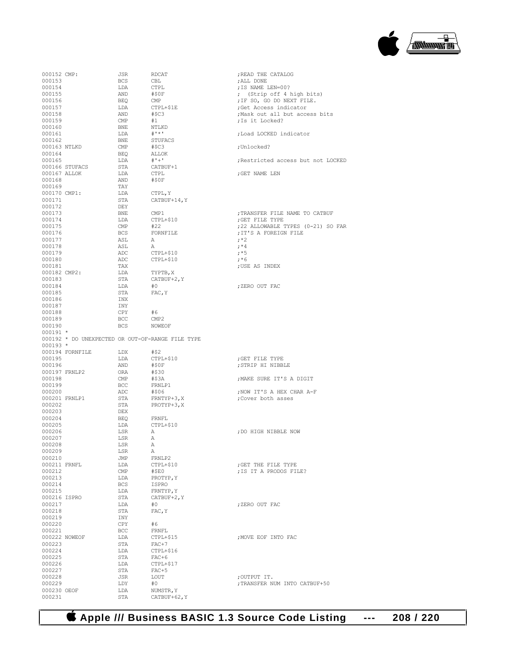

| 000152 CMP:   |                                                  | JSR            | RDCAT            | ; READ THE CATALOG                 |
|---------------|--------------------------------------------------|----------------|------------------|------------------------------------|
| 000153        |                                                  | BCS            | CBL              | ; ALL DONE                         |
| 000154        |                                                  | LDA            | <b>CTPL</b>      | ; IS NAME LEN=00?                  |
| 000155        |                                                  | AND            | #50F             | ; (Strip off 4 high bits)          |
| 000156        |                                                  | BEQ            | $\text{CMP}$     | ; IF SO, GO DO NEXT FILE.          |
| 000157        |                                                  | LDA            | CTPL+\$1E        | ;Get Access indicator              |
| 000158        |                                                  | AND            | #SC3             | Mask out all but access bits       |
| 000159        |                                                  | CMP            | #1               | ; Is it Locked?                    |
| 000160        |                                                  | BNE            | NTLKD            |                                    |
| 000161        |                                                  | LDA            | $#$ '*'          | ; Load LOCKED indicator            |
| 000162        |                                                  | BNE            | STUFACS          |                                    |
| 000163 NTLKD  |                                                  | CMP            | #SC3             |                                    |
|               |                                                  |                |                  | ;Unlocked?                         |
| 000164        |                                                  | BEO            | ALLOK            |                                    |
| 000165        |                                                  | LDA            | $# + +$          | ; Restricted access but not LOCKED |
|               | 000166 STUFACS                                   | STA            | CATBUF+1         |                                    |
| 000167 ALLOK  |                                                  | LDA            | <b>CTPL</b>      | ;GET NAME LEN                      |
| 000168        |                                                  | AND            | #\$0F            |                                    |
| 000169        |                                                  | TAY            |                  |                                    |
| 000170 CMP1:  |                                                  | LDA            | CTPL, Y          |                                    |
| 000171        |                                                  | STA            | CATBUF+14, Y     |                                    |
| 000172        |                                                  | DEY            |                  |                                    |
| 000173        |                                                  | BNE            | CMP1             | ; TRANSFER FILE NAME TO CATBUF     |
| 000174        |                                                  | LDA            | CTPL+\$10        | ; GET FILE TYPE                    |
| 000175        |                                                  | CMP            | #22              | ;22 ALLOWABLE TYPES (0-21) SO FAR  |
| 000176        |                                                  | <b>BCS</b>     | FORNFILE         | ; IT'S A FOREIGN FILE              |
| 000177        |                                                  | ASL            | A                | $;*2$                              |
|               |                                                  |                |                  | $; *4$                             |
| 000178        |                                                  | ASL            | А                |                                    |
| 000179        |                                                  | ADC            | CTPL+\$10        | $; *5$                             |
| 000180        |                                                  | ADC            | CTPL+\$10        | $; *6$                             |
| 000181        |                                                  | TAX            |                  | ; USE AS INDEX                     |
| 000182 CMP2:  |                                                  | LDA            | TYPTB, X         |                                    |
| 000183        |                                                  | STA            | CATBUF+2, Y      |                                    |
| 000184        |                                                  | LDA            | #0               | ; ZERO OUT FAC                     |
| 000185        |                                                  | STA            | FAC, Y           |                                    |
| 000186        |                                                  | INX            |                  |                                    |
| 000187        |                                                  | INY            |                  |                                    |
| 000188        |                                                  | CPY            | #6               |                                    |
| 000189        |                                                  | BCC            | CMP <sub>2</sub> |                                    |
| 000190        |                                                  | <b>BCS</b>     | NOWEOF           |                                    |
|               |                                                  |                |                  |                                    |
|               |                                                  |                |                  |                                    |
| $000191 *$    |                                                  |                |                  |                                    |
|               | 000192 * DO UNEXPECTED OR OUT-OF-RANGE FILE TYPE |                |                  |                                    |
| $000193 *$    |                                                  |                |                  |                                    |
|               | 000194 FORNFILE                                  | LDX            | #\$2             |                                    |
| 000195        |                                                  | LDA            | CTPL+\$10        | ; GET FILE TYPE                    |
| 000196        |                                                  | AND            | #\$0F            | ; STRIP HI NIBBLE                  |
| 000197 FRNLP2 |                                                  | ORA            | #\$30            |                                    |
| 000198        |                                                  | $\mathsf{CMP}$ | #\$3A            | ; MAKE SURE IT'S A DIGIT           |
| 000199        |                                                  | <b>BCC</b>     | FRNLP1           |                                    |
| 000200        |                                                  | ADC            | #\$06            | ; NOW IT'S A HEX CHAR A-F          |
|               |                                                  |                | FRNTYP+3, X      |                                    |
| 000201 FRNLP1 |                                                  | STA            |                  | ; Cover both asses                 |
| 000202        |                                                  | STA            | PROTYP+3, X      |                                    |
| 000203        |                                                  | DEX            |                  |                                    |
| 000204        |                                                  | BEQ            | FRNFL            |                                    |
| 000205        |                                                  | LDA            | CTPL+\$10        |                                    |
| 000206        |                                                  | LSR            | А                | ; DO HIGH NIBBLE NOW               |
| 000207        |                                                  | LSR            | $\mathbb A$      |                                    |
| 000208        |                                                  | LSR            | A                |                                    |
| 000209        |                                                  | LSR            | А                |                                    |
| 000210        |                                                  | JMP            | FRNLP2           |                                    |
| 000211 FRNFL  |                                                  | LDA            | CTPL+\$10        | ; GET THE FILE TYPE                |
| 000212        |                                                  | $\mathsf{CMP}$ | #\$E0            | ; IS IT A PRODOS FILE?             |
| 000213        |                                                  | LDA            | PROTYP, Y        |                                    |
| 000214        |                                                  | BCS            | ISPRO            |                                    |
| 000215        |                                                  | LDA            | FRNTYP, Y        |                                    |
| 000216 ISPRO  |                                                  | STA            | CATBUF+2, Y      |                                    |
| 000217        |                                                  | LDA            | #0               | ; ZERO OUT FAC                     |
|               |                                                  |                |                  |                                    |
| 000218        |                                                  | STA            | FAC, Y           |                                    |
| 000219        |                                                  | INY            |                  |                                    |
| 000220        |                                                  | CPY            | #6               |                                    |
| 000221        |                                                  | BCC            | FRNFL            |                                    |
|               | 000222 NOWEOF                                    | LDA            | CTPL+\$15        | ; MOVE EOF INTO FAC                |
| 000223        |                                                  | STA            | $FAC+7$          |                                    |
| 000224        |                                                  | LDA            | CTPL+\$16        |                                    |
| 000225        |                                                  | STA            | FAC+6            |                                    |
| 000226        |                                                  | LDA            | CTPL+\$17        |                                    |
| 000227        |                                                  | STA            | $FAC+5$          |                                    |
| 000228        |                                                  | JSR            | LOUT             | ;OUTPUT IT.                        |
| 000229        |                                                  | LDY            | #0               | ; TRANSFER NUM INTO CATBUF+50      |
| 000230 OEOF   |                                                  | LDA            | NUMSTR, Y        |                                    |
| 000231        |                                                  | STA            | CATBUF+62, Y     |                                    |

 **Apple /// Business BASIC 1.3 Source Code Listing --- 208 / 220**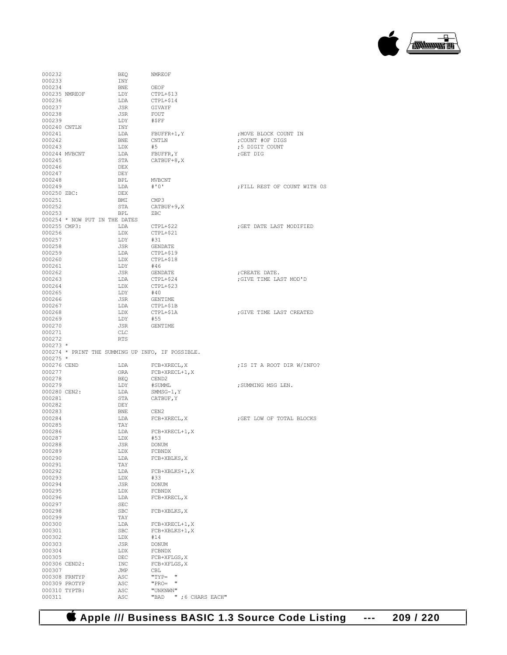| 000232       |                               | <b>BEQ</b> | <b>NMREOF</b>                                    |                              |
|--------------|-------------------------------|------------|--------------------------------------------------|------------------------------|
| 000233       |                               | INY        |                                                  |                              |
| 000234       |                               | <b>BNE</b> | OEOF                                             |                              |
|              | 000235 NMREOF                 | LDY        | CTPL+\$13                                        |                              |
| 000236       |                               | LDA        | CTPL+\$14                                        |                              |
| 000237       |                               | JSR        | GIVAYF                                           |                              |
| 000238       |                               | JSR        | FOUT                                             |                              |
|              |                               |            |                                                  |                              |
| 000239       |                               | LDY        | #\$FF                                            |                              |
| 000240 CNTLN |                               | INY        |                                                  |                              |
| 000241       |                               | LDA        | $F\text{BUFFR+1}, Y$                             | ; MOVE BLOCK COUNT IN        |
| 000242       |                               | BNE        | <b>CNTLN</b>                                     | ; COUNT #OF DIGS             |
| 000243       |                               | LDX        | #5                                               | ;5 DIGIT COUNT               |
|              | 000244 MVBCNT                 | LDA        | FBUFFR, Y                                        | ;GET DIG                     |
| 000245       |                               | STA        | CATBUF+8, X                                      |                              |
| 000246       |                               | DEX        |                                                  |                              |
|              |                               |            |                                                  |                              |
| 000247       |                               | DEY        |                                                  |                              |
| 000248       |                               | BPL        | <b>MVBCNT</b>                                    |                              |
| 000249       |                               | LDA        | # ' 0'                                           | ; FILL REST OF COUNT WITH OS |
| 000250 ZBC:  |                               | DEX        |                                                  |                              |
| 000251       |                               | BMI        | CMP3                                             |                              |
| 000252       |                               | STA        | CATBUF+9, X                                      |                              |
| 000253       |                               | BPL        | ZBC                                              |                              |
|              | 000254 * NOW PUT IN THE DATES |            |                                                  |                              |
|              |                               |            |                                                  |                              |
| 000255 CMP3: |                               | LDA        | CTPL+\$22                                        | GET DATE LAST MODIFIED;      |
| 000256       |                               | LDX        | CTPL+\$21                                        |                              |
| 000257       |                               | LDY        | #31                                              |                              |
| 000258       |                               | <b>JSR</b> | <b>GENDATE</b>                                   |                              |
| 000259       |                               | LDA        | CTPL+\$19                                        |                              |
| 000260       |                               | LDX        | CTPL+\$18                                        |                              |
| 000261       |                               | LDY        | #46                                              |                              |
|              |                               |            |                                                  |                              |
| 000262       |                               | JSR        | GENDATE                                          | ; CREATE DATE.               |
| 000263       |                               | LDA        | CTPL+\$24                                        | ;GIVE TIME LAST MOD'D        |
| 000264       |                               | LDX        | CTPL+\$23                                        |                              |
| 000265       |                               | LDY        | #40                                              |                              |
| 000266       |                               | JSR        | GENTIME                                          |                              |
| 000267       |                               | LDA        | CTPL+\$1B                                        |                              |
| 000268       |                               | LDX        | CTPL+\$1A                                        | GIVE TIME LAST CREATED       |
| 000269       |                               | LDY        | #55                                              |                              |
|              |                               |            |                                                  |                              |
| 000270       |                               | JSR        | GENTIME                                          |                              |
| 000271       |                               | CLC        |                                                  |                              |
|              |                               |            |                                                  |                              |
| 000272       |                               | <b>RTS</b> |                                                  |                              |
| $000273$ *   |                               |            |                                                  |                              |
|              |                               |            | 000274 * PRINT THE SUMMING UP INFO, IF POSSIBLE. |                              |
| $000275$ *   |                               |            |                                                  |                              |
|              |                               |            |                                                  |                              |
| 000276 CEND  |                               | LDA        | FCB+XRECL, X                                     | ; IS IT A ROOT DIR W/INFO?   |
| 000277       |                               | ORA        | $FCB+XRECL+1, X$                                 |                              |
| 000278       |                               | <b>BEQ</b> | CEND <sub>2</sub>                                |                              |
| 000279       |                               | LDY        | #SUMML                                           | ; SUMMING MSG LEN.           |
| 000280 CEN2: |                               | LDA        | SMMSG-1, Y                                       |                              |
| 000281       |                               | STA        | CATBUF, Y                                        |                              |
| 000282       |                               | DEY        |                                                  |                              |
| 000283       |                               | BNE        | CEN2                                             |                              |
| 000284       |                               | LDA        | FCB+XRECL, X                                     |                              |
|              |                               |            |                                                  | ; GET LOW OF TOTAL BLOCKS    |
| 000285       |                               | TAY        |                                                  |                              |
| 000286       |                               | LDA        | FCB+XRECL+1, X                                   |                              |
| 000287       |                               | LDX        | #53                                              |                              |
| 000288       |                               | <b>JSR</b> | DONUM                                            |                              |
| 000289       |                               | LDX        | FCBNDX                                           |                              |
| 000290       |                               | LDA        | FCB+XBLKS, X                                     |                              |
| 000291       |                               | TAY        |                                                  |                              |
| 000292       |                               | LDA        | FCB+XBLKS+1, X                                   |                              |
|              |                               |            |                                                  |                              |
| 000293       |                               | LDX        | #33                                              |                              |
| 000294       |                               | JSR        | <b>DONUM</b>                                     |                              |
| 000295       |                               | LDX        | FCBNDX                                           |                              |
| 000296       |                               | LDA        | FCB+XRECL, X                                     |                              |
| 000297       |                               | SEC        |                                                  |                              |
| 000298       |                               | SBC        | FCB+XBLKS, X                                     |                              |
| 000299       |                               | TAY        |                                                  |                              |
| 000300       |                               | LDA        | $FCB+XRECL+1, X$                                 |                              |
| 000301       |                               | SBC        | $FCB+XBLKS+1, X$                                 |                              |
| 000302       |                               |            |                                                  |                              |
|              |                               | LDX        | #14                                              |                              |
| 000303       |                               | JSR        | <b>DONUM</b>                                     |                              |
| 000304       |                               | LDX        | FCBNDX                                           |                              |
| 000305       |                               | DEC        | FCB+XFLGS, X                                     |                              |
|              | 000306 CEND2:                 | INC        | FCB+XFLGS, X                                     |                              |
| 000307       |                               | JMP        | CBL                                              |                              |
|              | 000308 FRNTYP                 | ASC        | Ħ<br>$"$ TYP=                                    |                              |
|              | 000309 PROTYP                 | ASC        | $\pmb{\pi}$<br>$"PRO =$                          |                              |
|              | 000310 TYPTB:                 | ASC        | "UNKNWN"                                         |                              |

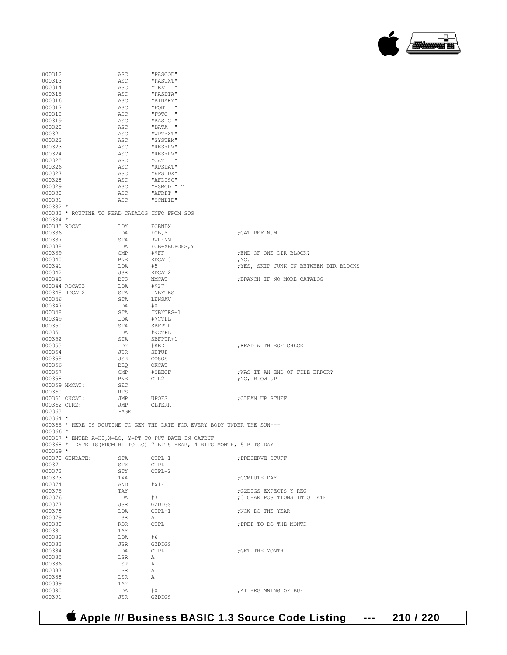#### **Apple /// Business BASIC 1.3 Source Code Listing --- 210 / 220**

| 000313       |                                                | ASC          | "PASTXT"                                                                 |                                        |
|--------------|------------------------------------------------|--------------|--------------------------------------------------------------------------|----------------------------------------|
| 000314       |                                                | ASC          | "TEXT "                                                                  |                                        |
| 000315       |                                                | ASC          | "PASDTA"                                                                 |                                        |
| 000316       |                                                | ASC          | "BINARY"                                                                 |                                        |
| 000317       |                                                | ASC          | "FONT "                                                                  |                                        |
| 000318       |                                                | ASC          | "FOTO "                                                                  |                                        |
| 000319       |                                                | ASC          | "BASIC "                                                                 |                                        |
| 000320       |                                                | ASC          | "DATA "                                                                  |                                        |
| 000321       |                                                | ASC          | "WPTEXT"                                                                 |                                        |
|              |                                                |              |                                                                          |                                        |
| 000322       |                                                | ASC          | "SYSTEM"                                                                 |                                        |
| 000323       |                                                | ASC          | "RESERV"                                                                 |                                        |
| 000324       |                                                | ASC          | "RESERV"                                                                 |                                        |
| 000325       |                                                | ASC          | "CAT "                                                                   |                                        |
| 000326       |                                                | ASC          | "RPSDAT"                                                                 |                                        |
| 000327       |                                                | ASC          | "RPSIDX"                                                                 |                                        |
| 000328       |                                                | ASC          | "AFDISC"                                                                 |                                        |
| 000329       |                                                | ASC          | "ASMOD " "                                                               |                                        |
| 000330       |                                                | ASC          | "AFRPT "                                                                 |                                        |
| 000331       |                                                | ASC          | "SCNLIB"                                                                 |                                        |
| 000332 *     |                                                |              |                                                                          |                                        |
|              | 000333 * ROUTINE TO READ CATALOG INFO FROM SOS |              |                                                                          |                                        |
| 000334 *     |                                                |              |                                                                          |                                        |
| 000335 RDCAT |                                                | LDY          | FCBNDX                                                                   |                                        |
| 000336       |                                                | LDA          | FCB, Y                                                                   | CAT REF NUM;                           |
| 000337       |                                                | STA          | RWRFNM                                                                   |                                        |
| 000338       |                                                | LDA          | FCB+XBUFOFS, Y                                                           |                                        |
| 000339       |                                                | $\text{CMP}$ | #ŞFF                                                                     | ; END OF ONE DIR BLOCK?                |
| 000340       |                                                | <b>BNE</b>   | RDCAT3                                                                   | ; NO.                                  |
| 000341       |                                                | LDA          | #5                                                                       | ; YES, SKIP JUNK IN BETWEEN DIR BLOCKS |
| 000342       |                                                | JSR          | RDCAT2                                                                   |                                        |
| 000343       |                                                | <b>BCS</b>   | NMCAT                                                                    | ; BRANCH IF NO MORE CATALOG            |
|              | 000344 RDCAT3                                  |              |                                                                          |                                        |
|              |                                                | LDA          | #\$27                                                                    |                                        |
|              | 000345 RDCAT2                                  | STA          | INBYTES                                                                  |                                        |
| 000346       |                                                | STA          | LENSAV                                                                   |                                        |
| 000347       |                                                | LDA          | #0                                                                       |                                        |
| 000348       |                                                | STA          | INBYTES+1                                                                |                                        |
| 000349       |                                                | LDA          | #>CTPL                                                                   |                                        |
| 000350       |                                                | STA          | SBFPTR                                                                   |                                        |
| 000351       |                                                | LDA          | # <ctpl< td=""><td></td></ctpl<>                                         |                                        |
| 000352       |                                                | STA          | SBFPTR+1                                                                 |                                        |
| 000353       |                                                | LDY          | #RED                                                                     | ; READ WITH EOF CHECK                  |
| 000354       |                                                | JSR          | SETUP                                                                    |                                        |
| 000355       |                                                | JSR          | GOSOS                                                                    |                                        |
| 000356       |                                                | BEQ          | ОКСАТ                                                                    |                                        |
| 000357       |                                                | CMP          | #SEEOF                                                                   | ; WAS IT AN END-OF-FILE ERROR?         |
|              |                                                |              |                                                                          |                                        |
| 000358       |                                                | <b>BNE</b>   | CTR2                                                                     | ;NO, BLOW UP                           |
|              | 000359 NMCAT:                                  | SEC          |                                                                          |                                        |
| 000360       |                                                | RTS          |                                                                          |                                        |
|              | 000361 OKCAT:                                  | JMP          | UPOFS                                                                    | CLEAN UP STUFF                         |
|              | 000362 CTR2:                                   | JMP          | <b>CLTERR</b>                                                            |                                        |
| 000363       |                                                | PAGE         |                                                                          |                                        |
| 000364 *     |                                                |              |                                                                          |                                        |
|              |                                                |              | 000365 * HERE IS ROUTINE TO GEN THE DATE FOR EVERY BODY UNDER THE SUN--- |                                        |
| 000366 *     |                                                |              |                                                                          |                                        |
|              |                                                |              | 000367 * ENTER A=HI, X=LO, Y=PT TO PUT DATE IN CATBUF                    |                                        |
|              |                                                |              | 000368 * DATE IS (FROM HI TO LO) 7 BITS YEAR, 4 BITS MONTH, 5 BITS DAY   |                                        |
| 000369 *     |                                                |              |                                                                          |                                        |
|              |                                                |              |                                                                          |                                        |
|              | 000370 GENDATE:                                | STA          | CTPL+1                                                                   | ; PRESERVE STUFF                       |
| 000371       |                                                | STX          | <b>CTPL</b>                                                              |                                        |
| 000372       |                                                | STY          | CTPL+2                                                                   |                                        |
| 000373       |                                                | TXA          |                                                                          | ; COMPUTE DAY                          |
| 000374       |                                                | AND          | #\$1F                                                                    |                                        |
| 000375       |                                                | TAY          |                                                                          | ; G2DIGS EXPECTS Y REG                 |
| 000376       |                                                | LDA          | #3                                                                       | ;3 CHAR POSITIONS INTO DATE            |
| 000377       |                                                | JSR          | G2DIGS                                                                   |                                        |
| 000378       |                                                | LDA          | CTPL+1                                                                   | ; NOW DO THE YEAR                      |
| 000379       |                                                | LSR          | Α                                                                        |                                        |
| 000380       |                                                | ROR          | <b>CTPL</b>                                                              | ; PREP TO DO THE MONTH                 |
|              |                                                |              |                                                                          |                                        |
| 000381       |                                                | TAY          |                                                                          |                                        |
| 000382       |                                                | LDA          | #6                                                                       |                                        |
| 000383       |                                                | JSR          | G2DIGS                                                                   |                                        |
| 000384       |                                                | LDA          | <b>CTPL</b>                                                              | ; GET THE MONTH                        |
| 000385       |                                                | LSR          | А                                                                        |                                        |
|              |                                                |              |                                                                          |                                        |
| 000386       |                                                | LSR          | А                                                                        |                                        |
| 000387       |                                                | LSR          | А                                                                        |                                        |
| 000388       |                                                | LSR          | А                                                                        |                                        |
| 000389       |                                                | TAY          |                                                                          |                                        |
| 000390       |                                                |              | #0                                                                       |                                        |
| 000391       |                                                | LDA<br>JSR   | G2DIGS                                                                   | ; AT BEGINNING OF BUF                  |

000312 ASC "PASCOD"

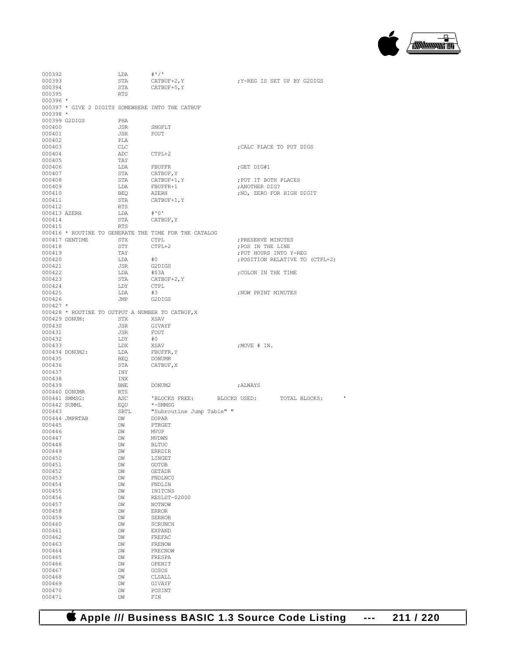

| 000393       |                                                  | LDA        | $#$ '/'                                               |                                          |
|--------------|--------------------------------------------------|------------|-------------------------------------------------------|------------------------------------------|
|              |                                                  | STA        | CATBUF+2, Y                                           | X-REG IS SET UP BY G2DIGS                |
| 000394       |                                                  | STA        | CATBUF+5, Y                                           |                                          |
| 000395       |                                                  | <b>RTS</b> |                                                       |                                          |
| 000396 *     |                                                  |            |                                                       |                                          |
|              |                                                  |            |                                                       |                                          |
|              | 000397 * GIVE 2 DIGITS SOMEWHERE INTO THE CATBUF |            |                                                       |                                          |
| $000398 *$   |                                                  |            |                                                       |                                          |
|              | 000399 G2DIGS                                    | PHA        |                                                       |                                          |
| 000400       |                                                  | JSR        | SNGFLT                                                |                                          |
| 000401       |                                                  | JSR        | FOUT                                                  |                                          |
| 000402       |                                                  | PLA        |                                                       |                                          |
| 000403       |                                                  | CLC        |                                                       | ; CALC PLACE TO PUT DIGS                 |
| 000404       |                                                  | ADC        | CTPL+2                                                |                                          |
| 000405       |                                                  | TAY        |                                                       |                                          |
| 000406       |                                                  | LDA        | FBUFFR                                                | ;GET DIG#1                               |
| 000407       |                                                  | STA        | CATBUF, Y                                             |                                          |
| 000408       |                                                  | STA        | CATBUF+1, Y                                           | : PUT IT BOTH PLACES                     |
| 000409       |                                                  | LDA        | FBUFFR+1                                              | ; ANOTHER DIG?                           |
| 000410       |                                                  | BEQ        | AZERH                                                 | ; NO, ZERO FOR HIGH DIGIT                |
| 000411       |                                                  | STA        |                                                       |                                          |
|              |                                                  |            | CATBUF+1, Y                                           |                                          |
| 000412       |                                                  | RTS        |                                                       |                                          |
| 000413 AZERH |                                                  | LDA        | #'0'                                                  |                                          |
| 000414       |                                                  | STA        | CATBUF, Y                                             |                                          |
| 000415       |                                                  | RTS        |                                                       |                                          |
|              |                                                  |            | 000416 * ROUTINE TO GENERATE THE TIME FOR THE CATALOG |                                          |
|              | 000417 GENTIME                                   | STX        | CTPL                                                  | ; PRESERVE MINUTES                       |
| 000418       |                                                  | STY        | CTPL+2                                                | ; POS IN THE LINE                        |
| 000419       |                                                  | TAY        |                                                       | ; PUT HOURS INTO Y-REG                   |
| 000420       |                                                  | LDA        | #0                                                    | ; POSITION RELATIVE TO (CTPL+2)          |
| 000421       |                                                  | JSR        | G2DIGS                                                |                                          |
| 000422       |                                                  | LDA        | #\$3A                                                 | ; COLON IN THE TIME                      |
| 000423       |                                                  | STA        | CATBUF+2, Y                                           |                                          |
| 000424       |                                                  | LDY        | CTPL                                                  |                                          |
| 000425       |                                                  | LDA        | #3                                                    | ; NOW PRINT MINUTES                      |
| 000426       |                                                  | JMP        | G2DIGS                                                |                                          |
| $000427$ *   |                                                  |            |                                                       |                                          |
|              |                                                  |            |                                                       |                                          |
|              | 000428 * ROUTINE TO OUTPUT A NUMBER TO CATBUF, X |            |                                                       |                                          |
|              | 000429 DONUM:                                    | STX        | XSAV                                                  |                                          |
| 000430       |                                                  | JSR        | GIVAYF                                                |                                          |
| 000431       |                                                  | JSR        | FOUT                                                  |                                          |
| 000432       |                                                  | LDY        | #0                                                    |                                          |
| 000433       |                                                  | LDX        | XSAV                                                  | ;MOVE # IN.                              |
|              | 000434 DONUM2:                                   | LDA        | FBUFFR, Y                                             |                                          |
| 000435       |                                                  | BEQ        | DONUMR                                                |                                          |
| 000436       |                                                  | STA        | CATBUF, X                                             |                                          |
| 000437       |                                                  | INY        |                                                       |                                          |
| 000438       |                                                  | INX        |                                                       |                                          |
| 000439       |                                                  | BNE        | DONUM2                                                | ; ALWAYS                                 |
|              | 000440 DONUMR                                    |            |                                                       |                                          |
|              |                                                  |            |                                                       |                                          |
|              |                                                  | RTS        |                                                       |                                          |
|              | 000441 SMMSG:                                    | ASC        |                                                       | 'BLOCKS FREE: BLOCKS USED: TOTAL BLOCKS: |
| 000442 SUMML |                                                  | EQU        | *-SMMSG                                               |                                          |
| 000443       |                                                  | SBTL       | "Subroutine Jump Table" "                             |                                          |
|              | 000444 JMPRTAB                                   | DW         | <b>DOPAR</b>                                          |                                          |
| 000445       |                                                  | DW         | PTRGET                                                |                                          |
| 000446       |                                                  | DW         | <b>MVUP</b>                                           |                                          |
| 000447       |                                                  | DW         | <b>MVDWN</b>                                          |                                          |
| 000448       |                                                  | DM         | <b>BLTUC</b>                                          |                                          |
| 000449       |                                                  | DW         | ERRDIR                                                |                                          |
| 000450       |                                                  | DM         | LINGET                                                |                                          |
| 000451       |                                                  | DM         | <b>GOTOB</b>                                          |                                          |
| 000452       |                                                  | DM         | <b>GETADR</b>                                         |                                          |
| 000453       |                                                  | DM         | FNDLNC0                                               |                                          |
| 000454       |                                                  | DW         | FNDLIN                                                |                                          |
| 000455       |                                                  | DW         | INITCNS                                               |                                          |
| 000456       |                                                  | DM         | RESLST-\$2000                                         |                                          |
|              |                                                  |            |                                                       |                                          |
| 000457       |                                                  | DW         | NOTNOW<br><b>ERROR</b>                                |                                          |
| 000458       |                                                  | DW         |                                                       |                                          |
| 000459       |                                                  | DM         | <b>SERROR</b>                                         |                                          |
| 000460       |                                                  | DW         | <b>SCRUNCH</b>                                        |                                          |
| 000461       |                                                  | DW         | <b>EXPAND</b>                                         |                                          |
| 000462       |                                                  | DM         | FREFAC                                                |                                          |
| 000463       |                                                  | DW         | FRENOW                                                |                                          |
| 000464       |                                                  | DW         | FRECNOW                                               |                                          |
| 000465       |                                                  | DM         | FRESPA                                                |                                          |
| 000466       |                                                  | DW         | OPENIT                                                |                                          |
| 000467       |                                                  | DW         | GOSOS                                                 |                                          |
| 000468       |                                                  | DM         | CLSALL                                                |                                          |
| 000469       |                                                  | DM         | GIVAYF                                                |                                          |
| 000470       |                                                  | DW         | POSINT                                                |                                          |

 **Apple /// Business BASIC 1.3 Source Code Listing --- 211 / 220**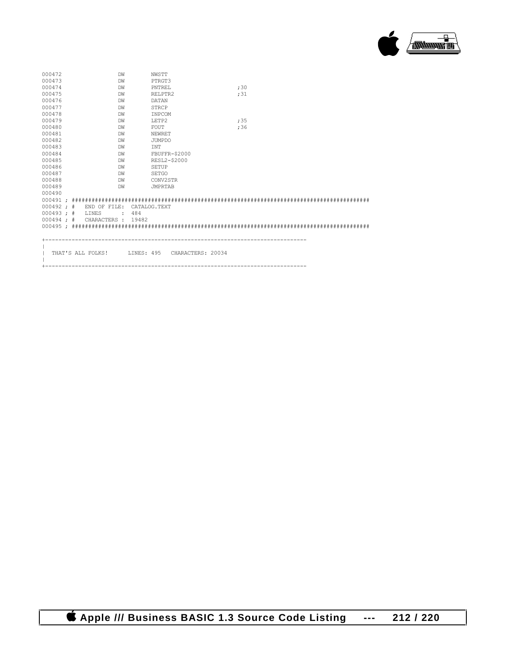

| 000472       | DM                        | NWSTT                           |     |  |
|--------------|---------------------------|---------------------------------|-----|--|
| 000473       | DW                        | PTRGT3                          |     |  |
| 000474       | DW                        | PNTREL                          | ;30 |  |
| 000475       | DW                        | RELPTR2                         | ;31 |  |
| 000476       | DW                        | <b>DATAN</b>                    |     |  |
| 000477       | DW                        | STRCP                           |     |  |
| 000478       | DW                        | INPCOM                          |     |  |
| 000479       | DW                        | LETP2                           | :35 |  |
| 000480       | DW                        | FOUT                            | ;36 |  |
| 000481       | DW                        | NEWRET                          |     |  |
| 000482       | DW                        | <b>JUMPDO</b>                   |     |  |
| 000483       | DW                        | INT                             |     |  |
| 000484       | DW                        | FBUFFR-\$2000                   |     |  |
| 000485       | DW                        | RESL2-\$2000                    |     |  |
| 000486       | DW                        | <b>SETUP</b>                    |     |  |
| 000487       | DW                        | <b>SETGO</b>                    |     |  |
| 000488       | DW                        | CONV2STR                        |     |  |
| 000489       | DW                        | <b>JMPRTAB</b>                  |     |  |
| 000490       |                           |                                 |     |  |
|              |                           |                                 |     |  |
|              | $000492 : #$ END OF FILE: | CATALOG TEXT                    |     |  |
| $000493 :$ # | LINES                     | 484                             |     |  |
| $000494 :$ # | CHARACTERS :              | 19482                           |     |  |
|              |                           |                                 |     |  |
|              |                           |                                 |     |  |
|              |                           |                                 |     |  |
|              |                           |                                 |     |  |
|              | THAT'S ALL FOLKS!         | LINES: 495<br>CHARACTERS: 20034 |     |  |
|              |                           |                                 |     |  |

+-------------------------------------------------------------------------------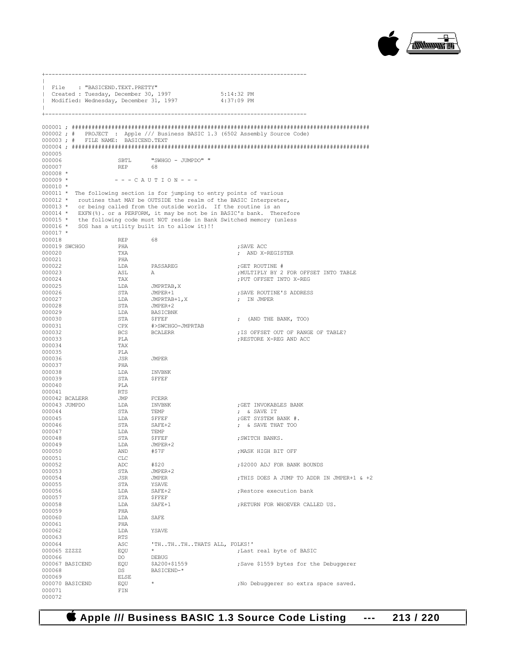

|                        | File : "BASICEND.TEXT.PRETTY"      |            |                                                                                                        |                                                                              |
|------------------------|------------------------------------|------------|--------------------------------------------------------------------------------------------------------|------------------------------------------------------------------------------|
|                        |                                    |            | Created : Tuesday, December 30, 1997 5:14:32 PM<br>  Modified: Wednesday, December 31, 1997 4:37:09 PM |                                                                              |
|                        |                                    |            |                                                                                                        |                                                                              |
|                        |                                    |            |                                                                                                        |                                                                              |
|                        |                                    |            |                                                                                                        |                                                                              |
|                        |                                    |            |                                                                                                        |                                                                              |
|                        |                                    |            |                                                                                                        | 000002; # PROJECT : Apple /// Business BASIC 1.3 (6502 Assembly Source Code) |
|                        | 000003; # FILE NAME: BASICEND.TEXT |            |                                                                                                        |                                                                              |
| 000005                 |                                    |            |                                                                                                        |                                                                              |
| 000006                 |                                    | SBTL       | "SWHGO - JUMPDO" "                                                                                     |                                                                              |
| 000007                 |                                    | <b>REP</b> | - 68                                                                                                   |                                                                              |
| $000008$ *             |                                    |            |                                                                                                        |                                                                              |
| $000009$ *             |                                    |            | $-   C$ A U T I O N $  -$                                                                              |                                                                              |
| $000010$ *             |                                    |            | 000011 * The following section is for jumping to entry points of various                               |                                                                              |
|                        |                                    |            |                                                                                                        | 000012 * routines that MAY be OUTSIDE the realm of the BASIC Interpreter,    |
|                        |                                    |            | 000013 * or being called from the outside world. If the routine is an                                  |                                                                              |
|                        |                                    |            |                                                                                                        | 000014 * EXFN(%). or a PERFORM, it may be not be in BASIC's bank. Therefore  |
|                        |                                    |            |                                                                                                        | 000015 * the following code must NOT reside in Bank Switched memory (unless  |
|                        |                                    |            | 000016 * SOS has a utility built in to allow it) !!                                                    |                                                                              |
| $000017$ *<br>000018   |                                    | REP        | 68                                                                                                     |                                                                              |
|                        | 000019 SWCHGO                      | PHA        |                                                                                                        | ; SAVE ACC                                                                   |
| 000020                 |                                    | TXA        |                                                                                                        | ; AND X-REGISTER                                                             |
| 000021                 |                                    | PHA        |                                                                                                        |                                                                              |
| 000022                 |                                    | LDA        | PASSAREG                                                                                               | GET ROUTINE #                                                                |
| 000023                 |                                    | ASL        | A                                                                                                      | ; MULTIPLY BY 2 FOR OFFSET INTO TABLE                                        |
| 000024<br>000025       |                                    | TAX<br>LDA |                                                                                                        | ; PUT OFFSET INTO X-REG                                                      |
| 000026                 |                                    | STA        | JMPRTAB, X<br>JMPER+1                                                                                  | ; SAVE ROUTINE'S ADDRESS                                                     |
| 000027                 |                                    | LDA        |                                                                                                        | ; IN JMPER                                                                   |
| 000028                 |                                    | STA        | JMPRTAB+1,X<br>JMPER+2<br>BASICBNK                                                                     |                                                                              |
| 000029                 |                                    | LDA        |                                                                                                        |                                                                              |
| 000030<br>000031       |                                    | STA<br>CPX | ${\small\texttt{SFFEF}}$<br>#>SWCHGO-JMPRTAB                                                           | ; (AND THE BANK, TOO)                                                        |
| 000032                 |                                    | BCS        | <b>BCALERR</b>                                                                                         | ; IS OFFSET OUT OF RANGE OF TABLE?                                           |
| 000033                 |                                    | PLA        |                                                                                                        | ; RESTORE X-REG AND ACC                                                      |
| 000034                 |                                    | TAX        |                                                                                                        |                                                                              |
| 000035                 |                                    | PLA        |                                                                                                        |                                                                              |
| 000036<br>000037       |                                    | JSR<br>PHA | JMPER                                                                                                  |                                                                              |
| 000038                 |                                    | LDA        | <b>INVBNK</b>                                                                                          |                                                                              |
| 000039                 |                                    | STA        | <b>\$FFEF</b>                                                                                          |                                                                              |
| 000040                 |                                    | PLA        |                                                                                                        |                                                                              |
| 000041                 | 000042 BCALERR                     | RTS<br>JMP | FCERR                                                                                                  |                                                                              |
|                        | 000043 JUMPDO                      | LDA        | INVBNK                                                                                                 | ;GET INVOKABLES BANK                                                         |
| 000044                 |                                    | STA        | TEMP                                                                                                   | ; & SAVE IT                                                                  |
| 000045                 |                                    | LDA        | $S$ FFEF                                                                                               | ;GET SYSTEM BANK #.                                                          |
| 000046                 |                                    | STA        | SAFE+2                                                                                                 | ; & SAVE THAT TOO                                                            |
| 000047<br>000048       |                                    | LDA<br>STA | TEMP<br>\$FFEF                                                                                         | ; SWITCH BANKS.                                                              |
| 000049                 |                                    | LDA        | JMPER+2                                                                                                |                                                                              |
| 000050                 |                                    | AND        | #\$7F                                                                                                  | ; MASK HIGH BIT OFF                                                          |
| 000051                 |                                    | CLC        |                                                                                                        |                                                                              |
| 000052                 |                                    | ADC<br>STA | #\$20<br>JMPER+2                                                                                       | ;\$2000 ADJ FOR BANK BOUNDS                                                  |
| 000053<br>000054       |                                    | JSR        | JMPER                                                                                                  | ; THIS DOES A JUMP TO ADDR IN JMPER+1 & +2                                   |
| 000055                 |                                    | STA        | YSAVE                                                                                                  |                                                                              |
| 000056                 |                                    | LDA        | SAFE+2                                                                                                 | ; Restore execution bank                                                     |
| 000057                 |                                    | STA        | <b>\$FFEF</b>                                                                                          |                                                                              |
| 000058<br>000059       |                                    | LDA<br>PHA | SAFE+1                                                                                                 | ; RETURN FOR WHOEVER CALLED US.                                              |
| 000060                 |                                    | LDA        | SAFE                                                                                                   |                                                                              |
| 000061                 |                                    | PHA        |                                                                                                        |                                                                              |
| 000062                 |                                    | LDA        | YSAVE                                                                                                  |                                                                              |
| 000063                 |                                    | RTS        |                                                                                                        |                                                                              |
| 000064                 |                                    | ASC<br>EQU | 'THTHTHTHATS ALL, FOLKS!'                                                                              |                                                                              |
| 000065 ZZZZZ<br>000066 |                                    | DO         | DEBUG                                                                                                  | ; Last real byte of BASIC                                                    |
|                        | 000067 BASICEND                    | EQU        | \$A200+\$1559                                                                                          | ;Save \$1559 bytes for the Debuggerer                                        |
| 000068                 |                                    | DS         | BASICEND-*                                                                                             |                                                                              |
| 000069                 |                                    | ELSE       | $\star$                                                                                                |                                                                              |
| 000071                 | 000070 BASICEND                    | EQU<br>FIN |                                                                                                        | ; No Debuggerer so extra space saved.                                        |
| 000072                 |                                    |            |                                                                                                        |                                                                              |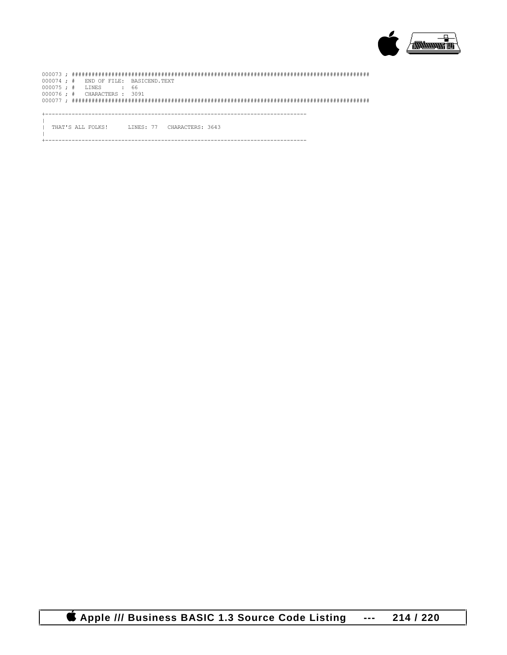

|  |  | $000074$ ; # END OF FILE: BASICEND.TEXT |      |  |  |                                              |  |  |  |  |  |  |  |
|--|--|-----------------------------------------|------|--|--|----------------------------------------------|--|--|--|--|--|--|--|
|  |  | $000075 : #$ LINES                      | . 66 |  |  |                                              |  |  |  |  |  |  |  |
|  |  | 000076 ; # CHARACTERS : 3091            |      |  |  |                                              |  |  |  |  |  |  |  |
|  |  |                                         |      |  |  |                                              |  |  |  |  |  |  |  |
|  |  |                                         |      |  |  |                                              |  |  |  |  |  |  |  |
|  |  |                                         |      |  |  |                                              |  |  |  |  |  |  |  |
|  |  |                                         |      |  |  |                                              |  |  |  |  |  |  |  |
|  |  |                                         |      |  |  | THAT'S ALL FOLKS! INNES: 77 CHARACTERS: 3643 |  |  |  |  |  |  |  |
|  |  |                                         |      |  |  |                                              |  |  |  |  |  |  |  |
|  |  |                                         |      |  |  |                                              |  |  |  |  |  |  |  |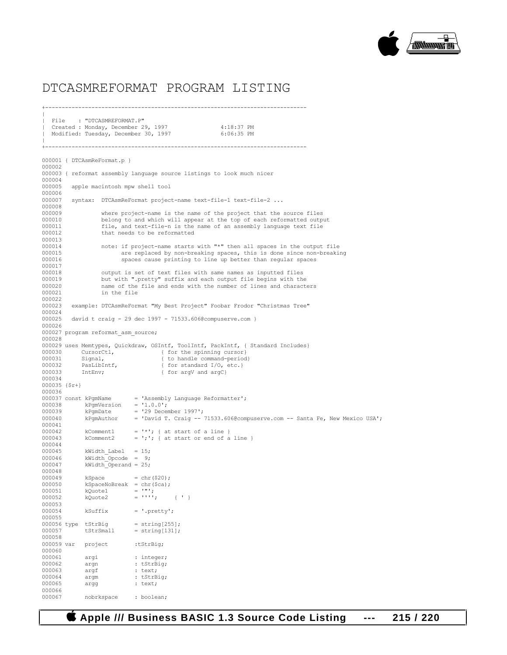

#### DTCASMREFORMAT PROGRAM LISTING

+-------------------------------------------------------------------------------

 $\|$ | File : "DTCASMREFORMAT.P" Created : Monday, December 29, 1997 4:18:37 PM Modified: Tuesday, December 30, 1997 6:06:35 PM  $\|$ +------------------------------------------------------------------------------- 000001 { DTCAsmReFormat.p } 000002 000003 { reformat assembly language source listings to look much nicer 000004 000005 apple macintosh mpw shell tool 000006<br>000007 syntax: DTCAsmReFormat project-name text-file-1 text-file-2 ... 000008<br>000009 000009 where project-name is the name of the project that the source files<br>000010 belong to and which will appear at the top of each reformatted outpu 000010 belong to and which will appear at the top of each reformatted output<br>000011 file, and text-file-n is the name of an assembly language text file 000011 file, and text-file-n is the name of an assembly language text file 000012 that needs to be reformatted that needs to be reformatted 000013<br>000014 000014 note: if project-name starts with "\*" then all spaces in the output file<br>000015 are replaced by non-breaking spaces, this is done since non-breaking 000015 are replaced by non-breaking spaces, this is done since non-breaking<br>000016 spaces cause printing to line up better than regular spaces spaces cause printing to line up better than regular spaces 000017<br>000018 000018 output is set of text files with same names as inputted files 000019 but with ".pretty" suffix and each output file begins with the 000019 but with ".pretty" suffix and each output file begins with the 000020 hame of the file and ends with the number of lines and characted 000020 name of the file and ends with the number of lines and characters<br>000021 in the file in the file 000022<br>000023 example: DTCAsmReFormat "My Best Project" Foobar Frodor "Christmas Tree" 000024<br>000025 david t craig - 29 dec 1997 - 71533.606@compuserve.com } 000026 000027 program reformat\_asm\_source; 000028 000029 uses Memtypes, Quickdraw, OSIntf, ToolIntf, PackIntf, { Standard Includes} 000030 CursorCtl, { for the spinning cursor}<br>000031 Signal, { to handle command-period Signal,  $\{$  to handle command-period)<br>PasLibIntf,  $\{$  for standard I/O, etc. 000032 PasLibIntf,  $\{$ for standard I/O, etc.}<br>000033 IntEnv;  $\{$ for argV and argC} { for argV and argC} 000034 000035 {\$r+} 000036<br>000037 const kPgmName = 'Assembly Language Reformatter';<br>=  $'1.0.0'$ ; 000038 kPgmVersion 000039  $kPgmDate$  = '29 December 1997';<br>000040  $kPgmAuthor$  = 'David T. Craig --= 'David T. Craig -- 71533.606@compuserve.com -- Santa Fe, New Mexico USA'; 000041<br>000042 000042 kComment1 =  $\vert$   $\star$   $\vert$ ; { at start of a line }<br>000043 kComment2 =  $\vert$ ;  $\vert$  at start or end of a = ';'; { at start or end of a line } 000044<br>000045  $000045$  kWidth\_Label = 15; 000046 kWidth Opcode = 9; 000047  $kWidth\_Operand = 25;$ 000048<br>000049  $000049$  kSpace = chr(\$20);<br>000050 kSpaceNoBreak = chr(\$ca); 000050  $kspaceNoBreak = chr(Sca);$ <br>000051  $kQuotel = ""';$ 000051 kQuote1<br>000052 kQuote2  $=$  ''';<br>= '''; { ' } 000053<br>000054  $ksufficient = '.pretry';$ 000055 000056 type tStrBig = string[255];<br>000057 tStrSmall = string[131];  $=$  string[131]; 000058 000059 var project :tStrBig; 000060<br>000061 000061 argi : integer;<br>000062 argn : tStrBig; argn : tStrBig; 000063 argf : text;<br>000064 argm : tStrB 000064 argm : tStrBig;<br>000065 argg : text; argg : text; 000066<br>000067 nobrkspace : boolean;

 **Apple /// Business BASIC 1.3 Source Code Listing --- 215 / 220**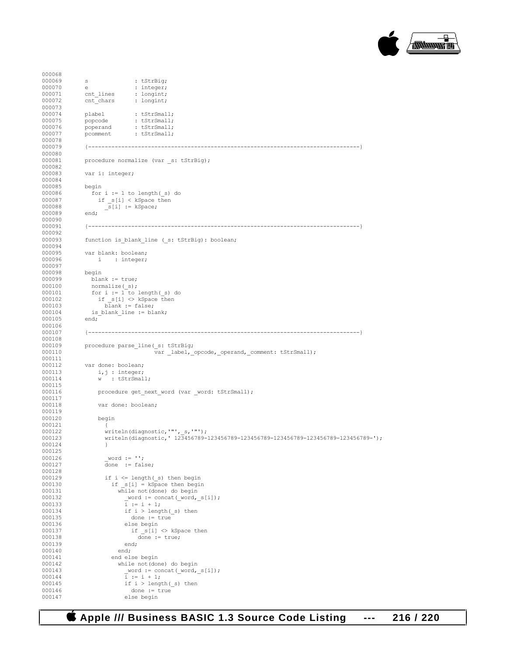

```
000068<br>000069
000069 s : tStrBig;<br>000070 e : integer;
000070 e : integer;<br>000071 e : integer;<br>000071 cnt lines : longint;
000071 cnt_lines : longint;<br>000072 cnt_chars : longint;
               \overline{\text{cnt}} chars
000073<br>000074
000074 plabel : tStrSmall;<br>000075 popcode : tStrSmall;
000075 popcode : tStrSmall;<br>000076 poperand : tStrSmall;
                                 : tStrSmall;
000077 pcomment : tStrSmall;
000078<br>000079
                000079 {----------------------------------------------------------------------------------}
000080<br>000081
               procedure normalize (var _s: tStrBig);
000082<br>000083
               var i: integer;
000084
               begin
000086 for i := 1 to length(_s) do
000087 if s[i] < kSpace then
000088 \frac{1}{s[i]} := kSpace;<br>000089 end;
000089
000090<br>000091
                000091 {----------------------------------------------------------------------------------}
000092<br>Connes
               function is_blank_line (_s: tStrBig): boolean;
000094<br>000095
000095 var blank: boolean;<br>000096 i : integer;
                   i : integer;
000097<br>000098
000098 begin<br>000099 blar
000099 blank := true;<br>000100 normalize(s);
000100 normalize(_s);<br>000101 for i := 1 to
000101 for i := 1 to length(s) do<br>000102 if s[i] \iff k space then
000102 if_s[i] \Leftrightarrow kspace then<br>000103 j = false;
000103 blank := false;<br>000104 is blank line := bla
               is_blank_line := blank;<br>end;
000105
000106<br>000107
                000107 {----------------------------------------------------------------------------------}
000108<br>000109
               procedure parse_line(_s: tStrBig;
000110 var _label,_opcode,_operand,_comment: tStrSmall);
000111 
000112 var done: boolean;<br>000113 i.i.integer:
000113 i,j : integer;<br>000114 w : tStrSmal
                    w : tStrSmall;
000115 
000116 procedure get_next_word (var _word: tStrSmall);
000117<br>000118
                    var done: boolean;
000119<br>000120
                    begin
000121<br>000122
000122 writeln(diagnostic,'"',_s,'"');
000123 writeln(diagnostic,' 123456789-123456789-123456789-123456789-123456789-123456789-');
000124 }
000125
000126 _word := '';<br>000127 done := fall
                      \bar{d}one := false;
000128<br>000129
000129 if i \le length(\_s) then begin<br>000130 if s[i] = kspace then begin000130 if s[i] = kSpace then begin<br>000131 while not (done) do begin
000131 while not (done) do begin<br>000132 word := concat (word,
000132 \frac{\text{word}}{\text{i} := \text{i} + 1}; 000133000133 \frac{1}{i} := i + 1;<br>000134 \frac{1}{i} if i > lengt
000134 if i > length(_s) then<br>000135 done := true
000135 done := true<br>000136 else begin
000136 else begin<br>000137 if s[i]
000137 if _s[i] \iff kspace then<br>000138 done := true;
                              \frac{1}{\text{done}} := true;
000139
000140 end;<br>000141 end el:
000141 end else begin<br>000142 while not (dor
                           while not (done) do begin
000143 _word := concat(_word,_s[i]);
000144 i := i + 1;000145 if i > length(_s) then<br>000146 done := true
000146 done := true<br>000147 else begin
                              else begin
```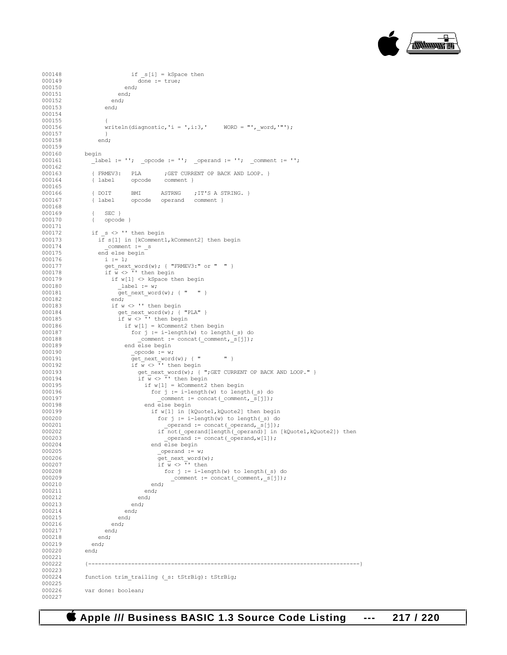

```
000148 ifs[i] = kSpace then<br>000149 done := true;
                               \frac{1}{\text{done}} := true;
000150 en<br>000151 end;
000151<br>000152
                        end;<br>end;
000153
000154 
000155 {
                       writeln(diagnostic,'i = ',i:3,' WORD = "', word,'"');
000157 }<br>000158 end:
000158
000159<br>000160
000160 begin<br>000161 lab
                  \text{Label} := \text{''}; \quad \text{opcode := ''}; \quad \text{operand := ''}; \quad \text{comment := ''};000162 
000163 { FRMEV3: PLA ; GET CURRENT OP BACK AND LOOP. }<br>000164 { label opcode comment }
                                              comment }
000165 
000166 { DOIT BMI ASTRNG ; IT'S A STRING. }<br>000167 { label opcode operand comment }
                                  opcode operand comment }
000168<br>000169
000169 { SEC }<br>000170 { opcode
                   \{ opcode \}000171<br>000172
000172 if s \leq 1 then begin<br>000173 if s(1) in [kComment]
000173 i\overline{f} s[1] in [kComment1, kComment2] then begin<br>000174 comment := s
000174 _comment := _s
000175 end else begin<br>000176 i := 1:
000176 i := 1;<br>000177 get nex
000177 get_next_word(w); { "FRMEV3:" or " " }<br>000178 if \overline{w} <> '' then begin
000178 \begin{align*}\n\text{if } w < > \mathsf{T}' \text{ then begin} \\
\text{000179} & \text{if } w \leq 1 \implies \text{kSpace}\n\end{align*}000179 if w[1] \leq x kSpace then begin<br>000180 label := w_i000180 _label := w;
                          \text{get\_next\_word}(w); { " " } end:
000182<br>000183
000183 if w \leq Y' then begin<br>000184 get next word(w); {
000184 get_next_word(w); { "PLA" }
000185 if w <> '' then begin
000186 if w[1] = kComment2 then begin<br>000187 for i := i-length(w) to lenq000187 for j := i-\text{length}(w) to \text{length}(-s) do 000188 comment := concat(comment, s[i]);
000188 <br>
comment := concat(_comment,_s[j]);<br>
000189 end else begin
                               end else begin
000190 _opcode := w;
000191 get_next_word(w); { " " }
000192 if w <> '' then begin
000193 get_next_word(w); { ";GET CURRENT OP BACK AND LOOP." }
000194 if w <> '' then begin
000195 if w[1] = kComment2 then begin<br>000196 for i := i-length(w) to lenct000196 for j := i-\text{length}(w) to \text{length}(-s) do 000197
000197 \text{comment} := \text{concat}(\text{comment},\text{s}[j]);<br>000198 \text{end} \text{else} \text{begin}end else begin
000199 if w[1] in [kQuote1, kQuote2] then begin\n<br>\nfor i := i-length(w) to length(s) dofor j := i-length(w) to length(s) do
000201 00202 000202 000202 000202 000202 000202 000202 000202000202 if not(\text{operand}[\text{length}(\text{operand})] in [kQuote1,kQuote2]) then<br>000203 operand := concat(operand.will):
000203 _operand := concat(_operand,w[1]);
000204 end else begin<br>000205 end else begin<br>operand := v
000205 _operand := w;
\frac{1}{\sqrt{1 + \frac{1}{\sqrt{1 + \frac{1}{\sqrt{1 + \frac{1}{\sqrt{1 + \frac{1}{\sqrt{1 + \frac{1}{\sqrt{1 + \frac{1}{\sqrt{1 + \frac{1}{\sqrt{1 + \frac{1}{\sqrt{1 + \frac{1}{\sqrt{1 + \frac{1}{\sqrt{1 + \frac{1}{\sqrt{1 + \frac{1}{\sqrt{1 + \frac{1}{\sqrt{1 + \frac{1}{\sqrt{1 + \frac{1}{\sqrt{1 + \frac{1}{\sqrt{1 + \frac{1}{\sqrt{1 + \frac{1}{\sqrt{1 + \frac{1}{\sqrt{1 + \frac{1}{\sqrt{1 + \frac{1}{\sqrt{1 +000207 if \overline{w} <> \overline{v} then<br>000208 for j := i-le:
000208 for j := i-\text{length}(w) to \text{length}(S) do \text{constant} := \text{concat}(S) comment \text{length}(S) do \text{constant} := \text{constant}(S)\frac{1}{2} comment := concat(_comment, _s[j]);
000210 end;<br>000211 end;
000211 en<br>000212 end;
000212 en<br>000213 end;
000213
000214 end;<br>000215 end:
000215 en<br>000216 end;
000216 en<br>000217 end;
000217 en<br>000218 end;
000218 end;
000219
000220 end;
000221<br>000222
                000222 {----------------------------------------------------------------------------------}
000223<br>000224
                function trim trailing ( s: tStrBig): tStrBig;
000225
                var done: boolean;
000227
```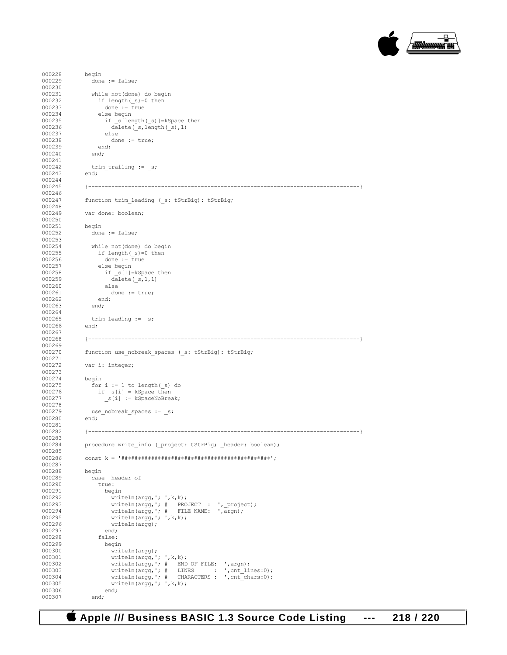

```
000228 begin<br>000229 done
                  done := false;000230<br>000231
000231 while not (done) do begin<br>000232 if length ( s)=0 then
000232 if length(_s)=0 then<br>000233 done := true
000233 done := \overline{true}<br>000234 else begin
000234 else begin<br>000235 if s[ler
000235 if \underline{\hspace{1cm}} s[length(\underline{\hspace{1cm}} s)] = kSpace then<br>000236 delete(s, length(s), 1)
                         delete(_s,length(_s),1)
000237 else<br>000238 don
                    done := true;<br>end;
000239
000240 end;
000241
                  \text{trim\_training} := \_s;000243 end;
000244 
000245 {----------------------------------------------------------------------------------}
000246<br>000247
                function trim_leading (_s: tStrBig): tStrBig;
000248<br>000249
                var done: boolean;
000250
000251 begin
                  done := false;
000253<br>000254
000254 while not (done) do begin<br>000255 if length (s)=0 then
000255 if length\begin{array}{r} \text{if length}(-s)=0 \text{ then} \\ \text{000256} \text{ done} := \text{true} \end{array}000256 done := true<br>000257 else begin
000257 else begin<br>000258 if s[1]:
000258 if \underline{s}[1]=kSpace then<br>000259 delete(s,1,1)
                       \text{delete}(\text{ s},1,1)<br>else
000260<br>000261
                     done := true;<br>end;
000262 en<br>000263 end;
000263
000264<br>000265
                trim_leading := _s;<br>end;
000266
000267<br>000268
                000268 {----------------------------------------------------------------------------------}
000269 
000270 function use_nobreak_spaces (_s: tStrBig): tStrBig;
000271<br>000272
                var i: integer;
000273 
000274 begin<br>000275 for
                  for i := 1 to length(s) do
000276 if _s[i] = kSpace then
000277 <br>s[i] := kSpaceNoBreak;
000278 
000279 use_nobreak_spaces := _s;<br>000280 end:
000280
000281<br>000282
                000282 {----------------------------------------------------------------------------------}
000283<br>000284
                procedure write_info (_project: tStrBig; _header: boolean);
000285<br>000286
                000286 const k = '#############################################';
000287<br>000288
000288 begin<br>000289 case
                  case header of
000290 true:<br>000291 beg
000291 begin<br>000292 wri
000292 writeln(argg,'; ', k, k);<br>000293 writeln(argg, '; # PRO
000293 writeln(argg,'; # PROJECT : ', project);
000294 writeln(argg,'; # FILE NAME: ',argn);
000295 writeln(\arg g, '; ' , k, k);<br>000296 writeln(\arg g);
                       written (argg);<br>end;
000297<br>000298
                     false:<br>begin
000299<br>000300
000300 writeln(argg);<br>000301 writeln(argg,'
000301 writeln(argg,'; ',k,k);<br>000302 writeln(argg,': # END
000302 writeln(argg,'; # END OF FILE: ',argn);
000303 writeln(argg,'; # LINES : ', cnt_lines:0);
000303<br>writeln(argg,'; # CHARACTERS : ',cnt_lines:0);<br>000304<br>writeln(argg,'; # CHARACTERS : ',cnt_chars:0);
000305 writeln(argg, '; ', k, k);
000306 end;<br>000307 end:
000307
```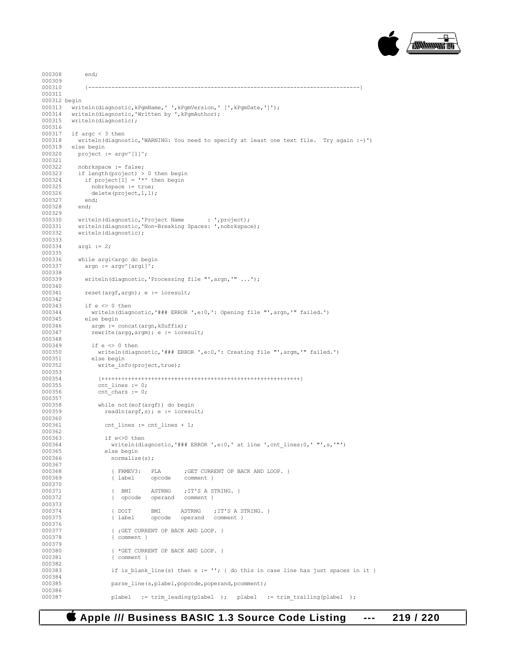

```
000308 end;
000309<br>000310
000310 {----------------------------------------------------------------------------------}
000311 
000312 begin
000313 writeln(diagnostic,kPgmName,' ',kPgmVersion,' [',kPgmDate,']');<br>000314 writeln(diagnostic,'Written by ',kPgmAuthor);
000314 writeln(diagnostic,'Written by ', kPgmAuthor);<br>000315 writeln(diagnostic);
           writeln(diagnostic);
000316<br>000317
000317 if argc < 3 then<br>000318 writeln(diagno:
000318 writeln(diagnostic,'WARNING: You need to specify at least one text file. Try again :-)')<br>000319 else begin
000319 else begin<br>000320 project:
            project := \text{argv}^{\wedge}[1]\hat{\ };
000321
000322 nobrkspace := false;<br>000323 if length (project) >
000323 if length(project) > 0 then begin
000324 if project[1] = '*' then begin
000325 nobrkspace := true;
000326 delete(project, 1, 1);<br>000327 end:
000327
000328 end;
000329
000330 writeln(diagnostic, 'Project Name : ', project);
000331 writeln(diagnostic,'Non-Breaking Spaces: ',nobrkspace);
000332 writeln(diagnostic);
000333<br>000334
             argi := 2;000335
000336 while argi<argc do begin<br>000337 argn := argy^[argi]^;
               argn := \text{argv}^{\wedge}[\text{argi}]^{\wedge};000338<br>000339
                writeln(diagnostic,'Processing file "',argn,'" ...');
000340<br>000341
               reset(argf,argn); e := ioresult;
000342<br>000343
000343 if e <> 0 then<br>000344 writeln(diagn
000344 writeln(diagnostic,'### ERROR ',e:0,': Opening file "',argn,'" failed.')<br>000345 else begin
000345 else begin<br>000346 argm := 0
000346 \begin{array}{rcl} \text{argm} & := & \text{concat}(\text{argn}, k\text{Suffix}); \\ 000347 & & \text{rewrite}(\text{argq}, \text{argm}); e & := & \text{iore} \end{array}rewrite(argg,argm); e := ioresult;
000348<br>000349
                 if e \le 0 then
000350 writeln(diagnostic,'### ERROR ',e:0,': Creating file "',argm,'" failed.')<br>000351 else begin
000351 else begin<br>000352 write in:
                    write info(project,true);
000353
000354 {++++++++++++++++++++++++++++++++++++++++++++++++++++++++++++}
                    cnt_lines := 0;000356 cnt_chars := 0;
000357
                    while not(eof(argf)) do begin
000359 readln(argf,s); e := ioresult;
000360 
000361 cnt lines := cnt lines + 1;
000362
000363 if e<>0 then<br>000364 writeln(dia
000364 writeln(diagnostic,'### ERROR ',e:0,' at line ',cnt_lines:0,' "',s,'"') 000365 else begin
000365 else begin<br>000366 else pormalize
                         normalize(s);
000367<br>000368
000368 (FRMEV3: PLA ; GET CURRENT OP BACK AND LOOP. }<br>000369 (label opcode comment }
                                                  comment }
000370<br>000371
000371 { BMI ASTRNG ; IT'S A STRING. }<br>000372 { opcode operand comment }
                          { opcode
000373<br>000374
000374 { DOIT BMI ASTRNG ; IT'S A STRING. }<br>000375 { label opcode operand comment }
                                                   operand comment }
000376<br>000377
000377 <br>000378 { ;GET CURRENT OP BACK AND LOOP. }
                          {comment} }
000379<br>000380
000380 \{\text{*GET CURRENT OP BACK AND LOOP. }\}<br>000381 \{\text{comment }\}{ comment }
000382<br>000383
                          if is blank_line(s) then s := ''; { do this in case line has just spaces in it }
000384<br>000385
                          parse line(s,plabel,popcode,poperand,pcomment);
000386<br>000387
                          plabel := trim_leading(plabel ); plabel := trim_trailing(plabel );
```
 **Apple /// Business BASIC 1.3 Source Code Listing --- 219 / 220**